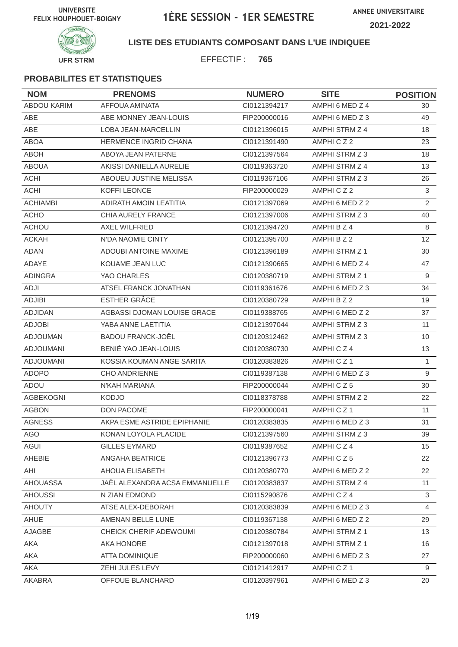

### **LISTE DES ETUDIANTS COMPOSANT DANS L'UE INDIQUEE**

EFFECTIF : **765**

| <b>NOM</b>         | <b>PRENOMS</b>                 | <b>NUMERO</b> | <b>SITE</b>          | <b>POSITION</b>  |
|--------------------|--------------------------------|---------------|----------------------|------------------|
| <b>ABDOU KARIM</b> | AFFOUA AMINATA                 | CI0121394217  | AMPHI 6 MED Z 4      | 30               |
| ABE                | ABE MONNEY JEAN-LOUIS          | FIP200000016  | AMPHI 6 MED Z 3      | 49               |
| <b>ABE</b>         | LOBA JEAN-MARCELLIN            | CI0121396015  | AMPHI STRM Z 4       | 18               |
| <b>ABOA</b>        | <b>HERMENCE INGRID CHANA</b>   | CI0121391490  | AMPHICZ2             | 23               |
| <b>ABOH</b>        | ABOYA JEAN PATERNE             | CI0121397564  | AMPHI STRM Z 3       | 18               |
| <b>ABOUA</b>       | AKISSI DANIELLA AURELIE        | CI0119363720  | AMPHI STRM Z 4       | 13               |
| <b>ACHI</b>        | ABOUEU JUSTINE MELISSA         | CI0119367106  | AMPHI STRM Z 3       | 26               |
| <b>ACHI</b>        | KOFFI LEONCE                   | FIP200000029  | AMPHICZ2             | $\mathfrak{S}$   |
| <b>ACHIAMBI</b>    | ADIRATH AMOIN LEATITIA         | CI0121397069  | AMPHI 6 MED Z 2      | $\overline{2}$   |
| <b>ACHO</b>        | <b>CHIA AURELY FRANCE</b>      | CI0121397006  | AMPHI STRM Z 3       | 40               |
| <b>ACHOU</b>       | <b>AXEL WILFRIED</b>           | CI0121394720  | AMPHI B Z 4          | 8                |
| <b>ACKAH</b>       | N'DA NAOMIE CINTY              | CI0121395700  | AMPHI B Z 2          | 12               |
| <b>ADAN</b>        | <b>ADOUBI ANTOINE MAXIME</b>   | CI0121396189  | AMPHI STRM Z 1       | 30               |
| ADAYE              | KOUAME JEAN LUC                | CI0121390665  | AMPHI 6 MED Z 4      | 47               |
| <b>ADINGRA</b>     | YAO CHARLES                    | CI0120380719  | AMPHI STRM Z 1       | 9                |
| ADJI               | ATSEL FRANCK JONATHAN          | CI0119361676  | AMPHI 6 MED Z 3      | 34               |
| <b>ADJIBI</b>      | <b>ESTHER GRÂCE</b>            | CI0120380729  | AMPHI B Z 2          | 19               |
| <b>ADJIDAN</b>     | AGBASSI DJOMAN LOUISE GRACE    | CI0119388765  | AMPHI 6 MED Z 2      | 37               |
| <b>ADJOBI</b>      | YABA ANNE LAETITIA             | CI0121397044  | AMPHI STRM Z 3       | 11               |
| <b>ADJOUMAN</b>    | <b>BADOU FRANCK-JOËL</b>       | Cl0120312462  | AMPHI STRM Z 3       | 10               |
| <b>ADJOUMANI</b>   | BENIÉ YAO JEAN-LOUIS           | CI0120380730  | AMPHICZ4             | 13               |
| <b>ADJOUMANI</b>   | KOSSIA KOUMAN ANGE SARITA      | CI0120383826  | AMPHICZ1             | $\mathbf{1}$     |
| <b>ADOPO</b>       | <b>CHO ANDRIENNE</b>           | CI0119387138  | AMPHI 6 MED Z 3      | $9\,$            |
| ADOU               | N'KAH MARIANA                  | FIP200000044  | AMPHICZ5             | 30               |
| AGBEKOGNI          | <b>KODJO</b>                   | CI0118378788  | AMPHI STRM Z 2       | 22               |
| <b>AGBON</b>       | DON PACOME                     | FIP200000041  | AMPHICZ <sub>1</sub> | 11               |
| <b>AGNESS</b>      | AKPA ESME ASTRIDE EPIPHANIE    | CI0120383835  | AMPHI 6 MED Z 3      | 31               |
| AGO                | KONAN LOYOLA PLACIDE           | Cl0121397560  | AMPHI STRM Z 3       | 39               |
| AGUI               | <b>GILLES EYMARD</b>           | CI0119387652  | AMPHICZ4             | 15 <sup>15</sup> |
| AHEBIE             | ANGAHA BEATRICE                | CI0121396773  | AMPHICZ5             | 22               |
| AHI                | AHOUA ELISABETH                | Cl0120380770  | AMPHI 6 MED Z 2      | 22               |
| <b>AHOUASSA</b>    | JAËL ALEXANDRA ACSA EMMANUELLE | Cl0120383837  | AMPHI STRM Z 4       | 11               |
| <b>AHOUSSI</b>     | N ZIAN EDMOND                  | CI0115290876  | AMPHICZ4             | 3                |
| <b>AHOUTY</b>      | ATSE ALEX-DEBORAH              | CI0120383839  | AMPHI 6 MED Z 3      | $\overline{4}$   |
| AHUE               | AMENAN BELLE LUNE              | CI0119367138  | AMPHI 6 MED Z 2      | 29               |
| AJAGBE             | CHEICK CHERIF ADEWOUMI         | CI0120380784  | AMPHI STRM Z 1       | 13               |
| AKA                | AKA HONORE                     | CI0121397018  | AMPHI STRM Z 1       | 16               |
| AKA                | <b>ATTA DOMINIQUE</b>          | FIP200000060  | AMPHI 6 MED Z 3      | 27               |
| AKA                | ZEHI JULES LEVY                | Cl0121412917  | AMPHICZ1             | 9                |
| AKABRA             | OFFOUE BLANCHARD               | CI0120397961  | AMPHI 6 MED Z 3      | 20               |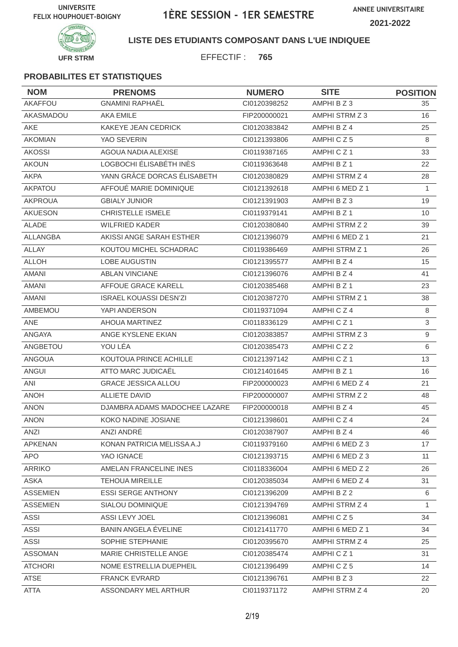**ANNEE UNIVERSITAIRE 2021-2022**



### **LISTE DES ETUDIANTS COMPOSANT DANS L'UE INDIQUEE**

EFFECTIF : **765**

| <b>NOM</b>      | <b>PRENOMS</b>                | <b>NUMERO</b> | <b>SITE</b>          | <b>POSITION</b> |
|-----------------|-------------------------------|---------------|----------------------|-----------------|
| AKAFFOU         | <b>GNAMINI RAPHAËL</b>        | CI0120398252  | AMPHI B Z 3          | 35              |
| AKASMADOU       | <b>AKA EMILE</b>              | FIP200000021  | AMPHI STRM Z 3       | 16              |
| AKE             | KAKEYE JEAN CEDRICK           | CI0120383842  | AMPHI B Z 4          | 25              |
| <b>AKOMIAN</b>  | YAO SEVERIN                   | CI0121393806  | AMPHICZ5             | 8               |
| <b>AKOSSI</b>   | AGOUA NADIA ALEXISE           | CI0119387165  | AMPHICZ <sub>1</sub> | 33              |
| <b>AKOUN</b>    | LOGBOCHI ÉLISABÉTH INÈS       | CI0119363648  | AMPHI B Z 1          | 22              |
| <b>AKPA</b>     | YANN GRÂCE DORCAS ÉLISABETH   | CI0120380829  | AMPHI STRM Z 4       | 28              |
| <b>AKPATOU</b>  | AFFOUÉ MARIE DOMINIQUE        | CI0121392618  | AMPHI 6 MED Z 1      | $\mathbf{1}$    |
| <b>AKPROUA</b>  | <b>GBIALY JUNIOR</b>          | CI0121391903  | AMPHI B Z 3          | 19              |
| AKUESON         | <b>CHRISTELLE ISMELE</b>      | CI0119379141  | AMPHI B Z 1          | 10              |
| <b>ALADE</b>    | <b>WILFRIED KADER</b>         | CI0120380840  | AMPHI STRM Z 2       | 39              |
| ALLANGBA        | AKISSI ANGE SARAH ESTHER      | CI0121396079  | AMPHI 6 MED Z 1      | 21              |
| <b>ALLAY</b>    | KOUTOU MICHEL SCHADRAC        | CI0119386469  | AMPHI STRM Z 1       | 26              |
| <b>ALLOH</b>    | <b>LOBE AUGUSTIN</b>          | CI0121395577  | AMPHI B Z 4          | 15              |
| <b>AMANI</b>    | <b>ABLAN VINCIANE</b>         | CI0121396076  | AMPHI B Z 4          | 41              |
| <b>AMANI</b>    | AFFOUE GRACE KARELL           | CI0120385468  | AMPHI B Z 1          | 23              |
| AMANI           | <b>ISRAEL KOUASSI DESN'ZI</b> | CI0120387270  | AMPHI STRM Z 1       | 38              |
| AMBEMOU         | YAPI ANDERSON                 | CI0119371094  | AMPHICZ4             | 8               |
| <b>ANE</b>      | AHOUA MARTINEZ                | CI0118336129  | AMPHICZ <sub>1</sub> | 3               |
| ANGAYA          | ANGE KYSLENE EKIAN            | CI0120383857  | AMPHI STRM Z 3       | 9               |
| ANGBETOU        | YOU LÉA                       | CI0120385473  | AMPHICZ2             | 6               |
| <b>ANGOUA</b>   | KOUTOUA PRINCE ACHILLE        | CI0121397142  | AMPHICZ1             | 13              |
| <b>ANGUI</b>    | ATTO MARC JUDICAËL            | CI0121401645  | AMPHI B Z 1          | 16              |
| ANI             | <b>GRACE JESSICA ALLOU</b>    | FIP200000023  | AMPHI 6 MED Z 4      | 21              |
| <b>ANOH</b>     | <b>ALLIETE DAVID</b>          | FIP200000007  | AMPHI STRM Z 2       | 48              |
| <b>ANON</b>     | DJAMBRA ADAMS MADOCHEE LAZARE | FIP200000018  | AMPHI B Z 4          | 45              |
| <b>ANON</b>     | KOKO NADINE JOSIANE           | CI0121398601  | AMPHICZ4             | 24              |
| ANZI            | ANZI ANDRÉ                    | CI0120387907  | AMPHI B Z 4          | 46              |
| APKENAN         | KONAN PATRICIA MELISSA A.J    | CI0119379160  | AMPHI 6 MED Z 3      | 17              |
| <b>APO</b>      | YAO IGNACE                    | CI0121393715  | AMPHI 6 MED Z 3      | 11              |
| <b>ARRIKO</b>   | AMELAN FRANCELINE INES        | CI0118336004  | AMPHI 6 MED Z 2      | 26              |
| <b>ASKA</b>     | <b>TEHOUA MIREILLE</b>        | CI0120385034  | AMPHI 6 MED Z 4      | 31              |
| <b>ASSEMIEN</b> | <b>ESSI SERGE ANTHONY</b>     | CI0121396209  | AMPHI B Z 2          | 6               |
| <b>ASSEMIEN</b> | SIALOU DOMINIQUE              | CI0121394769  | AMPHI STRM Z 4       | $\mathbf{1}$    |
| <b>ASSI</b>     | ASSI LEVY JOEL                | CI0121396081  | AMPHICZ5             | 34              |
| ASSI            | <b>BANIN ANGELA ÉVELINE</b>   | CI0121411770  | AMPHI 6 MED Z 1      | 34              |
| <b>ASSI</b>     | SOPHIE STEPHANIE              | CI0120395670  | AMPHI STRM Z 4       | 25              |
| <b>ASSOMAN</b>  | MARIE CHRISTELLE ANGE         | CI0120385474  | AMPHICZ1             | 31              |
| <b>ATCHORI</b>  | NOME ESTRELLIA DUEPHEIL       | CI0121396499  | AMPHICZ5             | 14              |
| <b>ATSE</b>     | <b>FRANCK EVRARD</b>          | CI0121396761  | AMPHI B Z 3          | 22              |
| <b>ATTA</b>     | ASSONDARY MEL ARTHUR          | CI0119371172  | AMPHI STRM Z 4       | 20              |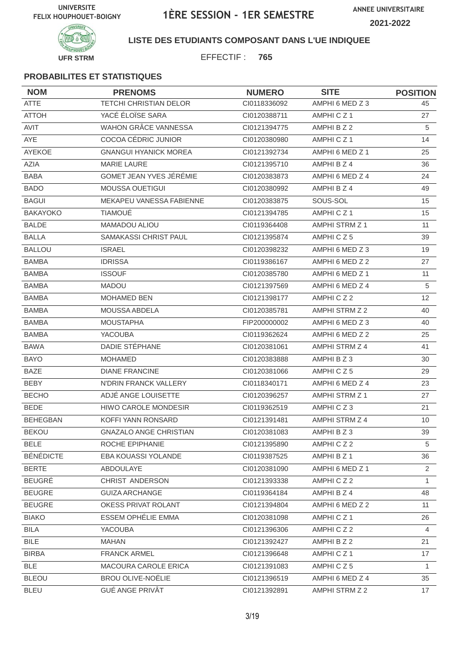**ANNEE UNIVERSITAIRE 2021-2022**



**LISTE DES ETUDIANTS COMPOSANT DANS L'UE INDIQUEE**

EFFECTIF : **765**

| <b>NOM</b>       | <b>PRENOMS</b>                | <b>NUMERO</b> | <b>SITE</b>          | <b>POSITION</b> |
|------------------|-------------------------------|---------------|----------------------|-----------------|
| <b>ATTE</b>      | <b>TETCHI CHRISTIAN DELOR</b> | CI0118336092  | AMPHI 6 MED Z 3      | 45              |
| <b>ATTOH</b>     | YACÉ ÉLOÏSE SARA              | CI0120388711  | AMPHICZ1             | 27              |
| AVIT             | WAHON GRÂCE VANNESSA          | CI0121394775  | AMPHI B Z 2          | 5               |
| AYE              | COCOA CÉDRIC JUNIOR           | CI0120380980  | AMPHICZ1             | 14              |
| AYEKOE           | <b>GNANGUI HYANICK MOREA</b>  | Cl0121392734  | AMPHI 6 MED Z 1      | 25              |
| AZIA             | <b>MARIE LAURE</b>            | CI0121395710  | AMPHI B Z 4          | 36              |
| <b>BABA</b>      | GOMET JEAN YVES JÉRÉMIE       | CI0120383873  | AMPHI 6 MED Z 4      | 24              |
| <b>BADO</b>      | <b>MOUSSA OUETIGUI</b>        | CI0120380992  | AMPHI B Z 4          | 49              |
| <b>BAGUI</b>     | MEKAPEU VANESSA FABIENNE      | CI0120383875  | SOUS-SOL             | 15              |
| <b>BAKAYOKO</b>  | <b>TIAMOUE</b>                | CI0121394785  | AMPHICZ <sub>1</sub> | 15              |
| <b>BALDE</b>     | MAMADOU ALIOU                 | CI0119364408  | AMPHI STRM Z 1       | 11              |
| <b>BALLA</b>     | SAMAKASSI CHRIST PAUL         | CI0121395874  | AMPHICZ5             | 39              |
| <b>BALLOU</b>    | <b>ISRAEL</b>                 | CI0120398232  | AMPHI 6 MED Z 3      | 19              |
| <b>BAMBA</b>     | <b>IDRISSA</b>                | CI0119386167  | AMPHI 6 MED Z 2      | 27              |
| <b>BAMBA</b>     | <b>ISSOUF</b>                 | CI0120385780  | AMPHI 6 MED Z 1      | 11              |
| <b>BAMBA</b>     | <b>MADOU</b>                  | CI0121397569  | AMPHI 6 MED Z 4      | 5               |
| <b>BAMBA</b>     | <b>MOHAMED BEN</b>            | CI0121398177  | AMPHICZ2             | 12              |
| <b>BAMBA</b>     | MOUSSA ABDELA                 | CI0120385781  | AMPHI STRM Z 2       | 40              |
| <b>BAMBA</b>     | <b>MOUSTAPHA</b>              | FIP200000002  | AMPHI 6 MED Z 3      | 40              |
| <b>BAMBA</b>     | YACOUBA                       | CI0119362624  | AMPHI 6 MED Z 2      | 25              |
| <b>BAWA</b>      | DADIE STÉPHANE                | CI0120381061  | AMPHI STRM Z 4       | 41              |
| <b>BAYO</b>      | <b>MOHAMED</b>                | CI0120383888  | AMPHI B Z 3          | 30              |
| <b>BAZE</b>      | <b>DIANE FRANCINE</b>         | CI0120381066  | AMPHICZ5             | 29              |
| <b>BEBY</b>      | N'DRIN FRANCK VALLERY         | CI0118340171  | AMPHI 6 MED Z 4      | 23              |
| <b>BECHO</b>     | ADJÉ ANGE LOUISETTE           | CI0120396257  | AMPHI STRM Z 1       | 27              |
| <b>BEDE</b>      | HIWO CAROLE MONDESIR          | CI0119362519  | AMPHICZ3             | 21              |
| <b>BEHEGBAN</b>  | KOFFI YANN RONSARD            | CI0121391481  | AMPHI STRM Z 4       | 10              |
| <b>BEKOU</b>     | GNAZALO ANGE CHRISTIAN        | Cl0120381083  | AMPHI B Z 3          | 39              |
| <b>BELE</b>      | ROCHE EPIPHANIE               | CI0121395890  | AMPHICZ2             | 5               |
| <b>BÉNÉDICTE</b> | EBA KOUASSI YOLANDE           | CI0119387525  | AMPHI B Z 1          | 36              |
| <b>BERTE</b>     | ABDOULAYE                     | CI0120381090  | AMPHI 6 MED Z 1      | $\overline{2}$  |
| <b>BEUGRÉ</b>    | CHRIST ANDERSON               | Cl0121393338  | AMPHICZ2             | $\mathbf{1}$    |
| <b>BEUGRE</b>    | <b>GUIZA ARCHANGE</b>         | CI0119364184  | AMPHI B Z 4          | 48              |
| <b>BEUGRE</b>    | OKESS PRIVAT ROLANT           | CI0121394804  | AMPHI 6 MED Z 2      | 11              |
| <b>BIAKO</b>     | ESSEM OPHÉLIE EMMA            | CI0120381098  | AMPHICZ1             | 26              |
| <b>BILA</b>      | <b>YACOUBA</b>                | CI0121396306  | AMPHICZ2             | 4               |
| <b>BILE</b>      | <b>MAHAN</b>                  | Cl0121392427  | AMPHI B Z 2          | 21              |
| <b>BIRBA</b>     | <b>FRANCK ARMEL</b>           | CI0121396648  | AMPHICZ1             | 17              |
| <b>BLE</b>       | MACOURA CAROLE ERICA          | Cl0121391083  | AMPHICZ5             | $\mathbf{1}$    |
| <b>BLEOU</b>     | <b>BROU OLIVE-NOËLIE</b>      | Cl0121396519  | AMPHI 6 MED Z 4      | 35              |
| <b>BLEU</b>      | <b>GUÉ ANGE PRIVÂT</b>        | CI0121392891  | AMPHI STRM Z 2       | 17              |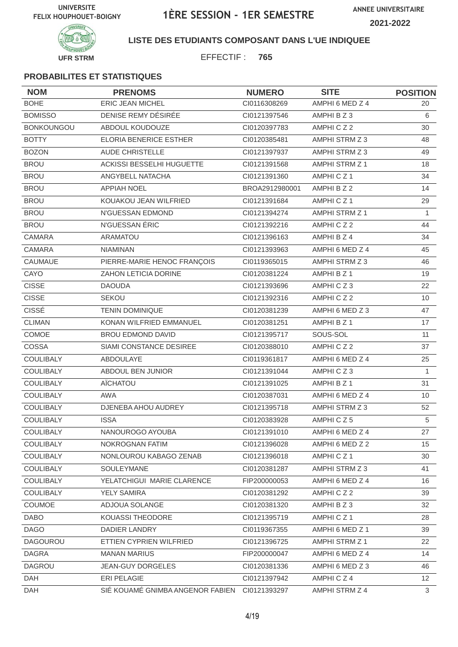**ANNEE UNIVERSITAIRE 2021-2022**



### **LISTE DES ETUDIANTS COMPOSANT DANS L'UE INDIQUEE**

EFFECTIF : **765**

| <b>NOM</b>        | <b>PRENOMS</b>                   | <b>NUMERO</b>  | <b>SITE</b>           | <b>POSITION</b> |
|-------------------|----------------------------------|----------------|-----------------------|-----------------|
| <b>BOHE</b>       | <b>ERIC JEAN MICHEL</b>          | CI0116308269   | AMPHI 6 MED Z 4       | 20              |
| <b>BOMISSO</b>    | DENISE REMY DÉSIRÉE              | CI0121397546   | AMPHI B Z 3           | 6               |
| <b>BONKOUNGOU</b> | ABDOUL KOUDOUZE                  | CI0120397783   | AMPHICZ2              | 30              |
| <b>BOTTY</b>      | <b>ELORIA BENERICE ESTHER</b>    | CI0120385481   | AMPHI STRM Z 3        | 48              |
| <b>BOZON</b>      | <b>AUDE CHRISTELLE</b>           | CI0121397937   | AMPHI STRM Z 3        | 49              |
| <b>BROU</b>       | ACKISSI BESSELHI HUGUETTE        | CI0121391568   | <b>AMPHI STRM Z 1</b> | 18              |
| <b>BROU</b>       | ANGYBELL NATACHA                 | CI0121391360   | AMPHICZ <sub>1</sub>  | 34              |
| <b>BROU</b>       | <b>APPIAH NOEL</b>               | BROA2912980001 | AMPHI B Z 2           | 14              |
| <b>BROU</b>       | KOUAKOU JEAN WILFRIED            | CI0121391684   | AMPHICZ1              | 29              |
| <b>BROU</b>       | N'GUESSAN EDMOND                 | CI0121394274   | AMPHI STRM Z 1        | 1               |
| <b>BROU</b>       | N'GUESSAN ÉRIC                   | CI0121392216   | AMPHICZ2              | 44              |
| <b>CAMARA</b>     | <b>ARAMATOU</b>                  | CI0121396163   | AMPHI B Z 4           | 34              |
| <b>CAMARA</b>     | <b>NIAMINAN</b>                  | CI0121393963   | AMPHI 6 MED Z 4       | 45              |
| CAUMAUE           | PIERRE-MARIE HENOC FRANÇOIS      | CI0119365015   | AMPHI STRM Z 3        | 46              |
| CAYO              | ZAHON LETICIA DORINE             | CI0120381224   | AMPHI B Z 1           | 19              |
| <b>CISSE</b>      | <b>DAOUDA</b>                    | CI0121393696   | AMPHICZ3              | 22              |
| <b>CISSE</b>      | <b>SEKOU</b>                     | CI0121392316   | AMPHICZ2              | 10              |
| <b>CISSÉ</b>      | <b>TENIN DOMINIQUE</b>           | CI0120381239   | AMPHI 6 MED Z 3       | 47              |
| <b>CLIMAN</b>     | KONAN WILFRIED EMMANUEL          | CI0120381251   | AMPHI B Z 1           | 17              |
| COMOE             | <b>BROU EDMOND DAVID</b>         | CI0121395717   | SOUS-SOL              | 11              |
| COSSA             | SIAMI CONSTANCE DESIREE          | CI0120388010   | AMPHICZ2              | 37              |
| COULIBALY         | ABDOULAYE                        | CI0119361817   | AMPHI 6 MED Z 4       | 25              |
| COULIBALY         | ABDOUL BEN JUNIOR                | CI0121391044   | AMPHICZ3              | $\mathbf{1}$    |
| <b>COULIBALY</b>  | AÏCHATOU                         | CI0121391025   | AMPHI B Z 1           | 31              |
| COULIBALY         | <b>AWA</b>                       | CI0120387031   | AMPHI 6 MED Z 4       | 10              |
| <b>COULIBALY</b>  | DJENEBA AHOU AUDREY              | Cl0121395718   | AMPHI STRM Z 3        | 52              |
| COULIBALY         | <b>ISSA</b>                      | CI0120383928   | AMPHICZ5              | 5               |
| COULIBALY         | NANOUROGO AYOUBA                 | Cl0121391010   | AMPHI 6 MED Z 4       | 27              |
| <b>COULIBALY</b>  | NOKROGNAN FATIM                  | CI0121396028   | AMPHI 6 MED Z 2       | 15              |
| <b>COULIBALY</b>  | NONLOUROU KABAGO ZENAB           | CI0121396018   | AMPHICZ1              | 30              |
| COULIBALY         | SOULEYMANE                       | CI0120381287   | AMPHI STRM Z 3        | 41              |
| <b>COULIBALY</b>  | YELATCHIGUI MARIE CLARENCE       | FIP200000053   | AMPHI 6 MED Z 4       | 16              |
| <b>COULIBALY</b>  | YELY SAMIRA                      | CI0120381292   | AMPHICZ2              | 39              |
| <b>COUMOE</b>     | ADJOUA SOLANGE                   | CI0120381320   | AMPHIBZ3              | 32              |
| <b>DABO</b>       | KOUASSI THEODORE                 | CI0121395719   | AMPHICZ1              | 28              |
| <b>DAGO</b>       | DADIER LANDRY                    | CI0119367355   | AMPHI 6 MED Z 1       | 39              |
| <b>DAGOUROU</b>   | ETTIEN CYPRIEN WILFRIED          | CI0121396725   | AMPHI STRM Z 1        | 22              |
| <b>DAGRA</b>      | <b>MANAN MARIUS</b>              | FIP200000047   | AMPHI 6 MED Z 4       | 14              |
| <b>DAGROU</b>     | <b>JEAN-GUY DORGELES</b>         | CI0120381336   | AMPHI 6 MED Z 3       | 46              |
| DAH               | ERI PELAGIE                      | CI0121397942   | AMPHICZ4              | 12              |
| <b>DAH</b>        | SIÉ KOUAMÉ GNIMBA ANGENOR FABIEN | CI0121393297   | AMPHI STRM Z 4        | 3               |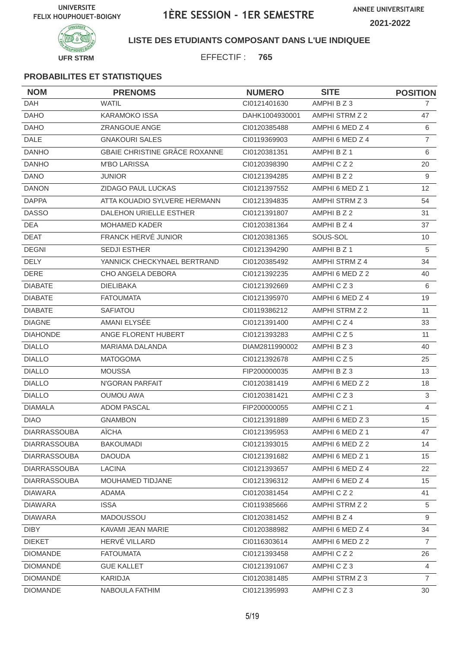**ANNEE UNIVERSITAIRE 2021-2022**



### **LISTE DES ETUDIANTS COMPOSANT DANS L'UE INDIQUEE**

EFFECTIF : **765**

| <b>NOM</b>          | <b>PRENOMS</b>                | <b>NUMERO</b>  | <b>SITE</b>          | <b>POSITION</b>   |
|---------------------|-------------------------------|----------------|----------------------|-------------------|
| <b>DAH</b>          | <b>WATIL</b>                  | CI0121401630   | AMPHI B Z 3          | $\overline{7}$    |
| <b>DAHO</b>         | <b>KARAMOKO ISSA</b>          | DAHK1004930001 | AMPHI STRM Z 2       | 47                |
| <b>DAHO</b>         | <b>ZRANGOUE ANGE</b>          | CI0120385488   | AMPHI 6 MED Z 4      | 6                 |
| <b>DALE</b>         | <b>GNAKOURI SALES</b>         | CI0119369903   | AMPHI 6 MED Z 4      | $\overline{7}$    |
| <b>DANHO</b>        | GBAIE CHRISTINE GRÂCE ROXANNE | CI0120381351   | AMPHI B Z 1          | 6                 |
| <b>DANHO</b>        | <b>M'BO LARISSA</b>           | CI0120398390   | AMPHICZ2             | 20                |
| <b>DANO</b>         | <b>JUNIOR</b>                 | CI0121394285   | AMPHI B Z 2          | 9                 |
| <b>DANON</b>        | <b>ZIDAGO PAUL LUCKAS</b>     | CI0121397552   | AMPHI 6 MED Z 1      | $12 \overline{ }$ |
| <b>DAPPA</b>        | ATTA KOUADIO SYLVERE HERMANN  | CI0121394835   | AMPHI STRM Z 3       | 54                |
| <b>DASSO</b>        | DALEHON URIELLE ESTHER        | CI0121391807   | AMPHI B Z 2          | 31                |
| <b>DEA</b>          | <b>MOHAMED KADER</b>          | CI0120381364   | AMPHI B Z 4          | 37                |
| <b>DEAT</b>         | FRANCK HERVÉ JUNIOR           | CI0120381365   | SOUS-SOL             | 10                |
| <b>DEGNI</b>        | <b>SEDJI ESTHER</b>           | CI0121394290   | AMPHI B Z 1          | 5                 |
| <b>DELY</b>         | YANNICK CHECKYNAEL BERTRAND   | CI0120385492   | AMPHI STRM Z 4       | 34                |
| <b>DERE</b>         | CHO ANGELA DEBORA             | CI0121392235   | AMPHI 6 MED Z 2      | 40                |
| <b>DIABATE</b>      | <b>DIELIBAKA</b>              | Cl0121392669   | AMPHICZ3             | 6                 |
| <b>DIABATE</b>      | <b>FATOUMATA</b>              | CI0121395970   | AMPHI 6 MED Z 4      | 19                |
| <b>DIABATE</b>      | <b>SAFIATOU</b>               | CI0119386212   | AMPHI STRM Z 2       | 11                |
| <b>DIAGNE</b>       | AMANI ELYSÉE                  | CI0121391400   | AMPHICZ4             | 33                |
| <b>DIAHONDE</b>     | ANGE FLORENT HUBERT           | CI0121393283   | AMPHICZ5             | 11                |
| <b>DIALLO</b>       | <b>MARIAMA DALANDA</b>        | DIAM2811990002 | AMPHIBZ3             | 40                |
| <b>DIALLO</b>       | <b>MATOGOMA</b>               | CI0121392678   | AMPHICZ5             | 25                |
| <b>DIALLO</b>       | <b>MOUSSA</b>                 | FIP200000035   | AMPHI B Z 3          | 13                |
| <b>DIALLO</b>       | N'GORAN PARFAIT               | CI0120381419   | AMPHI 6 MED Z 2      | 18                |
| <b>DIALLO</b>       | <b>OUMOU AWA</b>              | CI0120381421   | AMPHICZ3             | 3                 |
| <b>DIAMALA</b>      | <b>ADOM PASCAL</b>            | FIP200000055   | AMPHICZ <sub>1</sub> | 4                 |
| <b>DIAO</b>         | <b>GNAMBON</b>                | CI0121391889   | AMPHI 6 MED Z 3      | 15                |
| <b>DIARRASSOUBA</b> | AÏCHA                         | CI0121395953   | AMPHI 6 MED Z 1      | 47                |
| <b>DIARRASSOUBA</b> | <b>BAKOUMADI</b>              | CI0121393015   | AMPHI 6 MED Z 2      | 14                |
| <b>DIARRASSOUBA</b> | <b>DAOUDA</b>                 | CI0121391682   | AMPHI 6 MED Z 1      | 15                |
| DIARRASSOUBA        | <b>LACINA</b>                 | CI0121393657   | AMPHI 6 MED Z 4      | 22                |
| <b>DIARRASSOUBA</b> | MOUHAMED TIDJANE              | CI0121396312   | AMPHI 6 MED Z 4      | 15                |
| <b>DIAWARA</b>      | <b>ADAMA</b>                  | CI0120381454   | AMPHICZ2             | 41                |
| <b>DIAWARA</b>      | <b>ISSA</b>                   | CI0119385666   | AMPHI STRM Z 2       | 5                 |
| <b>DIAWARA</b>      | <b>MADOUSSOU</b>              | CI0120381452   | AMPHI B Z 4          | 9                 |
| <b>DIBY</b>         | KAVAMI JEAN MARIE             | CI0120388982   | AMPHI 6 MED Z 4      | 34                |
| <b>DIEKET</b>       | HERVÉ VILLARD                 | CI0116303614   | AMPHI 6 MED Z 2      | $\overline{7}$    |
| <b>DIOMANDE</b>     | <b>FATOUMATA</b>              | CI0121393458   | AMPHICZ2             | 26                |
| <b>DIOMANDÉ</b>     | <b>GUE KALLET</b>             | Cl0121391067   | AMPHICZ3             | 4                 |
| <b>DIOMANDÉ</b>     | KARIDJA                       | CI0120381485   | AMPHI STRM Z 3       | $\overline{7}$    |
| <b>DIOMANDE</b>     | NABOULA FATHIM                | CI0121395993   | AMPHICZ3             | 30                |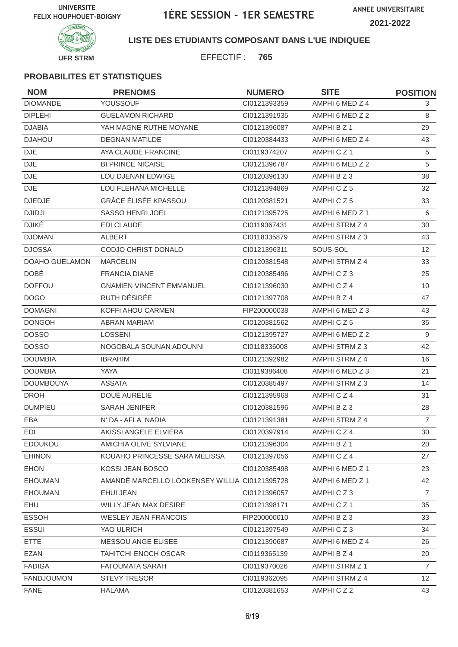**ANNEE UNIVERSITAIRE 2021-2022**



### **LISTE DES ETUDIANTS COMPOSANT DANS L'UE INDIQUEE**

EFFECTIF : **765**

| <b>NOM</b>        | <b>PRENOMS</b>                                | <b>NUMERO</b> | <b>SITE</b>     | <b>POSITION</b> |
|-------------------|-----------------------------------------------|---------------|-----------------|-----------------|
| <b>DIOMANDE</b>   | YOUSSOUF                                      | CI0121393359  | AMPHI 6 MED Z 4 | 3               |
| <b>DIPLEHI</b>    | <b>GUELAMON RICHARD</b>                       | CI0121391935  | AMPHI 6 MED Z 2 | 8               |
| <b>DJABIA</b>     | YAH MAGNE RUTHE MOYANE                        | CI0121396087  | AMPHI B Z 1     | 29              |
| <b>DJAHOU</b>     | <b>DEGNAN MATILDE</b>                         | CI0120384433  | AMPHI 6 MED Z 4 | 43              |
| <b>DJE</b>        | AYA CLAUDE FRANCINE                           | CI0119374207  | AMPHICZ1        | 5               |
| <b>DJE</b>        | <b>BI PRINCE NICAISE</b>                      | CI0121396787  | AMPHI 6 MED Z 2 | 5               |
| <b>DJE</b>        | LOU DJENAN EDWIGE                             | CI0120396130  | AMPHI B Z 3     | 38              |
| <b>DJE</b>        | LOU FLEHANA MICHELLE                          | CI0121394869  | AMPHICZ5        | 32              |
| <b>DJEDJE</b>     | <b>GRÂCE ÉLISÉE KPASSOU</b>                   | CI0120381521  | AMPHICZ5        | 33              |
| <b>DJIDJI</b>     | <b>SASSO HENRI JOEL</b>                       | CI0121395725  | AMPHI 6 MED Z 1 | 6               |
| <b>DJIKÉ</b>      | <b>EDI CLAUDE</b>                             | CI0119367431  | AMPHI STRM Z 4  | 30              |
| <b>DJOMAN</b>     | <b>ALBERT</b>                                 | CI0118335879  | AMPHI STRM Z 3  | 43              |
| <b>DJOSSA</b>     | <b>CODJO CHRIST DONALD</b>                    | CI0121396311  | SOUS-SOL        | 12              |
| DOAHO GUELAMON    | <b>MARCELIN</b>                               | CI0120381548  | AMPHI STRM Z 4  | 33              |
| <b>DOBÉ</b>       | <b>FRANCIA DIANE</b>                          | CI0120385496  | AMPHICZ3        | 25              |
| <b>DOFFOU</b>     | <b>GNAMIEN VINCENT EMMANUEL</b>               | CI0121396030  | AMPHICZ4        | 10              |
| <b>DOGO</b>       | RUTH DÉSIRÉE                                  | CI0121397708  | AMPHI B Z 4     | 47              |
| <b>DOMAGNI</b>    | KOFFI AHOU CARMEN                             | FIP200000038  | AMPHI 6 MED Z 3 | 43              |
| <b>DONGOH</b>     | <b>ABRAN MARIAM</b>                           | CI0120381562  | AMPHICZ5        | 35              |
| <b>DOSSO</b>      | <b>LOSSENI</b>                                | CI0121395727  | AMPHI 6 MED Z 2 | 9               |
| <b>DOSSO</b>      | NOGOBALA SOUNAN ADOUNNI                       | CI0118336008  | AMPHI STRM Z 3  | 42              |
| <b>DOUMBIA</b>    | <b>IBRAHIM</b>                                | CI0121392982  | AMPHI STRM Z 4  | 16              |
| <b>DOUMBIA</b>    | YAYA                                          | CI0119386408  | AMPHI 6 MED Z 3 | 21              |
| <b>DOUMBOUYA</b>  | <b>ASSATA</b>                                 | CI0120385497  | AMPHI STRM Z 3  | 14              |
| <b>DROH</b>       | DOUÉ AURÉLIE                                  | CI0121395968  | AMPHICZ4        | 31              |
| <b>DUMPIEU</b>    | <b>SARAH JENIFER</b>                          | CI0120381596  | AMPHI B Z 3     | 28              |
| EBA               | N' DA - AFLA NADIA                            | CI0121391381  | AMPHI STRM Z 4  | $\overline{7}$  |
| <b>EDI</b>        | AKISSI ANGELE ELVIERA                         | CI0120397914  | AMPHICZ4        | 30              |
| <b>EDOUKOU</b>    | AMICHIA OLIVE SYLVIANE                        | CI0121396304  | AMPHI B Z 1     | 20              |
| <b>EHINON</b>     | KOUAHO PRINCESSE SARA MÉLISSA                 | CI0121397056  | AMPHICZ4        | 27              |
| <b>EHON</b>       | KOSSI JEAN BOSCO                              | CI0120385498  | AMPHI 6 MED Z 1 | 23              |
| <b>EHOUMAN</b>    | AMANDÉ MARCELLO LOOKENSEY WILLIA CI0121395728 |               | AMPHI 6 MED Z 1 | 42              |
| <b>EHOUMAN</b>    | EHUI JEAN                                     | CI0121396057  | AMPHICZ3        | $\overline{7}$  |
| EHU               | WILLY JEAN MAX DESIRE                         | Cl0121398171  | AMPHICZ1        | 35              |
| <b>ESSOH</b>      | <b>WESLEY JEAN FRANCOIS</b>                   | FIP200000010  | AMPHI B Z 3     | 33              |
| <b>ESSUI</b>      | YAO ULRICH                                    | Cl0121397549  | AMPHICZ3        | 34              |
| <b>ETTE</b>       | MESSOU ANGE ELISEE                            | CI0121390687  | AMPHI 6 MED Z 4 | 26              |
| <b>EZAN</b>       | <b>TAHITCHI ENOCH OSCAR</b>                   | CI0119365139  | AMPHI B Z 4     | 20              |
| <b>FADIGA</b>     | <b>FATOUMATA SARAH</b>                        | CI0119370026  | AMPHI STRM Z 1  | $\overline{7}$  |
| <b>FANDJOUMON</b> | <b>STEVY TRESOR</b>                           | CI0119362095  | AMPHI STRM Z 4  | 12              |
| <b>FANE</b>       | <b>HALAMA</b>                                 | Cl0120381653  | AMPHICZ2        | 43              |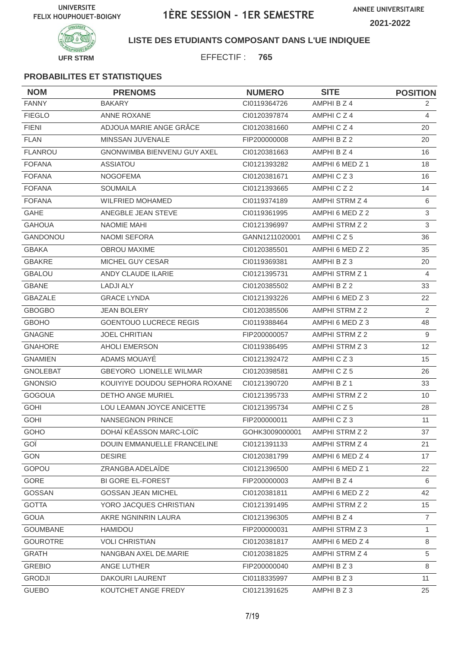**ANNEE UNIVERSITAIRE 2021-2022**



### **LISTE DES ETUDIANTS COMPOSANT DANS L'UE INDIQUEE**

EFFECTIF : **765**

| <b>NOM</b>      | <b>PRENOMS</b>                 | <b>NUMERO</b>  | <b>SITE</b>     | <b>POSITION</b>   |
|-----------------|--------------------------------|----------------|-----------------|-------------------|
| <b>FANNY</b>    | <b>BAKARY</b>                  | CI0119364726   | AMPHI B Z 4     | 2                 |
| <b>FIEGLO</b>   | <b>ANNE ROXANE</b>             | CI0120397874   | AMPHICZ4        | 4                 |
| <b>FIENI</b>    | ADJOUA MARIE ANGE GRÂCE        | CI0120381660   | AMPHICZ4        | 20                |
| <b>FLAN</b>     | MINSSAN JUVENALE               | FIP200000008   | AMPHI B Z 2     | 20                |
| <b>FLANROU</b>  | GNONWIMBA BIENVENU GUY AXEL    | CI0120381663   | AMPHI B Z 4     | 16                |
| <b>FOFANA</b>   | <b>ASSIATOU</b>                | CI0121393282   | AMPHI 6 MED Z 1 | 18                |
| <b>FOFANA</b>   | <b>NOGOFEMA</b>                | CI0120381671   | AMPHICZ3        | 16                |
| <b>FOFANA</b>   | <b>SOUMAILA</b>                | CI0121393665   | AMPHICZ2        | 14                |
| <b>FOFANA</b>   | <b>WILFRIED MOHAMED</b>        | CI0119374189   | AMPHI STRM Z 4  | 6                 |
| <b>GAHE</b>     | ANEGBLE JEAN STEVE             | CI0119361995   | AMPHI 6 MED Z 2 | 3                 |
| <b>GAHOUA</b>   | <b>NAOMIE MAHI</b>             | CI0121396997   | AMPHI STRM Z 2  | $\mathfrak{S}$    |
| <b>GANDONOU</b> | <b>NAOMI SEFORA</b>            | GANN1211020001 | AMPHICZ5        | 36                |
| <b>GBAKA</b>    | <b>OBROU MAXIME</b>            | CI0120385501   | AMPHI 6 MED Z 2 | 35                |
| <b>GBAKRE</b>   | MICHEL GUY CESAR               | CI0119369381   | AMPHI B Z 3     | 20                |
| <b>GBALOU</b>   | ANDY CLAUDE ILARIE             | CI0121395731   | AMPHI STRM Z 1  | 4                 |
| <b>GBANE</b>    | LADJI ALY                      | CI0120385502   | AMPHI B Z 2     | 33                |
| <b>GBAZALE</b>  | <b>GRACE LYNDA</b>             | CI0121393226   | AMPHI 6 MED Z 3 | 22                |
| <b>GBOGBO</b>   | <b>JEAN BOLERY</b>             | CI0120385506   | AMPHI STRM Z 2  | 2                 |
| <b>GBOHO</b>    | <b>GOENTOUO LUCRECE REGIS</b>  | CI0119388464   | AMPHI 6 MED Z 3 | 48                |
| <b>GNAGNE</b>   | <b>JOEL CHRITIAN</b>           | FIP200000057   | AMPHI STRM Z 2  | 9                 |
| <b>GNAHORE</b>  | <b>AHOLI EMERSON</b>           | CI0119386495   | AMPHI STRM Z 3  | $12 \overline{ }$ |
| <b>GNAMIEN</b>  | ADAMS MOUAYÉ                   | CI0121392472   | AMPHICZ3        | 15                |
| <b>GNOLEBAT</b> | <b>GBEYORO LIONELLE WILMAR</b> | CI0120398581   | AMPHICZ5        | 26                |
| <b>GNONSIO</b>  | KOUIYIYE DOUDOU SEPHORA ROXANE | Cl0121390720   | AMPHI B Z 1     | 33                |
| <b>GOGOUA</b>   | <b>DETHO ANGE MURIEL</b>       | CI0121395733   | AMPHI STRM Z 2  | 10                |
| <b>GOHI</b>     | LOU LEAMAN JOYCE ANICETTE      | CI0121395734   | AMPHICZ5        | 28                |
| <b>GOHI</b>     | <b>NANSEGNON PRINCE</b>        | FIP200000011   | AMPHICZ3        | 11                |
| GOHO            | DOHAÏ KÉASSON MARC-LOÏC        | GOHK3009000001 | AMPHI STRM Z 2  | 37                |
| GOÏ             | DOUIN EMMANUELLE FRANCELINE    | CI0121391133   | AMPHI STRM Z 4  | 21                |
| GON             | <b>DESIRE</b>                  | CI0120381799   | AMPHI 6 MED Z 4 | 17                |
| GOPOU           | ZRANGBA ADELAÏDE               | CI0121396500   | AMPHI 6 MED Z 1 | 22                |
| GORE            | <b>BI GORE EL-FOREST</b>       | FIP200000003   | AMPHI B Z 4     | 6                 |
| <b>GOSSAN</b>   | <b>GOSSAN JEAN MICHEL</b>      | CI0120381811   | AMPHI 6 MED Z 2 | 42                |
| <b>GOTTA</b>    | YORO JACQUES CHRISTIAN         | CI0121391495   | AMPHI STRM Z 2  | 15                |
| <b>GOUA</b>     | AKRE NGNINRIN LAURA            | CI0121396305   | AMPHI B Z 4     | 7                 |
| <b>GOUMBANE</b> | HAMIDOU                        | FIP200000031   | AMPHI STRM Z 3  | $\mathbf{1}$      |
| <b>GOUROTRE</b> | <b>VOLI CHRISTIAN</b>          | CI0120381817   | AMPHI 6 MED Z 4 | 8                 |
| <b>GRATH</b>    | NANGBAN AXEL DE.MARIE          | CI0120381825   | AMPHI STRM Z 4  | 5                 |
| <b>GREBIO</b>   | ANGE LUTHER                    | FIP200000040   | AMPHI B Z 3     | 8                 |
| <b>GRODJI</b>   | DAKOURI LAURENT                | CI0118335997   | AMPHI B Z 3     | 11                |
| <b>GUEBO</b>    | KOUTCHET ANGE FREDY            | Cl0121391625   | AMPHI B Z 3     | 25                |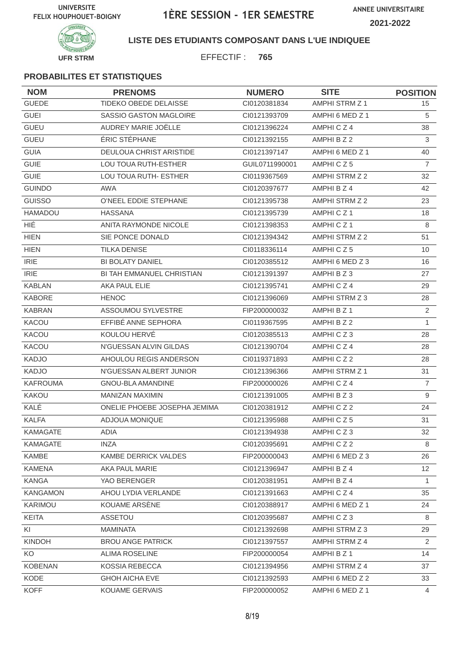**UFR STRM**

# 1ÈRE SESSION - 1ER SEMESTRE

**ANNEE UNIVERSITAIRE 2021-2022**



**INIVERSIT** 

**LISTE DES ETUDIANTS COMPOSANT DANS L'UE INDIQUEE**

EFFECTIF : **765**

| <b>NOM</b>      | <b>PRENOMS</b>               | <b>NUMERO</b>  | <b>SITE</b>           | <b>POSITION</b> |
|-----------------|------------------------------|----------------|-----------------------|-----------------|
| <b>GUEDE</b>    | TIDEKO OBEDE DELAISSE        | CI0120381834   | AMPHI STRM Z 1        | 15              |
| <b>GUEI</b>     | SASSIO GASTON MAGLOIRE       | CI0121393709   | AMPHI 6 MED Z 1       | 5               |
| <b>GUEU</b>     | AUDREY MARIE JOËLLE          | CI0121396224   | AMPHICZ4              | 38              |
| <b>GUEU</b>     | ÉRIC STÉPHANE                | CI0121392155   | AMPHI B Z 2           | 3               |
| <b>GUIA</b>     | DEULOUA CHRIST ARISTIDE      | CI0121397147   | AMPHI 6 MED Z 1       | 40              |
| <b>GUIE</b>     | LOU TOUA RUTH-ESTHER         | GUIL0711990001 | AMPHICZ5              | $\overline{7}$  |
| <b>GUIE</b>     | LOU TOUA RUTH- ESTHER        | CI0119367569   | AMPHI STRM Z 2        | 32              |
| <b>GUINDO</b>   | AWA                          | CI0120397677   | AMPHI B Z 4           | 42              |
| <b>GUISSO</b>   | O'NEEL EDDIE STEPHANE        | CI0121395738   | AMPHI STRM Z 2        | 23              |
| HAMADOU         | <b>HASSANA</b>               | CI0121395739   | AMPHICZ <sub>1</sub>  | 18              |
| <b>HIÉ</b>      | <b>ANITA RAYMONDE NICOLE</b> | CI0121398353   | AMPHICZ <sub>1</sub>  | 8               |
| <b>HIEN</b>     | SIE PONCE DONALD             | CI0121394342   | AMPHI STRM Z 2        | 51              |
| <b>HIEN</b>     | <b>TILKA DENISE</b>          | CI0118336114   | AMPHICZ5              | 10              |
| <b>IRIE</b>     | <b>BI BOLATY DANIEL</b>      | CI0120385512   | AMPHI 6 MED Z 3       | 16              |
| <b>IRIE</b>     | BI TAH EMMANUEL CHRISTIAN    | CI0121391397   | AMPHI B Z 3           | 27              |
| <b>KABLAN</b>   | AKA PAUL ELIE                | CI0121395741   | AMPHICZ4              | 29              |
| <b>KABORE</b>   | <b>HENOC</b>                 | CI0121396069   | AMPHI STRM Z 3        | 28              |
| <b>KABRAN</b>   | ASSOUMOU SYLVESTRE           | FIP200000032   | AMPHI B Z 1           | 2               |
| KACOU           | EFFIBÉ ANNE SEPHORA          | CI0119367595   | AMPHI B Z 2           | $\mathbf{1}$    |
| KACOU           | KOULOU HERVÉ                 | CI0120385513   | AMPHICZ3              | 28              |
| KACOU           | N'GUESSAN ALVIN GILDAS       | Cl0121390704   | AMPHICZ4              | 28              |
| <b>KADJO</b>    | AHOULOU REGIS ANDERSON       | CI0119371893   | AMPHICZ2              | 28              |
| <b>KADJO</b>    | N'GUESSAN ALBERT JUNIOR      | CI0121396366   | <b>AMPHI STRM Z 1</b> | 31              |
| <b>KAFROUMA</b> | <b>GNOU-BLA AMANDINE</b>     | FIP200000026   | AMPHICZ4              | $\overline{7}$  |
| <b>KAKOU</b>    | <b>MANIZAN MAXIMIN</b>       | CI0121391005   | AMPHI B Z 3           | 9               |
| KALÉ            | ONELIE PHOEBE JOSEPHA JEMIMA | CI0120381912   | AMPHICZ2              | 24              |
| <b>KALFA</b>    | <b>ADJOUA MONIQUE</b>        | CI0121395988   | AMPHICZ5              | 31              |
| KAMAGATE        | ADIA                         | CI0121394938   | AMPHICZ3              | 32              |
| <b>KAMAGATE</b> | <b>INZA</b>                  | CI0120395691   | AMPHICZ2              | 8               |
| KAMBE           | KAMBE DERRICK VALDES         | FIP200000043   | AMPHI 6 MED Z 3       | 26              |
| <b>KAMENA</b>   | AKA PAUL MARIE               | CI0121396947   | AMPHI B Z 4           | 12 <sup>2</sup> |
| <b>KANGA</b>    | YAO BERENGER                 | CI0120381951   | AMPHI B Z 4           | $\mathbf{1}$    |
| <b>KANGAMON</b> | AHOU LYDIA VERLANDE          | Cl0121391663   | AMPHICZ4              | 35              |
| KARIMOU         | KOUAME ARSÈNE                | Cl0120388917   | AMPHI 6 MED Z 1       | 24              |
| <b>KEITA</b>    | ASSETOU                      | CI0120395687   | AMPHICZ3              | 8               |
| KI              | <b>MAMINATA</b>              | CI0121392698   | AMPHI STRM Z 3        | 29              |
| <b>KINDOH</b>   | <b>BROU ANGE PATRICK</b>     | CI0121397557   | AMPHI STRM Z 4        | $\overline{2}$  |
| KO              | <b>ALIMA ROSELINE</b>        | FIP200000054   | AMPHI B Z 1           | 14              |
| <b>KOBENAN</b>  | <b>KOSSIA REBECCA</b>        | CI0121394956   | AMPHI STRM Z 4        | 37              |
| KODE            | GHOH AICHA EVE               | CI0121392593   | AMPHI 6 MED Z 2       | 33              |
| <b>KOFF</b>     | <b>KOUAME GERVAIS</b>        | FIP200000052   | AMPHI 6 MED Z 1       | 4               |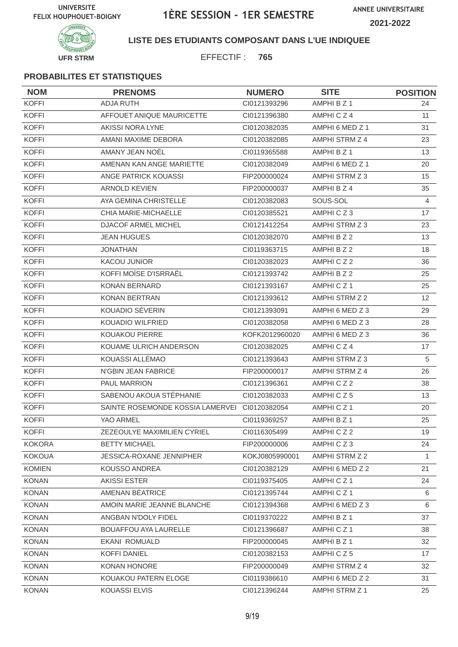**ANNEE UNIVERSITAIRE 2021-2022**



### **LISTE DES ETUDIANTS COMPOSANT DANS L'UE INDIQUEE**

EFFECTIF : **765**

| <b>NOM</b>    | <b>PRENOMS</b>                   | <b>NUMERO</b>  | <b>SITE</b>          | <b>POSITION</b>   |
|---------------|----------------------------------|----------------|----------------------|-------------------|
| <b>KOFFI</b>  | <b>ADJA RUTH</b>                 | CI0121393296   | AMPHI B Z 1          | 24                |
| <b>KOFFI</b>  | AFFOUET ANIQUE MAURICETTE        | CI0121396380   | AMPHICZ4             | 11                |
| <b>KOFFI</b>  | <b>AKISSI NORA LYNE</b>          | CI0120382035   | AMPHI 6 MED Z 1      | 31                |
| <b>KOFFI</b>  | AMANI MAXIME DEBORA              | CI0120382085   | AMPHI STRM Z 4       | 23                |
| <b>KOFFI</b>  | AMANY JEAN NOËL                  | CI0119365588   | AMPHI B Z 1          | 13                |
| <b>KOFFI</b>  | AMENAN KAN ANGE MARIETTE         | CI0120382049   | AMPHI 6 MED Z 1      | 20                |
| <b>KOFFI</b>  | ANGE PATRICK KOUASSI             | FIP200000024   | AMPHI STRM Z 3       | 15                |
| <b>KOFFI</b>  | <b>ARNOLD KEVIEN</b>             | FIP200000037   | AMPHI B Z 4          | 35                |
| <b>KOFFI</b>  | AYA GEMINA CHRISTELLE            | CI0120382083   | SOUS-SOL             | 4                 |
| <b>KOFFI</b>  | CHIA MARIE-MICHAELLE             | CI0120385521   | AMPHICZ3             | 17                |
| <b>KOFFI</b>  | <b>DJACOF ARMEL MICHEL</b>       | Cl0121412254   | AMPHI STRM Z 3       | 23                |
| <b>KOFFI</b>  | <b>JEAN HUGUES</b>               | CI0120382070   | AMPHI B Z 2          | 13                |
| <b>KOFFI</b>  | <b>JONATHAN</b>                  | CI0119363715   | AMPHI B Z 2          | 18                |
| <b>KOFFI</b>  | <b>KACOU JUNIOR</b>              | CI0120382023   | AMPHICZ2             | 36                |
| <b>KOFFI</b>  | KOFFI MOÏSE D'ISRRAËL            | CI0121393742   | AMPHI B Z 2          | 25                |
| <b>KOFFI</b>  | KONAN BERNARD                    | CI0121393167   | AMPHICZ <sub>1</sub> | 25                |
| <b>KOFFI</b>  | <b>KONAN BERTRAN</b>             | CI0121393612   | AMPHI STRM Z 2       | $12 \overline{ }$ |
| <b>KOFFI</b>  | KOUADIO SÉVERIN                  | CI0121393091   | AMPHI 6 MED Z 3      | 29                |
| <b>KOFFI</b>  | KOUADIO WILFRIED                 | CI0120382058   | AMPHI 6 MED Z 3      | 28                |
| <b>KOFFI</b>  | KOUAKOU PIERRE                   | KOFK2012960020 | AMPHI 6 MED Z 3      | 36                |
| <b>KOFFI</b>  | KOUAME ULRICH ANDERSON           | CI0120382025   | AMPHICZ4             | 17                |
| <b>KOFFI</b>  | KOUASSI ALLÉMAO                  | CI0121393643   | AMPHI STRM Z 3       | 5                 |
| <b>KOFFI</b>  | N'GBIN JEAN FABRICE              | FIP200000017   | AMPHI STRM Z 4       | 26                |
| <b>KOFFI</b>  | <b>PAUL MARRION</b>              | CI0121396361   | AMPHICZ2             | 38                |
| <b>KOFFI</b>  | SABENOU AKOUA STÉPHANIE          | CI0120382033   | AMPHICZ5             | 13                |
| <b>KOFFI</b>  | SAINTE ROSEMONDE KOSSIA LAMERVEI | CI0120382054   | AMPHICZ1             | 20                |
| <b>KOFFI</b>  | YAO ARMEL                        | CI0119369257   | AMPHI B Z 1          | 25                |
| <b>KOFFI</b>  | ZEZEOULYE MAXIMILIEN CYRIEL      | CI0116305499   | AMPHICZ2             | 19                |
| <b>KOKORA</b> | <b>BETTY MICHAEL</b>             | FIP200000006   | AMPHICZ3             | 24                |
| <b>KOKOUA</b> | <b>JESSICA-ROXANE JENNIPHER</b>  | KOKJ0805990001 | AMPHI STRM Z 2       | 1                 |
| <b>KOMIEN</b> | KOUSSO ANDREA                    | CI0120382129   | AMPHI 6 MED Z 2      | 21                |
| <b>KONAN</b>  | <b>AKISSI ESTER</b>              | CI0119375405   | AMPHICZ1             | 24                |
| <b>KONAN</b>  | AMENAN BÉATRICE                  | CI0121395744   | AMPHICZ1             | 6                 |
| <b>KONAN</b>  | AMOIN MARIE JEANNE BLANCHE       | CI0121394368   | AMPHI 6 MED Z 3      | 6                 |
| <b>KONAN</b>  | ANGBAN N'DOLY FIDEL              | CI0119370222   | AMPHI B Z 1          | 37                |
| <b>KONAN</b>  | BOUAFFOU AYA LAURELLE            | CI0121396687   | AMPHICZ1             | 38                |
| <b>KONAN</b>  | <b>EKANI ROMUALD</b>             | FIP200000045   | AMPHI B Z 1          | 32                |
| <b>KONAN</b>  | <b>KOFFI DANIEL</b>              | CI0120382153   | AMPHICZ5             | 17                |
| <b>KONAN</b>  | KONAN HONORE                     | FIP200000049   | AMPHI STRM Z 4       | 32                |
| <b>KONAN</b>  | KOUAKOU PATERN ELOGE             | CI0119386610   | AMPHI 6 MED Z 2      | 31                |
| <b>KONAN</b>  | <b>KOUASSI ELVIS</b>             | Cl0121396244   | AMPHI STRM Z 1       | 25                |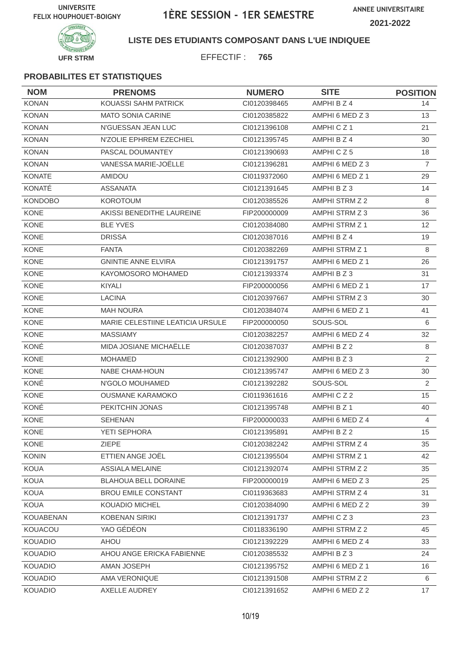

### **LISTE DES ETUDIANTS COMPOSANT DANS L'UE INDIQUEE**

EFFECTIF : **765**

| <b>NOM</b>       | <b>PRENOMS</b>                   | <b>NUMERO</b> | <b>SITE</b>     | <b>POSITION</b> |
|------------------|----------------------------------|---------------|-----------------|-----------------|
| <b>KONAN</b>     | <b>KOUASSI SAHM PATRICK</b>      | CI0120398465  | AMPHI B Z 4     | 14              |
| <b>KONAN</b>     | <b>MATO SONIA CARINE</b>         | CI0120385822  | AMPHI 6 MED Z 3 | 13              |
| <b>KONAN</b>     | N'GUESSAN JEAN LUC               | CI0121396108  | AMPHICZ1        | 21              |
| <b>KONAN</b>     | N'ZOLIE EPHREM EZECHIEL          | CI0121395745  | AMPHI B Z 4     | 30              |
| <b>KONAN</b>     | PASCAL DOUMANTEY                 | CI0121390693  | AMPHICZ5        | 18              |
| <b>KONAN</b>     | VANESSA MARIE-JOËLLE             | CI0121396281  | AMPHI 6 MED Z 3 | $\overline{7}$  |
| <b>KONATE</b>    | <b>AMIDOU</b>                    | CI0119372060  | AMPHI 6 MED Z 1 | 29              |
| KONATÉ           | <b>ASSANATA</b>                  | CI0121391645  | AMPHI B Z 3     | 14              |
| <b>KONDOBO</b>   | <b>KOROTOUM</b>                  | CI0120385526  | AMPHI STRM Z 2  | 8               |
| <b>KONE</b>      | AKISSI BENEDITHE LAUREINE        | FIP200000009  | AMPHI STRM Z 3  | 36              |
| <b>KONE</b>      | <b>BLE YVES</b>                  | CI0120384080  | AMPHI STRM Z 1  | 12              |
| <b>KONE</b>      | <b>DRISSA</b>                    | CI0120387016  | AMPHI B Z 4     | 19              |
| <b>KONE</b>      | <b>FANTA</b>                     | CI0120382269  | AMPHI STRM Z 1  | 8               |
| <b>KONE</b>      | <b>GNINTIE ANNE ELVIRA</b>       | CI0121391757  | AMPHI 6 MED Z 1 | 26              |
| <b>KONE</b>      | KAYOMOSORO MOHAMED               | CI0121393374  | AMPHI B Z 3     | 31              |
| <b>KONE</b>      | KIYALI                           | FIP200000056  | AMPHI 6 MED Z 1 | 17              |
| <b>KONE</b>      | <b>LACINA</b>                    | CI0120397667  | AMPHI STRM Z 3  | 30              |
| <b>KONE</b>      | <b>MAH NOURA</b>                 | CI0120384074  | AMPHI 6 MED Z 1 | 41              |
| <b>KONE</b>      | MARIE CELESTIINE LEATICIA URSULE | FIP200000050  | SOUS-SOL        | 6               |
| <b>KONE</b>      | <b>MASSIAMY</b>                  | CI0120382257  | AMPHI 6 MED Z 4 | 32              |
| KONÉ             | MIDA JOSIANE MICHAËLLE           | CI0120387037  | AMPHI B Z 2     | 8               |
| <b>KONE</b>      | <b>MOHAMED</b>                   | CI0121392900  | AMPHI B Z 3     | 2               |
| <b>KONE</b>      | <b>NABE CHAM-HOUN</b>            | CI0121395747  | AMPHI 6 MED Z 3 | 30              |
| KONÉ             | N'GOLO MOUHAMED                  | CI0121392282  | SOUS-SOL        | 2               |
| <b>KONE</b>      | <b>OUSMANE KARAMOKO</b>          | CI0119361616  | AMPHICZ2        | 15              |
| KONÉ             | PEKITCHIN JONAS                  | CI0121395748  | AMPHI B Z 1     | 40              |
| KONE             | <b>SEHENAN</b>                   | FIP200000033  | AMPHI 6 MED Z 4 | $\overline{4}$  |
| <b>KONE</b>      | YETI SEPHORA                     | Cl0121395891  | AMPHI B Z 2     | 15              |
| KONE             | <b>ZIEPE</b>                     | CI0120382242  | AMPHI STRM Z 4  | 35              |
| <b>KONIN</b>     | ETTIEN ANGE JOËL                 | CI0121395504  | AMPHI STRM Z 1  | 42              |
| <b>KOUA</b>      | <b>ASSIALA MELAINE</b>           | CI0121392074  | AMPHI STRM Z 2  | 35              |
| <b>KOUA</b>      | <b>BLAHOUA BELL DORAINE</b>      | FIP200000019  | AMPHI 6 MED Z 3 | 25              |
| <b>KOUA</b>      | <b>BROU EMILE CONSTANT</b>       | CI0119363683  | AMPHI STRM Z 4  | 31              |
| KOUA             | KOUADIO MICHEL                   | CI0120384090  | AMPHI 6 MED Z 2 | 39              |
| <b>KOUABENAN</b> | <b>KOBENAN SIRIKI</b>            | CI0121391737  | AMPHICZ3        | 23              |
| KOUACOU          | YAO GÉDÉON                       | CI0118336190  | AMPHI STRM Z 2  | 45              |
| <b>KOUADIO</b>   | <b>AHOU</b>                      | CI0121392229  | AMPHI 6 MED Z 4 | 33              |
| <b>KOUADIO</b>   | AHOU ANGE ERICKA FABIENNE        | CI0120385532  | AMPHI B Z 3     | 24              |
| <b>KOUADIO</b>   | AMAN JOSEPH                      | Cl0121395752  | AMPHI 6 MED Z 1 | 16              |
| <b>KOUADIO</b>   | <b>AMA VERONIQUE</b>             | CI0121391508  | AMPHI STRM Z 2  | 6               |
| KOUADIO          | AXELLE AUDREY                    | Cl0121391652  | AMPHI 6 MED Z 2 | 17              |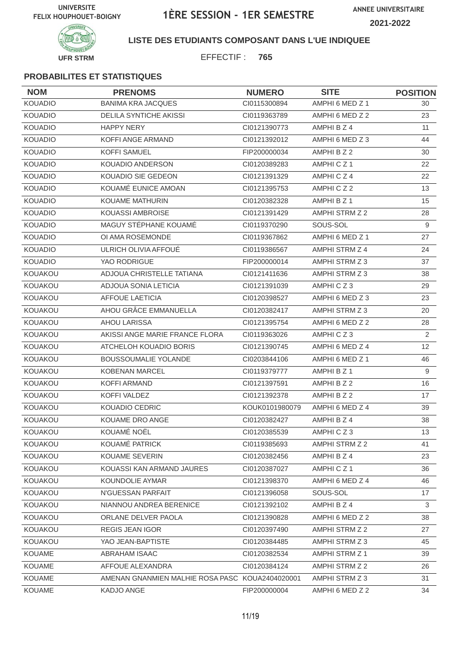

### **LISTE DES ETUDIANTS COMPOSANT DANS L'UE INDIQUEE**

EFFECTIF : **765**

| <b>NOM</b>     | <b>PRENOMS</b>                                  | <b>NUMERO</b>  | <b>SITE</b>     | <b>POSITION</b> |
|----------------|-------------------------------------------------|----------------|-----------------|-----------------|
| <b>KOUADIO</b> | <b>BANIMA KRA JACQUES</b>                       | CI0115300894   | AMPHI 6 MED Z 1 | 30              |
| <b>KOUADIO</b> | <b>DELILA SYNTICHE AKISSI</b>                   | CI0119363789   | AMPHI 6 MED Z 2 | 23              |
| <b>KOUADIO</b> | <b>HAPPY NERY</b>                               | CI0121390773   | AMPHI B Z 4     | 11              |
| <b>KOUADIO</b> | <b>KOFFI ANGE ARMAND</b>                        | CI0121392012   | AMPHI 6 MED Z 3 | 44              |
| <b>KOUADIO</b> | <b>KOFFI SAMUEL</b>                             | FIP200000034   | AMPHI B Z 2     | 30              |
| <b>KOUADIO</b> | KOUADIO ANDERSON                                | CI0120389283   | AMPHICZ1        | 22              |
| <b>KOUADIO</b> | KOUADIO SIE GEDEON                              | CI0121391329   | AMPHICZ4        | 22              |
| <b>KOUADIO</b> | KOUAMÉ EUNICE AMOAN                             | CI0121395753   | AMPHICZ2        | 13              |
| <b>KOUADIO</b> | KOUAME MATHURIN                                 | CI0120382328   | AMPHI B Z 1     | 15              |
| <b>KOUADIO</b> | <b>KOUASSI AMBROISE</b>                         | CI0121391429   | AMPHI STRM Z 2  | 28              |
| <b>KOUADIO</b> | MAGUY STÉPHANE KOUAMÉ                           | CI0119370290   | SOUS-SOL        | 9               |
| <b>KOUADIO</b> | OI AMA ROSEMONDE                                | CI0119367862   | AMPHI 6 MED Z 1 | 27              |
| <b>KOUADIO</b> | ULRICH OLIVIA AFFOUÉ                            | CI0119386567   | AMPHI STRM Z 4  | 24              |
| <b>KOUADIO</b> | YAO RODRIGUE                                    | FIP200000014   | AMPHI STRM Z 3  | 37              |
| KOUAKOU        | ADJOUA CHRISTELLE TATIANA                       | CI0121411636   | AMPHI STRM Z 3  | 38              |
| KOUAKOU        | ADJOUA SONIA LETICIA                            | CI0121391039   | AMPHICZ3        | 29              |
| KOUAKOU        | <b>AFFOUE LAETICIA</b>                          | CI0120398527   | AMPHI 6 MED Z 3 | 23              |
| KOUAKOU        | AHOU GRÂCE EMMANUELLA                           | CI0120382417   | AMPHI STRM Z 3  | 20              |
| KOUAKOU        | <b>AHOU LARISSA</b>                             | CI0121395754   | AMPHI 6 MED Z 2 | 28              |
| KOUAKOU        | AKISSI ANGE MARIE FRANCE FLORA                  | CI0119363026   | AMPHICZ3        | 2               |
| <b>KOUAKOU</b> | ATCHELOH KOUADIO BORIS                          | CI0121390745   | AMPHI 6 MED Z 4 | 12              |
| KOUAKOU        | <b>BOUSSOUMALIE YOLANDE</b>                     | CI0203844106   | AMPHI 6 MED Z 1 | 46              |
| KOUAKOU        | <b>KOBENAN MARCEL</b>                           | CI0119379777   | AMPHI B Z 1     | 9               |
| KOUAKOU        | <b>KOFFI ARMAND</b>                             | CI0121397591   | AMPHI B Z 2     | 16              |
| KOUAKOU        | <b>KOFFI VALDEZ</b>                             | CI0121392378   | AMPHI B Z 2     | 17              |
| KOUAKOU        | KOUADIO CEDRIC                                  | KOUK0101980079 | AMPHI 6 MED Z 4 | 39              |
| KOUAKOU        | KOUAME DRO ANGE                                 | CI0120382427   | AMPHI B Z 4     | 38              |
| KOUAKOU        | KOUAMÉ NOËL                                     | CI0120385539   | AMPHICZ3        | 13              |
| <b>KOUAKOU</b> | KOUAMÉ PATRICK                                  | CI0119385693   | AMPHI STRM Z 2  | 41              |
| KOUAKOU        | <b>KOUAME SEVERIN</b>                           | CI0120382456   | AMPHI B Z 4     | 23              |
| KOUAKOU        | KOUASSI KAN ARMAND JAURES                       | CI0120387027   | AMPHICZ1        | 36              |
| KOUAKOU        | KOUNDOLIE AYMAR                                 | Cl0121398370   | AMPHI 6 MED Z 4 | 46              |
| KOUAKOU        | N'GUESSAN PARFAIT                               | CI0121396058   | SOUS-SOL        | 17              |
| KOUAKOU        | NIANNOU ANDREA BERENICE                         | Cl0121392102   | AMPHI B Z 4     | 3               |
| KOUAKOU        | ORLANE DELVER PAOLA                             | CI0121390828   | AMPHI 6 MED Z 2 | 38              |
| KOUAKOU        | <b>REGIS JEAN IGOR</b>                          | CI0120397490   | AMPHI STRM Z 2  | 27              |
| KOUAKOU        | YAO JEAN-BAPTISTE                               | CI0120384485   | AMPHI STRM Z 3  | 45              |
| KOUAME         | ABRAHAM ISAAC                                   | CI0120382534   | AMPHI STRM Z 1  | 39              |
| KOUAME         | AFFOUE ALEXANDRA                                | CI0120384124   | AMPHI STRM Z 2  | 26              |
| <b>KOUAME</b>  | AMENAN GNANMIEN MALHIE ROSA PASC KOUA2404020001 |                | AMPHI STRM Z 3  | 31              |
| KOUAME         | KADJO ANGE                                      | FIP200000004   | AMPHI 6 MED Z 2 | 34              |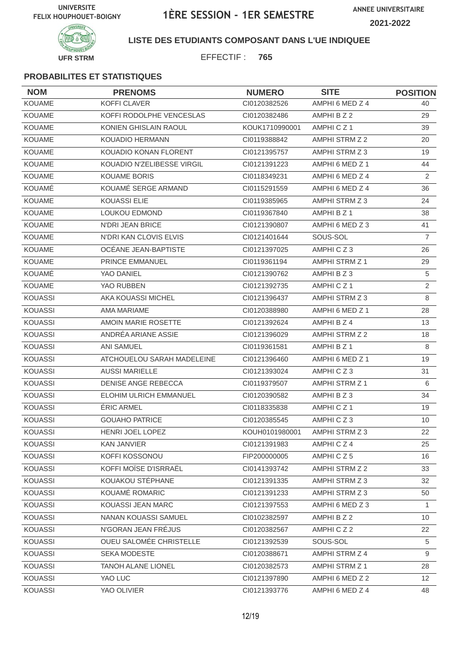**ANNEE UNIVERSITAIRE 2021-2022**



### **LISTE DES ETUDIANTS COMPOSANT DANS L'UE INDIQUEE**

EFFECTIF : **765**

| <b>NOM</b>     | <b>PRENOMS</b>             | <b>NUMERO</b>  | <b>SITE</b>          | <b>POSITION</b> |
|----------------|----------------------------|----------------|----------------------|-----------------|
| <b>KOUAME</b>  | <b>KOFFI CLAVER</b>        | CI0120382526   | AMPHI 6 MED Z 4      | 40              |
| <b>KOUAME</b>  | KOFFI RODOLPHE VENCESLAS   | CI0120382486   | AMPHI B Z 2          | 29              |
| <b>KOUAME</b>  | KONIEN GHISLAIN RAOUL      | KOUK1710990001 | AMPHICZ1             | 39              |
| <b>KOUAME</b>  | <b>KOUADIO HERMANN</b>     | CI0119388842   | AMPHI STRM Z 2       | 20              |
| <b>KOUAME</b>  | KOUADIO KONAN FLORENT      | CI0121395757   | AMPHI STRM Z 3       | 19              |
| <b>KOUAME</b>  | KOUADIO N'ZELIBESSE VIRGIL | CI0121391223   | AMPHI 6 MED Z 1      | 44              |
| <b>KOUAME</b>  | <b>KOUAME BORIS</b>        | CI0118349231   | AMPHI 6 MED Z 4      | 2               |
| KOUAMÉ         | KOUAMÉ SERGE ARMAND        | CI0115291559   | AMPHI 6 MED Z 4      | 36              |
| <b>KOUAME</b>  | <b>KOUASSI ELIE</b>        | CI0119385965   | AMPHI STRM Z 3       | 24              |
| <b>KOUAME</b>  | <b>LOUKOU EDMOND</b>       | CI0119367840   | AMPHI B Z 1          | 38              |
| <b>KOUAME</b>  | <b>N'DRI JEAN BRICE</b>    | CI0121390807   | AMPHI 6 MED Z 3      | 41              |
| <b>KOUAME</b>  | N'DRI KAN CLOVIS ELVIS     | CI0121401644   | SOUS-SOL             | $\overline{7}$  |
| <b>KOUAME</b>  | OCÉANE JEAN-BAPTISTE       | CI0121397025   | AMPHICZ3             | 26              |
| <b>KOUAME</b>  | <b>PRINCE EMMANUEL</b>     | CI0119361194   | AMPHI STRM Z 1       | 29              |
| KOUAMÉ         | YAO DANIEL                 | CI0121390762   | AMPHI B Z 3          | 5               |
| <b>KOUAME</b>  | YAO RUBBEN                 | CI0121392735   | AMPHICZ <sub>1</sub> | $\overline{2}$  |
| <b>KOUASSI</b> | AKA KOUASSI MICHEL         | CI0121396437   | AMPHI STRM Z 3       | 8               |
| <b>KOUASSI</b> | <b>AMA MARIAME</b>         | CI0120388980   | AMPHI 6 MED Z 1      | 28              |
| <b>KOUASSI</b> | AMOIN MARIE ROSETTE        | CI0121392624   | AMPHI B Z 4          | 13              |
| <b>KOUASSI</b> | ANDRÉA ARIANE ASSIE        | CI0121396029   | AMPHI STRM Z 2       | 18              |
| <b>KOUASSI</b> | <b>ANI SAMUEL</b>          | CI0119361581   | AMPHI B Z 1          | 8               |
| <b>KOUASSI</b> | ATCHOUELOU SARAH MADELEINE | CI0121396460   | AMPHI 6 MED Z 1      | 19              |
| <b>KOUASSI</b> | <b>AUSSI MARIELLE</b>      | CI0121393024   | AMPHICZ3             | 31              |
| <b>KOUASSI</b> | <b>DENISE ANGE REBECCA</b> | CI0119379507   | AMPHI STRM Z 1       | 6               |
| <b>KOUASSI</b> | ELOHIM ULRICH EMMANUEL     | CI0120390582   | AMPHI B Z 3          | 34              |
| <b>KOUASSI</b> | <b>ÉRIC ARMEL</b>          | CI0118335838   | AMPHICZ1             | 19              |
| <b>KOUASSI</b> | <b>GOUAHO PATRICE</b>      | CI0120385545   | AMPHICZ3             | 10              |
| <b>KOUASSI</b> | HENRI JOEL LOPEZ           | KOUH0101980001 | AMPHI STRM Z 3       | 22              |
| <b>KOUASSI</b> | <b>KAN JANVIER</b>         | CI0121391983   | AMPHICZ4             | 25              |
| KOUASSI        | KOFFI KOSSONOU             | FIP200000005   | AMPHICZ5             | 16              |
| <b>KOUASSI</b> | KOFFI MOÏSE D'ISRRAËL      | Cl0141393742   | AMPHI STRM Z 2       | 33              |
| <b>KOUASSI</b> | KOUAKOU STÉPHANE           | Cl0121391335   | AMPHI STRM Z 3       | 32              |
| KOUASSI        | KOUAMÉ ROMARIC             | Cl0121391233   | AMPHI STRM Z 3       | 50              |
| <b>KOUASSI</b> | KOUASSI JEAN MARC          | CI0121397553   | AMPHI 6 MED Z 3      | $\mathbf{1}$    |
| <b>KOUASSI</b> | NANAN KOUASSI SAMUEL       | CI0102382597   | AMPHI B Z 2          | 10              |
| <b>KOUASSI</b> | N'GORAN JEAN FRÉJUS        | CI0120382567   | AMPHICZ2             | 22              |
| <b>KOUASSI</b> | OUEU SALOMÉE CHRISTELLE    | CI0121392539   | SOUS-SOL             | 5               |
| <b>KOUASSI</b> | SEKA MODESTE               | Cl0120388671   | AMPHI STRM Z 4       | 9               |
| <b>KOUASSI</b> | TANOH ALANE LIONEL         | CI0120382573   | AMPHI STRM Z 1       | 28              |
| KOUASSI        | YAO LUC                    | Cl0121397890   | AMPHI 6 MED Z 2      | 12              |
| <b>KOUASSI</b> | YAO OLIVIER                | Cl0121393776   | AMPHI 6 MED Z 4      | 48              |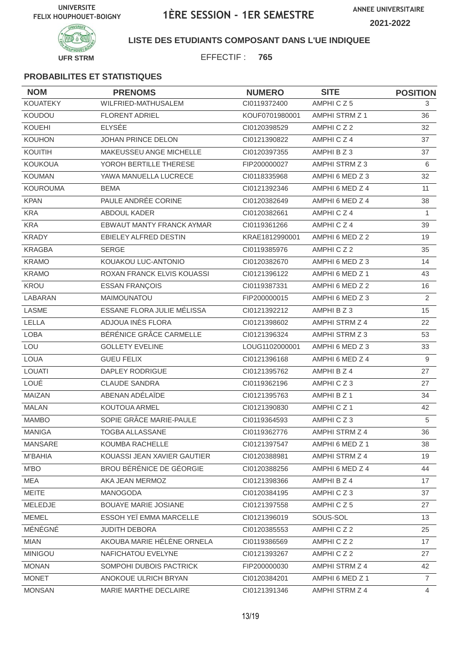

### **LISTE DES ETUDIANTS COMPOSANT DANS L'UE INDIQUEE**

EFFECTIF : **765**

| <b>NOM</b>      | <b>PRENOMS</b>              | <b>NUMERO</b>  | <b>SITE</b>     | <b>POSITION</b> |
|-----------------|-----------------------------|----------------|-----------------|-----------------|
| <b>KOUATEKY</b> | WILFRIED-MATHUSALEM         | CI0119372400   | AMPHICZ5        | 3               |
| KOUDOU          | <b>FLORENT ADRIEL</b>       | KOUF0701980001 | AMPHI STRM Z 1  | 36              |
| <b>KOUEHI</b>   | <b>ELYSÉE</b>               | CI0120398529   | AMPHICZ2        | 32              |
| <b>KOUHON</b>   | JOHAN PRINCE DELON          | CI0121390822   | AMPHICZ4        | 37              |
| KOUITIH         | MAKEUSSEU ANGE MICHELLE     | CI0120397355   | AMPHI B Z 3     | 37              |
| <b>KOUKOUA</b>  | YOROH BERTILLE THERESE      | FIP200000027   | AMPHI STRM Z 3  | 6               |
| <b>KOUMAN</b>   | YAWA MANUELLA LUCRECE       | CI0118335968   | AMPHI 6 MED Z 3 | 32              |
| <b>KOUROUMA</b> | <b>BEMA</b>                 | CI0121392346   | AMPHI 6 MED Z 4 | 11              |
| <b>KPAN</b>     | PAULE ANDRÉE CORINE         | CI0120382649   | AMPHI 6 MED Z 4 | 38              |
| <b>KRA</b>      | <b>ABDOUL KADER</b>         | CI0120382661   | AMPHICZ4        | 1               |
| <b>KRA</b>      | EBWAUT MANTY FRANCK AYMAR   | CI0119361266   | AMPHICZ4        | 39              |
| <b>KRADY</b>    | EBIELEY ALFRED DESTIN       | KRAE1812990001 | AMPHI 6 MED Z 2 | 19              |
| <b>KRAGBA</b>   | <b>SERGE</b>                | CI0119385976   | AMPHICZ2        | 35              |
| <b>KRAMO</b>    | KOUAKOU LUC-ANTONIO         | CI0120382670   | AMPHI 6 MED Z 3 | 14              |
| <b>KRAMO</b>    | ROXAN FRANCK ELVIS KOUASSI  | CI0121396122   | AMPHI 6 MED Z 1 | 43              |
| KROU            | <b>ESSAN FRANÇOIS</b>       | CI0119387331   | AMPHI 6 MED Z 2 | 16              |
| LABARAN         | MAIMOUNATOU                 | FIP200000015   | AMPHI 6 MED Z 3 | $\overline{2}$  |
| <b>LASME</b>    | ESSANE FLORA JULIE MÉLISSA  | CI0121392212   | AMPHI B Z 3     | 15              |
| LELLA           | ADJOUA INES FLORA           | CI0121398602   | AMPHI STRM Z 4  | 22              |
| <b>LOBA</b>     | BÉRÉNICE GRÂCE CARMELLE     | CI0121396324   | AMPHI STRM Z 3  | 53              |
| LOU             | <b>GOLLETY EVELINE</b>      | LOUG1102000001 | AMPHI 6 MED Z 3 | 33              |
| <b>LOUA</b>     | <b>GUEU FELIX</b>           | CI0121396168   | AMPHI 6 MED Z 4 | 9               |
| <b>LOUATI</b>   | DAPLEY RODRIGUE             | CI0121395762   | AMPHI B Z 4     | 27              |
| LOUÉ            | <b>CLAUDE SANDRA</b>        | CI0119362196   | AMPHICZ3        | 27              |
| MAIZAN          | ABENAN ADÉLAÏDE             | CI0121395763   | AMPHI B Z 1     | 34              |
| <b>MALAN</b>    | KOUTOUA ARMEL               | CI0121390830   | AMPHICZ1        | 42              |
| <b>MAMBO</b>    | SOPIE GRÂCE MARIE-PAULE     | CI0119364593   | AMPHICZ3        | 5               |
| <b>MANIGA</b>   | TOGBA ALLASSANE             | CI0119362776   | AMPHI STRM Z 4  | 36              |
| <b>MANSARE</b>  | KOUMBA RACHELLE             | CI0121397547   | AMPHI 6 MED Z 1 | 38              |
| M'BAHIA         | KOUASSI JEAN XAVIER GAUTIER | CI0120388981   | AMPHI STRM Z 4  | 19              |
| M'BO            | BROU BÉRÉNICE DE GÉORGIE    | Cl0120388256   | AMPHI 6 MED Z 4 | 44              |
| <b>MEA</b>      | AKA JEAN MERMOZ             | CI0121398366   | AMPHI B Z 4     | 17              |
| MEITE           | MANOGODA                    | CI0120384195   | AMPHICZ3        | 37              |
| MELEDJE         | BOUAYE MARIE JOSIANE        | Cl0121397558   | AMPHICZ5        | 27              |
| <b>MEMEL</b>    | ESSOH YEÏ EMMA MARCELLE     | CI0121396019   | SOUS-SOL        | 13              |
| MÉNÉGNÉ         | <b>JUDITH DEBORA</b>        | CI0120385553   | AMPHICZ2        | 25              |
| <b>MIAN</b>     | AKOUBA MARIE HÉLÈNE ORNELA  | CI0119386569   | AMPHICZ2        | 17              |
| <b>MINIGOU</b>  | NAFICHATOU EVELYNE          | CI0121393267   | AMPHICZ2        | 27              |
| <b>MONAN</b>    | SOMPOHI DUBOIS PACTRICK     | FIP200000030   | AMPHI STRM Z 4  | 42              |
| <b>MONET</b>    | ANOKOUE ULRICH BRYAN        | CI0120384201   | AMPHI 6 MED Z 1 | $\overline{7}$  |
| <b>MONSAN</b>   | MARIE MARTHE DECLAIRE       | Cl0121391346   | AMPHI STRM Z 4  | 4               |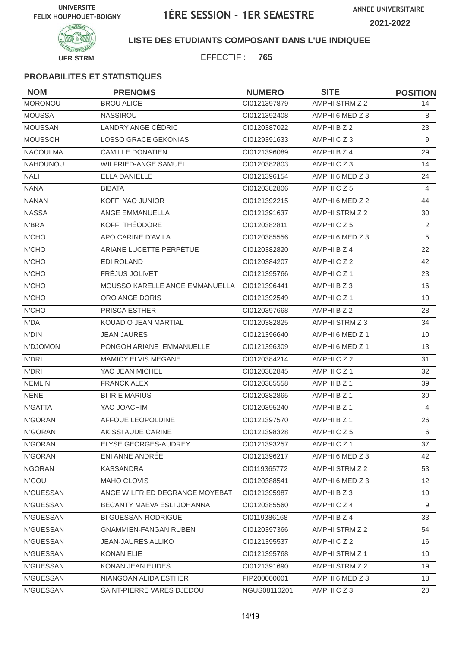

**LISTE DES ETUDIANTS COMPOSANT DANS L'UE INDIQUEE**

EFFECTIF : **765**

| <b>NOM</b>       | <b>PRENOMS</b>                 | <b>NUMERO</b> | <b>SITE</b>          | <b>POSITION</b> |
|------------------|--------------------------------|---------------|----------------------|-----------------|
| <b>MORONOU</b>   | <b>BROU ALICE</b>              | CI0121397879  | AMPHI STRM Z 2       | 14              |
| <b>MOUSSA</b>    | <b>NASSIROU</b>                | CI0121392408  | AMPHI 6 MED Z 3      | 8               |
| <b>MOUSSAN</b>   | LANDRY ANGE CÉDRIC             | CI0120387022  | AMPHI B Z 2          | 23              |
| <b>MOUSSOH</b>   | <b>LOSSO GRACE GEKONIAS</b>    | CI0129391633  | AMPHICZ3             | 9               |
| NACOULMA         | <b>CAMILLE DONATIEN</b>        | CI0121396089  | AMPHI B Z 4          | 29              |
| <b>NAHOUNOU</b>  | WILFRIED-ANGE SAMUEL           | CI0120382803  | AMPHICZ3             | 14              |
| <b>NALI</b>      | <b>ELLA DANIELLE</b>           | CI0121396154  | AMPHI 6 MED Z 3      | 24              |
| <b>NANA</b>      | <b>BIBATA</b>                  | CI0120382806  | AMPHICZ5             | $\overline{4}$  |
| <b>NANAN</b>     | KOFFI YAO JUNIOR               | CI0121392215  | AMPHI 6 MED Z 2      | 44              |
| <b>NASSA</b>     | ANGE EMMANUELLA                | CI0121391637  | AMPHI STRM Z 2       | 30              |
| N'BRA            | KOFFI THÉODORE                 | CI0120382811  | AMPHICZ5             | $\mathbf{2}$    |
| <b>N'CHO</b>     | APO CARINE D'AVILA             | CI0120385556  | AMPHI 6 MED Z 3      | 5               |
| N'CHO            | ARIANE LUCETTE PERPÉTUE        | CI0120382820  | AMPHI B Z 4          | 22              |
| <b>N'CHO</b>     | <b>EDI ROLAND</b>              | CI0120384207  | AMPHICZ2             | 42              |
| <b>N'CHO</b>     | FRÉJUS JOLIVET                 | CI0121395766  | AMPHICZ <sub>1</sub> | 23              |
| N'CHO            | MOUSSO KARELLE ANGE EMMANUELLA | CI0121396441  | AMPHI B Z 3          | 16              |
| <b>N'CHO</b>     | ORO ANGE DORIS                 | CI0121392549  | AMPHICZ1             | 10              |
| <b>N'CHO</b>     | <b>PRISCA ESTHER</b>           | CI0120397668  | AMPHI B Z 2          | 28              |
| N'DA             | KOUADIO JEAN MARTIAL           | CI0120382825  | AMPHI STRM Z 3       | 34              |
| <b>N'DIN</b>     | <b>JEAN JAURES</b>             | CI0121396640  | AMPHI 6 MED Z 1      | 10              |
| N'DJOMON         | PONGOH ARIANE EMMANUELLE       | CI0121396309  | AMPHI 6 MED Z 1      | 13              |
| N'DRI            | <b>MAMICY ELVIS MEGANE</b>     | CI0120384214  | AMPHICZ2             | 31              |
| N'DRI            | YAO JEAN MICHEL                | CI0120382845  | AMPHICZ1             | 32              |
| <b>NEMLIN</b>    | <b>FRANCK ALEX</b>             | CI0120385558  | AMPHI B Z 1          | 39              |
| <b>NENE</b>      | <b>BI IRIE MARIUS</b>          | CI0120382865  | AMPHI B Z 1          | 30              |
| N'GATTA          | YAO JOACHIM                    | CI0120395240  | AMPHI B Z 1          | $\overline{4}$  |
| N'GORAN          | AFFOUE LEOPOLDINE              | CI0121397570  | AMPHI B Z 1          | 26              |
| N'GORAN          | AKISSI AUDE CARINE             | Cl0121398328  | AMPHICZ5             | 6               |
| N'GORAN          | ELYSE GEORGES-AUDREY           | CI0121393257  | AMPHICZ1             | 37              |
| N'GORAN          | ENI ANNE ANDRÉE                | CI0121396217  | AMPHI 6 MED Z 3      | 42              |
| <b>NGORAN</b>    | <b>KASSANDRA</b>               | CI0119365772  | AMPHI STRM Z 2       | 53              |
| N'GOU            | MAHO CLOVIS                    | CI0120388541  | AMPHI 6 MED Z 3      | 12 <sup>°</sup> |
| <b>N'GUESSAN</b> | ANGE WILFRIED DEGRANGE MOYEBAT | CI0121395987  | AMPHI B Z 3          | 10              |
| <b>N'GUESSAN</b> | BECANTY MAEVA ESLI JOHANNA     | CI0120385560  | AMPHICZ4             | 9               |
| <b>N'GUESSAN</b> | <b>BI GUESSAN RODRIGUE</b>     | CI0119386168  | AMPHI B Z 4          | 33              |
| N'GUESSAN        | <b>GNAMMIEN-FANGAN RUBEN</b>   | CI0120397366  | AMPHI STRM Z 2       | 54              |
| N'GUESSAN        | <b>JEAN-JAURES ALLIKO</b>      | CI0121395537  | AMPHICZ2             | 16              |
| <b>N'GUESSAN</b> | <b>KONAN ELIE</b>              | CI0121395768  | AMPHI STRM Z 1       | 10              |
| <b>N'GUESSAN</b> | KONAN JEAN EUDES               | CI0121391690  | AMPHI STRM Z 2       | 19              |
| <b>N'GUESSAN</b> | NIANGOAN ALIDA ESTHER          | FIP200000001  | AMPHI 6 MED Z 3      | 18              |
| N'GUESSAN        | SAINT-PIERRE VARES DJEDOU      | NGUS08110201  | AMPHICZ3             | 20              |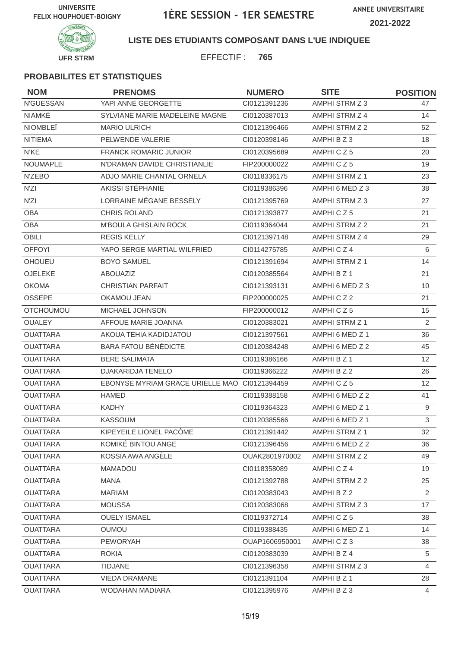

**LISTE DES ETUDIANTS COMPOSANT DANS L'UE INDIQUEE**

EFFECTIF : **765**

| <b>NOM</b>       | <b>PRENOMS</b>                                | <b>NUMERO</b>  | <b>SITE</b>           | <b>POSITION</b>   |
|------------------|-----------------------------------------------|----------------|-----------------------|-------------------|
| <b>N'GUESSAN</b> | YAPI ANNE GEORGETTE                           | CI0121391236   | AMPHI STRM Z 3        | 47                |
| NIAMKÉ           | SYLVIANE MARIE MADELEINE MAGNE                | CI0120387013   | AMPHI STRM Z 4        | 14                |
| <b>NIOMBLE</b>   | <b>MARIO ULRICH</b>                           | CI0121396466   | AMPHI STRM Z 2        | 52                |
| <b>NITIEMA</b>   | PELWENDE VALERIE                              | CI0120398146   | AMPHI B Z 3           | 18                |
| N'KE             | <b>FRANCK ROMARIC JUNIOR</b>                  | CI0120395689   | AMPHICZ5              | 20                |
| <b>NOUMAPLE</b>  | N'DRAMAN DAVIDE CHRISTIANLIE                  | FIP200000022   | AMPHICZ5              | 19                |
| N'ZEBO           | ADJO MARIE CHANTAL ORNELA                     | CI0118336175   | <b>AMPHI STRM Z 1</b> | 23                |
| N'ZI             | AKISSI STÉPHANIE                              | CI0119386396   | AMPHI 6 MED Z 3       | 38                |
| N'ZI             | LORRAINE MÉGANE BESSELY                       | CI0121395769   | AMPHI STRM Z 3        | 27                |
| <b>OBA</b>       | <b>CHRIS ROLAND</b>                           | CI0121393877   | AMPHICZ5              | 21                |
| <b>OBA</b>       | <b>M'BOULA GHISLAIN ROCK</b>                  | CI0119364044   | AMPHI STRM Z 2        | 21                |
| <b>OBILI</b>     | <b>REGIS KELLY</b>                            | CI0121397148   | AMPHI STRM Z 4        | 29                |
| <b>OFFOYI</b>    | YAPO SERGE MARTIAL WILFRIED                   | CI0114275785   | AMPHICZ4              | 6                 |
| <b>OHOUEU</b>    | <b>BOYO SAMUEL</b>                            | CI0121391694   | AMPHI STRM Z 1        | 14                |
| OJELEKE          | <b>ABOUAZIZ</b>                               | CI0120385564   | AMPHI B Z 1           | 21                |
| <b>OKOMA</b>     | <b>CHRISTIAN PARFAIT</b>                      | CI0121393131   | AMPHI 6 MED Z 3       | 10                |
| OSSEPE           | OKAMOU JEAN                                   | FIP200000025   | AMPHICZ2              | 21                |
| <b>OTCHOUMOU</b> | <b>MICHAEL JOHNSON</b>                        | FIP200000012   | AMPHICZ5              | 15                |
| <b>OUALEY</b>    | AFFOUE MARIE JOANNA                           | CI0120383021   | AMPHI STRM Z 1        | $\overline{2}$    |
| <b>OUATTARA</b>  | AKOUA TEHIA KADIDJATOU                        | CI0121397561   | AMPHI 6 MED Z 1       | 36                |
| <b>OUATTARA</b>  | <b>BARA FATOU BÉNÉDICTE</b>                   | CI0120384248   | AMPHI 6 MED Z 2       | 45                |
| <b>OUATTARA</b>  | <b>BERE SALIMATA</b>                          | CI0119386166   | AMPHI B Z 1           | 12                |
| <b>OUATTARA</b>  | DJAKARIDJA TENELO                             | CI0119366222   | AMPHI B Z 2           | 26                |
| <b>OUATTARA</b>  | EBONYSE MYRIAM GRACE URIELLE MAO C10121394459 |                | AMPHICZ5              | $12 \overline{ }$ |
| <b>OUATTARA</b>  | <b>HAMED</b>                                  | CI0119388158   | AMPHI 6 MED Z 2       | 41                |
| <b>OUATTARA</b>  | <b>KADHY</b>                                  | CI0119364323   | AMPHI 6 MED Z 1       | 9                 |
| <b>OUATTARA</b>  | <b>KASSOUM</b>                                | CI0120385566   | AMPHI 6 MED Z 1       | 3                 |
| <b>OUATTARA</b>  | KIPEYEILE LIONEL PACÔME                       | CI0121391442   | AMPHI STRM Z 1        | 32                |
| <b>OUATTARA</b>  | KOMIKÉ BINTOU ANGE                            | CI0121396456   | AMPHI 6 MED Z 2       | 36                |
| <b>OUATTARA</b>  | KOSSIA AWA ANGÈLE                             | OUAK2801970002 | AMPHI STRM Z 2        | 49                |
| <b>OUATTARA</b>  | MAMADOU                                       | CI0118358089   | AMPHICZ4              | 19                |
| <b>OUATTARA</b>  | <b>MANA</b>                                   | CI0121392788   | AMPHI STRM Z 2        | 25                |
| <b>OUATTARA</b>  | <b>MARIAM</b>                                 | CI0120383043   | AMPHI B Z 2           | 2                 |
| <b>OUATTARA</b>  | <b>MOUSSA</b>                                 | CI0120383068   | AMPHI STRM Z 3        | 17                |
| <b>OUATTARA</b>  | <b>OUELY ISMAEL</b>                           | Cl0119372714   | AMPHICZ5              | 38                |
| <b>OUATTARA</b>  | <b>OUMOU</b>                                  | CI0119388435   | AMPHI 6 MED Z 1       | 14                |
| <b>OUATTARA</b>  | <b>PEWORYAH</b>                               | OUAP1606950001 | AMPHICZ3              | 38                |
| <b>OUATTARA</b>  | <b>ROKIA</b>                                  | CI0120383039   | AMPHI B Z 4           | 5                 |
| <b>OUATTARA</b>  | <b>TIDJANE</b>                                | CI0121396358   | AMPHI STRM Z 3        | 4                 |
| <b>OUATTARA</b>  | VIEDA DRAMANE                                 | Cl0121391104   | AMPHI B Z 1           | 28                |
| <b>OUATTARA</b>  | WODAHAN MADIARA                               | Cl0121395976   | AMPHI B Z 3           | 4                 |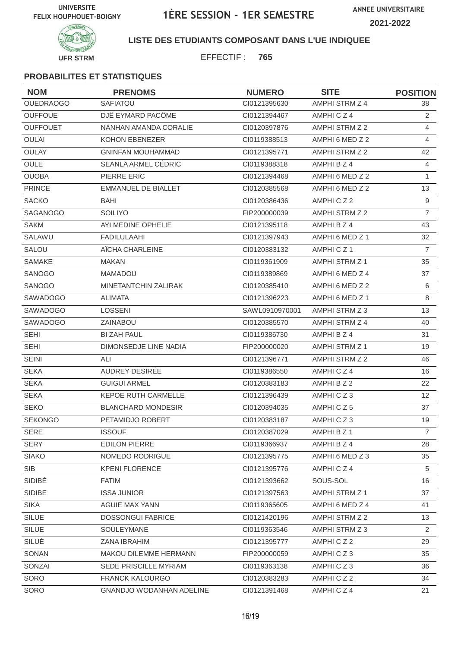

**LISTE DES ETUDIANTS COMPOSANT DANS L'UE INDIQUEE**

EFFECTIF : **765**

| <b>NOM</b>       | <b>PRENOMS</b>                  | <b>NUMERO</b>  | <b>SITE</b>     | <b>POSITION</b> |
|------------------|---------------------------------|----------------|-----------------|-----------------|
| <b>OUEDRAOGO</b> | SAFIATOU                        | CI0121395630   | AMPHI STRM Z 4  | 38              |
| <b>OUFFOUE</b>   | DJÊ EYMARD PACÔME               | CI0121394467   | AMPHICZ4        | 2               |
| <b>OUFFOUET</b>  | NANHAN AMANDA CORALIE           | CI0120397876   | AMPHI STRM Z 2  | 4               |
| <b>OULAI</b>     | <b>KOHON EBENEZER</b>           | CI0119388513   | AMPHI 6 MED Z 2 | $\overline{4}$  |
| <b>OULAY</b>     | <b>GNINFAN MOUHAMMAD</b>        | CI0121395771   | AMPHI STRM Z 2  | 42              |
| OULE             | SEANLA ARMEL CÉDRIC             | CI0119388318   | AMPHI B Z 4     | 4               |
| <b>OUOBA</b>     | PIERRE ERIC                     | CI0121394468   | AMPHI 6 MED Z 2 | $\mathbf{1}$    |
| <b>PRINCE</b>    | <b>EMMANUEL DE BIALLET</b>      | CI0120385568   | AMPHI 6 MED Z 2 | 13              |
| <b>SACKO</b>     | <b>BAHI</b>                     | CI0120386436   | AMPHICZ2        | 9               |
| <b>SAGANOGO</b>  | <b>SOILIYO</b>                  | FIP200000039   | AMPHI STRM Z 2  | $\overline{7}$  |
| <b>SAKM</b>      | AYI MEDINE OPHELIE              | CI0121395118   | AMPHI B Z 4     | 43              |
| SALAWU           | <b>FADILULAAHI</b>              | CI0121397943   | AMPHI 6 MED Z 1 | 32              |
| <b>SALOU</b>     | AÏCHA CHARLEINE                 | CI0120383132   | AMPHICZ1        | $\overline{7}$  |
| <b>SAMAKE</b>    | <b>MAKAN</b>                    | CI0119361909   | AMPHI STRM Z 1  | 35              |
| <b>SANOGO</b>    | <b>MAMADOU</b>                  | CI0119389869   | AMPHI 6 MED Z 4 | 37              |
| SANOGO           | <b>MINETANTCHIN ZALIRAK</b>     | CI0120385410   | AMPHI 6 MED Z 2 | 6               |
| <b>SAWADOGO</b>  | <b>ALIMATA</b>                  | CI0121396223   | AMPHI 6 MED Z 1 | 8               |
| <b>SAWADOGO</b>  | <b>LOSSENI</b>                  | SAWL0910970001 | AMPHI STRM Z 3  | 13              |
| <b>SAWADOGO</b>  | <b>ZAINABOU</b>                 | CI0120385570   | AMPHI STRM Z 4  | 40              |
| <b>SEHI</b>      | <b>BI ZAH PAUL</b>              | CI0119386730   | AMPHI B Z 4     | 31              |
| <b>SEHI</b>      | DIMONSEDJE LINE NADIA           | FIP200000020   | AMPHI STRM Z 1  | 19              |
| <b>SEINI</b>     | ALI                             | CI0121396771   | AMPHI STRM Z 2  | 46              |
| <b>SEKA</b>      | AUDREY DESIRÉE                  | CI0119386550   | AMPHICZ4        | 16              |
| SÉKA             | <b>GUIGUI ARMEL</b>             | CI0120383183   | AMPHI B Z 2     | 22              |
| <b>SEKA</b>      | <b>KEPOE RUTH CARMELLE</b>      | CI0121396439   | AMPHICZ3        | 12              |
| <b>SEKO</b>      | <b>BLANCHARD MONDESIR</b>       | CI0120394035   | AMPHICZ5        | 37              |
| <b>SEKONGO</b>   | PETAMIDJO ROBERT                | CI0120383187   | AMPHICZ3        | 19              |
| SERE             | <b>ISSOUF</b>                   | CI0120387029   | AMPHI B Z 1     | $\overline{7}$  |
| <b>SERY</b>      | <b>EDILON PIERRE</b>            | CI0119366937   | AMPHI B Z 4     | 28              |
| <b>SIAKO</b>     | NOMEDO RODRIGUE                 | CI0121395775   | AMPHI 6 MED Z 3 | 35              |
| SIB              | <b>KPENI FLORENCE</b>           | CI0121395776   | AMPHICZ4        | 5               |
| SIDIBÉ           | <b>FATIM</b>                    | CI0121393662   | SOUS-SOL        | 16              |
| <b>SIDIBE</b>    | <b>ISSA JUNIOR</b>              | CI0121397563   | AMPHI STRM Z 1  | 37              |
| <b>SIKA</b>      | AGUIE MAX YANN                  | CI0119365605   | AMPHI 6 MED Z 4 | 41              |
| <b>SILUE</b>     | <b>DOSSONGUI FABRICE</b>        | CI0121420196   | AMPHI STRM Z 2  | 13              |
| SILUE            | SOULEYMANE                      | CI0119363546   | AMPHI STRM Z 3  | $\overline{2}$  |
| SILUÉ            | ZANA IBRAHIM                    | CI0121395777   | AMPHICZ2        | 29              |
| SONAN            | MAKOU DILEMME HERMANN           | FIP200000059   | AMPHICZ3        | 35              |
| SONZAI           | SEDE PRISCILLE MYRIAM           | CI0119363138   | AMPHICZ3        | 36              |
| SORO             | <b>FRANCK KALOURGO</b>          | CI0120383283   | AMPHICZ2        | 34              |
| SORO             | <b>GNANDJO WODANHAN ADELINE</b> | Cl0121391468   | AMPHICZ4        | 21              |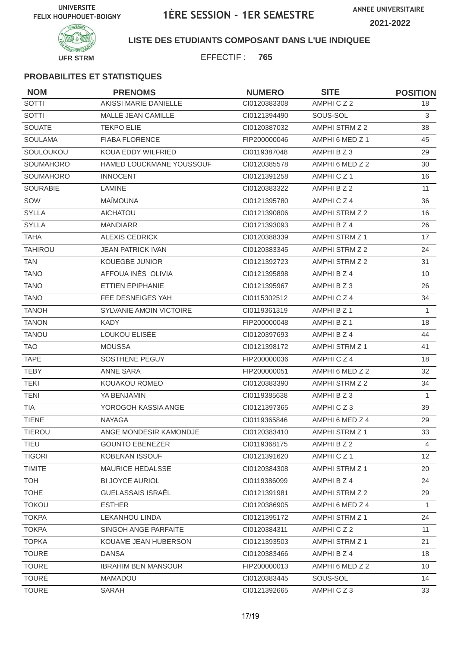

#### **LISTE DES ETUDIANTS COMPOSANT DANS L'UE INDIQUEE**

EFFECTIF : **765**

| <b>NOM</b>       | <b>PRENOMS</b>                 | <b>NUMERO</b> | <b>SITE</b>           | <b>POSITION</b> |
|------------------|--------------------------------|---------------|-----------------------|-----------------|
| <b>SOTTI</b>     | AKISSI MARIE DANIELLE          | CI0120383308  | AMPHICZ2              | 18              |
| <b>SOTTI</b>     | MALLÉ JEAN CAMILLE             | CI0121394490  | SOUS-SOL              | 3               |
| <b>SOUATE</b>    | <b>TEKPO ELIE</b>              | CI0120387032  | AMPHI STRM Z 2        | 38              |
| <b>SOULAMA</b>   | <b>FIABA FLORENCE</b>          | FIP200000046  | AMPHI 6 MED Z 1       | 45              |
| SOULOUKOU        | KOUA EDDY WILFRIED             | CI0119387048  | AMPHI B Z 3           | 29              |
| SOUMAHORO        | HAMED LOUCKMANE YOUSSOUF       | CI0120385578  | AMPHI 6 MED Z 2       | 30              |
| <b>SOUMAHORO</b> | <b>INNOCENT</b>                | CI0121391258  | AMPHICZ <sub>1</sub>  | 16              |
| <b>SOURABIE</b>  | LAMINE                         | CI0120383322  | AMPHI B Z 2           | 11              |
| SOW              | <b>MAÏMOUNA</b>                | CI0121395780  | AMPHICZ4              | 36              |
| <b>SYLLA</b>     | <b>AICHATOU</b>                | Cl0121390806  | AMPHI STRM Z 2        | 16              |
| <b>SYLLA</b>     | <b>MANDIARR</b>                | CI0121393093  | AMPHI B Z 4           | 26              |
| <b>TAHA</b>      | <b>ALEXIS CEDRICK</b>          | CI0120388339  | AMPHI STRM Z 1        | 17              |
| <b>TAHIROU</b>   | <b>JEAN PATRICK IVAN</b>       | CI0120383345  | AMPHI STRM Z 2        | 24              |
| <b>TAN</b>       | KOUEGBE JUNIOR                 | CI0121392723  | AMPHI STRM Z 2        | 31              |
| <b>TANO</b>      | AFFOUA INÈS OLIVIA             | CI0121395898  | AMPHI B Z 4           | 10              |
| <b>TANO</b>      | <b>ETTIEN EPIPHANIE</b>        | CI0121395967  | AMPHI B Z 3           | 26              |
| <b>TANO</b>      | FEE DESNEIGES YAH              | CI0115302512  | AMPHICZ4              | 34              |
| <b>TANOH</b>     | <b>SYLVANIE AMOIN VICTOIRE</b> | CI0119361319  | AMPHI B Z 1           | $\mathbf{1}$    |
| <b>TANON</b>     | <b>KADY</b>                    | FIP200000048  | AMPHI B Z 1           | 18              |
| <b>TANOU</b>     | LOUKOU ELISÉE                  | CI0120397693  | AMPHI B Z 4           | 44              |
| <b>TAO</b>       | <b>MOUSSA</b>                  | CI0121398172  | AMPHI STRM Z 1        | 41              |
| <b>TAPE</b>      | SOSTHENE PEGUY                 | FIP200000036  | AMPHICZ4              | 18              |
| <b>TEBY</b>      | ANNE SARA                      | FIP200000051  | AMPHI 6 MED Z 2       | 32              |
| <b>TEKI</b>      | KOUAKOU ROMEO                  | CI0120383390  | AMPHI STRM Z 2        | 34              |
| <b>TENI</b>      | YA BENJAMIN                    | CI0119385638  | AMPHI B Z 3           | $\mathbf{1}$    |
| <b>TIA</b>       | YOROGOH KASSIA ANGE            | CI0121397365  | AMPHICZ3              | 39              |
| <b>TIENE</b>     | <b>NAYAGA</b>                  | CI0119365846  | AMPHI 6 MED Z 4       | 29              |
| <b>TIEROU</b>    | ANGE MONDESIR KAMONDJE         | Cl0120383410  | AMPHI STRM Z 1        | 33              |
| TIEU             | <b>GOUNTO EBENEZER</b>         | CI0119368175  | AMPHI B Z 2           | 4               |
| <b>TIGORI</b>    | <b>KOBENAN ISSOUF</b>          | CI0121391620  | AMPHICZ1              | 12              |
| <b>TIMITE</b>    | <b>MAURICE HEDALSSE</b>        | CI0120384308  | <b>AMPHI STRM Z 1</b> | 20              |
| <b>TOH</b>       | <b>BI JOYCE AURIOL</b>         | CI0119386099  | AMPHI B Z 4           | 24              |
| <b>TOHE</b>      | <b>GUELASSAIS ISRAËL</b>       | CI0121391981  | AMPHI STRM Z 2        | 29              |
| <b>TOKOU</b>     | <b>ESTHER</b>                  | CI0120386905  | AMPHI 6 MED Z 4       | $\mathbf{1}$    |
| <b>TOKPA</b>     | <b>LEKANHOU LINDA</b>          | CI0121395172  | AMPHI STRM Z 1        | 24              |
| <b>TOKPA</b>     | SINGOH ANGE PARFAITE           | CI0120384311  | AMPHICZ2              | 11              |
| <b>TOPKA</b>     | KOUAME JEAN HUBERSON           | Cl0121393503  | <b>AMPHI STRM Z 1</b> | 21              |
| <b>TOURE</b>     | <b>DANSA</b>                   | CI0120383466  | AMPHI B Z 4           | 18              |
| <b>TOURE</b>     | <b>IBRAHIM BEN MANSOUR</b>     | FIP200000013  | AMPHI 6 MED Z 2       | 10              |
| <b>TOURÉ</b>     | <b>MAMADOU</b>                 | CI0120383445  | SOUS-SOL              | 14              |
| <b>TOURE</b>     | SARAH                          | CI0121392665  | AMPHICZ3              | 33              |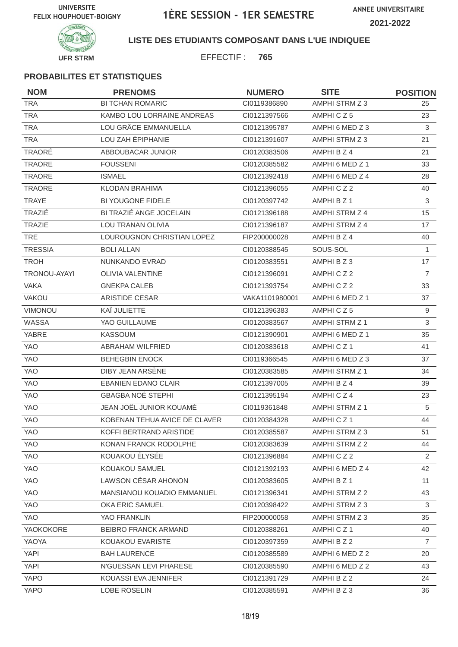

### **LISTE DES ETUDIANTS COMPOSANT DANS L'UE INDIQUEE**

EFFECTIF : **765**

| <b>NOM</b>     | <b>PRENOMS</b>                | <b>NUMERO</b>  | <b>SITE</b>     | <b>POSITION</b> |
|----------------|-------------------------------|----------------|-----------------|-----------------|
| <b>TRA</b>     | <b>BI TCHAN ROMARIC</b>       | CI0119386890   | AMPHI STRM Z 3  | 25              |
| <b>TRA</b>     | KAMBO LOU LORRAINE ANDREAS    | CI0121397566   | AMPHICZ5        | 23              |
| <b>TRA</b>     | LOU GRÂCE EMMANUELLA          | CI0121395787   | AMPHI 6 MED Z 3 | 3               |
| <b>TRA</b>     | LOU ZAH ÉPIPHANIE             | CI0121391607   | AMPHI STRM Z 3  | 21              |
| TRAORÉ         | ABBOUBACAR JUNIOR             | CI0120383506   | AMPHI B Z 4     | 21              |
| TRAORE         | <b>FOUSSENI</b>               | CI0120385582   | AMPHI 6 MED Z 1 | 33              |
| TRAORE         | <b>ISMAEL</b>                 | CI0121392418   | AMPHI 6 MED Z 4 | 28              |
| <b>TRAORE</b>  | <b>KLODAN BRAHIMA</b>         | CI0121396055   | AMPHICZ2        | 40              |
| <b>TRAYE</b>   | BI YOUGONE FIDELE             | CI0120397742   | AMPHI B Z 1     | $\mathfrak{S}$  |
| TRAZIÉ         | BI TRAZIÉ ANGE JOCELAIN       | CI0121396188   | AMPHI STRM Z 4  | 15              |
| <b>TRAZIE</b>  | LOU TRANAN OLIVIA             | CI0121396187   | AMPHI STRM Z 4  | 17              |
| <b>TRE</b>     | LOUROUGNON CHRISTIAN LOPEZ    | FIP200000028   | AMPHI B Z 4     | 40              |
| <b>TRESSIA</b> | <b>BOLI ALLAN</b>             | CI0120388545   | SOUS-SOL        | $\mathbf{1}$    |
| <b>TROH</b>    | NUNKANDO EVRAD                | CI0120383551   | AMPHI B Z 3     | 17              |
| TRONOU-AYAYI   | <b>OLIVIA VALENTINE</b>       | CI0121396091   | AMPHICZ2        | $\overline{7}$  |
| <b>VAKA</b>    | <b>GNEKPA CALEB</b>           | CI0121393754   | AMPHICZ2        | 33              |
| <b>VAKOU</b>   | ARISTIDE CESAR                | VAKA1101980001 | AMPHI 6 MED Z 1 | 37              |
| VIMONOU        | KAÏ JULIETTE                  | CI0121396383   | AMPHICZ5        | 9               |
| WASSA          | YAO GUILLAUME                 | CI0120383567   | AMPHI STRM Z 1  | 3               |
| YABRE          | <b>KASSOUM</b>                | CI0121390901   | AMPHI 6 MED Z 1 | 35              |
| <b>YAO</b>     | ABRAHAM WILFRIED              | CI0120383618   | AMPHICZ1        | 41              |
| <b>YAO</b>     | <b>BEHEGBIN ENOCK</b>         | CI0119366545   | AMPHI 6 MED Z 3 | 37              |
| <b>YAO</b>     | DIBY JEAN ARSÈNE              | CI0120383585   | AMPHI STRM Z 1  | 34              |
| <b>YAO</b>     | <b>EBANIEN EDANO CLAIR</b>    | CI0121397005   | AMPHI B Z 4     | 39              |
| <b>YAO</b>     | <b>GBAGBA NOÉ STEPHI</b>      | CI0121395194   | AMPHICZ4        | 23              |
| YAO            | JEAN JOËL JUNIOR KOUAMÉ       | CI0119361848   | AMPHI STRM Z 1  | 5               |
| <b>YAO</b>     | KOBENAN TEHUA AVICE DE CLAVER | CI0120384328   | AMPHICZ1        | 44              |
| YAO            | KOFFI BERTRAND ARISTIDE       | CI0120385587   | AMPHI STRM Z 3  | 51              |
| <b>YAO</b>     | KONAN FRANCK RODOLPHE         | CI0120383639   | AMPHI STRM Z 2  | 44              |
| YAO            | KOUAKOU ELYSEE                | CI0121396884   | AMPHICZ2        | 2               |
| YAO            | KOUAKOU SAMUEL                | CI0121392193   | AMPHI 6 MED Z 4 | 42              |
| YAO            | LAWSON CÉSAR AHONON           | CI0120383605   | AMPHI B Z 1     | 11              |
| <b>YAO</b>     | MANSIANOU KOUADIO EMMANUEL    | CI0121396341   | AMPHI STRM Z 2  | 43              |
| YAO            | OKA ERIC SAMUEL               | CI0120398422   | AMPHI STRM Z 3  | $\mathbf{3}$    |
| YAO            | YAO FRANKLIN                  | FIP200000058   | AMPHI STRM Z 3  | 35              |
| YAOKOKORE      | BEIBRO FRANCK ARMAND          | CI0120388261   | AMPHICZ1        | 40              |
| YAOYA          | KOUAKOU EVARISTE              | CI0120397359   | AMPHI B Z 2     | $\overline{7}$  |
| YAPI           | <b>BAH LAURENCE</b>           | CI0120385589   | AMPHI 6 MED Z 2 | 20              |
| YAPI           | N'GUESSAN LEVI PHARESE        | CI0120385590   | AMPHI 6 MED Z 2 | 43              |
| YAPO           | KOUASSI EVA JENNIFER          | Cl0121391729   | AMPHI B Z 2     | 24              |
| YAPO           | LOBE ROSELIN                  | CI0120385591   | AMPHI B Z 3     | 36              |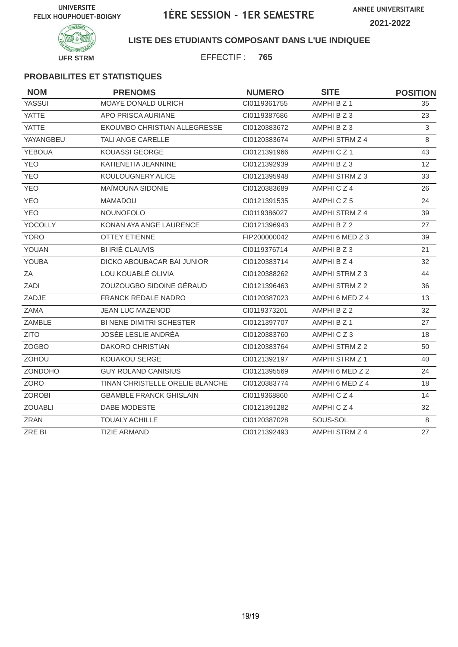**ANNEE UNIVERSITAIRE 2021-2022**



### **LISTE DES ETUDIANTS COMPOSANT DANS L'UE INDIQUEE**

EFFECTIF : **765**

| <b>NOM</b>     | <b>PRENOMS</b>                  | <b>NUMERO</b> | <b>SITE</b>     | <b>POSITION</b> |
|----------------|---------------------------------|---------------|-----------------|-----------------|
| YASSUI         | MOAYE DONALD ULRICH             | CI0119361755  | AMPHI B Z 1     | 35              |
| <b>YATTE</b>   | APO PRISCA AURIANE              | CI0119387686  | AMPHI B Z 3     | 23              |
| <b>YATTE</b>   | EKOUMBO CHRISTIAN ALLEGRESSE    | CI0120383672  | AMPHI B Z 3     | 3               |
| YAYANGBEU      | <b>TALI ANGE CARELLE</b>        | CI0120383674  | AMPHI STRM Z 4  | 8               |
| <b>YEBOUA</b>  | <b>KOUASSI GEORGE</b>           | CI0121391966  | AMPHICZ1        | 43              |
| <b>YEO</b>     | KATIENETIA JEANNINE             | CI0121392939  | AMPHI B Z 3     | 12              |
| <b>YEO</b>     | KOULOUGNERY ALICE               | CI0121395948  | AMPHI STRM Z 3  | 33              |
| <b>YEO</b>     | MAÏMOUNA SIDONIE                | CI0120383689  | AMPHICZ4        | 26              |
| <b>YEO</b>     | <b>MAMADOU</b>                  | CI0121391535  | AMPHICZ5        | 24              |
| <b>YEO</b>     | <b>NOUNOFOLO</b>                | CI0119386027  | AMPHI STRM Z 4  | 39              |
| YOCOLLY        | KONAN AYA ANGE LAURENCE         | CI0121396943  | AMPHI B Z 2     | 27              |
| <b>YORO</b>    | <b>OTTEY ETIENNE</b>            | FIP200000042  | AMPHI 6 MED Z 3 | 39              |
| YOUAN          | <b>BI IRIÉ CLAUVIS</b>          | CI0119376714  | AMPHI B Z 3     | 21              |
| <b>YOUBA</b>   | DICKO ABOUBACAR BAI JUNIOR      | CI0120383714  | AMPHI B Z 4     | 32              |
| ZA             | LOU KOUABLÉ OLIVIA              | CI0120388262  | AMPHI STRM Z 3  | 44              |
| ZADI           | ZOUZOUGBO SIDOINE GÉRAUD        | CI0121396463  | AMPHI STRM Z 2  | 36              |
| ZADJE          | <b>FRANCK REDALE NADRO</b>      | CI0120387023  | AMPHI 6 MED Z 4 | 13              |
| <b>ZAMA</b>    | <b>JEAN LUC MAZENOD</b>         | CI0119373201  | AMPHI B Z 2     | 32              |
| ZAMBLE         | BI NENE DIMITRI SCHESTER        | CI0121397707  | AMPHI B Z 1     | 27              |
| <b>ZITO</b>    | JOSÉE LESLIE ANDRÉA             | CI0120383760  | AMPHICZ3        | 18              |
| <b>ZOGBO</b>   | DAKORO CHRISTIAN                | Cl0120383764  | AMPHI STRM Z 2  | 50              |
| ZOHOU          | <b>KOUAKOU SERGE</b>            | CI0121392197  | AMPHI STRM Z 1  | 40              |
| ZONDOHO        | <b>GUY ROLAND CANISIUS</b>      | CI0121395569  | AMPHI 6 MED Z 2 | 24              |
| ZORO           | TINAN CHRISTELLE ORELIE BLANCHE | CI0120383774  | AMPHI 6 MED Z 4 | 18              |
| <b>ZOROBI</b>  | <b>GBAMBLE FRANCK GHISLAIN</b>  | CI0119368860  | AMPHICZ4        | 14              |
| <b>ZOUABLI</b> | DABE MODESTE                    | Cl0121391282  | AMPHICZ4        | 32              |
| <b>ZRAN</b>    | <b>TOUALY ACHILLE</b>           | CI0120387028  | SOUS-SOL        | 8               |
| ZRE BI         | <b>TIZIE ARMAND</b>             | CI0121392493  | AMPHI STRM Z 4  | 27              |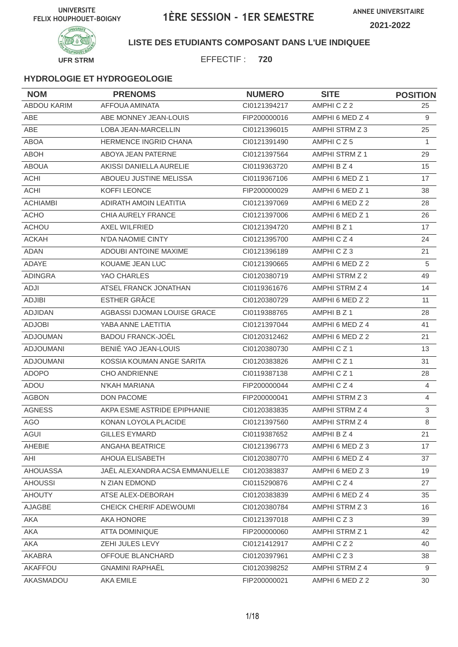

### **LISTE DES ETUDIANTS COMPOSANT DANS L'UE INDIQUEE**

EFFECTIF : **720**

| <b>NOM</b>       | <b>PRENOMS</b>                 | <b>NUMERO</b> | <b>SITE</b>           | <b>POSITION</b> |
|------------------|--------------------------------|---------------|-----------------------|-----------------|
| ABDOU KARIM      | <b>AFFOUA AMINATA</b>          | CI0121394217  | AMPHICZ2              | 25              |
| <b>ABE</b>       | ABE MONNEY JEAN-LOUIS          | FIP200000016  | AMPHI 6 MED Z 4       | 9               |
| ABE              | LOBA JEAN-MARCELLIN            | CI0121396015  | AMPHI STRM Z 3        | 25              |
| <b>ABOA</b>      | <b>HERMENCE INGRID CHANA</b>   | CI0121391490  | AMPHICZ5              | $\mathbf{1}$    |
| <b>ABOH</b>      | ABOYA JEAN PATERNE             | CI0121397564  | AMPHI STRM Z 1        | 29              |
| <b>ABOUA</b>     | AKISSI DANIELLA AURELIE        | CI0119363720  | AMPHI B Z 4           | 15              |
| <b>ACHI</b>      | ABOUEU JUSTINE MELISSA         | CI0119367106  | AMPHI 6 MED Z 1       | 17              |
| <b>ACHI</b>      | KOFFI LEONCE                   | FIP200000029  | AMPHI 6 MED Z 1       | 38              |
| <b>ACHIAMBI</b>  | ADIRATH AMOIN LEATITIA         | CI0121397069  | AMPHI 6 MED Z 2       | 28              |
| <b>ACHO</b>      | <b>CHIA AURELY FRANCE</b>      | CI0121397006  | AMPHI 6 MED Z 1       | 26              |
| <b>ACHOU</b>     | AXEL WILFRIED                  | CI0121394720  | AMPHI B Z 1           | 17              |
| <b>ACKAH</b>     | N'DA NAOMIE CINTY              | CI0121395700  | AMPHICZ4              | 24              |
| <b>ADAN</b>      | <b>ADOUBI ANTOINE MAXIME</b>   | CI0121396189  | AMPHICZ3              | 21              |
| ADAYE            | KOUAME JEAN LUC                | CI0121390665  | AMPHI 6 MED Z 2       | 5               |
| <b>ADINGRA</b>   | YAO CHARLES                    | CI0120380719  | AMPHI STRM Z 2        | 49              |
| ADJI             | ATSEL FRANCK JONATHAN          | CI0119361676  | AMPHI STRM Z 4        | 14              |
| <b>ADJIBI</b>    | <b>ESTHER GRÂCE</b>            | CI0120380729  | AMPHI 6 MED Z 2       | 11              |
| <b>ADJIDAN</b>   | AGBASSI DJOMAN LOUISE GRACE    | CI0119388765  | AMPHI B Z 1           | 28              |
| <b>ADJOBI</b>    | YABA ANNE LAETITIA             | CI0121397044  | AMPHI 6 MED Z 4       | 41              |
| <b>ADJOUMAN</b>  | <b>BADOU FRANCK-JOËL</b>       | CI0120312462  | AMPHI 6 MED Z 2       | 21              |
| <b>ADJOUMANI</b> | BENIÉ YAO JEAN-LOUIS           | CI0120380730  | AMPHICZ <sub>1</sub>  | 13              |
| <b>ADJOUMANI</b> | KOSSIA KOUMAN ANGE SARITA      | CI0120383826  | AMPHICZ <sub>1</sub>  | 31              |
| <b>ADOPO</b>     | <b>CHO ANDRIENNE</b>           | CI0119387138  | AMPHICZ1              | 28              |
| ADOU             | N'KAH MARIANA                  | FIP200000044  | AMPHICZ4              | $\overline{4}$  |
| <b>AGBON</b>     | <b>DON PACOME</b>              | FIP200000041  | AMPHI STRM Z 3        | $\overline{4}$  |
| <b>AGNESS</b>    | AKPA ESME ASTRIDE EPIPHANIE    | CI0120383835  | <b>AMPHI STRM Z 4</b> | 3               |
| <b>AGO</b>       | KONAN LOYOLA PLACIDE           | CI0121397560  | AMPHI STRM Z 4        | 8               |
| AGUI             | GILLES EYMARD                  | CI0119387652  | AMPHI B Z 4           | 21              |
| AHEBIE           | <b>ANGAHA BEATRICE</b>         | CI0121396773  | AMPHI 6 MED Z 3       | 17              |
| AHI              | AHOUA ELISABETH                | CI0120380770  | AMPHI 6 MED Z 4       | 37              |
| <b>AHOUASSA</b>  | JAËL ALEXANDRA ACSA EMMANUELLE | CI0120383837  | AMPHI 6 MED Z 3       | 19              |
| <b>AHOUSSI</b>   | N ZIAN EDMOND                  | CI0115290876  | AMPHICZ4              | 27              |
| <b>AHOUTY</b>    | ATSE ALEX-DEBORAH              | CI0120383839  | AMPHI 6 MED Z 4       | 35              |
| AJAGBE           | CHEICK CHERIF ADEWOUMI         | CI0120380784  | AMPHI STRM Z 3        | 16              |
| AKA              | AKA HONORE                     | Cl0121397018  | AMPHICZ3              | 39              |
| AKA              | <b>ATTA DOMINIQUE</b>          | FIP200000060  | <b>AMPHI STRM Z 1</b> | 42              |
| AKA              | ZEHI JULES LEVY                | CI0121412917  | AMPHICZ2              | 40              |
| AKABRA           | OFFOUE BLANCHARD               | CI0120397961  | AMPHICZ3              | 38              |
| AKAFFOU          | <b>GNAMINI RAPHAËL</b>         | CI0120398252  | AMPHI STRM Z 4        | 9               |
| AKASMADOU        | AKA EMILE                      | FIP200000021  | AMPHI 6 MED Z 2       | 30              |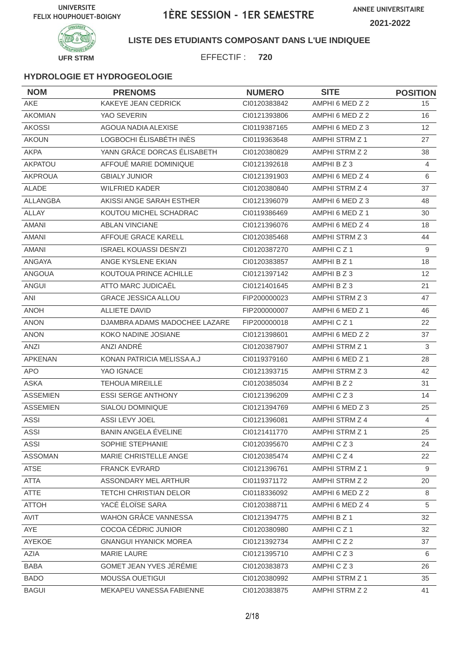

### **LISTE DES ETUDIANTS COMPOSANT DANS L'UE INDIQUEE**

EFFECTIF : **720**

| <b>NOM</b>      | <b>PRENOMS</b>                | <b>NUMERO</b> | <b>SITE</b>     | <b>POSITION</b> |
|-----------------|-------------------------------|---------------|-----------------|-----------------|
| AKE             | KAKEYE JEAN CEDRICK           | CI0120383842  | AMPHI 6 MED Z 2 | 15              |
| <b>AKOMIAN</b>  | YAO SEVERIN                   | CI0121393806  | AMPHI 6 MED Z 2 | 16              |
| <b>AKOSSI</b>   | AGOUA NADIA ALEXISE           | CI0119387165  | AMPHI 6 MED Z 3 | 12 <sup>2</sup> |
| <b>AKOUN</b>    | LOGBOCHI ÉLISABÉTH INÈS       | CI0119363648  | AMPHI STRM Z 1  | 27              |
| <b>AKPA</b>     | YANN GRÂCE DORCAS ÉLISABETH   | CI0120380829  | AMPHI STRM Z 2  | 38              |
| <b>AKPATOU</b>  | AFFOUÉ MARIE DOMINIQUE        | CI0121392618  | AMPHIBZ3        | $\overline{4}$  |
| <b>AKPROUA</b>  | <b>GBIALY JUNIOR</b>          | CI0121391903  | AMPHI 6 MED Z 4 | 6               |
| <b>ALADE</b>    | <b>WILFRIED KADER</b>         | CI0120380840  | AMPHI STRM Z 4  | 37              |
| ALLANGBA        | AKISSI ANGE SARAH ESTHER      | CI0121396079  | AMPHI 6 MED Z 3 | 48              |
| <b>ALLAY</b>    | KOUTOU MICHEL SCHADRAC        | CI0119386469  | AMPHI 6 MED Z 1 | 30              |
| <b>AMANI</b>    | <b>ABLAN VINCIANE</b>         | CI0121396076  | AMPHI 6 MED Z 4 | 18              |
| <b>AMANI</b>    | AFFOUE GRACE KARELL           | CI0120385468  | AMPHI STRM Z 3  | 44              |
| <b>AMANI</b>    | <b>ISRAEL KOUASSI DESN'ZI</b> | CI0120387270  | AMPHICZ1        | 9               |
| ANGAYA          | ANGE KYSLENE EKIAN            | CI0120383857  | AMPHI B Z 1     | 18              |
| ANGOUA          | KOUTOUA PRINCE ACHILLE        | CI0121397142  | AMPHI B Z 3     | 12              |
| <b>ANGUI</b>    | ATTO MARC JUDICAËL            | CI0121401645  | AMPHIBZ3        | 21              |
| ANI             | <b>GRACE JESSICA ALLOU</b>    | FIP200000023  | AMPHI STRM Z 3  | 47              |
| <b>ANOH</b>     | <b>ALLIETE DAVID</b>          | FIP200000007  | AMPHI 6 MED Z 1 | 46              |
| <b>ANON</b>     | DJAMBRA ADAMS MADOCHEE LAZARE | FIP200000018  | AMPHICZ1        | 22              |
| <b>ANON</b>     | KOKO NADINE JOSIANE           | CI0121398601  | AMPHI 6 MED Z 2 | 37              |
| <b>ANZI</b>     | ANZI ANDRÉ                    | CI0120387907  | AMPHI STRM Z 1  | 3               |
| <b>APKENAN</b>  | KONAN PATRICIA MELISSA A.J    | CI0119379160  | AMPHI 6 MED Z 1 | 28              |
| <b>APO</b>      | YAO IGNACE                    | CI0121393715  | AMPHI STRM Z 3  | 42              |
| <b>ASKA</b>     | <b>TEHOUA MIREILLE</b>        | CI0120385034  | AMPHI B Z 2     | 31              |
| <b>ASSEMIEN</b> | <b>ESSI SERGE ANTHONY</b>     | CI0121396209  | AMPHICZ3        | 14              |
| <b>ASSEMIEN</b> | SIALOU DOMINIQUE              | CI0121394769  | AMPHI 6 MED Z 3 | 25              |
| <b>ASSI</b>     | ASSI LEVY JOEL                | CI0121396081  | AMPHI STRM Z 4  | 4               |
| ASSI            | BANIN ANGELA ÉVELINE          | CI0121411770  | AMPHI STRM Z 1  | 25              |
| <b>ASSI</b>     | SOPHIE STEPHANIE              | CI0120395670  | AMPHICZ3        | 24              |
| <b>ASSOMAN</b>  | MARIE CHRISTELLE ANGE         | CI0120385474  | AMPHICZ4        | 22              |
| <b>ATSE</b>     | <b>FRANCK EVRARD</b>          | CI0121396761  | AMPHI STRM Z 1  | 9               |
| <b>ATTA</b>     | ASSONDARY MEL ARTHUR          | CI0119371172  | AMPHI STRM Z 2  | 20              |
| ATTE            | TETCHI CHRISTIAN DELOR        | CI0118336092  | AMPHI 6 MED Z 2 | 8               |
| <b>ATTOH</b>    | YACÉ ÉLOÏSE SARA              | CI0120388711  | AMPHI 6 MED Z 4 | 5               |
| AVIT            | <b>WAHON GRÂCE VANNESSA</b>   | CI0121394775  | AMPHI B Z 1     | 32              |
| AYE             | COCOA CÉDRIC JUNIOR           | CI0120380980  | AMPHICZ1        | 32              |
| AYEKOE          | <b>GNANGUI HYANICK MOREA</b>  | CI0121392734  | AMPHICZ2        | 37              |
| AZIA            | <b>MARIE LAURE</b>            | Cl0121395710  | AMPHICZ3        | 6               |
| BABA            | GOMET JEAN YVES JÉRÉMIE       | CI0120383873  | AMPHICZ3        | 26              |
| <b>BADO</b>     | MOUSSA OUETIGUI               | CI0120380992  | AMPHI STRM Z 1  | 35              |
| <b>BAGUI</b>    | MEKAPEU VANESSA FABIENNE      | CI0120383875  | AMPHI STRM Z 2  | 41              |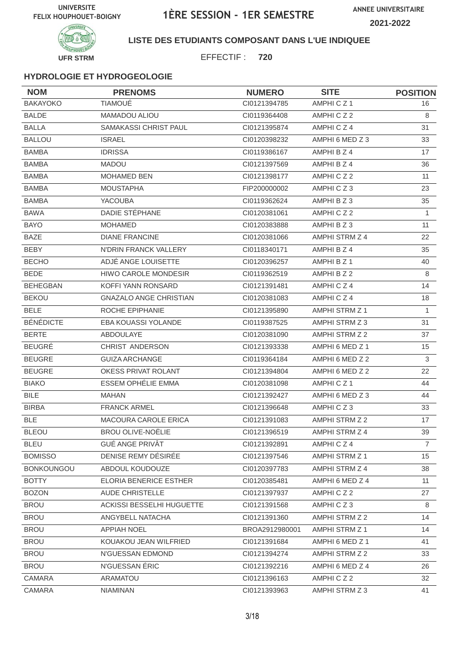

### **LISTE DES ETUDIANTS COMPOSANT DANS L'UE INDIQUEE**

EFFECTIF : **720**

| <b>NOM</b>        | <b>PRENOMS</b>                   | <b>NUMERO</b>  | <b>SITE</b>     | <b>POSITION</b> |
|-------------------|----------------------------------|----------------|-----------------|-----------------|
| <b>BAKAYOKO</b>   | <b>TIAMOUÉ</b>                   | CI0121394785   | AMPHICZ1        | 16              |
| <b>BALDE</b>      | MAMADOU ALIOU                    | CI0119364408   | AMPHICZ2        | 8               |
| <b>BALLA</b>      | SAMAKASSI CHRIST PAUL            | CI0121395874   | AMPHICZ4        | 31              |
| <b>BALLOU</b>     | <b>ISRAEL</b>                    | CI0120398232   | AMPHI 6 MED Z 3 | 33              |
| <b>BAMBA</b>      | <b>IDRISSA</b>                   | CI0119386167   | AMPHI B Z 4     | 17              |
| <b>BAMBA</b>      | <b>MADOU</b>                     | CI0121397569   | AMPHI B Z 4     | 36              |
| <b>BAMBA</b>      | <b>MOHAMED BEN</b>               | CI0121398177   | AMPHICZ2        | 11              |
| <b>BAMBA</b>      | <b>MOUSTAPHA</b>                 | FIP200000002   | AMPHICZ3        | 23              |
| <b>BAMBA</b>      | <b>YACOUBA</b>                   | CI0119362624   | AMPHI B Z 3     | 35              |
| <b>BAWA</b>       | DADIE STÉPHANE                   | CI0120381061   | AMPHICZ2        | 1               |
| <b>BAYO</b>       | <b>MOHAMED</b>                   | CI0120383888   | AMPHI B Z 3     | 11              |
| <b>BAZE</b>       | <b>DIANE FRANCINE</b>            | CI0120381066   | AMPHI STRM Z 4  | 22              |
| <b>BEBY</b>       | N'DRIN FRANCK VALLERY            | CI0118340171   | AMPHI B Z 4     | 35              |
| <b>BECHO</b>      | ADJÉ ANGE LOUISETTE              | CI0120396257   | AMPHI B Z 1     | 40              |
| <b>BEDE</b>       | <b>HIWO CAROLE MONDESIR</b>      | CI0119362519   | AMPHI B Z 2     | 8               |
| <b>BEHEGBAN</b>   | KOFFI YANN RONSARD               | CI0121391481   | AMPHICZ4        | 14              |
| <b>BEKOU</b>      | <b>GNAZALO ANGE CHRISTIAN</b>    | CI0120381083   | AMPHICZ4        | 18              |
| <b>BELE</b>       | ROCHE EPIPHANIE                  | CI0121395890   | AMPHI STRM Z 1  | $\mathbf{1}$    |
| <b>BÉNÉDICTE</b>  | EBA KOUASSI YOLANDE              | CI0119387525   | AMPHI STRM Z 3  | 31              |
| <b>BERTE</b>      | ABDOULAYE                        | CI0120381090   | AMPHI STRM Z 2  | 37              |
| <b>BEUGRÉ</b>     | CHRIST ANDERSON                  | CI0121393338   | AMPHI 6 MED Z 1 | 15              |
| <b>BEUGRE</b>     | <b>GUIZA ARCHANGE</b>            | CI0119364184   | AMPHI 6 MED Z 2 | 3               |
| <b>BEUGRE</b>     | OKESS PRIVAT ROLANT              | CI0121394804   | AMPHI 6 MED Z 2 | 22              |
| <b>BIAKO</b>      | <b>ESSEM OPHÉLIE EMMA</b>        | CI0120381098   | AMPHICZ1        | 44              |
| <b>BILE</b>       | <b>MAHAN</b>                     | CI0121392427   | AMPHI 6 MED Z 3 | 44              |
| <b>BIRBA</b>      | <b>FRANCK ARMEL</b>              | CI0121396648   | AMPHICZ3        | 33              |
| <b>BLE</b>        | MACOURA CAROLE ERICA             | Cl0121391083   | AMPHI STRM Z 2  | 17              |
| <b>BLEOU</b>      | <b>BROU OLIVE-NOËLIE</b>         | Cl0121396519   | AMPHI STRM Z 4  | 39              |
| <b>BLEU</b>       | <b>GUÉ ANGE PRIVÂT</b>           | CI0121392891   | AMPHICZ4        | $\overline{7}$  |
| <b>BOMISSO</b>    | DENISE REMY DÉSIRÉE              | CI0121397546   | AMPHI STRM Z 1  | 15              |
| <b>BONKOUNGOU</b> | ABDOUL KOUDOUZE                  | CI0120397783   | AMPHI STRM Z 4  | 38              |
| <b>BOTTY</b>      | ELORIA BENERICE ESTHER           | CI0120385481   | AMPHI 6 MED Z 4 | 11              |
| <b>BOZON</b>      | <b>AUDE CHRISTELLE</b>           | CI0121397937   | AMPHICZ2        | 27              |
| <b>BROU</b>       | <b>ACKISSI BESSELHI HUGUETTE</b> | CI0121391568   | AMPHICZ3        | 8               |
| <b>BROU</b>       | ANGYBELL NATACHA                 | CI0121391360   | AMPHI STRM Z 2  | 14              |
| <b>BROU</b>       | <b>APPIAH NOEL</b>               | BROA2912980001 | AMPHI STRM Z 1  | 14              |
| <b>BROU</b>       | KOUAKOU JEAN WILFRIED            | CI0121391684   | AMPHI 6 MED Z 1 | 41              |
| <b>BROU</b>       | N'GUESSAN EDMOND                 | CI0121394274   | AMPHI STRM Z 2  | 33              |
| <b>BROU</b>       | N'GUESSAN ÉRIC                   | Cl0121392216   | AMPHI 6 MED Z 4 | 26              |
| CAMARA            | ARAMATOU                         | Cl0121396163   | AMPHICZ2        | 32              |
| CAMARA            | <b>NIAMINAN</b>                  | CI0121393963   | AMPHI STRM Z 3  | 41              |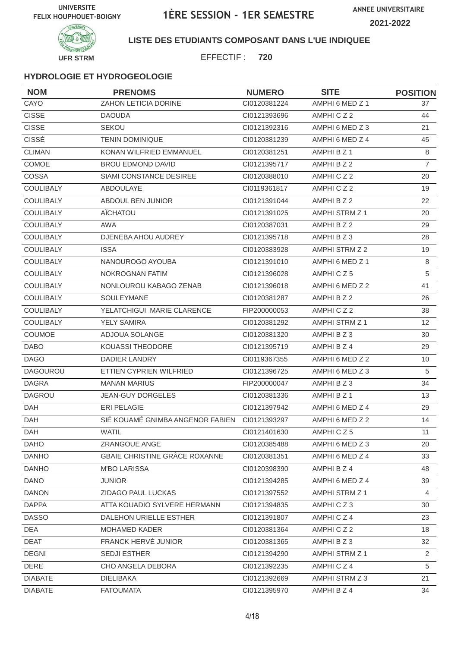

### **LISTE DES ETUDIANTS COMPOSANT DANS L'UE INDIQUEE**

EFFECTIF : **720**

| <b>NOM</b>       | <b>PRENOMS</b>                       | <b>NUMERO</b> | <b>SITE</b>           | <b>POSITION</b>       |
|------------------|--------------------------------------|---------------|-----------------------|-----------------------|
| CAYO             | ZAHON LETICIA DORINE                 | CI0120381224  | AMPHI 6 MED Z 1       | 37                    |
| <b>CISSE</b>     | <b>DAOUDA</b>                        | CI0121393696  | AMPHICZ2              | 44                    |
| <b>CISSE</b>     | <b>SEKOU</b>                         | CI0121392316  | AMPHI 6 MED Z 3       | 21                    |
| <b>CISSÉ</b>     | <b>TENIN DOMINIQUE</b>               | CI0120381239  | AMPHI 6 MED Z 4       | 45                    |
| <b>CLIMAN</b>    | KONAN WILFRIED EMMANUEL              | Cl0120381251  | AMPHI B Z 1           | 8                     |
| COMOE            | <b>BROU EDMOND DAVID</b>             | CI0121395717  | AMPHI B Z 2           | $\overline{7}$        |
| COSSA            | SIAMI CONSTANCE DESIREE              | CI0120388010  | AMPHICZ2              | 20                    |
| <b>COULIBALY</b> | ABDOULAYE                            | CI0119361817  | AMPHICZ2              | 19                    |
| <b>COULIBALY</b> | ABDOUL BEN JUNIOR                    | CI0121391044  | AMPHI B Z 2           | 22                    |
| <b>COULIBALY</b> | AÏCHATOU                             | CI0121391025  | AMPHI STRM Z 1        | 20                    |
| COULIBALY        | AWA                                  | CI0120387031  | AMPHI B Z 2           | 29                    |
| COULIBALY        | DJENEBA AHOU AUDREY                  | CI0121395718  | AMPHI B Z 3           | 28                    |
| <b>COULIBALY</b> | <b>ISSA</b>                          | CI0120383928  | AMPHI STRM Z 2        | 19                    |
| <b>COULIBALY</b> | NANOUROGO AYOUBA                     | Cl0121391010  | AMPHI 6 MED Z 1       | 8                     |
| COULIBALY        | NOKROGNAN FATIM                      | CI0121396028  | AMPHICZ5              | 5                     |
| <b>COULIBALY</b> | NONLOUROU KABAGO ZENAB               | CI0121396018  | AMPHI 6 MED Z 2       | 41                    |
| <b>COULIBALY</b> | SOULEYMANE                           | CI0120381287  | AMPHI B Z 2           | 26                    |
| <b>COULIBALY</b> | YELATCHIGUI MARIE CLARENCE           | FIP200000053  | AMPHICZ2              | 38                    |
| <b>COULIBALY</b> | <b>YELY SAMIRA</b>                   | CI0120381292  | AMPHI STRM Z 1        | $12 \overline{ }$     |
| COUMOE           | ADJOUA SOLANGE                       | CI0120381320  | AMPHI B Z 3           | 30                    |
| <b>DABO</b>      | <b>KOUASSI THEODORE</b>              | CI0121395719  | AMPHI B Z 4           | 29                    |
| <b>DAGO</b>      | <b>DADIER LANDRY</b>                 | CI0119367355  | AMPHI 6 MED Z 2       | 10                    |
| <b>DAGOUROU</b>  | ETTIEN CYPRIEN WILFRIED              | CI0121396725  | AMPHI 6 MED Z 3       | 5                     |
| <b>DAGRA</b>     | <b>MANAN MARIUS</b>                  | FIP200000047  | AMPHI B Z 3           | 34                    |
| <b>DAGROU</b>    | <b>JEAN-GUY DORGELES</b>             | CI0120381336  | AMPHI B Z 1           | 13                    |
| DAH              | <b>ERI PELAGIE</b>                   | CI0121397942  | AMPHI 6 MED Z 4       | 29                    |
| DAH              | SIÉ KOUAMÉ GNIMBA ANGENOR FABIEN     | CI0121393297  | AMPHI 6 MED Z 2       | 14                    |
| DAH              | <b>WATIL</b>                         | Cl0121401630  | AMPHICZ5              | 11                    |
| <b>DAHO</b>      | ZRANGOUE ANGE                        | CI0120385488  | AMPHI 6 MED Z 3       | 20                    |
| <b>DANHO</b>     | <b>GBAIE CHRISTINE GRÂCE ROXANNE</b> | CI0120381351  | AMPHI 6 MED Z 4       | 33                    |
| <b>DANHO</b>     | <b>M'BO LARISSA</b>                  | CI0120398390  | AMPHI B Z 4           | 48                    |
| <b>DANO</b>      | <b>JUNIOR</b>                        | CI0121394285  | AMPHI 6 MED Z 4       | 39                    |
| <b>DANON</b>     | ZIDAGO PAUL LUCKAS                   | CI0121397552  | AMPHI STRM Z 1        | 4                     |
| <b>DAPPA</b>     | ATTA KOUADIO SYLVERE HERMANN         | Cl0121394835  | AMPHICZ3              | 30                    |
| <b>DASSO</b>     | DALEHON URIELLE ESTHER               | Cl0121391807  | AMPHICZ4              | 23                    |
| DEA              | MOHAMED KADER                        | CI0120381364  | AMPHICZ2              | 18                    |
| <b>DEAT</b>      | FRANCK HERVÉ JUNIOR                  | CI0120381365  | AMPHI B Z 3           | 32                    |
| <b>DEGNI</b>     | <b>SEDJI ESTHER</b>                  | CI0121394290  | <b>AMPHI STRM Z 1</b> | $\mathbf{2}^{\prime}$ |
| <b>DERE</b>      | CHO ANGELA DEBORA                    | CI0121392235  | AMPHICZ4              | 5                     |
| <b>DIABATE</b>   | <b>DIELIBAKA</b>                     | CI0121392669  | AMPHI STRM Z 3        | 21                    |
| <b>DIABATE</b>   | <b>FATOUMATA</b>                     | CI0121395970  | AMPHI B Z 4           | 34                    |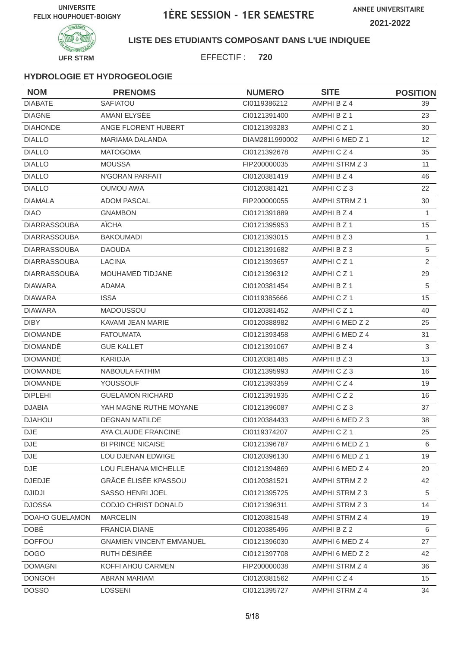

### **LISTE DES ETUDIANTS COMPOSANT DANS L'UE INDIQUEE**

EFFECTIF : **720**

| <b>NOM</b>          | <b>PRENOMS</b>                  | <b>NUMERO</b>  | <b>SITE</b>          | <b>POSITION</b>   |
|---------------------|---------------------------------|----------------|----------------------|-------------------|
| <b>DIABATE</b>      | SAFIATOU                        | CI0119386212   | AMPHI B Z 4          | 39                |
| <b>DIAGNE</b>       | AMANI ELYSÉE                    | CI0121391400   | AMPHI B Z 1          | 23                |
| <b>DIAHONDE</b>     | ANGE FLORENT HUBERT             | CI0121393283   | AMPHICZ1             | 30                |
| <b>DIALLO</b>       | <b>MARIAMA DALANDA</b>          | DIAM2811990002 | AMPHI 6 MED Z 1      | $12 \overline{ }$ |
| <b>DIALLO</b>       | <b>MATOGOMA</b>                 | CI0121392678   | AMPHICZ4             | 35                |
| <b>DIALLO</b>       | <b>MOUSSA</b>                   | FIP200000035   | AMPHI STRM Z 3       | 11                |
| <b>DIALLO</b>       | N'GORAN PARFAIT                 | Cl0120381419   | AMPHI B Z 4          | 46                |
| <b>DIALLO</b>       | <b>OUMOU AWA</b>                | CI0120381421   | AMPHICZ3             | 22                |
| <b>DIAMALA</b>      | <b>ADOM PASCAL</b>              | FIP200000055   | AMPHI STRM Z 1       | 30                |
| <b>DIAO</b>         | <b>GNAMBON</b>                  | CI0121391889   | AMPHI B Z 4          | $\mathbf{1}$      |
| <b>DIARRASSOUBA</b> | AÏCHA                           | CI0121395953   | AMPHI B Z 1          | 15                |
| <b>DIARRASSOUBA</b> | <b>BAKOUMADI</b>                | CI0121393015   | AMPHI B Z 3          | $\mathbf{1}$      |
| <b>DIARRASSOUBA</b> | <b>DAOUDA</b>                   | CI0121391682   | AMPHI B Z 3          | 5                 |
| <b>DIARRASSOUBA</b> | <b>LACINA</b>                   | CI0121393657   | AMPHICZ1             | $\overline{2}$    |
| <b>DIARRASSOUBA</b> | MOUHAMED TIDJANE                | CI0121396312   | AMPHICZ1             | 29                |
| <b>DIAWARA</b>      | <b>ADAMA</b>                    | CI0120381454   | AMPHI B Z 1          | 5                 |
| <b>DIAWARA</b>      | <b>ISSA</b>                     | CI0119385666   | AMPHICZ1             | 15                |
| <b>DIAWARA</b>      | <b>MADOUSSOU</b>                | CI0120381452   | AMPHICZ <sub>1</sub> | 40                |
| <b>DIBY</b>         | KAVAMI JEAN MARIE               | CI0120388982   | AMPHI 6 MED Z 2      | 25                |
| <b>DIOMANDE</b>     | <b>FATOUMATA</b>                | CI0121393458   | AMPHI 6 MED Z 4      | 31                |
| <b>DIOMANDÉ</b>     | <b>GUE KALLET</b>               | CI0121391067   | AMPHI B Z 4          | $\mathfrak{S}$    |
| <b>DIOMANDE</b>     | <b>KARIDJA</b>                  | CI0120381485   | AMPHI B Z 3          | 13                |
| <b>DIOMANDE</b>     | NABOULA FATHIM                  | CI0121395993   | AMPHICZ3             | 16                |
| <b>DIOMANDE</b>     | <b>YOUSSOUF</b>                 | CI0121393359   | AMPHICZ4             | 19                |
| <b>DIPLEHI</b>      | <b>GUELAMON RICHARD</b>         | CI0121391935   | AMPHICZ2             | 16                |
| <b>DJABIA</b>       | YAH MAGNE RUTHE MOYANE          | CI0121396087   | AMPHICZ3             | 37                |
| <b>DJAHOU</b>       | <b>DEGNAN MATILDE</b>           | CI0120384433   | AMPHI 6 MED Z 3      | 38                |
| DJE <sup></sup>     | AYA CLAUDE FRANCINE             | CI0119374207   | AMPHICZ1             | 25                |
| <b>DJE</b>          | <b>BI PRINCE NICAISE</b>        | CI0121396787   | AMPHI 6 MED Z 1      | 6                 |
| <b>DJE</b>          | LOU DJENAN EDWIGE               | CI0120396130   | AMPHI 6 MED Z 1      | 19                |
| DJE                 | LOU FLEHANA MICHELLE            | CI0121394869   | AMPHI 6 MED Z 4      | 20                |
| <b>DJEDJE</b>       | <b>GRÂCE ÉLISÉE KPASSOU</b>     | CI0120381521   | AMPHI STRM Z 2       | 42                |
| <b>DJIDJI</b>       | SASSO HENRI JOEL                | Cl0121395725   | AMPHI STRM Z 3       | 5                 |
| <b>DJOSSA</b>       | CODJO CHRIST DONALD             | CI0121396311   | AMPHI STRM Z 3       | 14                |
| DOAHO GUELAMON      | <b>MARCELIN</b>                 | CI0120381548   | AMPHI STRM Z 4       | 19                |
| <b>DOBÉ</b>         | <b>FRANCIA DIANE</b>            | Cl0120385496   | AMPHI B Z 2          | 6                 |
| <b>DOFFOU</b>       | <b>GNAMIEN VINCENT EMMANUEL</b> | CI0121396030   | AMPHI 6 MED Z 4      | 27                |
| <b>DOGO</b>         | RUTH DÉSIRÉE                    | CI0121397708   | AMPHI 6 MED Z 2      | 42                |
| <b>DOMAGNI</b>      | KOFFI AHOU CARMEN               | FIP200000038   | AMPHI STRM Z 4       | 36                |
| <b>DONGOH</b>       | <b>ABRAN MARIAM</b>             | CI0120381562   | AMPHICZ4             | 15                |
| <b>DOSSO</b>        | LOSSENI                         | Cl0121395727   | AMPHI STRM Z 4       | 34                |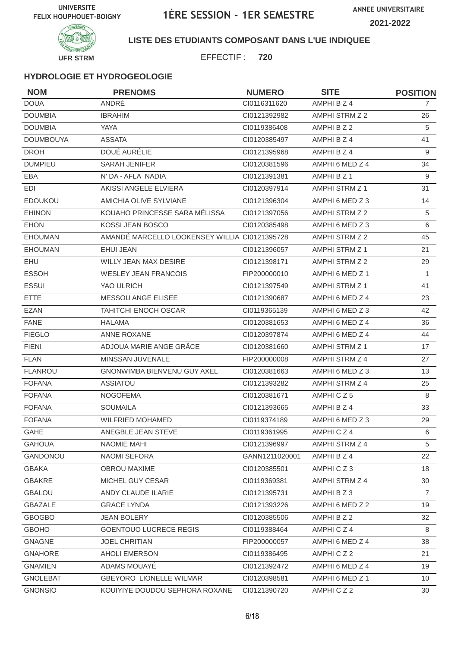

### **LISTE DES ETUDIANTS COMPOSANT DANS L'UE INDIQUEE**

EFFECTIF : **720**

| <b>NOM</b>       | <b>PRENOMS</b>                                | <b>NUMERO</b>  | <b>SITE</b>           | <b>POSITION</b> |
|------------------|-----------------------------------------------|----------------|-----------------------|-----------------|
| <b>DOUA</b>      | ANDRÉ                                         | Cl0116311620   | AMPHI B Z 4           | 7               |
| <b>DOUMBIA</b>   | <b>IBRAHIM</b>                                | CI0121392982   | AMPHI STRM Z 2        | 26              |
| <b>DOUMBIA</b>   | <b>YAYA</b>                                   | CI0119386408   | AMPHI B Z 2           | 5               |
| <b>DOUMBOUYA</b> | <b>ASSATA</b>                                 | CI0120385497   | AMPHI B Z 4           | 41              |
| <b>DROH</b>      | DOUÉ AURÉLIE                                  | CI0121395968   | AMPHI B Z 4           | 9               |
| <b>DUMPIEU</b>   | <b>SARAH JENIFER</b>                          | CI0120381596   | AMPHI 6 MED Z 4       | 34              |
| EBA              | N' DA - AFLA NADIA                            | CI0121391381   | AMPHI B Z 1           | 9               |
| EDI              | AKISSI ANGELE ELVIERA                         | Cl0120397914   | AMPHI STRM Z 1        | 31              |
| <b>EDOUKOU</b>   | AMICHIA OLIVE SYLVIANE                        | CI0121396304   | AMPHI 6 MED Z 3       | 14              |
| <b>EHINON</b>    | KOUAHO PRINCESSE SARA MÉLISSA                 | CI0121397056   | AMPHI STRM Z 2        | 5               |
| <b>EHON</b>      | KOSSI JEAN BOSCO                              | CI0120385498   | AMPHI 6 MED Z 3       | 6               |
| <b>EHOUMAN</b>   | AMANDÉ MARCELLO LOOKENSEY WILLIA CI0121395728 |                | AMPHI STRM Z 2        | 45              |
| <b>EHOUMAN</b>   | EHUI JEAN                                     | CI0121396057   | AMPHI STRM Z 1        | 21              |
| EHU              | <b>WILLY JEAN MAX DESIRE</b>                  | CI0121398171   | AMPHI STRM Z 2        | 29              |
| <b>ESSOH</b>     | <b>WESLEY JEAN FRANCOIS</b>                   | FIP200000010   | AMPHI 6 MED Z 1       | $\mathbf{1}$    |
| <b>ESSUI</b>     | YAO ULRICH                                    | CI0121397549   | AMPHI STRM Z 1        | 41              |
| <b>ETTE</b>      | MESSOU ANGE ELISEE                            | CI0121390687   | AMPHI 6 MED Z 4       | 23              |
| <b>EZAN</b>      | <b>TAHITCHI ENOCH OSCAR</b>                   | CI0119365139   | AMPHI 6 MED Z 3       | 42              |
| <b>FANE</b>      | <b>HALAMA</b>                                 | CI0120381653   | AMPHI 6 MED Z 4       | 36              |
| <b>FIEGLO</b>    | ANNE ROXANE                                   | CI0120397874   | AMPHI 6 MED Z 4       | 44              |
| <b>FIENI</b>     | ADJOUA MARIE ANGE GRÂCE                       | CI0120381660   | <b>AMPHI STRM Z 1</b> | 17              |
| <b>FLAN</b>      | MINSSAN JUVENALE                              | FIP200000008   | AMPHI STRM Z 4        | 27              |
| <b>FLANROU</b>   | GNONWIMBA BIENVENU GUY AXEL                   | CI0120381663   | AMPHI 6 MED Z 3       | 13              |
| <b>FOFANA</b>    | <b>ASSIATOU</b>                               | CI0121393282   | AMPHI STRM Z 4        | 25              |
| <b>FOFANA</b>    | <b>NOGOFEMA</b>                               | CI0120381671   | AMPHICZ5              | 8               |
| <b>FOFANA</b>    | <b>SOUMAILA</b>                               | CI0121393665   | AMPHI B Z 4           | 33              |
| <b>FOFANA</b>    | <b>WILFRIED MOHAMED</b>                       | CI0119374189   | AMPHI 6 MED Z 3       | 29              |
| GAHE             | ANEGBLE JEAN STEVE                            | CI0119361995   | AMPHICZ4              | 6               |
| <b>GAHOUA</b>    | NAOMIE MAHI                                   | CI0121396997   | AMPHI STRM Z 4        | 5               |
| GANDONOU         | NAOMI SEFORA                                  | GANN1211020001 | AMPHI B Z 4           | 22              |
| <b>GBAKA</b>     | OBROU MAXIME                                  | CI0120385501   | AMPHICZ3              | 18              |
| <b>GBAKRE</b>    | MICHEL GUY CESAR                              | CI0119369381   | AMPHI STRM Z 4        | 30              |
| <b>GBALOU</b>    | ANDY CLAUDE ILARIE                            | Cl0121395731   | AMPHIBZ3              | $\overline{7}$  |
| GBAZALE          | <b>GRACE LYNDA</b>                            | CI0121393226   | AMPHI 6 MED Z 2       | 19              |
| <b>GBOGBO</b>    | <b>JEAN BOLERY</b>                            | CI0120385506   | AMPHI B Z 2           | 32              |
| <b>GBOHO</b>     | <b>GOENTOUO LUCRECE REGIS</b>                 | CI0119388464   | AMPHICZ4              | 8               |
| <b>GNAGNE</b>    | JOEL CHRITIAN                                 | FIP200000057   | AMPHI 6 MED Z 4       | 38              |
| <b>GNAHORE</b>   | <b>AHOLI EMERSON</b>                          | CI0119386495   | AMPHICZ2              | 21              |
| <b>GNAMIEN</b>   | ADAMS MOUAYÉ                                  | CI0121392472   | AMPHI 6 MED Z 4       | 19              |
| <b>GNOLEBAT</b>  | <b>GBEYORO LIONELLE WILMAR</b>                | CI0120398581   | AMPHI 6 MED Z 1       | 10              |
| <b>GNONSIO</b>   | KOUIYIYE DOUDOU SEPHORA ROXANE                | CI0121390720   | AMPHICZ2              | 30              |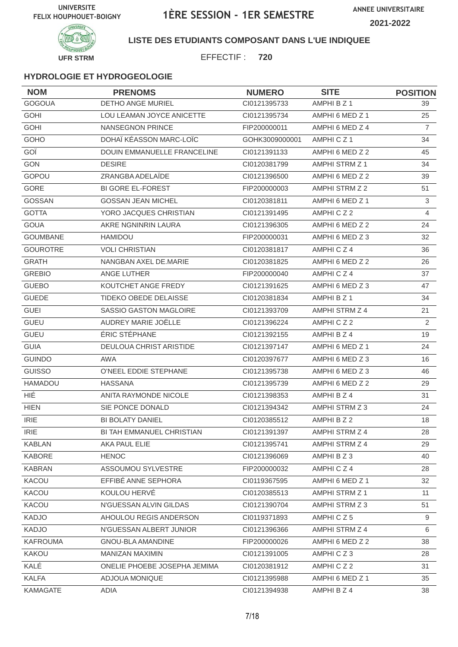

### **LISTE DES ETUDIANTS COMPOSANT DANS L'UE INDIQUEE**

EFFECTIF : **720**

| <b>NOM</b>      | <b>PRENOMS</b>               | <b>NUMERO</b>  | <b>SITE</b>     | <b>POSITION</b> |
|-----------------|------------------------------|----------------|-----------------|-----------------|
| <b>GOGOUA</b>   | DETHO ANGE MURIEL            | CI0121395733   | AMPHI B Z 1     | 39              |
| <b>GOHI</b>     | LOU LEAMAN JOYCE ANICETTE    | CI0121395734   | AMPHI 6 MED Z 1 | 25              |
| <b>GOHI</b>     | NANSEGNON PRINCE             | FIP200000011   | AMPHI 6 MED Z 4 | $\overline{7}$  |
| GOHO            | DOHAÏ KÉASSON MARC-LOÏC      | GOHK3009000001 | AMPHICZ1        | 34              |
| GOÏ             | DOUIN EMMANUELLE FRANCELINE  | CI0121391133   | AMPHI 6 MED Z 2 | 45              |
| <b>GON</b>      | <b>DESIRE</b>                | CI0120381799   | AMPHI STRM Z 1  | 34              |
| GOPOU           | ZRANGBA ADELAÏDE             | CI0121396500   | AMPHI 6 MED Z 2 | 39              |
| GORE            | <b>BI GORE EL-FOREST</b>     | FIP200000003   | AMPHI STRM Z 2  | 51              |
| GOSSAN          | <b>GOSSAN JEAN MICHEL</b>    | CI0120381811   | AMPHI 6 MED Z 1 | $\mathfrak{S}$  |
| <b>GOTTA</b>    | YORO JACQUES CHRISTIAN       | CI0121391495   | AMPHICZ2        | 4               |
| <b>GOUA</b>     | AKRE NGNINRIN LAURA          | CI0121396305   | AMPHI 6 MED Z 2 | 24              |
| <b>GOUMBANE</b> | HAMIDOU                      | FIP200000031   | AMPHI 6 MED Z 3 | 32              |
| <b>GOUROTRE</b> | <b>VOLI CHRISTIAN</b>        | CI0120381817   | AMPHICZ4        | 36              |
| <b>GRATH</b>    | NANGBAN AXEL DE.MARIE        | CI0120381825   | AMPHI 6 MED Z 2 | 26              |
| <b>GREBIO</b>   | ANGE LUTHER                  | FIP200000040   | AMPHICZ4        | 37              |
| <b>GUEBO</b>    | KOUTCHET ANGE FREDY          | CI0121391625   | AMPHI 6 MED Z 3 | 47              |
| <b>GUEDE</b>    | <b>TIDEKO OBEDE DELAISSE</b> | CI0120381834   | AMPHI B Z 1     | 34              |
| <b>GUEI</b>     | SASSIO GASTON MAGLOIRE       | CI0121393709   | AMPHI STRM Z 4  | 21              |
| <b>GUEU</b>     | AUDREY MARIE JOËLLE          | CI0121396224   | AMPHICZ2        | 2               |
| <b>GUEU</b>     | ÉRIC STÉPHANE                | CI0121392155   | AMPHI B Z 4     | 19              |
| <b>GUIA</b>     | DEULOUA CHRIST ARISTIDE      | CI0121397147   | AMPHI 6 MED Z 1 | 24              |
| <b>GUINDO</b>   | AWA                          | CI0120397677   | AMPHI 6 MED Z 3 | 16              |
| <b>GUISSO</b>   | O'NEEL EDDIE STEPHANE        | CI0121395738   | AMPHI 6 MED Z 3 | 46              |
| <b>HAMADOU</b>  | <b>HASSANA</b>               | CI0121395739   | AMPHI 6 MED Z 2 | 29              |
| HIÉ             | ANITA RAYMONDE NICOLE        | CI0121398353   | AMPHI B Z 4     | 31              |
| <b>HIEN</b>     | SIE PONCE DONALD             | CI0121394342   | AMPHI STRM Z 3  | 24              |
| <b>IRIE</b>     | <b>BI BOLATY DANIEL</b>      | CI0120385512   | AMPHI B Z 2     | 18              |
| <b>IRIE</b>     | BI TAH EMMANUEL CHRISTIAN    | Cl0121391397   | AMPHI STRM Z 4  | 28              |
| <b>KABLAN</b>   | AKA PAUL ELIE                | Cl0121395741   | AMPHI STRM Z 4  | 29              |
| <b>KABORE</b>   | <b>HENOC</b>                 | CI0121396069   | AMPHI B Z 3     | 40              |
| <b>KABRAN</b>   | ASSOUMOU SYLVESTRE           | FIP200000032   | AMPHICZ4        | 28              |
| KACOU           | EFFIBÉ ANNE SEPHORA          | CI0119367595   | AMPHI 6 MED Z 1 | 32              |
| KACOU           | KOULOU HERVE                 | CI0120385513   | AMPHI STRM Z 1  | 11              |
| KACOU           | N'GUESSAN ALVIN GILDAS       | CI0121390704   | AMPHI STRM Z 3  | 51              |
| <b>KADJO</b>    | AHOULOU REGIS ANDERSON       | CI0119371893   | AMPHICZ5        | 9               |
| <b>KADJO</b>    | N'GUESSAN ALBERT JUNIOR      | CI0121396366   | AMPHI STRM Z 4  | 6               |
| <b>KAFROUMA</b> | GNOU-BLA AMANDINE            | FIP200000026   | AMPHI 6 MED Z 2 | 38              |
| <b>KAKOU</b>    | MANIZAN MAXIMIN              | CI0121391005   | AMPHICZ3        | 28              |
| KALÉ            | ONELIE PHOEBE JOSEPHA JEMIMA | Cl0120381912   | AMPHICZ2        | 31              |
| <b>KALFA</b>    | ADJOUA MONIQUE               | CI0121395988   | AMPHI 6 MED Z 1 | 35              |
| KAMAGATE        | ADIA                         | Cl0121394938   | AMPHI B Z 4     | 38              |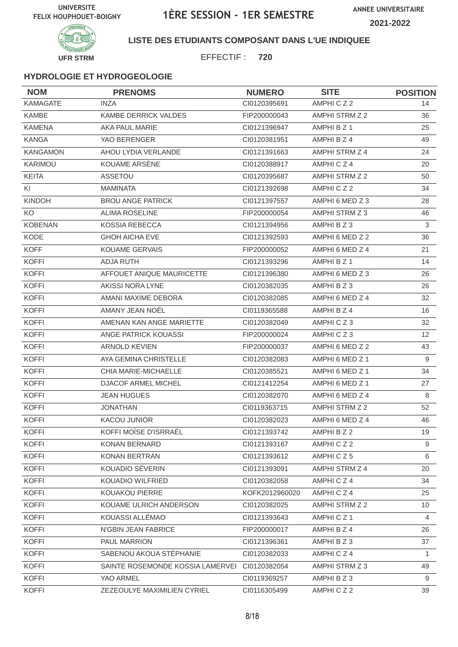

**LISTE DES ETUDIANTS COMPOSANT DANS L'UE INDIQUEE**

EFFECTIF : **720**

| <b>NOM</b>      | <b>PRENOMS</b>                   | <b>NUMERO</b>  | <b>SITE</b>     | <b>POSITION</b> |
|-----------------|----------------------------------|----------------|-----------------|-----------------|
| <b>KAMAGATE</b> | <b>INZA</b>                      | CI0120395691   | AMPHICZ2        | 14              |
| KAMBE           | <b>KAMBE DERRICK VALDES</b>      | FIP200000043   | AMPHI STRM Z 2  | 36              |
| <b>KAMENA</b>   | AKA PAUL MARIE                   | CI0121396947   | AMPHI B Z 1     | 25              |
| <b>KANGA</b>    | YAO BERENGER                     | CI0120381951   | AMPHI B Z 4     | 49              |
| <b>KANGAMON</b> | AHOU LYDIA VERLANDE              | CI0121391663   | AMPHI STRM Z 4  | 24              |
| KARIMOU         | KOUAME ARSÈNE                    | CI0120388917   | AMPHICZ4        | 20              |
| <b>KEITA</b>    | <b>ASSETOU</b>                   | CI0120395687   | AMPHI STRM Z 2  | 50              |
| KI              | <b>MAMINATA</b>                  | CI0121392698   | AMPHICZ2        | 34              |
| <b>KINDOH</b>   | <b>BROU ANGE PATRICK</b>         | CI0121397557   | AMPHI 6 MED Z 3 | 28              |
| KO              | <b>ALIMA ROSELINE</b>            | FIP200000054   | AMPHI STRM Z 3  | 46              |
| <b>KOBENAN</b>  | KOSSIA REBECCA                   | CI0121394956   | AMPHI B Z 3     | 3               |
| KODE            | <b>GHOH AICHA EVE</b>            | CI0121392593   | AMPHI 6 MED Z 2 | 36              |
| <b>KOFF</b>     | <b>KOUAME GERVAIS</b>            | FIP200000052   | AMPHI 6 MED Z 4 | 21              |
| <b>KOFFI</b>    | <b>ADJA RUTH</b>                 | CI0121393296   | AMPHI B Z 1     | 14              |
| <b>KOFFI</b>    | AFFOUET ANIQUE MAURICETTE        | CI0121396380   | AMPHI 6 MED Z 3 | 26              |
| <b>KOFFI</b>    | AKISSI NORA LYNE                 | CI0120382035   | AMPHI B Z 3     | 26              |
| <b>KOFFI</b>    | AMANI MAXIME DEBORA              | CI0120382085   | AMPHI 6 MED Z 4 | 32              |
| <b>KOFFI</b>    | AMANY JEAN NOËL                  | CI0119365588   | AMPHI B Z 4     | 16              |
| <b>KOFFI</b>    | AMENAN KAN ANGE MARIETTE         | CI0120382049   | AMPHICZ3        | 32              |
| <b>KOFFI</b>    | ANGE PATRICK KOUASSI             | FIP200000024   | AMPHICZ3        | 12              |
| <b>KOFFI</b>    | <b>ARNOLD KEVIEN</b>             | FIP200000037   | AMPHI 6 MED Z 2 | 43              |
| <b>KOFFI</b>    | AYA GEMINA CHRISTELLE            | CI0120382083   | AMPHI 6 MED Z 1 | 9               |
| <b>KOFFI</b>    | CHIA MARIE-MICHAELLE             | CI0120385521   | AMPHI 6 MED Z 1 | 34              |
| <b>KOFFI</b>    | <b>DJACOF ARMEL MICHEL</b>       | CI0121412254   | AMPHI 6 MED Z 1 | 27              |
| <b>KOFFI</b>    | <b>JEAN HUGUES</b>               | CI0120382070   | AMPHI 6 MED Z 4 | 8               |
| <b>KOFFI</b>    | <b>JONATHAN</b>                  | CI0119363715   | AMPHI STRM Z 2  | 52              |
| <b>KOFFI</b>    | <b>KACOU JUNIOR</b>              | CI0120382023   | AMPHI 6 MED Z 4 | 46              |
| <b>KOFFI</b>    | KOFFI MOÏSE D'ISRRAËL            | CI0121393742   | AMPHI B Z 2     | 19              |
| <b>KOFFI</b>    | KONAN BERNARD                    | Cl0121393167   | AMPHICZ2        | 9               |
| <b>KOFFI</b>    | <b>KONAN BERTRAN</b>             | CI0121393612   | AMPHICZ5        | 6               |
| <b>KOFFI</b>    | KOUADIO SÉVERIN                  | CI0121393091   | AMPHI STRM Z 4  | 20              |
| <b>KOFFI</b>    | KOUADIO WILFRIED                 | CI0120382058   | AMPHICZ4        | 34              |
| <b>KOFFI</b>    | KOUAKOU PIERRE                   | KOFK2012960020 | AMPHICZ4        | 25              |
| <b>KOFFI</b>    | KOUAME ULRICH ANDERSON           | CI0120382025   | AMPHI STRM Z 2  | 10              |
| <b>KOFFI</b>    | KOUASSI ALLÉMAO                  | CI0121393643   | AMPHICZ1        | 4               |
| <b>KOFFI</b>    | N'GBIN JEAN FABRICE              | FIP200000017   | AMPHI B Z 4     | 26              |
| <b>KOFFI</b>    | PAUL MARRION                     | CI0121396361   | AMPHI B Z 3     | 37              |
| <b>KOFFI</b>    | SABENOU AKOUA STÉPHANIE          | CI0120382033   | AMPHICZ4        | $\mathbf{1}$    |
| <b>KOFFI</b>    | SAINTE ROSEMONDE KOSSIA LAMERVEI | Cl0120382054   | AMPHI STRM Z 3  | 49              |
| <b>KOFFI</b>    | YAO ARMEL                        | CI0119369257   | AMPHI B Z 3     | 9               |
| <b>KOFFI</b>    | ZEZEOULYE MAXIMILIEN CYRIEL      | CI0116305499   | AMPHICZ2        | 39              |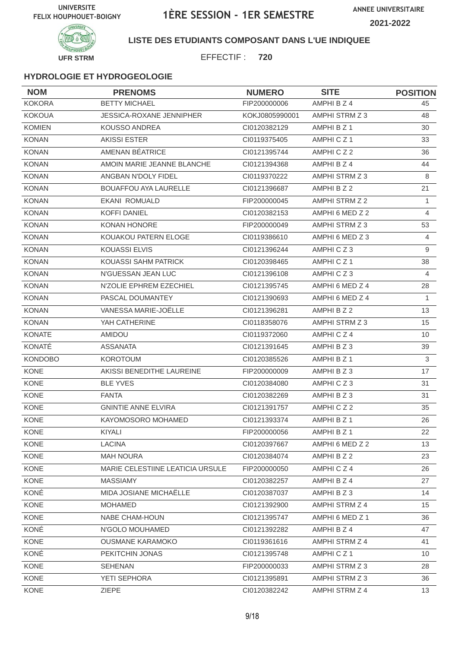

### **LISTE DES ETUDIANTS COMPOSANT DANS L'UE INDIQUEE**

EFFECTIF : **720**

| <b>NOM</b>     | <b>PRENOMS</b>                   | <b>NUMERO</b>  | <b>SITE</b>     | <b>POSITION</b> |
|----------------|----------------------------------|----------------|-----------------|-----------------|
| <b>KOKORA</b>  | <b>BETTY MICHAEL</b>             | FIP200000006   | AMPHI B Z 4     | 45              |
| <b>KOKOUA</b>  | JESSICA-ROXANE JENNIPHER         | KOKJ0805990001 | AMPHI STRM Z 3  | 48              |
| <b>KOMIEN</b>  | <b>KOUSSO ANDREA</b>             | CI0120382129   | AMPHI B Z 1     | 30              |
| <b>KONAN</b>   | <b>AKISSI ESTER</b>              | CI0119375405   | AMPHICZ1        | 33              |
| <b>KONAN</b>   | AMENAN BÉATRICE                  | CI0121395744   | AMPHICZ2        | 36              |
| <b>KONAN</b>   | AMOIN MARIE JEANNE BLANCHE       | CI0121394368   | AMPHI B Z 4     | 44              |
| <b>KONAN</b>   | ANGBAN N'DOLY FIDEL              | CI0119370222   | AMPHI STRM Z 3  | 8               |
| <b>KONAN</b>   | <b>BOUAFFOU AYA LAURELLE</b>     | CI0121396687   | AMPHI B Z 2     | 21              |
| <b>KONAN</b>   | <b>EKANI ROMUALD</b>             | FIP200000045   | AMPHI STRM Z 2  | $\mathbf{1}$    |
| <b>KONAN</b>   | <b>KOFFI DANIEL</b>              | CI0120382153   | AMPHI 6 MED Z 2 | 4               |
| <b>KONAN</b>   | KONAN HONORE                     | FIP200000049   | AMPHI STRM Z 3  | 53              |
| <b>KONAN</b>   | KOUAKOU PATERN ELOGE             | CI0119386610   | AMPHI 6 MED Z 3 | $\overline{4}$  |
| <b>KONAN</b>   | <b>KOUASSI ELVIS</b>             | CI0121396244   | AMPHICZ3        | 9               |
| <b>KONAN</b>   | KOUASSI SAHM PATRICK             | CI0120398465   | AMPHICZ1        | 38              |
| <b>KONAN</b>   | N'GUESSAN JEAN LUC               | CI0121396108   | AMPHICZ3        | $\overline{4}$  |
| <b>KONAN</b>   | N'ZOLIE EPHREM EZECHIEL          | CI0121395745   | AMPHI 6 MED Z 4 | 28              |
| <b>KONAN</b>   | PASCAL DOUMANTEY                 | CI0121390693   | AMPHI 6 MED Z 4 | 1               |
| <b>KONAN</b>   | VANESSA MARIE-JOËLLE             | CI0121396281   | AMPHI B Z 2     | 13              |
| <b>KONAN</b>   | YAH CATHERINE                    | CI0118358076   | AMPHI STRM Z 3  | 15              |
| <b>KONATE</b>  | <b>AMIDOU</b>                    | CI0119372060   | AMPHICZ4        | 10              |
| KONATÉ         | <b>ASSANATA</b>                  | CI0121391645   | AMPHIBZ3        | 39              |
| <b>KONDOBO</b> | <b>KOROTOUM</b>                  | CI0120385526   | AMPHI B Z 1     | 3               |
| KONE           | AKISSI BENEDITHE LAUREINE        | FIP200000009   | AMPHIBZ3        | 17              |
| <b>KONE</b>    | <b>BLE YVES</b>                  | CI0120384080   | AMPHICZ3        | 31              |
| <b>KONE</b>    | <b>FANTA</b>                     | CI0120382269   | AMPHIBZ3        | 31              |
| KONE           | <b>GNINTIE ANNE ELVIRA</b>       | CI0121391757   | AMPHICZ2        | 35              |
| <b>KONE</b>    | KAYOMOSORO MOHAMED               | CI0121393374   | AMPHI B Z 1     | 26              |
| KONE           | KIYALI                           | FIP200000056   | AMPHI B Z 1     | 22              |
| <b>KONE</b>    | <b>LACINA</b>                    | CI0120397667   | AMPHI 6 MED Z 2 | 13              |
| KONE           | <b>MAH NOURA</b>                 | CI0120384074   | AMPHI B Z 2     | 23              |
| KONE           | MARIE CELESTIINE LEATICIA URSULE | FIP200000050   | AMPHICZ4        | 26              |
| KONE           | <b>MASSIAMY</b>                  | CI0120382257   | AMPHI B Z 4     | 27              |
| KONÉ           | MIDA JOSIANE MICHAËLLE           | CI0120387037   | AMPHI B Z 3     | 14              |
| KONE           | <b>MOHAMED</b>                   | Cl0121392900   | AMPHI STRM Z 4  | 15              |
| KONE           | NABE CHAM-HOUN                   | CI0121395747   | AMPHI 6 MED Z 1 | 36              |
| KONÉ           | N'GOLO MOUHAMED                  | CI0121392282   | AMPHI B Z 4     | 47              |
| KONE           | <b>OUSMANE KARAMOKO</b>          | CI0119361616   | AMPHI STRM Z 4  | 41              |
| KONÉ           | PEKITCHIN JONAS                  | CI0121395748   | AMPHICZ1        | 10              |
| KONE           | SEHENAN                          | FIP200000033   | AMPHI STRM Z 3  | 28              |
| KONE           | YETI SEPHORA                     | CI0121395891   | AMPHI STRM Z 3  | 36              |
| <b>KONE</b>    | <b>ZIEPE</b>                     | Cl0120382242   | AMPHI STRM Z 4  | 13              |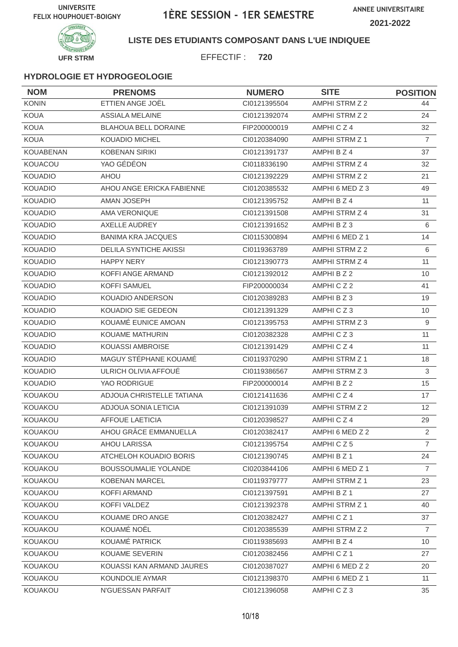

#### **LISTE DES ETUDIANTS COMPOSANT DANS L'UE INDIQUEE**

EFFECTIF : **720**

| <b>NOM</b>       | <b>PRENOMS</b>                | <b>NUMERO</b> | <b>SITE</b>           | <b>POSITION</b>   |
|------------------|-------------------------------|---------------|-----------------------|-------------------|
| <b>KONIN</b>     | ETTIEN ANGE JOËL              | Cl0121395504  | AMPHI STRM Z 2        | 44                |
| <b>KOUA</b>      | <b>ASSIALA MELAINE</b>        | CI0121392074  | AMPHI STRM Z 2        | 24                |
| <b>KOUA</b>      | <b>BLAHOUA BELL DORAINE</b>   | FIP200000019  | AMPHICZ4              | 32                |
| <b>KOUA</b>      | <b>KOUADIO MICHEL</b>         | CI0120384090  | <b>AMPHI STRM Z 1</b> | $\overline{7}$    |
| <b>KOUABENAN</b> | <b>KOBENAN SIRIKI</b>         | CI0121391737  | AMPHI B Z 4           | 37                |
| KOUACOU          | YAO GÉDÉON                    | CI0118336190  | AMPHI STRM Z 4        | 32                |
| <b>KOUADIO</b>   | AHOU                          | CI0121392229  | AMPHI STRM Z 2        | 21                |
| <b>KOUADIO</b>   | AHOU ANGE ERICKA FABIENNE     | CI0120385532  | AMPHI 6 MED Z 3       | 49                |
| <b>KOUADIO</b>   | AMAN JOSEPH                   | CI0121395752  | AMPHI B Z 4           | 11                |
| <b>KOUADIO</b>   | AMA VERONIQUE                 | CI0121391508  | AMPHI STRM Z 4        | 31                |
| <b>KOUADIO</b>   | AXELLE AUDREY                 | CI0121391652  | AMPHIBZ3              | 6                 |
| <b>KOUADIO</b>   | <b>BANIMA KRA JACQUES</b>     | CI0115300894  | AMPHI 6 MED Z 1       | 14                |
| <b>KOUADIO</b>   | <b>DELILA SYNTICHE AKISSI</b> | CI0119363789  | <b>AMPHI STRM Z 2</b> | 6                 |
| KOUADIO          | <b>HAPPY NERY</b>             | CI0121390773  | AMPHI STRM Z 4        | 11                |
| <b>KOUADIO</b>   | KOFFI ANGE ARMAND             | CI0121392012  | AMPHI B Z 2           | 10                |
| <b>KOUADIO</b>   | <b>KOFFI SAMUEL</b>           | FIP200000034  | AMPHICZ2              | 41                |
| <b>KOUADIO</b>   | KOUADIO ANDERSON              | CI0120389283  | AMPHI B Z 3           | 19                |
| <b>KOUADIO</b>   | KOUADIO SIE GEDEON            | CI0121391329  | AMPHICZ3              | 10                |
| <b>KOUADIO</b>   | KOUAMÉ EUNICE AMOAN           | CI0121395753  | AMPHI STRM Z 3        | 9                 |
| <b>KOUADIO</b>   | KOUAME MATHURIN               | CI0120382328  | AMPHICZ3              | 11                |
| <b>KOUADIO</b>   | KOUASSI AMBROISE              | CI0121391429  | AMPHICZ4              | 11                |
| <b>KOUADIO</b>   | MAGUY STÉPHANE KOUAMÉ         | CI0119370290  | AMPHI STRM Z 1        | 18                |
| <b>KOUADIO</b>   | ULRICH OLIVIA AFFOUÉ          | CI0119386567  | AMPHI STRM Z 3        | $\mathfrak{S}$    |
| <b>KOUADIO</b>   | YAO RODRIGUE                  | FIP200000014  | AMPHI B Z 2           | 15                |
| KOUAKOU          | ADJOUA CHRISTELLE TATIANA     | CI0121411636  | AMPHICZ4              | 17                |
| KOUAKOU          | ADJOUA SONIA LETICIA          | Cl0121391039  | AMPHI STRM Z 2        | $12 \overline{ }$ |
| KOUAKOU          | <b>AFFOUE LAETICIA</b>        | CI0120398527  | AMPHICZ4              | 29                |
| KOUAKOU          | AHOU GRÂCE EMMANUELLA         | CI0120382417  | AMPHI 6 MED Z 2       | $\overline{2}$    |
| KOUAKOU          | <b>AHOU LARISSA</b>           | Cl0121395754  | AMPHICZ5              | $\overline{7}$    |
| KOUAKOU          | ATCHELOH KOUADIO BORIS        | CI0121390745  | AMPHI B Z 1           | 24                |
| KOUAKOU          | <b>BOUSSOUMALIE YOLANDE</b>   | CI0203844106  | AMPHI 6 MED Z 1       | $\overline{7}$    |
| KOUAKOU          | KOBENAN MARCEL                | CI0119379777  | AMPHI STRM Z 1        | 23                |
| <b>KOUAKOU</b>   | KOFFI ARMAND                  | CI0121397591  | AMPHI B Z 1           | 27                |
| <b>KOUAKOU</b>   | KOFFI VALDEZ                  | Cl0121392378  | AMPHI STRM Z 1        | 40                |
| KOUAKOU          | KOUAME DRO ANGE               | CI0120382427  | AMPHICZ1              | 37                |
| KOUAKOU          | KOUAMÉ NOËL                   | CI0120385539  | AMPHI STRM Z 2        | 7                 |
| KOUAKOU          | KOUAMÉ PATRICK                | CI0119385693  | AMPHI B Z 4           | 10                |
| KOUAKOU          | KOUAME SEVERIN                | CI0120382456  | AMPHICZ1              | 27                |
| KOUAKOU          | KOUASSI KAN ARMAND JAURES     | Cl0120387027  | AMPHI 6 MED Z 2       | 20                |
| KOUAKOU          | KOUNDOLIE AYMAR               | CI0121398370  | AMPHI 6 MED Z 1       | 11                |
| KOUAKOU          | N'GUESSAN PARFAIT             | Cl0121396058  | AMPHICZ3              | 35                |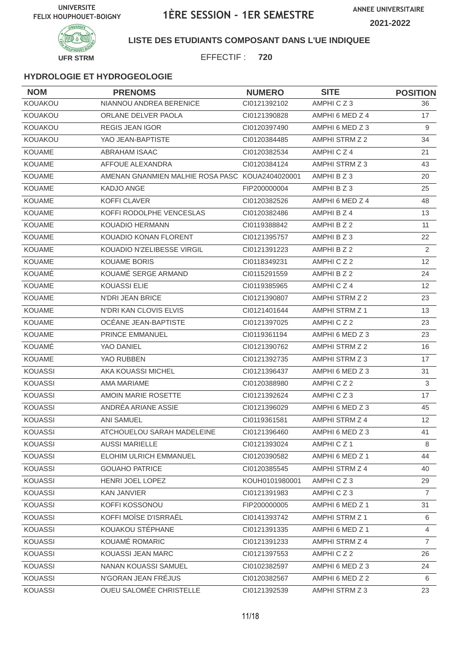

### **LISTE DES ETUDIANTS COMPOSANT DANS L'UE INDIQUEE**

EFFECTIF : **720**

| <b>NOM</b>     | <b>PRENOMS</b>                                  | <b>NUMERO</b>  | <b>SITE</b>           | <b>POSITION</b> |
|----------------|-------------------------------------------------|----------------|-----------------------|-----------------|
| KOUAKOU        | NIANNOU ANDREA BERENICE                         | CI0121392102   | AMPHICZ3              | 36              |
| KOUAKOU        | ORLANE DELVER PAOLA                             | CI0121390828   | AMPHI 6 MED Z 4       | 17              |
| <b>KOUAKOU</b> | <b>REGIS JEAN IGOR</b>                          | CI0120397490   | AMPHI 6 MED Z 3       | 9               |
| KOUAKOU        | YAO JEAN-BAPTISTE                               | CI0120384485   | AMPHI STRM Z 2        | 34              |
| <b>KOUAME</b>  | <b>ABRAHAM ISAAC</b>                            | CI0120382534   | AMPHICZ4              | 21              |
| <b>KOUAME</b>  | AFFOUE ALEXANDRA                                | CI0120384124   | AMPHI STRM Z 3        | 43              |
| <b>KOUAME</b>  | AMENAN GNANMIEN MALHIE ROSA PASC KOUA2404020001 |                | AMPHI B Z 3           | 20              |
| <b>KOUAME</b>  | KADJO ANGE                                      | FIP200000004   | AMPHIBZ3              | 25              |
| <b>KOUAME</b>  | KOFFI CLAVER                                    | CI0120382526   | AMPHI 6 MED Z 4       | 48              |
| <b>KOUAME</b>  | KOFFI RODOLPHE VENCESLAS                        | CI0120382486   | AMPHI B Z 4           | 13              |
| <b>KOUAME</b>  | <b>KOUADIO HERMANN</b>                          | CI0119388842   | AMPHI B Z 2           | 11              |
| <b>KOUAME</b>  | KOUADIO KONAN FLORENT                           | CI0121395757   | AMPHI B Z 3           | 22              |
| <b>KOUAME</b>  | KOUADIO N'ZELIBESSE VIRGIL                      | CI0121391223   | AMPHI B Z 2           | 2               |
| KOUAME         | <b>KOUAME BORIS</b>                             | CI0118349231   | AMPHICZ2              | 12              |
| KOUAMÉ         | KOUAMÉ SERGE ARMAND                             | CI0115291559   | AMPHI B Z 2           | 24              |
| <b>KOUAME</b>  | <b>KOUASSI ELIE</b>                             | CI0119385965   | AMPHICZ4              | 12              |
| <b>KOUAME</b>  | N'DRI JEAN BRICE                                | CI0121390807   | AMPHI STRM Z 2        | 23              |
| <b>KOUAME</b>  | N'DRI KAN CLOVIS ELVIS                          | CI0121401644   | AMPHI STRM Z 1        | 13              |
| <b>KOUAME</b>  | OCEANE JEAN-BAPTISTE                            | CI0121397025   | AMPHICZ2              | 23              |
| <b>KOUAME</b>  | PRINCE EMMANUEL                                 | CI0119361194   | AMPHI 6 MED Z 3       | 23              |
| KOUAMÉ         | YAO DANIEL                                      | CI0121390762   | <b>AMPHI STRM Z 2</b> | 16              |
| <b>KOUAME</b>  | YAO RUBBEN                                      | CI0121392735   | AMPHI STRM Z 3        | 17              |
| <b>KOUASSI</b> | AKA KOUASSI MICHEL                              | CI0121396437   | AMPHI 6 MED Z 3       | 31              |
| <b>KOUASSI</b> | AMA MARIAME                                     | CI0120388980   | AMPHICZ2              | $\mathfrak{S}$  |
| <b>KOUASSI</b> | AMOIN MARIE ROSETTE                             | CI0121392624   | AMPHICZ3              | 17              |
| <b>KOUASSI</b> | ANDRÉA ARIANE ASSIE                             | CI0121396029   | AMPHI 6 MED Z 3       | 45              |
| <b>KOUASSI</b> | <b>ANI SAMUEL</b>                               | CI0119361581   | AMPHI STRM Z 4        | 12              |
| KOUASSI        | ATCHOUELOU SARAH MADELEINE                      | Cl0121396460   | AMPHI 6 MED Z 3       | 41              |
| <b>KOUASSI</b> | <b>AUSSI MARIELLE</b>                           | Cl0121393024   | AMPHICZ1              | 8               |
| KOUASSI        | ELOHIM ULRICH EMMANUEL                          | CI0120390582   | AMPHI 6 MED Z 1       | 44              |
| KOUASSI        | <b>GOUAHO PATRICE</b>                           | CI0120385545   | AMPHI STRM Z 4        | 40              |
| KOUASSI        | HENRI JOEL LOPEZ                                | KOUH0101980001 | AMPHICZ3              | 29              |
| <b>KOUASSI</b> | <b>KAN JANVIER</b>                              | CI0121391983   | AMPHICZ3              | $\overline{7}$  |
| <b>KOUASSI</b> | KOFFI KOSSONOU                                  | FIP200000005   | AMPHI 6 MED Z 1       | 31              |
| <b>KOUASSI</b> | KOFFI MOÏSE D'ISRRAËL                           | CI0141393742   | AMPHI STRM Z 1        | 6               |
| KOUASSI        | KOUAKOU STÉPHANE                                | CI0121391335   | AMPHI 6 MED Z 1       | 4               |
| KOUASSI        | KOUAMÉ ROMARIC                                  | Cl0121391233   | AMPHI STRM Z 4        | $\overline{7}$  |
| <b>KOUASSI</b> | KOUASSI JEAN MARC                               | CI0121397553   | AMPHICZ2              | 26              |
| KOUASSI        | NANAN KOUASSI SAMUEL                            | CI0102382597   | AMPHI 6 MED Z 3       | 24              |
| KOUASSI        | N'GORAN JEAN FRÉJUS                             | CI0120382567   | AMPHI 6 MED Z 2       | 6               |
| KOUASSI        | OUEU SALOMÉE CHRISTELLE                         | Cl0121392539   | AMPHI STRM Z 3        | 23              |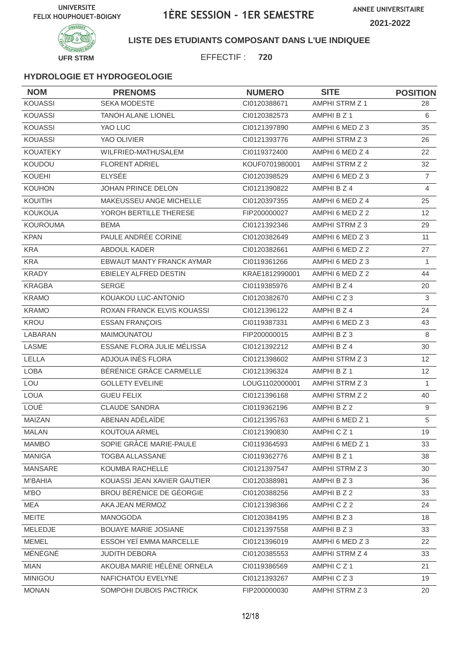

### **LISTE DES ETUDIANTS COMPOSANT DANS L'UE INDIQUEE**

EFFECTIF : **720**

| <b>NOM</b>      | <b>PRENOMS</b>              | <b>NUMERO</b>  | <b>SITE</b>     | <b>POSITION</b> |
|-----------------|-----------------------------|----------------|-----------------|-----------------|
| <b>KOUASSI</b>  | <b>SEKA MODESTE</b>         | Cl0120388671   | AMPHI STRM Z 1  | 28              |
| <b>KOUASSI</b>  | <b>TANOH ALANE LIONEL</b>   | CI0120382573   | AMPHI B Z 1     | 6               |
| <b>KOUASSI</b>  | YAO LUC                     | CI0121397890   | AMPHI 6 MED Z 3 | 35              |
| <b>KOUASSI</b>  | YAO OLIVIER                 | CI0121393776   | AMPHI STRM Z 3  | 26              |
| <b>KOUATEKY</b> | WILFRIED-MATHUSALEM         | CI0119372400   | AMPHI 6 MED Z 4 | 22              |
| KOUDOU          | <b>FLORENT ADRIEL</b>       | KOUF0701980001 | AMPHI STRM Z 2  | 32              |
| KOUEHI          | <b>ELYSÉE</b>               | CI0120398529   | AMPHI 6 MED Z 3 | $\overline{7}$  |
| <b>KOUHON</b>   | JOHAN PRINCE DELON          | CI0121390822   | AMPHI B Z 4     | $\overline{4}$  |
| KOUITIH         | MAKEUSSEU ANGE MICHELLE     | CI0120397355   | AMPHI 6 MED Z 4 | 25              |
| <b>KOUKOUA</b>  | YOROH BERTILLE THERESE      | FIP200000027   | AMPHI 6 MED Z 2 | 12              |
| <b>KOUROUMA</b> | <b>BEMA</b>                 | CI0121392346   | AMPHI STRM Z 3  | 29              |
| <b>KPAN</b>     | PAULE ANDRÉE CORINE         | CI0120382649   | AMPHI 6 MED Z 3 | 11              |
| <b>KRA</b>      | ABDOUL KADER                | CI0120382661   | AMPHI 6 MED Z 2 | 27              |
| <b>KRA</b>      | EBWAUT MANTY FRANCK AYMAR   | CI0119361266   | AMPHI 6 MED Z 3 | $\mathbf{1}$    |
| <b>KRADY</b>    | EBIELEY ALFRED DESTIN       | KRAE1812990001 | AMPHI 6 MED Z 2 | 44              |
| <b>KRAGBA</b>   | <b>SERGE</b>                | CI0119385976   | AMPHI B Z 4     | 20              |
| <b>KRAMO</b>    | KOUAKOU LUC-ANTONIO         | Cl0120382670   | AMPHICZ3        | $\mathsf 3$     |
| <b>KRAMO</b>    | ROXAN FRANCK ELVIS KOUASSI  | CI0121396122   | AMPHI B Z 4     | 24              |
| KROU            | <b>ESSAN FRANÇOIS</b>       | CI0119387331   | AMPHI 6 MED Z 3 | 43              |
| LABARAN         | MAIMOUNATOU                 | FIP200000015   | AMPHI B Z 3     | 8               |
| <b>LASME</b>    | ESSANE FLORA JULIE MÉLISSA  | CI0121392212   | AMPHI B Z 4     | 30              |
| LELLA           | ADJOUA INES FLORA           | CI0121398602   | AMPHI STRM Z 3  | 12              |
| <b>LOBA</b>     | BÉRÉNICE GRÂCE CARMELLE     | Cl0121396324   | AMPHI B Z 1     | 12              |
| LOU             | <b>GOLLETY EVELINE</b>      | LOUG1102000001 | AMPHI STRM Z 3  | $\mathbf{1}$    |
| <b>LOUA</b>     | <b>GUEU FELIX</b>           | CI0121396168   | AMPHI STRM Z 2  | 40              |
| LOUÉ            | <b>CLAUDE SANDRA</b>        | CI0119362196   | AMPHI B Z 2     | 9               |
| <b>MAIZAN</b>   | ABENAN ADÉLAÏDE             | Cl0121395763   | AMPHI 6 MED Z 1 | 5               |
| <b>MALAN</b>    | KOUTOUA ARMEL               | CI0121390830   | AMPHICZ1        | 19              |
| <b>MAMBO</b>    | SOPIE GRÂCE MARIE-PAULE     | CI0119364593   | AMPHI 6 MED Z 1 | 33              |
| MANIGA          | TOGBA ALLASSANE             | CI0119362776   | AMPHI B Z 1     | 38              |
| <b>MANSARE</b>  | KOUMBA RACHELLE             | CI0121397547   | AMPHI STRM Z 3  | 30              |
| <b>M'BAHIA</b>  | KOUASSI JEAN XAVIER GAUTIER | CI0120388981   | AMPHIBZ3        | 36              |
| M'BO            | BROU BÉRÉNICE DE GÉORGIE    | CI0120388256   | AMPHI B Z 2     | 33              |
| <b>MEA</b>      | AKA JEAN MERMOZ             | CI0121398366   | AMPHICZ2        | 24              |
| <b>MEITE</b>    | MANOGODA                    | CI0120384195   | AMPHIBZ3        | 18              |
| MELEDJE         | <b>BOUAYE MARIE JOSIANE</b> | CI0121397558   | AMPHI B Z 3     | 33              |
| <b>MEMEL</b>    | ESSOH YEÏ EMMA MARCELLE     | CI0121396019   | AMPHI 6 MED Z 3 | 22              |
| MÉNÉGNÉ         | <b>JUDITH DEBORA</b>        | CI0120385553   | AMPHI STRM Z 4  | 33              |
| <b>MIAN</b>     | AKOUBA MARIE HÉLÈNE ORNELA  | CI0119386569   | AMPHICZ1        | 21              |
| <b>MINIGOU</b>  | NAFICHATOU EVELYNE          | CI0121393267   | AMPHICZ3        | 19              |
| <b>MONAN</b>    | SOMPOHI DUBOIS PACTRICK     | FIP200000030   | AMPHI STRM Z 3  | 20              |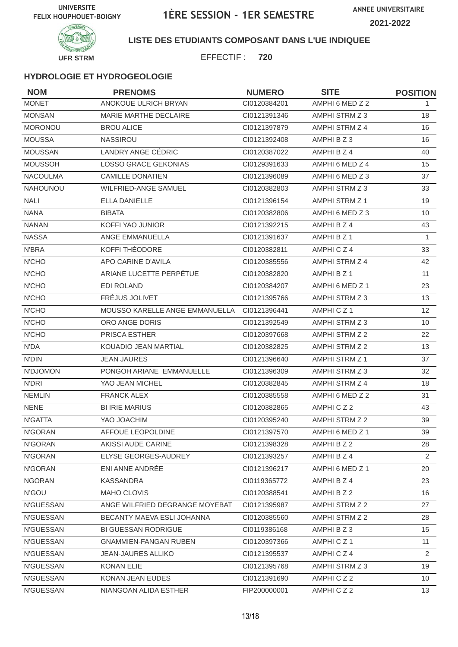

**UFR STRM**

### **LISTE DES ETUDIANTS COMPOSANT DANS L'UE INDIQUEE**

EFFECTIF : **720**

| <b>NOM</b>       | <b>PRENOMS</b>                 | <b>NUMERO</b> | <b>SITE</b>           | <b>POSITION</b> |
|------------------|--------------------------------|---------------|-----------------------|-----------------|
| <b>MONET</b>     | ANOKOUE ULRICH BRYAN           | CI0120384201  | AMPHI 6 MED Z 2       | 1.              |
| <b>MONSAN</b>    | MARIE MARTHE DECLAIRE          | CI0121391346  | AMPHI STRM Z 3        | 18              |
| <b>MORONOU</b>   | <b>BROU ALICE</b>              | CI0121397879  | AMPHI STRM Z 4        | 16              |
| <b>MOUSSA</b>    | <b>NASSIROU</b>                | CI0121392408  | AMPHI B Z 3           | 16              |
| <b>MOUSSAN</b>   | LANDRY ANGE CÉDRIC             | CI0120387022  | AMPHI B Z 4           | 40              |
| <b>MOUSSOH</b>   | LOSSO GRACE GEKONIAS           | CI0129391633  | AMPHI 6 MED Z 4       | 15              |
| <b>NACOULMA</b>  | <b>CAMILLE DONATIEN</b>        | CI0121396089  | AMPHI 6 MED Z 3       | 37              |
| <b>NAHOUNOU</b>  | <b>WILFRIED-ANGE SAMUEL</b>    | CI0120382803  | AMPHI STRM Z 3        | 33              |
| <b>NALI</b>      | <b>ELLA DANIELLE</b>           | CI0121396154  | AMPHI STRM Z 1        | 19              |
| <b>NANA</b>      | <b>BIBATA</b>                  | CI0120382806  | AMPHI 6 MED Z 3       | 10              |
| <b>NANAN</b>     | KOFFI YAO JUNIOR               | CI0121392215  | AMPHI B Z 4           | 43              |
| <b>NASSA</b>     | ANGE EMMANUELLA                | CI0121391637  | AMPHI B Z 1           | $\mathbf{1}$    |
| <b>N'BRA</b>     | KOFFI THÉODORE                 | CI0120382811  | AMPHICZ4              | 33              |
| N'CHO            | APO CARINE D'AVILA             | CI0120385556  | AMPHI STRM Z 4        | 42              |
| <b>N'CHO</b>     | ARIANE LUCETTE PERPÉTUE        | CI0120382820  | AMPHI B Z 1           | 11              |
| N'CHO            | <b>EDI ROLAND</b>              | CI0120384207  | AMPHI 6 MED Z 1       | 23              |
| <b>N'CHO</b>     | FRÉJUS JOLIVET                 | CI0121395766  | AMPHI STRM Z 3        | 13              |
| <b>N'CHO</b>     | MOUSSO KARELLE ANGE EMMANUELLA | CI0121396441  | AMPHICZ <sub>1</sub>  | 12              |
| N'CHO            | ORO ANGE DORIS                 | CI0121392549  | AMPHI STRM Z 3        | 10              |
| <b>N'CHO</b>     | PRISCA ESTHER                  | CI0120397668  | AMPHI STRM Z 2        | 22              |
| N'DA             | KOUADIO JEAN MARTIAL           | CI0120382825  | AMPHI STRM Z 2        | 13              |
| <b>N'DIN</b>     | <b>JEAN JAURES</b>             | CI0121396640  | <b>AMPHI STRM Z 1</b> | 37              |
| N'DJOMON         | PONGOH ARIANE EMMANUELLE       | CI0121396309  | AMPHI STRM Z 3        | 32              |
| N'DRI            | YAO JEAN MICHEL                | CI0120382845  | AMPHI STRM Z 4        | 18              |
| <b>NEMLIN</b>    | <b>FRANCK ALEX</b>             | CI0120385558  | AMPHI 6 MED Z 2       | 31              |
| <b>NENE</b>      | <b>BI IRIE MARIUS</b>          | CI0120382865  | AMPHICZ2              | 43              |
| N'GATTA          | YAO JOACHIM                    | CI0120395240  | AMPHI STRM Z 2        | 39              |
| N'GORAN          | AFFOUE LEOPOLDINE              | CI0121397570  | AMPHI 6 MED Z 1       | 39              |
| N'GORAN          | AKISSI AUDE CARINE             | CI0121398328  | AMPHI B Z 2           | 28              |
| N'GORAN          | ELYSE GEORGES-AUDREY           | CI0121393257  | AMPHI B Z 4           | 2               |
| N'GORAN          | ENI ANNE ANDRÉE                | CI0121396217  | AMPHI 6 MED Z 1       | 20              |
| <b>NGORAN</b>    | <b>KASSANDRA</b>               | CI0119365772  | AMPHI B Z 4           | 23              |
| N'GOU            | MAHO CLOVIS                    | CI0120388541  | AMPHI B Z 2           | 16              |
| <b>N'GUESSAN</b> | ANGE WILFRIED DEGRANGE MOYEBAT | Cl0121395987  | AMPHI STRM Z 2        | 27              |
| N'GUESSAN        | BECANTY MAEVA ESLI JOHANNA     | CI0120385560  | AMPHI STRM Z 2        | 28              |
| N'GUESSAN        | <b>BI GUESSAN RODRIGUE</b>     | CI0119386168  | AMPHI B Z 3           | 15              |
| <b>N'GUESSAN</b> | <b>GNAMMIEN-FANGAN RUBEN</b>   | CI0120397366  | AMPHICZ1              | 11              |
| <b>N'GUESSAN</b> | <b>JEAN-JAURES ALLIKO</b>      | CI0121395537  | AMPHICZ4              | $\overline{2}$  |
| N'GUESSAN        | <b>KONAN ELIE</b>              | CI0121395768  | AMPHI STRM Z 3        | 19              |
| N'GUESSAN        | KONAN JEAN EUDES               | CI0121391690  | AMPHICZ2              | 10 <sup>°</sup> |
| N'GUESSAN        | NIANGOAN ALIDA ESTHER          | FIP200000001  | AMPHICZ2              | 13              |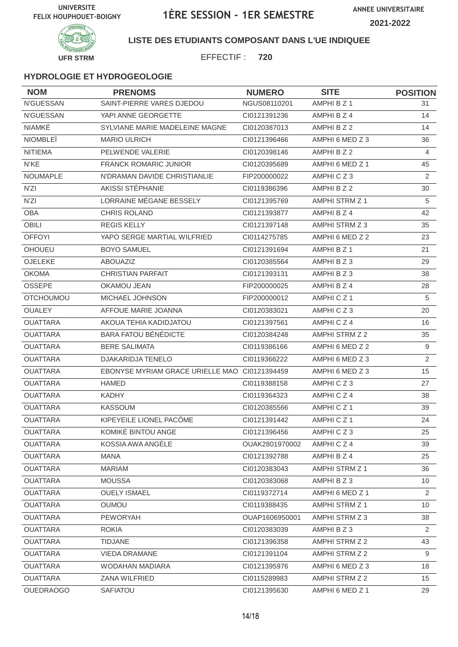

### **LISTE DES ETUDIANTS COMPOSANT DANS L'UE INDIQUEE**

EFFECTIF : **720**

| <b>NOM</b>       | <b>PRENOMS</b>                                | <b>NUMERO</b>  | <b>SITE</b>           | <b>POSITION</b> |
|------------------|-----------------------------------------------|----------------|-----------------------|-----------------|
| <b>N'GUESSAN</b> | SAINT-PIERRE VARES DJEDOU                     | NGUS08110201   | AMPHI B Z 1           | 31              |
| N'GUESSAN        | YAPI ANNE GEORGETTE                           | CI0121391236   | AMPHI B Z 4           | 14              |
| <b>NIAMKÉ</b>    | SYLVIANE MARIE MADELEINE MAGNE                | CI0120387013   | AMPHI B Z 2           | 14              |
| <b>NIOMBLEÏ</b>  | <b>MARIO ULRICH</b>                           | CI0121396466   | AMPHI 6 MED Z 3       | 36              |
| <b>NITIEMA</b>   | PELWENDE VALERIE                              | CI0120398146   | AMPHI B Z 2           | 4               |
| N'KE             | <b>FRANCK ROMARIC JUNIOR</b>                  | CI0120395689   | AMPHI 6 MED Z 1       | 45              |
| <b>NOUMAPLE</b>  | N'DRAMAN DAVIDE CHRISTIANLIE                  | FIP200000022   | AMPHICZ3              | 2               |
| N'ZI             | AKISSI STÉPHANIE                              | CI0119386396   | AMPHI B Z 2           | 30              |
| N'ZI             | LORRAINE MÉGANE BESSELY                       | CI0121395769   | AMPHI STRM Z 1        | 5               |
| <b>OBA</b>       | <b>CHRIS ROLAND</b>                           | CI0121393877   | AMPHI B Z 4           | 42              |
| <b>OBILI</b>     | <b>REGIS KELLY</b>                            | CI0121397148   | AMPHI STRM Z 3        | 35              |
| <b>OFFOYI</b>    | YAPO SERGE MARTIAL WILFRIED                   | CI0114275785   | AMPHI 6 MED Z 2       | 23              |
| <b>OHOUEU</b>    | <b>BOYO SAMUEL</b>                            | CI0121391694   | AMPHI B Z 1           | 21              |
| OJELEKE          | <b>ABOUAZIZ</b>                               | CI0120385564   | AMPHI B Z 3           | 29              |
| <b>OKOMA</b>     | <b>CHRISTIAN PARFAIT</b>                      | CI0121393131   | AMPHIBZ3              | 38              |
| <b>OSSEPE</b>    | OKAMOU JEAN                                   | FIP200000025   | AMPHI B Z 4           | 28              |
| <b>OTCHOUMOU</b> | MICHAEL JOHNSON                               | FIP200000012   | AMPHICZ1              | 5               |
| <b>OUALEY</b>    | AFFOUE MARIE JOANNA                           | CI0120383021   | AMPHICZ3              | 20              |
| <b>OUATTARA</b>  | AKOUA TEHIA KADIDJATOU                        | CI0121397561   | AMPHICZ4              | 16              |
| <b>OUATTARA</b>  | <b>BARA FATOU BÉNÉDICTE</b>                   | CI0120384248   | AMPHI STRM Z 2        | 35              |
| <b>OUATTARA</b>  | <b>BERE SALIMATA</b>                          | CI0119386166   | AMPHI 6 MED Z 2       | 9               |
| <b>OUATTARA</b>  | <b>DJAKARIDJA TENELO</b>                      | CI0119366222   | AMPHI 6 MED Z 3       | 2               |
| <b>OUATTARA</b>  | EBONYSE MYRIAM GRACE URIELLE MAO CI0121394459 |                | AMPHI 6 MED Z 3       | 15              |
| <b>OUATTARA</b>  | <b>HAMED</b>                                  | CI0119388158   | AMPHICZ3              | 27              |
| <b>OUATTARA</b>  | <b>KADHY</b>                                  | CI0119364323   | AMPHICZ4              | 38              |
| <b>OUATTARA</b>  | <b>KASSOUM</b>                                | CI0120385566   | AMPHICZ1              | 39              |
| <b>OUATTARA</b>  | KIPEYEILE LIONEL PACÔME                       | CI0121391442   | AMPHICZ1              | 24              |
| <b>OUATTARA</b>  | KOMIKÉ BINTOU ANGE                            | CI0121396456   | AMPHICZ3              | 25              |
| <b>OUATTARA</b>  | KOSSIA AWA ANGÉLE                             | OUAK2801970002 | AMPHICZ4              | 39              |
| <b>OUATTARA</b>  | MANA                                          | CI0121392788   | AMPHI B Z 4           | 25              |
| <b>OUATTARA</b>  | <b>MARIAM</b>                                 | CI0120383043   | <b>AMPHI STRM Z 1</b> | 36              |
| <b>OUATTARA</b>  | <b>MOUSSA</b>                                 | CI0120383068   | AMPHI B Z 3           | 10              |
| <b>OUATTARA</b>  | <b>OUELY ISMAEL</b>                           | CI0119372714   | AMPHI 6 MED Z 1       | 2               |
| <b>OUATTARA</b>  | <b>OUMOU</b>                                  | CI0119388435   | AMPHI STRM Z 1        | 10              |
| <b>OUATTARA</b>  | <b>PEWORYAH</b>                               | OUAP1606950001 | AMPHI STRM Z 3        | 38              |
| <b>OUATTARA</b>  | <b>ROKIA</b>                                  | CI0120383039   | AMPHIBZ3              | $\overline{2}$  |
| <b>OUATTARA</b>  | <b>TIDJANE</b>                                | CI0121396358   | AMPHI STRM Z 2        | 43              |
| <b>OUATTARA</b>  | <b>VIEDA DRAMANE</b>                          | CI0121391104   | AMPHI STRM Z 2        | 9               |
| <b>OUATTARA</b>  | WODAHAN MADIARA                               | CI0121395976   | AMPHI 6 MED Z 3       | 18              |
| <b>OUATTARA</b>  | ZANA WILFRIED                                 | CI0115289983   | AMPHI STRM Z 2        | 15              |
| <b>OUEDRAOGO</b> | <b>SAFIATOU</b>                               | CI0121395630   | AMPHI 6 MED Z 1       | 29              |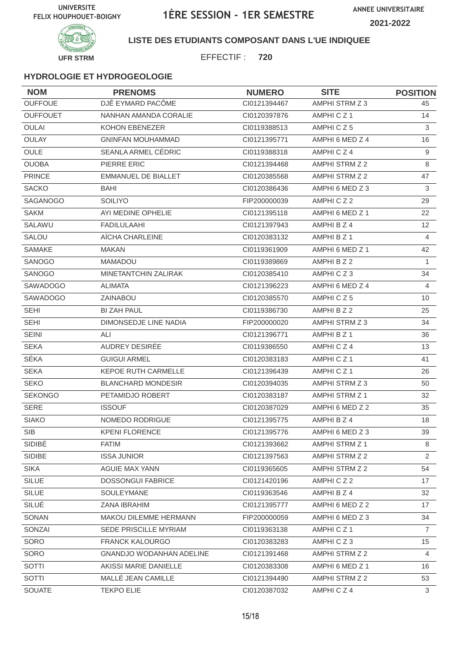

**LISTE DES ETUDIANTS COMPOSANT DANS L'UE INDIQUEE**

EFFECTIF : **720**

| <b>NOM</b>      | <b>PRENOMS</b>                  | <b>NUMERO</b> | <b>SITE</b>          | <b>POSITION</b>   |
|-----------------|---------------------------------|---------------|----------------------|-------------------|
| <b>OUFFOUE</b>  | DJÊ EYMARD PACÔME               | CI0121394467  | AMPHI STRM Z 3       | 45                |
| <b>OUFFOUET</b> | NANHAN AMANDA CORALIE           | CI0120397876  | AMPHICZ <sub>1</sub> | 14                |
| <b>OULAI</b>    | KOHON EBENEZER                  | CI0119388513  | AMPHICZ5             | 3                 |
| OULAY           | <b>GNINFAN MOUHAMMAD</b>        | CI0121395771  | AMPHI 6 MED Z 4      | 16                |
| <b>OULE</b>     | SEANLA ARMEL CÉDRIC             | CI0119388318  | AMPHICZ4             | $9\,$             |
| <b>OUOBA</b>    | PIERRE ERIC                     | CI0121394468  | AMPHI STRM Z 2       | 8                 |
| <b>PRINCE</b>   | <b>EMMANUEL DE BIALLET</b>      | CI0120385568  | AMPHI STRM Z 2       | 47                |
| <b>SACKO</b>    | BAHI                            | CI0120386436  | AMPHI 6 MED Z 3      | $\mathfrak{S}$    |
| <b>SAGANOGO</b> | <b>SOILIYO</b>                  | FIP200000039  | AMPHICZ2             | 29                |
| <b>SAKM</b>     | AYI MEDINE OPHELIE              | Cl0121395118  | AMPHI 6 MED Z 1      | 22                |
| SALAWU          | <b>FADILULAAHI</b>              | CI0121397943  | AMPHI B Z 4          | $12 \overline{ }$ |
| SALOU           | AÏCHA CHARLEINE                 | CI0120383132  | AMPHI B Z 1          | 4                 |
| <b>SAMAKE</b>   | <b>MAKAN</b>                    | CI0119361909  | AMPHI 6 MED Z 1      | 42                |
| SANOGO          | <b>MAMADOU</b>                  | CI0119389869  | AMPHI B Z 2          | 1                 |
| SANOGO          | MINETANTCHIN ZALIRAK            | CI0120385410  | AMPHICZ3             | 34                |
| <b>SAWADOGO</b> | <b>ALIMATA</b>                  | CI0121396223  | AMPHI 6 MED Z 4      | 4                 |
| SAWADOGO        | ZAINABOU                        | CI0120385570  | AMPHICZ5             | 10                |
| <b>SEHI</b>     | <b>BI ZAH PAUL</b>              | CI0119386730  | AMPHI B Z 2          | 25                |
| <b>SEHI</b>     | DIMONSEDJE LINE NADIA           | FIP200000020  | AMPHI STRM Z 3       | 34                |
| <b>SEINI</b>    | ALI                             | CI0121396771  | AMPHI B Z 1          | 36                |
| <b>SEKA</b>     | AUDREY DESIRÉE                  | CI0119386550  | AMPHICZ4             | 13                |
| SÉKA            | <b>GUIGUI ARMEL</b>             | CI0120383183  | AMPHICZ <sub>1</sub> | 41                |
| <b>SEKA</b>     | KEPOE RUTH CARMELLE             | CI0121396439  | AMPHICZ1             | 26                |
| <b>SEKO</b>     | <b>BLANCHARD MONDESIR</b>       | CI0120394035  | AMPHI STRM Z 3       | 50                |
| <b>SEKONGO</b>  | PETAMIDJO ROBERT                | CI0120383187  | AMPHI STRM Z 1       | 32                |
| <b>SERE</b>     | <b>ISSOUF</b>                   | CI0120387029  | AMPHI 6 MED Z 2      | 35                |
| <b>SIAKO</b>    | NOMEDO RODRIGUE                 | CI0121395775  | AMPHI B Z 4          | 18                |
| SIB             | KPENI FLORENCE                  | Cl0121395776  | AMPHI 6 MED Z 3      | 39                |
| SIDIBÉ          | <b>FATIM</b>                    | CI0121393662  | AMPHI STRM Z 1       | 8                 |
| SIDIBE          | <b>ISSA JUNIOR</b>              | CI0121397563  | AMPHI STRM Z 2       | 2                 |
| <b>SIKA</b>     | AGUIE MAX YANN                  | CI0119365605  | AMPHI STRM Z 2       | 54                |
| SILUE           | <b>DOSSONGUI FABRICE</b>        | CI0121420196  | AMPHICZ2             | 17                |
| SILUE           | SOULEYMANE                      | CI0119363546  | AMPHI B Z 4          | 32                |
| SILUÉ           | ZANA IBRAHIM                    | Cl0121395777  | AMPHI 6 MED Z 2      | 17                |
| SONAN           | MAKOU DILEMME HERMANN           | FIP200000059  | AMPHI 6 MED Z 3      | 34                |
| SONZAI          | SEDE PRISCILLE MYRIAM           | CI0119363138  | AMPHICZ1             | $\overline{7}$    |
| SORO            | <b>FRANCK KALOURGO</b>          | CI0120383283  | AMPHICZ3             | 15                |
| SORO            | <b>GNANDJO WODANHAN ADELINE</b> | CI0121391468  | AMPHI STRM Z 2       | 4                 |
| SOTTI           | AKISSI MARIE DANIELLE           | CI0120383308  | AMPHI 6 MED Z 1      | 16                |
| SOTTI           | MALLÉ JEAN CAMILLE              | Cl0121394490  | AMPHI STRM Z 2       | 53                |
| SOUATE          | <b>TEKPO ELIE</b>               | CI0120387032  | AMPHI C Z 4          | 3                 |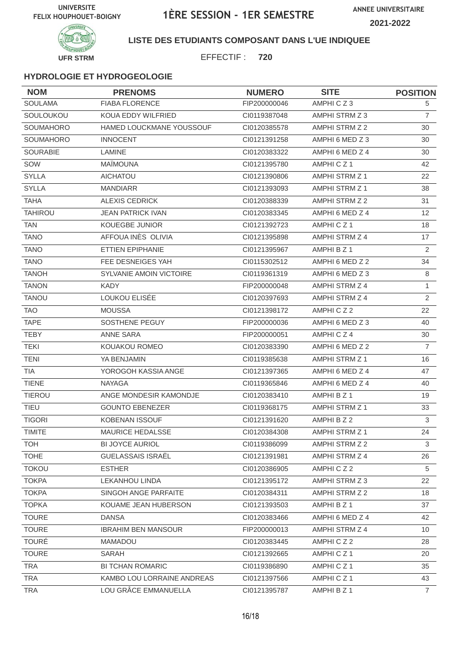

### **LISTE DES ETUDIANTS COMPOSANT DANS L'UE INDIQUEE**

EFFECTIF : **720**

| <b>NOM</b>       | <b>PRENOMS</b>             | <b>NUMERO</b> | <b>SITE</b>           | <b>POSITION</b>   |
|------------------|----------------------------|---------------|-----------------------|-------------------|
| <b>SOULAMA</b>   | <b>FIABA FLORENCE</b>      | FIP200000046  | AMPHICZ3              | 5                 |
| SOULOUKOU        | KOUA EDDY WILFRIED         | CI0119387048  | AMPHI STRM Z 3        | $\overline{7}$    |
| <b>SOUMAHORO</b> | HAMED LOUCKMANE YOUSSOUF   | CI0120385578  | AMPHI STRM Z 2        | 30                |
| SOUMAHORO        | <b>INNOCENT</b>            | CI0121391258  | AMPHI 6 MED Z 3       | 30                |
| <b>SOURABIE</b>  | LAMINE                     | CI0120383322  | AMPHI 6 MED Z 4       | 30                |
| SOW              | <b>MAÏMOUNA</b>            | CI0121395780  | AMPHICZ1              | 42                |
| <b>SYLLA</b>     | <b>AICHATOU</b>            | CI0121390806  | AMPHI STRM Z 1        | 22                |
| <b>SYLLA</b>     | <b>MANDIARR</b>            | CI0121393093  | <b>AMPHI STRM Z 1</b> | 38                |
| <b>TAHA</b>      | <b>ALEXIS CEDRICK</b>      | CI0120388339  | AMPHI STRM Z 2        | 31                |
| <b>TAHIROU</b>   | <b>JEAN PATRICK IVAN</b>   | CI0120383345  | AMPHI 6 MED Z 4       | $12 \overline{ }$ |
| <b>TAN</b>       | <b>KOUEGBE JUNIOR</b>      | CI0121392723  | AMPHICZ1              | 18                |
| <b>TANO</b>      | AFFOUA INÈS OLIVIA         | CI0121395898  | AMPHI STRM Z 4        | 17                |
| <b>TANO</b>      | ETTIEN EPIPHANIE           | CI0121395967  | AMPHI B Z 1           | 2                 |
| <b>TANO</b>      | FEE DESNEIGES YAH          | CI0115302512  | AMPHI 6 MED Z 2       | 34                |
| <b>TANOH</b>     | SYLVANIE AMOIN VICTOIRE    | CI0119361319  | AMPHI 6 MED Z 3       | 8                 |
| <b>TANON</b>     | <b>KADY</b>                | FIP200000048  | AMPHI STRM Z 4        | $\mathbf{1}$      |
| <b>TANOU</b>     | LOUKOU ELISÉE              | CI0120397693  | AMPHI STRM Z 4        | 2                 |
| <b>TAO</b>       | <b>MOUSSA</b>              | Cl0121398172  | AMPHICZ2              | 22                |
| <b>TAPE</b>      | SOSTHENE PEGUY             | FIP200000036  | AMPHI 6 MED Z 3       | 40                |
| <b>TEBY</b>      | ANNE SARA                  | FIP200000051  | AMPHICZ4              | 30                |
| <b>TEKI</b>      | KOUAKOU ROMEO              | CI0120383390  | AMPHI 6 MED Z 2       | $\overline{7}$    |
| <b>TENI</b>      | YA BENJAMIN                | CI0119385638  | AMPHI STRM Z 1        | 16                |
| <b>TIA</b>       | YOROGOH KASSIA ANGE        | CI0121397365  | AMPHI 6 MED Z 4       | 47                |
| <b>TIENE</b>     | <b>NAYAGA</b>              | CI0119365846  | AMPHI 6 MED Z 4       | 40                |
| <b>TIEROU</b>    | ANGE MONDESIR KAMONDJE     | CI0120383410  | AMPHI B Z 1           | 19                |
| TIEU             | <b>GOUNTO EBENEZER</b>     | CI0119368175  | AMPHI STRM Z 1        | 33                |
| <b>TIGORI</b>    | <b>KOBENAN ISSOUF</b>      | Cl0121391620  | AMPHI B Z 2           | $\mathbf{3}$      |
| <b>TIMITE</b>    | MAURICE HEDALSSE           | Cl0120384308  | AMPHI STRM Z 1        | 24                |
| <b>TOH</b>       | <b>BI JOYCE AURIOL</b>     | CI0119386099  | AMPHI STRM Z 2        | 3                 |
| <b>TOHE</b>      | <b>GUELASSAIS ISRAËL</b>   | CI0121391981  | AMPHI STRM Z 4        | 26                |
| <b>TOKOU</b>     | <b>ESTHER</b>              | CI0120386905  | AMPHICZ2              | 5                 |
| <b>TOKPA</b>     | <b>LEKANHOU LINDA</b>      | Cl0121395172  | AMPHI STRM Z 3        | 22                |
| <b>TOKPA</b>     | SINGOH ANGE PARFAITE       | CI0120384311  | AMPHI STRM Z 2        | 18                |
| <b>TOPKA</b>     | KOUAME JEAN HUBERSON       | CI0121393503  | AMPHI B Z 1           | 37                |
| <b>TOURE</b>     | <b>DANSA</b>               | CI0120383466  | AMPHI 6 MED Z 4       | 42                |
| <b>TOURE</b>     | <b>IBRAHIM BEN MANSOUR</b> | FIP200000013  | AMPHI STRM Z 4        | 10                |
| <b>TOURÉ</b>     | <b>MAMADOU</b>             | CI0120383445  | AMPHICZ2              | 28                |
| <b>TOURE</b>     | SARAH                      | CI0121392665  | AMPHICZ1              | 20                |
| <b>TRA</b>       | <b>BI TCHAN ROMARIC</b>    | CI0119386890  | AMPHICZ1              | 35                |
| TRA              | KAMBO LOU LORRAINE ANDREAS | Cl0121397566  | AMPHICZ1              | 43                |
| <b>TRA</b>       | LOU GRÂCE EMMANUELLA       | Cl0121395787  | AMPHI B Z 1           | $\overline{7}$    |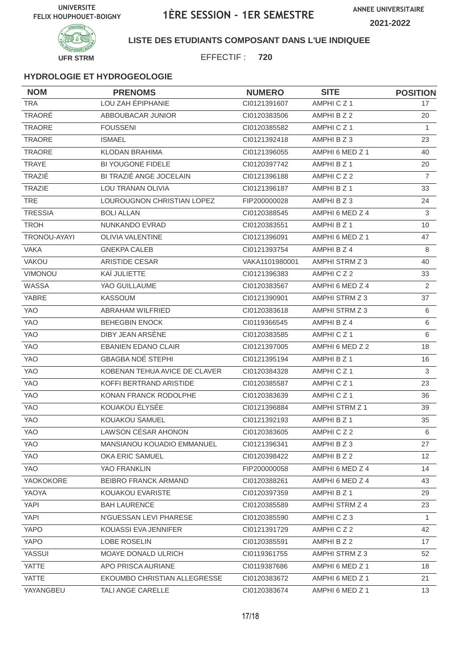

### **LISTE DES ETUDIANTS COMPOSANT DANS L'UE INDIQUEE**

EFFECTIF : **720**

| <b>NOM</b>     | <b>PRENOMS</b>                    | <b>NUMERO</b>  | <b>SITE</b>          | <b>POSITION</b> |
|----------------|-----------------------------------|----------------|----------------------|-----------------|
| <b>TRA</b>     | LOU ZAH ÉPIPHANIE                 | Cl0121391607   | AMPHICZ1             | 17              |
| TRAORÉ         | ABBOUBACAR JUNIOR                 | CI0120383506   | AMPHI B Z 2          | 20              |
| TRAORE         | <b>FOUSSENI</b>                   | CI0120385582   | AMPHICZ1             | $\mathbf{1}$    |
| <b>TRAORE</b>  | <b>ISMAEL</b>                     | CI0121392418   | AMPHI B Z 3          | 23              |
| TRAORE         | <b>KLODAN BRAHIMA</b>             | CI0121396055   | AMPHI 6 MED Z 1      | 40              |
| <b>TRAYE</b>   | BI YOUGONE FIDELE                 | CI0120397742   | AMPHI B Z 1          | 20              |
| TRAZIÉ         | BI TRAZIÉ ANGE JOCELAIN           | CI0121396188   | AMPHICZ2             | $\overline{7}$  |
| <b>TRAZIE</b>  | LOU TRANAN OLIVIA                 | CI0121396187   | AMPHI B Z 1          | 33              |
| <b>TRE</b>     | LOUROUGNON CHRISTIAN LOPEZ        | FIP200000028   | AMPHI B Z 3          | 24              |
| <b>TRESSIA</b> | <b>BOLI ALLAN</b>                 | CI0120388545   | AMPHI 6 MED Z 4      | $\mathsf 3$     |
| <b>TROH</b>    | NUNKANDO EVRAD                    | CI0120383551   | AMPHI B Z 1          | 10              |
| TRONOU-AYAYI   | <b>OLIVIA VALENTINE</b>           | CI0121396091   | AMPHI 6 MED Z 1      | 47              |
| <b>VAKA</b>    | <b>GNEKPA CALEB</b>               | CI0121393754   | AMPHI B Z 4          | 8               |
| VAKOU          | <b>ARISTIDE CESAR</b>             | VAKA1101980001 | AMPHI STRM Z 3       | 40              |
| VIMONOU        | KAÏ JULIETTE                      | CI0121396383   | AMPHICZ2             | 33              |
| <b>WASSA</b>   | YAO GUILLAUME                     | CI0120383567   | AMPHI 6 MED Z 4      | 2               |
| YABRE          | <b>KASSOUM</b>                    | CI0121390901   | AMPHI STRM Z 3       | 37              |
| <b>YAO</b>     | ABRAHAM WILFRIED                  | CI0120383618   | AMPHI STRM Z 3       | $\,6\,$         |
| <b>YAO</b>     | <b>BEHEGBIN ENOCK</b>             | CI0119366545   | AMPHI B Z 4          | 6               |
| <b>YAO</b>     | DIBY JEAN ARSÈNE                  | CI0120383585   | AMPHICZ1             | 6               |
| <b>YAO</b>     | <b>EBANIEN EDANO CLAIR</b>        | CI0121397005   | AMPHI 6 MED Z 2      | 18              |
| <b>YAO</b>     | <b>GBAGBA NOE STEPHI</b>          | CI0121395194   | AMPHI B Z 1          | 16              |
| <b>YAO</b>     | KOBENAN TEHUA AVICE DE CLAVER     | CI0120384328   | AMPHICZ1             | 3               |
| <b>YAO</b>     | KOFFI BERTRAND ARISTIDE           | CI0120385587   | AMPHICZ <sub>1</sub> | 23              |
| <b>YAO</b>     | KONAN FRANCK RODOLPHE             | CI0120383639   | AMPHICZ1             | 36              |
| YAO            | KOUAKOU ÉLYSÉE                    | CI0121396884   | AMPHI STRM Z 1       | 39              |
| <b>YAO</b>     | KOUAKOU SAMUEL                    | CI0121392193   | AMPHI B Z 1          | 35              |
| YAO            | LAWSON CÉSAR AHONON               | CI0120383605   | AMPHICZ2             | 6               |
| YAO            | <b>MANSIANOU KOUADIO EMMANUEL</b> | CI0121396341   | AMPHI B Z 3          | 27              |
| YAO            | OKA ERIC SAMUEL                   | CI0120398422   | AMPHIBZ2             | 12 <sup>2</sup> |
| YAO            | YAO FRANKLIN                      | FIP200000058   | AMPHI 6 MED Z 4      | 14              |
| YAOKOKORE      | <b>BEIBRO FRANCK ARMAND</b>       | CI0120388261   | AMPHI 6 MED Z 4      | 43              |
| YAOYA          | KOUAKOU EVARISTE                  | CI0120397359   | AMPHI B Z 1          | 29              |
| <b>YAPI</b>    | <b>BAH LAURENCE</b>               | CI0120385589   | AMPHI STRM Z 4       | 23              |
| <b>YAPI</b>    | N'GUESSAN LEVI PHARESE            | CI0120385590   | AMPHICZ3             | $\mathbf{1}$    |
| YAPO           | KOUASSI EVA JENNIFER              | CI0121391729   | AMPHICZ2             | 42              |
| YAPO           | LOBE ROSELIN                      | CI0120385591   | AMPHI B Z 2          | 17              |
| <b>YASSUI</b>  | <b>MOAYE DONALD ULRICH</b>        | CI0119361755   | AMPHI STRM Z 3       | 52              |
| YATTE          | APO PRISCA AURIANE                | CI0119387686   | AMPHI 6 MED Z 1      | 18              |
| <b>YATTE</b>   | EKOUMBO CHRISTIAN ALLEGRESSE      | CI0120383672   | AMPHI 6 MED Z 1      | 21              |
| YAYANGBEU      | TALI ANGE CARELLE                 | CI0120383674   | AMPHI 6 MED Z 1      | 13              |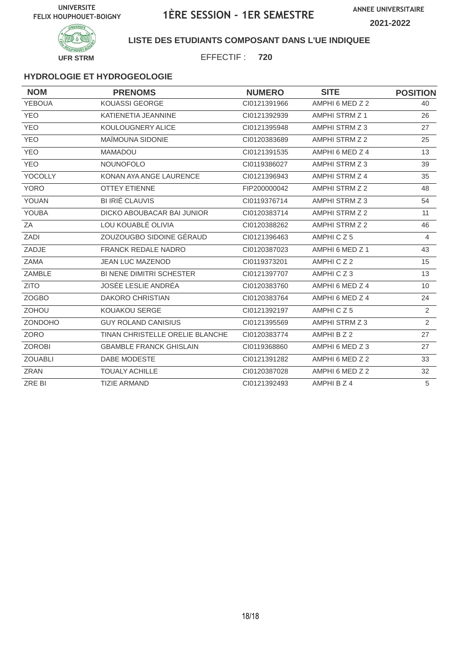

### **LISTE DES ETUDIANTS COMPOSANT DANS L'UE INDIQUEE**

EFFECTIF : **720**

### **HYDROLOGIE ET HYDROGEOLOGIE**

| <b>NOM</b>     | <b>PRENOMS</b>                  | <b>NUMERO</b> | <b>SITE</b>     | <b>POSITION</b> |
|----------------|---------------------------------|---------------|-----------------|-----------------|
| <b>YEBOUA</b>  | KOUASSI GEORGE                  | CI0121391966  | AMPHI 6 MED Z 2 | 40              |
| <b>YEO</b>     | KATIENETIA JEANNINE             | CI0121392939  | AMPHI STRM Z 1  | 26              |
| <b>YEO</b>     | KOULOUGNERY ALICE               | CI0121395948  | AMPHI STRM Z 3  | 27              |
| <b>YEO</b>     | MAÏMOUNA SIDONIE                | CI0120383689  | AMPHI STRM Z 2  | 25              |
| <b>YEO</b>     | <b>MAMADOU</b>                  | CI0121391535  | AMPHI 6 MED Z 4 | 13              |
| <b>YEO</b>     | <b>NOUNOFOLO</b>                | CI0119386027  | AMPHI STRM Z 3  | 39              |
| <b>YOCOLLY</b> | KONAN AYA ANGE LAURENCE         | CI0121396943  | AMPHI STRM Z 4  | 35              |
| <b>YORO</b>    | <b>OTTEY ETIENNE</b>            | FIP200000042  | AMPHI STRM Z 2  | 48              |
| YOUAN          | <b>BI IRIÉ CLAUVIS</b>          | CI0119376714  | AMPHI STRM Z 3  | 54              |
| <b>YOUBA</b>   | DICKO ABOUBACAR BAI JUNIOR      | CI0120383714  | AMPHI STRM Z 2  | 11              |
| ΖA             | LOU KOUABLÉ OLIVIA              | CI0120388262  | AMPHI STRM Z 2  | 46              |
| ZADI           | ZOUZOUGBO SIDOINE GÉRAUD        | CI0121396463  | AMPHICZ5        | $\overline{4}$  |
| ZADJE          | <b>FRANCK REDALE NADRO</b>      | CI0120387023  | AMPHI 6 MED Z 1 | 43              |
| ZAMA           | <b>JEAN LUC MAZENOD</b>         | CI0119373201  | AMPHICZ2        | 15              |
| ZAMBLE         | <b>BI NENE DIMITRI SCHESTER</b> | CI0121397707  | AMPHICZ3        | 13              |
| <b>ZITO</b>    | <b>JOSÉE LESLIE ANDRÉA</b>      | CI0120383760  | AMPHI 6 MED Z 4 | 10 <sup>°</sup> |
| <b>ZOGBO</b>   | <b>DAKORO CHRISTIAN</b>         | CI0120383764  | AMPHI 6 MED Z 4 | 24              |
| <b>ZOHOU</b>   | KOUAKOU SERGE                   | CI0121392197  | AMPHICZ5        | 2               |
| ZONDOHO        | <b>GUY ROLAND CANISIUS</b>      | CI0121395569  | AMPHI STRM Z 3  | $\overline{2}$  |
| ZORO           | TINAN CHRISTELLE ORELIE BLANCHE | CI0120383774  | AMPHI B Z 2     | 27              |
| <b>ZOROBI</b>  | <b>GBAMBLE FRANCK GHISLAIN</b>  | CI0119368860  | AMPHI 6 MED Z 3 | 27              |
| <b>ZOUABLI</b> | DABE MODESTE                    | CI0121391282  | AMPHI 6 MED Z 2 | 33              |
| <b>ZRAN</b>    | <b>TOUALY ACHILLE</b>           | CI0120387028  | AMPHI 6 MED Z 2 | 32              |
| ZRE BI         | <b>TIZIE ARMAND</b>             | CI0121392493  | AMPHI B Z 4     | 5               |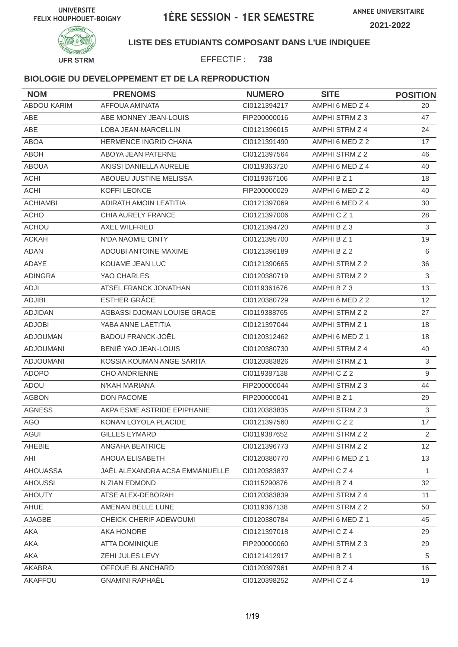

**LISTE DES ETUDIANTS COMPOSANT DANS L'UE INDIQUEE**

EFFECTIF : **738**

| <b>NOM</b>       | <b>PRENOMS</b>                 | <b>NUMERO</b> | <b>SITE</b>     | <b>POSITION</b> |
|------------------|--------------------------------|---------------|-----------------|-----------------|
| ABDOU KARIM      | <b>AFFOUA AMINATA</b>          | CI0121394217  | AMPHI 6 MED Z 4 | 20              |
| <b>ABE</b>       | ABE MONNEY JEAN-LOUIS          | FIP200000016  | AMPHI STRM Z 3  | 47              |
| <b>ABE</b>       | <b>LOBA JEAN-MARCELLIN</b>     | CI0121396015  | AMPHI STRM Z 4  | 24              |
| <b>ABOA</b>      | HERMENCE INGRID CHANA          | CI0121391490  | AMPHI 6 MED Z 2 | 17              |
| <b>ABOH</b>      | ABOYA JEAN PATERNE             | CI0121397564  | AMPHI STRM Z 2  | 46              |
| <b>ABOUA</b>     | AKISSI DANIELLA AURELIE        | CI0119363720  | AMPHI 6 MED Z 4 | 40              |
| <b>ACHI</b>      | ABOUEU JUSTINE MELISSA         | CI0119367106  | AMPHI B Z 1     | 18              |
| <b>ACHI</b>      | KOFFI LEONCE                   | FIP200000029  | AMPHI 6 MED Z 2 | 40              |
| <b>ACHIAMBI</b>  | ADIRATH AMOIN LEATITIA         | CI0121397069  | AMPHI 6 MED Z 4 | 30              |
| <b>ACHO</b>      | CHIA AURELY FRANCE             | CI0121397006  | AMPHICZ1        | 28              |
| <b>ACHOU</b>     | AXEL WILFRIED                  | CI0121394720  | AMPHIBZ3        | 3               |
| <b>ACKAH</b>     | N'DA NAOMIE CINTY              | CI0121395700  | AMPHI B Z 1     | 19              |
| <b>ADAN</b>      | <b>ADOUBI ANTOINE MAXIME</b>   | CI0121396189  | AMPHI B Z 2     | 6               |
| ADAYE            | KOUAME JEAN LUC                | CI0121390665  | AMPHI STRM Z 2  | 36              |
| <b>ADINGRA</b>   | YAO CHARLES                    | CI0120380719  | AMPHI STRM Z 2  | 3               |
| ADJI             | ATSEL FRANCK JONATHAN          | CI0119361676  | AMPHI B Z 3     | 13              |
| <b>ADJIBI</b>    | <b>ESTHER GRÂCE</b>            | CI0120380729  | AMPHI 6 MED Z 2 | 12 <sup>2</sup> |
| <b>ADJIDAN</b>   | AGBASSI DJOMAN LOUISE GRACE    | CI0119388765  | AMPHI STRM Z 2  | 27              |
| <b>ADJOBI</b>    | YABA ANNE LAETITIA             | CI0121397044  | AMPHI STRM Z 1  | 18              |
| <b>ADJOUMAN</b>  | <b>BADOU FRANCK-JOËL</b>       | CI0120312462  | AMPHI 6 MED Z 1 | 18              |
| <b>ADJOUMANI</b> | BENIÉ YAO JEAN-LOUIS           | CI0120380730  | AMPHI STRM Z 4  | 40              |
| <b>ADJOUMANI</b> | KOSSIA KOUMAN ANGE SARITA      | CI0120383826  | AMPHI STRM Z 1  | 3               |
| <b>ADOPO</b>     | <b>CHO ANDRIENNE</b>           | CI0119387138  | AMPHICZ2        | 9               |
| ADOU             | N'KAH MARIANA                  | FIP200000044  | AMPHI STRM Z 3  | 44              |
| <b>AGBON</b>     | <b>DON PACOME</b>              | FIP200000041  | AMPHI B Z 1     | 29              |
| <b>AGNESS</b>    | AKPA ESME ASTRIDE EPIPHANIE    | CI0120383835  | AMPHI STRM Z 3  | 3               |
| <b>AGO</b>       | KONAN LOYOLA PLACIDE           | CI0121397560  | AMPHICZ2        | 17              |
| AGUI             | GILLES EYMARD                  | CI0119387652  | AMPHI STRM Z 2  | $\overline{2}$  |
| AHEBIE           | ANGAHA BEATRICE                | Cl0121396773  | AMPHI STRM Z 2  | 12 <sup>°</sup> |
| AHI              | AHOUA ELISABETH                | CI0120380770  | AMPHI 6 MED Z 1 | 13              |
| AHOUASSA         | JAËL ALEXANDRA ACSA EMMANUELLE | CI0120383837  | AMPHICZ4        | $\mathbf{1}$    |
| <b>AHOUSSI</b>   | N ZIAN EDMOND                  | CI0115290876  | AMPHI B Z 4     | 32              |
| <b>AHOUTY</b>    | ATSE ALEX-DEBORAH              | CI0120383839  | AMPHI STRM Z 4  | 11              |
| AHUE             | AMENAN BELLE LUNE              | CI0119367138  | AMPHI STRM Z 2  | 50              |
| AJAGBE           | CHEICK CHERIF ADEWOUMI         | CI0120380784  | AMPHI 6 MED Z 1 | 45              |
| AKA              | AKA HONORE                     | CI0121397018  | AMPHICZ4        | 29              |
| AKA              | ATTA DOMINIQUE                 | FIP200000060  | AMPHI STRM Z 3  | 29              |
| AKA              | ZEHI JULES LEVY                | Cl0121412917  | AMPHI B Z 1     | 5               |
| AKABRA           | OFFOUE BLANCHARD               | CI0120397961  | AMPHI B Z 4     | 16              |
| AKAFFOU          | <b>GNAMINI RAPHAËL</b>         | CI0120398252  | AMPHICZ4        | 19              |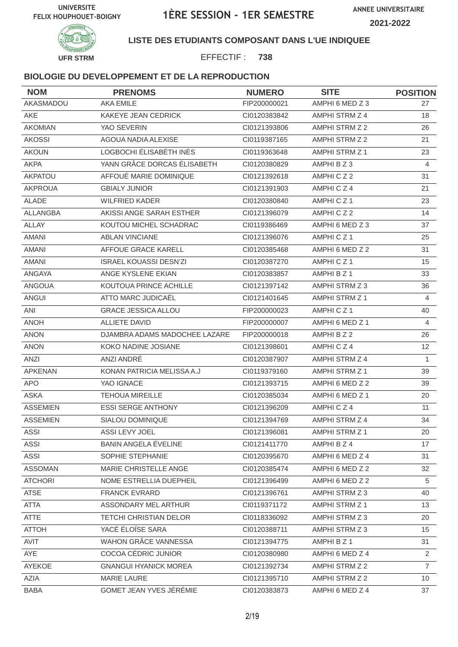

### **LISTE DES ETUDIANTS COMPOSANT DANS L'UE INDIQUEE**

EFFECTIF : **738**

| <b>NOM</b>      | <b>PRENOMS</b>                | <b>NUMERO</b> | <b>SITE</b>     | <b>POSITION</b> |
|-----------------|-------------------------------|---------------|-----------------|-----------------|
| AKASMADOU       | <b>AKA EMILE</b>              | FIP200000021  | AMPHI 6 MED Z 3 | 27              |
| <b>AKE</b>      | KAKEYE JEAN CEDRICK           | CI0120383842  | AMPHI STRM Z 4  | 18              |
| <b>AKOMIAN</b>  | YAO SEVERIN                   | CI0121393806  | AMPHI STRM Z 2  | 26              |
| <b>AKOSSI</b>   | AGOUA NADIA ALEXISE           | CI0119387165  | AMPHI STRM Z 2  | 21              |
| <b>AKOUN</b>    | LOGBOCHI ÉLISABÉTH INÈS       | CI0119363648  | AMPHI STRM Z 1  | 23              |
| <b>AKPA</b>     | YANN GRÂCE DORCAS ÉLISABETH   | CI0120380829  | AMPHI B Z 3     | $\overline{4}$  |
| AKPATOU         | AFFOUÉ MARIE DOMINIQUE        | Cl0121392618  | AMPHICZ2        | 31              |
| <b>AKPROUA</b>  | <b>GBIALY JUNIOR</b>          | CI0121391903  | AMPHICZ4        | 21              |
| ALADE           | <b>WILFRIED KADER</b>         | CI0120380840  | AMPHICZ1        | 23              |
| ALLANGBA        | AKISSI ANGE SARAH ESTHER      | CI0121396079  | AMPHICZ2        | 14              |
| ALLAY           | KOUTOU MICHEL SCHADRAC        | CI0119386469  | AMPHI 6 MED Z 3 | 37              |
| <b>AMANI</b>    | <b>ABLAN VINCIANE</b>         | CI0121396076  | AMPHICZ1        | 25              |
| <b>AMANI</b>    | AFFOUE GRACE KARELL           | CI0120385468  | AMPHI 6 MED Z 2 | 31              |
| <b>AMANI</b>    | <b>ISRAEL KOUASSI DESN'ZI</b> | CI0120387270  | AMPHICZ1        | 15              |
| ANGAYA          | ANGE KYSLENE EKIAN            | CI0120383857  | AMPHI B Z 1     | 33              |
| <b>ANGOUA</b>   | KOUTOUA PRINCE ACHILLE        | CI0121397142  | AMPHI STRM Z 3  | 36              |
| ANGUI           | ATTO MARC JUDICAËL            | CI0121401645  | AMPHI STRM Z 1  | $\overline{4}$  |
| ANI             | <b>GRACE JESSICA ALLOU</b>    | FIP200000023  | AMPHICZ1        | 40              |
| <b>ANOH</b>     | <b>ALLIETE DAVID</b>          | FIP200000007  | AMPHI 6 MED Z 1 | 4               |
| <b>ANON</b>     | DJAMBRA ADAMS MADOCHEE LAZARE | FIP200000018  | AMPHI B Z 2     | 26              |
| <b>ANON</b>     | KOKO NADINE JOSIANE           | CI0121398601  | AMPHICZ4        | 12              |
| ANZI            | ANZI ANDRÉ                    | CI0120387907  | AMPHI STRM Z 4  | $\mathbf{1}$    |
| APKENAN         | KONAN PATRICIA MELISSA A.J    | CI0119379160  | AMPHI STRM Z 1  | 39              |
| <b>APO</b>      | YAO IGNACE                    | CI0121393715  | AMPHI 6 MED Z 2 | 39              |
| <b>ASKA</b>     | <b>TEHOUA MIREILLE</b>        | CI0120385034  | AMPHI 6 MED Z 1 | 20              |
| <b>ASSEMIEN</b> | <b>ESSI SERGE ANTHONY</b>     | CI0121396209  | AMPHICZ4        | 11              |
| <b>ASSEMIEN</b> | SIALOU DOMINIQUE              | CI0121394769  | AMPHI STRM Z 4  | 34              |
| ASSI            | ASSI LEVY JOEL                | CI0121396081  | AMPHI STRM Z 1  | 20              |
| <b>ASSI</b>     | BANIN ANGELA ÉVELINE          | CI0121411770  | AMPHI B Z 4     | 17              |
| <b>ASSI</b>     | SOPHIE STEPHANIE              | CI0120395670  | AMPHI 6 MED Z 4 | 31              |
| <b>ASSOMAN</b>  | MARIE CHRISTELLE ANGE         | CI0120385474  | AMPHI 6 MED Z 2 | 32              |
| <b>ATCHORI</b>  | NOME ESTRELLIA DUEPHEIL       | CI0121396499  | AMPHI 6 MED Z 2 | 5               |
| <b>ATSE</b>     | <b>FRANCK EVRARD</b>          | CI0121396761  | AMPHI STRM Z 3  | 40              |
| <b>ATTA</b>     | ASSONDARY MEL ARTHUR          | CI0119371172  | AMPHI STRM Z 1  | 13              |
| <b>ATTE</b>     | <b>TETCHI CHRISTIAN DELOR</b> | CI0118336092  | AMPHI STRM Z 3  | 20              |
| <b>ATTOH</b>    | YACÉ ÉLOÏSE SARA              | CI0120388711  | AMPHI STRM Z 3  | 15 <sub>1</sub> |
| AVIT            | WAHON GRÂCE VANNESSA          | CI0121394775  | AMPHI B Z 1     | 31              |
| AYE             | COCOA CÉDRIC JUNIOR           | CI0120380980  | AMPHI 6 MED Z 4 | $\overline{2}$  |
| AYEKOE          | <b>GNANGUI HYANICK MOREA</b>  | CI0121392734  | AMPHI STRM Z 2  | $\overline{7}$  |
| AZIA            | MARIE LAURE                   | CI0121395710  | AMPHI STRM Z 2  | 10 <sup>°</sup> |
| <b>BABA</b>     | GOMET JEAN YVES JÉRÉMIE       | CI0120383873  | AMPHI 6 MED Z 4 | 37              |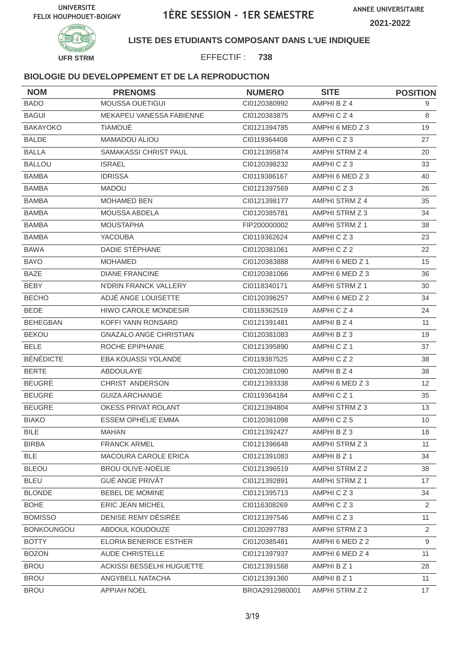

### **LISTE DES ETUDIANTS COMPOSANT DANS L'UE INDIQUEE**

EFFECTIF : **738**

| <b>NOM</b>        | <b>PRENOMS</b>                | <b>NUMERO</b>  | <b>SITE</b>     | <b>POSITION</b> |
|-------------------|-------------------------------|----------------|-----------------|-----------------|
| <b>BADO</b>       | MOUSSA OUETIGUI               | CI0120380992   | AMPHI B Z 4     | 9               |
| <b>BAGUI</b>      | MEKAPEU VANESSA FABIENNE      | CI0120383875   | AMPHICZ4        | 8               |
| <b>BAKAYOKO</b>   | <b>TIAMOUÉ</b>                | CI0121394785   | AMPHI 6 MED Z 3 | 19              |
| <b>BALDE</b>      | MAMADOU ALIOU                 | CI0119364408   | AMPHICZ3        | 27              |
| <b>BALLA</b>      | <b>SAMAKASSI CHRIST PAUL</b>  | CI0121395874   | AMPHI STRM Z 4  | 20              |
| <b>BALLOU</b>     | <b>ISRAEL</b>                 | CI0120398232   | AMPHICZ3        | 33              |
| <b>BAMBA</b>      | <b>IDRISSA</b>                | CI0119386167   | AMPHI 6 MED Z 3 | 40              |
| <b>BAMBA</b>      | <b>MADOU</b>                  | CI0121397569   | AMPHICZ3        | 26              |
| <b>BAMBA</b>      | <b>MOHAMED BEN</b>            | Cl0121398177   | AMPHI STRM Z 4  | 35              |
| <b>BAMBA</b>      | MOUSSA ABDELA                 | CI0120385781   | AMPHI STRM Z 3  | 34              |
| <b>BAMBA</b>      | <b>MOUSTAPHA</b>              | FIP200000002   | AMPHI STRM Z 1  | 38              |
| <b>BAMBA</b>      | <b>YACOUBA</b>                | CI0119362624   | AMPHICZ3        | 23              |
| <b>BAWA</b>       | DADIE STÉPHANE                | CI0120381061   | AMPHICZ2        | 22              |
| <b>BAYO</b>       | <b>MOHAMED</b>                | CI0120383888   | AMPHI 6 MED Z 1 | 15              |
| <b>BAZE</b>       | <b>DIANE FRANCINE</b>         | CI0120381066   | AMPHI 6 MED Z 3 | 36              |
| <b>BEBY</b>       | N'DRIN FRANCK VALLERY         | CI0118340171   | AMPHI STRM Z 1  | 30              |
| <b>BECHO</b>      | ADJÉ ANGE LOUISETTE           | CI0120396257   | AMPHI 6 MED Z 2 | 34              |
| <b>BEDE</b>       | <b>HIWO CAROLE MONDESIR</b>   | CI0119362519   | AMPHICZ4        | 24              |
| <b>BEHEGBAN</b>   | KOFFI YANN RONSARD            | CI0121391481   | AMPHI B Z 4     | 11              |
| <b>BEKOU</b>      | <b>GNAZALO ANGE CHRISTIAN</b> | CI0120381083   | AMPHI B Z 3     | 19              |
| <b>BELE</b>       | ROCHE EPIPHANIE               | CI0121395890   | AMPHICZ1        | 37              |
| <b>BÉNÉDICTE</b>  | EBA KOUASSI YOLANDE           | CI0119387525   | AMPHICZ2        | 38              |
| <b>BERTE</b>      | ABDOULAYE                     | CI0120381090   | AMPHI B Z 4     | 38              |
| <b>BEUGRÉ</b>     | CHRIST ANDERSON               | CI0121393338   | AMPHI 6 MED Z 3 | 12              |
| <b>BEUGRE</b>     | <b>GUIZA ARCHANGE</b>         | CI0119364184   | AMPHICZ1        | 35              |
| <b>BEUGRE</b>     | OKESS PRIVAT ROLANT           | CI0121394804   | AMPHI STRM Z 3  | 13              |
| <b>BIAKO</b>      | <b>ESSEM OPHÉLIE EMMA</b>     | CI0120381098   | AMPHICZ5        | 10              |
| <b>BILE</b>       | <b>MAHAN</b>                  | CI0121392427   | AMPHI B Z 3     | 18              |
| <b>BIRBA</b>      | <b>FRANCK ARMEL</b>           | CI0121396648   | AMPHI STRM Z 3  | 11              |
| <b>BLE</b>        | MACOURA CAROLE ERICA          | CI0121391083   | AMPHI B Z 1     | 34              |
| <b>BLEOU</b>      | <b>BROU OLIVE-NOËLIE</b>      | Cl0121396519   | AMPHI STRM Z 2  | 38              |
| <b>BLEU</b>       | <b>GUÉ ANGE PRIVÂT</b>        | CI0121392891   | AMPHI STRM Z 1  | 17              |
| <b>BLONDE</b>     | <b>BEBEL DE MOMINE</b>        | CI0121395713   | AMPHICZ3        | 34              |
| <b>BOHE</b>       | ERIC JEAN MICHEL              | CI0116308269   | AMPHICZ3        | 2               |
| <b>BOMISSO</b>    | DENISE REMY DÉSIRÉE           | CI0121397546   | AMPHICZ3        | 11              |
| <b>BONKOUNGOU</b> | ABDOUL KOUDOUZE               | CI0120397783   | AMPHI STRM Z 3  | $\overline{2}$  |
| <b>BOTTY</b>      | ELORIA BENERICE ESTHER        | CI0120385481   | AMPHI 6 MED Z 2 | 9               |
| <b>BOZON</b>      | <b>AUDE CHRISTELLE</b>        | CI0121397937   | AMPHI 6 MED Z 4 | 11              |
| <b>BROU</b>       | ACKISSI BESSELHI HUGUETTE     | CI0121391568   | AMPHI B Z 1     | 28              |
| <b>BROU</b>       | ANGYBELL NATACHA              | CI0121391360   | AMPHI B Z 1     | 11              |
| <b>BROU</b>       | <b>APPIAH NOEL</b>            | BROA2912980001 | AMPHI STRM Z 2  | 17 <sup>2</sup> |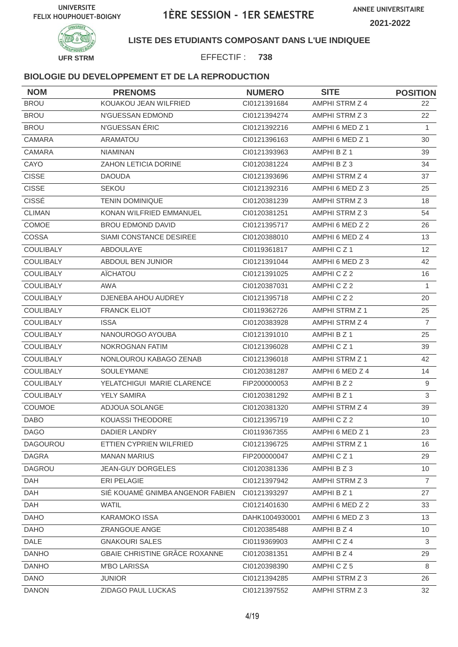

### **LISTE DES ETUDIANTS COMPOSANT DANS L'UE INDIQUEE**

EFFECTIF : **738**

| <b>NOM</b>       | <b>PRENOMS</b>                   | <b>NUMERO</b>  | <b>SITE</b>          | <b>POSITION</b> |
|------------------|----------------------------------|----------------|----------------------|-----------------|
| <b>BROU</b>      | KOUAKOU JEAN WILFRIED            | CI0121391684   | AMPHI STRM Z 4       | 22              |
| <b>BROU</b>      | N'GUESSAN EDMOND                 | CI0121394274   | AMPHI STRM Z 3       | 22              |
| <b>BROU</b>      | N'GUESSAN ÉRIC                   | Cl0121392216   | AMPHI 6 MED Z 1      | $\mathbf{1}$    |
| CAMARA           | <b>ARAMATOU</b>                  | CI0121396163   | AMPHI 6 MED Z 1      | 30              |
| CAMARA           | <b>NIAMINAN</b>                  | CI0121393963   | AMPHI B Z 1          | 39              |
| CAYO             | ZAHON LETICIA DORINE             | CI0120381224   | AMPHI B Z 3          | 34              |
| <b>CISSE</b>     | <b>DAOUDA</b>                    | CI0121393696   | AMPHI STRM Z 4       | 37              |
| <b>CISSE</b>     | <b>SEKOU</b>                     | CI0121392316   | AMPHI 6 MED Z 3      | 25              |
| <b>CISSÉ</b>     | <b>TENIN DOMINIQUE</b>           | CI0120381239   | AMPHI STRM Z 3       | 18              |
| <b>CLIMAN</b>    | KONAN WILFRIED EMMANUEL          | CI0120381251   | AMPHI STRM Z 3       | 54              |
| COMOE            | <b>BROU EDMOND DAVID</b>         | CI0121395717   | AMPHI 6 MED Z 2      | 26              |
| COSSA            | SIAMI CONSTANCE DESIREE          | CI0120388010   | AMPHI 6 MED Z 4      | 13              |
| <b>COULIBALY</b> | ABDOULAYE                        | CI0119361817   | AMPHICZ <sub>1</sub> | 12              |
| <b>COULIBALY</b> | ABDOUL BEN JUNIOR                | CI0121391044   | AMPHI 6 MED Z 3      | 42              |
| <b>COULIBALY</b> | AÏCHATOU                         | CI0121391025   | AMPHICZ2             | 16              |
| <b>COULIBALY</b> | <b>AWA</b>                       | CI0120387031   | AMPHICZ2             | $\mathbf{1}$    |
| <b>COULIBALY</b> | DJENEBA AHOU AUDREY              | Cl0121395718   | AMPHICZ2             | 20              |
| <b>COULIBALY</b> | <b>FRANCK ELIOT</b>              | CI0119362726   | AMPHI STRM Z 1       | 25              |
| <b>COULIBALY</b> | <b>ISSA</b>                      | CI0120383928   | AMPHI STRM Z 4       | $\overline{7}$  |
| <b>COULIBALY</b> | NANOUROGO AYOUBA                 | Cl0121391010   | AMPHI B Z 1          | 25              |
| <b>COULIBALY</b> | NOKROGNAN FATIM                  | CI0121396028   | AMPHICZ1             | 39              |
| <b>COULIBALY</b> | NONLOUROU KABAGO ZENAB           | CI0121396018   | AMPHI STRM Z 1       | 42              |
| <b>COULIBALY</b> | <b>SOULEYMANE</b>                | CI0120381287   | AMPHI 6 MED Z 4      | 14              |
| COULIBALY        | YELATCHIGUI MARIE CLARENCE       | FIP200000053   | AMPHI B Z 2          | $\overline{9}$  |
| <b>COULIBALY</b> | YELY SAMIRA                      | CI0120381292   | AMPHI B Z 1          | 3               |
| COUMOE           | ADJOUA SOLANGE                   | CI0120381320   | AMPHI STRM Z 4       | 39              |
| <b>DABO</b>      | KOUASSI THEODORE                 | CI0121395719   | AMPHICZ2             | 10              |
| <b>DAGO</b>      | <b>DADIER LANDRY</b>             | CI0119367355   | AMPHI 6 MED Z 1      | 23              |
| <b>DAGOUROU</b>  | ETTIEN CYPRIEN WILFRIED          | Cl0121396725   | AMPHI STRM Z 1       | 16              |
| <b>DAGRA</b>     | <b>MANAN MARIUS</b>              | FIP200000047   | AMPHICZ1             | 29              |
| DAGROU           | <b>JEAN-GUY DORGELES</b>         | CI0120381336   | AMPHI B Z 3          | 10 <sup>°</sup> |
| <b>DAH</b>       | ERI PELAGIE                      | CI0121397942   | AMPHI STRM Z 3       | $\overline{7}$  |
| DAH              | SIÉ KOUAMÉ GNIMBA ANGENOR FABIEN | CI0121393297   | AMPHI B Z 1          | 27              |
| <b>DAH</b>       | <b>WATIL</b>                     | CI0121401630   | AMPHI 6 MED Z 2      | 33              |
| <b>DAHO</b>      | KARAMOKO ISSA                    | DAHK1004930001 | AMPHI 6 MED Z 3      | 13              |
| <b>DAHO</b>      | ZRANGOUE ANGE                    | CI0120385488   | AMPHI B Z 4          | 10              |
| <b>DALE</b>      | <b>GNAKOURI SALES</b>            | CI0119369903   | AMPHICZ4             | 3               |
| <b>DANHO</b>     | GBAIE CHRISTINE GRÂCE ROXANNE    | Cl0120381351   | AMPHI B Z 4          | 29              |
| <b>DANHO</b>     | <b>M'BO LARISSA</b>              | CI0120398390   | AMPHICZ5             | 8               |
| <b>DANO</b>      | <b>JUNIOR</b>                    | CI0121394285   | AMPHI STRM Z 3       | 26              |
| <b>DANON</b>     | ZIDAGO PAUL LUCKAS               | CI0121397552   | AMPHI STRM Z 3       | 32              |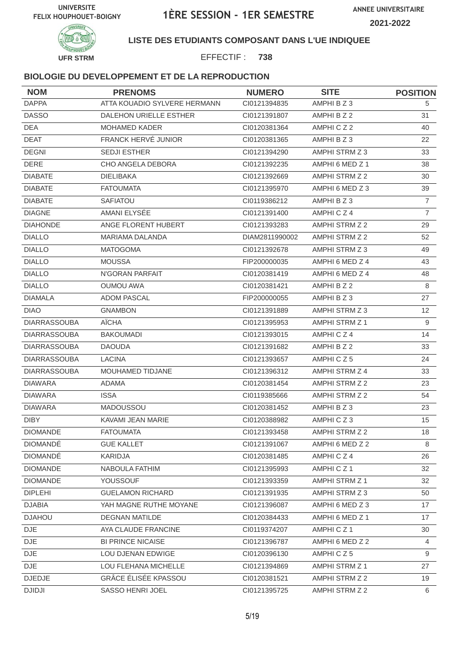

### **LISTE DES ETUDIANTS COMPOSANT DANS L'UE INDIQUEE**

EFFECTIF : **738**

| <b>NOM</b>          | <b>PRENOMS</b>               | <b>NUMERO</b>  | <b>SITE</b>           | <b>POSITION</b> |
|---------------------|------------------------------|----------------|-----------------------|-----------------|
| <b>DAPPA</b>        | ATTA KOUADIO SYLVERE HERMANN | Cl0121394835   | AMPHI B Z 3           | 5               |
| <b>DASSO</b>        | DALEHON URIELLE ESTHER       | CI0121391807   | AMPHI B Z 2           | 31              |
| <b>DEA</b>          | <b>MOHAMED KADER</b>         | CI0120381364   | AMPHICZ2              | 40              |
| <b>DEAT</b>         | FRANCK HERVÉ JUNIOR          | CI0120381365   | AMPHI B Z 3           | 22              |
| <b>DEGNI</b>        | SEDJI ESTHER                 | CI0121394290   | AMPHI STRM Z 3        | 33              |
| <b>DERE</b>         | CHO ANGELA DEBORA            | CI0121392235   | AMPHI 6 MED Z 1       | 38              |
| <b>DIABATE</b>      | <b>DIELIBAKA</b>             | CI0121392669   | AMPHI STRM Z 2        | 30              |
| <b>DIABATE</b>      | <b>FATOUMATA</b>             | CI0121395970   | AMPHI 6 MED Z 3       | 39              |
| <b>DIABATE</b>      | <b>SAFIATOU</b>              | CI0119386212   | AMPHI B Z 3           | $\overline{7}$  |
| <b>DIAGNE</b>       | AMANI ELYSÉE                 | CI0121391400   | AMPHICZ4              | $\overline{7}$  |
| <b>DIAHONDE</b>     | ANGE FLORENT HUBERT          | CI0121393283   | AMPHI STRM Z 2        | 29              |
| <b>DIALLO</b>       | MARIAMA DALANDA              | DIAM2811990002 | AMPHI STRM Z 2        | 52              |
| <b>DIALLO</b>       | <b>MATOGOMA</b>              | CI0121392678   | AMPHI STRM Z 3        | 49              |
| <b>DIALLO</b>       | <b>MOUSSA</b>                | FIP200000035   | AMPHI 6 MED Z 4       | 43              |
| <b>DIALLO</b>       | N'GORAN PARFAIT              | CI0120381419   | AMPHI 6 MED Z 4       | 48              |
| <b>DIALLO</b>       | <b>OUMOU AWA</b>             | CI0120381421   | AMPHI B Z 2           | 8               |
| <b>DIAMALA</b>      | <b>ADOM PASCAL</b>           | FIP200000055   | AMPHI B Z 3           | 27              |
| <b>DIAO</b>         | <b>GNAMBON</b>               | CI0121391889   | AMPHI STRM Z 3        | 12              |
| <b>DIARRASSOUBA</b> | AÏCHA                        | CI0121395953   | <b>AMPHI STRM Z 1</b> | 9               |
| <b>DIARRASSOUBA</b> | <b>BAKOUMADI</b>             | CI0121393015   | AMPHICZ4              | 14              |
| <b>DIARRASSOUBA</b> | <b>DAOUDA</b>                | CI0121391682   | AMPHI B Z 2           | 33              |
| <b>DIARRASSOUBA</b> | <b>LACINA</b>                | CI0121393657   | AMPHICZ5              | 24              |
| <b>DIARRASSOUBA</b> | MOUHAMED TIDJANE             | CI0121396312   | AMPHI STRM Z 4        | 33              |
| <b>DIAWARA</b>      | <b>ADAMA</b>                 | CI0120381454   | AMPHI STRM Z 2        | 23              |
| <b>DIAWARA</b>      | <b>ISSA</b>                  | CI0119385666   | AMPHI STRM Z 2        | 54              |
| <b>DIAWARA</b>      | MADOUSSOU                    | CI0120381452   | AMPHI B Z 3           | 23              |
| <b>DIBY</b>         | KAVAMI JEAN MARIE            | CI0120388982   | AMPHICZ3              | 15              |
| <b>DIOMANDE</b>     | <b>FATOUMATA</b>             | Cl0121393458   | AMPHI STRM Z 2        | 18              |
| <b>DIOMANDÉ</b>     | <b>GUE KALLET</b>            | Cl0121391067   | AMPHI 6 MED Z 2       | 8               |
| <b>DIOMANDÉ</b>     | KARIDJA                      | CI0120381485   | AMPHICZ4              | 26              |
| <b>DIOMANDE</b>     | NABOULA FATHIM               | CI0121395993   | AMPHICZ1              | 32              |
| <b>DIOMANDE</b>     | YOUSSOUF                     | CI0121393359   | AMPHI STRM Z 1        | 32              |
| <b>DIPLEHI</b>      | <b>GUELAMON RICHARD</b>      | CI0121391935   | AMPHI STRM Z 3        | 50              |
| <b>DJABIA</b>       | YAH MAGNE RUTHE MOYANE       | CI0121396087   | AMPHI 6 MED Z 3       | 17              |
| <b>DJAHOU</b>       | <b>DEGNAN MATILDE</b>        | CI0120384433   | AMPHI 6 MED Z 1       | 17              |
| DJE                 | AYA CLAUDE FRANCINE          | CI0119374207   | AMPHICZ1              | 30              |
| <b>DJE</b>          | <b>BI PRINCE NICAISE</b>     | CI0121396787   | AMPHI 6 MED Z 2       | $\overline{4}$  |
| <b>DJE</b>          | LOU DJENAN EDWIGE            | CI0120396130   | AMPHICZ5              | 9               |
| DJE.                | LOU FLEHANA MICHELLE         | CI0121394869   | AMPHI STRM Z 1        | 27              |
| <b>DJEDJE</b>       | <b>GRÂCE ÉLISÉE KPASSOU</b>  | Cl0120381521   | AMPHI STRM Z 2        | 19              |
| <b>DJIDJI</b>       | SASSO HENRI JOEL             | CI0121395725   | AMPHI STRM Z 2        | 6               |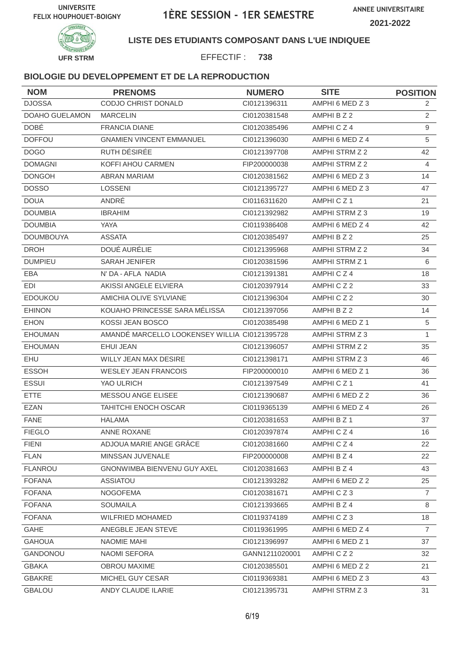

### **LISTE DES ETUDIANTS COMPOSANT DANS L'UE INDIQUEE**

EFFECTIF : **738**

| <b>NOM</b>       | <b>PRENOMS</b>                                | <b>NUMERO</b>  | <b>SITE</b>          | <b>POSITION</b> |
|------------------|-----------------------------------------------|----------------|----------------------|-----------------|
| <b>DJOSSA</b>    | CODJO CHRIST DONALD                           | CI0121396311   | AMPHI 6 MED Z 3      | 2               |
| DOAHO GUELAMON   | <b>MARCELIN</b>                               | CI0120381548   | AMPHI B Z 2          | $\overline{2}$  |
| <b>DOBÉ</b>      | <b>FRANCIA DIANE</b>                          | CI0120385496   | AMPHICZ4             | 9               |
| <b>DOFFOU</b>    | <b>GNAMIEN VINCENT EMMANUEL</b>               | CI0121396030   | AMPHI 6 MED Z 4      | 5               |
| <b>DOGO</b>      | RUTH DÉSIRÉE                                  | CI0121397708   | AMPHI STRM Z 2       | 42              |
| <b>DOMAGNI</b>   | KOFFI AHOU CARMEN                             | FIP200000038   | AMPHI STRM Z 2       | 4               |
| <b>DONGOH</b>    | <b>ABRAN MARIAM</b>                           | CI0120381562   | AMPHI 6 MED Z 3      | 14              |
| <b>DOSSO</b>     | <b>LOSSENI</b>                                | CI0121395727   | AMPHI 6 MED Z 3      | 47              |
| <b>DOUA</b>      | ANDRÉ                                         | CI0116311620   | AMPHICZ1             | 21              |
| <b>DOUMBIA</b>   | <b>IBRAHIM</b>                                | CI0121392982   | AMPHI STRM Z 3       | 19              |
| <b>DOUMBIA</b>   | YAYA                                          | CI0119386408   | AMPHI 6 MED Z 4      | 42              |
| <b>DOUMBOUYA</b> | <b>ASSATA</b>                                 | CI0120385497   | AMPHI B Z 2          | 25              |
| <b>DROH</b>      | DOUÉ AURÉLIE                                  | CI0121395968   | AMPHI STRM Z 2       | 34              |
| <b>DUMPIEU</b>   | SARAH JENIFER                                 | CI0120381596   | AMPHI STRM Z 1       | 6               |
| <b>EBA</b>       | N' DA - AFLA NADIA                            | CI0121391381   | AMPHICZ4             | 18              |
| EDI              | AKISSI ANGELE ELVIERA                         | CI0120397914   | AMPHICZ2             | 33              |
| <b>EDOUKOU</b>   | AMICHIA OLIVE SYLVIANE                        | CI0121396304   | AMPHICZ2             | 30              |
| <b>EHINON</b>    | KOUAHO PRINCESSE SARA MÉLISSA                 | CI0121397056   | AMPHI B Z 2          | 14              |
| <b>EHON</b>      | KOSSI JEAN BOSCO                              | CI0120385498   | AMPHI 6 MED Z 1      | 5               |
| <b>EHOUMAN</b>   | AMANDÉ MARCELLO LOOKENSEY WILLIA CI0121395728 |                | AMPHI STRM Z 3       | $\mathbf{1}$    |
| <b>EHOUMAN</b>   | <b>EHUI JEAN</b>                              | CI0121396057   | AMPHI STRM Z 2       | 35              |
| EHU              | <b>WILLY JEAN MAX DESIRE</b>                  | CI0121398171   | AMPHI STRM Z 3       | 46              |
| <b>ESSOH</b>     | <b>WESLEY JEAN FRANCOIS</b>                   | FIP200000010   | AMPHI 6 MED Z 1      | 36              |
| <b>ESSUI</b>     | YAO ULRICH                                    | CI0121397549   | AMPHICZ <sub>1</sub> | 41              |
| ETTE             | MESSOU ANGE ELISEE                            | CI0121390687   | AMPHI 6 MED Z 2      | 36              |
| <b>EZAN</b>      | TAHITCHI ENOCH OSCAR                          | CI0119365139   | AMPHI 6 MED Z 4      | 26              |
| <b>FANE</b>      | <b>HALAMA</b>                                 | CI0120381653   | AMPHI B Z 1          | 37              |
| <b>FIEGLO</b>    | ANNE ROXANE                                   | CI0120397874   | AMPHICZ4             | 16              |
| <b>FIENI</b>     | ADJOUA MARIE ANGE GRÂCE                       | CI0120381660   | AMPHICZ4             | 22              |
| <b>FLAN</b>      | MINSSAN JUVENALE                              | FIP200000008   | AMPHI B Z 4          | 22              |
| <b>FLANROU</b>   | GNONWIMBA BIENVENU GUY AXEL                   | CI0120381663   | AMPHI B Z 4          | 43              |
| <b>FOFANA</b>    | ASSIATOU                                      | CI0121393282   | AMPHI 6 MED Z 2      | 25              |
| <b>FOFANA</b>    | <b>NOGOFEMA</b>                               | Cl0120381671   | AMPHICZ3             | $\overline{7}$  |
| <b>FOFANA</b>    | SOUMAILA                                      | CI0121393665   | AMPHI B Z 4          | 8               |
| <b>FOFANA</b>    | <b>WILFRIED MOHAMED</b>                       | Cl0119374189   | AMPHICZ3             | 18              |
| GAHE             | ANEGBLE JEAN STEVE                            | CI0119361995   | AMPHI 6 MED Z 4      | $\overline{7}$  |
| <b>GAHOUA</b>    | NAOMIE MAHI                                   | CI0121396997   | AMPHI 6 MED Z 1      | 37              |
| GANDONOU         | <b>NAOMI SEFORA</b>                           | GANN1211020001 | AMPHICZ2             | 32              |
| <b>GBAKA</b>     | OBROU MAXIME                                  | CI0120385501   | AMPHI 6 MED Z 2      | 21              |
| <b>GBAKRE</b>    | MICHEL GUY CESAR                              | CI0119369381   | AMPHI 6 MED Z 3      | 43              |
| <b>GBALOU</b>    | ANDY CLAUDE ILARIE                            | Cl0121395731   | AMPHI STRM Z 3       | 31              |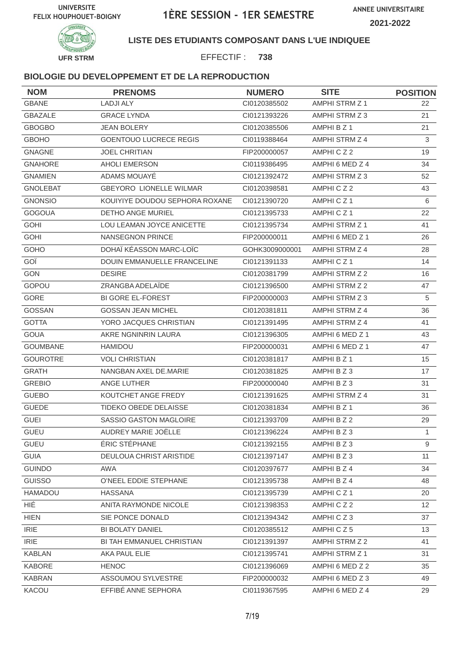

**LISTE DES ETUDIANTS COMPOSANT DANS L'UE INDIQUEE**

EFFECTIF : **738**

| <b>NOM</b>      | <b>PRENOMS</b>                 | <b>NUMERO</b>  | <b>SITE</b>           | <b>POSITION</b> |
|-----------------|--------------------------------|----------------|-----------------------|-----------------|
| <b>GBANE</b>    | <b>LADJI ALY</b>               | CI0120385502   | AMPHI STRM Z 1        | 22              |
| <b>GBAZALE</b>  | <b>GRACE LYNDA</b>             | CI0121393226   | AMPHI STRM Z 3        | 21              |
| <b>GBOGBO</b>   | <b>JEAN BOLERY</b>             | CI0120385506   | AMPHI B Z 1           | 21              |
| <b>GBOHO</b>    | <b>GOENTOUO LUCRECE REGIS</b>  | CI0119388464   | AMPHI STRM Z 4        | 3               |
| <b>GNAGNE</b>   | <b>JOEL CHRITIAN</b>           | FIP200000057   | AMPHICZ2              | 19              |
| <b>GNAHORE</b>  | <b>AHOLI EMERSON</b>           | CI0119386495   | AMPHI 6 MED Z 4       | 34              |
| <b>GNAMIEN</b>  | ADAMS MOUAYÉ                   | CI0121392472   | AMPHI STRM Z 3        | 52              |
| <b>GNOLEBAT</b> | <b>GBEYORO LIONELLE WILMAR</b> | CI0120398581   | AMPHICZ2              | 43              |
| <b>GNONSIO</b>  | KOUIYIYE DOUDOU SEPHORA ROXANE | Cl0121390720   | AMPHICZ1              | 6               |
| <b>GOGOUA</b>   | DETHO ANGE MURIEL              | CI0121395733   | AMPHICZ1              | 22              |
| <b>GOHI</b>     | LOU LEAMAN JOYCE ANICETTE      | CI0121395734   | AMPHI STRM Z 1        | 41              |
| <b>GOHI</b>     | <b>NANSEGNON PRINCE</b>        | FIP200000011   | AMPHI 6 MED Z 1       | 26              |
| GOHO            | DOHAÏ KÉASSON MARC-LOÏC        | GOHK3009000001 | AMPHI STRM Z 4        | 28              |
| GOÏ             | DOUIN EMMANUELLE FRANCELINE    | CI0121391133   | AMPHICZ1              | 14              |
| <b>GON</b>      | <b>DESIRE</b>                  | CI0120381799   | AMPHI STRM Z 2        | 16              |
| GOPOU           | ZRANGBA ADELAÏDE               | CI0121396500   | AMPHI STRM Z 2        | 47              |
| GORE            | <b>BI GORE EL-FOREST</b>       | FIP200000003   | AMPHI STRM Z 3        | 5               |
| GOSSAN          | <b>GOSSAN JEAN MICHEL</b>      | CI0120381811   | <b>AMPHI STRM Z 4</b> | 36              |
| <b>GOTTA</b>    | YORO JACQUES CHRISTIAN         | CI0121391495   | AMPHI STRM Z 4        | 41              |
| <b>GOUA</b>     | AKRE NGNINRIN LAURA            | CI0121396305   | AMPHI 6 MED Z 1       | 43              |
| <b>GOUMBANE</b> | HAMIDOU                        | FIP200000031   | AMPHI 6 MED Z 1       | 47              |
| <b>GOUROTRE</b> | <b>VOLI CHRISTIAN</b>          | CI0120381817   | AMPHI B Z 1           | 15              |
| <b>GRATH</b>    | NANGBAN AXEL DE.MARIE          | CI0120381825   | AMPHI B Z 3           | 17              |
| <b>GREBIO</b>   | ANGE LUTHER                    | FIP200000040   | AMPHI B Z 3           | 31              |
| <b>GUEBO</b>    | KOUTCHET ANGE FREDY            | CI0121391625   | AMPHI STRM Z 4        | 31              |
| <b>GUEDE</b>    | TIDEKO OBEDE DELAISSE          | CI0120381834   | AMPHI B Z 1           | 36              |
| <b>GUEI</b>     | SASSIO GASTON MAGLOIRE         | CI0121393709   | AMPHI B Z 2           | 29              |
| GUEU            | AUDREY MARIE JOËLLE            | Cl0121396224   | AMPHI B Z 3           | 1               |
| <b>GUEU</b>     | ÉRIC STÉPHANE                  | CI0121392155   | AMPHI B Z 3           | 9               |
| <b>GUIA</b>     | DEULOUA CHRIST ARISTIDE        | CI0121397147   | AMPHI B Z 3           | 11              |
| <b>GUINDO</b>   | AWA                            | CI0120397677   | AMPHI B Z 4           | 34              |
| <b>GUISSO</b>   | O'NEEL EDDIE STEPHANE          | Cl0121395738   | AMPHI B Z 4           | 48              |
| HAMADOU         | <b>HASSANA</b>                 | Cl0121395739   | AMPHICZ1              | 20              |
| HIÉ             | ANITA RAYMONDE NICOLE          | CI0121398353   | AMPHICZ2              | 12 <sup>2</sup> |
| <b>HIEN</b>     | SIE PONCE DONALD               | CI0121394342   | AMPHICZ3              | 37              |
| <b>IRIE</b>     | <b>BI BOLATY DANIEL</b>        | CI0120385512   | AMPHICZ5              | 13              |
| <b>IRIE</b>     | BI TAH EMMANUEL CHRISTIAN      | CI0121391397   | AMPHI STRM Z 2        | 41              |
| <b>KABLAN</b>   | AKA PAUL ELIE                  | CI0121395741   | AMPHI STRM Z 1        | 31              |
| KABORE          | <b>HENOC</b>                   | CI0121396069   | AMPHI 6 MED Z 2       | 35              |
| <b>KABRAN</b>   | ASSOUMOU SYLVESTRE             | FIP200000032   | AMPHI 6 MED Z 3       | 49              |
| KACOU           | EFFIBÉ ANNE SEPHORA            | CI0119367595   | AMPHI 6 MED Z 4       | 29              |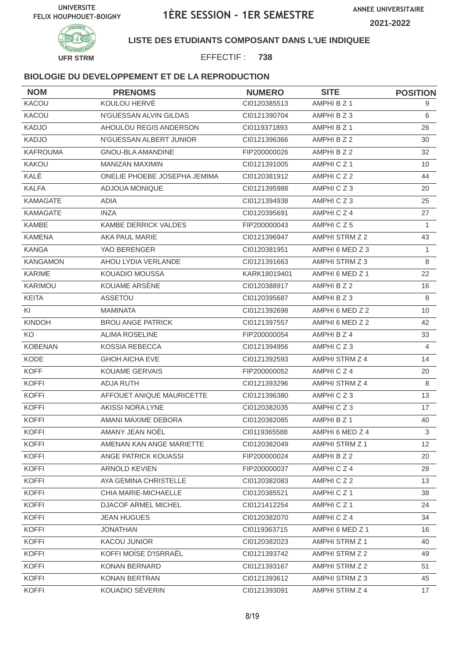

### **LISTE DES ETUDIANTS COMPOSANT DANS L'UE INDIQUEE**

EFFECTIF : **738**

| <b>NOM</b>      | <b>PRENOMS</b>               | <b>NUMERO</b> | <b>SITE</b>     | <b>POSITION</b> |
|-----------------|------------------------------|---------------|-----------------|-----------------|
| KACOU           | KOULOU HERVÉ                 | CI0120385513  | AMPHI B Z 1     | 9               |
| KACOU           | N'GUESSAN ALVIN GILDAS       | CI0121390704  | AMPHI B Z 3     | 6               |
| <b>KADJO</b>    | AHOULOU REGIS ANDERSON       | CI0119371893  | AMPHI B Z 1     | 26              |
| <b>KADJO</b>    | N'GUESSAN ALBERT JUNIOR      | CI0121396366  | AMPHI B Z 2     | 30              |
| <b>KAFROUMA</b> | <b>GNOU-BLA AMANDINE</b>     | FIP200000026  | AMPHI B Z 2     | 32              |
| KAKOU           | <b>MANIZAN MAXIMIN</b>       | CI0121391005  | AMPHICZ1        | 10              |
| KALÉ            | ONELIE PHOEBE JOSEPHA JEMIMA | CI0120381912  | AMPHICZ2        | 44              |
| <b>KALFA</b>    | ADJOUA MONIQUE               | CI0121395988  | AMPHICZ3        | 20              |
| <b>KAMAGATE</b> | ADIA                         | CI0121394938  | AMPHICZ3        | 25              |
| <b>KAMAGATE</b> | <b>INZA</b>                  | CI0120395691  | AMPHICZ4        | 27              |
| KAMBE           | <b>KAMBE DERRICK VALDES</b>  | FIP200000043  | AMPHICZ5        | $\mathbf{1}$    |
| <b>KAMENA</b>   | AKA PAUL MARIE               | CI0121396947  | AMPHI STRM Z 2  | 43              |
| <b>KANGA</b>    | YAO BERENGER                 | CI0120381951  | AMPHI 6 MED Z 3 | 1               |
| <b>KANGAMON</b> | AHOU LYDIA VERLANDE          | CI0121391663  | AMPHI STRM Z 3  | 8               |
| <b>KARIME</b>   | KOUADIO MOUSSA               | KARK18019401  | AMPHI 6 MED Z 1 | 22              |
| KARIMOU         | KOUAME ARSENE                | CI0120388917  | AMPHI B Z 2     | 16              |
| <b>KEITA</b>    | <b>ASSETOU</b>               | CI0120395687  | AMPHI B Z 3     | 8               |
| KI              | <b>MAMINATA</b>              | CI0121392698  | AMPHI 6 MED Z 2 | 10              |
| <b>KINDOH</b>   | <b>BROU ANGE PATRICK</b>     | CI0121397557  | AMPHI 6 MED Z 2 | 42              |
| KO              | <b>ALIMA ROSELINE</b>        | FIP200000054  | AMPHI B Z 4     | 33              |
| <b>KOBENAN</b>  | <b>KOSSIA REBECCA</b>        | CI0121394956  | AMPHICZ3        | $\overline{4}$  |
| KODE            | <b>GHOH AICHA EVE</b>        | CI0121392593  | AMPHI STRM Z 4  | 14              |
| <b>KOFF</b>     | <b>KOUAME GERVAIS</b>        | FIP200000052  | AMPHICZ4        | 20              |
| <b>KOFFI</b>    | ADJA RUTH                    | CI0121393296  | AMPHI STRM Z 4  | 8               |
| <b>KOFFI</b>    | AFFOUET ANIQUE MAURICETTE    | CI0121396380  | AMPHICZ3        | 13              |
| <b>KOFFI</b>    | AKISSI NORA LYNE             | CI0120382035  | AMPHICZ3        | 17              |
| <b>KOFFI</b>    | AMANI MAXIME DEBORA          | CI0120382085  | AMPHI B Z 1     | 40              |
| <b>KOFFI</b>    | AMANY JEAN NOËL              | CI0119365588  | AMPHI 6 MED Z 4 | 3               |
| <b>KOFFI</b>    | AMENAN KAN ANGE MARIETTE     | CI0120382049  | AMPHI STRM Z 1  | 12              |
| <b>KOFFI</b>    | ANGE PATRICK KOUASSI         | FIP200000024  | AMPHI B Z 2     | 20              |
| <b>KOFFI</b>    | ARNOLD KEVIEN                | FIP200000037  | AMPHICZ4        | 28              |
| <b>KOFFI</b>    | AYA GEMINA CHRISTELLE        | CI0120382083  | AMPHICZ2        | 13              |
| <b>KOFFI</b>    | CHIA MARIE-MICHAELLE         | CI0120385521  | AMPHICZ1        | 38              |
| <b>KOFFI</b>    | DJACOF ARMEL MICHEL          | Cl0121412254  | AMPHICZ1        | 24              |
| <b>KOFFI</b>    | <b>JEAN HUGUES</b>           | Cl0120382070  | AMPHICZ4        | 34              |
| <b>KOFFI</b>    | <b>JONATHAN</b>              | CI0119363715  | AMPHI 6 MED Z 1 | 16              |
| <b>KOFFI</b>    | KACOU JUNIOR                 | CI0120382023  | AMPHI STRM Z 1  | 40              |
| <b>KOFFI</b>    | KOFFI MOÏSE D'ISRRAËL        | CI0121393742  | AMPHI STRM Z 2  | 49              |
| <b>KOFFI</b>    | KONAN BERNARD                | CI0121393167  | AMPHI STRM Z 2  | 51              |
| <b>KOFFI</b>    | KONAN BERTRAN                | Cl0121393612  | AMPHI STRM Z 3  | 45              |
| <b>KOFFI</b>    | KOUADIO SÉVERIN              | CI0121393091  | AMPHI STRM Z 4  | 17              |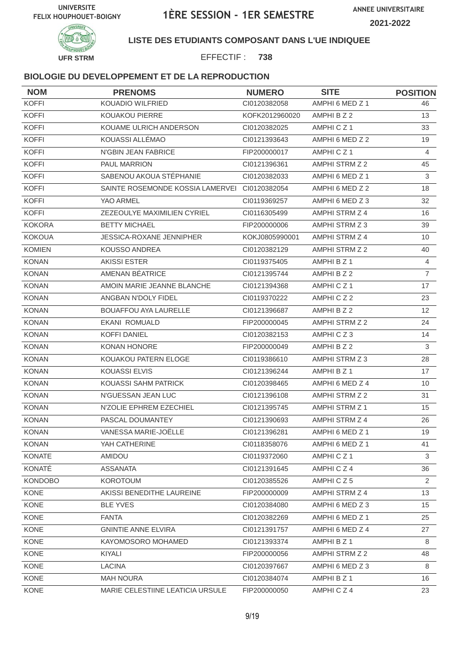

#### **LISTE DES ETUDIANTS COMPOSANT DANS L'UE INDIQUEE**

EFFECTIF : **738**

| <b>NOM</b>     | <b>PRENOMS</b>                   | <b>NUMERO</b>  | <b>SITE</b>           | <b>POSITION</b> |
|----------------|----------------------------------|----------------|-----------------------|-----------------|
| <b>KOFFI</b>   | KOUADIO WILFRIED                 | Cl0120382058   | AMPHI 6 MED Z 1       | 46              |
| <b>KOFFI</b>   | KOUAKOU PIERRE                   | KOFK2012960020 | AMPHI B Z 2           | 13              |
| <b>KOFFI</b>   | KOUAME ULRICH ANDERSON           | CI0120382025   | AMPHICZ <sub>1</sub>  | 33              |
| <b>KOFFI</b>   | KOUASSI ALLÉMAO                  | CI0121393643   | AMPHI 6 MED Z 2       | 19              |
| <b>KOFFI</b>   | N'GBIN JEAN FABRICE              | FIP200000017   | AMPHICZ1              | $\overline{4}$  |
| <b>KOFFI</b>   | PAUL MARRION                     | CI0121396361   | AMPHI STRM Z 2        | 45              |
| <b>KOFFI</b>   | SABENOU AKOUA STÉPHANIE          | CI0120382033   | AMPHI 6 MED Z 1       | 3               |
| <b>KOFFI</b>   | SAINTE ROSEMONDE KOSSIA LAMERVEI | CI0120382054   | AMPHI 6 MED Z 2       | 18              |
| <b>KOFFI</b>   | YAO ARMEL                        | CI0119369257   | AMPHI 6 MED Z 3       | 32              |
| <b>KOFFI</b>   | ZEZEOULYE MAXIMILIEN CYRIEL      | CI0116305499   | AMPHI STRM Z 4        | 16              |
| <b>KOKORA</b>  | <b>BETTY MICHAEL</b>             | FIP200000006   | AMPHI STRM Z 3        | 39              |
| <b>KOKOUA</b>  | JESSICA-ROXANE JENNIPHER         | KOKJ0805990001 | <b>AMPHI STRM Z 4</b> | 10              |
| <b>KOMIEN</b>  | <b>KOUSSO ANDREA</b>             | CI0120382129   | AMPHI STRM Z 2        | 40              |
| <b>KONAN</b>   | <b>AKISSI ESTER</b>              | CI0119375405   | AMPHI B Z 1           | $\overline{4}$  |
| <b>KONAN</b>   | AMENAN BÉATRICE                  | Cl0121395744   | AMPHI B Z 2           | $\overline{7}$  |
| <b>KONAN</b>   | AMOIN MARIE JEANNE BLANCHE       | CI0121394368   | AMPHICZ1              | 17              |
| <b>KONAN</b>   | ANGBAN N'DOLY FIDEL              | CI0119370222   | AMPHICZ2              | 23              |
| <b>KONAN</b>   | <b>BOUAFFOU AYA LAURELLE</b>     | CI0121396687   | AMPHI B Z 2           | 12              |
| <b>KONAN</b>   | <b>EKANI ROMUALD</b>             | FIP200000045   | AMPHI STRM Z 2        | 24              |
| <b>KONAN</b>   | <b>KOFFI DANIEL</b>              | CI0120382153   | AMPHICZ3              | 14              |
| <b>KONAN</b>   | KONAN HONORE                     | FIP200000049   | AMPHI B Z 2           | $\mathbf{3}$    |
| <b>KONAN</b>   | KOUAKOU PATERN ELOGE             | CI0119386610   | AMPHI STRM Z 3        | 28              |
| <b>KONAN</b>   | <b>KOUASSI ELVIS</b>             | Cl0121396244   | AMPHI B Z 1           | 17              |
| <b>KONAN</b>   | KOUASSI SAHM PATRICK             | CI0120398465   | AMPHI 6 MED Z 4       | 10              |
| <b>KONAN</b>   | N'GUESSAN JEAN LUC               | CI0121396108   | AMPHI STRM Z 2        | 31              |
| <b>KONAN</b>   | N'ZOLIE EPHREM EZECHIEL          | Cl0121395745   | <b>AMPHI STRM Z 1</b> | 15              |
| <b>KONAN</b>   | PASCAL DOUMANTEY                 | CI0121390693   | AMPHI STRM Z 4        | 26              |
| KONAN          | VANESSA MARIE-JOËLLE             | CI0121396281   | AMPHI 6 MED Z 1       | 19              |
| <b>KONAN</b>   | YAH CATHERINE                    | CI0118358076   | AMPHI 6 MED Z 1       | 41              |
| <b>KONATE</b>  | AMIDOU                           | CI0119372060   | AMPHICZ1              | 3               |
| KONATÉ         | <b>ASSANATA</b>                  | CI0121391645   | AMPHICZ4              | 36              |
| <b>KONDOBO</b> | <b>KOROTOUM</b>                  | CI0120385526   | AMPHICZ5              | 2               |
| <b>KONE</b>    | AKISSI BENEDITHE LAUREINE        | FIP200000009   | AMPHI STRM Z 4        | 13              |
| KONE           | <b>BLE YVES</b>                  | Cl0120384080   | AMPHI 6 MED Z 3       | 15              |
| <b>KONE</b>    | <b>FANTA</b>                     | CI0120382269   | AMPHI 6 MED Z 1       | 25              |
| KONE           | <b>GNINTIE ANNE ELVIRA</b>       | CI0121391757   | AMPHI 6 MED Z 4       | 27              |
| KONE           | KAYOMOSORO MOHAMED               | CI0121393374   | AMPHI B Z 1           | 8               |
| KONE           | KIYALI                           | FIP200000056   | AMPHI STRM Z 2        | 48              |
| KONE           | <b>LACINA</b>                    | CI0120397667   | AMPHI 6 MED Z 3       | 8               |
| KONE           | <b>MAH NOURA</b>                 | Cl0120384074   | AMPHI B Z 1           | 16              |
| KONE           | MARIE CELESTIINE LEATICIA URSULE | FIP200000050   | AMPHICZ4              | 23              |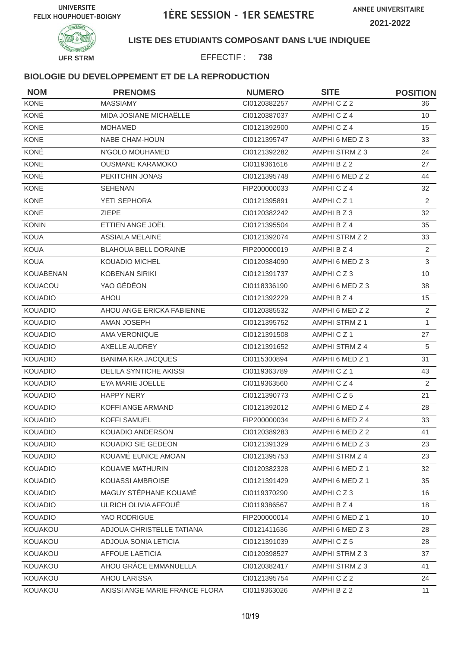

### **LISTE DES ETUDIANTS COMPOSANT DANS L'UE INDIQUEE**

EFFECTIF : **738**

| <b>NOM</b>     | <b>PRENOMS</b>                 | <b>NUMERO</b> | <b>SITE</b>     | <b>POSITION</b> |
|----------------|--------------------------------|---------------|-----------------|-----------------|
| KONE           | <b>MASSIAMY</b>                | CI0120382257  | AMPHICZ2        | 36              |
| KONÉ           | MIDA JOSIANE MICHAËLLE         | CI0120387037  | AMPHICZ4        | 10              |
| <b>KONE</b>    | <b>MOHAMED</b>                 | CI0121392900  | AMPHICZ4        | 15              |
| <b>KONE</b>    | NABE CHAM-HOUN                 | CI0121395747  | AMPHI 6 MED Z 3 | 33              |
| KONÉ           | N'GOLO MOUHAMED                | CI0121392282  | AMPHI STRM Z 3  | 24              |
| <b>KONE</b>    | <b>OUSMANE KARAMOKO</b>        | CI0119361616  | AMPHI B Z 2     | 27              |
| KONÉ           | PEKITCHIN JONAS                | CI0121395748  | AMPHI 6 MED Z 2 | 44              |
| KONE           | <b>SEHENAN</b>                 | FIP200000033  | AMPHICZ4        | 32              |
| <b>KONE</b>    | YETI SEPHORA                   | CI0121395891  | AMPHICZ1        | 2               |
| <b>KONE</b>    | <b>ZIEPE</b>                   | CI0120382242  | AMPHI B Z 3     | 32              |
| <b>KONIN</b>   | ETTIEN ANGE JOËL               | CI0121395504  | AMPHI B Z 4     | 35              |
| <b>KOUA</b>    | <b>ASSIALA MELAINE</b>         | Cl0121392074  | AMPHI STRM Z 2  | 33              |
| <b>KOUA</b>    | <b>BLAHOUA BELL DORAINE</b>    | FIP200000019  | AMPHI B Z 4     | $\mathbf{2}$    |
| <b>KOUA</b>    | <b>KOUADIO MICHEL</b>          | CI0120384090  | AMPHI 6 MED Z 3 | 3               |
| KOUABENAN      | <b>KOBENAN SIRIKI</b>          | CI0121391737  | AMPHICZ3        | 10              |
| KOUACOU        | YAO GÉDÉON                     | CI0118336190  | AMPHI 6 MED Z 3 | 38              |
| <b>KOUADIO</b> | <b>AHOU</b>                    | CI0121392229  | AMPHI B Z 4     | 15              |
| <b>KOUADIO</b> | AHOU ANGE ERICKA FABIENNE      | CI0120385532  | AMPHI 6 MED Z 2 | 2               |
| <b>KOUADIO</b> | AMAN JOSEPH                    | CI0121395752  | AMPHI STRM Z 1  | $\mathbf{1}$    |
| <b>KOUADIO</b> | AMA VERONIQUE                  | CI0121391508  | AMPHICZ1        | 27              |
| <b>KOUADIO</b> | <b>AXELLE AUDREY</b>           | CI0121391652  | AMPHI STRM Z 4  | 5               |
| <b>KOUADIO</b> | <b>BANIMA KRA JACQUES</b>      | CI0115300894  | AMPHI 6 MED Z 1 | 31              |
| <b>KOUADIO</b> | <b>DELILA SYNTICHE AKISSI</b>  | CI0119363789  | AMPHICZ1        | 43              |
| <b>KOUADIO</b> | EYA MARIE JOELLE               | CI0119363560  | AMPHICZ4        | 2               |
| <b>KOUADIO</b> | <b>HAPPY NERY</b>              | CI0121390773  | AMPHICZ5        | 21              |
| <b>KOUADIO</b> | KOFFI ANGE ARMAND              | CI0121392012  | AMPHI 6 MED Z 4 | 28              |
| <b>KOUADIO</b> | <b>KOFFI SAMUEL</b>            | FIP200000034  | AMPHI 6 MED Z 4 | 33              |
| <b>KOUADIO</b> | KOUADIO ANDERSON               | CI0120389283  | AMPHI 6 MED Z 2 | 41              |
| <b>KOUADIO</b> | KOUADIO SIE GEDEON             | Cl0121391329  | AMPHI 6 MED Z 3 | 23              |
| <b>KOUADIO</b> | KOUAMÉ EUNICE AMOAN            | CI0121395753  | AMPHI STRM Z 4  | 23              |
| <b>KOUADIO</b> | KOUAME MATHURIN                | CI0120382328  | AMPHI 6 MED Z 1 | 32              |
| <b>KOUADIO</b> | KOUASSI AMBROISE               | CI0121391429  | AMPHI 6 MED Z 1 | 35              |
| <b>KOUADIO</b> | MAGUY STÉPHANE KOUAMÉ          | CI0119370290  | AMPHICZ3        | 16              |
| <b>KOUADIO</b> | ULRICH OLIVIA AFFOUÉ           | CI0119386567  | AMPHI B Z 4     | 18              |
| <b>KOUADIO</b> | YAO RODRIGUE                   | FIP200000014  | AMPHI 6 MED Z 1 | 10              |
| KOUAKOU        | ADJOUA CHRISTELLE TATIANA      | CI0121411636  | AMPHI 6 MED Z 3 | 28              |
| KOUAKOU        | ADJOUA SONIA LETICIA           | CI0121391039  | AMPHICZ5        | 28              |
| KOUAKOU        | <b>AFFOUE LAETICIA</b>         | CI0120398527  | AMPHI STRM Z 3  | 37              |
| KOUAKOU        | AHOU GRÂCE EMMANUELLA          | CI0120382417  | AMPHI STRM Z 3  | 41              |
| KOUAKOU        | AHOU LARISSA                   | Cl0121395754  | AMPHICZ2        | 24              |
| KOUAKOU        | AKISSI ANGE MARIE FRANCE FLORA | CI0119363026  | AMPHI B Z 2     | 11              |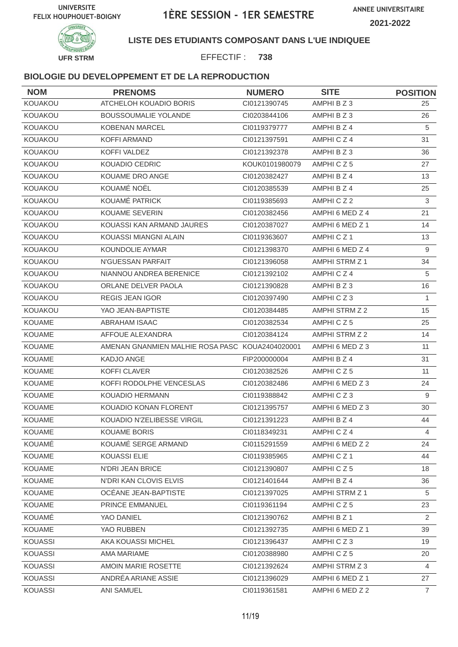

### **LISTE DES ETUDIANTS COMPOSANT DANS L'UE INDIQUEE**

EFFECTIF : **738**

| <b>NOM</b>     | <b>PRENOMS</b>                                  | <b>NUMERO</b>  | <b>SITE</b>     | <b>POSITION</b> |
|----------------|-------------------------------------------------|----------------|-----------------|-----------------|
| KOUAKOU        | ATCHELOH KOUADIO BORIS                          | CI0121390745   | AMPHI B Z 3     | 25              |
| KOUAKOU        | <b>BOUSSOUMALIE YOLANDE</b>                     | CI0203844106   | AMPHI B Z 3     | 26              |
| KOUAKOU        | <b>KOBENAN MARCEL</b>                           | CI0119379777   | AMPHI B Z 4     | 5               |
| KOUAKOU        | <b>KOFFI ARMAND</b>                             | CI0121397591   | AMPHICZ4        | 31              |
| KOUAKOU        | KOFFI VALDEZ                                    | CI0121392378   | AMPHI B Z 3     | 36              |
| KOUAKOU        | KOUADIO CEDRIC                                  | KOUK0101980079 | AMPHICZ5        | 27              |
| KOUAKOU        | KOUAME DRO ANGE                                 | CI0120382427   | AMPHI B Z 4     | 13              |
| KOUAKOU        | KOUAMÉ NOËL                                     | CI0120385539   | AMPHI B Z 4     | 25              |
| KOUAKOU        | KOUAMÉ PATRICK                                  | CI0119385693   | AMPHICZ2        | 3               |
| <b>KOUAKOU</b> | <b>KOUAME SEVERIN</b>                           | CI0120382456   | AMPHI 6 MED Z 4 | 21              |
| <b>KOUAKOU</b> | KOUASSI KAN ARMAND JAURES                       | CI0120387027   | AMPHI 6 MED Z 1 | 14              |
| KOUAKOU        | KOUASSI MIANGNI ALAIN                           | CI0119363607   | AMPHICZ1        | 13              |
| KOUAKOU        | <b>KOUNDOLIE AYMAR</b>                          | CI0121398370   | AMPHI 6 MED Z 4 | 9               |
| <b>KOUAKOU</b> | N'GUESSAN PARFAIT                               | CI0121396058   | AMPHI STRM Z 1  | 34              |
| KOUAKOU        | NIANNOU ANDREA BERENICE                         | CI0121392102   | AMPHICZ4        | 5               |
| KOUAKOU        | ORLANE DELVER PAOLA                             | CI0121390828   | AMPHI B Z 3     | 16              |
| <b>KOUAKOU</b> | <b>REGIS JEAN IGOR</b>                          | CI0120397490   | AMPHICZ3        | $\mathbf{1}$    |
| KOUAKOU        | YAO JEAN-BAPTISTE                               | CI0120384485   | AMPHI STRM Z 2  | 15              |
| <b>KOUAME</b>  | <b>ABRAHAM ISAAC</b>                            | CI0120382534   | AMPHICZ5        | 25              |
| <b>KOUAME</b>  | AFFOUE ALEXANDRA                                | Cl0120384124   | AMPHI STRM Z 2  | 14              |
| <b>KOUAME</b>  | AMENAN GNANMIEN MALHIE ROSA PASC KOUA2404020001 |                | AMPHI 6 MED Z 3 | 11              |
| <b>KOUAME</b>  | KADJO ANGE                                      | FIP200000004   | AMPHI B Z 4     | 31              |
| <b>KOUAME</b>  | <b>KOFFI CLAVER</b>                             | CI0120382526   | AMPHICZ5        | 11              |
| <b>KOUAME</b>  | KOFFI RODOLPHE VENCESLAS                        | CI0120382486   | AMPHI 6 MED Z 3 | 24              |
| <b>KOUAME</b>  | <b>KOUADIO HERMANN</b>                          | CI0119388842   | AMPHICZ3        | 9               |
| KOUAME         | KOUADIO KONAN FLORENT                           | CI0121395757   | AMPHI 6 MED Z 3 | 30              |
| <b>KOUAME</b>  | KOUADIO N'ZELIBESSE VIRGIL                      | CI0121391223   | AMPHI B Z 4     | 44              |
| KOUAME         | KOUAME BORIS                                    | CI0118349231   | AMPHICZ4        | $\overline{4}$  |
| KOUAMÉ         | KOUAMÉ SERGE ARMAND                             | CI0115291559   | AMPHI 6 MED Z 2 | 24              |
| <b>KOUAME</b>  | KOUASSI ELIE                                    | CI0119385965   | AMPHICZ1        | 44              |
| <b>KOUAME</b>  | <b>N'DRI JEAN BRICE</b>                         | CI0121390807   | AMPHICZ5        | 18              |
| <b>KOUAME</b>  | N'DRI KAN CLOVIS ELVIS                          | CI0121401644   | AMPHI B Z 4     | 36              |
| <b>KOUAME</b>  | OCEANE JEAN-BAPTISTE                            | CI0121397025   | AMPHI STRM Z 1  | 5               |
| <b>KOUAME</b>  | PRINCE EMMANUEL                                 | CI0119361194   | AMPHICZ5        | 23              |
| KOUAMÉ         | YAO DANIEL                                      | CI0121390762   | AMPHI B Z 1     | $\overline{2}$  |
| <b>KOUAME</b>  | YAO RUBBEN                                      | CI0121392735   | AMPHI 6 MED Z 1 | 39              |
| <b>KOUASSI</b> | AKA KOUASSI MICHEL                              | CI0121396437   | AMPHICZ3        | 19              |
| <b>KOUASSI</b> | AMA MARIAME                                     | CI0120388980   | AMPHICZ5        | 20              |
| <b>KOUASSI</b> | AMOIN MARIE ROSETTE                             | CI0121392624   | AMPHI STRM Z 3  | 4               |
| KOUASSI        | ANDRÉA ARIANE ASSIE                             | CI0121396029   | AMPHI 6 MED Z 1 | 27              |
| <b>KOUASSI</b> | <b>ANI SAMUEL</b>                               | CI0119361581   | AMPHI 6 MED Z 2 | $\overline{7}$  |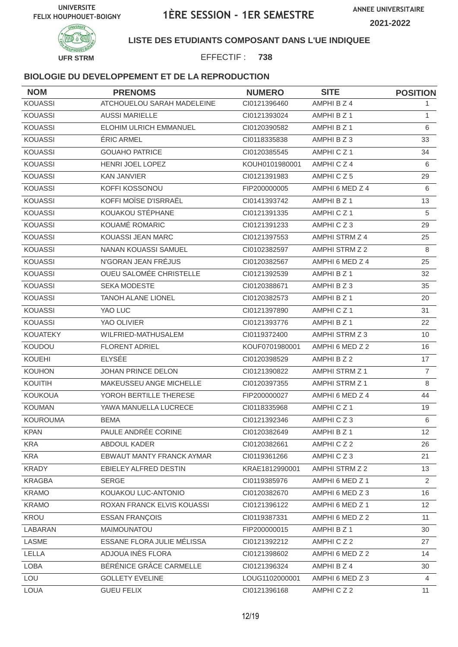

#### **LISTE DES ETUDIANTS COMPOSANT DANS L'UE INDIQUEE**

EFFECTIF : **738**

| <b>NOM</b>      | <b>PRENOMS</b>             | <b>NUMERO</b>  | <b>SITE</b>     | <b>POSITION</b> |
|-----------------|----------------------------|----------------|-----------------|-----------------|
| <b>KOUASSI</b>  | ATCHOUELOU SARAH MADELEINE | Cl0121396460   | AMPHI B Z 4     | 1.              |
| <b>KOUASSI</b>  | <b>AUSSI MARIELLE</b>      | CI0121393024   | AMPHI B Z 1     | $\mathbf{1}$    |
| <b>KOUASSI</b>  | ELOHIM ULRICH EMMANUEL     | CI0120390582   | AMPHI B Z 1     | 6               |
| <b>KOUASSI</b>  | <b>ERIC ARMEL</b>          | CI0118335838   | AMPHIBZ3        | 33              |
| <b>KOUASSI</b>  | <b>GOUAHO PATRICE</b>      | CI0120385545   | AMPHICZ1        | 34              |
| <b>KOUASSI</b>  | HENRI JOEL LOPEZ           | KOUH0101980001 | AMPHICZ4        | 6               |
| <b>KOUASSI</b>  | <b>KAN JANVIER</b>         | CI0121391983   | AMPHICZ5        | 29              |
| <b>KOUASSI</b>  | KOFFI KOSSONOU             | FIP200000005   | AMPHI 6 MED Z 4 | 6               |
| <b>KOUASSI</b>  | KOFFI MOÏSE D'ISRRAËL      | CI0141393742   | AMPHI B Z 1     | 13              |
| <b>KOUASSI</b>  | KOUAKOU STÉPHANE           | CI0121391335   | AMPHICZ1        | 5               |
| <b>KOUASSI</b>  | KOUAMÉ ROMARIC             | CI0121391233   | AMPHICZ3        | 29              |
| <b>KOUASSI</b>  | KOUASSI JEAN MARC          | CI0121397553   | AMPHI STRM Z 4  | 25              |
| <b>KOUASSI</b>  | NANAN KOUASSI SAMUEL       | CI0102382597   | AMPHI STRM Z 2  | 8               |
| KOUASSI         | N'GORAN JEAN FRÉJUS        | CI0120382567   | AMPHI 6 MED Z 4 | 25              |
| <b>KOUASSI</b>  | OUEU SALOMÉE CHRISTELLE    | CI0121392539   | AMPHI B Z 1     | 32              |
| <b>KOUASSI</b>  | <b>SEKA MODESTE</b>        | CI0120388671   | AMPHIBZ3        | 35              |
| <b>KOUASSI</b>  | <b>TANOH ALANE LIONEL</b>  | CI0120382573   | AMPHI B Z 1     | 20              |
| <b>KOUASSI</b>  | YAO LUC                    | CI0121397890   | AMPHICZ1        | 31              |
| <b>KOUASSI</b>  | YAO OLIVIER                | CI0121393776   | AMPHI B Z 1     | 22              |
| <b>KOUATEKY</b> | WILFRIED-MATHUSALEM        | CI0119372400   | AMPHI STRM Z 3  | 10              |
| KOUDOU          | <b>FLORENT ADRIEL</b>      | KOUF0701980001 | AMPHI 6 MED Z 2 | 16              |
| KOUEHI          | <b>ELYSÉE</b>              | CI0120398529   | AMPHI B Z 2     | 17              |
| <b>KOUHON</b>   | JOHAN PRINCE DELON         | CI0121390822   | AMPHI STRM Z 1  | $\overline{7}$  |
| KOUITIH         | MAKEUSSEU ANGE MICHELLE    | CI0120397355   | AMPHI STRM Z 1  | 8               |
| <b>KOUKOUA</b>  | YOROH BERTILLE THERESE     | FIP200000027   | AMPHI 6 MED Z 4 | 44              |
| <b>KOUMAN</b>   | YAWA MANUELLA LUCRECE      | CI0118335968   | AMPHICZ1        | 19              |
| <b>KOUROUMA</b> | <b>BEMA</b>                | CI0121392346   | AMPHICZ3        | 6               |
| <b>KPAN</b>     | PAULE ANDRÉE CORINE        | CI0120382649   | AMPHI B Z 1     | 12              |
| <b>KRA</b>      | ABDOUL KADER               | CI0120382661   | AMPHICZ2        | 26              |
| <b>KRA</b>      | EBWAUT MANTY FRANCK AYMAR  | CI0119361266   | AMPHICZ3        | 21              |
| <b>KRADY</b>    | EBIELEY ALFRED DESTIN      | KRAE1812990001 | AMPHI STRM Z 2  | 13              |
| <b>KRAGBA</b>   | <b>SERGE</b>               | CI0119385976   | AMPHI 6 MED Z 1 | $\overline{2}$  |
| <b>KRAMO</b>    | KOUAKOU LUC-ANTONIO        | Cl0120382670   | AMPHI 6 MED Z 3 | 16              |
| <b>KRAMO</b>    | ROXAN FRANCK ELVIS KOUASSI | Cl0121396122   | AMPHI 6 MED Z 1 | 12              |
| KROU            | <b>ESSAN FRANÇOIS</b>      | CI0119387331   | AMPHI 6 MED Z 2 | 11              |
| LABARAN         | MAIMOUNATOU                | FIP200000015   | AMPHI B Z 1     | 30              |
| LASME           | ESSANE FLORA JULIE MÉLISSA | CI0121392212   | AMPHICZ2        | 27              |
| LELLA           | ADJOUA INÈS FLORA          | CI0121398602   | AMPHI 6 MED Z 2 | 14              |
| <b>LOBA</b>     | BÉRÉNICE GRÂCE CARMELLE    | Cl0121396324   | AMPHI B Z 4     | 30              |
| LOU             | <b>GOLLETY EVELINE</b>     | LOUG1102000001 | AMPHI 6 MED Z 3 | 4               |
| <b>LOUA</b>     | <b>GUEU FELIX</b>          | Cl0121396168   | AMPHICZ2        | 11              |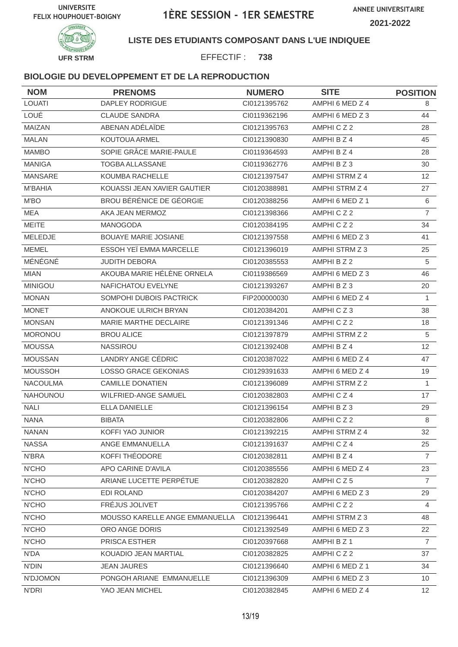

#### **LISTE DES ETUDIANTS COMPOSANT DANS L'UE INDIQUEE**

EFFECTIF : **738**

| <b>NOM</b>      | <b>PRENOMS</b>                 | <b>NUMERO</b> | <b>SITE</b>     | <b>POSITION</b> |
|-----------------|--------------------------------|---------------|-----------------|-----------------|
| LOUATI          | <b>DAPLEY RODRIGUE</b>         | CI0121395762  | AMPHI 6 MED Z 4 | 8               |
| LOUÉ            | <b>CLAUDE SANDRA</b>           | CI0119362196  | AMPHI 6 MED Z 3 | 44              |
| MAIZAN          | ABENAN ADÉLAÏDE                | CI0121395763  | AMPHICZ2        | 28              |
| <b>MALAN</b>    | KOUTOUA ARMEL                  | CI0121390830  | AMPHI B Z 4     | 45              |
| <b>MAMBO</b>    | SOPIE GRÂCE MARIE-PAULE        | CI0119364593  | AMPHI B Z 4     | 28              |
| <b>MANIGA</b>   | TOGBA ALLASSANE                | CI0119362776  | AMPHI B Z 3     | 30              |
| <b>MANSARE</b>  | KOUMBA RACHELLE                | CI0121397547  | AMPHI STRM Z 4  | 12              |
| <b>M'BAHIA</b>  | KOUASSI JEAN XAVIER GAUTIER    | CI0120388981  | AMPHI STRM Z 4  | 27              |
| M'BO            | BROU BÉRÉNICE DE GÉORGIE       | CI0120388256  | AMPHI 6 MED Z 1 | 6               |
| MEA             | AKA JEAN MERMOZ                | CI0121398366  | AMPHICZ2        | $\overline{7}$  |
| <b>MEITE</b>    | MANOGODA                       | CI0120384195  | AMPHICZ2        | 34              |
| MELEDJE         | <b>BOUAYE MARIE JOSIANE</b>    | CI0121397558  | AMPHI 6 MED Z 3 | 41              |
| <b>MEMEL</b>    | ESSOH YEÏ EMMA MARCELLE        | CI0121396019  | AMPHI STRM Z 3  | 25              |
| MÉNÉGNÉ         | <b>JUDITH DEBORA</b>           | CI0120385553  | AMPHI B Z 2     | $\sqrt{5}$      |
| <b>MIAN</b>     | AKOUBA MARIE HÉLÈNE ORNELA     | CI0119386569  | AMPHI 6 MED Z 3 | 46              |
| <b>MINIGOU</b>  | NAFICHATOU EVELYNE             | CI0121393267  | AMPHI B Z 3     | 20              |
| <b>MONAN</b>    | SOMPOHI DUBOIS PACTRICK        | FIP200000030  | AMPHI 6 MED Z 4 | 1               |
| <b>MONET</b>    | ANOKOUE ULRICH BRYAN           | CI0120384201  | AMPHICZ3        | 38              |
| <b>MONSAN</b>   | MARIE MARTHE DECLAIRE          | CI0121391346  | AMPHICZ2        | 18              |
| <b>MORONOU</b>  | <b>BROU ALICE</b>              | CI0121397879  | AMPHI STRM Z 2  | 5               |
| <b>MOUSSA</b>   | <b>NASSIROU</b>                | CI0121392408  | AMPHI B Z 4     | 12              |
| <b>MOUSSAN</b>  | LANDRY ANGE CÉDRIC             | CI0120387022  | AMPHI 6 MED Z 4 | 47              |
| <b>MOUSSOH</b>  | LOSSO GRACE GEKONIAS           | CI0129391633  | AMPHI 6 MED Z 4 | 19              |
| <b>NACOULMA</b> | <b>CAMILLE DONATIEN</b>        | CI0121396089  | AMPHI STRM Z 2  | 1               |
| NAHOUNOU        | <b>WILFRIED-ANGE SAMUEL</b>    | CI0120382803  | AMPHICZ4        | 17              |
| <b>NALI</b>     | <b>ELLA DANIELLE</b>           | Cl0121396154  | AMPHI B Z 3     | 29              |
| <b>NANA</b>     | <b>BIBATA</b>                  | CI0120382806  | AMPHICZ2        | 8               |
| <b>NANAN</b>    | KOFFI YAO JUNIOR               | CI0121392215  | AMPHI STRM Z 4  | 32              |
| <b>NASSA</b>    | ANGE EMMANUELLA                | Cl0121391637  | AMPHICZ4        | 25              |
| <b>N'BRA</b>    | KOFFI THEODORE                 | CI0120382811  | AMPHI B Z 4     | 7               |
| N'CHO           | APO CARINE D'AVILA             | CI0120385556  | AMPHI 6 MED Z 4 | 23              |
| N'CHO           | ARIANE LUCETTE PERPÉTUE        | CI0120382820  | AMPHICZ5        | $\overline{7}$  |
| N'CHO           | EDI ROLAND                     | CI0120384207  | AMPHI 6 MED Z 3 | 29              |
| N'CHO           | FRÉJUS JOLIVET                 | Cl0121395766  | AMPHICZ2        | 4               |
| N'CHO           | MOUSSO KARELLE ANGE EMMANUELLA | CI0121396441  | AMPHI STRM Z 3  | 48              |
| N'CHO           | ORO ANGE DORIS                 | CI0121392549  | AMPHI 6 MED Z 3 | 22              |
| N'CHO           | PRISCA ESTHER                  | Cl0120397668  | AMPHI B Z 1     | $\overline{7}$  |
| N'DA            | KOUADIO JEAN MARTIAL           | CI0120382825  | AMPHICZ2        | 37              |
| N'DIN           | <b>JEAN JAURES</b>             | Cl0121396640  | AMPHI 6 MED Z 1 | 34              |
| N'DJOMON        | PONGOH ARIANE EMMANUELLE       | CI0121396309  | AMPHI 6 MED Z 3 | 10              |
| N'DRI           | YAO JEAN MICHEL                | CI0120382845  | AMPHI 6 MED Z 4 | 12 <sup>2</sup> |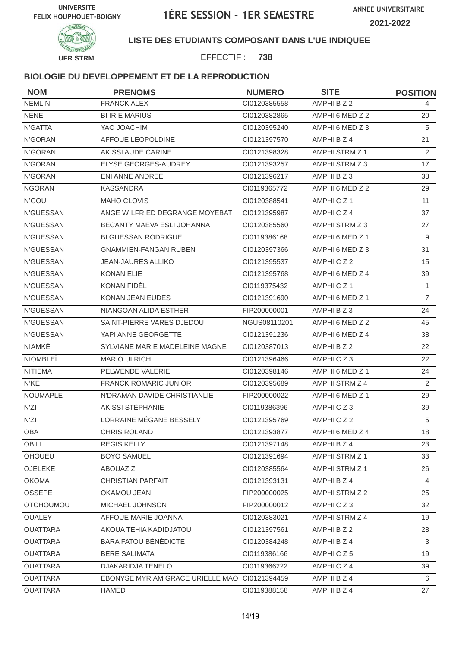

### **LISTE DES ETUDIANTS COMPOSANT DANS L'UE INDIQUEE**

EFFECTIF : **738**

| <b>NOM</b>       | <b>PRENOMS</b>                                | <b>NUMERO</b> | <b>SITE</b>          | <b>POSITION</b> |
|------------------|-----------------------------------------------|---------------|----------------------|-----------------|
| <b>NEMLIN</b>    | <b>FRANCK ALEX</b>                            | CI0120385558  | AMPHI B Z 2          | 4               |
| <b>NENE</b>      | <b>BI IRIE MARIUS</b>                         | CI0120382865  | AMPHI 6 MED Z 2      | 20              |
| N'GATTA          | YAO JOACHIM                                   | CI0120395240  | AMPHI 6 MED Z 3      | 5               |
| N'GORAN          | <b>AFFOUE LEOPOLDINE</b>                      | CI0121397570  | AMPHI B Z 4          | 21              |
| N'GORAN          | AKISSI AUDE CARINE                            | CI0121398328  | AMPHI STRM Z 1       | $\overline{2}$  |
| N'GORAN          | ELYSE GEORGES-AUDREY                          | CI0121393257  | AMPHI STRM Z 3       | 17              |
| N'GORAN          | ENI ANNE ANDRÉE                               | CI0121396217  | AMPHI B Z 3          | 38              |
| <b>NGORAN</b>    | <b>KASSANDRA</b>                              | CI0119365772  | AMPHI 6 MED Z 2      | 29              |
| N'GOU            | MAHO CLOVIS                                   | CI0120388541  | AMPHICZ1             | 11              |
| <b>N'GUESSAN</b> | ANGE WILFRIED DEGRANGE MOYEBAT                | CI0121395987  | AMPHICZ4             | 37              |
| <b>N'GUESSAN</b> | BECANTY MAEVA ESLI JOHANNA                    | CI0120385560  | AMPHI STRM Z 3       | 27              |
| <b>N'GUESSAN</b> | <b>BI GUESSAN RODRIGUE</b>                    | CI0119386168  | AMPHI 6 MED Z 1      | 9               |
| N'GUESSAN        | <b>GNAMMIEN-FANGAN RUBEN</b>                  | CI0120397366  | AMPHI 6 MED Z 3      | 31              |
| N'GUESSAN        | <b>JEAN-JAURES ALLIKO</b>                     | CI0121395537  | AMPHICZ2             | 15              |
| <b>N'GUESSAN</b> | <b>KONAN ELIE</b>                             | CI0121395768  | AMPHI 6 MED Z 4      | 39              |
| <b>N'GUESSAN</b> | <b>KONAN FIDEL</b>                            | CI0119375432  | AMPHICZ <sub>1</sub> | $\mathbf{1}$    |
| <b>N'GUESSAN</b> | KONAN JEAN EUDES                              | CI0121391690  | AMPHI 6 MED Z 1      | $\overline{7}$  |
| N'GUESSAN        | NIANGOAN ALIDA ESTHER                         | FIP200000001  | AMPHIBZ3             | 24              |
| <b>N'GUESSAN</b> | SAINT-PIERRE VARES DJEDOU                     | NGUS08110201  | AMPHI 6 MED Z 2      | 45              |
| <b>N'GUESSAN</b> | YAPI ANNE GEORGETTE                           | CI0121391236  | AMPHI 6 MED Z 4      | 38              |
| NIAMKÉ           | SYLVIANE MARIE MADELEINE MAGNE                | CI0120387013  | AMPHI B Z 2          | 22              |
| <b>NIOMBLEI</b>  | <b>MARIO ULRICH</b>                           | CI0121396466  | AMPHICZ3             | 22              |
| <b>NITIEMA</b>   | PELWENDE VALERIE                              | CI0120398146  | AMPHI 6 MED Z 1      | 24              |
| N'KE             | <b>FRANCK ROMARIC JUNIOR</b>                  | CI0120395689  | AMPHI STRM Z 4       | 2               |
| <b>NOUMAPLE</b>  | N'DRAMAN DAVIDE CHRISTIANLIE                  | FIP200000022  | AMPHI 6 MED Z 1      | 29              |
| N'ZI             | AKISSI STÉPHANIE                              | CI0119386396  | AMPHICZ3             | 39              |
| N'ZI             | LORRAINE MÉGANE BESSELY                       | CI0121395769  | AMPHICZ2             | 5               |
| OBA              | CHRIS ROLAND                                  | CI0121393877  | AMPHI 6 MED Z 4      | 18              |
| OBILI            | <b>REGIS KELLY</b>                            | CI0121397148  | AMPHI B Z 4          | 23              |
| OHOUEU           | <b>BOYO SAMUEL</b>                            | CI0121391694  | AMPHI STRM Z 1       | 33              |
| OJELEKE          | ABOUAZIZ                                      | Cl0120385564  | AMPHI STRM Z 1       | 26              |
| <b>OKOMA</b>     | <b>CHRISTIAN PARFAIT</b>                      | CI0121393131  | AMPHI B Z 4          | $\overline{4}$  |
| <b>OSSEPE</b>    | OKAMOU JEAN                                   | FIP200000025  | AMPHI STRM Z 2       | 25              |
| <b>OTCHOUMOU</b> | MICHAEL JOHNSON                               | FIP200000012  | AMPHICZ3             | 32              |
| <b>OUALEY</b>    | AFFOUE MARIE JOANNA                           | CI0120383021  | AMPHI STRM Z 4       | 19              |
| <b>OUATTARA</b>  | AKOUA TEHIA KADIDJATOU                        | CI0121397561  | AMPHI B Z 2          | 28              |
| <b>OUATTARA</b>  | <b>BARA FATOU BÉNÉDICTE</b>                   | CI0120384248  | AMPHI B Z 4          | 3               |
| <b>OUATTARA</b>  | <b>BERE SALIMATA</b>                          | CI0119386166  | AMPHICZ5             | 19              |
| <b>OUATTARA</b>  | DJAKARIDJA TENELO                             | CI0119366222  | AMPHICZ4             | 39              |
| <b>OUATTARA</b>  | EBONYSE MYRIAM GRACE URIELLE MAO CI0121394459 |               | AMPHI B Z 4          | 6               |
| <b>OUATTARA</b>  | <b>HAMED</b>                                  | CI0119388158  | AMPHI B Z 4          | 27              |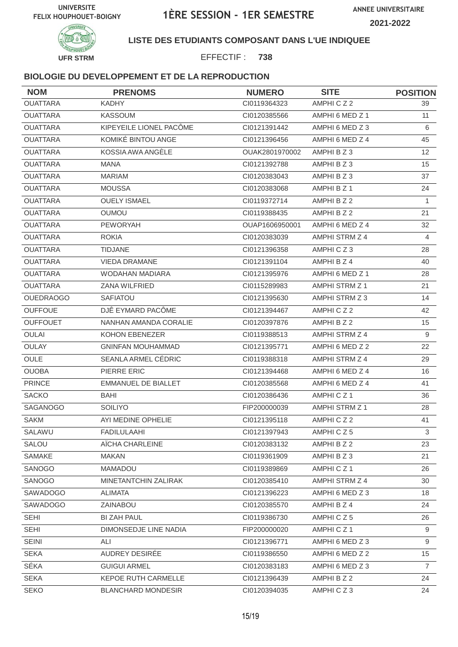

### **LISTE DES ETUDIANTS COMPOSANT DANS L'UE INDIQUEE**

EFFECTIF : **738**

| <b>NOM</b>       | <b>PRENOMS</b>             | <b>NUMERO</b>  | <b>SITE</b>          | <b>POSITION</b>   |
|------------------|----------------------------|----------------|----------------------|-------------------|
| <b>OUATTARA</b>  | <b>KADHY</b>               | CI0119364323   | AMPHICZ2             | 39                |
| <b>OUATTARA</b>  | <b>KASSOUM</b>             | CI0120385566   | AMPHI 6 MED Z 1      | 11                |
| <b>OUATTARA</b>  | KIPEYEILE LIONEL PACÔME    | CI0121391442   | AMPHI 6 MED Z 3      | 6                 |
| <b>OUATTARA</b>  | KOMIKÉ BINTOU ANGE         | CI0121396456   | AMPHI 6 MED Z 4      | 45                |
| <b>OUATTARA</b>  | KOSSIA AWA ANGÈLE          | OUAK2801970002 | AMPHI B Z 3          | $12 \overline{ }$ |
| <b>OUATTARA</b>  | <b>MANA</b>                | CI0121392788   | AMPHI B Z 3          | 15                |
| <b>OUATTARA</b>  | <b>MARIAM</b>              | CI0120383043   | AMPHI B Z 3          | 37                |
| <b>OUATTARA</b>  | <b>MOUSSA</b>              | CI0120383068   | AMPHI B Z 1          | 24                |
| <b>OUATTARA</b>  | <b>OUELY ISMAEL</b>        | CI0119372714   | AMPHI B Z 2          | 1                 |
| <b>OUATTARA</b>  | <b>OUMOU</b>               | CI0119388435   | AMPHI B Z 2          | 21                |
| <b>OUATTARA</b>  | <b>PEWORYAH</b>            | OUAP1606950001 | AMPHI 6 MED Z 4      | 32                |
| <b>OUATTARA</b>  | <b>ROKIA</b>               | CI0120383039   | AMPHI STRM Z 4       | 4                 |
| <b>OUATTARA</b>  | <b>TIDJANE</b>             | CI0121396358   | AMPHICZ3             | 28                |
| <b>OUATTARA</b>  | <b>VIEDA DRAMANE</b>       | Cl0121391104   | AMPHI B Z 4          | 40                |
| <b>OUATTARA</b>  | WODAHAN MADIARA            | CI0121395976   | AMPHI 6 MED Z 1      | 28                |
| <b>OUATTARA</b>  | <b>ZANA WILFRIED</b>       | CI0115289983   | AMPHI STRM Z 1       | 21                |
| <b>OUEDRAOGO</b> | <b>SAFIATOU</b>            | CI0121395630   | AMPHI STRM Z 3       | 14                |
| <b>OUFFOUE</b>   | DJÊ EYMARD PACÔME          | CI0121394467   | AMPHICZ2             | 42                |
| <b>OUFFOUET</b>  | NANHAN AMANDA CORALIE      | CI0120397876   | AMPHI B Z 2          | 15                |
| <b>OULAI</b>     | KOHON EBENEZER             | CI0119388513   | AMPHI STRM Z 4       | 9                 |
| OULAY            | <b>GNINFAN MOUHAMMAD</b>   | CI0121395771   | AMPHI 6 MED Z 2      | 22                |
| <b>OULE</b>      | SEANLA ARMEL CÉDRIC        | CI0119388318   | AMPHI STRM Z 4       | 29                |
| <b>OUOBA</b>     | PIERRE ERIC                | CI0121394468   | AMPHI 6 MED Z 4      | 16                |
| <b>PRINCE</b>    | <b>EMMANUEL DE BIALLET</b> | CI0120385568   | AMPHI 6 MED Z 4      | 41                |
| <b>SACKO</b>     | BAHI                       | CI0120386436   | AMPHICZ <sub>1</sub> | 36                |
| SAGANOGO         | <b>SOILIYO</b>             | FIP200000039   | AMPHI STRM Z 1       | 28                |
| <b>SAKM</b>      | AYI MEDINE OPHELIE         | CI0121395118   | AMPHICZ2             | 41                |
| SALAWU           | FADILULAAHI                | Cl0121397943   | AMPHICZ5             | 3                 |
| SALOU            | AÏCHA CHARLEINE            | CI0120383132   | AMPHI B Z 2          | 23                |
| SAMAKE           | MAKAN                      | CI0119361909   | AMPHI B Z 3          | 21                |
| SANOGO           | MAMADOU                    | CI0119389869   | AMPHICZ1             | 26                |
| SANOGO           | MINETANTCHIN ZALIRAK       | CI0120385410   | AMPHI STRM Z 4       | 30                |
| SAWADOGO         | <b>ALIMATA</b>             | Cl0121396223   | AMPHI 6 MED Z 3      | 18                |
| SAWADOGO         | ZAINABOU                   | Cl0120385570   | AMPHI B Z 4          | 24                |
| <b>SEHI</b>      | <b>BI ZAH PAUL</b>         | CI0119386730   | AMPHICZ5             | 26                |
| <b>SEHI</b>      | DIMONSEDJE LINE NADIA      | FIP200000020   | AMPHICZ1             | 9                 |
| <b>SEINI</b>     | ALI                        | CI0121396771   | AMPHI 6 MED Z 3      | 9                 |
| <b>SEKA</b>      | AUDREY DESIRÉE             | CI0119386550   | AMPHI 6 MED Z 2      | 15                |
| SÉKA             | <b>GUIGUI ARMEL</b>        | CI0120383183   | AMPHI 6 MED Z 3      | 7                 |
| <b>SEKA</b>      | <b>KEPOE RUTH CARMELLE</b> | Cl0121396439   | AMPHI B Z 2          | 24                |
| <b>SEKO</b>      | <b>BLANCHARD MONDESIR</b>  | CI0120394035   | AMPHICZ3             | 24                |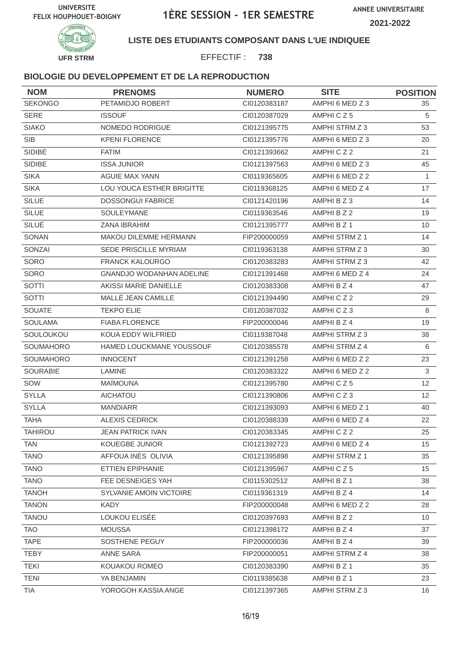

#### **LISTE DES ETUDIANTS COMPOSANT DANS L'UE INDIQUEE**

EFFECTIF : **738**

| <b>NOM</b>      | <b>PRENOMS</b>               | <b>NUMERO</b> | <b>SITE</b>     | <b>POSITION</b> |
|-----------------|------------------------------|---------------|-----------------|-----------------|
| <b>SEKONGO</b>  | PETAMIDJO ROBERT             | Cl0120383187  | AMPHI 6 MED Z 3 | 35              |
| <b>SERE</b>     | <b>ISSOUF</b>                | Cl0120387029  | AMPHICZ5        | 5               |
| <b>SIAKO</b>    | NOMEDO RODRIGUE              | CI0121395775  | AMPHI STRM Z 3  | 53              |
| <b>SIB</b>      | <b>KPENI FLORENCE</b>        | Cl0121395776  | AMPHI 6 MED Z 3 | 20              |
| SIDIBÉ          | <b>FATIM</b>                 | CI0121393662  | AMPHICZ2        | 21              |
| <b>SIDIBE</b>   | <b>ISSA JUNIOR</b>           | CI0121397563  | AMPHI 6 MED Z 3 | 45              |
| <b>SIKA</b>     | AGUIE MAX YANN               | CI0119365605  | AMPHI 6 MED Z 2 | $\mathbf{1}$    |
| <b>SIKA</b>     | LOU YOUCA ESTHER BRIGITTE    | CI0119368125  | AMPHI 6 MED Z 4 | 17              |
| <b>SILUE</b>    | <b>DOSSONGUI FABRICE</b>     | Cl0121420196  | AMPHI B Z 3     | 14              |
| <b>SILUE</b>    | <b>SOULEYMANE</b>            | CI0119363546  | AMPHI B Z 2     | 19              |
| SILUÉ           | ZANA IBRAHIM                 | CI0121395777  | AMPHI B Z 1     | 10              |
| SONAN           | MAKOU DILEMME HERMANN        | FIP200000059  | AMPHI STRM Z 1  | 14              |
| SONZAI          | <b>SEDE PRISCILLE MYRIAM</b> | CI0119363138  | AMPHI STRM Z 3  | 30              |
| SORO            | <b>FRANCK KALOURGO</b>       | CI0120383283  | AMPHI STRM Z 3  | 42              |
| <b>SORO</b>     | GNANDJO WODANHAN ADELINE     | CI0121391468  | AMPHI 6 MED Z 4 | 24              |
| SOTTI           | AKISSI MARIE DANIELLE        | CI0120383308  | AMPHI B Z 4     | 47              |
| <b>SOTTI</b>    | MALLÉ JEAN CAMILLE           | CI0121394490  | AMPHICZ2        | 29              |
| <b>SOUATE</b>   | <b>TEKPO ELIE</b>            | CI0120387032  | AMPHICZ3        | 8               |
| <b>SOULAMA</b>  | <b>FIABA FLORENCE</b>        | FIP200000046  | AMPHI B Z 4     | 19              |
| SOULOUKOU       | KOUA EDDY WILFRIED           | CI0119387048  | AMPHI STRM Z 3  | 38              |
| SOUMAHORO       | HAMED LOUCKMANE YOUSSOUF     | Cl0120385578  | AMPHI STRM Z 4  | 6               |
| SOUMAHORO       | <b>INNOCENT</b>              | CI0121391258  | AMPHI 6 MED Z 2 | 23              |
| <b>SOURABIE</b> | <b>LAMINE</b>                | CI0120383322  | AMPHI 6 MED Z 2 | $\mathbf{3}$    |
| SOW             | <b>MAÏMOUNA</b>              | Cl0121395780  | AMPHICZ5        | 12              |
| <b>SYLLA</b>    | <b>AICHATOU</b>              | CI0121390806  | AMPHICZ3        | 12              |
| <b>SYLLA</b>    | <b>MANDIARR</b>              | CI0121393093  | AMPHI 6 MED Z 1 | 40              |
| <b>TAHA</b>     | <b>ALEXIS CEDRICK</b>        | CI0120388339  | AMPHI 6 MED Z 4 | 22              |
| <b>TAHIROU</b>  | <b>JEAN PATRICK IVAN</b>     | CI0120383345  | AMPHICZ2        | 25              |
| TAN             | KOUEGBE JUNIOR               | CI0121392723  | AMPHI 6 MED Z 4 | 15 <sub>1</sub> |
| <b>TANO</b>     | AFFOUA INÈS OLIVIA           | CI0121395898  | AMPHI STRM Z 1  | 35              |
| <b>TANO</b>     | ETTIEN EPIPHANIE             | CI0121395967  | AMPHICZ5        | 15 <sub>1</sub> |
| <b>TANO</b>     | FEE DESNEIGES YAH            | CI0115302512  | AMPHI B Z 1     | 38              |
| <b>TANOH</b>    | SYLVANIE AMOIN VICTOIRE      | CI0119361319  | AMPHI B Z 4     | 14              |
| <b>TANON</b>    | <b>KADY</b>                  | FIP200000048  | AMPHI 6 MED Z 2 | 28              |
| <b>TANOU</b>    | LOUKOU ELISÉE                | CI0120397693  | AMPHI B Z 2     | 10              |
| <b>TAO</b>      | <b>MOUSSA</b>                | CI0121398172  | AMPHI B Z 4     | 37              |
| <b>TAPE</b>     | SOSTHENE PEGUY               | FIP200000036  | AMPHI B Z 4     | 39              |
| <b>TEBY</b>     | ANNE SARA                    | FIP200000051  | AMPHI STRM Z 4  | 38              |
| <b>TEKI</b>     | KOUAKOU ROMEO                | CI0120383390  | AMPHI B Z 1     | 35              |
| <b>TENI</b>     | YA BENJAMIN                  | CI0119385638  | AMPHI B Z 1     | 23              |
| <b>TIA</b>      | YOROGOH KASSIA ANGE          | CI0121397365  | AMPHI STRM Z 3  | 16              |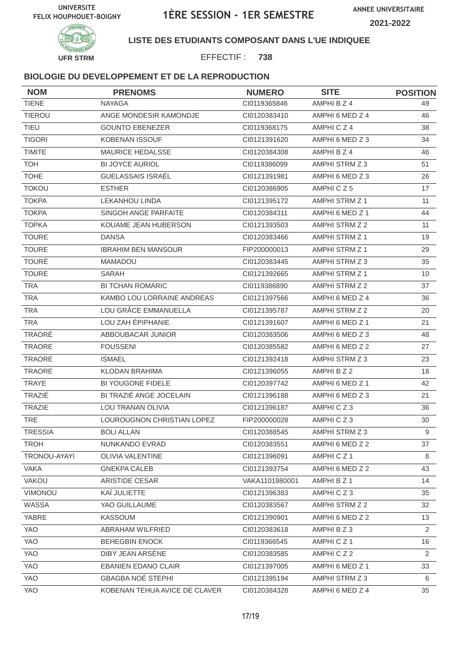

### **LISTE DES ETUDIANTS COMPOSANT DANS L'UE INDIQUEE**

EFFECTIF : **738**

| <b>NOM</b>     | <b>PRENOMS</b>                | <b>NUMERO</b>  | <b>SITE</b>           | <b>POSITION</b> |
|----------------|-------------------------------|----------------|-----------------------|-----------------|
| <b>TIENE</b>   | <b>NAYAGA</b>                 | CI0119365846   | AMPHI B Z 4           | 49              |
| <b>TIEROU</b>  | ANGE MONDESIR KAMONDJE        | CI0120383410   | AMPHI 6 MED Z 4       | 46              |
| <b>TIEU</b>    | <b>GOUNTO EBENEZER</b>        | CI0119368175   | AMPHICZ4              | 38              |
| <b>TIGORI</b>  | <b>KOBENAN ISSOUF</b>         | CI0121391620   | AMPHI 6 MED Z 3       | 34              |
| <b>TIMITE</b>  | <b>MAURICE HEDALSSE</b>       | Cl0120384308   | AMPHI B Z 4           | 46              |
| <b>TOH</b>     | <b>BI JOYCE AURIOL</b>        | CI0119386099   | AMPHI STRM Z 3        | 51              |
| <b>TOHE</b>    | GUELASSAIS ISRAËL             | CI0121391981   | AMPHI 6 MED Z 3       | 26              |
| <b>TOKOU</b>   | <b>ESTHER</b>                 | CI0120386905   | AMPHICZ5              | 17              |
| <b>TOKPA</b>   | <b>LEKANHOU LINDA</b>         | Cl0121395172   | AMPHI STRM Z 1        | 11              |
| <b>TOKPA</b>   | SINGOH ANGE PARFAITE          | CI0120384311   | AMPHI 6 MED Z 1       | 44              |
| <b>TOPKA</b>   | KOUAME JEAN HUBERSON          | CI0121393503   | AMPHI STRM Z 2        | 11              |
| <b>TOURE</b>   | <b>DANSA</b>                  | CI0120383466   | AMPHI STRM Z 1        | 19              |
| <b>TOURE</b>   | <b>IBRAHIM BEN MANSOUR</b>    | FIP200000013   | AMPHI STRM Z 1        | 29              |
| <b>TOURÉ</b>   | <b>MAMADOU</b>                | CI0120383445   | AMPHI STRM Z 3        | 35              |
| <b>TOURE</b>   | <b>SARAH</b>                  | CI0121392665   | <b>AMPHI STRM Z 1</b> | 10              |
| <b>TRA</b>     | <b>BI TCHAN ROMARIC</b>       | CI0119386890   | AMPHI STRM Z 2        | 37              |
| <b>TRA</b>     | KAMBO LOU LORRAINE ANDREAS    | CI0121397566   | AMPHI 6 MED Z 4       | 36              |
| <b>TRA</b>     | LOU GRÂCE EMMANUELLA          | CI0121395787   | AMPHI STRM Z 2        | 20              |
| <b>TRA</b>     | LOU ZAH ÉPIPHANIE             | CI0121391607   | AMPHI 6 MED Z 1       | 21              |
| TRAORÉ         | ABBOUBACAR JUNIOR             | CI0120383506   | AMPHI 6 MED Z 3       | 48              |
| <b>TRAORE</b>  | <b>FOUSSENI</b>               | CI0120385582   | AMPHI 6 MED Z 2       | 27              |
| <b>TRAORE</b>  | <b>ISMAEL</b>                 | CI0121392418   | AMPHI STRM Z 3        | 23              |
| <b>TRAORE</b>  | <b>KLODAN BRAHIMA</b>         | CI0121396055   | AMPHI B Z 2           | 18              |
| <b>TRAYE</b>   | <b>BI YOUGONE FIDELE</b>      | CI0120397742   | AMPHI 6 MED Z 1       | 42              |
| TRAZIÉ         | BI TRAZIÉ ANGE JOCELAIN       | CI0121396188   | AMPHI 6 MED Z 3       | 21              |
| <b>TRAZIE</b>  | <b>LOU TRANAN OLIVIA</b>      | Cl0121396187   | AMPHICZ3              | 36              |
| <b>TRE</b>     | LOUROUGNON CHRISTIAN LOPEZ    | FIP200000028   | AMPHICZ3              | 30              |
| <b>TRESSIA</b> | <b>BOLI ALLAN</b>             | CI0120388545   | AMPHI STRM Z 3        | 9               |
| <b>TROH</b>    | NUNKANDO EVRAD                | CI0120383551   | AMPHI 6 MED Z 2       | 37              |
| TRONOU-AYAYI   | <b>OLIVIA VALENTINE</b>       | CI0121396091   | AMPHICZ1              | 8               |
| <b>VAKA</b>    | <b>GNEKPA CALEB</b>           | CI0121393754   | AMPHI 6 MED Z 2       | 43              |
| <b>VAKOU</b>   | <b>ARISTIDE CESAR</b>         | VAKA1101980001 | AMPHI B Z 1           | 14              |
| VIMONOU        | KAÏ JULIETTE                  | CI0121396383   | AMPHICZ3              | 35              |
| WASSA          | YAO GUILLAUME                 | CI0120383567   | AMPHI STRM Z 2        | 32              |
| YABRE          | KASSOUM                       | Cl0121390901   | AMPHI 6 MED Z 2       | 13              |
| YAO            | ABRAHAM WILFRIED              | CI0120383618   | AMPHI B Z 3           | $\overline{2}$  |
| YAO            | <b>BEHEGBIN ENOCK</b>         | CI0119366545   | AMPHICZ1              | 16              |
| YAO            | DIBY JEAN ARSÈNE              | CI0120383585   | AMPHICZ2              | 2               |
| YAO            | <b>EBANIEN EDANO CLAIR</b>    | CI0121397005   | AMPHI 6 MED Z 1       | 33              |
| YAO            | <b>GBAGBA NOÉ STEPHI</b>      | CI0121395194   | AMPHI STRM Z 3        | 6               |
| YAO            | KOBENAN TEHUA AVICE DE CLAVER | CI0120384328   | AMPHI 6 MED Z 4       | 35              |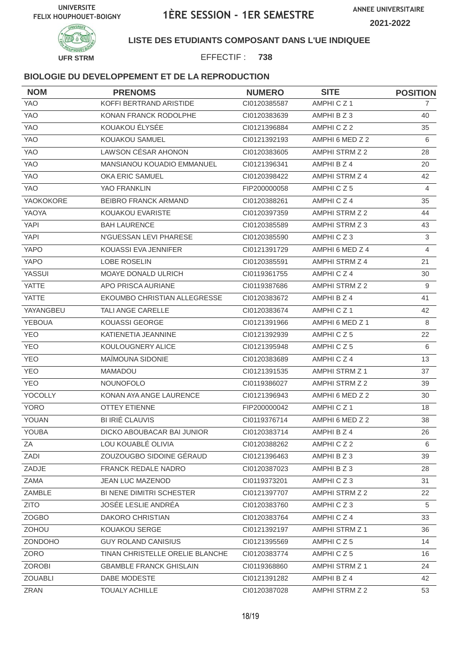

**LISTE DES ETUDIANTS COMPOSANT DANS L'UE INDIQUEE**

EFFECTIF : **738**

| <b>NOM</b>     | <b>PRENOMS</b>                  | <b>NUMERO</b> | <b>SITE</b>     | <b>POSITION</b> |
|----------------|---------------------------------|---------------|-----------------|-----------------|
| <b>YAO</b>     | KOFFI BERTRAND ARISTIDE         | CI0120385587  | AMPHICZ1        | $\mathbf{7}$    |
| <b>YAO</b>     | KONAN FRANCK RODOLPHE           | CI0120383639  | AMPHI B Z 3     | 40              |
| <b>YAO</b>     | KOUAKOU ÉLYSÉE                  | CI0121396884  | AMPHICZ2        | 35              |
| <b>YAO</b>     | KOUAKOU SAMUEL                  | CI0121392193  | AMPHI 6 MED Z 2 | 6               |
| YAO            | LAWSON CÉSAR AHONON             | CI0120383605  | AMPHI STRM Z 2  | 28              |
| YAO            | MANSIANOU KOUADIO EMMANUEL      | CI0121396341  | AMPHI B Z 4     | 20              |
| YAO            | OKA ERIC SAMUEL                 | CI0120398422  | AMPHI STRM Z 4  | 42              |
| <b>YAO</b>     | YAO FRANKLIN                    | FIP200000058  | AMPHICZ5        | 4               |
| YAOKOKORE      | <b>BEIBRO FRANCK ARMAND</b>     | CI0120388261  | AMPHICZ4        | 35              |
| YAOYA          | <b>KOUAKOU EVARISTE</b>         | CI0120397359  | AMPHI STRM Z 2  | 44              |
| <b>YAPI</b>    | <b>BAH LAURENCE</b>             | CI0120385589  | AMPHI STRM Z 3  | 43              |
| <b>YAPI</b>    | N'GUESSAN LEVI PHARESE          | CI0120385590  | AMPHICZ3        | $\mathbf{3}$    |
| <b>YAPO</b>    | KOUASSI EVA JENNIFER            | CI0121391729  | AMPHI 6 MED Z 4 | $\overline{4}$  |
| YAPO           | LOBE ROSELIN                    | CI0120385591  | AMPHI STRM Z 4  | 21              |
| <b>YASSUI</b>  | MOAYE DONALD ULRICH             | CI0119361755  | AMPHICZ4        | 30              |
| <b>YATTE</b>   | APO PRISCA AURIANE              | CI0119387686  | AMPHI STRM Z 2  | 9               |
| <b>YATTE</b>   | EKOUMBO CHRISTIAN ALLEGRESSE    | CI0120383672  | AMPHI B Z 4     | 41              |
| YAYANGBEU      | TALI ANGE CARELLE               | CI0120383674  | AMPHICZ1        | 42              |
| <b>YEBOUA</b>  | KOUASSI GEORGE                  | CI0121391966  | AMPHI 6 MED Z 1 | 8               |
| <b>YEO</b>     | KATIENETIA JEANNINE             | CI0121392939  | AMPHICZ5        | 22              |
| <b>YEO</b>     | KOULOUGNERY ALICE               | CI0121395948  | AMPHICZ5        | 6               |
| <b>YEO</b>     | MAÎMOUNA SIDONIE                | CI0120383689  | AMPHICZ4        | 13              |
| <b>YEO</b>     | <b>MAMADOU</b>                  | CI0121391535  | AMPHI STRM Z 1  | 37              |
| <b>YEO</b>     | <b>NOUNOFOLO</b>                | CI0119386027  | AMPHI STRM Z 2  | 39              |
| YOCOLLY        | KONAN AYA ANGE LAURENCE         | CI0121396943  | AMPHI 6 MED Z 2 | 30              |
| <b>YORO</b>    | <b>OTTEY ETIENNE</b>            | FIP200000042  | AMPHICZ1        | 18              |
| YOUAN          | <b>BI IRIÉ CLAUVIS</b>          | CI0119376714  | AMPHI 6 MED Z 2 | 38              |
| YOUBA          | DICKO ABOUBACAR BAI JUNIOR      | CI0120383714  | AMPHI B Z 4     | 26              |
| ZA             | LOU KOUABLÉ OLIVIA              | CI0120388262  | AMPHICZ2        | 6               |
| ZADI           | ZOUZOUGBO SIDOINE GÉRAUD        | CI0121396463  | AMPHI B Z 3     | 39              |
| ZADJE          | FRANCK REDALE NADRO             | CI0120387023  | AMPHIBZ3        | 28              |
| ZAMA           | <b>JEAN LUC MAZENOD</b>         | CI0119373201  | AMPHICZ3        | 31              |
| ZAMBLE         | BI NENE DIMITRI SCHESTER        | CI0121397707  | AMPHI STRM Z 2  | 22              |
| <b>ZITO</b>    | JOSÉE LESLIE ANDRÉA             | CI0120383760  | AMPHICZ3        | 5               |
| <b>ZOGBO</b>   | DAKORO CHRISTIAN                | CI0120383764  | AMPHICZ4        | 33              |
| <b>ZOHOU</b>   | KOUAKOU SERGE                   | CI0121392197  | AMPHI STRM Z 1  | 36              |
| ZONDOHO        | <b>GUY ROLAND CANISIUS</b>      | CI0121395569  | AMPHICZ5        | 14              |
| ZORO           | TINAN CHRISTELLE ORELIE BLANCHE | Cl0120383774  | AMPHICZ5        | 16              |
| <b>ZOROBI</b>  | <b>GBAMBLE FRANCK GHISLAIN</b>  | CI0119368860  | AMPHI STRM Z 1  | 24              |
| <b>ZOUABLI</b> | DABE MODESTE                    | CI0121391282  | AMPHI B Z 4     | 42              |
| ZRAN           | <b>TOUALY ACHILLE</b>           | CI0120387028  | AMPHI STRM Z 2  | 53              |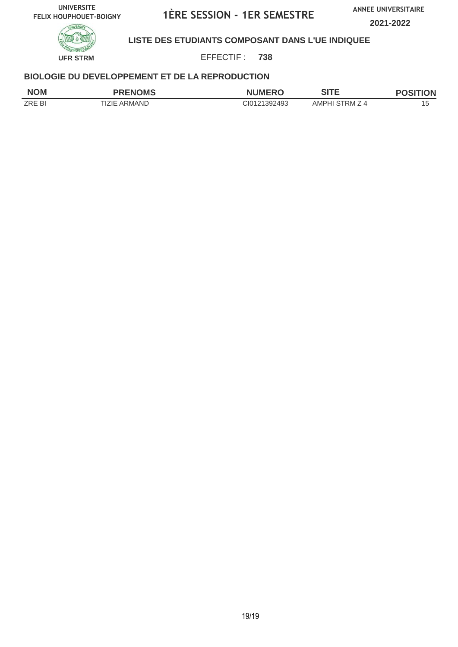**ANNEE UNIVERSITAIRE**

**2021-2022**



**LISTE DES ETUDIANTS COMPOSANT DANS L'UE INDIQUEE**

EFFECTIF : **738**

| <b>NOM</b>    | <b>PRENOMS</b> | <b>NUMERO</b> | <b>AITE</b><br>╸<br>וכ | <b>ION</b> |
|---------------|----------------|---------------|------------------------|------------|
| <b>ZRE BI</b> | ARMAND<br>7IF. | CI0121392493  | AMPHI<br>⊤RM ∠<br>⊿ ′  | l s        |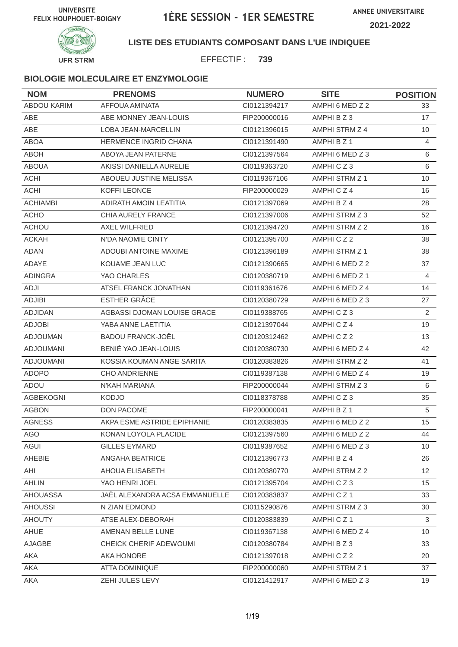

**LISTE DES ETUDIANTS COMPOSANT DANS L'UE INDIQUEE**

EFFECTIF : **739**

| <b>NOM</b>         | <b>PRENOMS</b>                 | <b>NUMERO</b> | <b>SITE</b>     | <b>POSITION</b> |
|--------------------|--------------------------------|---------------|-----------------|-----------------|
| <b>ABDOU KARIM</b> | AFFOUA AMINATA                 | CI0121394217  | AMPHI 6 MED Z 2 | 33              |
| ABE                | ABE MONNEY JEAN-LOUIS          | FIP200000016  | AMPHI B Z 3     | 17              |
| ABE                | LOBA JEAN-MARCELLIN            | CI0121396015  | AMPHI STRM Z 4  | 10              |
| <b>ABOA</b>        | <b>HERMENCE INGRID CHANA</b>   | CI0121391490  | AMPHI B Z 1     | 4               |
| <b>ABOH</b>        | ABOYA JEAN PATERNE             | CI0121397564  | AMPHI 6 MED Z 3 | 6               |
| <b>ABOUA</b>       | AKISSI DANIELLA AURELIE        | CI0119363720  | AMPHICZ3        | 6               |
| <b>ACHI</b>        | ABOUEU JUSTINE MELISSA         | CI0119367106  | AMPHI STRM Z 1  | 10              |
| <b>ACHI</b>        | KOFFI LEONCE                   | FIP200000029  | AMPHICZ4        | 16              |
| <b>ACHIAMBI</b>    | ADIRATH AMOIN LEATITIA         | CI0121397069  | AMPHI B Z 4     | 28              |
| <b>ACHO</b>        | CHIA AURELY FRANCE             | CI0121397006  | AMPHI STRM Z 3  | 52              |
| <b>ACHOU</b>       | AXEL WILFRIED                  | CI0121394720  | AMPHI STRM Z 2  | 16              |
| <b>ACKAH</b>       | N'DA NAOMIE CINTY              | CI0121395700  | AMPHICZ2        | 38              |
| <b>ADAN</b>        | <b>ADOUBI ANTOINE MAXIME</b>   | CI0121396189  | AMPHI STRM Z 1  | 38              |
| ADAYE              | KOUAME JEAN LUC                | CI0121390665  | AMPHI 6 MED Z 2 | 37              |
| <b>ADINGRA</b>     | YAO CHARLES                    | CI0120380719  | AMPHI 6 MED Z 1 | $\overline{4}$  |
| ADJI               | ATSEL FRANCK JONATHAN          | CI0119361676  | AMPHI 6 MED Z 4 | 14              |
| <b>ADJIBI</b>      | ESTHER GRÂCE                   | CI0120380729  | AMPHI 6 MED Z 3 | 27              |
| <b>ADJIDAN</b>     | AGBASSI DJOMAN LOUISE GRACE    | CI0119388765  | AMPHICZ3        | 2               |
| <b>ADJOBI</b>      | YABA ANNE LAETITIA             | CI0121397044  | AMPHICZ4        | 19              |
| ADJOUMAN           | <b>BADOU FRANCK-JOËL</b>       | CI0120312462  | AMPHICZ2        | 13              |
| <b>ADJOUMANI</b>   | BENIÉ YAO JEAN-LOUIS           | CI0120380730  | AMPHI 6 MED Z 4 | 42              |
| <b>ADJOUMANI</b>   | KOSSIA KOUMAN ANGE SARITA      | CI0120383826  | AMPHI STRM Z 2  | 41              |
| <b>ADOPO</b>       | <b>CHO ANDRIENNE</b>           | CI0119387138  | AMPHI 6 MED Z 4 | 19              |
| ADOU               | N'KAH MARIANA                  | FIP200000044  | AMPHI STRM Z 3  | 6               |
| AGBEKOGNI          | <b>KODJO</b>                   | CI0118378788  | AMPHICZ3        | 35              |
| <b>AGBON</b>       | DON PACOME                     | FIP200000041  | AMPHI B Z 1     | 5               |
| <b>AGNESS</b>      | AKPA ESME ASTRIDE EPIPHANIE    | CI0120383835  | AMPHI 6 MED Z 2 | 15              |
| AGO                | KONAN LOYOLA PLACIDE           | CI0121397560  | AMPHI 6 MED Z 2 | 44              |
| AGUI               | <b>GILLES EYMARD</b>           | CI0119387652  | AMPHI 6 MED Z 3 | 10 <sup>°</sup> |
| AHEBIE             | ANGAHA BEATRICE                | Cl0121396773  | AMPHI B Z 4     | 26              |
| AHI                | AHOUA ELISABETH                | CI0120380770  | AMPHI STRM Z 2  | 12              |
| <b>AHLIN</b>       | YAO HENRI JOEL                 | Cl0121395704  | AMPHICZ3        | 15              |
| <b>AHOUASSA</b>    | JAËL ALEXANDRA ACSA EMMANUELLE | CI0120383837  | AMPHICZ1        | 33              |
| <b>AHOUSSI</b>     | N ZIAN EDMOND                  | CI0115290876  | AMPHI STRM Z 3  | 30              |
| <b>AHOUTY</b>      | ATSE ALEX-DEBORAH              | CI0120383839  | AMPHICZ1        | 3               |
| AHUE               | AMENAN BELLE LUNE              | CI0119367138  | AMPHI 6 MED Z 4 | 10 <sup>°</sup> |
| AJAGBE             | CHEICK CHERIF ADEWOUMI         | Cl0120380784  | AMPHI B Z 3     | 33              |
| AKA                | AKA HONORE                     | Cl0121397018  | AMPHICZ2        | 20              |
| AKA                | ATTA DOMINIQUE                 | FIP200000060  | AMPHI STRM Z 1  | 37              |
| AKA                | ZEHI JULES LEVY                | Cl0121412917  | AMPHI 6 MED Z 3 | 19              |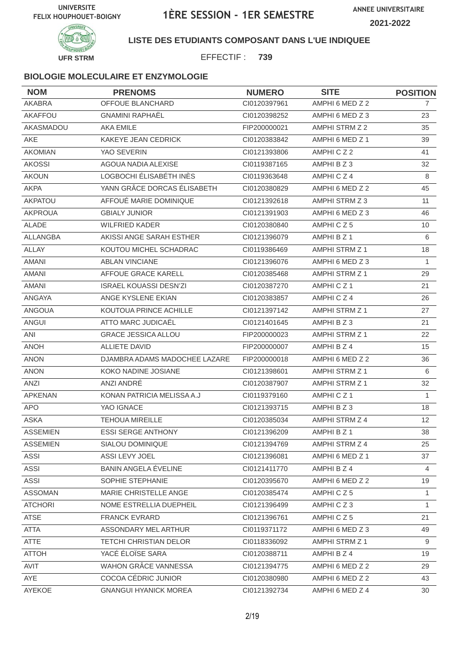

**LISTE DES ETUDIANTS COMPOSANT DANS L'UE INDIQUEE**

EFFECTIF : **739**

| <b>NOM</b>      | <b>PRENOMS</b>                | <b>NUMERO</b> | <b>SITE</b>           | <b>POSITION</b> |
|-----------------|-------------------------------|---------------|-----------------------|-----------------|
| <b>AKABRA</b>   | OFFOUE BLANCHARD              | CI0120397961  | AMPHI 6 MED Z 2       | 7               |
| AKAFFOU         | <b>GNAMINI RAPHAËL</b>        | CI0120398252  | AMPHI 6 MED Z 3       | 23              |
| AKASMADOU       | <b>AKA EMILE</b>              | FIP200000021  | AMPHI STRM Z 2        | 35              |
| <b>AKE</b>      | KAKEYE JEAN CEDRICK           | CI0120383842  | AMPHI 6 MED Z 1       | 39              |
| <b>AKOMIAN</b>  | YAO SEVERIN                   | CI0121393806  | AMPHICZ2              | 41              |
| <b>AKOSSI</b>   | AGOUA NADIA ALEXISE           | CI0119387165  | AMPHI B Z 3           | 32              |
| <b>AKOUN</b>    | LOGBOCHI ÉLISABÉTH INÈS       | CI0119363648  | AMPHICZ4              | 8               |
| <b>AKPA</b>     | YANN GRÂCE DORCAS ÉLISABETH   | CI0120380829  | AMPHI 6 MED Z 2       | 45              |
| AKPATOU         | AFFOUÉ MARIE DOMINIQUE        | CI0121392618  | AMPHI STRM Z 3        | 11              |
| <b>AKPROUA</b>  | <b>GBIALY JUNIOR</b>          | CI0121391903  | AMPHI 6 MED Z 3       | 46              |
| ALADE           | WILFRIED KADER                | CI0120380840  | AMPHICZ5              | 10              |
| ALLANGBA        | AKISSI ANGE SARAH ESTHER      | CI0121396079  | AMPHI B Z 1           | 6               |
| <b>ALLAY</b>    | KOUTOU MICHEL SCHADRAC        | CI0119386469  | AMPHI STRM Z 1        | 18              |
| <b>AMANI</b>    | <b>ABLAN VINCIANE</b>         | CI0121396076  | AMPHI 6 MED Z 3       | 1               |
| <b>AMANI</b>    | AFFOUE GRACE KARELL           | CI0120385468  | <b>AMPHI STRM Z 1</b> | 29              |
| AMANI           | <b>ISRAEL KOUASSI DESN'ZI</b> | CI0120387270  | AMPHICZ1              | 21              |
| ANGAYA          | ANGE KYSLENE EKIAN            | CI0120383857  | AMPHICZ4              | 26              |
| <b>ANGOUA</b>   | KOUTOUA PRINCE ACHILLE        | CI0121397142  | AMPHI STRM Z 1        | 27              |
| ANGUI           | ATTO MARC JUDICAËL            | CI0121401645  | AMPHI B Z 3           | 21              |
| ANI             | <b>GRACE JESSICA ALLOU</b>    | FIP200000023  | AMPHI STRM Z 1        | 22              |
| <b>ANOH</b>     | <b>ALLIETE DAVID</b>          | FIP200000007  | AMPHI B Z 4           | 15              |
| <b>ANON</b>     | DJAMBRA ADAMS MADOCHEE LAZARE | FIP200000018  | AMPHI 6 MED Z 2       | 36              |
| <b>ANON</b>     | KOKO NADINE JOSIANE           | CI0121398601  | <b>AMPHI STRM Z 1</b> | 6               |
| ANZI            | ANZI ANDRÉ                    | CI0120387907  | AMPHI STRM Z 1        | 32              |
| <b>APKENAN</b>  | KONAN PATRICIA MELISSA A.J    | CI0119379160  | AMPHICZ <sub>1</sub>  | 1               |
| <b>APO</b>      | YAO IGNACE                    | CI0121393715  | AMPHI B Z 3           | 18              |
| <b>ASKA</b>     | <b>TEHOUA MIREILLE</b>        | CI0120385034  | AMPHI STRM Z 4        | 12              |
| <b>ASSEMIEN</b> | <b>ESSI SERGE ANTHONY</b>     | CI0121396209  | AMPHI B Z 1           | 38              |
| <b>ASSEMIEN</b> | SIALOU DOMINIQUE              | CI0121394769  | AMPHI STRM Z 4        | 25              |
| ASSI            | ASSI LEVY JOEL                | CI0121396081  | AMPHI 6 MED Z 1       | 37              |
| <b>ASSI</b>     | BANIN ANGELA ÉVELINE          | CI0121411770  | AMPHI B Z 4           | 4               |
| ASSI            | SOPHIE STEPHANIE              | CI0120395670  | AMPHI 6 MED Z 2       | 19              |
| <b>ASSOMAN</b>  | MARIE CHRISTELLE ANGE         | CI0120385474  | AMPHICZ5              | $\mathbf{1}$    |
| <b>ATCHORI</b>  | NOME ESTRELLIA DUEPHEIL       | CI0121396499  | AMPHICZ3              | $\mathbf{1}$    |
| <b>ATSE</b>     | <b>FRANCK EVRARD</b>          | Cl0121396761  | AMPHICZ5              | 21              |
| ATTA            | ASSONDARY MEL ARTHUR          | CI0119371172  | AMPHI 6 MED Z 3       | 49              |
| ATTE            | <b>TETCHI CHRISTIAN DELOR</b> | CI0118336092  | AMPHI STRM Z 1        | 9               |
| <b>ATTOH</b>    | YACÉ ÉLOÏSE SARA              | CI0120388711  | AMPHI B Z 4           | 19              |
| AVIT            | WAHON GRÂCE VANNESSA          | CI0121394775  | AMPHI 6 MED Z 2       | 29              |
| AYE             | COCOA CÉDRIC JUNIOR           | CI0120380980  | AMPHI 6 MED Z 2       | 43              |
| AYEKOE          | <b>GNANGUI HYANICK MOREA</b>  | Cl0121392734  | AMPHI 6 MED Z 4       | 30              |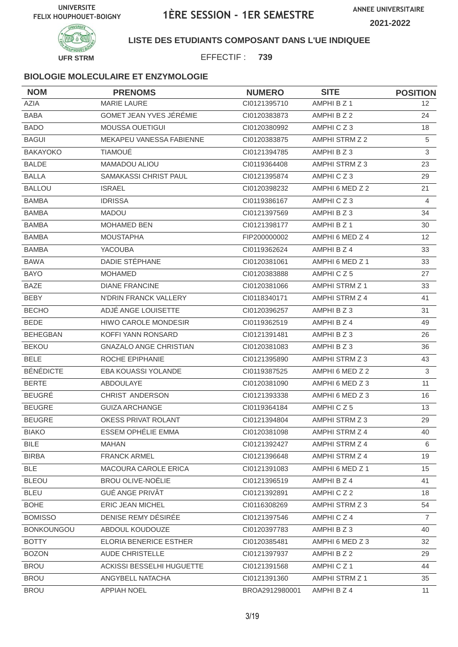

**LISTE DES ETUDIANTS COMPOSANT DANS L'UE INDIQUEE**

EFFECTIF : **739**

| <b>NOM</b>        | <b>PRENOMS</b>                | <b>NUMERO</b>  | <b>SITE</b>     | <b>POSITION</b> |
|-------------------|-------------------------------|----------------|-----------------|-----------------|
| <b>AZIA</b>       | <b>MARIE LAURE</b>            | CI0121395710   | AMPHI B Z 1     | 12 <sup>°</sup> |
| <b>BABA</b>       | GOMET JEAN YVES JÉRÉMIE       | CI0120383873   | AMPHI B Z 2     | 24              |
| <b>BADO</b>       | MOUSSA OUETIGUI               | CI0120380992   | AMPHICZ3        | 18              |
| <b>BAGUI</b>      | MEKAPEU VANESSA FABIENNE      | CI0120383875   | AMPHI STRM Z 2  | 5               |
| <b>BAKAYOKO</b>   | <b>TIAMOUÉ</b>                | CI0121394785   | AMPHI B Z 3     | 3               |
| <b>BALDE</b>      | MAMADOU ALIOU                 | CI0119364408   | AMPHI STRM Z 3  | 23              |
| <b>BALLA</b>      | SAMAKASSI CHRIST PAUL         | CI0121395874   | AMPHICZ3        | 29              |
| <b>BALLOU</b>     | <b>ISRAEL</b>                 | Cl0120398232   | AMPHI 6 MED Z 2 | 21              |
| <b>BAMBA</b>      | <b>IDRISSA</b>                | CI0119386167   | AMPHICZ3        | 4               |
| <b>BAMBA</b>      | <b>MADOU</b>                  | CI0121397569   | AMPHI B Z 3     | 34              |
| <b>BAMBA</b>      | <b>MOHAMED BEN</b>            | CI0121398177   | AMPHI B Z 1     | 30              |
| <b>BAMBA</b>      | <b>MOUSTAPHA</b>              | FIP200000002   | AMPHI 6 MED Z 4 | 12              |
| <b>BAMBA</b>      | <b>YACOUBA</b>                | CI0119362624   | AMPHI B Z 4     | 33              |
| <b>BAWA</b>       | DADIE STÉPHANE                | CI0120381061   | AMPHI 6 MED Z 1 | 33              |
| <b>BAYO</b>       | <b>MOHAMED</b>                | CI0120383888   | AMPHICZ5        | 27              |
| <b>BAZE</b>       | <b>DIANE FRANCINE</b>         | CI0120381066   | AMPHI STRM Z 1  | 33              |
| <b>BEBY</b>       | N'DRIN FRANCK VALLERY         | CI0118340171   | AMPHI STRM Z 4  | 41              |
| <b>BECHO</b>      | ADJÉ ANGE LOUISETTE           | CI0120396257   | AMPHI B Z 3     | 31              |
| <b>BEDE</b>       | <b>HIWO CAROLE MONDESIR</b>   | CI0119362519   | AMPHI B Z 4     | 49              |
| <b>BEHEGBAN</b>   | KOFFI YANN RONSARD            | CI0121391481   | AMPHI B Z 3     | 26              |
| <b>BEKOU</b>      | <b>GNAZALO ANGE CHRISTIAN</b> | CI0120381083   | AMPHI B Z 3     | 36              |
| <b>BELE</b>       | ROCHE EPIPHANIE               | CI0121395890   | AMPHI STRM Z 3  | 43              |
| <b>BÉNÉDICTE</b>  | EBA KOUASSI YOLANDE           | CI0119387525   | AMPHI 6 MED Z 2 | 3               |
| <b>BERTE</b>      | <b>ABDOULAYE</b>              | CI0120381090   | AMPHI 6 MED Z 3 | 11              |
| <b>BEUGRÉ</b>     | CHRIST ANDERSON               | CI0121393338   | AMPHI 6 MED Z 3 | 16              |
| <b>BEUGRE</b>     | <b>GUIZA ARCHANGE</b>         | CI0119364184   | AMPHICZ5        | 13              |
| <b>BEUGRE</b>     | OKESS PRIVAT ROLANT           | CI0121394804   | AMPHI STRM Z 3  | 29              |
| <b>BIAKO</b>      | ESSEM OPHÉLIE EMMA            | CI0120381098   | AMPHI STRM Z 4  | 40              |
| <b>BILE</b>       | <b>MAHAN</b>                  | CI0121392427   | AMPHI STRM Z 4  | 6               |
| <b>BIRBA</b>      | <b>FRANCK ARMEL</b>           | CI0121396648   | AMPHI STRM Z 4  | 19              |
| <b>BLE</b>        | MACOURA CAROLE ERICA          | CI0121391083   | AMPHI 6 MED Z 1 | 15 <sub>1</sub> |
| <b>BLEOU</b>      | <b>BROU OLIVE-NOËLIE</b>      | CI0121396519   | AMPHI B Z 4     | 41              |
| <b>BLEU</b>       | <b>GUÉ ANGE PRIVÂT</b>        | CI0121392891   | AMPHICZ2        | 18              |
| <b>BOHE</b>       | ERIC JEAN MICHEL              | CI0116308269   | AMPHI STRM Z 3  | 54              |
| <b>BOMISSO</b>    | DENISE REMY DÉSIRÉE           | Cl0121397546   | AMPHICZ4        | $\overline{7}$  |
| <b>BONKOUNGOU</b> | ABDOUL KOUDOUZE               | CI0120397783   | AMPHIBZ3        | 40              |
| <b>BOTTY</b>      | ELORIA BENERICE ESTHER        | CI0120385481   | AMPHI 6 MED Z 3 | 32              |
| <b>BOZON</b>      | <b>AUDE CHRISTELLE</b>        | CI0121397937   | AMPHI B Z 2     | 29              |
| <b>BROU</b>       | ACKISSI BESSELHI HUGUETTE     | CI0121391568   | AMPHICZ1        | 44              |
| <b>BROU</b>       | ANGYBELL NATACHA              | Cl0121391360   | AMPHI STRM Z 1  | 35              |
| <b>BROU</b>       | <b>APPIAH NOEL</b>            | BROA2912980001 | AMPHI B Z 4     | 11              |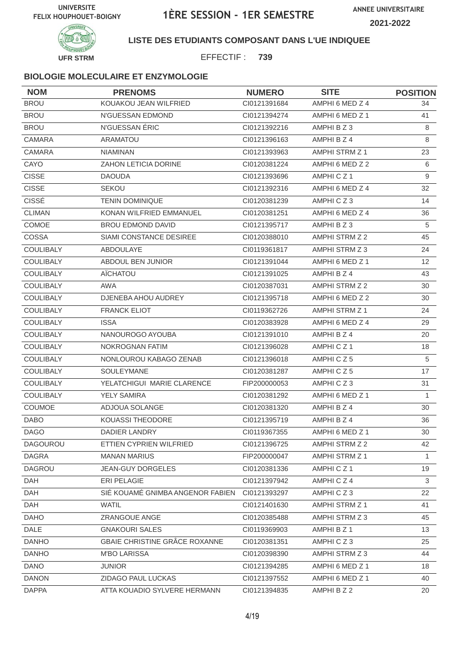



### **LISTE DES ETUDIANTS COMPOSANT DANS L'UE INDIQUEE**

EFFECTIF : **739**

| <b>NOM</b>       | <b>PRENOMS</b>                   | <b>NUMERO</b> | <b>SITE</b>          | <b>POSITION</b> |
|------------------|----------------------------------|---------------|----------------------|-----------------|
| <b>BROU</b>      | KOUAKOU JEAN WILFRIED            | CI0121391684  | AMPHI 6 MED Z 4      | 34              |
| <b>BROU</b>      | N'GUESSAN EDMOND                 | CI0121394274  | AMPHI 6 MED Z 1      | 41              |
| <b>BROU</b>      | N'GUESSAN ÉRIC                   | CI0121392216  | AMPHI B Z 3          | 8               |
| <b>CAMARA</b>    | <b>ARAMATOU</b>                  | CI0121396163  | AMPHI B Z 4          | 8               |
| <b>CAMARA</b>    | <b>NIAMINAN</b>                  | CI0121393963  | AMPHI STRM Z 1       | 23              |
| CAYO             | ZAHON LETICIA DORINE             | CI0120381224  | AMPHI 6 MED Z 2      | 6               |
| <b>CISSE</b>     | <b>DAOUDA</b>                    | CI0121393696  | AMPHICZ1             | 9               |
| <b>CISSE</b>     | <b>SEKOU</b>                     | CI0121392316  | AMPHI 6 MED Z 4      | 32              |
| <b>CISSÉ</b>     | <b>TENIN DOMINIQUE</b>           | CI0120381239  | AMPHICZ3             | 14              |
| <b>CLIMAN</b>    | KONAN WILFRIED EMMANUEL          | CI0120381251  | AMPHI 6 MED Z 4      | 36              |
| <b>COMOE</b>     | <b>BROU EDMOND DAVID</b>         | CI0121395717  | AMPHI B Z 3          | 5               |
| COSSA            | SIAMI CONSTANCE DESIREE          | CI0120388010  | AMPHI STRM Z 2       | 45              |
| <b>COULIBALY</b> | <b>ABDOULAYE</b>                 | CI0119361817  | AMPHI STRM Z 3       | 24              |
| <b>COULIBALY</b> | ABDOUL BEN JUNIOR                | Cl0121391044  | AMPHI 6 MED Z 1      | 12              |
| COULIBALY        | <b>AÏCHATOU</b>                  | CI0121391025  | AMPHI B Z 4          | 43              |
| <b>COULIBALY</b> | AWA                              | CI0120387031  | AMPHI STRM Z 2       | 30              |
| <b>COULIBALY</b> | DJENEBA AHOU AUDREY              | CI0121395718  | AMPHI 6 MED Z 2      | 30              |
| <b>COULIBALY</b> | <b>FRANCK ELIOT</b>              | CI0119362726  | AMPHI STRM Z 1       | 24              |
| <b>COULIBALY</b> | <b>ISSA</b>                      | CI0120383928  | AMPHI 6 MED Z 4      | 29              |
| <b>COULIBALY</b> | NANOUROGO AYOUBA                 | CI0121391010  | AMPHI B Z 4          | 20              |
| <b>COULIBALY</b> | NOKROGNAN FATIM                  | CI0121396028  | AMPHICZ <sub>1</sub> | 18              |
| <b>COULIBALY</b> | NONLOUROU KABAGO ZENAB           | CI0121396018  | AMPHICZ5             | 5               |
| <b>COULIBALY</b> | SOULEYMANE                       | CI0120381287  | AMPHICZ5             | 17              |
| <b>COULIBALY</b> | YELATCHIGUI MARIE CLARENCE       | FIP200000053  | AMPHICZ3             | 31              |
| <b>COULIBALY</b> | <b>YELY SAMIRA</b>               | CI0120381292  | AMPHI 6 MED Z 1      | $\mathbf{1}$    |
| COUMOE           | ADJOUA SOLANGE                   | CI0120381320  | AMPHI B Z 4          | 30              |
| <b>DABO</b>      | KOUASSI THEODORE                 | CI0121395719  | AMPHI B Z 4          | 36              |
| <b>DAGO</b>      | DADIER LANDRY                    | CI0119367355  | AMPHI 6 MED Z 1      | 30              |
| <b>DAGOUROU</b>  | ETTIEN CYPRIEN WILFRIED          | CI0121396725  | AMPHI STRM Z 2       | 42              |
| <b>DAGRA</b>     | <b>MANAN MARIUS</b>              | FIP200000047  | AMPHI STRM Z 1       | 1               |
| DAGROU           | <b>JEAN-GUY DORGELES</b>         | CI0120381336  | AMPHICZ1             | 19              |
| <b>DAH</b>       | ERI PELAGIE                      | CI0121397942  | AMPHICZ4             | 3               |
| DAH              | SIÉ KOUAMÉ GNIMBA ANGENOR FABIEN | CI0121393297  | AMPHICZ3             | 22              |
| DAH              | <b>WATIL</b>                     | Cl0121401630  | AMPHI STRM Z 1       | 41              |
| <b>DAHO</b>      | ZRANGOUE ANGE                    | CI0120385488  | AMPHI STRM Z 3       | 45              |
| DALE             | <b>GNAKOURI SALES</b>            | CI0119369903  | AMPHI B Z 1          | 13              |
| <b>DANHO</b>     | GBAIE CHRISTINE GRÂCE ROXANNE    | CI0120381351  | AMPHICZ3             | 25              |
| <b>DANHO</b>     | <b>M'BO LARISSA</b>              | CI0120398390  | AMPHI STRM Z 3       | 44              |
| <b>DANO</b>      | <b>JUNIOR</b>                    | CI0121394285  | AMPHI 6 MED Z 1      | 18              |
| <b>DANON</b>     | ZIDAGO PAUL LUCKAS               | Cl0121397552  | AMPHI 6 MED Z 1      | 40              |
| <b>DAPPA</b>     | ATTA KOUADIO SYLVERE HERMANN     | Cl0121394835  | AMPHI B Z 2          | 20              |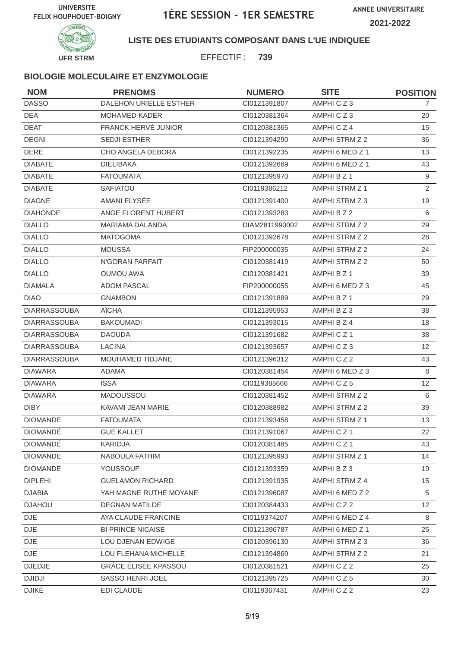

**LISTE DES ETUDIANTS COMPOSANT DANS L'UE INDIQUEE**

EFFECTIF : **739**

| <b>NOM</b>          | <b>PRENOMS</b>                | <b>NUMERO</b>  | <b>SITE</b>     | <b>POSITION</b> |
|---------------------|-------------------------------|----------------|-----------------|-----------------|
| <b>DASSO</b>        | <b>DALEHON URIELLE ESTHER</b> | CI0121391807   | AMPHICZ3        | 7               |
| <b>DEA</b>          | <b>MOHAMED KADER</b>          | CI0120381364   | AMPHICZ3        | 20              |
| <b>DEAT</b>         | FRANCK HERVÉ JUNIOR           | CI0120381365   | AMPHICZ4        | 15              |
| <b>DEGNI</b>        | <b>SEDJI ESTHER</b>           | CI0121394290   | AMPHI STRM Z 2  | 36              |
| <b>DERE</b>         | <b>CHO ANGELA DEBORA</b>      | CI0121392235   | AMPHI 6 MED Z 1 | 13              |
| <b>DIABATE</b>      | <b>DIELIBAKA</b>              | CI0121392669   | AMPHI 6 MED Z 1 | 43              |
| <b>DIABATE</b>      | <b>FATOUMATA</b>              | CI0121395970   | AMPHI B Z 1     | 9               |
| <b>DIABATE</b>      | <b>SAFIATOU</b>               | CI0119386212   | AMPHI STRM Z 1  | $\overline{2}$  |
| <b>DIAGNE</b>       | AMANI ELYSÉE                  | CI0121391400   | AMPHI STRM Z 3  | 19              |
| <b>DIAHONDE</b>     | ANGE FLORENT HUBERT           | CI0121393283   | AMPHI B Z 2     | 6               |
| <b>DIALLO</b>       | <b>MARIAMA DALANDA</b>        | DIAM2811990002 | AMPHI STRM Z 2  | 29              |
| <b>DIALLO</b>       | <b>MATOGOMA</b>               | CI0121392678   | AMPHI STRM Z 2  | 28              |
| <b>DIALLO</b>       | <b>MOUSSA</b>                 | FIP200000035   | AMPHI STRM Z 2  | 24              |
| <b>DIALLO</b>       | N'GORAN PARFAIT               | CI0120381419   | AMPHI STRM Z 2  | 50              |
| <b>DIALLO</b>       | <b>OUMOU AWA</b>              | CI0120381421   | AMPHI B Z 1     | 39              |
| <b>DIAMALA</b>      | <b>ADOM PASCAL</b>            | FIP200000055   | AMPHI 6 MED Z 3 | 45              |
| <b>DIAO</b>         | <b>GNAMBON</b>                | CI0121391889   | AMPHI B Z 1     | 29              |
| <b>DIARRASSOUBA</b> | <b>AÏCHA</b>                  | CI0121395953   | AMPHI B Z 3     | 38              |
| <b>DIARRASSOUBA</b> | <b>BAKOUMADI</b>              | CI0121393015   | AMPHI B Z 4     | 18              |
| <b>DIARRASSOUBA</b> | <b>DAOUDA</b>                 | CI0121391682   | AMPHICZ1        | 38              |
| <b>DIARRASSOUBA</b> | <b>LACINA</b>                 | CI0121393657   | AMPHICZ3        | 12              |
| <b>DIARRASSOUBA</b> | MOUHAMED TIDJANE              | CI0121396312   | AMPHICZ2        | 43              |
| <b>DIAWARA</b>      | ADAMA                         | CI0120381454   | AMPHI 6 MED Z 3 | 8               |
| <b>DIAWARA</b>      | <b>ISSA</b>                   | CI0119385666   | AMPHICZ5        | 12              |
| <b>DIAWARA</b>      | MADOUSSOU                     | CI0120381452   | AMPHI STRM Z 2  | 6               |
| <b>DIBY</b>         | KAVAMI JEAN MARIE             | CI0120388982   | AMPHI STRM Z 2  | 39              |
| <b>DIOMANDE</b>     | <b>FATOUMATA</b>              | CI0121393458   | AMPHI STRM Z 1  | 13              |
| DIOMANDÉ            | <b>GUE KALLET</b>             | CI0121391067   | AMPHICZ1        | 22              |
| <b>DIOMANDÉ</b>     | KARIDJA                       | CI0120381485   | AMPHICZ1        | 43              |
| <b>DIOMANDE</b>     | NABOULA FATHIM                | CI0121395993   | AMPHI STRM Z 1  | 14              |
| <b>DIOMANDE</b>     | YOUSSOUF                      | CI0121393359   | AMPHI B Z 3     | 19              |
| <b>DIPLEHI</b>      | <b>GUELAMON RICHARD</b>       | CI0121391935   | AMPHI STRM Z 4  | 15              |
| <b>DJABIA</b>       | YAH MAGNE RUTHE MOYANE        | Cl0121396087   | AMPHI 6 MED Z 2 | 5               |
| <b>DJAHOU</b>       | <b>DEGNAN MATILDE</b>         | CI0120384433   | AMPHICZ2        | 12              |
| <b>DJE</b>          | AYA CLAUDE FRANCINE           | CI0119374207   | AMPHI 6 MED Z 4 | 8               |
| DJE                 | <b>BI PRINCE NICAISE</b>      | Cl0121396787   | AMPHI 6 MED Z 1 | 25              |
| $\mathsf{DJE}$      | LOU DJENAN EDWIGE             | CI0120396130   | AMPHI STRM Z 3  | 36              |
| DJE                 | LOU FLEHANA MICHELLE          | CI0121394869   | AMPHI STRM Z 2  | 21              |
| <b>DJEDJE</b>       | GRÂCE ÉLISÉE KPASSOU          | CI0120381521   | AMPHICZ2        | 25              |
| <b>DJIDJI</b>       | SASSO HENRI JOEL              | Cl0121395725   | AMPHICZ5        | 30              |
| <b>DJIKÉ</b>        | <b>EDI CLAUDE</b>             | CI0119367431   | AMPHICZ2        | 23              |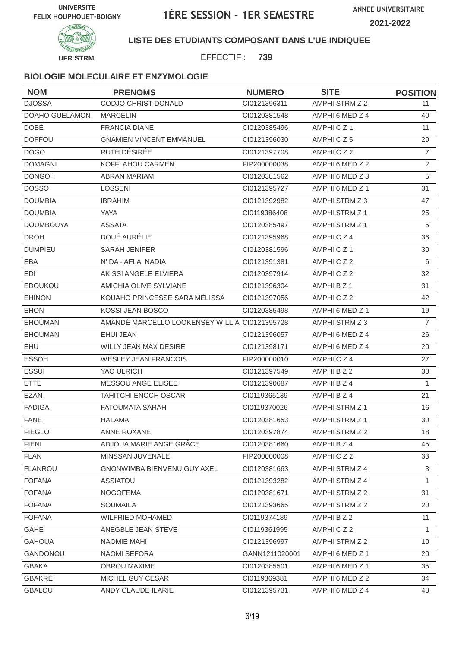



### **LISTE DES ETUDIANTS COMPOSANT DANS L'UE INDIQUEE**

EFFECTIF : **739**

| <b>NOM</b>       | <b>PRENOMS</b>                                | <b>NUMERO</b>  | <b>SITE</b>           | <b>POSITION</b> |
|------------------|-----------------------------------------------|----------------|-----------------------|-----------------|
| <b>DJOSSA</b>    | CODJO CHRIST DONALD                           | CI0121396311   | AMPHI STRM Z 2        | 11              |
| DOAHO GUELAMON   | <b>MARCELIN</b>                               | CI0120381548   | AMPHI 6 MED Z 4       | 40              |
| <b>DOBÉ</b>      | <b>FRANCIA DIANE</b>                          | CI0120385496   | AMPHICZ1              | 11              |
| <b>DOFFOU</b>    | <b>GNAMIEN VINCENT EMMANUEL</b>               | CI0121396030   | AMPHICZ5              | 29              |
| <b>DOGO</b>      | RUTH DÉSIRÉE                                  | CI0121397708   | AMPHICZ2              | $\overline{7}$  |
| <b>DOMAGNI</b>   | KOFFI AHOU CARMEN                             | FIP200000038   | AMPHI 6 MED Z 2       | 2               |
| <b>DONGOH</b>    | <b>ABRAN MARIAM</b>                           | CI0120381562   | AMPHI 6 MED Z 3       | 5               |
| <b>DOSSO</b>     | <b>LOSSENI</b>                                | CI0121395727   | AMPHI 6 MED Z 1       | 31              |
| <b>DOUMBIA</b>   | <b>IBRAHIM</b>                                | CI0121392982   | AMPHI STRM Z 3        | 47              |
| <b>DOUMBIA</b>   | YAYA                                          | CI0119386408   | AMPHI STRM Z 1        | 25              |
| <b>DOUMBOUYA</b> | <b>ASSATA</b>                                 | CI0120385497   | AMPHI STRM Z 1        | 5               |
| <b>DROH</b>      | DOUÉ AURÉLIE                                  | CI0121395968   | AMPHICZ4              | 36              |
| <b>DUMPIEU</b>   | <b>SARAH JENIFER</b>                          | CI0120381596   | AMPHICZ <sub>1</sub>  | 30              |
| EBA              | N' DA - AFLA NADIA                            | CI0121391381   | AMPHICZ2              | 6               |
| <b>EDI</b>       | AKISSI ANGELE ELVIERA                         | CI0120397914   | AMPHICZ2              | 32              |
| <b>EDOUKOU</b>   | AMICHIA OLIVE SYLVIANE                        | CI0121396304   | AMPHI B Z 1           | 31              |
| <b>EHINON</b>    | KOUAHO PRINCESSE SARA MÉLISSA                 | CI0121397056   | AMPHICZ2              | 42              |
| <b>EHON</b>      | KOSSI JEAN BOSCO                              | CI0120385498   | AMPHI 6 MED Z 1       | 19              |
| <b>EHOUMAN</b>   | AMANDÉ MARCELLO LOOKENSEY WILLIA CI0121395728 |                | AMPHI STRM Z 3        | $\overline{7}$  |
| <b>EHOUMAN</b>   | <b>EHUI JEAN</b>                              | CI0121396057   | AMPHI 6 MED Z 4       | 26              |
| EHU              | WILLY JEAN MAX DESIRE                         | CI0121398171   | AMPHI 6 MED Z 4       | 20              |
| <b>ESSOH</b>     | <b>WESLEY JEAN FRANCOIS</b>                   | FIP200000010   | AMPHICZ4              | 27              |
| <b>ESSUI</b>     | YAO ULRICH                                    | CI0121397549   | AMPHI B Z 2           | 30              |
| <b>ETTE</b>      | <b>MESSOU ANGE ELISEE</b>                     | Cl0121390687   | AMPHI B Z 4           | $\mathbf{1}$    |
| <b>EZAN</b>      | TAHITCHI ENOCH OSCAR                          | CI0119365139   | AMPHI B Z 4           | 21              |
| <b>FADIGA</b>    | <b>FATOUMATA SARAH</b>                        | CI0119370026   | AMPHI STRM Z 1        | 16              |
| <b>FANE</b>      | <b>HALAMA</b>                                 | CI0120381653   | <b>AMPHI STRM Z 1</b> | 30              |
| <b>FIEGLO</b>    | ANNE ROXANE                                   | Cl0120397874   | <b>AMPHI STRM Z 2</b> | 18              |
| FIENI            | ADJOUA MARIE ANGE GRÂCE                       | CI0120381660   | AMPHI B Z 4           | 45              |
| <b>FLAN</b>      | MINSSAN JUVENALE                              | FIP200000008   | AMPHICZ2              | 33              |
| <b>FLANROU</b>   | GNONWIMBA BIENVENU GUY AXEL                   | CI0120381663   | AMPHI STRM Z 4        | 3               |
| <b>FOFANA</b>    | ASSIATOU                                      | CI0121393282   | AMPHI STRM Z 4        | 1               |
| <b>FOFANA</b>    | <b>NOGOFEMA</b>                               | CI0120381671   | AMPHI STRM Z 2        | 31              |
| <b>FOFANA</b>    | <b>SOUMAILA</b>                               | CI0121393665   | AMPHI STRM Z 2        | 20              |
| <b>FOFANA</b>    | <b>WILFRIED MOHAMED</b>                       | CI0119374189   | AMPHI B Z 2           | 11              |
| GAHE             | ANEGBLE JEAN STEVE                            | CI0119361995   | AMPHICZ2              | $\mathbf{1}$    |
| <b>GAHOUA</b>    | NAOMIE MAHI                                   | CI0121396997   | AMPHI STRM Z 2        | 10              |
| GANDONOU         | NAOMI SEFORA                                  | GANN1211020001 | AMPHI 6 MED Z 1       | 20              |
| <b>GBAKA</b>     | OBROU MAXIME                                  | CI0120385501   | AMPHI 6 MED Z 1       | 35              |
| <b>GBAKRE</b>    | MICHEL GUY CESAR                              | CI0119369381   | AMPHI 6 MED Z 2       | 34              |
| <b>GBALOU</b>    | ANDY CLAUDE ILARIE                            | CI0121395731   | AMPHI 6 MED Z 4       | 48              |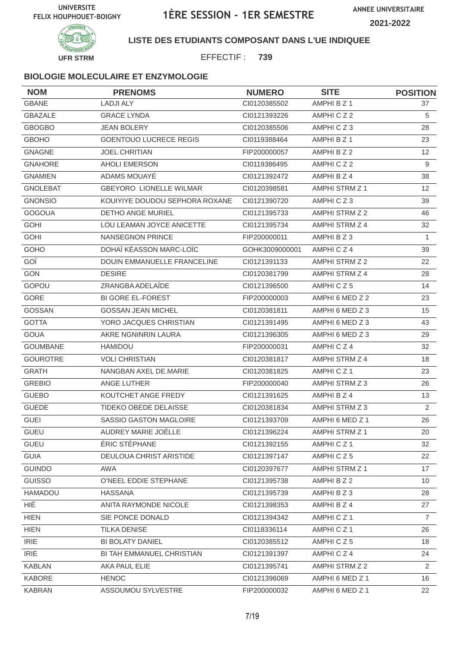

**LISTE DES ETUDIANTS COMPOSANT DANS L'UE INDIQUEE**

EFFECTIF : **739**

| <b>NOM</b>      | <b>PRENOMS</b>                     | <b>NUMERO</b>  | <b>SITE</b>           | <b>POSITION</b> |
|-----------------|------------------------------------|----------------|-----------------------|-----------------|
| <b>GBANE</b>    | <b>LADJI ALY</b>                   | CI0120385502   | AMPHI B Z 1           | 37              |
| <b>GBAZALE</b>  | <b>GRACE LYNDA</b>                 | CI0121393226   | AMPHICZ2              | 5               |
| <b>GBOGBO</b>   | <b>JEAN BOLERY</b>                 | CI0120385506   | AMPHICZ3              | 28              |
| <b>GBOHO</b>    | <b>GOENTOUO LUCRECE REGIS</b>      | CI0119388464   | AMPHI B Z 1           | 23              |
| <b>GNAGNE</b>   | <b>JOEL CHRITIAN</b>               | FIP200000057   | AMPHI B Z 2           | 12              |
| <b>GNAHORE</b>  | <b>AHOLI EMERSON</b>               | CI0119386495   | AMPHICZ2              | 9               |
| <b>GNAMIEN</b>  | ADAMS MOUAYÉ                       | CI0121392472   | AMPHI B Z 4           | 38              |
| <b>GNOLEBAT</b> | <b>GBEYORO LIONELLE WILMAR</b>     | Cl0120398581   | AMPHI STRM Z 1        | 12              |
| <b>GNONSIO</b>  | KOUIYIYE DOUDOU SEPHORA ROXANE     | CI0121390720   | AMPHICZ3              | 39              |
| <b>GOGOUA</b>   | <b>DETHO ANGE MURIEL</b>           | CI0121395733   | AMPHI STRM Z 2        | 46              |
| <b>GOHI</b>     | LOU LEAMAN JOYCE ANICETTE          | CI0121395734   | AMPHI STRM Z 4        | 32              |
| <b>GOHI</b>     | NANSEGNON PRINCE                   | FIP200000011   | AMPHI B Z 3           | $\mathbf{1}$    |
| GOHO            | DOHAÏ KÉASSON MARC-LOÏC            | GOHK3009000001 | AMPHICZ4              | 39              |
| GOÏ             | <b>DOUIN EMMANUELLE FRANCELINE</b> | CI0121391133   | AMPHI STRM Z 2        | 22              |
| <b>GON</b>      | <b>DESIRE</b>                      | CI0120381799   | AMPHI STRM Z 4        | 28              |
| GOPOU           | ZRANGBA ADELAÏDE                   | CI0121396500   | AMPHICZ5              | 14              |
| GORE            | <b>BI GORE EL-FOREST</b>           | FIP200000003   | AMPHI 6 MED Z 2       | 23              |
| <b>GOSSAN</b>   | <b>GOSSAN JEAN MICHEL</b>          | CI0120381811   | AMPHI 6 MED Z 3       | 15              |
| <b>GOTTA</b>    | YORO JACQUES CHRISTIAN             | CI0121391495   | AMPHI 6 MED Z 3       | 43              |
| <b>GOUA</b>     | AKRE NGNINRIN LAURA                | CI0121396305   | AMPHI 6 MED Z 3       | 29              |
| <b>GOUMBANE</b> | <b>HAMIDOU</b>                     | FIP200000031   | AMPHICZ4              | 32              |
| <b>GOUROTRE</b> | <b>VOLI CHRISTIAN</b>              | CI0120381817   | AMPHI STRM Z 4        | 18              |
| <b>GRATH</b>    | NANGBAN AXEL DE.MARIE              | CI0120381825   | AMPHICZ1              | 23              |
| <b>GREBIO</b>   | <b>ANGE LUTHER</b>                 | FIP200000040   | AMPHI STRM Z 3        | 26              |
| <b>GUEBO</b>    | KOUTCHET ANGE FREDY                | CI0121391625   | AMPHI B Z 4           | 13              |
| <b>GUEDE</b>    | TIDEKO OBEDE DELAISSE              | CI0120381834   | AMPHI STRM Z 3        | 2               |
| <b>GUEI</b>     | SASSIO GASTON MAGLOIRE             | CI0121393709   | AMPHI 6 MED Z 1       | 26              |
| GUEU            | AUDREY MARIE JOËLLE                | Cl0121396224   | AMPHI STRM Z 1        | 20              |
| <b>GUEU</b>     | ÉRIC STÉPHANE                      | CI0121392155   | AMPHICZ1              | 32              |
| <b>GUIA</b>     | DEULOUA CHRIST ARISTIDE            | CI0121397147   | AMPHICZ5              | 22              |
| <b>GUINDO</b>   | AWA                                | CI0120397677   | <b>AMPHI STRM Z 1</b> | 17              |
| <b>GUISSO</b>   | O'NEEL EDDIE STEPHANE              | CI0121395738   | AMPHI B Z 2           | 10              |
| HAMADOU         | <b>HASSANA</b>                     | Cl0121395739   | AMPHI B Z 3           | 28              |
| HIÉ             | ANITA RAYMONDE NICOLE              | CI0121398353   | AMPHI B Z 4           | 27              |
| <b>HIEN</b>     | SIE PONCE DONALD                   | Cl0121394342   | AMPHICZ1              | $\overline{7}$  |
| <b>HIEN</b>     | <b>TILKA DENISE</b>                | CI0118336114   | AMPHICZ1              | 26              |
| <b>IRIE</b>     | BI BOLATY DANIEL                   | CI0120385512   | AMPHICZ5              | 18              |
| <b>IRIE</b>     | BI TAH EMMANUEL CHRISTIAN          | CI0121391397   | AMPHICZ4              | 24              |
| <b>KABLAN</b>   | AKA PAUL ELIE                      | CI0121395741   | AMPHI STRM Z 2        | 2               |
| <b>KABORE</b>   | <b>HENOC</b>                       | CI0121396069   | AMPHI 6 MED Z 1       | 16              |
| <b>KABRAN</b>   | ASSOUMOU SYLVESTRE                 | FIP200000032   | AMPHI 6 MED Z 1       | 22              |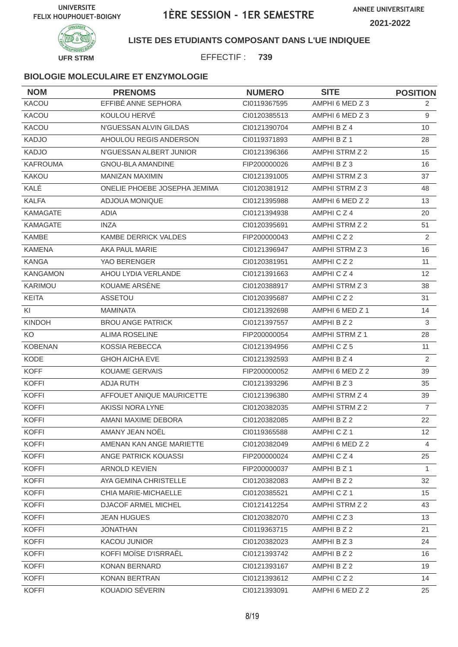

**LISTE DES ETUDIANTS COMPOSANT DANS L'UE INDIQUEE**

EFFECTIF : **739**

| <b>NOM</b>      | <b>PRENOMS</b>               | <b>NUMERO</b> | <b>SITE</b>     | <b>POSITION</b>   |
|-----------------|------------------------------|---------------|-----------------|-------------------|
| KACOU           | EFFIBÉ ANNE SEPHORA          | CI0119367595  | AMPHI 6 MED Z 3 | 2                 |
| <b>KACOU</b>    | KOULOU HERVÉ                 | CI0120385513  | AMPHI 6 MED Z 3 | 9                 |
| KACOU           | N'GUESSAN ALVIN GILDAS       | CI0121390704  | AMPHI B Z 4     | 10                |
| <b>KADJO</b>    | AHOULOU REGIS ANDERSON       | CI0119371893  | AMPHI B Z 1     | 28                |
| <b>KADJO</b>    | N'GUESSAN ALBERT JUNIOR      | CI0121396366  | AMPHI STRM Z 2  | 15                |
| <b>KAFROUMA</b> | GNOU-BLA AMANDINE            | FIP200000026  | AMPHI B Z 3     | 16                |
| <b>KAKOU</b>    | <b>MANIZAN MAXIMIN</b>       | CI0121391005  | AMPHI STRM Z 3  | 37                |
| KALÉ            | ONELIE PHOEBE JOSEPHA JEMIMA | CI0120381912  | AMPHI STRM Z 3  | 48                |
| <b>KALFA</b>    | ADJOUA MONIQUE               | CI0121395988  | AMPHI 6 MED Z 2 | 13                |
| KAMAGATE        | ADIA                         | CI0121394938  | AMPHICZ4        | 20                |
| <b>KAMAGATE</b> | <b>INZA</b>                  | CI0120395691  | AMPHI STRM Z 2  | 51                |
| <b>KAMBE</b>    | KAMBE DERRICK VALDES         | FIP200000043  | AMPHICZ2        | $\overline{2}$    |
| <b>KAMENA</b>   | AKA PAUL MARIE               | CI0121396947  | AMPHI STRM Z 3  | 16                |
| <b>KANGA</b>    | YAO BERENGER                 | CI0120381951  | AMPHICZ2        | 11                |
| <b>KANGAMON</b> | AHOU LYDIA VERLANDE          | CI0121391663  | AMPHICZ4        | $12 \overline{ }$ |
| KARIMOU         | KOUAME ARSÈNE                | CI0120388917  | AMPHI STRM Z 3  | 38                |
| <b>KEITA</b>    | ASSETOU                      | CI0120395687  | AMPHICZ2        | 31                |
| KI              | <b>MAMINATA</b>              | CI0121392698  | AMPHI 6 MED Z 1 | 14                |
| <b>KINDOH</b>   | <b>BROU ANGE PATRICK</b>     | CI0121397557  | AMPHI B Z 2     | 3                 |
| KO              | <b>ALIMA ROSELINE</b>        | FIP200000054  | AMPHI STRM Z 1  | 28                |
| <b>KOBENAN</b>  | <b>KOSSIA REBECCA</b>        | CI0121394956  | AMPHICZ5        | 11                |
| <b>KODE</b>     | <b>GHOH AICHA EVE</b>        | CI0121392593  | AMPHI B Z 4     | 2                 |
| <b>KOFF</b>     | <b>KOUAME GERVAIS</b>        | FIP200000052  | AMPHI 6 MED Z 2 | 39                |
| <b>KOFFI</b>    | <b>ADJA RUTH</b>             | CI0121393296  | AMPHI B Z 3     | 35                |
| <b>KOFFI</b>    | AFFOUET ANIQUE MAURICETTE    | CI0121396380  | AMPHI STRM Z 4  | 39                |
| <b>KOFFI</b>    | <b>AKISSI NORA LYNE</b>      | CI0120382035  | AMPHI STRM Z 2  | $\overline{7}$    |
| <b>KOFFI</b>    | AMANI MAXIME DEBORA          | CI0120382085  | AMPHI B Z 2     | 22                |
| <b>KOFFI</b>    | AMANY JEAN NOËL              | CI0119365588  | AMPHICZ1        | 12                |
| <b>KOFFI</b>    | AMENAN KAN ANGE MARIETTE     | CI0120382049  | AMPHI 6 MED Z 2 | 4                 |
| <b>KOFFI</b>    | ANGE PATRICK KOUASSI         | FIP200000024  | AMPHICZ4        | 25                |
| <b>KOFFI</b>    | ARNOLD KEVIEN                | FIP200000037  | AMPHI B Z 1     | 1                 |
| <b>KOFFI</b>    | AYA GEMINA CHRISTELLE        | CI0120382083  | AMPHI B Z 2     | 32                |
| <b>KOFFI</b>    | CHIA MARIE-MICHAELLE         | CI0120385521  | AMPHICZ1        | 15                |
| <b>KOFFI</b>    | DJACOF ARMEL MICHEL          | Cl0121412254  | AMPHI STRM Z 2  | 43                |
| <b>KOFFI</b>    | <b>JEAN HUGUES</b>           | CI0120382070  | AMPHICZ3        | 13                |
| <b>KOFFI</b>    | <b>JONATHAN</b>              | CI0119363715  | AMPHI B Z 2     | 21                |
| <b>KOFFI</b>    | <b>KACOU JUNIOR</b>          | CI0120382023  | AMPHI B Z 3     | 24                |
| <b>KOFFI</b>    | KOFFI MOÏSE D'ISRRAËL        | CI0121393742  | AMPHI B Z 2     | 16                |
| <b>KOFFI</b>    | <b>KONAN BERNARD</b>         | Cl0121393167  | AMPHI B Z 2     | 19                |
| <b>KOFFI</b>    | KONAN BERTRAN                | CI0121393612  | AMPHICZ2        | 14                |
| <b>KOFFI</b>    | KOUADIO SÉVERIN              | CI0121393091  | AMPHI 6 MED Z 2 | 25                |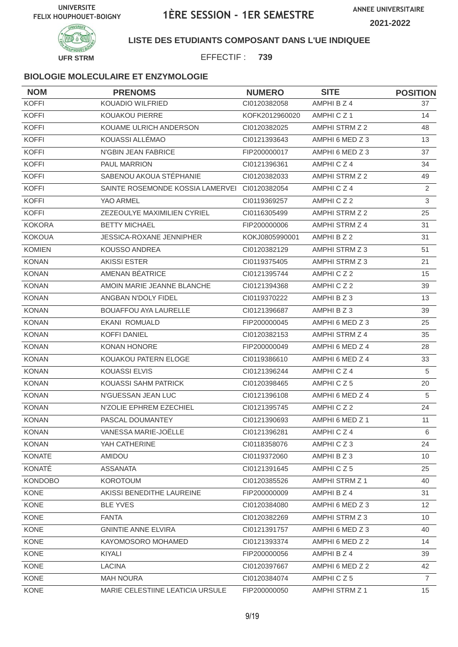

**LISTE DES ETUDIANTS COMPOSANT DANS L'UE INDIQUEE**

EFFECTIF : **739**

| <b>NOM</b>     | <b>PRENOMS</b>                   | <b>NUMERO</b>  | <b>SITE</b>     | <b>POSITION</b> |
|----------------|----------------------------------|----------------|-----------------|-----------------|
| <b>KOFFI</b>   | KOUADIO WILFRIED                 | CI0120382058   | AMPHI B Z 4     | 37              |
| <b>KOFFI</b>   | <b>KOUAKOU PIERRE</b>            | KOFK2012960020 | AMPHICZ1        | 14              |
| <b>KOFFI</b>   | KOUAME ULRICH ANDERSON           | CI0120382025   | AMPHI STRM Z 2  | 48              |
| <b>KOFFI</b>   | KOUASSI ALLÉMAO                  | CI0121393643   | AMPHI 6 MED Z 3 | 13              |
| <b>KOFFI</b>   | N'GBIN JEAN FABRICE              | FIP200000017   | AMPHI 6 MED Z 3 | 37              |
| <b>KOFFI</b>   | PAUL MARRION                     | CI0121396361   | AMPHICZ4        | 34              |
| <b>KOFFI</b>   | SABENOU AKOUA STÉPHANIE          | CI0120382033   | AMPHI STRM Z 2  | 49              |
| <b>KOFFI</b>   | SAINTE ROSEMONDE KOSSIA LAMERVEI | CI0120382054   | AMPHICZ4        | $\overline{2}$  |
| <b>KOFFI</b>   | YAO ARMEL                        | CI0119369257   | AMPHICZ2        | 3               |
| <b>KOFFI</b>   | ZEZEOULYE MAXIMILIEN CYRIEL      | CI0116305499   | AMPHI STRM Z 2  | 25              |
| <b>KOKORA</b>  | <b>BETTY MICHAEL</b>             | FIP200000006   | AMPHI STRM Z 4  | 31              |
| <b>KOKOUA</b>  | JESSICA-ROXANE JENNIPHER         | KOKJ0805990001 | AMPHI B Z 2     | 31              |
| <b>KOMIEN</b>  | <b>KOUSSO ANDREA</b>             | CI0120382129   | AMPHI STRM Z 3  | 51              |
| <b>KONAN</b>   | <b>AKISSI ESTER</b>              | CI0119375405   | AMPHI STRM Z 3  | 21              |
| <b>KONAN</b>   | AMENAN BÉATRICE                  | CI0121395744   | AMPHICZ2        | 15              |
| <b>KONAN</b>   | AMOIN MARIE JEANNE BLANCHE       | CI0121394368   | AMPHICZ2        | 39              |
| <b>KONAN</b>   | ANGBAN N'DOLY FIDEL              | CI0119370222   | AMPHI B Z 3     | 13              |
| <b>KONAN</b>   | <b>BOUAFFOU AYA LAURELLE</b>     | CI0121396687   | AMPHI B Z 3     | 39              |
| <b>KONAN</b>   | <b>EKANI ROMUALD</b>             | FIP200000045   | AMPHI 6 MED Z 3 | 25              |
| <b>KONAN</b>   | KOFFI DANIEL                     | CI0120382153   | AMPHI STRM Z 4  | 35              |
| <b>KONAN</b>   | KONAN HONORE                     | FIP200000049   | AMPHI 6 MED Z 4 | 28              |
| <b>KONAN</b>   | KOUAKOU PATERN ELOGE             | CI0119386610   | AMPHI 6 MED Z 4 | 33              |
| <b>KONAN</b>   | <b>KOUASSI ELVIS</b>             | CI0121396244   | AMPHICZ4        | 5               |
| <b>KONAN</b>   | KOUASSI SAHM PATRICK             | CI0120398465   | AMPHICZ5        | 20              |
| <b>KONAN</b>   | N'GUESSAN JEAN LUC               | CI0121396108   | AMPHI 6 MED Z 4 | 5               |
| <b>KONAN</b>   | N'ZOLIE EPHREM EZECHIEL          | CI0121395745   | AMPHICZ2        | 24              |
| <b>KONAN</b>   | PASCAL DOUMANTEY                 | CI0121390693   | AMPHI 6 MED Z 1 | 11              |
| <b>KONAN</b>   | VANESSA MARIE-JOËLLE             | CI0121396281   | AMPHICZ4        | 6               |
| <b>KONAN</b>   | YAH CATHERINE                    | CI0118358076   | AMPHICZ3        | 24              |
| <b>KONATE</b>  | AMIDOU                           | CI0119372060   | AMPHI B Z 3     | 10              |
| KONATÉ         | <b>ASSANATA</b>                  | Cl0121391645   | AMPHICZ5        | 25              |
| <b>KONDOBO</b> | <b>KOROTOUM</b>                  | CI0120385526   | AMPHI STRM Z 1  | 40              |
| <b>KONE</b>    | AKISSI BENEDITHE LAUREINE        | FIP200000009   | AMPHI B Z 4     | 31              |
| KONE           | <b>BLE YVES</b>                  | CI0120384080   | AMPHI 6 MED Z 3 | 12              |
| KONE           | <b>FANTA</b>                     | CI0120382269   | AMPHI STRM Z 3  | 10              |
| KONE           | <b>GNINTIE ANNE ELVIRA</b>       | Cl0121391757   | AMPHI 6 MED Z 3 | 40              |
| KONE           | KAYOMOSORO MOHAMED               | CI0121393374   | AMPHI 6 MED Z 2 | 14              |
| KONE           | KIYALI                           | FIP200000056   | AMPHI B Z 4     | 39              |
| KONE           | <b>LACINA</b>                    | CI0120397667   | AMPHI 6 MED Z 2 | 42              |
| KONE           | <b>MAH NOURA</b>                 | Cl0120384074   | AMPHICZ5        | $\overline{7}$  |
| KONE           | MARIE CELESTIINE LEATICIA URSULE | FIP200000050   | AMPHI STRM Z 1  | 15              |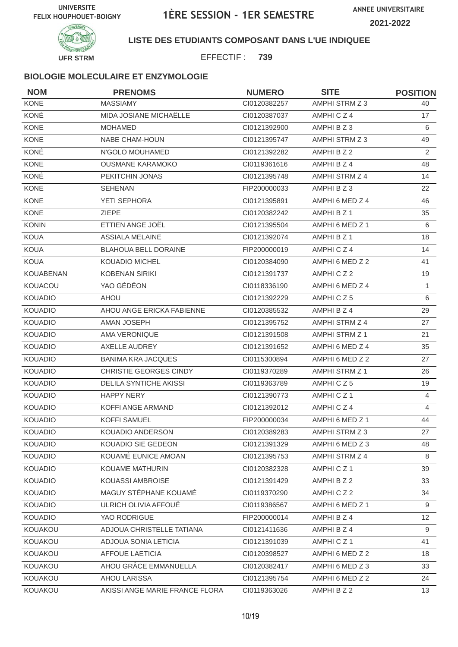



### **LISTE DES ETUDIANTS COMPOSANT DANS L'UE INDIQUEE**

EFFECTIF : **739**

| <b>NOM</b>       | <b>PRENOMS</b>                 | <b>NUMERO</b> | <b>SITE</b>           | <b>POSITION</b> |
|------------------|--------------------------------|---------------|-----------------------|-----------------|
| <b>KONE</b>      | <b>MASSIAMY</b>                | CI0120382257  | AMPHI STRM Z 3        | 40              |
| KONÉ             | MIDA JOSIANE MICHAËLLE         | CI0120387037  | AMPHICZ4              | 17              |
| <b>KONE</b>      | <b>MOHAMED</b>                 | CI0121392900  | AMPHI B Z 3           | 6               |
| <b>KONE</b>      | <b>NABE CHAM-HOUN</b>          | CI0121395747  | AMPHI STRM Z 3        | 49              |
| KONÉ             | N'GOLO MOUHAMED                | CI0121392282  | AMPHI B Z 2           | $\overline{2}$  |
| <b>KONE</b>      | <b>OUSMANE KARAMOKO</b>        | CI0119361616  | AMPHI B Z 4           | 48              |
| KONÉ             | PEKITCHIN JONAS                | CI0121395748  | AMPHI STRM Z 4        | 14              |
| KONE             | <b>SEHENAN</b>                 | FIP200000033  | AMPHI B Z 3           | 22              |
| <b>KONE</b>      | YETI SEPHORA                   | CI0121395891  | AMPHI 6 MED Z 4       | 46              |
| <b>KONE</b>      | <b>ZIEPE</b>                   | CI0120382242  | AMPHI B Z 1           | 35              |
| <b>KONIN</b>     | ETTIEN ANGE JOËL               | CI0121395504  | AMPHI 6 MED Z 1       | 6               |
| <b>KOUA</b>      | <b>ASSIALA MELAINE</b>         | CI0121392074  | AMPHI B Z 1           | 18              |
| <b>KOUA</b>      | <b>BLAHOUA BELL DORAINE</b>    | FIP200000019  | AMPHICZ4              | 14              |
| <b>KOUA</b>      | <b>KOUADIO MICHEL</b>          | CI0120384090  | AMPHI 6 MED Z 2       | 41              |
| <b>KOUABENAN</b> | <b>KOBENAN SIRIKI</b>          | CI0121391737  | AMPHICZ2              | 19              |
| KOUACOU          | YAO GÉDÉON                     | CI0118336190  | AMPHI 6 MED Z 4       | 1               |
| <b>KOUADIO</b>   | <b>AHOU</b>                    | CI0121392229  | AMPHICZ5              | 6               |
| <b>KOUADIO</b>   | AHOU ANGE ERICKA FABIENNE      | CI0120385532  | AMPHI B Z 4           | 29              |
| <b>KOUADIO</b>   | <b>AMAN JOSEPH</b>             | CI0121395752  | AMPHI STRM Z 4        | 27              |
| <b>KOUADIO</b>   | AMA VERONIQUE                  | CI0121391508  | AMPHI STRM Z 1        | 21              |
| <b>KOUADIO</b>   | <b>AXELLE AUDREY</b>           | CI0121391652  | AMPHI 6 MED Z 4       | 35              |
| <b>KOUADIO</b>   | <b>BANIMA KRA JACQUES</b>      | CI0115300894  | AMPHI 6 MED Z 2       | 27              |
| <b>KOUADIO</b>   | CHRISTIE GEORGES CINDY         | CI0119370289  | <b>AMPHI STRM Z 1</b> | 26              |
| <b>KOUADIO</b>   | <b>DELILA SYNTICHE AKISSI</b>  | CI0119363789  | AMPHICZ5              | 19              |
| <b>KOUADIO</b>   | <b>HAPPY NERY</b>              | CI0121390773  | AMPHICZ <sub>1</sub>  | 4               |
| <b>KOUADIO</b>   | KOFFI ANGE ARMAND              | CI0121392012  | AMPHICZ4              | 4               |
| <b>KOUADIO</b>   | <b>KOFFI SAMUEL</b>            | FIP200000034  | AMPHI 6 MED Z 1       | 44              |
| KOUADIO          | KOUADIO ANDERSON               | CI0120389283  | AMPHI STRM Z 3        | 27              |
| <b>KOUADIO</b>   | KOUADIO SIE GEDEON             | Cl0121391329  | AMPHI 6 MED Z 3       | 48              |
| <b>KOUADIO</b>   | KOUAMÉ EUNICE AMOAN            | CI0121395753  | AMPHI STRM Z 4        | 8               |
| <b>KOUADIO</b>   | KOUAME MATHURIN                | CI0120382328  | AMPHICZ1              | 39              |
| <b>KOUADIO</b>   | KOUASSI AMBROISE               | CI0121391429  | AMPHI B Z 2           | 33              |
| <b>KOUADIO</b>   | MAGUY STÉPHANE KOUAMÉ          | CI0119370290  | AMPHICZ2              | 34              |
| <b>KOUADIO</b>   | ULRICH OLIVIA AFFOUÉ           | CI0119386567  | AMPHI 6 MED Z 1       | 9               |
| <b>KOUADIO</b>   | YAO RODRIGUE                   | FIP200000014  | AMPHI B Z 4           | 12              |
| KOUAKOU          | ADJOUA CHRISTELLE TATIANA      | Cl0121411636  | AMPHI B Z 4           | 9               |
| KOUAKOU          | ADJOUA SONIA LETICIA           | Cl0121391039  | AMPHICZ1              | 41              |
| KOUAKOU          | <b>AFFOUE LAETICIA</b>         | CI0120398527  | AMPHI 6 MED Z 2       | 18              |
| KOUAKOU          | AHOU GRÂCE EMMANUELLA          | CI0120382417  | AMPHI 6 MED Z 3       | 33              |
| KOUAKOU          | AHOU LARISSA                   | Cl0121395754  | AMPHI 6 MED Z 2       | 24              |
| KOUAKOU          | AKISSI ANGE MARIE FRANCE FLORA | CI0119363026  | AMPHI B Z 2           | 13              |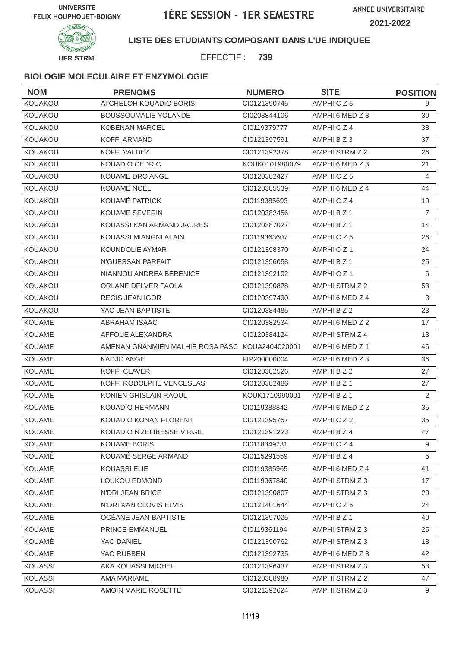

**LISTE DES ETUDIANTS COMPOSANT DANS L'UE INDIQUEE**

EFFECTIF : **739**

| <b>NOM</b>     | <b>PRENOMS</b>                                  | <b>NUMERO</b>  | <b>SITE</b>          | <b>POSITION</b> |
|----------------|-------------------------------------------------|----------------|----------------------|-----------------|
| KOUAKOU        | ATCHELOH KOUADIO BORIS                          | CI0121390745   | AMPHICZ5             | 9               |
| KOUAKOU        | <b>BOUSSOUMALIE YOLANDE</b>                     | CI0203844106   | AMPHI 6 MED Z 3      | 30              |
| KOUAKOU        | <b>KOBENAN MARCEL</b>                           | CI0119379777   | AMPHICZ4             | 38              |
| KOUAKOU        | <b>KOFFI ARMAND</b>                             | CI0121397591   | AMPHI B Z 3          | 37              |
| KOUAKOU        | KOFFI VALDEZ                                    | Cl0121392378   | AMPHI STRM Z 2       | 26              |
| KOUAKOU        | KOUADIO CEDRIC                                  | KOUK0101980079 | AMPHI 6 MED Z 3      | 21              |
| <b>KOUAKOU</b> | KOUAME DRO ANGE                                 | CI0120382427   | AMPHICZ5             | 4               |
| KOUAKOU        | KOUAMÉ NOËL                                     | CI0120385539   | AMPHI 6 MED Z 4      | 44              |
| KOUAKOU        | KOUAMÉ PATRICK                                  | CI0119385693   | AMPHICZ4             | 10              |
| KOUAKOU        | <b>KOUAME SEVERIN</b>                           | CI0120382456   | AMPHI B Z 1          | $\overline{7}$  |
| <b>KOUAKOU</b> | KOUASSI KAN ARMAND JAURES                       | CI0120387027   | AMPHI B Z 1          | 14              |
| KOUAKOU        | KOUASSI MIANGNI ALAIN                           | CI0119363607   | AMPHICZ5             | 26              |
| <b>KOUAKOU</b> | KOUNDOLIE AYMAR                                 | CI0121398370   | AMPHICZ <sub>1</sub> | 24              |
| <b>KOUAKOU</b> | N'GUESSAN PARFAIT                               | CI0121396058   | AMPHI B Z 1          | 25              |
| KOUAKOU        | NIANNOU ANDREA BERENICE                         | CI0121392102   | AMPHICZ <sub>1</sub> | 6               |
| <b>KOUAKOU</b> | ORLANE DELVER PAOLA                             | CI0121390828   | AMPHI STRM Z 2       | 53              |
| KOUAKOU        | <b>REGIS JEAN IGOR</b>                          | CI0120397490   | AMPHI 6 MED Z 4      | 3               |
| KOUAKOU        | YAO JEAN-BAPTISTE                               | CI0120384485   | AMPHI B Z 2          | 23              |
| <b>KOUAME</b>  | <b>ABRAHAM ISAAC</b>                            | CI0120382534   | AMPHI 6 MED Z 2      | 17              |
| <b>KOUAME</b>  | AFFOUE ALEXANDRA                                | Cl0120384124   | AMPHI STRM Z 4       | 13              |
| <b>KOUAME</b>  | AMENAN GNANMIEN MALHIE ROSA PASC KOUA2404020001 |                | AMPHI 6 MED Z 1      | 46              |
| <b>KOUAME</b>  | KADJO ANGE                                      | FIP200000004   | AMPHI 6 MED Z 3      | 36              |
| KOUAME         | <b>KOFFI CLAVER</b>                             | CI0120382526   | AMPHI B Z 2          | 27              |
| <b>KOUAME</b>  | KOFFI RODOLPHE VENCESLAS                        | CI0120382486   | AMPHI B Z 1          | 27              |
| <b>KOUAME</b>  | KONIEN GHISLAIN RAOUL                           | KOUK1710990001 | AMPHI B Z 1          | 2               |
| <b>KOUAME</b>  | <b>KOUADIO HERMANN</b>                          | CI0119388842   | AMPHI 6 MED Z 2      | 35              |
| <b>KOUAME</b>  | KOUADIO KONAN FLORENT                           | CI0121395757   | AMPHICZ2             | 35              |
| KOUAME         | KOUADIO N'ZELIBESSE VIRGIL                      | Cl0121391223   | AMPHI B Z 4          | 47              |
| <b>KOUAME</b>  | <b>KOUAME BORIS</b>                             | CI0118349231   | AMPHICZ4             | 9               |
| KOUAMÉ         | KOUAME SERGE ARMAND                             | CI0115291559   | AMPHI B Z 4          | 5               |
| <b>KOUAME</b>  | KOUASSI ELIE                                    | CI0119385965   | AMPHI 6 MED Z 4      | 41              |
| <b>KOUAME</b>  | LOUKOU EDMOND                                   | CI0119367840   | AMPHI STRM Z 3       | 17              |
| <b>KOUAME</b>  | N'DRI JEAN BRICE                                | CI0121390807   | AMPHI STRM Z 3       | 20              |
| <b>KOUAME</b>  | N'DRI KAN CLOVIS ELVIS                          | CI0121401644   | AMPHICZ5             | 24              |
| <b>KOUAME</b>  | OCÉANE JEAN-BAPTISTE                            | CI0121397025   | AMPHI B Z 1          | 40              |
| <b>KOUAME</b>  | PRINCE EMMANUEL                                 | CI0119361194   | AMPHI STRM Z 3       | 25              |
| KOUAMÉ         | YAO DANIEL                                      | CI0121390762   | AMPHI STRM Z 3       | 18              |
| <b>KOUAME</b>  | YAO RUBBEN                                      | CI0121392735   | AMPHI 6 MED Z 3      | 42              |
| <b>KOUASSI</b> | AKA KOUASSI MICHEL                              | CI0121396437   | AMPHI STRM Z 3       | 53              |
| KOUASSI        | AMA MARIAME                                     | CI0120388980   | AMPHI STRM Z 2       | 47              |
| <b>KOUASSI</b> | AMOIN MARIE ROSETTE                             | CI0121392624   | AMPHI STRM Z 3       | 9               |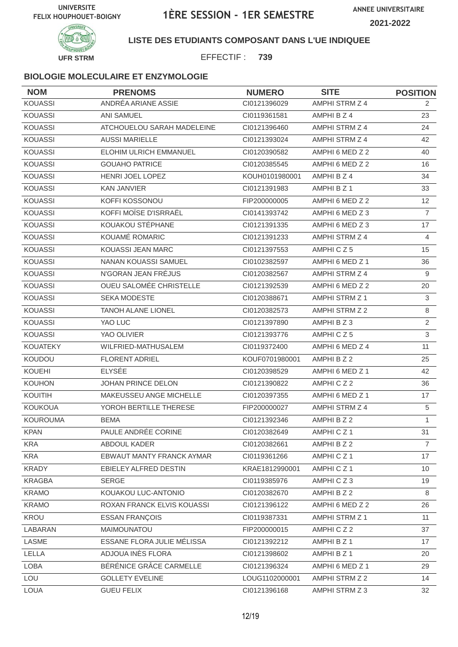

**LISTE DES ETUDIANTS COMPOSANT DANS L'UE INDIQUEE**

EFFECTIF : **739**

| <b>NOM</b>      | <b>PRENOMS</b>                 | <b>NUMERO</b>  | <b>SITE</b>     | <b>POSITION</b> |
|-----------------|--------------------------------|----------------|-----------------|-----------------|
| <b>KOUASSI</b>  | ANDRÉA ARIANE ASSIE            | CI0121396029   | AMPHI STRM Z 4  | $\overline{2}$  |
| <b>KOUASSI</b>  | <b>ANI SAMUEL</b>              | CI0119361581   | AMPHI B Z 4     | 23              |
| <b>KOUASSI</b>  | ATCHOUELOU SARAH MADELEINE     | CI0121396460   | AMPHI STRM Z 4  | 24              |
| <b>KOUASSI</b>  | <b>AUSSI MARIELLE</b>          | CI0121393024   | AMPHI STRM Z 4  | 42              |
| <b>KOUASSI</b>  | ELOHIM ULRICH EMMANUEL         | CI0120390582   | AMPHI 6 MED Z 2 | 40              |
| <b>KOUASSI</b>  | <b>GOUAHO PATRICE</b>          | CI0120385545   | AMPHI 6 MED Z 2 | 16              |
| <b>KOUASSI</b>  | HENRI JOEL LOPEZ               | KOUH0101980001 | AMPHI B Z 4     | 34              |
| <b>KOUASSI</b>  | <b>KAN JANVIER</b>             | CI0121391983   | AMPHI B Z 1     | 33              |
| <b>KOUASSI</b>  | KOFFI KOSSONOU                 | FIP200000005   | AMPHI 6 MED Z 2 | 12              |
| <b>KOUASSI</b>  | KOFFI MOÏSE D'ISRRAËL          | CI0141393742   | AMPHI 6 MED Z 3 | $\overline{7}$  |
| <b>KOUASSI</b>  | KOUAKOU STÉPHANE               | CI0121391335   | AMPHI 6 MED Z 3 | 17              |
| <b>KOUASSI</b>  | KOUAMÉ ROMARIC                 | CI0121391233   | AMPHI STRM Z 4  | 4               |
| <b>KOUASSI</b>  | <b>KOUASSI JEAN MARC</b>       | CI0121397553   | AMPHICZ5        | 15              |
| <b>KOUASSI</b>  | NANAN KOUASSI SAMUEL           | CI0102382597   | AMPHI 6 MED Z 1 | 36              |
| <b>KOUASSI</b>  | N'GORAN JEAN FRÉJUS            | CI0120382567   | AMPHI STRM Z 4  | 9               |
| <b>KOUASSI</b>  | <b>OUEU SALOMÉE CHRISTELLE</b> | CI0121392539   | AMPHI 6 MED Z 2 | 20              |
| <b>KOUASSI</b>  | SEKA MODESTE                   | CI0120388671   | AMPHI STRM Z 1  | $\mathbf{3}$    |
| <b>KOUASSI</b>  | <b>TANOH ALANE LIONEL</b>      | CI0120382573   | AMPHI STRM Z 2  | 8               |
| <b>KOUASSI</b>  | YAO LUC                        | Cl0121397890   | AMPHI B Z 3     | $\overline{2}$  |
| <b>KOUASSI</b>  | YAO OLIVIER                    | CI0121393776   | AMPHICZ5        | 3               |
| <b>KOUATEKY</b> | WILFRIED-MATHUSALEM            | CI0119372400   | AMPHI 6 MED Z 4 | 11              |
| KOUDOU          | <b>FLORENT ADRIEL</b>          | KOUF0701980001 | AMPHI B Z 2     | 25              |
| <b>KOUEHI</b>   | <b>ELYSÉE</b>                  | CI0120398529   | AMPHI 6 MED Z 1 | 42              |
| <b>KOUHON</b>   | <b>JOHAN PRINCE DELON</b>      | CI0121390822   | AMPHICZ2        | 36              |
| KOUITIH         | MAKEUSSEU ANGE MICHELLE        | CI0120397355   | AMPHI 6 MED Z 1 | 17              |
| <b>KOUKOUA</b>  | YOROH BERTILLE THERESE         | FIP200000027   | AMPHI STRM Z 4  | 5               |
| <b>KOUROUMA</b> | <b>BEMA</b>                    | CI0121392346   | AMPHI B Z 2     | 1               |
| <b>KPAN</b>     | PAULE ANDRÉE CORINE            | CI0120382649   | AMPHICZ1        | 31              |
| KRA             | ABDOUL KADER                   | CI0120382661   | AMPHI B Z 2     | $\overline{7}$  |
| <b>KRA</b>      | EBWAUT MANTY FRANCK AYMAR      | CI0119361266   | AMPHICZ1        | 17              |
| <b>KRADY</b>    | EBIELEY ALFRED DESTIN          | KRAE1812990001 | AMPHICZ1        | 10              |
| <b>KRAGBA</b>   | SERGE                          | CI0119385976   | AMPHICZ3        | 19              |
| <b>KRAMO</b>    | KOUAKOU LUC-ANTONIO            | Cl0120382670   | AMPHI B Z 2     | 8               |
| <b>KRAMO</b>    | ROXAN FRANCK ELVIS KOUASSI     | Cl0121396122   | AMPHI 6 MED Z 2 | 26              |
| KROU            | <b>ESSAN FRANÇOIS</b>          | CI0119387331   | AMPHI STRM Z 1  | 11              |
| LABARAN         | MAIMOUNATOU                    | FIP200000015   | AMPHICZ2        | 37              |
| LASME           | ESSANE FLORA JULIE MÉLISSA     | Cl0121392212   | AMPHI B Z 1     | 17              |
| LELLA           | ADJOUA INÈS FLORA              | CI0121398602   | AMPHI B Z 1     | 20              |
| <b>LOBA</b>     | BÉRÉNICE GRÂCE CARMELLE        | Cl0121396324   | AMPHI 6 MED Z 1 | 29              |
| LOU             | <b>GOLLETY EVELINE</b>         | LOUG1102000001 | AMPHI STRM Z 2  | 14              |
| <b>LOUA</b>     | <b>GUEU FELIX</b>              | Cl0121396168   | AMPHI STRM Z 3  | 32              |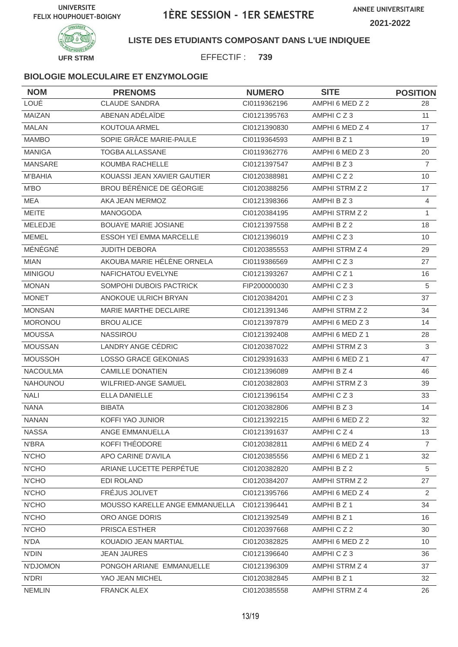

**LISTE DES ETUDIANTS COMPOSANT DANS L'UE INDIQUEE**

EFFECTIF : **739**

| <b>NOM</b>      | <b>PRENOMS</b>                 | <b>NUMERO</b> | <b>SITE</b>          | <b>POSITION</b> |
|-----------------|--------------------------------|---------------|----------------------|-----------------|
| LOUÉ            | <b>CLAUDE SANDRA</b>           | CI0119362196  | AMPHI 6 MED Z 2      | 28              |
| <b>MAIZAN</b>   | ABENAN ADÉLAÏDE                | CI0121395763  | AMPHICZ3             | 11              |
| <b>MALAN</b>    | KOUTOUA ARMEL                  | CI0121390830  | AMPHI 6 MED Z 4      | 17              |
| <b>MAMBO</b>    | SOPIE GRÂCE MARIE-PAULE        | CI0119364593  | AMPHI B Z 1          | 19              |
| <b>MANIGA</b>   | <b>TOGBA ALLASSANE</b>         | CI0119362776  | AMPHI 6 MED Z 3      | 20              |
| <b>MANSARE</b>  | KOUMBA RACHELLE                | CI0121397547  | AMPHI B Z 3          | $\overline{7}$  |
| <b>M'BAHIA</b>  | KOUASSI JEAN XAVIER GAUTIER    | CI0120388981  | AMPHICZ2             | 10              |
| M'BO            | BROU BÉRÉNICE DE GÉORGIE       | CI0120388256  | AMPHI STRM Z 2       | 17              |
| <b>MEA</b>      | AKA JEAN MERMOZ                | CI0121398366  | AMPHI B Z 3          | 4               |
| <b>MEITE</b>    | <b>MANOGODA</b>                | CI0120384195  | AMPHI STRM Z 2       | 1               |
| MELEDJE         | <b>BOUAYE MARIE JOSIANE</b>    | CI0121397558  | AMPHI B Z 2          | 18              |
| <b>MEMEL</b>    | ESSOH YEÏ EMMA MARCELLE        | CI0121396019  | AMPHICZ3             | 10              |
| MÉNÉGNÉ         | <b>JUDITH DEBORA</b>           | CI0120385553  | AMPHI STRM Z 4       | 29              |
| <b>MIAN</b>     | AKOUBA MARIE HÉLÈNE ORNELA     | CI0119386569  | AMPHICZ3             | 27              |
| <b>MINIGOU</b>  | <b>NAFICHATOU EVELYNE</b>      | CI0121393267  | AMPHICZ <sub>1</sub> | 16              |
| <b>MONAN</b>    | SOMPOHI DUBOIS PACTRICK        | FIP200000030  | AMPHICZ3             | 5               |
| <b>MONET</b>    | ANOKOUE ULRICH BRYAN           | CI0120384201  | AMPHICZ3             | 37              |
| <b>MONSAN</b>   | MARIE MARTHE DECLAIRE          | CI0121391346  | AMPHI STRM Z 2       | 34              |
| <b>MORONOU</b>  | <b>BROU ALICE</b>              | CI0121397879  | AMPHI 6 MED Z 3      | 14              |
| <b>MOUSSA</b>   | <b>NASSIROU</b>                | CI0121392408  | AMPHI 6 MED Z 1      | 28              |
| <b>MOUSSAN</b>  | LANDRY ANGE CÉDRIC             | CI0120387022  | AMPHI STRM Z 3       | 3               |
| <b>MOUSSOH</b>  | <b>LOSSO GRACE GEKONIAS</b>    | CI0129391633  | AMPHI 6 MED Z 1      | 47              |
| <b>NACOULMA</b> | <b>CAMILLE DONATIEN</b>        | CI0121396089  | AMPHI B Z 4          | 46              |
| <b>NAHOUNOU</b> | WILFRIED-ANGE SAMUEL           | CI0120382803  | AMPHI STRM Z 3       | 39              |
| <b>NALI</b>     | <b>ELLA DANIELLE</b>           | Cl0121396154  | AMPHICZ3             | 33              |
| <b>NANA</b>     | <b>BIBATA</b>                  | CI0120382806  | AMPHIBZ3             | 14              |
| <b>NANAN</b>    | KOFFI YAO JUNIOR               | CI0121392215  | AMPHI 6 MED Z 2      | 32              |
| <b>NASSA</b>    | ANGE EMMANUELLA                | Cl0121391637  | AMPHICZ4             | 13              |
| N'BRA           | KOFFI THÉODORE                 | CI0120382811  | AMPHI 6 MED Z 4      | $\overline{7}$  |
| <b>N'CHO</b>    | APO CARINE D'AVILA             | CI0120385556  | AMPHI 6 MED Z 1      | 32              |
| N'CHO           | ARIANE LUCETTE PERPÉTUE        | CI0120382820  | AMPHI B Z 2          | 5               |
| N'CHO           | EDI ROLAND                     | CI0120384207  | AMPHI STRM Z 2       | 27              |
| N'CHO           | FRÉJUS JOLIVET                 | CI0121395766  | AMPHI 6 MED Z 4      | 2               |
| N'CHO           | MOUSSO KARELLE ANGE EMMANUELLA | Cl0121396441  | AMPHI B Z 1          | 34              |
| N'CHO           | ORO ANGE DORIS                 | CI0121392549  | AMPHI B Z 1          | 16              |
| <b>N'CHO</b>    | PRISCA ESTHER                  | CI0120397668  | AMPHICZ2             | 30              |
| N'DA            | KOUADIO JEAN MARTIAL           | CI0120382825  | AMPHI 6 MED Z 2      | 10              |
| <b>N'DIN</b>    | <b>JEAN JAURES</b>             | CI0121396640  | AMPHICZ3             | 36              |
| N'DJOMON        | PONGOH ARIANE EMMANUELLE       | CI0121396309  | AMPHI STRM Z 4       | 37              |
| N'DRI           | YAO JEAN MICHEL                | CI0120382845  | AMPHI B Z 1          | 32              |
| <b>NEMLIN</b>   | <b>FRANCK ALEX</b>             | CI0120385558  | AMPHI STRM Z 4       | 26              |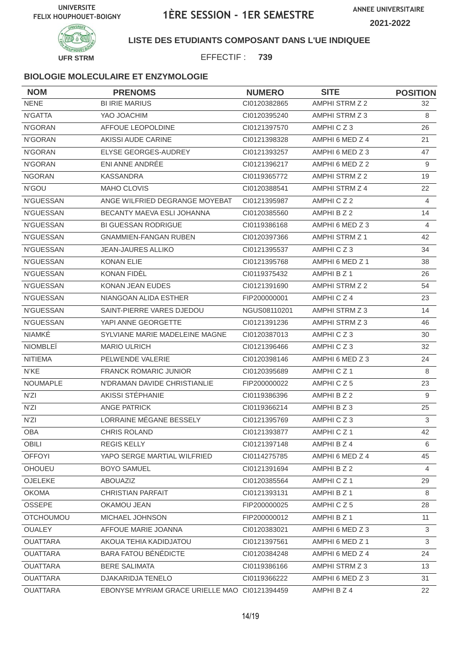

**LISTE DES ETUDIANTS COMPOSANT DANS L'UE INDIQUEE**

EFFECTIF : **739**

| <b>NOM</b>       | <b>PRENOMS</b>                                | <b>NUMERO</b> | <b>SITE</b>          | <b>POSITION</b> |
|------------------|-----------------------------------------------|---------------|----------------------|-----------------|
| <b>NENE</b>      | <b>BI IRIE MARIUS</b>                         | CI0120382865  | AMPHI STRM Z 2       | 32              |
| N'GATTA          | YAO JOACHIM                                   | CI0120395240  | AMPHI STRM Z 3       | 8               |
| N'GORAN          | AFFOUE LEOPOLDINE                             | CI0121397570  | AMPHICZ3             | 26              |
| N'GORAN          | AKISSI AUDE CARINE                            | CI0121398328  | AMPHI 6 MED Z 4      | 21              |
| N'GORAN          | ELYSE GEORGES-AUDREY                          | CI0121393257  | AMPHI 6 MED Z 3      | 47              |
| N'GORAN          | ENI ANNE ANDRÉE                               | CI0121396217  | AMPHI 6 MED Z 2      | 9               |
| <b>NGORAN</b>    | <b>KASSANDRA</b>                              | CI0119365772  | AMPHI STRM Z 2       | 19              |
| N'GOU            | MAHO CLOVIS                                   | CI0120388541  | AMPHI STRM Z 4       | 22              |
| N'GUESSAN        | ANGE WILFRIED DEGRANGE MOYEBAT                | CI0121395987  | AMPHICZ2             | 4               |
| N'GUESSAN        | BECANTY MAEVA ESLI JOHANNA                    | CI0120385560  | AMPHI B Z 2          | 14              |
| <b>N'GUESSAN</b> | <b>BI GUESSAN RODRIGUE</b>                    | CI0119386168  | AMPHI 6 MED Z 3      | $\overline{4}$  |
| N'GUESSAN        | <b>GNAMMIEN-FANGAN RUBEN</b>                  | CI0120397366  | AMPHI STRM Z 1       | 42              |
| <b>N'GUESSAN</b> | <b>JEAN-JAURES ALLIKO</b>                     | CI0121395537  | AMPHICZ3             | 34              |
| <b>N'GUESSAN</b> | <b>KONAN ELIE</b>                             | CI0121395768  | AMPHI 6 MED Z 1      | 38              |
| N'GUESSAN        | KONAN FIDÈL                                   | CI0119375432  | AMPHI B Z 1          | 26              |
| N'GUESSAN        | <b>KONAN JEAN EUDES</b>                       | CI0121391690  | AMPHI STRM Z 2       | 54              |
| <b>N'GUESSAN</b> | NIANGOAN ALIDA ESTHER                         | FIP200000001  | AMPHICZ4             | 23              |
| N'GUESSAN        | SAINT-PIERRE VARES DJEDOU                     | NGUS08110201  | AMPHI STRM Z 3       | 14              |
| N'GUESSAN        | YAPI ANNE GEORGETTE                           | CI0121391236  | AMPHI STRM Z 3       | 46              |
| NIAMKÉ           | SYLVIANE MARIE MADELEINE MAGNE                | CI0120387013  | AMPHICZ3             | 30              |
| <b>NIOMBLE</b>   | <b>MARIO ULRICH</b>                           | CI0121396466  | AMPHICZ3             | 32              |
| <b>NITIEMA</b>   | PELWENDE VALERIE                              | CI0120398146  | AMPHI 6 MED Z 3      | 24              |
| N'KE             | <b>FRANCK ROMARIC JUNIOR</b>                  | CI0120395689  | AMPHICZ <sub>1</sub> | 8               |
| NOUMAPLE         | N'DRAMAN DAVIDE CHRISTIANLIE                  | FIP200000022  | AMPHICZ5             | 23              |
| N'ZI             | AKISSI STÉPHANIE                              | CI0119386396  | AMPHI B Z 2          | 9               |
| N'ZI             | <b>ANGE PATRICK</b>                           | CI0119366214  | AMPHI B Z 3          | 25              |
| N'ZI             | LORRAINE MÉGANE BESSELY                       | CI0121395769  | AMPHICZ3             | 3               |
| OBA              | CHRIS ROLAND                                  | Cl0121393877  | AMPHICZ1             | 42              |
| OBILI            | <b>REGIS KELLY</b>                            | CI0121397148  | AMPHI B Z 4          | 6               |
| <b>OFFOYI</b>    | YAPO SERGE MARTIAL WILFRIED                   | CI0114275785  | AMPHI 6 MED Z 4      | 45              |
| OHOUEU           | <b>BOYO SAMUEL</b>                            | CI0121391694  | AMPHI B Z 2          | 4               |
| OJELEKE          | ABOUAZIZ                                      | CI0120385564  | AMPHICZ1             | 29              |
| <b>OKOMA</b>     | <b>CHRISTIAN PARFAIT</b>                      | CI0121393131  | AMPHI B Z 1          | 8               |
| OSSEPE           | OKAMOU JEAN                                   | FIP200000025  | AMPHICZ5             | 28              |
| <b>OTCHOUMOU</b> | MICHAEL JOHNSON                               | FIP200000012  | AMPHI B Z 1          | 11              |
| <b>OUALEY</b>    | AFFOUE MARIE JOANNA                           | CI0120383021  | AMPHI 6 MED Z 3      | $\mathbf{3}$    |
| <b>OUATTARA</b>  | AKOUA TEHIA KADIDJATOU                        | CI0121397561  | AMPHI 6 MED Z 1      | 3               |
| <b>OUATTARA</b>  | <b>BARA FATOU BÉNÉDICTE</b>                   | CI0120384248  | AMPHI 6 MED Z 4      | 24              |
| <b>OUATTARA</b>  | <b>BERE SALIMATA</b>                          | CI0119386166  | AMPHI STRM Z 3       | 13              |
| <b>OUATTARA</b>  | DJAKARIDJA TENELO                             | CI0119366222  | AMPHI 6 MED Z 3      | 31              |
| <b>OUATTARA</b>  | EBONYSE MYRIAM GRACE URIELLE MAO CI0121394459 |               | AMPHI B Z 4          | 22              |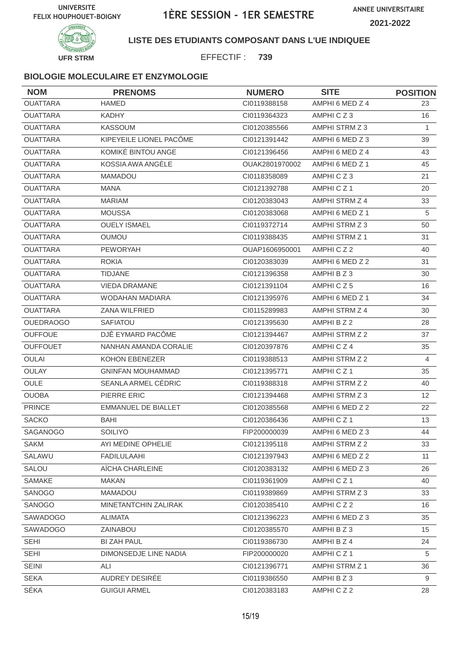

**LISTE DES ETUDIANTS COMPOSANT DANS L'UE INDIQUEE**

EFFECTIF : **739**

| <b>NOM</b>       | <b>PRENOMS</b>             | <b>NUMERO</b>  | <b>SITE</b>          | <b>POSITION</b> |
|------------------|----------------------------|----------------|----------------------|-----------------|
| <b>OUATTARA</b>  | <b>HAMED</b>               | CI0119388158   | AMPHI 6 MED Z 4      | 23              |
| <b>OUATTARA</b>  | <b>KADHY</b>               | CI0119364323   | AMPHICZ3             | 16              |
| <b>OUATTARA</b>  | <b>KASSOUM</b>             | CI0120385566   | AMPHI STRM Z 3       | $\mathbf{1}$    |
| <b>OUATTARA</b>  | KIPEYEILE LIONEL PACÔME    | CI0121391442   | AMPHI 6 MED Z 3      | 39              |
| <b>OUATTARA</b>  | KOMIKÉ BINTOU ANGE         | CI0121396456   | AMPHI 6 MED Z 4      | 43              |
| <b>OUATTARA</b>  | KOSSIA AWA ANGÈLE          | OUAK2801970002 | AMPHI 6 MED Z 1      | 45              |
| <b>OUATTARA</b>  | <b>MAMADOU</b>             | CI0118358089   | AMPHICZ3             | 21              |
| <b>OUATTARA</b>  | <b>MANA</b>                | CI0121392788   | AMPHICZ1             | 20              |
| <b>OUATTARA</b>  | <b>MARIAM</b>              | CI0120383043   | AMPHI STRM Z 4       | 33              |
| <b>OUATTARA</b>  | <b>MOUSSA</b>              | CI0120383068   | AMPHI 6 MED Z 1      | 5               |
| <b>OUATTARA</b>  | <b>OUELY ISMAEL</b>        | CI0119372714   | AMPHI STRM Z 3       | 50              |
| <b>OUATTARA</b>  | <b>OUMOU</b>               | CI0119388435   | AMPHI STRM Z 1       | 31              |
| <b>OUATTARA</b>  | <b>PEWORYAH</b>            | OUAP1606950001 | AMPHICZ2             | 40              |
| <b>OUATTARA</b>  | <b>ROKIA</b>               | CI0120383039   | AMPHI 6 MED Z 2      | 31              |
| <b>OUATTARA</b>  | <b>TIDJANE</b>             | CI0121396358   | AMPHI B Z 3          | 30              |
| <b>OUATTARA</b>  | <b>VIEDA DRAMANE</b>       | CI0121391104   | AMPHICZ5             | 16              |
| <b>OUATTARA</b>  | WODAHAN MADIARA            | CI0121395976   | AMPHI 6 MED Z 1      | 34              |
| <b>OUATTARA</b>  | <b>ZANA WILFRIED</b>       | CI0115289983   | AMPHI STRM Z 4       | 30              |
| <b>OUEDRAOGO</b> | <b>SAFIATOU</b>            | CI0121395630   | AMPHI B Z 2          | 28              |
| <b>OUFFOUE</b>   | DJÊ EYMARD PACÔME          | CI0121394467   | AMPHI STRM Z 2       | 37              |
| <b>OUFFOUET</b>  | NANHAN AMANDA CORALIE      | CI0120397876   | AMPHICZ4             | 35              |
| <b>OULAI</b>     | KOHON EBENEZER             | CI0119388513   | AMPHI STRM Z 2       | 4               |
| OULAY            | <b>GNINFAN MOUHAMMAD</b>   | CI0121395771   | AMPHICZ <sub>1</sub> | 35              |
| <b>OULE</b>      | SEANLA ARMEL CEDRIC        | CI0119388318   | AMPHI STRM Z 2       | 40              |
| <b>OUOBA</b>     | PIERRE ERIC                | CI0121394468   | AMPHI STRM Z 3       | 12 <sup>°</sup> |
| <b>PRINCE</b>    | <b>EMMANUEL DE BIALLET</b> | CI0120385568   | AMPHI 6 MED Z 2      | 22              |
| <b>SACKO</b>     | <b>BAHI</b>                | CI0120386436   | AMPHICZ1             | 13              |
| SAGANOGO         | SOILIYO                    | FIP200000039   | AMPHI 6 MED Z 3      | 44              |
| <b>SAKM</b>      | AYI MEDINE OPHELIE         | CI0121395118   | AMPHI STRM Z 2       | 33              |
| SALAWU           | <b>FADILULAAHI</b>         | CI0121397943   | AMPHI 6 MED Z 2      | 11              |
| SALOU            | AÏCHA CHARLEINE            | CI0120383132   | AMPHI 6 MED Z 3      | 26              |
| SAMAKE           | MAKAN                      | CI0119361909   | AMPHICZ1             | 40              |
| SANOGO           | <b>MAMADOU</b>             | CI0119389869   | AMPHI STRM Z 3       | 33              |
| SANOGO           | MINETANTCHIN ZALIRAK       | CI0120385410   | AMPHICZ2             | 16              |
| SAWADOGO         | <b>ALIMATA</b>             | CI0121396223   | AMPHI 6 MED Z 3      | 35              |
| SAWADOGO         | ZAINABOU                   | CI0120385570   | AMPHI B Z 3          | 15              |
| <b>SEHI</b>      | <b>BI ZAH PAUL</b>         | CI0119386730   | AMPHI B Z 4          | 24              |
| <b>SEHI</b>      | DIMONSEDJE LINE NADIA      | FIP200000020   | AMPHICZ1             | 5               |
| <b>SEINI</b>     | ALI                        | CI0121396771   | AMPHI STRM Z 1       | 36              |
| <b>SEKA</b>      | AUDREY DESIRÉE             | CI0119386550   | AMPHI B Z 3          | 9               |
| SÉKA             | <b>GUIGUI ARMEL</b>        | Cl0120383183   | AMPHICZ2             | 28              |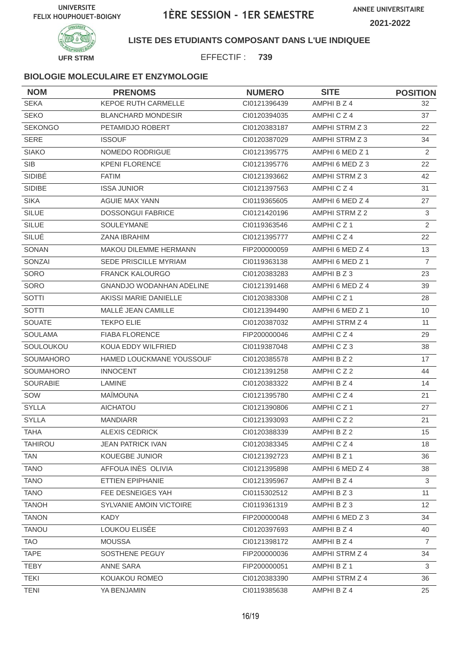

**LISTE DES ETUDIANTS COMPOSANT DANS L'UE INDIQUEE**

EFFECTIF : **739**

| <b>NOM</b>       | <b>PRENOMS</b>                  | <b>NUMERO</b> | <b>SITE</b>          | <b>POSITION</b> |
|------------------|---------------------------------|---------------|----------------------|-----------------|
| <b>SEKA</b>      | <b>KEPOE RUTH CARMELLE</b>      | CI0121396439  | AMPHI B Z 4          | 32              |
| <b>SEKO</b>      | <b>BLANCHARD MONDESIR</b>       | CI0120394035  | AMPHICZ4             | 37              |
| <b>SEKONGO</b>   | PETAMIDJO ROBERT                | CI0120383187  | AMPHI STRM Z 3       | 22              |
| <b>SERE</b>      | <b>ISSOUF</b>                   | CI0120387029  | AMPHI STRM Z 3       | 34              |
| <b>SIAKO</b>     | NOMEDO RODRIGUE                 | CI0121395775  | AMPHI 6 MED Z 1      | 2               |
| <b>SIB</b>       | <b>KPENI FLORENCE</b>           | CI0121395776  | AMPHI 6 MED Z 3      | 22              |
| SIDIBÉ           | <b>FATIM</b>                    | CI0121393662  | AMPHI STRM Z 3       | 42              |
| SIDIBE           | <b>ISSA JUNIOR</b>              | CI0121397563  | AMPHICZ4             | 31              |
| <b>SIKA</b>      | AGUIE MAX YANN                  | CI0119365605  | AMPHI 6 MED Z 4      | 27              |
| <b>SILUE</b>     | <b>DOSSONGUI FABRICE</b>        | CI0121420196  | AMPHI STRM Z 2       | 3               |
| <b>SILUE</b>     | <b>SOULEYMANE</b>               | CI0119363546  | AMPHICZ <sub>1</sub> | 2               |
| SILUÉ            | <b>ZANA IBRAHIM</b>             | CI0121395777  | AMPHICZ4             | 22              |
| SONAN            | <b>MAKOU DILEMME HERMANN</b>    | FIP200000059  | AMPHI 6 MED Z 4      | 13              |
| SONZAI           | SEDE PRISCILLE MYRIAM           | CI0119363138  | AMPHI 6 MED Z 1      | $\overline{7}$  |
| SORO             | <b>FRANCK KALOURGO</b>          | CI0120383283  | AMPHI B Z 3          | 23              |
| SORO             | <b>GNANDJO WODANHAN ADELINE</b> | CI0121391468  | AMPHI 6 MED Z 4      | 39              |
| SOTTI            | AKISSI MARIE DANIELLE           | CI0120383308  | AMPHICZ1             | 28              |
| <b>SOTTI</b>     | MALLÉ JEAN CAMILLE              | CI0121394490  | AMPHI 6 MED Z 1      | 10              |
| <b>SOUATE</b>    | <b>TEKPO ELIE</b>               | CI0120387032  | AMPHI STRM Z 4       | 11              |
| <b>SOULAMA</b>   | <b>FIABA FLORENCE</b>           | FIP200000046  | AMPHICZ4             | 29              |
| SOULOUKOU        | KOUA EDDY WILFRIED              | CI0119387048  | AMPHICZ3             | 38              |
| <b>SOUMAHORO</b> | HAMED LOUCKMANE YOUSSOUF        | CI0120385578  | AMPHI B Z 2          | 17              |
| SOUMAHORO        | <b>INNOCENT</b>                 | CI0121391258  | AMPHICZ2             | 44              |
| <b>SOURABIE</b>  | <b>LAMINE</b>                   | CI0120383322  | AMPHI B Z 4          | 14              |
| SOW              | <b>MAÏMOUNA</b>                 | CI0121395780  | AMPHICZ4             | 21              |
| <b>SYLLA</b>     | <b>AICHATOU</b>                 | CI0121390806  | AMPHICZ1             | 27              |
| <b>SYLLA</b>     | <b>MANDIARR</b>                 | CI0121393093  | AMPHICZ2             | 21              |
| <b>TAHA</b>      | <b>ALEXIS CEDRICK</b>           | CI0120388339  | AMPHI B Z 2          | 15              |
| <b>TAHIROU</b>   | <b>JEAN PATRICK IVAN</b>        | CI0120383345  | AMPHICZ4             | 18              |
| <b>TAN</b>       | KOUEGBE JUNIOR                  | CI0121392723  | AMPHI B Z 1          | 36              |
| <b>TANO</b>      | AFFOUA INÈS OLIVIA              | CI0121395898  | AMPHI 6 MED Z 4      | 38              |
| <b>TANO</b>      | ETTIEN EPIPHANIE                | CI0121395967  | AMPHI B Z 4          | 3               |
| <b>TANO</b>      | FEE DESNEIGES YAH               | CI0115302512  | AMPHI B Z 3          | 11              |
| <b>TANOH</b>     | SYLVANIE AMOIN VICTOIRE         | CI0119361319  | AMPHI B Z 3          | 12              |
| <b>TANON</b>     | <b>KADY</b>                     | FIP200000048  | AMPHI 6 MED Z 3      | 34              |
| <b>TANOU</b>     | LOUKOU ELISÉE                   | CI0120397693  | AMPHI B Z 4          | 40              |
| <b>TAO</b>       | <b>MOUSSA</b>                   | CI0121398172  | AMPHI B Z 4          | $\overline{7}$  |
| <b>TAPE</b>      | SOSTHENE PEGUY                  | FIP200000036  | AMPHI STRM Z 4       | 34              |
| <b>TEBY</b>      | ANNE SARA                       | FIP200000051  | AMPHI B Z 1          | 3               |
| <b>TEKI</b>      | KOUAKOU ROMEO                   | CI0120383390  | AMPHI STRM Z 4       | 36              |
| <b>TENI</b>      | YA BENJAMIN                     | CI0119385638  | AMPHI B Z 4          | 25              |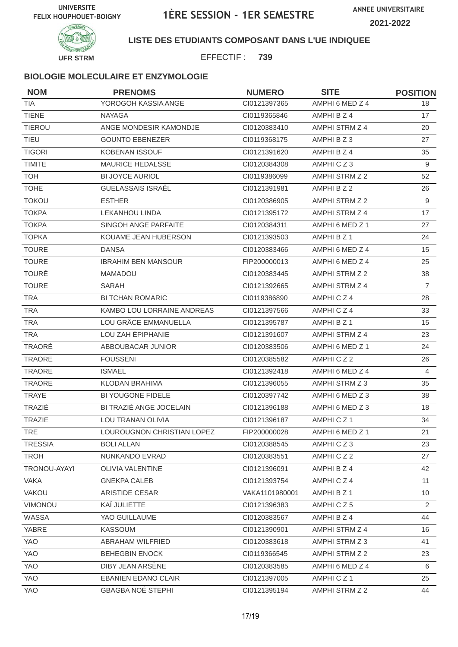



**LISTE DES ETUDIANTS COMPOSANT DANS L'UE INDIQUEE**

EFFECTIF : **739**

## **BIOLOGIE MOLECULAIRE ET ENZYMOLOGIE**

| <b>NOM</b>     | <b>PRENOMS</b>             | <b>NUMERO</b>  | <b>SITE</b>           | <b>POSITION</b> |
|----------------|----------------------------|----------------|-----------------------|-----------------|
| <b>TIA</b>     | YOROGOH KASSIA ANGE        | CI0121397365   | AMPHI 6 MED Z 4       | 18              |
| <b>TIENE</b>   | <b>NAYAGA</b>              | CI0119365846   | AMPHI B Z 4           | 17              |
| <b>TIEROU</b>  | ANGE MONDESIR KAMONDJE     | CI0120383410   | AMPHI STRM Z 4        | 20              |
| <b>TIEU</b>    | <b>GOUNTO EBENEZER</b>     | CI0119368175   | AMPHIBZ3              | 27              |
| <b>TIGORI</b>  | <b>KOBENAN ISSOUF</b>      | CI0121391620   | AMPHI B Z 4           | 35              |
| <b>TIMITE</b>  | MAURICE HEDALSSE           | CI0120384308   | AMPHICZ3              | 9               |
| <b>TOH</b>     | <b>BI JOYCE AURIOL</b>     | CI0119386099   | <b>AMPHI STRM Z 2</b> | 52              |
| <b>TOHE</b>    | <b>GUELASSAIS ISRAËL</b>   | CI0121391981   | AMPHI B Z 2           | 26              |
| <b>TOKOU</b>   | <b>ESTHER</b>              | CI0120386905   | AMPHI STRM Z 2        | 9               |
| <b>TOKPA</b>   | <b>LEKANHOU LINDA</b>      | Cl0121395172   | AMPHI STRM Z 4        | 17              |
| <b>TOKPA</b>   | SINGOH ANGE PARFAITE       | CI0120384311   | AMPHI 6 MED Z 1       | 27              |
| <b>TOPKA</b>   | KOUAME JEAN HUBERSON       | CI0121393503   | AMPHI B Z 1           | 24              |
| <b>TOURE</b>   | <b>DANSA</b>               | CI0120383466   | AMPHI 6 MED Z 4       | 15              |
| <b>TOURE</b>   | <b>IBRAHIM BEN MANSOUR</b> | FIP200000013   | AMPHI 6 MED Z 4       | 25              |
| <b>TOURÉ</b>   | <b>MAMADOU</b>             | CI0120383445   | AMPHI STRM Z 2        | 38              |
| <b>TOURE</b>   | SARAH                      | CI0121392665   | AMPHI STRM Z 4        | $\overline{7}$  |
| <b>TRA</b>     | <b>BI TCHAN ROMARIC</b>    | CI0119386890   | AMPHICZ4              | 28              |
| <b>TRA</b>     | KAMBO LOU LORRAINE ANDREAS | CI0121397566   | AMPHICZ4              | 33              |
| <b>TRA</b>     | LOU GRÂCE EMMANUELLA       | CI0121395787   | AMPHI B Z 1           | 15              |
| <b>TRA</b>     | LOU ZAH ÉPIPHANIE          | CI0121391607   | AMPHI STRM Z 4        | 23              |
| TRAORÉ         | ABBOUBACAR JUNIOR          | CI0120383506   | AMPHI 6 MED Z 1       | 24              |
| <b>TRAORE</b>  | <b>FOUSSENI</b>            | CI0120385582   | AMPHICZ2              | 26              |
| TRAORE         | <b>ISMAEL</b>              | CI0121392418   | AMPHI 6 MED Z 4       | 4               |
| <b>TRAORE</b>  | <b>KLODAN BRAHIMA</b>      | CI0121396055   | AMPHI STRM Z 3        | 35              |
| <b>TRAYE</b>   | BI YOUGONE FIDELE          | CI0120397742   | AMPHI 6 MED Z 3       | 38              |
| TRAZIÉ         | BI TRAZIÉ ANGE JOCELAIN    | Cl0121396188   | AMPHI 6 MED Z 3       | 18              |
| <b>TRAZIE</b>  | LOU TRANAN OLIVIA          | CI0121396187   | AMPHICZ1              | 34              |
| TRE            | LOUROUGNON CHRISTIAN LOPEZ | FIP200000028   | AMPHI 6 MED Z 1       | 21              |
| <b>TRESSIA</b> | <b>BOLI ALLAN</b>          | CI0120388545   | AMPHICZ3              | 23              |
| <b>TROH</b>    | NUNKANDO EVRAD             | CI0120383551   | AMPHICZ2              | 27              |
| TRONOU-AYAYI   | OLIVIA VALENTINE           | CI0121396091   | AMPHI B Z 4           | 42              |
| <b>VAKA</b>    | <b>GNEKPA CALEB</b>        | Cl0121393754   | AMPHICZ4              | 11              |
| VAKOU          | ARISTIDE CESAR             | VAKA1101980001 | AMPHI B Z 1           | 10 <sup>°</sup> |
| VIMONOU        | KAÏ JULIETTE               | CI0121396383   | AMPHICZ5              | 2               |
| WASSA          | YAO GUILLAUME              | CI0120383567   | AMPHI B Z 4           | 44              |
| YABRE          | <b>KASSOUM</b>             | CI0121390901   | AMPHI STRM Z 4        | 16              |
| YAO            | ABRAHAM WILFRIED           | CI0120383618   | AMPHI STRM Z 3        | 41              |
| YAO            | <b>BEHEGBIN ENOCK</b>      | CI0119366545   | AMPHI STRM Z 2        | 23              |
| <b>YAO</b>     | DIBY JEAN ARSÈNE           | CI0120383585   | AMPHI 6 MED Z 4       | 6               |
| YAO            | EBANIEN EDANO CLAIR        | CI0121397005   | AMPHICZ1              | 25              |
| YAO            | <b>GBAGBA NOÉ STEPHI</b>   | Cl0121395194   | AMPHI STRM Z 2        | 44              |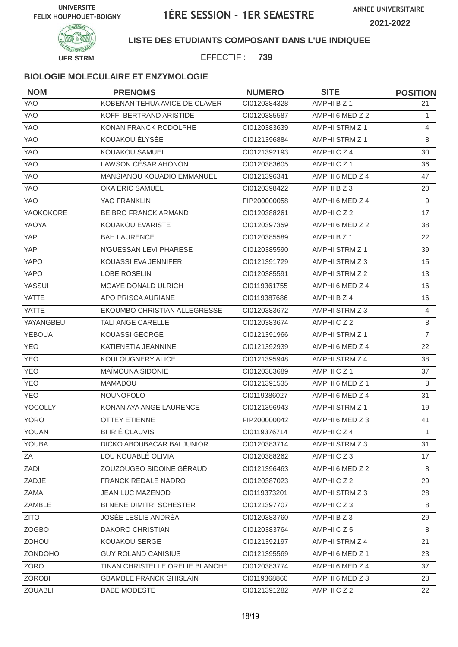

**LISTE DES ETUDIANTS COMPOSANT DANS L'UE INDIQUEE**

EFFECTIF : **739**

#### **BIOLOGIE MOLECULAIRE ET ENZYMOLOGIE**

| <b>NOM</b>     | <b>PRENOMS</b>                    | <b>NUMERO</b> | <b>SITE</b>           | <b>POSITION</b> |
|----------------|-----------------------------------|---------------|-----------------------|-----------------|
| <b>YAO</b>     | KOBENAN TEHUA AVICE DE CLAVER     | CI0120384328  | AMPHI B Z 1           | 21              |
| <b>YAO</b>     | KOFFI BERTRAND ARISTIDE           | CI0120385587  | AMPHI 6 MED Z 2       | $\mathbf{1}$    |
| <b>YAO</b>     | KONAN FRANCK RODOLPHE             | CI0120383639  | AMPHI STRM Z 1        | 4               |
| <b>YAO</b>     | KOUAKOU ÉLYSÉE                    | CI0121396884  | <b>AMPHI STRM Z 1</b> | 8               |
| <b>YAO</b>     | KOUAKOU SAMUEL                    | CI0121392193  | AMPHICZ4              | 30              |
| <b>YAO</b>     | <b>LAWSON CÉSAR AHONON</b>        | CI0120383605  | AMPHICZ1              | 36              |
| YAO            | <b>MANSIANOU KOUADIO EMMANUEL</b> | CI0121396341  | AMPHI 6 MED Z 4       | 47              |
| <b>YAO</b>     | <b>OKA ERIC SAMUEL</b>            | CI0120398422  | AMPHI B Z 3           | 20              |
| <b>YAO</b>     | YAO FRANKLIN                      | FIP200000058  | AMPHI 6 MED Z 4       | 9               |
| YAOKOKORE      | BEIBRO FRANCK ARMAND              | CI0120388261  | AMPHICZ2              | 17              |
| YAOYA          | KOUAKOU EVARISTE                  | CI0120397359  | AMPHI 6 MED Z 2       | 38              |
| <b>YAPI</b>    | <b>BAH LAURENCE</b>               | CI0120385589  | AMPHI B Z 1           | 22              |
| <b>YAPI</b>    | N'GUESSAN LEVI PHARESE            | CI0120385590  | AMPHI STRM Z 1        | 39              |
| <b>YAPO</b>    | KOUASSI EVA JENNIFER              | CI0121391729  | AMPHI STRM Z 3        | 15              |
| <b>YAPO</b>    | LOBE ROSELIN                      | CI0120385591  | AMPHI STRM Z 2        | 13              |
| YASSUI         | <b>MOAYE DONALD ULRICH</b>        | CI0119361755  | AMPHI 6 MED Z 4       | 16              |
| <b>YATTE</b>   | APO PRISCA AURIANE                | CI0119387686  | AMPHI B Z 4           | 16              |
| <b>YATTE</b>   | EKOUMBO CHRISTIAN ALLEGRESSE      | CI0120383672  | AMPHI STRM Z 3        | $\overline{4}$  |
| YAYANGBEU      | <b>TALI ANGE CARELLE</b>          | CI0120383674  | AMPHICZ2              | $\,8\,$         |
| <b>YEBOUA</b>  | KOUASSI GEORGE                    | CI0121391966  | AMPHI STRM Z 1        | $\overline{7}$  |
| <b>YEO</b>     | KATIENETIA JEANNINE               | CI0121392939  | AMPHI 6 MED Z 4       | 22              |
| <b>YEO</b>     | KOULOUGNERY ALICE                 | CI0121395948  | AMPHI STRM Z 4        | 38              |
| <b>YEO</b>     | MAÏMOUNA SIDONIE                  | CI0120383689  | AMPHICZ1              | 37              |
| <b>YEO</b>     | <b>MAMADOU</b>                    | CI0121391535  | AMPHI 6 MED Z 1       | 8               |
| <b>YEO</b>     | <b>NOUNOFOLO</b>                  | CI0119386027  | AMPHI 6 MED Z 4       | 31              |
| YOCOLLY        | KONAN AYA ANGE LAURENCE           | CI0121396943  | AMPHI STRM Z 1        | 19              |
| <b>YORO</b>    | <b>OTTEY ETIENNE</b>              | FIP200000042  | AMPHI 6 MED Z 3       | 41              |
| YOUAN          | <b>BI IRIÉ CLAUVIS</b>            | CI0119376714  | AMPHICZ4              | $\mathbf{1}$    |
| YOUBA          | DICKO ABOUBACAR BAI JUNIOR        | Cl0120383714  | AMPHI STRM Z 3        | 31              |
| ΖA             | LOU KOUABLÉ OLIVIA                | CI0120388262  | AMPHICZ3              | 17              |
| ZADI           | ZOUZOUGBO SIDOINE GÉRAUD          | Cl0121396463  | AMPHI 6 MED Z 2       | 8               |
| ZADJE          | FRANCK REDALE NADRO               | CI0120387023  | AMPHICZ2              | 29              |
| ZAMA           | <b>JEAN LUC MAZENOD</b>           | CI0119373201  | AMPHI STRM Z 3        | 28              |
| ZAMBLE         | BI NENE DIMITRI SCHESTER          | Cl0121397707  | AMPHICZ3              | 8               |
| <b>ZITO</b>    | JOSÉE LESLIE ANDRÉA               | CI0120383760  | AMPHIBZ3              | 29              |
| <b>ZOGBO</b>   | <b>DAKORO CHRISTIAN</b>           | Cl0120383764  | AMPHICZ5              | 8               |
| ZOHOU          | KOUAKOU SERGE                     | CI0121392197  | AMPHI STRM Z 4        | 21              |
| <b>ZONDOHO</b> | <b>GUY ROLAND CANISIUS</b>        | CI0121395569  | AMPHI 6 MED Z 1       | 23              |
| ZORO           | TINAN CHRISTELLE ORELIE BLANCHE   | CI0120383774  | AMPHI 6 MED Z 4       | 37              |
| <b>ZOROBI</b>  | <b>GBAMBLE FRANCK GHISLAIN</b>    | CI0119368860  | AMPHI 6 MED Z 3       | 28              |
| ZOUABLI        | DABE MODESTE                      | CI0121391282  | AMPHICZ2              | 22              |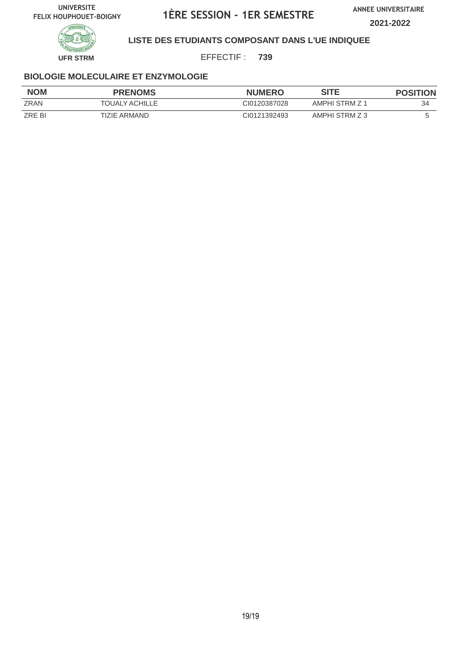**ANNEE UNIVERSITAIRE**

**2021-2022**



## **LISTE DES ETUDIANTS COMPOSANT DANS L'UE INDIQUEE**

EFFECTIF : **739**

#### **BIOLOGIE MOLECULAIRE ET ENZYMOLOGIE**

| <b>NOM</b>  | <b>PRENOMS</b> | <b>NUMERO</b> | SITE           | <b>POSITION</b> |
|-------------|----------------|---------------|----------------|-----------------|
| <b>ZRAN</b> | TOUALY ACHILLE | CI0120387028  | AMPHI STRM Z 1 | 34              |
| ZRE BI      | TIZIE ARMAND   | CI0121392493  | AMPHI STRM Z 3 |                 |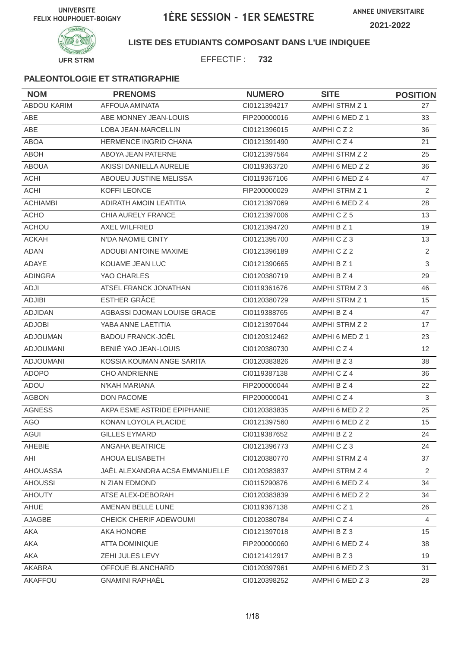

## **LISTE DES ETUDIANTS COMPOSANT DANS L'UE INDIQUEE**

EFFECTIF : **732**

| <b>NOM</b>         | <b>PRENOMS</b>                 | <b>NUMERO</b> | <b>SITE</b>           | <b>POSITION</b> |
|--------------------|--------------------------------|---------------|-----------------------|-----------------|
| <b>ABDOU KARIM</b> | <b>AFFOUA AMINATA</b>          | CI0121394217  | <b>AMPHI STRM Z 1</b> | 27              |
| ABE                | ABE MONNEY JEAN-LOUIS          | FIP200000016  | AMPHI 6 MED Z 1       | 33              |
| ABE                | <b>LOBA JEAN-MARCELLIN</b>     | CI0121396015  | AMPHICZ2              | 36              |
| <b>ABOA</b>        | <b>HERMENCE INGRID CHANA</b>   | CI0121391490  | AMPHICZ4              | 21              |
| <b>ABOH</b>        | ABOYA JEAN PATERNE             | CI0121397564  | AMPHI STRM Z 2        | 25              |
| <b>ABOUA</b>       | AKISSI DANIELLA AURELIE        | CI0119363720  | AMPHI 6 MED Z 2       | 36              |
| <b>ACHI</b>        | ABOUEU JUSTINE MELISSA         | CI0119367106  | AMPHI 6 MED Z 4       | 47              |
| <b>ACHI</b>        | KOFFI LEONCE                   | FIP200000029  | AMPHI STRM Z 1        | 2               |
| <b>ACHIAMBI</b>    | ADIRATH AMOIN LEATITIA         | CI0121397069  | AMPHI 6 MED Z 4       | 28              |
| <b>ACHO</b>        | CHIA AURELY FRANCE             | CI0121397006  | AMPHICZ5              | 13              |
| <b>ACHOU</b>       | <b>AXEL WILFRIED</b>           | CI0121394720  | AMPHI B Z 1           | 19              |
| <b>ACKAH</b>       | N'DA NAOMIE CINTY              | CI0121395700  | AMPHICZ3              | 13              |
| <b>ADAN</b>        | <b>ADOUBI ANTOINE MAXIME</b>   | CI0121396189  | AMPHICZ2              | 2               |
| ADAYE              | KOUAME JEAN LUC                | CI0121390665  | AMPHI B Z 1           | 3               |
| <b>ADINGRA</b>     | YAO CHARLES                    | CI0120380719  | AMPHI B Z 4           | 29              |
| ADJI               | ATSEL FRANCK JONATHAN          | CI0119361676  | AMPHI STRM Z 3        | 46              |
| <b>ADJIBI</b>      | ESTHER GRÂCE                   | CI0120380729  | AMPHI STRM Z 1        | 15              |
| <b>ADJIDAN</b>     | AGBASSI DJOMAN LOUISE GRACE    | CI0119388765  | AMPHI B Z 4           | 47              |
| <b>ADJOBI</b>      | YABA ANNE LAETITIA             | CI0121397044  | AMPHI STRM Z 2        | 17              |
| <b>ADJOUMAN</b>    | <b>BADOU FRANCK-JOËL</b>       | CI0120312462  | AMPHI 6 MED Z 1       | 23              |
| <b>ADJOUMANI</b>   | BENIÉ YAO JEAN-LOUIS           | CI0120380730  | AMPHICZ4              | 12              |
| <b>ADJOUMANI</b>   | KOSSIA KOUMAN ANGE SARITA      | CI0120383826  | AMPHI B Z 3           | 38              |
| <b>ADOPO</b>       | <b>CHO ANDRIENNE</b>           | CI0119387138  | AMPHICZ4              | 36              |
| ADOU               | N'KAH MARIANA                  | FIP200000044  | AMPHI B Z 4           | 22              |
| <b>AGBON</b>       | DON PACOME                     | FIP200000041  | AMPHICZ4              | 3               |
| <b>AGNESS</b>      | AKPA ESME ASTRIDE EPIPHANIE    | CI0120383835  | AMPHI 6 MED Z 2       | 25              |
| <b>AGO</b>         | KONAN LOYOLA PLACIDE           | CI0121397560  | AMPHI 6 MED Z 2       | 15              |
| AGUI               | GILLES EYMARD                  | CI0119387652  | AMPHI B Z 2           | 24              |
| AHEBIE             | ANGAHA BEATRICE                | Cl0121396773  | AMPHICZ3              | 24              |
| AHI                | AHOUA ELISABETH                | CI0120380770  | AMPHI STRM Z 4        | 37              |
| AHOUASSA           | JAËL ALEXANDRA ACSA EMMANUELLE | CI0120383837  | AMPHI STRM Z 4        | $\overline{2}$  |
| <b>AHOUSSI</b>     | N ZIAN EDMOND                  | CI0115290876  | AMPHI 6 MED Z 4       | 34              |
| <b>AHOUTY</b>      | ATSE ALEX-DEBORAH              | CI0120383839  | AMPHI 6 MED Z 2       | 34              |
| AHUE               | AMENAN BELLE LUNE              | CI0119367138  | AMPHICZ1              | 26              |
| AJAGBE             | CHEICK CHERIF ADEWOUMI         | CI0120380784  | AMPHICZ4              | 4               |
| AKA                | AKA HONORE                     | Cl0121397018  | AMPHI B Z 3           | 15              |
| AKA                | ATTA DOMINIQUE                 | FIP200000060  | AMPHI 6 MED Z 4       | 38              |
| AKA                | ZEHI JULES LEVY                | Cl0121412917  | AMPHI B Z 3           | 19              |
| AKABRA             | OFFOUE BLANCHARD               | CI0120397961  | AMPHI 6 MED Z 3       | 31              |
| AKAFFOU            | <b>GNAMINI RAPHAËL</b>         | CI0120398252  | AMPHI 6 MED Z 3       | 28              |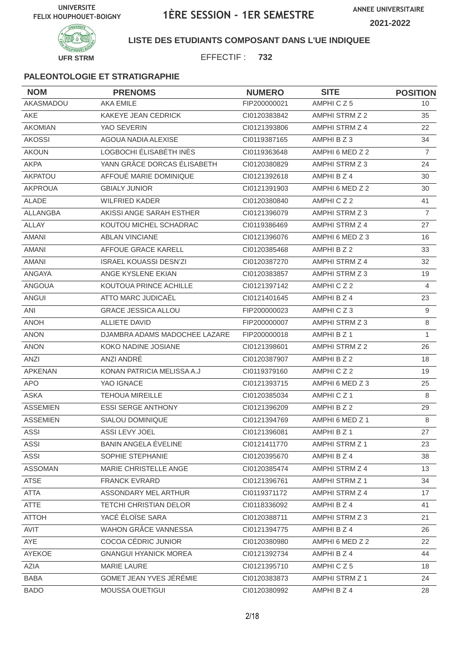



## **LISTE DES ETUDIANTS COMPOSANT DANS L'UE INDIQUEE**

EFFECTIF : **732**

| <b>NOM</b>      | <b>PRENOMS</b>                | <b>NUMERO</b> | <b>SITE</b>     | <b>POSITION</b> |
|-----------------|-------------------------------|---------------|-----------------|-----------------|
| AKASMADOU       | <b>AKA EMILE</b>              | FIP200000021  | AMPHICZ5        | 10              |
| <b>AKE</b>      | <b>KAKEYE JEAN CEDRICK</b>    | CI0120383842  | AMPHI STRM Z 2  | 35              |
| <b>AKOMIAN</b>  | YAO SEVERIN                   | CI0121393806  | AMPHI STRM Z 4  | 22              |
| <b>AKOSSI</b>   | AGOUA NADIA ALEXISE           | CI0119387165  | AMPHI B Z 3     | 34              |
| <b>AKOUN</b>    | LOGBOCHI ÉLISABÉTH INÈS       | CI0119363648  | AMPHI 6 MED Z 2 | $\overline{7}$  |
| <b>AKPA</b>     | YANN GRÂCE DORCAS ÉLISABETH   | CI0120380829  | AMPHI STRM Z 3  | 24              |
| <b>AKPATOU</b>  | AFFOUÉ MARIE DOMINIQUE        | CI0121392618  | AMPHI B Z 4     | 30              |
| <b>AKPROUA</b>  | <b>GBIALY JUNIOR</b>          | CI0121391903  | AMPHI 6 MED Z 2 | 30              |
| <b>ALADE</b>    | <b>WILFRIED KADER</b>         | CI0120380840  | AMPHICZ2        | 41              |
| <b>ALLANGBA</b> | AKISSI ANGE SARAH ESTHER      | CI0121396079  | AMPHI STRM Z 3  | $\overline{7}$  |
| <b>ALLAY</b>    | KOUTOU MICHEL SCHADRAC        | CI0119386469  | AMPHI STRM Z 4  | 27              |
| <b>AMANI</b>    | <b>ABLAN VINCIANE</b>         | CI0121396076  | AMPHI 6 MED Z 3 | 16              |
| <b>AMANI</b>    | AFFOUE GRACE KARELL           | CI0120385468  | AMPHI B Z 2     | 33              |
| <b>AMANI</b>    | <b>ISRAEL KOUASSI DESN'ZI</b> | CI0120387270  | AMPHI STRM Z 4  | 32              |
| <b>ANGAYA</b>   | ANGE KYSLENE EKIAN            | CI0120383857  | AMPHI STRM Z 3  | 19              |
| <b>ANGOUA</b>   | KOUTOUA PRINCE ACHILLE        | CI0121397142  | AMPHICZ2        | 4               |
| <b>ANGUI</b>    | ATTO MARC JUDICAËL            | CI0121401645  | AMPHI B Z 4     | 23              |
| ANI             | <b>GRACE JESSICA ALLOU</b>    | FIP200000023  | AMPHICZ3        | 9               |
| <b>ANOH</b>     | <b>ALLIETE DAVID</b>          | FIP200000007  | AMPHI STRM Z 3  | $\,8\,$         |
| <b>ANON</b>     | DJAMBRA ADAMS MADOCHEE LAZARE | FIP200000018  | AMPHI B Z 1     | $\mathbf{1}$    |
| <b>ANON</b>     | KOKO NADINE JOSIANE           | CI0121398601  | AMPHI STRM Z 2  | 26              |
| <b>ANZI</b>     | ANZI ANDRÉ                    | CI0120387907  | AMPHI B Z 2     | 18              |
| <b>APKENAN</b>  | KONAN PATRICIA MELISSA A.J    | CI0119379160  | AMPHICZ2        | 19              |
| <b>APO</b>      | YAO IGNACE                    | CI0121393715  | AMPHI 6 MED Z 3 | 25              |
| <b>ASKA</b>     | <b>TEHOUA MIREILLE</b>        | CI0120385034  | AMPHICZ1        | 8               |
| <b>ASSEMIEN</b> | <b>ESSI SERGE ANTHONY</b>     | CI0121396209  | AMPHI B Z 2     | 29              |
| <b>ASSEMIEN</b> | SIALOU DOMINIQUE              | CI0121394769  | AMPHI 6 MED Z 1 | 8               |
| <b>ASSI</b>     | ASSI LEVY JOEL                | Cl0121396081  | AMPHI B Z 1     | 27              |
| <b>ASSI</b>     | BANIN ANGELA EVELINE          | CI0121411770  | AMPHI STRM Z 1  | 23              |
| ASSI            | SOPHIE STEPHANIE              | CI0120395670  | AMPHI B Z 4     | 38              |
| <b>ASSOMAN</b>  | MARIE CHRISTELLE ANGE         | CI0120385474  | AMPHI STRM Z 4  | 13              |
| <b>ATSE</b>     | <b>FRANCK EVRARD</b>          | CI0121396761  | AMPHI STRM Z 1  | 34              |
| <b>ATTA</b>     | ASSONDARY MEL ARTHUR          | CI0119371172  | AMPHI STRM Z 4  | 17              |
| <b>ATTE</b>     | <b>TETCHI CHRISTIAN DELOR</b> | CI0118336092  | AMPHI B Z 4     | 41              |
| <b>ATTOH</b>    | YACÉ ÉLOÏSE SARA              | CI0120388711  | AMPHI STRM Z 3  | 21              |
| AVIT            | WAHON GRÂCE VANNESSA          | CI0121394775  | AMPHI B Z 4     | 26              |
| AYE             | COCOA CÉDRIC JUNIOR           | CI0120380980  | AMPHI 6 MED Z 2 | 22              |
| AYEKOE          | <b>GNANGUI HYANICK MOREA</b>  | CI0121392734  | AMPHI B Z 4     | 44              |
| AZIA            | MARIE LAURE                   | Cl0121395710  | AMPHICZ5        | 18              |
| <b>BABA</b>     | GOMET JEAN YVES JÉRÉMIE       | CI0120383873  | AMPHI STRM Z 1  | 24              |
| <b>BADO</b>     | <b>MOUSSA OUETIGUI</b>        | CI0120380992  | AMPHI B Z 4     | 28              |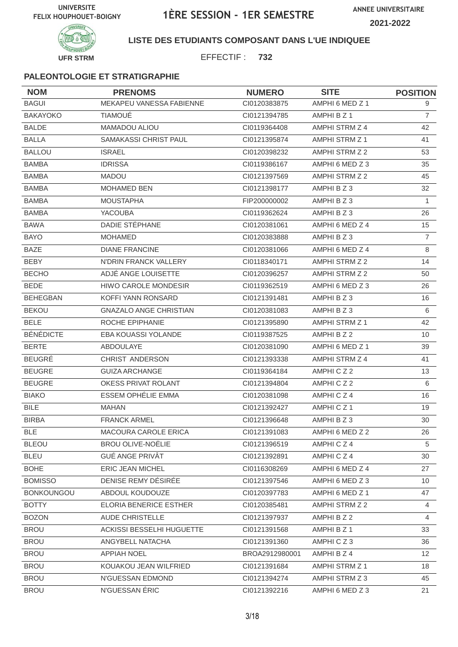



## **LISTE DES ETUDIANTS COMPOSANT DANS L'UE INDIQUEE**

EFFECTIF : **732**

| <b>NOM</b>        | <b>PRENOMS</b>                | <b>NUMERO</b>  | <b>SITE</b>           | <b>POSITION</b> |
|-------------------|-------------------------------|----------------|-----------------------|-----------------|
| <b>BAGUI</b>      | MEKAPEU VANESSA FABIENNE      | CI0120383875   | AMPHI 6 MED Z 1       | 9               |
| <b>BAKAYOKO</b>   | <b>TIAMOUÉ</b>                | CI0121394785   | AMPHI B Z 1           | $\overline{7}$  |
| <b>BALDE</b>      | MAMADOU ALIOU                 | CI0119364408   | AMPHI STRM Z 4        | 42              |
| <b>BALLA</b>      | <b>SAMAKASSI CHRIST PAUL</b>  | CI0121395874   | AMPHI STRM Z 1        | 41              |
| <b>BALLOU</b>     | <b>ISRAEL</b>                 | CI0120398232   | AMPHI STRM Z 2        | 53              |
| <b>BAMBA</b>      | <b>IDRISSA</b>                | CI0119386167   | AMPHI 6 MED Z 3       | 35              |
| <b>BAMBA</b>      | <b>MADOU</b>                  | CI0121397569   | AMPHI STRM Z 2        | 45              |
| <b>BAMBA</b>      | <b>MOHAMED BEN</b>            | Cl0121398177   | AMPHIBZ3              | 32              |
| <b>BAMBA</b>      | <b>MOUSTAPHA</b>              | FIP200000002   | AMPHIBZ3              | $\mathbf{1}$    |
| <b>BAMBA</b>      | <b>YACOUBA</b>                | CI0119362624   | AMPHIBZ3              | 26              |
| <b>BAWA</b>       | DADIE STÉPHANE                | CI0120381061   | AMPHI 6 MED Z 4       | 15              |
| <b>BAYO</b>       | <b>MOHAMED</b>                | CI0120383888   | AMPHI B Z 3           | $\overline{7}$  |
| <b>BAZE</b>       | <b>DIANE FRANCINE</b>         | CI0120381066   | AMPHI 6 MED Z 4       | 8               |
| BEBY              | N'DRIN FRANCK VALLERY         | CI0118340171   | <b>AMPHI STRM Z 2</b> | 14              |
| <b>BECHO</b>      | ADJÉ ANGE LOUISETTE           | CI0120396257   | AMPHI STRM Z 2        | 50              |
| <b>BEDE</b>       | <b>HIWO CAROLE MONDESIR</b>   | CI0119362519   | AMPHI 6 MED Z 3       | 26              |
| <b>BEHEGBAN</b>   | KOFFI YANN RONSARD            | CI0121391481   | AMPHI B Z 3           | 16              |
| <b>BEKOU</b>      | <b>GNAZALO ANGE CHRISTIAN</b> | CI0120381083   | AMPHIBZ3              | 6               |
| <b>BELE</b>       | ROCHE EPIPHANIE               | CI0121395890   | AMPHI STRM Z 1        | 42              |
| <b>BÉNÉDICTE</b>  | EBA KOUASSI YOLANDE           | CI0119387525   | AMPHI B Z 2           | 10              |
| <b>BERTE</b>      | <b>ABDOULAYE</b>              | CI0120381090   | AMPHI 6 MED Z 1       | 39              |
| <b>BEUGRÉ</b>     | CHRIST ANDERSON               | CI0121393338   | AMPHI STRM Z 4        | 41              |
| <b>BEUGRE</b>     | <b>GUIZA ARCHANGE</b>         | CI0119364184   | AMPHICZ2              | 13              |
| <b>BEUGRE</b>     | OKESS PRIVAT ROLANT           | CI0121394804   | AMPHICZ2              | 6               |
| <b>BIAKO</b>      | <b>ESSEM OPHÉLIE EMMA</b>     | CI0120381098   | AMPHICZ4              | 16              |
| <b>BILE</b>       | <b>MAHAN</b>                  | CI0121392427   | AMPHICZ1              | 19              |
| <b>BIRBA</b>      | <b>FRANCK ARMEL</b>           | CI0121396648   | AMPHI B Z 3           | 30              |
| <b>BLE</b>        | MACOURA CAROLE ERICA          | Cl0121391083   | AMPHI 6 MED Z 2       | 26              |
| <b>BLEOU</b>      | <b>BROU OLIVE-NOËLIE</b>      | CI0121396519   | AMPHICZ4              | 5               |
| <b>BLEU</b>       | <b>GUÉ ANGE PRIVÂT</b>        | CI0121392891   | AMPHICZ4              | 30              |
| <b>BOHE</b>       | ERIC JEAN MICHEL              | CI0116308269   | AMPHI 6 MED Z 4       | 27              |
| <b>BOMISSO</b>    | DENISE REMY DÉSIRÉE           | CI0121397546   | AMPHI 6 MED Z 3       | 10              |
| <b>BONKOUNGOU</b> | ABDOUL KOUDOUZE               | CI0120397783   | AMPHI 6 MED Z 1       | 47              |
| <b>BOTTY</b>      | ELORIA BENERICE ESTHER        | CI0120385481   | AMPHI STRM Z 2        | 4               |
| <b>BOZON</b>      | <b>AUDE CHRISTELLE</b>        | Cl0121397937   | AMPHI B Z 2           | $\overline{4}$  |
| <b>BROU</b>       | ACKISSI BESSELHI HUGUETTE     | Cl0121391568   | AMPHI B Z 1           | 33              |
| <b>BROU</b>       | ANGYBELL NATACHA              | CI0121391360   | AMPHICZ3              | 36              |
| <b>BROU</b>       | <b>APPIAH NOEL</b>            | BROA2912980001 | AMPHI B Z 4           | 12 <sup>2</sup> |
| <b>BROU</b>       | KOUAKOU JEAN WILFRIED         | CI0121391684   | AMPHI STRM Z 1        | 18              |
| <b>BROU</b>       | N'GUESSAN EDMOND              | Cl0121394274   | AMPHI STRM Z 3        | 45              |
| <b>BROU</b>       | N'GUESSAN ÉRIC                | Cl0121392216   | AMPHI 6 MED Z 3       | 21              |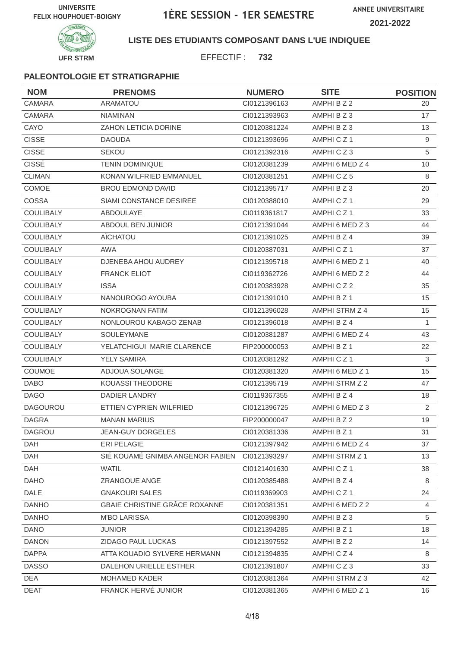

## **LISTE DES ETUDIANTS COMPOSANT DANS L'UE INDIQUEE**

EFFECTIF : **732**

| <b>NOM</b>       | <b>PRENOMS</b>                   | <b>NUMERO</b> | <b>SITE</b>          | <b>POSITION</b> |
|------------------|----------------------------------|---------------|----------------------|-----------------|
| <b>CAMARA</b>    | <b>ARAMATOU</b>                  | Cl0121396163  | AMPHI B Z 2          | 20              |
| <b>CAMARA</b>    | <b>NIAMINAN</b>                  | Cl0121393963  | AMPHI B Z 3          | 17              |
| CAYO             | ZAHON LETICIA DORINE             | CI0120381224  | AMPHI B Z 3          | 13              |
| <b>CISSE</b>     | <b>DAOUDA</b>                    | CI0121393696  | AMPHICZ <sub>1</sub> | 9               |
| <b>CISSE</b>     | <b>SEKOU</b>                     | CI0121392316  | AMPHICZ3             | $\sqrt{5}$      |
| <b>CISSÉ</b>     | <b>TENIN DOMINIQUE</b>           | CI0120381239  | AMPHI 6 MED Z 4      | 10              |
| <b>CLIMAN</b>    | KONAN WILFRIED EMMANUEL          | CI0120381251  | AMPHICZ5             | 8               |
| COMOE            | <b>BROU EDMOND DAVID</b>         | CI0121395717  | AMPHIBZ3             | 20              |
| COSSA            | SIAMI CONSTANCE DESIREE          | CI0120388010  | AMPHICZ1             | 29              |
| <b>COULIBALY</b> | ABDOULAYE                        | CI0119361817  | AMPHICZ1             | 33              |
| <b>COULIBALY</b> | ABDOUL BEN JUNIOR                | CI0121391044  | AMPHI 6 MED Z 3      | 44              |
| COULIBALY        | AÏCHATOU                         | CI0121391025  | AMPHI B Z 4          | 39              |
| <b>COULIBALY</b> | <b>AWA</b>                       | CI0120387031  | AMPHICZ <sub>1</sub> | 37              |
| <b>COULIBALY</b> | DJENEBA AHOU AUDREY              | CI0121395718  | AMPHI 6 MED Z 1      | 40              |
| COULIBALY        | <b>FRANCK ELIOT</b>              | CI0119362726  | AMPHI 6 MED Z 2      | 44              |
| <b>COULIBALY</b> | <b>ISSA</b>                      | CI0120383928  | AMPHICZ2             | 35              |
| COULIBALY        | NANOUROGO AYOUBA                 | Cl0121391010  | AMPHI B Z 1          | 15              |
| <b>COULIBALY</b> | NOKROGNAN FATIM                  | CI0121396028  | AMPHI STRM Z 4       | 15              |
| <b>COULIBALY</b> | NONLOUROU KABAGO ZENAB           | CI0121396018  | AMPHI B Z 4          | 1               |
| COULIBALY        | SOULEYMANE                       | CI0120381287  | AMPHI 6 MED Z 4      | 43              |
| <b>COULIBALY</b> | YELATCHIGUI MARIE CLARENCE       | FIP200000053  | AMPHI B Z 1          | 22              |
| <b>COULIBALY</b> | <b>YELY SAMIRA</b>               | CI0120381292  | AMPHICZ <sub>1</sub> | 3               |
| COUMOE           | ADJOUA SOLANGE                   | CI0120381320  | AMPHI 6 MED Z 1      | 15              |
| <b>DABO</b>      | <b>KOUASSI THEODORE</b>          | CI0121395719  | AMPHI STRM Z 2       | 47              |
| <b>DAGO</b>      | <b>DADIER LANDRY</b>             | CI0119367355  | AMPHI B Z 4          | 18              |
| <b>DAGOUROU</b>  | ETTIEN CYPRIEN WILFRIED          | CI0121396725  | AMPHI 6 MED Z 3      | 2               |
| <b>DAGRA</b>     | <b>MANAN MARIUS</b>              | FIP200000047  | AMPHI B Z 2          | 19              |
| DAGROU           | <b>JEAN-GUY DORGELES</b>         | CI0120381336  | AMPHI B Z 1          | 31              |
| DAH              | ERI PELAGIE                      | CI0121397942  | AMPHI 6 MED Z 4      | 37              |
| DAH              | SIË KOUAMË GNIMBA ANGENOR FABIEN | CI0121393297  | AMPHI STRM Z 1       | 13              |
| DAH              | WATIL                            | CI0121401630  | AMPHICZ1             | 38              |
| <b>DAHO</b>      | <b>ZRANGOUE ANGE</b>             | CI0120385488  | AMPHI B Z 4          | 8               |
| DALE             | <b>GNAKOURI SALES</b>            | CI0119369903  | AMPHICZ1             | 24              |
| <b>DANHO</b>     | GBAIE CHRISTINE GRÂCE ROXANNE    | CI0120381351  | AMPHI 6 MED Z 2      | $\overline{4}$  |
| <b>DANHO</b>     | <b>M'BO LARISSA</b>              | CI0120398390  | AMPHI B Z 3          | 5               |
| <b>DANO</b>      | <b>JUNIOR</b>                    | CI0121394285  | AMPHI B Z 1          | 18              |
| <b>DANON</b>     | ZIDAGO PAUL LUCKAS               | CI0121397552  | AMPHI B Z 2          | 14              |
| <b>DAPPA</b>     | ATTA KOUADIO SYLVERE HERMANN     | CI0121394835  | AMPHICZ4             | 8               |
| <b>DASSO</b>     | DALEHON URIELLE ESTHER           | Cl0121391807  | AMPHICZ3             | 33              |
| <b>DEA</b>       | MOHAMED KADER                    | Cl0120381364  | AMPHI STRM Z 3       | 42              |
| <b>DEAT</b>      | FRANCK HERVÉ JUNIOR              | CI0120381365  | AMPHI 6 MED Z 1      | 16              |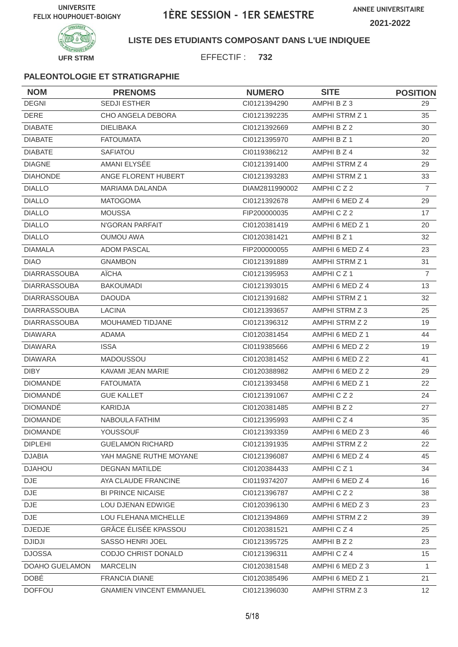

## **LISTE DES ETUDIANTS COMPOSANT DANS L'UE INDIQUEE**

EFFECTIF : **732**

| <b>NOM</b>          | <b>PRENOMS</b>                  | <b>NUMERO</b>  | <b>SITE</b>     | <b>POSITION</b> |
|---------------------|---------------------------------|----------------|-----------------|-----------------|
| <b>DEGNI</b>        | <b>SEDJI ESTHER</b>             | CI0121394290   | AMPHI B Z 3     | 29              |
| <b>DERE</b>         | CHO ANGELA DEBORA               | CI0121392235   | AMPHI STRM Z 1  | 35              |
| <b>DIABATE</b>      | <b>DIELIBAKA</b>                | CI0121392669   | AMPHI B Z 2     | 30              |
| <b>DIABATE</b>      | <b>FATOUMATA</b>                | CI0121395970   | AMPHI B Z 1     | 20              |
| <b>DIABATE</b>      | <b>SAFIATOU</b>                 | CI0119386212   | AMPHI B Z 4     | 32              |
| <b>DIAGNE</b>       | AMANI ELYSÉE                    | CI0121391400   | AMPHI STRM Z 4  | 29              |
| <b>DIAHONDE</b>     | ANGE FLORENT HUBERT             | CI0121393283   | AMPHI STRM Z 1  | 33              |
| <b>DIALLO</b>       | <b>MARIAMA DALANDA</b>          | DIAM2811990002 | AMPHICZ2        | $\overline{7}$  |
| <b>DIALLO</b>       | <b>MATOGOMA</b>                 | CI0121392678   | AMPHI 6 MED Z 4 | 29              |
| <b>DIALLO</b>       | <b>MOUSSA</b>                   | FIP200000035   | AMPHICZ2        | 17              |
| <b>DIALLO</b>       | N'GORAN PARFAIT                 | CI0120381419   | AMPHI 6 MED Z 1 | 20              |
| <b>DIALLO</b>       | <b>OUMOU AWA</b>                | CI0120381421   | AMPHI B Z 1     | 32              |
| <b>DIAMALA</b>      | <b>ADOM PASCAL</b>              | FIP200000055   | AMPHI 6 MED Z 4 | 23              |
| <b>DIAO</b>         | <b>GNAMBON</b>                  | CI0121391889   | AMPHI STRM Z 1  | 31              |
| <b>DIARRASSOUBA</b> | <b>AÏCHA</b>                    | CI0121395953   | AMPHICZ1        | $\overline{7}$  |
| <b>DIARRASSOUBA</b> | <b>BAKOUMADI</b>                | CI0121393015   | AMPHI 6 MED Z 4 | 13              |
| <b>DIARRASSOUBA</b> | <b>DAOUDA</b>                   | CI0121391682   | AMPHI STRM Z 1  | 32              |
| <b>DIARRASSOUBA</b> | <b>LACINA</b>                   | CI0121393657   | AMPHI STRM Z 3  | 25              |
| <b>DIARRASSOUBA</b> | MOUHAMED TIDJANE                | CI0121396312   | AMPHI STRM Z 2  | 19              |
| <b>DIAWARA</b>      | <b>ADAMA</b>                    | CI0120381454   | AMPHI 6 MED Z 1 | 44              |
| <b>DIAWARA</b>      | <b>ISSA</b>                     | CI0119385666   | AMPHI 6 MED Z 2 | 19              |
| <b>DIAWARA</b>      | MADOUSSOU                       | CI0120381452   | AMPHI 6 MED Z 2 | 41              |
| <b>DIBY</b>         | KAVAMI JEAN MARIE               | CI0120388982   | AMPHI 6 MED Z 2 | 29              |
| <b>DIOMANDE</b>     | <b>FATOUMATA</b>                | CI0121393458   | AMPHI 6 MED Z 1 | 22              |
| <b>DIOMANDE</b>     | <b>GUE KALLET</b>               | CI0121391067   | AMPHICZ2        | 24              |
| <b>DIOMANDÉ</b>     | KARIDJA                         | CI0120381485   | AMPHI B Z 2     | 27              |
| <b>DIOMANDE</b>     | <b>NABOULA FATHIM</b>           | CI0121395993   | AMPHICZ4        | 35              |
| <b>DIOMANDE</b>     | YOUSSOUF                        | CI0121393359   | AMPHI 6 MED Z 3 | 46              |
| <b>DIPLEHI</b>      | <b>GUELAMON RICHARD</b>         | CI0121391935   | AMPHI STRM Z 2  | 22              |
| DJABIA              | YAH MAGNE RUTHE MOYANE          | CI0121396087   | AMPHI 6 MED Z 4 | 45              |
| <b>DJAHOU</b>       | <b>DEGNAN MATILDE</b>           | CI0120384433   | AMPHICZ1        | 34              |
| <b>DJE</b>          | AYA CLAUDE FRANCINE             | CI0119374207   | AMPHI 6 MED Z 4 | 16              |
| DJE                 | <b>BI PRINCE NICAISE</b>        | CI0121396787   | AMPHICZ2        | 38              |
| DJE                 | LOU DJENAN EDWIGE               | CI0120396130   | AMPHI 6 MED Z 3 | 23              |
| <b>DJE</b>          | LOU FLEHANA MICHELLE            | CI0121394869   | AMPHI STRM Z 2  | 39              |
| <b>DJEDJE</b>       | GRÂCE ÉLISÉE KPASSOU            | CI0120381521   | AMPHICZ4        | 25              |
| <b>DJIDJI</b>       | SASSO HENRI JOEL                | CI0121395725   | AMPHI B Z 2     | 23              |
| <b>DJOSSA</b>       | CODJO CHRIST DONALD             | CI0121396311   | AMPHICZ4        | 15              |
| DOAHO GUELAMON      | <b>MARCELIN</b>                 | CI0120381548   | AMPHI 6 MED Z 3 | $\mathbf{1}$    |
| <b>DOBÉ</b>         | <b>FRANCIA DIANE</b>            | CI0120385496   | AMPHI 6 MED Z 1 | 21              |
| <b>DOFFOU</b>       | <b>GNAMIEN VINCENT EMMANUEL</b> | CI0121396030   | AMPHI STRM Z 3  | 12              |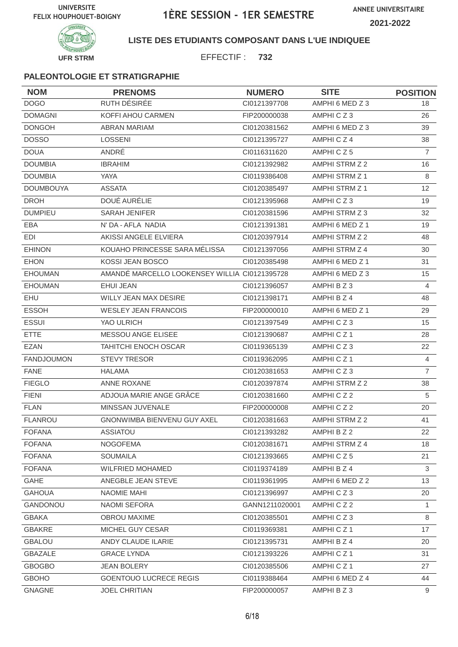



## **LISTE DES ETUDIANTS COMPOSANT DANS L'UE INDIQUEE**

EFFECTIF : **732**

| <b>NOM</b>        | <b>PRENOMS</b>                                | <b>NUMERO</b>  | <b>SITE</b>           | <b>POSITION</b> |
|-------------------|-----------------------------------------------|----------------|-----------------------|-----------------|
| <b>DOGO</b>       | RUTH DÉSIRÉE                                  | CI0121397708   | AMPHI 6 MED Z 3       | 18              |
| <b>DOMAGNI</b>    | KOFFI AHOU CARMEN                             | FIP200000038   | AMPHICZ3              | 26              |
| <b>DONGOH</b>     | <b>ABRAN MARIAM</b>                           | CI0120381562   | AMPHI 6 MED Z 3       | 39              |
| <b>DOSSO</b>      | <b>LOSSENI</b>                                | CI0121395727   | AMPHICZ4              | 38              |
| <b>DOUA</b>       | ANDRÉ                                         | CI0116311620   | AMPHICZ5              | $\overline{7}$  |
| <b>DOUMBIA</b>    | <b>IBRAHIM</b>                                | CI0121392982   | AMPHI STRM Z 2        | 16              |
| <b>DOUMBIA</b>    | YAYA                                          | CI0119386408   | AMPHI STRM Z 1        | 8               |
| <b>DOUMBOUYA</b>  | <b>ASSATA</b>                                 | CI0120385497   | <b>AMPHI STRM Z 1</b> | 12              |
| <b>DROH</b>       | DOUÉ AURÉLIE                                  | CI0121395968   | AMPHICZ3              | 19              |
| <b>DUMPIEU</b>    | <b>SARAH JENIFER</b>                          | CI0120381596   | AMPHI STRM Z 3        | 32              |
| EBA               | N' DA - AFLA NADIA                            | CI0121391381   | AMPHI 6 MED Z 1       | 19              |
| EDI               | AKISSI ANGELE ELVIERA                         | CI0120397914   | AMPHI STRM Z 2        | 48              |
| <b>EHINON</b>     | KOUAHO PRINCESSE SARA MÉLISSA                 | CI0121397056   | AMPHI STRM Z 4        | 30              |
| <b>EHON</b>       | KOSSI JEAN BOSCO                              | CI0120385498   | AMPHI 6 MED Z 1       | 31              |
| <b>EHOUMAN</b>    | AMANDÉ MARCELLO LOOKENSEY WILLIA CI0121395728 |                | AMPHI 6 MED Z 3       | 15              |
| <b>EHOUMAN</b>    | <b>EHUI JEAN</b>                              | CI0121396057   | AMPHI B Z 3           | 4               |
| EHU               | <b>WILLY JEAN MAX DESIRE</b>                  | CI0121398171   | AMPHI B Z 4           | 48              |
| <b>ESSOH</b>      | <b>WESLEY JEAN FRANCOIS</b>                   | FIP200000010   | AMPHI 6 MED Z 1       | 29              |
| <b>ESSUI</b>      | YAO ULRICH                                    | CI0121397549   | AMPHICZ3              | 15              |
| <b>ETTE</b>       | MESSOU ANGE ELISEE                            | CI0121390687   | AMPHICZ1              | 28              |
| <b>EZAN</b>       | <b>TAHITCHI ENOCH OSCAR</b>                   | CI0119365139   | AMPHICZ3              | 22              |
| <b>FANDJOUMON</b> | <b>STEVY TRESOR</b>                           | CI0119362095   | AMPHICZ1              | $\overline{4}$  |
| <b>FANE</b>       | <b>HALAMA</b>                                 | CI0120381653   | AMPHICZ3              | $\overline{7}$  |
| <b>FIEGLO</b>     | <b>ANNE ROXANE</b>                            | CI0120397874   | AMPHI STRM Z 2        | 38              |
| <b>FIENI</b>      | ADJOUA MARIE ANGE GRÂCE                       | CI0120381660   | AMPHICZ2              | 5               |
| <b>FLAN</b>       | MINSSAN JUVENALE                              | FIP200000008   | AMPHICZ2              | 20              |
| <b>FLANROU</b>    | <b>GNONWIMBA BIENVENU GUY AXEL</b>            | Cl0120381663   | <b>AMPHI STRM Z 2</b> | 41              |
| <b>FOFANA</b>     | ASSIATOU                                      | CI0121393282   | AMPHI B Z 2           | 22              |
| <b>FOFANA</b>     | <b>NOGOFEMA</b>                               | Cl0120381671   | AMPHI STRM Z 4        | 18              |
| <b>FOFANA</b>     | <b>SOUMAILA</b>                               | CI0121393665   | AMPHICZ5              | 21              |
| <b>FOFANA</b>     | <b>WILFRIED MOHAMED</b>                       | CI0119374189   | AMPHI B Z 4           | 3               |
| <b>GAHE</b>       | ANEGBLE JEAN STEVE                            | CI0119361995   | AMPHI 6 MED Z 2       | 13              |
| <b>GAHOUA</b>     | NAOMIE MAHI                                   | CI0121396997   | AMPHICZ3              | 20              |
| GANDONOU          | NAOMI SEFORA                                  | GANN1211020001 | AMPHICZ2              | $\mathbf{1}$    |
| <b>GBAKA</b>      | <b>OBROU MAXIME</b>                           | CI0120385501   | AMPHICZ3              | 8               |
| <b>GBAKRE</b>     | MICHEL GUY CESAR                              | CI0119369381   | AMPHICZ1              | 17              |
| <b>GBALOU</b>     | ANDY CLAUDE ILARIE                            | CI0121395731   | AMPHI B Z 4           | 20              |
| <b>GBAZALE</b>    | <b>GRACE LYNDA</b>                            | CI0121393226   | AMPHICZ1              | 31              |
| <b>GBOGBO</b>     | <b>JEAN BOLERY</b>                            | CI0120385506   | AMPHICZ1              | 27              |
| <b>GBOHO</b>      | <b>GOENTOUO LUCRECE REGIS</b>                 | CI0119388464   | AMPHI 6 MED Z 4       | 44              |
| <b>GNAGNE</b>     | JOEL CHRITIAN                                 | FIP200000057   | AMPHI B Z 3           | 9               |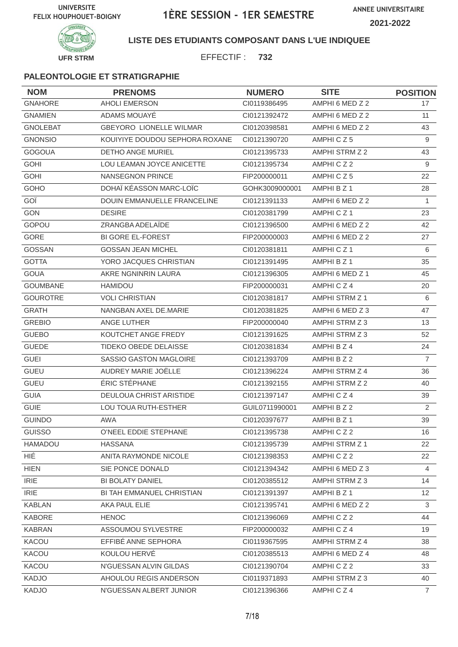



## **LISTE DES ETUDIANTS COMPOSANT DANS L'UE INDIQUEE**

EFFECTIF : **732**

| <b>NOM</b>      | <b>PRENOMS</b>                 | <b>NUMERO</b>  | <b>SITE</b>          | <b>POSITION</b> |
|-----------------|--------------------------------|----------------|----------------------|-----------------|
| <b>GNAHORE</b>  | <b>AHOLI EMERSON</b>           | CI0119386495   | AMPHI 6 MED Z 2      | 17              |
| <b>GNAMIEN</b>  | ADAMS MOUAYE                   | CI0121392472   | AMPHI 6 MED Z 2      | 11              |
| <b>GNOLEBAT</b> | <b>GBEYORO LIONELLE WILMAR</b> | CI0120398581   | AMPHI 6 MED Z 2      | 43              |
| <b>GNONSIO</b>  | KOUIYIYE DOUDOU SEPHORA ROXANE | CI0121390720   | AMPHICZ5             | 9               |
| <b>GOGOUA</b>   | <b>DETHO ANGE MURIEL</b>       | CI0121395733   | AMPHI STRM Z 2       | 43              |
| <b>GOHI</b>     | LOU LEAMAN JOYCE ANICETTE      | CI0121395734   | AMPHICZ2             | 9               |
| <b>GOHI</b>     | <b>NANSEGNON PRINCE</b>        | FIP200000011   | AMPHICZ5             | 22              |
| GOHO            | DOHAÏ KÉASSON MARC-LOÏC        | GOHK3009000001 | AMPHI B Z 1          | 28              |
| GOÏ             | DOUIN EMMANUELLE FRANCELINE    | CI0121391133   | AMPHI 6 MED Z 2      | $\mathbf{1}$    |
| <b>GON</b>      | <b>DESIRE</b>                  | CI0120381799   | AMPHICZ <sub>1</sub> | 23              |
| GOPOU           | ZRANGBA ADELAÏDE               | CI0121396500   | AMPHI 6 MED Z 2      | 42              |
| <b>GORE</b>     | <b>BI GORE EL-FOREST</b>       | FIP200000003   | AMPHI 6 MED Z 2      | 27              |
| <b>GOSSAN</b>   | <b>GOSSAN JEAN MICHEL</b>      | CI0120381811   | AMPHICZ <sub>1</sub> | 6               |
| <b>GOTTA</b>    | YORO JACQUES CHRISTIAN         | CI0121391495   | AMPHI B Z 1          | 35              |
| <b>GOUA</b>     | AKRE NGNINRIN LAURA            | CI0121396305   | AMPHI 6 MED Z 1      | 45              |
| <b>GOUMBANE</b> | <b>HAMIDOU</b>                 | FIP200000031   | AMPHICZ4             | 20              |
| <b>GOUROTRE</b> | <b>VOLI CHRISTIAN</b>          | CI0120381817   | AMPHI STRM Z 1       | 6               |
| <b>GRATH</b>    | NANGBAN AXEL DE.MARIE          | CI0120381825   | AMPHI 6 MED Z 3      | 47              |
| <b>GREBIO</b>   | ANGE LUTHER                    | FIP200000040   | AMPHI STRM Z 3       | 13              |
| <b>GUEBO</b>    | KOUTCHET ANGE FREDY            | CI0121391625   | AMPHI STRM Z 3       | 52              |
| <b>GUEDE</b>    | TIDEKO OBEDE DELAISSE          | CI0120381834   | AMPHI B Z 4          | 24              |
| <b>GUEI</b>     | SASSIO GASTON MAGLOIRE         | CI0121393709   | AMPHI B Z 2          | $\overline{7}$  |
| <b>GUEU</b>     | AUDREY MARIE JOËLLE            | CI0121396224   | AMPHI STRM Z 4       | 36              |
| <b>GUEU</b>     | ÉRIC STÉPHANE                  | CI0121392155   | AMPHI STRM Z 2       | 40              |
| <b>GUIA</b>     | <b>DEULOUA CHRIST ARISTIDE</b> | CI0121397147   | AMPHICZ4             | 39              |
| <b>GUIE</b>     | LOU TOUA RUTH-ESTHER           | GUIL0711990001 | AMPHI B Z 2          | 2               |
| <b>GUINDO</b>   | <b>AWA</b>                     | CI0120397677   | AMPHI B Z 1          | 39              |
| GUISSO          | O'NEEL EDDIE STEPHANE          | CI0121395738   | AMPHICZ2             | 16              |
| HAMADOU         | <b>HASSANA</b>                 | CI0121395739   | AMPHI STRM Z 1       | 22              |
| HIÉ             | ANITA RAYMONDE NICOLE          | CI0121398353   | AMPHICZ2             | 22              |
| <b>HIEN</b>     | SIE PONCE DONALD               | CI0121394342   | AMPHI 6 MED Z 3      | 4               |
| <b>IRIE</b>     | <b>BI BOLATY DANIEL</b>        | CI0120385512   | AMPHI STRM Z 3       | 14              |
| <b>IRIE</b>     | BI TAH EMMANUEL CHRISTIAN      | CI0121391397   | AMPHI B Z 1          | 12 <sup>2</sup> |
| <b>KABLAN</b>   | AKA PAUL ELIE                  | CI0121395741   | AMPHI 6 MED Z 2      | 3               |
| <b>KABORE</b>   | <b>HENOC</b>                   | CI0121396069   | AMPHICZ2             | 44              |
| <b>KABRAN</b>   | ASSOUMOU SYLVESTRE             | FIP200000032   | AMPHICZ4             | 19              |
| KACOU           | EFFIBÉ ANNE SEPHORA            | CI0119367595   | AMPHI STRM Z 4       | 38              |
| KACOU           | KOULOU HERVÉ                   | CI0120385513   | AMPHI 6 MED Z 4      | 48              |
| <b>KACOU</b>    | N'GUESSAN ALVIN GILDAS         | CI0121390704   | AMPHICZ2             | 33              |
| <b>KADJO</b>    | AHOULOU REGIS ANDERSON         | CI0119371893   | AMPHI STRM Z 3       | 40              |
| <b>KADJO</b>    | N'GUESSAN ALBERT JUNIOR        | CI0121396366   | AMPHICZ4             | $\overline{7}$  |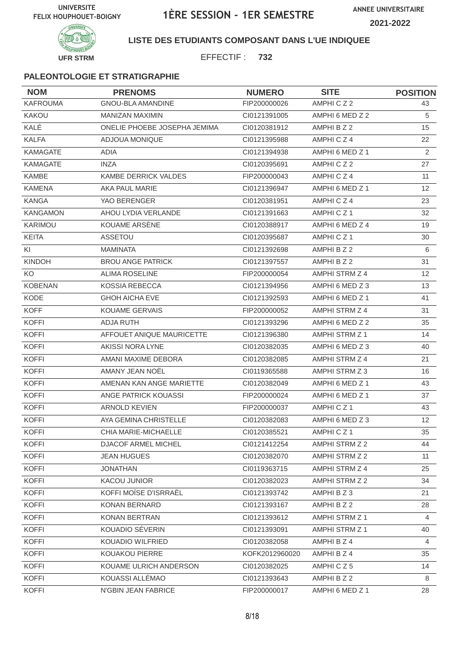

## **LISTE DES ETUDIANTS COMPOSANT DANS L'UE INDIQUEE**

EFFECTIF : **732**

| <b>NOM</b>      | <b>PRENOMS</b>               | <b>NUMERO</b>  | <b>SITE</b>     | <b>POSITION</b> |
|-----------------|------------------------------|----------------|-----------------|-----------------|
| <b>KAFROUMA</b> | <b>GNOU-BLA AMANDINE</b>     | FIP200000026   | AMPHICZ2        | 43              |
| KAKOU           | <b>MANIZAN MAXIMIN</b>       | CI0121391005   | AMPHI 6 MED Z 2 | 5               |
| KALÉ            | ONELIE PHOEBE JOSEPHA JEMIMA | CI0120381912   | AMPHI B Z 2     | 15              |
| <b>KALFA</b>    | ADJOUA MONIQUE               | CI0121395988   | AMPHICZ4        | 22              |
| <b>KAMAGATE</b> | ADIA                         | CI0121394938   | AMPHI 6 MED Z 1 | $\mathbf{2}$    |
| <b>KAMAGATE</b> | <b>INZA</b>                  | CI0120395691   | AMPHICZ2        | 27              |
| <b>KAMBE</b>    | KAMBE DERRICK VALDES         | FIP200000043   | AMPHICZ4        | 11              |
| <b>KAMENA</b>   | AKA PAUL MARIE               | CI0121396947   | AMPHI 6 MED Z 1 | 12              |
| <b>KANGA</b>    | YAO BERENGER                 | CI0120381951   | AMPHICZ4        | 23              |
| <b>KANGAMON</b> | AHOU LYDIA VERLANDE          | CI0121391663   | AMPHICZ1        | 32              |
| KARIMOU         | KOUAME ARSENE                | CI0120388917   | AMPHI 6 MED Z 4 | 19              |
| <b>KEITA</b>    | ASSETOU                      | CI0120395687   | AMPHICZ1        | 30              |
| KI              | <b>MAMINATA</b>              | CI0121392698   | AMPHI B Z 2     | 6               |
| <b>KINDOH</b>   | <b>BROU ANGE PATRICK</b>     | CI0121397557   | AMPHI B Z 2     | 31              |
| KO              | <b>ALIMA ROSELINE</b>        | FIP200000054   | AMPHI STRM Z 4  | 12              |
| <b>KOBENAN</b>  | KOSSIA REBECCA               | CI0121394956   | AMPHI 6 MED Z 3 | 13              |
| KODE            | <b>GHOH AICHA EVE</b>        | CI0121392593   | AMPHI 6 MED Z 1 | 41              |
| <b>KOFF</b>     | <b>KOUAME GERVAIS</b>        | FIP200000052   | AMPHI STRM Z 4  | 31              |
| <b>KOFFI</b>    | <b>ADJA RUTH</b>             | CI0121393296   | AMPHI 6 MED Z 2 | 35              |
| <b>KOFFI</b>    | AFFOUET ANIQUE MAURICETTE    | CI0121396380   | AMPHI STRM Z 1  | 14              |
| <b>KOFFI</b>    | <b>AKISSI NORA LYNE</b>      | CI0120382035   | AMPHI 6 MED Z 3 | 40              |
| <b>KOFFI</b>    | AMANI MAXIME DEBORA          | CI0120382085   | AMPHI STRM Z 4  | 21              |
| <b>KOFFI</b>    | AMANY JEAN NOËL              | CI0119365588   | AMPHI STRM Z 3  | 16              |
| <b>KOFFI</b>    | AMENAN KAN ANGE MARIETTE     | CI0120382049   | AMPHI 6 MED Z 1 | 43              |
| <b>KOFFI</b>    | ANGE PATRICK KOUASSI         | FIP200000024   | AMPHI 6 MED Z 1 | 37              |
| <b>KOFFI</b>    | <b>ARNOLD KEVIEN</b>         | FIP200000037   | AMPHICZ1        | 43              |
| <b>KOFFI</b>    | AYA GEMINA CHRISTELLE        | CI0120382083   | AMPHI 6 MED Z 3 | 12              |
| KOFFI           | CHIA MARIE-MICHAELLE         | CI0120385521   | AMPHICZ1        | 35              |
| <b>KOFFI</b>    | DJACOF ARMEL MICHEL          | CI0121412254   | AMPHI STRM Z 2  | 44              |
| <b>KOFFI</b>    | <b>JEAN HUGUES</b>           | CI0120382070   | AMPHI STRM Z 2  | 11              |
| <b>KOFFI</b>    | <b>JONATHAN</b>              | CI0119363715   | AMPHI STRM Z 4  | 25              |
| <b>KOFFI</b>    | KACOU JUNIOR                 | CI0120382023   | AMPHI STRM Z 2  | 34              |
| <b>KOFFI</b>    | KOFFI MOÏSE D'ISRRAËL        | CI0121393742   | AMPHI B Z 3     | 21              |
| <b>KOFFI</b>    | KONAN BERNARD                | Cl0121393167   | AMPHI B Z 2     | 28              |
| <b>KOFFI</b>    | <b>KONAN BERTRAN</b>         | CI0121393612   | AMPHI STRM Z 1  | 4               |
| <b>KOFFI</b>    | KOUADIO SÉVERIN              | CI0121393091   | AMPHI STRM Z 1  | 40              |
| <b>KOFFI</b>    | KOUADIO WILFRIED             | CI0120382058   | AMPHI B Z 4     | 4               |
| <b>KOFFI</b>    | KOUAKOU PIERRE               | KOFK2012960020 | AMPHI B Z 4     | 35              |
| <b>KOFFI</b>    | KOUAME ULRICH ANDERSON       | CI0120382025   | AMPHICZ5        | 14              |
| <b>KOFFI</b>    | KOUASSI ALLÉMAO              | Cl0121393643   | AMPHI B Z 2     | 8               |
| <b>KOFFI</b>    | N'GBIN JEAN FABRICE          | FIP200000017   | AMPHI 6 MED Z 1 | 28              |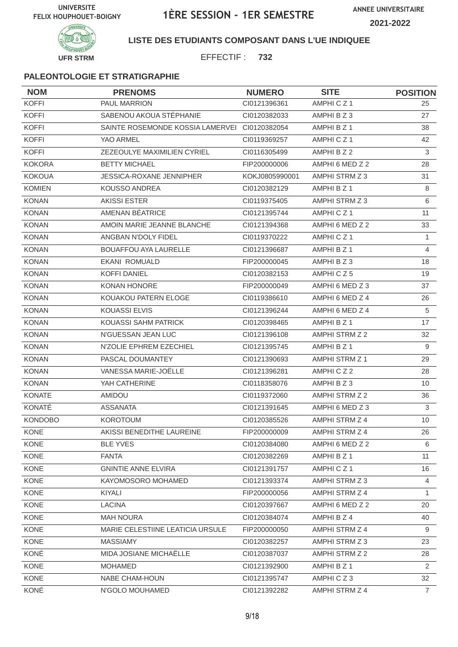

## **LISTE DES ETUDIANTS COMPOSANT DANS L'UE INDIQUEE**

EFFECTIF : **732**

| <b>NOM</b>     | <b>PRENOMS</b>                                | <b>NUMERO</b>  | <b>SITE</b>     | <b>POSITION</b> |
|----------------|-----------------------------------------------|----------------|-----------------|-----------------|
| <b>KOFFI</b>   | PAUL MARRION                                  | CI0121396361   | AMPHICZ1        | 25              |
| <b>KOFFI</b>   | SABENOU AKOUA STÉPHANIE                       | CI0120382033   | AMPHI B Z 3     | 27              |
| <b>KOFFI</b>   | SAINTE ROSEMONDE KOSSIA LAMERVEI CI0120382054 |                | AMPHI B Z 1     | 38              |
| <b>KOFFI</b>   | YAO ARMEL                                     | CI0119369257   | AMPHICZ1        | 42              |
| <b>KOFFI</b>   | ZEZEOULYE MAXIMILIEN CYRIEL                   | CI0116305499   | AMPHI B Z 2     | 3               |
| <b>KOKORA</b>  | <b>BETTY MICHAEL</b>                          | FIP200000006   | AMPHI 6 MED Z 2 | 28              |
| <b>KOKOUA</b>  | JESSICA-ROXANE JENNIPHER                      | KOKJ0805990001 | AMPHI STRM Z 3  | 31              |
| <b>KOMIEN</b>  | <b>KOUSSO ANDREA</b>                          | CI0120382129   | AMPHI B Z 1     | 8               |
| <b>KONAN</b>   | <b>AKISSI ESTER</b>                           | CI0119375405   | AMPHI STRM Z 3  | 6               |
| <b>KONAN</b>   | AMENAN BÉATRICE                               | CI0121395744   | AMPHICZ1        | 11              |
| <b>KONAN</b>   | AMOIN MARIE JEANNE BLANCHE                    | CI0121394368   | AMPHI 6 MED Z 2 | 33              |
| <b>KONAN</b>   | ANGBAN N'DOLY FIDEL                           | CI0119370222   | AMPHICZ1        | $\mathbf{1}$    |
| <b>KONAN</b>   | <b>BOUAFFOU AYA LAURELLE</b>                  | CI0121396687   | AMPHI B Z 1     | $\overline{4}$  |
| <b>KONAN</b>   | <b>EKANI ROMUALD</b>                          | FIP200000045   | AMPHI B Z 3     | 18              |
| <b>KONAN</b>   | <b>KOFFI DANIEL</b>                           | CI0120382153   | AMPHICZ5        | 19              |
| <b>KONAN</b>   | <b>KONAN HONORE</b>                           | FIP200000049   | AMPHI 6 MED Z 3 | 37              |
| <b>KONAN</b>   | KOUAKOU PATERN ELOGE                          | CI0119386610   | AMPHI 6 MED Z 4 | 26              |
| <b>KONAN</b>   | <b>KOUASSI ELVIS</b>                          | CI0121396244   | AMPHI 6 MED Z 4 | 5               |
| <b>KONAN</b>   | KOUASSI SAHM PATRICK                          | CI0120398465   | AMPHI B Z 1     | 17              |
| <b>KONAN</b>   | N'GUESSAN JEAN LUC                            | CI0121396108   | AMPHI STRM Z 2  | 32              |
| <b>KONAN</b>   | N'ZOLIE EPHREM EZECHIEL                       | CI0121395745   | AMPHI B Z 1     | 9               |
| <b>KONAN</b>   | PASCAL DOUMANTEY                              | CI0121390693   | AMPHI STRM Z 1  | 29              |
| <b>KONAN</b>   | VANESSA MARIE-JOËLLE                          | CI0121396281   | AMPHICZ2        | 28              |
| <b>KONAN</b>   | YAH CATHERINE                                 | CI0118358076   | AMPHI B Z 3     | 10              |
| <b>KONATE</b>  | <b>AMIDOU</b>                                 | CI0119372060   | AMPHI STRM Z 2  | 36              |
| KONATÉ         | <b>ASSANATA</b>                               | CI0121391645   | AMPHI 6 MED Z 3 | 3               |
| <b>KONDOBO</b> | <b>KOROTOUM</b>                               | CI0120385526   | AMPHI STRM Z 4  | 10              |
| KONE           | AKISSI BENEDITHE LAUREINE                     | FIP200000009   | AMPHI STRM Z 4  | 26              |
| KONE           | <b>BLE YVES</b>                               | CI0120384080   | AMPHI 6 MED Z 2 | 6               |
| KONE           | <b>FANTA</b>                                  | CI0120382269   | AMPHI B Z 1     | 11              |
| KONE           | <b>GNINTIE ANNE ELVIRA</b>                    | Cl0121391757   | AMPHICZ1        | 16              |
| <b>KONE</b>    | KAYOMOSORO MOHAMED                            | CI0121393374   | AMPHI STRM Z 3  | $\overline{4}$  |
| KONE           | KIYALI                                        | FIP200000056   | AMPHI STRM Z 4  | 1               |
| KONE           | <b>LACINA</b>                                 | CI0120397667   | AMPHI 6 MED Z 2 | 20              |
| <b>KONE</b>    | <b>MAH NOURA</b>                              | CI0120384074   | AMPHI B Z 4     | 40              |
| KONE           | MARIE CELESTIINE LEATICIA URSULE              | FIP200000050   | AMPHI STRM Z 4  | 9               |
| KONE           | <b>MASSIAMY</b>                               | CI0120382257   | AMPHI STRM Z 3  | 23              |
| KONÉ           | MIDA JOSIANE MICHAËLLE                        | CI0120387037   | AMPHI STRM Z 2  | 28              |
| KONE           | <b>MOHAMED</b>                                | CI0121392900   | AMPHI B Z 1     | 2               |
| KONE           | NABE CHAM-HOUN                                | Cl0121395747   | AMPHICZ3        | 32              |
| KONÉ           | N'GOLO MOUHAMED                               | CI0121392282   | AMPHI STRM Z 4  | $\overline{7}$  |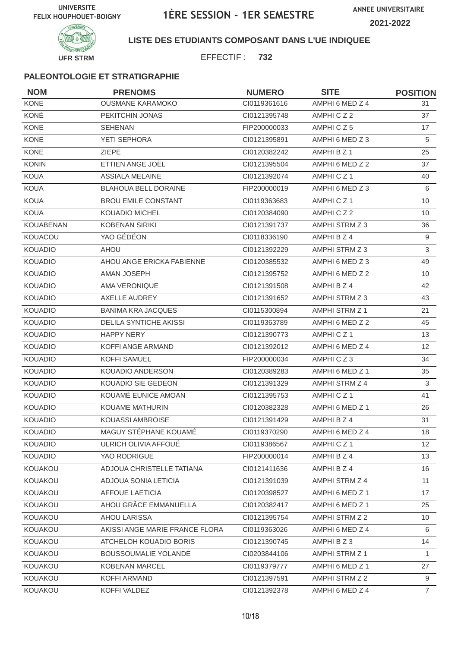



## **LISTE DES ETUDIANTS COMPOSANT DANS L'UE INDIQUEE**

EFFECTIF : **732**

| <b>NOM</b>       | <b>PRENOMS</b>                 | <b>NUMERO</b> | <b>SITE</b>          | <b>POSITION</b> |
|------------------|--------------------------------|---------------|----------------------|-----------------|
| <b>KONE</b>      | <b>OUSMANE KARAMOKO</b>        | CI0119361616  | AMPHI 6 MED Z 4      | 31              |
| KONÉ             | PEKITCHIN JONAS                | CI0121395748  | AMPHICZ2             | 37              |
| <b>KONE</b>      | <b>SEHENAN</b>                 | FIP200000033  | AMPHICZ5             | 17              |
| <b>KONE</b>      | YETI SEPHORA                   | CI0121395891  | AMPHI 6 MED Z 3      | 5               |
| <b>KONE</b>      | <b>ZIEPE</b>                   | CI0120382242  | AMPHI B Z 1          | 25              |
| <b>KONIN</b>     | ETTIEN ANGE JOËL               | CI0121395504  | AMPHI 6 MED Z 2      | 37              |
| <b>KOUA</b>      | <b>ASSIALA MELAINE</b>         | CI0121392074  | AMPHICZ <sub>1</sub> | 40              |
| <b>KOUA</b>      | <b>BLAHOUA BELL DORAINE</b>    | FIP200000019  | AMPHI 6 MED Z 3      | 6               |
| <b>KOUA</b>      | <b>BROU EMILE CONSTANT</b>     | CI0119363683  | AMPHICZ1             | 10              |
| <b>KOUA</b>      | <b>KOUADIO MICHEL</b>          | CI0120384090  | AMPHICZ2             | 10              |
| <b>KOUABENAN</b> | <b>KOBENAN SIRIKI</b>          | CI0121391737  | AMPHI STRM Z 3       | 36              |
| KOUACOU          | YAO GÉDÉON                     | CI0118336190  | AMPHI B Z 4          | 9               |
| <b>KOUADIO</b>   | <b>AHOU</b>                    | CI0121392229  | AMPHI STRM Z 3       | $\mathbf{3}$    |
| <b>KOUADIO</b>   | AHOU ANGE ERICKA FABIENNE      | CI0120385532  | AMPHI 6 MED Z 3      | 49              |
| <b>KOUADIO</b>   | AMAN JOSEPH                    | CI0121395752  | AMPHI 6 MED Z 2      | 10              |
| <b>KOUADIO</b>   | <b>AMA VERONIQUE</b>           | CI0121391508  | AMPHI B Z 4          | 42              |
| <b>KOUADIO</b>   | AXELLE AUDREY                  | CI0121391652  | AMPHI STRM Z 3       | 43              |
| <b>KOUADIO</b>   | <b>BANIMA KRA JACQUES</b>      | CI0115300894  | AMPHI STRM Z 1       | 21              |
| <b>KOUADIO</b>   | <b>DELILA SYNTICHE AKISSI</b>  | CI0119363789  | AMPHI 6 MED Z 2      | 45              |
| <b>KOUADIO</b>   | <b>HAPPY NERY</b>              | CI0121390773  | AMPHICZ1             | 13              |
| <b>KOUADIO</b>   | KOFFI ANGE ARMAND              | CI0121392012  | AMPHI 6 MED Z 4      | 12 <sup>2</sup> |
| <b>KOUADIO</b>   | <b>KOFFI SAMUEL</b>            | FIP200000034  | AMPHICZ3             | 34              |
| <b>KOUADIO</b>   | KOUADIO ANDERSON               | CI0120389283  | AMPHI 6 MED Z 1      | 35              |
| <b>KOUADIO</b>   | KOUADIO SIE GEDEON             | CI0121391329  | AMPHI STRM Z 4       | 3               |
| <b>KOUADIO</b>   | KOUAMÉ EUNICE AMOAN            | CI0121395753  | AMPHICZ1             | 41              |
| <b>KOUADIO</b>   | KOUAME MATHURIN                | CI0120382328  | AMPHI 6 MED Z 1      | 26              |
| <b>KOUADIO</b>   | KOUASSI AMBROISE               | Cl0121391429  | AMPHI B Z 4          | 31              |
| KOUADIO          | MAGUY STÉPHANE KOUAMÉ          | CI0119370290  | AMPHI 6 MED Z 4      | 18              |
| <b>KOUADIO</b>   | ULRICH OLIVIA AFFOUÉ           | CI0119386567  | AMPHICZ1             | 12              |
| <b>KOUADIO</b>   | YAO RODRIGUE                   | FIP200000014  | AMPHI B Z 4          | 13              |
| KOUAKOU          | ADJOUA CHRISTELLE TATIANA      | CI0121411636  | AMPHI B Z 4          | 16              |
| KOUAKOU          | ADJOUA SONIA LETICIA           | CI0121391039  | AMPHI STRM Z 4       | 11              |
| <b>KOUAKOU</b>   | <b>AFFOUE LAETICIA</b>         | CI0120398527  | AMPHI 6 MED Z 1      | 17              |
| KOUAKOU          | AHOU GRÂCE EMMANUELLA          | Cl0120382417  | AMPHI 6 MED Z 1      | 25              |
| KOUAKOU          | AHOU LARISSA                   | CI0121395754  | AMPHI STRM Z 2       | 10 <sup>°</sup> |
| KOUAKOU          | AKISSI ANGE MARIE FRANCE FLORA | CI0119363026  | AMPHI 6 MED Z 4      | 6               |
| KOUAKOU          | ATCHELOH KOUADIO BORIS         | CI0121390745  | AMPHI B Z 3          | 14              |
| <b>KOUAKOU</b>   | <b>BOUSSOUMALIE YOLANDE</b>    | CI0203844106  | AMPHI STRM Z 1       | 1               |
| KOUAKOU          | <b>KOBENAN MARCEL</b>          | CI0119379777  | AMPHI 6 MED Z 1      | 27              |
| KOUAKOU          | KOFFI ARMAND                   | CI0121397591  | AMPHI STRM Z 2       | 9               |
| KOUAKOU          | KOFFI VALDEZ                   | Cl0121392378  | AMPHI 6 MED Z 4      | $\overline{7}$  |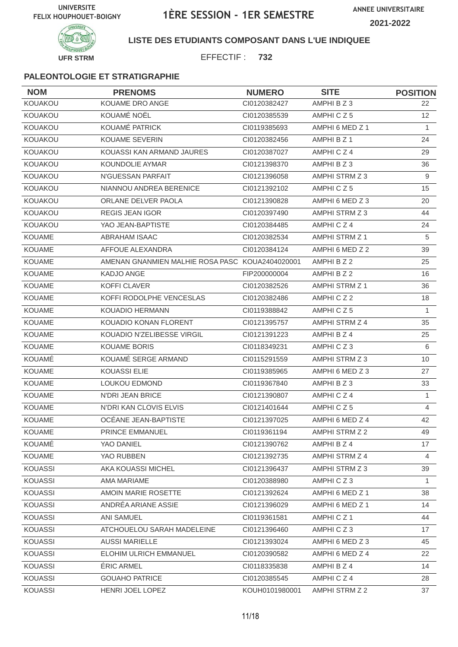

## **LISTE DES ETUDIANTS COMPOSANT DANS L'UE INDIQUEE**

EFFECTIF : **732**

| <b>NOM</b>     | <b>PRENOMS</b>                                  | <b>NUMERO</b>  | <b>SITE</b>     | <b>POSITION</b> |
|----------------|-------------------------------------------------|----------------|-----------------|-----------------|
| KOUAKOU        | KOUAME DRO ANGE                                 | CI0120382427   | AMPHI B Z 3     | 22              |
| KOUAKOU        | KOUAMÉ NOËL                                     | CI0120385539   | AMPHICZ5        | 12 <sup>2</sup> |
| <b>KOUAKOU</b> | KOUAMÉ PATRICK                                  | CI0119385693   | AMPHI 6 MED Z 1 | $\mathbf{1}$    |
| <b>KOUAKOU</b> | <b>KOUAME SEVERIN</b>                           | CI0120382456   | AMPHI B Z 1     | 24              |
| KOUAKOU        | KOUASSI KAN ARMAND JAURES                       | CI0120387027   | AMPHICZ4        | 29              |
| KOUAKOU        | KOUNDOLIE AYMAR                                 | CI0121398370   | AMPHI B Z 3     | 36              |
| KOUAKOU        | N'GUESSAN PARFAIT                               | CI0121396058   | AMPHI STRM Z 3  | 9               |
| KOUAKOU        | NIANNOU ANDREA BERENICE                         | Cl0121392102   | AMPHICZ5        | 15              |
| <b>KOUAKOU</b> | ORLANE DELVER PAOLA                             | CI0121390828   | AMPHI 6 MED Z 3 | 20              |
| KOUAKOU        | <b>REGIS JEAN IGOR</b>                          | CI0120397490   | AMPHI STRM Z 3  | 44              |
| <b>KOUAKOU</b> | YAO JEAN-BAPTISTE                               | CI0120384485   | AMPHICZ4        | 24              |
| <b>KOUAME</b>  | <b>ABRAHAM ISAAC</b>                            | CI0120382534   | AMPHI STRM Z 1  | 5               |
| <b>KOUAME</b>  | AFFOUE ALEXANDRA                                | CI0120384124   | AMPHI 6 MED Z 2 | 39              |
| <b>KOUAME</b>  | AMENAN GNANMIEN MALHIE ROSA PASC KOUA2404020001 |                | AMPHI B Z 2     | 25              |
| <b>KOUAME</b>  | <b>KADJO ANGE</b>                               | FIP200000004   | AMPHI B Z 2     | 16              |
| <b>KOUAME</b>  | <b>KOFFI CLAVER</b>                             | CI0120382526   | AMPHI STRM Z 1  | 36              |
| <b>KOUAME</b>  | KOFFI RODOLPHE VENCESLAS                        | CI0120382486   | AMPHICZ2        | 18              |
| <b>KOUAME</b>  | <b>KOUADIO HERMANN</b>                          | CI0119388842   | AMPHICZ5        | $\mathbf{1}$    |
| <b>KOUAME</b>  | KOUADIO KONAN FLORENT                           | CI0121395757   | AMPHI STRM Z 4  | 35              |
| <b>KOUAME</b>  | KOUADIO N'ZELIBESSE VIRGIL                      | CI0121391223   | AMPHI B Z 4     | 25              |
| KOUAME         | <b>KOUAME BORIS</b>                             | CI0118349231   | AMPHICZ3        | 6               |
| KOUAMÉ         | KOUAMÉ SERGE ARMAND                             | Cl0115291559   | AMPHI STRM Z 3  | 10              |
| <b>KOUAME</b>  | <b>KOUASSI ELIE</b>                             | CI0119385965   | AMPHI 6 MED Z 3 | 27              |
| <b>KOUAME</b>  | <b>LOUKOU EDMOND</b>                            | CI0119367840   | AMPHI B Z 3     | 33              |
| <b>KOUAME</b>  | <b>N'DRI JEAN BRICE</b>                         | CI0121390807   | AMPHICZ4        | $\mathbf{1}$    |
| <b>KOUAME</b>  | N'DRI KAN CLOVIS ELVIS                          | Cl0121401644   | AMPHICZ5        | 4               |
| KOUAME         | OCÉANE JEAN-BAPTISTE                            | CI0121397025   | AMPHI 6 MED Z 4 | 42              |
| KOUAME         | PRINCE EMMANUEL                                 | CI0119361194   | AMPHI STRM Z 2  | 49              |
| KOUAMÉ         | YAO DANIEL                                      | CI0121390762   | AMPHI B Z 4     | 17              |
| <b>KOUAME</b>  | YAO RUBBEN                                      | CI0121392735   | AMPHI STRM Z 4  | 4               |
| <b>KOUASSI</b> | AKA KOUASSI MICHEL                              | CI0121396437   | AMPHI STRM Z 3  | 39              |
| <b>KOUASSI</b> | AMA MARIAME                                     | CI0120388980   | AMPHICZ3        | $\mathbf{1}$    |
| <b>KOUASSI</b> | AMOIN MARIE ROSETTE                             | CI0121392624   | AMPHI 6 MED Z 1 | 38              |
| <b>KOUASSI</b> | ANDRÉA ARIANE ASSIE                             | CI0121396029   | AMPHI 6 MED Z 1 | 14              |
| <b>KOUASSI</b> | <b>ANI SAMUEL</b>                               | CI0119361581   | AMPHICZ1        | 44              |
| <b>KOUASSI</b> | ATCHOUELOU SARAH MADELEINE                      | CI0121396460   | AMPHICZ3        | 17              |
| <b>KOUASSI</b> | <b>AUSSI MARIELLE</b>                           | CI0121393024   | AMPHI 6 MED Z 3 | 45              |
| <b>KOUASSI</b> | ELOHIM ULRICH EMMANUEL                          | CI0120390582   | AMPHI 6 MED Z 4 | 22              |
| <b>KOUASSI</b> | ÉRIC ARMEL                                      | CI0118335838   | AMPHI B Z 4     | 14              |
| <b>KOUASSI</b> | <b>GOUAHO PATRICE</b>                           | CI0120385545   | AMPHICZ4        | 28              |
| <b>KOUASSI</b> | HENRI JOEL LOPEZ                                | KOUH0101980001 | AMPHI STRM Z 2  | 37              |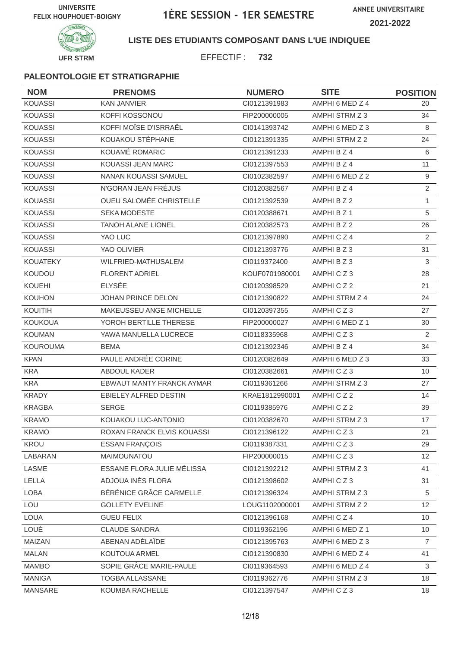

## **LISTE DES ETUDIANTS COMPOSANT DANS L'UE INDIQUEE**

EFFECTIF : **732**

| <b>NOM</b>      | <b>PRENOMS</b>             | <b>NUMERO</b>  | <b>SITE</b>     | <b>POSITION</b> |
|-----------------|----------------------------|----------------|-----------------|-----------------|
| <b>KOUASSI</b>  | <b>KAN JANVIER</b>         | CI0121391983   | AMPHI 6 MED Z 4 | 20              |
| <b>KOUASSI</b>  | KOFFI KOSSONOU             | FIP200000005   | AMPHI STRM Z 3  | 34              |
| <b>KOUASSI</b>  | KOFFI MOÏSE D'ISRRAËL      | CI0141393742   | AMPHI 6 MED Z 3 | 8               |
| <b>KOUASSI</b>  | KOUAKOU STÉPHANE           | CI0121391335   | AMPHI STRM Z 2  | 24              |
| <b>KOUASSI</b>  | KOUAMÉ ROMARIC             | CI0121391233   | AMPHI B Z 4     | 6               |
| <b>KOUASSI</b>  | KOUASSI JEAN MARC          | CI0121397553   | AMPHI B Z 4     | 11              |
| <b>KOUASSI</b>  | NANAN KOUASSI SAMUEL       | CI0102382597   | AMPHI 6 MED Z 2 | 9               |
| KOUASSI         | N'GORAN JEAN FRÉJUS        | CI0120382567   | AMPHI B Z 4     | $\overline{2}$  |
| <b>KOUASSI</b>  | OUEU SALOMÉE CHRISTELLE    | CI0121392539   | AMPHI B Z 2     | $\mathbf{1}$    |
| <b>KOUASSI</b>  | <b>SEKA MODESTE</b>        | CI0120388671   | AMPHI B Z 1     | $\sqrt{5}$      |
| <b>KOUASSI</b>  | <b>TANOH ALANE LIONEL</b>  | CI0120382573   | AMPHI B Z 2     | 26              |
| <b>KOUASSI</b>  | YAO LUC                    | CI0121397890   | AMPHICZ4        | $\overline{2}$  |
| <b>KOUASSI</b>  | YAO OLIVIER                | CI0121393776   | AMPHI B Z 3     | 31              |
| <b>KOUATEKY</b> | WILFRIED-MATHUSALEM        | CI0119372400   | AMPHI B Z 3     | 3               |
| KOUDOU          | <b>FLORENT ADRIEL</b>      | KOUF0701980001 | AMPHICZ3        | 28              |
| KOUEHI          | <b>ELYSEE</b>              | CI0120398529   | AMPHICZ2        | 21              |
| <b>KOUHON</b>   | JOHAN PRINCE DELON         | CI0121390822   | AMPHI STRM Z 4  | 24              |
| KOUITIH         | MAKEUSSEU ANGE MICHELLE    | CI0120397355   | AMPHICZ3        | 27              |
| <b>KOUKOUA</b>  | YOROH BERTILLE THERESE     | FIP200000027   | AMPHI 6 MED Z 1 | 30              |
| <b>KOUMAN</b>   | YAWA MANUELLA LUCRECE      | CI0118335968   | AMPHICZ3        | 2               |
| <b>KOUROUMA</b> | <b>BEMA</b>                | CI0121392346   | AMPHI B Z 4     | 34              |
| <b>KPAN</b>     | PAULE ANDRÉE CORINE        | CI0120382649   | AMPHI 6 MED Z 3 | 33              |
| <b>KRA</b>      | ABDOUL KADER               | CI0120382661   | AMPHICZ3        | 10              |
| <b>KRA</b>      | EBWAUT MANTY FRANCK AYMAR  | CI0119361266   | AMPHI STRM Z 3  | 27              |
| <b>KRADY</b>    | EBIELEY ALFRED DESTIN      | KRAE1812990001 | AMPHICZ2        | 14              |
| <b>KRAGBA</b>   | <b>SERGE</b>               | CI0119385976   | AMPHICZ2        | 39              |
| <b>KRAMO</b>    | KOUAKOU LUC-ANTONIO        | CI0120382670   | AMPHI STRM Z 3  | 17              |
| <b>KRAMO</b>    | ROXAN FRANCK ELVIS KOUASSI | Cl0121396122   | AMPHICZ3        | 21              |
| KROU            | <b>ESSAN FRANÇOIS</b>      | CI0119387331   | AMPHICZ3        | 29              |
| LABARAN         | MAIMOUNATOU                | FIP200000015   | AMPHICZ3        | 12              |
| LASME           | ESSANE FLORA JULIE MÉLISSA | CI0121392212   | AMPHI STRM Z 3  | 41              |
| LELLA           | ADJOUA INÈS FLORA          | CI0121398602   | AMPHICZ3        | 31              |
| LOBA            | BÉRÉNICE GRÂCE CARMELLE    | Cl0121396324   | AMPHI STRM Z 3  | 5               |
| LOU             | <b>GOLLETY EVELINE</b>     | LOUG1102000001 | AMPHI STRM Z 2  | 12              |
| <b>LOUA</b>     | <b>GUEU FELIX</b>          | Cl0121396168   | AMPHICZ4        | 10 <sup>°</sup> |
| LOUÉ            | <b>CLAUDE SANDRA</b>       | CI0119362196   | AMPHI 6 MED Z 1 | 10 <sup>°</sup> |
| MAIZAN          | ABENAN ADÉLAÏDE            | Cl0121395763   | AMPHI 6 MED Z 3 | $\overline{7}$  |
| <b>MALAN</b>    | KOUTOUA ARMEL              | CI0121390830   | AMPHI 6 MED Z 4 | 41              |
| <b>MAMBO</b>    | SOPIE GRÂCE MARIE-PAULE    | CI0119364593   | AMPHI 6 MED Z 4 | 3               |
| <b>MANIGA</b>   | TOGBA ALLASSANE            | CI0119362776   | AMPHI STRM Z 3  | 18              |
| MANSARE         | KOUMBA RACHELLE            | Cl0121397547   | AMPHICZ3        | 18              |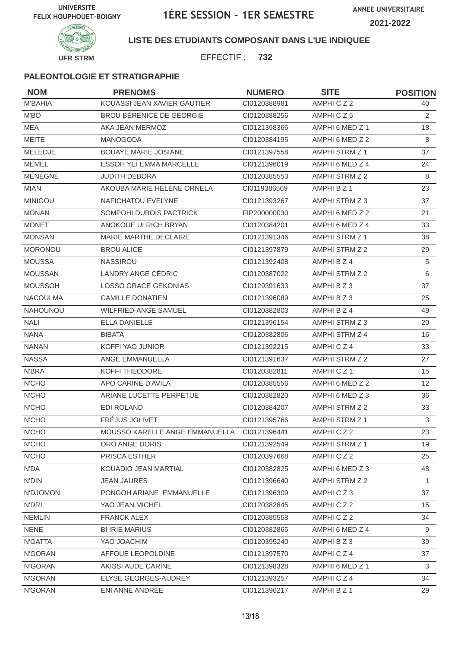

## **LISTE DES ETUDIANTS COMPOSANT DANS L'UE INDIQUEE**

EFFECTIF : **732**

| <b>NOM</b>      | <b>PRENOMS</b>                              | <b>NUMERO</b> | <b>SITE</b>           | <b>POSITION</b> |
|-----------------|---------------------------------------------|---------------|-----------------------|-----------------|
| <b>M'BAHIA</b>  | KOUASSI JEAN XAVIER GAUTIER                 | CI0120388981  | AMPHICZ2              | 40              |
| M'BO            | BROU BÉRÉNICE DE GÉORGIE                    | CI0120388256  | AMPHICZ5              | 2               |
| <b>MEA</b>      | AKA JEAN MERMOZ                             | CI0121398366  | AMPHI 6 MED Z 1       | 18              |
| <b>MEITE</b>    | <b>MANOGODA</b>                             | CI0120384195  | AMPHI 6 MED Z 2       | 8               |
| MELEDJE         | <b>BOUAYE MARIE JOSIANE</b>                 | CI0121397558  | AMPHI STRM Z 1        | 37              |
| <b>MEMEL</b>    | ESSOH YEÏ EMMA MARCELLE                     | CI0121396019  | AMPHI 6 MED Z 4       | 24              |
| MÉNÉGNÉ         | <b>JUDITH DEBORA</b>                        | CI0120385553  | AMPHI STRM Z 2        | 8               |
| <b>MIAN</b>     | AKOUBA MARIE HÉLÈNE ORNELA                  | CI0119386569  | AMPHI B Z 1           | 23              |
| <b>MINIGOU</b>  | NAFICHATOU EVELYNE                          | CI0121393267  | AMPHI STRM Z 3        | 37              |
| <b>MONAN</b>    | SOMPOHI DUBOIS PACTRICK                     | FIP200000030  | AMPHI 6 MED Z 2       | 21              |
| <b>MONET</b>    | ANOKOUE ULRICH BRYAN                        | CI0120384201  | AMPHI 6 MED Z 4       | 33              |
| <b>MONSAN</b>   | MARIE MARTHE DECLAIRE                       | CI0121391346  | AMPHI STRM Z 1        | 38              |
| <b>MORONOU</b>  | <b>BROU ALICE</b>                           | CI0121397879  | AMPHI STRM Z 2        | 29              |
| <b>MOUSSA</b>   | <b>NASSIROU</b>                             | CI0121392408  | AMPHI B Z 4           | 5               |
| <b>MOUSSAN</b>  | LANDRY ANGE CÉDRIC                          | CI0120387022  | AMPHI STRM Z 2        | 6               |
| <b>MOUSSOH</b>  | <b>LOSSO GRACE GEKONIAS</b>                 | CI0129391633  | AMPHI B Z 3           | 37              |
| <b>NACOULMA</b> | <b>CAMILLE DONATIEN</b>                     | CI0121396089  | AMPHIBZ3              | 25              |
| NAHOUNOU        | WILFRIED-ANGE SAMUEL                        | CI0120382803  | AMPHI B Z 4           | 49              |
| <b>NALI</b>     | <b>ELLA DANIELLE</b>                        | CI0121396154  | AMPHI STRM Z 3        | 20              |
| <b>NANA</b>     | <b>BIBATA</b>                               | CI0120382806  | AMPHI STRM Z 4        | 16              |
| <b>NANAN</b>    | KOFFI YAO JUNIOR                            | CI0121392215  | AMPHICZ4              | 33              |
| <b>NASSA</b>    | ANGE EMMANUELLA                             | CI0121391637  | AMPHI STRM Z 2        | 27              |
| N'BRA           | KOFFI THÉODORE                              | CI0120382811  | AMPHICZ1              | 15              |
| <b>N'CHO</b>    | APO CARINE D'AVILA                          | CI0120385556  | AMPHI 6 MED Z 2       | 12              |
| <b>N'CHO</b>    | ARIANE LUCETTE PERPÉTUE                     | CI0120382820  | AMPHI 6 MED Z 3       | 36              |
| N'CHO           | <b>EDI ROLAND</b>                           | CI0120384207  | AMPHI STRM Z 2        | 33              |
| <b>N'CHO</b>    | FRÉJUS JOLIVET                              | CI0121395766  | <b>AMPHI STRM Z 1</b> | $\mathfrak{S}$  |
| N'CHO           | MOUSSO KARELLE ANGE EMMANUELLA CI0121396441 |               | AMPHICZ2              | 23              |
| N'CHO           | ORO ANGE DORIS                              | Cl0121392549  | AMPHI STRM Z 1        | 19              |
| N'CHO           | PRISCA ESTHER                               | CI0120397668  | AMPHICZ2              | 25              |
| N'DA            | KOUADIO JEAN MARTIAL                        | CI0120382825  | AMPHI 6 MED Z 3       | 48              |
| <b>N'DIN</b>    | <b>JEAN JAURES</b>                          | Cl0121396640  | AMPHI STRM Z 2        | $\mathbf{1}$    |
| N'DJOMON        | PONGOH ARIANE EMMANUELLE                    | CI0121396309  | AMPHICZ3              | 37              |
| <b>N'DRI</b>    | YAO JEAN MICHEL                             | CI0120382845  | AMPHICZ2              | 15              |
| <b>NEMLIN</b>   | <b>FRANCK ALEX</b>                          | CI0120385558  | AMPHICZ2              | 34              |
| <b>NENE</b>     | <b>BI IRIE MARIUS</b>                       | CI0120382865  | AMPHI 6 MED Z 4       | 9               |
| N'GATTA         | YAO JOACHIM                                 | CI0120395240  | AMPHI B Z 3           | 39              |
| N'GORAN         | AFFOUE LEOPOLDINE                           | CI0121397570  | AMPHICZ4              | 37              |
| N'GORAN         | AKISSI AUDE CARINE                          | CI0121398328  | AMPHI 6 MED Z 1       | 3               |
| N'GORAN         | ELYSE GEORGES-AUDREY                        | CI0121393257  | AMPHICZ4              | 34              |
| N'GORAN         | ENI ANNE ANDRÉE                             | CI0121396217  | AMPHI B Z 1           | 29              |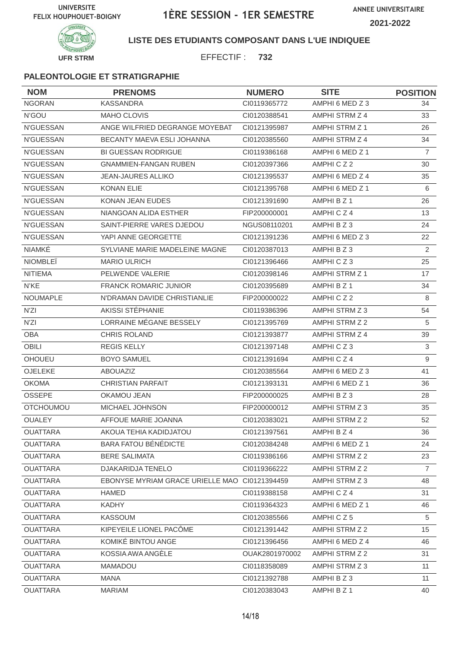

### **LISTE DES ETUDIANTS COMPOSANT DANS L'UE INDIQUEE**

EFFECTIF : **732**

| <b>NOM</b>       | <b>PRENOMS</b>                                | <b>NUMERO</b>  | <b>SITE</b>           | <b>POSITION</b> |
|------------------|-----------------------------------------------|----------------|-----------------------|-----------------|
| <b>NGORAN</b>    | <b>KASSANDRA</b>                              | CI0119365772   | AMPHI 6 MED Z 3       | 34              |
| N'GOU            | <b>MAHO CLOVIS</b>                            | CI0120388541   | AMPHI STRM Z 4        | 33              |
| <b>N'GUESSAN</b> | ANGE WILFRIED DEGRANGE MOYEBAT                | CI0121395987   | AMPHI STRM Z 1        | 26              |
| N'GUESSAN        | BECANTY MAEVA ESLI JOHANNA                    | CI0120385560   | AMPHI STRM Z 4        | 34              |
| <b>N'GUESSAN</b> | <b>BI GUESSAN RODRIGUE</b>                    | CI0119386168   | AMPHI 6 MED Z 1       | $\overline{7}$  |
| <b>N'GUESSAN</b> | <b>GNAMMIEN-FANGAN RUBEN</b>                  | CI0120397366   | AMPHICZ2              | 30              |
| N'GUESSAN        | <b>JEAN-JAURES ALLIKO</b>                     | CI0121395537   | AMPHI 6 MED Z 4       | 35              |
| N'GUESSAN        | <b>KONAN ELIE</b>                             | Cl0121395768   | AMPHI 6 MED Z 1       | 6               |
| <b>N'GUESSAN</b> | <b>KONAN JEAN EUDES</b>                       | CI0121391690   | AMPHI B Z 1           | 26              |
| N'GUESSAN        | NIANGOAN ALIDA ESTHER                         | FIP200000001   | AMPHICZ4              | 13              |
| N'GUESSAN        | SAINT-PIERRE VARES DJEDOU                     | NGUS08110201   | AMPHI B Z 3           | 24              |
| <b>N'GUESSAN</b> | YAPI ANNE GEORGETTE                           | CI0121391236   | AMPHI 6 MED Z 3       | 22              |
| <b>NIAMKÉ</b>    | SYLVIANE MARIE MADELEINE MAGNE                | CI0120387013   | AMPHI B Z 3           | $\overline{2}$  |
| <b>NIOMBLEÏ</b>  | <b>MARIO ULRICH</b>                           | CI0121396466   | AMPHICZ3              | 25              |
| <b>NITIEMA</b>   | PELWENDE VALERIE                              | CI0120398146   | <b>AMPHI STRM Z 1</b> | 17              |
| N'KE             | FRANCK ROMARIC JUNIOR                         | CI0120395689   | AMPHI B Z 1           | 34              |
| NOUMAPLE         | N'DRAMAN DAVIDE CHRISTIANLIE                  | FIP200000022   | AMPHICZ2              | 8               |
| N'ZI             | AKISSI STÉPHANIE                              | CI0119386396   | AMPHI STRM Z 3        | 54              |
| N'ZI             | LORRAINE MÉGANE BESSELY                       | CI0121395769   | AMPHI STRM Z 2        | 5               |
| <b>OBA</b>       | CHRIS ROLAND                                  | CI0121393877   | AMPHI STRM Z 4        | 39              |
| <b>OBILI</b>     | <b>REGIS KELLY</b>                            | Cl0121397148   | AMPHICZ3              | $\mathfrak{S}$  |
| <b>OHOUEU</b>    | <b>BOYO SAMUEL</b>                            | CI0121391694   | AMPHICZ4              | 9               |
| OJELEKE          | <b>ABOUAZIZ</b>                               | CI0120385564   | AMPHI 6 MED Z 3       | 41              |
| <b>OKOMA</b>     | <b>CHRISTIAN PARFAIT</b>                      | CI0121393131   | AMPHI 6 MED Z 1       | 36              |
| OSSEPE           | OKAMOU JEAN                                   | FIP200000025   | AMPHI B Z 3           | 28              |
| <b>OTCHOUMOU</b> | MICHAEL JOHNSON                               | FIP200000012   | AMPHI STRM Z 3        | 35              |
| <b>OUALEY</b>    | AFFOUE MARIE JOANNA                           | CI0120383021   | AMPHI STRM Z 2        | 52              |
| <b>OUATTARA</b>  | AKOUA TEHIA KADIDJATOU                        | Cl0121397561   | AMPHI B Z 4           | 36              |
| <b>OUATTARA</b>  | <b>BARA FATOU BÉNÉDICTE</b>                   | CI0120384248   | AMPHI 6 MED Z 1       | 24              |
| <b>OUATTARA</b>  | <b>BERE SALIMATA</b>                          | CI0119386166   | AMPHI STRM Z 2        | 23              |
| <b>OUATTARA</b>  | DJAKARIDJA TENELO                             | CI0119366222   | AMPHI STRM Z 2        | $\overline{7}$  |
| <b>OUATTARA</b>  | EBONYSE MYRIAM GRACE URIELLE MAO CI0121394459 |                | AMPHI STRM Z 3        | 48              |
| <b>OUATTARA</b>  | <b>HAMED</b>                                  | CI0119388158   | AMPHICZ4              | 31              |
| <b>OUATTARA</b>  | <b>KADHY</b>                                  | CI0119364323   | AMPHI 6 MED Z 1       | 46              |
| <b>OUATTARA</b>  | <b>KASSOUM</b>                                | CI0120385566   | AMPHICZ5              | 5               |
| <b>OUATTARA</b>  | KIPEYEILE LIONEL PACÔME                       | CI0121391442   | AMPHI STRM Z 2        | 15              |
| <b>OUATTARA</b>  | KOMIKÉ BINTOU ANGE                            | CI0121396456   | AMPHI 6 MED Z 4       | 46              |
| <b>OUATTARA</b>  | KOSSIA AWA ANGÉLE                             | OUAK2801970002 | AMPHI STRM Z 2        | 31              |
| <b>OUATTARA</b>  | <b>MAMADOU</b>                                | CI0118358089   | AMPHI STRM Z 3        | 11              |
| <b>OUATTARA</b>  | <b>MANA</b>                                   | CI0121392788   | AMPHI B Z 3           | 11              |
| <b>OUATTARA</b>  | <b>MARIAM</b>                                 | CI0120383043   | AMPHI B Z 1           | 40              |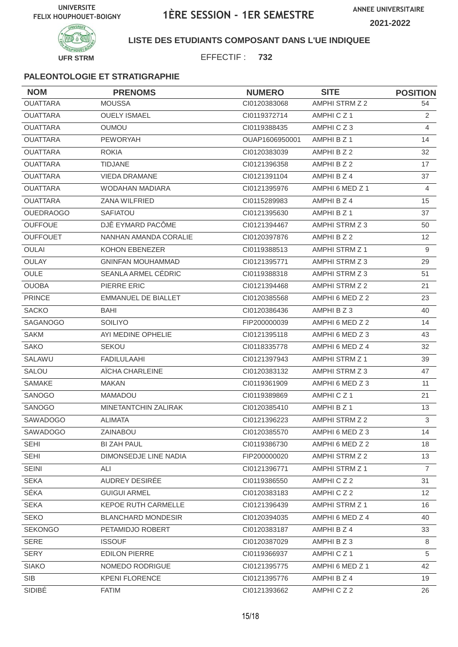

## **LISTE DES ETUDIANTS COMPOSANT DANS L'UE INDIQUEE**

EFFECTIF : **732**

| <b>NOM</b>       | <b>PRENOMS</b>             | <b>NUMERO</b>  | <b>SITE</b>     | <b>POSITION</b> |
|------------------|----------------------------|----------------|-----------------|-----------------|
| <b>OUATTARA</b>  | <b>MOUSSA</b>              | CI0120383068   | AMPHI STRM Z 2  | 54              |
| <b>OUATTARA</b>  | <b>OUELY ISMAEL</b>        | CI0119372714   | AMPHICZ1        | 2               |
| <b>OUATTARA</b>  | <b>OUMOU</b>               | CI0119388435   | AMPHICZ3        | 4               |
| <b>OUATTARA</b>  | <b>PEWORYAH</b>            | OUAP1606950001 | AMPHI B Z 1     | 14              |
| <b>OUATTARA</b>  | <b>ROKIA</b>               | CI0120383039   | AMPHI B Z 2     | 32              |
| <b>OUATTARA</b>  | <b>TIDJANE</b>             | CI0121396358   | AMPHI B Z 2     | 17              |
| <b>OUATTARA</b>  | <b>VIEDA DRAMANE</b>       | CI0121391104   | AMPHI B Z 4     | 37              |
| <b>OUATTARA</b>  | <b>WODAHAN MADIARA</b>     | CI0121395976   | AMPHI 6 MED Z 1 | $\overline{4}$  |
| <b>OUATTARA</b>  | ZANA WILFRIED              | CI0115289983   | AMPHI B Z 4     | 15              |
| <b>OUEDRAOGO</b> | <b>SAFIATOU</b>            | CI0121395630   | AMPHI B Z 1     | 37              |
| <b>OUFFOUE</b>   | DJÊ EYMARD PACÔME          | CI0121394467   | AMPHI STRM Z 3  | 50              |
| <b>OUFFOUET</b>  | NANHAN AMANDA CORALIE      | CI0120397876   | AMPHI B Z 2     | 12 <sup>2</sup> |
| <b>OULAI</b>     | <b>KOHON EBENEZER</b>      | CI0119388513   | AMPHI STRM Z 1  | 9               |
| OULAY            | <b>GNINFAN MOUHAMMAD</b>   | CI0121395771   | AMPHI STRM Z 3  | 29              |
| OULE             | SEANLA ARMEL CÉDRIC        | CI0119388318   | AMPHI STRM Z 3  | 51              |
| <b>OUOBA</b>     | PIERRE ERIC                | CI0121394468   | AMPHI STRM Z 2  | 21              |
| <b>PRINCE</b>    | <b>EMMANUEL DE BIALLET</b> | CI0120385568   | AMPHI 6 MED Z 2 | 23              |
| <b>SACKO</b>     | BAHI                       | CI0120386436   | AMPHI B Z 3     | 40              |
| SAGANOGO         | <b>SOILIYO</b>             | FIP200000039   | AMPHI 6 MED Z 2 | 14              |
| <b>SAKM</b>      | AYI MEDINE OPHELIE         | CI0121395118   | AMPHI 6 MED Z 3 | 43              |
| <b>SAKO</b>      | SEKOU                      | CI0118335778   | AMPHI 6 MED Z 4 | 32              |
| SALAWU           | <b>FADILULAAHI</b>         | CI0121397943   | AMPHI STRM Z 1  | 39              |
| <b>SALOU</b>     | AÏCHA CHARLEINE            | CI0120383132   | AMPHI STRM Z 3  | 47              |
| <b>SAMAKE</b>    | <b>MAKAN</b>               | CI0119361909   | AMPHI 6 MED Z 3 | 11              |
| SANOGO           | <b>MAMADOU</b>             | CI0119389869   | AMPHICZ1        | 21              |
| SANOGO           | MINETANTCHIN ZALIRAK       | CI0120385410   | AMPHI B Z 1     | 13              |
| <b>SAWADOGO</b>  | <b>ALIMATA</b>             | CI0121396223   | AMPHI STRM Z 2  | 3               |
| SAWADOGO         | ZAINABOU                   | Cl0120385570   | AMPHI 6 MED Z 3 | 14              |
| <b>SEHI</b>      | <b>BI ZAH PAUL</b>         | CI0119386730   | AMPHI 6 MED Z 2 | 18              |
| SEHI             | DIMONSEDJE LINE NADIA      | FIP200000020   | AMPHI STRM Z 2  | 13              |
| <b>SEINI</b>     | ALI                        | CI0121396771   | AMPHI STRM Z 1  | $\overline{7}$  |
| <b>SEKA</b>      | AUDREY DESIRÉE             | CI0119386550   | AMPHICZ2        | 31              |
| SÉKA             | <b>GUIGUI ARMEL</b>        | CI0120383183   | AMPHICZ2        | 12 <sup>2</sup> |
| <b>SEKA</b>      | <b>KEPOE RUTH CARMELLE</b> | CI0121396439   | AMPHI STRM Z 1  | 16              |
| <b>SEKO</b>      | <b>BLANCHARD MONDESIR</b>  | CI0120394035   | AMPHI 6 MED Z 4 | 40              |
| <b>SEKONGO</b>   | PETAMIDJO ROBERT           | CI0120383187   | AMPHI B Z 4     | 33              |
| <b>SERE</b>      | <b>ISSOUF</b>              | CI0120387029   | AMPHI B Z 3     | 8               |
| <b>SERY</b>      | <b>EDILON PIERRE</b>       | CI0119366937   | AMPHICZ1        | 5               |
| <b>SIAKO</b>     | NOMEDO RODRIGUE            | Cl0121395775   | AMPHI 6 MED Z 1 | 42              |
| <b>SIB</b>       | <b>KPENI FLORENCE</b>      | CI0121395776   | AMPHI B Z 4     | 19              |
| SIDIBÉ           | <b>FATIM</b>               | CI0121393662   | AMPHICZ2        | 26              |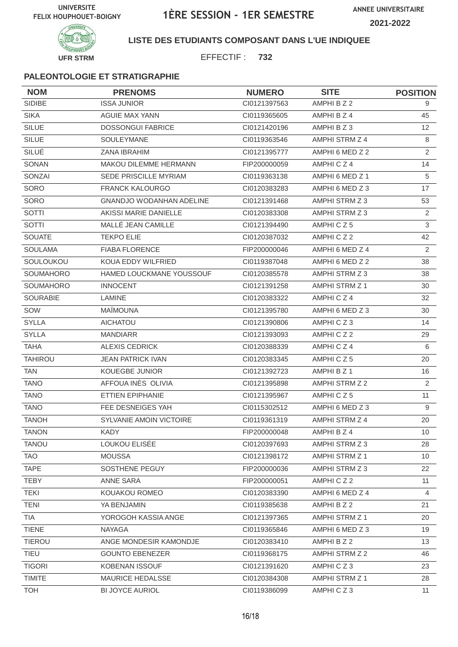

## **LISTE DES ETUDIANTS COMPOSANT DANS L'UE INDIQUEE**

EFFECTIF : **732**

| <b>NOM</b>       | <b>PRENOMS</b>                  | <b>NUMERO</b> | <b>SITE</b>           | <b>POSITION</b> |
|------------------|---------------------------------|---------------|-----------------------|-----------------|
| SIDIBE           | <b>ISSA JUNIOR</b>              | CI0121397563  | AMPHI B Z 2           | 9               |
| <b>SIKA</b>      | <b>AGUIE MAX YANN</b>           | CI0119365605  | AMPHI B Z 4           | 45              |
| <b>SILUE</b>     | <b>DOSSONGUI FABRICE</b>        | CI0121420196  | AMPHI B Z 3           | 12 <sup>2</sup> |
| <b>SILUE</b>     | <b>SOULEYMANE</b>               | CI0119363546  | AMPHI STRM Z 4        | 8               |
| SILUÉ            | ZANA IBRAHIM                    | CI0121395777  | AMPHI 6 MED Z 2       | 2               |
| SONAN            | MAKOU DILEMME HERMANN           | FIP200000059  | AMPHICZ4              | 14              |
| SONZAI           | SEDE PRISCILLE MYRIAM           | CI0119363138  | AMPHI 6 MED Z 1       | $\sqrt{5}$      |
| SORO             | <b>FRANCK KALOURGO</b>          | CI0120383283  | AMPHI 6 MED Z 3       | 17              |
| SORO             | <b>GNANDJO WODANHAN ADELINE</b> | CI0121391468  | AMPHI STRM Z 3        | 53              |
| SOTTI            | AKISSI MARIE DANIELLE           | CI0120383308  | AMPHI STRM Z 3        | 2               |
| <b>SOTTI</b>     | MALLÉ JEAN CAMILLE              | CI0121394490  | AMPHICZ5              | 3               |
| <b>SOUATE</b>    | <b>TEKPO ELIE</b>               | CI0120387032  | AMPHICZ2              | 42              |
| <b>SOULAMA</b>   | <b>FIABA FLORENCE</b>           | FIP200000046  | AMPHI 6 MED Z 4       | 2               |
| SOULOUKOU        | KOUA EDDY WILFRIED              | CI0119387048  | AMPHI 6 MED Z 2       | 38              |
| <b>SOUMAHORO</b> | HAMED LOUCKMANE YOUSSOUF        | CI0120385578  | AMPHI STRM Z 3        | 38              |
| SOUMAHORO        | <b>INNOCENT</b>                 | CI0121391258  | AMPHI STRM Z 1        | 30              |
| <b>SOURABIE</b>  | LAMINE                          | CI0120383322  | AMPHICZ4              | 32              |
| SOW              | <b>MAÏMOUNA</b>                 | CI0121395780  | AMPHI 6 MED Z 3       | 30              |
| <b>SYLLA</b>     | <b>AICHATOU</b>                 | CI0121390806  | AMPHICZ3              | 14              |
| <b>SYLLA</b>     | <b>MANDIARR</b>                 | CI0121393093  | AMPHICZ2              | 29              |
| <b>TAHA</b>      | <b>ALEXIS CEDRICK</b>           | CI0120388339  | AMPHICZ4              | 6               |
| <b>TAHIROU</b>   | <b>JEAN PATRICK IVAN</b>        | CI0120383345  | AMPHICZ5              | 20              |
| <b>TAN</b>       | <b>KOUEGBE JUNIOR</b>           | CI0121392723  | AMPHI B Z 1           | 16              |
| <b>TANO</b>      | AFFOUA INES OLIVIA              | CI0121395898  | AMPHI STRM Z 2        | 2               |
| <b>TANO</b>      | ETTIEN EPIPHANIE                | CI0121395967  | AMPHICZ5              | 11              |
| <b>TANO</b>      | FEE DESNEIGES YAH               | CI0115302512  | AMPHI 6 MED Z 3       | 9               |
| <b>TANOH</b>     | SYLVANIE AMOIN VICTOIRE         | CI0119361319  | AMPHI STRM Z 4        | 20              |
| <b>TANON</b>     | KADY                            | FIP200000048  | AMPHI B Z 4           | 10 <sup>1</sup> |
| <b>TANOU</b>     | LOUKOU ELISÉE                   | CI0120397693  | AMPHI STRM Z 3        | 28              |
| <b>TAO</b>       | <b>MOUSSA</b>                   | CI0121398172  | AMPHI STRM Z 1        | 10 <sup>°</sup> |
| <b>TAPE</b>      | SOSTHENE PEGUY                  | FIP200000036  | AMPHI STRM Z 3        | 22              |
| <b>TEBY</b>      | ANNE SARA                       | FIP200000051  | AMPHICZ2              | 11              |
| <b>TEKI</b>      | KOUAKOU ROMEO                   | CI0120383390  | AMPHI 6 MED Z 4       | $\overline{4}$  |
| <b>TENI</b>      | YA BENJAMIN                     | CI0119385638  | AMPHI B Z 2           | 21              |
| <b>TIA</b>       | YOROGOH KASSIA ANGE             | Cl0121397365  | AMPHI STRM Z 1        | 20              |
| <b>TIENE</b>     | <b>NAYAGA</b>                   | CI0119365846  | AMPHI 6 MED Z 3       | 19              |
| <b>TIEROU</b>    | ANGE MONDESIR KAMONDJE          | CI0120383410  | AMPHI B Z 2           | 13              |
| <b>TIEU</b>      | <b>GOUNTO EBENEZER</b>          | CI0119368175  | AMPHI STRM Z 2        | 46              |
| <b>TIGORI</b>    | <b>KOBENAN ISSOUF</b>           | CI0121391620  | AMPHICZ3              | 23              |
| <b>TIMITE</b>    | MAURICE HEDALSSE                | CI0120384308  | <b>AMPHI STRM Z 1</b> | 28              |
| <b>TOH</b>       | <b>BI JOYCE AURIOL</b>          | CI0119386099  | AMPHICZ3              | 11              |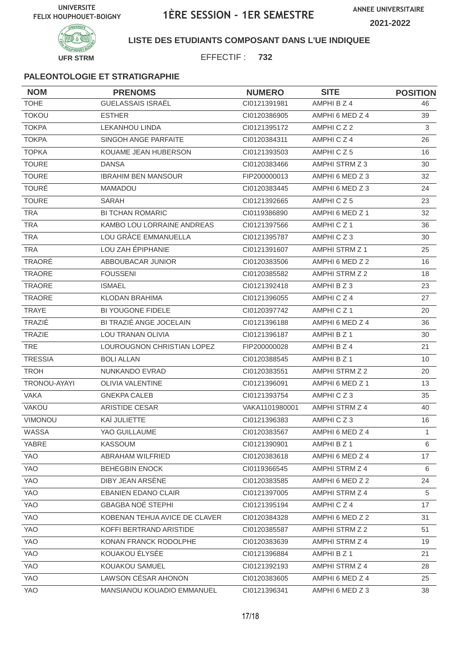

#### **LISTE DES ETUDIANTS COMPOSANT DANS L'UE INDIQUEE**

EFFECTIF : **732**

| <b>NOM</b>     | <b>PRENOMS</b>                | <b>NUMERO</b>  | <b>SITE</b>          | <b>POSITION</b> |
|----------------|-------------------------------|----------------|----------------------|-----------------|
| <b>TOHE</b>    | <b>GUELASSAIS ISRAËL</b>      | CI0121391981   | AMPHI B Z 4          | 46              |
| <b>TOKOU</b>   | <b>ESTHER</b>                 | CI0120386905   | AMPHI 6 MED Z 4      | 39              |
| <b>TOKPA</b>   | <b>LEKANHOU LINDA</b>         | Cl0121395172   | AMPHICZ2             | 3               |
| <b>TOKPA</b>   | SINGOH ANGE PARFAITE          | CI0120384311   | AMPHICZ4             | 26              |
| <b>TOPKA</b>   | KOUAME JEAN HUBERSON          | CI0121393503   | AMPHICZ5             | 16              |
| <b>TOURE</b>   | <b>DANSA</b>                  | CI0120383466   | AMPHI STRM Z 3       | 30              |
| <b>TOURE</b>   | <b>IBRAHIM BEN MANSOUR</b>    | FIP200000013   | AMPHI 6 MED Z 3      | 32              |
| <b>TOURÉ</b>   | <b>MAMADOU</b>                | Cl0120383445   | AMPHI 6 MED Z 3      | 24              |
| <b>TOURE</b>   | SARAH                         | CI0121392665   | AMPHICZ5             | 23              |
| <b>TRA</b>     | <b>BI TCHAN ROMARIC</b>       | CI0119386890   | AMPHI 6 MED Z 1      | 32              |
| <b>TRA</b>     | KAMBO LOU LORRAINE ANDREAS    | CI0121397566   | AMPHICZ1             | 36              |
| <b>TRA</b>     | LOU GRÂCE EMMANUELLA          | CI0121395787   | AMPHICZ3             | 30              |
| <b>TRA</b>     | LOU ZAH ÉPIPHANIE             | CI0121391607   | AMPHI STRM Z 1       | 25              |
| <b>TRAORÉ</b>  | ABBOUBACAR JUNIOR             | CI0120383506   | AMPHI 6 MED Z 2      | 16              |
| <b>TRAORE</b>  | <b>FOUSSENI</b>               | CI0120385582   | AMPHI STRM Z 2       | 18              |
| <b>TRAORE</b>  | <b>ISMAEL</b>                 | CI0121392418   | AMPHI B Z 3          | 23              |
| <b>TRAORE</b>  | <b>KLODAN BRAHIMA</b>         | CI0121396055   | AMPHICZ4             | 27              |
| <b>TRAYE</b>   | <b>BI YOUGONE FIDELE</b>      | CI0120397742   | AMPHICZ <sub>1</sub> | 20              |
| TRAZIÉ         | BI TRAZIÉ ANGE JOCELAIN       | CI0121396188   | AMPHI 6 MED Z 4      | 36              |
| <b>TRAZIE</b>  | LOU TRANAN OLIVIA             | CI0121396187   | AMPHI B Z 1          | 30              |
| <b>TRE</b>     | LOUROUGNON CHRISTIAN LOPEZ    | FIP200000028   | AMPHI B Z 4          | 21              |
| <b>TRESSIA</b> | <b>BOLI ALLAN</b>             | CI0120388545   | AMPHI B Z 1          | 10              |
| <b>TROH</b>    | NUNKANDO EVRAD                | CI0120383551   | AMPHI STRM Z 2       | 20              |
| TRONOU-AYAYI   | <b>OLIVIA VALENTINE</b>       | CI0121396091   | AMPHI 6 MED Z 1      | 13              |
| <b>VAKA</b>    | <b>GNEKPA CALEB</b>           | CI0121393754   | AMPHICZ3             | 35              |
| VAKOU          | ARISTIDE CESAR                | VAKA1101980001 | AMPHI STRM Z 4       | 40              |
| VIMONOU        | KAÏ JULIETTE                  | CI0121396383   | AMPHICZ3             | 16              |
| WASSA          | YAO GUILLAUME                 | CI0120383567   | AMPHI 6 MED Z 4      | $\mathbf{1}$    |
| YABRE          | <b>KASSOUM</b>                | CI0121390901   | AMPHI B Z 1          | 6               |
| YAO            | ABRAHAM WILFRIED              | CI0120383618   | AMPHI 6 MED Z 4      | 17              |
| YAO            | <b>BEHEGBIN ENOCK</b>         | CI0119366545   | AMPHI STRM Z 4       | 6               |
| YAO            | DIBY JEAN ARSÈNE              | CI0120383585   | AMPHI 6 MED Z 2      | 24              |
| YAO            | <b>EBANIEN EDANO CLAIR</b>    | CI0121397005   | AMPHI STRM Z 4       | 5               |
| YAO            | <b>GBAGBA NOÉ STEPHI</b>      | Cl0121395194   | AMPHICZ4             | 17              |
| YAO            | KOBENAN TEHUA AVICE DE CLAVER | CI0120384328   | AMPHI 6 MED Z 2      | 31              |
| YAO            | KOFFI BERTRAND ARISTIDE       | Cl0120385587   | AMPHI STRM Z 2       | 51              |
| YAO            | KONAN FRANCK RODOLPHE         | CI0120383639   | AMPHI STRM Z 4       | 19              |
| YAO            | KOUAKOU ÉLYSÉE                | CI0121396884   | AMPHI B Z 1          | 21              |
| YAO            | KOUAKOU SAMUEL                | CI0121392193   | AMPHI STRM Z 4       | 28              |
| YAO            | LAWSON CÉSAR AHONON           | CI0120383605   | AMPHI 6 MED Z 4      | 25              |
| YAO            | MANSIANOU KOUADIO EMMANUEL    | CI0121396341   | AMPHI 6 MED Z 3      | 38              |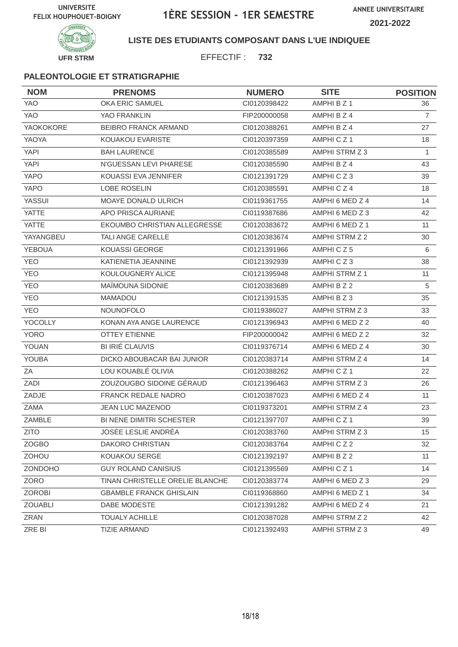

## **LISTE DES ETUDIANTS COMPOSANT DANS L'UE INDIQUEE**

EFFECTIF : **732**

| <b>NOM</b>    | <b>PRENOMS</b>                  | <b>NUMERO</b> | <b>SITE</b>           | <b>POSITION</b>  |
|---------------|---------------------------------|---------------|-----------------------|------------------|
| YAO           | OKA ERIC SAMUEL                 | CI0120398422  | AMPHI B Z 1           | 36               |
| <b>YAO</b>    | YAO FRANKLIN                    | FIP200000058  | AMPHI B Z 4           | $\overline{7}$   |
| YAOKOKORE     | <b>BEIBRO FRANCK ARMAND</b>     | CI0120388261  | AMPHI B Z 4           | 27               |
| YAOYA         | KOUAKOU EVARISTE                | CI0120397359  | AMPHICZ1              | 18               |
| <b>YAPI</b>   | <b>BAH LAURENCE</b>             | CI0120385589  | AMPHI STRM Z 3        | 1                |
| <b>YAPI</b>   | N'GUESSAN LEVI PHARESE          | CI0120385590  | AMPHI B Z 4           | 43               |
| YAPO          | KOUASSI EVA JENNIFER            | CI0121391729  | AMPHICZ3              | 39               |
| <b>YAPO</b>   | LOBE ROSELIN                    | CI0120385591  | AMPHICZ4              | 18               |
| <b>YASSUI</b> | MOAYE DONALD ULRICH             | CI0119361755  | AMPHI 6 MED Z 4       | 14               |
| <b>YATTE</b>  | APO PRISCA AURIANE              | CI0119387686  | AMPHI 6 MED Z 3       | 42               |
| <b>YATTE</b>  | EKOUMBO CHRISTIAN ALLEGRESSE    | CI0120383672  | AMPHI 6 MED Z 1       | 11               |
| YAYANGBEU     | TALI ANGE CARELLE               | CI0120383674  | <b>AMPHI STRM Z 2</b> | 30               |
| <b>YEBOUA</b> | <b>KOUASSI GEORGE</b>           | CI0121391966  | AMPHICZ5              | 6                |
| <b>YEO</b>    | KATIENETIA JEANNINE             | CI0121392939  | AMPHICZ3              | 38               |
| <b>YEO</b>    | KOULOUGNERY ALICE               | CI0121395948  | AMPHI STRM Z 1        | 11               |
| <b>YEO</b>    | MAÎMOUNA SIDONIE                | CI0120383689  | AMPHI B Z 2           | 5                |
| <b>YEO</b>    | <b>MAMADOU</b>                  | CI0121391535  | AMPHI B Z 3           | 35               |
| <b>YEO</b>    | <b>NOUNOFOLO</b>                | CI0119386027  | AMPHI STRM Z 3        | 33               |
| YOCOLLY       | KONAN AYA ANGE LAURENCE         | CI0121396943  | AMPHI 6 MED Z 2       | 40               |
| <b>YORO</b>   | <b>OTTEY ETIENNE</b>            | FIP200000042  | AMPHI 6 MED Z 2       | 32               |
| YOUAN         | <b>BI IRIÉ CLAUVIS</b>          | CI0119376714  | AMPHI 6 MED Z 4       | 30               |
| YOUBA         | DICKO ABOUBACAR BAI JUNIOR      | Cl0120383714  | AMPHI STRM Z 4        | 14               |
| ZA            | LOU KOUABLÉ OLIVIA              | CI0120388262  | AMPHICZ1              | 22               |
| ZADI          | ZOUZOUGBO SIDOINE GÉRAUD        | CI0121396463  | AMPHI STRM Z 3        | 26               |
| ZADJE         | <b>FRANCK REDALE NADRO</b>      | CI0120387023  | AMPHI 6 MED Z 4       | 11               |
| ZAMA          | <b>JEAN LUC MAZENOD</b>         | CI0119373201  | AMPHI STRM Z 4        | 23               |
| ZAMBLE        | <b>BI NENE DIMITRI SCHESTER</b> | CI0121397707  | AMPHICZ1              | 39               |
| <b>ZITO</b>   | JOSÉE LESLIE ANDRÉA             | CI0120383760  | AMPHI STRM Z 3        | 15 <sub>15</sub> |
| <b>ZOGBO</b>  | DAKORO CHRISTIAN                | Cl0120383764  | AMPHICZ2              | 32               |
| <b>ZOHOU</b>  | KOUAKOU SERGE                   | CI0121392197  | AMPHI B Z 2           | 11               |
| ZONDOHO       | <b>GUY ROLAND CANISIUS</b>      | CI0121395569  | AMPHICZ1              | 14               |
| ZORO          | TINAN CHRISTELLE ORELIE BLANCHE | Cl0120383774  | AMPHI 6 MED Z 3       | 29               |
| <b>ZOROBI</b> | <b>GBAMBLE FRANCK GHISLAIN</b>  | CI0119368860  | AMPHI 6 MED Z 1       | 34               |
| ZOUABLI       | DABE MODESTE                    | CI0121391282  | AMPHI 6 MED Z 4       | 21               |
| ZRAN          | <b>TOUALY ACHILLE</b>           | CI0120387028  | AMPHI STRM Z 2        | 42               |
| ZRE BI        | <b>TIZIE ARMAND</b>             | CI0121392493  | AMPHI STRM Z 3        | 49               |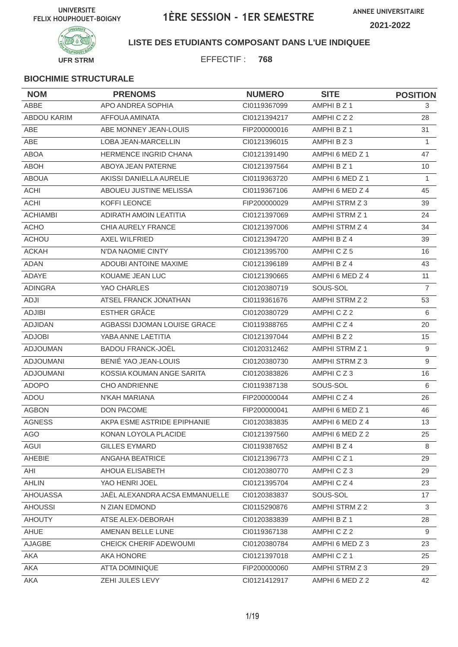

## **LISTE DES ETUDIANTS COMPOSANT DANS L'UE INDIQUEE**

EFFECTIF : **768**

| <b>NOM</b>         | <b>PRENOMS</b>                 | <b>NUMERO</b> | <b>SITE</b>     | <b>POSITION</b> |
|--------------------|--------------------------------|---------------|-----------------|-----------------|
| ABBE               | APO ANDREA SOPHIA              | CI0119367099  | AMPHI B Z 1     | 3               |
| <b>ABDOU KARIM</b> | AFFOUA AMINATA                 | CI0121394217  | AMPHICZ2        | 28              |
| ABE                | ABE MONNEY JEAN-LOUIS          | FIP200000016  | AMPHI B Z 1     | 31              |
| ABE                | <b>LOBA JEAN-MARCELLIN</b>     | CI0121396015  | AMPHI B Z 3     | 1               |
| <b>ABOA</b>        | <b>HERMENCE INGRID CHANA</b>   | CI0121391490  | AMPHI 6 MED Z 1 | 47              |
| <b>ABOH</b>        | ABOYA JEAN PATERNE             | CI0121397564  | AMPHI B Z 1     | 10              |
| <b>ABOUA</b>       | AKISSI DANIELLA AURELIE        | CI0119363720  | AMPHI 6 MED Z 1 | 1               |
| <b>ACHI</b>        | ABOUEU JUSTINE MELISSA         | CI0119367106  | AMPHI 6 MED Z 4 | 45              |
| <b>ACHI</b>        | <b>KOFFI LEONCE</b>            | FIP200000029  | AMPHI STRM Z 3  | 39              |
| <b>ACHIAMBI</b>    | <b>ADIRATH AMOIN LEATITIA</b>  | CI0121397069  | AMPHI STRM Z 1  | 24              |
| <b>ACHO</b>        | CHIA AURELY FRANCE             | CI0121397006  | AMPHI STRM Z 4  | 34              |
| <b>ACHOU</b>       | <b>AXEL WILFRIED</b>           | CI0121394720  | AMPHI B Z 4     | 39              |
| <b>ACKAH</b>       | N'DA NAOMIE CINTY              | CI0121395700  | AMPHICZ5        | 16              |
| <b>ADAN</b>        | ADOUBI ANTOINE MAXIME          | CI0121396189  | AMPHI B Z 4     | 43              |
| ADAYE              | KOUAME JEAN LUC                | CI0121390665  | AMPHI 6 MED Z 4 | 11              |
| <b>ADINGRA</b>     | YAO CHARLES                    | CI0120380719  | SOUS-SOL        | $\overline{7}$  |
| ADJI               | ATSEL FRANCK JONATHAN          | CI0119361676  | AMPHI STRM Z 2  | 53              |
| <b>ADJIBI</b>      | <b>ESTHER GRÂCE</b>            | CI0120380729  | AMPHICZ2        | 6               |
| <b>ADJIDAN</b>     | AGBASSI DJOMAN LOUISE GRACE    | CI0119388765  | AMPHICZ4        | 20              |
| <b>ADJOBI</b>      | YABA ANNE LAETITIA             | CI0121397044  | AMPHI B Z 2     | 15              |
| <b>ADJOUMAN</b>    | <b>BADOU FRANCK-JOËL</b>       | CI0120312462  | AMPHI STRM Z 1  | 9               |
| <b>ADJOUMANI</b>   | BENIÉ YAO JEAN-LOUIS           | CI0120380730  | AMPHI STRM Z 3  | 9               |
| <b>ADJOUMANI</b>   | KOSSIA KOUMAN ANGE SARITA      | CI0120383826  | AMPHICZ3        | 16              |
| <b>ADOPO</b>       | <b>CHO ANDRIENNE</b>           | CI0119387138  | SOUS-SOL        | 6               |
| ADOU               | N'KAH MARIANA                  | FIP200000044  | AMPHICZ4        | 26              |
| <b>AGBON</b>       | DON PACOME                     | FIP200000041  | AMPHI 6 MED Z 1 | 46              |
| <b>AGNESS</b>      | AKPA ESME ASTRIDE EPIPHANIE    | CI0120383835  | AMPHI 6 MED Z 4 | 13              |
| <b>AGO</b>         | KONAN LOYOLA PLACIDE           | Cl0121397560  | AMPHI 6 MED Z 2 | 25              |
| AGUI               | <b>GILLES EYMARD</b>           | CI0119387652  | AMPHI B Z 4     | 8               |
| AHEBIE             | ANGAHA BEATRICE                | CI0121396773  | AMPHICZ1        | 29              |
| AHI                | AHOUA ELISABETH                | Cl0120380770  | AMPHICZ3        | 29              |
| <b>AHLIN</b>       | YAO HENRI JOEL                 | CI0121395704  | AMPHICZ4        | 23              |
| <b>AHOUASSA</b>    | JAËL ALEXANDRA ACSA EMMANUELLE | CI0120383837  | SOUS-SOL        | 17              |
| <b>AHOUSSI</b>     | N ZIAN EDMOND                  | CI0115290876  | AMPHI STRM Z 2  | 3               |
| <b>AHOUTY</b>      | ATSE ALEX-DEBORAH              | CI0120383839  | AMPHI B Z 1     | 28              |
| AHUE               | AMENAN BELLE LUNE              | CI0119367138  | AMPHICZ2        | 9               |
| AJAGBE             | CHEICK CHERIF ADEWOUMI         | CI0120380784  | AMPHI 6 MED Z 3 | 23              |
| AKA                | AKA HONORE                     | Cl0121397018  | AMPHICZ1        | 25              |
| AKA                | ATTA DOMINIQUE                 | FIP200000060  | AMPHI STRM Z 3  | 29              |
| AKA                | ZEHI JULES LEVY                | Cl0121412917  | AMPHI 6 MED Z 2 | 42              |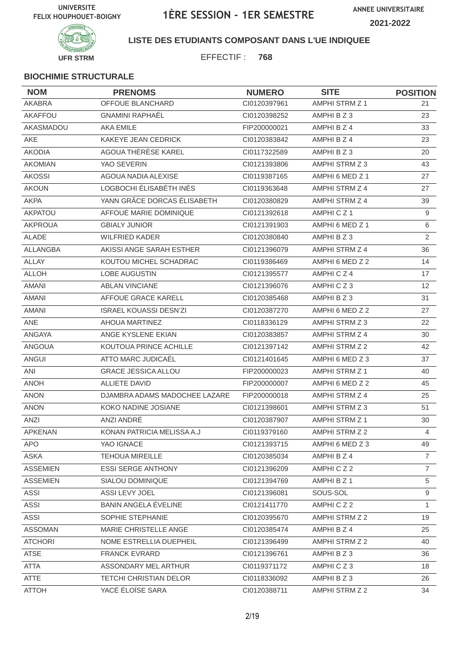

## **LISTE DES ETUDIANTS COMPOSANT DANS L'UE INDIQUEE**

EFFECTIF : **768**

| <b>NOM</b>      | <b>PRENOMS</b>                | <b>NUMERO</b> | <b>SITE</b>           | <b>POSITION</b> |
|-----------------|-------------------------------|---------------|-----------------------|-----------------|
| AKABRA          | OFFOUE BLANCHARD              | CI0120397961  | <b>AMPHI STRM Z 1</b> | 21              |
| AKAFFOU         | <b>GNAMINI RAPHAËL</b>        | CI0120398252  | AMPHI B Z 3           | 23              |
| AKASMADOU       | <b>AKA EMILE</b>              | FIP200000021  | AMPHI B Z 4           | 33              |
| <b>AKE</b>      | KAKEYE JEAN CEDRICK           | CI0120383842  | AMPHI B Z 4           | 23              |
| <b>AKODIA</b>   | AGOUA THÉRÈSE KAREL           | CI0117322589  | AMPHI B Z 3           | 20              |
| <b>AKOMIAN</b>  | YAO SEVERIN                   | CI0121393806  | AMPHI STRM Z 3        | 43              |
| <b>AKOSSI</b>   | AGOUA NADIA ALEXISE           | CI0119387165  | AMPHI 6 MED Z 1       | 27              |
| <b>AKOUN</b>    | LOGBOCHI ÉLISABÉTH INÈS       | CI0119363648  | AMPHI STRM Z 4        | 27              |
| <b>AKPA</b>     | YANN GRÂCE DORCAS ÉLISABETH   | CI0120380829  | AMPHI STRM Z 4        | 39              |
| AKPATOU         | AFFOUÉ MARIE DOMINIQUE        | CI0121392618  | AMPHICZ1              | 9               |
| <b>AKPROUA</b>  | <b>GBIALY JUNIOR</b>          | CI0121391903  | AMPHI 6 MED Z 1       | 6               |
| <b>ALADE</b>    | <b>WILFRIED KADER</b>         | CI0120380840  | AMPHI B Z 3           | $\overline{2}$  |
| ALLANGBA        | AKISSI ANGE SARAH ESTHER      | CI0121396079  | AMPHI STRM Z 4        | 36              |
| <b>ALLAY</b>    | KOUTOU MICHEL SCHADRAC        | CI0119386469  | AMPHI 6 MED Z 2       | 14              |
| <b>ALLOH</b>    | <b>LOBE AUGUSTIN</b>          | Cl0121395577  | AMPHICZ4              | 17              |
| <b>AMANI</b>    | ABLAN VINCIANE                | CI0121396076  | AMPHICZ3              | 12              |
| <b>AMANI</b>    | AFFOUE GRACE KARELL           | CI0120385468  | AMPHI B Z 3           | 31              |
| <b>AMANI</b>    | <b>ISRAEL KOUASSI DESN'ZI</b> | CI0120387270  | AMPHI 6 MED Z 2       | 27              |
| <b>ANE</b>      | <b>AHOUA MARTINEZ</b>         | CI0118336129  | AMPHI STRM Z 3        | 22              |
| ANGAYA          | ANGE KYSLENE EKIAN            | CI0120383857  | AMPHI STRM Z 4        | 30              |
| <b>ANGOUA</b>   | KOUTOUA PRINCE ACHILLE        | CI0121397142  | AMPHI STRM Z 2        | 42              |
| ANGUI           | ATTO MARC JUDICAËL            | CI0121401645  | AMPHI 6 MED Z 3       | 37              |
| ANI             | <b>GRACE JESSICA ALLOU</b>    | FIP200000023  | AMPHI STRM Z 1        | 40              |
| <b>ANOH</b>     | <b>ALLIETE DAVID</b>          | FIP200000007  | AMPHI 6 MED Z 2       | 45              |
| <b>ANON</b>     | DJAMBRA ADAMS MADOCHEE LAZARE | FIP200000018  | AMPHI STRM Z 4        | 25              |
| <b>ANON</b>     | KOKO NADINE JOSIANE           | CI0121398601  | AMPHI STRM Z 3        | 51              |
| ANZI            | ANZI ANDRÉ                    | CI0120387907  | <b>AMPHI STRM Z 1</b> | 30              |
| APKENAN         | KONAN PATRICIA MELISSA A.J    | CI0119379160  | AMPHI STRM Z 2        | $\overline{4}$  |
| <b>APO</b>      | YAO IGNACE                    | CI0121393715  | AMPHI 6 MED Z 3       | 49              |
| ASKA            | <b>TEHOUA MIREILLE</b>        | CI0120385034  | AMPHI B Z 4           | 7               |
| <b>ASSEMIEN</b> | <b>ESSI SERGE ANTHONY</b>     | CI0121396209  | AMPHICZ2              | $\overline{7}$  |
| <b>ASSEMIEN</b> | SIALOU DOMINIQUE              | CI0121394769  | AMPHI B Z 1           | 5               |
| <b>ASSI</b>     | ASSI LEVY JOEL                | CI0121396081  | SOUS-SOL              | 9               |
| <b>ASSI</b>     | BANIN ANGELA ÉVELINE          | Cl0121411770  | AMPHICZ2              | $\mathbf{1}$    |
| <b>ASSI</b>     | SOPHIE STEPHANIE              | CI0120395670  | AMPHI STRM Z 2        | 19              |
| <b>ASSOMAN</b>  | MARIE CHRISTELLE ANGE         | CI0120385474  | AMPHI B Z 4           | 25              |
| <b>ATCHORI</b>  | NOME ESTRELLIA DUEPHEIL       | CI0121396499  | AMPHI STRM Z 2        | 40              |
| <b>ATSE</b>     | <b>FRANCK EVRARD</b>          | CI0121396761  | AMPHI B Z 3           | 36              |
| ATTA            | ASSONDARY MEL ARTHUR          | CI0119371172  | AMPHICZ3              | 18              |
| <b>ATTE</b>     | <b>TETCHI CHRISTIAN DELOR</b> | CI0118336092  | AMPHI B Z 3           | 26              |
| <b>ATTOH</b>    | YACÉ ÉLOÏSE SARA              | CI0120388711  | AMPHI STRM Z 2        | 34              |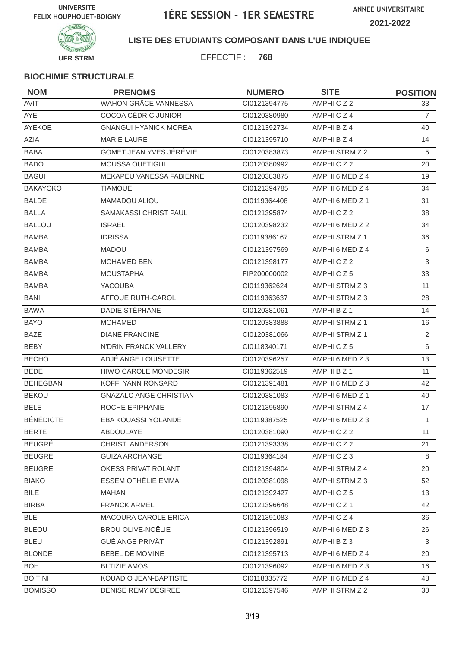

**LISTE DES ETUDIANTS COMPOSANT DANS L'UE INDIQUEE**

EFFECTIF : **768**

| <b>NOM</b>       | <b>PRENOMS</b>                | <b>NUMERO</b> | <b>SITE</b>     | <b>POSITION</b> |
|------------------|-------------------------------|---------------|-----------------|-----------------|
| AVIT             | <b>WAHON GRÂCE VANNESSA</b>   | CI0121394775  | AMPHICZ2        | 33              |
| AYE              | COCOA CÉDRIC JUNIOR           | CI0120380980  | AMPHICZ4        | $\overline{7}$  |
| AYEKOE           | <b>GNANGUI HYANICK MOREA</b>  | CI0121392734  | AMPHI B Z 4     | 40              |
| <b>AZIA</b>      | <b>MARIE LAURE</b>            | CI0121395710  | AMPHI B Z 4     | 14              |
| <b>BABA</b>      | GOMET JEAN YVES JÉRÉMIE       | CI0120383873  | AMPHI STRM Z 2  | 5               |
| <b>BADO</b>      | MOUSSA OUETIGUI               | CI0120380992  | AMPHICZ2        | 20              |
| <b>BAGUI</b>     | MEKAPEU VANESSA FABIENNE      | CI0120383875  | AMPHI 6 MED Z 4 | 19              |
| <b>BAKAYOKO</b>  | <b>TIAMOUÉ</b>                | Cl0121394785  | AMPHI 6 MED Z 4 | 34              |
| <b>BALDE</b>     | MAMADOU ALIOU                 | CI0119364408  | AMPHI 6 MED Z 1 | 31              |
| <b>BALLA</b>     | SAMAKASSI CHRIST PAUL         | CI0121395874  | AMPHICZ2        | 38              |
| <b>BALLOU</b>    | <b>ISRAEL</b>                 | CI0120398232  | AMPHI 6 MED Z 2 | 34              |
| <b>BAMBA</b>     | <b>IDRISSA</b>                | CI0119386167  | AMPHI STRM Z 1  | 36              |
| <b>BAMBA</b>     | <b>MADOU</b>                  | CI0121397569  | AMPHI 6 MED Z 4 | 6               |
| <b>BAMBA</b>     | <b>MOHAMED BEN</b>            | Cl0121398177  | AMPHICZ2        | $\mathfrak{S}$  |
| <b>BAMBA</b>     | <b>MOUSTAPHA</b>              | FIP200000002  | AMPHICZ5        | 33              |
| <b>BAMBA</b>     | <b>YACOUBA</b>                | CI0119362624  | AMPHI STRM Z 3  | 11              |
| <b>BANI</b>      | AFFOUE RUTH-CAROL             | CI0119363637  | AMPHI STRM Z 3  | 28              |
| <b>BAWA</b>      | DADIE STÉPHANE                | CI0120381061  | AMPHI B Z 1     | 14              |
| <b>BAYO</b>      | <b>MOHAMED</b>                | CI0120383888  | AMPHI STRM Z 1  | 16              |
| <b>BAZE</b>      | <b>DIANE FRANCINE</b>         | CI0120381066  | AMPHI STRM Z 1  | 2               |
| <b>BEBY</b>      | N'DRIN FRANCK VALLERY         | CI0118340171  | AMPHICZ5        | 6               |
| <b>BECHO</b>     | ADJÉ ANGE LOUISETTE           | CI0120396257  | AMPHI 6 MED Z 3 | 13              |
| <b>BEDE</b>      | HIWO CAROLE MONDESIR          | CI0119362519  | AMPHI B Z 1     | 11              |
| <b>BEHEGBAN</b>  | KOFFI YANN RONSARD            | CI0121391481  | AMPHI 6 MED Z 3 | 42              |
| <b>BEKOU</b>     | <b>GNAZALO ANGE CHRISTIAN</b> | CI0120381083  | AMPHI 6 MED Z 1 | 40              |
| <b>BELE</b>      | ROCHE EPIPHANIE               | CI0121395890  | AMPHI STRM Z 4  | 17              |
| <b>BÉNÉDICTE</b> | EBA KOUASSI YOLANDE           | CI0119387525  | AMPHI 6 MED Z 3 | $\mathbf{1}$    |
| <b>BERTE</b>     | ABDOULAYE                     | CI0120381090  | AMPHICZ2        | 11              |
| <b>BEUGRÉ</b>    | CHRIST ANDERSON               | CI0121393338  | AMPHICZ2        | 21              |
| <b>BEUGRE</b>    | <b>GUIZA ARCHANGE</b>         | CI0119364184  | AMPHICZ3        | 8               |
| <b>BEUGRE</b>    | OKESS PRIVAT ROLANT           | CI0121394804  | AMPHI STRM Z 4  | 20              |
| <b>BIAKO</b>     | <b>ESSEM OPHÉLIE EMMA</b>     | CI0120381098  | AMPHI STRM Z 3  | 52              |
| <b>BILE</b>      | MAHAN                         | CI0121392427  | AMPHICZ5        | 13              |
| <b>BIRBA</b>     | <b>FRANCK ARMEL</b>           | Cl0121396648  | AMPHICZ1        | 42              |
| <b>BLE</b>       | MACOURA CAROLE ERICA          | CI0121391083  | AMPHICZ4        | 36              |
| <b>BLEOU</b>     | <b>BROU OLIVE-NOËLIE</b>      | Cl0121396519  | AMPHI 6 MED Z 3 | 26              |
| <b>BLEU</b>      | <b>GUÉ ANGE PRIVÂT</b>        | CI0121392891  | AMPHI B Z 3     | 3               |
| <b>BLONDE</b>    | <b>BEBEL DE MOMINE</b>        | CI0121395713  | AMPHI 6 MED Z 4 | 20              |
| <b>BOH</b>       | <b>BI TIZIE AMOS</b>          | CI0121396092  | AMPHI 6 MED Z 3 | 16              |
| <b>BOITINI</b>   | KOUADIO JEAN-BAPTISTE         | CI0118335772  | AMPHI 6 MED Z 4 | 48              |
| <b>BOMISSO</b>   | DENISE REMY DÉSIRÉE           | CI0121397546  | AMPHI STRM Z 2  | 30              |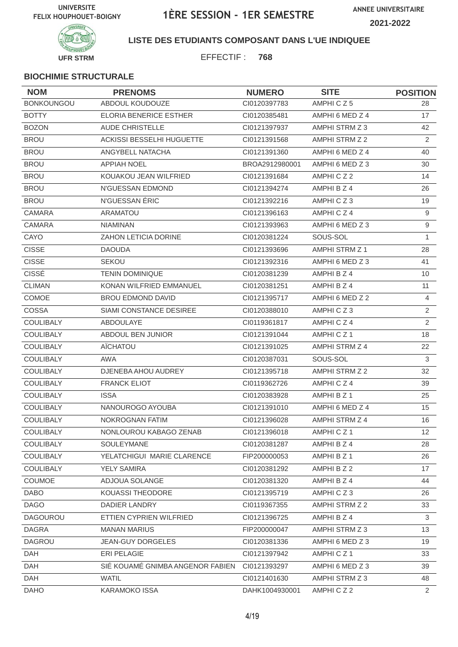

**LISTE DES ETUDIANTS COMPOSANT DANS L'UE INDIQUEE**

EFFECTIF : **768**

| <b>NOM</b>        | <b>PRENOMS</b>                   | <b>NUMERO</b>  | <b>SITE</b>           | <b>POSITION</b> |
|-------------------|----------------------------------|----------------|-----------------------|-----------------|
| <b>BONKOUNGOU</b> | ABDOUL KOUDOUZE                  | CI0120397783   | AMPHICZ5              | 28              |
| <b>BOTTY</b>      | <b>ELORIA BENERICE ESTHER</b>    | CI0120385481   | AMPHI 6 MED Z 4       | 17              |
| <b>BOZON</b>      | <b>AUDE CHRISTELLE</b>           | CI0121397937   | AMPHI STRM Z 3        | 42              |
| <b>BROU</b>       | ACKISSI BESSELHI HUGUETTE        | CI0121391568   | AMPHI STRM Z 2        | $\overline{2}$  |
| <b>BROU</b>       | ANGYBELL NATACHA                 | CI0121391360   | AMPHI 6 MED Z 4       | 40              |
| <b>BROU</b>       | <b>APPIAH NOEL</b>               | BROA2912980001 | AMPHI 6 MED Z 3       | 30              |
| <b>BROU</b>       | KOUAKOU JEAN WILFRIED            | CI0121391684   | AMPHICZ2              | 14              |
| <b>BROU</b>       | N'GUESSAN EDMOND                 | Cl0121394274   | AMPHI B Z 4           | 26              |
| <b>BROU</b>       | N'GUESSAN ÉRIC                   | Cl0121392216   | AMPHICZ3              | 19              |
| CAMARA            | <b>ARAMATOU</b>                  | CI0121396163   | AMPHICZ4              | $9\,$           |
| CAMARA            | <b>NIAMINAN</b>                  | CI0121393963   | AMPHI 6 MED Z 3       | $9\,$           |
| CAYO              | ZAHON LETICIA DORINE             | CI0120381224   | SOUS-SOL              | $\mathbf{1}$    |
| <b>CISSE</b>      | <b>DAOUDA</b>                    | CI0121393696   | AMPHI STRM Z 1        | 28              |
| <b>CISSE</b>      | <b>SEKOU</b>                     | CI0121392316   | AMPHI 6 MED Z 3       | 41              |
| <b>CISSÉ</b>      | <b>TENIN DOMINIQUE</b>           | CI0120381239   | AMPHI B Z 4           | 10              |
| <b>CLIMAN</b>     | KONAN WILFRIED EMMANUEL          | CI0120381251   | AMPHI B Z 4           | 11              |
| COMOE             | <b>BROU EDMOND DAVID</b>         | CI0121395717   | AMPHI 6 MED Z 2       | $\overline{4}$  |
| COSSA             | SIAMI CONSTANCE DESIREE          | CI0120388010   | AMPHICZ3              | $\overline{2}$  |
| <b>COULIBALY</b>  | ABDOULAYE                        | CI0119361817   | AMPHICZ4              | $\overline{2}$  |
| COULIBALY         | ABDOUL BEN JUNIOR                | Cl0121391044   | AMPHICZ1              | 18              |
| <b>COULIBALY</b>  | AÏCHATOU                         | CI0121391025   | AMPHI STRM Z 4        | 22              |
| <b>COULIBALY</b>  | <b>AWA</b>                       | CI0120387031   | SOUS-SOL              | 3               |
| COULIBALY         | DJENEBA AHOU AUDREY              | Cl0121395718   | AMPHI STRM Z 2        | 32              |
| <b>COULIBALY</b>  | <b>FRANCK ELIOT</b>              | CI0119362726   | AMPHICZ4              | 39              |
| <b>COULIBALY</b>  | <b>ISSA</b>                      | CI0120383928   | AMPHI B Z 1           | 25              |
| COULIBALY         | NANOUROGO AYOUBA                 | CI0121391010   | AMPHI 6 MED Z 4       | 15              |
| COULIBALY         | NOKROGNAN FATIM                  | CI0121396028   | <b>AMPHI STRM Z 4</b> | 16              |
| COULIBALY         | NONLOUROU KABAGO ZENAB           | Cl0121396018   | AMPHICZ1              | 12              |
| COULIBALY         | SOULEYMANE                       | Cl0120381287   | AMPHI B Z 4           | 28              |
| <b>COULIBALY</b>  | YELATCHIGUI MARIE CLARENCE       | FIP200000053   | AMPHI B Z 1           | 26              |
| COULIBALY         | YELY SAMIRA                      | CI0120381292   | AMPHI B Z 2           | 17              |
| COUMOE            | ADJOUA SOLANGE                   | CI0120381320   | AMPHI B Z 4           | 44              |
| <b>DABO</b>       | KOUASSI THEODORE                 | CI0121395719   | AMPHICZ3              | 26              |
| <b>DAGO</b>       | DADIER LANDRY                    | CI0119367355   | AMPHI STRM Z 2        | 33              |
| <b>DAGOUROU</b>   | ETTIEN CYPRIEN WILFRIED          | CI0121396725   | AMPHI B Z 4           | 3               |
| <b>DAGRA</b>      | <b>MANAN MARIUS</b>              | FIP200000047   | AMPHI STRM Z 3        | 13              |
| <b>DAGROU</b>     | <b>JEAN-GUY DORGELES</b>         | CI0120381336   | AMPHI 6 MED Z 3       | 19              |
| DAH               | ERI PELAGIE                      | CI0121397942   | AMPHICZ1              | 33              |
| DAH               | SIÉ KOUAMÉ GNIMBA ANGENOR FABIEN | CI0121393297   | AMPHI 6 MED Z 3       | 39              |
| DAH               | <b>WATIL</b>                     | CI0121401630   | AMPHI STRM Z 3        | 48              |
| <b>DAHO</b>       | <b>KARAMOKO ISSA</b>             | DAHK1004930001 | AMPHICZ2              | $\overline{2}$  |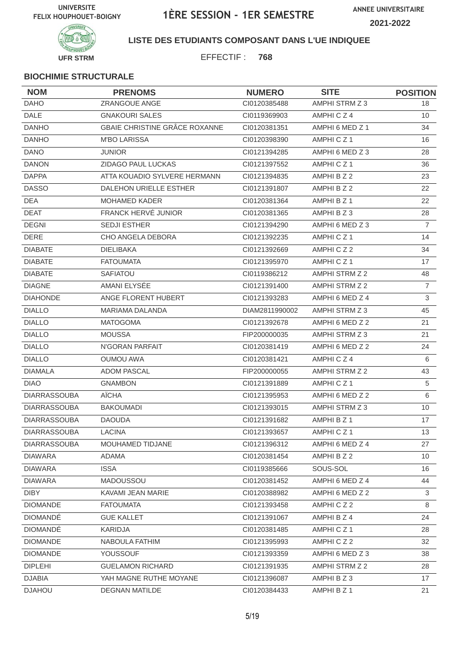

**LISTE DES ETUDIANTS COMPOSANT DANS L'UE INDIQUEE**

EFFECTIF : **768**

| <b>NOM</b>          | <b>PRENOMS</b>                | <b>NUMERO</b>  | <b>SITE</b>     | <b>POSITION</b> |
|---------------------|-------------------------------|----------------|-----------------|-----------------|
| <b>DAHO</b>         | ZRANGOUE ANGE                 | CI0120385488   | AMPHI STRM Z 3  | 18              |
| <b>DALE</b>         | <b>GNAKOURI SALES</b>         | CI0119369903   | AMPHICZ4        | 10              |
| <b>DANHO</b>        | GBAIE CHRISTINE GRÂCE ROXANNE | CI0120381351   | AMPHI 6 MED Z 1 | 34              |
| <b>DANHO</b>        | <b>M'BO LARISSA</b>           | CI0120398390   | AMPHICZ1        | 16              |
| <b>DANO</b>         | <b>JUNIOR</b>                 | CI0121394285   | AMPHI 6 MED Z 3 | 28              |
| <b>DANON</b>        | ZIDAGO PAUL LUCKAS            | CI0121397552   | AMPHICZ1        | 36              |
| <b>DAPPA</b>        | ATTA KOUADIO SYLVERE HERMANN  | CI0121394835   | AMPHI B Z 2     | 23              |
| <b>DASSO</b>        | <b>DALEHON URIELLE ESTHER</b> | CI0121391807   | AMPHI B Z 2     | 22              |
| DEA                 | MOHAMED KADER                 | CI0120381364   | AMPHI B Z 1     | 22              |
| <b>DEAT</b>         | FRANCK HERVÉ JUNIOR           | CI0120381365   | AMPHIBZ3        | 28              |
| <b>DEGNI</b>        | <b>SEDJI ESTHER</b>           | CI0121394290   | AMPHI 6 MED Z 3 | $\overline{7}$  |
| <b>DERE</b>         | CHO ANGELA DEBORA             | CI0121392235   | AMPHICZ1        | 14              |
| <b>DIABATE</b>      | <b>DIELIBAKA</b>              | CI0121392669   | AMPHICZ2        | 34              |
| <b>DIABATE</b>      | <b>FATOUMATA</b>              | CI0121395970   | AMPHICZ1        | 17              |
| <b>DIABATE</b>      | SAFIATOU                      | CI0119386212   | AMPHI STRM Z 2  | 48              |
| <b>DIAGNE</b>       | AMANI ELYSÉE                  | CI0121391400   | AMPHI STRM Z 2  | $\overline{7}$  |
| <b>DIAHONDE</b>     | ANGE FLORENT HUBERT           | CI0121393283   | AMPHI 6 MED Z 4 | 3               |
| <b>DIALLO</b>       | MARIAMA DALANDA               | DIAM2811990002 | AMPHI STRM Z 3  | 45              |
| <b>DIALLO</b>       | <b>MATOGOMA</b>               | CI0121392678   | AMPHI 6 MED Z 2 | 21              |
| <b>DIALLO</b>       | <b>MOUSSA</b>                 | FIP200000035   | AMPHI STRM Z 3  | 21              |
| <b>DIALLO</b>       | N'GORAN PARFAIT               | CI0120381419   | AMPHI 6 MED Z 2 | 24              |
| <b>DIALLO</b>       | <b>OUMOU AWA</b>              | CI0120381421   | AMPHICZ4        | 6               |
| <b>DIAMALA</b>      | <b>ADOM PASCAL</b>            | FIP200000055   | AMPHI STRM Z 2  | 43              |
| <b>DIAO</b>         | <b>GNAMBON</b>                | CI0121391889   | AMPHICZ1        | $\sqrt{5}$      |
| <b>DIARRASSOUBA</b> | AÏCHA                         | CI0121395953   | AMPHI 6 MED Z 2 | 6               |
| <b>DIARRASSOUBA</b> | <b>BAKOUMADI</b>              | CI0121393015   | AMPHI STRM Z 3  | 10              |
| <b>DIARRASSOUBA</b> | <b>DAOUDA</b>                 | CI0121391682   | AMPHI B Z 1     | 17              |
| <b>DIARRASSOUBA</b> | <b>LACINA</b>                 | CI0121393657   | AMPHICZ1        | 13              |
| <b>DIARRASSOUBA</b> | MOUHAMED TIDJANE              | Cl0121396312   | AMPHI 6 MED Z 4 | 27              |
| <b>DIAWARA</b>      | ADAMA                         | Cl0120381454   | AMPHI B Z 2     | 10 <sup>°</sup> |
| <b>DIAWARA</b>      | <b>ISSA</b>                   | CI0119385666   | SOUS-SOL        | 16              |
| <b>DIAWARA</b>      | MADOUSSOU                     | CI0120381452   | AMPHI 6 MED Z 4 | 44              |
| <b>DIBY</b>         | KAVAMI JEAN MARIE             | CI0120388982   | AMPHI 6 MED Z 2 | 3               |
| <b>DIOMANDE</b>     | <b>FATOUMATA</b>              | CI0121393458   | AMPHICZ2        | 8               |
| <b>DIOMANDÉ</b>     | <b>GUE KALLET</b>             | CI0121391067   | AMPHI B Z 4     | 24              |
| <b>DIOMANDE</b>     | <b>KARIDJA</b>                | CI0120381485   | AMPHICZ1        | 28              |
| <b>DIOMANDE</b>     | NABOULA FATHIM                | CI0121395993   | AMPHICZ2        | 32              |
| <b>DIOMANDE</b>     | YOUSSOUF                      | CI0121393359   | AMPHI 6 MED Z 3 | 38              |
| <b>DIPLEHI</b>      | <b>GUELAMON RICHARD</b>       | CI0121391935   | AMPHI STRM Z 2  | 28              |
| <b>DJABIA</b>       | YAH MAGNE RUTHE MOYANE        | CI0121396087   | AMPHI B Z 3     | 17              |
| <b>DJAHOU</b>       | <b>DEGNAN MATILDE</b>         | CI0120384433   | AMPHI B Z 1     | 21              |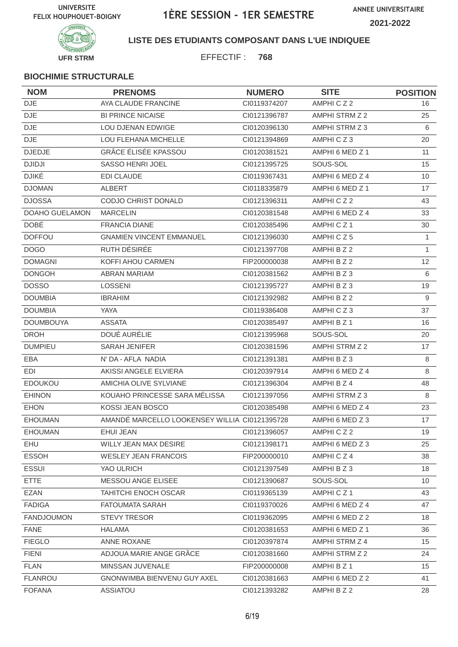

#### **LISTE DES ETUDIANTS COMPOSANT DANS L'UE INDIQUEE**

EFFECTIF : **768**

| <b>NOM</b>        | <b>PRENOMS</b>                                | <b>NUMERO</b> | <b>SITE</b>     | <b>POSITION</b> |
|-------------------|-----------------------------------------------|---------------|-----------------|-----------------|
| <b>DJE</b>        | AYA CLAUDE FRANCINE                           | CI0119374207  | AMPHICZ2        | 16              |
| <b>DJE</b>        | <b>BI PRINCE NICAISE</b>                      | CI0121396787  | AMPHI STRM Z 2  | 25              |
| <b>DJE</b>        | LOU DJENAN EDWIGE                             | CI0120396130  | AMPHI STRM Z 3  | 6               |
| <b>DJE</b>        | LOU FLEHANA MICHELLE                          | Cl0121394869  | AMPHICZ3        | 20              |
| <b>DJEDJE</b>     | <b>GRÂCE ÉLISÉE KPASSOU</b>                   | CI0120381521  | AMPHI 6 MED Z 1 | 11              |
| <b>DJIDJI</b>     | SASSO HENRI JOEL                              | Cl0121395725  | SOUS-SOL        | 15              |
| <b>DJIKÉ</b>      | <b>EDI CLAUDE</b>                             | CI0119367431  | AMPHI 6 MED Z 4 | 10              |
| <b>DJOMAN</b>     | <b>ALBERT</b>                                 | CI0118335879  | AMPHI 6 MED Z 1 | 17              |
| <b>DJOSSA</b>     | CODJO CHRIST DONALD                           | CI0121396311  | AMPHICZ2        | 43              |
| DOAHO GUELAMON    | <b>MARCELIN</b>                               | Cl0120381548  | AMPHI 6 MED Z 4 | 33              |
| <b>DOBÉ</b>       | <b>FRANCIA DIANE</b>                          | Cl0120385496  | AMPHICZ1        | 30              |
| <b>DOFFOU</b>     | <b>GNAMIEN VINCENT EMMANUEL</b>               | Cl0121396030  | AMPHICZ5        | $\mathbf{1}$    |
| <b>DOGO</b>       | RUTH DÉSIRÉE                                  | Cl0121397708  | AMPHI B Z 2     | $\mathbf{1}$    |
| <b>DOMAGNI</b>    | KOFFI AHOU CARMEN                             | FIP200000038  | AMPHI B Z 2     | 12 <sup>2</sup> |
| <b>DONGOH</b>     | <b>ABRAN MARIAM</b>                           | Cl0120381562  | AMPHI B Z 3     | 6               |
| <b>DOSSO</b>      | <b>LOSSENI</b>                                | Cl0121395727  | AMPHIBZ3        | 19              |
| <b>DOUMBIA</b>    | <b>IBRAHIM</b>                                | Cl0121392982  | AMPHI B Z 2     | $9\,$           |
| <b>DOUMBIA</b>    | <b>YAYA</b>                                   | CI0119386408  | AMPHICZ3        | 37              |
| <b>DOUMBOUYA</b>  | <b>ASSATA</b>                                 | CI0120385497  | AMPHI B Z 1     | 16              |
| <b>DROH</b>       | <b>DOUÉ AURÉLIE</b>                           | Cl0121395968  | SOUS-SOL        | 20              |
| <b>DUMPIEU</b>    | <b>SARAH JENIFER</b>                          | CI0120381596  | AMPHI STRM Z 2  | 17              |
| EBA               | N' DA - AFLA NADIA                            | CI0121391381  | AMPHI B Z 3     | 8               |
| EDI               | AKISSI ANGELE ELVIERA                         | Cl0120397914  | AMPHI 6 MED Z 4 | 8               |
| <b>EDOUKOU</b>    | AMICHIA OLIVE SYLVIANE                        | Cl0121396304  | AMPHI B Z 4     | 48              |
| <b>EHINON</b>     | KOUAHO PRINCESSE SARA MÉLISSA                 | CI0121397056  | AMPHI STRM Z 3  | 8               |
| <b>EHON</b>       | KOSSI JEAN BOSCO                              | CI0120385498  | AMPHI 6 MED Z 4 | 23              |
| <b>EHOUMAN</b>    | AMANDÉ MARCELLO LOOKENSEY WILLIA CI0121395728 |               | AMPHI 6 MED Z 3 | 17              |
| <b>EHOUMAN</b>    | <b>EHUI JEAN</b>                              | CI0121396057  | AMPHICZ2        | 19              |
| EHU               | <b>WILLY JEAN MAX DESIRE</b>                  | Cl0121398171  | AMPHI 6 MED Z 3 | 25              |
| <b>ESSOH</b>      | <b>WESLEY JEAN FRANCOIS</b>                   | FIP200000010  | AMPHICZ4        | 38              |
| <b>ESSUI</b>      | YAO ULRICH                                    | CI0121397549  | AMPHI B Z 3     | 18              |
| <b>ETTE</b>       | <b>MESSOU ANGE ELISEE</b>                     | Cl0121390687  | SOUS-SOL        | 10              |
| <b>EZAN</b>       | <b>TAHITCHI ENOCH OSCAR</b>                   | CI0119365139  | AMPHICZ1        | 43              |
| <b>FADIGA</b>     | <b>FATOUMATA SARAH</b>                        | CI0119370026  | AMPHI 6 MED Z 4 | 47              |
| <b>FANDJOUMON</b> | <b>STEVY TRESOR</b>                           | CI0119362095  | AMPHI 6 MED Z 2 | 18              |
| <b>FANE</b>       | <b>HALAMA</b>                                 | CI0120381653  | AMPHI 6 MED Z 1 | 36              |
| <b>FIEGLO</b>     | ANNE ROXANE                                   | CI0120397874  | AMPHI STRM Z 4  | 15              |
| <b>FIENI</b>      | ADJOUA MARIE ANGE GRÂCE                       | CI0120381660  | AMPHI STRM Z 2  | 24              |
| <b>FLAN</b>       | MINSSAN JUVENALE                              | FIP200000008  | AMPHI B Z 1     | 15              |
| <b>FLANROU</b>    | GNONWIMBA BIENVENU GUY AXEL                   | CI0120381663  | AMPHI 6 MED Z 2 | 41              |
| <b>FOFANA</b>     | ASSIATOU                                      | CI0121393282  | AMPHI B Z 2     | 28              |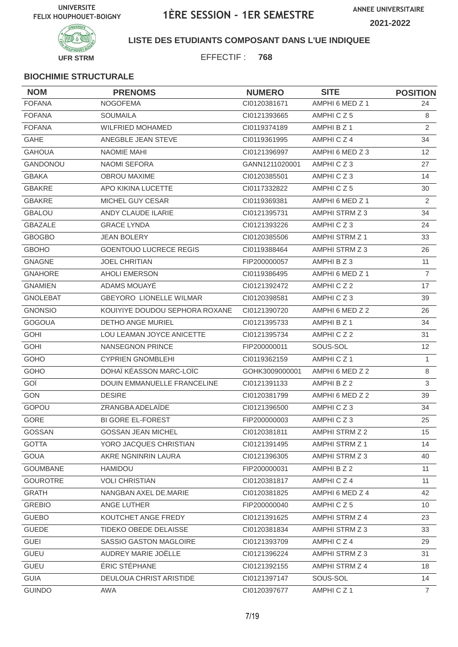

**LISTE DES ETUDIANTS COMPOSANT DANS L'UE INDIQUEE**

EFFECTIF : **768**

| <b>NOM</b>      | <b>PRENOMS</b>                     | <b>NUMERO</b>  | <b>SITE</b>          | <b>POSITION</b>  |
|-----------------|------------------------------------|----------------|----------------------|------------------|
| <b>FOFANA</b>   | <b>NOGOFEMA</b>                    | CI0120381671   | AMPHI 6 MED Z 1      | 24               |
| <b>FOFANA</b>   | <b>SOUMAILA</b>                    | CI0121393665   | AMPHICZ5             | 8                |
| <b>FOFANA</b>   | <b>WILFRIED MOHAMED</b>            | CI0119374189   | AMPHI B Z 1          | 2                |
| <b>GAHE</b>     | ANEGBLE JEAN STEVE                 | CI0119361995   | AMPHICZ4             | 34               |
| <b>GAHOUA</b>   | NAOMIE MAHI                        | CI0121396997   | AMPHI 6 MED Z 3      | 12 <sup>°</sup>  |
| <b>GANDONOU</b> | <b>NAOMI SEFORA</b>                | GANN1211020001 | AMPHICZ3             | 27               |
| <b>GBAKA</b>    | <b>OBROU MAXIME</b>                | CI0120385501   | AMPHICZ3             | 14               |
| <b>GBAKRE</b>   | APO KIKINA LUCETTE                 | CI0117332822   | AMPHICZ5             | 30               |
| <b>GBAKRE</b>   | MICHEL GUY CESAR                   | CI0119369381   | AMPHI 6 MED Z 1      | 2                |
| <b>GBALOU</b>   | ANDY CLAUDE ILARIE                 | CI0121395731   | AMPHI STRM Z 3       | 34               |
| <b>GBAZALE</b>  | <b>GRACE LYNDA</b>                 | CI0121393226   | AMPHICZ3             | 24               |
| <b>GBOGBO</b>   | <b>JEAN BOLERY</b>                 | CI0120385506   | AMPHI STRM Z 1       | 33               |
| <b>GBOHO</b>    | <b>GOENTOUO LUCRECE REGIS</b>      | CI0119388464   | AMPHI STRM Z 3       | 26               |
| <b>GNAGNE</b>   | <b>JOEL CHRITIAN</b>               | FIP200000057   | AMPHI B Z 3          | 11               |
| <b>GNAHORE</b>  | <b>AHOLI EMERSON</b>               | CI0119386495   | AMPHI 6 MED Z 1      | $\overline{7}$   |
| <b>GNAMIEN</b>  | ADAMS MOUAYE                       | CI0121392472   | AMPHICZ2             | 17               |
| <b>GNOLEBAT</b> | <b>GBEYORO LIONELLE WILMAR</b>     | CI0120398581   | AMPHICZ3             | 39               |
| <b>GNONSIO</b>  | KOUIYIYE DOUDOU SEPHORA ROXANE     | CI0121390720   | AMPHI 6 MED Z 2      | 26               |
| <b>GOGOUA</b>   | <b>DETHO ANGE MURIEL</b>           | CI0121395733   | AMPHI B Z 1          | 34               |
| <b>GOHI</b>     | LOU LEAMAN JOYCE ANICETTE          | CI0121395734   | AMPHICZ2             | 31               |
| <b>GOHI</b>     | <b>NANSEGNON PRINCE</b>            | FIP200000011   | SOUS-SOL             | 12               |
| GOHO            | <b>CYPRIEN GNOMBLEHI</b>           | CI0119362159   | AMPHICZ <sub>1</sub> | $\mathbf{1}$     |
| GOHO            | DOHAÏ KÉASSON MARC-LOÏC            | GOHK3009000001 | AMPHI 6 MED Z 2      | 8                |
| GOÏ             | <b>DOUIN EMMANUELLE FRANCELINE</b> | Cl0121391133   | AMPHI B Z 2          | 3                |
| <b>GON</b>      | <b>DESIRE</b>                      | CI0120381799   | AMPHI 6 MED Z 2      | 39               |
| GOPOU           | ZRANGBA ADELAÏDE                   | CI0121396500   | AMPHICZ3             | 34               |
| GORE            | <b>BI GORE EL-FOREST</b>           | FIP200000003   | AMPHICZ3             | 25               |
| GOSSAN          | GOSSAN JEAN MICHEL                 | CI0120381811   | AMPHI STRM Z 2       | 15 <sub>15</sub> |
| <b>GOTTA</b>    | YORO JACQUES CHRISTIAN             | CI0121391495   | AMPHI STRM Z 1       | 14               |
| <b>GOUA</b>     | AKRE NGNINRIN LAURA                | CI0121396305   | AMPHI STRM Z 3       | 40               |
| <b>GOUMBANE</b> | HAMIDOU                            | FIP200000031   | AMPHI B Z 2          | 11               |
| <b>GOUROTRE</b> | <b>VOLI CHRISTIAN</b>              | CI0120381817   | AMPHICZ4             | 11               |
| <b>GRATH</b>    | NANGBAN AXEL DE.MARIE              | CI0120381825   | AMPHI 6 MED Z 4      | 42               |
| <b>GREBIO</b>   | ANGE LUTHER                        | FIP200000040   | AMPHICZ5             | 10 <sup>°</sup>  |
| <b>GUEBO</b>    | KOUTCHET ANGE FREDY                | CI0121391625   | AMPHI STRM Z 4       | 23               |
| <b>GUEDE</b>    | TIDEKO OBEDE DELAISSE              | CI0120381834   | AMPHI STRM Z 3       | 33               |
| <b>GUEI</b>     | SASSIO GASTON MAGLOIRE             | CI0121393709   | AMPHICZ4             | 29               |
| <b>GUEU</b>     | AUDREY MARIE JOËLLE                | Cl0121396224   | AMPHI STRM Z 3       | 31               |
| <b>GUEU</b>     | ÉRIC STÉPHANE                      | CI0121392155   | AMPHI STRM Z 4       | 18               |
| <b>GUIA</b>     | DEULOUA CHRIST ARISTIDE            | Cl0121397147   | SOUS-SOL             | 14               |
| <b>GUINDO</b>   | AWA                                | Cl0120397677   | AMPHICZ1             | $\overline{7}$   |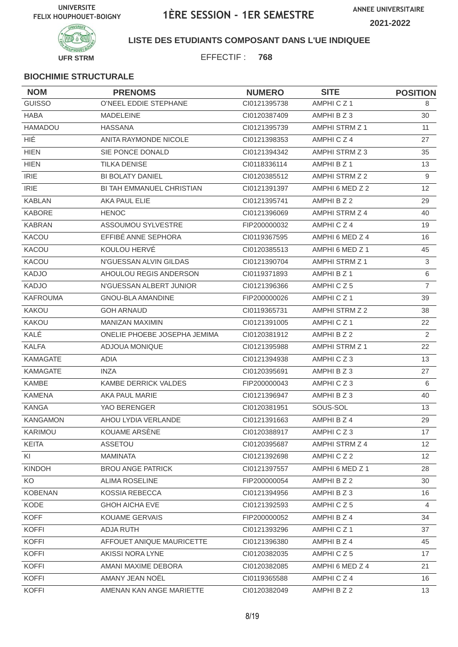

**LISTE DES ETUDIANTS COMPOSANT DANS L'UE INDIQUEE**

EFFECTIF : **768**

| <b>NOM</b>      | <b>PRENOMS</b>               | <b>NUMERO</b> | <b>SITE</b>     | <b>POSITION</b> |
|-----------------|------------------------------|---------------|-----------------|-----------------|
| <b>GUISSO</b>   | O'NEEL EDDIE STEPHANE        | CI0121395738  | AMPHICZ1        | 8               |
| <b>HABA</b>     | <b>MADELEINE</b>             | CI0120387409  | AMPHI B Z 3     | 30              |
| HAMADOU         | <b>HASSANA</b>               | CI0121395739  | AMPHI STRM Z 1  | 11              |
| HIÉ.            | ANITA RAYMONDE NICOLE        | CI0121398353  | AMPHICZ4        | 27              |
| <b>HIEN</b>     | SIE PONCE DONALD             | CI0121394342  | AMPHI STRM Z 3  | 35              |
| <b>HIEN</b>     | <b>TILKA DENISE</b>          | CI0118336114  | AMPHI B Z 1     | 13              |
| <b>IRIE</b>     | <b>BI BOLATY DANIEL</b>      | CI0120385512  | AMPHI STRM Z 2  | 9               |
| <b>IRIE</b>     | BI TAH EMMANUEL CHRISTIAN    | CI0121391397  | AMPHI 6 MED Z 2 | 12 <sup>2</sup> |
| <b>KABLAN</b>   | AKA PAUL ELIE                | CI0121395741  | AMPHI B Z 2     | 29              |
| <b>KABORE</b>   | <b>HENOC</b>                 | CI0121396069  | AMPHI STRM Z 4  | 40              |
| <b>KABRAN</b>   | ASSOUMOU SYLVESTRE           | FIP200000032  | AMPHICZ4        | 19              |
| KACOU           | EFFIBÉ ANNE SEPHORA          | CI0119367595  | AMPHI 6 MED Z 4 | 16              |
| <b>KACOU</b>    | KOULOU HERVÉ                 | CI0120385513  | AMPHI 6 MED Z 1 | 45              |
| KACOU           | N'GUESSAN ALVIN GILDAS       | CI0121390704  | AMPHI STRM Z 1  | 3               |
| <b>KADJO</b>    | AHOULOU REGIS ANDERSON       | CI0119371893  | AMPHI B Z 1     | 6               |
| <b>KADJO</b>    | N'GUESSAN ALBERT JUNIOR      | CI0121396366  | AMPHICZ5        | $\overline{7}$  |
| <b>KAFROUMA</b> | <b>GNOU-BLA AMANDINE</b>     | FIP200000026  | AMPHICZ1        | 39              |
| KAKOU           | <b>GOH ARNAUD</b>            | CI0119365731  | AMPHI STRM Z 2  | 38              |
| KAKOU           | MANIZAN MAXIMIN              | CI0121391005  | AMPHICZ1        | 22              |
| KALÉ            | ONELIE PHOEBE JOSEPHA JEMIMA | CI0120381912  | AMPHI B Z 2     | 2               |
| <b>KALFA</b>    | <b>ADJOUA MONIQUE</b>        | CI0121395988  | AMPHI STRM Z 1  | 22              |
| <b>KAMAGATE</b> | <b>ADIA</b>                  | CI0121394938  | AMPHICZ3        | 13              |
| <b>KAMAGATE</b> | <b>INZA</b>                  | CI0120395691  | AMPHI B Z 3     | 27              |
| <b>KAMBE</b>    | KAMBE DERRICK VALDES         | FIP200000043  | AMPHICZ3        | 6               |
| <b>KAMENA</b>   | AKA PAUL MARIE               | CI0121396947  | AMPHI B Z 3     | 40              |
| KANGA           | YAO BERENGER                 | CI0120381951  | SOUS-SOL        | 13              |
| <b>KANGAMON</b> | AHOU LYDIA VERLANDE          | CI0121391663  | AMPHI B Z 4     | 29              |
| KARIMOU         | KOUAME ARSÈNE                | CI0120388917  | AMPHICZ3        | 17              |
| <b>KEITA</b>    | ASSETOU                      | CI0120395687  | AMPHI STRM Z 4  | 12              |
| KI              | MAMINATA                     | CI0121392698  | AMPHICZ2        | 12 <sup>2</sup> |
| <b>KINDOH</b>   | <b>BROU ANGE PATRICK</b>     | CI0121397557  | AMPHI 6 MED Z 1 | 28              |
| KO              | <b>ALIMA ROSELINE</b>        | FIP200000054  | AMPHI B Z 2     | 30              |
| <b>KOBENAN</b>  | KOSSIA REBECCA               | CI0121394956  | AMPHIBZ3        | 16              |
| KODE            | <b>GHOH AICHA EVE</b>        | CI0121392593  | AMPHICZ5        | $\overline{4}$  |
| <b>KOFF</b>     | <b>KOUAME GERVAIS</b>        | FIP200000052  | AMPHI B Z 4     | 34              |
| <b>KOFFI</b>    | <b>ADJA RUTH</b>             | CI0121393296  | AMPHICZ1        | 37              |
| <b>KOFFI</b>    | AFFOUET ANIQUE MAURICETTE    | CI0121396380  | AMPHI B Z 4     | 45              |
| <b>KOFFI</b>    | AKISSI NORA LYNE             | CI0120382035  | AMPHICZ5        | 17              |
| <b>KOFFI</b>    | AMANI MAXIME DEBORA          | CI0120382085  | AMPHI 6 MED Z 4 | 21              |
| <b>KOFFI</b>    | AMANY JEAN NOËL              | CI0119365588  | AMPHICZ4        | 16              |
| <b>KOFFI</b>    | AMENAN KAN ANGE MARIETTE     | CI0120382049  | AMPHI B Z 2     | 13              |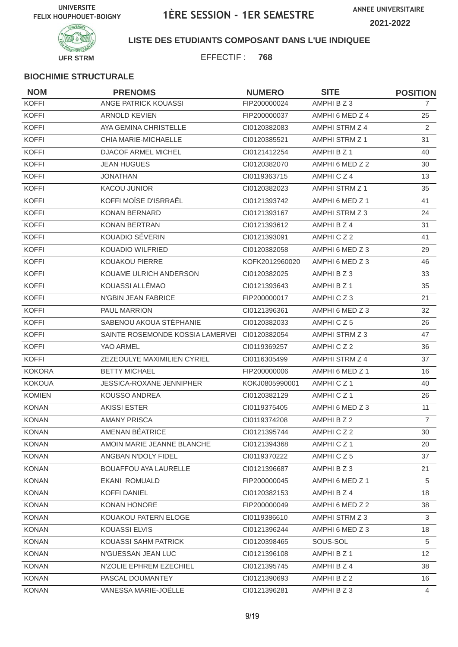

**LISTE DES ETUDIANTS COMPOSANT DANS L'UE INDIQUEE**

EFFECTIF : **768**

| <b>NOM</b>    | <b>PRENOMS</b>                   | <b>NUMERO</b>  | <b>SITE</b>          | <b>POSITION</b> |
|---------------|----------------------------------|----------------|----------------------|-----------------|
| <b>KOFFI</b>  | ANGE PATRICK KOUASSI             | FIP200000024   | AMPHI B Z 3          | 7               |
| <b>KOFFI</b>  | <b>ARNOLD KEVIEN</b>             | FIP200000037   | AMPHI 6 MED Z 4      | 25              |
| <b>KOFFI</b>  | AYA GEMINA CHRISTELLE            | CI0120382083   | AMPHI STRM Z 4       | 2               |
| <b>KOFFI</b>  | CHIA MARIE-MICHAELLE             | CI0120385521   | AMPHI STRM Z 1       | 31              |
| <b>KOFFI</b>  | DJACOF ARMEL MICHEL              | Cl0121412254   | AMPHI B Z 1          | 40              |
| <b>KOFFI</b>  | <b>JEAN HUGUES</b>               | CI0120382070   | AMPHI 6 MED Z 2      | 30              |
| <b>KOFFI</b>  | <b>JONATHAN</b>                  | CI0119363715   | AMPHICZ4             | 13              |
| <b>KOFFI</b>  | <b>KACOU JUNIOR</b>              | CI0120382023   | AMPHI STRM Z 1       | 35              |
| <b>KOFFI</b>  | KOFFI MOÏSE D'ISRRAËL            | CI0121393742   | AMPHI 6 MED Z 1      | 41              |
| <b>KOFFI</b>  | <b>KONAN BERNARD</b>             | CI0121393167   | AMPHI STRM Z 3       | 24              |
| <b>KOFFI</b>  | <b>KONAN BERTRAN</b>             | CI0121393612   | AMPHI B Z 4          | 31              |
| <b>KOFFI</b>  | KOUADIO SÉVERIN                  | CI0121393091   | AMPHICZ2             | 41              |
| <b>KOFFI</b>  | KOUADIO WILFRIED                 | CI0120382058   | AMPHI 6 MED Z 3      | 29              |
| <b>KOFFI</b>  | KOUAKOU PIERRE                   | KOFK2012960020 | AMPHI 6 MED Z 3      | 46              |
| <b>KOFFI</b>  | KOUAME ULRICH ANDERSON           | CI0120382025   | AMPHI B Z 3          | 33              |
| <b>KOFFI</b>  | KOUASSI ALLÉMAO                  | CI0121393643   | AMPHI B Z 1          | 35              |
| <b>KOFFI</b>  | N'GBIN JEAN FABRICE              | FIP200000017   | AMPHICZ3             | 21              |
| <b>KOFFI</b>  | <b>PAUL MARRION</b>              | CI0121396361   | AMPHI 6 MED Z 3      | 32              |
| <b>KOFFI</b>  | SABENOU AKOUA STÉPHANIE          | CI0120382033   | AMPHICZ5             | 26              |
| <b>KOFFI</b>  | SAINTE ROSEMONDE KOSSIA LAMERVEI | CI0120382054   | AMPHI STRM Z 3       | 47              |
| <b>KOFFI</b>  | YAO ARMEL                        | CI0119369257   | AMPHICZ2             | 36              |
| <b>KOFFI</b>  | ZEZEOULYE MAXIMILIEN CYRIEL      | CI0116305499   | AMPHI STRM Z 4       | 37              |
| <b>KOKORA</b> | <b>BETTY MICHAEL</b>             | FIP200000006   | AMPHI 6 MED Z 1      | 16              |
| <b>KOKOUA</b> | <b>JESSICA-ROXANE JENNIPHER</b>  | KOKJ0805990001 | AMPHICZ <sub>1</sub> | 40              |
| <b>KOMIEN</b> | <b>KOUSSO ANDREA</b>             | CI0120382129   | AMPHICZ1             | 26              |
| <b>KONAN</b>  | <b>AKISSI ESTER</b>              | CI0119375405   | AMPHI 6 MED Z 3      | 11              |
| <b>KONAN</b>  | <b>AMANY PRISCA</b>              | CI0119374208   | AMPHI B Z 2          | $\overline{7}$  |
| KONAN         | AMENAN BÉATRICE                  | CI0121395744   | AMPHICZ2             | 30              |
| <b>KONAN</b>  | AMOIN MARIE JEANNE BLANCHE       | CI0121394368   | AMPHICZ1             | 20              |
| <b>KONAN</b>  | ANGBAN N'DOLY FIDEL              | CI0119370222   | AMPHICZ5             | 37              |
| <b>KONAN</b>  | BOUAFFOU AYA LAURELLE            | CI0121396687   | AMPHI B Z 3          | 21              |
| <b>KONAN</b>  | <b>EKANI ROMUALD</b>             | FIP200000045   | AMPHI 6 MED Z 1      | 5               |
| <b>KONAN</b>  | <b>KOFFI DANIEL</b>              | CI0120382153   | AMPHI B Z 4          | 18              |
| <b>KONAN</b>  | KONAN HONORE                     | FIP200000049   | AMPHI 6 MED Z 2      | 38              |
| <b>KONAN</b>  | KOUAKOU PATERN ELOGE             | CI0119386610   | AMPHI STRM Z 3       | 3               |
| <b>KONAN</b>  | KOUASSI ELVIS                    | CI0121396244   | AMPHI 6 MED Z 3      | 18              |
| <b>KONAN</b>  | KOUASSI SAHM PATRICK             | CI0120398465   | SOUS-SOL             | 5               |
| <b>KONAN</b>  | N'GUESSAN JEAN LUC               | CI0121396108   | AMPHI B Z 1          | 12 <sup>2</sup> |
| <b>KONAN</b>  | N'ZOLIE EPHREM EZECHIEL          | CI0121395745   | AMPHI B Z 4          | 38              |
| <b>KONAN</b>  | PASCAL DOUMANTEY                 | CI0121390693   | AMPHI B Z 2          | 16              |
| <b>KONAN</b>  | VANESSA MARIE-JOËLLE             | CI0121396281   | AMPHI B Z 3          | 4               |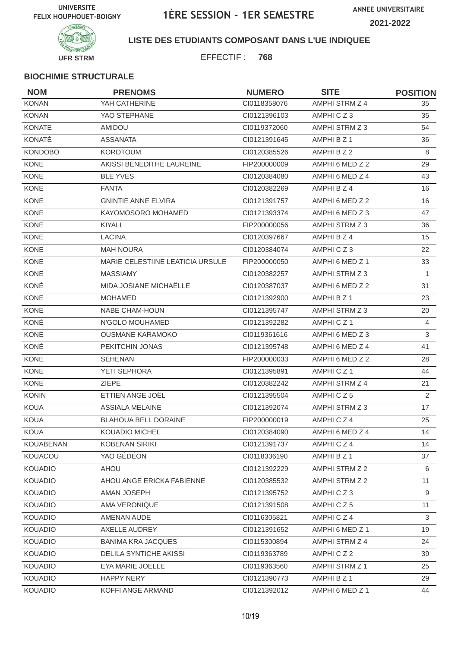

**LISTE DES ETUDIANTS COMPOSANT DANS L'UE INDIQUEE**

EFFECTIF : **768**

| <b>NOM</b>       | <b>PRENOMS</b>                   | <b>NUMERO</b> | <b>SITE</b>           | <b>POSITION</b> |
|------------------|----------------------------------|---------------|-----------------------|-----------------|
| <b>KONAN</b>     | YAH CATHERINE                    | CI0118358076  | AMPHI STRM Z 4        | 35              |
| <b>KONAN</b>     | YAO STEPHANE                     | CI0121396103  | AMPHICZ3              | 35              |
| <b>KONATE</b>    | <b>AMIDOU</b>                    | CI0119372060  | AMPHI STRM Z 3        | 54              |
| KONATÉ           | <b>ASSANATA</b>                  | CI0121391645  | AMPHI B Z 1           | 36              |
| <b>KONDOBO</b>   | <b>KOROTOUM</b>                  | CI0120385526  | AMPHI B Z 2           | 8               |
| <b>KONE</b>      | AKISSI BENEDITHE LAUREINE        | FIP200000009  | AMPHI 6 MED Z 2       | 29              |
| <b>KONE</b>      | <b>BLE YVES</b>                  | CI0120384080  | AMPHI 6 MED Z 4       | 43              |
| <b>KONE</b>      | <b>FANTA</b>                     | CI0120382269  | AMPHI B Z 4           | 16              |
| <b>KONE</b>      | <b>GNINTIE ANNE ELVIRA</b>       | CI0121391757  | AMPHI 6 MED Z 2       | 16              |
| <b>KONE</b>      | KAYOMOSORO MOHAMED               | CI0121393374  | AMPHI 6 MED Z 3       | 47              |
| <b>KONE</b>      | KIYALI                           | FIP200000056  | AMPHI STRM Z 3        | 36              |
| <b>KONE</b>      | <b>LACINA</b>                    | CI0120397667  | AMPHI B Z 4           | 15              |
| <b>KONE</b>      | <b>MAH NOURA</b>                 | CI0120384074  | AMPHICZ3              | 22              |
| KONE             | MARIE CELESTIINE LEATICIA URSULE | FIP200000050  | AMPHI 6 MED Z 1       | 33              |
| <b>KONE</b>      | <b>MASSIAMY</b>                  | CI0120382257  | AMPHI STRM Z 3        | $\mathbf{1}$    |
| KONÉ             | MIDA JOSIANE MICHAËLLE           | CI0120387037  | AMPHI 6 MED Z 2       | 31              |
| <b>KONE</b>      | <b>MOHAMED</b>                   | CI0121392900  | AMPHI B Z 1           | 23              |
| <b>KONE</b>      | NABE CHAM-HOUN                   | CI0121395747  | AMPHI STRM Z 3        | 20              |
| KONÉ             | N'GOLO MOUHAMED                  | CI0121392282  | AMPHICZ1              | 4               |
| KONE             | <b>OUSMANE KARAMOKO</b>          | CI0119361616  | AMPHI 6 MED Z 3       | 3               |
| KONÉ             | PEKITCHIN JONAS                  | CI0121395748  | AMPHI 6 MED Z 4       | 41              |
| <b>KONE</b>      | <b>SEHENAN</b>                   | FIP200000033  | AMPHI 6 MED Z 2       | 28              |
| KONE             | YETI SEPHORA                     | CI0121395891  | AMPHICZ1              | 44              |
| <b>KONE</b>      | <b>ZIEPE</b>                     | CI0120382242  | AMPHI STRM Z 4        | 21              |
| <b>KONIN</b>     | ETTIEN ANGE JOËL                 | CI0121395504  | AMPHICZ5              | $\overline{2}$  |
| <b>KOUA</b>      | <b>ASSIALA MELAINE</b>           | CI0121392074  | AMPHI STRM Z 3        | 17              |
| <b>KOUA</b>      | <b>BLAHOUA BELL DORAINE</b>      | FIP200000019  | AMPHICZ4              | 25              |
| KOUA             | KOUADIO MICHEL                   | CI0120384090  | AMPHI 6 MED Z 4       | 14              |
| <b>KOUABENAN</b> | <b>KOBENAN SIRIKI</b>            | CI0121391737  | AMPHICZ4              | 14              |
| KOUACOU          | YAO GÉDÉON                       | CI0118336190  | AMPHI B Z 1           | 37              |
| <b>KOUADIO</b>   | <b>AHOU</b>                      | CI0121392229  | AMPHI STRM Z 2        | 6               |
| <b>KOUADIO</b>   | AHOU ANGE ERICKA FABIENNE        | CI0120385532  | AMPHI STRM Z 2        | 11              |
| <b>KOUADIO</b>   | AMAN JOSEPH                      | CI0121395752  | AMPHICZ3              | 9               |
| <b>KOUADIO</b>   | AMA VERONIQUE                    | Cl0121391508  | AMPHICZ5              | 11              |
| <b>KOUADIO</b>   | AMENAN AUDE                      | CI0116305821  | AMPHICZ4              | $\mathbf{3}$    |
| <b>KOUADIO</b>   | AXELLE AUDREY                    | CI0121391652  | AMPHI 6 MED Z 1       | 19              |
| <b>KOUADIO</b>   | <b>BANIMA KRA JACQUES</b>        | CI0115300894  | AMPHI STRM Z 4        | 24              |
| <b>KOUADIO</b>   | DELILA SYNTICHE AKISSI           | CI0119363789  | AMPHICZ2              | 39              |
| <b>KOUADIO</b>   | EYA MARIE JOELLE                 | CI0119363560  | <b>AMPHI STRM Z 1</b> | 25              |
| <b>KOUADIO</b>   | <b>HAPPY NERY</b>                | Cl0121390773  | AMPHI B Z 1           | 29              |
| <b>KOUADIO</b>   | KOFFI ANGE ARMAND                | Cl0121392012  | AMPHI 6 MED Z 1       | 44              |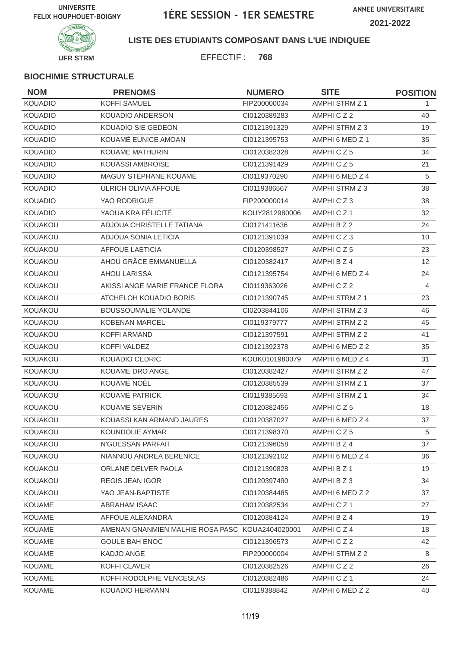

**LISTE DES ETUDIANTS COMPOSANT DANS L'UE INDIQUEE**

EFFECTIF : **768**

| <b>NOM</b>     | <b>PRENOMS</b>                                  | <b>NUMERO</b>  | <b>SITE</b>           | <b>POSITION</b> |
|----------------|-------------------------------------------------|----------------|-----------------------|-----------------|
| <b>KOUADIO</b> | <b>KOFFI SAMUEL</b>                             | FIP200000034   | <b>AMPHI STRM Z 1</b> | 1.              |
| <b>KOUADIO</b> | <b>KOUADIO ANDERSON</b>                         | CI0120389283   | AMPHICZ2              | 40              |
| <b>KOUADIO</b> | KOUADIO SIE GEDEON                              | CI0121391329   | AMPHI STRM Z 3        | 19              |
| <b>KOUADIO</b> | KOUAMÉ EUNICE AMOAN                             | CI0121395753   | AMPHI 6 MED Z 1       | 35              |
| <b>KOUADIO</b> | <b>KOUAME MATHURIN</b>                          | CI0120382328   | AMPHICZ5              | 34              |
| <b>KOUADIO</b> | KOUASSI AMBROISE                                | CI0121391429   | AMPHICZ5              | 21              |
| <b>KOUADIO</b> | MAGUY STÉPHANE KOUAMÉ                           | CI0119370290   | AMPHI 6 MED Z 4       | 5               |
| <b>KOUADIO</b> | ULRICH OLIVIA AFFOUÉ                            | CI0119386567   | AMPHI STRM Z 3        | 38              |
| <b>KOUADIO</b> | YAO RODRIGUE                                    | FIP200000014   | AMPHICZ3              | 38              |
| <b>KOUADIO</b> | YAOUA KRA FÉLICITÉ                              | KOUY2812980006 | AMPHICZ <sub>1</sub>  | 32              |
| KOUAKOU        | ADJOUA CHRISTELLE TATIANA                       | CI0121411636   | AMPHI B Z 2           | 24              |
| KOUAKOU        | ADJOUA SONIA LETICIA                            | CI0121391039   | AMPHICZ3              | 10              |
| KOUAKOU        | <b>AFFOUE LAETICIA</b>                          | CI0120398527   | AMPHICZ5              | 23              |
| KOUAKOU        | AHOU GRÂCE EMMANUELLA                           | CI0120382417   | AMPHI B Z 4           | 12 <sup>°</sup> |
| KOUAKOU        | <b>AHOU LARISSA</b>                             | CI0121395754   | AMPHI 6 MED Z 4       | 24              |
| KOUAKOU        | AKISSI ANGE MARIE FRANCE FLORA                  | CI0119363026   | AMPHICZ2              | 4               |
| KOUAKOU        | ATCHELOH KOUADIO BORIS                          | CI0121390745   | <b>AMPHI STRM Z 1</b> | 23              |
| KOUAKOU        | <b>BOUSSOUMALIE YOLANDE</b>                     | CI0203844106   | AMPHI STRM Z 3        | 46              |
| KOUAKOU        | <b>KOBENAN MARCEL</b>                           | CI0119379777   | AMPHI STRM Z 2        | 45              |
| KOUAKOU        | <b>KOFFI ARMAND</b>                             | CI0121397591   | AMPHI STRM Z 2        | 41              |
| KOUAKOU        | <b>KOFFI VALDEZ</b>                             | CI0121392378   | AMPHI 6 MED Z 2       | 35              |
| KOUAKOU        | KOUADIO CEDRIC                                  | KOUK0101980079 | AMPHI 6 MED Z 4       | 31              |
| KOUAKOU        | KOUAME DRO ANGE                                 | CI0120382427   | AMPHI STRM Z 2        | 47              |
| KOUAKOU        | KOUAMÉ NOËL                                     | CI0120385539   | <b>AMPHI STRM Z 1</b> | 37              |
| KOUAKOU        | KOUAMÉ PATRICK                                  | CI0119385693   | AMPHI STRM Z 1        | 34              |
| KOUAKOU        | KOUAME SEVERIN                                  | CI0120382456   | AMPHICZ5              | 18              |
| KOUAKOU        | KOUASSI KAN ARMAND JAURES                       | CI0120387027   | AMPHI 6 MED Z 4       | 37              |
| KOUAKOU        | KOUNDOLIE AYMAR                                 | CI0121398370   | AMPHICZ5              | 5               |
| KOUAKOU        | N'GUESSAN PARFAIT                               | Cl0121396058   | AMPHI B Z 4           | 37              |
| KOUAKOU        | NIANNOU ANDREA BERENICE                         | CI0121392102   | AMPHI 6 MED Z 4       | 36              |
| KOUAKOU        | ORLANE DELVER PAOLA                             | Cl0121390828   | AMPHI B Z 1           | 19              |
| KOUAKOU        | <b>REGIS JEAN IGOR</b>                          | CI0120397490   | AMPHI B Z 3           | 34              |
| KOUAKOU        | YAO JEAN-BAPTISTE                               | CI0120384485   | AMPHI 6 MED Z 2       | 37              |
| <b>KOUAME</b>  | ABRAHAM ISAAC                                   | CI0120382534   | AMPHICZ1              | 27              |
| <b>KOUAME</b>  | AFFOUE ALEXANDRA                                | CI0120384124   | AMPHI B Z 4           | 19              |
| KOUAME         | AMENAN GNANMIEN MALHIE ROSA PASC KOUA2404020001 |                | AMPHICZ4              | 18              |
| KOUAME         | <b>GOULE BAH ENOC</b>                           | CI0121396573   | AMPHICZ2              | 42              |
| KOUAME         | KADJO ANGE                                      | FIP200000004   | AMPHI STRM Z 2        | 8               |
| <b>KOUAME</b>  | <b>KOFFI CLAVER</b>                             | CI0120382526   | AMPHICZ2              | 26              |
| <b>KOUAME</b>  | KOFFI RODOLPHE VENCESLAS                        | CI0120382486   | AMPHICZ1              | 24              |
| <b>KOUAME</b>  | KOUADIO HERMANN                                 | CI0119388842   | AMPHI 6 MED Z 2       | 40              |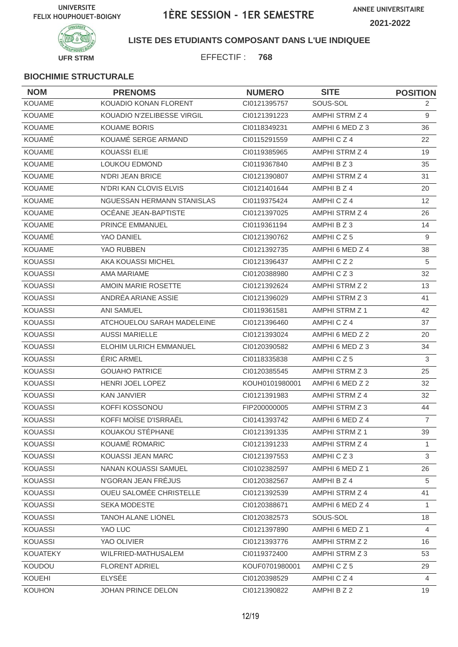

**LISTE DES ETUDIANTS COMPOSANT DANS L'UE INDIQUEE**

EFFECTIF : **768**

| <b>NOM</b>      | <b>PRENOMS</b>                | <b>NUMERO</b>  | <b>SITE</b>           | <b>POSITION</b> |
|-----------------|-------------------------------|----------------|-----------------------|-----------------|
| <b>KOUAME</b>   | KOUADIO KONAN FLORENT         | Cl0121395757   | SOUS-SOL              | $\overline{2}$  |
| <b>KOUAME</b>   | KOUADIO N'ZELIBESSE VIRGIL    | CI0121391223   | AMPHI STRM Z 4        | 9               |
| <b>KOUAME</b>   | <b>KOUAME BORIS</b>           | CI0118349231   | AMPHI 6 MED Z 3       | 36              |
| <b>KOUAMÉ</b>   | KOUAMÉ SERGE ARMAND           | CI0115291559   | AMPHICZ4              | 22              |
| <b>KOUAME</b>   | <b>KOUASSI ELIE</b>           | CI0119385965   | AMPHI STRM Z 4        | 19              |
| <b>KOUAME</b>   | LOUKOU EDMOND                 | CI0119367840   | AMPHI B Z 3           | 35              |
| <b>KOUAME</b>   | <b>N'DRI JEAN BRICE</b>       | CI0121390807   | AMPHI STRM Z 4        | 31              |
| <b>KOUAME</b>   | N'DRI KAN CLOVIS ELVIS        | Cl0121401644   | AMPHI B Z 4           | 20              |
| <b>KOUAME</b>   | NGUESSAN HERMANN STANISLAS    | CI0119375424   | AMPHICZ4              | 12              |
| KOUAME          | OCÉANE JEAN-BAPTISTE          | CI0121397025   | AMPHI STRM Z 4        | 26              |
| <b>KOUAME</b>   | <b>PRINCE EMMANUEL</b>        | CI0119361194   | AMPHI B Z 3           | 14              |
| KOUAMÉ          | YAO DANIEL                    | CI0121390762   | AMPHICZ5              | 9               |
| <b>KOUAME</b>   | YAO RUBBEN                    | CI0121392735   | AMPHI 6 MED Z 4       | 38              |
| <b>KOUASSI</b>  | AKA KOUASSI MICHEL            | CI0121396437   | AMPHICZ2              | 5               |
| <b>KOUASSI</b>  | AMA MARIAME                   | CI0120388980   | AMPHICZ3              | 32              |
| <b>KOUASSI</b>  | AMOIN MARIE ROSETTE           | CI0121392624   | AMPHI STRM Z 2        | 13              |
| <b>KOUASSI</b>  | ANDRÉA ARIANE ASSIE           | CI0121396029   | AMPHI STRM Z 3        | 41              |
| <b>KOUASSI</b>  | <b>ANI SAMUEL</b>             | CI0119361581   | <b>AMPHI STRM Z 1</b> | 42              |
| <b>KOUASSI</b>  | ATCHOUELOU SARAH MADELEINE    | CI0121396460   | AMPHICZ4              | 37              |
| <b>KOUASSI</b>  | <b>AUSSI MARIELLE</b>         | CI0121393024   | AMPHI 6 MED Z 2       | 20              |
| <b>KOUASSI</b>  | <b>ELOHIM ULRICH EMMANUEL</b> | CI0120390582   | AMPHI 6 MED Z 3       | 34              |
| <b>KOUASSI</b>  | <b>ERIC ARMEL</b>             | CI0118335838   | AMPHICZ5              | 3               |
| <b>KOUASSI</b>  | <b>GOUAHO PATRICE</b>         | CI0120385545   | AMPHI STRM Z 3        | 25              |
| <b>KOUASSI</b>  | HENRI JOEL LOPEZ              | KOUH0101980001 | AMPHI 6 MED Z 2       | 32              |
| <b>KOUASSI</b>  | <b>KAN JANVIER</b>            | CI0121391983   | AMPHI STRM Z 4        | 32              |
| <b>KOUASSI</b>  | KOFFI KOSSONOU                | FIP200000005   | AMPHI STRM Z 3        | 44              |
| <b>KOUASSI</b>  | KOFFI MOÏSE D'ISRRAËL         | CI0141393742   | AMPHI 6 MED Z 4       | $\overline{7}$  |
| KOUASSI         | KOUAKOU STÉPHANE              | CI0121391335   | AMPHI STRM Z 1        | 39              |
| <b>KOUASSI</b>  | KOUAMÉ ROMARIC                | Cl0121391233   | AMPHI STRM Z 4        | $\mathbf{1}$    |
| <b>KOUASSI</b>  | KOUASSI JEAN MARC             | CI0121397553   | AMPHICZ3              | 3               |
| <b>KOUASSI</b>  | NANAN KOUASSI SAMUEL          | CI0102382597   | AMPHI 6 MED Z 1       | 26              |
| <b>KOUASSI</b>  | N'GORAN JEAN FRÉJUS           | CI0120382567   | AMPHI B Z 4           | 5               |
| <b>KOUASSI</b>  | OUEU SALOMÉE CHRISTELLE       | CI0121392539   | AMPHI STRM Z 4        | 41              |
| <b>KOUASSI</b>  | SEKA MODESTE                  | CI0120388671   | AMPHI 6 MED Z 4       | $\mathbf{1}$    |
| <b>KOUASSI</b>  | <b>TANOH ALANE LIONEL</b>     | CI0120382573   | SOUS-SOL              | 18              |
| <b>KOUASSI</b>  | YAO LUC                       | Cl0121397890   | AMPHI 6 MED Z 1       | $\overline{4}$  |
| <b>KOUASSI</b>  | YAO OLIVIER                   | CI0121393776   | AMPHI STRM Z 2        | 16              |
| <b>KOUATEKY</b> | WILFRIED-MATHUSALEM           | CI0119372400   | AMPHI STRM Z 3        | 53              |
| <b>KOUDOU</b>   | <b>FLORENT ADRIEL</b>         | KOUF0701980001 | AMPHICZ5              | 29              |
| <b>KOUEHI</b>   | ELYSÉE                        | CI0120398529   | AMPHICZ4              | 4               |
| <b>KOUHON</b>   | JOHAN PRINCE DELON            | CI0121390822   | AMPHI B Z 2           | 19              |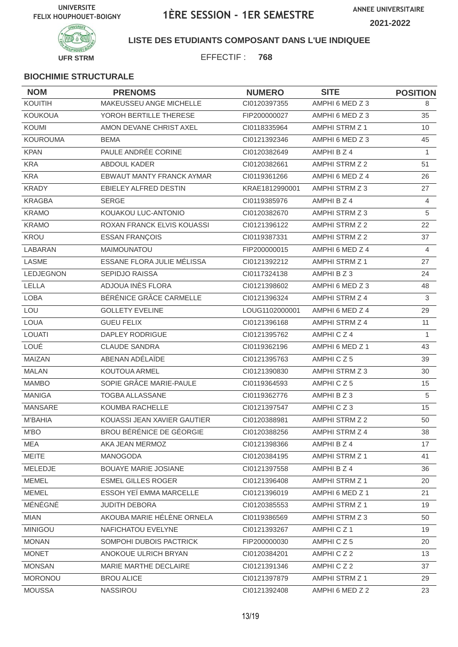

**LISTE DES ETUDIANTS COMPOSANT DANS L'UE INDIQUEE**

EFFECTIF : **768**

| <b>NOM</b>       | <b>PRENOMS</b>                   | <b>NUMERO</b>  | <b>SITE</b>           | <b>POSITION</b> |
|------------------|----------------------------------|----------------|-----------------------|-----------------|
| KOUITIH          | MAKEUSSEU ANGE MICHELLE          | CI0120397355   | AMPHI 6 MED Z 3       | 8               |
| <b>KOUKOUA</b>   | YOROH BERTILLE THERESE           | FIP200000027   | AMPHI 6 MED Z 3       | 35              |
| <b>KOUMI</b>     | AMON DEVANE CHRIST AXEL          | CI0118335964   | AMPHI STRM Z 1        | 10              |
| <b>KOUROUMA</b>  | <b>BEMA</b>                      | Cl0121392346   | AMPHI 6 MED Z 3       | 45              |
| <b>KPAN</b>      | PAULE ANDRÉE CORINE              | CI0120382649   | AMPHI B Z 4           | $\mathbf{1}$    |
| <b>KRA</b>       | ABDOUL KADER                     | CI0120382661   | AMPHI STRM Z 2        | 51              |
| <b>KRA</b>       | <b>EBWAUT MANTY FRANCK AYMAR</b> | CI0119361266   | AMPHI 6 MED Z 4       | 26              |
| <b>KRADY</b>     | EBIELEY ALFRED DESTIN            | KRAE1812990001 | AMPHI STRM Z 3        | 27              |
| <b>KRAGBA</b>    | <b>SERGE</b>                     | CI0119385976   | AMPHI B Z 4           | 4               |
| <b>KRAMO</b>     | KOUAKOU LUC-ANTONIO              | CI0120382670   | AMPHI STRM Z 3        | 5               |
| <b>KRAMO</b>     | ROXAN FRANCK ELVIS KOUASSI       | CI0121396122   | AMPHI STRM Z 2        | 22              |
| KROU             | <b>ESSAN FRANÇOIS</b>            | CI0119387331   | AMPHI STRM Z 2        | 37              |
| LABARAN          | MAIMOUNATOU                      | FIP200000015   | AMPHI 6 MED Z 4       | 4               |
| LASME            | ESSANE FLORA JULIE MÉLISSA       | CI0121392212   | AMPHI STRM Z 1        | 27              |
| <b>LEDJEGNON</b> | <b>SEPIDJO RAISSA</b>            | CI0117324138   | AMPHI B Z 3           | 24              |
| LELLA            | ADJOUA INES FLORA                | CI0121398602   | AMPHI 6 MED Z 3       | 48              |
| <b>LOBA</b>      | BÉRÉNICE GRÂCE CARMELLE          | CI0121396324   | AMPHI STRM Z 4        | $\mathfrak{S}$  |
| LOU              | <b>GOLLETY EVELINE</b>           | LOUG1102000001 | AMPHI 6 MED Z 4       | 29              |
| <b>LOUA</b>      | <b>GUEU FELIX</b>                | Cl0121396168   | AMPHI STRM Z 4        | 11              |
| <b>LOUATI</b>    | DAPLEY RODRIGUE                  | CI0121395762   | AMPHICZ4              | $\mathbf{1}$    |
| LOUÉ             | <b>CLAUDE SANDRA</b>             | CI0119362196   | AMPHI 6 MED Z 1       | 43              |
| MAIZAN           | ABENAN ADÉLAÏDE                  | CI0121395763   | AMPHICZ5              | 39              |
| <b>MALAN</b>     | KOUTOUA ARMEL                    | CI0121390830   | AMPHI STRM Z 3        | 30              |
| <b>MAMBO</b>     | SOPIE GRÂCE MARIE-PAULE          | CI0119364593   | AMPHICZ5              | 15              |
| <b>MANIGA</b>    | <b>TOGBA ALLASSANE</b>           | CI0119362776   | AMPHIBZ3              | 5               |
| <b>MANSARE</b>   | KOUMBA RACHELLE                  | CI0121397547   | AMPHICZ3              | 15              |
| <b>M'BAHIA</b>   | KOUASSI JEAN XAVIER GAUTIER      | Cl0120388981   | AMPHI STRM Z 2        | 50              |
| M'BO             | BROU BÉRÉNICE DE GÉORGIE         | CI0120388256   | AMPHI STRM Z 4        | 38              |
| MEA              | AKA JEAN MERMOZ                  | CI0121398366   | AMPHI B Z 4           | 17              |
| <b>MEITE</b>     | MANOGODA                         | CI0120384195   | AMPHI STRM Z 1        | 41              |
| MELEDJE          | <b>BOUAYE MARIE JOSIANE</b>      | CI0121397558   | AMPHI B Z 4           | 36              |
| <b>MEMEL</b>     | <b>ESMEL GILLES ROGER</b>        | CI0121396408   | <b>AMPHI STRM Z 1</b> | 20              |
| <b>MEMEL</b>     | ESSOH YEÏ EMMA MARCELLE          | Cl0121396019   | AMPHI 6 MED Z 1       | 21              |
| MÉNÉGNÉ          | JUDITH DEBORA                    | CI0120385553   | AMPHI STRM Z 1        | 19              |
| <b>MIAN</b>      | AKOUBA MARIE HÉLÈNE ORNELA       | CI0119386569   | AMPHI STRM Z 3        | 50              |
| <b>MINIGOU</b>   | NAFICHATOU EVELYNE               | Cl0121393267   | AMPHICZ1              | 19              |
| <b>MONAN</b>     | SOMPOHI DUBOIS PACTRICK          | FIP200000030   | AMPHICZ5              | 20              |
| <b>MONET</b>     | ANOKOUE ULRICH BRYAN             | CI0120384201   | AMPHICZ2              | 13              |
| <b>MONSAN</b>    | MARIE MARTHE DECLAIRE            | CI0121391346   | AMPHICZ2              | 37              |
| <b>MORONOU</b>   | <b>BROU ALICE</b>                | Cl0121397879   | AMPHI STRM Z 1        | 29              |
| <b>MOUSSA</b>    | NASSIROU                         | Cl0121392408   | AMPHI 6 MED Z 2       | 23              |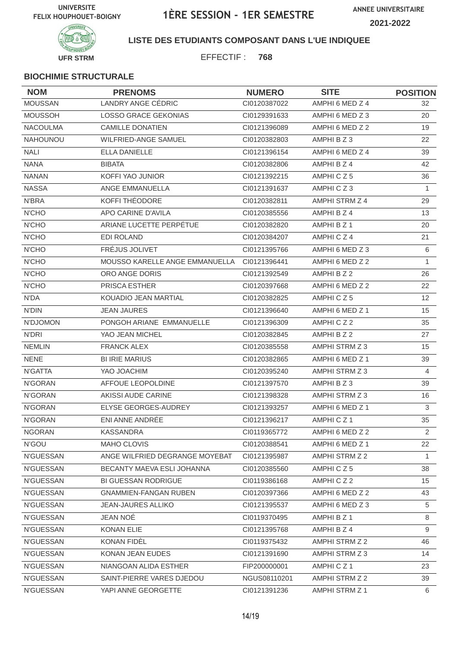

**LISTE DES ETUDIANTS COMPOSANT DANS L'UE INDIQUEE**

EFFECTIF : **768**

| <b>NOM</b>       | <b>PRENOMS</b>                 | <b>NUMERO</b> | <b>SITE</b>     | <b>POSITION</b> |
|------------------|--------------------------------|---------------|-----------------|-----------------|
| <b>MOUSSAN</b>   | LANDRY ANGE CÉDRIC             | CI0120387022  | AMPHI 6 MED Z 4 | 32              |
| <b>MOUSSOH</b>   | <b>LOSSO GRACE GEKONIAS</b>    | CI0129391633  | AMPHI 6 MED Z 3 | 20              |
| <b>NACOULMA</b>  | <b>CAMILLE DONATIEN</b>        | CI0121396089  | AMPHI 6 MED Z 2 | 19              |
| <b>NAHOUNOU</b>  | <b>WILFRIED-ANGE SAMUEL</b>    | CI0120382803  | AMPHI B Z 3     | 22              |
| <b>NALI</b>      | <b>ELLA DANIELLE</b>           | Cl0121396154  | AMPHI 6 MED Z 4 | 39              |
| <b>NANA</b>      | <b>BIBATA</b>                  | CI0120382806  | AMPHI B Z 4     | 42              |
| <b>NANAN</b>     | KOFFI YAO JUNIOR               | CI0121392215  | AMPHICZ5        | 36              |
| <b>NASSA</b>     | ANGE EMMANUELLA                | CI0121391637  | AMPHICZ3        | $\mathbf{1}$    |
| <b>N'BRA</b>     | KOFFI THÉODORE                 | CI0120382811  | AMPHI STRM Z 4  | 29              |
| N'CHO            | APO CARINE D'AVILA             | CI0120385556  | AMPHI B Z 4     | 13              |
| <b>N'CHO</b>     | ARIANE LUCETTE PERPÉTUE        | CI0120382820  | AMPHI B Z 1     | 20              |
| N'CHO            | <b>EDI ROLAND</b>              | CI0120384207  | AMPHICZ4        | 21              |
| N'CHO            | FRÉJUS JOLIVET                 | CI0121395766  | AMPHI 6 MED Z 3 | 6               |
| <b>N'CHO</b>     | MOUSSO KARELLE ANGE EMMANUELLA | CI0121396441  | AMPHI 6 MED Z 2 | $\mathbf{1}$    |
| N'CHO            | ORO ANGE DORIS                 | CI0121392549  | AMPHI B Z 2     | 26              |
| N'CHO            | PRISCA ESTHER                  | CI0120397668  | AMPHI 6 MED Z 2 | 22              |
| N'DA             | KOUADIO JEAN MARTIAL           | CI0120382825  | AMPHICZ5        | 12              |
| N'DIN            | <b>JEAN JAURES</b>             | CI0121396640  | AMPHI 6 MED Z 1 | 15              |
| N'DJOMON         | PONGOH ARIANE EMMANUELLE       | CI0121396309  | AMPHICZ2        | 35              |
| N'DRI            | YAO JEAN MICHEL                | CI0120382845  | AMPHI B Z 2     | 27              |
| <b>NEMLIN</b>    | <b>FRANCK ALEX</b>             | CI0120385558  | AMPHI STRM Z 3  | 15              |
| <b>NENE</b>      | <b>BI IRIE MARIUS</b>          | CI0120382865  | AMPHI 6 MED Z 1 | 39              |
| N'GATTA          | YAO JOACHIM                    | CI0120395240  | AMPHI STRM Z 3  | 4               |
| N'GORAN          | AFFOUE LEOPOLDINE              | CI0121397570  | AMPHI B Z 3     | 39              |
| N'GORAN          | AKISSI AUDE CARINE             | CI0121398328  | AMPHI STRM Z 3  | 16              |
| N'GORAN          | ELYSE GEORGES-AUDREY           | CI0121393257  | AMPHI 6 MED Z 1 | 3               |
| N'GORAN          | ENI ANNE ANDRÉE                | CI0121396217  | AMPHICZ1        | 35              |
| <b>NGORAN</b>    | KASSANDRA                      | CI0119365772  | AMPHI 6 MED Z 2 | $\overline{2}$  |
| N'GOU            | MAHO CLOVIS                    | CI0120388541  | AMPHI 6 MED Z 1 | 22              |
| N'GUESSAN        | ANGE WILFRIED DEGRANGE MOYEBAT | CI0121395987  | AMPHI STRM Z 2  | 1               |
| N'GUESSAN        | BECANTY MAEVA ESLI JOHANNA     | CI0120385560  | AMPHICZ5        | 38              |
| <b>N'GUESSAN</b> | <b>BI GUESSAN RODRIGUE</b>     | CI0119386168  | AMPHICZ2        | 15              |
| <b>N'GUESSAN</b> | <b>GNAMMIEN-FANGAN RUBEN</b>   | CI0120397366  | AMPHI 6 MED Z 2 | 43              |
| N'GUESSAN        | <b>JEAN-JAURES ALLIKO</b>      | CI0121395537  | AMPHI 6 MED Z 3 | 5               |
| N'GUESSAN        | JEAN NOÉ                       | CI0119370495  | AMPHI B Z 1     | 8               |
| <b>N'GUESSAN</b> | <b>KONAN ELIE</b>              | CI0121395768  | AMPHI B Z 4     | 9               |
| <b>N'GUESSAN</b> | KONAN FIDÈL                    | CI0119375432  | AMPHI STRM Z 2  | 46              |
| <b>N'GUESSAN</b> | KONAN JEAN EUDES               | CI0121391690  | AMPHI STRM Z 3  | 14              |
| N'GUESSAN        | NIANGOAN ALIDA ESTHER          | FIP200000001  | AMPHICZ1        | 23              |
| N'GUESSAN        | SAINT-PIERRE VARES DJEDOU      | NGUS08110201  | AMPHI STRM Z 2  | 39              |
| N'GUESSAN        | YAPI ANNE GEORGETTE            | CI0121391236  | AMPHI STRM Z 1  | 6               |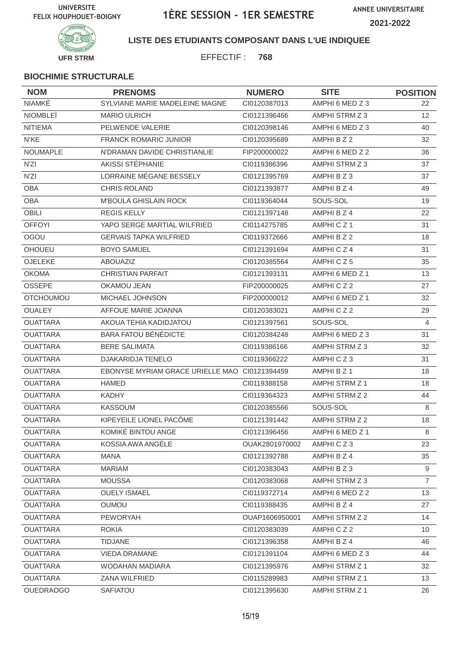

#### **LISTE DES ETUDIANTS COMPOSANT DANS L'UE INDIQUEE**

EFFECTIF : **768**

| <b>NOM</b>       | <b>PRENOMS</b>                                | <b>NUMERO</b>  | <b>SITE</b>     | <b>POSITION</b> |
|------------------|-----------------------------------------------|----------------|-----------------|-----------------|
| <b>NIAMKÉ</b>    | SYLVIANE MARIE MADELEINE MAGNE                | CI0120387013   | AMPHI 6 MED Z 3 | 22              |
| <b>NIOMBLEÏ</b>  | <b>MARIO ULRICH</b>                           | CI0121396466   | AMPHI STRM Z 3  | 12 <sup>°</sup> |
| <b>NITIEMA</b>   | PELWENDE VALERIE                              | CI0120398146   | AMPHI 6 MED Z 3 | 40              |
| N'KE             | FRANCK ROMARIC JUNIOR                         | CI0120395689   | AMPHI B Z 2     | 32              |
| <b>NOUMAPLE</b>  | N'DRAMAN DAVIDE CHRISTIANLIE                  | FIP200000022   | AMPHI 6 MED Z 2 | 36              |
| N'ZI             | AKISSI STÉPHANIE                              | CI0119386396   | AMPHI STRM Z 3  | 37              |
| N'ZI             | LORRAINE MÉGANE BESSELY                       | CI0121395769   | AMPHI B Z 3     | 37              |
| <b>OBA</b>       | <b>CHRIS ROLAND</b>                           | CI0121393877   | AMPHI B Z 4     | 49              |
| <b>OBA</b>       | M'BOULA GHISLAIN ROCK                         | CI0119364044   | SOUS-SOL        | 19              |
| <b>OBILI</b>     | <b>REGIS KELLY</b>                            | CI0121397148   | AMPHI B Z 4     | 22              |
| <b>OFFOYI</b>    | YAPO SERGE MARTIAL WILFRIED                   | CI0114275785   | AMPHICZ1        | 31              |
| OGOU             | <b>GERVAIS TAPKA WILFRIED</b>                 | CI0119372666   | AMPHI B Z 2     | 18              |
| <b>OHOUEU</b>    | <b>BOYO SAMUEL</b>                            | CI0121391694   | AMPHICZ4        | 31              |
| OJELEKE          | <b>ABOUAZIZ</b>                               | CI0120385564   | AMPHICZ5        | 35              |
| <b>OKOMA</b>     | <b>CHRISTIAN PARFAIT</b>                      | CI0121393131   | AMPHI 6 MED Z 1 | 13              |
| <b>OSSEPE</b>    | OKAMOU JEAN                                   | FIP200000025   | AMPHICZ2        | 27              |
| <b>OTCHOUMOU</b> | MICHAEL JOHNSON                               | FIP200000012   | AMPHI 6 MED Z 1 | 32              |
| <b>OUALEY</b>    | AFFOUE MARIE JOANNA                           | CI0120383021   | AMPHICZ2        | 29              |
| <b>OUATTARA</b>  | AKOUA TEHIA KADIDJATOU                        | CI0121397561   | SOUS-SOL        | $\overline{4}$  |
| <b>OUATTARA</b>  | <b>BARA FATOU BÉNÉDICTE</b>                   | CI0120384248   | AMPHI 6 MED Z 3 | 31              |
| <b>OUATTARA</b>  | <b>BERE SALIMATA</b>                          | CI0119386166   | AMPHI STRM Z 3  | 32              |
| <b>OUATTARA</b>  | DJAKARIDJA TENELO                             | CI0119366222   | AMPHICZ3        | 31              |
| <b>OUATTARA</b>  | EBONYSE MYRIAM GRACE URIELLE MAO CI0121394459 |                | AMPHI B Z 1     | 18              |
| <b>OUATTARA</b>  | <b>HAMED</b>                                  | CI0119388158   | AMPHI STRM Z 1  | 18              |
| <b>OUATTARA</b>  | <b>KADHY</b>                                  | CI0119364323   | AMPHI STRM Z 2  | 44              |
| <b>OUATTARA</b>  | <b>KASSOUM</b>                                | CI0120385566   | SOUS-SOL        | 8               |
| <b>OUATTARA</b>  | KIPEYEILE LIONEL PACÔME                       | CI0121391442   | AMPHI STRM Z 2  | 18              |
| OUATTARA         | KOMIKÉ BINTOU ANGE                            | Cl0121396456   | AMPHI 6 MED Z 1 | 8               |
| <b>OUATTARA</b>  | KOSSIA AWA ANGELE                             | OUAK2801970002 | AMPHICZ3        | 23              |
| <b>OUATTARA</b>  | MANA                                          | CI0121392788   | AMPHI B Z 4     | 35              |
| <b>OUATTARA</b>  | <b>MARIAM</b>                                 | CI0120383043   | AMPHIBZ3        | 9               |
| <b>OUATTARA</b>  | <b>MOUSSA</b>                                 | CI0120383068   | AMPHI STRM Z 3  | $\overline{7}$  |
| <b>OUATTARA</b>  | <b>OUELY ISMAEL</b>                           | CI0119372714   | AMPHI 6 MED Z 2 | 13              |
| <b>OUATTARA</b>  | <b>OUMOU</b>                                  | CI0119388435   | AMPHI B Z 4     | 27              |
| <b>OUATTARA</b>  | <b>PEWORYAH</b>                               | OUAP1606950001 | AMPHI STRM Z 2  | 14              |
| <b>OUATTARA</b>  | <b>ROKIA</b>                                  | CI0120383039   | AMPHICZ2        | 10 <sup>°</sup> |
| <b>OUATTARA</b>  | <b>TIDJANE</b>                                | CI0121396358   | AMPHI B Z 4     | 46              |
| <b>OUATTARA</b>  | <b>VIEDA DRAMANE</b>                          | CI0121391104   | AMPHI 6 MED Z 3 | 44              |
| <b>OUATTARA</b>  | WODAHAN MADIARA                               | CI0121395976   | AMPHI STRM Z 1  | 32              |
| <b>OUATTARA</b>  | ZANA WILFRIED                                 | CI0115289983   | AMPHI STRM Z 1  | 13              |
| <b>OUEDRAOGO</b> | SAFIATOU                                      | CI0121395630   | AMPHI STRM Z 1  | 26              |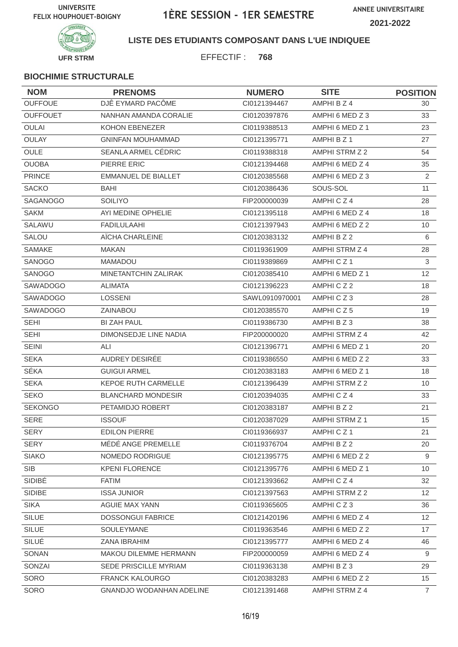

**LISTE DES ETUDIANTS COMPOSANT DANS L'UE INDIQUEE**

EFFECTIF : **768**

| <b>NOM</b>      | <b>PRENOMS</b>                  | <b>NUMERO</b>  | <b>SITE</b>           | <b>POSITION</b> |
|-----------------|---------------------------------|----------------|-----------------------|-----------------|
| <b>OUFFOUE</b>  | DJÊ EYMARD PACÔME               | CI0121394467   | AMPHI B Z 4           | 30              |
| <b>OUFFOUET</b> | NANHAN AMANDA CORALIE           | CI0120397876   | AMPHI 6 MED Z 3       | 33              |
| <b>OULAI</b>    | KOHON EBENEZER                  | CI0119388513   | AMPHI 6 MED Z 1       | 23              |
| OULAY           | <b>GNINFAN MOUHAMMAD</b>        | CI0121395771   | AMPHI B Z 1           | 27              |
| <b>OULE</b>     | SEANLA ARMEL CÉDRIC             | CI0119388318   | AMPHI STRM Z 2        | 54              |
| <b>OUOBA</b>    | PIERRE ERIC                     | CI0121394468   | AMPHI 6 MED Z 4       | 35              |
| <b>PRINCE</b>   | <b>EMMANUEL DE BIALLET</b>      | CI0120385568   | AMPHI 6 MED Z 3       | $\overline{2}$  |
| <b>SACKO</b>    | <b>BAHI</b>                     | CI0120386436   | SOUS-SOL              | 11              |
| SAGANOGO        | <b>SOILIYO</b>                  | FIP200000039   | AMPHICZ4              | 28              |
| <b>SAKM</b>     | AYI MEDINE OPHELIE              | CI0121395118   | AMPHI 6 MED Z 4       | 18              |
| SALAWU          | <b>FADILULAAHI</b>              | CI0121397943   | AMPHI 6 MED Z 2       | 10              |
| <b>SALOU</b>    | AÏCHA CHARLEINE                 | CI0120383132   | AMPHI B Z 2           | 6               |
| <b>SAMAKE</b>   | <b>MAKAN</b>                    | CI0119361909   | AMPHI STRM Z 4        | 28              |
| SANOGO          | <b>MAMADOU</b>                  | CI0119389869   | AMPHICZ <sub>1</sub>  | 3               |
| SANOGO          | <b>MINETANTCHIN ZALIRAK</b>     | CI0120385410   | AMPHI 6 MED Z 1       | 12              |
| <b>SAWADOGO</b> | <b>ALIMATA</b>                  | CI0121396223   | AMPHICZ2              | 18              |
| SAWADOGO        | <b>LOSSENI</b>                  | SAWL0910970001 | AMPHICZ3              | 28              |
| <b>SAWADOGO</b> | <b>ZAINABOU</b>                 | CI0120385570   | AMPHICZ5              | 19              |
| <b>SEHI</b>     | <b>BI ZAH PAUL</b>              | CI0119386730   | AMPHIBZ3              | 38              |
| <b>SEHI</b>     | DIMONSEDJE LINE NADIA           | FIP200000020   | AMPHI STRM Z 4        | 42              |
| <b>SEINI</b>    | ALI                             | CI0121396771   | AMPHI 6 MED Z 1       | 20              |
| <b>SEKA</b>     | AUDREY DESIRÉE                  | CI0119386550   | AMPHI 6 MED Z 2       | 33              |
| SÉKA            | <b>GUIGUI ARMEL</b>             | CI0120383183   | AMPHI 6 MED Z 1       | 18              |
| <b>SEKA</b>     | <b>KEPOE RUTH CARMELLE</b>      | CI0121396439   | AMPHI STRM Z 2        | 10              |
| <b>SEKO</b>     | <b>BLANCHARD MONDESIR</b>       | CI0120394035   | AMPHICZ4              | 33              |
| <b>SEKONGO</b>  | PETAMIDJO ROBERT                | CI0120383187   | AMPHI B Z 2           | 21              |
| <b>SERE</b>     | <b>ISSOUF</b>                   | CI0120387029   | <b>AMPHI STRM Z 1</b> | 15              |
| SERY            | EDILON PIERRE                   | CI0119366937   | AMPHICZ1              | 21              |
| <b>SERY</b>     | MÉDÉ ANGE PREMELLE              | CI0119376704   | AMPHI B Z 2           | 20              |
| <b>SIAKO</b>    | NOMEDO RODRIGUE                 | CI0121395775   | AMPHI 6 MED Z 2       | 9               |
| SIB             | <b>KPENI FLORENCE</b>           | Cl0121395776   | AMPHI 6 MED Z 1       | 10              |
| SIDIBÉ          | <b>FATIM</b>                    | CI0121393662   | AMPHICZ4              | 32              |
| SIDIBE          | <b>ISSA JUNIOR</b>              | CI0121397563   | AMPHI STRM Z 2        | 12 <sup>2</sup> |
| <b>SIKA</b>     | AGUIE MAX YANN                  | CI0119365605   | AMPHICZ3              | 36              |
| <b>SILUE</b>    | <b>DOSSONGUI FABRICE</b>        | CI0121420196   | AMPHI 6 MED Z 4       | 12 <sup>2</sup> |
| <b>SILUE</b>    | SOULEYMANE                      | CI0119363546   | AMPHI 6 MED Z 2       | 17              |
| SILUÉ           | ZANA IBRAHIM                    | CI0121395777   | AMPHI 6 MED Z 4       | 46              |
| SONAN           | MAKOU DILEMME HERMANN           | FIP200000059   | AMPHI 6 MED Z 4       | 9               |
| SONZAI          | SEDE PRISCILLE MYRIAM           | CI0119363138   | AMPHIBZ3              | 29              |
| SORO            | FRANCK KALOURGO                 | CI0120383283   | AMPHI 6 MED Z 2       | 15              |
| SORO            | <b>GNANDJO WODANHAN ADELINE</b> | Cl0121391468   | AMPHI STRM Z 4        | $\overline{7}$  |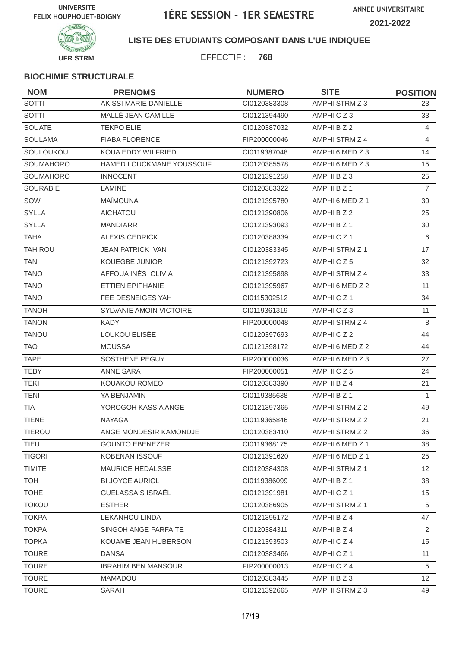

**LISTE DES ETUDIANTS COMPOSANT DANS L'UE INDIQUEE**

EFFECTIF : **768**

| <b>NOM</b>       | <b>PRENOMS</b>             | <b>NUMERO</b> | <b>SITE</b>           | <b>POSITION</b> |
|------------------|----------------------------|---------------|-----------------------|-----------------|
| <b>SOTTI</b>     | AKISSI MARIE DANIELLE      | CI0120383308  | AMPHI STRM Z 3        | 23              |
| SOTTI            | MALLÉ JEAN CAMILLE         | CI0121394490  | AMPHICZ3              | 33              |
| <b>SOUATE</b>    | <b>TEKPO ELIE</b>          | CI0120387032  | AMPHI B Z 2           | $\overline{4}$  |
| <b>SOULAMA</b>   | <b>FIABA FLORENCE</b>      | FIP200000046  | AMPHI STRM Z 4        | 4               |
| SOULOUKOU        | KOUA EDDY WILFRIED         | CI0119387048  | AMPHI 6 MED Z 3       | 14              |
| SOUMAHORO        | HAMED LOUCKMANE YOUSSOUF   | CI0120385578  | AMPHI 6 MED Z 3       | 15              |
| <b>SOUMAHORO</b> | <b>INNOCENT</b>            | CI0121391258  | AMPHIBZ3              | 25              |
| <b>SOURABIE</b>  | LAMINE                     | CI0120383322  | AMPHI B Z 1           | $\overline{7}$  |
| SOW              | <b>MAÏMOUNA</b>            | CI0121395780  | AMPHI 6 MED Z 1       | 30              |
| <b>SYLLA</b>     | <b>AICHATOU</b>            | CI0121390806  | AMPHI B Z 2           | 25              |
| <b>SYLLA</b>     | <b>MANDIARR</b>            | CI0121393093  | AMPHI B Z 1           | 30              |
| <b>TAHA</b>      | <b>ALEXIS CEDRICK</b>      | CI0120388339  | AMPHICZ1              | 6               |
| <b>TAHIROU</b>   | <b>JEAN PATRICK IVAN</b>   | CI0120383345  | AMPHI STRM Z 1        | 17              |
| <b>TAN</b>       | <b>KOUEGBE JUNIOR</b>      | CI0121392723  | AMPHICZ5              | 32              |
| <b>TANO</b>      | AFFOUA INÈS OLIVIA         | CI0121395898  | AMPHI STRM Z 4        | 33              |
| <b>TANO</b>      | ETTIEN EPIPHANIE           | CI0121395967  | AMPHI 6 MED Z 2       | 11              |
| <b>TANO</b>      | FEE DESNEIGES YAH          | CI0115302512  | AMPHICZ1              | 34              |
| <b>TANOH</b>     | SYLVANIE AMOIN VICTOIRE    | CI0119361319  | AMPHICZ3              | 11              |
| <b>TANON</b>     | <b>KADY</b>                | FIP200000048  | AMPHI STRM Z 4        | 8               |
| <b>TANOU</b>     | LOUKOU ELISÉE              | CI0120397693  | AMPHICZ2              | 44              |
| <b>TAO</b>       | <b>MOUSSA</b>              | CI0121398172  | AMPHI 6 MED Z 2       | 44              |
| <b>TAPE</b>      | SOSTHENE PEGUY             | FIP200000036  | AMPHI 6 MED Z 3       | 27              |
| <b>TEBY</b>      | ANNE SARA                  | FIP200000051  | AMPHICZ5              | 24              |
| <b>TEKI</b>      | KOUAKOU ROMEO              | CI0120383390  | AMPHI B Z 4           | 21              |
| <b>TENI</b>      | YA BENJAMIN                | CI0119385638  | AMPHI B Z 1           | $\mathbf{1}$    |
| <b>TIA</b>       | YOROGOH KASSIA ANGE        | CI0121397365  | AMPHI STRM Z 2        | 49              |
| <b>TIENE</b>     | <b>NAYAGA</b>              | CI0119365846  | AMPHI STRM Z 2        | 21              |
| TIEROU           | ANGE MONDESIR KAMONDJE     | CI0120383410  | AMPHI STRM Z 2        | 36              |
| <b>TIEU</b>      | <b>GOUNTO EBENEZER</b>     | CI0119368175  | AMPHI 6 MED Z 1       | 38              |
| <b>TIGORI</b>    | <b>KOBENAN ISSOUF</b>      | CI0121391620  | AMPHI 6 MED Z 1       | 25              |
| <b>TIMITE</b>    | MAURICE HEDALSSE           | CI0120384308  | AMPHI STRM Z 1        | 12 <sup>2</sup> |
| <b>TOH</b>       | <b>BI JOYCE AURIOL</b>     | CI0119386099  | AMPHI B Z 1           | 38              |
| <b>TOHE</b>      | <b>GUELASSAIS ISRAËL</b>   | Cl0121391981  | AMPHICZ1              | 15              |
| <b>TOKOU</b>     | <b>ESTHER</b>              | CI0120386905  | <b>AMPHI STRM Z 1</b> | 5               |
| <b>TOKPA</b>     | <b>LEKANHOU LINDA</b>      | CI0121395172  | AMPHI B Z 4           | 47              |
| <b>TOKPA</b>     | SINGOH ANGE PARFAITE       | CI0120384311  | AMPHI B Z 4           | $\overline{2}$  |
| <b>TOPKA</b>     | KOUAME JEAN HUBERSON       | CI0121393503  | AMPHICZ4              | 15              |
| <b>TOURE</b>     | <b>DANSA</b>               | CI0120383466  | AMPHICZ1              | 11              |
| <b>TOURE</b>     | <b>IBRAHIM BEN MANSOUR</b> | FIP200000013  | AMPHICZ4              | 5               |
| <b>TOURÉ</b>     | <b>MAMADOU</b>             | CI0120383445  | AMPHI B Z 3           | 12              |
| <b>TOURE</b>     | SARAH                      | CI0121392665  | AMPHI STRM Z 3        | 49              |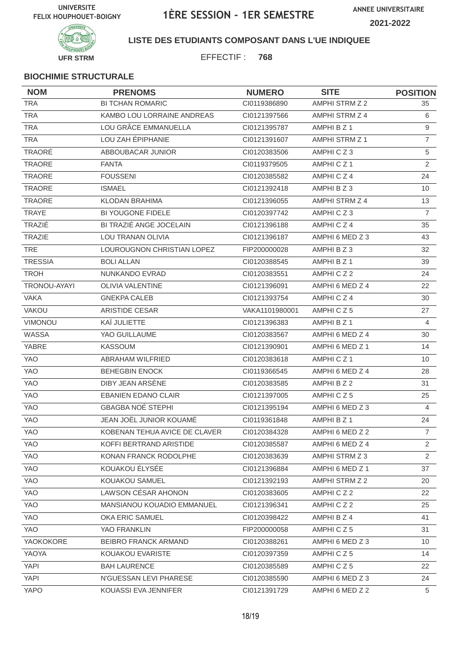

**LISTE DES ETUDIANTS COMPOSANT DANS L'UE INDIQUEE**

EFFECTIF : **768**

| <b>NOM</b>     | <b>PRENOMS</b>                | <b>NUMERO</b>  | <b>SITE</b>     | <b>POSITION</b> |
|----------------|-------------------------------|----------------|-----------------|-----------------|
| <b>TRA</b>     | <b>BI TCHAN ROMARIC</b>       | CI0119386890   | AMPHI STRM Z 2  | 35              |
| <b>TRA</b>     | KAMBO LOU LORRAINE ANDREAS    | CI0121397566   | AMPHI STRM Z 4  | 6               |
| <b>TRA</b>     | LOU GRÂCE EMMANUELLA          | CI0121395787   | AMPHI B Z 1     | 9               |
| <b>TRA</b>     | LOU ZAH ÉPIPHANIE             | CI0121391607   | AMPHI STRM Z 1  | $\overline{7}$  |
| TRAORÉ         | ABBOUBACAR JUNIOR             | CI0120383506   | AMPHICZ3        | 5               |
| TRAORE         | <b>FANTA</b>                  | CI0119379505   | AMPHICZ1        | 2               |
| <b>TRAORE</b>  | <b>FOUSSENI</b>               | CI0120385582   | AMPHICZ4        | 24              |
| <b>TRAORE</b>  | <b>ISMAEL</b>                 | Cl0121392418   | AMPHIBZ3        | 10              |
| TRAORE         | <b>KLODAN BRAHIMA</b>         | CI0121396055   | AMPHI STRM Z 4  | 13              |
| <b>TRAYE</b>   | BI YOUGONE FIDELE             | CI0120397742   | AMPHICZ3        | $\overline{7}$  |
| TRAZIÉ         | BI TRAZIÉ ANGE JOCELAIN       | CI0121396188   | AMPHICZ4        | 35              |
| <b>TRAZIE</b>  | LOU TRANAN OLIVIA             | CI0121396187   | AMPHI 6 MED Z 3 | 43              |
| <b>TRE</b>     | LOUROUGNON CHRISTIAN LOPEZ    | FIP200000028   | AMPHIBZ3        | 32              |
| <b>TRESSIA</b> | <b>BOLI ALLAN</b>             | CI0120388545   | AMPHI B Z 1     | 39              |
| <b>TROH</b>    | NUNKANDO EVRAD                | CI0120383551   | AMPHICZ2        | 24              |
| TRONOU-AYAYI   | OLIVIA VALENTINE              | CI0121396091   | AMPHI 6 MED Z 4 | 22              |
| <b>VAKA</b>    | <b>GNEKPA CALEB</b>           | CI0121393754   | AMPHICZ4        | 30              |
| VAKOU          | ARISTIDE CESAR                | VAKA1101980001 | AMPHICZ5        | 27              |
| VIMONOU        | KAÏ JULIETTE                  | CI0121396383   | AMPHI B Z 1     | 4               |
| WASSA          | YAO GUILLAUME                 | CI0120383567   | AMPHI 6 MED Z 4 | 30              |
| <b>YABRE</b>   | KASSOUM                       | CI0121390901   | AMPHI 6 MED Z 1 | 14              |
| YAO            | ABRAHAM WILFRIED              | CI0120383618   | AMPHICZ1        | 10              |
| YAO            | <b>BEHEGBIN ENOCK</b>         | CI0119366545   | AMPHI 6 MED Z 4 | 28              |
| YAO            | DIBY JEAN ARSENE              | CI0120383585   | AMPHI B Z 2     | 31              |
| YAO            | <b>EBANIEN EDANO CLAIR</b>    | Cl0121397005   | AMPHICZ5        | 25              |
| YAO            | <b>GBAGBA NOÉ STEPHI</b>      | Cl0121395194   | AMPHI 6 MED Z 3 | $\overline{4}$  |
| YAO            | JEAN JOËL JUNIOR KOUAMÉ       | CI0119361848   | AMPHI B Z 1     | 24              |
| YAO            | KOBENAN TEHUA AVICE DE CLAVER | CI0120384328   | AMPHI 6 MED Z 2 | $\overline{7}$  |
| YAO            | KOFFI BERTRAND ARISTIDE       | CI0120385587   | AMPHI 6 MED Z 4 | $\overline{2}$  |
| <b>YAO</b>     | KONAN FRANCK RODOLPHE         | CI0120383639   | AMPHI STRM Z 3  | 2               |
| YAO            | KOUAKOU ÉLYSÉE                | CI0121396884   | AMPHI 6 MED Z 1 | 37              |
| YAO            | KOUAKOU SAMUEL                | CI0121392193   | AMPHI STRM Z 2  | 20              |
| <b>YAO</b>     | LAWSON CÉSAR AHONON           | CI0120383605   | AMPHICZ2        | 22              |
| YAO            | MANSIANOU KOUADIO EMMANUEL    | Cl0121396341   | AMPHICZ2        | 25              |
| YAO            | OKA ERIC SAMUEL               | CI0120398422   | AMPHI B Z 4     | 41              |
| <b>YAO</b>     | YAO FRANKLIN                  | FIP200000058   | AMPHICZ5        | 31              |
| YAOKOKORE      | BEIBRO FRANCK ARMAND          | CI0120388261   | AMPHI 6 MED Z 3 | 10              |
| YAOYA          | KOUAKOU EVARISTE              | CI0120397359   | AMPHICZ5        | 14              |
| <b>YAPI</b>    | <b>BAH LAURENCE</b>           | CI0120385589   | AMPHICZ5        | 22              |
| YAPI           | N'GUESSAN LEVI PHARESE        | CI0120385590   | AMPHI 6 MED Z 3 | 24              |
| YAPO           | KOUASSI EVA JENNIFER          | CI0121391729   | AMPHI 6 MED Z 2 | 5               |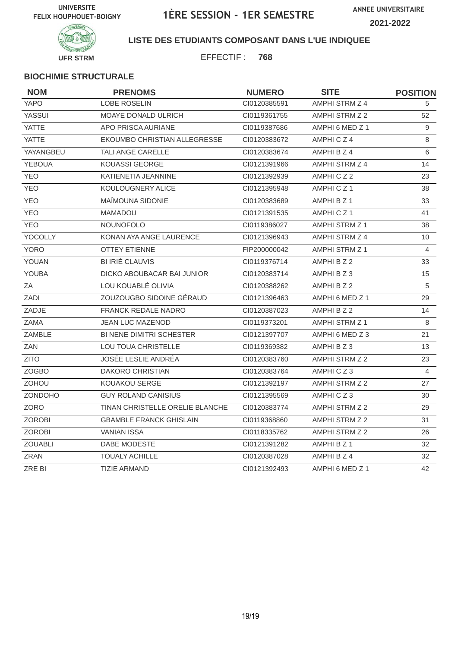

**LISTE DES ETUDIANTS COMPOSANT DANS L'UE INDIQUEE**

EFFECTIF : **768**

| <b>NOM</b>     | <b>PRENOMS</b>                  | <b>NUMERO</b> | <b>SITE</b>     | <b>POSITION</b> |
|----------------|---------------------------------|---------------|-----------------|-----------------|
| YAPO           | <b>LOBE ROSELIN</b>             | CI0120385591  | AMPHI STRM Z 4  | 5               |
| YASSUI         | <b>MOAYE DONALD ULRICH</b>      | CI0119361755  | AMPHI STRM Z 2  | 52              |
| <b>YATTE</b>   | APO PRISCA AURIANE              | CI0119387686  | AMPHI 6 MED Z 1 | 9               |
| YATTE          | EKOUMBO CHRISTIAN ALLEGRESSE    | CI0120383672  | AMPHICZ4        | 8               |
| YAYANGBEU      | TALI ANGE CARELLE               | CI0120383674  | AMPHI B Z 4     | 6               |
| <b>YEBOUA</b>  | <b>KOUASSI GEORGE</b>           | CI0121391966  | AMPHI STRM Z 4  | 14              |
| <b>YEO</b>     | KATIENETIA JEANNINE             | CI0121392939  | AMPHICZ2        | 23              |
| <b>YEO</b>     | KOULOUGNERY ALICE               | CI0121395948  | AMPHICZ1        | 38              |
| <b>YEO</b>     | MAÎMOUNA SIDONIE                | CI0120383689  | AMPHI B Z 1     | 33              |
| <b>YEO</b>     | <b>MAMADOU</b>                  | CI0121391535  | AMPHICZ1        | 41              |
| <b>YEO</b>     | <b>NOUNOFOLO</b>                | CI0119386027  | AMPHI STRM Z 1  | 38              |
| YOCOLLY        | KONAN AYA ANGE LAURENCE         | CI0121396943  | AMPHI STRM Z 4  | 10              |
| <b>YORO</b>    | <b>OTTEY ETIENNE</b>            | FIP200000042  | AMPHI STRM Z 1  | 4               |
| YOUAN          | BI IRIÉ CLAUVIS                 | CI0119376714  | AMPHI B Z 2     | 33              |
| <b>YOUBA</b>   | DICKO ABOUBACAR BAI JUNIOR      | CI0120383714  | AMPHIBZ3        | 15              |
| ZA             | LOU KOUABLÉ OLIVIA              | CI0120388262  | AMPHI B Z 2     | 5               |
| <b>ZADI</b>    | ZOUZOUGBO SIDOINE GÉRAUD        | CI0121396463  | AMPHI 6 MED Z 1 | 29              |
| ZADJE          | <b>FRANCK REDALE NADRO</b>      | CI0120387023  | AMPHI B Z 2     | 14              |
| <b>ZAMA</b>    | <b>JEAN LUC MAZENOD</b>         | CI0119373201  | AMPHI STRM Z 1  | 8               |
| ZAMBLE         | <b>BI NENE DIMITRI SCHESTER</b> | CI0121397707  | AMPHI 6 MED Z 3 | 21              |
| ZAN            | <b>LOU TOUA CHRISTELLE</b>      | CI0119369382  | AMPHIBZ3        | 13              |
| <b>ZITO</b>    | JOSÉE LESLIE ANDRÉA             | CI0120383760  | AMPHI STRM Z 2  | 23              |
| <b>ZOGBO</b>   | <b>DAKORO CHRISTIAN</b>         | CI0120383764  | AMPHICZ3        | 4               |
| ZOHOU          | <b>KOUAKOU SERGE</b>            | CI0121392197  | AMPHI STRM Z 2  | 27              |
| <b>ZONDOHO</b> | <b>GUY ROLAND CANISIUS</b>      | CI0121395569  | AMPHICZ3        | 30              |
| <b>ZORO</b>    | TINAN CHRISTELLE ORELIE BLANCHE | CI0120383774  | AMPHI STRM Z 2  | 29              |
| <b>ZOROBI</b>  | <b>GBAMBLE FRANCK GHISLAIN</b>  | CI0119368860  | AMPHI STRM Z 2  | 31              |
| <b>ZOROBI</b>  | <b>VANIAN ISSA</b>              | CI0118335762  | AMPHI STRM Z 2  | 26              |
| <b>ZOUABLI</b> | DABE MODESTE                    | CI0121391282  | AMPHI B Z 1     | 32              |
| <b>ZRAN</b>    | <b>TOUALY ACHILLE</b>           | CI0120387028  | AMPHI B Z 4     | 32              |
| ZRE BI         | <b>TIZIE ARMAND</b>             | CI0121392493  | AMPHI 6 MED Z 1 | 42              |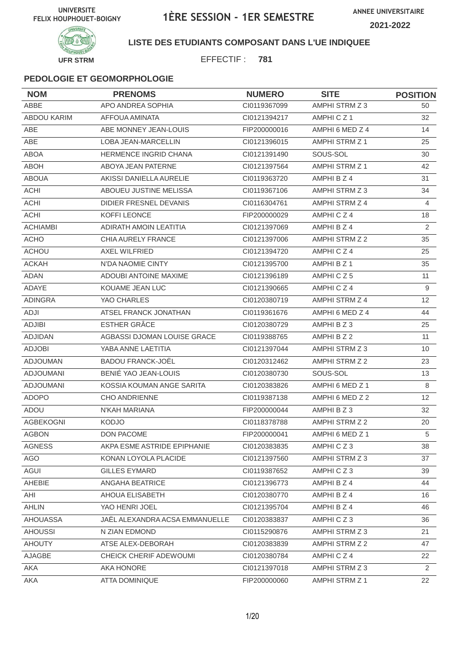

### **LISTE DES ETUDIANTS COMPOSANT DANS L'UE INDIQUEE**

EFFECTIF : **781**

| <b>NOM</b>         | <b>PRENOMS</b>                 | <b>NUMERO</b> | <b>SITE</b>          | <b>POSITION</b> |
|--------------------|--------------------------------|---------------|----------------------|-----------------|
| ABBE               | APO ANDREA SOPHIA              | CI0119367099  | AMPHI STRM Z 3       | 50              |
| <b>ABDOU KARIM</b> | AFFOUA AMINATA                 | CI0121394217  | AMPHICZ <sub>1</sub> | 32              |
| <b>ABE</b>         | ABE MONNEY JEAN-LOUIS          | FIP200000016  | AMPHI 6 MED Z 4      | 14              |
| ABE                | <b>LOBA JEAN-MARCELLIN</b>     | CI0121396015  | AMPHI STRM Z 1       | 25              |
| <b>ABOA</b>        | <b>HERMENCE INGRID CHANA</b>   | CI0121391490  | SOUS-SOL             | 30              |
| <b>ABOH</b>        | ABOYA JEAN PATERNE             | CI0121397564  | AMPHI STRM Z 1       | 42              |
| <b>ABOUA</b>       | AKISSI DANIELLA AURELIE        | CI0119363720  | AMPHI B Z 4          | 31              |
| <b>ACHI</b>        | ABOUEU JUSTINE MELISSA         | CI0119367106  | AMPHI STRM Z 3       | 34              |
| <b>ACHI</b>        | <b>DIDIER FRESNEL DEVANIS</b>  | CI0116304761  | AMPHI STRM Z 4       | 4               |
| <b>ACHI</b>        | <b>KOFFI LEONCE</b>            | FIP200000029  | AMPHICZ4             | 18              |
| <b>ACHIAMBI</b>    | ADIRATH AMOIN LEATITIA         | CI0121397069  | AMPHI B Z 4          | 2               |
| <b>ACHO</b>        | CHIA AURELY FRANCE             | CI0121397006  | AMPHI STRM Z 2       | 35              |
| <b>ACHOU</b>       | <b>AXEL WILFRIED</b>           | CI0121394720  | AMPHICZ4             | 25              |
| <b>ACKAH</b>       | N'DA NAOMIE CINTY              | CI0121395700  | AMPHI B Z 1          | 35              |
| <b>ADAN</b>        | <b>ADOUBI ANTOINE MAXIME</b>   | CI0121396189  | AMPHICZ5             | 11              |
| ADAYE              | KOUAME JEAN LUC                | CI0121390665  | AMPHICZ4             | 9               |
| <b>ADINGRA</b>     | YAO CHARLES                    | CI0120380719  | AMPHI STRM Z 4       | 12              |
| ADJI               | ATSEL FRANCK JONATHAN          | CI0119361676  | AMPHI 6 MED Z 4      | 44              |
| <b>ADJIBI</b>      | <b>ESTHER GRÂCE</b>            | CI0120380729  | AMPHI B Z 3          | 25              |
| <b>ADJIDAN</b>     | AGBASSI DJOMAN LOUISE GRACE    | CI0119388765  | AMPHI B Z 2          | 11              |
| <b>ADJOBI</b>      | YABA ANNE LAETITIA             | CI0121397044  | AMPHI STRM Z 3       | 10              |
| <b>ADJOUMAN</b>    | <b>BADOU FRANCK-JOËL</b>       | CI0120312462  | AMPHI STRM Z 2       | 23              |
| <b>ADJOUMANI</b>   | BENIÉ YAO JEAN-LOUIS           | CI0120380730  | SOUS-SOL             | 13              |
| <b>ADJOUMANI</b>   | KOSSIA KOUMAN ANGE SARITA      | CI0120383826  | AMPHI 6 MED Z 1      | 8               |
| <b>ADOPO</b>       | <b>CHO ANDRIENNE</b>           | CI0119387138  | AMPHI 6 MED Z 2      | 12              |
| ADOU               | N'KAH MARIANA                  | FIP200000044  | AMPHI B Z 3          | 32              |
| <b>AGBEKOGNI</b>   | <b>KODJO</b>                   | CI0118378788  | AMPHI STRM Z 2       | 20              |
| <b>AGBON</b>       | DON PACOME                     | FIP200000041  | AMPHI 6 MED Z 1      | 5               |
| <b>AGNESS</b>      | AKPA ESME ASTRIDE EPIPHANIE    | CI0120383835  | AMPHICZ3             | 38              |
| AGO                | KONAN LOYOLA PLACIDE           | CI0121397560  | AMPHI STRM Z 3       | 37              |
| AGUI               | <b>GILLES EYMARD</b>           | CI0119387652  | AMPHICZ3             | 39              |
| AHEBIE             | ANGAHA BEATRICE                | Cl0121396773  | AMPHI B Z 4          | 44              |
| AHI                | AHOUA ELISABETH                | CI0120380770  | AMPHI B Z 4          | 16              |
| <b>AHLIN</b>       | YAO HENRI JOEL                 | Cl0121395704  | AMPHI B Z 4          | 46              |
| <b>AHOUASSA</b>    | JAËL ALEXANDRA ACSA EMMANUELLE | CI0120383837  | AMPHICZ3             | 36              |
| <b>AHOUSSI</b>     | N ZIAN EDMOND                  | CI0115290876  | AMPHI STRM Z 3       | 21              |
| <b>AHOUTY</b>      | ATSE ALEX-DEBORAH              | CI0120383839  | AMPHI STRM Z 2       | 47              |
| AJAGBE             | CHEICK CHERIF ADEWOUMI         | CI0120380784  | AMPHICZ4             | 22              |
| AKA                | AKA HONORE                     | Cl0121397018  | AMPHI STRM Z 3       | $\overline{2}$  |
| AKA                | <b>ATTA DOMINIQUE</b>          | FIP200000060  | AMPHI STRM Z 1       | 22              |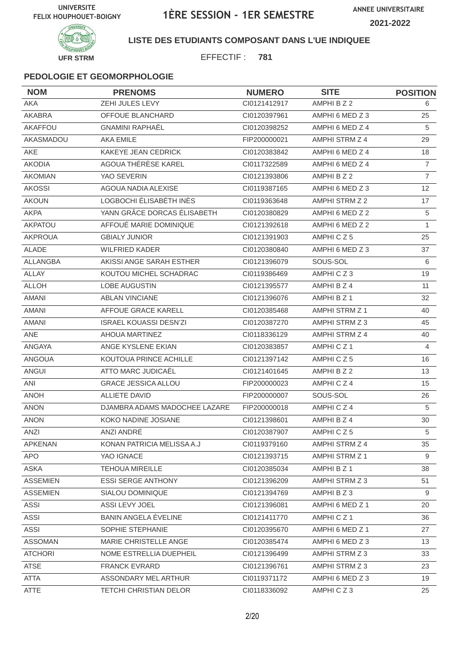

#### **LISTE DES ETUDIANTS COMPOSANT DANS L'UE INDIQUEE**

EFFECTIF : **781**

| <b>NOM</b>      | <b>PRENOMS</b>                | <b>NUMERO</b> | <b>SITE</b>           | <b>POSITION</b> |
|-----------------|-------------------------------|---------------|-----------------------|-----------------|
| <b>AKA</b>      | ZEHI JULES LEVY               | Cl0121412917  | AMPHI B Z 2           | 6               |
| AKABRA          | OFFOUE BLANCHARD              | CI0120397961  | AMPHI 6 MED Z 3       | 25              |
| AKAFFOU         | <b>GNAMINI RAPHAËL</b>        | CI0120398252  | AMPHI 6 MED Z 4       | 5               |
| AKASMADOU       | <b>AKA EMILE</b>              | FIP200000021  | AMPHI STRM Z 4        | 29              |
| AKE             | KAKEYE JEAN CEDRICK           | CI0120383842  | AMPHI 6 MED Z 4       | 18              |
| <b>AKODIA</b>   | AGOUA THÉRÈSE KAREL           | CI0117322589  | AMPHI 6 MED Z 4       | $\overline{7}$  |
| <b>AKOMIAN</b>  | YAO SEVERIN                   | CI0121393806  | AMPHI B Z 2           | $\overline{7}$  |
| <b>AKOSSI</b>   | AGOUA NADIA ALEXISE           | CI0119387165  | AMPHI 6 MED Z 3       | 12              |
| <b>AKOUN</b>    | LOGBOCHI ÉLISABÉTH INÈS       | CI0119363648  | AMPHI STRM Z 2        | 17              |
| <b>AKPA</b>     | YANN GRÂCE DORCAS ÉLISABETH   | CI0120380829  | AMPHI 6 MED Z 2       | 5               |
| <b>AKPATOU</b>  | AFFOUÉ MARIE DOMINIQUE        | CI0121392618  | AMPHI 6 MED Z 2       | $\mathbf{1}$    |
| <b>AKPROUA</b>  | <b>GBIALY JUNIOR</b>          | CI0121391903  | AMPHICZ5              | 25              |
| <b>ALADE</b>    | <b>WILFRIED KADER</b>         | CI0120380840  | AMPHI 6 MED Z 3       | 37              |
| ALLANGBA        | AKISSI ANGE SARAH ESTHER      | CI0121396079  | SOUS-SOL              | 6               |
| <b>ALLAY</b>    | KOUTOU MICHEL SCHADRAC        | CI0119386469  | AMPHICZ3              | 19              |
| <b>ALLOH</b>    | <b>LOBE AUGUSTIN</b>          | CI0121395577  | AMPHI B Z 4           | 11              |
| <b>AMANI</b>    | <b>ABLAN VINCIANE</b>         | CI0121396076  | AMPHI B Z 1           | 32              |
| <b>AMANI</b>    | AFFOUE GRACE KARELL           | CI0120385468  | <b>AMPHI STRM Z 1</b> | 40              |
| AMANI           | <b>ISRAEL KOUASSI DESN'ZI</b> | CI0120387270  | AMPHI STRM Z 3        | 45              |
| ANE             | AHOUA MARTINEZ                | CI0118336129  | AMPHI STRM Z 4        | 40              |
| ANGAYA          | ANGE KYSLENE EKIAN            | CI0120383857  | AMPHICZ <sub>1</sub>  | $\overline{4}$  |
| <b>ANGOUA</b>   | KOUTOUA PRINCE ACHILLE        | CI0121397142  | AMPHICZ5              | 16              |
| ANGUI           | ATTO MARC JUDICAËL            | CI0121401645  | AMPHI B Z 2           | 13              |
| ANI             | <b>GRACE JESSICA ALLOU</b>    | FIP200000023  | AMPHICZ4              | 15              |
| <b>ANOH</b>     | <b>ALLIETE DAVID</b>          | FIP200000007  | SOUS-SOL              | 26              |
| <b>ANON</b>     | DJAMBRA ADAMS MADOCHEE LAZARE | FIP200000018  | AMPHICZ4              | 5               |
| <b>ANON</b>     | KOKO NADINE JOSIANE           | CI0121398601  | AMPHI B Z 4           | 30              |
| ANZI            | ANZI ANDRE                    | CI0120387907  | AMPHICZ5              | $5\overline{)}$ |
| <b>APKENAN</b>  | KONAN PATRICIA MELISSA A.J    | CI0119379160  | AMPHI STRM Z 4        | 35              |
| <b>APO</b>      | YAO IGNACE                    | CI0121393715  | AMPHI STRM Z 1        | 9               |
| ASKA            | <b>TEHOUA MIREILLE</b>        | CI0120385034  | AMPHI B Z 1           | 38              |
| <b>ASSEMIEN</b> | <b>ESSI SERGE ANTHONY</b>     | CI0121396209  | AMPHI STRM Z 3        | 51              |
| <b>ASSEMIEN</b> | SIALOU DOMINIQUE              | CI0121394769  | AMPHIBZ3              | 9               |
| <b>ASSI</b>     | ASSI LEVY JOEL                | CI0121396081  | AMPHI 6 MED Z 1       | 20              |
| ASSI            | BANIN ANGELA ÉVELINE          | CI0121411770  | AMPHICZ <sub>1</sub>  | 36              |
| <b>ASSI</b>     | SOPHIE STEPHANIE              | CI0120395670  | AMPHI 6 MED Z 1       | 27              |
| <b>ASSOMAN</b>  | MARIE CHRISTELLE ANGE         | CI0120385474  | AMPHI 6 MED Z 3       | 13              |
| <b>ATCHORI</b>  | NOME ESTRELLIA DUEPHEIL       | CI0121396499  | AMPHI STRM Z 3        | 33              |
| <b>ATSE</b>     | <b>FRANCK EVRARD</b>          | CI0121396761  | AMPHI STRM Z 3        | 23              |
| <b>ATTA</b>     | ASSONDARY MEL ARTHUR          | CI0119371172  | AMPHI 6 MED Z 3       | 19              |
| ATTE            | <b>TETCHI CHRISTIAN DELOR</b> | CI0118336092  | AMPHICZ3              | 25              |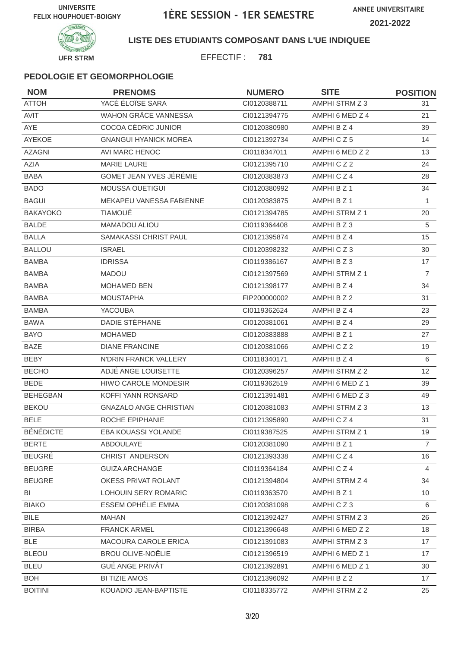

**LISTE DES ETUDIANTS COMPOSANT DANS L'UE INDIQUEE**

EFFECTIF : **781**

| <b>NOM</b>       | <b>PRENOMS</b>                | <b>NUMERO</b> | <b>SITE</b>           | <b>POSITION</b> |
|------------------|-------------------------------|---------------|-----------------------|-----------------|
| <b>ATTOH</b>     | YACÉ ÉLOÏSE SARA              | CI0120388711  | AMPHI STRM Z 3        | 31              |
| AVIT             | <b>WAHON GRÂCE VANNESSA</b>   | CI0121394775  | AMPHI 6 MED Z 4       | 21              |
| <b>AYE</b>       | COCOA CÉDRIC JUNIOR           | CI0120380980  | AMPHI B Z 4           | 39              |
| AYEKOE           | <b>GNANGUI HYANICK MOREA</b>  | CI0121392734  | AMPHICZ5              | 14              |
| <b>AZAGNI</b>    | AVI MARC HENOC                | CI0118347011  | AMPHI 6 MED Z 2       | 13              |
| AZIA             | <b>MARIE LAURE</b>            | CI0121395710  | AMPHICZ2              | 24              |
| <b>BABA</b>      | GOMET JEAN YVES JÉRÉMIE       | CI0120383873  | AMPHICZ4              | 28              |
| <b>BADO</b>      | <b>MOUSSA OUETIGUI</b>        | CI0120380992  | AMPHI B Z 1           | 34              |
| <b>BAGUI</b>     | MEKAPEU VANESSA FABIENNE      | CI0120383875  | AMPHI B Z 1           | $\mathbf{1}$    |
| <b>BAKAYOKO</b>  | <b>TIAMOUÉ</b>                | CI0121394785  | <b>AMPHI STRM Z 1</b> | 20              |
| <b>BALDE</b>     | MAMADOU ALIOU                 | CI0119364408  | AMPHI B Z 3           | $\sqrt{5}$      |
| <b>BALLA</b>     | SAMAKASSI CHRIST PAUL         | CI0121395874  | AMPHI B Z 4           | 15              |
| <b>BALLOU</b>    | <b>ISRAEL</b>                 | CI0120398232  | AMPHICZ3              | 30              |
| <b>BAMBA</b>     | <b>IDRISSA</b>                | CI0119386167  | AMPHI B Z 3           | 17              |
| <b>BAMBA</b>     | <b>MADOU</b>                  | CI0121397569  | <b>AMPHI STRM Z 1</b> | $\overline{7}$  |
| <b>BAMBA</b>     | <b>MOHAMED BEN</b>            | CI0121398177  | AMPHI B Z 4           | 34              |
| <b>BAMBA</b>     | <b>MOUSTAPHA</b>              | FIP200000002  | AMPHI B Z 2           | 31              |
| <b>BAMBA</b>     | <b>YACOUBA</b>                | CI0119362624  | AMPHI B Z 4           | 23              |
| <b>BAWA</b>      | DADIE STÉPHANE                | CI0120381061  | AMPHI B Z 4           | 29              |
| <b>BAYO</b>      | <b>MOHAMED</b>                | CI0120383888  | AMPHI B Z 1           | 27              |
| <b>BAZE</b>      | <b>DIANE FRANCINE</b>         | CI0120381066  | AMPHICZ2              | 19              |
| BEBY             | N'DRIN FRANCK VALLERY         | CI0118340171  | AMPHI B Z 4           | 6               |
| <b>BECHO</b>     | ADJÉ ANGE LOUISETTE           | CI0120396257  | AMPHI STRM Z 2        | 12              |
| <b>BEDE</b>      | <b>HIWO CAROLE MONDESIR</b>   | CI0119362519  | AMPHI 6 MED Z 1       | 39              |
| <b>BEHEGBAN</b>  | KOFFI YANN RONSARD            | CI0121391481  | AMPHI 6 MED Z 3       | 49              |
| <b>BEKOU</b>     | <b>GNAZALO ANGE CHRISTIAN</b> | CI0120381083  | AMPHI STRM Z 3        | 13              |
| <b>BELE</b>      | ROCHE EPIPHANIE               | CI0121395890  | AMPHICZ4              | 31              |
| <b>BÉNÉDICTE</b> | EBA KOUASSI YOLANDE           | CI0119387525  | AMPHI STRM Z 1        | 19              |
| <b>BERTE</b>     | ABDOULAYE                     | CI0120381090  | AMPHI B Z 1           | $\overline{7}$  |
| <b>BEUGRÉ</b>    | CHRIST ANDERSON               | CI0121393338  | AMPHICZ4              | 16              |
| <b>BEUGRE</b>    | <b>GUIZA ARCHANGE</b>         | CI0119364184  | AMPHICZ4              | $\overline{4}$  |
| <b>BEUGRE</b>    | OKESS PRIVAT ROLANT           | CI0121394804  | AMPHI STRM Z 4        | 34              |
| BI               | LOHOUIN SERY ROMARIC          | CI0119363570  | AMPHI B Z 1           | 10              |
| <b>BIAKO</b>     | <b>ESSEM OPHÉLIE EMMA</b>     | CI0120381098  | AMPHICZ3              | 6               |
| <b>BILE</b>      | <b>MAHAN</b>                  | CI0121392427  | AMPHI STRM Z 3        | 26              |
| <b>BIRBA</b>     | <b>FRANCK ARMEL</b>           | CI0121396648  | AMPHI 6 MED Z 2       | 18              |
| <b>BLE</b>       | MACOURA CAROLE ERICA          | CI0121391083  | AMPHI STRM Z 3        | 17              |
| <b>BLEOU</b>     | <b>BROU OLIVE-NOËLIE</b>      | CI0121396519  | AMPHI 6 MED Z 1       | 17              |
| <b>BLEU</b>      | <b>GUÉ ANGE PRIVÂT</b>        | CI0121392891  | AMPHI 6 MED Z 1       | 30              |
| <b>BOH</b>       | <b>BI TIZIE AMOS</b>          | CI0121396092  | AMPHI B Z 2           | 17              |
| <b>BOITINI</b>   | KOUADIO JEAN-BAPTISTE         | CI0118335772  | AMPHI STRM Z 2        | 25              |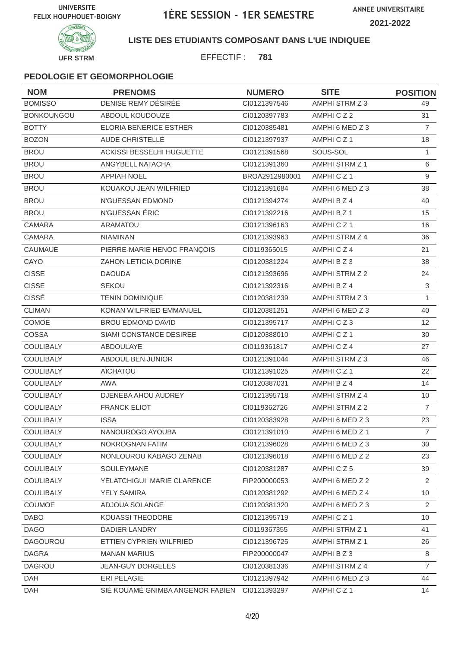

# **INIVERSIT UFR STRM**

## **LISTE DES ETUDIANTS COMPOSANT DANS L'UE INDIQUEE**

EFFECTIF : **781**

| <b>NOM</b>        | <b>PRENOMS</b>                                | <b>NUMERO</b>  | <b>SITE</b>           | <b>POSITION</b>   |
|-------------------|-----------------------------------------------|----------------|-----------------------|-------------------|
| <b>BOMISSO</b>    | DENISE REMY DÉSIRÉE                           | CI0121397546   | AMPHI STRM Z 3        | 49                |
| <b>BONKOUNGOU</b> | ABDOUL KOUDOUZE                               | CI0120397783   | AMPHICZ2              | 31                |
| <b>BOTTY</b>      | <b>ELORIA BENERICE ESTHER</b>                 | CI0120385481   | AMPHI 6 MED Z 3       | $\overline{7}$    |
| <b>BOZON</b>      | <b>AUDE CHRISTELLE</b>                        | CI0121397937   | AMPHICZ <sub>1</sub>  | 18                |
| <b>BROU</b>       | ACKISSI BESSELHI HUGUETTE                     | CI0121391568   | SOUS-SOL              | 1                 |
| <b>BROU</b>       | ANGYBELL NATACHA                              | CI0121391360   | AMPHI STRM Z 1        | 6                 |
| <b>BROU</b>       | <b>APPIAH NOEL</b>                            | BROA2912980001 | AMPHICZ <sub>1</sub>  | 9                 |
| <b>BROU</b>       | KOUAKOU JEAN WILFRIED                         | CI0121391684   | AMPHI 6 MED Z 3       | 38                |
| <b>BROU</b>       | N'GUESSAN EDMOND                              | CI0121394274   | AMPHI B Z 4           | 40                |
| <b>BROU</b>       | N'GUESSAN ÉRIC                                | CI0121392216   | AMPHI B Z 1           | 15                |
| CAMARA            | <b>ARAMATOU</b>                               | CI0121396163   | AMPHICZ1              | 16                |
| CAMARA            | <b>NIAMINAN</b>                               | CI0121393963   | AMPHI STRM Z 4        | 36                |
| CAUMAUE           | PIERRE-MARIE HENOC FRANÇOIS                   | CI0119365015   | AMPHICZ4              | 21                |
| CAYO              | ZAHON LETICIA DORINE                          | CI0120381224   | AMPHI B Z 3           | 38                |
| <b>CISSE</b>      | <b>DAOUDA</b>                                 | CI0121393696   | AMPHI STRM Z 2        | 24                |
| <b>CISSE</b>      | <b>SEKOU</b>                                  | CI0121392316   | AMPHI B Z 4           | 3                 |
| <b>CISSÉ</b>      | <b>TENIN DOMINIQUE</b>                        | CI0120381239   | AMPHI STRM Z 3        | $\mathbf{1}$      |
| <b>CLIMAN</b>     | KONAN WILFRIED EMMANUEL                       | CI0120381251   | AMPHI 6 MED Z 3       | 40                |
| COMOE             | BROU EDMOND DAVID                             | CI0121395717   | AMPHICZ3              | $12 \overline{ }$ |
| COSSA             | SIAMI CONSTANCE DESIREE                       | CI0120388010   | AMPHICZ1              | 30                |
| COULIBALY         | <b>ABDOULAYE</b>                              | CI0119361817   | AMPHICZ4              | 27                |
| COULIBALY         | ABDOUL BEN JUNIOR                             | Cl0121391044   | AMPHI STRM Z 3        | 46                |
| COULIBALY         | AÏCHATOU                                      | CI0121391025   | AMPHICZ <sub>1</sub>  | 22                |
| <b>COULIBALY</b>  | <b>AWA</b>                                    | CI0120387031   | AMPHI B Z 4           | 14                |
| COULIBALY         | DJENEBA AHOU AUDREY                           | Cl0121395718   | AMPHI STRM Z 4        | 10                |
| <b>COULIBALY</b>  | <b>FRANCK ELIOT</b>                           | CI0119362726   | AMPHI STRM Z 2        | $\overline{7}$    |
| COULIBALY         | <b>ISSA</b>                                   | CI0120383928   | AMPHI 6 MED Z 3       | 23                |
| COULIBALY         | NANOUROGO AYOUBA                              | Cl0121391010   | AMPHI 6 MED Z 1       | $\overline{7}$    |
| <b>COULIBALY</b>  | NOKROGNAN FATIM                               | CI0121396028   | AMPHI 6 MED Z 3       | 30                |
| <b>COULIBALY</b>  | NONLOUROU KABAGO ZENAB                        | CI0121396018   | AMPHI 6 MED Z 2       | 23                |
| COULIBALY         | SOULEYMANE                                    | CI0120381287   | AMPHICZ5              | 39                |
| COULIBALY         | YELATCHIGUI MARIE CLARENCE                    | FIP200000053   | AMPHI 6 MED Z 2       | $\overline{2}$    |
| <b>COULIBALY</b>  | YELY SAMIRA                                   | CI0120381292   | AMPHI 6 MED Z 4       | 10                |
| <b>COUMOE</b>     | ADJOUA SOLANGE                                | CI0120381320   | AMPHI 6 MED Z 3       | 2                 |
| <b>DABO</b>       | KOUASSI THEODORE                              | CI0121395719   | AMPHICZ1              | 10                |
| <b>DAGO</b>       | DADIER LANDRY                                 | CI0119367355   | <b>AMPHI STRM Z 1</b> | 41                |
| <b>DAGOUROU</b>   | ETTIEN CYPRIEN WILFRIED                       | CI0121396725   | AMPHI STRM Z 1        | 26                |
| <b>DAGRA</b>      | <b>MANAN MARIUS</b>                           | FIP200000047   | AMPHI B Z 3           | 8                 |
| DAGROU            | <b>JEAN-GUY DORGELES</b>                      | CI0120381336   | AMPHI STRM Z 4        | $\overline{7}$    |
| DAH               | ERI PELAGIE                                   | CI0121397942   | AMPHI 6 MED Z 3       | 44                |
| <b>DAH</b>        | SIÉ KOUAMÉ GNIMBA ANGENOR FABIEN CI0121393297 |                | AMPHICZ1              | 14                |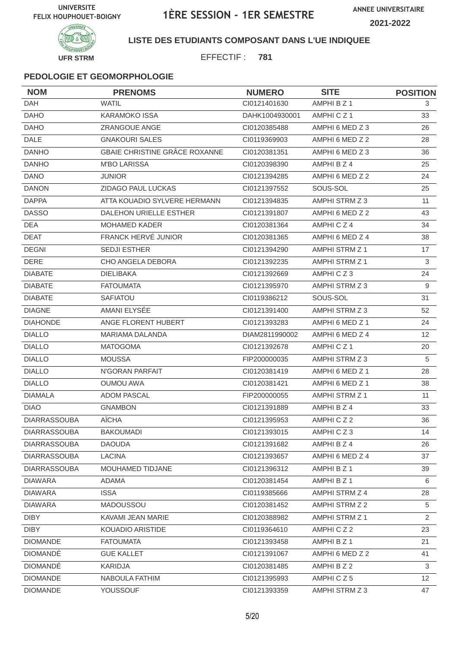**ANNEE UNIVERSITAIRE 2021-2022**



### **LISTE DES ETUDIANTS COMPOSANT DANS L'UE INDIQUEE**

EFFECTIF : **781**

| <b>NOM</b>          | <b>PRENOMS</b>                | <b>NUMERO</b>  | <b>SITE</b>          | <b>POSITION</b> |
|---------------------|-------------------------------|----------------|----------------------|-----------------|
| <b>DAH</b>          | <b>WATIL</b>                  | CI0121401630   | AMPHI B Z 1          | 3               |
| <b>DAHO</b>         | <b>KARAMOKO ISSA</b>          | DAHK1004930001 | AMPHICZ1             | 33              |
| <b>DAHO</b>         | ZRANGOUE ANGE                 | CI0120385488   | AMPHI 6 MED Z 3      | 26              |
| <b>DALE</b>         | <b>GNAKOURI SALES</b>         | CI0119369903   | AMPHI 6 MED Z 2      | 28              |
| <b>DANHO</b>        | GBAIE CHRISTINE GRÂCE ROXANNE | CI0120381351   | AMPHI 6 MED Z 3      | 36              |
| <b>DANHO</b>        | <b>M'BO LARISSA</b>           | CI0120398390   | AMPHI B Z 4          | 25              |
| <b>DANO</b>         | <b>JUNIOR</b>                 | CI0121394285   | AMPHI 6 MED Z 2      | 24              |
| <b>DANON</b>        | ZIDAGO PAUL LUCKAS            | CI0121397552   | SOUS-SOL             | 25              |
| <b>DAPPA</b>        | ATTA KOUADIO SYLVERE HERMANN  | CI0121394835   | AMPHI STRM Z 3       | 11              |
| <b>DASSO</b>        | DALEHON URIELLE ESTHER        | CI0121391807   | AMPHI 6 MED Z 2      | 43              |
| <b>DEA</b>          | <b>MOHAMED KADER</b>          | CI0120381364   | AMPHICZ4             | 34              |
| <b>DEAT</b>         | FRANCK HERVÉ JUNIOR           | CI0120381365   | AMPHI 6 MED Z 4      | 38              |
| <b>DEGNI</b>        | <b>SEDJI ESTHER</b>           | CI0121394290   | AMPHI STRM Z 1       | 17              |
| <b>DERE</b>         | CHO ANGELA DEBORA             | CI0121392235   | AMPHI STRM Z 1       | 3               |
| <b>DIABATE</b>      | <b>DIELIBAKA</b>              | CI0121392669   | AMPHICZ3             | 24              |
| <b>DIABATE</b>      | <b>FATOUMATA</b>              | CI0121395970   | AMPHI STRM Z 3       | 9               |
| <b>DIABATE</b>      | SAFIATOU                      | CI0119386212   | SOUS-SOL             | 31              |
| <b>DIAGNE</b>       | AMANI ELYSÉE                  | CI0121391400   | AMPHI STRM Z 3       | 52              |
| <b>DIAHONDE</b>     | ANGE FLORENT HUBERT           | CI0121393283   | AMPHI 6 MED Z 1      | 24              |
| <b>DIALLO</b>       | <b>MARIAMA DALANDA</b>        | DIAM2811990002 | AMPHI 6 MED Z 4      | 12              |
| <b>DIALLO</b>       | <b>MATOGOMA</b>               | CI0121392678   | AMPHICZ <sub>1</sub> | 20              |
| <b>DIALLO</b>       | <b>MOUSSA</b>                 | FIP200000035   | AMPHI STRM Z 3       | 5               |
| <b>DIALLO</b>       | N'GORAN PARFAIT               | CI0120381419   | AMPHI 6 MED Z 1      | 28              |
| <b>DIALLO</b>       | <b>OUMOU AWA</b>              | CI0120381421   | AMPHI 6 MED Z 1      | 38              |
| <b>DIAMALA</b>      | <b>ADOM PASCAL</b>            | FIP200000055   | AMPHI STRM Z 1       | 11              |
| <b>DIAO</b>         | <b>GNAMBON</b>                | CI0121391889   | AMPHI B Z 4          | 33              |
| <b>DIARRASSOUBA</b> | <b>AÏCHA</b>                  | CI0121395953   | AMPHICZ2             | 36              |
| <b>DIARRASSOUBA</b> | <b>BAKOUMADI</b>              | CI0121393015   | AMPHICZ3             | 14              |
| <b>DIARRASSOUBA</b> | <b>DAOUDA</b>                 | Cl0121391682   | AMPHI B Z 4          | 26              |
| <b>DIARRASSOUBA</b> | <b>LACINA</b>                 | CI0121393657   | AMPHI 6 MED Z 4      | 37              |
| <b>DIARRASSOUBA</b> | MOUHAMED TIDJANE              | Cl0121396312   | AMPHI B Z 1          | 39              |
| <b>DIAWARA</b>      | ADAMA                         | CI0120381454   | AMPHI B Z 1          | 6               |
| DIAWARA             | <b>ISSA</b>                   | CI0119385666   | AMPHI STRM Z 4       | 28              |
| <b>DIAWARA</b>      | MADOUSSOU                     | CI0120381452   | AMPHI STRM Z 2       | 5               |
| <b>DIBY</b>         | KAVAMI JEAN MARIE             | CI0120388982   | AMPHI STRM Z 1       | $\overline{2}$  |
| <b>DIBY</b>         | KOUADIO ARISTIDE              | CI0119364610   | AMPHICZ2             | 23              |
| <b>DIOMANDE</b>     | <b>FATOUMATA</b>              | CI0121393458   | AMPHI B Z 1          | 21              |
| <b>DIOMANDE</b>     | <b>GUE KALLET</b>             | CI0121391067   | AMPHI 6 MED Z 2      | 41              |
| <b>DIOMANDE</b>     | KARIDJA                       | CI0120381485   | AMPHI B Z 2          | $\mathbf{3}$    |
| <b>DIOMANDE</b>     | NABOULA FATHIM                | CI0121395993   | AMPHICZ5             | 12              |
| <b>DIOMANDE</b>     | <b>YOUSSOUF</b>               | CI0121393359   | AMPHI STRM Z 3       | 47              |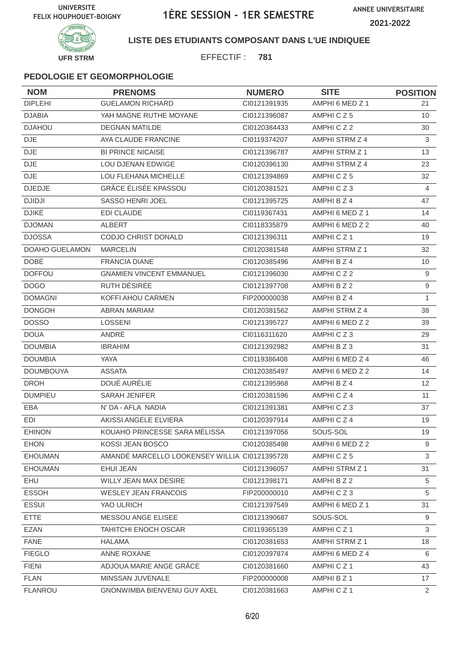



## **LISTE DES ETUDIANTS COMPOSANT DANS L'UE INDIQUEE**

EFFECTIF : **781**

| <b>NOM</b>            | <b>PRENOMS</b>                                | <b>NUMERO</b> | <b>SITE</b>           | <b>POSITION</b> |
|-----------------------|-----------------------------------------------|---------------|-----------------------|-----------------|
| <b>DIPLEHI</b>        | <b>GUELAMON RICHARD</b>                       | CI0121391935  | AMPHI 6 MED Z 1       | 21              |
| <b>DJABIA</b>         | YAH MAGNE RUTHE MOYANE                        | CI0121396087  | AMPHICZ5              | 10 <sup>°</sup> |
| <b>DJAHOU</b>         | <b>DEGNAN MATILDE</b>                         | CI0120384433  | AMPHICZ2              | 30              |
| DJE.                  | AYA CLAUDE FRANCINE                           | CI0119374207  | AMPHI STRM Z 4        | 3               |
| <b>DJE</b>            | <b>BI PRINCE NICAISE</b>                      | CI0121396787  | AMPHI STRM Z 1        | 13              |
| <b>DJE</b>            | LOU DJENAN EDWIGE                             | CI0120396130  | AMPHI STRM Z 4        | 23              |
| <b>DJE</b>            | LOU FLEHANA MICHELLE                          | CI0121394869  | AMPHICZ5              | 32              |
| <b>DJEDJE</b>         | <b>GRÂCE ÉLISÉE KPASSOU</b>                   | CI0120381521  | AMPHICZ3              | $\overline{4}$  |
| <b>DJIDJI</b>         | SASSO HENRI JOEL                              | CI0121395725  | AMPHI B Z 4           | 47              |
| <b>DJIKÉ</b>          | <b>EDI CLAUDE</b>                             | CI0119367431  | AMPHI 6 MED Z 1       | 14              |
| <b>DJOMAN</b>         | ALBERT                                        | CI0118335879  | AMPHI 6 MED Z 2       | 40              |
| <b>DJOSSA</b>         | CODJO CHRIST DONALD                           | CI0121396311  | AMPHICZ1              | 19              |
| <b>DOAHO GUELAMON</b> | <b>MARCELIN</b>                               | CI0120381548  | AMPHI STRM Z 1        | 32              |
| <b>DOBÉ</b>           | <b>FRANCIA DIANE</b>                          | CI0120385496  | AMPHI B Z 4           | 10              |
| <b>DOFFOU</b>         | <b>GNAMIEN VINCENT EMMANUEL</b>               | CI0121396030  | AMPHICZ2              | 9               |
| <b>DOGO</b>           | RUTH DÉSIRÉE                                  | CI0121397708  | AMPHI B Z 2           | $9\,$           |
| <b>DOMAGNI</b>        | KOFFI AHOU CARMEN                             | FIP200000038  | AMPHI B Z 4           | $\mathbf{1}$    |
| <b>DONGOH</b>         | <b>ABRAN MARIAM</b>                           | CI0120381562  | AMPHI STRM Z 4        | 38              |
| <b>DOSSO</b>          | <b>LOSSENI</b>                                | CI0121395727  | AMPHI 6 MED Z 2       | 39              |
| <b>DOUA</b>           | ANDRÉ                                         | CI0116311620  | AMPHICZ3              | 29              |
| <b>DOUMBIA</b>        | <b>IBRAHIM</b>                                | CI0121392982  | AMPHI B Z 3           | 31              |
| <b>DOUMBIA</b>        | <b>YAYA</b>                                   | CI0119386408  | AMPHI 6 MED Z 4       | 46              |
| <b>DOUMBOUYA</b>      | <b>ASSATA</b>                                 | CI0120385497  | AMPHI 6 MED Z 2       | 14              |
| <b>DROH</b>           | DOUÉ AURÉLIE                                  | CI0121395968  | AMPHI B Z 4           | 12              |
| <b>DUMPIEU</b>        | <b>SARAH JENIFER</b>                          | CI0120381596  | AMPHICZ4              | 11              |
| EBA                   | N' DA - AFLA NADIA                            | CI0121391381  | AMPHICZ3              | 37              |
| EDI                   | AKISSI ANGELE ELVIERA                         | CI0120397914  | AMPHICZ4              | 19              |
| EHINON                | KOUAHO PRINCESSE SARA MÉLISSA                 | Cl0121397056  | SOUS-SOL              | 19              |
| <b>EHON</b>           | KOSSI JEAN BOSCO                              | CI0120385498  | AMPHI 6 MED Z 2       | 9               |
| <b>EHOUMAN</b>        | AMANDÉ MARCELLO LOOKENSEY WILLIA CI0121395728 |               | AMPHICZ5              | 3               |
| <b>EHOUMAN</b>        | EHUI JEAN                                     | CI0121396057  | <b>AMPHI STRM Z 1</b> | 31              |
| EHU                   | WILLY JEAN MAX DESIRE                         | CI0121398171  | AMPHI B Z 2           | 5               |
| <b>ESSOH</b>          | <b>WESLEY JEAN FRANCOIS</b>                   | FIP200000010  | AMPHICZ3              | 5               |
| <b>ESSUI</b>          | YAO ULRICH                                    | Cl0121397549  | AMPHI 6 MED Z 1       | 31              |
| <b>ETTE</b>           | MESSOU ANGE ELISEE                            | Cl0121390687  | SOUS-SOL              | 9               |
| <b>EZAN</b>           | <b>TAHITCHI ENOCH OSCAR</b>                   | CI0119365139  | AMPHICZ1              | 3               |
| <b>FANE</b>           | <b>HALAMA</b>                                 | CI0120381653  | AMPHI STRM Z 1        | 18              |
| <b>FIEGLO</b>         | ANNE ROXANE                                   | CI0120397874  | AMPHI 6 MED Z 4       | 6               |
| <b>FIENI</b>          | ADJOUA MARIE ANGE GRÂCE                       | CI0120381660  | AMPHICZ1              | 43              |
| <b>FLAN</b>           | MINSSAN JUVENALE                              | FIP200000008  | AMPHI B Z 1           | 17              |
| <b>FLANROU</b>        | GNONWIMBA BIENVENU GUY AXEL                   | Cl0120381663  | AMPHICZ1              | $\overline{2}$  |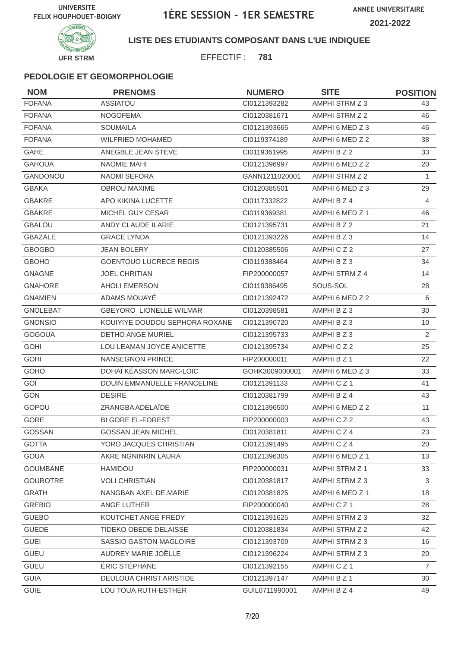**ANNEE UNIVERSITAIRE**





### **LISTE DES ETUDIANTS COMPOSANT DANS L'UE INDIQUEE**

EFFECTIF : **781**

| <b>NOM</b>      | <b>PRENOMS</b>                     | <b>NUMERO</b>  | <b>SITE</b>          | <b>POSITION</b> |
|-----------------|------------------------------------|----------------|----------------------|-----------------|
| <b>FOFANA</b>   | <b>ASSIATOU</b>                    | CI0121393282   | AMPHI STRM Z 3       | 43              |
| <b>FOFANA</b>   | <b>NOGOFEMA</b>                    | CI0120381671   | AMPHI STRM Z 2       | 46              |
| <b>FOFANA</b>   | <b>SOUMAILA</b>                    | CI0121393665   | AMPHI 6 MED Z 3      | 46              |
| <b>FOFANA</b>   | <b>WILFRIED MOHAMED</b>            | CI0119374189   | AMPHI 6 MED Z 2      | 38              |
| GAHE            | ANEGBLE JEAN STEVE                 | CI0119361995   | AMPHI B Z 2          | 33              |
| <b>GAHOUA</b>   | <b>NAOMIE MAHI</b>                 | CI0121396997   | AMPHI 6 MED Z 2      | 20              |
| GANDONOU        | <b>NAOMI SEFORA</b>                | GANN1211020001 | AMPHI STRM Z 2       | 1               |
| <b>GBAKA</b>    | <b>OBROU MAXIME</b>                | CI0120385501   | AMPHI 6 MED Z 3      | 29              |
| <b>GBAKRE</b>   | APO KIKINA LUCETTE                 | CI0117332822   | AMPHI B Z 4          | 4               |
| <b>GBAKRE</b>   | MICHEL GUY CESAR                   | CI0119369381   | AMPHI 6 MED Z 1      | 46              |
| <b>GBALOU</b>   | ANDY CLAUDE ILARIE                 | CI0121395731   | AMPHI B Z 2          | 21              |
| <b>GBAZALE</b>  | <b>GRACE LYNDA</b>                 | CI0121393226   | AMPHI B Z 3          | 14              |
| <b>GBOGBO</b>   | <b>JEAN BOLERY</b>                 | CI0120385506   | AMPHICZ2             | 27              |
| <b>GBOHO</b>    | <b>GOENTOUO LUCRECE REGIS</b>      | CI0119388464   | AMPHI B Z 3          | 34              |
| <b>GNAGNE</b>   | <b>JOEL CHRITIAN</b>               | FIP200000057   | AMPHI STRM Z 4       | 14              |
| <b>GNAHORE</b>  | <b>AHOLI EMERSON</b>               | CI0119386495   | SOUS-SOL             | 28              |
| <b>GNAMIEN</b>  | ADAMS MOUAYÉ                       | CI0121392472   | AMPHI 6 MED Z 2      | 6               |
| <b>GNOLEBAT</b> | <b>GBEYORO LIONELLE WILMAR</b>     | CI0120398581   | AMPHI B Z 3          | 30              |
| <b>GNONSIO</b>  | KOUIYIYE DOUDOU SEPHORA ROXANE     | CI0121390720   | AMPHI B Z 3          | 10              |
| <b>GOGOUA</b>   | <b>DETHO ANGE MURIEL</b>           | CI0121395733   | AMPHI B Z 3          | 2               |
| <b>GOHI</b>     | LOU LEAMAN JOYCE ANICETTE          | CI0121395734   | AMPHICZ2             | 25              |
| <b>GOHI</b>     | <b>NANSEGNON PRINCE</b>            | FIP200000011   | AMPHI B Z 1          | 22              |
| GOHO            | DOHAÏ KÉASSON MARC-LOÏC            | GOHK3009000001 | AMPHI 6 MED Z 3      | 33              |
| GOÏ             | <b>DOUIN EMMANUELLE FRANCELINE</b> | CI0121391133   | AMPHICZ <sub>1</sub> | 41              |
| <b>GON</b>      | <b>DESIRE</b>                      | CI0120381799   | AMPHI B Z 4          | 43              |
| GOPOU           | ZRANGBA ADELAÏDE                   | CI0121396500   | AMPHI 6 MED Z 2      | 11              |
| GORE            | <b>BI GORE EL-FOREST</b>           | FIP200000003   | AMPHICZ2             | 43              |
| GOSSAN          | GOSSAN JEAN MICHEL                 | Cl0120381811   | AMPHICZ4             | 23              |
| <b>GOTTA</b>    | YORO JACQUES CHRISTIAN             | CI0121391495   | AMPHICZ4             | 20              |
| <b>GOUA</b>     | AKRE NGNINRIN LAURA                | CI0121396305   | AMPHI 6 MED Z 1      | 13              |
| <b>GOUMBANE</b> | HAMIDOU                            | FIP200000031   | AMPHI STRM Z 1       | 33              |
| <b>GOUROTRE</b> | <b>VOLI CHRISTIAN</b>              | CI0120381817   | AMPHI STRM Z 3       | 3               |
| <b>GRATH</b>    | NANGBAN AXEL DE.MARIE              | CI0120381825   | AMPHI 6 MED Z 1      | 18              |
| <b>GREBIO</b>   | ANGE LUTHER                        | FIP200000040   | AMPHICZ1             | 28              |
| <b>GUEBO</b>    | KOUTCHET ANGE FREDY                | CI0121391625   | AMPHI STRM Z 3       | 32              |
| <b>GUEDE</b>    | TIDEKO OBEDE DELAISSE              | CI0120381834   | AMPHI STRM Z 2       | 42              |
| <b>GUEI</b>     | SASSIO GASTON MAGLOIRE             | CI0121393709   | AMPHI STRM Z 3       | 16              |
| <b>GUEU</b>     | AUDREY MARIE JOËLLE                | CI0121396224   | AMPHI STRM Z 3       | 20              |
| <b>GUEU</b>     | ÉRIC STÉPHANE                      | CI0121392155   | AMPHICZ1             | 7               |
| <b>GUIA</b>     | DEULOUA CHRIST ARISTIDE            | CI0121397147   | AMPHI B Z 1          | 30              |
| <b>GUIE</b>     | LOU TOUA RUTH-ESTHER               | GUIL0711990001 | AMPHI B Z 4          | 49              |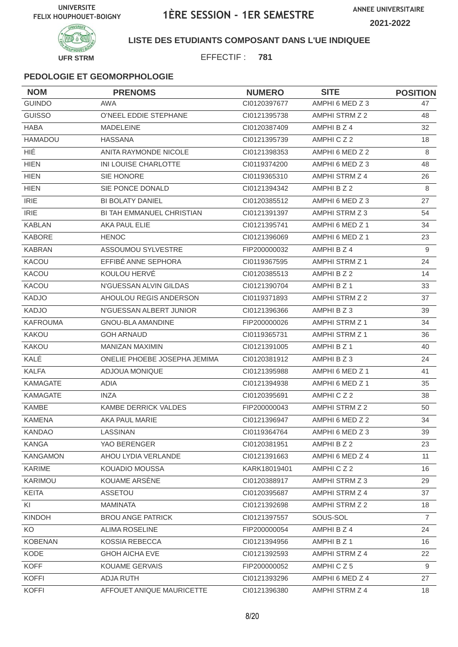

### **LISTE DES ETUDIANTS COMPOSANT DANS L'UE INDIQUEE**

EFFECTIF : **781**

| <b>NOM</b>      | <b>PRENOMS</b>                   | <b>NUMERO</b> | <b>SITE</b>     | <b>POSITION</b> |
|-----------------|----------------------------------|---------------|-----------------|-----------------|
| <b>GUINDO</b>   | <b>AWA</b>                       | CI0120397677  | AMPHI 6 MED Z 3 | 47              |
| <b>GUISSO</b>   | O'NEEL EDDIE STEPHANE            | CI0121395738  | AMPHI STRM Z 2  | 48              |
| <b>HABA</b>     | <b>MADELEINE</b>                 | CI0120387409  | AMPHI B Z 4     | 32              |
| HAMADOU         | <b>HASSANA</b>                   | CI0121395739  | AMPHICZ2        | 18              |
| HIÉ             | <b>ANITA RAYMONDE NICOLE</b>     | CI0121398353  | AMPHI 6 MED Z 2 | 8               |
| <b>HIEN</b>     | INI LOUISE CHARLOTTE             | CI0119374200  | AMPHI 6 MED Z 3 | 48              |
| <b>HIEN</b>     | SIE HONORE                       | CI0119365310  | AMPHI STRM Z 4  | 26              |
| <b>HIEN</b>     | SIE PONCE DONALD                 | CI0121394342  | AMPHI B Z 2     | 8               |
| <b>IRIE</b>     | <b>BI BOLATY DANIEL</b>          | CI0120385512  | AMPHI 6 MED Z 3 | 27              |
| <b>IRIE</b>     | <b>BI TAH EMMANUEL CHRISTIAN</b> | CI0121391397  | AMPHI STRM Z 3  | 54              |
| <b>KABLAN</b>   | AKA PAUL ELIE                    | CI0121395741  | AMPHI 6 MED Z 1 | 34              |
| <b>KABORE</b>   | <b>HENOC</b>                     | CI0121396069  | AMPHI 6 MED Z 1 | 23              |
| <b>KABRAN</b>   | <b>ASSOUMOU SYLVESTRE</b>        | FIP200000032  | AMPHI B Z 4     | 9               |
| KACOU           | EFFIBÉ ANNE SEPHORA              | CI0119367595  | AMPHI STRM Z 1  | 24              |
| KACOU           | KOULOU HERVÉ                     | CI0120385513  | AMPHI B Z 2     | 14              |
| <b>KACOU</b>    | N'GUESSAN ALVIN GILDAS           | CI0121390704  | AMPHI B Z 1     | 33              |
| <b>KADJO</b>    | AHOULOU REGIS ANDERSON           | CI0119371893  | AMPHI STRM Z 2  | 37              |
| <b>KADJO</b>    | N'GUESSAN ALBERT JUNIOR          | CI0121396366  | AMPHI B Z 3     | 39              |
| <b>KAFROUMA</b> | <b>GNOU-BLA AMANDINE</b>         | FIP200000026  | AMPHI STRM Z 1  | 34              |
| <b>KAKOU</b>    | <b>GOH ARNAUD</b>                | CI0119365731  | AMPHI STRM Z 1  | 36              |
| KAKOU           | <b>MANIZAN MAXIMIN</b>           | CI0121391005  | AMPHI B Z 1     | 40              |
| KALÉ            | ONELIE PHOEBE JOSEPHA JEMIMA     | CI0120381912  | AMPHI B Z 3     | 24              |
| <b>KALFA</b>    | ADJOUA MONIQUE                   | CI0121395988  | AMPHI 6 MED Z 1 | 41              |
| <b>KAMAGATE</b> | ADIA                             | CI0121394938  | AMPHI 6 MED Z 1 | 35              |
| <b>KAMAGATE</b> | INZA                             | CI0120395691  | AMPHICZ2        | 38              |
| <b>KAMBE</b>    | KAMBE DERRICK VALDES             | FIP200000043  | AMPHI STRM Z 2  | 50              |
| <b>KAMENA</b>   | AKA PAUL MARIE                   | CI0121396947  | AMPHI 6 MED Z 2 | 34              |
| KANDAO          | LASSINAN                         | CI0119364764  | AMPHI 6 MED Z 3 | 39              |
| KANGA           | YAO BERENGER                     | CI0120381951  | AMPHI B Z 2     | 23              |
| <b>KANGAMON</b> | AHOU LYDIA VERLANDE              | CI0121391663  | AMPHI 6 MED Z 4 | 11              |
| KARIME          | KOUADIO MOUSSA                   | KARK18019401  | AMPHICZ2        | 16              |
| KARIMOU         | KOUAME ARSÈNE                    | CI0120388917  | AMPHI STRM Z 3  | 29              |
| <b>KEITA</b>    | ASSETOU                          | CI0120395687  | AMPHI STRM Z 4  | 37              |
| KI              | MAMINATA                         | Cl0121392698  | AMPHI STRM Z 2  | 18              |
| KINDOH          | <b>BROU ANGE PATRICK</b>         | Cl0121397557  | SOUS-SOL        | $\overline{7}$  |
| KO.             | <b>ALIMA ROSELINE</b>            | FIP200000054  | AMPHI B Z 4     | 24              |
| KOBENAN         | KOSSIA REBECCA                   | CI0121394956  | AMPHI B Z 1     | 16              |
| KODE            | <b>GHOH AICHA EVE</b>            | CI0121392593  | AMPHI STRM Z 4  | 22              |
| <b>KOFF</b>     | <b>KOUAME GERVAIS</b>            | FIP200000052  | AMPHICZ5        | 9               |
| <b>KOFFI</b>    | ADJA RUTH                        | CI0121393296  | AMPHI 6 MED Z 4 | 27              |
| <b>KOFFI</b>    | AFFOUET ANIQUE MAURICETTE        | CI0121396380  | AMPHI STRM Z 4  | 18              |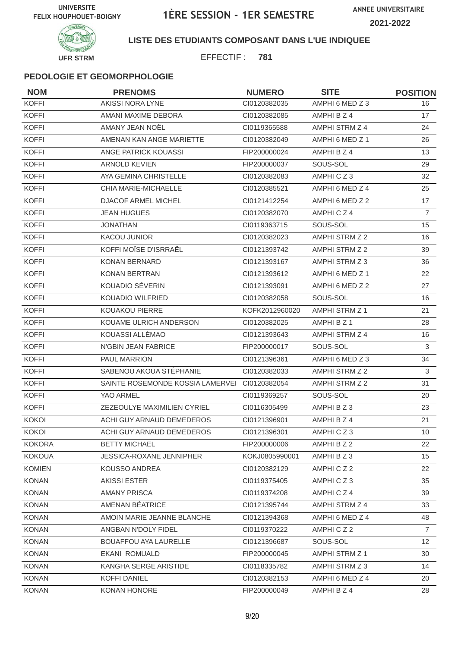

### **LISTE DES ETUDIANTS COMPOSANT DANS L'UE INDIQUEE**

EFFECTIF : **781**

| <b>NOM</b>    | <b>PRENOMS</b>                   | <b>NUMERO</b>  | <b>SITE</b>           | <b>POSITION</b> |
|---------------|----------------------------------|----------------|-----------------------|-----------------|
| <b>KOFFI</b>  | <b>AKISSI NORA LYNE</b>          | CI0120382035   | AMPHI 6 MED Z 3       | 16              |
| <b>KOFFI</b>  | AMANI MAXIME DEBORA              | CI0120382085   | AMPHI B Z 4           | 17              |
| <b>KOFFI</b>  | AMANY JEAN NOËL                  | CI0119365588   | AMPHI STRM Z 4        | 24              |
| <b>KOFFI</b>  | AMENAN KAN ANGE MARIETTE         | CI0120382049   | AMPHI 6 MED Z 1       | 26              |
| <b>KOFFI</b>  | ANGE PATRICK KOUASSI             | FIP200000024   | AMPHI B Z 4           | 13              |
| <b>KOFFI</b>  | <b>ARNOLD KEVIEN</b>             | FIP200000037   | SOUS-SOL              | 29              |
| <b>KOFFI</b>  | AYA GEMINA CHRISTELLE            | CI0120382083   | AMPHICZ3              | 32              |
| <b>KOFFI</b>  | CHIA MARIE-MICHAELLE             | CI0120385521   | AMPHI 6 MED Z 4       | 25              |
| <b>KOFFI</b>  | DJACOF ARMEL MICHEL              | Cl0121412254   | AMPHI 6 MED Z 2       | 17              |
| <b>KOFFI</b>  | <b>JEAN HUGUES</b>               | CI0120382070   | AMPHICZ4              | $\overline{7}$  |
| <b>KOFFI</b>  | JONATHAN                         | CI0119363715   | SOUS-SOL              | 15              |
| <b>KOFFI</b>  | <b>KACOU JUNIOR</b>              | CI0120382023   | AMPHI STRM Z 2        | 16              |
| <b>KOFFI</b>  | KOFFI MOÏSE D'ISRRAËL            | CI0121393742   | AMPHI STRM Z 2        | 39              |
| <b>KOFFI</b>  | <b>KONAN BERNARD</b>             | CI0121393167   | AMPHI STRM Z 3        | 36              |
| <b>KOFFI</b>  | <b>KONAN BERTRAN</b>             | CI0121393612   | AMPHI 6 MED Z 1       | 22              |
| <b>KOFFI</b>  | KOUADIO SEVERIN                  | CI0121393091   | AMPHI 6 MED Z 2       | 27              |
| <b>KOFFI</b>  | KOUADIO WILFRIED                 | CI0120382058   | SOUS-SOL              | 16              |
| <b>KOFFI</b>  | <b>KOUAKOU PIERRE</b>            | KOFK2012960020 | AMPHI STRM Z 1        | 21              |
| <b>KOFFI</b>  | KOUAME ULRICH ANDERSON           | CI0120382025   | AMPHI B Z 1           | 28              |
| <b>KOFFI</b>  | KOUASSI ALLÉMAO                  | CI0121393643   | AMPHI STRM Z 4        | 16              |
| <b>KOFFI</b>  | N'GBIN JEAN FABRICE              | FIP200000017   | SOUS-SOL              | $\mathsf 3$     |
| <b>KOFFI</b>  | <b>PAUL MARRION</b>              | Cl0121396361   | AMPHI 6 MED Z 3       | 34              |
| <b>KOFFI</b>  | SABENOU AKOUA STÉPHANIE          | CI0120382033   | AMPHI STRM Z 2        | 3               |
| <b>KOFFI</b>  | SAINTE ROSEMONDE KOSSIA LAMERVEI | Cl0120382054   | AMPHI STRM Z 2        | 31              |
| <b>KOFFI</b>  | YAO ARMEL                        | CI0119369257   | SOUS-SOL              | 20              |
| <b>KOFFI</b>  | ZEZEOULYE MAXIMILIEN CYRIEL      | CI0116305499   | AMPHI B Z 3           | 23              |
| <b>KOKOI</b>  | ACHI GUY ARNAUD DEMEDEROS        | CI0121396901   | AMPHI B Z 4           | 21              |
| <b>KOKOI</b>  | ACHI GUY ARNAUD DEMEDEROS        | CI0121396301   | AMPHICZ3              | 10 <sup>1</sup> |
| <b>KOKORA</b> | <b>BETTY MICHAEL</b>             | FIP200000006   | AMPHI B Z 2           | 22              |
| <b>KOKOUA</b> | JESSICA-ROXANE JENNIPHER         | KOKJ0805990001 | AMPHI B Z 3           | 15              |
| <b>KOMIEN</b> | <b>KOUSSO ANDREA</b>             | CI0120382129   | AMPHICZ2              | 22              |
| <b>KONAN</b>  | <b>AKISSI ESTER</b>              | CI0119375405   | AMPHICZ3              | 35              |
| <b>KONAN</b>  | <b>AMANY PRISCA</b>              | CI0119374208   | AMPHICZ4              | 39              |
| <b>KONAN</b>  | AMENAN BÉATRICE                  | Cl0121395744   | AMPHI STRM Z 4        | 33              |
| <b>KONAN</b>  | AMOIN MARIE JEANNE BLANCHE       | CI0121394368   | AMPHI 6 MED Z 4       | 48              |
| <b>KONAN</b>  | ANGBAN N'DOLY FIDEL              | CI0119370222   | AMPHICZ2              | $\overline{7}$  |
| <b>KONAN</b>  | <b>BOUAFFOU AYA LAURELLE</b>     | CI0121396687   | SOUS-SOL              | 12              |
| <b>KONAN</b>  | <b>EKANI ROMUALD</b>             | FIP200000045   | <b>AMPHI STRM Z 1</b> | 30              |
| <b>KONAN</b>  | KANGHA SERGE ARISTIDE            | CI0118335782   | AMPHI STRM Z 3        | 14              |
| <b>KONAN</b>  | KOFFI DANIEL                     | CI0120382153   | AMPHI 6 MED Z 4       | 20              |
| <b>KONAN</b>  | KONAN HONORE                     | FIP200000049   | AMPHI B Z 4           | 28              |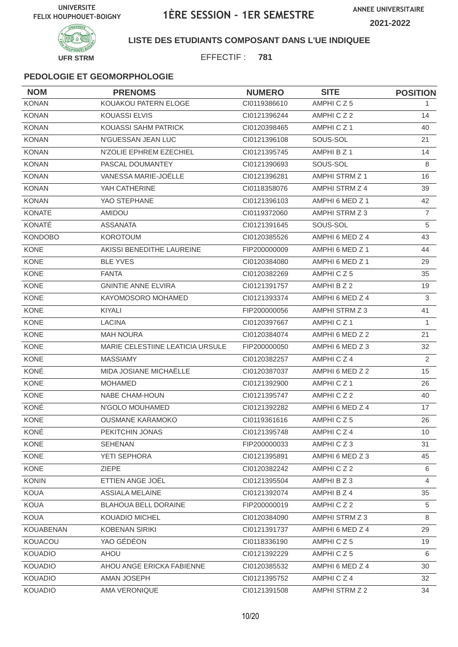

### **LISTE DES ETUDIANTS COMPOSANT DANS L'UE INDIQUEE**

EFFECTIF : **781**

| <b>NOM</b>       | <b>PRENOMS</b>                   | <b>NUMERO</b> | <b>SITE</b>          | <b>POSITION</b> |
|------------------|----------------------------------|---------------|----------------------|-----------------|
| <b>KONAN</b>     | KOUAKOU PATERN ELOGE             | CI0119386610  | AMPHICZ5             | 1               |
| <b>KONAN</b>     | KOUASSI ELVIS                    | CI0121396244  | AMPHICZ2             | 14              |
| <b>KONAN</b>     | KOUASSI SAHM PATRICK             | CI0120398465  | AMPHICZ1             | 40              |
| <b>KONAN</b>     | N'GUESSAN JEAN LUC               | CI0121396108  | SOUS-SOL             | 21              |
| <b>KONAN</b>     | N'ZOLIE EPHREM EZECHIEL          | CI0121395745  | AMPHI B Z 1          | 14              |
| <b>KONAN</b>     | PASCAL DOUMANTEY                 | CI0121390693  | SOUS-SOL             | 8               |
| <b>KONAN</b>     | VANESSA MARIE-JOËLLE             | CI0121396281  | AMPHI STRM Z 1       | 16              |
| <b>KONAN</b>     | YAH CATHERINE                    | CI0118358076  | AMPHI STRM Z 4       | 39              |
| <b>KONAN</b>     | YAO STEPHANE                     | CI0121396103  | AMPHI 6 MED Z 1      | 42              |
| <b>KONATE</b>    | AMIDOU                           | CI0119372060  | AMPHI STRM Z 3       | 7               |
| KONATÉ           | <b>ASSANATA</b>                  | CI0121391645  | SOUS-SOL             | 5               |
| <b>KONDOBO</b>   | <b>KOROTOUM</b>                  | CI0120385526  | AMPHI 6 MED Z 4      | 43              |
| <b>KONE</b>      | AKISSI BENEDITHE LAUREINE        | FIP200000009  | AMPHI 6 MED Z 1      | 44              |
| <b>KONE</b>      | <b>BLE YVES</b>                  | CI0120384080  | AMPHI 6 MED Z 1      | 29              |
| <b>KONE</b>      | <b>FANTA</b>                     | CI0120382269  | AMPHICZ5             | 35              |
| <b>KONE</b>      | <b>GNINTIE ANNE ELVIRA</b>       | CI0121391757  | AMPHI B Z 2          | 19              |
| <b>KONE</b>      | KAYOMOSORO MOHAMED               | CI0121393374  | AMPHI 6 MED Z 4      | 3               |
| <b>KONE</b>      | KIYALI                           | FIP200000056  | AMPHI STRM Z 3       | 41              |
| <b>KONE</b>      | <b>LACINA</b>                    | CI0120397667  | AMPHICZ <sub>1</sub> | $\mathbf{1}$    |
| <b>KONE</b>      | <b>MAH NOURA</b>                 | CI0120384074  | AMPHI 6 MED Z 2      | 21              |
| <b>KONE</b>      | MARIE CELESTIINE LEATICIA URSULE | FIP200000050  | AMPHI 6 MED Z 3      | 32              |
| <b>KONE</b>      | <b>MASSIAMY</b>                  | CI0120382257  | AMPHICZ4             | 2               |
| KONÉ             | MIDA JOSIANE MICHAËLLE           | CI0120387037  | AMPHI 6 MED Z 2      | 15              |
| <b>KONE</b>      | <b>MOHAMED</b>                   | CI0121392900  | AMPHICZ1             | 26              |
| <b>KONE</b>      | NABE CHAM-HOUN                   | CI0121395747  | AMPHICZ2             | 40              |
| KONÉ             | N'GOLO MOUHAMED                  | CI0121392282  | AMPHI 6 MED Z 4      | 17              |
| <b>KONE</b>      | <b>OUSMANE KARAMOKO</b>          | CI0119361616  | AMPHICZ5             | 26              |
| KONÉ             | PEKITCHIN JONAS                  | Cl0121395748  | AMPHICZ4             | 10              |
| KONE             | <b>SEHENAN</b>                   | FIP200000033  | AMPHICZ3             | 31              |
| KONE             | YETI SEPHORA                     | CI0121395891  | AMPHI 6 MED Z 3      | 45              |
| KONE             | ZIEPE                            | CI0120382242  | AMPHICZ2             | 6               |
| <b>KONIN</b>     | ETTIEN ANGE JOËL                 | CI0121395504  | AMPHIBZ3             | 4               |
| <b>KOUA</b>      | <b>ASSIALA MELAINE</b>           | Cl0121392074  | AMPHI B Z 4          | 35              |
| KOUA             | <b>BLAHOUA BELL DORAINE</b>      | FIP200000019  | AMPHICZ2             | 5               |
| <b>KOUA</b>      | <b>KOUADIO MICHEL</b>            | CI0120384090  | AMPHI STRM Z 3       | 8               |
| <b>KOUABENAN</b> | <b>KOBENAN SIRIKI</b>            | CI0121391737  | AMPHI 6 MED Z 4      | 29              |
| KOUACOU          | YAO GÉDÉON                       | CI0118336190  | AMPHICZ5             | 19              |
| <b>KOUADIO</b>   | AHOU                             | CI0121392229  | AMPHICZ5             | 6               |
| <b>KOUADIO</b>   | AHOU ANGE ERICKA FABIENNE        | CI0120385532  | AMPHI 6 MED Z 4      | 30              |
| <b>KOUADIO</b>   | AMAN JOSEPH                      | CI0121395752  | AMPHICZ4             | 32              |
| KOUADIO          | AMA VERONIQUE                    | Cl0121391508  | AMPHI STRM Z 2       | 34              |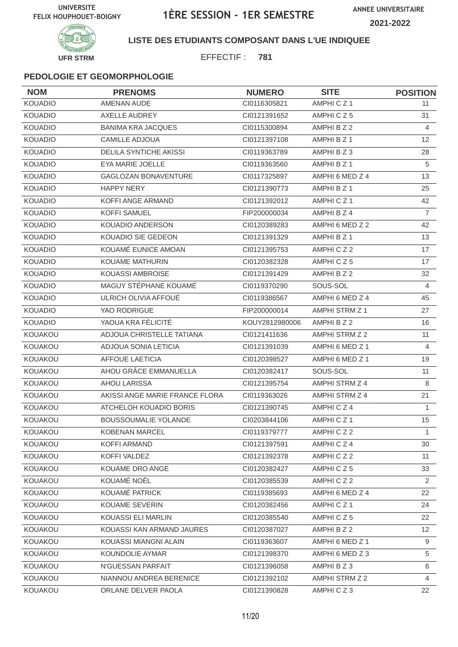

### **LISTE DES ETUDIANTS COMPOSANT DANS L'UE INDIQUEE**

EFFECTIF : **781**

| <b>NOM</b>     | <b>PRENOMS</b>                 | <b>NUMERO</b>  | <b>SITE</b>          | <b>POSITION</b> |
|----------------|--------------------------------|----------------|----------------------|-----------------|
| <b>KOUADIO</b> | <b>AMENAN AUDE</b>             | CI0116305821   | AMPHICZ1             | 11              |
| <b>KOUADIO</b> | AXELLE AUDREY                  | CI0121391652   | AMPHICZ5             | 31              |
| <b>KOUADIO</b> | <b>BANIMA KRA JACQUES</b>      | CI0115300894   | AMPHI B Z 2          | 4               |
| <b>KOUADIO</b> | <b>CAMILLE ADJOUA</b>          | CI0121397108   | AMPHI B Z 1          | 12              |
| <b>KOUADIO</b> | <b>DELILA SYNTICHE AKISSI</b>  | CI0119363789   | AMPHI B Z 3          | 28              |
| <b>KOUADIO</b> | EYA MARIE JOELLE               | CI0119363560   | AMPHI B Z 1          | 5               |
| <b>KOUADIO</b> | <b>GAGLOZAN BONAVENTURE</b>    | CI0117325897   | AMPHI 6 MED Z 4      | 13              |
| <b>KOUADIO</b> | <b>HAPPY NERY</b>              | CI0121390773   | AMPHI B Z 1          | 25              |
| <b>KOUADIO</b> | KOFFI ANGE ARMAND              | CI0121392012   | AMPHICZ1             | 42              |
| <b>KOUADIO</b> | <b>KOFFI SAMUEL</b>            | FIP200000034   | AMPHI B Z 4          | $\overline{7}$  |
| <b>KOUADIO</b> | KOUADIO ANDERSON               | CI0120389283   | AMPHI 6 MED Z 2      | 42              |
| <b>KOUADIO</b> | KOUADIO SIE GEDEON             | CI0121391329   | AMPHI B Z 1          | 13              |
| <b>KOUADIO</b> | KOUAMÉ EUNICE AMOAN            | CI0121395753   | AMPHICZ2             | 17              |
| <b>KOUADIO</b> | KOUAME MATHURIN                | CI0120382328   | AMPHICZ5             | 17              |
| <b>KOUADIO</b> | <b>KOUASSI AMBROISE</b>        | CI0121391429   | AMPHI B Z 2          | 32              |
| <b>KOUADIO</b> | MAGUY STÉPHANE KOUAMÉ          | CI0119370290   | SOUS-SOL             | 4               |
| <b>KOUADIO</b> | ULRICH OLIVIA AFFOUÉ           | CI0119386567   | AMPHI 6 MED Z 4      | 45              |
| <b>KOUADIO</b> | YAO RODRIGUE                   | FIP200000014   | AMPHI STRM Z 1       | 27              |
| <b>KOUADIO</b> | YAOUA KRA FÉLICITÉ             | KOUY2812980006 | AMPHI B Z 2          | 16              |
| KOUAKOU        | ADJOUA CHRISTELLE TATIANA      | CI0121411636   | AMPHI STRM Z 2       | 11              |
| KOUAKOU        | ADJOUA SONIA LETICIA           | CI0121391039   | AMPHI 6 MED Z 1      | 4               |
| KOUAKOU        | <b>AFFOUE LAETICIA</b>         | CI0120398527   | AMPHI 6 MED Z 1      | 19              |
| KOUAKOU        | AHOU GRÂCE EMMANUELLA          | CI0120382417   | SOUS-SOL             | 11              |
| KOUAKOU        | <b>AHOU LARISSA</b>            | CI0121395754   | AMPHI STRM Z 4       | 8               |
| KOUAKOU        | AKISSI ANGE MARIE FRANCE FLORA | CI0119363026   | AMPHI STRM Z 4       | 21              |
| KOUAKOU        | ATCHELOH KOUADIO BORIS         | CI0121390745   | AMPHICZ4             | 1               |
| KOUAKOU        | <b>BOUSSOUMALIE YOLANDE</b>    | CI0203844106   | AMPHICZ <sub>1</sub> | 15              |
| KOUAKOU        | KOBENAN MARCEL                 | CI0119379777   | AMPHICZ2             | 1               |
| KOUAKOU        | <b>KOFFI ARMAND</b>            | CI0121397591   | AMPHICZ4             | 30              |
| KOUAKOU        | KOFFI VALDEZ                   | CI0121392378   | AMPHICZ2             | 11              |
| KOUAKOU        | KOUAME DRO ANGE                | CI0120382427   | AMPHICZ5             | 33              |
| KOUAKOU        | KOUAMÉ NOËL                    | CI0120385539   | AMPHICZ2             | 2               |
| <b>KOUAKOU</b> | KOUAMÉ PATRICK                 | CI0119385693   | AMPHI 6 MED Z 4      | 22              |
| KOUAKOU        | KOUAME SEVERIN                 | Cl0120382456   | AMPHICZ1             | 24              |
| KOUAKOU        | KOUASSI ELI MARLIN             | CI0120385540   | AMPHICZ5             | 22              |
| KOUAKOU        | KOUASSI KAN ARMAND JAURES      | CI0120387027   | AMPHI B Z 2          | 12 <sup>2</sup> |
| KOUAKOU        | KOUASSI MIANGNI ALAIN          | CI0119363607   | AMPHI 6 MED Z 1      | 9               |
| KOUAKOU        | KOUNDOLIE AYMAR                | CI0121398370   | AMPHI 6 MED Z 3      | 5               |
| KOUAKOU        | N'GUESSAN PARFAIT              | Cl0121396058   | AMPHI B Z 3          | 6               |
| KOUAKOU        | NIANNOU ANDREA BERENICE        | CI0121392102   | AMPHI STRM Z 2       | 4               |
| KOUAKOU        | ORLANE DELVER PAOLA            | CI0121390828   | AMPHICZ3             | 22              |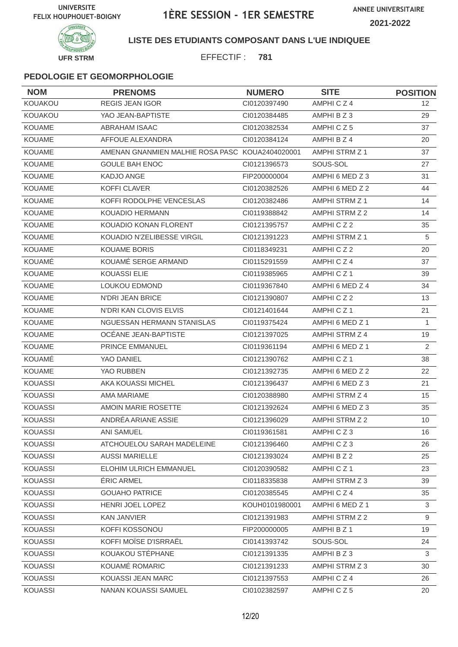

**LISTE DES ETUDIANTS COMPOSANT DANS L'UE INDIQUEE**

EFFECTIF : **781**

| <b>NOM</b>     | <b>PRENOMS</b>                                  | <b>NUMERO</b>  | <b>SITE</b>     | <b>POSITION</b> |
|----------------|-------------------------------------------------|----------------|-----------------|-----------------|
| KOUAKOU        | <b>REGIS JEAN IGOR</b>                          | Cl0120397490   | AMPHICZ4        | 12 <sup>2</sup> |
| KOUAKOU        | YAO JEAN-BAPTISTE                               | CI0120384485   | AMPHI B Z 3     | 29              |
| <b>KOUAME</b>  | <b>ABRAHAM ISAAC</b>                            | CI0120382534   | AMPHICZ5        | 37              |
| KOUAME         | AFFOUE ALEXANDRA                                | CI0120384124   | AMPHI B Z 4     | 20              |
| <b>KOUAME</b>  | AMENAN GNANMIEN MALHIE ROSA PASC KOUA2404020001 |                | AMPHI STRM Z 1  | 37              |
| <b>KOUAME</b>  | <b>GOULE BAH ENOC</b>                           | CI0121396573   | SOUS-SOL        | 27              |
| KOUAME         | <b>KADJO ANGE</b>                               | FIP200000004   | AMPHI 6 MED Z 3 | 31              |
| <b>KOUAME</b>  | <b>KOFFI CLAVER</b>                             | CI0120382526   | AMPHI 6 MED Z 2 | 44              |
| <b>KOUAME</b>  | KOFFI RODOLPHE VENCESLAS                        | CI0120382486   | AMPHI STRM Z 1  | 14              |
| <b>KOUAME</b>  | <b>KOUADIO HERMANN</b>                          | CI0119388842   | AMPHI STRM Z 2  | 14              |
| KOUAME         | KOUADIO KONAN FLORENT                           | CI0121395757   | AMPHICZ2        | 35              |
| KOUAME         | KOUADIO N'ZELIBESSE VIRGIL                      | CI0121391223   | AMPHI STRM Z 1  | 5               |
| <b>KOUAME</b>  | <b>KOUAME BORIS</b>                             | CI0118349231   | AMPHICZ2        | 20              |
| KOUAMÉ         | KOUAMÉ SERGE ARMAND                             | CI0115291559   | AMPHICZ4        | 37              |
| <b>KOUAME</b>  | <b>KOUASSI ELIE</b>                             | CI0119385965   | AMPHICZ1        | 39              |
| KOUAME         | <b>LOUKOU EDMOND</b>                            | CI0119367840   | AMPHI 6 MED Z 4 | 34              |
| <b>KOUAME</b>  | <b>N'DRI JEAN BRICE</b>                         | CI0121390807   | AMPHICZ2        | 13              |
| KOUAME         | N'DRI KAN CLOVIS ELVIS                          | Cl0121401644   | AMPHICZ1        | 21              |
| <b>KOUAME</b>  | NGUESSAN HERMANN STANISLAS                      | CI0119375424   | AMPHI 6 MED Z 1 | $\mathbf{1}$    |
| KOUAME         | OCÉANE JEAN-BAPTISTE                            | CI0121397025   | AMPHI STRM Z 4  | 19              |
| KOUAME         | PRINCE EMMANUEL                                 | CI0119361194   | AMPHI 6 MED Z 1 | $\overline{2}$  |
| KOUAMÉ         | YAO DANIEL                                      | CI0121390762   | AMPHICZ1        | 38              |
| <b>KOUAME</b>  | YAO RUBBEN                                      | CI0121392735   | AMPHI 6 MED Z 2 | 22              |
| <b>KOUASSI</b> | AKA KOUASSI MICHEL                              | CI0121396437   | AMPHI 6 MED Z 3 | 21              |
| <b>KOUASSI</b> | AMA MARIAME                                     | CI0120388980   | AMPHI STRM Z 4  | 15              |
| <b>KOUASSI</b> | AMOIN MARIE ROSETTE                             | CI0121392624   | AMPHI 6 MED Z 3 | 35              |
| <b>KOUASSI</b> | ANDRÉA ARIANE ASSIE                             | CI0121396029   | AMPHI STRM Z 2  | 10              |
| KOUASSI        | ANI SAMUEL                                      | CI0119361581   | AMPHICZ3        | 16              |
| <b>KOUASSI</b> | ATCHOUELOU SARAH MADELEINE                      | Cl0121396460   | AMPHICZ3        | 26              |
| KOUASSI        | <b>AUSSI MARIELLE</b>                           | CI0121393024   | AMPHIBZ2        | 25              |
| <b>KOUASSI</b> | ELOHIM ULRICH EMMANUEL                          | CI0120390582   | AMPHICZ1        | 23              |
| <b>KOUASSI</b> | <b>ERIC ARMEL</b>                               | CI0118335838   | AMPHI STRM Z 3  | 39              |
| KOUASSI        | <b>GOUAHO PATRICE</b>                           | CI0120385545   | AMPHICZ4        | 35              |
| <b>KOUASSI</b> | HENRI JOEL LOPEZ                                | KOUH0101980001 | AMPHI 6 MED Z 1 | 3               |
| <b>KOUASSI</b> | <b>KAN JANVIER</b>                              | CI0121391983   | AMPHI STRM Z 2  | 9               |
| KOUASSI        | KOFFI KOSSONOU                                  | FIP200000005   | AMPHI B Z 1     | 19              |
| <b>KOUASSI</b> | KOFFI MOÏSE D'ISRRAËL                           | CI0141393742   | SOUS-SOL        | 24              |
| <b>KOUASSI</b> | KOUAKOU STÉPHANE                                | CI0121391335   | AMPHIBZ3        | 3               |
| <b>KOUASSI</b> | KOUAMÉ ROMARIC                                  | CI0121391233   | AMPHI STRM Z 3  | 30              |
| <b>KOUASSI</b> | KOUASSI JEAN MARC                               | CI0121397553   | AMPHICZ4        | 26              |
| <b>KOUASSI</b> | NANAN KOUASSI SAMUEL                            | CI0102382597   | AMPHICZ5        | 20              |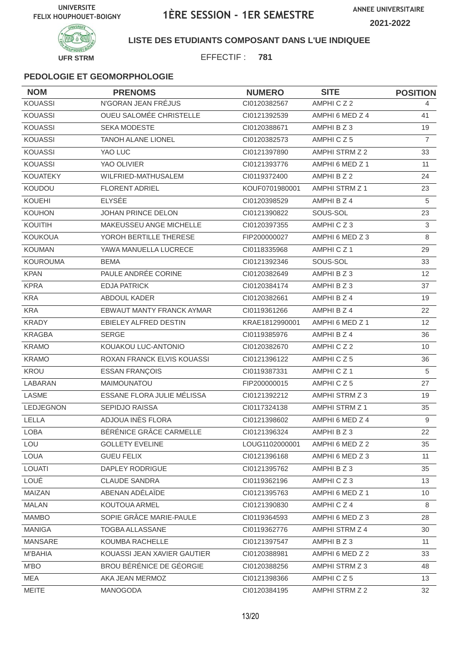

**LISTE DES ETUDIANTS COMPOSANT DANS L'UE INDIQUEE**

EFFECTIF : **781**

| <b>NOM</b>       | <b>PRENOMS</b>                 | <b>NUMERO</b>  | <b>SITE</b>           | <b>POSITION</b> |
|------------------|--------------------------------|----------------|-----------------------|-----------------|
| <b>KOUASSI</b>   | N'GORAN JEAN FRÉJUS            | CI0120382567   | AMPHICZ2              | 4               |
| <b>KOUASSI</b>   | <b>OUEU SALOMÉE CHRISTELLE</b> | CI0121392539   | AMPHI 6 MED Z 4       | 41              |
| <b>KOUASSI</b>   | SEKA MODESTE                   | CI0120388671   | AMPHI B Z 3           | 19              |
| <b>KOUASSI</b>   | <b>TANOH ALANE LIONEL</b>      | CI0120382573   | AMPHICZ5              | $\overline{7}$  |
| <b>KOUASSI</b>   | YAO LUC                        | CI0121397890   | AMPHI STRM Z 2        | 33              |
| <b>KOUASSI</b>   | YAO OLIVIER                    | CI0121393776   | AMPHI 6 MED Z 1       | 11              |
| <b>KOUATEKY</b>  | WILFRIED-MATHUSALEM            | CI0119372400   | AMPHI B Z 2           | 24              |
| KOUDOU           | <b>FLORENT ADRIEL</b>          | KOUF0701980001 | AMPHI STRM Z 1        | 23              |
| <b>KOUEHI</b>    | <b>ELYSÉE</b>                  | CI0120398529   | AMPHI B Z 4           | 5               |
| <b>KOUHON</b>    | JOHAN PRINCE DELON             | CI0121390822   | SOUS-SOL              | 23              |
| KOUITIH          | MAKEUSSEU ANGE MICHELLE        | CI0120397355   | AMPHICZ3              | 3               |
| <b>KOUKOUA</b>   | YOROH BERTILLE THERESE         | FIP200000027   | AMPHI 6 MED Z 3       | 8               |
| <b>KOUMAN</b>    | YAWA MANUELLA LUCRECE          | CI0118335968   | AMPHICZ1              | 29              |
| <b>KOUROUMA</b>  | <b>BEMA</b>                    | CI0121392346   | SOUS-SOL              | 33              |
| <b>KPAN</b>      | PAULE ANDRÉE CORINE            | CI0120382649   | AMPHI B Z 3           | 12              |
| <b>KPRA</b>      | <b>EDJA PATRICK</b>            | CI0120384174   | AMPHI B Z 3           | 37              |
| <b>KRA</b>       | ABDOUL KADER                   | CI0120382661   | AMPHI B Z 4           | 19              |
| <b>KRA</b>       | EBWAUT MANTY FRANCK AYMAR      | CI0119361266   | AMPHI B Z 4           | 22              |
| <b>KRADY</b>     | EBIELEY ALFRED DESTIN          | KRAE1812990001 | AMPHI 6 MED Z 1       | 12              |
| <b>KRAGBA</b>    | <b>SERGE</b>                   | CI0119385976   | AMPHI B Z 4           | 36              |
| <b>KRAMO</b>     | KOUAKOU LUC-ANTONIO            | CI0120382670   | AMPHICZ2              | 10              |
| <b>KRAMO</b>     | ROXAN FRANCK ELVIS KOUASSI     | CI0121396122   | AMPHICZ5              | 36              |
| KROU             | <b>ESSAN FRANÇOIS</b>          | CI0119387331   | AMPHICZ1              | 5               |
| LABARAN          | MAIMOUNATOU                    | FIP200000015   | AMPHICZ5              | 27              |
| LASME            | ESSANE FLORA JULIE MÉLISSA     | CI0121392212   | AMPHI STRM Z 3        | 19              |
| <b>LEDJEGNON</b> | SEPIDJO RAISSA                 | CI0117324138   | <b>AMPHI STRM Z 1</b> | 35              |
| LELLA            | ADJOUA INÈS FLORA              | CI0121398602   | AMPHI 6 MED Z 4       | 9               |
| <b>LOBA</b>      | BÉRÉNICE GRÂCE CARMELLE        | Cl0121396324   | AMPHI B Z 3           | 22              |
| LOU              | <b>GOLLETY EVELINE</b>         | LOUG1102000001 | AMPHI 6 MED Z 2       | 35              |
| <b>LOUA</b>      | <b>GUEU FELIX</b>              | Cl0121396168   | AMPHI 6 MED Z 3       | 11              |
| <b>LOUATI</b>    | DAPLEY RODRIGUE                | CI0121395762   | AMPHI B Z 3           | 35              |
| LOUÉ             | <b>CLAUDE SANDRA</b>           | CI0119362196   | AMPHICZ3              | 13              |
| MAIZAN           | ABENAN ADELAIDE                | CI0121395763   | AMPHI 6 MED Z 1       | 10 <sup>°</sup> |
| <b>MALAN</b>     | KOUTOUA ARMEL                  | CI0121390830   | AMPHICZ4              | 8               |
| <b>MAMBO</b>     | SOPIE GRÂCE MARIE-PAULE        | CI0119364593   | AMPHI 6 MED Z 3       | 28              |
| <b>MANIGA</b>    | TOGBA ALLASSANE                | CI0119362776   | AMPHI STRM Z 4        | 30              |
| MANSARE          | KOUMBA RACHELLE                | Cl0121397547   | AMPHI B Z 3           | 11              |
| <b>M'BAHIA</b>   | KOUASSI JEAN XAVIER GAUTIER    | CI0120388981   | AMPHI 6 MED Z 2       | 33              |
| M'BO             | BROU BÉRÉNICE DE GÉORGIE       | CI0120388256   | AMPHI STRM Z 3        | 48              |
| <b>MEA</b>       | AKA JEAN MERMOZ                | CI0121398366   | AMPHICZ5              | 13              |
| <b>MEITE</b>     | MANOGODA                       | CI0120384195   | AMPHI STRM Z 2        | 32              |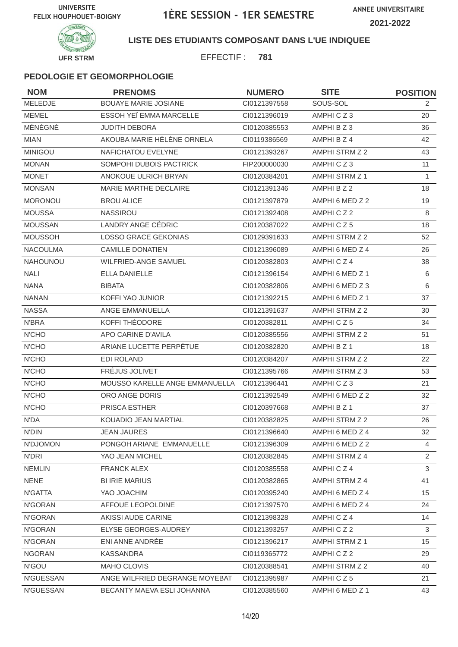

### **LISTE DES ETUDIANTS COMPOSANT DANS L'UE INDIQUEE**

EFFECTIF : **781**

| <b>NOM</b>      | <b>PRENOMS</b>                 | <b>NUMERO</b> | <b>SITE</b>           | <b>POSITION</b> |
|-----------------|--------------------------------|---------------|-----------------------|-----------------|
| MELEDJE         | <b>BOUAYE MARIE JOSIANE</b>    | CI0121397558  | SOUS-SOL              | 2               |
| <b>MEMEL</b>    | ESSOH YEÏ EMMA MARCELLE        | CI0121396019  | AMPHICZ3              | 20              |
| MÉNÉGNÉ         | <b>JUDITH DEBORA</b>           | CI0120385553  | AMPHI B Z 3           | 36              |
| <b>MIAN</b>     | AKOUBA MARIE HÉLÈNE ORNELA     | CI0119386569  | AMPHI B Z 4           | 42              |
| <b>MINIGOU</b>  | NAFICHATOU EVELYNE             | CI0121393267  | AMPHI STRM Z 2        | 43              |
| <b>MONAN</b>    | SOMPOHI DUBOIS PACTRICK        | FIP200000030  | AMPHICZ3              | 11              |
| <b>MONET</b>    | ANOKOUE ULRICH BRYAN           | CI0120384201  | <b>AMPHI STRM Z 1</b> | 1               |
| <b>MONSAN</b>   | MARIE MARTHE DECLAIRE          | CI0121391346  | AMPHI B Z 2           | 18              |
| <b>MORONOU</b>  | <b>BROU ALICE</b>              | CI0121397879  | AMPHI 6 MED Z 2       | 19              |
| <b>MOUSSA</b>   | <b>NASSIROU</b>                | CI0121392408  | AMPHICZ2              | 8               |
| <b>MOUSSAN</b>  | LANDRY ANGE CÉDRIC             | CI0120387022  | AMPHICZ5              | 18              |
| <b>MOUSSOH</b>  | <b>LOSSO GRACE GEKONIAS</b>    | CI0129391633  | AMPHI STRM Z 2        | 52              |
| <b>NACOULMA</b> | <b>CAMILLE DONATIEN</b>        | CI0121396089  | AMPHI 6 MED Z 4       | 26              |
| <b>NAHOUNOU</b> | <b>WILFRIED-ANGE SAMUEL</b>    | CI0120382803  | AMPHICZ4              | 38              |
| <b>NALI</b>     | <b>ELLA DANIELLE</b>           | CI0121396154  | AMPHI 6 MED Z 1       | 6               |
| <b>NANA</b>     | <b>BIBATA</b>                  | CI0120382806  | AMPHI 6 MED Z 3       | 6               |
| <b>NANAN</b>    | KOFFI YAO JUNIOR               | CI0121392215  | AMPHI 6 MED Z 1       | 37              |
| <b>NASSA</b>    | ANGE EMMANUELLA                | CI0121391637  | AMPHI STRM Z 2        | 30              |
| N'BRA           | KOFFI THÉODORE                 | CI0120382811  | AMPHICZ5              | 34              |
| <b>N'CHO</b>    | APO CARINE D'AVILA             | CI0120385556  | AMPHI STRM Z 2        | 51              |
| <b>N'CHO</b>    | ARIANE LUCETTE PERPÉTUE        | CI0120382820  | AMPHI B Z 1           | 18              |
| <b>N'CHO</b>    | <b>EDI ROLAND</b>              | CI0120384207  | AMPHI STRM Z 2        | 22              |
| <b>N'CHO</b>    | FRÉJUS JOLIVET                 | CI0121395766  | AMPHI STRM Z 3        | 53              |
| <b>N'CHO</b>    | MOUSSO KARELLE ANGE EMMANUELLA | CI0121396441  | AMPHICZ3              | 21              |
| N'CHO           | ORO ANGE DORIS                 | CI0121392549  | AMPHI 6 MED Z 2       | 32              |
| <b>N'CHO</b>    | PRISCA ESTHER                  | CI0120397668  | AMPHI B Z 1           | 37              |
| N'DA            | KOUADIO JEAN MARTIAL           | CI0120382825  | AMPHI STRM Z 2        | 26              |
| <b>N'DIN</b>    | <b>JEAN JAURES</b>             | CI0121396640  | AMPHI 6 MED Z 4       | 32              |
| N'DJOMON        | PONGOH ARIANE EMMANUELLE       | CI0121396309  | AMPHI 6 MED Z 2       | $\overline{4}$  |
| N'DRI           | YAO JEAN MICHEL                | CI0120382845  | AMPHI STRM Z 4        | $\overline{2}$  |
| <b>NEMLIN</b>   | <b>FRANCK ALEX</b>             | CI0120385558  | AMPHICZ4              | $\mathbf{3}$    |
| <b>NENE</b>     | <b>BI IRIE MARIUS</b>          | CI0120382865  | AMPHI STRM Z 4        | 41              |
| N'GATTA         | YAO JOACHIM                    | CI0120395240  | AMPHI 6 MED Z 4       | 15              |
| N'GORAN         | AFFOUE LEOPOLDINE              | Cl0121397570  | AMPHI 6 MED Z 4       | 24              |
| N'GORAN         | AKISSI AUDE CARINE             | Cl0121398328  | AMPHICZ4              | 14              |
| N'GORAN         | ELYSE GEORGES-AUDREY           | CI0121393257  | AMPHICZ2              | 3               |
| N'GORAN         | ENI ANNE ANDRÉE                | CI0121396217  | <b>AMPHI STRM Z 1</b> | 15              |
| <b>NGORAN</b>   | <b>KASSANDRA</b>               | CI0119365772  | AMPHICZ2              | 29              |
| N'GOU           | MAHO CLOVIS                    | CI0120388541  | AMPHI STRM Z 2        | 40              |
| N'GUESSAN       | ANGE WILFRIED DEGRANGE MOYEBAT | Cl0121395987  | AMPHICZ5              | 21              |
| N'GUESSAN       | BECANTY MAEVA ESLI JOHANNA     | CI0120385560  | AMPHI 6 MED Z 1       | 43              |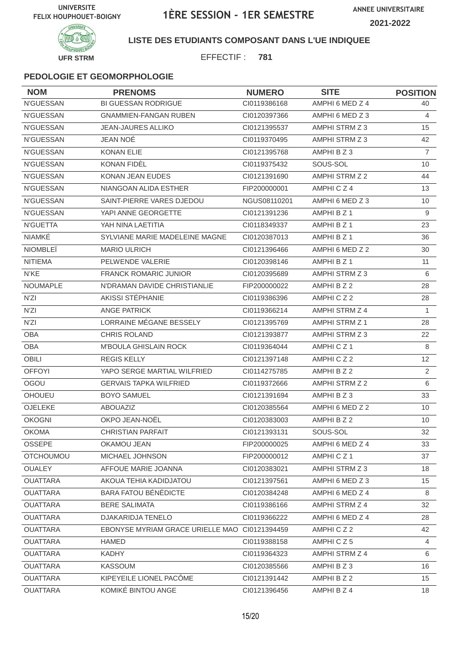



### **LISTE DES ETUDIANTS COMPOSANT DANS L'UE INDIQUEE**

EFFECTIF : **781**

| <b>NOM</b>       | <b>PRENOMS</b>                                | <b>NUMERO</b> | <b>SITE</b>     | <b>POSITION</b> |
|------------------|-----------------------------------------------|---------------|-----------------|-----------------|
| N'GUESSAN        | <b>BI GUESSAN RODRIGUE</b>                    | CI0119386168  | AMPHI 6 MED Z 4 | 40              |
| <b>N'GUESSAN</b> | <b>GNAMMIEN-FANGAN RUBEN</b>                  | CI0120397366  | AMPHI 6 MED Z 3 | 4               |
| <b>N'GUESSAN</b> | <b>JEAN-JAURES ALLIKO</b>                     | CI0121395537  | AMPHI STRM Z 3  | 15              |
| N'GUESSAN        | JEAN NOÉ                                      | CI0119370495  | AMPHI STRM Z 3  | 42              |
| N'GUESSAN        | <b>KONAN ELIE</b>                             | CI0121395768  | AMPHI B Z 3     | $\overline{7}$  |
| N'GUESSAN        | KONAN FIDÈL                                   | CI0119375432  | SOUS-SOL        | 10              |
| <b>N'GUESSAN</b> | <b>KONAN JEAN EUDES</b>                       | CI0121391690  | AMPHI STRM Z 2  | 44              |
| N'GUESSAN        | NIANGOAN ALIDA ESTHER                         | FIP200000001  | AMPHICZ4        | 13              |
| N'GUESSAN        | SAINT-PIERRE VARES DJEDOU                     | NGUS08110201  | AMPHI 6 MED Z 3 | 10              |
| N'GUESSAN        | YAPI ANNE GEORGETTE                           | CI0121391236  | AMPHI B Z 1     | 9               |
| N'GUETTA         | YAH NINA LAETITIA                             | CI0118349337  | AMPHI B Z 1     | 23              |
| NIAMKÉ           | SYLVIANE MARIE MADELEINE MAGNE                | CI0120387013  | AMPHI B Z 1     | 36              |
| <b>NIOMBLEÏ</b>  | <b>MARIO ULRICH</b>                           | CI0121396466  | AMPHI 6 MED Z 2 | 30              |
| <b>NITIEMA</b>   | PELWENDE VALERIE                              | CI0120398146  | AMPHI B Z 1     | 11              |
| N'KE             | <b>FRANCK ROMARIC JUNIOR</b>                  | CI0120395689  | AMPHI STRM Z 3  | 6               |
| NOUMAPLE         | N'DRAMAN DAVIDE CHRISTIANLIE                  | FIP200000022  | AMPHI B Z 2     | 28              |
| N'ZI             | AKISSI STÉPHANIE                              | CI0119386396  | AMPHICZ2        | 28              |
| N'ZI             | <b>ANGE PATRICK</b>                           | CI0119366214  | AMPHI STRM Z 4  | $\mathbf{1}$    |
| N'ZI             | LORRAINE MÉGANE BESSELY                       | CI0121395769  | AMPHI STRM Z 1  | 28              |
| <b>OBA</b>       | <b>CHRIS ROLAND</b>                           | CI0121393877  | AMPHI STRM Z 3  | 22              |
| <b>OBA</b>       | M'BOULA GHISLAIN ROCK                         | CI0119364044  | AMPHICZ1        | 8               |
| <b>OBILI</b>     | <b>REGIS KELLY</b>                            | CI0121397148  | AMPHICZ2        | 12 <sup>2</sup> |
| <b>OFFOYI</b>    | YAPO SERGE MARTIAL WILFRIED                   | CI0114275785  | AMPHI B Z 2     | 2               |
| OGOU             | <b>GERVAIS TAPKA WILFRIED</b>                 | CI0119372666  | AMPHI STRM Z 2  | 6               |
| <b>OHOUEU</b>    | <b>BOYO SAMUEL</b>                            | CI0121391694  | AMPHI B Z 3     | 33              |
| OJELEKE          | <b>ABOUAZIZ</b>                               | CI0120385564  | AMPHI 6 MED Z 2 | 10              |
| <b>OKOGNI</b>    | OKPO JEAN-NOËL                                | CI0120383003  | AMPHI B Z 2     | 10              |
| <b>OKOMA</b>     | CHRISTIAN PARFAIT                             | CI0121393131  | SOUS-SOL        | 32              |
| <b>OSSEPE</b>    | OKAMOU JEAN                                   | FIP200000025  | AMPHI 6 MED Z 4 | 33              |
| <b>OTCHOUMOU</b> | MICHAEL JOHNSON                               | FIP200000012  | AMPHICZ1        | 37              |
| <b>OUALEY</b>    | AFFOUE MARIE JOANNA                           | CI0120383021  | AMPHI STRM Z 3  | 18              |
| <b>OUATTARA</b>  | AKOUA TEHIA KADIDJATOU                        | CI0121397561  | AMPHI 6 MED Z 3 | 15              |
| <b>OUATTARA</b>  | <b>BARA FATOU BÉNÉDICTE</b>                   | CI0120384248  | AMPHI 6 MED Z 4 | 8               |
| <b>OUATTARA</b>  | <b>BERE SALIMATA</b>                          | CI0119386166  | AMPHI STRM Z 4  | 32              |
| <b>OUATTARA</b>  | <b>DJAKARIDJA TENELO</b>                      | CI0119366222  | AMPHI 6 MED Z 4 | 28              |
| <b>OUATTARA</b>  | EBONYSE MYRIAM GRACE URIELLE MAO CI0121394459 |               | AMPHICZ2        | 42              |
| <b>OUATTARA</b>  | <b>HAMED</b>                                  | CI0119388158  | AMPHICZ5        | 4               |
| <b>OUATTARA</b>  | <b>KADHY</b>                                  | CI0119364323  | AMPHI STRM Z 4  | 6               |
| <b>OUATTARA</b>  | <b>KASSOUM</b>                                | CI0120385566  | AMPHI B Z 3     | 16              |
| <b>OUATTARA</b>  | KIPEYEILE LIONEL PACÔME                       | Cl0121391442  | AMPHI B Z 2     | 15              |
| <b>OUATTARA</b>  | KOMIKÉ BINTOU ANGE                            | CI0121396456  | AMPHI B Z 4     | 18              |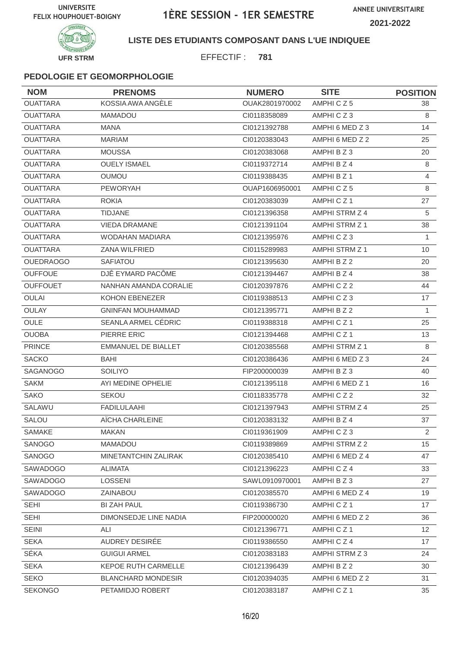

#### **LISTE DES ETUDIANTS COMPOSANT DANS L'UE INDIQUEE**

EFFECTIF : **781**

| <b>NOM</b>       | <b>PRENOMS</b>             | <b>NUMERO</b>  | <b>SITE</b>          | <b>POSITION</b> |
|------------------|----------------------------|----------------|----------------------|-----------------|
| <b>OUATTARA</b>  | KOSSIA AWA ANGÈLE          | OUAK2801970002 | AMPHICZ5             | 38              |
| <b>OUATTARA</b>  | <b>MAMADOU</b>             | CI0118358089   | AMPHICZ3             | 8               |
| <b>OUATTARA</b>  | <b>MANA</b>                | CI0121392788   | AMPHI 6 MED Z 3      | 14              |
| <b>OUATTARA</b>  | <b>MARIAM</b>              | CI0120383043   | AMPHI 6 MED Z 2      | 25              |
| <b>OUATTARA</b>  | <b>MOUSSA</b>              | CI0120383068   | AMPHI B Z 3          | 20              |
| <b>OUATTARA</b>  | <b>OUELY ISMAEL</b>        | CI0119372714   | AMPHI B Z 4          | 8               |
| <b>OUATTARA</b>  | <b>OUMOU</b>               | CI0119388435   | AMPHI B Z 1          | 4               |
| <b>OUATTARA</b>  | <b>PEWORYAH</b>            | OUAP1606950001 | AMPHICZ5             | 8               |
| <b>OUATTARA</b>  | <b>ROKIA</b>               | CI0120383039   | AMPHICZ <sub>1</sub> | 27              |
| <b>OUATTARA</b>  | TIDJANE                    | CI0121396358   | AMPHI STRM Z 4       | 5               |
| <b>OUATTARA</b>  | <b>VIEDA DRAMANE</b>       | Cl0121391104   | AMPHI STRM Z 1       | 38              |
| <b>OUATTARA</b>  | <b>WODAHAN MADIARA</b>     | CI0121395976   | AMPHICZ3             | 1               |
| <b>OUATTARA</b>  | <b>ZANA WILFRIED</b>       | CI0115289983   | AMPHI STRM Z 1       | 10              |
| <b>OUEDRAOGO</b> | <b>SAFIATOU</b>            | CI0121395630   | AMPHI B Z 2          | 20              |
| <b>OUFFOUE</b>   | DJÊ EYMARD PACÔME          | CI0121394467   | AMPHI B Z 4          | 38              |
| <b>OUFFOUET</b>  | NANHAN AMANDA CORALIE      | CI0120397876   | AMPHICZ2             | 44              |
| <b>OULAI</b>     | <b>KOHON EBENEZER</b>      | CI0119388513   | AMPHICZ3             | 17              |
| <b>OULAY</b>     | <b>GNINFAN MOUHAMMAD</b>   | CI0121395771   | AMPHI B Z 2          | $\mathbf{1}$    |
| <b>OULE</b>      | SEANLA ARMEL CÉDRIC        | CI0119388318   | AMPHICZ <sub>1</sub> | 25              |
| <b>OUOBA</b>     | PIERRE ERIC                | CI0121394468   | AMPHICZ1             | 13              |
| <b>PRINCE</b>    | <b>EMMANUEL DE BIALLET</b> | CI0120385568   | AMPHI STRM Z 1       | 8               |
| <b>SACKO</b>     | BAHI                       | CI0120386436   | AMPHI 6 MED Z 3      | 24              |
| <b>SAGANOGO</b>  | <b>SOILIYO</b>             | FIP200000039   | AMPHI B Z 3          | 40              |
| <b>SAKM</b>      | AYI MEDINE OPHELIE         | CI0121395118   | AMPHI 6 MED Z 1      | 16              |
| <b>SAKO</b>      | <b>SEKOU</b>               | CI0118335778   | AMPHICZ2             | 32              |
| SALAWU           | <b>FADILULAAHI</b>         | CI0121397943   | AMPHI STRM Z 4       | 25              |
| SALOU            | AÏCHA CHARLEINE            | CI0120383132   | AMPHI B Z 4          | 37              |
| SAMAKE           | <b>MAKAN</b>               | CI0119361909   | AMPHICZ3             | $\overline{2}$  |
| <b>SANOGO</b>    | <b>MAMADOU</b>             | CI0119389869   | AMPHI STRM Z 2       | 15              |
| SANOGO           | MINETANTCHIN ZALIRAK       | CI0120385410   | AMPHI 6 MED Z 4      | 47              |
| SAWADOGO         | ALIMATA                    | CI0121396223   | AMPHICZ4             | 33              |
| SAWADOGO         | LOSSENI                    | SAWL0910970001 | AMPHI B Z 3          | 27              |
| SAWADOGO         | ZAINABOU                   | CI0120385570   | AMPHI 6 MED Z 4      | 19              |
| <b>SEHI</b>      | <b>BI ZAH PAUL</b>         | CI0119386730   | AMPHICZ1             | 17              |
| <b>SEHI</b>      | DIMONSEDJE LINE NADIA      | FIP200000020   | AMPHI 6 MED Z 2      | 36              |
| <b>SEINI</b>     | ALI                        | CI0121396771   | AMPHICZ1             | 12              |
| <b>SEKA</b>      | AUDREY DESIRÉE             | CI0119386550   | AMPHICZ4             | 17              |
| SÉKA             | <b>GUIGUI ARMEL</b>        | CI0120383183   | AMPHI STRM Z 3       | 24              |
| <b>SEKA</b>      | KEPOE RUTH CARMELLE        | Cl0121396439   | AMPHI B Z 2          | 30              |
| <b>SEKO</b>      | <b>BLANCHARD MONDESIR</b>  | CI0120394035   | AMPHI 6 MED Z 2      | 31              |
| <b>SEKONGO</b>   | PETAMIDJO ROBERT           | CI0120383187   | AMPHICZ1             | 35              |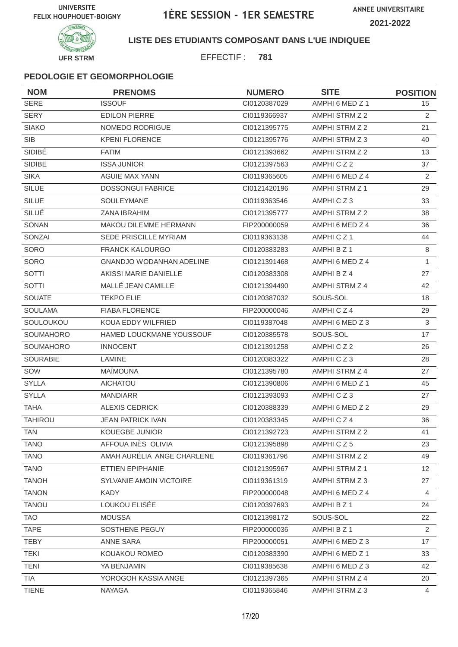

**LISTE DES ETUDIANTS COMPOSANT DANS L'UE INDIQUEE**

EFFECTIF : **781**

| <b>NOM</b>      | <b>PRENOMS</b>                  | <b>NUMERO</b> | <b>SITE</b>     | <b>POSITION</b>   |
|-----------------|---------------------------------|---------------|-----------------|-------------------|
| <b>SERE</b>     | <b>ISSOUF</b>                   | CI0120387029  | AMPHI 6 MED Z 1 | 15                |
| <b>SERY</b>     | <b>EDILON PIERRE</b>            | CI0119366937  | AMPHI STRM Z 2  | 2                 |
| <b>SIAKO</b>    | NOMEDO RODRIGUE                 | CI0121395775  | AMPHI STRM Z 2  | 21                |
| <b>SIB</b>      | <b>KPENI FLORENCE</b>           | CI0121395776  | AMPHI STRM Z 3  | 40                |
| SIDIBÉ          | <b>FATIM</b>                    | CI0121393662  | AMPHI STRM Z 2  | 13                |
| SIDIBE          | <b>ISSA JUNIOR</b>              | CI0121397563  | AMPHICZ2        | 37                |
| <b>SIKA</b>     | <b>AGUIE MAX YANN</b>           | CI0119365605  | AMPHI 6 MED Z 4 | 2                 |
| <b>SILUE</b>    | <b>DOSSONGUI FABRICE</b>        | Cl0121420196  | AMPHI STRM Z 1  | 29                |
| <b>SILUE</b>    | <b>SOULEYMANE</b>               | CI0119363546  | AMPHICZ3        | 33                |
| SILUÉ           | ZANA IBRAHIM                    | CI0121395777  | AMPHI STRM Z 2  | 38                |
| SONAN           | <b>MAKOU DILEMME HERMANN</b>    | FIP200000059  | AMPHI 6 MED Z 4 | 36                |
| SONZAI          | SEDE PRISCILLE MYRIAM           | CI0119363138  | AMPHICZ1        | 44                |
| <b>SORO</b>     | <b>FRANCK KALOURGO</b>          | CI0120383283  | AMPHI B Z 1     | 8                 |
| SORO            | <b>GNANDJO WODANHAN ADELINE</b> | CI0121391468  | AMPHI 6 MED Z 4 | $\mathbf{1}$      |
| SOTTI           | AKISSI MARIE DANIELLE           | CI0120383308  | AMPHI B Z 4     | 27                |
| SOTTI           | MALLÉ JEAN CAMILLE              | CI0121394490  | AMPHI STRM Z 4  | 42                |
| <b>SOUATE</b>   | <b>TEKPO ELIE</b>               | CI0120387032  | SOUS-SOL        | 18                |
| <b>SOULAMA</b>  | <b>FIABA FLORENCE</b>           | FIP200000046  | AMPHICZ4        | 29                |
| SOULOUKOU       | KOUA EDDY WILFRIED              | CI0119387048  | AMPHI 6 MED Z 3 | 3                 |
| SOUMAHORO       | HAMED LOUCKMANE YOUSSOUF        | CI0120385578  | SOUS-SOL        | 17                |
| SOUMAHORO       | <b>INNOCENT</b>                 | CI0121391258  | AMPHICZ2        | 26                |
| <b>SOURABIE</b> | <b>LAMINE</b>                   | CI0120383322  | AMPHICZ3        | 28                |
| SOW             | <b>MAÏMOUNA</b>                 | CI0121395780  | AMPHI STRM Z 4  | 27                |
| <b>SYLLA</b>    | AICHATOU                        | CI0121390806  | AMPHI 6 MED Z 1 | 45                |
| <b>SYLLA</b>    | <b>MANDIARR</b>                 | CI0121393093  | AMPHICZ3        | 27                |
| <b>TAHA</b>     | <b>ALEXIS CEDRICK</b>           | CI0120388339  | AMPHI 6 MED Z 2 | 29                |
| <b>TAHIROU</b>  | <b>JEAN PATRICK IVAN</b>        | CI0120383345  | AMPHICZ4        | 36                |
| <b>TAN</b>      | KOUEGBE JUNIOR                  | Cl0121392723  | AMPHI STRM Z 2  | 41                |
| <b>TANO</b>     | AFFOUA INÈS OLIVIA              | CI0121395898  | AMPHICZ5        | 23                |
| <b>TANO</b>     | AMAH AURELIA ANGE CHARLENE      | CI0119361796  | AMPHI STRM Z 2  | 49                |
| <b>TANO</b>     | ETTIEN EPIPHANIE                | CI0121395967  | AMPHI STRM Z 1  | $12 \overline{ }$ |
| <b>TANOH</b>    | <b>SYLVANIE AMOIN VICTOIRE</b>  | CI0119361319  | AMPHI STRM Z 3  | 27                |
| <b>TANON</b>    | KADY                            | FIP200000048  | AMPHI 6 MED Z 4 | 4                 |
| <b>TANOU</b>    | LOUKOU ELISÉE                   | CI0120397693  | AMPHI B Z 1     | 24                |
| <b>TAO</b>      | <b>MOUSSA</b>                   | Cl0121398172  | SOUS-SOL        | 22                |
| <b>TAPE</b>     | SOSTHENE PEGUY                  | FIP200000036  | AMPHI B Z 1     | $\overline{2}$    |
| <b>TEBY</b>     | ANNE SARA                       | FIP200000051  | AMPHI 6 MED Z 3 | 17                |
| <b>TEKI</b>     | KOUAKOU ROMEO                   | CI0120383390  | AMPHI 6 MED Z 1 | 33                |
| <b>TENI</b>     | YA BENJAMIN                     | CI0119385638  | AMPHI 6 MED Z 3 | 42                |
| <b>TIA</b>      | YOROGOH KASSIA ANGE             | CI0121397365  | AMPHI STRM Z 4  | 20                |
| <b>TIENE</b>    | <b>NAYAGA</b>                   | CI0119365846  | AMPHI STRM Z 3  | $\overline{4}$    |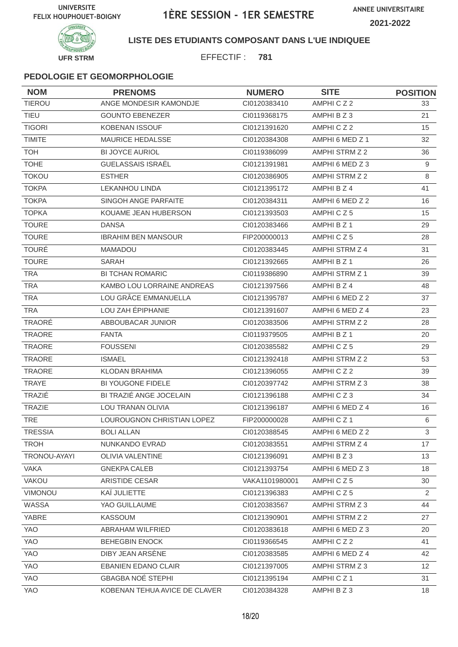

### **LISTE DES ETUDIANTS COMPOSANT DANS L'UE INDIQUEE**

EFFECTIF : **781**

| <b>NOM</b>     | <b>PRENOMS</b>                | <b>NUMERO</b>  | <b>SITE</b>           | <b>POSITION</b> |
|----------------|-------------------------------|----------------|-----------------------|-----------------|
| <b>TIEROU</b>  | ANGE MONDESIR KAMONDJE        | CI0120383410   | AMPHICZ2              | 33              |
| <b>TIEU</b>    | <b>GOUNTO EBENEZER</b>        | CI0119368175   | AMPHI B Z 3           | 21              |
| <b>TIGORI</b>  | <b>KOBENAN ISSOUF</b>         | CI0121391620   | AMPHICZ2              | 15              |
| <b>TIMITE</b>  | <b>MAURICE HEDALSSE</b>       | CI0120384308   | AMPHI 6 MED Z 1       | 32              |
| <b>TOH</b>     | <b>BI JOYCE AURIOL</b>        | CI0119386099   | AMPHI STRM Z 2        | 36              |
| <b>TOHE</b>    | <b>GUELASSAIS ISRAËL</b>      | CI0121391981   | AMPHI 6 MED Z 3       | 9               |
| <b>TOKOU</b>   | <b>ESTHER</b>                 | CI0120386905   | AMPHI STRM Z 2        | 8               |
| <b>TOKPA</b>   | <b>LEKANHOU LINDA</b>         | CI0121395172   | AMPHI B Z 4           | 41              |
| <b>TOKPA</b>   | SINGOH ANGE PARFAITE          | CI0120384311   | AMPHI 6 MED Z 2       | 16              |
| <b>TOPKA</b>   | KOUAME JEAN HUBERSON          | CI0121393503   | AMPHICZ5              | 15              |
| <b>TOURE</b>   | <b>DANSA</b>                  | CI0120383466   | AMPHI B Z 1           | 29              |
| <b>TOURE</b>   | <b>IBRAHIM BEN MANSOUR</b>    | FIP200000013   | AMPHICZ5              | 28              |
| <b>TOURE</b>   | <b>MAMADOU</b>                | CI0120383445   | AMPHI STRM Z 4        | 31              |
| <b>TOURE</b>   | SARAH                         | CI0121392665   | AMPHI B Z 1           | 26              |
| <b>TRA</b>     | <b>BI TCHAN ROMARIC</b>       | CI0119386890   | <b>AMPHI STRM Z 1</b> | 39              |
| <b>TRA</b>     | KAMBO LOU LORRAINE ANDREAS    | CI0121397566   | AMPHI B Z 4           | 48              |
| <b>TRA</b>     | LOU GRÂCE EMMANUELLA          | CI0121395787   | AMPHI 6 MED Z 2       | 37              |
| <b>TRA</b>     | LOU ZAH ÉPIPHANIE             | CI0121391607   | AMPHI 6 MED Z 4       | 23              |
| <b>TRAORÉ</b>  | ABBOUBACAR JUNIOR             | CI0120383506   | AMPHI STRM Z 2        | 28              |
| TRAORE         | <b>FANTA</b>                  | CI0119379505   | AMPHI B Z 1           | 20              |
| <b>TRAORE</b>  | <b>FOUSSENI</b>               | CI0120385582   | AMPHICZ5              | 29              |
| <b>TRAORE</b>  | <b>ISMAEL</b>                 | CI0121392418   | AMPHI STRM Z 2        | 53              |
| <b>TRAORE</b>  | <b>KLODAN BRAHIMA</b>         | CI0121396055   | AMPHICZ2              | 39              |
| TRAYE          | <b>BI YOUGONE FIDELE</b>      | CI0120397742   | AMPHI STRM Z 3        | 38              |
| TRAZIÉ         | BI TRAZIÉ ANGE JOCELAIN       | CI0121396188   | AMPHICZ3              | 34              |
| <b>TRAZIE</b>  | LOU TRANAN OLIVIA             | CI0121396187   | AMPHI 6 MED Z 4       | 16              |
| <b>TRE</b>     | LOUROUGNON CHRISTIAN LOPEZ    | FIP200000028   | AMPHICZ1              | 6               |
| <b>TRESSIA</b> | <b>BOLI ALLAN</b>             | CI0120388545   | AMPHI 6 MED Z 2       | $\mathbf{3}$    |
| <b>TROH</b>    | NUNKANDO EVRAD                | CI0120383551   | AMPHI STRM Z 4        | 17              |
| TRONOU-AYAYI   | <b>OLIVIA VALENTINE</b>       | CI0121396091   | AMPHI B Z 3           | 13              |
| <b>VAKA</b>    | <b>GNEKPA CALEB</b>           | CI0121393754   | AMPHI 6 MED Z 3       | 18              |
| <b>VAKOU</b>   | ARISTIDE CESAR                | VAKA1101980001 | AMPHICZ5              | 30              |
| VIMONOU        | KAÏ JULIETTE                  | Cl0121396383   | AMPHICZ5              | 2               |
| WASSA          | YAO GUILLAUME                 | CI0120383567   | AMPHI STRM Z 3        | 44              |
| YABRE          | KASSOUM                       | Cl0121390901   | AMPHI STRM Z 2        | 27              |
| YAO            | ABRAHAM WILFRIED              | CI0120383618   | AMPHI 6 MED Z 3       | 20              |
| YAO            | <b>BEHEGBIN ENOCK</b>         | CI0119366545   | AMPHICZ2              | 41              |
| YAO            | DIBY JEAN ARSENE              | CI0120383585   | AMPHI 6 MED Z 4       | 42              |
| <b>YAO</b>     | <b>EBANIEN EDANO CLAIR</b>    | CI0121397005   | AMPHI STRM Z 3        | 12              |
| YAO            | <b>GBAGBA NOÉ STEPHI</b>      | Cl0121395194   | AMPHICZ1              | 31              |
| YAO            | KOBENAN TEHUA AVICE DE CLAVER | CI0120384328   | AMPHI B Z 3           | 18              |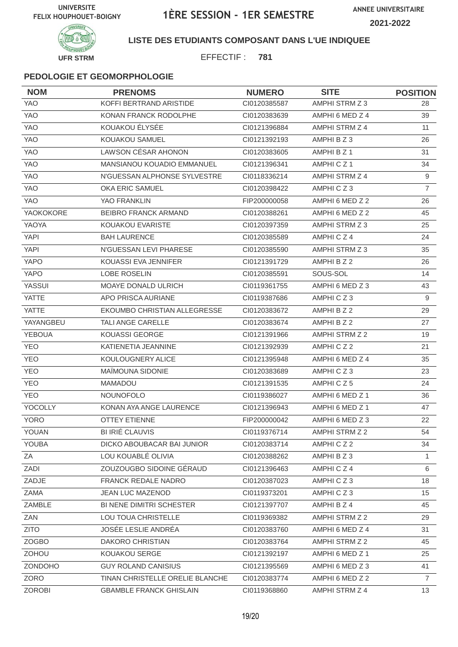



### **LISTE DES ETUDIANTS COMPOSANT DANS L'UE INDIQUEE**

EFFECTIF : **781**

| <b>NOM</b>    | <b>PRENOMS</b>                  | <b>NUMERO</b> | <b>SITE</b>     | <b>POSITION</b> |
|---------------|---------------------------------|---------------|-----------------|-----------------|
| YAO           | KOFFI BERTRAND ARISTIDE         | CI0120385587  | AMPHI STRM Z 3  | 28              |
| <b>YAO</b>    | KONAN FRANCK RODOLPHE           | CI0120383639  | AMPHI 6 MED Z 4 | 39              |
| <b>YAO</b>    | KOUAKOU ÉLYSÉE                  | CI0121396884  | AMPHI STRM Z 4  | 11              |
| <b>YAO</b>    | KOUAKOU SAMUEL                  | CI0121392193  | AMPHIBZ3        | 26              |
| YAO           | LAWSON CÉSAR AHONON             | CI0120383605  | AMPHI B Z 1     | 31              |
| <b>YAO</b>    | MANSIANOU KOUADIO EMMANUEL      | CI0121396341  | AMPHICZ1        | 34              |
| <b>YAO</b>    | N'GUESSAN ALPHONSE SYLVESTRE    | CI0118336214  | AMPHI STRM Z 4  | 9               |
| YAO           | <b>OKA ERIC SAMUEL</b>          | CI0120398422  | AMPHICZ3        | $\overline{7}$  |
| <b>YAO</b>    | <b>YAO FRANKLIN</b>             | FIP200000058  | AMPHI 6 MED Z 2 | 26              |
| YAOKOKORE     | BEIBRO FRANCK ARMAND            | CI0120388261  | AMPHI 6 MED Z 2 | 45              |
| YAOYA         | KOUAKOU EVARISTE                | Cl0120397359  | AMPHI STRM Z 3  | 25              |
| <b>YAPI</b>   | <b>BAH LAURENCE</b>             | CI0120385589  | AMPHICZ4        | 24              |
| <b>YAPI</b>   | N'GUESSAN LEVI PHARESE          | CI0120385590  | AMPHI STRM Z 3  | 35              |
| <b>YAPO</b>   | KOUASSI EVA JENNIFER            | CI0121391729  | AMPHI B Z 2     | 26              |
| <b>YAPO</b>   | LOBE ROSELIN                    | CI0120385591  | SOUS-SOL        | 14              |
| YASSUI        | <b>MOAYE DONALD ULRICH</b>      | CI0119361755  | AMPHI 6 MED Z 3 | 43              |
| <b>YATTE</b>  | APO PRISCA AURIANE              | CI0119387686  | AMPHICZ3        | 9               |
| <b>YATTE</b>  | EKOUMBO CHRISTIAN ALLEGRESSE    | CI0120383672  | AMPHI B Z 2     | 29              |
| YAYANGBEU     | TALI ANGE CARELLE               | CI0120383674  | AMPHI B Z 2     | 27              |
| <b>YEBOUA</b> | KOUASSI GEORGE                  | CI0121391966  | AMPHI STRM Z 2  | 19              |
| <b>YEO</b>    | KATIENETIA JEANNINE             | CI0121392939  | AMPHICZ2        | 21              |
| <b>YEO</b>    | KOULOUGNERY ALICE               | CI0121395948  | AMPHI 6 MED Z 4 | 35              |
| <b>YEO</b>    | MAÏMOUNA SIDONIE                | CI0120383689  | AMPHICZ3        | 23              |
| <b>YEO</b>    | <b>MAMADOU</b>                  | CI0121391535  | AMPHICZ5        | 24              |
| <b>YEO</b>    | <b>NOUNOFOLO</b>                | CI0119386027  | AMPHI 6 MED Z 1 | 36              |
| YOCOLLY       | KONAN AYA ANGE LAURENCE         | CI0121396943  | AMPHI 6 MED Z 1 | 47              |
| <b>YORO</b>   | <b>OTTEY ETIENNE</b>            | FIP200000042  | AMPHI 6 MED Z 3 | 22              |
| YOUAN         | <b>BI IRIÉ CLAUVIS</b>          | CI0119376714  | AMPHI STRM Z 2  | 54              |
| YOUBA         | DICKO ABOUBACAR BAI JUNIOR      | Cl0120383714  | AMPHICZ2        | 34              |
| ΖA            | LOU KOUABLÉ OLIVIA              | CI0120388262  | AMPHI B Z 3     | 1.              |
| ZADI          | ZOUZOUGBO SIDOINE GÉRAUD        | CI0121396463  | AMPHICZ4        | 6               |
| ZADJE         | FRANCK REDALE NADRO             | CI0120387023  | AMPHICZ3        | 18              |
| ZAMA          | <b>JEAN LUC MAZENOD</b>         | CI0119373201  | AMPHICZ3        | 15              |
| ZAMBLE        | BI NENE DIMITRI SCHESTER        | Cl0121397707  | AMPHI B Z 4     | 45              |
| ZAN           | LOU TOUA CHRISTELLE             | CI0119369382  | AMPHI STRM Z 2  | 29              |
| <b>ZITO</b>   | JOSÉE LESLIE ANDRÉA             | CI0120383760  | AMPHI 6 MED Z 4 | 31              |
| <b>ZOGBO</b>  | DAKORO CHRISTIAN                | CI0120383764  | AMPHI STRM Z 2  | 45              |
| ZOHOU         | KOUAKOU SERGE                   | CI0121392197  | AMPHI 6 MED Z 1 | 25              |
| ZONDOHO       | <b>GUY ROLAND CANISIUS</b>      | CI0121395569  | AMPHI 6 MED Z 3 | 41              |
| ZORO          | TINAN CHRISTELLE ORELIE BLANCHE | CI0120383774  | AMPHI 6 MED Z 2 | $\overline{7}$  |
| ZOROBI        | <b>GBAMBLE FRANCK GHISLAIN</b>  | CI0119368860  | AMPHI STRM Z 4  | 13              |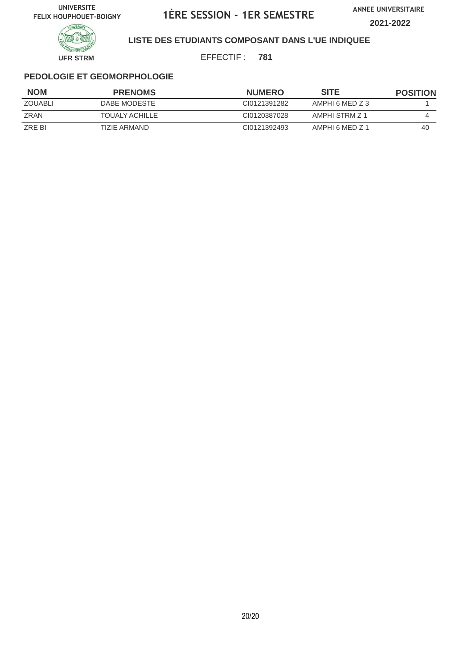**ANNEE UNIVERSITAIRE 2021-2022**



**LISTE DES ETUDIANTS COMPOSANT DANS L'UE INDIQUEE**

EFFECTIF : **781**

| <b>NOM</b>     | <b>PRENOMS</b>        | <b>NUMERO</b> | <b>SITE</b>     | <b>POSITION</b> |
|----------------|-----------------------|---------------|-----------------|-----------------|
| <b>ZOUABLI</b> | DABE MODESTE          | CI0121391282  | AMPHI 6 MED Z 3 |                 |
| ZRAN           | <b>TOUALY ACHILLE</b> | CI0120387028  | AMPHI STRM Z 1  |                 |
| ZRE BI         | TIZIE ARMAND          | CI0121392493  | AMPHI 6 MFD Z 1 | 40              |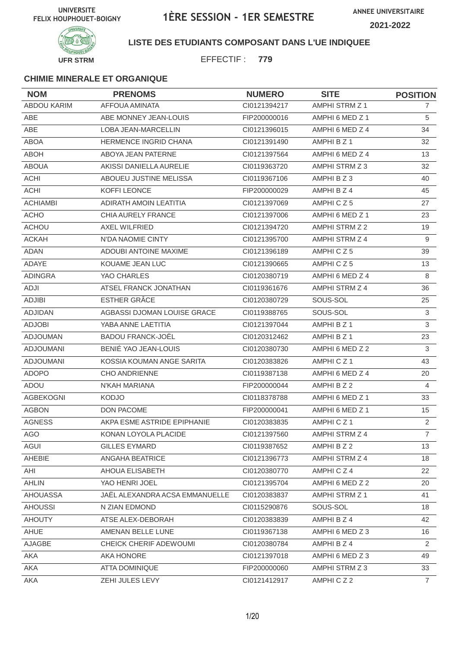

### **LISTE DES ETUDIANTS COMPOSANT DANS L'UE INDIQUEE**

EFFECTIF : **779**

| <b>NOM</b>         | <b>PRENOMS</b>                 | <b>NUMERO</b> | <b>SITE</b>     | <b>POSITION</b> |
|--------------------|--------------------------------|---------------|-----------------|-----------------|
| <b>ABDOU KARIM</b> | AFFOUA AMINATA                 | CI0121394217  | AMPHI STRM Z 1  | $\mathbf{7}$    |
| <b>ABE</b>         | ABE MONNEY JEAN-LOUIS          | FIP200000016  | AMPHI 6 MED Z 1 | 5               |
| <b>ABE</b>         | <b>LOBA JEAN-MARCELLIN</b>     | CI0121396015  | AMPHI 6 MED Z 4 | 34              |
| <b>ABOA</b>        | <b>HERMENCE INGRID CHANA</b>   | CI0121391490  | AMPHI B Z 1     | 32              |
| <b>ABOH</b>        | ABOYA JEAN PATERNE             | CI0121397564  | AMPHI 6 MED Z 4 | 13              |
| <b>ABOUA</b>       | AKISSI DANIELLA AURELIE        | CI0119363720  | AMPHI STRM Z 3  | 32              |
| <b>ACHI</b>        | ABOUEU JUSTINE MELISSA         | CI0119367106  | AMPHI B Z 3     | 40              |
| <b>ACHI</b>        | KOFFI LEONCE                   | FIP200000029  | AMPHI B Z 4     | 45              |
| <b>ACHIAMBI</b>    | ADIRATH AMOIN LEATITIA         | CI0121397069  | AMPHICZ5        | 27              |
| <b>ACHO</b>        | CHIA AURELY FRANCE             | CI0121397006  | AMPHI 6 MED Z 1 | 23              |
| <b>ACHOU</b>       | <b>AXEL WILFRIED</b>           | CI0121394720  | AMPHI STRM Z 2  | 19              |
| <b>ACKAH</b>       | N'DA NAOMIE CINTY              | CI0121395700  | AMPHI STRM Z 4  | 9               |
| <b>ADAN</b>        | <b>ADOUBI ANTOINE MAXIME</b>   | CI0121396189  | AMPHICZ5        | 39              |
| ADAYE              | KOUAME JEAN LUC                | CI0121390665  | AMPHICZ5        | 13              |
| <b>ADINGRA</b>     | YAO CHARLES                    | CI0120380719  | AMPHI 6 MED Z 4 | 8               |
| <b>ADJI</b>        | ATSEL FRANCK JONATHAN          | CI0119361676  | AMPHI STRM Z 4  | 36              |
| <b>ADJIBI</b>      | ESTHER GRÂCE                   | CI0120380729  | SOUS-SOL        | 25              |
| <b>ADJIDAN</b>     | AGBASSI DJOMAN LOUISE GRACE    | CI0119388765  | SOUS-SOL        | $\mathfrak{S}$  |
| <b>ADJOBI</b>      | YABA ANNE LAETITIA             | CI0121397044  | AMPHI B Z 1     | 3               |
| <b>ADJOUMAN</b>    | <b>BADOU FRANCK-JOËL</b>       | CI0120312462  | AMPHI B Z 1     | 23              |
| <b>ADJOUMANI</b>   | BENIÉ YAO JEAN-LOUIS           | CI0120380730  | AMPHI 6 MED Z 2 | 3               |
| <b>ADJOUMANI</b>   | KOSSIA KOUMAN ANGE SARITA      | CI0120383826  | AMPHICZ1        | 43              |
| <b>ADOPO</b>       | <b>CHO ANDRIENNE</b>           | CI0119387138  | AMPHI 6 MED Z 4 | 20              |
| <b>ADOU</b>        | N'KAH MARIANA                  | FIP200000044  | AMPHI B Z 2     | 4               |
| <b>AGBEKOGNI</b>   | <b>KODJO</b>                   | CI0118378788  | AMPHI 6 MED Z 1 | 33              |
| <b>AGBON</b>       | DON PACOME                     | FIP200000041  | AMPHI 6 MED Z 1 | 15              |
| <b>AGNESS</b>      | AKPA ESME ASTRIDE EPIPHANIE    | CI0120383835  | AMPHICZ1        | 2               |
| AGO                | KONAN LOYOLA PLACIDE           | Cl0121397560  | AMPHI STRM Z 4  | $\overline{7}$  |
| <b>AGUI</b>        | <b>GILLES EYMARD</b>           | CI0119387652  | AMPHI B Z 2     | 13              |
| AHEBIE             | ANGAHA BEATRICE                | CI0121396773  | AMPHI STRM Z 4  | 18              |
| AHI                | AHOUA ELISABETH                | Cl0120380770  | AMPHICZ4        | 22              |
| <b>AHLIN</b>       | YAO HENRI JOEL                 | Cl0121395704  | AMPHI 6 MED Z 2 | 20              |
| AHOUASSA           | JAËL ALEXANDRA ACSA EMMANUELLE | CI0120383837  | AMPHI STRM Z 1  | 41              |
| <b>AHOUSSI</b>     | N ZIAN EDMOND                  | CI0115290876  | SOUS-SOL        | 18              |
| <b>AHOUTY</b>      | ATSE ALEX-DEBORAH              | CI0120383839  | AMPHI B Z 4     | 42              |
| AHUE               | AMENAN BELLE LUNE              | CI0119367138  | AMPHI 6 MED Z 3 | 16              |
| AJAGBE             | CHEICK CHERIF ADEWOUMI         | CI0120380784  | AMPHI B Z 4     | $\overline{2}$  |
| AKA                | AKA HONORE                     | Cl0121397018  | AMPHI 6 MED Z 3 | 49              |
| AKA                | ATTA DOMINIQUE                 | FIP200000060  | AMPHI STRM Z 3  | 33              |
| AKA                | ZEHI JULES LEVY                | Cl0121412917  | AMPHICZ2        | $\overline{7}$  |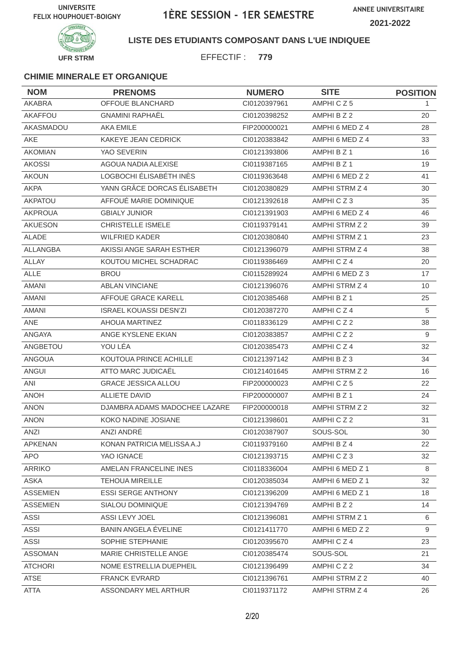

### **LISTE DES ETUDIANTS COMPOSANT DANS L'UE INDIQUEE**

EFFECTIF : **779**

| <b>NOM</b>      | <b>PRENOMS</b>                | <b>NUMERO</b> | <b>SITE</b>           | <b>POSITION</b> |
|-----------------|-------------------------------|---------------|-----------------------|-----------------|
| <b>AKABRA</b>   | <b>OFFOUE BLANCHARD</b>       | CI0120397961  | AMPHICZ5              | 1               |
| AKAFFOU         | <b>GNAMINI RAPHAËL</b>        | CI0120398252  | AMPHI B Z 2           | 20              |
| AKASMADOU       | <b>AKA EMILE</b>              | FIP200000021  | AMPHI 6 MED Z 4       | 28              |
| <b>AKE</b>      | KAKEYE JEAN CEDRICK           | CI0120383842  | AMPHI 6 MED Z 4       | 33              |
| <b>AKOMIAN</b>  | YAO SEVERIN                   | CI0121393806  | AMPHI B Z 1           | 16              |
| <b>AKOSSI</b>   | AGOUA NADIA ALEXISE           | CI0119387165  | AMPHI B Z 1           | 19              |
| <b>AKOUN</b>    | LOGBOCHI ÉLISABÉTH INÈS       | CI0119363648  | AMPHI 6 MED Z 2       | 41              |
| <b>AKPA</b>     | YANN GRÂCE DORCAS ÉLISABETH   | CI0120380829  | AMPHI STRM Z 4        | 30              |
| <b>AKPATOU</b>  | AFFOUÉ MARIE DOMINIQUE        | CI0121392618  | AMPHICZ3              | 35              |
| <b>AKPROUA</b>  | <b>GBIALY JUNIOR</b>          | CI0121391903  | AMPHI 6 MED Z 4       | 46              |
| <b>AKUESON</b>  | <b>CHRISTELLE ISMELE</b>      | CI0119379141  | AMPHI STRM Z 2        | 39              |
| <b>ALADE</b>    | <b>WILFRIED KADER</b>         | CI0120380840  | AMPHI STRM Z 1        | 23              |
| ALLANGBA        | AKISSI ANGE SARAH ESTHER      | CI0121396079  | AMPHI STRM Z 4        | 38              |
| <b>ALLAY</b>    | KOUTOU MICHEL SCHADRAC        | CI0119386469  | AMPHICZ4              | 20              |
| <b>ALLE</b>     | <b>BROU</b>                   | CI0115289924  | AMPHI 6 MED Z 3       | 17              |
| <b>AMANI</b>    | <b>ABLAN VINCIANE</b>         | CI0121396076  | AMPHI STRM Z 4        | 10              |
| <b>AMANI</b>    | AFFOUE GRACE KARELL           | CI0120385468  | AMPHI B Z 1           | 25              |
| <b>AMANI</b>    | <b>ISRAEL KOUASSI DESN'ZI</b> | CI0120387270  | AMPHICZ4              | 5               |
| ANE             | AHOUA MARTINEZ                | CI0118336129  | AMPHICZ2              | 38              |
| ANGAYA          | ANGE KYSLENE EKIAN            | CI0120383857  | AMPHICZ2              | 9               |
| ANGBETOU        | YOU LÉA                       | CI0120385473  | AMPHICZ4              | 32              |
| <b>ANGOUA</b>   | KOUTOUA PRINCE ACHILLE        | CI0121397142  | AMPHI B Z 3           | 34              |
| <b>ANGUI</b>    | ATTO MARC JUDICAËL            | CI0121401645  | AMPHI STRM Z 2        | 16              |
| ANI             | <b>GRACE JESSICA ALLOU</b>    | FIP200000023  | AMPHICZ5              | 22              |
| <b>ANOH</b>     | <b>ALLIETE DAVID</b>          | FIP200000007  | AMPHI B Z 1           | 24              |
| <b>ANON</b>     | DJAMBRA ADAMS MADOCHEE LAZARE | FIP200000018  | AMPHI STRM Z 2        | 32              |
| <b>ANON</b>     | KOKO NADINE JOSIANE           | CI0121398601  | AMPHICZ2              | 31              |
| ANZI            | ANZI ANDRÉ                    | CI0120387907  | SOUS-SOL              | 30              |
| APKENAN         | KONAN PATRICIA MELISSA A.J    | CI0119379160  | AMPHI B Z 4           | 22              |
| APO             | YAO IGNACE                    | CI0121393715  | AMPHICZ3              | 32              |
| <b>ARRIKO</b>   | AMELAN FRANCELINE INES        | CI0118336004  | AMPHI 6 MED Z 1       | 8               |
| ASKA            | <b>TEHOUA MIREILLE</b>        | CI0120385034  | AMPHI 6 MED Z 1       | 32              |
| <b>ASSEMIEN</b> | <b>ESSI SERGE ANTHONY</b>     | CI0121396209  | AMPHI 6 MED Z 1       | 18              |
| <b>ASSEMIEN</b> | SIALOU DOMINIQUE              | CI0121394769  | AMPHI B Z 2           | 14              |
| ASSI            | ASSI LEVY JOEL                | CI0121396081  | <b>AMPHI STRM Z 1</b> | 6               |
| ASSI            | BANIN ANGELA ÉVELINE          | CI0121411770  | AMPHI 6 MED Z 2       | 9               |
| <b>ASSI</b>     | SOPHIE STEPHANIE              | CI0120395670  | AMPHICZ4              | 23              |
| <b>ASSOMAN</b>  | MARIE CHRISTELLE ANGE         | CI0120385474  | SOUS-SOL              | 21              |
| <b>ATCHORI</b>  | NOME ESTRELLIA DUEPHEIL       | CI0121396499  | AMPHICZ2              | 34              |
| <b>ATSE</b>     | <b>FRANCK EVRARD</b>          | CI0121396761  | AMPHI STRM Z 2        | 40              |
| <b>ATTA</b>     | ASSONDARY MEL ARTHUR          | CI0119371172  | AMPHI STRM Z 4        | 26              |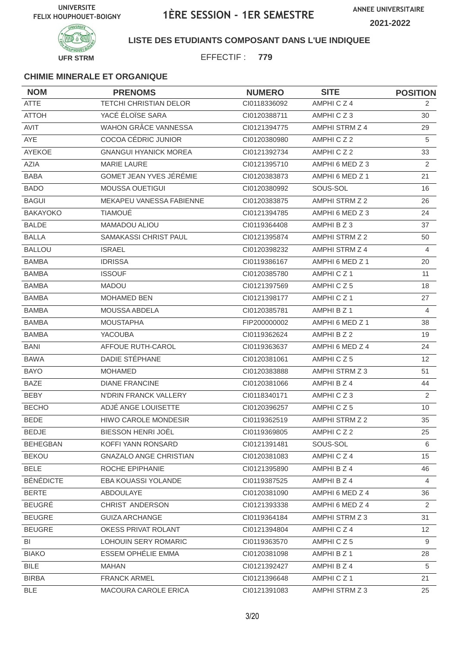

### **LISTE DES ETUDIANTS COMPOSANT DANS L'UE INDIQUEE**

EFFECTIF : **779**

| <b>NOM</b>       | <b>PRENOMS</b>                | <b>NUMERO</b> | <b>SITE</b>          | <b>POSITION</b> |
|------------------|-------------------------------|---------------|----------------------|-----------------|
| <b>ATTE</b>      | <b>TETCHI CHRISTIAN DELOR</b> | CI0118336092  | AMPHICZ4             | 2               |
| <b>ATTOH</b>     | YACÉ ÉLOÏSE SARA              | CI0120388711  | AMPHICZ3             | 30              |
| <b>AVIT</b>      | <b>WAHON GRÂCE VANNESSA</b>   | CI0121394775  | AMPHI STRM Z 4       | 29              |
| AYE              | COCOA CÉDRIC JUNIOR           | CI0120380980  | AMPHICZ2             | 5               |
| AYEKOE           | <b>GNANGUI HYANICK MOREA</b>  | CI0121392734  | AMPHICZ2             | 33              |
| <b>AZIA</b>      | <b>MARIE LAURE</b>            | CI0121395710  | AMPHI 6 MED Z 3      | 2               |
| <b>BABA</b>      | GOMET JEAN YVES JÉRÉMIE       | CI0120383873  | AMPHI 6 MED Z 1      | 21              |
| <b>BADO</b>      | <b>MOUSSA OUETIGUI</b>        | CI0120380992  | SOUS-SOL             | 16              |
| <b>BAGUI</b>     | MEKAPEU VANESSA FABIENNE      | CI0120383875  | AMPHI STRM Z 2       | 26              |
| <b>BAKAYOKO</b>  | <b>TIAMOUÉ</b>                | CI0121394785  | AMPHI 6 MED Z 3      | 24              |
| <b>BALDE</b>     | MAMADOU ALIOU                 | CI0119364408  | AMPHI B Z 3          | 37              |
| <b>BALLA</b>     | SAMAKASSI CHRIST PAUL         | CI0121395874  | AMPHI STRM Z 2       | 50              |
| <b>BALLOU</b>    | <b>ISRAEL</b>                 | CI0120398232  | AMPHI STRM Z 4       | 4               |
| <b>BAMBA</b>     | <b>IDRISSA</b>                | CI0119386167  | AMPHI 6 MED Z 1      | 20              |
| <b>BAMBA</b>     | <b>ISSOUF</b>                 | CI0120385780  | AMPHICZ <sub>1</sub> | 11              |
| <b>BAMBA</b>     | <b>MADOU</b>                  | CI0121397569  | AMPHICZ5             | 18              |
| <b>BAMBA</b>     | <b>MOHAMED BEN</b>            | Cl0121398177  | AMPHICZ1             | 27              |
| <b>BAMBA</b>     | MOUSSA ABDELA                 | CI0120385781  | AMPHI B Z 1          | 4               |
| <b>BAMBA</b>     | <b>MOUSTAPHA</b>              | FIP200000002  | AMPHI 6 MED Z 1      | 38              |
| <b>BAMBA</b>     | YACOUBA                       | CI0119362624  | AMPHI B Z 2          | 19              |
| <b>BANI</b>      | AFFOUE RUTH-CAROL             | CI0119363637  | AMPHI 6 MED Z 4      | 24              |
| <b>BAWA</b>      | DADIE STÉPHANE                | CI0120381061  | AMPHICZ5             | 12 <sup>2</sup> |
| <b>BAYO</b>      | <b>MOHAMED</b>                | CI0120383888  | AMPHI STRM Z 3       | 51              |
| <b>BAZE</b>      | <b>DIANE FRANCINE</b>         | CI0120381066  | AMPHI B Z 4          | 44              |
| <b>BEBY</b>      | N'DRIN FRANCK VALLERY         | CI0118340171  | AMPHICZ3             | 2               |
| <b>BECHO</b>     | ADJÉ ANGE LOUISETTE           | CI0120396257  | AMPHICZ5             | 10              |
| <b>BEDE</b>      | <b>HIWO CAROLE MONDESIR</b>   | CI0119362519  | AMPHI STRM Z 2       | 35              |
| BEDJE            | BIESSON HENRI JOËL            | CI0119369805  | AMPHICZ2             | 25              |
| <b>BEHEGBAN</b>  | KOFFI YANN RONSARD            | CI0121391481  | SOUS-SOL             | 6               |
| <b>BEKOU</b>     | <b>GNAZALO ANGE CHRISTIAN</b> | CI0120381083  | AMPHICZ4             | 15              |
| <b>BELE</b>      | ROCHE EPIPHANIE               | CI0121395890  | AMPHI B Z 4          | 46              |
| <b>BÉNÉDICTE</b> | EBA KOUASSI YOLANDE           | CI0119387525  | AMPHI B Z 4          | 4               |
| <b>BERTE</b>     | ABDOULAYE                     | CI0120381090  | AMPHI 6 MED Z 4      | 36              |
| <b>BEUGRÉ</b>    | CHRIST ANDERSON               | CI0121393338  | AMPHI 6 MED Z 4      | 2               |
| <b>BEUGRE</b>    | <b>GUIZA ARCHANGE</b>         | Cl0119364184  | AMPHI STRM Z 3       | 31              |
| <b>BEUGRE</b>    | OKESS PRIVAT ROLANT           | CI0121394804  | AMPHICZ4             | 12 <sup>2</sup> |
| BI               | LOHOUIN SERY ROMARIC          | CI0119363570  | AMPHICZ5             | 9               |
| <b>BIAKO</b>     | ESSEM OPHELIE EMMA            | CI0120381098  | AMPHI B Z 1          | 28              |
| <b>BILE</b>      | <b>MAHAN</b>                  | CI0121392427  | AMPHI B Z 4          | 5               |
| <b>BIRBA</b>     | <b>FRANCK ARMEL</b>           | CI0121396648  | AMPHICZ1             | 21              |
| BLE              | MACOURA CAROLE ERICA          | Cl0121391083  | AMPHI STRM Z 3       | 25              |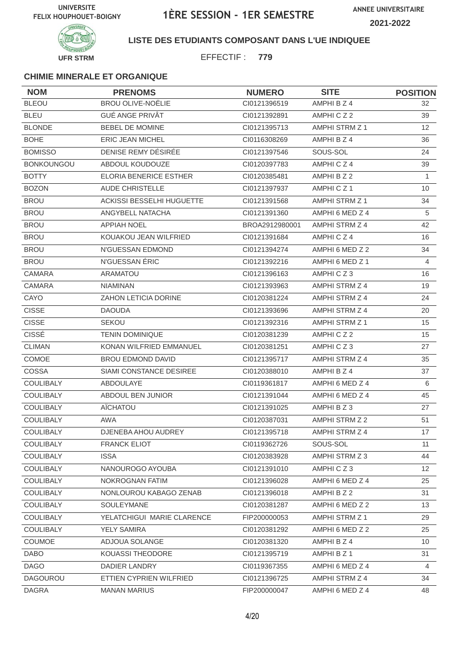

### **LISTE DES ETUDIANTS COMPOSANT DANS L'UE INDIQUEE**

EFFECTIF : **779**

| <b>NOM</b>        | <b>PRENOMS</b>                | <b>NUMERO</b>  | <b>SITE</b>     | <b>POSITION</b> |
|-------------------|-------------------------------|----------------|-----------------|-----------------|
| <b>BLEOU</b>      | <b>BROU OLIVE-NOËLIE</b>      | CI0121396519   | AMPHI B Z 4     | 32              |
| <b>BLEU</b>       | <b>GUÉ ANGE PRIVÂT</b>        | CI0121392891   | AMPHICZ2        | 39              |
| <b>BLONDE</b>     | <b>BEBEL DE MOMINE</b>        | Cl0121395713   | AMPHI STRM Z 1  | 12 <sup>2</sup> |
| <b>BOHE</b>       | <b>ERIC JEAN MICHEL</b>       | CI0116308269   | AMPHI B Z 4     | 36              |
| <b>BOMISSO</b>    | DENISE REMY DÉSIRÉE           | CI0121397546   | SOUS-SOL        | 24              |
| <b>BONKOUNGOU</b> | ABDOUL KOUDOUZE               | CI0120397783   | AMPHICZ4        | 39              |
| <b>BOTTY</b>      | <b>ELORIA BENERICE ESTHER</b> | CI0120385481   | AMPHI B Z 2     | $\mathbf{1}$    |
| <b>BOZON</b>      | <b>AUDE CHRISTELLE</b>        | CI0121397937   | AMPHICZ1        | 10              |
| <b>BROU</b>       | ACKISSI BESSELHI HUGUETTE     | CI0121391568   | AMPHI STRM Z 1  | 34              |
| <b>BROU</b>       | ANGYBELL NATACHA              | CI0121391360   | AMPHI 6 MED Z 4 | 5               |
| <b>BROU</b>       | <b>APPIAH NOEL</b>            | BROA2912980001 | AMPHI STRM Z 4  | 42              |
| <b>BROU</b>       | KOUAKOU JEAN WILFRIED         | CI0121391684   | AMPHICZ4        | 16              |
| <b>BROU</b>       | N'GUESSAN EDMOND              | CI0121394274   | AMPHI 6 MED Z 2 | 34              |
| <b>BROU</b>       | N'GUESSAN ÉRIC                | Cl0121392216   | AMPHI 6 MED Z 1 | 4               |
| <b>CAMARA</b>     | <b>ARAMATOU</b>               | CI0121396163   | AMPHICZ3        | 16              |
| <b>CAMARA</b>     | <b>NIAMINAN</b>               | CI0121393963   | AMPHI STRM Z 4  | 19              |
| CAYO              | ZAHON LETICIA DORINE          | CI0120381224   | AMPHI STRM Z 4  | 24              |
| <b>CISSE</b>      | <b>DAOUDA</b>                 | CI0121393696   | AMPHI STRM Z 4  | 20              |
| <b>CISSE</b>      | <b>SEKOU</b>                  | CI0121392316   | AMPHI STRM Z 1  | 15              |
| <b>CISSÉ</b>      | <b>TENIN DOMINIQUE</b>        | CI0120381239   | AMPHICZ2        | 15              |
| <b>CLIMAN</b>     | KONAN WILFRIED EMMANUEL       | CI0120381251   | AMPHICZ3        | 27              |
| <b>COMOE</b>      | <b>BROU EDMOND DAVID</b>      | CI0121395717   | AMPHI STRM Z 4  | 35              |
| COSSA             | SIAMI CONSTANCE DESIREE       | CI0120388010   | AMPHI B Z 4     | 37              |
| <b>COULIBALY</b>  | ABDOULAYE                     | CI0119361817   | AMPHI 6 MED Z 4 | 6               |
| COULIBALY         | ABDOUL BEN JUNIOR             | CI0121391044   | AMPHI 6 MED Z 4 | 45              |
| <b>COULIBALY</b>  | AÏCHATOU                      | CI0121391025   | AMPHI B Z 3     | 27              |
| <b>COULIBALY</b>  | <b>AWA</b>                    | CI0120387031   | AMPHI STRM Z 2  | 51              |
| COULIBALY         | DJENEBA AHOU AUDREY           | Cl0121395718   | AMPHI STRM Z 4  | 17              |
| <b>COULIBALY</b>  | <b>FRANCK ELIOT</b>           | CI0119362726   | SOUS-SOL        | 11              |
| <b>COULIBALY</b>  | <b>ISSA</b>                   | CI0120383928   | AMPHI STRM Z 3  | 44              |
| COULIBALY         | NANOUROGO AYOUBA              | Cl0121391010   | AMPHICZ3        | 12              |
| <b>COULIBALY</b>  | NOKROGNAN FATIM               | CI0121396028   | AMPHI 6 MED Z 4 | 25              |
| COULIBALY         | NONLOUROU KABAGO ZENAB        | Cl0121396018   | AMPHI B Z 2     | 31              |
| <b>COULIBALY</b>  | <b>SOULEYMANE</b>             | CI0120381287   | AMPHI 6 MED Z 2 | 13              |
| <b>COULIBALY</b>  | YELATCHIGUI MARIE CLARENCE    | FIP200000053   | AMPHI STRM Z 1  | 29              |
| <b>COULIBALY</b>  | YELY SAMIRA                   | CI0120381292   | AMPHI 6 MED Z 2 | 25              |
| <b>COUMOE</b>     | ADJOUA SOLANGE                | CI0120381320   | AMPHI B Z 4     | 10 <sup>°</sup> |
| <b>DABO</b>       | KOUASSI THEODORE              | Cl0121395719   | AMPHI B Z 1     | 31              |
| <b>DAGO</b>       | DADIER LANDRY                 | CI0119367355   | AMPHI 6 MED Z 4 | $\overline{4}$  |
| DAGOUROU          | ETTIEN CYPRIEN WILFRIED       | CI0121396725   | AMPHI STRM Z 4  | 34              |
| <b>DAGRA</b>      | <b>MANAN MARIUS</b>           | FIP200000047   | AMPHI 6 MED Z 4 | 48              |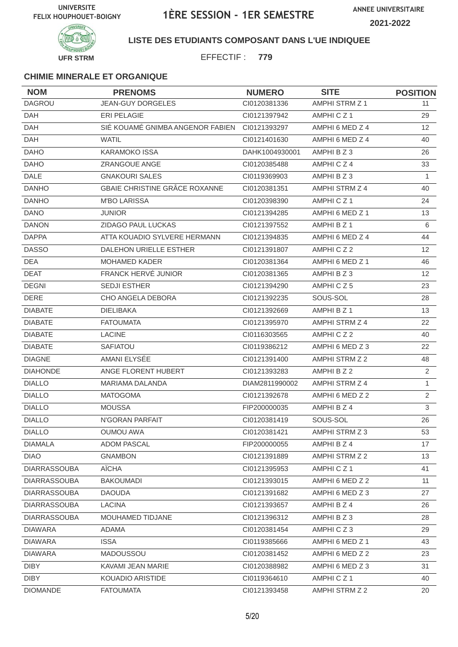**ANNEE UNIVERSITAIRE**





### **LISTE DES ETUDIANTS COMPOSANT DANS L'UE INDIQUEE**

EFFECTIF : **779**

| <b>NOM</b>          | <b>PRENOMS</b>                   | <b>NUMERO</b>  | <b>SITE</b>           | <b>POSITION</b>   |
|---------------------|----------------------------------|----------------|-----------------------|-------------------|
| <b>DAGROU</b>       | <b>JEAN-GUY DORGELES</b>         | CI0120381336   | <b>AMPHI STRM Z 1</b> | 11                |
| <b>DAH</b>          | ERI PELAGIE                      | CI0121397942   | AMPHICZ <sub>1</sub>  | 29                |
| <b>DAH</b>          | SIÉ KOUAMÉ GNIMBA ANGENOR FABIEN | CI0121393297   | AMPHI 6 MED Z 4       | $12 \overline{ }$ |
| DAH                 | <b>WATIL</b>                     | CI0121401630   | AMPHI 6 MED Z 4       | 40                |
| <b>DAHO</b>         | <b>KARAMOKO ISSA</b>             | DAHK1004930001 | AMPHI B Z 3           | 26                |
| <b>DAHO</b>         | ZRANGOUE ANGE                    | CI0120385488   | AMPHICZ4              | 33                |
| <b>DALE</b>         | <b>GNAKOURI SALES</b>            | CI0119369903   | AMPHI B Z 3           | 1                 |
| <b>DANHO</b>        | GBAIE CHRISTINE GRÂCE ROXANNE    | CI0120381351   | AMPHI STRM Z 4        | 40                |
| <b>DANHO</b>        | <b>M'BO LARISSA</b>              | CI0120398390   | AMPHICZ1              | 24                |
| <b>DANO</b>         | <b>JUNIOR</b>                    | CI0121394285   | AMPHI 6 MED Z 1       | 13                |
| <b>DANON</b>        | ZIDAGO PAUL LUCKAS               | CI0121397552   | AMPHI B Z 1           | 6                 |
| <b>DAPPA</b>        | ATTA KOUADIO SYLVERE HERMANN     | CI0121394835   | AMPHI 6 MED Z 4       | 44                |
| <b>DASSO</b>        | DALEHON URIELLE ESTHER           | CI0121391807   | AMPHICZ2              | 12                |
| <b>DEA</b>          | MOHAMED KADER                    | CI0120381364   | AMPHI 6 MED Z 1       | 46                |
| <b>DEAT</b>         | FRANCK HERVÉ JUNIOR              | CI0120381365   | AMPHI B Z 3           | 12                |
| <b>DEGNI</b>        | <b>SEDJI ESTHER</b>              | CI0121394290   | AMPHICZ5              | 23                |
| <b>DERE</b>         | CHO ANGELA DEBORA                | CI0121392235   | SOUS-SOL              | 28                |
| <b>DIABATE</b>      | <b>DIELIBAKA</b>                 | CI0121392669   | AMPHI B Z 1           | 13                |
| <b>DIABATE</b>      | <b>FATOUMATA</b>                 | CI0121395970   | AMPHI STRM Z 4        | 22                |
| <b>DIABATE</b>      | <b>LACINE</b>                    | CI0116303565   | AMPHICZ2              | 40                |
| <b>DIABATE</b>      | <b>SAFIATOU</b>                  | CI0119386212   | AMPHI 6 MED Z 3       | 22                |
| <b>DIAGNE</b>       | AMANI ELYSÉE                     | CI0121391400   | AMPHI STRM Z 2        | 48                |
| <b>DIAHONDE</b>     | ANGE FLORENT HUBERT              | CI0121393283   | AMPHI B Z 2           | $\overline{2}$    |
| <b>DIALLO</b>       | <b>MARIAMA DALANDA</b>           | DIAM2811990002 | AMPHI STRM Z 4        | $\mathbf{1}$      |
| <b>DIALLO</b>       | <b>MATOGOMA</b>                  | CI0121392678   | AMPHI 6 MED Z 2       | 2                 |
| <b>DIALLO</b>       | <b>MOUSSA</b>                    | FIP200000035   | AMPHI B Z 4           | 3                 |
| <b>DIALLO</b>       | N'GORAN PARFAIT                  | CI0120381419   | SOUS-SOL              | 26                |
| <b>DIALLO</b>       | <b>OUMOU AWA</b>                 | Cl0120381421   | AMPHI STRM Z 3        | 53                |
| <b>DIAMALA</b>      | <b>ADOM PASCAL</b>               | FIP200000055   | AMPHI B Z 4           | 17                |
| <b>DIAO</b>         | <b>GNAMBON</b>                   | CI0121391889   | AMPHI STRM Z 2        | 13                |
| <b>DIARRASSOUBA</b> | AÏCHA                            | CI0121395953   | AMPHICZ1              | 41                |
| <b>DIARRASSOUBA</b> | <b>BAKOUMADI</b>                 | CI0121393015   | AMPHI 6 MED Z 2       | 11                |
| <b>DIARRASSOUBA</b> | <b>DAOUDA</b>                    | Cl0121391682   | AMPHI 6 MED Z 3       | 27                |
| <b>DIARRASSOUBA</b> | <b>LACINA</b>                    | CI0121393657   | AMPHI B Z 4           | 26                |
| <b>DIARRASSOUBA</b> | MOUHAMED TIDJANE                 | CI0121396312   | AMPHIBZ3              | 28                |
| <b>DIAWARA</b>      | ADAMA                            | CI0120381454   | AMPHICZ3              | 29                |
| <b>DIAWARA</b>      | <b>ISSA</b>                      | CI0119385666   | AMPHI 6 MED Z 1       | 43                |
| <b>DIAWARA</b>      | <b>MADOUSSOU</b>                 | CI0120381452   | AMPHI 6 MED Z 2       | 23                |
| <b>DIBY</b>         | KAVAMI JEAN MARIE                | CI0120388982   | AMPHI 6 MED Z 3       | 31                |
| <b>DIBY</b>         | KOUADIO ARISTIDE                 | CI0119364610   | AMPHICZ1              | 40                |
| <b>DIOMANDE</b>     | <b>FATOUMATA</b>                 | CI0121393458   | AMPHI STRM Z 2        | 20                |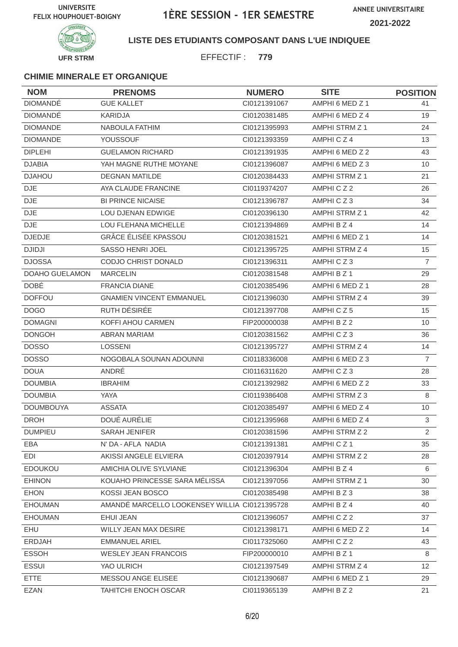**ANNEE UNIVERSITAIRE**





### **LISTE DES ETUDIANTS COMPOSANT DANS L'UE INDIQUEE**

EFFECTIF : **779**

| <b>NOM</b>            | <b>PRENOMS</b>                                | <b>NUMERO</b> | <b>SITE</b>     | <b>POSITION</b> |
|-----------------------|-----------------------------------------------|---------------|-----------------|-----------------|
| <b>DIOMANDÉ</b>       | <b>GUE KALLET</b>                             | CI0121391067  | AMPHI 6 MED Z 1 | 41              |
| <b>DIOMANDÉ</b>       | <b>KARIDJA</b>                                | CI0120381485  | AMPHI 6 MED Z 4 | 19              |
| <b>DIOMANDE</b>       | NABOULA FATHIM                                | CI0121395993  | AMPHI STRM Z 1  | 24              |
| <b>DIOMANDE</b>       | <b>YOUSSOUF</b>                               | CI0121393359  | AMPHICZ4        | 13              |
| <b>DIPLEHI</b>        | <b>GUELAMON RICHARD</b>                       | CI0121391935  | AMPHI 6 MED Z 2 | 43              |
| <b>DJABIA</b>         | YAH MAGNE RUTHE MOYANE                        | CI0121396087  | AMPHI 6 MED Z 3 | 10              |
| <b>DJAHOU</b>         | <b>DEGNAN MATILDE</b>                         | CI0120384433  | AMPHI STRM Z 1  | 21              |
| <b>DJE</b>            | AYA CLAUDE FRANCINE                           | CI0119374207  | AMPHICZ2        | 26              |
| <b>DJE</b>            | <b>BI PRINCE NICAISE</b>                      | CI0121396787  | AMPHICZ3        | 34              |
| <b>DJE</b>            | LOU DJENAN EDWIGE                             | CI0120396130  | AMPHI STRM Z 1  | 42              |
| <b>DJE</b>            | LOU FLEHANA MICHELLE                          | CI0121394869  | AMPHI B Z 4     | 14              |
| <b>DJEDJE</b>         | <b>GRÂCE ÉLISÉE KPASSOU</b>                   | CI0120381521  | AMPHI 6 MED Z 1 | 14              |
| <b>DJIDJI</b>         | <b>SASSO HENRI JOEL</b>                       | CI0121395725  | AMPHI STRM Z 4  | 15              |
| <b>DJOSSA</b>         | <b>CODJO CHRIST DONALD</b>                    | CI0121396311  | AMPHICZ3        | $\overline{7}$  |
| <b>DOAHO GUELAMON</b> | <b>MARCELIN</b>                               | CI0120381548  | AMPHI B Z 1     | 29              |
| <b>DOBÉ</b>           | <b>FRANCIA DIANE</b>                          | CI0120385496  | AMPHI 6 MED Z 1 | 28              |
| <b>DOFFOU</b>         | <b>GNAMIEN VINCENT EMMANUEL</b>               | CI0121396030  | AMPHI STRM Z 4  | 39              |
| <b>DOGO</b>           | RUTH DÉSIRÉE                                  | CI0121397708  | AMPHICZ5        | 15              |
| <b>DOMAGNI</b>        | KOFFI AHOU CARMEN                             | FIP200000038  | AMPHI B Z 2     | 10              |
| <b>DONGOH</b>         | ABRAN MARIAM                                  | CI0120381562  | AMPHICZ3        | 36              |
| <b>DOSSO</b>          | <b>LOSSENI</b>                                | CI0121395727  | AMPHI STRM Z 4  | 14              |
| <b>DOSSO</b>          | NOGOBALA SOUNAN ADOUNNI                       | CI0118336008  | AMPHI 6 MED Z 3 | $\overline{7}$  |
| <b>DOUA</b>           | ANDRÉ                                         | CI0116311620  | AMPHICZ3        | 28              |
| <b>DOUMBIA</b>        | <b>IBRAHIM</b>                                | CI0121392982  | AMPHI 6 MED Z 2 | 33              |
| <b>DOUMBIA</b>        | YAYA                                          | CI0119386408  | AMPHI STRM Z 3  | 8               |
| <b>DOUMBOUYA</b>      | <b>ASSATA</b>                                 | CI0120385497  | AMPHI 6 MED Z 4 | 10              |
| <b>DROH</b>           | DOUÉ AURÉLIE                                  | CI0121395968  | AMPHI 6 MED Z 4 | 3               |
| <b>DUMPIEU</b>        | <b>SARAH JENIFER</b>                          | CI0120381596  | AMPHI STRM Z 2  | $\mathfrak{D}$  |
| EBA                   | N' DA - AFLA NADIA                            | CI0121391381  | AMPHICZ1        | 35              |
| EDI                   | AKISSI ANGELE ELVIERA                         | CI0120397914  | AMPHI STRM Z 2  | 28              |
| EDOUKOU               | AMICHIA OLIVE SYLVIANE                        | CI0121396304  | AMPHI B Z 4     | 6               |
| <b>EHINON</b>         | KOUAHO PRINCESSE SARA MÉLISSA                 | Cl0121397056  | AMPHI STRM Z 1  | 30              |
| <b>EHON</b>           | KOSSI JEAN BOSCO                              | CI0120385498  | AMPHI B Z 3     | 38              |
| <b>EHOUMAN</b>        | AMANDÉ MARCELLO LOOKENSEY WILLIA CI0121395728 |               | AMPHI B Z 4     | 40              |
| <b>EHOUMAN</b>        | EHUI JEAN                                     | CI0121396057  | AMPHICZ2        | 37              |
| EHU                   | WILLY JEAN MAX DESIRE                         | CI0121398171  | AMPHI 6 MED Z 2 | 14              |
| ERDJAH                | EMMANUEL ARIEL                                | CI0117325060  | AMPHICZ2        | 43              |
| <b>ESSOH</b>          | <b>WESLEY JEAN FRANCOIS</b>                   | FIP200000010  | AMPHI B Z 1     | 8               |
| <b>ESSUI</b>          | YAO ULRICH                                    | CI0121397549  | AMPHI STRM Z 4  | 12              |
| <b>ETTE</b>           | MESSOU ANGE ELISEE                            | CI0121390687  | AMPHI 6 MED Z 1 | 29              |
| <b>EZAN</b>           | <b>TAHITCHI ENOCH OSCAR</b>                   | CI0119365139  | AMPHI B Z 2     | 21              |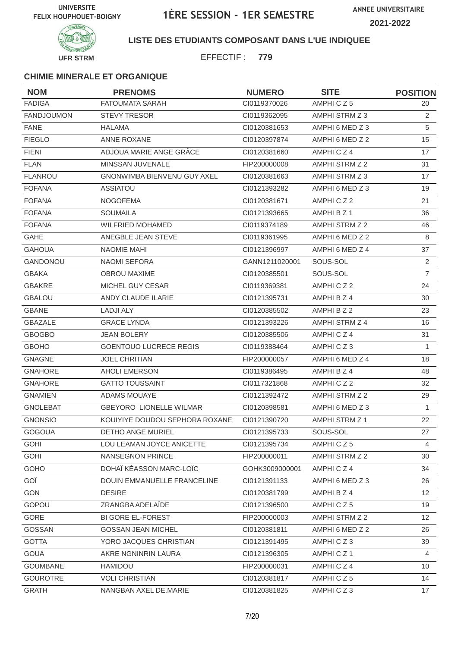

### **LISTE DES ETUDIANTS COMPOSANT DANS L'UE INDIQUEE**

EFFECTIF : **779**

| <b>NOM</b>        | <b>PRENOMS</b>                 | <b>NUMERO</b>  | <b>SITE</b>           | <b>POSITION</b> |
|-------------------|--------------------------------|----------------|-----------------------|-----------------|
| <b>FADIGA</b>     | <b>FATOUMATA SARAH</b>         | CI0119370026   | AMPHICZ5              | 20              |
| <b>FANDJOUMON</b> | <b>STEVY TRESOR</b>            | CI0119362095   | AMPHI STRM Z 3        | 2               |
| <b>FANE</b>       | <b>HALAMA</b>                  | CI0120381653   | AMPHI 6 MED Z 3       | 5               |
| <b>FIEGLO</b>     | <b>ANNE ROXANE</b>             | CI0120397874   | AMPHI 6 MED Z 2       | 15              |
| <b>FIENI</b>      | ADJOUA MARIE ANGE GRÂCE        | CI0120381660   | AMPHICZ4              | 17              |
| <b>FLAN</b>       | MINSSAN JUVENALE               | FIP200000008   | AMPHI STRM Z 2        | 31              |
| <b>FLANROU</b>    | GNONWIMBA BIENVENU GUY AXEL    | CI0120381663   | AMPHI STRM Z 3        | 17              |
| <b>FOFANA</b>     | <b>ASSIATOU</b>                | CI0121393282   | AMPHI 6 MED Z 3       | 19              |
| <b>FOFANA</b>     | <b>NOGOFEMA</b>                | CI0120381671   | AMPHICZ2              | 21              |
| <b>FOFANA</b>     | <b>SOUMAILA</b>                | CI0121393665   | AMPHI B Z 1           | 36              |
| <b>FOFANA</b>     | <b>WILFRIED MOHAMED</b>        | CI0119374189   | AMPHI STRM Z 2        | 46              |
| <b>GAHE</b>       | ANEGBLE JEAN STEVE             | CI0119361995   | AMPHI 6 MED Z 2       | 8               |
| <b>GAHOUA</b>     | <b>NAOMIE MAHI</b>             | CI0121396997   | AMPHI 6 MED Z 4       | 37              |
| <b>GANDONOU</b>   | <b>NAOMI SEFORA</b>            | GANN1211020001 | SOUS-SOL              | 2               |
| <b>GBAKA</b>      | <b>OBROU MAXIME</b>            | CI0120385501   | SOUS-SOL              | $\overline{7}$  |
| <b>GBAKRE</b>     | MICHEL GUY CESAR               | CI0119369381   | AMPHICZ2              | 24              |
| <b>GBALOU</b>     | ANDY CLAUDE ILARIE             | CI0121395731   | AMPHI B Z 4           | 30              |
| <b>GBANE</b>      | <b>LADJI ALY</b>               | CI0120385502   | AMPHI B Z 2           | 23              |
| <b>GBAZALE</b>    | <b>GRACE LYNDA</b>             | CI0121393226   | AMPHI STRM Z 4        | 16              |
| <b>GBOGBO</b>     | <b>JEAN BOLERY</b>             | CI0120385506   | AMPHICZ4              | 31              |
| <b>GBOHO</b>      | <b>GOENTOUO LUCRECE REGIS</b>  | CI0119388464   | AMPHICZ3              | 1               |
| <b>GNAGNE</b>     | <b>JOEL CHRITIAN</b>           | FIP200000057   | AMPHI 6 MED Z 4       | 18              |
| <b>GNAHORE</b>    | <b>AHOLI EMERSON</b>           | CI0119386495   | AMPHI B Z 4           | 48              |
| <b>GNAHORE</b>    | <b>GATTO TOUSSAINT</b>         | CI0117321868   | AMPHICZ2              | 32              |
| <b>GNAMIEN</b>    | ADAMS MOUAYÉ                   | CI0121392472   | <b>AMPHI STRM Z 2</b> | 29              |
| <b>GNOLEBAT</b>   | <b>GBEYORO LIONELLE WILMAR</b> | CI0120398581   | AMPHI 6 MED Z 3       | $\mathbf{1}$    |
| <b>GNONSIO</b>    | KOUIYIYE DOUDOU SEPHORA ROXANE | CI0121390720   | AMPHI STRM Z 1        | 22              |
| <b>GOGOUA</b>     | DETHO ANGE MURIEL              | Cl0121395733   | SOUS-SOL              | 27              |
| <b>GOHI</b>       | LOU LEAMAN JOYCE ANICETTE      | CI0121395734   | AMPHICZ5              | 4               |
| <b>GOHI</b>       | NANSEGNON PRINCE               | FIP200000011   | AMPHI STRM Z 2        | 30              |
| GOHO              | DOHAÏ KÉASSON MARC-LOÏC        | GOHK3009000001 | AMPHICZ4              | 34              |
| GOÏ               | DOUIN EMMANUELLE FRANCELINE    | CI0121391133   | AMPHI 6 MED Z 3       | 26              |
| <b>GON</b>        | <b>DESIRE</b>                  | CI0120381799   | AMPHI B Z 4           | 12 <sup>2</sup> |
| GOPOU             | ZRANGBA ADELAÏDE               | CI0121396500   | AMPHICZ5              | 19              |
| GORE              | <b>BI GORE EL-FOREST</b>       | FIP200000003   | AMPHI STRM Z 2        | 12 <sup>2</sup> |
| GOSSAN            | <b>GOSSAN JEAN MICHEL</b>      | CI0120381811   | AMPHI 6 MED Z 2       | 26              |
| <b>GOTTA</b>      | YORO JACQUES CHRISTIAN         | CI0121391495   | AMPHICZ3              | 39              |
| <b>GOUA</b>       | AKRE NGNINRIN LAURA            | CI0121396305   | AMPHICZ1              | $\overline{4}$  |
| <b>GOUMBANE</b>   | HAMIDOU                        | FIP200000031   | AMPHICZ4              | 10              |
| <b>GOUROTRE</b>   | <b>VOLI CHRISTIAN</b>          | CI0120381817   | AMPHICZ5              | 14              |
| <b>GRATH</b>      | NANGBAN AXEL DE.MARIE          | CI0120381825   | AMPHICZ3              | 17              |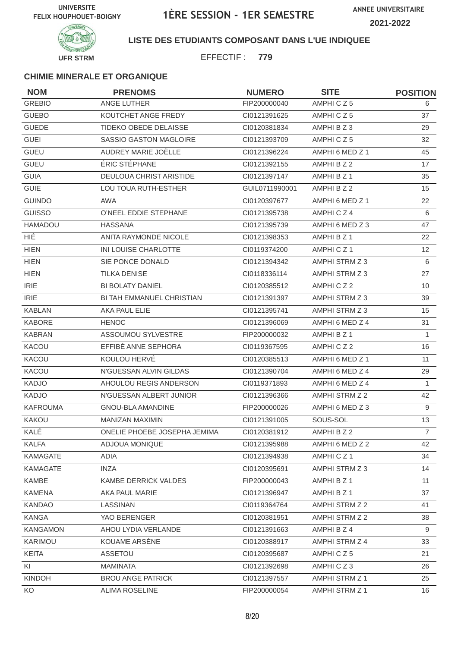**ANNEE UNIVERSITAIRE 2021-2022**



### **LISTE DES ETUDIANTS COMPOSANT DANS L'UE INDIQUEE**

EFFECTIF : **779**

| <b>NOM</b>      | <b>PRENOMS</b>               | <b>NUMERO</b>  | <b>SITE</b>     | <b>POSITION</b> |
|-----------------|------------------------------|----------------|-----------------|-----------------|
| <b>GREBIO</b>   | ANGE LUTHER                  | FIP200000040   | AMPHICZ5        | 6               |
| <b>GUEBO</b>    | KOUTCHET ANGE FREDY          | CI0121391625   | AMPHICZ5        | 37              |
| <b>GUEDE</b>    | <b>TIDEKO OBEDE DELAISSE</b> | CI0120381834   | AMPHI B Z 3     | 29              |
| <b>GUEI</b>     | SASSIO GASTON MAGLOIRE       | CI0121393709   | AMPHICZ5        | 32              |
| <b>GUEU</b>     | AUDREY MARIE JOËLLE          | CI0121396224   | AMPHI 6 MED Z 1 | 45              |
| <b>GUEU</b>     | ÉRIC STÉPHANE                | CI0121392155   | AMPHI B Z 2     | 17              |
| <b>GUIA</b>     | DEULOUA CHRIST ARISTIDE      | CI0121397147   | AMPHI B Z 1     | 35              |
| <b>GUIE</b>     | LOU TOUA RUTH-ESTHER         | GUIL0711990001 | AMPHI B Z 2     | 15              |
| <b>GUINDO</b>   | AWA                          | CI0120397677   | AMPHI 6 MED Z 1 | 22              |
| <b>GUISSO</b>   | O'NEEL EDDIE STEPHANE        | CI0121395738   | AMPHICZ4        | 6               |
| HAMADOU         | <b>HASSANA</b>               | CI0121395739   | AMPHI 6 MED Z 3 | 47              |
| HIÉ             | ANITA RAYMONDE NICOLE        | CI0121398353   | AMPHI B Z 1     | 22              |
| <b>HIEN</b>     | INI LOUISE CHARLOTTE         | CI0119374200   | AMPHICZ1        | 12              |
| <b>HIEN</b>     | SIE PONCE DONALD             | CI0121394342   | AMPHI STRM Z 3  | 6               |
| <b>HIEN</b>     | <b>TILKA DENISE</b>          | CI0118336114   | AMPHI STRM Z 3  | 27              |
| <b>IRIE</b>     | <b>BI BOLATY DANIEL</b>      | CI0120385512   | AMPHICZ2        | 10              |
| <b>IRIE</b>     | BI TAH EMMANUEL CHRISTIAN    | CI0121391397   | AMPHI STRM Z 3  | 39              |
| <b>KABLAN</b>   | AKA PAUL ELIE                | CI0121395741   | AMPHI STRM Z 3  | 15              |
| <b>KABORE</b>   | <b>HENOC</b>                 | CI0121396069   | AMPHI 6 MED Z 4 | 31              |
| <b>KABRAN</b>   | ASSOUMOU SYLVESTRE           | FIP200000032   | AMPHI B Z 1     | $\mathbf{1}$    |
| KACOU           | EFFIBÉ ANNE SEPHORA          | CI0119367595   | AMPHICZ2        | 16              |
| KACOU           | KOULOU HERVE                 | CI0120385513   | AMPHI 6 MED Z 1 | 11              |
| KACOU           | N'GUESSAN ALVIN GILDAS       | CI0121390704   | AMPHI 6 MED Z 4 | 29              |
| <b>KADJO</b>    | AHOULOU REGIS ANDERSON       | CI0119371893   | AMPHI 6 MED Z 4 | $\mathbf{1}$    |
| <b>KADJO</b>    | N'GUESSAN ALBERT JUNIOR      | CI0121396366   | AMPHI STRM Z 2  | 42              |
| <b>KAFROUMA</b> | GNOU-BLA AMANDINE            | FIP200000026   | AMPHI 6 MED Z 3 | 9               |
| KAKOU           | MANIZAN MAXIMIN              | Cl0121391005   | SOUS-SOL        | 13              |
| KALÉ            | ONELIE PHOEBE JOSEPHA JEMIMA | CI0120381912   | AMPHI B Z 2     | $\overline{7}$  |
| <b>KALFA</b>    | ADJOUA MONIQUE               | Cl0121395988   | AMPHI 6 MED Z 2 | 42              |
| <b>KAMAGATE</b> | ADIA                         | CI0121394938   | AMPHICZ1        | 34              |
| <b>KAMAGATE</b> | <b>INZA</b>                  | CI0120395691   | AMPHI STRM Z 3  | 14              |
| <b>KAMBE</b>    | KAMBE DERRICK VALDES         | FIP200000043   | AMPHI B Z 1     | 11              |
| <b>KAMENA</b>   | AKA PAUL MARIE               | CI0121396947   | AMPHI B Z 1     | 37              |
| <b>KANDAO</b>   | LASSINAN                     | CI0119364764   | AMPHI STRM Z 2  | 41              |
| <b>KANGA</b>    | YAO BERENGER                 | CI0120381951   | AMPHI STRM Z 2  | 38              |
| <b>KANGAMON</b> | AHOU LYDIA VERLANDE          | CI0121391663   | AMPHI B Z 4     | 9               |
| KARIMOU         | KOUAME ARSÈNE                | CI0120388917   | AMPHI STRM Z 4  | 33              |
| <b>KEITA</b>    | ASSETOU                      | CI0120395687   | AMPHICZ5        | 21              |
| KI              | <b>MAMINATA</b>              | CI0121392698   | AMPHICZ3        | 26              |
| KINDOH          | <b>BROU ANGE PATRICK</b>     | CI0121397557   | AMPHI STRM Z 1  | 25              |
| KO              | <b>ALIMA ROSELINE</b>        | FIP200000054   | AMPHI STRM Z 1  | 16              |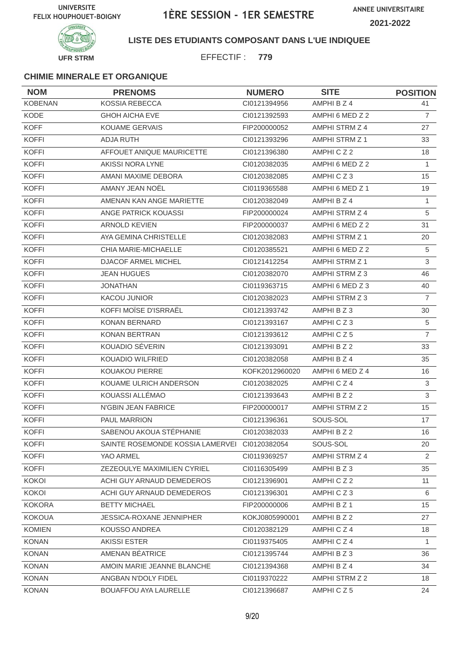**ANNEE UNIVERSITAIRE 2021-2022**



### **LISTE DES ETUDIANTS COMPOSANT DANS L'UE INDIQUEE**

EFFECTIF : **779**

| <b>NOM</b>     | <b>PRENOMS</b>                   | <b>NUMERO</b>  | <b>SITE</b>           | <b>POSITION</b> |
|----------------|----------------------------------|----------------|-----------------------|-----------------|
| <b>KOBENAN</b> | <b>KOSSIA REBECCA</b>            | Cl0121394956   | AMPHI B Z 4           | 41              |
| <b>KODE</b>    | <b>GHOH AICHA EVE</b>            | Cl0121392593   | AMPHI 6 MED Z 2       | $\overline{7}$  |
| <b>KOFF</b>    | <b>KOUAME GERVAIS</b>            | FIP200000052   | AMPHI STRM Z 4        | 27              |
| <b>KOFFI</b>   | <b>ADJA RUTH</b>                 | CI0121393296   | <b>AMPHI STRM Z 1</b> | 33              |
| <b>KOFFI</b>   | AFFOUET ANIQUE MAURICETTE        | CI0121396380   | AMPHICZ2              | 18              |
| <b>KOFFI</b>   | AKISSI NORA LYNE                 | CI0120382035   | AMPHI 6 MED Z 2       | $\mathbf{1}$    |
| <b>KOFFI</b>   | AMANI MAXIME DEBORA              | CI0120382085   | AMPHICZ3              | 15              |
| <b>KOFFI</b>   | AMANY JEAN NOËL                  | CI0119365588   | AMPHI 6 MED Z 1       | 19              |
| <b>KOFFI</b>   | AMENAN KAN ANGE MARIETTE         | CI0120382049   | AMPHI B Z 4           | $\mathbf{1}$    |
| <b>KOFFI</b>   | ANGE PATRICK KOUASSI             | FIP200000024   | AMPHI STRM Z 4        | 5               |
| <b>KOFFI</b>   | <b>ARNOLD KEVIEN</b>             | FIP200000037   | AMPHI 6 MED Z 2       | 31              |
| <b>KOFFI</b>   | AYA GEMINA CHRISTELLE            | CI0120382083   | AMPHI STRM Z 1        | 20              |
| <b>KOFFI</b>   | CHIA MARIE-MICHAELLE             | CI0120385521   | AMPHI 6 MED Z 2       | 5               |
| <b>KOFFI</b>   | <b>DJACOF ARMEL MICHEL</b>       | Cl0121412254   | AMPHI STRM Z 1        | 3               |
| <b>KOFFI</b>   | <b>JEAN HUGUES</b>               | CI0120382070   | AMPHI STRM Z 3        | 46              |
| <b>KOFFI</b>   | <b>JONATHAN</b>                  | CI0119363715   | AMPHI 6 MED Z 3       | 40              |
| <b>KOFFI</b>   | <b>KACOU JUNIOR</b>              | CI0120382023   | AMPHI STRM Z 3        | $\overline{7}$  |
| <b>KOFFI</b>   | KOFFI MOÏSE D'ISRRAËL            | CI0121393742   | AMPHI B Z 3           | 30              |
| <b>KOFFI</b>   | <b>KONAN BERNARD</b>             | CI0121393167   | AMPHICZ3              | 5               |
| <b>KOFFI</b>   | KONAN BERTRAN                    | CI0121393612   | AMPHICZ5              | $\overline{7}$  |
| <b>KOFFI</b>   | KOUADIO SÉVERIN                  | CI0121393091   | AMPHI B Z 2           | 33              |
| <b>KOFFI</b>   | <b>KOUADIO WILFRIED</b>          | CI0120382058   | AMPHI B Z 4           | 35              |
| <b>KOFFI</b>   | KOUAKOU PIERRE                   | KOFK2012960020 | AMPHI 6 MED Z 4       | 16              |
| <b>KOFFI</b>   | KOUAME ULRICH ANDERSON           | CI0120382025   | AMPHICZ4              | 3               |
| <b>KOFFI</b>   | KOUASSI ALLÉMAO                  | CI0121393643   | AMPHI B Z 2           | 3               |
| <b>KOFFI</b>   | N'GBIN JEAN FABRICE              | FIP200000017   | AMPHI STRM Z 2        | 15 <sub>1</sub> |
| <b>KOFFI</b>   | PAUL MARRION                     | CI0121396361   | SOUS-SOL              | 17              |
| KOFFI          | SABENOU AKOUA STÉPHANIE          | CI0120382033   | AMPHI B Z 2           | 16              |
| <b>KOFFI</b>   | SAINTE ROSEMONDE KOSSIA LAMERVEI | CI0120382054   | SOUS-SOL              | 20              |
| <b>KOFFI</b>   | YAO ARMEL                        | CI0119369257   | AMPHI STRM Z 4        | $\overline{2}$  |
| <b>KOFFI</b>   | ZEZEOULYE MAXIMILIEN CYRIEL      | CI0116305499   | AMPHI B Z 3           | 35              |
| <b>KOKOI</b>   | ACHI GUY ARNAUD DEMEDEROS        | CI0121396901   | AMPHICZ2              | 11              |
| <b>KOKOI</b>   | ACHI GUY ARNAUD DEMEDEROS        | Cl0121396301   | AMPHICZ3              | 6               |
| <b>KOKORA</b>  | <b>BETTY MICHAEL</b>             | FIP200000006   | AMPHI B Z 1           | 15              |
| <b>KOKOUA</b>  | <b>JESSICA-ROXANE JENNIPHER</b>  | KOKJ0805990001 | AMPHI B Z 2           | 27              |
| <b>KOMIEN</b>  | KOUSSO ANDREA                    | CI0120382129   | AMPHICZ4              | 18              |
| <b>KONAN</b>   | <b>AKISSI ESTER</b>              | CI0119375405   | AMPHICZ4              | 1               |
| <b>KONAN</b>   | AMENAN BÉATRICE                  | CI0121395744   | AMPHIBZ3              | 36              |
| <b>KONAN</b>   | AMOIN MARIE JEANNE BLANCHE       | CI0121394368   | AMPHI B Z 4           | 34              |
| <b>KONAN</b>   | ANGBAN N'DOLY FIDEL              | CI0119370222   | AMPHI STRM Z 2        | 18              |
| <b>KONAN</b>   | BOUAFFOU AYA LAURELLE            | CI0121396687   | AMPHICZ5              | 24              |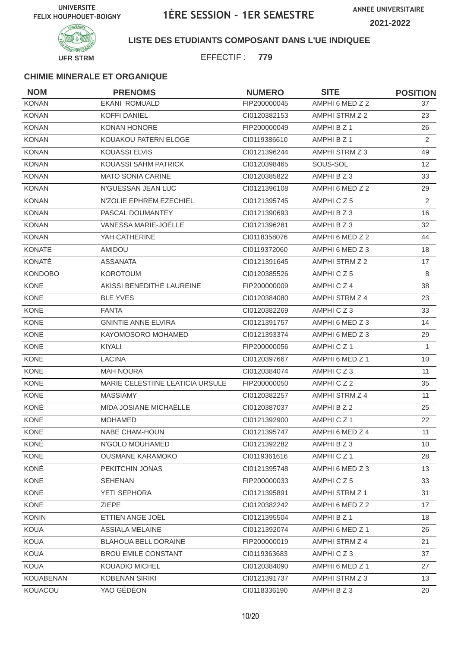

### **LISTE DES ETUDIANTS COMPOSANT DANS L'UE INDIQUEE**

EFFECTIF : **779**

| <b>NOM</b>     | <b>PRENOMS</b>                   | <b>NUMERO</b> | <b>SITE</b>          | <b>POSITION</b> |
|----------------|----------------------------------|---------------|----------------------|-----------------|
| <b>KONAN</b>   | <b>EKANI ROMUALD</b>             | FIP200000045  | AMPHI 6 MED Z 2      | 37              |
| <b>KONAN</b>   | <b>KOFFI DANIEL</b>              | CI0120382153  | AMPHI STRM Z 2       | 23              |
| <b>KONAN</b>   | <b>KONAN HONORE</b>              | FIP200000049  | AMPHI B Z 1          | 26              |
| <b>KONAN</b>   | KOUAKOU PATERN ELOGE             | CI0119386610  | AMPHI B Z 1          | 2               |
| <b>KONAN</b>   | <b>KOUASSI ELVIS</b>             | CI0121396244  | AMPHI STRM Z 3       | 49              |
| <b>KONAN</b>   | KOUASSI SAHM PATRICK             | CI0120398465  | SOUS-SOL             | 12 <sup>2</sup> |
| <b>KONAN</b>   | <b>MATO SONIA CARINE</b>         | CI0120385822  | AMPHI B Z 3          | 33              |
| <b>KONAN</b>   | N'GUESSAN JEAN LUC               | Cl0121396108  | AMPHI 6 MED Z 2      | 29              |
| <b>KONAN</b>   | N'ZOLIE EPHREM EZECHIEL          | CI0121395745  | AMPHICZ5             | 2               |
| <b>KONAN</b>   | PASCAL DOUMANTEY                 | CI0121390693  | AMPHI B Z 3          | 16              |
| <b>KONAN</b>   | VANESSA MARIE-JOËLLE             | CI0121396281  | AMPHI B Z 3          | 32              |
| <b>KONAN</b>   | YAH CATHERINE                    | CI0118358076  | AMPHI 6 MED Z 2      | 44              |
| <b>KONATE</b>  | <b>AMIDOU</b>                    | CI0119372060  | AMPHI 6 MED Z 3      | 18              |
| KONATÉ         | <b>ASSANATA</b>                  | CI0121391645  | AMPHI STRM Z 2       | 17              |
| <b>KONDOBO</b> | <b>KOROTOUM</b>                  | CI0120385526  | AMPHICZ5             | 8               |
| <b>KONE</b>    | AKISSI BENEDITHE LAUREINE        | FIP200000009  | AMPHICZ4             | 38              |
| <b>KONE</b>    | <b>BLE YVES</b>                  | CI0120384080  | AMPHI STRM Z 4       | 23              |
| <b>KONE</b>    | <b>FANTA</b>                     | CI0120382269  | AMPHICZ3             | 33              |
| <b>KONE</b>    | <b>GNINTIE ANNE ELVIRA</b>       | CI0121391757  | AMPHI 6 MED Z 3      | 14              |
| <b>KONE</b>    | KAYOMOSORO MOHAMED               | CI0121393374  | AMPHI 6 MED Z 3      | 29              |
| <b>KONE</b>    | KIYALI                           | FIP200000056  | AMPHICZ <sub>1</sub> | 1               |
| <b>KONE</b>    | <b>LACINA</b>                    | CI0120397667  | AMPHI 6 MED Z 1      | 10              |
| <b>KONE</b>    | <b>MAH NOURA</b>                 | CI0120384074  | AMPHICZ3             | 11              |
| <b>KONE</b>    | MARIE CELESTIINE LEATICIA URSULE | FIP200000050  | AMPHICZ2             | 35              |
| <b>KONE</b>    | <b>MASSIAMY</b>                  | CI0120382257  | AMPHI STRM Z 4       | 11              |
| KONÉ           | MIDA JOSIANE MICHAËLLE           | CI0120387037  | AMPHI B Z 2          | 25              |
| <b>KONE</b>    | <b>MOHAMED</b>                   | CI0121392900  | AMPHICZ1             | 22              |
| KONE           | NABE CHAM-HOUN                   | CI0121395747  | AMPHI 6 MED Z 4      | 11              |
| KONÉ           | N'GOLO MOUHAMED                  | CI0121392282  | AMPHI B Z 3          | 10 <sup>°</sup> |
| KONE           | <b>OUSMANE KARAMOKO</b>          | CI0119361616  | AMPHICZ1             | 28              |
| KONÉ           | PEKITCHIN JONAS                  | CI0121395748  | AMPHI 6 MED Z 3      | 13              |
| KONE           | <b>SEHENAN</b>                   | FIP200000033  | AMPHICZ5             | 33              |
| KONE           | YETI SEPHORA                     | CI0121395891  | AMPHI STRM Z 1       | 31              |
| KONE           | <b>ZIEPE</b>                     | CI0120382242  | AMPHI 6 MED Z 2      | 17              |
| <b>KONIN</b>   | ETTIEN ANGE JOËL                 | Cl0121395504  | AMPHI B Z 1          | 18              |
| KOUA           | <b>ASSIALA MELAINE</b>           | CI0121392074  | AMPHI 6 MED Z 1      | 26              |
| KOUA           | BLAHOUA BELL DORAINE             | FIP200000019  | AMPHI STRM Z 4       | 21              |
| <b>KOUA</b>    | <b>BROU EMILE CONSTANT</b>       | CI0119363683  | AMPHICZ3             | 37              |
| <b>KOUA</b>    | KOUADIO MICHEL                   | CI0120384090  | AMPHI 6 MED Z 1      | 27              |
| KOUABENAN      | <b>KOBENAN SIRIKI</b>            | Cl0121391737  | AMPHI STRM Z 3       | 13              |
| KOUACOU        | YAO GÉDÉON                       | CI0118336190  | AMPHI B Z 3          | 20              |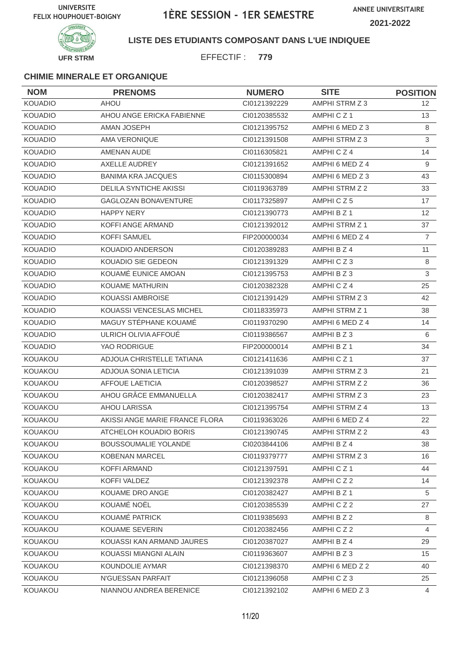

### **LISTE DES ETUDIANTS COMPOSANT DANS L'UE INDIQUEE**

EFFECTIF : **779**

| <b>NOM</b>     | <b>PRENOMS</b>                 | <b>NUMERO</b> | <b>SITE</b>           | <b>POSITION</b> |
|----------------|--------------------------------|---------------|-----------------------|-----------------|
| <b>KOUADIO</b> | <b>AHOU</b>                    | CI0121392229  | AMPHI STRM Z 3        | 12 <sup>2</sup> |
| <b>KOUADIO</b> | AHOU ANGE ERICKA FABIENNE      | CI0120385532  | AMPHICZ1              | 13              |
| <b>KOUADIO</b> | AMAN JOSEPH                    | CI0121395752  | AMPHI 6 MED Z 3       | 8               |
| <b>KOUADIO</b> | <b>AMA VERONIQUE</b>           | CI0121391508  | AMPHI STRM Z 3        | $\mathfrak{S}$  |
| <b>KOUADIO</b> | AMENAN AUDE                    | CI0116305821  | AMPHICZ4              | 14              |
| <b>KOUADIO</b> | AXELLE AUDREY                  | CI0121391652  | AMPHI 6 MED Z 4       | 9               |
| <b>KOUADIO</b> | <b>BANIMA KRA JACQUES</b>      | CI0115300894  | AMPHI 6 MED Z 3       | 43              |
| <b>KOUADIO</b> | <b>DELILA SYNTICHE AKISSI</b>  | CI0119363789  | AMPHI STRM Z 2        | 33              |
| <b>KOUADIO</b> | <b>GAGLOZAN BONAVENTURE</b>    | CI0117325897  | AMPHICZ5              | 17              |
| <b>KOUADIO</b> | <b>HAPPY NERY</b>              | CI0121390773  | AMPHI B Z 1           | 12 <sup>2</sup> |
| <b>KOUADIO</b> | <b>KOFFI ANGE ARMAND</b>       | CI0121392012  | <b>AMPHI STRM Z 1</b> | 37              |
| <b>KOUADIO</b> | <b>KOFFI SAMUEL</b>            | FIP200000034  | AMPHI 6 MED Z 4       | $\overline{7}$  |
| <b>KOUADIO</b> | <b>KOUADIO ANDERSON</b>        | CI0120389283  | AMPHI B Z 4           | 11              |
| <b>KOUADIO</b> | KOUADIO SIE GEDEON             | CI0121391329  | AMPHICZ3              | 8               |
| <b>KOUADIO</b> | KOUAMÉ EUNICE AMOAN            | CI0121395753  | AMPHI B Z 3           | 3               |
| <b>KOUADIO</b> | <b>KOUAME MATHURIN</b>         | CI0120382328  | AMPHICZ4              | 25              |
| <b>KOUADIO</b> | KOUASSI AMBROISE               | CI0121391429  | AMPHI STRM Z 3        | 42              |
| KOUADIO        | KOUASSI VENCESLAS MICHEL       | CI0118335973  | AMPHI STRM Z 1        | 38              |
| <b>KOUADIO</b> | MAGUY STÉPHANE KOUAMÉ          | CI0119370290  | AMPHI 6 MED Z 4       | 14              |
| <b>KOUADIO</b> | ULRICH OLIVIA AFFOUE           | CI0119386567  | AMPHI B Z 3           | 6               |
| <b>KOUADIO</b> | YAO RODRIGUE                   | FIP200000014  | AMPHI B Z 1           | 34              |
| KOUAKOU        | ADJOUA CHRISTELLE TATIANA      | CI0121411636  | AMPHICZ <sub>1</sub>  | 37              |
| KOUAKOU        | ADJOUA SONIA LETICIA           | CI0121391039  | AMPHI STRM Z 3        | 21              |
| KOUAKOU        | <b>AFFOUE LAETICIA</b>         | CI0120398527  | AMPHI STRM Z 2        | 36              |
| KOUAKOU        | AHOU GRÂCE EMMANUELLA          | CI0120382417  | AMPHI STRM Z 3        | 23              |
| KOUAKOU        | <b>AHOU LARISSA</b>            | CI0121395754  | AMPHI STRM Z 4        | 13              |
| KOUAKOU        | AKISSI ANGE MARIE FRANCE FLORA | CI0119363026  | AMPHI 6 MED Z 4       | 22              |
| KOUAKOU        | ATCHELOH KOUADIO BORIS         | CI0121390745  | AMPHI STRM Z 2        | 43              |
| KOUAKOU        | <b>BOUSSOUMALIE YOLANDE</b>    | CI0203844106  | AMPHI B Z 4           | 38              |
| KOUAKOU        | <b>KOBENAN MARCEL</b>          | CI0119379777  | AMPHI STRM Z 3        | 16              |
| KOUAKOU        | <b>KOFFI ARMAND</b>            | CI0121397591  | AMPHICZ1              | 44              |
| KOUAKOU        | KOFFI VALDEZ                   | CI0121392378  | AMPHICZ2              | 14              |
| KOUAKOU        | KOUAME DRO ANGE                | CI0120382427  | AMPHI B Z 1           | 5               |
| KOUAKOU        | KOUAMÉ NOËL                    | CI0120385539  | AMPHICZ2              | 27              |
| <b>KOUAKOU</b> | KOUAMÉ PATRICK                 | CI0119385693  | AMPHI B Z 2           | 8               |
| KOUAKOU        | KOUAME SEVERIN                 | CI0120382456  | AMPHICZ2              | 4               |
| KOUAKOU        | KOUASSI KAN ARMAND JAURES      | CI0120387027  | AMPHI B Z 4           | 29              |
| KOUAKOU        | KOUASSI MIANGNI ALAIN          | CI0119363607  | AMPHIBZ3              | 15              |
| KOUAKOU        | KOUNDOLIE AYMAR                | CI0121398370  | AMPHI 6 MED Z 2       | 40              |
| KOUAKOU        | N'GUESSAN PARFAIT              | Cl0121396058  | AMPHICZ3              | 25              |
| KOUAKOU        | NIANNOU ANDREA BERENICE        | CI0121392102  | AMPHI 6 MED Z 3       | 4               |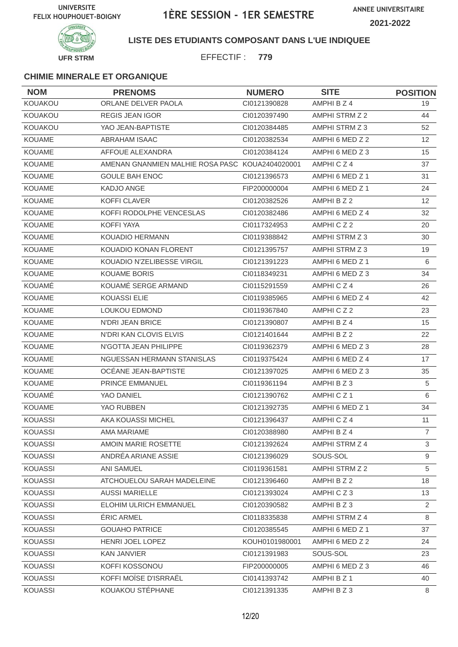**ANNEE UNIVERSITAIRE 2021-2022**



**LISTE DES ETUDIANTS COMPOSANT DANS L'UE INDIQUEE**

EFFECTIF : **779**

| <b>NOM</b>     | <b>PRENOMS</b>                                  | <b>NUMERO</b>  | <b>SITE</b>     | <b>POSITION</b> |
|----------------|-------------------------------------------------|----------------|-----------------|-----------------|
| KOUAKOU        | ORLANE DELVER PAOLA                             | CI0121390828   | AMPHI B Z 4     | 19              |
| KOUAKOU        | <b>REGIS JEAN IGOR</b>                          | CI0120397490   | AMPHI STRM Z 2  | 44              |
| KOUAKOU        | YAO JEAN-BAPTISTE                               | CI0120384485   | AMPHI STRM Z 3  | 52              |
| <b>KOUAME</b>  | <b>ABRAHAM ISAAC</b>                            | CI0120382534   | AMPHI 6 MED Z 2 | 12 <sup>°</sup> |
| KOUAME         | AFFOUE ALEXANDRA                                | CI0120384124   | AMPHI 6 MED Z 3 | 15              |
| KOUAME         | AMENAN GNANMIEN MALHIE ROSA PASC KOUA2404020001 |                | AMPHICZ4        | 37              |
| <b>KOUAME</b>  | <b>GOULE BAH ENOC</b>                           | CI0121396573   | AMPHI 6 MED Z 1 | 31              |
| <b>KOUAME</b>  | KADJO ANGE                                      | FIP200000004   | AMPHI 6 MED Z 1 | 24              |
| <b>KOUAME</b>  | KOFFI CLAVER                                    | CI0120382526   | AMPHI B Z 2     | 12 <sup>2</sup> |
| <b>KOUAME</b>  | KOFFI RODOLPHE VENCESLAS                        | CI0120382486   | AMPHI 6 MED Z 4 | 32              |
| <b>KOUAME</b>  | <b>KOFFI YAYA</b>                               | CI0117324953   | AMPHICZ2        | 20              |
| KOUAME         | <b>KOUADIO HERMANN</b>                          | CI0119388842   | AMPHI STRM Z 3  | 30              |
| <b>KOUAME</b>  | KOUADIO KONAN FLORENT                           | CI0121395757   | AMPHI STRM Z 3  | 19              |
| KOUAME         | KOUADIO N'ZELIBESSE VIRGIL                      | CI0121391223   | AMPHI 6 MED Z 1 | 6               |
| KOUAME         | <b>KOUAME BORIS</b>                             | CI0118349231   | AMPHI 6 MED Z 3 | 34              |
| KOUAMÉ         | KOUAMÉ SERGE ARMAND                             | CI0115291559   | AMPHICZ4        | 26              |
| KOUAME         | <b>KOUASSI ELIE</b>                             | CI0119385965   | AMPHI 6 MED Z 4 | 42              |
| <b>KOUAME</b>  | <b>LOUKOU EDMOND</b>                            | CI0119367840   | AMPHICZ2        | 23              |
| <b>KOUAME</b>  | <b>N'DRI JEAN BRICE</b>                         | CI0121390807   | AMPHI B Z 4     | 15              |
| <b>KOUAME</b>  | N'DRI KAN CLOVIS ELVIS                          | Cl0121401644   | AMPHI B Z 2     | 22              |
| KOUAME         | N'GOTTA JEAN PHILIPPE                           | CI0119362379   | AMPHI 6 MED Z 3 | 28              |
| <b>KOUAME</b>  | NGUESSAN HERMANN STANISLAS                      | CI0119375424   | AMPHI 6 MED Z 4 | 17              |
| KOUAME         | OCÉANE JEAN-BAPTISTE                            | CI0121397025   | AMPHI 6 MED Z 3 | 35              |
| <b>KOUAME</b>  | <b>PRINCE EMMANUEL</b>                          | CI0119361194   | AMPHI B Z 3     | $\sqrt{5}$      |
| KOUAMÉ         | YAO DANIEL                                      | CI0121390762   | AMPHICZ1        | 6               |
| KOUAME         | YAO RUBBEN                                      | CI0121392735   | AMPHI 6 MED Z 1 | 34              |
| <b>KOUASSI</b> | AKA KOUASSI MICHEL                              | CI0121396437   | AMPHICZ4        | 11              |
| KOUASSI        | AMA MARIAME                                     | CI0120388980   | AMPHI B Z 4     | $\overline{7}$  |
| <b>KOUASSI</b> | AMOIN MARIE ROSETTE                             | CI0121392624   | AMPHI STRM Z 4  | 3               |
| KOUASSI        | ANDRÉA ARIANE ASSIE                             | CI0121396029   | SOUS-SOL        | 9               |
| <b>KOUASSI</b> | ANI SAMUEL                                      | CI0119361581   | AMPHI STRM Z 2  | 5               |
| <b>KOUASSI</b> | ATCHOUELOU SARAH MADELEINE                      | CI0121396460   | AMPHI B Z 2     | 18              |
| KOUASSI        | <b>AUSSI MARIELLE</b>                           | CI0121393024   | AMPHICZ3        | 13              |
| <b>KOUASSI</b> | ELOHIM ULRICH EMMANUEL                          | CI0120390582   | AMPHI B Z 3     | $\overline{2}$  |
| <b>KOUASSI</b> | ÉRIC ARMEL                                      | CI0118335838   | AMPHI STRM Z 4  | 8               |
| KOUASSI        | <b>GOUAHO PATRICE</b>                           | CI0120385545   | AMPHI 6 MED Z 1 | 37              |
| <b>KOUASSI</b> | HENRI JOEL LOPEZ                                | KOUH0101980001 | AMPHI 6 MED Z 2 | 24              |
| <b>KOUASSI</b> | <b>KAN JANVIER</b>                              | CI0121391983   | SOUS-SOL        | 23              |
| <b>KOUASSI</b> | KOFFI KOSSONOU                                  | FIP200000005   | AMPHI 6 MED Z 3 | 46              |
| KOUASSI        | KOFFI MOÏSE D'ISRRAËL                           | CI0141393742   | AMPHI B Z 1     | 40              |
| <b>KOUASSI</b> | KOUAKOU STÉPHANE                                | CI0121391335   | AMPHI B Z 3     | 8               |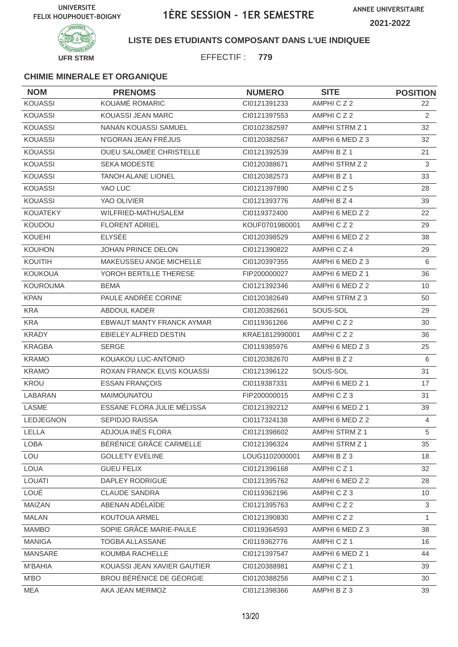

#### **LISTE DES ETUDIANTS COMPOSANT DANS L'UE INDIQUEE**

EFFECTIF : **779**

| <b>NOM</b>       | <b>PRENOMS</b>                 | <b>NUMERO</b>  | <b>SITE</b>     | <b>POSITION</b> |
|------------------|--------------------------------|----------------|-----------------|-----------------|
| <b>KOUASSI</b>   | KOUAMÉ ROMARIC                 | CI0121391233   | AMPHICZ2        | 22              |
| <b>KOUASSI</b>   | <b>KOUASSI JEAN MARC</b>       | CI0121397553   | AMPHICZ2        | 2               |
| <b>KOUASSI</b>   | NANAN KOUASSI SAMUEL           | CI0102382597   | AMPHI STRM Z 1  | 32              |
| <b>KOUASSI</b>   | N'GORAN JEAN FRÉJUS            | CI0120382567   | AMPHI 6 MED Z 3 | 32              |
| <b>KOUASSI</b>   | <b>OUEU SALOMÉE CHRISTELLE</b> | CI0121392539   | AMPHI B Z 1     | 21              |
| <b>KOUASSI</b>   | <b>SEKA MODESTE</b>            | CI0120388671   | AMPHI STRM Z 2  | 3               |
| <b>KOUASSI</b>   | <b>TANOH ALANE LIONEL</b>      | CI0120382573   | AMPHI B Z 1     | 33              |
| <b>KOUASSI</b>   | YAO LUC                        | CI0121397890   | AMPHICZ5        | 28              |
| <b>KOUASSI</b>   | YAO OLIVIER                    | CI0121393776   | AMPHI B Z 4     | 39              |
| <b>KOUATEKY</b>  | WILFRIED-MATHUSALEM            | CI0119372400   | AMPHI 6 MED Z 2 | 22              |
| <b>KOUDOU</b>    | <b>FLORENT ADRIEL</b>          | KOUF0701980001 | AMPHICZ2        | 29              |
| <b>KOUEHI</b>    | <b>ELYSÉE</b>                  | CI0120398529   | AMPHI 6 MED Z 2 | 38              |
| <b>KOUHON</b>    | JOHAN PRINCE DELON             | CI0121390822   | AMPHICZ4        | 29              |
| KOUITIH          | MAKEUSSEU ANGE MICHELLE        | CI0120397355   | AMPHI 6 MED Z 3 | 6               |
| <b>KOUKOUA</b>   | YOROH BERTILLE THERESE         | FIP200000027   | AMPHI 6 MED Z 1 | 36              |
| <b>KOUROUMA</b>  | <b>BEMA</b>                    | CI0121392346   | AMPHI 6 MED Z 2 | 10              |
| <b>KPAN</b>      | PAULE ANDRÉE CORINE            | CI0120382649   | AMPHI STRM Z 3  | 50              |
| <b>KRA</b>       | <b>ABDOUL KADER</b>            | CI0120382661   | SOUS-SOL        | 29              |
| <b>KRA</b>       | EBWAUT MANTY FRANCK AYMAR      | CI0119361266   | AMPHICZ2        | 30              |
| <b>KRADY</b>     | EBIELEY ALFRED DESTIN          | KRAE1812990001 | AMPHICZ2        | 36              |
| <b>KRAGBA</b>    | <b>SERGE</b>                   | CI0119385976   | AMPHI 6 MED Z 3 | 25              |
| <b>KRAMO</b>     | KOUAKOU LUC-ANTONIO            | CI0120382670   | AMPHI B Z 2     | 6               |
| <b>KRAMO</b>     | ROXAN FRANCK ELVIS KOUASSI     | CI0121396122   | SOUS-SOL        | 31              |
| KROU             | <b>ESSAN FRANÇOIS</b>          | CI0119387331   | AMPHI 6 MED Z 1 | 17              |
| LABARAN          | MAIMOUNATOU                    | FIP200000015   | AMPHICZ3        | 31              |
| LASME            | ESSANE FLORA JULIE MÉLISSA     | CI0121392212   | AMPHI 6 MED Z 1 | 39              |
| <b>LEDJEGNON</b> | <b>SEPIDJO RAISSA</b>          | Cl0117324138   | AMPHI 6 MED Z 2 | $\overline{4}$  |
| LELLA            | ADJOUA INÈS FLORA              | CI0121398602   | AMPHI STRM Z 1  | 5               |
| LOBA             | BÉRÉNICE GRÂCE CARMELLE        | CI0121396324   | AMPHI STRM Z 1  | 35              |
| LOU              | <b>GOLLETY EVELINE</b>         | LOUG1102000001 | AMPHI B Z 3     | 18              |
| LOUA             | <b>GUEU FELIX</b>              | CI0121396168   | AMPHICZ1        | 32              |
| <b>LOUATI</b>    | DAPLEY RODRIGUE                | CI0121395762   | AMPHI 6 MED Z 2 | 28              |
| LOUÉ             | <b>CLAUDE SANDRA</b>           | CI0119362196   | AMPHICZ3        | 10              |
| MAIZAN           | ABENAN ADÉLAÏDE                | Cl0121395763   | AMPHICZ2        | $\mathbf{3}$    |
| <b>MALAN</b>     | KOUTOUA ARMEL                  | Cl0121390830   | AMPHICZ2        | $\mathbf{1}$    |
| <b>MAMBO</b>     | SOPIE GRÂCE MARIE-PAULE        | CI0119364593   | AMPHI 6 MED Z 3 | 38              |
| <b>MANIGA</b>    | TOGBA ALLASSANE                | CI0119362776   | AMPHICZ1        | 16              |
| MANSARE          | KOUMBA RACHELLE                | CI0121397547   | AMPHI 6 MED Z 1 | 44              |
| M'BAHIA          | KOUASSI JEAN XAVIER GAUTIER    | CI0120388981   | AMPHICZ1        | 39              |
| M'BO             | BROU BÉRÉNICE DE GÉORGIE       | CI0120388256   | AMPHICZ1        | 30              |
| MEA              | AKA JEAN MERMOZ                | CI0121398366   | AMPHI B Z 3     | 39              |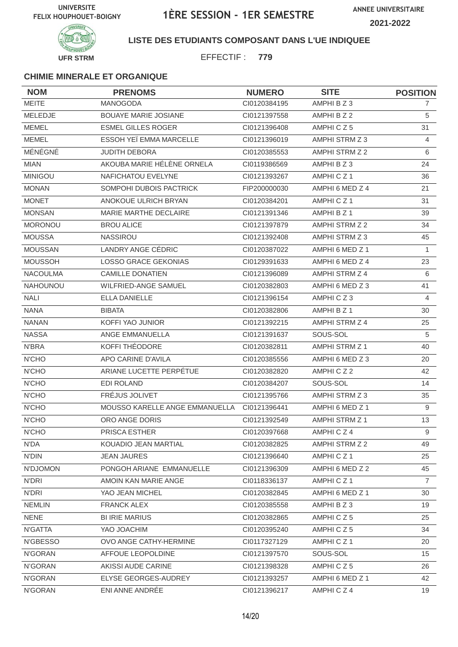

#### **LISTE DES ETUDIANTS COMPOSANT DANS L'UE INDIQUEE**

EFFECTIF : **779**

| <b>NOM</b>      | <b>PRENOMS</b>                 | <b>NUMERO</b> | <b>SITE</b>           | <b>POSITION</b> |
|-----------------|--------------------------------|---------------|-----------------------|-----------------|
| <b>MEITE</b>    | MANOGODA                       | CI0120384195  | AMPHI B Z 3           | 7               |
| MELEDJE         | <b>BOUAYE MARIE JOSIANE</b>    | CI0121397558  | AMPHI B Z 2           | 5               |
| <b>MEMEL</b>    | <b>ESMEL GILLES ROGER</b>      | CI0121396408  | AMPHICZ5              | 31              |
| <b>MEMEL</b>    | ESSOH YEÏ EMMA MARCELLE        | CI0121396019  | AMPHI STRM Z 3        | 4               |
| MÉNÉGNÉ         | <b>JUDITH DEBORA</b>           | CI0120385553  | AMPHI STRM Z 2        | 6               |
| <b>MIAN</b>     | AKOUBA MARIE HÉLÈNE ORNELA     | CI0119386569  | AMPHI B Z 3           | 24              |
| <b>MINIGOU</b>  | NAFICHATOU EVELYNE             | CI0121393267  | AMPHICZ <sub>1</sub>  | 36              |
| <b>MONAN</b>    | SOMPOHI DUBOIS PACTRICK        | FIP200000030  | AMPHI 6 MED Z 4       | 21              |
| <b>MONET</b>    | ANOKOUE ULRICH BRYAN           | CI0120384201  | AMPHICZ1              | 31              |
| <b>MONSAN</b>   | MARIE MARTHE DECLAIRE          | CI0121391346  | AMPHI B Z 1           | 39              |
| <b>MORONOU</b>  | <b>BROU ALICE</b>              | CI0121397879  | AMPHI STRM Z 2        | 34              |
| <b>MOUSSA</b>   | NASSIROU                       | CI0121392408  | AMPHI STRM Z 3        | 45              |
| <b>MOUSSAN</b>  | LANDRY ANGE CÉDRIC             | CI0120387022  | AMPHI 6 MED Z 1       | 1               |
| <b>MOUSSOH</b>  | <b>LOSSO GRACE GEKONIAS</b>    | CI0129391633  | AMPHI 6 MED Z 4       | 23              |
| <b>NACOULMA</b> | <b>CAMILLE DONATIEN</b>        | CI0121396089  | AMPHI STRM Z 4        | 6               |
| <b>NAHOUNOU</b> | <b>WILFRIED-ANGE SAMUEL</b>    | CI0120382803  | AMPHI 6 MED Z 3       | 41              |
| <b>NALI</b>     | <b>ELLA DANIELLE</b>           | Cl0121396154  | AMPHICZ3              | $\overline{4}$  |
| <b>NANA</b>     | <b>BIBATA</b>                  | CI0120382806  | AMPHI B Z 1           | 30              |
| <b>NANAN</b>    | KOFFI YAO JUNIOR               | CI0121392215  | AMPHI STRM Z 4        | 25              |
| <b>NASSA</b>    | ANGE EMMANUELLA                | CI0121391637  | SOUS-SOL              | 5               |
| N'BRA           | KOFFI THÉODORE                 | CI0120382811  | AMPHI STRM Z 1        | 40              |
| <b>N'CHO</b>    | APO CARINE D'AVILA             | CI0120385556  | AMPHI 6 MED Z 3       | 20              |
| <b>N'CHO</b>    | ARIANE LUCETTE PERPÉTUE        | CI0120382820  | AMPHICZ2              | 42              |
| N'CHO           | <b>EDI ROLAND</b>              | CI0120384207  | SOUS-SOL              | 14              |
| <b>N'CHO</b>    | FRÉJUS JOLIVET                 | CI0121395766  | AMPHI STRM Z 3        | 35              |
| N'CHO           | MOUSSO KARELLE ANGE EMMANUELLA | CI0121396441  | AMPHI 6 MED Z 1       | 9               |
| <b>N'CHO</b>    | ORO ANGE DORIS                 | CI0121392549  | <b>AMPHI STRM Z 1</b> | 13              |
| N'CHO           | PRISCA ESTHER                  | CI0120397668  | AMPHI C Z 4           | 9               |
| N'DA            | KOUADIO JEAN MARTIAL           | CI0120382825  | AMPHI STRM Z 2        | 49              |
| N'DIN           | <b>JEAN JAURES</b>             | CI0121396640  | AMPHICZ1              | 25              |
| N'DJOMON        | PONGOH ARIANE EMMANUELLE       | CI0121396309  | AMPHI 6 MED Z 2       | 45              |
| N'DRI           | AMOIN KAN MARIE ANGE           | CI0118336137  | AMPHICZ1              | $\overline{7}$  |
| N'DRI           | YAO JEAN MICHEL                | CI0120382845  | AMPHI 6 MED Z 1       | 30              |
| <b>NEMLIN</b>   | <b>FRANCK ALEX</b>             | CI0120385558  | AMPHI B Z 3           | 19              |
| <b>NENE</b>     | <b>BI IRIE MARIUS</b>          | CI0120382865  | AMPHICZ5              | 25              |
| N'GATTA         | YAO JOACHIM                    | CI0120395240  | AMPHICZ5              | 34              |
| N'GBESSO        | OVO ANGE CATHY-HERMINE         | CI0117327129  | AMPHICZ1              | 20              |
| N'GORAN         | AFFOUE LEOPOLDINE              | CI0121397570  | SOUS-SOL              | 15              |
| N'GORAN         | AKISSI AUDE CARINE             | CI0121398328  | AMPHICZ5              | 26              |
| N'GORAN         | ELYSE GEORGES-AUDREY           | CI0121393257  | AMPHI 6 MED Z 1       | 42              |
| N'GORAN         | ENI ANNE ANDRÉE                | CI0121396217  | AMPHICZ4              | 19              |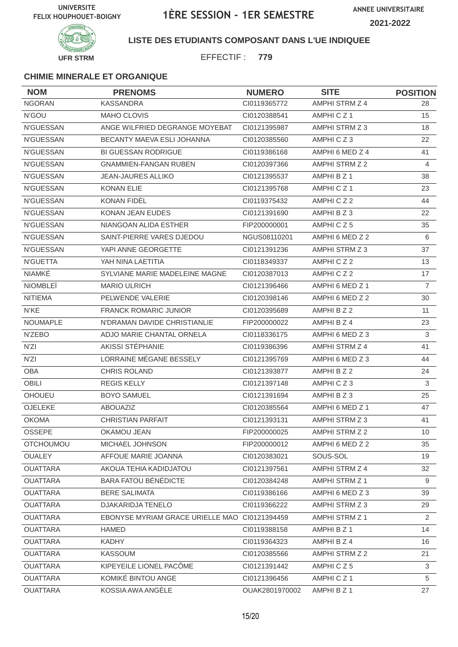**ANNEE UNIVERSITAIRE 2021-2022**



#### **LISTE DES ETUDIANTS COMPOSANT DANS L'UE INDIQUEE**

EFFECTIF : **779**

| <b>NOM</b>       | <b>PRENOMS</b>                                | <b>NUMERO</b>  | <b>SITE</b>     | <b>POSITION</b> |
|------------------|-----------------------------------------------|----------------|-----------------|-----------------|
| <b>NGORAN</b>    | <b>KASSANDRA</b>                              | CI0119365772   | AMPHI STRM Z 4  | 28              |
| N'GOU            | MAHO CLOVIS                                   | CI0120388541   | AMPHICZ1        | 15              |
| <b>N'GUESSAN</b> | ANGE WILFRIED DEGRANGE MOYEBAT                | CI0121395987   | AMPHI STRM Z 3  | 18              |
| N'GUESSAN        | BECANTY MAEVA ESLI JOHANNA                    | CI0120385560   | AMPHICZ3        | 22              |
| N'GUESSAN        | <b>BI GUESSAN RODRIGUE</b>                    | CI0119386168   | AMPHI 6 MED Z 4 | 41              |
| <b>N'GUESSAN</b> | <b>GNAMMIEN-FANGAN RUBEN</b>                  | CI0120397366   | AMPHI STRM Z 2  | 4               |
| N'GUESSAN        | <b>JEAN-JAURES ALLIKO</b>                     | CI0121395537   | AMPHI B Z 1     | 38              |
| N'GUESSAN        | <b>KONAN ELIE</b>                             | CI0121395768   | AMPHICZ1        | 23              |
| <b>N'GUESSAN</b> | KONAN FIDÈL                                   | CI0119375432   | AMPHICZ2        | 44              |
| N'GUESSAN        | <b>KONAN JEAN EUDES</b>                       | CI0121391690   | AMPHIBZ3        | 22              |
| <b>N'GUESSAN</b> | NIANGOAN ALIDA ESTHER                         | FIP200000001   | AMPHICZ5        | 35              |
| N'GUESSAN        | SAINT-PIERRE VARES DJEDOU                     | NGUS08110201   | AMPHI 6 MED Z 2 | 6               |
| N'GUESSAN        | YAPI ANNE GEORGETTE                           | CI0121391236   | AMPHI STRM Z 3  | 37              |
| N'GUETTA         | YAH NINA LAETITIA                             | CI0118349337   | AMPHICZ2        | 13              |
| NIAMKÉ           | SYLVIANE MARIE MADELEINE MAGNE                | CI0120387013   | AMPHICZ2        | 17              |
| <b>NIOMBLEI</b>  | <b>MARIO ULRICH</b>                           | CI0121396466   | AMPHI 6 MED Z 1 | $\overline{7}$  |
| <b>NITIEMA</b>   | PELWENDE VALERIE                              | CI0120398146   | AMPHI 6 MED Z 2 | 30              |
| N'KE             | <b>FRANCK ROMARIC JUNIOR</b>                  | CI0120395689   | AMPHI B Z 2     | 11              |
| NOUMAPLE         | N'DRAMAN DAVIDE CHRISTIANLIE                  | FIP200000022   | AMPHI B Z 4     | 23              |
| N'ZEBO           | ADJO MARIE CHANTAL ORNELA                     | CI0118336175   | AMPHI 6 MED Z 3 | 3               |
| N'ZI             | AKISSI STÉPHANIE                              | CI0119386396   | AMPHI STRM Z 4  | 41              |
| N'ZI             | LORRAINE MÉGANE BESSELY                       | CI0121395769   | AMPHI 6 MED Z 3 | 44              |
| <b>OBA</b>       | <b>CHRIS ROLAND</b>                           | CI0121393877   | AMPHI B Z 2     | 24              |
| <b>OBILI</b>     | <b>REGIS KELLY</b>                            | CI0121397148   | AMPHICZ3        | 3               |
| <b>OHOUEU</b>    | <b>BOYO SAMUEL</b>                            | CI0121391694   | AMPHI B Z 3     | 25              |
| OJELEKE          | <b>ABOUAZIZ</b>                               | CI0120385564   | AMPHI 6 MED Z 1 | 47              |
| <b>OKOMA</b>     | <b>CHRISTIAN PARFAIT</b>                      | CI0121393131   | AMPHI STRM Z 3  | 41              |
| OSSEPE           | OKAMOU JEAN                                   | FIP200000025   | AMPHI STRM Z 2  | 10              |
| <b>OTCHOUMOU</b> | MICHAEL JOHNSON                               | FIP200000012   | AMPHI 6 MED Z 2 | 35              |
| <b>OUALEY</b>    | AFFOUE MARIE JOANNA                           | CI0120383021   | SOUS-SOL        | 19              |
| <b>OUATTARA</b>  | AKOUA TEHIA KADIDJATOU                        | CI0121397561   | AMPHI STRM Z 4  | 32              |
| <b>OUATTARA</b>  | <b>BARA FATOU BÉNÉDICTE</b>                   | CI0120384248   | AMPHI STRM Z 1  | 9               |
| <b>OUATTARA</b>  | <b>BERE SALIMATA</b>                          | CI0119386166   | AMPHI 6 MED Z 3 | 39              |
| <b>OUATTARA</b>  | DJAKARIDJA TENELO                             | CI0119366222   | AMPHI STRM Z 3  | 29              |
| <b>OUATTARA</b>  | EBONYSE MYRIAM GRACE URIELLE MAO C10121394459 |                | AMPHI STRM Z 1  | 2               |
| <b>OUATTARA</b>  | <b>HAMED</b>                                  | CI0119388158   | AMPHI B Z 1     | 14              |
| <b>OUATTARA</b>  | <b>KADHY</b>                                  | CI0119364323   | AMPHI B Z 4     | 16              |
| <b>OUATTARA</b>  | <b>KASSOUM</b>                                | CI0120385566   | AMPHI STRM Z 2  | 21              |
| <b>OUATTARA</b>  | KIPEYEILE LIONEL PACÔME                       | CI0121391442   | AMPHICZ5        | 3               |
| <b>OUATTARA</b>  | KOMIKÉ BINTOU ANGE                            | CI0121396456   | AMPHICZ1        | 5               |
| <b>OUATTARA</b>  | KOSSIA AWA ANGÉLE                             | OUAK2801970002 | AMPHI B Z 1     | 27              |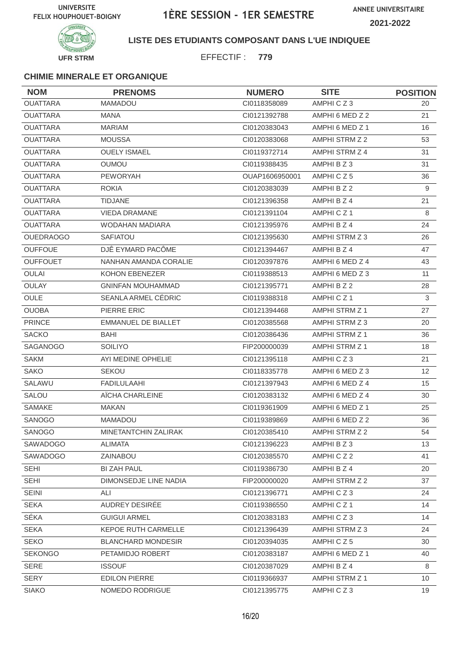

#### **LISTE DES ETUDIANTS COMPOSANT DANS L'UE INDIQUEE**

EFFECTIF : **779**

| <b>NOM</b>       | <b>PRENOMS</b>             | <b>NUMERO</b>  | <b>SITE</b>          | <b>POSITION</b> |
|------------------|----------------------------|----------------|----------------------|-----------------|
| <b>OUATTARA</b>  | <b>MAMADOU</b>             | CI0118358089   | AMPHICZ3             | 20              |
| <b>OUATTARA</b>  | <b>MANA</b>                | CI0121392788   | AMPHI 6 MED Z 2      | 21              |
| <b>OUATTARA</b>  | <b>MARIAM</b>              | CI0120383043   | AMPHI 6 MED Z 1      | 16              |
| <b>OUATTARA</b>  | <b>MOUSSA</b>              | CI0120383068   | AMPHI STRM Z 2       | 53              |
| <b>OUATTARA</b>  | <b>OUELY ISMAEL</b>        | CI0119372714   | AMPHI STRM Z 4       | 31              |
| <b>OUATTARA</b>  | <b>OUMOU</b>               | CI0119388435   | AMPHI B Z 3          | 31              |
| <b>OUATTARA</b>  | <b>PEWORYAH</b>            | OUAP1606950001 | AMPHICZ5             | 36              |
| <b>OUATTARA</b>  | <b>ROKIA</b>               | CI0120383039   | AMPHI B Z 2          | 9               |
| <b>OUATTARA</b>  | <b>TIDJANE</b>             | CI0121396358   | AMPHI B Z 4          | 21              |
| <b>OUATTARA</b>  | VIEDA DRAMANE              | CI0121391104   | AMPHICZ <sub>1</sub> | 8               |
| <b>OUATTARA</b>  | <b>WODAHAN MADIARA</b>     | CI0121395976   | AMPHI B Z 4          | 24              |
| <b>OUEDRAOGO</b> | <b>SAFIATOU</b>            | CI0121395630   | AMPHI STRM Z 3       | 26              |
| <b>OUFFOUE</b>   | DJÊ EYMARD PACÔME          | CI0121394467   | AMPHI B Z 4          | 47              |
| <b>OUFFOUET</b>  | NANHAN AMANDA CORALIE      | CI0120397876   | AMPHI 6 MED Z 4      | 43              |
| <b>OULAI</b>     | KOHON EBENEZER             | CI0119388513   | AMPHI 6 MED Z 3      | 11              |
| <b>OULAY</b>     | <b>GNINFAN MOUHAMMAD</b>   | CI0121395771   | AMPHI B Z 2          | 28              |
| OULE             | SEANLA ARMEL CÉDRIC        | CI0119388318   | AMPHICZ1             | 3               |
| <b>OUOBA</b>     | PIERRE ERIC                | CI0121394468   | AMPHI STRM Z 1       | 27              |
| <b>PRINCE</b>    | <b>EMMANUEL DE BIALLET</b> | CI0120385568   | AMPHI STRM Z 3       | 20              |
| <b>SACKO</b>     | BAHI                       | CI0120386436   | AMPHI STRM Z 1       | 36              |
| <b>SAGANOGO</b>  | <b>SOILIYO</b>             | FIP200000039   | AMPHI STRM Z 1       | 18              |
| <b>SAKM</b>      | AYI MEDINE OPHELIE         | CI0121395118   | AMPHICZ3             | 21              |
| <b>SAKO</b>      | <b>SEKOU</b>               | CI0118335778   | AMPHI 6 MED Z 3      | 12              |
| SALAWU           | <b>FADILULAAHI</b>         | CI0121397943   | AMPHI 6 MED Z 4      | 15              |
| SALOU            | AÏCHA CHARLEINE            | CI0120383132   | AMPHI 6 MED Z 4      | 30              |
| <b>SAMAKE</b>    | <b>MAKAN</b>               | CI0119361909   | AMPHI 6 MED Z 1      | 25              |
| SANOGO           | <b>MAMADOU</b>             | CI0119389869   | AMPHI 6 MED Z 2      | 36              |
| SANOGO           | MINETANTCHIN ZALIRAK       | Cl0120385410   | AMPHI STRM Z 2       | 54              |
| SAWADOGO         | <b>ALIMATA</b>             | CI0121396223   | AMPHI B Z 3          | 13              |
| SAWADOGO         | ZAINABOU                   | CI0120385570   | AMPHICZ2             | 41              |
| <b>SEHI</b>      | BI ZAH PAUL                | CI0119386730   | AMPHI B Z 4          | 20              |
| <b>SEHI</b>      | DIMONSEDJE LINE NADIA      | FIP200000020   | AMPHI STRM Z 2       | 37              |
| <b>SEINI</b>     | ALI                        | CI0121396771   | AMPHICZ3             | 24              |
| <b>SEKA</b>      | AUDREY DESIRÉE             | CI0119386550   | AMPHICZ1             | 14              |
| SÉKA             | <b>GUIGUI ARMEL</b>        | CI0120383183   | AMPHICZ3             | 14              |
| <b>SEKA</b>      | KEPOE RUTH CARMELLE        | Cl0121396439   | AMPHI STRM Z 3       | 24              |
| <b>SEKO</b>      | <b>BLANCHARD MONDESIR</b>  | CI0120394035   | AMPHICZ5             | 30              |
| <b>SEKONGO</b>   | PETAMIDJO ROBERT           | CI0120383187   | AMPHI 6 MED Z 1      | 40              |
| <b>SERE</b>      | <b>ISSOUF</b>              | CI0120387029   | AMPHI B Z 4          | 8               |
| <b>SERY</b>      | <b>EDILON PIERRE</b>       | CI0119366937   | AMPHI STRM Z 1       | 10              |
| <b>SIAKO</b>     | NOMEDO RODRIGUE            | Cl0121395775   | AMPHICZ3             | 19              |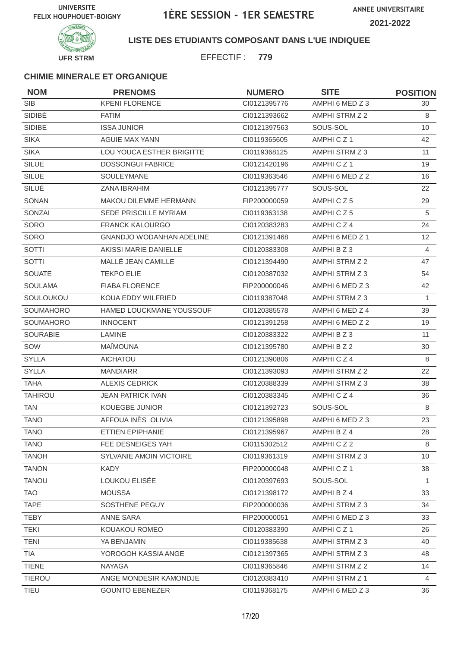

#### **LISTE DES ETUDIANTS COMPOSANT DANS L'UE INDIQUEE**

EFFECTIF : **779**

| <b>NOM</b>       | <b>PRENOMS</b>                  | <b>NUMERO</b> | <b>SITE</b>     | <b>POSITION</b> |
|------------------|---------------------------------|---------------|-----------------|-----------------|
| <b>SIB</b>       | <b>KPENI FLORENCE</b>           | CI0121395776  | AMPHI 6 MED Z 3 | 30              |
| SIDIBÉ           | <b>FATIM</b>                    | CI0121393662  | AMPHI STRM Z 2  | 8               |
| <b>SIDIBE</b>    | <b>ISSA JUNIOR</b>              | CI0121397563  | SOUS-SOL        | 10              |
| <b>SIKA</b>      | <b>AGUIE MAX YANN</b>           | CI0119365605  | AMPHICZ1        | 42              |
| <b>SIKA</b>      | LOU YOUCA ESTHER BRIGITTE       | CI0119368125  | AMPHI STRM Z 3  | 11              |
| <b>SILUE</b>     | <b>DOSSONGUI FABRICE</b>        | CI0121420196  | AMPHICZ1        | 19              |
| <b>SILUE</b>     | <b>SOULEYMANE</b>               | CI0119363546  | AMPHI 6 MED Z 2 | 16              |
| SILUÉ            | <b>ZANA IBRAHIM</b>             | CI0121395777  | SOUS-SOL        | 22              |
| SONAN            | MAKOU DILEMME HERMANN           | FIP200000059  | AMPHICZ5        | 29              |
| SONZAI           | <b>SEDE PRISCILLE MYRIAM</b>    | CI0119363138  | AMPHICZ5        | 5               |
| SORO             | <b>FRANCK KALOURGO</b>          | CI0120383283  | AMPHICZ4        | 24              |
| <b>SORO</b>      | <b>GNANDJO WODANHAN ADELINE</b> | CI0121391468  | AMPHI 6 MED Z 1 | 12              |
| SOTTI            | AKISSI MARIE DANIELLE           | CI0120383308  | AMPHI B Z 3     | 4               |
| SOTTI            | MALLÉ JEAN CAMILLE              | CI0121394490  | AMPHI STRM Z 2  | 47              |
| SOUATE           | <b>TEKPO ELIE</b>               | CI0120387032  | AMPHI STRM Z 3  | 54              |
| <b>SOULAMA</b>   | <b>FIABA FLORENCE</b>           | FIP200000046  | AMPHI 6 MED Z 3 | 42              |
| SOULOUKOU        | KOUA EDDY WILFRIED              | CI0119387048  | AMPHI STRM Z 3  | $\mathbf{1}$    |
| SOUMAHORO        | HAMED LOUCKMANE YOUSSOUF        | CI0120385578  | AMPHI 6 MED Z 4 | 39              |
| <b>SOUMAHORO</b> | <b>INNOCENT</b>                 | CI0121391258  | AMPHI 6 MED Z 2 | 19              |
| <b>SOURABIE</b>  | LAMINE                          | CI0120383322  | AMPHI B Z 3     | 11              |
| SOW              | <b>MAÏMOUNA</b>                 | CI0121395780  | AMPHI B Z 2     | 30              |
| <b>SYLLA</b>     | <b>AICHATOU</b>                 | CI0121390806  | AMPHICZ4        | 8               |
| <b>SYLLA</b>     | <b>MANDIARR</b>                 | CI0121393093  | AMPHI STRM Z 2  | 22              |
| <b>TAHA</b>      | <b>ALEXIS CEDRICK</b>           | CI0120388339  | AMPHI STRM Z 3  | 38              |
| <b>TAHIROU</b>   | <b>JEAN PATRICK IVAN</b>        | CI0120383345  | AMPHICZ4        | 36              |
| <b>TAN</b>       | <b>KOUEGBE JUNIOR</b>           | CI0121392723  | SOUS-SOL        | 8               |
| <b>TANO</b>      | AFFOUA INÈS OLIVIA              | CI0121395898  | AMPHI 6 MED Z 3 | 23              |
| <b>TANO</b>      | ETTIEN EPIPHANIE                | CI0121395967  | AMPHI B Z 4     | 28              |
| <b>TANO</b>      | FEE DESNEIGES YAH               | CI0115302512  | AMPHICZ2        | 8               |
| <b>TANOH</b>     | SYLVANIE AMOIN VICTOIRE         | CI0119361319  | AMPHI STRM Z 3  | 10              |
| <b>TANON</b>     | KADY                            | FIP200000048  | AMPHICZ1        | 38              |
| <b>TANOU</b>     | LOUKOU ELISÉE                   | CI0120397693  | SOUS-SOL        | $\mathbf{1}$    |
| <b>TAO</b>       | <b>MOUSSA</b>                   | Cl0121398172  | AMPHI B Z 4     | 33              |
| <b>TAPE</b>      | SOSTHENE PEGUY                  | FIP200000036  | AMPHI STRM Z 3  | 34              |
| <b>TEBY</b>      | <b>ANNE SARA</b>                | FIP200000051  | AMPHI 6 MED Z 3 | 33              |
| <b>TEKI</b>      | KOUAKOU ROMEO                   | CI0120383390  | AMPHICZ1        | 26              |
| <b>TENI</b>      | YA BENJAMIN                     | CI0119385638  | AMPHI STRM Z 3  | 40              |
| TIA              | YOROGOH KASSIA ANGE             | CI0121397365  | AMPHI STRM Z 3  | 48              |
| <b>TIENE</b>     | <b>NAYAGA</b>                   | CI0119365846  | AMPHI STRM Z 2  | 14              |
| <b>TIEROU</b>    | ANGE MONDESIR KAMONDJE          | CI0120383410  | AMPHI STRM Z 1  | $\overline{4}$  |
| TIEU             | <b>GOUNTO EBENEZER</b>          | CI0119368175  | AMPHI 6 MED Z 3 | 36              |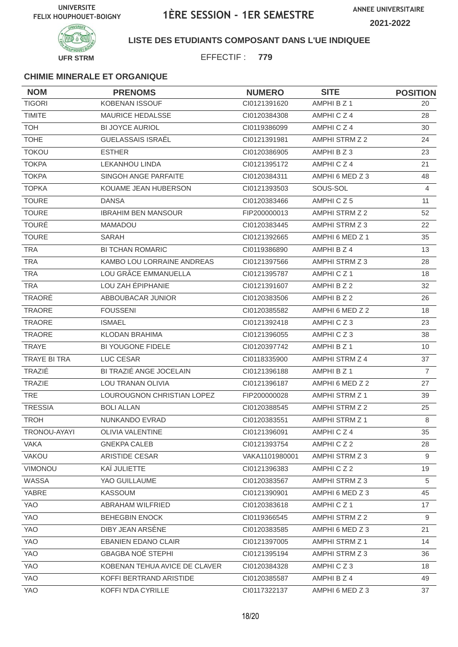

### **LISTE DES ETUDIANTS COMPOSANT DANS L'UE INDIQUEE**

EFFECTIF : **779**

| <b>NOM</b>     | <b>PRENOMS</b>                | <b>NUMERO</b>  | <b>SITE</b>           | <b>POSITION</b> |
|----------------|-------------------------------|----------------|-----------------------|-----------------|
| <b>TIGORI</b>  | KOBENAN ISSOUF                | CI0121391620   | AMPHI B Z 1           | 20              |
| <b>TIMITE</b>  | <b>MAURICE HEDALSSE</b>       | CI0120384308   | AMPHICZ4              | 28              |
| <b>TOH</b>     | <b>BI JOYCE AURIOL</b>        | CI0119386099   | AMPHICZ4              | 30              |
| <b>TOHE</b>    | <b>GUELASSAIS ISRAËL</b>      | CI0121391981   | AMPHI STRM Z 2        | 24              |
| <b>TOKOU</b>   | <b>ESTHER</b>                 | CI0120386905   | AMPHI B Z 3           | 23              |
| <b>TOKPA</b>   | <b>LEKANHOU LINDA</b>         | CI0121395172   | AMPHICZ4              | 21              |
| <b>TOKPA</b>   | SINGOH ANGE PARFAITE          | CI0120384311   | AMPHI 6 MED Z 3       | 48              |
| <b>TOPKA</b>   | KOUAME JEAN HUBERSON          | CI0121393503   | SOUS-SOL              | 4               |
| <b>TOURE</b>   | <b>DANSA</b>                  | CI0120383466   | AMPHICZ5              | 11              |
| <b>TOURE</b>   | <b>IBRAHIM BEN MANSOUR</b>    | FIP200000013   | AMPHI STRM Z 2        | 52              |
| <b>TOURÉ</b>   | <b>MAMADOU</b>                | CI0120383445   | AMPHI STRM Z 3        | 22              |
| <b>TOURE</b>   | SARAH                         | CI0121392665   | AMPHI 6 MED Z 1       | 35              |
| <b>TRA</b>     | <b>BI TCHAN ROMARIC</b>       | CI0119386890   | AMPHI B Z 4           | 13              |
| <b>TRA</b>     | KAMBO LOU LORRAINE ANDREAS    | CI0121397566   | AMPHI STRM Z 3        | 28              |
| <b>TRA</b>     | LOU GRÂCE EMMANUELLA          | CI0121395787   | AMPHICZ1              | 18              |
| <b>TRA</b>     | LOU ZAH ÉPIPHANIE             | CI0121391607   | AMPHI B Z 2           | 32              |
| TRAORÉ         | ABBOUBACAR JUNIOR             | CI0120383506   | AMPHI B Z 2           | 26              |
| <b>TRAORE</b>  | <b>FOUSSENI</b>               | CI0120385582   | AMPHI 6 MED Z 2       | 18              |
| <b>TRAORE</b>  | <b>ISMAEL</b>                 | CI0121392418   | AMPHICZ3              | 23              |
| <b>TRAORE</b>  | KLODAN BRAHIMA                | CI0121396055   | AMPHICZ3              | 38              |
| <b>TRAYE</b>   | <b>BI YOUGONE FIDELE</b>      | CI0120397742   | AMPHI B Z 1           | 10              |
| TRAYE BI TRA   | LUC CESAR                     | CI0118335900   | AMPHI STRM Z 4        | 37              |
| TRAZIÉ         | BI TRAZIÉ ANGE JOCELAIN       | CI0121396188   | AMPHI B Z 1           | $\overline{7}$  |
| <b>TRAZIE</b>  | LOU TRANAN OLIVIA             | CI0121396187   | AMPHI 6 MED Z 2       | 27              |
| <b>TRE</b>     | LOUROUGNON CHRISTIAN LOPEZ    | FIP200000028   | AMPHI STRM Z 1        | 39              |
| <b>TRESSIA</b> | <b>BOLI ALLAN</b>             | CI0120388545   | AMPHI STRM Z 2        | 25              |
| <b>TROH</b>    | NUNKANDO EVRAD                | CI0120383551   | <b>AMPHI STRM Z 1</b> | 8               |
| TRONOU-AYAYI   | OLIVIA VALENTINE              | CI0121396091   | AMPHICZ4              | 35              |
| <b>VAKA</b>    | <b>GNEKPA CALEB</b>           | CI0121393754   | AMPHICZ2              | 28              |
| VAKOU          | <b>ARISTIDE CESAR</b>         | VAKA1101980001 | AMPHI STRM Z 3        | 9               |
| VIMONOU        | KAÏ JULIETTE                  | Cl0121396383   | AMPHICZ2              | 19              |
| WASSA          | YAO GUILLAUME                 | CI0120383567   | AMPHI STRM Z 3        | 5               |
| YABRE          | KASSOUM                       | CI0121390901   | AMPHI 6 MED Z 3       | 45              |
| YAO            | ABRAHAM WILFRIED              | CI0120383618   | AMPHICZ1              | 17              |
| YAO            | <b>BEHEGBIN ENOCK</b>         | CI0119366545   | AMPHI STRM Z 2        | 9               |
| YAO            | DIBY JEAN ARSENE              | CI0120383585   | AMPHI 6 MED Z 3       | 21              |
| YAO            | <b>EBANIEN EDANO CLAIR</b>    | CI0121397005   | AMPHI STRM Z 1        | 14              |
| YAO            | <b>GBAGBA NOÉ STEPHI</b>      | Cl0121395194   | AMPHI STRM Z 3        | 36              |
| YAO            | KOBENAN TEHUA AVICE DE CLAVER | CI0120384328   | AMPHICZ3              | 18              |
| YAO            | KOFFI BERTRAND ARISTIDE       | CI0120385587   | AMPHI B Z 4           | 49              |
| YAO            | KOFFI N'DA CYRILLE            | CI0117322137   | AMPHI 6 MED Z 3       | 37              |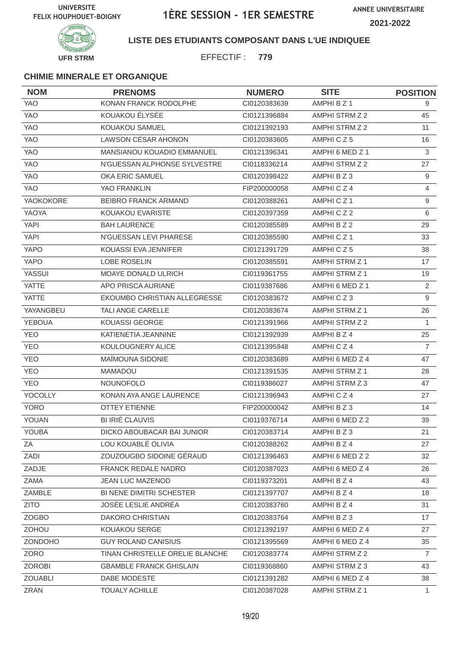

#### **LISTE DES ETUDIANTS COMPOSANT DANS L'UE INDIQUEE**

EFFECTIF : **779**

| <b>NOM</b>     | <b>PRENOMS</b>                  | <b>NUMERO</b> | <b>SITE</b>           | <b>POSITION</b> |
|----------------|---------------------------------|---------------|-----------------------|-----------------|
| <b>YAO</b>     | KONAN FRANCK RODOLPHE           | CI0120383639  | AMPHI B Z 1           | 9               |
| <b>YAO</b>     | KOUAKOU ÉLYSÉE                  | CI0121396884  | AMPHI STRM Z 2        | 45              |
| <b>YAO</b>     | KOUAKOU SAMUEL                  | CI0121392193  | AMPHI STRM Z 2        | 11              |
| <b>YAO</b>     | <b>LAWSON CÉSAR AHONON</b>      | CI0120383605  | AMPHICZ5              | 16              |
| YAO            | MANSIANOU KOUADIO EMMANUEL      | CI0121396341  | AMPHI 6 MED Z 1       | 3               |
| YAO            | N'GUESSAN ALPHONSE SYLVESTRE    | CI0118336214  | AMPHI STRM Z 2        | 27              |
| <b>YAO</b>     | <b>OKA ERIC SAMUEL</b>          | CI0120398422  | AMPHI B Z 3           | 9               |
| <b>YAO</b>     | YAO FRANKLIN                    | FIP200000058  | AMPHICZ4              | $\overline{4}$  |
| YAOKOKORE      | <b>BEIBRO FRANCK ARMAND</b>     | CI0120388261  | AMPHICZ1              | 9               |
| YAOYA          | KOUAKOU EVARISTE                | CI0120397359  | AMPHICZ2              | 6               |
| <b>YAPI</b>    | <b>BAH LAURENCE</b>             | CI0120385589  | AMPHI B Z 2           | 29              |
| <b>YAPI</b>    | N'GUESSAN LEVI PHARESE          | CI0120385590  | AMPHICZ1              | 33              |
| <b>YAPO</b>    | KOUASSI EVA JENNIFER            | Cl0121391729  | AMPHICZ5              | 38              |
| <b>YAPO</b>    | LOBE ROSELIN                    | CI0120385591  | AMPHI STRM Z 1        | 17              |
| YASSUI         | <b>MOAYE DONALD ULRICH</b>      | CI0119361755  | AMPHI STRM Z 1        | 19              |
| <b>YATTE</b>   | APO PRISCA AURIANE              | CI0119387686  | AMPHI 6 MED Z 1       | $\overline{2}$  |
| <b>YATTE</b>   | EKOUMBO CHRISTIAN ALLEGRESSE    | CI0120383672  | AMPHICZ3              | 9               |
| YAYANGBEU      | <b>TALI ANGE CARELLE</b>        | CI0120383674  | AMPHI STRM Z 1        | 26              |
| YEBOUA         | <b>KOUASSI GEORGE</b>           | CI0121391966  | AMPHI STRM Z 2        | $\mathbf{1}$    |
| <b>YEO</b>     | KATIENETIA JEANNINE             | CI0121392939  | AMPHI B Z 4           | 25              |
| <b>YEO</b>     | KOULOUGNERY ALICE               | CI0121395948  | AMPHICZ4              | $\overline{7}$  |
| <b>YEO</b>     | MAÏMOUNA SIDONIE                | CI0120383689  | AMPHI 6 MED Z 4       | 47              |
| <b>YEO</b>     | <b>MAMADOU</b>                  | CI0121391535  | <b>AMPHI STRM Z 1</b> | 28              |
| <b>YEO</b>     | <b>NOUNOFOLO</b>                | CI0119386027  | AMPHI STRM Z 3        | 47              |
| YOCOLLY        | KONAN AYA ANGE LAURENCE         | CI0121396943  | AMPHICZ4              | 27              |
| <b>YORO</b>    | <b>OTTEY ETIENNE</b>            | FIP200000042  | AMPHI B Z 3           | 14              |
| YOUAN          | <b>BI IRIÉ CLAUVIS</b>          | CI0119376714  | AMPHI 6 MED Z 2       | 39              |
| YOUBA          | DICKO ABOUBACAR BAI JUNIOR      | Cl0120383714  | AMPHI B Z 3           | 21              |
| ΖA             | LOU KOUABLÉ OLIVIA              | CI0120388262  | AMPHI B Z 4           | 27              |
| ZADI           | ZOUZOUGBO SIDOINE GÉRAUD        | CI0121396463  | AMPHI 6 MED Z 2       | 32              |
| ZADJE          | <b>FRANCK REDALE NADRO</b>      | CI0120387023  | AMPHI 6 MED Z 4       | 26              |
| ZAMA           | <b>JEAN LUC MAZENOD</b>         | CI0119373201  | AMPHI B Z 4           | 43              |
| ZAMBLE         | BI NENE DIMITRI SCHESTER        | CI0121397707  | AMPHI B Z 4           | 18              |
| <b>ZITO</b>    | JOSÉE LESLIE ANDRÉA             | CI0120383760  | AMPHI B Z 4           | 31              |
| ZOGBO          | DAKORO CHRISTIAN                | CI0120383764  | AMPHIBZ3              | 17              |
| ZOHOU          | KOUAKOU SERGE                   | CI0121392197  | AMPHI 6 MED Z 4       | 27              |
| ZONDOHO        | <b>GUY ROLAND CANISIUS</b>      | CI0121395569  | AMPHI 6 MED Z 4       | 35              |
| ZORO           | TINAN CHRISTELLE ORELIE BLANCHE | CI0120383774  | AMPHI STRM Z 2        | $\overline{7}$  |
| <b>ZOROBI</b>  | <b>GBAMBLE FRANCK GHISLAIN</b>  | CI0119368860  | AMPHI STRM Z 3        | 43              |
| <b>ZOUABLI</b> | DABE MODESTE                    | CI0121391282  | AMPHI 6 MED Z 4       | 38              |
| ZRAN           | <b>TOUALY ACHILLE</b>           | CI0120387028  | AMPHI STRM Z 1        | 1               |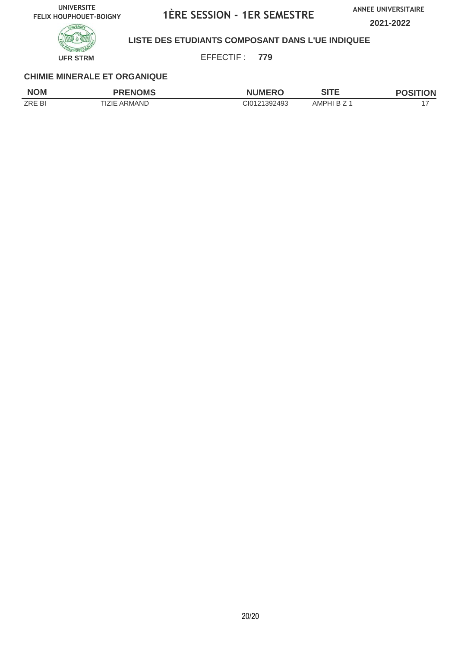**ANNEE UNIVERSITAIRE**

**2021-2022**



### **LISTE DES ETUDIANTS COMPOSANT DANS L'UE INDIQUEE**

EFFECTIF : **779**

| <b>NOM</b>    | <b>PRENOMS</b> | <b>MUMERO</b><br>Nι | SITE<br>31 I C | <b>POSITION</b> |
|---------------|----------------|---------------------|----------------|-----------------|
| <b>ZRE BI</b> | TIZIE ARMAND   | CI0121392493        | AMPHI B 7      |                 |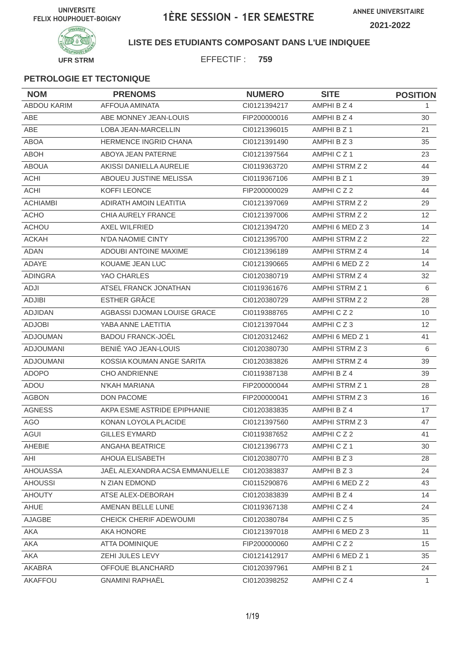

#### **LISTE DES ETUDIANTS COMPOSANT DANS L'UE INDIQUEE**

EFFECTIF : **759**

| <b>NOM</b>         | <b>PRENOMS</b>                 | <b>NUMERO</b> | <b>SITE</b>          | <b>POSITION</b> |
|--------------------|--------------------------------|---------------|----------------------|-----------------|
| <b>ABDOU KARIM</b> | <b>AFFOUA AMINATA</b>          | CI0121394217  | AMPHI B Z 4          | 1.              |
| ABE                | ABE MONNEY JEAN-LOUIS          | FIP200000016  | AMPHI B Z 4          | 30              |
| <b>ABE</b>         | LOBA JEAN-MARCELLIN            | CI0121396015  | AMPHI B Z 1          | 21              |
| <b>ABOA</b>        | <b>HERMENCE INGRID CHANA</b>   | CI0121391490  | AMPHI B Z 3          | 35              |
| <b>ABOH</b>        | ABOYA JEAN PATERNE             | CI0121397564  | AMPHICZ <sub>1</sub> | 23              |
| <b>ABOUA</b>       | AKISSI DANIELLA AURELIE        | CI0119363720  | AMPHI STRM Z 2       | 44              |
| <b>ACHI</b>        | ABOUEU JUSTINE MELISSA         | CI0119367106  | AMPHI B Z 1          | 39              |
| <b>ACHI</b>        | KOFFI LEONCE                   | FIP200000029  | AMPHICZ2             | 44              |
| <b>ACHIAMBI</b>    | ADIRATH AMOIN LEATITIA         | CI0121397069  | AMPHI STRM Z 2       | 29              |
| <b>ACHO</b>        | CHIA AURELY FRANCE             | CI0121397006  | AMPHI STRM Z 2       | 12              |
| <b>ACHOU</b>       | <b>AXEL WILFRIED</b>           | CI0121394720  | AMPHI 6 MED Z 3      | 14              |
| <b>ACKAH</b>       | N'DA NAOMIE CINTY              | CI0121395700  | AMPHI STRM Z 2       | 22              |
| <b>ADAN</b>        | <b>ADOUBI ANTOINE MAXIME</b>   | CI0121396189  | AMPHI STRM Z 4       | 14              |
| ADAYE              | KOUAME JEAN LUC                | CI0121390665  | AMPHI 6 MED Z 2      | 14              |
| <b>ADINGRA</b>     | YAO CHARLES                    | CI0120380719  | AMPHI STRM Z 4       | 32              |
| ADJI               | ATSEL FRANCK JONATHAN          | CI0119361676  | AMPHI STRM Z 1       | 6               |
| <b>ADJIBI</b>      | <b>ESTHER GRÂCE</b>            | CI0120380729  | AMPHI STRM Z 2       | 28              |
| <b>ADJIDAN</b>     | AGBASSI DJOMAN LOUISE GRACE    | CI0119388765  | AMPHICZ2             | 10              |
| <b>ADJOBI</b>      | YABA ANNE LAETITIA             | CI0121397044  | AMPHICZ3             | 12              |
| <b>ADJOUMAN</b>    | <b>BADOU FRANCK-JOËL</b>       | CI0120312462  | AMPHI 6 MED Z 1      | 41              |
| <b>ADJOUMANI</b>   | BENIÉ YAO JEAN-LOUIS           | CI0120380730  | AMPHI STRM Z 3       | 6               |
| <b>ADJOUMANI</b>   | KOSSIA KOUMAN ANGE SARITA      | CI0120383826  | AMPHI STRM Z 4       | 39              |
| <b>ADOPO</b>       | <b>CHO ANDRIENNE</b>           | CI0119387138  | AMPHI B Z 4          | 39              |
| ADOU               | N'KAH MARIANA                  | FIP200000044  | AMPHI STRM Z 1       | 28              |
| <b>AGBON</b>       | <b>DON PACOME</b>              | FIP200000041  | AMPHI STRM Z 3       | 16              |
| <b>AGNESS</b>      | AKPA ESME ASTRIDE EPIPHANIE    | CI0120383835  | AMPHI B Z 4          | 17              |
| <b>AGO</b>         | KONAN LOYOLA PLACIDE           | CI0121397560  | AMPHI STRM Z 3       | 47              |
| AGUI               | <b>GILLES EYMARD</b>           | CI0119387652  | AMPHICZ2             | 41              |
| AHEBIE             | ANGAHA BEATRICE                | CI0121396773  | AMPHICZ1             | 30              |
| AHI                | AHOUA ELISABETH                | CI0120380770  | AMPHIBZ3             | 28              |
| <b>AHOUASSA</b>    | JAËL ALEXANDRA ACSA EMMANUELLE | CI0120383837  | AMPHI B Z 3          | 24              |
| <b>AHOUSSI</b>     | N ZIAN EDMOND                  | CI0115290876  | AMPHI 6 MED Z 2      | 43              |
| <b>AHOUTY</b>      | ATSE ALEX-DEBORAH              | CI0120383839  | AMPHI B Z 4          | 14              |
| AHUE               | AMENAN BELLE LUNE              | CI0119367138  | AMPHICZ4             | 24              |
| AJAGBE             | CHEICK CHERIF ADEWOUMI         | CI0120380784  | AMPHICZ5             | 35              |
| AKA                | AKA HONORE                     | CI0121397018  | AMPHI 6 MED Z 3      | 11              |
| AKA                | <b>ATTA DOMINIQUE</b>          | FIP200000060  | AMPHICZ2             | 15              |
| AKA                | ZEHI JULES LEVY                | Cl0121412917  | AMPHI 6 MED Z 1      | 35              |
| AKABRA             | OFFOUE BLANCHARD               | CI0120397961  | AMPHI B Z 1          | 24              |
| AKAFFOU            | <b>GNAMINI RAPHAËL</b>         | CI0120398252  | AMPHICZ4             | $\mathbf{1}$    |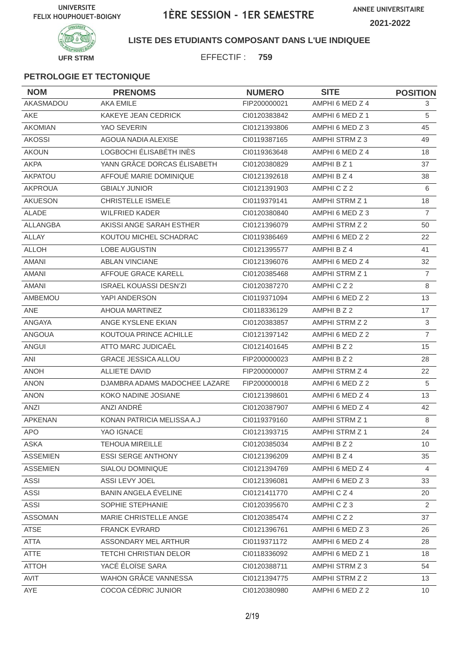**ANNEE UNIVERSITAIRE 2021-2022**



**LISTE DES ETUDIANTS COMPOSANT DANS L'UE INDIQUEE**

EFFECTIF : **759**

| <b>NOM</b>      | <b>PRENOMS</b>                | <b>NUMERO</b> | <b>SITE</b>           | <b>POSITION</b> |
|-----------------|-------------------------------|---------------|-----------------------|-----------------|
| AKASMADOU       | <b>AKA EMILE</b>              | FIP200000021  | AMPHI 6 MED Z 4       | 3               |
| <b>AKE</b>      | KAKEYE JEAN CEDRICK           | CI0120383842  | AMPHI 6 MED Z 1       | 5               |
| <b>AKOMIAN</b>  | YAO SEVERIN                   | CI0121393806  | AMPHI 6 MED Z 3       | 45              |
| <b>AKOSSI</b>   | AGOUA NADIA ALEXISE           | Cl0119387165  | AMPHI STRM Z 3        | 49              |
| <b>AKOUN</b>    | LOGBOCHI ÉLISABÉTH INÈS       | CI0119363648  | AMPHI 6 MED Z 4       | 18              |
| <b>AKPA</b>     | YANN GRÂCE DORCAS ÉLISABETH   | CI0120380829  | AMPHI B Z 1           | 37              |
| <b>AKPATOU</b>  | AFFOUÉ MARIE DOMINIQUE        | CI0121392618  | AMPHI B Z 4           | 38              |
| <b>AKPROUA</b>  | <b>GBIALY JUNIOR</b>          | CI0121391903  | AMPHICZ2              | 6               |
| <b>AKUESON</b>  | <b>CHRISTELLE ISMELE</b>      | CI0119379141  | AMPHI STRM Z 1        | 18              |
| <b>ALADE</b>    | <b>WILFRIED KADER</b>         | CI0120380840  | AMPHI 6 MED Z 3       | $\overline{7}$  |
| ALLANGBA        | AKISSI ANGE SARAH ESTHER      | CI0121396079  | AMPHI STRM Z 2        | 50              |
| <b>ALLAY</b>    | KOUTOU MICHEL SCHADRAC        | CI0119386469  | AMPHI 6 MED Z 2       | 22              |
| <b>ALLOH</b>    | <b>LOBE AUGUSTIN</b>          | CI0121395577  | AMPHI B Z 4           | 41              |
| <b>AMANI</b>    | <b>ABLAN VINCIANE</b>         | CI0121396076  | AMPHI 6 MED Z 4       | 32              |
| <b>AMANI</b>    | AFFOUE GRACE KARELL           | CI0120385468  | AMPHI STRM Z 1        | $\overline{7}$  |
| <b>AMANI</b>    | <b>ISRAEL KOUASSI DESN'ZI</b> | CI0120387270  | AMPHICZ2              | 8               |
| AMBEMOU         | YAPI ANDERSON                 | CI0119371094  | AMPHI 6 MED Z 2       | 13              |
| ANE             | <b>AHOUA MARTINEZ</b>         | CI0118336129  | AMPHI B Z 2           | 17              |
| ANGAYA          | ANGE KYSLENE EKIAN            | CI0120383857  | AMPHI STRM Z 2        | $\mathfrak{S}$  |
| <b>ANGOUA</b>   | KOUTOUA PRINCE ACHILLE        | CI0121397142  | AMPHI 6 MED Z 2       | $\overline{7}$  |
| <b>ANGUI</b>    | ATTO MARC JUDICAËL            | CI0121401645  | AMPHI B Z 2           | 15              |
| ANI             | <b>GRACE JESSICA ALLOU</b>    | FIP200000023  | AMPHI B Z 2           | 28              |
| <b>ANOH</b>     | <b>ALLIETE DAVID</b>          | FIP200000007  | AMPHI STRM Z 4        | 22              |
| <b>ANON</b>     | DJAMBRA ADAMS MADOCHEE LAZARE | FIP200000018  | AMPHI 6 MED Z 2       | 5               |
| <b>ANON</b>     | KOKO NADINE JOSIANE           | CI0121398601  | AMPHI 6 MED Z 4       | 13              |
| ANZI            | ANZI ANDRÉ                    | CI0120387907  | AMPHI 6 MED Z 4       | 42              |
| <b>APKENAN</b>  | KONAN PATRICIA MELISSA A.J    | CI0119379160  | <b>AMPHI STRM Z 1</b> | 8               |
| <b>APO</b>      | YAO IGNACE                    | Cl0121393715  | AMPHI STRM Z 1        | 24              |
| ASKA            | <b>TEHOUA MIREILLE</b>        | CI0120385034  | AMPHI B Z 2           | 10              |
| <b>ASSEMIEN</b> | <b>ESSI SERGE ANTHONY</b>     | CI0121396209  | AMPHI B Z 4           | 35              |
| <b>ASSEMIEN</b> | SIALOU DOMINIQUE              | CI0121394769  | AMPHI 6 MED Z 4       | $\overline{4}$  |
| <b>ASSI</b>     | ASSI LEVY JOEL                | CI0121396081  | AMPHI 6 MED Z 3       | 33              |
| ASSI            | <b>BANIN ANGELA ÉVELINE</b>   | CI0121411770  | AMPHICZ4              | 20              |
| <b>ASSI</b>     | SOPHIE STEPHANIE              | CI0120395670  | AMPHICZ3              | 2               |
| <b>ASSOMAN</b>  | MARIE CHRISTELLE ANGE         | CI0120385474  | AMPHICZ2              | 37              |
| <b>ATSE</b>     | <b>FRANCK EVRARD</b>          | CI0121396761  | AMPHI 6 MED Z 3       | 26              |
| <b>ATTA</b>     | ASSONDARY MEL ARTHUR          | CI0119371172  | AMPHI 6 MED Z 4       | 28              |
| ATTE            | <b>TETCHI CHRISTIAN DELOR</b> | CI0118336092  | AMPHI 6 MED Z 1       | 18              |
| <b>ATTOH</b>    | YACÉ ÉLOÏSE SARA              | CI0120388711  | AMPHI STRM Z 3        | 54              |
| AVIT            | WAHON GRÂCE VANNESSA          | CI0121394775  | AMPHI STRM Z 2        | 13              |
| AYE             | COCOA CÉDRIC JUNIOR           | Cl0120380980  | AMPHI 6 MED Z 2       | 10              |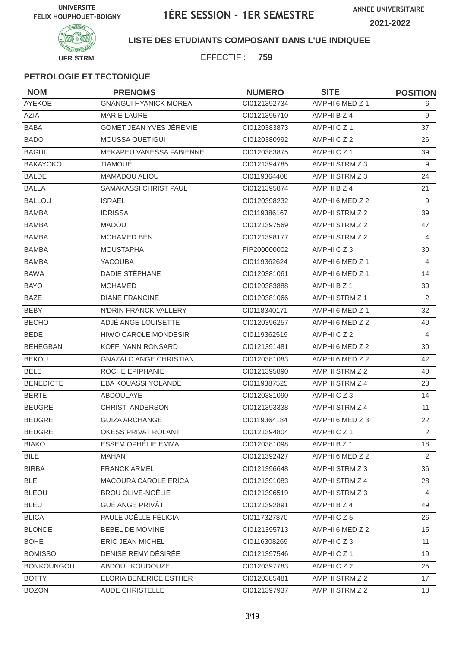

#### **LISTE DES ETUDIANTS COMPOSANT DANS L'UE INDIQUEE**

EFFECTIF : **759**

| <b>NOM</b>        | <b>PRENOMS</b>                | <b>NUMERO</b> | <b>SITE</b>     | <b>POSITION</b> |
|-------------------|-------------------------------|---------------|-----------------|-----------------|
| <b>AYEKOE</b>     | <b>GNANGUI HYANICK MOREA</b>  | CI0121392734  | AMPHI 6 MED Z 1 | 6               |
| <b>AZIA</b>       | <b>MARIE LAURE</b>            | CI0121395710  | AMPHI B Z 4     | 9               |
| <b>BABA</b>       | GOMET JEAN YVES JÉRÉMIE       | CI0120383873  | AMPHICZ1        | 37              |
| <b>BADO</b>       | <b>MOUSSA OUETIGUI</b>        | CI0120380992  | AMPHICZ2        | 26              |
| <b>BAGUI</b>      | MEKAPEU VANESSA FABIENNE      | CI0120383875  | AMPHICZ1        | 39              |
| <b>BAKAYOKO</b>   | <b>TIAMOUÉ</b>                | CI0121394785  | AMPHI STRM Z 3  | 9               |
| <b>BALDE</b>      | <b>MAMADOU ALIOU</b>          | CI0119364408  | AMPHI STRM Z 3  | 24              |
| <b>BALLA</b>      | SAMAKASSI CHRIST PAUL         | CI0121395874  | AMPHI B Z 4     | 21              |
| <b>BALLOU</b>     | <b>ISRAEL</b>                 | CI0120398232  | AMPHI 6 MED Z 2 | 9               |
| <b>BAMBA</b>      | <b>IDRISSA</b>                | CI0119386167  | AMPHI STRM Z 2  | 39              |
| <b>BAMBA</b>      | <b>MADOU</b>                  | CI0121397569  | AMPHI STRM Z 2  | 47              |
| <b>BAMBA</b>      | <b>MOHAMED BEN</b>            | CI0121398177  | AMPHI STRM Z 2  | 4               |
| <b>BAMBA</b>      | <b>MOUSTAPHA</b>              | FIP200000002  | AMPHICZ3        | 30              |
| <b>BAMBA</b>      | <b>YACOUBA</b>                | CI0119362624  | AMPHI 6 MED Z 1 | 4               |
| <b>BAWA</b>       | DADIE STÉPHANE                | CI0120381061  | AMPHI 6 MED Z 1 | 14              |
| <b>BAYO</b>       | <b>MOHAMED</b>                | CI0120383888  | AMPHI B Z 1     | 30              |
| <b>BAZE</b>       | <b>DIANE FRANCINE</b>         | CI0120381066  | AMPHI STRM Z 1  | $\overline{2}$  |
| <b>BEBY</b>       | N'DRIN FRANCK VALLERY         | CI0118340171  | AMPHI 6 MED Z 1 | 32              |
| <b>BECHO</b>      | ADJÉ ANGE LOUISETTE           | CI0120396257  | AMPHI 6 MED Z 2 | 40              |
| <b>BEDE</b>       | <b>HIWO CAROLE MONDESIR</b>   | CI0119362519  | AMPHICZ2        | 4               |
| <b>BEHEGBAN</b>   | KOFFI YANN RONSARD            | CI0121391481  | AMPHI 6 MED Z 2 | 30              |
| <b>BEKOU</b>      | <b>GNAZALO ANGE CHRISTIAN</b> | CI0120381083  | AMPHI 6 MED Z 2 | 42              |
| <b>BELE</b>       | ROCHE EPIPHANIE               | CI0121395890  | AMPHI STRM Z 2  | 40              |
| <b>BÉNÉDICTE</b>  | EBA KOUASSI YOLANDE           | CI0119387525  | AMPHI STRM Z 4  | 23              |
| <b>BERTE</b>      | ABDOULAYE                     | CI0120381090  | AMPHICZ3        | 14              |
| <b>BEUGRÉ</b>     | CHRIST ANDERSON               | CI0121393338  | AMPHI STRM Z 4  | 11              |
| <b>BEUGRE</b>     | <b>GUIZA ARCHANGE</b>         | CI0119364184  | AMPHI 6 MED Z 3 | 22              |
| <b>BEUGRE</b>     | OKESS PRIVAT ROLANT           | Cl0121394804  | AMPHICZ1        | $\overline{2}$  |
| <b>BIAKO</b>      | ESSEM OPHELIE EMMA            | CI0120381098  | AMPHI B Z 1     | 18              |
| <b>BILE</b>       | <b>MAHAN</b>                  | CI0121392427  | AMPHI 6 MED Z 2 | 2               |
| <b>BIRBA</b>      | <b>FRANCK ARMEL</b>           | CI0121396648  | AMPHI STRM Z 3  | 36              |
| BLE               | MACOURA CAROLE ERICA          | CI0121391083  | AMPHI STRM Z 4  | 28              |
| <b>BLEOU</b>      | <b>BROU OLIVE-NOËLIE</b>      | CI0121396519  | AMPHI STRM Z 3  | $\overline{4}$  |
| <b>BLEU</b>       | <b>GUÉ ANGE PRIVÂT</b>        | CI0121392891  | AMPHI B Z 4     | 49              |
| <b>BLICA</b>      | PAULE JOËLLE FÉLICIA          | CI0117327870  | AMPHICZ5        | 26              |
| <b>BLONDE</b>     | BEBEL DE MOMINE               | CI0121395713  | AMPHI 6 MED Z 2 | 15              |
| <b>BOHE</b>       | <b>ERIC JEAN MICHEL</b>       | CI0116308269  | AMPHICZ3        | 11              |
| <b>BOMISSO</b>    | DENISE REMY DÉSIRÉE           | CI0121397546  | AMPHICZ1        | 19              |
| <b>BONKOUNGOU</b> | ABDOUL KOUDOUZE               | CI0120397783  | AMPHICZ2        | 25              |
| <b>BOTTY</b>      | ELORIA BENERICE ESTHER        | CI0120385481  | AMPHI STRM Z 2  | 17              |
| <b>BOZON</b>      | AUDE CHRISTELLE               | CI0121397937  | AMPHI STRM Z 2  | 18              |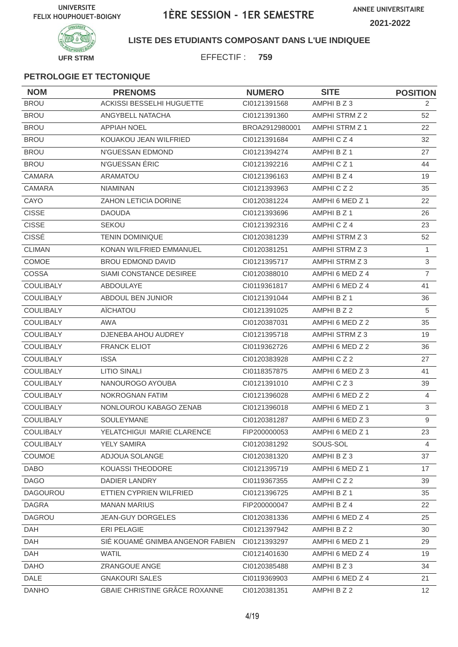

#### **LISTE DES ETUDIANTS COMPOSANT DANS L'UE INDIQUEE**

EFFECTIF : **759**

| <b>NOM</b>       | <b>PRENOMS</b>                   | <b>NUMERO</b>  | <b>SITE</b>     | <b>POSITION</b> |
|------------------|----------------------------------|----------------|-----------------|-----------------|
| <b>BROU</b>      | ACKISSI BESSELHI HUGUETTE        | CI0121391568   | AMPHI B Z 3     | 2               |
| <b>BROU</b>      | ANGYBELL NATACHA                 | CI0121391360   | AMPHI STRM Z 2  | 52              |
| <b>BROU</b>      | <b>APPIAH NOEL</b>               | BROA2912980001 | AMPHI STRM Z 1  | 22              |
| <b>BROU</b>      | KOUAKOU JEAN WILFRIED            | CI0121391684   | AMPHICZ4        | 32              |
| <b>BROU</b>      | N'GUESSAN EDMOND                 | Cl0121394274   | AMPHI B Z 1     | 27              |
| <b>BROU</b>      | N'GUESSAN ÉRIC                   | CI0121392216   | AMPHICZ1        | 44              |
| <b>CAMARA</b>    | <b>ARAMATOU</b>                  | CI0121396163   | AMPHI B Z 4     | 19              |
| <b>CAMARA</b>    | <b>NIAMINAN</b>                  | CI0121393963   | AMPHICZ2        | 35              |
| CAYO             | ZAHON LETICIA DORINE             | CI0120381224   | AMPHI 6 MED Z 1 | 22              |
| <b>CISSE</b>     | <b>DAOUDA</b>                    | CI0121393696   | AMPHI B Z 1     | 26              |
| <b>CISSE</b>     | <b>SEKOU</b>                     | CI0121392316   | AMPHICZ4        | 23              |
| CISSÉ            | <b>TENIN DOMINIQUE</b>           | CI0120381239   | AMPHI STRM Z 3  | 52              |
| <b>CLIMAN</b>    | KONAN WILFRIED EMMANUEL          | CI0120381251   | AMPHI STRM Z 3  | 1               |
| <b>COMOE</b>     | <b>BROU EDMOND DAVID</b>         | CI0121395717   | AMPHI STRM Z 3  | $\mathfrak{S}$  |
| COSSA            | SIAMI CONSTANCE DESIREE          | CI0120388010   | AMPHI 6 MED Z 4 | $\overline{7}$  |
| <b>COULIBALY</b> | <b>ABDOULAYE</b>                 | CI0119361817   | AMPHI 6 MED Z 4 | 41              |
| COULIBALY        | ABDOUL BEN JUNIOR                | Cl0121391044   | AMPHI B Z 1     | 36              |
| <b>COULIBALY</b> | AÏCHATOU                         | CI0121391025   | AMPHI B Z 2     | 5               |
| <b>COULIBALY</b> | <b>AWA</b>                       | CI0120387031   | AMPHI 6 MED Z 2 | 35              |
| COULIBALY        | DJENEBA AHOU AUDREY              | CI0121395718   | AMPHI STRM Z 3  | 19              |
| <b>COULIBALY</b> | <b>FRANCK ELIOT</b>              | CI0119362726   | AMPHI 6 MED Z 2 | 36              |
| <b>COULIBALY</b> | <b>ISSA</b>                      | CI0120383928   | AMPHICZ2        | 27              |
| <b>COULIBALY</b> | <b>LITIO SINALI</b>              | CI0118357875   | AMPHI 6 MED Z 3 | 41              |
| <b>COULIBALY</b> | NANOUROGO AYOUBA                 | Cl0121391010   | AMPHICZ3        | 39              |
| COULIBALY        | NOKROGNAN FATIM                  | CI0121396028   | AMPHI 6 MED Z 2 | 4               |
| <b>COULIBALY</b> | NONLOUROU KABAGO ZENAB           | CI0121396018   | AMPHI 6 MED Z 1 | $\mathfrak{S}$  |
| <b>COULIBALY</b> | SOULEYMANE                       | CI0120381287   | AMPHI 6 MED Z 3 | 9               |
| COULIBALY        | YELATCHIGUI MARIE CLARENCE       | FIP200000053   | AMPHI 6 MED Z 1 | 23              |
| <b>COULIBALY</b> | <b>YELY SAMIRA</b>               | CI0120381292   | SOUS-SOL        | 4               |
| <b>COUMOE</b>    | ADJOUA SOLANGE                   | CI0120381320   | AMPHI B Z 3     | 37              |
| <b>DABO</b>      | KOUASSI THEODORE                 | Cl0121395719   | AMPHI 6 MED Z 1 | 17              |
| <b>DAGO</b>      | DADIER LANDRY                    | CI0119367355   | AMPHICZ2        | 39              |
| <b>DAGOUROU</b>  | ETTIEN CYPRIEN WILFRIED          | CI0121396725   | AMPHI B Z 1     | 35              |
| <b>DAGRA</b>     | <b>MANAN MARIUS</b>              | FIP200000047   | AMPHI B Z 4     | 22              |
| <b>DAGROU</b>    | <b>JEAN-GUY DORGELES</b>         | CI0120381336   | AMPHI 6 MED Z 4 | 25              |
| DAH              | ERI PELAGIE                      | CI0121397942   | AMPHI B Z 2     | 30              |
| DAH              | SIÉ KOUAMÉ GNIMBA ANGENOR FABIEN | CI0121393297   | AMPHI 6 MED Z 1 | 29              |
| <b>DAH</b>       | <b>WATIL</b>                     | Cl0121401630   | AMPHI 6 MED Z 4 | 19              |
| <b>DAHO</b>      | ZRANGOUE ANGE                    | CI0120385488   | AMPHI B Z 3     | 34              |
| DALE             | <b>GNAKOURI SALES</b>            | CI0119369903   | AMPHI 6 MED Z 4 | 21              |
| <b>DANHO</b>     | GBAIE CHRISTINE GRÂCE ROXANNE    | Cl0120381351   | AMPHI B Z 2     | 12 <sup>2</sup> |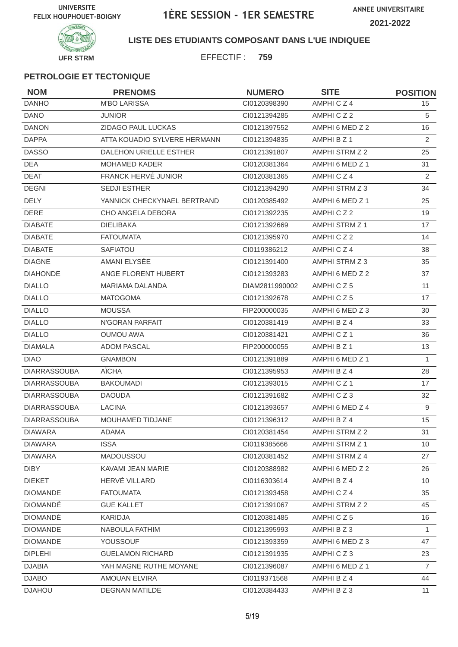**ANNEE UNIVERSITAIRE 2021-2022**



**LISTE DES ETUDIANTS COMPOSANT DANS L'UE INDIQUEE**

EFFECTIF : **759**

| <b>NOM</b>          | <b>PRENOMS</b>                | <b>NUMERO</b>  | <b>SITE</b>           | <b>POSITION</b> |
|---------------------|-------------------------------|----------------|-----------------------|-----------------|
| <b>DANHO</b>        | <b>M'BO LARISSA</b>           | CI0120398390   | AMPHICZ4              | 15              |
| <b>DANO</b>         | <b>JUNIOR</b>                 | CI0121394285   | AMPHICZ2              | 5               |
| <b>DANON</b>        | ZIDAGO PAUL LUCKAS            | CI0121397552   | AMPHI 6 MED Z 2       | 16              |
| <b>DAPPA</b>        | ATTA KOUADIO SYLVERE HERMANN  | CI0121394835   | AMPHI B Z 1           | 2               |
| <b>DASSO</b>        | <b>DALEHON URIELLE ESTHER</b> | Cl0121391807   | AMPHI STRM Z 2        | 25              |
| <b>DEA</b>          | <b>MOHAMED KADER</b>          | CI0120381364   | AMPHI 6 MED Z 1       | 31              |
| <b>DEAT</b>         | FRANCK HERVÉ JUNIOR           | CI0120381365   | AMPHICZ4              | 2               |
| <b>DEGNI</b>        | <b>SEDJI ESTHER</b>           | CI0121394290   | AMPHI STRM Z 3        | 34              |
| <b>DELY</b>         | YANNICK CHECKYNAEL BERTRAND   | CI0120385492   | AMPHI 6 MED Z 1       | 25              |
| <b>DERE</b>         | CHO ANGELA DEBORA             | CI0121392235   | AMPHICZ2              | 19              |
| <b>DIABATE</b>      | <b>DIELIBAKA</b>              | CI0121392669   | AMPHI STRM Z 1        | 17              |
| <b>DIABATE</b>      | <b>FATOUMATA</b>              | CI0121395970   | AMPHICZ2              | 14              |
| <b>DIABATE</b>      | <b>SAFIATOU</b>               | CI0119386212   | AMPHICZ4              | 38              |
| <b>DIAGNE</b>       | AMANI ELYSÉE                  | CI0121391400   | AMPHI STRM Z 3        | 35              |
| <b>DIAHONDE</b>     | ANGE FLORENT HUBERT           | CI0121393283   | AMPHI 6 MED Z 2       | 37              |
| <b>DIALLO</b>       | <b>MARIAMA DALANDA</b>        | DIAM2811990002 | AMPHICZ5              | 11              |
| <b>DIALLO</b>       | <b>MATOGOMA</b>               | CI0121392678   | AMPHICZ5              | 17              |
| <b>DIALLO</b>       | <b>MOUSSA</b>                 | FIP200000035   | AMPHI 6 MED Z 3       | 30              |
| <b>DIALLO</b>       | N'GORAN PARFAIT               | CI0120381419   | AMPHI B Z 4           | 33              |
| <b>DIALLO</b>       | <b>OUMOU AWA</b>              | CI0120381421   | AMPHICZ1              | 36              |
| <b>DIAMALA</b>      | <b>ADOM PASCAL</b>            | FIP200000055   | AMPHI B Z 1           | 13              |
| <b>DIAO</b>         | <b>GNAMBON</b>                | CI0121391889   | AMPHI 6 MED Z 1       | $\mathbf{1}$    |
| <b>DIARRASSOUBA</b> | AÏCHA                         | CI0121395953   | AMPHI B Z 4           | 28              |
| <b>DIARRASSOUBA</b> | <b>BAKOUMADI</b>              | CI0121393015   | AMPHICZ1              | 17              |
| <b>DIARRASSOUBA</b> | <b>DAOUDA</b>                 | CI0121391682   | AMPHICZ3              | 32              |
| <b>DIARRASSOUBA</b> | <b>LACINA</b>                 | CI0121393657   | AMPHI 6 MED Z 4       | 9               |
| <b>DIARRASSOUBA</b> | MOUHAMED TIDJANE              | CI0121396312   | AMPHI B Z 4           | 15              |
| <b>DIAWARA</b>      | ADAMA                         | Cl0120381454   | AMPHI STRM Z 2        | 31              |
| <b>DIAWARA</b>      | <b>ISSA</b>                   | CI0119385666   | <b>AMPHI STRM Z 1</b> | 10 <sup>°</sup> |
| <b>DIAWARA</b>      | MADOUSSOU                     | CI0120381452   | AMPHI STRM Z 4        | 27              |
| <b>DIBY</b>         | KAVAMI JEAN MARIE             | CI0120388982   | AMPHI 6 MED Z 2       | 26              |
| <b>DIEKET</b>       | HERVÉ VILLARD                 | CI0116303614   | AMPHI B Z 4           | 10 <sup>°</sup> |
| <b>DIOMANDE</b>     | <b>FATOUMATA</b>              | CI0121393458   | AMPHICZ4              | 35              |
| <b>DIOMANDÉ</b>     | <b>GUE KALLET</b>             | CI0121391067   | AMPHI STRM Z 2        | 45              |
| <b>DIOMANDÉ</b>     | <b>KARIDJA</b>                | CI0120381485   | AMPHICZ5              | 16              |
| <b>DIOMANDE</b>     | NABOULA FATHIM                | CI0121395993   | AMPHIBZ3              | $\mathbf{1}$    |
| <b>DIOMANDE</b>     | YOUSSOUF                      | CI0121393359   | AMPHI 6 MED Z 3       | 47              |
| <b>DIPLEHI</b>      | <b>GUELAMON RICHARD</b>       | CI0121391935   | AMPHICZ3              | 23              |
| <b>DJABIA</b>       | YAH MAGNE RUTHE MOYANE        | CI0121396087   | AMPHI 6 MED Z 1       | $\overline{7}$  |
| <b>DJABO</b>        | AMOUAN ELVIRA                 | CI0119371568   | AMPHI B Z 4           | 44              |
| <b>DJAHOU</b>       | <b>DEGNAN MATILDE</b>         | CI0120384433   | AMPHI B Z 3           | 11              |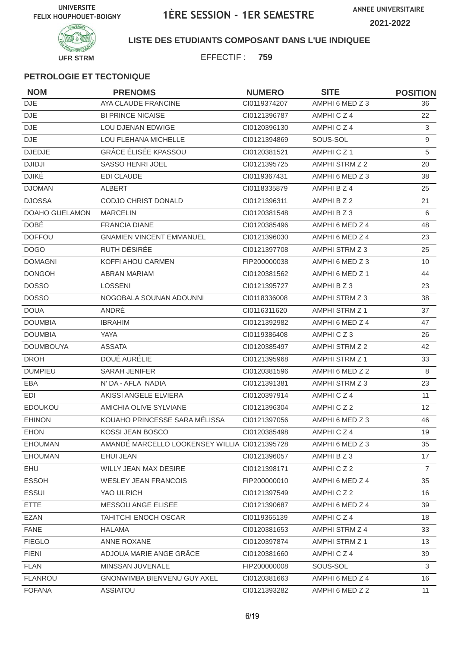

#### **LISTE DES ETUDIANTS COMPOSANT DANS L'UE INDIQUEE**

EFFECTIF : **759**

| <b>NOM</b>       | <b>PRENOMS</b>                                | <b>NUMERO</b> | <b>SITE</b>          | <b>POSITION</b>   |
|------------------|-----------------------------------------------|---------------|----------------------|-------------------|
| <b>DJE</b>       | AYA CLAUDE FRANCINE                           | CI0119374207  | AMPHI 6 MED Z 3      | 36                |
| <b>DJE</b>       | <b>BI PRINCE NICAISE</b>                      | CI0121396787  | AMPHICZ4             | 22                |
| DJE              | LOU DJENAN EDWIGE                             | CI0120396130  | AMPHICZ4             | 3                 |
| <b>DJE</b>       | LOU FLEHANA MICHELLE                          | CI0121394869  | SOUS-SOL             | 9                 |
| <b>DJEDJE</b>    | <b>GRÂCE ÉLISÉE KPASSOU</b>                   | CI0120381521  | AMPHICZ <sub>1</sub> | 5                 |
| <b>DJIDJI</b>    | SASSO HENRI JOEL                              | CI0121395725  | AMPHI STRM Z 2       | 20                |
| <b>DJIKÉ</b>     | <b>EDI CLAUDE</b>                             | CI0119367431  | AMPHI 6 MED Z 3      | 38                |
| <b>DJOMAN</b>    | <b>ALBERT</b>                                 | CI0118335879  | AMPHI B Z 4          | 25                |
| <b>DJOSSA</b>    | CODJO CHRIST DONALD                           | CI0121396311  | AMPHI B Z 2          | 21                |
| DOAHO GUELAMON   | <b>MARCELIN</b>                               | CI0120381548  | AMPHIBZ3             | 6                 |
| <b>DOBÉ</b>      | <b>FRANCIA DIANE</b>                          | CI0120385496  | AMPHI 6 MED Z 4      | 48                |
| <b>DOFFOU</b>    | <b>GNAMIEN VINCENT EMMANUEL</b>               | CI0121396030  | AMPHI 6 MED Z 4      | 23                |
| <b>DOGO</b>      | RUTH DÉSIRÉE                                  | CI0121397708  | AMPHI STRM Z 3       | 25                |
| <b>DOMAGNI</b>   | KOFFI AHOU CARMEN                             | FIP200000038  | AMPHI 6 MED Z 3      | 10                |
| <b>DONGOH</b>    | <b>ABRAN MARIAM</b>                           | CI0120381562  | AMPHI 6 MED Z 1      | 44                |
| <b>DOSSO</b>     | <b>LOSSENI</b>                                | CI0121395727  | AMPHI B Z 3          | 23                |
| <b>DOSSO</b>     | NOGOBALA SOUNAN ADOUNNI                       | CI0118336008  | AMPHI STRM Z 3       | 38                |
| <b>DOUA</b>      | ANDRÉ                                         | CI0116311620  | AMPHI STRM Z 1       | 37                |
| <b>DOUMBIA</b>   | <b>IBRAHIM</b>                                | CI0121392982  | AMPHI 6 MED Z 4      | 47                |
| <b>DOUMBIA</b>   | <b>YAYA</b>                                   | CI0119386408  | AMPHICZ3             | 26                |
| <b>DOUMBOUYA</b> | <b>ASSATA</b>                                 | CI0120385497  | AMPHI STRM Z 2       | 42                |
| <b>DROH</b>      | DOUÉ AURÉLIE                                  | CI0121395968  | AMPHI STRM Z 1       | 33                |
| <b>DUMPIEU</b>   | <b>SARAH JENIFER</b>                          | CI0120381596  | AMPHI 6 MED Z 2      | 8                 |
| EBA              | N' DA - AFLA NADIA                            | CI0121391381  | AMPHI STRM Z 3       | 23                |
| EDI              | AKISSI ANGELE ELVIERA                         | CI0120397914  | AMPHICZ4             | 11                |
| <b>EDOUKOU</b>   | AMICHIA OLIVE SYLVIANE                        | CI0121396304  | AMPHICZ2             | $12 \overline{ }$ |
| <b>EHINON</b>    | KOUAHO PRINCESSE SARA MÉLISSA                 | CI0121397056  | AMPHI 6 MED Z 3      | 46                |
| EHON             | KOSSI JEAN BOSCO                              | CI0120385498  | AMPHICZ4             | 19                |
| <b>EHOUMAN</b>   | AMANDÉ MARCELLO LOOKENSEY WILLIA CI0121395728 |               | AMPHI 6 MED Z 3      | 35                |
| <b>EHOUMAN</b>   | EHUI JEAN                                     | CI0121396057  | AMPHI B Z 3          | 17                |
| EHU              | WILLY JEAN MAX DESIRE                         | CI0121398171  | AMPHICZ2             | $\overline{7}$    |
| <b>ESSOH</b>     | <b>WESLEY JEAN FRANCOIS</b>                   | FIP200000010  | AMPHI 6 MED Z 4      | 35                |
| <b>ESSUI</b>     | YAO ULRICH                                    | CI0121397549  | AMPHICZ2             | 16                |
| <b>ETTE</b>      | MESSOU ANGE ELISEE                            | Cl0121390687  | AMPHI 6 MED Z 4      | 39                |
| <b>EZAN</b>      | <b>TAHITCHI ENOCH OSCAR</b>                   | CI0119365139  | AMPHICZ4             | 18                |
| <b>FANE</b>      | <b>HALAMA</b>                                 | CI0120381653  | AMPHI STRM Z 4       | 33                |
| <b>FIEGLO</b>    | ANNE ROXANE                                   | CI0120397874  | AMPHI STRM Z 1       | 13                |
| <b>FIENI</b>     | ADJOUA MARIE ANGE GRÂCE                       | CI0120381660  | AMPHICZ4             | 39                |
| <b>FLAN</b>      | MINSSAN JUVENALE                              | FIP200000008  | SOUS-SOL             | $\mathbf{3}$      |
| <b>FLANROU</b>   | GNONWIMBA BIENVENU GUY AXEL                   | CI0120381663  | AMPHI 6 MED Z 4      | 16                |
| <b>FOFANA</b>    | <b>ASSIATOU</b>                               | CI0121393282  | AMPHI 6 MED Z 2      | 11                |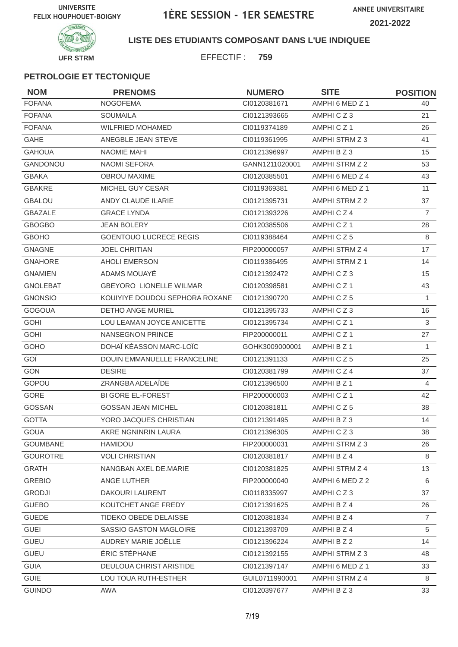

**LISTE DES ETUDIANTS COMPOSANT DANS L'UE INDIQUEE**

EFFECTIF : **759**

| <b>NOM</b>      | <b>PRENOMS</b>                 | <b>NUMERO</b>  | <b>SITE</b>          | <b>POSITION</b> |
|-----------------|--------------------------------|----------------|----------------------|-----------------|
| <b>FOFANA</b>   | <b>NOGOFEMA</b>                | Cl0120381671   | AMPHI 6 MED Z 1      | 40              |
| <b>FOFANA</b>   | <b>SOUMAILA</b>                | CI0121393665   | AMPHICZ3             | 21              |
| <b>FOFANA</b>   | <b>WILFRIED MOHAMED</b>        | CI0119374189   | AMPHICZ1             | 26              |
| <b>GAHE</b>     | ANEGBLE JEAN STEVE             | CI0119361995   | AMPHI STRM Z 3       | 41              |
| <b>GAHOUA</b>   | NAOMIE MAHI                    | CI0121396997   | AMPHI B Z 3          | 15              |
| <b>GANDONOU</b> | <b>NAOMI SEFORA</b>            | GANN1211020001 | AMPHI STRM Z 2       | 53              |
| <b>GBAKA</b>    | <b>OBROU MAXIME</b>            | CI0120385501   | AMPHI 6 MED Z 4      | 43              |
| <b>GBAKRE</b>   | MICHEL GUY CESAR               | CI0119369381   | AMPHI 6 MED Z 1      | 11              |
| <b>GBALOU</b>   | ANDY CLAUDE ILARIE             | CI0121395731   | AMPHI STRM Z 2       | 37              |
| <b>GBAZALE</b>  | <b>GRACE LYNDA</b>             | CI0121393226   | AMPHICZ4             | $\overline{7}$  |
| <b>GBOGBO</b>   | JEAN BOLERY                    | CI0120385506   | AMPHICZ1             | 28              |
| <b>GBOHO</b>    | <b>GOENTOUO LUCRECE REGIS</b>  | CI0119388464   | AMPHICZ5             | 8               |
| <b>GNAGNE</b>   | <b>JOEL CHRITIAN</b>           | FIP200000057   | AMPHI STRM Z 4       | 17              |
| <b>GNAHORE</b>  | <b>AHOLI EMERSON</b>           | CI0119386495   | AMPHI STRM Z 1       | 14              |
| <b>GNAMIEN</b>  | ADAMS MOUAYÉ                   | CI0121392472   | AMPHICZ3             | 15              |
| <b>GNOLEBAT</b> | <b>GBEYORO LIONELLE WILMAR</b> | CI0120398581   | AMPHICZ1             | 43              |
| <b>GNONSIO</b>  | KOUIYIYE DOUDOU SEPHORA ROXANE | CI0121390720   | AMPHICZ5             | $\mathbf{1}$    |
| <b>GOGOUA</b>   | <b>DETHO ANGE MURIEL</b>       | CI0121395733   | AMPHICZ3             | 16              |
| <b>GOHI</b>     | LOU LEAMAN JOYCE ANICETTE      | CI0121395734   | AMPHICZ <sub>1</sub> | 3               |
| <b>GOHI</b>     | NANSEGNON PRINCE               | FIP200000011   | AMPHICZ1             | 27              |
| GOHO            | DOHAÏ KÉASSON MARC-LOÏC        | GOHK3009000001 | AMPHI B Z 1          | 1               |
| GOÏ             | DOUIN EMMANUELLE FRANCELINE    | CI0121391133   | AMPHICZ5             | 25              |
| <b>GON</b>      | <b>DESIRE</b>                  | CI0120381799   | AMPHICZ4             | 37              |
| <b>GOPOU</b>    | ZRANGBA ADELAÏDE               | CI0121396500   | AMPHI B Z 1          | 4               |
| GORE            | <b>BI GORE EL-FOREST</b>       | FIP200000003   | AMPHICZ <sub>1</sub> | 42              |
| <b>GOSSAN</b>   | <b>GOSSAN JEAN MICHEL</b>      | CI0120381811   | AMPHICZ5             | 38              |
| <b>GOTTA</b>    | YORO JACQUES CHRISTIAN         | CI0121391495   | AMPHI B Z 3          | 14              |
| GOUA            | AKRE NGNINRIN LAURA            | CI0121396305   | AMPHICZ3             | 38              |
| <b>GOUMBANE</b> | HAMIDOU                        | FIP200000031   | AMPHI STRM Z 3       | 26              |
| <b>GOUROTRE</b> | <b>VOLI CHRISTIAN</b>          | CI0120381817   | AMPHI B Z 4          | 8               |
| <b>GRATH</b>    | NANGBAN AXEL DE.MARIE          | CI0120381825   | AMPHI STRM Z 4       | 13              |
| <b>GREBIO</b>   | ANGE LUTHER                    | FIP200000040   | AMPHI 6 MED Z 2      | 6               |
| <b>GRODJI</b>   | DAKOURI LAURENT                | CI0118335997   | AMPHICZ3             | 37              |
| <b>GUEBO</b>    | KOUTCHET ANGE FREDY            | Cl0121391625   | AMPHI B Z 4          | 26              |
| <b>GUEDE</b>    | TIDEKO OBEDE DELAISSE          | CI0120381834   | AMPHI B Z 4          | $\overline{7}$  |
| <b>GUEI</b>     | SASSIO GASTON MAGLOIRE         | Cl0121393709   | AMPHI B Z 4          | 5               |
| GUEU            | AUDREY MARIE JOËLLE            | CI0121396224   | AMPHI B Z 2          | 14              |
| <b>GUEU</b>     | ÉRIC STÉPHANE                  | CI0121392155   | AMPHI STRM Z 3       | 48              |
| <b>GUIA</b>     | DEULOUA CHRIST ARISTIDE        | CI0121397147   | AMPHI 6 MED Z 1      | 33              |
| <b>GUIE</b>     | LOU TOUA RUTH-ESTHER           | GUIL0711990001 | AMPHI STRM Z 4       | 8               |
| <b>GUINDO</b>   | AWA                            | Cl0120397677   | AMPHI B Z 3          | 33              |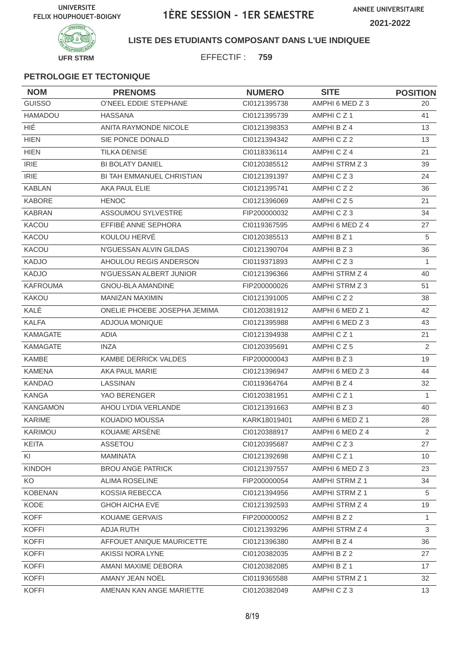

#### **LISTE DES ETUDIANTS COMPOSANT DANS L'UE INDIQUEE**

EFFECTIF : **759**

| <b>NOM</b>      | <b>PRENOMS</b>                   | <b>NUMERO</b> | <b>SITE</b>          | <b>POSITION</b> |
|-----------------|----------------------------------|---------------|----------------------|-----------------|
| <b>GUISSO</b>   | O'NEEL EDDIE STEPHANE            | CI0121395738  | AMPHI 6 MED Z 3      | 20              |
| HAMADOU         | <b>HASSANA</b>                   | CI0121395739  | AMPHICZ <sub>1</sub> | 41              |
| <b>HIÉ</b>      | <b>ANITA RAYMONDE NICOLE</b>     | CI0121398353  | AMPHI B Z 4          | 13              |
| <b>HIEN</b>     | SIE PONCE DONALD                 | CI0121394342  | AMPHICZ2             | 13              |
| <b>HIEN</b>     | <b>TILKA DENISE</b>              | CI0118336114  | AMPHICZ4             | 21              |
| <b>IRIE</b>     | <b>BI BOLATY DANIEL</b>          | CI0120385512  | AMPHI STRM Z 3       | 39              |
| <b>IRIE</b>     | <b>BI TAH EMMANUEL CHRISTIAN</b> | CI0121391397  | AMPHICZ3             | 24              |
| <b>KABLAN</b>   | AKA PAUL ELIE                    | CI0121395741  | AMPHICZ2             | 36              |
| <b>KABORE</b>   | <b>HENOC</b>                     | CI0121396069  | AMPHICZ5             | 21              |
| <b>KABRAN</b>   | ASSOUMOU SYLVESTRE               | FIP200000032  | AMPHICZ3             | 34              |
| KACOU           | EFFIBÉ ANNE SEPHORA              | CI0119367595  | AMPHI 6 MED Z 4      | 27              |
| KACOU           | KOULOU HERVÉ                     | CI0120385513  | AMPHI B Z 1          | 5               |
| <b>KACOU</b>    | N'GUESSAN ALVIN GILDAS           | CI0121390704  | AMPHI B Z 3          | 36              |
| <b>KADJO</b>    | AHOULOU REGIS ANDERSON           | CI0119371893  | AMPHICZ3             | 1               |
| KADJO           | N'GUESSAN ALBERT JUNIOR          | CI0121396366  | AMPHI STRM Z 4       | 40              |
| <b>KAFROUMA</b> | <b>GNOU-BLA AMANDINE</b>         | FIP200000026  | AMPHI STRM Z 3       | 51              |
| <b>KAKOU</b>    | MANIZAN MAXIMIN                  | CI0121391005  | AMPHICZ2             | 38              |
| KALÉ            | ONELIE PHOEBE JOSEPHA JEMIMA     | CI0120381912  | AMPHI 6 MED Z 1      | 42              |
| <b>KALFA</b>    | ADJOUA MONIQUE                   | CI0121395988  | AMPHI 6 MED Z 3      | 43              |
| <b>KAMAGATE</b> | <b>ADIA</b>                      | CI0121394938  | AMPHICZ1             | 21              |
| <b>KAMAGATE</b> | <b>INZA</b>                      | CI0120395691  | AMPHICZ5             | 2               |
| <b>KAMBE</b>    | KAMBE DERRICK VALDES             | FIP200000043  | AMPHI B Z 3          | 19              |
| <b>KAMENA</b>   | AKA PAUL MARIE                   | CI0121396947  | AMPHI 6 MED Z 3      | 44              |
| <b>KANDAO</b>   | LASSINAN                         | CI0119364764  | AMPHI B Z 4          | 32              |
| <b>KANGA</b>    | YAO BERENGER                     | CI0120381951  | AMPHICZ1             | $\mathbf{1}$    |
| <b>KANGAMON</b> | AHOU LYDIA VERLANDE              | CI0121391663  | AMPHI B Z 3          | 40              |
| <b>KARIME</b>   | KOUADIO MOUSSA                   | KARK18019401  | AMPHI 6 MED Z 1      | 28              |
| KARIMOU         | KOUAME ARSÈNE                    | CI0120388917  | AMPHI 6 MED Z 4      | $\overline{2}$  |
| KEITA           | ASSETOU                          | CI0120395687  | AMPHICZ3             | 27              |
| KI              | <b>MAMINATA</b>                  | CI0121392698  | AMPHICZ1             | 10 <sup>°</sup> |
| <b>KINDOH</b>   | <b>BROU ANGE PATRICK</b>         | Cl0121397557  | AMPHI 6 MED Z 3      | 23              |
| KO              | <b>ALIMA ROSELINE</b>            | FIP200000054  | AMPHI STRM Z 1       | 34              |
| <b>KOBENAN</b>  | KOSSIA REBECCA                   | CI0121394956  | AMPHI STRM Z 1       | 5               |
| KODE            | <b>GHOH AICHA EVE</b>            | CI0121392593  | AMPHI STRM Z 4       | 19              |
| <b>KOFF</b>     | <b>KOUAME GERVAIS</b>            | FIP200000052  | AMPHI B Z 2          | 1.              |
| <b>KOFFI</b>    | ADJA RUTH                        | CI0121393296  | AMPHI STRM Z 4       | 3               |
| <b>KOFFI</b>    | AFFOUET ANIQUE MAURICETTE        | CI0121396380  | AMPHI B Z 4          | 36              |
| <b>KOFFI</b>    | AKISSI NORA LYNE                 | CI0120382035  | AMPHI B Z 2          | 27              |
| <b>KOFFI</b>    | AMANI MAXIME DEBORA              | CI0120382085  | AMPHI B Z 1          | 17              |
| <b>KOFFI</b>    | AMANY JEAN NOËL                  | CI0119365588  | AMPHI STRM Z 1       | 32              |
| <b>KOFFI</b>    | AMENAN KAN ANGE MARIETTE         | CI0120382049  | AMPHICZ3             | 13 <sup>2</sup> |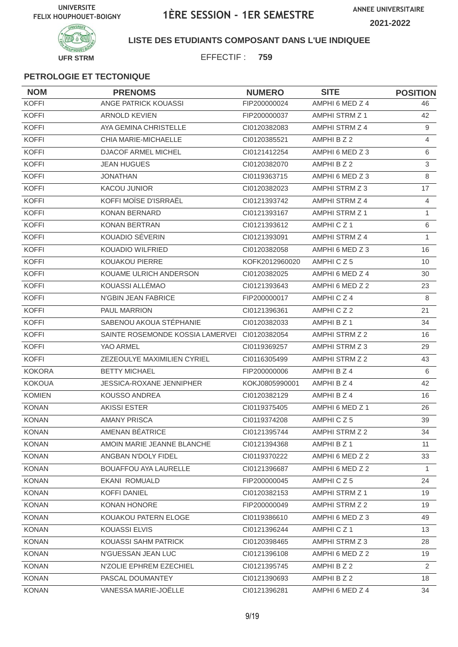

#### **LISTE DES ETUDIANTS COMPOSANT DANS L'UE INDIQUEE**

EFFECTIF : **759**

| <b>NOM</b>    | <b>PRENOMS</b>                                | <b>NUMERO</b>  | <b>SITE</b>           | <b>POSITION</b> |
|---------------|-----------------------------------------------|----------------|-----------------------|-----------------|
| <b>KOFFI</b>  | ANGE PATRICK KOUASSI                          | FIP200000024   | AMPHI 6 MED Z 4       | 46              |
| <b>KOFFI</b>  | <b>ARNOLD KEVIEN</b>                          | FIP200000037   | <b>AMPHI STRM Z 1</b> | 42              |
| <b>KOFFI</b>  | AYA GEMINA CHRISTELLE                         | CI0120382083   | AMPHI STRM Z 4        | 9               |
| <b>KOFFI</b>  | CHIA MARIE-MICHAELLE                          | CI0120385521   | AMPHI B Z 2           | 4               |
| <b>KOFFI</b>  | <b>DJACOF ARMEL MICHEL</b>                    | Cl0121412254   | AMPHI 6 MED Z 3       | 6               |
| <b>KOFFI</b>  | <b>JEAN HUGUES</b>                            | CI0120382070   | AMPHI B Z 2           | 3               |
| <b>KOFFI</b>  | <b>JONATHAN</b>                               | CI0119363715   | AMPHI 6 MED Z 3       | 8               |
| <b>KOFFI</b>  | <b>KACOU JUNIOR</b>                           | CI0120382023   | AMPHI STRM Z 3        | 17              |
| <b>KOFFI</b>  | KOFFI MOÏSE D'ISRRAËL                         | CI0121393742   | AMPHI STRM Z 4        | 4               |
| <b>KOFFI</b>  | <b>KONAN BERNARD</b>                          | CI0121393167   | AMPHI STRM Z 1        | 1               |
| <b>KOFFI</b>  | KONAN BERTRAN                                 | CI0121393612   | AMPHICZ1              | 6               |
| <b>KOFFI</b>  | KOUADIO SÉVERIN                               | CI0121393091   | AMPHI STRM Z 4        | 1               |
| <b>KOFFI</b>  | KOUADIO WILFRIED                              | CI0120382058   | AMPHI 6 MED Z 3       | 16              |
| <b>KOFFI</b>  | KOUAKOU PIERRE                                | KOFK2012960020 | AMPHICZ5              | 10              |
| <b>KOFFI</b>  | KOUAME ULRICH ANDERSON                        | CI0120382025   | AMPHI 6 MED Z 4       | 30              |
| <b>KOFFI</b>  | KOUASSI ALLÉMAO                               | CI0121393643   | AMPHI 6 MED Z 2       | 23              |
| <b>KOFFI</b>  | N'GBIN JEAN FABRICE                           | FIP200000017   | AMPHICZ4              | 8               |
| <b>KOFFI</b>  | PAUL MARRION                                  | CI0121396361   | AMPHICZ2              | 21              |
| <b>KOFFI</b>  | SABENOU AKOUA STÉPHANIE                       | CI0120382033   | AMPHI B Z 1           | 34              |
| <b>KOFFI</b>  | SAINTE ROSEMONDE KOSSIA LAMERVEI CI0120382054 |                | AMPHI STRM Z 2        | 16              |
| <b>KOFFI</b>  | YAO ARMEL                                     | CI0119369257   | AMPHI STRM Z 3        | 29              |
| <b>KOFFI</b>  | ZEZEOULYE MAXIMILIEN CYRIEL                   | CI0116305499   | AMPHI STRM Z 2        | 43              |
| <b>KOKORA</b> | <b>BETTY MICHAEL</b>                          | FIP200000006   | AMPHI B Z 4           | 6               |
| <b>KOKOUA</b> | JESSICA-ROXANE JENNIPHER                      | KOKJ0805990001 | AMPHI B Z 4           | 42              |
| <b>KOMIEN</b> | <b>KOUSSO ANDREA</b>                          | CI0120382129   | AMPHI B Z 4           | 16              |
| <b>KONAN</b>  | <b>AKISSI ESTER</b>                           | CI0119375405   | AMPHI 6 MED Z 1       | 26              |
| <b>KONAN</b>  | <b>AMANY PRISCA</b>                           | CI0119374208   | AMPHICZ5              | 39              |
| <b>KONAN</b>  | AMENAN BÉATRICE                               | Cl0121395744   | AMPHI STRM Z 2        | 34              |
| <b>KONAN</b>  | AMOIN MARIE JEANNE BLANCHE                    | CI0121394368   | AMPHI B Z 1           | 11              |
| <b>KONAN</b>  | ANGBAN N'DOLY FIDEL                           | CI0119370222   | AMPHI 6 MED Z 2       | 33              |
| <b>KONAN</b>  | BOUAFFOU AYA LAURELLE                         | Cl0121396687   | AMPHI 6 MED Z 2       | $\mathbf{1}$    |
| <b>KONAN</b>  | EKANI ROMUALD                                 | FIP200000045   | AMPHICZ5              | 24              |
| <b>KONAN</b>  | <b>KOFFI DANIEL</b>                           | CI0120382153   | <b>AMPHI STRM Z 1</b> | 19              |
| <b>KONAN</b>  | KONAN HONORE                                  | FIP200000049   | AMPHI STRM Z 2        | 19              |
| <b>KONAN</b>  | KOUAKOU PATERN ELOGE                          | CI0119386610   | AMPHI 6 MED Z 3       | 49              |
| <b>KONAN</b>  | <b>KOUASSI ELVIS</b>                          | CI0121396244   | AMPHICZ1              | 13              |
| <b>KONAN</b>  | KOUASSI SAHM PATRICK                          | CI0120398465   | AMPHI STRM Z 3        | 28              |
| <b>KONAN</b>  | N'GUESSAN JEAN LUC                            | CI0121396108   | AMPHI 6 MED Z 2       | 19              |
| <b>KONAN</b>  | N'ZOLIE EPHREM EZECHIEL                       | CI0121395745   | AMPHI B Z 2           | $\overline{2}$  |
| <b>KONAN</b>  | PASCAL DOUMANTEY                              | CI0121390693   | AMPHI B Z 2           | 18              |
| <b>KONAN</b>  | VANESSA MARIE-JOËLLE                          | CI0121396281   | AMPHI 6 MED Z 4       | 34              |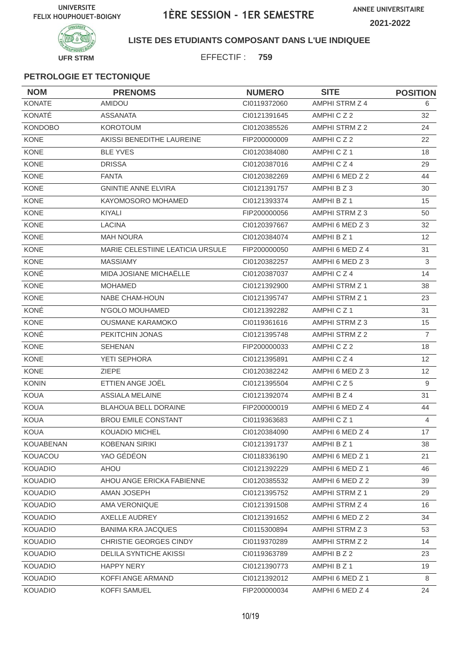

**LISTE DES ETUDIANTS COMPOSANT DANS L'UE INDIQUEE**

EFFECTIF : **759**

| <b>NOM</b>       | <b>PRENOMS</b>                   | <b>NUMERO</b> | <b>SITE</b>          | <b>POSITION</b> |
|------------------|----------------------------------|---------------|----------------------|-----------------|
| <b>KONATE</b>    | AMIDOU                           | CI0119372060  | AMPHI STRM Z 4       | 6               |
| KONATÉ           | <b>ASSANATA</b>                  | CI0121391645  | AMPHICZ2             | 32              |
| <b>KONDOBO</b>   | <b>KOROTOUM</b>                  | CI0120385526  | AMPHI STRM Z 2       | 24              |
| <b>KONE</b>      | AKISSI BENEDITHE LAUREINE        | FIP200000009  | AMPHICZ2             | 22              |
| <b>KONE</b>      | <b>BLE YVES</b>                  | CI0120384080  | AMPHICZ1             | 18              |
| KONE             | <b>DRISSA</b>                    | CI0120387016  | AMPHICZ4             | 29              |
| <b>KONE</b>      | <b>FANTA</b>                     | CI0120382269  | AMPHI 6 MED Z 2      | 44              |
| <b>KONE</b>      | <b>GNINTIE ANNE ELVIRA</b>       | CI0121391757  | AMPHI B Z 3          | 30              |
| <b>KONE</b>      | KAYOMOSORO MOHAMED               | CI0121393374  | AMPHI B Z 1          | 15              |
| <b>KONE</b>      | <b>KIYALI</b>                    | FIP200000056  | AMPHI STRM Z 3       | 50              |
| <b>KONE</b>      | <b>LACINA</b>                    | CI0120397667  | AMPHI 6 MED Z 3      | 32              |
| <b>KONE</b>      | <b>MAH NOURA</b>                 | CI0120384074  | AMPHI B Z 1          | 12 <sup>2</sup> |
| <b>KONE</b>      | MARIE CELESTIINE LEATICIA URSULE | FIP200000050  | AMPHI 6 MED Z 4      | 31              |
| <b>KONE</b>      | <b>MASSIAMY</b>                  | CI0120382257  | AMPHI 6 MED Z 3      | 3               |
| KONÉ             | MIDA JOSIANE MICHAËLLE           | CI0120387037  | AMPHICZ4             | 14              |
| <b>KONE</b>      | <b>MOHAMED</b>                   | CI0121392900  | AMPHI STRM Z 1       | 38              |
| <b>KONE</b>      | NABE CHAM-HOUN                   | CI0121395747  | AMPHI STRM Z 1       | 23              |
| KONÉ             | N'GOLO MOUHAMED                  | CI0121392282  | AMPHICZ <sub>1</sub> | 31              |
| <b>KONE</b>      | <b>OUSMANE KARAMOKO</b>          | CI0119361616  | AMPHI STRM Z 3       | 15              |
| KONÉ             | PEKITCHIN JONAS                  | CI0121395748  | AMPHI STRM Z 2       | $\overline{7}$  |
| <b>KONE</b>      | <b>SEHENAN</b>                   | FIP200000033  | AMPHICZ2             | 18              |
| <b>KONE</b>      | YETI SEPHORA                     | CI0121395891  | AMPHICZ4             | 12 <sup>2</sup> |
| <b>KONE</b>      | <b>ZIEPE</b>                     | CI0120382242  | AMPHI 6 MED Z 3      | 12 <sup>2</sup> |
| <b>KONIN</b>     | ETTIEN ANGE JOËL                 | CI0121395504  | AMPHICZ5             | 9               |
| <b>KOUA</b>      | <b>ASSIALA MELAINE</b>           | CI0121392074  | AMPHI B Z 4          | 31              |
| <b>KOUA</b>      | <b>BLAHOUA BELL DORAINE</b>      | FIP200000019  | AMPHI 6 MED Z 4      | 44              |
| <b>KOUA</b>      | <b>BROU EMILE CONSTANT</b>       | CI0119363683  | AMPHICZ1             | $\overline{4}$  |
| KOUA             | KOUADIO MICHEL                   | CI0120384090  | AMPHI 6 MED Z 4      | 17              |
| <b>KOUABENAN</b> | <b>KOBENAN SIRIKI</b>            | CI0121391737  | AMPHI B Z 1          | 38              |
| KOUACOU          | YAO GÉDÉON                       | CI0118336190  | AMPHI 6 MED Z 1      | 21              |
| KOUADIO          | <b>AHOU</b>                      | CI0121392229  | AMPHI 6 MED Z 1      | 46              |
| <b>KOUADIO</b>   | AHOU ANGE ERICKA FABIENNE        | CI0120385532  | AMPHI 6 MED Z 2      | 39              |
| <b>KOUADIO</b>   | AMAN JOSEPH                      | CI0121395752  | AMPHI STRM Z 1       | 29              |
| <b>KOUADIO</b>   | AMA VERONIQUE                    | Cl0121391508  | AMPHI STRM Z 4       | 16              |
| <b>KOUADIO</b>   | AXELLE AUDREY                    | CI0121391652  | AMPHI 6 MED Z 2      | 34              |
| <b>KOUADIO</b>   | <b>BANIMA KRA JACQUES</b>        | CI0115300894  | AMPHI STRM Z 3       | 53              |
| <b>KOUADIO</b>   | CHRISTIE GEORGES CINDY           | CI0119370289  | AMPHI STRM Z 2       | 14              |
| <b>KOUADIO</b>   | DELILA SYNTICHE AKISSI           | CI0119363789  | AMPHI B Z 2          | 23              |
| <b>KOUADIO</b>   | <b>HAPPY NERY</b>                | Cl0121390773  | AMPHI B Z 1          | 19              |
| <b>KOUADIO</b>   | KOFFI ANGE ARMAND                | CI0121392012  | AMPHI 6 MED Z 1      | 8               |
| KOUADIO          | KOFFI SAMUEL                     | FIP200000034  | AMPHI 6 MED Z 4      | 24              |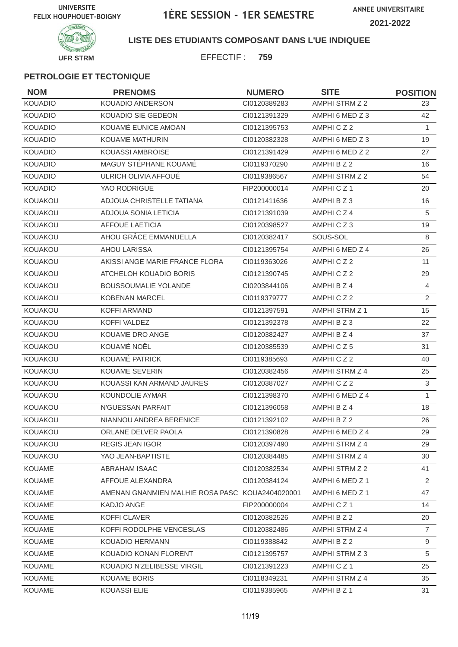**ANNEE UNIVERSITAIRE 2021-2022**



#### **LISTE DES ETUDIANTS COMPOSANT DANS L'UE INDIQUEE**

EFFECTIF : **759**

| <b>NOM</b>     | <b>PRENOMS</b>                                  | <b>NUMERO</b> | <b>SITE</b>          | <b>POSITION</b> |
|----------------|-------------------------------------------------|---------------|----------------------|-----------------|
| <b>KOUADIO</b> | <b>KOUADIO ANDERSON</b>                         | CI0120389283  | AMPHI STRM Z 2       | 23.             |
| <b>KOUADIO</b> | KOUADIO SIE GEDEON                              | CI0121391329  | AMPHI 6 MED Z 3      | 42              |
| <b>KOUADIO</b> | KOUAMÉ EUNICE AMOAN                             | CI0121395753  | AMPHICZ2             | $\mathbf{1}$    |
| <b>KOUADIO</b> | <b>KOUAME MATHURIN</b>                          | CI0120382328  | AMPHI 6 MED Z 3      | 19              |
| <b>KOUADIO</b> | <b>KOUASSI AMBROISE</b>                         | CI0121391429  | AMPHI 6 MED Z 2      | 27              |
| <b>KOUADIO</b> | MAGUY STÉPHANE KOUAMÉ                           | CI0119370290  | AMPHI B Z 2          | 16              |
| <b>KOUADIO</b> | ULRICH OLIVIA AFFOUE                            | CI0119386567  | AMPHI STRM Z 2       | 54              |
| <b>KOUADIO</b> | YAO RODRIGUE                                    | FIP200000014  | AMPHICZ1             | 20              |
| <b>KOUAKOU</b> | ADJOUA CHRISTELLE TATIANA                       | CI0121411636  | AMPHI B Z 3          | 16              |
| <b>KOUAKOU</b> | ADJOUA SONIA LETICIA                            | CI0121391039  | AMPHICZ4             | 5               |
| KOUAKOU        | <b>AFFOUE LAETICIA</b>                          | CI0120398527  | AMPHICZ3             | 19              |
| <b>KOUAKOU</b> | AHOU GRÂCE EMMANUELLA                           | CI0120382417  | SOUS-SOL             | 8               |
| <b>KOUAKOU</b> | <b>AHOU LARISSA</b>                             | CI0121395754  | AMPHI 6 MED Z 4      | 26              |
| KOUAKOU        | AKISSI ANGE MARIE FRANCE FLORA                  | CI0119363026  | AMPHICZ2             | 11              |
| KOUAKOU        | ATCHELOH KOUADIO BORIS                          | CI0121390745  | AMPHICZ2             | 29              |
| KOUAKOU        | <b>BOUSSOUMALIE YOLANDE</b>                     | CI0203844106  | AMPHI B Z 4          | $\overline{4}$  |
| KOUAKOU        | <b>KOBENAN MARCEL</b>                           | CI0119379777  | AMPHICZ2             | 2               |
| <b>KOUAKOU</b> | KOFFI ARMAND                                    | CI0121397591  | AMPHI STRM Z 1       | 15              |
| KOUAKOU        | KOFFI VALDEZ                                    | CI0121392378  | AMPHI B Z 3          | 22              |
| KOUAKOU        | KOUAME DRO ANGE                                 | CI0120382427  | AMPHI B Z 4          | 37              |
| KOUAKOU        | KOUAMÉ NOËL                                     | CI0120385539  | AMPHICZ5             | 31              |
| KOUAKOU        | KOUAMÉ PATRICK                                  | CI0119385693  | AMPHICZ2             | 40              |
| KOUAKOU        | <b>KOUAME SEVERIN</b>                           | CI0120382456  | AMPHI STRM Z 4       | 25              |
| KOUAKOU        | KOUASSI KAN ARMAND JAURES                       | CI0120387027  | AMPHICZ2             | $\mathsf 3$     |
| KOUAKOU        | KOUNDOLIE AYMAR                                 | CI0121398370  | AMPHI 6 MED Z 4      | $\mathbf{1}$    |
| KOUAKOU        | N'GUESSAN PARFAIT                               | CI0121396058  | AMPHI B Z 4          | 18              |
| KOUAKOU        | NIANNOU ANDREA BERENICE                         | CI0121392102  | AMPHI B Z 2          | 26              |
| KOUAKOU        | ORLANE DELVER PAOLA                             | Cl0121390828  | AMPHI 6 MED Z 4      | 29              |
| <b>KOUAKOU</b> | <b>REGIS JEAN IGOR</b>                          | CI0120397490  | AMPHI STRM Z 4       | 29              |
| KOUAKOU        | YAO JEAN-BAPTISTE                               | CI0120384485  | AMPHI STRM Z 4       | 30              |
| <b>KOUAME</b>  | ABRAHAM ISAAC                                   | CI0120382534  | AMPHI STRM Z 2       | 41              |
| <b>KOUAME</b>  | AFFOUE ALEXANDRA                                | CI0120384124  | AMPHI 6 MED Z 1      | $\overline{2}$  |
| <b>KOUAME</b>  | AMENAN GNANMIEN MALHIE ROSA PASC KOUA2404020001 |               | AMPHI 6 MED Z 1      | 47              |
| <b>KOUAME</b>  | KADJO ANGE                                      | FIP200000004  | AMPHICZ <sub>1</sub> | 14              |
| <b>KOUAME</b>  | KOFFI CLAVER                                    | CI0120382526  | AMPHI B Z 2          | 20              |
| <b>KOUAME</b>  | KOFFI RODOLPHE VENCESLAS                        | CI0120382486  | AMPHI STRM Z 4       | $\overline{7}$  |
| <b>KOUAME</b>  | KOUADIO HERMANN                                 | CI0119388842  | AMPHI B Z 2          | 9               |
| <b>KOUAME</b>  | KOUADIO KONAN FLORENT                           | CI0121395757  | AMPHI STRM Z 3       | 5               |
| <b>KOUAME</b>  | KOUADIO N'ZELIBESSE VIRGIL                      | CI0121391223  | AMPHICZ1             | 25              |
| <b>KOUAME</b>  | <b>KOUAME BORIS</b>                             | CI0118349231  | AMPHI STRM Z 4       | 35              |
| <b>KOUAME</b>  | KOUASSI ELIE                                    | CI0119385965  | AMPHI B Z 1          | 31              |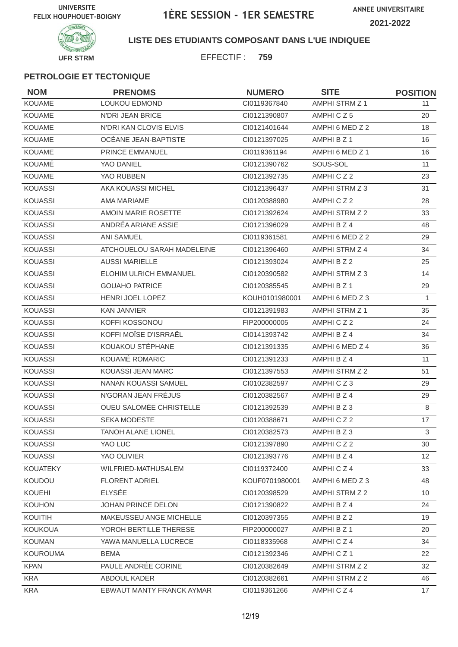**ANNEE UNIVERSITAIRE 2021-2022**



**LISTE DES ETUDIANTS COMPOSANT DANS L'UE INDIQUEE**

EFFECTIF : **759**

| <b>NOM</b>      | <b>PRENOMS</b>                 | <b>NUMERO</b>  | <b>SITE</b>     | <b>POSITION</b> |
|-----------------|--------------------------------|----------------|-----------------|-----------------|
| KOUAME          | LOUKOU EDMOND                  | CI0119367840   | AMPHI STRM Z 1  | 11              |
| <b>KOUAME</b>   | N'DRI JEAN BRICE               | CI0121390807   | AMPHICZ5        | 20              |
| <b>KOUAME</b>   | N'DRI KAN CLOVIS ELVIS         | CI0121401644   | AMPHI 6 MED Z 2 | 18              |
| <b>KOUAME</b>   | OCÉANE JEAN-BAPTISTE           | CI0121397025   | AMPHI B Z 1     | 16              |
| <b>KOUAME</b>   | <b>PRINCE EMMANUEL</b>         | CI0119361194   | AMPHI 6 MED Z 1 | 16              |
| KOUAMÉ          | YAO DANIEL                     | CI0121390762   | SOUS-SOL        | 11              |
| <b>KOUAME</b>   | YAO RUBBEN                     | CI0121392735   | AMPHICZ2        | 23              |
| <b>KOUASSI</b>  | AKA KOUASSI MICHEL             | CI0121396437   | AMPHI STRM Z 3  | 31              |
| <b>KOUASSI</b>  | <b>AMA MARIAME</b>             | CI0120388980   | AMPHICZ2        | 28              |
| <b>KOUASSI</b>  | AMOIN MARIE ROSETTE            | CI0121392624   | AMPHI STRM Z 2  | 33              |
| <b>KOUASSI</b>  | ANDRÉA ARIANE ASSIE            | CI0121396029   | AMPHI B Z 4     | 48              |
| <b>KOUASSI</b>  | <b>ANI SAMUEL</b>              | CI0119361581   | AMPHI 6 MED Z 2 | 29              |
| <b>KOUASSI</b>  | ATCHOUELOU SARAH MADELEINE     | CI0121396460   | AMPHI STRM Z 4  | 34              |
| <b>KOUASSI</b>  | <b>AUSSI MARIELLE</b>          | CI0121393024   | AMPHI B Z 2     | 25              |
| <b>KOUASSI</b>  | <b>ELOHIM ULRICH EMMANUEL</b>  | CI0120390582   | AMPHI STRM Z 3  | 14              |
| <b>KOUASSI</b>  | <b>GOUAHO PATRICE</b>          | CI0120385545   | AMPHI B Z 1     | 29              |
| <b>KOUASSI</b>  | HENRI JOEL LOPEZ               | KOUH0101980001 | AMPHI 6 MED Z 3 | $\mathbf{1}$    |
| <b>KOUASSI</b>  | <b>KAN JANVIER</b>             | CI0121391983   | AMPHI STRM Z 1  | 35              |
| <b>KOUASSI</b>  | KOFFI KOSSONOU                 | FIP200000005   | AMPHICZ2        | 24              |
| <b>KOUASSI</b>  | KOFFI MOÏSE D'ISRRAËL          | CI0141393742   | AMPHI B Z 4     | 34              |
| <b>KOUASSI</b>  | KOUAKOU STÉPHANE               | CI0121391335   | AMPHI 6 MED Z 4 | 36              |
| <b>KOUASSI</b>  | KOUAMÉ ROMARIC                 | CI0121391233   | AMPHI B Z 4     | 11              |
| <b>KOUASSI</b>  | KOUASSI JEAN MARC              | CI0121397553   | AMPHI STRM Z 2  | 51              |
| <b>KOUASSI</b>  | NANAN KOUASSI SAMUEL           | CI0102382597   | AMPHICZ3        | 29              |
| <b>KOUASSI</b>  | N'GORAN JEAN FRÉJUS            | CI0120382567   | AMPHI B Z 4     | 29              |
| <b>KOUASSI</b>  | <b>OUEU SALOMÉE CHRISTELLE</b> | CI0121392539   | AMPHI B Z 3     | 8               |
| <b>KOUASSI</b>  | <b>SEKA MODESTE</b>            | CI0120388671   | AMPHICZ2        | 17              |
| <b>KOUASSI</b>  | TANOH ALANE LIONEL             | CI0120382573   | AMPHI B Z 3     | $\mathbf{3}$    |
| <b>KOUASSI</b>  | YAO LUC                        | CI0121397890   | AMPHICZ2        | 30              |
| <b>KOUASSI</b>  | YAO OLIVIER                    | CI0121393776   | AMPHI B Z 4     | 12 <sup>2</sup> |
| <b>KOUATEKY</b> | WILFRIED-MATHUSALEM            | CI0119372400   | AMPHICZ4        | 33              |
| KOUDOU          | <b>FLORENT ADRIEL</b>          | KOUF0701980001 | AMPHI 6 MED Z 3 | 48              |
| <b>KOUEHI</b>   | <b>ELYSÉE</b>                  | CI0120398529   | AMPHI STRM Z 2  | 10              |
| KOUHON          | JOHAN PRINCE DELON             | Cl0121390822   | AMPHI B Z 4     | 24              |
| KOUITIH         | MAKEUSSEU ANGE MICHELLE        | CI0120397355   | AMPHI B Z 2     | 19              |
| <b>KOUKOUA</b>  | YOROH BERTILLE THERESE         | FIP200000027   | AMPHI B Z 1     | 20              |
| <b>KOUMAN</b>   | YAWA MANUELLA LUCRECE          | CI0118335968   | AMPHICZ4        | 34              |
| <b>KOUROUMA</b> | <b>BEMA</b>                    | CI0121392346   | AMPHICZ1        | 22              |
| <b>KPAN</b>     | PAULE ANDRÉE CORINE            | CI0120382649   | AMPHI STRM Z 2  | 32              |
| KRA             | ABDOUL KADER                   | CI0120382661   | AMPHI STRM Z 2  | 46              |
| <b>KRA</b>      | EBWAUT MANTY FRANCK AYMAR      | CI0119361266   | AMPHICZ4        | 17              |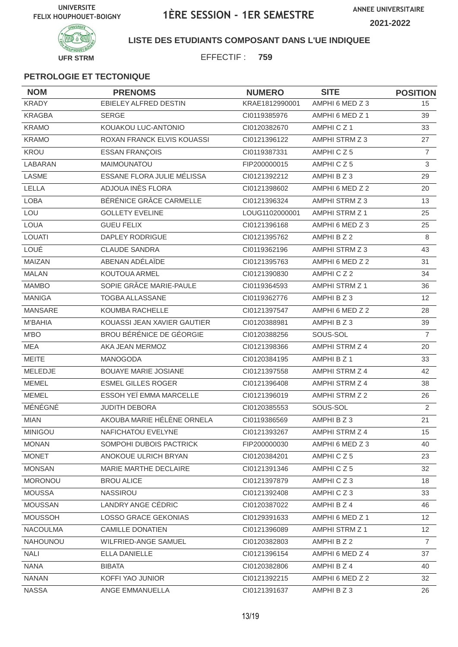**ANNEE UNIVERSITAIRE**





### **LISTE DES ETUDIANTS COMPOSANT DANS L'UE INDIQUEE**

EFFECTIF : **759**

| <b>NOM</b>      | <b>PRENOMS</b>                    | <b>NUMERO</b>  | <b>SITE</b>     | <b>POSITION</b> |
|-----------------|-----------------------------------|----------------|-----------------|-----------------|
| <b>KRADY</b>    | EBIELEY ALFRED DESTIN             | KRAE1812990001 | AMPHI 6 MED Z 3 | 15              |
| <b>KRAGBA</b>   | <b>SERGE</b>                      | CI0119385976   | AMPHI 6 MED Z 1 | 39              |
| <b>KRAMO</b>    | KOUAKOU LUC-ANTONIO               | CI0120382670   | AMPHICZ1        | 33              |
| <b>KRAMO</b>    | <b>ROXAN FRANCK ELVIS KOUASSI</b> | CI0121396122   | AMPHI STRM Z 3  | 27              |
| KROU            | <b>ESSAN FRANÇOIS</b>             | CI0119387331   | AMPHICZ5        | $\overline{7}$  |
| LABARAN         | MAIMOUNATOU                       | FIP200000015   | AMPHICZ5        | 3               |
| <b>LASME</b>    | ESSANE FLORA JULIE MÉLISSA        | CI0121392212   | AMPHI B Z 3     | 29              |
| LELLA           | ADJOUA INÈS FLORA                 | Cl0121398602   | AMPHI 6 MED Z 2 | 20              |
| <b>LOBA</b>     | BÉRÉNICE GRÂCE CARMELLE           | CI0121396324   | AMPHI STRM Z 3  | 13              |
| LOU             | <b>GOLLETY EVELINE</b>            | LOUG1102000001 | AMPHI STRM Z 1  | 25              |
| <b>LOUA</b>     | <b>GUEU FELIX</b>                 | CI0121396168   | AMPHI 6 MED Z 3 | 25              |
| <b>LOUATI</b>   | <b>DAPLEY RODRIGUE</b>            | CI0121395762   | AMPHI B Z 2     | 8               |
| LOUÉ            | <b>CLAUDE SANDRA</b>              | CI0119362196   | AMPHI STRM Z 3  | 43              |
| MAIZAN          | ABENAN ADÉLAÏDE                   | CI0121395763   | AMPHI 6 MED Z 2 | 31              |
| <b>MALAN</b>    | KOUTOUA ARMEL                     | CI0121390830   | AMPHICZ2        | 34              |
| <b>MAMBO</b>    | SOPIE GRÂCE MARIE-PAULE           | CI0119364593   | AMPHI STRM Z 1  | 36              |
| <b>MANIGA</b>   | TOGBA ALLASSANE                   | CI0119362776   | AMPHI B Z 3     | 12 <sup>2</sup> |
| <b>MANSARE</b>  | KOUMBA RACHELLE                   | CI0121397547   | AMPHI 6 MED Z 2 | 28              |
| <b>M'BAHIA</b>  | KOUASSI JEAN XAVIER GAUTIER       | CI0120388981   | AMPHI B Z 3     | 39              |
| M'BO            | BROU BÉRÉNICE DE GÉORGIE          | CI0120388256   | SOUS-SOL        | $\overline{7}$  |
| MEA             | AKA JEAN MERMOZ                   | CI0121398366   | AMPHI STRM Z 4  | 20              |
| <b>MEITE</b>    | <b>MANOGODA</b>                   | CI0120384195   | AMPHI B Z 1     | 33              |
| MELEDJE         | <b>BOUAYE MARIE JOSIANE</b>       | CI0121397558   | AMPHI STRM Z 4  | 42              |
| <b>MEMEL</b>    | <b>ESMEL GILLES ROGER</b>         | CI0121396408   | AMPHI STRM Z 4  | 38              |
| <b>MEMEL</b>    | ESSOH YEÏ EMMA MARCELLE           | CI0121396019   | AMPHI STRM Z 2  | 26              |
| MÉNÉGNÉ         | <b>JUDITH DEBORA</b>              | CI0120385553   | SOUS-SOL        | $\overline{2}$  |
| <b>MIAN</b>     | AKOUBA MARIE HÉLÈNE ORNELA        | CI0119386569   | AMPHI B Z 3     | 21              |
| <b>MINIGOU</b>  | NAFICHATOU EVELYNE                | CI0121393267   | AMPHI STRM Z 4  | 15              |
| <b>MONAN</b>    | SOMPOHI DUBOIS PACTRICK           | FIP200000030   | AMPHI 6 MED Z 3 | 40              |
| <b>MONET</b>    | ANOKOUE ULRICH BRYAN              | CI0120384201   | AMPHICZ5        | 23              |
| <b>MONSAN</b>   | MARIE MARTHE DECLAIRE             | Cl0121391346   | AMPHICZ5        | 32              |
| <b>MORONOU</b>  | <b>BROU ALICE</b>                 | CI0121397879   | AMPHICZ3        | 18              |
| <b>MOUSSA</b>   | NASSIROU                          | CI0121392408   | AMPHICZ3        | 33              |
| <b>MOUSSAN</b>  | LANDRY ANGE CÉDRIC                | CI0120387022   | AMPHI B Z 4     | 46              |
| <b>MOUSSOH</b>  | <b>LOSSO GRACE GEKONIAS</b>       | CI0129391633   | AMPHI 6 MED Z 1 | 12 <sup>2</sup> |
| <b>NACOULMA</b> | <b>CAMILLE DONATIEN</b>           | CI0121396089   | AMPHI STRM Z 1  | 12              |
| <b>NAHOUNOU</b> | <b>WILFRIED-ANGE SAMUEL</b>       | CI0120382803   | AMPHI B Z 2     | $\overline{7}$  |
| <b>NALI</b>     | ELLA DANIELLE                     | Cl0121396154   | AMPHI 6 MED Z 4 | 37              |
| <b>NANA</b>     | <b>BIBATA</b>                     | Cl0120382806   | AMPHI B Z 4     | 40              |
| <b>NANAN</b>    | KOFFI YAO JUNIOR                  | CI0121392215   | AMPHI 6 MED Z 2 | 32              |
| <b>NASSA</b>    | ANGE EMMANUELLA                   | Cl0121391637   | AMPHI B Z 3     | 26              |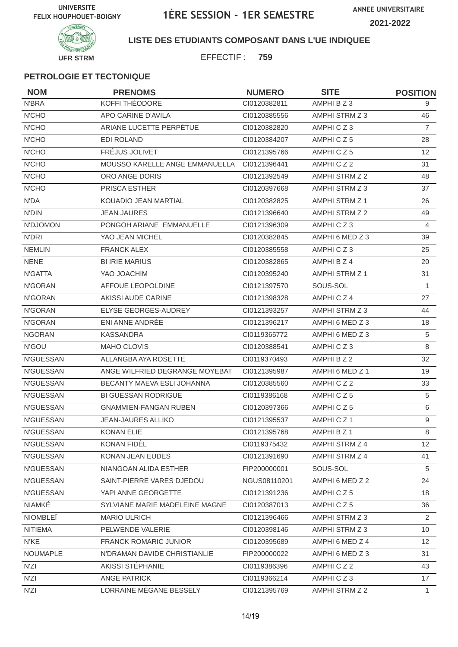**ANNEE UNIVERSITAIRE 2021-2022**



**LISTE DES ETUDIANTS COMPOSANT DANS L'UE INDIQUEE**

EFFECTIF : **759**

| <b>NOM</b>       | <b>PRENOMS</b>                 | <b>NUMERO</b> | <b>SITE</b>          | <b>POSITION</b> |
|------------------|--------------------------------|---------------|----------------------|-----------------|
| N'BRA            | KOFFI THÉODORE                 | CI0120382811  | AMPHI B Z 3          | 9               |
| N'CHO            | APO CARINE D'AVILA             | CI0120385556  | AMPHI STRM Z 3       | 46              |
| N'CHO            | ARIANE LUCETTE PERPÉTUE        | CI0120382820  | AMPHICZ3             | $\overline{7}$  |
| <b>N'CHO</b>     | <b>EDI ROLAND</b>              | CI0120384207  | AMPHICZ5             | 28              |
| <b>N'CHO</b>     | FRÉJUS JOLIVET                 | CI0121395766  | AMPHICZ5             | 12              |
| <b>N'CHO</b>     | MOUSSO KARELLE ANGE EMMANUELLA | Cl0121396441  | AMPHICZ2             | 31              |
| <b>N'CHO</b>     | ORO ANGE DORIS                 | CI0121392549  | AMPHI STRM Z 2       | 48              |
| <b>N'CHO</b>     | PRISCA ESTHER                  | CI0120397668  | AMPHI STRM Z 3       | 37              |
| N'DA             | KOUADIO JEAN MARTIAL           | CI0120382825  | AMPHI STRM Z 1       | 26              |
| <b>N'DIN</b>     | <b>JEAN JAURES</b>             | CI0121396640  | AMPHI STRM Z 2       | 49              |
| N'DJOMON         | PONGOH ARIANE EMMANUELLE       | CI0121396309  | AMPHICZ3             | $\overline{4}$  |
| N'DRI            | YAO JEAN MICHEL                | CI0120382845  | AMPHI 6 MED Z 3      | 39              |
| <b>NEMLIN</b>    | <b>FRANCK ALEX</b>             | CI0120385558  | AMPHICZ3             | 25              |
| <b>NENE</b>      | <b>BI IRIE MARIUS</b>          | CI0120382865  | AMPHI B Z 4          | 20              |
| N'GATTA          | YAO JOACHIM                    | CI0120395240  | AMPHI STRM Z 1       | 31              |
| N'GORAN          | AFFOUE LEOPOLDINE              | CI0121397570  | SOUS-SOL             | 1               |
| N'GORAN          | AKISSI AUDE CARINE             | CI0121398328  | AMPHICZ4             | 27              |
| N'GORAN          | ELYSE GEORGES-AUDREY           | CI0121393257  | AMPHI STRM Z 3       | 44              |
| N'GORAN          | ENI ANNE ANDRÉE                | CI0121396217  | AMPHI 6 MED Z 3      | 18              |
| <b>NGORAN</b>    | <b>KASSANDRA</b>               | CI0119365772  | AMPHI 6 MED Z 3      | 5               |
| N'GOU            | <b>MAHO CLOVIS</b>             | CI0120388541  | AMPHICZ3             | 8               |
| N'GUESSAN        | ALLANGBA AYA ROSETTE           | CI0119370493  | AMPHI B Z 2          | 32              |
| N'GUESSAN        | ANGE WILFRIED DEGRANGE MOYEBAT | CI0121395987  | AMPHI 6 MED Z 1      | 19              |
| N'GUESSAN        | BECANTY MAEVA ESLI JOHANNA     | CI0120385560  | AMPHICZ2             | 33              |
| N'GUESSAN        | <b>BI GUESSAN RODRIGUE</b>     | CI0119386168  | AMPHICZ5             | 5               |
| N'GUESSAN        | <b>GNAMMIEN-FANGAN RUBEN</b>   | CI0120397366  | AMPHICZ5             | 6               |
| <b>N'GUESSAN</b> | <b>JEAN-JAURES ALLIKO</b>      | CI0121395537  | AMPHICZ <sub>1</sub> | 9               |
| N'GUESSAN        | KONAN ELIE                     | Cl0121395768  | AMPHI B Z 1          | 8               |
| N'GUESSAN        | KONAN FIDÈL                    | CI0119375432  | AMPHI STRM Z 4       | 12              |
| <b>N'GUESSAN</b> | KONAN JEAN EUDES               | CI0121391690  | AMPHI STRM Z 4       | 41              |
| N'GUESSAN        | NIANGOAN ALIDA ESTHER          | FIP200000001  | SOUS-SOL             | 5               |
| N'GUESSAN        | SAINT-PIERRE VARES DJEDOU      | NGUS08110201  | AMPHI 6 MED Z 2      | 24              |
| N'GUESSAN        | YAPI ANNE GEORGETTE            | CI0121391236  | AMPHICZ5             | 18              |
| NIAMKÉ           | SYLVIANE MARIE MADELEINE MAGNE | CI0120387013  | AMPHICZ5             | 36              |
| <b>NIOMBLEÏ</b>  | <b>MARIO ULRICH</b>            | CI0121396466  | AMPHI STRM Z 3       | $\overline{2}$  |
| <b>NITIEMA</b>   | PELWENDE VALERIE               | CI0120398146  | AMPHI STRM Z 3       | 10 <sup>°</sup> |
| N'KE             | <b>FRANCK ROMARIC JUNIOR</b>   | CI0120395689  | AMPHI 6 MED Z 4      | 12 <sup>2</sup> |
| NOUMAPLE         | N'DRAMAN DAVIDE CHRISTIANLIE   | FIP200000022  | AMPHI 6 MED Z 3      | 31              |
| N'ZI             | AKISSI STÉPHANIE               | CI0119386396  | AMPHICZ2             | 43              |
| N'ZI             | ANGE PATRICK                   | CI0119366214  | AMPHICZ3             | 17              |
| N'ZI             | LORRAINE MÉGANE BESSELY        | CI0121395769  | AMPHI STRM Z 2       | 1.              |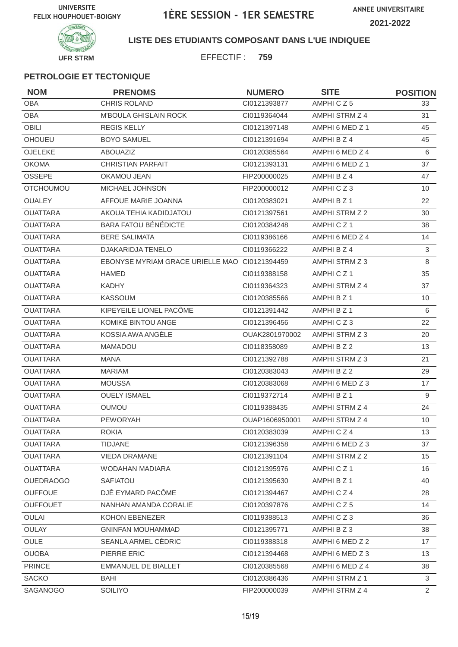

#### **LISTE DES ETUDIANTS COMPOSANT DANS L'UE INDIQUEE**

EFFECTIF : **759**

| <b>NOM</b>       | <b>PRENOMS</b>                                | <b>NUMERO</b>  | <b>SITE</b>          | <b>POSITION</b> |
|------------------|-----------------------------------------------|----------------|----------------------|-----------------|
| <b>OBA</b>       | <b>CHRIS ROLAND</b>                           | CI0121393877   | AMPHICZ5             | 33              |
| <b>OBA</b>       | <b>M'BOULA GHISLAIN ROCK</b>                  | CI0119364044   | AMPHI STRM Z 4       | 31              |
| <b>OBILI</b>     | <b>REGIS KELLY</b>                            | CI0121397148   | AMPHI 6 MED Z 1      | 45              |
| <b>OHOUEU</b>    | <b>BOYO SAMUEL</b>                            | CI0121391694   | AMPHI B Z 4          | 45              |
| <b>OJELEKE</b>   | <b>ABOUAZIZ</b>                               | CI0120385564   | AMPHI 6 MED Z 4      | 6               |
| <b>OKOMA</b>     | <b>CHRISTIAN PARFAIT</b>                      | CI0121393131   | AMPHI 6 MED Z 1      | 37              |
| <b>OSSEPE</b>    | OKAMOU JEAN                                   | FIP200000025   | AMPHI B Z 4          | 47              |
| <b>OTCHOUMOU</b> | MICHAEL JOHNSON                               | FIP200000012   | AMPHICZ3             | 10              |
| <b>OUALEY</b>    | AFFOUE MARIE JOANNA                           | CI0120383021   | AMPHI B Z 1          | 22              |
| <b>OUATTARA</b>  | AKOUA TEHIA KADIDJATOU                        | CI0121397561   | AMPHI STRM Z 2       | 30              |
| <b>OUATTARA</b>  | <b>BARA FATOU BÉNÉDICTE</b>                   | CI0120384248   | AMPHICZ1             | 38              |
| <b>OUATTARA</b>  | <b>BERE SALIMATA</b>                          | CI0119386166   | AMPHI 6 MED Z 4      | 14              |
| <b>OUATTARA</b>  | <b>DJAKARIDJA TENELO</b>                      | CI0119366222   | AMPHI B Z 4          | 3               |
| <b>OUATTARA</b>  | EBONYSE MYRIAM GRACE URIELLE MAO CI0121394459 |                | AMPHI STRM Z 3       | 8               |
| <b>OUATTARA</b>  | <b>HAMED</b>                                  | CI0119388158   | AMPHICZ <sub>1</sub> | 35              |
| <b>OUATTARA</b>  | <b>KADHY</b>                                  | CI0119364323   | AMPHI STRM Z 4       | 37              |
| <b>OUATTARA</b>  | <b>KASSOUM</b>                                | CI0120385566   | AMPHI B Z 1          | 10              |
| <b>OUATTARA</b>  | KIPEYEILE LIONEL PACÔME                       | CI0121391442   | AMPHI B Z 1          | 6               |
| <b>OUATTARA</b>  | KOMIKÉ BINTOU ANGE                            | CI0121396456   | AMPHICZ3             | 22              |
| <b>OUATTARA</b>  | KOSSIA AWA ANGÈLE                             | OUAK2801970002 | AMPHI STRM Z 3       | 20              |
| <b>OUATTARA</b>  | <b>MAMADOU</b>                                | CI0118358089   | AMPHI B Z 2          | 13              |
| <b>OUATTARA</b>  | <b>MANA</b>                                   | CI0121392788   | AMPHI STRM Z 3       | 21              |
| <b>OUATTARA</b>  | <b>MARIAM</b>                                 | CI0120383043   | AMPHI B Z 2          | 29              |
| <b>OUATTARA</b>  | <b>MOUSSA</b>                                 | CI0120383068   | AMPHI 6 MED Z 3      | 17              |
| <b>OUATTARA</b>  | <b>OUELY ISMAEL</b>                           | CI0119372714   | AMPHI B Z 1          | 9               |
| <b>OUATTARA</b>  | <b>OUMOU</b>                                  | CI0119388435   | AMPHI STRM Z 4       | 24              |
| <b>OUATTARA</b>  | <b>PEWORYAH</b>                               | OUAP1606950001 | AMPHI STRM Z 4       | 10              |
| <b>OUATTARA</b>  | <b>ROKIA</b>                                  | CI0120383039   | AMPHICZ4             | 13              |
| <b>OUATTARA</b>  | <b>TIDJANE</b>                                | CI0121396358   | AMPHI 6 MED Z 3      | 37              |
| <b>OUATTARA</b>  | <b>VIEDA DRAMANE</b>                          | CI0121391104   | AMPHI STRM Z 2       | 15              |
| <b>OUATTARA</b>  | WODAHAN MADIARA                               | CI0121395976   | AMPHICZ1             | 16              |
| <b>OUEDRAOGO</b> | <b>SAFIATOU</b>                               | CI0121395630   | AMPHI B Z 1          | 40              |
| <b>OUFFOUE</b>   | DJÊ EYMARD PACÔME                             | CI0121394467   | AMPHICZ4             | 28              |
| <b>OUFFOUET</b>  | NANHAN AMANDA CORALIE                         | CI0120397876   | AMPHICZ5             | 14              |
| <b>OULAI</b>     | KOHON EBENEZER                                | CI0119388513   | AMPHICZ3             | 36              |
| OULAY            | <b>GNINFAN MOUHAMMAD</b>                      | CI0121395771   | AMPHIBZ3             | 38              |
| <b>OULE</b>      | SEANLA ARMEL CEDRIC                           | Cl0119388318   | AMPHI 6 MED Z 2      | 17              |
| <b>OUOBA</b>     | PIERRE ERIC                                   | CI0121394468   | AMPHI 6 MED Z 3      | 13              |
| <b>PRINCE</b>    | EMMANUEL DE BIALLET                           | Cl0120385568   | AMPHI 6 MED Z 4      | 38              |
| <b>SACKO</b>     | BAHI                                          | CI0120386436   | AMPHI STRM Z 1       | 3               |
| SAGANOGO         | SOILIYO                                       | FIP200000039   | AMPHI STRM Z 4       | $\overline{2}$  |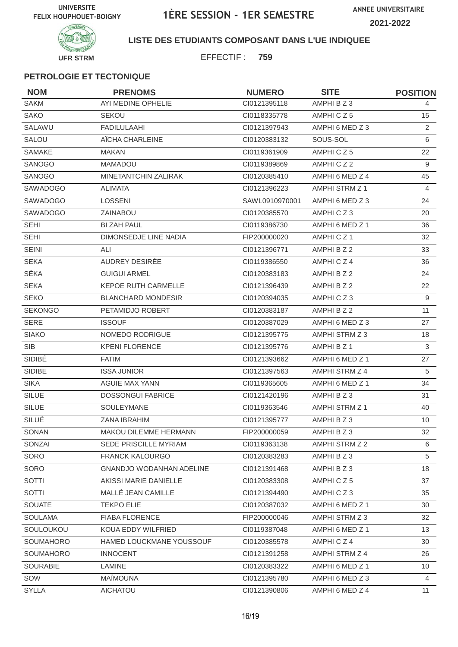**ANNEE UNIVERSITAIRE 2021-2022**



**LISTE DES ETUDIANTS COMPOSANT DANS L'UE INDIQUEE**

EFFECTIF : **759**

| <b>NOM</b>       | <b>PRENOMS</b>                  | <b>NUMERO</b>  | <b>SITE</b>     | <b>POSITION</b> |
|------------------|---------------------------------|----------------|-----------------|-----------------|
| <b>SAKM</b>      | AYI MEDINE OPHELIE              | CI0121395118   | AMPHI B Z 3     | 4               |
| <b>SAKO</b>      | <b>SEKOU</b>                    | CI0118335778   | AMPHICZ5        | 15              |
| SALAWU           | <b>FADILULAAHI</b>              | CI0121397943   | AMPHI 6 MED Z 3 | 2               |
| <b>SALOU</b>     | AÏCHA CHARLEINE                 | CI0120383132   | SOUS-SOL        | 6               |
| <b>SAMAKE</b>    | MAKAN                           | CI0119361909   | AMPHICZ5        | 22              |
| SANOGO           | <b>MAMADOU</b>                  | CI0119389869   | AMPHICZ2        | 9               |
| SANOGO           | MINETANTCHIN ZALIRAK            | CI0120385410   | AMPHI 6 MED Z 4 | 45              |
| SAWADOGO         | <b>ALIMATA</b>                  | CI0121396223   | AMPHI STRM Z 1  | $\overline{4}$  |
| <b>SAWADOGO</b>  | <b>LOSSENI</b>                  | SAWL0910970001 | AMPHI 6 MED Z 3 | 24              |
| <b>SAWADOGO</b>  | <b>ZAINABOU</b>                 | CI0120385570   | AMPHICZ3        | 20              |
| <b>SEHI</b>      | <b>BI ZAH PAUL</b>              | CI0119386730   | AMPHI 6 MED Z 1 | 36              |
| <b>SEHI</b>      | DIMONSEDJE LINE NADIA           | FIP200000020   | AMPHICZ1        | 32              |
| <b>SEINI</b>     | ALI                             | CI0121396771   | AMPHI B Z 2     | 33              |
| <b>SEKA</b>      | AUDREY DESIRÉE                  | CI0119386550   | AMPHICZ4        | 36              |
| SÉKA             | <b>GUIGUI ARMEL</b>             | CI0120383183   | AMPHI B Z 2     | 24              |
| <b>SEKA</b>      | <b>KEPOE RUTH CARMELLE</b>      | CI0121396439   | AMPHI B Z 2     | 22              |
| <b>SEKO</b>      | <b>BLANCHARD MONDESIR</b>       | CI0120394035   | AMPHICZ3        | 9               |
| <b>SEKONGO</b>   | PETAMIDJO ROBERT                | CI0120383187   | AMPHI B Z 2     | 11              |
| <b>SERE</b>      | <b>ISSOUF</b>                   | CI0120387029   | AMPHI 6 MED Z 3 | 27              |
| <b>SIAKO</b>     | NOMEDO RODRIGUE                 | CI0121395775   | AMPHI STRM Z 3  | 18              |
| <b>SIB</b>       | <b>KPENI FLORENCE</b>           | CI0121395776   | AMPHI B Z 1     | 3               |
| SIDIBÉ           | <b>FATIM</b>                    | CI0121393662   | AMPHI 6 MED Z 1 | 27              |
| SIDIBE           | <b>ISSA JUNIOR</b>              | CI0121397563   | AMPHI STRM Z 4  | 5               |
| <b>SIKA</b>      | AGUIE MAX YANN                  | CI0119365605   | AMPHI 6 MED Z 1 | 34              |
| <b>SILUE</b>     | <b>DOSSONGUI FABRICE</b>        | CI0121420196   | AMPHI B Z 3     | 31              |
| <b>SILUE</b>     | <b>SOULEYMANE</b>               | CI0119363546   | AMPHI STRM Z 1  | 40              |
| SILUÉ            | ZANA IBRAHIM                    | CI0121395777   | AMPHI B Z 3     | 10              |
| SONAN            | MAKOU DILEMME HERMANN           | FIP200000059   | AMPHI B Z 3     | 32              |
| SONZAI           | SEDE PRISCILLE MYRIAM           | CI0119363138   | AMPHI STRM Z 2  | 6               |
| SORO             | <b>FRANCK KALOURGO</b>          | CI0120383283   | AMPHI B Z 3     | 5               |
| SORO             | <b>GNANDJO WODANHAN ADELINE</b> | CI0121391468   | AMPHI B Z 3     | 18              |
| SOTTI            | AKISSI MARIE DANIELLE           | CI0120383308   | AMPHICZ5        | 37              |
| <b>SOTTI</b>     | MALLÉ JEAN CAMILLE              | CI0121394490   | AMPHICZ3        | 35              |
| SOUATE           | <b>TEKPO ELIE</b>               | CI0120387032   | AMPHI 6 MED Z 1 | 30              |
| <b>SOULAMA</b>   | <b>FIABA FLORENCE</b>           | FIP200000046   | AMPHI STRM Z 3  | 32              |
| SOULOUKOU        | KOUA EDDY WILFRIED              | CI0119387048   | AMPHI 6 MED Z 1 | 13              |
| SOUMAHORO        | HAMED LOUCKMANE YOUSSOUF        | CI0120385578   | AMPHICZ4        | 30              |
| <b>SOUMAHORO</b> | <b>INNOCENT</b>                 | CI0121391258   | AMPHI STRM Z 4  | 26              |
| <b>SOURABIE</b>  | LAMINE                          | CI0120383322   | AMPHI 6 MED Z 1 | 10 <sup>°</sup> |
| SOW              | <b>MAÏMOUNA</b>                 | CI0121395780   | AMPHI 6 MED Z 3 | $\overline{4}$  |
| <b>SYLLA</b>     | AICHATOU                        | CI0121390806   | AMPHI 6 MED Z 4 | 11              |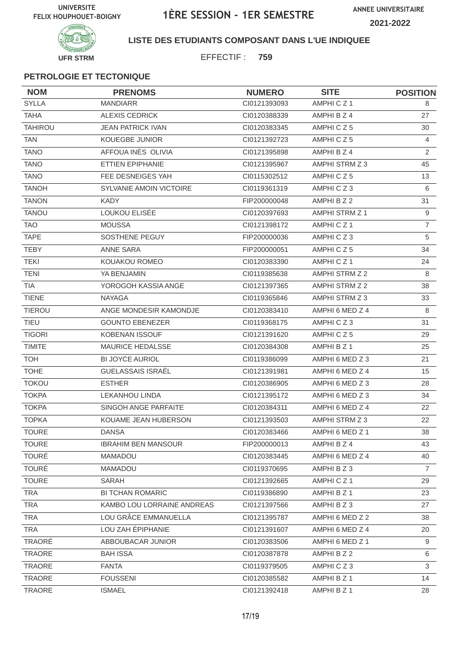

### **LISTE DES ETUDIANTS COMPOSANT DANS L'UE INDIQUEE**

EFFECTIF : **759**

| <b>NOM</b>     | <b>PRENOMS</b>                 | <b>NUMERO</b> | <b>SITE</b>     | <b>POSITION</b> |
|----------------|--------------------------------|---------------|-----------------|-----------------|
| <b>SYLLA</b>   | <b>MANDIARR</b>                | CI0121393093  | AMPHICZ1        | 8               |
| <b>TAHA</b>    | <b>ALEXIS CEDRICK</b>          | CI0120388339  | AMPHI B Z 4     | 27              |
| <b>TAHIROU</b> | <b>JEAN PATRICK IVAN</b>       | CI0120383345  | AMPHICZ5        | 30              |
| <b>TAN</b>     | <b>KOUEGBE JUNIOR</b>          | CI0121392723  | AMPHICZ5        | $\overline{4}$  |
| <b>TANO</b>    | AFFOUA INES OLIVIA             | CI0121395898  | AMPHI B Z 4     | 2               |
| <b>TANO</b>    | ETTIEN EPIPHANIE               | CI0121395967  | AMPHI STRM Z 3  | 45              |
| <b>TANO</b>    | FEE DESNEIGES YAH              | CI0115302512  | AMPHICZ5        | 13              |
| <b>TANOH</b>   | <b>SYLVANIE AMOIN VICTOIRE</b> | CI0119361319  | AMPHICZ3        | 6               |
| <b>TANON</b>   | <b>KADY</b>                    | FIP200000048  | AMPHI B Z 2     | 31              |
| <b>TANOU</b>   | LOUKOU ELISÉE                  | CI0120397693  | AMPHI STRM Z 1  | 9               |
| <b>TAO</b>     | <b>MOUSSA</b>                  | Cl0121398172  | AMPHICZ1        | $\overline{7}$  |
| <b>TAPE</b>    | SOSTHENE PEGUY                 | FIP200000036  | AMPHICZ3        | 5               |
| <b>TEBY</b>    | <b>ANNE SARA</b>               | FIP200000051  | AMPHICZ5        | 34              |
| <b>TEKI</b>    | KOUAKOU ROMEO                  | CI0120383390  | AMPHICZ1        | 24              |
| <b>TENI</b>    | YA BENJAMIN                    | CI0119385638  | AMPHI STRM Z 2  | 8               |
| <b>TIA</b>     | YOROGOH KASSIA ANGE            | CI0121397365  | AMPHI STRM Z 2  | 38              |
| <b>TIENE</b>   | <b>NAYAGA</b>                  | CI0119365846  | AMPHI STRM Z 3  | 33              |
| <b>TIEROU</b>  | ANGE MONDESIR KAMONDJE         | CI0120383410  | AMPHI 6 MED Z 4 | 8               |
| <b>TIEU</b>    | <b>GOUNTO EBENEZER</b>         | CI0119368175  | AMPHICZ3        | 31              |
| <b>TIGORI</b>  | KOBENAN ISSOUF                 | CI0121391620  | AMPHICZ5        | 29              |
| <b>TIMITE</b>  | <b>MAURICE HEDALSSE</b>        | CI0120384308  | AMPHI B Z 1     | 25              |
| <b>TOH</b>     | BI JOYCE AURIOL                | CI0119386099  | AMPHI 6 MED Z 3 | 21              |
| <b>TOHE</b>    | GUELASSAIS ISRAËL              | CI0121391981  | AMPHI 6 MED Z 4 | 15              |
| <b>TOKOU</b>   | <b>ESTHER</b>                  | CI0120386905  | AMPHI 6 MED Z 3 | 28              |
| <b>TOKPA</b>   | <b>LEKANHOU LINDA</b>          | CI0121395172  | AMPHI 6 MED Z 3 | 34              |
| <b>TOKPA</b>   | SINGOH ANGE PARFAITE           | CI0120384311  | AMPHI 6 MED Z 4 | 22              |
| <b>TOPKA</b>   | KOUAME JEAN HUBERSON           | CI0121393503  | AMPHI STRM Z 3  | 22              |
| <b>TOURE</b>   | <b>DANSA</b>                   | CI0120383466  | AMPHI 6 MED Z 1 | 38              |
| <b>TOURE</b>   | <b>IBRAHIM BEN MANSOUR</b>     | FIP200000013  | AMPHI B Z 4     | 43              |
| <b>TOURÉ</b>   | <b>MAMADOU</b>                 | CI0120383445  | AMPHI 6 MED Z 4 | 40              |
| <b>TOURÉ</b>   | MAMADOU                        | CI0119370695  | AMPHI B Z 3     | $\overline{7}$  |
| <b>TOURE</b>   | SARAH                          | CI0121392665  | AMPHICZ1        | 29              |
| TRA            | <b>BI TCHAN ROMARIC</b>        | CI0119386890  | AMPHI B Z 1     | 23              |
| <b>TRA</b>     | KAMBO LOU LORRAINE ANDREAS     | CI0121397566  | AMPHI B Z 3     | 27              |
| <b>TRA</b>     | LOU GRÂCE EMMANUELLA           | CI0121395787  | AMPHI 6 MED Z 2 | 38              |
| <b>TRA</b>     | LOU ZAH ÉPIPHANIE              | Cl0121391607  | AMPHI 6 MED Z 4 | 20              |
| TRAORÉ         | ABBOUBACAR JUNIOR              | CI0120383506  | AMPHI 6 MED Z 1 | 9               |
| <b>TRAORE</b>  | <b>BAH ISSA</b>                | CI0120387878  | AMPHI B Z 2     | 6               |
| TRAORE         | <b>FANTA</b>                   | CI0119379505  | AMPHICZ3        | 3               |
| TRAORE         | <b>FOUSSENI</b>                | CI0120385582  | AMPHI B Z 1     | 14              |
| TRAORE         | <b>ISMAEL</b>                  | Cl0121392418  | AMPHI B Z 1     | 28              |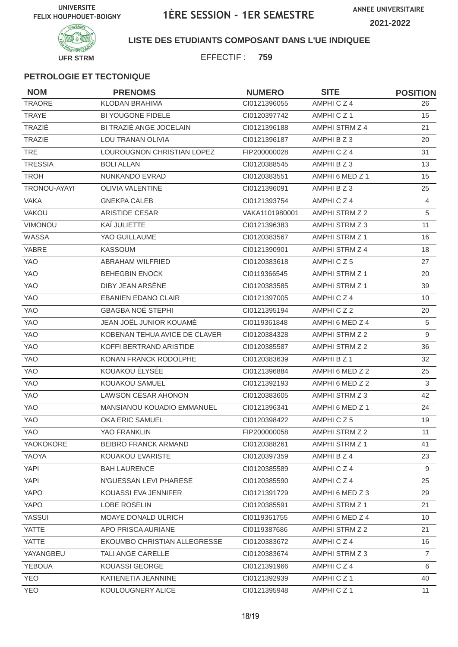**ANNEE UNIVERSITAIRE 2021-2022**



**LISTE DES ETUDIANTS COMPOSANT DANS L'UE INDIQUEE**

EFFECTIF : **759**

| <b>NOM</b>     | <b>PRENOMS</b>                | <b>NUMERO</b>  | <b>SITE</b>     | <b>POSITION</b> |
|----------------|-------------------------------|----------------|-----------------|-----------------|
| <b>TRAORE</b>  | <b>KLODAN BRAHIMA</b>         | CI0121396055   | AMPHICZ4        | 26              |
| <b>TRAYE</b>   | <b>BI YOUGONE FIDELE</b>      | CI0120397742   | AMPHICZ1        | 15              |
| TRAZIÉ         | BI TRAZIÉ ANGE JOCELAIN       | CI0121396188   | AMPHI STRM Z 4  | 21              |
| <b>TRAZIE</b>  | <b>LOU TRANAN OLIVIA</b>      | CI0121396187   | AMPHI B Z 3     | 20              |
| <b>TRE</b>     | LOUROUGNON CHRISTIAN LOPEZ    | FIP200000028   | AMPHICZ4        | 31              |
| <b>TRESSIA</b> | <b>BOLI ALLAN</b>             | CI0120388545   | AMPHI B Z 3     | 13              |
| <b>TROH</b>    | NUNKANDO EVRAD                | CI0120383551   | AMPHI 6 MED Z 1 | 15              |
| TRONOU-AYAYI   | <b>OLIVIA VALENTINE</b>       | CI0121396091   | AMPHI B Z 3     | 25              |
| <b>VAKA</b>    | <b>GNEKPA CALEB</b>           | CI0121393754   | AMPHICZ4        | $\overline{4}$  |
| <b>VAKOU</b>   | <b>ARISTIDE CESAR</b>         | VAKA1101980001 | AMPHI STRM Z 2  | $\overline{5}$  |
| VIMONOU        | KAÏ JULIETTE                  | CI0121396383   | AMPHI STRM Z 3  | 11              |
| WASSA          | YAO GUILLAUME                 | CI0120383567   | AMPHI STRM Z 1  | 16              |
| YABRE          | <b>KASSOUM</b>                | CI0121390901   | AMPHI STRM Z 4  | 18              |
| <b>YAO</b>     | ABRAHAM WILFRIED              | CI0120383618   | AMPHICZ5        | 27              |
| YAO            | <b>BEHEGBIN ENOCK</b>         | CI0119366545   | AMPHI STRM Z 1  | 20              |
| YAO            | DIBY JEAN ARSENE              | CI0120383585   | AMPHI STRM Z 1  | 39              |
| <b>YAO</b>     | <b>EBANIEN EDANO CLAIR</b>    | CI0121397005   | AMPHICZ4        | 10              |
| YAO            | <b>GBAGBA NOÉ STEPHI</b>      | CI0121395194   | AMPHICZ2        | 20              |
| <b>YAO</b>     | JEAN JOËL JUNIOR KOUAMÉ       | CI0119361848   | AMPHI 6 MED Z 4 | 5               |
| <b>YAO</b>     | KOBENAN TEHUA AVICE DE CLAVER | Cl0120384328   | AMPHI STRM Z 2  | 9               |
| <b>YAO</b>     | KOFFI BERTRAND ARISTIDE       | CI0120385587   | AMPHI STRM Z 2  | 36              |
| <b>YAO</b>     | KONAN FRANCK RODOLPHE         | CI0120383639   | AMPHI B Z 1     | 32              |
| YAO            | KOUAKOU ÉLYSÉE                | CI0121396884   | AMPHI 6 MED Z 2 | 25              |
| YAO            | KOUAKOU SAMUEL                | CI0121392193   | AMPHI 6 MED Z 2 | 3               |
| <b>YAO</b>     | LAWSON CÉSAR AHONON           | CI0120383605   | AMPHI STRM Z 3  | 42              |
| YAO            | MANSIANOU KOUADIO EMMANUEL    | CI0121396341   | AMPHI 6 MED Z 1 | 24              |
| YAO            | OKA ERIC SAMUEL               | CI0120398422   | AMPHICZ5        | 19              |
| YAO            | YAO FRANKLIN                  | FIP200000058   | AMPHI STRM Z 2  | 11              |
| YAOKOKORE      | <b>BEIBRO FRANCK ARMAND</b>   | CI0120388261   | AMPHI STRM Z 1  | 41              |
| YAOYA          | KOUAKOU EVARISTE              | CI0120397359   | AMPHI B Z 4     | 23              |
| YAPI           | <b>BAH LAURENCE</b>           | CI0120385589   | AMPHICZ4        | 9               |
| YAPI           | N'GUESSAN LEVI PHARESE        | CI0120385590   | AMPHICZ4        | 25              |
| YAPO           | KOUASSI EVA JENNIFER          | CI0121391729   | AMPHI 6 MED Z 3 | 29              |
| YAPO           | LOBE ROSELIN                  | CI0120385591   | AMPHI STRM Z 1  | 21              |
| <b>YASSUI</b>  | MOAYE DONALD ULRICH           | CI0119361755   | AMPHI 6 MED Z 4 | 10              |
| <b>YATTE</b>   | APO PRISCA AURIANE            | CI0119387686   | AMPHI STRM Z 2  | 21              |
| <b>YATTE</b>   | EKOUMBO CHRISTIAN ALLEGRESSE  | CI0120383672   | AMPHI C Z 4     | 16              |
| YAYANGBEU      | TALI ANGE CARELLE             | CI0120383674   | AMPHI STRM Z 3  | $\overline{7}$  |
| <b>YEBOUA</b>  | KOUASSI GEORGE                | Cl0121391966   | AMPHICZ4        | 6               |
| <b>YEO</b>     | KATIENETIA JEANNINE           | CI0121392939   | AMPHICZ1        | 40              |
| <b>YEO</b>     | KOULOUGNERY ALICE             | CI0121395948   | AMPHICZ1        | 11              |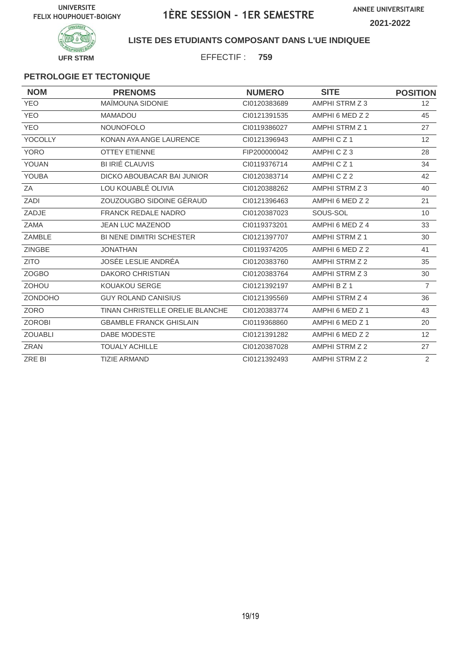**ANNEE UNIVERSITAIRE 2021-2022**



**LISTE DES ETUDIANTS COMPOSANT DANS L'UE INDIQUEE**

EFFECTIF : **759**

| <b>NOM</b>     | <b>PRENOMS</b>                  | <b>NUMERO</b> | <b>SITE</b>          | <b>POSITION</b> |
|----------------|---------------------------------|---------------|----------------------|-----------------|
| <b>YEO</b>     | <b>MAÎMOUNA SIDONIE</b>         | CI0120383689  | AMPHI STRM Z 3       | 12 <sup>°</sup> |
| <b>YEO</b>     | <b>MAMADOU</b>                  | CI0121391535  | AMPHI 6 MED Z 2      | 45              |
| <b>YEO</b>     | <b>NOUNOFOLO</b>                | CI0119386027  | AMPHI STRM Z 1       | 27              |
| <b>YOCOLLY</b> | KONAN AYA ANGE LAURENCE         | CI0121396943  | AMPHICZ <sub>1</sub> | 12 <sup>2</sup> |
| <b>YORO</b>    | <b>OTTEY ETIENNE</b>            | FIP200000042  | AMPHICZ3             | 28              |
| YOUAN          | <b>BI IRIÉ CLAUVIS</b>          | CI0119376714  | AMPHICZ1             | 34              |
| <b>YOUBA</b>   | DICKO ABOUBACAR BAI JUNIOR      | CI0120383714  | AMPHICZ2             | 42              |
| ZA             | LOU KOUABLÉ OLIVIA              | CI0120388262  | AMPHI STRM Z 3       | 40              |
| ZADI           | ZOUZOUGBO SIDOINE GÉRAUD        | CI0121396463  | AMPHI 6 MED Z 2      | 21              |
| ZADJE          | <b>FRANCK REDALE NADRO</b>      | CI0120387023  | SOUS-SOL             | 10              |
| <b>ZAMA</b>    | <b>JEAN LUC MAZENOD</b>         | CI0119373201  | AMPHI 6 MED Z 4      | 33              |
| ZAMBLE         | <b>BI NENE DIMITRI SCHESTER</b> | CI0121397707  | AMPHI STRM Z 1       | 30              |
| <b>ZINGBE</b>  | <b>JONATHAN</b>                 | CI0119374205  | AMPHI 6 MED Z 2      | 41              |
| <b>ZITO</b>    | JOSÉE LESLIE ANDRÉA             | CI0120383760  | AMPHI STRM Z 2       | 35              |
| ZOGBO          | <b>DAKORO CHRISTIAN</b>         | CI0120383764  | AMPHI STRM Z 3       | 30              |
| <b>ZOHOU</b>   | KOUAKOU SERGE                   | CI0121392197  | AMPHI B Z 1          | $\overline{7}$  |
| <b>ZONDOHO</b> | <b>GUY ROLAND CANISIUS</b>      | CI0121395569  | AMPHI STRM Z 4       | 36              |
| <b>ZORO</b>    | TINAN CHRISTELLE ORELIE BLANCHE | CI0120383774  | AMPHI 6 MED Z 1      | 43              |
| <b>ZOROBI</b>  | <b>GBAMBLE FRANCK GHISLAIN</b>  | CI0119368860  | AMPHI 6 MED Z 1      | 20              |
| <b>ZOUABLI</b> | DABE MODESTE                    | CI0121391282  | AMPHI 6 MED Z 2      | 12 <sup>2</sup> |
| <b>ZRAN</b>    | <b>TOUALY ACHILLE</b>           | CI0120387028  | AMPHI STRM Z 2       | 27              |
| ZRE BI         | <b>TIZIE ARMAND</b>             | CI0121392493  | AMPHI STRM Z 2       | $\overline{2}$  |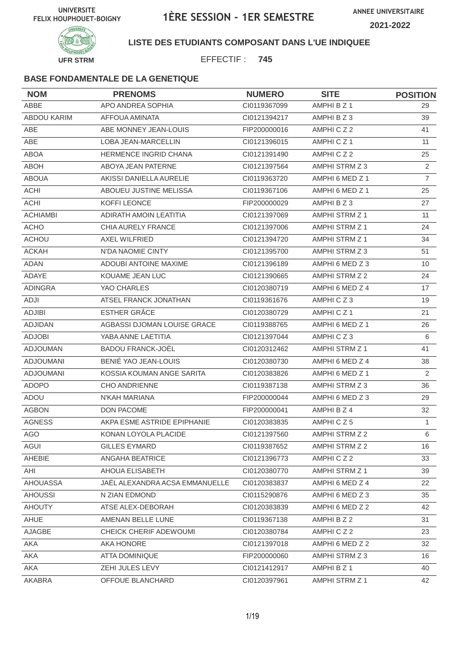

**LISTE DES ETUDIANTS COMPOSANT DANS L'UE INDIQUEE**

EFFECTIF : **745**

| <b>NOM</b>         | <b>PRENOMS</b>                 | <b>NUMERO</b> | <b>SITE</b>           | <b>POSITION</b> |
|--------------------|--------------------------------|---------------|-----------------------|-----------------|
| ABBE               | APO ANDREA SOPHIA              | CI0119367099  | AMPHI B Z 1           | 29              |
| <b>ABDOU KARIM</b> | AFFOUA AMINATA                 | CI0121394217  | AMPHI B Z 3           | 39              |
| ABE                | ABE MONNEY JEAN-LOUIS          | FIP200000016  | AMPHICZ2              | 41              |
| <b>ABE</b>         | <b>LOBA JEAN-MARCELLIN</b>     | CI0121396015  | AMPHICZ1              | 11              |
| <b>ABOA</b>        | <b>HERMENCE INGRID CHANA</b>   | CI0121391490  | AMPHICZ2              | 25              |
| <b>ABOH</b>        | ABOYA JEAN PATERNE             | CI0121397564  | AMPHI STRM Z 3        | $\overline{2}$  |
| <b>ABOUA</b>       | AKISSI DANIELLA AURELIE        | CI0119363720  | AMPHI 6 MED Z 1       | $\overline{7}$  |
| <b>ACHI</b>        | ABOUEU JUSTINE MELISSA         | CI0119367106  | AMPHI 6 MED Z 1       | 25              |
| <b>ACHI</b>        | KOFFI LEONCE                   | FIP200000029  | AMPHI B Z 3           | 27              |
| <b>ACHIAMBI</b>    | <b>ADIRATH AMOIN LEATITIA</b>  | CI0121397069  | <b>AMPHI STRM Z 1</b> | 11              |
| <b>ACHO</b>        | CHIA AURELY FRANCE             | CI0121397006  | AMPHI STRM Z 1        | 24              |
| <b>ACHOU</b>       | <b>AXEL WILFRIED</b>           | CI0121394720  | AMPHI STRM Z 1        | 34              |
| <b>ACKAH</b>       | N'DA NAOMIE CINTY              | CI0121395700  | AMPHI STRM Z 3        | 51              |
| <b>ADAN</b>        | <b>ADOUBI ANTOINE MAXIME</b>   | CI0121396189  | AMPHI 6 MED Z 3       | 10              |
| ADAYE              | KOUAME JEAN LUC                | CI0121390665  | AMPHI STRM Z 2        | 24              |
| <b>ADINGRA</b>     | YAO CHARLES                    | CI0120380719  | AMPHI 6 MED Z 4       | 17              |
| ADJI               | ATSEL FRANCK JONATHAN          | CI0119361676  | AMPHICZ3              | 19              |
| <b>ADJIBI</b>      | <b>ESTHER GRÂCE</b>            | CI0120380729  | AMPHICZ1              | 21              |
| ADJIDAN            | AGBASSI DJOMAN LOUISE GRACE    | CI0119388765  | AMPHI 6 MED Z 1       | 26              |
| <b>ADJOBI</b>      | YABA ANNE LAETITIA             | CI0121397044  | AMPHICZ3              | 6               |
| <b>ADJOUMAN</b>    | <b>BADOU FRANCK-JOËL</b>       | CI0120312462  | AMPHI STRM Z 1        | 41              |
| <b>ADJOUMANI</b>   | BENIÉ YAO JEAN-LOUIS           | CI0120380730  | AMPHI 6 MED Z 4       | 38              |
| <b>ADJOUMANI</b>   | KOSSIA KOUMAN ANGE SARITA      | CI0120383826  | AMPHI 6 MED Z 1       | 2               |
| <b>ADOPO</b>       | <b>CHO ANDRIENNE</b>           | CI0119387138  | AMPHI STRM Z 3        | 36              |
| ADOU               | N'KAH MARIANA                  | FIP200000044  | AMPHI 6 MED Z 3       | 29              |
| <b>AGBON</b>       | DON PACOME                     | FIP200000041  | AMPHI B Z 4           | 32              |
| <b>AGNESS</b>      | AKPA ESME ASTRIDE EPIPHANIE    | CI0120383835  | AMPHICZ5              | $\mathbf{1}$    |
| AGO                | KONAN LOYOLA PLACIDE           | CI0121397560  | AMPHI STRM Z 2        | 6               |
| <b>AGUI</b>        | <b>GILLES EYMARD</b>           | CI0119387652  | AMPHI STRM Z 2        | 16              |
| AHEBIE             | ANGAHA BEATRICE                | CI0121396773  | AMPHICZ2              | 33              |
| AHI                | AHOUA ELISABETH                | Cl0120380770  | AMPHI STRM Z 1        | 39              |
| <b>AHOUASSA</b>    | JAËL ALEXANDRA ACSA EMMANUELLE | CI0120383837  | AMPHI 6 MED Z 4       | 22              |
| <b>AHOUSSI</b>     | N ZIAN EDMOND                  | CI0115290876  | AMPHI 6 MED Z 3       | 35              |
| <b>AHOUTY</b>      | ATSE ALEX-DEBORAH              | CI0120383839  | AMPHI 6 MED Z 2       | 42              |
| AHUE               | AMENAN BELLE LUNE              | CI0119367138  | AMPHI B Z 2           | 31              |
| AJAGBE             | CHEICK CHERIF ADEWOUMI         | CI0120380784  | AMPHICZ2              | 23              |
| AKA                | AKA HONORE                     | CI0121397018  | AMPHI 6 MED Z 2       | 32              |
| AKA                | <b>ATTA DOMINIQUE</b>          | FIP200000060  | AMPHI STRM Z 3        | 16              |
| AKA                | ZEHI JULES LEVY                | Cl0121412917  | AMPHI B Z 1           | 40              |
| AKABRA             | OFFOUE BLANCHARD               | CI0120397961  | AMPHI STRM Z 1        | 42              |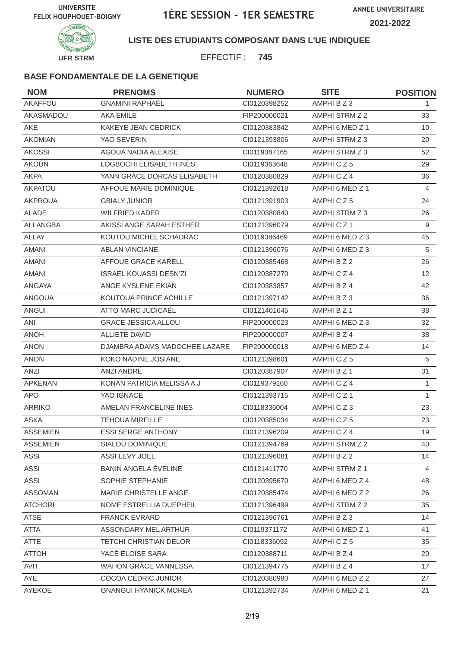

**LISTE DES ETUDIANTS COMPOSANT DANS L'UE INDIQUEE**

EFFECTIF : **745**

| <b>NOM</b>      | <b>PRENOMS</b>                | <b>NUMERO</b> | <b>SITE</b>          | <b>POSITION</b> |
|-----------------|-------------------------------|---------------|----------------------|-----------------|
| AKAFFOU         | <b>GNAMINI RAPHAËL</b>        | CI0120398252  | AMPHI B Z 3          | 1.              |
| AKASMADOU       | <b>AKA EMILE</b>              | FIP200000021  | AMPHI STRM Z 2       | 33              |
| AKE             | <b>KAKEYE JEAN CEDRICK</b>    | CI0120383842  | AMPHI 6 MED Z 1      | 10              |
| <b>AKOMIAN</b>  | YAO SEVERIN                   | CI0121393806  | AMPHI STRM Z 3       | 20              |
| <b>AKOSSI</b>   | AGOUA NADIA ALEXISE           | CI0119387165  | AMPHI STRM Z 3       | 52              |
| <b>AKOUN</b>    | LOGBOCHI ÉLISABÉTH INÈS       | CI0119363648  | AMPHICZ5             | 29              |
| <b>AKPA</b>     | YANN GRÂCE DORCAS ÉLISABETH   | CI0120380829  | AMPHICZ4             | 36              |
| AKPATOU         | AFFOUÉ MARIE DOMINIQUE        | CI0121392618  | AMPHI 6 MED Z 1      | $\overline{4}$  |
| <b>AKPROUA</b>  | <b>GBIALY JUNIOR</b>          | CI0121391903  | AMPHICZ5             | 24              |
| <b>ALADE</b>    | <b>WILFRIED KADER</b>         | CI0120380840  | AMPHI STRM Z 3       | 26              |
| <b>ALLANGBA</b> | AKISSI ANGE SARAH ESTHER      | CI0121396079  | AMPHICZ <sub>1</sub> | 9               |
| <b>ALLAY</b>    | KOUTOU MICHEL SCHADRAC        | CI0119386469  | AMPHI 6 MED Z 3      | 45              |
| <b>AMANI</b>    | <b>ABLAN VINCIANE</b>         | CI0121396076  | AMPHI 6 MED Z 3      | 5               |
| <b>AMANI</b>    | AFFOUE GRACE KARELL           | CI0120385468  | AMPHI B Z 2          | 26              |
| <b>AMANI</b>    | <b>ISRAEL KOUASSI DESN'ZI</b> | CI0120387270  | AMPHICZ4             | 12 <sup>2</sup> |
| ANGAYA          | ANGE KYSLENE EKIAN            | CI0120383857  | AMPHI B Z 4          | 42              |
| <b>ANGOUA</b>   | KOUTOUA PRINCE ACHILLE        | CI0121397142  | AMPHI B Z 3          | 36              |
| ANGUI           | ATTO MARC JUDICAËL            | CI0121401645  | AMPHI B Z 1          | 38              |
| ANI             | <b>GRACE JESSICA ALLOU</b>    | FIP200000023  | AMPHI 6 MED Z 3      | 32              |
| <b>ANOH</b>     | <b>ALLIETE DAVID</b>          | FIP200000007  | AMPHI B Z 4          | 38              |
| <b>ANON</b>     | DJAMBRA ADAMS MADOCHEE LAZARE | FIP200000018  | AMPHI 6 MED Z 4      | 14              |
| <b>ANON</b>     | KOKO NADINE JOSIANE           | CI0121398601  | AMPHICZ5             | 5               |
| ANZI            | ANZI ANDRÉ                    | CI0120387907  | AMPHI B Z 1          | 31              |
| <b>APKENAN</b>  | KONAN PATRICIA MELISSA A.J    | CI0119379160  | AMPHICZ4             | $\mathbf{1}$    |
| <b>APO</b>      | YAO IGNACE                    | CI0121393715  | AMPHICZ <sub>1</sub> | $\mathbf{1}$    |
| <b>ARRIKO</b>   | AMELAN FRANCELINE INES        | CI0118336004  | AMPHICZ3             | 23              |
| <b>ASKA</b>     | <b>TEHOUA MIREILLE</b>        | CI0120385034  | AMPHICZ5             | 23              |
| <b>ASSEMIEN</b> | <b>ESSI SERGE ANTHONY</b>     | CI0121396209  | AMPHICZ4             | 19              |
| <b>ASSEMIEN</b> | SIALOU DOMINIQUE              | CI0121394769  | AMPHI STRM Z 2       | 40              |
| <b>ASSI</b>     | ASSI LEVY JOEL                | CI0121396081  | AMPHI B Z 2          | 14              |
| <b>ASSI</b>     | BANIN ANGELA ÉVELINE          | CI0121411770  | AMPHI STRM Z 1       | 4               |
| ASSI            | SOPHIE STEPHANIE              | CI0120395670  | AMPHI 6 MED Z 4      | 48              |
| <b>ASSOMAN</b>  | MARIE CHRISTELLE ANGE         | CI0120385474  | AMPHI 6 MED Z 2      | 26              |
| <b>ATCHORI</b>  | NOME ESTRELLIA DUEPHEIL       | CI0121396499  | AMPHI STRM Z 2       | 35              |
| <b>ATSE</b>     | <b>FRANCK EVRARD</b>          | Cl0121396761  | AMPHI B Z 3          | 14              |
| ATTA            | ASSONDARY MEL ARTHUR          | CI0119371172  | AMPHI 6 MED Z 1      | 41              |
| ATTE            | TETCHI CHRISTIAN DELOR        | CI0118336092  | AMPHICZ5             | 35              |
| <b>ATTOH</b>    | YACÉ ÉLOÏSE SARA              | CI0120388711  | AMPHI B Z 4          | 20              |
| AVIT            | WAHON GRÂCE VANNESSA          | CI0121394775  | AMPHI B Z 4          | 17              |
| AYE             | COCOA CÉDRIC JUNIOR           | CI0120380980  | AMPHI 6 MED Z 2      | 27              |
| AYEKOE          | <b>GNANGUI HYANICK MOREA</b>  | CI0121392734  | AMPHI 6 MED Z 1      | 21              |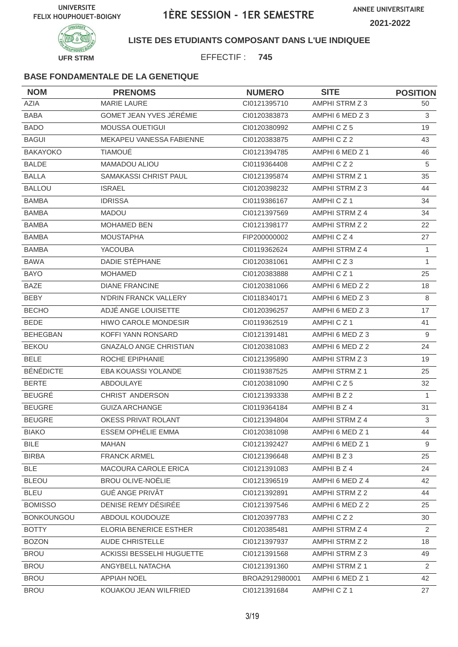

**LISTE DES ETUDIANTS COMPOSANT DANS L'UE INDIQUEE**

EFFECTIF : **745**

| <b>NOM</b>        | <b>PRENOMS</b>                 | <b>NUMERO</b>  | <b>SITE</b>          | <b>POSITION</b> |
|-------------------|--------------------------------|----------------|----------------------|-----------------|
| <b>AZIA</b>       | <b>MARIE LAURE</b>             | CI0121395710   | AMPHI STRM Z 3       | 50              |
| <b>BABA</b>       | <b>GOMET JEAN YVES JÉRÉMIE</b> | CI0120383873   | AMPHI 6 MED Z 3      | 3               |
| <b>BADO</b>       | MOUSSA OUETIGUI                | CI0120380992   | AMPHICZ5             | 19              |
| <b>BAGUI</b>      | MEKAPEU VANESSA FABIENNE       | CI0120383875   | AMPHICZ2             | 43              |
| <b>BAKAYOKO</b>   | <b>TIAMOUÉ</b>                 | CI0121394785   | AMPHI 6 MED Z 1      | 46              |
| <b>BALDE</b>      | MAMADOU ALIOU                  | CI0119364408   | AMPHICZ2             | 5               |
| <b>BALLA</b>      | SAMAKASSI CHRIST PAUL          | CI0121395874   | AMPHI STRM Z 1       | 35              |
| <b>BALLOU</b>     | <b>ISRAEL</b>                  | CI0120398232   | AMPHI STRM Z 3       | 44              |
| <b>BAMBA</b>      | <b>IDRISSA</b>                 | CI0119386167   | AMPHICZ1             | 34              |
| <b>BAMBA</b>      | <b>MADOU</b>                   | CI0121397569   | AMPHI STRM Z 4       | 34              |
| <b>BAMBA</b>      | <b>MOHAMED BEN</b>             | Cl0121398177   | AMPHI STRM Z 2       | 22              |
| <b>BAMBA</b>      | <b>MOUSTAPHA</b>               | FIP200000002   | AMPHICZ4             | 27              |
| <b>BAMBA</b>      | <b>YACOUBA</b>                 | CI0119362624   | AMPHI STRM Z 4       | 1               |
| <b>BAWA</b>       | DADIE STÉPHANE                 | CI0120381061   | AMPHICZ3             | $\mathbf{1}$    |
| <b>BAYO</b>       | <b>MOHAMED</b>                 | CI0120383888   | AMPHICZ <sub>1</sub> | 25              |
| <b>BAZE</b>       | <b>DIANE FRANCINE</b>          | CI0120381066   | AMPHI 6 MED Z 2      | 18              |
| <b>BEBY</b>       | N'DRIN FRANCK VALLERY          | CI0118340171   | AMPHI 6 MED Z 3      | 8               |
| <b>BECHO</b>      | ADJÉ ANGE LOUISETTE            | CI0120396257   | AMPHI 6 MED Z 3      | 17              |
| <b>BEDE</b>       | <b>HIWO CAROLE MONDESIR</b>    | CI0119362519   | AMPHICZ <sub>1</sub> | 41              |
| <b>BEHEGBAN</b>   | KOFFI YANN RONSARD             | CI0121391481   | AMPHI 6 MED Z 3      | 9               |
| <b>BEKOU</b>      | <b>GNAZALO ANGE CHRISTIAN</b>  | CI0120381083   | AMPHI 6 MED Z 2      | 24              |
| <b>BELE</b>       | ROCHE EPIPHANIE                | CI0121395890   | AMPHI STRM Z 3       | 19              |
| <b>BÉNÉDICTE</b>  | EBA KOUASSI YOLANDE            | CI0119387525   | AMPHI STRM Z 1       | 25              |
| <b>BERTE</b>      | <b>ABDOULAYE</b>               | CI0120381090   | AMPHICZ5             | 32              |
| <b>BEUGRÉ</b>     | CHRIST ANDERSON                | CI0121393338   | AMPHI B Z 2          | $\mathbf{1}$    |
| <b>BEUGRE</b>     | <b>GUIZA ARCHANGE</b>          | CI0119364184   | AMPHI B Z 4          | 31              |
| <b>BEUGRE</b>     | OKESS PRIVAT ROLANT            | CI0121394804   | AMPHI STRM Z 4       | 3               |
| <b>BIAKO</b>      | ESSEM OPHÉLIE EMMA             | CI0120381098   | AMPHI 6 MED Z 1      | 44              |
| <b>BILE</b>       | <b>MAHAN</b>                   | CI0121392427   | AMPHI 6 MED Z 1      | 9               |
| <b>BIRBA</b>      | <b>FRANCK ARMEL</b>            | Cl0121396648   | AMPHI B Z 3          | 25              |
| <b>BLE</b>        | MACOURA CAROLE ERICA           | Cl0121391083   | AMPHI B Z 4          | 24              |
| <b>BLEOU</b>      | <b>BROU OLIVE-NOËLIE</b>       | CI0121396519   | AMPHI 6 MED Z 4      | 42              |
| <b>BLEU</b>       | <b>GUÉ ANGE PRIVÂT</b>         | CI0121392891   | AMPHI STRM Z 2       | 44              |
| <b>BOMISSO</b>    | DENISE REMY DÉSIRÉE            | Cl0121397546   | AMPHI 6 MED Z 2      | 25              |
| <b>BONKOUNGOU</b> | ABDOUL KOUDOUZE                | CI0120397783   | AMPHICZ2             | 30              |
| <b>BOTTY</b>      | ELORIA BENERICE ESTHER         | CI0120385481   | AMPHI STRM Z 4       | $\overline{2}$  |
| <b>BOZON</b>      | AUDE CHRISTELLE                | CI0121397937   | AMPHI STRM Z 2       | 18              |
| <b>BROU</b>       | ACKISSI BESSELHI HUGUETTE      | CI0121391568   | AMPHI STRM Z 3       | 49              |
| <b>BROU</b>       | ANGYBELL NATACHA               | CI0121391360   | AMPHI STRM Z 1       | 2               |
| <b>BROU</b>       | <b>APPIAH NOEL</b>             | BROA2912980001 | AMPHI 6 MED Z 1      | 42              |
| <b>BROU</b>       | KOUAKOU JEAN WILFRIED          | CI0121391684   | AMPHICZ1             | 27              |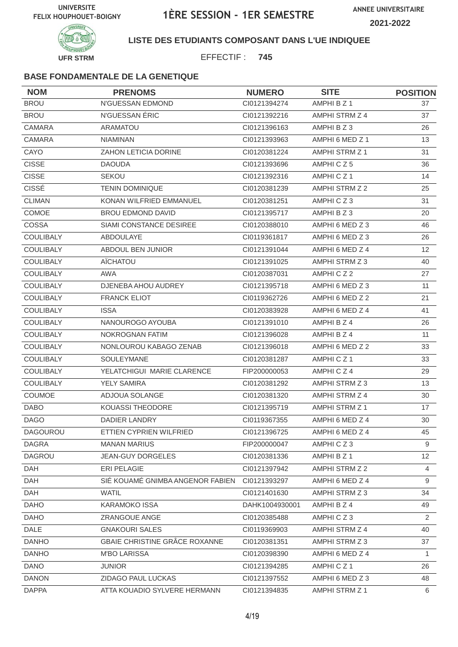

**LISTE DES ETUDIANTS COMPOSANT DANS L'UE INDIQUEE**

EFFECTIF : **745**

| <b>NOM</b>       | <b>PRENOMS</b>                   | <b>NUMERO</b>  | <b>SITE</b>          | <b>POSITION</b> |
|------------------|----------------------------------|----------------|----------------------|-----------------|
| <b>BROU</b>      | N'GUESSAN EDMOND                 | CI0121394274   | AMPHI B Z 1          | 37              |
| <b>BROU</b>      | N'GUESSAN ÉRIC                   | CI0121392216   | AMPHI STRM Z 4       | 37              |
| <b>CAMARA</b>    | <b>ARAMATOU</b>                  | CI0121396163   | AMPHI B Z 3          | 26              |
| CAMARA           | <b>NIAMINAN</b>                  | CI0121393963   | AMPHI 6 MED Z 1      | 13              |
| CAYO             | <b>ZAHON LETICIA DORINE</b>      | CI0120381224   | AMPHI STRM Z 1       | 31              |
| <b>CISSE</b>     | <b>DAOUDA</b>                    | CI0121393696   | AMPHICZ5             | 36              |
| <b>CISSE</b>     | <b>SEKOU</b>                     | CI0121392316   | AMPHICZ <sub>1</sub> | 14              |
| CISSÉ            | <b>TENIN DOMINIQUE</b>           | CI0120381239   | AMPHI STRM Z 2       | 25              |
| <b>CLIMAN</b>    | KONAN WILFRIED EMMANUEL          | CI0120381251   | AMPHICZ3             | 31              |
| <b>COMOE</b>     | <b>BROU EDMOND DAVID</b>         | CI0121395717   | AMPHI B Z 3          | 20              |
| COSSA            | SIAMI CONSTANCE DESIREE          | CI0120388010   | AMPHI 6 MED Z 3      | 46              |
| COULIBALY        | ABDOULAYE                        | CI0119361817   | AMPHI 6 MED Z 3      | 26              |
| <b>COULIBALY</b> | ABDOUL BEN JUNIOR                | Cl0121391044   | AMPHI 6 MED Z 4      | 12              |
| <b>COULIBALY</b> | AÏCHATOU                         | CI0121391025   | AMPHI STRM Z 3       | 40              |
| <b>COULIBALY</b> | <b>AWA</b>                       | CI0120387031   | AMPHICZ2             | 27              |
| <b>COULIBALY</b> | DJENEBA AHOU AUDREY              | CI0121395718   | AMPHI 6 MED Z 3      | 11              |
| <b>COULIBALY</b> | <b>FRANCK ELIOT</b>              | CI0119362726   | AMPHI 6 MED Z 2      | 21              |
| <b>COULIBALY</b> | <b>ISSA</b>                      | CI0120383928   | AMPHI 6 MED Z 4      | 41              |
| <b>COULIBALY</b> | NANOUROGO AYOUBA                 | CI0121391010   | AMPHI B Z 4          | 26              |
| COULIBALY        | NOKROGNAN FATIM                  | CI0121396028   | AMPHI B Z 4          | 11              |
| COULIBALY        | NONLOUROU KABAGO ZENAB           | CI0121396018   | AMPHI 6 MED Z 2      | 33              |
| <b>COULIBALY</b> | SOULEYMANE                       | CI0120381287   | AMPHICZ1             | 33              |
| COULIBALY        | YELATCHIGUI MARIE CLARENCE       | FIP200000053   | AMPHICZ4             | 29              |
| <b>COULIBALY</b> | <b>YELY SAMIRA</b>               | CI0120381292   | AMPHI STRM Z 3       | 13              |
| <b>COUMOE</b>    | ADJOUA SOLANGE                   | CI0120381320   | AMPHI STRM Z 4       | 30              |
| <b>DABO</b>      | KOUASSI THEODORE                 | CI0121395719   | AMPHI STRM Z 1       | 17              |
| <b>DAGO</b>      | <b>DADIER LANDRY</b>             | CI0119367355   | AMPHI 6 MED Z 4      | 30              |
| DAGOUROU         | ETTIEN CYPRIEN WILFRIED          | Cl0121396725   | AMPHI 6 MED Z 4      | 45              |
| <b>DAGRA</b>     | <b>MANAN MARIUS</b>              | FIP200000047   | AMPHICZ3             | 9               |
| <b>DAGROU</b>    | <b>JEAN-GUY DORGELES</b>         | CI0120381336   | AMPHI B Z 1          | 12              |
| <b>DAH</b>       | ERI PELAGIE                      | CI0121397942   | AMPHI STRM Z 2       | $\overline{4}$  |
| DAH              | SIÉ KOUAMÉ GNIMBA ANGENOR FABIEN | CI0121393297   | AMPHI 6 MED Z 4      | 9               |
| DAH              | <b>WATIL</b>                     | CI0121401630   | AMPHI STRM Z 3       | 34              |
| <b>DAHO</b>      | <b>KARAMOKO ISSA</b>             | DAHK1004930001 | AMPHI B Z 4          | 49              |
| <b>DAHO</b>      | ZRANGOUE ANGE                    | CI0120385488   | AMPHICZ3             | $\overline{2}$  |
| <b>DALE</b>      | <b>GNAKOURI SALES</b>            | CI0119369903   | AMPHI STRM Z 4       | 40              |
| <b>DANHO</b>     | GBAIE CHRISTINE GRÂCE ROXANNE    | Cl0120381351   | AMPHI STRM Z 3       | 37              |
| <b>DANHO</b>     | <b>M'BO LARISSA</b>              | CI0120398390   | AMPHI 6 MED Z 4      | $\mathbf{1}$    |
| <b>DANO</b>      | <b>JUNIOR</b>                    | Cl0121394285   | AMPHICZ1             | 26              |
| <b>DANON</b>     | ZIDAGO PAUL LUCKAS               | CI0121397552   | AMPHI 6 MED Z 3      | 48              |
| <b>DAPPA</b>     | ATTA KOUADIO SYLVERE HERMANN     | CI0121394835   | AMPHI STRM Z 1       | 6               |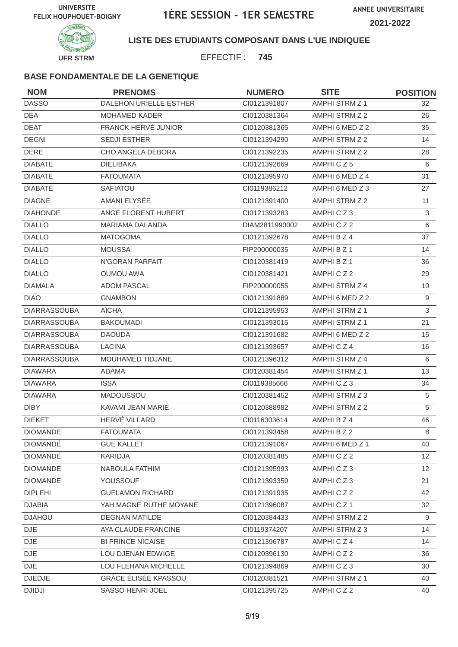

#### **LISTE DES ETUDIANTS COMPOSANT DANS L'UE INDIQUEE**

EFFECTIF : **745**

| <b>NOM</b>          | <b>PRENOMS</b>           | <b>NUMERO</b>  | <b>SITE</b>           | <b>POSITION</b> |
|---------------------|--------------------------|----------------|-----------------------|-----------------|
| <b>DASSO</b>        | DALEHON URIELLE ESTHER   | CI0121391807   | <b>AMPHI STRM Z 1</b> | 32              |
| <b>DEA</b>          | <b>MOHAMED KADER</b>     | CI0120381364   | AMPHI STRM Z 2        | 26              |
| <b>DEAT</b>         | FRANCK HERVÉ JUNIOR      | CI0120381365   | AMPHI 6 MED Z 2       | 35              |
| <b>DEGNI</b>        | SEDJI ESTHER             | CI0121394290   | AMPHI STRM Z 2        | 14              |
| <b>DERE</b>         | CHO ANGELA DEBORA        | CI0121392235   | AMPHI STRM Z 2        | 28              |
| <b>DIABATE</b>      | <b>DIELIBAKA</b>         | CI0121392669   | AMPHICZ5              | 6               |
| <b>DIABATE</b>      | <b>FATOUMATA</b>         | CI0121395970   | AMPHI 6 MED Z 4       | 31              |
| <b>DIABATE</b>      | <b>SAFIATOU</b>          | CI0119386212   | AMPHI 6 MED Z 3       | 27              |
| <b>DIAGNE</b>       | AMANI ELYSÉE             | CI0121391400   | AMPHI STRM Z 2        | 11              |
| <b>DIAHONDE</b>     | ANGE FLORENT HUBERT      | CI0121393283   | AMPHICZ3              | 3               |
| <b>DIALLO</b>       | <b>MARIAMA DALANDA</b>   | DIAM2811990002 | AMPHICZ2              | $\,6\,$         |
| <b>DIALLO</b>       | <b>MATOGOMA</b>          | CI0121392678   | AMPHI B Z 4           | 37              |
| <b>DIALLO</b>       | <b>MOUSSA</b>            | FIP200000035   | AMPHI B Z 1           | 14              |
| <b>DIALLO</b>       | N'GORAN PARFAIT          | CI0120381419   | AMPHI B Z 1           | 36              |
| <b>DIALLO</b>       | <b>OUMOU AWA</b>         | CI0120381421   | AMPHICZ2              | 29              |
| <b>DIAMALA</b>      | <b>ADOM PASCAL</b>       | FIP200000055   | AMPHI STRM Z 4        | 10              |
| <b>DIAO</b>         | <b>GNAMBON</b>           | CI0121391889   | AMPHI 6 MED Z 2       | 9               |
| <b>DIARRASSOUBA</b> | <b>AÏCHA</b>             | CI0121395953   | AMPHI STRM Z 1        | 3               |
| <b>DIARRASSOUBA</b> | <b>BAKOUMADI</b>         | CI0121393015   | AMPHI STRM Z 1        | 21              |
| <b>DIARRASSOUBA</b> | <b>DAOUDA</b>            | CI0121391682   | AMPHI 6 MED Z 2       | 15              |
| <b>DIARRASSOUBA</b> | <b>LACINA</b>            | CI0121393657   | AMPHICZ4              | 16              |
| <b>DIARRASSOUBA</b> | MOUHAMED TIDJANE         | CI0121396312   | AMPHI STRM Z 4        | 6               |
| <b>DIAWARA</b>      | <b>ADAMA</b>             | CI0120381454   | <b>AMPHI STRM Z 1</b> | 13              |
| <b>DIAWARA</b>      | <b>ISSA</b>              | CI0119385666   | AMPHICZ3              | 34              |
| <b>DIAWARA</b>      | MADOUSSOU                | CI0120381452   | AMPHI STRM Z 3        | 5               |
| <b>DIBY</b>         | KAVAMI JEAN MARIE        | CI0120388982   | AMPHI STRM Z 2        | 5               |
| <b>DIEKET</b>       | HERVÉ VILLARD            | CI0116303614   | AMPHI B Z 4           | 46              |
| <b>DIOMANDE</b>     | <b>FATOUMATA</b>         | Cl0121393458   | AMPHI B Z 2           | 8               |
| <b>DIOMANDE</b>     | <b>GUE KALLET</b>        | CI0121391067   | AMPHI 6 MED Z 1       | 40              |
| <b>DIOMANDÉ</b>     | KARIDJA                  | CI0120381485   | AMPHICZ2              | 12 <sup>2</sup> |
| <b>DIOMANDE</b>     | NABOULA FATHIM           | CI0121395993   | AMPHICZ3              | 12              |
| <b>DIOMANDE</b>     | YOUSSOUF                 | CI0121393359   | AMPHICZ3              | 21              |
| <b>DIPLEHI</b>      | <b>GUELAMON RICHARD</b>  | CI0121391935   | AMPHICZ2              | 42              |
| <b>DJABIA</b>       | YAH MAGNE RUTHE MOYANE   | CI0121396087   | AMPHICZ1              | 32              |
| <b>DJAHOU</b>       | <b>DEGNAN MATILDE</b>    | CI0120384433   | AMPHI STRM Z 2        | 9               |
| <b>DJE</b>          | AYA CLAUDE FRANCINE      | CI0119374207   | AMPHI STRM Z 3        | 14              |
| DJE                 | <b>BI PRINCE NICAISE</b> | CI0121396787   | AMPHICZ4              | 14              |
| DJE                 | LOU DJENAN EDWIGE        | CI0120396130   | AMPHICZ2              | 36              |
| $\mathsf{DJE}$      | LOU FLEHANA MICHELLE     | CI0121394869   | AMPHICZ3              | 30              |
| <b>DJEDJE</b>       | GRÂCE ÉLISÉE KPASSOU     | CI0120381521   | AMPHI STRM Z 1        | 40              |
| <b>DJIDJI</b>       | SASSO HENRI JOEL         | Cl0121395725   | AMPHICZ2              | 40              |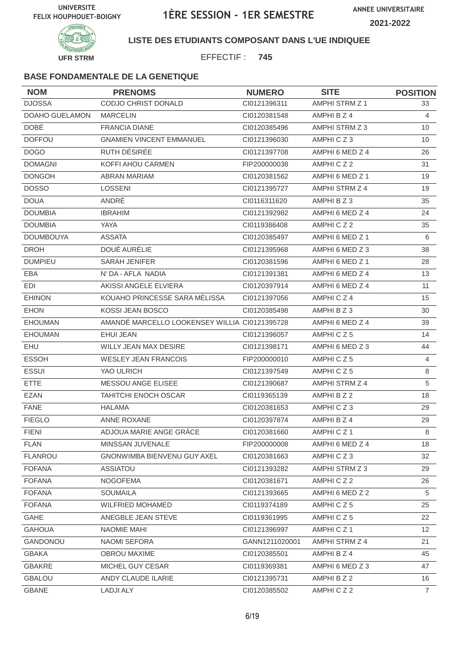

**LISTE DES ETUDIANTS COMPOSANT DANS L'UE INDIQUEE**

EFFECTIF : **745**

| <b>NOM</b>            | <b>PRENOMS</b>                                | <b>NUMERO</b>  | <b>SITE</b>           | <b>POSITION</b> |
|-----------------------|-----------------------------------------------|----------------|-----------------------|-----------------|
| <b>DJOSSA</b>         | CODJO CHRIST DONALD                           | CI0121396311   | <b>AMPHI STRM Z 1</b> | 33              |
| <b>DOAHO GUELAMON</b> | <b>MARCELIN</b>                               | CI0120381548   | AMPHI B Z 4           | $\overline{4}$  |
| <b>DOBÉ</b>           | <b>FRANCIA DIANE</b>                          | CI0120385496   | AMPHI STRM Z 3        | 10              |
| <b>DOFFOU</b>         | <b>GNAMIEN VINCENT EMMANUEL</b>               | CI0121396030   | AMPHICZ3              | 10              |
| <b>DOGO</b>           | RUTH DÉSIRÉE                                  | CI0121397708   | AMPHI 6 MED Z 4       | 26              |
| <b>DOMAGNI</b>        | KOFFI AHOU CARMEN                             | FIP200000038   | AMPHICZ2              | 31              |
| <b>DONGOH</b>         | <b>ABRAN MARIAM</b>                           | CI0120381562   | AMPHI 6 MED Z 1       | 19              |
| <b>DOSSO</b>          | <b>LOSSENI</b>                                | CI0121395727   | AMPHI STRM Z 4        | 19              |
| <b>DOUA</b>           | ANDRÉ                                         | Cl0116311620   | AMPHI B Z 3           | 35              |
| <b>DOUMBIA</b>        | <b>IBRAHIM</b>                                | CI0121392982   | AMPHI 6 MED Z 4       | 24              |
| <b>DOUMBIA</b>        | YAYA                                          | CI0119386408   | AMPHICZ2              | 35              |
| <b>DOUMBOUYA</b>      | <b>ASSATA</b>                                 | CI0120385497   | AMPHI 6 MED Z 1       | 6               |
| <b>DROH</b>           | DOUÉ AURÉLIE                                  | CI0121395968   | AMPHI 6 MED Z 3       | 38              |
| <b>DUMPIEU</b>        | <b>SARAH JENIFER</b>                          | CI0120381596   | AMPHI 6 MED Z 1       | 28              |
| EBA                   | N' DA - AFLA NADIA                            | CI0121391381   | AMPHI 6 MED Z 4       | 13              |
| EDI                   | AKISSI ANGELE ELVIERA                         | CI0120397914   | AMPHI 6 MED Z 4       | 11              |
| <b>EHINON</b>         | KOUAHO PRINCESSE SARA MÉLISSA                 | CI0121397056   | AMPHICZ4              | 15              |
| <b>EHON</b>           | KOSSI JEAN BOSCO                              | CI0120385498   | AMPHI B Z 3           | 30              |
| <b>EHOUMAN</b>        | AMANDÉ MARCELLO LOOKENSEY WILLIA CI0121395728 |                | AMPHI 6 MED Z 4       | 39              |
| <b>EHOUMAN</b>        | <b>EHUI JEAN</b>                              | CI0121396057   | AMPHICZ5              | 14              |
| EHU                   | <b>WILLY JEAN MAX DESIRE</b>                  | Cl0121398171   | AMPHI 6 MED Z 3       | 44              |
| <b>ESSOH</b>          | <b>WESLEY JEAN FRANCOIS</b>                   | FIP200000010   | AMPHICZ5              | $\overline{4}$  |
| <b>ESSUI</b>          | YAO ULRICH                                    | CI0121397549   | AMPHICZ5              | $\,8\,$         |
| <b>ETTE</b>           | MESSOU ANGE ELISEE                            | CI0121390687   | AMPHI STRM Z 4        | 5               |
| <b>EZAN</b>           | TAHITCHI ENOCH OSCAR                          | CI0119365139   | AMPHI B Z 2           | 18              |
| <b>FANE</b>           | <b>HALAMA</b>                                 | CI0120381653   | AMPHICZ3              | 29              |
| <b>FIEGLO</b>         | <b>ANNE ROXANE</b>                            | CI0120397874   | AMPHI B Z 4           | 29              |
| <b>FIENI</b>          | ADJOUA MARIE ANGE GRÂCE                       | Cl0120381660   | AMPHICZ1              | 8               |
| <b>FLAN</b>           | MINSSAN JUVENALE                              | FIP200000008   | AMPHI 6 MED Z 4       | 18              |
| <b>FLANROU</b>        | GNONWIMBA BIENVENU GUY AXEL                   | CI0120381663   | AMPHICZ3              | 32              |
| <b>FOFANA</b>         | <b>ASSIATOU</b>                               | CI0121393282   | AMPHI STRM Z 3        | 29              |
| <b>FOFANA</b>         | <b>NOGOFEMA</b>                               | CI0120381671   | AMPHICZ2              | 26              |
| <b>FOFANA</b>         | <b>SOUMAILA</b>                               | CI0121393665   | AMPHI 6 MED Z 2       | 5               |
| <b>FOFANA</b>         | WILFRIED MOHAMED                              | CI0119374189   | AMPHICZ5              | 25              |
| GAHE                  | ANEGBLE JEAN STEVE                            | CI0119361995   | AMPHICZ5              | 22              |
| <b>GAHOUA</b>         | NAOMIE MAHI                                   | CI0121396997   | AMPHICZ1              | 12 <sup>2</sup> |
| GANDONOU              | NAOMI SEFORA                                  | GANN1211020001 | AMPHI STRM Z 4        | 21              |
| <b>GBAKA</b>          | <b>OBROU MAXIME</b>                           | CI0120385501   | AMPHI B Z 4           | 45              |
| <b>GBAKRE</b>         | MICHEL GUY CESAR                              | CI0119369381   | AMPHI 6 MED Z 3       | 47              |
| <b>GBALOU</b>         | ANDY CLAUDE ILARIE                            | Cl0121395731   | AMPHI B Z 2           | 16              |
| GBANE                 | <b>LADJI ALY</b>                              | CI0120385502   | AMPHICZ2              | $7^{\circ}$     |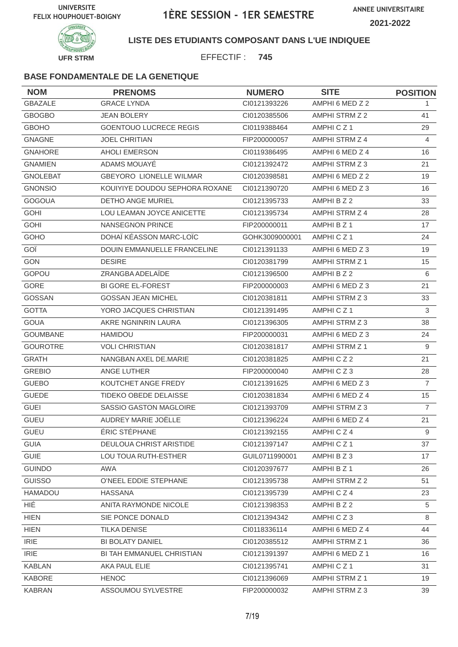



### **LISTE DES ETUDIANTS COMPOSANT DANS L'UE INDIQUEE**

EFFECTIF : **745**

| <b>NOM</b>      | <b>PRENOMS</b>                     | <b>NUMERO</b>  | <b>SITE</b>          | <b>POSITION</b> |
|-----------------|------------------------------------|----------------|----------------------|-----------------|
| <b>GBAZALE</b>  | <b>GRACE LYNDA</b>                 | CI0121393226   | AMPHI 6 MED Z 2      | 1.              |
| <b>GBOGBO</b>   | <b>JEAN BOLERY</b>                 | CI0120385506   | AMPHI STRM Z 2       | 41              |
| <b>GBOHO</b>    | <b>GOENTOUO LUCRECE REGIS</b>      | CI0119388464   | AMPHICZ1             | 29              |
| <b>GNAGNE</b>   | <b>JOEL CHRITIAN</b>               | FIP200000057   | AMPHI STRM Z 4       | $\overline{4}$  |
| <b>GNAHORE</b>  | AHOLI EMERSON                      | CI0119386495   | AMPHI 6 MED Z 4      | 16              |
| <b>GNAMIEN</b>  | ADAMS MOUAYÉ                       | CI0121392472   | AMPHI STRM Z 3       | 21              |
| <b>GNOLEBAT</b> | <b>GBEYORO LIONELLE WILMAR</b>     | CI0120398581   | AMPHI 6 MED Z 2      | 19              |
| <b>GNONSIO</b>  | KOUIYIYE DOUDOU SEPHORA ROXANE     | CI0121390720   | AMPHI 6 MED Z 3      | 16              |
| <b>GOGOUA</b>   | <b>DETHO ANGE MURIEL</b>           | CI0121395733   | AMPHI B Z 2          | 33              |
| <b>GOHI</b>     | LOU LEAMAN JOYCE ANICETTE          | CI0121395734   | AMPHI STRM Z 4       | 28              |
| <b>GOHI</b>     | <b>NANSEGNON PRINCE</b>            | FIP200000011   | AMPHI B Z 1          | 17              |
| GOHO            | DOHAÏ KÉASSON MARC-LOÏC            | GOHK3009000001 | AMPHICZ <sub>1</sub> | 24              |
| GOÏ             | <b>DOUIN EMMANUELLE FRANCELINE</b> | CI0121391133   | AMPHI 6 MED Z 3      | 19              |
| <b>GON</b>      | <b>DESIRE</b>                      | CI0120381799   | AMPHI STRM Z 1       | 15              |
| GOPOU           | ZRANGBA ADELAÏDE                   | CI0121396500   | AMPHI B Z 2          | 6               |
| GORE            | <b>BI GORE EL-FOREST</b>           | FIP200000003   | AMPHI 6 MED Z 3      | 21              |
| GOSSAN          | <b>GOSSAN JEAN MICHEL</b>          | CI0120381811   | AMPHI STRM Z 3       | 33              |
| <b>GOTTA</b>    | YORO JACQUES CHRISTIAN             | CI0121391495   | AMPHICZ <sub>1</sub> | 3               |
| <b>GOUA</b>     | AKRE NGNINRIN LAURA                | CI0121396305   | AMPHI STRM Z 3       | 38              |
| <b>GOUMBANE</b> | HAMIDOU                            | FIP200000031   | AMPHI 6 MED Z 3      | 24              |
| <b>GOUROTRE</b> | <b>VOLI CHRISTIAN</b>              | CI0120381817   | AMPHI STRM Z 1       | 9               |
| <b>GRATH</b>    | NANGBAN AXEL DE.MARIE              | CI0120381825   | AMPHICZ2             | 21              |
| <b>GREBIO</b>   | <b>ANGE LUTHER</b>                 | FIP200000040   | AMPHICZ3             | 28              |
| <b>GUEBO</b>    | KOUTCHET ANGE FREDY                | CI0121391625   | AMPHI 6 MED Z 3      | $\overline{7}$  |
| <b>GUEDE</b>    | TIDEKO OBEDE DELAISSE              | CI0120381834   | AMPHI 6 MED Z 4      | 15              |
| <b>GUEI</b>     | SASSIO GASTON MAGLOIRE             | CI0121393709   | AMPHI STRM Z 3       | $\overline{7}$  |
| <b>GUEU</b>     | AUDREY MARIE JOËLLE                | CI0121396224   | AMPHI 6 MED Z 4      | 21              |
| <b>GUEU</b>     | ÉRIC STÉPHANE                      | Cl0121392155   | AMPHICZ4             | 9               |
| <b>GUIA</b>     | DEULOUA CHRIST ARISTIDE            | CI0121397147   | AMPHICZ1             | 37              |
| <b>GUIE</b>     | <b>LOU TOUA RUTH-ESTHER</b>        | GUIL0711990001 | AMPHI B Z 3          | 17              |
| <b>GUINDO</b>   | AWA                                | Cl0120397677   | AMPHI B Z 1          | 26              |
| <b>GUISSO</b>   | O'NEEL EDDIE STEPHANE              | CI0121395738   | AMPHI STRM Z 2       | 51              |
| <b>HAMADOU</b>  | <b>HASSANA</b>                     | CI0121395739   | AMPHICZ4             | 23              |
| HIÉ             | ANITA RAYMONDE NICOLE              | CI0121398353   | AMPHI B Z 2          | 5               |
| <b>HIEN</b>     | SIE PONCE DONALD                   | CI0121394342   | AMPHICZ3             | 8               |
| <b>HIEN</b>     | <b>TILKA DENISE</b>                | CI0118336114   | AMPHI 6 MED Z 4      | 44              |
| <b>IRIE</b>     | <b>BI BOLATY DANIEL</b>            | CI0120385512   | AMPHI STRM Z 1       | 36              |
| <b>IRIE</b>     | BI TAH EMMANUEL CHRISTIAN          | CI0121391397   | AMPHI 6 MED Z 1      | 16              |
| <b>KABLAN</b>   | AKA PAUL ELIE                      | CI0121395741   | AMPHICZ1             | 31              |
| <b>KABORE</b>   | <b>HENOC</b>                       | CI0121396069   | AMPHI STRM Z 1       | 19              |
| <b>KABRAN</b>   | ASSOUMOU SYLVESTRE                 | FIP200000032   | AMPHI STRM Z 3       | 39              |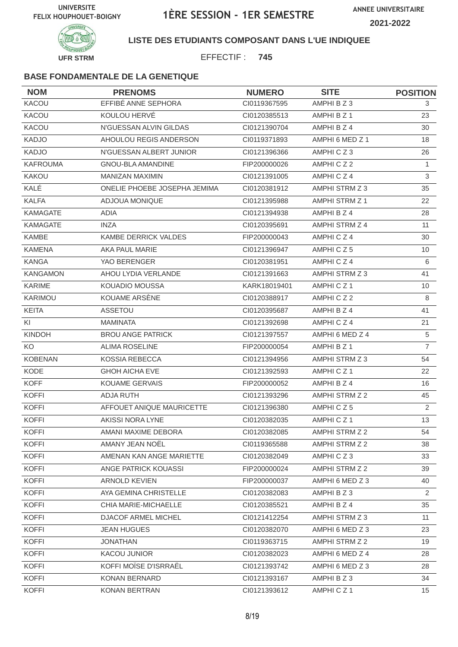

**LISTE DES ETUDIANTS COMPOSANT DANS L'UE INDIQUEE**

EFFECTIF : **745**

| <b>NOM</b>      | <b>PRENOMS</b>               | <b>NUMERO</b> | <b>SITE</b>     | <b>POSITION</b>       |
|-----------------|------------------------------|---------------|-----------------|-----------------------|
| KACOU           | EFFIBÉ ANNE SEPHORA          | CI0119367595  | AMPHI B Z 3     | 3                     |
| KACOU           | KOULOU HERVÉ                 | CI0120385513  | AMPHI B Z 1     | 23                    |
| KACOU           | N'GUESSAN ALVIN GILDAS       | CI0121390704  | AMPHI B Z 4     | 30                    |
| <b>KADJO</b>    | AHOULOU REGIS ANDERSON       | CI0119371893  | AMPHI 6 MED Z 1 | 18                    |
| <b>KADJO</b>    | N'GUESSAN ALBERT JUNIOR      | CI0121396366  | AMPHICZ3        | 26                    |
| <b>KAFROUMA</b> | <b>GNOU-BLA AMANDINE</b>     | FIP200000026  | AMPHICZ2        | $\mathbf{1}$          |
| <b>KAKOU</b>    | <b>MANIZAN MAXIMIN</b>       | CI0121391005  | AMPHICZ4        | 3                     |
| KALÉ            | ONELIE PHOEBE JOSEPHA JEMIMA | CI0120381912  | AMPHI STRM Z 3  | 35                    |
| <b>KALFA</b>    | ADJOUA MONIQUE               | CI0121395988  | AMPHI STRM Z 1  | 22                    |
| <b>KAMAGATE</b> | <b>ADIA</b>                  | CI0121394938  | AMPHI B Z 4     | 28                    |
| <b>KAMAGATE</b> | <b>INZA</b>                  | CI0120395691  | AMPHI STRM Z 4  | 11                    |
| <b>KAMBE</b>    | KAMBE DERRICK VALDES         | FIP200000043  | AMPHICZ4        | 30                    |
| <b>KAMENA</b>   | AKA PAUL MARIE               | CI0121396947  | AMPHICZ5        | 10                    |
| <b>KANGA</b>    | YAO BERENGER                 | CI0120381951  | AMPHICZ4        | 6                     |
| <b>KANGAMON</b> | AHOU LYDIA VERLANDE          | CI0121391663  | AMPHI STRM Z 3  | 41                    |
| <b>KARIME</b>   | <b>KOUADIO MOUSSA</b>        | KARK18019401  | AMPHICZ1        | 10                    |
| KARIMOU         | KOUAME ARSÈNE                | CI0120388917  | AMPHICZ2        | 8                     |
| <b>KEITA</b>    | <b>ASSETOU</b>               | CI0120395687  | AMPHI B Z 4     | 41                    |
| KI              | <b>MAMINATA</b>              | CI0121392698  | AMPHICZ4        | 21                    |
| <b>KINDOH</b>   | <b>BROU ANGE PATRICK</b>     | CI0121397557  | AMPHI 6 MED Z 4 | 5                     |
| KO <sub>.</sub> | <b>ALIMA ROSELINE</b>        | FIP200000054  | AMPHI B Z 1     | $\overline{7}$        |
| <b>KOBENAN</b>  | KOSSIA REBECCA               | CI0121394956  | AMPHI STRM Z 3  | 54                    |
| KODE            | <b>GHOH AICHA EVE</b>        | CI0121392593  | AMPHICZ1        | 22                    |
| <b>KOFF</b>     | <b>KOUAME GERVAIS</b>        | FIP200000052  | AMPHI B Z 4     | 16                    |
| <b>KOFFI</b>    | <b>ADJA RUTH</b>             | CI0121393296  | AMPHI STRM Z 2  | 45                    |
| <b>KOFFI</b>    | AFFOUET ANIQUE MAURICETTE    | CI0121396380  | AMPHICZ5        | 2                     |
| <b>KOFFI</b>    | <b>AKISSI NORA LYNE</b>      | CI0120382035  | AMPHICZ1        | 13                    |
| <b>KOFFI</b>    | AMANI MAXIME DEBORA          | CI0120382085  | AMPHI STRM Z 2  | 54                    |
| <b>KOFFI</b>    | AMANY JEAN NOËL              | CI0119365588  | AMPHI STRM Z 2  | 38                    |
| <b>KOFFI</b>    | AMENAN KAN ANGE MARIETTE     | CI0120382049  | AMPHICZ3        | 33                    |
| <b>KOFFI</b>    | ANGE PATRICK KOUASSI         | FIP200000024  | AMPHI STRM Z 2  | 39                    |
| <b>KOFFI</b>    | ARNOLD KEVIEN                | FIP200000037  | AMPHI 6 MED Z 3 | 40                    |
| <b>KOFFI</b>    | AYA GEMINA CHRISTELLE        | CI0120382083  | AMPHI B Z 3     | $\mathbf{2}^{\prime}$ |
| <b>KOFFI</b>    | CHIA MARIE-MICHAELLE         | CI0120385521  | AMPHI B Z 4     | 35                    |
| <b>KOFFI</b>    | <b>DJACOF ARMEL MICHEL</b>   | CI0121412254  | AMPHI STRM Z 3  | 11                    |
| <b>KOFFI</b>    | <b>JEAN HUGUES</b>           | CI0120382070  | AMPHI 6 MED Z 3 | 23                    |
| <b>KOFFI</b>    | <b>JONATHAN</b>              | CI0119363715  | AMPHI STRM Z 2  | 19                    |
| <b>KOFFI</b>    | KACOU JUNIOR                 | CI0120382023  | AMPHI 6 MED Z 4 | 28                    |
| <b>KOFFI</b>    | KOFFI MOÏSE D'ISRRAËL        | CI0121393742  | AMPHI 6 MED Z 3 | 28                    |
| <b>KOFFI</b>    | KONAN BERNARD                | Cl0121393167  | AMPHI B Z 3     | 34                    |
| <b>KOFFI</b>    | KONAN BERTRAN                | CI0121393612  | AMPHICZ1        | 15                    |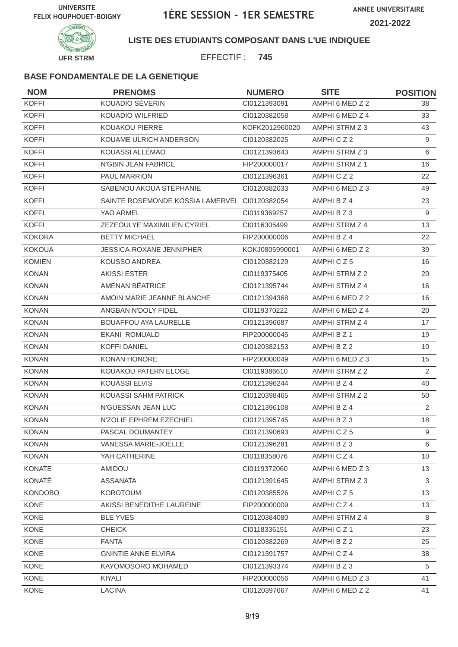

#### **LISTE DES ETUDIANTS COMPOSANT DANS L'UE INDIQUEE**

EFFECTIF : **745**

| <b>NOM</b>     | <b>PRENOMS</b>                   | <b>NUMERO</b>  | <b>SITE</b>     | <b>POSITION</b> |
|----------------|----------------------------------|----------------|-----------------|-----------------|
| <b>KOFFI</b>   | <b>KOUADIO SÉVERIN</b>           | CI0121393091   | AMPHI 6 MED Z 2 | 38              |
| <b>KOFFI</b>   | <b>KOUADIO WILFRIED</b>          | CI0120382058   | AMPHI 6 MED Z 4 | 33              |
| <b>KOFFI</b>   | KOUAKOU PIERRE                   | KOFK2012960020 | AMPHI STRM Z 3  | 43              |
| <b>KOFFI</b>   | KOUAME ULRICH ANDERSON           | CI0120382025   | AMPHICZ2        | 9               |
| <b>KOFFI</b>   | KOUASSI ALLÉMAO                  | CI0121393643   | AMPHI STRM Z 3  | 6               |
| <b>KOFFI</b>   | N'GBIN JEAN FABRICE              | FIP200000017   | AMPHI STRM Z 1  | 16              |
| <b>KOFFI</b>   | <b>PAUL MARRION</b>              | CI0121396361   | AMPHICZ2        | 22              |
| <b>KOFFI</b>   | SABENOU AKOUA STÉPHANIE          | CI0120382033   | AMPHI 6 MED Z 3 | 49              |
| <b>KOFFI</b>   | SAINTE ROSEMONDE KOSSIA LAMERVEI | CI0120382054   | AMPHI B Z 4     | 23              |
| <b>KOFFI</b>   | YAO ARMEL                        | CI0119369257   | AMPHIBZ3        | 9               |
| <b>KOFFI</b>   | ZEZEOULYE MAXIMILIEN CYRIEL      | CI0116305499   | AMPHI STRM Z 4  | 13              |
| <b>KOKORA</b>  | <b>BETTY MICHAEL</b>             | FIP200000006   | AMPHI B Z 4     | 22              |
| <b>KOKOUA</b>  | <b>JESSICA-ROXANE JENNIPHER</b>  | KOKJ0805990001 | AMPHI 6 MED Z 2 | 39              |
| <b>KOMIEN</b>  | <b>KOUSSO ANDREA</b>             | CI0120382129   | AMPHICZ5        | 16              |
| <b>KONAN</b>   | <b>AKISSI ESTER</b>              | CI0119375405   | AMPHI STRM Z 2  | 20              |
| <b>KONAN</b>   | AMENAN BEATRICE                  | CI0121395744   | AMPHI STRM Z 4  | 16              |
| <b>KONAN</b>   | AMOIN MARIE JEANNE BLANCHE       | CI0121394368   | AMPHI 6 MED Z 2 | 16              |
| <b>KONAN</b>   | ANGBAN N'DOLY FIDEL              | CI0119370222   | AMPHI 6 MED Z 4 | 20              |
| <b>KONAN</b>   | <b>BOUAFFOU AYA LAURELLE</b>     | Cl0121396687   | AMPHI STRM Z 4  | 17              |
| <b>KONAN</b>   | EKANI ROMUALD                    | FIP200000045   | AMPHI B Z 1     | 19              |
| <b>KONAN</b>   | <b>KOFFI DANIEL</b>              | CI0120382153   | AMPHI B Z 2     | 10              |
| <b>KONAN</b>   | KONAN HONORE                     | FIP200000049   | AMPHI 6 MED Z 3 | 15              |
| <b>KONAN</b>   | KOUAKOU PATERN ELOGE             | CI0119386610   | AMPHI STRM Z 2  | 2               |
| <b>KONAN</b>   | <b>KOUASSI ELVIS</b>             | CI0121396244   | AMPHI B Z 4     | 40              |
| <b>KONAN</b>   | KOUASSI SAHM PATRICK             | CI0120398465   | AMPHI STRM Z 2  | 50              |
| <b>KONAN</b>   | N'GUESSAN JEAN LUC               | CI0121396108   | AMPHI B Z 4     | 2               |
| <b>KONAN</b>   | N'ZOLIE EPHREM EZECHIEL          | CI0121395745   | AMPHIBZ3        | 18              |
| <b>KONAN</b>   | PASCAL DOUMANTEY                 | Cl0121390693   | AMPHICZ5        | 9               |
| <b>KONAN</b>   | VANESSA MARIE-JOËLLE             | CI0121396281   | AMPHI B Z 3     | 6               |
| <b>KONAN</b>   | YAH CATHERINE                    | CI0118358076   | AMPHICZ4        | 10 <sup>°</sup> |
| <b>KONATE</b>  | AMIDOU                           | CI0119372060   | AMPHI 6 MED Z 3 | 13              |
| KONATÉ         | <b>ASSANATA</b>                  | CI0121391645   | AMPHI STRM Z 3  | 3               |
| <b>KONDOBO</b> | <b>KOROTOUM</b>                  | CI0120385526   | AMPHICZ5        | 13              |
| KONE           | AKISSI BENEDITHE LAUREINE        | FIP200000009   | AMPHICZ4        | 13              |
| KONE           | <b>BLE YVES</b>                  | CI0120384080   | AMPHI STRM Z 4  | 8               |
| KONE           | <b>CHEICK</b>                    | CI0118336151   | AMPHICZ1        | 23              |
| KONE           | <b>FANTA</b>                     | CI0120382269   | AMPHI B Z 2     | 25              |
| KONE           | <b>GNINTIE ANNE ELVIRA</b>       | CI0121391757   | AMPHICZ4        | 38              |
| KONE           | KAYOMOSORO MOHAMED               | Cl0121393374   | AMPHI B Z 3     | 5               |
| KONE           | KIYALI                           | FIP200000056   | AMPHI 6 MED Z 3 | 41              |
| KONE           | <b>LACINA</b>                    | CI0120397667   | AMPHI 6 MED Z 2 | 41              |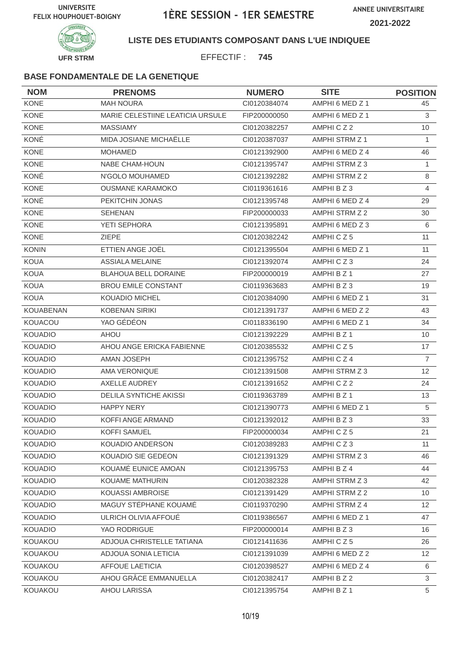

### **LISTE DES ETUDIANTS COMPOSANT DANS L'UE INDIQUEE**

EFFECTIF : **745**

| <b>NOM</b>       | <b>PRENOMS</b>                   | <b>NUMERO</b> | <b>SITE</b>     | <b>POSITION</b> |
|------------------|----------------------------------|---------------|-----------------|-----------------|
| KONE             | <b>MAH NOURA</b>                 | Cl0120384074  | AMPHI 6 MED Z 1 | 45              |
| <b>KONE</b>      | MARIE CELESTIINE LEATICIA URSULE | FIP200000050  | AMPHI 6 MED Z 1 | 3               |
| <b>KONE</b>      | <b>MASSIAMY</b>                  | CI0120382257  | AMPHICZ2        | 10              |
| KONÉ             | MIDA JOSIANE MICHAËLLE           | CI0120387037  | AMPHI STRM Z 1  | $\mathbf{1}$    |
| <b>KONE</b>      | <b>MOHAMED</b>                   | CI0121392900  | AMPHI 6 MED Z 4 | 46              |
| KONE             | NABE CHAM-HOUN                   | CI0121395747  | AMPHI STRM Z 3  | $\mathbf{1}$    |
| KONÉ             | N'GOLO MOUHAMED                  | CI0121392282  | AMPHI STRM Z 2  | $\,8\,$         |
| <b>KONE</b>      | <b>OUSMANE KARAMOKO</b>          | CI0119361616  | AMPHI B Z 3     | $\overline{4}$  |
| KONÉ             | PEKITCHIN JONAS                  | CI0121395748  | AMPHI 6 MED Z 4 | 29              |
| <b>KONE</b>      | <b>SEHENAN</b>                   | FIP200000033  | AMPHI STRM Z 2  | 30              |
| KONE             | YETI SEPHORA                     | CI0121395891  | AMPHI 6 MED Z 3 | 6               |
| <b>KONE</b>      | <b>ZIEPE</b>                     | CI0120382242  | AMPHICZ5        | 11              |
| <b>KONIN</b>     | ETTIEN ANGE JOËL                 | CI0121395504  | AMPHI 6 MED Z 1 | 11              |
| <b>KOUA</b>      | <b>ASSIALA MELAINE</b>           | Cl0121392074  | AMPHICZ3        | 24              |
| <b>KOUA</b>      | <b>BLAHOUA BELL DORAINE</b>      | FIP200000019  | AMPHI B Z 1     | 27              |
| <b>KOUA</b>      | <b>BROU EMILE CONSTANT</b>       | CI0119363683  | AMPHIBZ3        | 19              |
| <b>KOUA</b>      | <b>KOUADIO MICHEL</b>            | CI0120384090  | AMPHI 6 MED Z 1 | 31              |
| <b>KOUABENAN</b> | <b>KOBENAN SIRIKI</b>            | CI0121391737  | AMPHI 6 MED Z 2 | 43              |
| KOUACOU          | YAO GÉDÉON                       | CI0118336190  | AMPHI 6 MED Z 1 | 34              |
| <b>KOUADIO</b>   | AHOU                             | CI0121392229  | AMPHI B Z 1     | 10              |
| <b>KOUADIO</b>   | AHOU ANGE ERICKA FABIENNE        | CI0120385532  | AMPHICZ5        | 17              |
| <b>KOUADIO</b>   | AMAN JOSEPH                      | CI0121395752  | AMPHICZ4        | $\overline{7}$  |
| <b>KOUADIO</b>   | AMA VERONIQUE                    | CI0121391508  | AMPHI STRM Z 3  | 12 <sup>°</sup> |
| <b>KOUADIO</b>   | AXELLE AUDREY                    | CI0121391652  | AMPHICZ2        | 24              |
| <b>KOUADIO</b>   | <b>DELILA SYNTICHE AKISSI</b>    | CI0119363789  | AMPHI B Z 1     | 13              |
| <b>KOUADIO</b>   | <b>HAPPY NERY</b>                | CI0121390773  | AMPHI 6 MED Z 1 | 5               |
| <b>KOUADIO</b>   | KOFFI ANGE ARMAND                | CI0121392012  | AMPHI B Z 3     | 33              |
| KOUADIO          | KOFFI SAMUEL                     | FIP200000034  | AMPHICZ5        | 21              |
| <b>KOUADIO</b>   | KOUADIO ANDERSON                 | CI0120389283  | AMPHICZ3        | 11              |
| <b>KOUADIO</b>   | KOUADIO SIE GEDEON               | CI0121391329  | AMPHI STRM Z 3  | 46              |
| <b>KOUADIO</b>   | KOUAMÉ EUNICE AMOAN              | CI0121395753  | AMPHI B Z 4     | 44              |
| <b>KOUADIO</b>   | <b>KOUAME MATHURIN</b>           | CI0120382328  | AMPHI STRM Z 3  | 42              |
| <b>KOUADIO</b>   | KOUASSI AMBROISE                 | CI0121391429  | AMPHI STRM Z 2  | 10              |
| <b>KOUADIO</b>   | MAGUY STÉPHANE KOUAMÉ            | CI0119370290  | AMPHI STRM Z 4  | 12 <sup>2</sup> |
| <b>KOUADIO</b>   | ULRICH OLIVIA AFFOUÉ             | CI0119386567  | AMPHI 6 MED Z 1 | 47              |
| <b>KOUADIO</b>   | YAO RODRIGUE                     | FIP200000014  | AMPHIBZ3        | 16              |
| KOUAKOU          | ADJOUA CHRISTELLE TATIANA        | CI0121411636  | AMPHICZ5        | 26              |
| KOUAKOU          | ADJOUA SONIA LETICIA             | CI0121391039  | AMPHI 6 MED Z 2 | 12 <sup>2</sup> |
| KOUAKOU          | <b>AFFOUE LAETICIA</b>           | CI0120398527  | AMPHI 6 MED Z 4 | 6               |
| KOUAKOU          | AHOU GRÂCE EMMANUELLA            | CI0120382417  | AMPHI B Z 2     | 3               |
| KOUAKOU          | AHOU LARISSA                     | Cl0121395754  | AMPHI B Z 1     | 5               |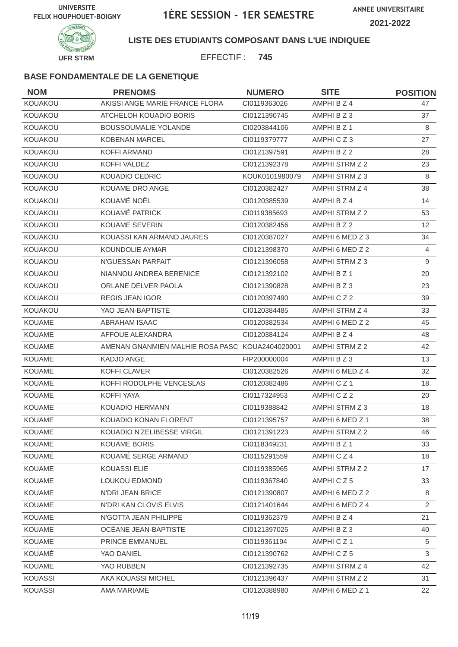

**LISTE DES ETUDIANTS COMPOSANT DANS L'UE INDIQUEE**

EFFECTIF : **745**

| <b>NOM</b>     | <b>PRENOMS</b>                                  | <b>NUMERO</b>  | <b>SITE</b>     | <b>POSITION</b> |
|----------------|-------------------------------------------------|----------------|-----------------|-----------------|
| KOUAKOU        | AKISSI ANGE MARIE FRANCE FLORA                  | CI0119363026   | AMPHI B Z 4     | 47              |
| KOUAKOU        | ATCHELOH KOUADIO BORIS                          | CI0121390745   | AMPHI B Z 3     | 37              |
| KOUAKOU        | <b>BOUSSOUMALIE YOLANDE</b>                     | CI0203844106   | AMPHI B Z 1     | 8               |
| KOUAKOU        | <b>KOBENAN MARCEL</b>                           | CI0119379777   | AMPHICZ3        | 27              |
| KOUAKOU        | <b>KOFFI ARMAND</b>                             | CI0121397591   | AMPHI B Z 2     | 28              |
| KOUAKOU        | KOFFI VALDEZ                                    | CI0121392378   | AMPHI STRM Z 2  | 23              |
| KOUAKOU        | <b>KOUADIO CEDRIC</b>                           | KOUK0101980079 | AMPHI STRM Z 3  | 8               |
| KOUAKOU        | KOUAME DRO ANGE                                 | CI0120382427   | AMPHI STRM Z 4  | 38              |
| KOUAKOU        | KOUAMÉ NOËL                                     | CI0120385539   | AMPHI B Z 4     | 14              |
| KOUAKOU        | KOUAMÉ PATRICK                                  | CI0119385693   | AMPHI STRM Z 2  | 53              |
| KOUAKOU        | <b>KOUAME SEVERIN</b>                           | CI0120382456   | AMPHI B Z 2     | 12              |
| KOUAKOU        | KOUASSI KAN ARMAND JAURES                       | CI0120387027   | AMPHI 6 MED Z 3 | 34              |
| KOUAKOU        | KOUNDOLIE AYMAR                                 | CI0121398370   | AMPHI 6 MED Z 2 | $\overline{4}$  |
| KOUAKOU        | N'GUESSAN PARFAIT                               | CI0121396058   | AMPHI STRM Z 3  | 9               |
| KOUAKOU        | NIANNOU ANDREA BERENICE                         | CI0121392102   | AMPHI B Z 1     | 20              |
| KOUAKOU        | ORLANE DELVER PAOLA                             | CI0121390828   | AMPHIBZ3        | 23              |
| KOUAKOU        | <b>REGIS JEAN IGOR</b>                          | CI0120397490   | AMPHICZ2        | 39              |
| KOUAKOU        | YAO JEAN-BAPTISTE                               | CI0120384485   | AMPHI STRM Z 4  | 33              |
| <b>KOUAME</b>  | ABRAHAM ISAAC                                   | CI0120382534   | AMPHI 6 MED Z 2 | 45              |
| <b>KOUAME</b>  | AFFOUE ALEXANDRA                                | CI0120384124   | AMPHI B Z 4     | 48              |
| <b>KOUAME</b>  | AMENAN GNANMIEN MALHIE ROSA PASC KOUA2404020001 |                | AMPHI STRM Z 2  | 42              |
| <b>KOUAME</b>  | <b>KADJO ANGE</b>                               | FIP200000004   | AMPHI B Z 3     | 13              |
| <b>KOUAME</b>  | KOFFI CLAVER                                    | CI0120382526   | AMPHI 6 MED Z 4 | 32              |
| <b>KOUAME</b>  | KOFFI RODOLPHE VENCESLAS                        | CI0120382486   | AMPHICZ1        | 18              |
| <b>KOUAME</b>  | KOFFI YAYA                                      | CI0117324953   | AMPHICZ2        | 20              |
| <b>KOUAME</b>  | KOUADIO HERMANN                                 | CI0119388842   | AMPHI STRM Z 3  | 18              |
| <b>KOUAME</b>  | KOUADIO KONAN FLORENT                           | CI0121395757   | AMPHI 6 MED Z 1 | 38              |
| KOUAME         | KOUADIO N'ZELIBESSE VIRGIL                      | CI0121391223   | AMPHI STRM Z 2  | 46              |
| <b>KOUAME</b>  | <b>KOUAME BORIS</b>                             | CI0118349231   | AMPHI B Z 1     | 33              |
| KOUAMÉ         | KOUAMÉ SERGE ARMAND                             | CI0115291559   | AMPHI C Z 4     | 18              |
| <b>KOUAME</b>  | <b>KOUASSI ELIE</b>                             | CI0119385965   | AMPHI STRM Z 2  | 17              |
| <b>KOUAME</b>  | LOUKOU EDMOND                                   | CI0119367840   | AMPHICZ5        | 33              |
| <b>KOUAME</b>  | N'DRI JEAN BRICE                                | CI0121390807   | AMPHI 6 MED Z 2 | 8               |
| <b>KOUAME</b>  | N'DRI KAN CLOVIS ELVIS                          | CI0121401644   | AMPHI 6 MED Z 4 | $\overline{2}$  |
| <b>KOUAME</b>  | N'GOTTA JEAN PHILIPPE                           | CI0119362379   | AMPHI B Z 4     | 21              |
| <b>KOUAME</b>  | OCEANE JEAN-BAPTISTE                            | CI0121397025   | AMPHI B Z 3     | 40              |
| KOUAME         | <b>PRINCE EMMANUEL</b>                          | CI0119361194   | AMPHICZ1        | 5               |
| <b>KOUAMÉ</b>  | YAO DANIEL                                      | CI0121390762   | AMPHICZ5        | $\mathbf{3}$    |
| <b>KOUAME</b>  | YAO RUBBEN                                      | CI0121392735   | AMPHI STRM Z 4  | 42              |
| <b>KOUASSI</b> | AKA KOUASSI MICHEL                              | Cl0121396437   | AMPHI STRM Z 2  | 31              |
| <b>KOUASSI</b> | AMA MARIAME                                     | CI0120388980   | AMPHI 6 MED Z 1 | 22              |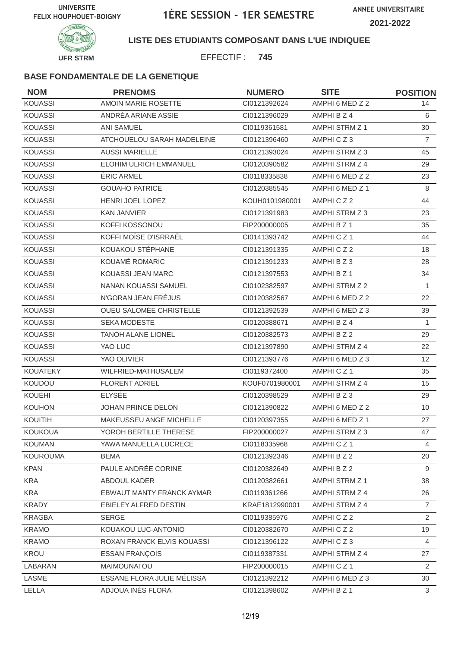

**LISTE DES ETUDIANTS COMPOSANT DANS L'UE INDIQUEE**

EFFECTIF : **745**

| <b>NOM</b>      | <b>PRENOMS</b>             | <b>NUMERO</b>  | <b>SITE</b>           | <b>POSITION</b> |
|-----------------|----------------------------|----------------|-----------------------|-----------------|
| <b>KOUASSI</b>  | AMOIN MARIE ROSETTE        | CI0121392624   | AMPHI 6 MED Z 2       | 14              |
| <b>KOUASSI</b>  | ANDRÉA ARIANE ASSIE        | CI0121396029   | AMPHI B Z 4           | 6               |
| <b>KOUASSI</b>  | <b>ANI SAMUEL</b>          | CI0119361581   | AMPHI STRM Z 1        | 30              |
| <b>KOUASSI</b>  | ATCHOUELOU SARAH MADELEINE | CI0121396460   | AMPHICZ3              | $\overline{7}$  |
| <b>KOUASSI</b>  | <b>AUSSI MARIELLE</b>      | CI0121393024   | AMPHI STRM Z 3        | 45              |
| <b>KOUASSI</b>  | ELOHIM ULRICH EMMANUEL     | CI0120390582   | <b>AMPHI STRM Z 4</b> | 29              |
| <b>KOUASSI</b>  | <b>ÉRIC ARMEL</b>          | CI0118335838   | AMPHI 6 MED Z 2       | 23              |
| <b>KOUASSI</b>  | <b>GOUAHO PATRICE</b>      | CI0120385545   | AMPHI 6 MED Z 1       | 8               |
| <b>KOUASSI</b>  | HENRI JOEL LOPEZ           | KOUH0101980001 | AMPHICZ2              | 44              |
| <b>KOUASSI</b>  | <b>KAN JANVIER</b>         | CI0121391983   | AMPHI STRM Z 3        | 23              |
| <b>KOUASSI</b>  | KOFFI KOSSONOU             | FIP200000005   | AMPHI B Z 1           | 35              |
| <b>KOUASSI</b>  | KOFFI MOÏSE D'ISRRAËL      | CI0141393742   | AMPHICZ1              | 44              |
| <b>KOUASSI</b>  | KOUAKOU STÉPHANE           | CI0121391335   | AMPHICZ2              | 18              |
| <b>KOUASSI</b>  | KOUAMÉ ROMARIC             | CI0121391233   | AMPHI B Z 3           | 28              |
| <b>KOUASSI</b>  | KOUASSI JEAN MARC          | CI0121397553   | AMPHI B Z 1           | 34              |
| <b>KOUASSI</b>  | NANAN KOUASSI SAMUEL       | CI0102382597   | AMPHI STRM Z 2        | 1               |
| <b>KOUASSI</b>  | N'GORAN JEAN FRÉJUS        | CI0120382567   | AMPHI 6 MED Z 2       | 22              |
| <b>KOUASSI</b>  | OUEU SALOMÉE CHRISTELLE    | CI0121392539   | AMPHI 6 MED Z 3       | 39              |
| <b>KOUASSI</b>  | <b>SEKA MODESTE</b>        | CI0120388671   | AMPHI B Z 4           | $\mathbf{1}$    |
| <b>KOUASSI</b>  | <b>TANOH ALANE LIONEL</b>  | CI0120382573   | AMPHI B Z 2           | 29              |
| <b>KOUASSI</b>  | YAO LUC                    | CI0121397890   | AMPHI STRM Z 4        | 22              |
| <b>KOUASSI</b>  | YAO OLIVIER                | CI0121393776   | AMPHI 6 MED Z 3       | 12 <sup>°</sup> |
| <b>KOUATEKY</b> | WILFRIED-MATHUSALEM        | CI0119372400   | AMPHICZ1              | 35              |
| <b>KOUDOU</b>   | <b>FLORENT ADRIEL</b>      | KOUF0701980001 | AMPHI STRM Z 4        | 15              |
| <b>KOUEHI</b>   | <b>ELYSÉE</b>              | CI0120398529   | AMPHI B Z 3           | 29              |
| <b>KOUHON</b>   | JOHAN PRINCE DELON         | CI0121390822   | AMPHI 6 MED Z 2       | 10              |
| KOUITIH         | MAKEUSSEU ANGE MICHELLE    | CI0120397355   | AMPHI 6 MED Z 1       | 27              |
| KOUKOUA         | YOROH BERTILLE THERESE     | FIP200000027   | AMPHI STRM Z 3        | 47              |
| <b>KOUMAN</b>   | YAWA MANUELLA LUCRECE      | CI0118335968   | AMPHICZ1              | 4               |
| <b>KOUROUMA</b> | <b>BEMA</b>                | CI0121392346   | AMPHI B Z 2           | 20              |
| <b>KPAN</b>     | PAULE ANDRÉE CORINE        | CI0120382649   | AMPHI B Z 2           | 9               |
| <b>KRA</b>      | ABDOUL KADER               | CI0120382661   | AMPHI STRM Z 1        | 38              |
| <b>KRA</b>      | EBWAUT MANTY FRANCK AYMAR  | CI0119361266   | AMPHI STRM Z 4        | 26              |
| <b>KRADY</b>    | EBIELEY ALFRED DESTIN      | KRAE1812990001 | AMPHI STRM Z 4        | $\overline{7}$  |
| <b>KRAGBA</b>   | <b>SERGE</b>               | CI0119385976   | AMPHICZ2              | $\overline{2}$  |
| <b>KRAMO</b>    | KOUAKOU LUC-ANTONIO        | CI0120382670   | AMPHICZ2              | 19              |
| <b>KRAMO</b>    | ROXAN FRANCK ELVIS KOUASSI | Cl0121396122   | AMPHICZ3              | $\overline{4}$  |
| KROU            | ESSAN FRANÇOIS             | CI0119387331   | AMPHI STRM Z 4        | 27              |
| LABARAN         | MAIMOUNATOU                | FIP200000015   | AMPHICZ1              | $\overline{2}$  |
| LASME           | ESSANE FLORA JULIE MÉLISSA | Cl0121392212   | AMPHI 6 MED Z 3       | 30              |
| LELLA           | ADJOUA INÈS FLORA          | CI0121398602   | AMPHI B Z 1           | 3               |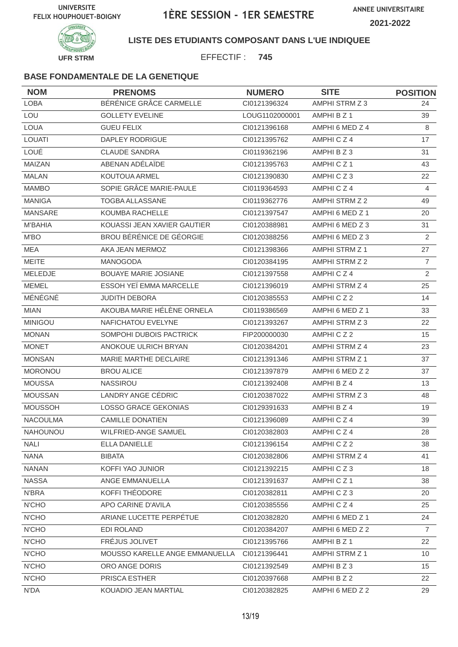

### **LISTE DES ETUDIANTS COMPOSANT DANS L'UE INDIQUEE**

EFFECTIF : **745**

| <b>NOM</b>      | <b>PRENOMS</b>                 | <b>NUMERO</b>  | <b>SITE</b>     | <b>POSITION</b> |
|-----------------|--------------------------------|----------------|-----------------|-----------------|
| <b>LOBA</b>     | BÉRÉNICE GRÂCE CARMELLE        | CI0121396324   | AMPHI STRM Z 3  | 24              |
| LOU             | <b>GOLLETY EVELINE</b>         | LOUG1102000001 | AMPHI B Z 1     | 39              |
| <b>LOUA</b>     | <b>GUEU FELIX</b>              | Cl0121396168   | AMPHI 6 MED Z 4 | 8               |
| <b>LOUATI</b>   | DAPLEY RODRIGUE                | CI0121395762   | AMPHICZ4        | 17              |
| LOUÉ            | <b>CLAUDE SANDRA</b>           | CI0119362196   | AMPHI B Z 3     | 31              |
| MAIZAN          | ABENAN ADÉLAÏDE                | CI0121395763   | AMPHICZ1        | 43              |
| <b>MALAN</b>    | KOUTOUA ARMEL                  | CI0121390830   | AMPHICZ3        | 22              |
| <b>MAMBO</b>    | SOPIE GRÂCE MARIE-PAULE        | CI0119364593   | AMPHICZ4        | 4               |
| <b>MANIGA</b>   | <b>TOGBA ALLASSANE</b>         | CI0119362776   | AMPHI STRM Z 2  | 49              |
| <b>MANSARE</b>  | KOUMBA RACHELLE                | CI0121397547   | AMPHI 6 MED Z 1 | 20              |
| <b>M'BAHIA</b>  | KOUASSI JEAN XAVIER GAUTIER    | CI0120388981   | AMPHI 6 MED Z 3 | 31              |
| M'BO            | BROU BÉRÉNICE DE GÉORGIE       | CI0120388256   | AMPHI 6 MED Z 3 | $\overline{2}$  |
| <b>MEA</b>      | AKA JEAN MERMOZ                | CI0121398366   | AMPHI STRM Z 1  | 27              |
| <b>MEITE</b>    | <b>MANOGODA</b>                | CI0120384195   | AMPHI STRM Z 2  | $\overline{7}$  |
| MELEDJE         | <b>BOUAYE MARIE JOSIANE</b>    | CI0121397558   | AMPHICZ4        | $\overline{2}$  |
| <b>MEMEL</b>    | ESSOH YEÏ EMMA MARCELLE        | CI0121396019   | AMPHI STRM Z 4  | 25              |
| MÉNÉGNÉ         | <b>JUDITH DEBORA</b>           | CI0120385553   | AMPHICZ2        | 14              |
| <b>MIAN</b>     | AKOUBA MARIE HÉLÈNE ORNELA     | CI0119386569   | AMPHI 6 MED Z 1 | 33              |
| <b>MINIGOU</b>  | NAFICHATOU EVELYNE             | CI0121393267   | AMPHI STRM Z 3  | 22              |
| <b>MONAN</b>    | SOMPOHI DUBOIS PACTRICK        | FIP200000030   | AMPHICZ2        | 15              |
| <b>MONET</b>    | ANOKOUE ULRICH BRYAN           | CI0120384201   | AMPHI STRM Z 4  | 23              |
| <b>MONSAN</b>   | MARIE MARTHE DECLAIRE          | CI0121391346   | AMPHI STRM Z 1  | 37              |
| <b>MORONOU</b>  | <b>BROU ALICE</b>              | CI0121397879   | AMPHI 6 MED Z 2 | 37              |
| <b>MOUSSA</b>   | <b>NASSIROU</b>                | CI0121392408   | AMPHI B Z 4     | 13              |
| <b>MOUSSAN</b>  | LANDRY ANGE CÉDRIC             | CI0120387022   | AMPHI STRM Z 3  | 48              |
| <b>MOUSSOH</b>  | LOSSO GRACE GEKONIAS           | CI0129391633   | AMPHI B Z 4     | 19              |
| <b>NACOULMA</b> | <b>CAMILLE DONATIEN</b>        | Cl0121396089   | AMPHICZ4        | 39              |
| NAHOUNOU        | WILFRIED-ANGE SAMUEL           | CI0120382803   | AMPHICZ4        | 28              |
| <b>NALI</b>     | ELLA DANIELLE                  | Cl0121396154   | AMPHICZ2        | 38              |
| <b>NANA</b>     | <b>BIBATA</b>                  | CI0120382806   | AMPHI STRM Z 4  | 41              |
| <b>NANAN</b>    | KOFFI YAO JUNIOR               | CI0121392215   | AMPHICZ3        | 18              |
| <b>NASSA</b>    | ANGE EMMANUELLA                | CI0121391637   | AMPHICZ1        | 38              |
| N'BRA           | KOFFI THÉODORE                 | CI0120382811   | AMPHICZ3        | 20              |
| N'CHO           | APO CARINE D'AVILA             | Cl0120385556   | AMPHICZ4        | 25              |
| N'CHO           | ARIANE LUCETTE PERPÉTUE        | CI0120382820   | AMPHI 6 MED Z 1 | 24              |
| N'CHO           | EDI ROLAND                     | CI0120384207   | AMPHI 6 MED Z 2 | $\overline{7}$  |
| N'CHO           | FRÉJUS JOLIVET                 | Cl0121395766   | AMPHI B Z 1     | 22              |
| N'CHO           | MOUSSO KARELLE ANGE EMMANUELLA | CI0121396441   | AMPHI STRM Z 1  | 10              |
| N'CHO           | ORO ANGE DORIS                 | Cl0121392549   | AMPHI B Z 3     | 15              |
| N'CHO           | PRISCA ESTHER                  | Cl0120397668   | AMPHI B Z 2     | 22              |
| N'DA            | KOUADIO JEAN MARTIAL           | CI0120382825   | AMPHI 6 MED Z 2 | 29              |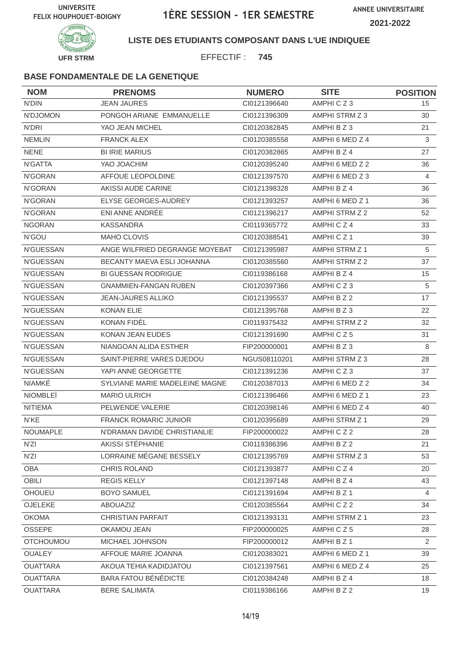

### **LISTE DES ETUDIANTS COMPOSANT DANS L'UE INDIQUEE**

EFFECTIF : **745**

| <b>NOM</b>       | <b>PRENOMS</b>                 | <b>NUMERO</b> | <b>SITE</b>          | <b>POSITION</b> |
|------------------|--------------------------------|---------------|----------------------|-----------------|
| N'DIN            | <b>JEAN JAURES</b>             | CI0121396640  | AMPHICZ3             | 15              |
| N'DJOMON         | PONGOH ARIANE EMMANUELLE       | CI0121396309  | AMPHI STRM Z 3       | 30              |
| N'DRI            | YAO JEAN MICHEL                | CI0120382845  | AMPHI B Z 3          | 21              |
| <b>NEMLIN</b>    | <b>FRANCK ALEX</b>             | CI0120385558  | AMPHI 6 MED Z 4      | 3               |
| <b>NENE</b>      | <b>BI IRIE MARIUS</b>          | CI0120382865  | AMPHI B Z 4          | 27              |
| N'GATTA          | YAO JOACHIM                    | CI0120395240  | AMPHI 6 MED Z 2      | 36              |
| N'GORAN          | AFFOUE LEOPOLDINE              | CI0121397570  | AMPHI 6 MED Z 3      | 4               |
| N'GORAN          | AKISSI AUDE CARINE             | CI0121398328  | AMPHI B Z 4          | 36              |
| N'GORAN          | ELYSE GEORGES-AUDREY           | CI0121393257  | AMPHI 6 MED Z 1      | 36              |
| N'GORAN          | ENI ANNE ANDRÉE                | CI0121396217  | AMPHI STRM Z 2       | 52              |
| <b>NGORAN</b>    | <b>KASSANDRA</b>               | CI0119365772  | AMPHICZ4             | 33              |
| N'GOU            | <b>MAHO CLOVIS</b>             | CI0120388541  | AMPHICZ <sub>1</sub> | 39              |
| N'GUESSAN        | ANGE WILFRIED DEGRANGE MOYEBAT | CI0121395987  | AMPHI STRM Z 1       | 5               |
| <b>N'GUESSAN</b> | BECANTY MAEVA ESLI JOHANNA     | CI0120385560  | AMPHI STRM Z 2       | 37              |
| N'GUESSAN        | <b>BI GUESSAN RODRIGUE</b>     | CI0119386168  | AMPHI B Z 4          | 15              |
| N'GUESSAN        | <b>GNAMMIEN-FANGAN RUBEN</b>   | CI0120397366  | AMPHICZ3             | 5               |
| <b>N'GUESSAN</b> | <b>JEAN-JAURES ALLIKO</b>      | CI0121395537  | AMPHI B Z 2          | 17              |
| N'GUESSAN        | <b>KONAN ELIE</b>              | CI0121395768  | AMPHI B Z 3          | 22              |
| N'GUESSAN        | <b>KONAN FIDEL</b>             | CI0119375432  | AMPHI STRM Z 2       | 32              |
| <b>N'GUESSAN</b> | KONAN JEAN EUDES               | CI0121391690  | AMPHICZ5             | 31              |
| N'GUESSAN        | NIANGOAN ALIDA ESTHER          | FIP200000001  | AMPHI B Z 3          | 8               |
| <b>N'GUESSAN</b> | SAINT-PIERRE VARES DJEDOU      | NGUS08110201  | AMPHI STRM Z 3       | 28              |
| N'GUESSAN        | YAPI ANNE GEORGETTE            | CI0121391236  | AMPHICZ3             | 37              |
| NIAMKÉ           | SYLVIANE MARIE MADELEINE MAGNE | CI0120387013  | AMPHI 6 MED Z 2      | 34              |
| <b>NIOMBLEÏ</b>  | <b>MARIO ULRICH</b>            | CI0121396466  | AMPHI 6 MED Z 1      | 23              |
| <b>NITIEMA</b>   | PELWENDE VALERIE               | CI0120398146  | AMPHI 6 MED Z 4      | 40              |
| N'KE             | <b>FRANCK ROMARIC JUNIOR</b>   | CI0120395689  | AMPHI STRM Z 1       | 29              |
| NOUMAPLE         | N'DRAMAN DAVIDE CHRISTIANLIE   | FIP200000022  | AMPHICZ2             | 28              |
| N'ZI             | AKISSI STÉPHANIE               | CI0119386396  | AMPHI B Z 2          | 21              |
| N'ZI             | LORRAINE MÉGANE BESSELY        | CI0121395769  | AMPHI STRM Z 3       | 53              |
| OBA              | CHRIS ROLAND                   | CI0121393877  | AMPHICZ4             | 20              |
| OBILI            | <b>REGIS KELLY</b>             | CI0121397148  | AMPHI B Z 4          | 43              |
| <b>OHOUEU</b>    | <b>BOYO SAMUEL</b>             | CI0121391694  | AMPHI B Z 1          | 4               |
| OJELEKE          | ABOUAZIZ                       | Cl0120385564  | AMPHICZ2             | 34              |
| <b>OKOMA</b>     | <b>CHRISTIAN PARFAIT</b>       | CI0121393131  | AMPHI STRM Z 1       | 23              |
| OSSEPE           | OKAMOU JEAN                    | FIP200000025  | AMPHICZ5             | 28              |
| <b>OTCHOUMOU</b> | MICHAEL JOHNSON                | FIP200000012  | AMPHI B Z 1          | 2               |
| <b>OUALEY</b>    | AFFOUE MARIE JOANNA            | CI0120383021  | AMPHI 6 MED Z 1      | 39              |
| <b>OUATTARA</b>  | AKOUA TEHIA KADIDJATOU         | Cl0121397561  | AMPHI 6 MED Z 4      | 25              |
| <b>OUATTARA</b>  | <b>BARA FATOU BÉNÉDICTE</b>    | CI0120384248  | AMPHI B Z 4          | 18              |
| <b>OUATTARA</b>  | <b>BERE SALIMATA</b>           | CI0119386166  | AMPHI B Z 2          | 19              |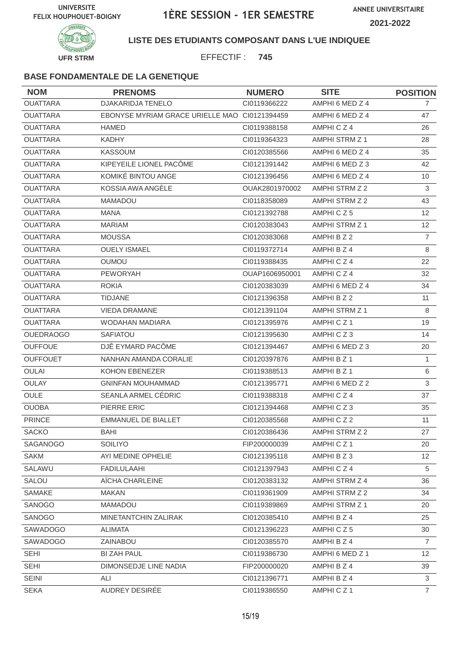

**LISTE DES ETUDIANTS COMPOSANT DANS L'UE INDIQUEE**

EFFECTIF : **745**

| <b>NOM</b>       | <b>PRENOMS</b>                                | <b>NUMERO</b>  | <b>SITE</b>     | <b>POSITION</b> |
|------------------|-----------------------------------------------|----------------|-----------------|-----------------|
| <b>OUATTARA</b>  | DJAKARIDJA TENELO                             | Cl0119366222   | AMPHI 6 MED Z 4 | $\overline{7}$  |
| <b>OUATTARA</b>  | EBONYSE MYRIAM GRACE URIELLE MAO CI0121394459 |                | AMPHI 6 MED Z 4 | 47              |
| <b>OUATTARA</b>  | <b>HAMED</b>                                  | CI0119388158   | AMPHICZ4        | 26              |
| <b>OUATTARA</b>  | <b>KADHY</b>                                  | CI0119364323   | AMPHI STRM Z 1  | 28              |
| <b>OUATTARA</b>  | <b>KASSOUM</b>                                | CI0120385566   | AMPHI 6 MED Z 4 | 35              |
| <b>OUATTARA</b>  | KIPEYEILE LIONEL PACÔME                       | CI0121391442   | AMPHI 6 MED Z 3 | 42              |
| <b>OUATTARA</b>  | KOMIKÉ BINTOU ANGE                            | CI0121396456   | AMPHI 6 MED Z 4 | 10              |
| <b>OUATTARA</b>  | KOSSIA AWA ANGÈLE                             | OUAK2801970002 | AMPHI STRM Z 2  | 3               |
| <b>OUATTARA</b>  | <b>MAMADOU</b>                                | CI0118358089   | AMPHI STRM Z 2  | 43              |
| <b>OUATTARA</b>  | <b>MANA</b>                                   | CI0121392788   | AMPHICZ5        | 12              |
| <b>OUATTARA</b>  | <b>MARIAM</b>                                 | CI0120383043   | AMPHI STRM Z 1  | 12              |
| <b>OUATTARA</b>  | <b>MOUSSA</b>                                 | CI0120383068   | AMPHI B Z 2     | $\overline{7}$  |
| <b>OUATTARA</b>  | <b>OUELY ISMAEL</b>                           | CI0119372714   | AMPHI B Z 4     | 8               |
| <b>OUATTARA</b>  | <b>OUMOU</b>                                  | CI0119388435   | AMPHICZ4        | 22              |
| <b>OUATTARA</b>  | <b>PEWORYAH</b>                               | OUAP1606950001 | AMPHICZ4        | 32              |
| <b>OUATTARA</b>  | <b>ROKIA</b>                                  | CI0120383039   | AMPHI 6 MED Z 4 | 34              |
| <b>OUATTARA</b>  | <b>TIDJANE</b>                                | CI0121396358   | AMPHI B Z 2     | 11              |
| <b>OUATTARA</b>  | <b>VIEDA DRAMANE</b>                          | CI0121391104   | AMPHI STRM Z 1  | 8               |
| <b>OUATTARA</b>  | WODAHAN MADIARA                               | CI0121395976   | AMPHICZ1        | 19              |
| <b>OUEDRAOGO</b> | SAFIATOU                                      | CI0121395630   | AMPHICZ3        | 14              |
| <b>OUFFOUE</b>   | DJÊ EYMARD PACÔME                             | CI0121394467   | AMPHI 6 MED Z 3 | 20              |
| <b>OUFFOUET</b>  | NANHAN AMANDA CORALIE                         | CI0120397876   | AMPHI B Z 1     | $\mathbf{1}$    |
| <b>OULAI</b>     | KOHON EBENEZER                                | CI0119388513   | AMPHI B Z 1     | 6               |
| OULAY            | <b>GNINFAN MOUHAMMAD</b>                      | CI0121395771   | AMPHI 6 MED Z 2 | 3               |
| <b>OULE</b>      | SEANLA ARMEL CÉDRIC                           | CI0119388318   | AMPHICZ4        | 37              |
| <b>OUOBA</b>     | PIERRE ERIC                                   | CI0121394468   | AMPHICZ3        | 35              |
| <b>PRINCE</b>    | <b>EMMANUEL DE BIALLET</b>                    | CI0120385568   | AMPHICZ2        | 11              |
| SACKO            | BAHI                                          | Cl0120386436   | AMPHI STRM Z 2  | 27              |
| SAGANOGO         | <b>SOILIYO</b>                                | FIP200000039   | AMPHICZ1        | 20              |
| <b>SAKM</b>      | AYI MEDINE OPHELIE                            | CI0121395118   | AMPHI B Z 3     | 12 <sup>2</sup> |
| SALAWU           | <b>FADILULAAHI</b>                            | Cl0121397943   | AMPHICZ4        | 5               |
| SALOU            | AÏCHA CHARLEINE                               | CI0120383132   | AMPHI STRM Z 4  | 36              |
| SAMAKE           | MAKAN                                         | CI0119361909   | AMPHI STRM Z 2  | 34              |
| SANOGO           | MAMADOU                                       | CI0119389869   | AMPHI STRM Z 1  | 20              |
| SANOGO           | MINETANTCHIN ZALIRAK                          | CI0120385410   | AMPHI B Z 4     | 25              |
| SAWADOGO         | <b>ALIMATA</b>                                | CI0121396223   | AMPHICZ5        | 30              |
| <b>SAWADOGO</b>  | ZAINABOU                                      | CI0120385570   | AMPHI B Z 4     | $\overline{7}$  |
| <b>SEHI</b>      | <b>BI ZAH PAUL</b>                            | CI0119386730   | AMPHI 6 MED Z 1 | 12              |
| <b>SEHI</b>      | DIMONSEDJE LINE NADIA                         | FIP200000020   | AMPHI B Z 4     | 39              |
| <b>SEINI</b>     | ALI                                           | CI0121396771   | AMPHI B Z 4     | 3               |
| <b>SEKA</b>      | AUDREY DESIRÉE                                | CI0119386550   | AMPHICZ1        | $\overline{7}$  |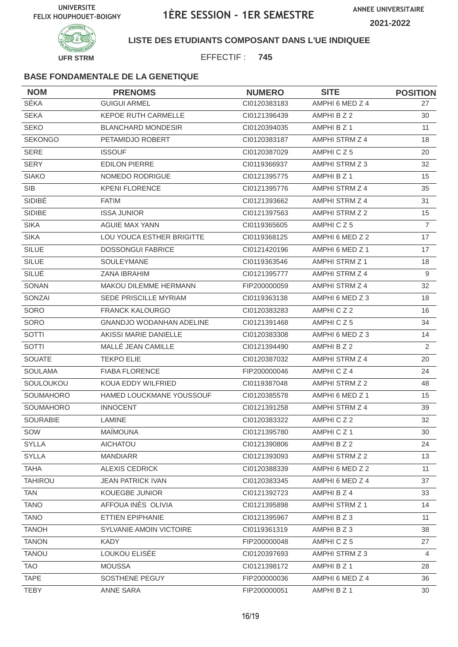

### **LISTE DES ETUDIANTS COMPOSANT DANS L'UE INDIQUEE**

EFFECTIF : **745**

| <b>NOM</b>       | <b>PRENOMS</b>                  | <b>NUMERO</b> | <b>SITE</b>           | <b>POSITION</b> |
|------------------|---------------------------------|---------------|-----------------------|-----------------|
| SÉKA             | <b>GUIGUI ARMEL</b>             | CI0120383183  | AMPHI 6 MED Z 4       | 27              |
| <b>SEKA</b>      | KEPOE RUTH CARMELLE             | CI0121396439  | AMPHI B Z 2           | 30              |
| <b>SEKO</b>      | <b>BLANCHARD MONDESIR</b>       | CI0120394035  | AMPHI B Z 1           | 11              |
| <b>SEKONGO</b>   | PETAMIDJO ROBERT                | CI0120383187  | AMPHI STRM Z 4        | 18              |
| <b>SERE</b>      | <b>ISSOUF</b>                   | CI0120387029  | AMPHICZ5              | 20              |
| <b>SERY</b>      | <b>EDILON PIERRE</b>            | CI0119366937  | AMPHI STRM Z 3        | 32              |
| <b>SIAKO</b>     | NOMEDO RODRIGUE                 | CI0121395775  | AMPHI B Z 1           | 15              |
| <b>SIB</b>       | <b>KPENI FLORENCE</b>           | CI0121395776  | AMPHI STRM Z 4        | 35              |
| SIDIBÉ           | <b>FATIM</b>                    | CI0121393662  | AMPHI STRM Z 4        | 31              |
| <b>SIDIBE</b>    | <b>ISSA JUNIOR</b>              | CI0121397563  | AMPHI STRM Z 2        | 15              |
| <b>SIKA</b>      | <b>AGUIE MAX YANN</b>           | CI0119365605  | AMPHICZ5              | $\overline{7}$  |
| <b>SIKA</b>      | LOU YOUCA ESTHER BRIGITTE       | CI0119368125  | AMPHI 6 MED Z 2       | 17              |
| SILUE            | <b>DOSSONGUI FABRICE</b>        | CI0121420196  | AMPHI 6 MED Z 1       | 17              |
| <b>SILUE</b>     | SOULEYMANE                      | CI0119363546  | <b>AMPHI STRM Z 1</b> | 18              |
| SILUÉ            | <b>ZANA IBRAHIM</b>             | CI0121395777  | AMPHI STRM Z 4        | $\overline{9}$  |
| SONAN            | MAKOU DILEMME HERMANN           | FIP200000059  | AMPHI STRM Z 4        | 32              |
| SONZAI           | SEDE PRISCILLE MYRIAM           | CI0119363138  | AMPHI 6 MED Z 3       | 18              |
| SORO             | <b>FRANCK KALOURGO</b>          | CI0120383283  | AMPHICZ2              | 16              |
| SORO             | <b>GNANDJO WODANHAN ADELINE</b> | CI0121391468  | AMPHICZ5              | 34              |
| SOTTI            | AKISSI MARIE DANIELLE           | CI0120383308  | AMPHI 6 MED Z 3       | 14              |
| SOTTI            | MALLÉ JEAN CAMILLE              | CI0121394490  | AMPHI B Z 2           | $\mathbf{2}$    |
| <b>SOUATE</b>    | <b>TEKPO ELIE</b>               | CI0120387032  | AMPHI STRM Z 4        | 20              |
| <b>SOULAMA</b>   | <b>FIABA FLORENCE</b>           | FIP200000046  | AMPHICZ4              | 24              |
| SOULOUKOU        | KOUA EDDY WILFRIED              | CI0119387048  | AMPHI STRM Z 2        | 48              |
| <b>SOUMAHORO</b> | HAMED LOUCKMANE YOUSSOUF        | CI0120385578  | AMPHI 6 MED Z 1       | 15              |
| SOUMAHORO        | <b>INNOCENT</b>                 | CI0121391258  | AMPHI STRM Z 4        | 39              |
| SOURABIE         | <b>LAMINE</b>                   | CI0120383322  | AMPHICZ2              | 32              |
| SOW              | MAÏMOUNA                        | CI0121395780  | AMPHICZ1              | 30              |
| <b>SYLLA</b>     | <b>AICHATOU</b>                 | CI0121390806  | AMPHI B Z 2           | 24              |
| <b>SYLLA</b>     | <b>MANDIARR</b>                 | CI0121393093  | AMPHI STRM Z 2        | 13              |
| <b>TAHA</b>      | <b>ALEXIS CEDRICK</b>           | CI0120388339  | AMPHI 6 MED Z 2       | 11              |
| <b>TAHIROU</b>   | <b>JEAN PATRICK IVAN</b>        | CI0120383345  | AMPHI 6 MED Z 4       | 37              |
| <b>TAN</b>       | <b>KOUEGBE JUNIOR</b>           | Cl0121392723  | AMPHI B Z 4           | 33              |
| <b>TANO</b>      | AFFOUA INÈS OLIVIA              | CI0121395898  | AMPHI STRM Z 1        | 14              |
| <b>TANO</b>      | ETTIEN EPIPHANIE                | Cl0121395967  | AMPHI B Z 3           | 11              |
| <b>TANOH</b>     | SYLVANIE AMOIN VICTOIRE         | CI0119361319  | AMPHIBZ3              | 38              |
| <b>TANON</b>     | <b>KADY</b>                     | FIP200000048  | AMPHICZ5              | 27              |
| <b>TANOU</b>     | LOUKOU ELISÉE                   | CI0120397693  | AMPHI STRM Z 3        | $\overline{4}$  |
| <b>TAO</b>       | <b>MOUSSA</b>                   | Cl0121398172  | AMPHI B Z 1           | 28              |
| <b>TAPE</b>      | SOSTHENE PEGUY                  | FIP200000036  | AMPHI 6 MED Z 4       | 36              |
| <b>TEBY</b>      | ANNE SARA                       | FIP200000051  | AMPHI B Z 1           | 30              |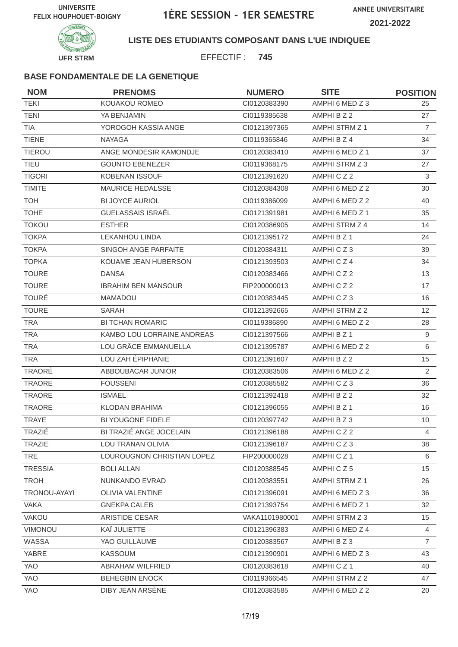

### **LISTE DES ETUDIANTS COMPOSANT DANS L'UE INDIQUEE**

EFFECTIF : **745**

| <b>NOM</b>     | <b>PRENOMS</b>             | <b>NUMERO</b>  | <b>SITE</b>           | <b>POSITION</b> |
|----------------|----------------------------|----------------|-----------------------|-----------------|
| <b>TEKI</b>    | KOUAKOU ROMEO              | CI0120383390   | AMPHI 6 MED Z 3       | 25              |
| <b>TENI</b>    | YA BENJAMIN                | CI0119385638   | AMPHI B Z 2           | 27              |
| <b>TIA</b>     | YOROGOH KASSIA ANGE        | CI0121397365   | AMPHI STRM Z 1        | $\overline{7}$  |
| <b>TIENE</b>   | <b>NAYAGA</b>              | CI0119365846   | AMPHI B Z 4           | 34              |
| <b>TIEROU</b>  | ANGE MONDESIR KAMONDJE     | CI0120383410   | AMPHI 6 MED Z 1       | 37              |
| <b>TIEU</b>    | <b>GOUNTO EBENEZER</b>     | CI0119368175   | AMPHI STRM Z 3        | 27              |
| <b>TIGORI</b>  | <b>KOBENAN ISSOUF</b>      | CI0121391620   | AMPHICZ2              | 3               |
| <b>TIMITE</b>  | MAURICE HEDALSSE           | CI0120384308   | AMPHI 6 MED Z 2       | 30              |
| <b>TOH</b>     | <b>BI JOYCE AURIOL</b>     | CI0119386099   | AMPHI 6 MED Z 2       | 40              |
| <b>TOHE</b>    | GUELASSAIS ISRAËL          | CI0121391981   | AMPHI 6 MED Z 1       | 35              |
| <b>TOKOU</b>   | <b>ESTHER</b>              | CI0120386905   | AMPHI STRM Z 4        | 14              |
| <b>TOKPA</b>   | <b>LEKANHOU LINDA</b>      | CI0121395172   | AMPHI B Z 1           | 24              |
| <b>TOKPA</b>   | SINGOH ANGE PARFAITE       | CI0120384311   | AMPHICZ3              | 39              |
| <b>TOPKA</b>   | KOUAME JEAN HUBERSON       | CI0121393503   | AMPHICZ4              | 34              |
| <b>TOURE</b>   | <b>DANSA</b>               | CI0120383466   | AMPHICZ2              | 13              |
| <b>TOURE</b>   | <b>IBRAHIM BEN MANSOUR</b> | FIP200000013   | AMPHICZ2              | 17              |
| <b>TOURÉ</b>   | <b>MAMADOU</b>             | CI0120383445   | AMPHICZ3              | 16              |
| <b>TOURE</b>   | SARAH                      | CI0121392665   | AMPHI STRM Z 2        | 12 <sup>2</sup> |
| <b>TRA</b>     | <b>BI TCHAN ROMARIC</b>    | CI0119386890   | AMPHI 6 MED Z 2       | 28              |
| <b>TRA</b>     | KAMBO LOU LORRAINE ANDREAS | CI0121397566   | AMPHI B Z 1           | 9               |
| <b>TRA</b>     | LOU GRÂCE EMMANUELLA       | CI0121395787   | AMPHI 6 MED Z 2       | 6               |
| <b>TRA</b>     | LOU ZAH ÉPIPHANIE          | CI0121391607   | AMPHI B Z 2           | 15              |
| TRAORÉ         | ABBOUBACAR JUNIOR          | CI0120383506   | AMPHI 6 MED Z 2       | 2               |
| TRAORE         | <b>FOUSSENI</b>            | CI0120385582   | AMPHICZ3              | 36              |
| <b>TRAORE</b>  | <b>ISMAEL</b>              | Cl0121392418   | AMPHI B Z 2           | 32              |
| <b>TRAORE</b>  | <b>KLODAN BRAHIMA</b>      | CI0121396055   | AMPHI B Z 1           | 16              |
| <b>TRAYE</b>   | <b>BI YOUGONE FIDELE</b>   | CI0120397742   | AMPHI B Z 3           | 10 <sup>°</sup> |
| TRAZIÉ         | BI TRAZIÉ ANGE JOCELAIN    | Cl0121396188   | AMPHICZ2              | 4               |
| <b>TRAZIE</b>  | LOU TRANAN OLIVIA          | CI0121396187   | AMPHICZ3              | 38              |
| TRE            | LOUROUGNON CHRISTIAN LOPEZ | FIP200000028   | AMPHICZ1              | 6               |
| <b>TRESSIA</b> | <b>BOLI ALLAN</b>          | CI0120388545   | AMPHICZ5              | 15              |
| <b>TROH</b>    | NUNKANDO EVRAD             | CI0120383551   | <b>AMPHI STRM Z 1</b> | 26              |
| TRONOU-AYAYI   | OLIVIA VALENTINE           | CI0121396091   | AMPHI 6 MED Z 3       | 36              |
| <b>VAKA</b>    | <b>GNEKPA CALEB</b>        | Cl0121393754   | AMPHI 6 MED Z 1       | 32              |
| <b>VAKOU</b>   | ARISTIDE CESAR             | VAKA1101980001 | AMPHI STRM Z 3        | 15 <sub>1</sub> |
| VIMONOU        | KAÏ JULIETTE               | CI0121396383   | AMPHI 6 MED Z 4       | $\overline{4}$  |
| WASSA          | YAO GUILLAUME              | CI0120383567   | AMPHI B Z 3           | $\overline{7}$  |
| YABRE          | <b>KASSOUM</b>             | CI0121390901   | AMPHI 6 MED Z 3       | 43              |
| YAO            | ABRAHAM WILFRIED           | CI0120383618   | AMPHICZ1              | 40              |
| YAO            | <b>BEHEGBIN ENOCK</b>      | CI0119366545   | AMPHI STRM Z 2        | 47              |
| YAO            | DIBY JEAN ARSENE           | CI0120383585   | AMPHI 6 MED Z 2       | 20              |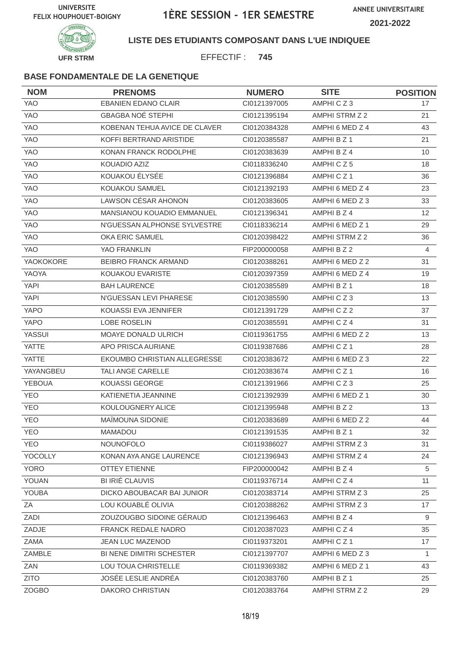

**LISTE DES ETUDIANTS COMPOSANT DANS L'UE INDIQUEE**

EFFECTIF : **745**

| <b>NOM</b>    | <b>PRENOMS</b>                    | <b>NUMERO</b> | <b>SITE</b>          | <b>POSITION</b> |
|---------------|-----------------------------------|---------------|----------------------|-----------------|
| <b>YAO</b>    | <b>EBANIEN EDANO CLAIR</b>        | CI0121397005  | AMPHICZ3             | 17              |
| <b>YAO</b>    | <b>GBAGBA NOE STEPHI</b>          | CI0121395194  | AMPHI STRM Z 2       | 21              |
| <b>YAO</b>    | KOBENAN TEHUA AVICE DE CLAVER     | CI0120384328  | AMPHI 6 MED Z 4      | 43              |
| <b>YAO</b>    | KOFFI BERTRAND ARISTIDE           | CI0120385587  | AMPHI B Z 1          | 21              |
| YAO           | KONAN FRANCK RODOLPHE             | CI0120383639  | AMPHI B Z 4          | 10              |
| <b>YAO</b>    | KOUADIO AZIZ                      | CI0118336240  | AMPHICZ5             | 18              |
| YAO           | KOUAKOU ÉLYSÉE                    | CI0121396884  | AMPHICZ <sub>1</sub> | 36              |
| YAO           | KOUAKOU SAMUEL                    | Cl0121392193  | AMPHI 6 MED Z 4      | 23              |
| <b>YAO</b>    | LAWSON CÉSAR AHONON               | CI0120383605  | AMPHI 6 MED Z 3      | 33              |
| <b>YAO</b>    | <b>MANSIANOU KOUADIO EMMANUEL</b> | CI0121396341  | AMPHI B Z 4          | 12              |
| <b>YAO</b>    | N'GUESSAN ALPHONSE SYLVESTRE      | CI0118336214  | AMPHI 6 MED Z 1      | 29              |
| YAO           | OKA ERIC SAMUEL                   | CI0120398422  | AMPHI STRM Z 2       | 36              |
| <b>YAO</b>    | YAO FRANKLIN                      | FIP200000058  | AMPHI B Z 2          | $\overline{4}$  |
| YAOKOKORE     | <b>BEIBRO FRANCK ARMAND</b>       | CI0120388261  | AMPHI 6 MED Z 2      | 31              |
| YAOYA         | KOUAKOU EVARISTE                  | CI0120397359  | AMPHI 6 MED Z 4      | 19              |
| <b>YAPI</b>   | <b>BAH LAURENCE</b>               | CI0120385589  | AMPHI B Z 1          | 18              |
| <b>YAPI</b>   | N'GUESSAN LEVI PHARESE            | CI0120385590  | AMPHICZ3             | 13              |
| <b>YAPO</b>   | KOUASSI EVA JENNIFER              | CI0121391729  | AMPHICZ2             | 37              |
| <b>YAPO</b>   | <b>LOBE ROSELIN</b>               | CI0120385591  | AMPHICZ4             | 31              |
| YASSUI        | MOAYE DONALD ULRICH               | CI0119361755  | AMPHI 6 MED Z 2      | 13              |
| <b>YATTE</b>  | APO PRISCA AURIANE                | CI0119387686  | AMPHICZ1             | 28              |
| YATTE         | EKOUMBO CHRISTIAN ALLEGRESSE      | CI0120383672  | AMPHI 6 MED Z 3      | 22              |
| YAYANGBEU     | TALI ANGE CARELLE                 | CI0120383674  | AMPHICZ1             | 16              |
| <b>YEBOUA</b> | <b>KOUASSI GEORGE</b>             | CI0121391966  | AMPHICZ3             | 25              |
| <b>YEO</b>    | KATIENETIA JEANNINE               | CI0121392939  | AMPHI 6 MED Z 1      | 30              |
| <b>YEO</b>    | KOULOUGNERY ALICE                 | CI0121395948  | AMPHI B Z 2          | 13              |
| <b>YEO</b>    | MAÏMOUNA SIDONIE                  | CI0120383689  | AMPHI 6 MED Z 2      | 44              |
| YEO           | MAMADOU                           | CI0121391535  | AMPHI B Z 1          | 32              |
| <b>YEO</b>    | <b>NOUNOFOLO</b>                  | CI0119386027  | AMPHI STRM Z 3       | 31              |
| YOCOLLY       | KONAN AYA ANGE LAURENCE           | CI0121396943  | AMPHI STRM Z 4       | 24              |
| <b>YORO</b>   | <b>OTTEY ETIENNE</b>              | FIP200000042  | AMPHI B Z 4          | 5               |
| YOUAN         | <b>BI IRIÉ CLAUVIS</b>            | CI0119376714  | AMPHICZ4             | 11              |
| YOUBA         | DICKO ABOUBACAR BAI JUNIOR        | Cl0120383714  | AMPHI STRM Z 3       | 25              |
| ZA            | LOU KOUABLÉ OLIVIA                | CI0120388262  | AMPHI STRM Z 3       | 17              |
| ZADI          | ZOUZOUGBO SIDOINE GÉRAUD          | Cl0121396463  | AMPHI B Z 4          | 9               |
| ZADJE         | FRANCK REDALE NADRO               | CI0120387023  | AMPHICZ4             | 35              |
| ZAMA          | <b>JEAN LUC MAZENOD</b>           | CI0119373201  | AMPHICZ1             | 17              |
| ZAMBLE        | BI NENE DIMITRI SCHESTER          | CI0121397707  | AMPHI 6 MED Z 3      | 1               |
| ZAN           | LOU TOUA CHRISTELLE               | CI0119369382  | AMPHI 6 MED Z 1      | 43              |
| <b>ZITO</b>   | JOSÉE LESLIE ANDRÉA               | Cl0120383760  | AMPHI B Z 1          | 25              |
| <b>ZOGBO</b>  | DAKORO CHRISTIAN                  | CI0120383764  | AMPHI STRM Z 2       | 29              |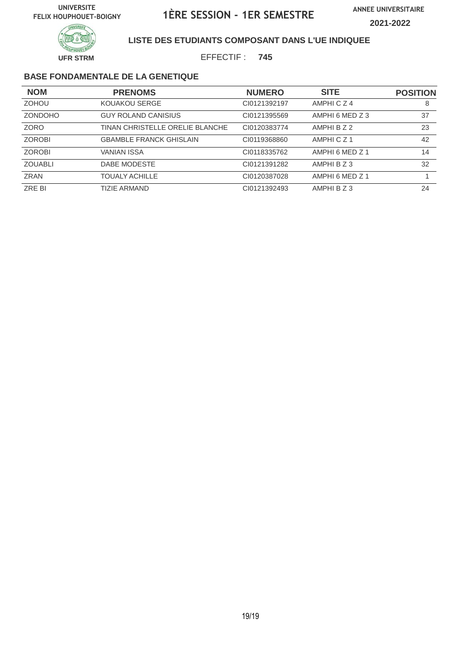

### **LISTE DES ETUDIANTS COMPOSANT DANS L'UE INDIQUEE**

EFFECTIF : **745**

| <b>NOM</b>     | <b>PRENOMS</b>                  | <b>NUMERO</b> | <b>SITE</b>          | <b>POSITION</b> |
|----------------|---------------------------------|---------------|----------------------|-----------------|
| <b>ZOHOU</b>   | KOUAKOU SERGE                   | CI0121392197  | AMPHICZ4             | 8               |
| <b>ZONDOHO</b> | <b>GUY ROLAND CANISIUS</b>      | CI0121395569  | AMPHI 6 MED Z 3      | 37              |
| ZORO           | TINAN CHRISTELLE ORELIE BLANCHE | CI0120383774  | AMPHI B Z 2          | 23              |
| <b>ZOROBI</b>  | <b>GBAMBLE FRANCK GHISLAIN</b>  | CI0119368860  | AMPHICZ <sub>1</sub> | 42              |
| <b>ZOROBI</b>  | <b>VANIAN ISSA</b>              | CI0118335762  | AMPHI 6 MED Z 1      | 14              |
| <b>ZOUABLI</b> | DABE MODESTE                    | CI0121391282  | AMPHI B Z 3          | 32              |
| <b>ZRAN</b>    | <b>TOUALY ACHILLE</b>           | CI0120387028  | AMPHI 6 MED Z 1      |                 |
| ZRE BI         | <b>TIZIE ARMAND</b>             | CI0121392493  | AMPHI B Z 3          | 24              |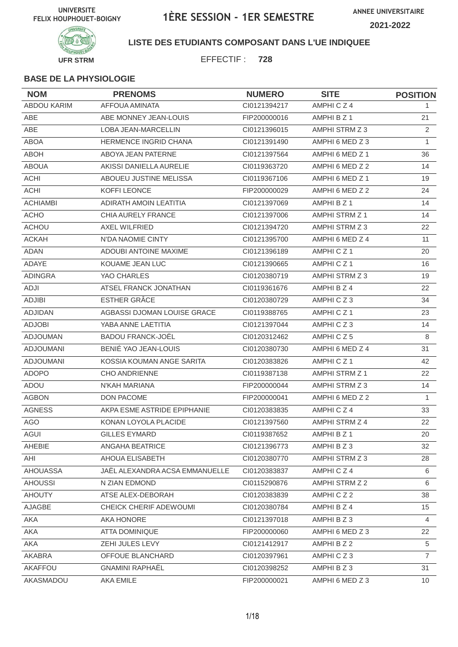

**LISTE DES ETUDIANTS COMPOSANT DANS L'UE INDIQUEE**

EFFECTIF : **728**

| <b>NOM</b>         | <b>PRENOMS</b>                 | <b>NUMERO</b> | <b>SITE</b>          | <b>POSITION</b> |
|--------------------|--------------------------------|---------------|----------------------|-----------------|
| <b>ABDOU KARIM</b> | AFFOUA AMINATA                 | CI0121394217  | AMPHICZ4             | 1.              |
| ABE                | ABE MONNEY JEAN-LOUIS          | FIP200000016  | AMPHI B Z 1          | 21              |
| ABE                | LOBA JEAN-MARCELLIN            | CI0121396015  | AMPHI STRM Z 3       | 2               |
| <b>ABOA</b>        | HERMENCE INGRID CHANA          | CI0121391490  | AMPHI 6 MED Z 3      | $\mathbf{1}$    |
| <b>ABOH</b>        | ABOYA JEAN PATERNE             | CI0121397564  | AMPHI 6 MED Z 1      | 36              |
| <b>ABOUA</b>       | AKISSI DANIELLA AURELIE        | CI0119363720  | AMPHI 6 MED Z 2      | 14              |
| <b>ACHI</b>        | ABOUEU JUSTINE MELISSA         | CI0119367106  | AMPHI 6 MED Z 1      | 19              |
| <b>ACHI</b>        | KOFFI LEONCE                   | FIP200000029  | AMPHI 6 MED Z 2      | 24              |
| <b>ACHIAMBI</b>    | ADIRATH AMOIN LEATITIA         | CI0121397069  | AMPHI B Z 1          | 14              |
| <b>ACHO</b>        | CHIA AURELY FRANCE             | CI0121397006  | AMPHI STRM Z 1       | 14              |
| <b>ACHOU</b>       | AXEL WILFRIED                  | CI0121394720  | AMPHI STRM Z 3       | 22              |
| <b>ACKAH</b>       | N'DA NAOMIE CINTY              | CI0121395700  | AMPHI 6 MED Z 4      | 11              |
| <b>ADAN</b>        | <b>ADOUBI ANTOINE MAXIME</b>   | CI0121396189  | AMPHICZ1             | 20              |
| ADAYE              | KOUAME JEAN LUC                | CI0121390665  | AMPHICZ1             | 16              |
| <b>ADINGRA</b>     | YAO CHARLES                    | CI0120380719  | AMPHI STRM Z 3       | 19              |
| ADJI               | ATSEL FRANCK JONATHAN          | CI0119361676  | AMPHI B Z 4          | 22              |
| <b>ADJIBI</b>      | ESTHER GRÂCE                   | CI0120380729  | AMPHICZ3             | 34              |
| <b>ADJIDAN</b>     | AGBASSI DJOMAN LOUISE GRACE    | CI0119388765  | AMPHICZ1             | 23              |
| <b>ADJOBI</b>      | YABA ANNE LAETITIA             | CI0121397044  | AMPHICZ3             | 14              |
| <b>ADJOUMAN</b>    | <b>BADOU FRANCK-JOËL</b>       | CI0120312462  | AMPHICZ5             | 8               |
| <b>ADJOUMANI</b>   | BENIÉ YAO JEAN-LOUIS           | CI0120380730  | AMPHI 6 MED Z 4      | 31              |
| <b>ADJOUMANI</b>   | KOSSIA KOUMAN ANGE SARITA      | CI0120383826  | AMPHICZ <sub>1</sub> | 42              |
| <b>ADOPO</b>       | <b>CHO ANDRIENNE</b>           | CI0119387138  | AMPHI STRM Z 1       | 22              |
| ADOU               | N'KAH MARIANA                  | FIP200000044  | AMPHI STRM Z 3       | 14              |
| <b>AGBON</b>       | <b>DON PACOME</b>              | FIP200000041  | AMPHI 6 MED Z 2      | $\mathbf{1}$    |
| <b>AGNESS</b>      | AKPA ESME ASTRIDE EPIPHANIE    | CI0120383835  | AMPHICZ4             | 33              |
| <b>AGO</b>         | KONAN LOYOLA PLACIDE           | CI0121397560  | AMPHI STRM Z 4       | 22              |
| AGUI               | GILLES EYMARD                  | CI0119387652  | AMPHI B Z 1          | 20              |
| AHEBIE             | ANGAHA BEATRICE                | CI0121396773  | AMPHIBZ3             | 32              |
| AHI                | AHOUA ELISABETH                | CI0120380770  | AMPHI STRM Z 3       | 28              |
| <b>AHOUASSA</b>    | JAËL ALEXANDRA ACSA EMMANUELLE | CI0120383837  | AMPHICZ4             | 6               |
| <b>AHOUSSI</b>     | N ZIAN EDMOND                  | CI0115290876  | AMPHI STRM Z 2       | 6               |
| <b>AHOUTY</b>      | ATSE ALEX-DEBORAH              | CI0120383839  | AMPHICZ2             | 38              |
| AJAGBE             | CHEICK CHERIF ADEWOUMI         | CI0120380784  | AMPHI B Z 4          | 15 <sub>1</sub> |
| AKA                | AKA HONORE                     | Cl0121397018  | AMPHIBZ3             | 4               |
| AKA                | ATTA DOMINIQUE                 | FIP200000060  | AMPHI 6 MED Z 3      | 22              |
| AKA                | ZEHI JULES LEVY                | CI0121412917  | AMPHI B Z 2          | 5               |
| AKABRA             | OFFOUE BLANCHARD               | CI0120397961  | AMPHICZ3             | $\overline{7}$  |
| AKAFFOU            | <b>GNAMINI RAPHAËL</b>         | CI0120398252  | AMPHI B Z 3          | 31              |
| AKASMADOU          | AKA EMILE                      | FIP200000021  | AMPHI 6 MED Z 3      | 10 <sup>°</sup> |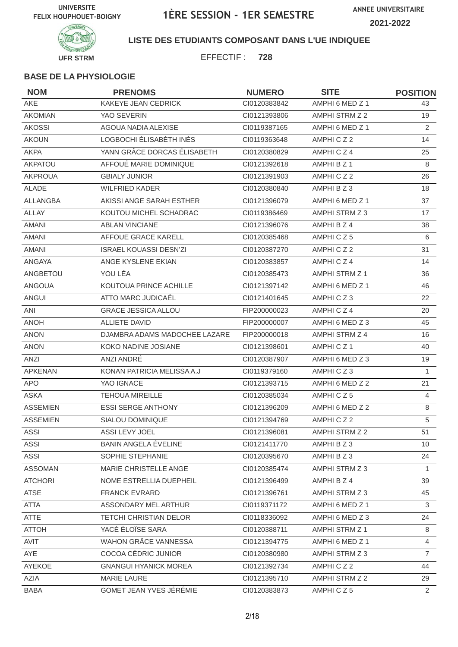

**LISTE DES ETUDIANTS COMPOSANT DANS L'UE INDIQUEE**

EFFECTIF : **728**

| <b>NOM</b>      | <b>PRENOMS</b>                | <b>NUMERO</b> | <b>SITE</b>          | <b>POSITION</b> |
|-----------------|-------------------------------|---------------|----------------------|-----------------|
| <b>AKE</b>      | KAKEYE JEAN CEDRICK           | CI0120383842  | AMPHI 6 MED Z 1      | 43              |
| <b>AKOMIAN</b>  | YAO SEVERIN                   | CI0121393806  | AMPHI STRM Z 2       | 19              |
| <b>AKOSSI</b>   | AGOUA NADIA ALEXISE           | CI0119387165  | AMPHI 6 MED Z 1      | 2               |
| <b>AKOUN</b>    | LOGBOCHI ÉLISABÉTH INÈS       | CI0119363648  | AMPHICZ2             | 14              |
| <b>AKPA</b>     | YANN GRÂCE DORCAS ÉLISABETH   | CI0120380829  | AMPHICZ4             | 25              |
| AKPATOU         | AFFOUÉ MARIE DOMINIQUE        | CI0121392618  | AMPHI B Z 1          | 8               |
| <b>AKPROUA</b>  | <b>GBIALY JUNIOR</b>          | CI0121391903  | AMPHICZ2             | 26              |
| ALADE           | <b>WILFRIED KADER</b>         | CI0120380840  | AMPHI B Z 3          | 18              |
| <b>ALLANGBA</b> | AKISSI ANGE SARAH ESTHER      | CI0121396079  | AMPHI 6 MED Z 1      | 37              |
| ALLAY           | KOUTOU MICHEL SCHADRAC        | CI0119386469  | AMPHI STRM Z 3       | 17              |
| <b>AMANI</b>    | <b>ABLAN VINCIANE</b>         | CI0121396076  | AMPHI B Z 4          | 38              |
| <b>AMANI</b>    | AFFOUE GRACE KARELL           | CI0120385468  | AMPHICZ5             | 6               |
| AMANI           | <b>ISRAEL KOUASSI DESN'ZI</b> | CI0120387270  | AMPHICZ2             | 31              |
| ANGAYA          | ANGE KYSLENE EKIAN            | CI0120383857  | AMPHICZ4             | 14              |
| ANGBETOU        | YOU LÉA                       | CI0120385473  | AMPHI STRM Z 1       | 36              |
| <b>ANGOUA</b>   | KOUTOUA PRINCE ACHILLE        | CI0121397142  | AMPHI 6 MED Z 1      | 46              |
| ANGUI           | ATTO MARC JUDICAËL            | CI0121401645  | AMPHICZ3             | 22              |
| ANI             | <b>GRACE JESSICA ALLOU</b>    | FIP200000023  | AMPHICZ4             | 20              |
| <b>ANOH</b>     | <b>ALLIETE DAVID</b>          | FIP200000007  | AMPHI 6 MED Z 3      | 45              |
| <b>ANON</b>     | DJAMBRA ADAMS MADOCHEE LAZARE | FIP200000018  | AMPHI STRM Z 4       | 16              |
| <b>ANON</b>     | KOKO NADINE JOSIANE           | CI0121398601  | AMPHICZ <sub>1</sub> | 40              |
| ANZI            | ANZI ANDRÉ                    | CI0120387907  | AMPHI 6 MED Z 3      | 19              |
| <b>APKENAN</b>  | KONAN PATRICIA MELISSA A.J    | CI0119379160  | AMPHICZ3             | $\mathbf{1}$    |
| <b>APO</b>      | YAO IGNACE                    | CI0121393715  | AMPHI 6 MED Z 2      | 21              |
| <b>ASKA</b>     | <b>TEHOUA MIREILLE</b>        | CI0120385034  | AMPHICZ5             | 4               |
| <b>ASSEMIEN</b> | <b>ESSI SERGE ANTHONY</b>     | CI0121396209  | AMPHI 6 MED Z 2      | 8               |
| <b>ASSEMIEN</b> | <b>SIALOU DOMINIQUE</b>       | CI0121394769  | AMPHICZ2             | 5               |
| ASSI            | ASSI LEVY JOEL                | Cl0121396081  | AMPHI STRM Z 2       | 51              |
| <b>ASSI</b>     | BANIN ANGELA ÉVELINE          | CI0121411770  | AMPHI B Z 3          | 10 <sup>°</sup> |
| <b>ASSI</b>     | SOPHIE STEPHANIE              | CI0120395670  | AMPHIBZ3             | 24              |
| <b>ASSOMAN</b>  | MARIE CHRISTELLE ANGE         | CI0120385474  | AMPHI STRM Z 3       | 1               |
| <b>ATCHORI</b>  | NOME ESTRELLIA DUEPHEIL       | CI0121396499  | AMPHI B Z 4          | 39              |
| <b>ATSE</b>     | <b>FRANCK EVRARD</b>          | CI0121396761  | AMPHI STRM Z 3       | 45              |
| <b>ATTA</b>     | ASSONDARY MEL ARTHUR          | CI0119371172  | AMPHI 6 MED Z 1      | 3               |
| ATTE            | <b>TETCHI CHRISTIAN DELOR</b> | CI0118336092  | AMPHI 6 MED Z 3      | 24              |
| <b>ATTOH</b>    | YACÉ ÉLOÏSE SARA              | CI0120388711  | AMPHI STRM Z 1       | 8               |
| AVIT            | WAHON GRÂCE VANNESSA          | CI0121394775  | AMPHI 6 MED Z 1      | $\overline{4}$  |
| AYE             | COCOA CÉDRIC JUNIOR           | CI0120380980  | AMPHI STRM Z 3       | $\overline{7}$  |
| AYEKOE          | <b>GNANGUI HYANICK MOREA</b>  | Cl0121392734  | AMPHICZ2             | 44              |
| AZIA            | <b>MARIE LAURE</b>            | CI0121395710  | AMPHI STRM Z 2       | 29              |
| <b>BABA</b>     | GOMET JEAN YVES JÉRÉMIE       | CI0120383873  | AMPHICZ5             | $\overline{2}$  |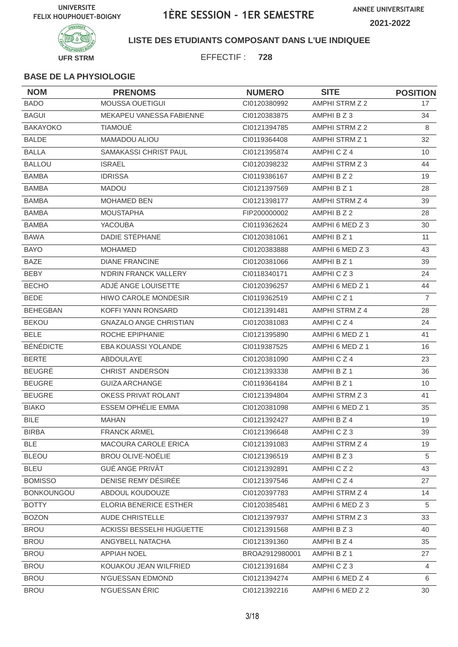

**LISTE DES ETUDIANTS COMPOSANT DANS L'UE INDIQUEE**

EFFECTIF : **728**

| <b>NOM</b>        | <b>PRENOMS</b>                | <b>NUMERO</b>  | <b>SITE</b>     | <b>POSITION</b> |
|-------------------|-------------------------------|----------------|-----------------|-----------------|
| <b>BADO</b>       | <b>MOUSSA OUETIGUI</b>        | CI0120380992   | AMPHI STRM Z 2  | 17              |
| <b>BAGUI</b>      | MEKAPEU VANESSA FABIENNE      | CI0120383875   | AMPHI B Z 3     | 34              |
| <b>BAKAYOKO</b>   | <b>TIAMOUÉ</b>                | CI0121394785   | AMPHI STRM Z 2  | 8               |
| <b>BALDE</b>      | <b>MAMADOU ALIOU</b>          | CI0119364408   | AMPHI STRM Z 1  | 32              |
| <b>BALLA</b>      | SAMAKASSI CHRIST PAUL         | CI0121395874   | AMPHICZ4        | 10              |
| <b>BALLOU</b>     | <b>ISRAEL</b>                 | CI0120398232   | AMPHI STRM Z 3  | 44              |
| <b>BAMBA</b>      | <b>IDRISSA</b>                | CI0119386167   | AMPHI B Z 2     | 19              |
| <b>BAMBA</b>      | <b>MADOU</b>                  | CI0121397569   | AMPHI B Z 1     | 28              |
| <b>BAMBA</b>      | <b>MOHAMED BEN</b>            | Cl0121398177   | AMPHI STRM Z 4  | 39              |
| <b>BAMBA</b>      | <b>MOUSTAPHA</b>              | FIP200000002   | AMPHI B Z 2     | 28              |
| <b>BAMBA</b>      | <b>YACOUBA</b>                | CI0119362624   | AMPHI 6 MED Z 3 | 30              |
| <b>BAWA</b>       | DADIE STÉPHANE                | CI0120381061   | AMPHI B Z 1     | 11              |
| <b>BAYO</b>       | <b>MOHAMED</b>                | CI0120383888   | AMPHI 6 MED Z 3 | 43              |
| <b>BAZE</b>       | <b>DIANE FRANCINE</b>         | CI0120381066   | AMPHI B Z 1     | 39              |
| <b>BEBY</b>       | N'DRIN FRANCK VALLERY         | CI0118340171   | AMPHICZ3        | 24              |
| <b>BECHO</b>      | ADJÉ ANGE LOUISETTE           | CI0120396257   | AMPHI 6 MED Z 1 | 44              |
| <b>BEDE</b>       | <b>HIWO CAROLE MONDESIR</b>   | CI0119362519   | AMPHICZ1        | $\overline{7}$  |
| <b>BEHEGBAN</b>   | KOFFI YANN RONSARD            | CI0121391481   | AMPHI STRM Z 4  | 28              |
| <b>BEKOU</b>      | <b>GNAZALO ANGE CHRISTIAN</b> | CI0120381083   | AMPHICZ4        | 24              |
| <b>BELE</b>       | ROCHE EPIPHANIE               | CI0121395890   | AMPHI 6 MED Z 1 | 41              |
| <b>BÉNÉDICTE</b>  | <b>EBA KOUASSI YOLANDE</b>    | CI0119387525   | AMPHI 6 MED Z 1 | 16              |
| <b>BERTE</b>      | <b>ABDOULAYE</b>              | CI0120381090   | AMPHICZ4        | 23              |
| <b>BEUGRÉ</b>     | CHRIST ANDERSON               | CI0121393338   | AMPHI B Z 1     | 36              |
| <b>BEUGRE</b>     | <b>GUIZA ARCHANGE</b>         | CI0119364184   | AMPHI B Z 1     | 10              |
| <b>BEUGRE</b>     | OKESS PRIVAT ROLANT           | CI0121394804   | AMPHI STRM Z 3  | 41              |
| <b>BIAKO</b>      | <b>ESSEM OPHÉLIE EMMA</b>     | CI0120381098   | AMPHI 6 MED Z 1 | 35              |
| <b>BILE</b>       | <b>MAHAN</b>                  | CI0121392427   | AMPHI B Z 4     | 19              |
| <b>BIRBA</b>      | <b>FRANCK ARMEL</b>           | Cl0121396648   | AMPHICZ3        | 39              |
| BLE               | <b>MACOURA CAROLE ERICA</b>   | CI0121391083   | AMPHI STRM Z 4  | 19              |
| <b>BLEOU</b>      | BROU OLIVE-NOËLIE             | CI0121396519   | AMPHI B Z 3     | 5               |
| <b>BLEU</b>       | GUÉ ANGE PRIVÂT               | CI0121392891   | AMPHICZ2        | 43              |
| <b>BOMISSO</b>    | DENISE REMY DÉSIRÉE           | CI0121397546   | AMPHICZ4        | 27              |
| <b>BONKOUNGOU</b> | ABDOUL KOUDOUZE               | CI0120397783   | AMPHI STRM Z 4  | 14              |
| <b>BOTTY</b>      | ELORIA BENERICE ESTHER        | CI0120385481   | AMPHI 6 MED Z 3 | 5               |
| <b>BOZON</b>      | <b>AUDE CHRISTELLE</b>        | CI0121397937   | AMPHI STRM Z 3  | 33              |
| <b>BROU</b>       | ACKISSI BESSELHI HUGUETTE     | Cl0121391568   | AMPHIBZ3        | 40              |
| <b>BROU</b>       | ANGYBELL NATACHA              | Cl0121391360   | AMPHI B Z 4     | 35              |
| <b>BROU</b>       | <b>APPIAH NOEL</b>            | BROA2912980001 | AMPHI B Z 1     | 27              |
| <b>BROU</b>       | KOUAKOU JEAN WILFRIED         | Cl0121391684   | AMPHICZ3        | $\overline{4}$  |
| <b>BROU</b>       | N'GUESSAN EDMOND              | Cl0121394274   | AMPHI 6 MED Z 4 | 6               |
| <b>BROU</b>       | N'GUESSAN ÉRIC                | Cl0121392216   | AMPHI 6 MED Z 2 | 30              |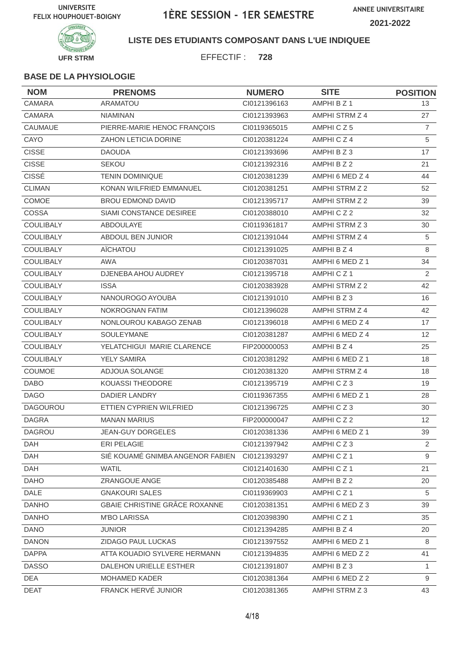

### **LISTE DES ETUDIANTS COMPOSANT DANS L'UE INDIQUEE**

EFFECTIF : **728**

| <b>NOM</b>       | <b>PRENOMS</b>                   | <b>NUMERO</b> | <b>SITE</b>          | <b>POSITION</b> |
|------------------|----------------------------------|---------------|----------------------|-----------------|
| CAMARA           | <b>ARAMATOU</b>                  | CI0121396163  | AMPHI B Z 1          | 13              |
| <b>CAMARA</b>    | <b>NIAMINAN</b>                  | CI0121393963  | AMPHI STRM Z 4       | 27              |
| CAUMAUE          | PIERRE-MARIE HENOC FRANÇOIS      | CI0119365015  | AMPHICZ5             | $\overline{7}$  |
| CAYO             | ZAHON LETICIA DORINE             | CI0120381224  | AMPHICZ4             | 5               |
| <b>CISSE</b>     | <b>DAOUDA</b>                    | CI0121393696  | AMPHIBZ3             | 17              |
| <b>CISSE</b>     | <b>SEKOU</b>                     | CI0121392316  | AMPHI B Z 2          | 21              |
| CISSÉ            | <b>TENIN DOMINIQUE</b>           | CI0120381239  | AMPHI 6 MED Z 4      | 44              |
| <b>CLIMAN</b>    | KONAN WILFRIED EMMANUEL          | CI0120381251  | AMPHI STRM Z 2       | 52              |
| COMOE            | <b>BROU EDMOND DAVID</b>         | CI0121395717  | AMPHI STRM Z 2       | 39              |
| COSSA            | <b>SIAMI CONSTANCE DESIREE</b>   | CI0120388010  | AMPHICZ2             | 32              |
| COULIBALY        | ABDOULAYE                        | CI0119361817  | AMPHI STRM Z 3       | 30              |
| COULIBALY        | ABDOUL BEN JUNIOR                | Cl0121391044  | AMPHI STRM Z 4       | 5               |
| <b>COULIBALY</b> | AÏCHATOU                         | CI0121391025  | AMPHI B Z 4          | 8               |
| COULIBALY        | <b>AWA</b>                       | CI0120387031  | AMPHI 6 MED Z 1      | 34              |
| COULIBALY        | DJENEBA AHOU AUDREY              | CI0121395718  | AMPHICZ <sub>1</sub> | 2               |
| <b>COULIBALY</b> | <b>ISSA</b>                      | CI0120383928  | AMPHI STRM Z 2       | 42              |
| COULIBALY        | NANOUROGO AYOUBA                 | Cl0121391010  | AMPHI B Z 3          | 16              |
| <b>COULIBALY</b> | <b>NOKROGNAN FATIM</b>           | CI0121396028  | AMPHI STRM Z 4       | 42              |
| <b>COULIBALY</b> | NONLOUROU KABAGO ZENAB           | Cl0121396018  | AMPHI 6 MED Z 4      | 17              |
| COULIBALY        | SOULEYMANE                       | CI0120381287  | AMPHI 6 MED Z 4      | 12              |
| COULIBALY        | YELATCHIGUI MARIE CLARENCE       | FIP200000053  | AMPHI B Z 4          | 25              |
| COULIBALY        | <b>YELY SAMIRA</b>               | CI0120381292  | AMPHI 6 MED Z 1      | 18              |
| COUMOE           | ADJOUA SOLANGE                   | CI0120381320  | AMPHI STRM Z 4       | 18              |
| <b>DABO</b>      | KOUASSI THEODORE                 | CI0121395719  | AMPHICZ3             | 19              |
| <b>DAGO</b>      | <b>DADIER LANDRY</b>             | CI0119367355  | AMPHI 6 MED Z 1      | 28              |
| <b>DAGOUROU</b>  | ETTIEN CYPRIEN WILFRIED          | CI0121396725  | AMPHICZ3             | 30              |
| <b>DAGRA</b>     | <b>MANAN MARIUS</b>              | FIP200000047  | AMPHICZ2             | 12              |
| DAGROU           | JEAN-GUY DORGELES                | CI0120381336  | AMPHI 6 MED Z 1      | 39              |
| DAH              | ERI PELAGIE                      | CI0121397942  | AMPHICZ3             | $\overline{2}$  |
| DAH              | SIÉ KOUAMÉ GNIMBA ANGENOR FABIEN | CI0121393297  | AMPHICZ1             | 9               |
| <b>DAH</b>       | <b>WATIL</b>                     | CI0121401630  | AMPHICZ1             | 21              |
| <b>DAHO</b>      | ZRANGOUE ANGE                    | CI0120385488  | AMPHI B Z 2          | 20              |
| <b>DALE</b>      | <b>GNAKOURI SALES</b>            | CI0119369903  | AMPHICZ1             | 5               |
| <b>DANHO</b>     | GBAIE CHRISTINE GRÂCE ROXANNE    | Cl0120381351  | AMPHI 6 MED Z 3      | 39              |
| <b>DANHO</b>     | <b>M'BO LARISSA</b>              | CI0120398390  | AMPHICZ1             | 35              |
| <b>DANO</b>      | <b>JUNIOR</b>                    | CI0121394285  | AMPHI B Z 4          | 20              |
| <b>DANON</b>     | ZIDAGO PAUL LUCKAS               | CI0121397552  | AMPHI 6 MED Z 1      | 8               |
| <b>DAPPA</b>     | ATTA KOUADIO SYLVERE HERMANN     | CI0121394835  | AMPHI 6 MED Z 2      | 41              |
| <b>DASSO</b>     | DALEHON URIELLE ESTHER           | Cl0121391807  | AMPHI B Z 3          | 1               |
| <b>DEA</b>       | MOHAMED KADER                    | Cl0120381364  | AMPHI 6 MED Z 2      | 9               |
| <b>DEAT</b>      | FRANCK HERVÉ JUNIOR              | CI0120381365  | AMPHI STRM Z 3       | 43              |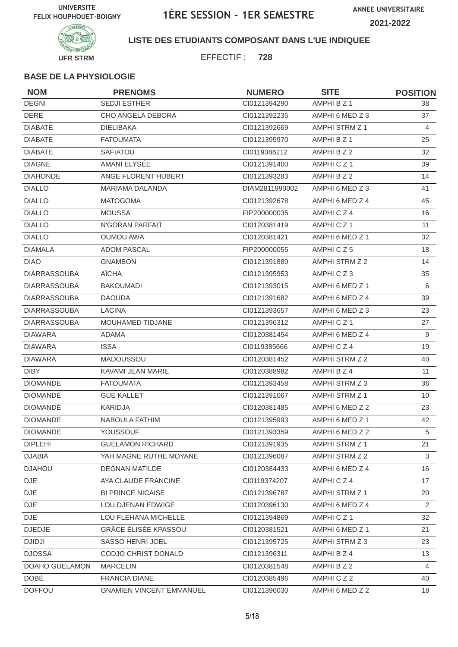

**LISTE DES ETUDIANTS COMPOSANT DANS L'UE INDIQUEE**

EFFECTIF : **728**

| <b>NOM</b>          | <b>PRENOMS</b>                  | <b>NUMERO</b>  | <b>SITE</b>          | <b>POSITION</b> |
|---------------------|---------------------------------|----------------|----------------------|-----------------|
| <b>DEGNI</b>        | <b>SEDJI ESTHER</b>             | CI0121394290   | AMPHI B Z 1          | 38              |
| <b>DERE</b>         | CHO ANGELA DEBORA               | CI0121392235   | AMPHI 6 MED Z 3      | 37              |
| <b>DIABATE</b>      | <b>DIELIBAKA</b>                | CI0121392669   | AMPHI STRM Z 1       | $\overline{4}$  |
| <b>DIABATE</b>      | <b>FATOUMATA</b>                | CI0121395970   | AMPHI B Z 1          | 25              |
| <b>DIABATE</b>      | <b>SAFIATOU</b>                 | CI0119386212   | AMPHI B Z 2          | 32              |
| <b>DIAGNE</b>       | AMANI ELYSÉE                    | CI0121391400   | AMPHICZ <sub>1</sub> | 39              |
| <b>DIAHONDE</b>     | ANGE FLORENT HUBERT             | CI0121393283   | AMPHI B Z 2          | 14              |
| <b>DIALLO</b>       | <b>MARIAMA DALANDA</b>          | DIAM2811990002 | AMPHI 6 MED Z 3      | 41              |
| <b>DIALLO</b>       | <b>MATOGOMA</b>                 | CI0121392678   | AMPHI 6 MED Z 4      | 45              |
| <b>DIALLO</b>       | <b>MOUSSA</b>                   | FIP200000035   | AMPHICZ4             | 16              |
| <b>DIALLO</b>       | N'GORAN PARFAIT                 | CI0120381419   | AMPHICZ1             | 11              |
| <b>DIALLO</b>       | <b>OUMOU AWA</b>                | CI0120381421   | AMPHI 6 MED Z 1      | 32              |
| <b>DIAMALA</b>      | <b>ADOM PASCAL</b>              | FIP200000055   | AMPHICZ5             | 18              |
| <b>DIAO</b>         | <b>GNAMBON</b>                  | CI0121391889   | AMPHI STRM Z 2       | 14              |
| <b>DIARRASSOUBA</b> | <b>AÏCHA</b>                    | CI0121395953   | AMPHICZ3             | 35              |
| <b>DIARRASSOUBA</b> | <b>BAKOUMADI</b>                | CI0121393015   | AMPHI 6 MED Z 1      | 6               |
| <b>DIARRASSOUBA</b> | <b>DAOUDA</b>                   | CI0121391682   | AMPHI 6 MED Z 4      | 39              |
| <b>DIARRASSOUBA</b> | <b>LACINA</b>                   | CI0121393657   | AMPHI 6 MED Z 3      | 23              |
| <b>DIARRASSOUBA</b> | MOUHAMED TIDJANE                | CI0121396312   | AMPHICZ1             | 27              |
| <b>DIAWARA</b>      | ADAMA                           | CI0120381454   | AMPHI 6 MED Z 4      | 9               |
| <b>DIAWARA</b>      | <b>ISSA</b>                     | CI0119385666   | AMPHICZ4             | 19              |
| <b>DIAWARA</b>      | MADOUSSOU                       | CI0120381452   | AMPHI STRM Z 2       | 40              |
| <b>DIBY</b>         | KAVAMI JEAN MARIE               | CI0120388982   | AMPHI B Z 4          | 11              |
| <b>DIOMANDE</b>     | <b>FATOUMATA</b>                | CI0121393458   | AMPHI STRM Z 3       | 36              |
| <b>DIOMANDE</b>     | <b>GUE KALLET</b>               | CI0121391067   | AMPHI STRM Z 1       | 10              |
| <b>DIOMANDÉ</b>     | KARIDJA                         | CI0120381485   | AMPHI 6 MED Z 2      | 23              |
| <b>DIOMANDE</b>     | NABOULA FATHIM                  | CI0121395993   | AMPHI 6 MED Z 1      | 42              |
| <b>DIOMANDE</b>     | YOUSSOUF                        | CI0121393359   | AMPHI 6 MED Z 2      | 5               |
| <b>DIPLEHI</b>      | <b>GUELAMON RICHARD</b>         | Cl0121391935   | AMPHI STRM Z 1       | 21              |
| <b>DJABIA</b>       | YAH MAGNE RUTHE MOYANE          | CI0121396087   | AMPHI STRM Z 2       | 3               |
| <b>DJAHOU</b>       | <b>DEGNAN MATILDE</b>           | CI0120384433   | AMPHI 6 MED Z 4      | 16              |
| <b>DJE</b>          | AYA CLAUDE FRANCINE             | CI0119374207   | AMPHICZ4             | 17              |
| DJE                 | <b>BI PRINCE NICAISE</b>        | CI0121396787   | AMPHI STRM Z 1       | 20              |
| $\mathsf{DJE}$      | LOU DJENAN EDWIGE               | CI0120396130   | AMPHI 6 MED Z 4      | 2               |
| <b>DJE</b>          | LOU FLEHANA MICHELLE            | CI0121394869   | AMPHICZ1             | 32              |
| <b>DJEDJE</b>       | GRÂCE ÉLISÉE KPASSOU            | CI0120381521   | AMPHI 6 MED Z 1      | 21              |
| <b>DJIDJI</b>       | SASSO HENRI JOEL                | CI0121395725   | AMPHI STRM Z 3       | 23              |
| <b>DJOSSA</b>       | CODJO CHRIST DONALD             | CI0121396311   | AMPHI B Z 4          | 13              |
| DOAHO GUELAMON      | <b>MARCELIN</b>                 | CI0120381548   | AMPHI B Z 2          | $\overline{4}$  |
| DOBÉ                | FRANCIA DIANE                   | CI0120385496   | AMPHICZ2             | 40              |
| <b>DOFFOU</b>       | <b>GNAMIEN VINCENT EMMANUEL</b> | CI0121396030   | AMPHI 6 MED Z 2      | 18              |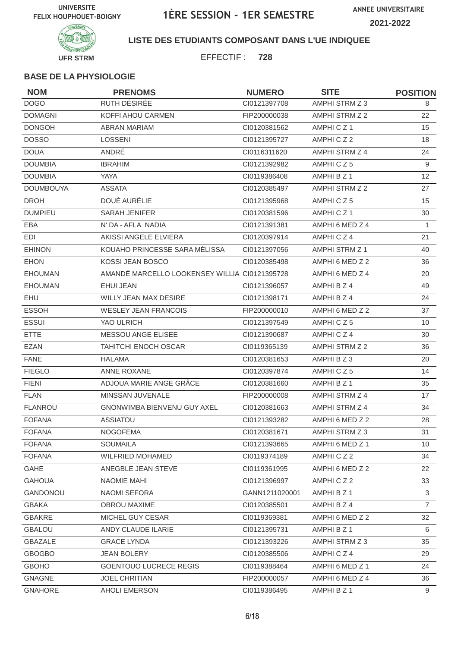

### **LISTE DES ETUDIANTS COMPOSANT DANS L'UE INDIQUEE**

EFFECTIF : **728**

| <b>NOM</b>       | <b>PRENOMS</b>                                | <b>NUMERO</b>  | <b>SITE</b>     | <b>POSITION</b> |
|------------------|-----------------------------------------------|----------------|-----------------|-----------------|
| <b>DOGO</b>      | RUTH DÉSIRÉE                                  | CI0121397708   | AMPHI STRM Z 3  | 8               |
| <b>DOMAGNI</b>   | KOFFI AHOU CARMEN                             | FIP200000038   | AMPHI STRM Z 2  | 22              |
| <b>DONGOH</b>    | <b>ABRAN MARIAM</b>                           | CI0120381562   | AMPHICZ1        | 15              |
| <b>DOSSO</b>     | <b>LOSSENI</b>                                | CI0121395727   | AMPHICZ2        | 18              |
| <b>DOUA</b>      | ANDRÉ                                         | CI0116311620   | AMPHI STRM Z 4  | 24              |
| <b>DOUMBIA</b>   | <b>IBRAHIM</b>                                | CI0121392982   | AMPHICZ5        | $\overline{9}$  |
| <b>DOUMBIA</b>   | YAYA                                          | CI0119386408   | AMPHI B Z 1     | 12              |
| <b>DOUMBOUYA</b> | <b>ASSATA</b>                                 | CI0120385497   | AMPHI STRM Z 2  | 27              |
| <b>DROH</b>      | DOUÉ AURÉLIE                                  | CI0121395968   | AMPHICZ5        | 15              |
| <b>DUMPIEU</b>   | <b>SARAH JENIFER</b>                          | CI0120381596   | AMPHICZ1        | 30              |
| EBA              | N' DA - AFLA NADIA                            | CI0121391381   | AMPHI 6 MED Z 4 | $\mathbf{1}$    |
| EDI              | AKISSI ANGELE ELVIERA                         | CI0120397914   | AMPHICZ4        | 21              |
| <b>EHINON</b>    | KOUAHO PRINCESSE SARA MÉLISSA                 | CI0121397056   | AMPHI STRM Z 1  | 40              |
| <b>EHON</b>      | KOSSI JEAN BOSCO                              | CI0120385498   | AMPHI 6 MED Z 2 | 36              |
| <b>EHOUMAN</b>   | AMANDÉ MARCELLO LOOKENSEY WILLIA CI0121395728 |                | AMPHI 6 MED Z 4 | 20              |
| <b>EHOUMAN</b>   | <b>EHUI JEAN</b>                              | CI0121396057   | AMPHI B Z 4     | 49              |
| <b>EHU</b>       | WILLY JEAN MAX DESIRE                         | CI0121398171   | AMPHI B Z 4     | 24              |
| <b>ESSOH</b>     | <b>WESLEY JEAN FRANCOIS</b>                   | FIP200000010   | AMPHI 6 MED Z 2 | 37              |
| <b>ESSUI</b>     | YAO ULRICH                                    | CI0121397549   | AMPHICZ5        | 10              |
| <b>ETTE</b>      | MESSOU ANGE ELISEE                            | CI0121390687   | AMPHICZ4        | 30              |
| <b>EZAN</b>      | <b>TAHITCHI ENOCH OSCAR</b>                   | CI0119365139   | AMPHI STRM Z 2  | 36              |
| <b>FANE</b>      | <b>HALAMA</b>                                 | CI0120381653   | AMPHI B Z 3     | 20              |
| <b>FIEGLO</b>    | <b>ANNE ROXANE</b>                            | CI0120397874   | AMPHICZ5        | 14              |
| <b>FIENI</b>     | ADJOUA MARIE ANGE GRÂCE                       | CI0120381660   | AMPHI B Z 1     | 35              |
| <b>FLAN</b>      | MINSSAN JUVENALE                              | FIP200000008   | AMPHI STRM Z 4  | 17              |
| <b>FLANROU</b>   | GNONWIMBA BIENVENU GUY AXEL                   | CI0120381663   | AMPHI STRM Z 4  | 34              |
| <b>FOFANA</b>    | <b>ASSIATOU</b>                               | CI0121393282   | AMPHI 6 MED Z 2 | 28              |
| <b>FOFANA</b>    | <b>NOGOFEMA</b>                               | Cl0120381671   | AMPHI STRM Z 3  | 31              |
| <b>FOFANA</b>    | <b>SOUMAILA</b>                               | CI0121393665   | AMPHI 6 MED Z 1 | 10              |
| <b>FOFANA</b>    | <b>WILFRIED MOHAMED</b>                       | CI0119374189   | AMPHICZ2        | 34              |
| GAHE             | ANEGBLE JEAN STEVE                            | CI0119361995   | AMPHI 6 MED Z 2 | 22              |
| <b>GAHOUA</b>    | NAOMIE MAHI                                   | CI0121396997   | AMPHICZ2        | 33              |
| GANDONOU         | <b>NAOMI SEFORA</b>                           | GANN1211020001 | AMPHI B Z 1     | $\mathbf{3}$    |
| <b>GBAKA</b>     | OBROU MAXIME                                  | CI0120385501   | AMPHI B Z 4     | $\overline{7}$  |
| <b>GBAKRE</b>    | MICHEL GUY CESAR                              | CI0119369381   | AMPHI 6 MED Z 2 | 32              |
| <b>GBALOU</b>    | ANDY CLAUDE ILARIE                            | CI0121395731   | AMPHI B Z 1     | 6               |
| <b>GBAZALE</b>   | <b>GRACE LYNDA</b>                            | CI0121393226   | AMPHI STRM Z 3  | 35              |
| <b>GBOGBO</b>    | <b>JEAN BOLERY</b>                            | CI0120385506   | AMPHICZ4        | 29              |
| <b>GBOHO</b>     | <b>GOENTOUO LUCRECE REGIS</b>                 | CI0119388464   | AMPHI 6 MED Z 1 | 24              |
| <b>GNAGNE</b>    | <b>JOEL CHRITIAN</b>                          | FIP200000057   | AMPHI 6 MED Z 4 | 36              |
| <b>GNAHORE</b>   | AHOLI EMERSON                                 | CI0119386495   | AMPHI B Z 1     | $9\,$           |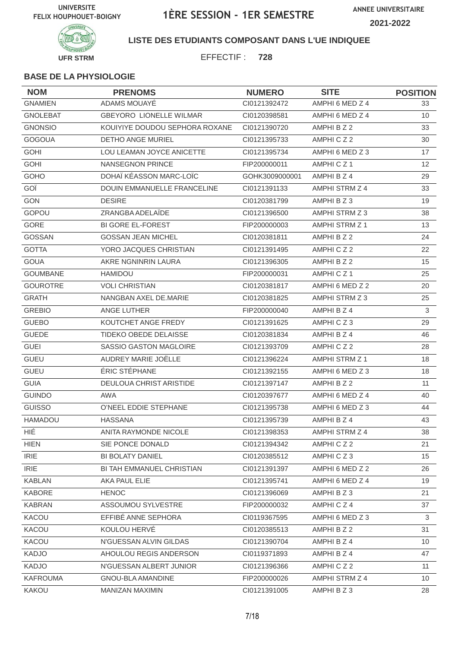

**LISTE DES ETUDIANTS COMPOSANT DANS L'UE INDIQUEE**

EFFECTIF : **728**

| <b>NOM</b>                   | <b>PRENOMS</b>                 | <b>NUMERO</b>  | <b>SITE</b>     | <b>POSITION</b> |
|------------------------------|--------------------------------|----------------|-----------------|-----------------|
| <b>GNAMIEN</b>               | ADAMS MOUAYÉ                   | CI0121392472   | AMPHI 6 MED Z 4 | 33              |
| <b>GNOLEBAT</b>              | <b>GBEYORO LIONELLE WILMAR</b> | CI0120398581   | AMPHI 6 MED Z 4 | 10 <sup>°</sup> |
| <b>GNONSIO</b>               | KOUIYIYE DOUDOU SEPHORA ROXANE | Cl0121390720   | AMPHI B Z 2     | 33              |
| <b>GOGOUA</b>                | <b>DETHO ANGE MURIEL</b>       | CI0121395733   | AMPHICZ2        | 30              |
| <b>GOHI</b>                  | LOU LEAMAN JOYCE ANICETTE      | CI0121395734   | AMPHI 6 MED Z 3 | 17              |
| <b>GOHI</b>                  | <b>NANSEGNON PRINCE</b>        | FIP200000011   | AMPHICZ1        | 12 <sup>°</sup> |
| GOHO                         | DOHAÏ KÉASSON MARC-LOÏC        | GOHK3009000001 | AMPHI B Z 4     | 29              |
| GOÏ                          | DOUIN EMMANUELLE FRANCELINE    | CI0121391133   | AMPHI STRM Z 4  | 33              |
| <b>GON</b>                   | <b>DESIRE</b>                  | CI0120381799   | AMPHI B Z 3     | 19              |
| GOPOU                        | ZRANGBA ADELAÏDE               | CI0121396500   | AMPHI STRM Z 3  | 38              |
| GORE                         | <b>BI GORE EL-FOREST</b>       | FIP200000003   | AMPHI STRM Z 1  | 13              |
| GOSSAN                       | <b>GOSSAN JEAN MICHEL</b>      | CI0120381811   | AMPHI B Z 2     | 24              |
| <b>GOTTA</b>                 | YORO JACQUES CHRISTIAN         | CI0121391495   | AMPHICZ2        | 22              |
| <b>GOUA</b>                  | AKRE NGNINRIN LAURA            | CI0121396305   | AMPHI B Z 2     | 15              |
| <b>GOUMBANE</b>              | <b>HAMIDOU</b>                 | FIP200000031   | AMPHICZ1        | 25              |
| <b>GOUROTRE</b>              | <b>VOLI CHRISTIAN</b>          | CI0120381817   | AMPHI 6 MED Z 2 | 20              |
| <b>GRATH</b>                 | NANGBAN AXEL DE.MARIE          | CI0120381825   | AMPHI STRM Z 3  | 25              |
| <b>GREBIO</b>                | <b>ANGE LUTHER</b>             | FIP200000040   | AMPHI B Z 4     | 3               |
| <b>GUEBO</b>                 | KOUTCHET ANGE FREDY            | CI0121391625   | AMPHICZ3        | 29              |
| <b>GUEDE</b>                 | TIDEKO OBEDE DELAISSE          | CI0120381834   | AMPHI B Z 4     | 46              |
| <b>GUEI</b>                  | SASSIO GASTON MAGLOIRE         | CI0121393709   | AMPHICZ2        | 28              |
| <b>GUEU</b>                  | AUDREY MARIE JOËLLE            | CI0121396224   | AMPHI STRM Z 1  | 18              |
| <b>GUEU</b>                  | ÉRIC STÉPHANE                  | CI0121392155   | AMPHI 6 MED Z 3 | 18              |
| <b>GUIA</b>                  | DEULOUA CHRIST ARISTIDE        | CI0121397147   | AMPHI B Z 2     | 11              |
| <b>GUINDO</b>                | AWA                            | CI0120397677   | AMPHI 6 MED Z 4 | 40              |
| <b>GUISSO</b>                | O'NEEL EDDIE STEPHANE          | CI0121395738   | AMPHI 6 MED Z 3 | 44              |
| <b>HAMADOU</b>               | <b>HASSANA</b>                 | CI0121395739   | AMPHI B Z 4     | 43              |
| HIE                          | ANITA RAYMONDE NICOLE          | CI0121398353   | AMPHI STRM Z 4  | 38              |
| <b>HIEN</b>                  | SIE PONCE DONALD               | CI0121394342   | AMPHICZ2        | 21              |
| <b>IRIE</b>                  | <b>BI BOLATY DANIEL</b>        | CI0120385512   | AMPHICZ3        | 15              |
| $\ensuremath{\mathsf{IRIE}}$ | BI TAH EMMANUEL CHRISTIAN      | CI0121391397   | AMPHI 6 MED Z 2 | 26              |
| <b>KABLAN</b>                | AKA PAUL ELIE                  | CI0121395741   | AMPHI 6 MED Z 4 | 19              |
| KABORE                       | <b>HENOC</b>                   | CI0121396069   | AMPHI B Z 3     | 21              |
| <b>KABRAN</b>                | ASSOUMOU SYLVESTRE             | FIP200000032   | AMPHICZ4        | 37              |
| KACOU                        | EFFIBÉ ANNE SEPHORA            | CI0119367595   | AMPHI 6 MED Z 3 | 3               |
| KACOU                        | KOULOU HERVÉ                   | CI0120385513   | AMPHI B Z 2     | 31              |
| KACOU                        | N'GUESSAN ALVIN GILDAS         | CI0121390704   | AMPHI B Z 4     | 10 <sup>°</sup> |
| <b>KADJO</b>                 | AHOULOU REGIS ANDERSON         | CI0119371893   | AMPHI B Z 4     | 47              |
| <b>KADJO</b>                 | N'GUESSAN ALBERT JUNIOR        | CI0121396366   | AMPHICZ2        | 11              |
| <b>KAFROUMA</b>              | GNOU-BLA AMANDINE              | FIP200000026   | AMPHI STRM Z 4  | 10 <sup>°</sup> |
| KAKOU                        | MANIZAN MAXIMIN                | CI0121391005   | AMPHI B Z 3     | 28              |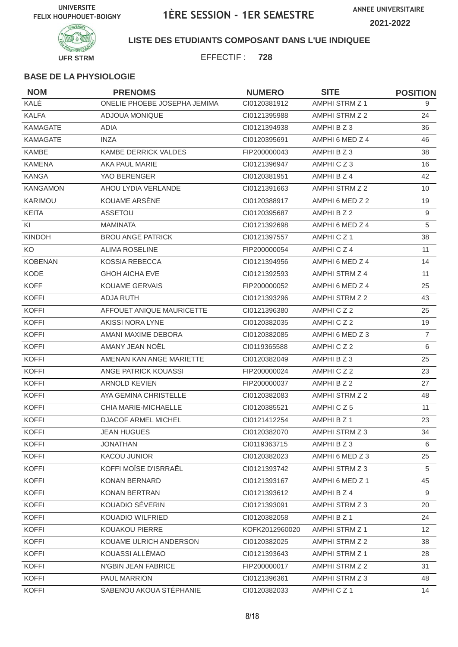

**LISTE DES ETUDIANTS COMPOSANT DANS L'UE INDIQUEE**

EFFECTIF : **728**

| <b>NOM</b>      | <b>PRENOMS</b>               | <b>NUMERO</b>  | <b>SITE</b>           | <b>POSITION</b>   |
|-----------------|------------------------------|----------------|-----------------------|-------------------|
| KALÉ            | ONELIE PHOEBE JOSEPHA JEMIMA | CI0120381912   | AMPHI STRM Z 1        | 9                 |
| <b>KALFA</b>    | ADJOUA MONIQUE               | CI0121395988   | AMPHI STRM Z 2        | 24                |
| <b>KAMAGATE</b> | ADIA                         | CI0121394938   | AMPHI B Z 3           | 36                |
| <b>KAMAGATE</b> | <b>INZA</b>                  | CI0120395691   | AMPHI 6 MED Z 4       | 46                |
| KAMBE           | KAMBE DERRICK VALDES         | FIP200000043   | AMPHI B Z 3           | 38                |
| <b>KAMENA</b>   | AKA PAUL MARIE               | CI0121396947   | AMPHICZ3              | 16                |
| <b>KANGA</b>    | YAO BERENGER                 | CI0120381951   | AMPHI B Z 4           | 42                |
| <b>KANGAMON</b> | AHOU LYDIA VERLANDE          | CI0121391663   | AMPHI STRM Z 2        | 10                |
| KARIMOU         | KOUAME ARSÈNE                | CI0120388917   | AMPHI 6 MED Z 2       | 19                |
| <b>KEITA</b>    | ASSETOU                      | CI0120395687   | AMPHI B Z 2           | 9                 |
| KI              | MAMINATA                     | CI0121392698   | AMPHI 6 MED Z 4       | 5                 |
| <b>KINDOH</b>   | <b>BROU ANGE PATRICK</b>     | CI0121397557   | AMPHICZ1              | 38                |
| KO              | <b>ALIMA ROSELINE</b>        | FIP200000054   | AMPHICZ4              | 11                |
| <b>KOBENAN</b>  | <b>KOSSIA REBECCA</b>        | CI0121394956   | AMPHI 6 MED Z 4       | 14                |
| KODE            | <b>GHOH AICHA EVE</b>        | CI0121392593   | AMPHI STRM Z 4        | 11                |
| <b>KOFF</b>     | <b>KOUAME GERVAIS</b>        | FIP200000052   | AMPHI 6 MED Z 4       | 25                |
| <b>KOFFI</b>    | <b>ADJA RUTH</b>             | CI0121393296   | AMPHI STRM Z 2        | 43                |
| <b>KOFFI</b>    | AFFOUET ANIQUE MAURICETTE    | CI0121396380   | AMPHICZ2              | 25                |
| <b>KOFFI</b>    | AKISSI NORA LYNE             | CI0120382035   | AMPHICZ2              | 19                |
| <b>KOFFI</b>    | AMANI MAXIME DEBORA          | CI0120382085   | AMPHI 6 MED Z 3       | $\overline{7}$    |
| <b>KOFFI</b>    | AMANY JEAN NOËL              | CI0119365588   | AMPHICZ2              | 6                 |
| <b>KOFFI</b>    | AMENAN KAN ANGE MARIETTE     | CI0120382049   | AMPHI B Z 3           | 25                |
| <b>KOFFI</b>    | ANGE PATRICK KOUASSI         | FIP200000024   | AMPHICZ2              | 23                |
| <b>KOFFI</b>    | <b>ARNOLD KEVIEN</b>         | FIP200000037   | AMPHI B Z 2           | 27                |
| <b>KOFFI</b>    | AYA GEMINA CHRISTELLE        | CI0120382083   | AMPHI STRM Z 2        | 48                |
| <b>KOFFI</b>    | CHIA MARIE-MICHAELLE         | CI0120385521   | AMPHICZ5              | 11                |
| <b>KOFFI</b>    | <b>DJACOF ARMEL MICHEL</b>   | CI0121412254   | AMPHI B Z 1           | 23                |
| <b>KOFFI</b>    | <b>JEAN HUGUES</b>           | CI0120382070   | AMPHI STRM Z 3        | 34                |
| <b>KOFFI</b>    | <b>JONATHAN</b>              | CI0119363715   | AMPHIBZ3              | 6                 |
| <b>KOFFI</b>    | KACOU JUNIOR                 | CI0120382023   | AMPHI 6 MED Z 3       | 25                |
| <b>KOFFI</b>    | KOFFI MOÏSE D'ISRRAËL        | CI0121393742   | AMPHI STRM Z 3        | 5                 |
| <b>KOFFI</b>    | <b>KONAN BERNARD</b>         | CI0121393167   | AMPHI 6 MED Z 1       | 45                |
| <b>KOFFI</b>    | KONAN BERTRAN                | Cl0121393612   | AMPHI B Z 4           | 9                 |
| <b>KOFFI</b>    | KOUADIO SÉVERIN              | CI0121393091   | AMPHI STRM Z 3        | 20                |
| <b>KOFFI</b>    | KOUADIO WILFRIED             | Cl0120382058   | AMPHI B Z 1           | 24                |
| <b>KOFFI</b>    | KOUAKOU PIERRE               | KOFK2012960020 | <b>AMPHI STRM Z 1</b> | $12 \overline{ }$ |
| <b>KOFFI</b>    | KOUAME ULRICH ANDERSON       | CI0120382025   | AMPHI STRM Z 2        | 38                |
| <b>KOFFI</b>    | KOUASSI ALLEMAO              | CI0121393643   | AMPHI STRM Z 1        | 28                |
| <b>KOFFI</b>    | N'GBIN JEAN FABRICE          | FIP200000017   | AMPHI STRM Z 2        | 31                |
| <b>KOFFI</b>    | PAUL MARRION                 | CI0121396361   | AMPHI STRM Z 3        | 48                |
| <b>KOFFI</b>    | SABENOU AKOUA STÉPHANIE      | CI0120382033   | AMPHICZ1              | 14                |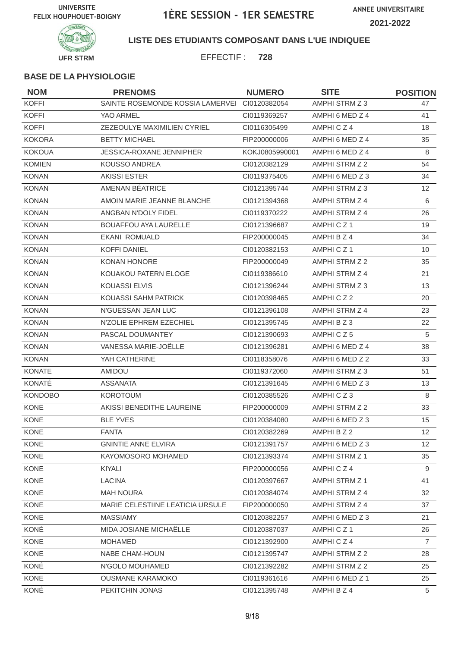**ANNEE UNIVERSITAIRE 2021-2022**



**LISTE DES ETUDIANTS COMPOSANT DANS L'UE INDIQUEE**

EFFECTIF : **728**

| <b>NOM</b>     | <b>PRENOMS</b>                                | <b>NUMERO</b>  | <b>SITE</b>          | <b>POSITION</b> |
|----------------|-----------------------------------------------|----------------|----------------------|-----------------|
| <b>KOFFI</b>   | SAINTE ROSEMONDE KOSSIA LAMERVEI CI0120382054 |                | AMPHI STRM Z 3       | 47              |
| <b>KOFFI</b>   | YAO ARMEL                                     | CI0119369257   | AMPHI 6 MED Z 4      | 41              |
| <b>KOFFI</b>   | ZEZEOULYE MAXIMILIEN CYRIEL                   | CI0116305499   | AMPHICZ4             | 18              |
| <b>KOKORA</b>  | <b>BETTY MICHAEL</b>                          | FIP200000006   | AMPHI 6 MED Z 4      | 35              |
| <b>KOKOUA</b>  | <b>JESSICA-ROXANE JENNIPHER</b>               | KOKJ0805990001 | AMPHI 6 MED Z 4      | 8               |
| <b>KOMIEN</b>  | <b>KOUSSO ANDREA</b>                          | CI0120382129   | AMPHI STRM Z 2       | 54              |
| <b>KONAN</b>   | <b>AKISSI ESTER</b>                           | CI0119375405   | AMPHI 6 MED Z 3      | 34              |
| <b>KONAN</b>   | AMENAN BÉATRICE                               | CI0121395744   | AMPHI STRM Z 3       | 12              |
| <b>KONAN</b>   | AMOIN MARIE JEANNE BLANCHE                    | CI0121394368   | AMPHI STRM Z 4       | 6               |
| <b>KONAN</b>   | ANGBAN N'DOLY FIDEL                           | CI0119370222   | AMPHI STRM Z 4       | 26              |
| <b>KONAN</b>   | <b>BOUAFFOU AYA LAURELLE</b>                  | Cl0121396687   | AMPHICZ <sub>1</sub> | 19              |
| <b>KONAN</b>   | EKANI ROMUALD                                 | FIP200000045   | AMPHI B Z 4          | 34              |
| <b>KONAN</b>   | <b>KOFFI DANIEL</b>                           | CI0120382153   | AMPHICZ1             | 10              |
| <b>KONAN</b>   | KONAN HONORE                                  | FIP200000049   | AMPHI STRM Z 2       | 35              |
| <b>KONAN</b>   | KOUAKOU PATERN ELOGE                          | CI0119386610   | AMPHI STRM Z 4       | 21              |
| <b>KONAN</b>   | <b>KOUASSI ELVIS</b>                          | CI0121396244   | AMPHI STRM Z 3       | 13              |
| <b>KONAN</b>   | KOUASSI SAHM PATRICK                          | CI0120398465   | AMPHICZ2             | 20              |
| <b>KONAN</b>   | N'GUESSAN JEAN LUC                            | CI0121396108   | AMPHI STRM Z 4       | 23              |
| <b>KONAN</b>   | N'ZOLIE EPHREM EZECHIEL                       | CI0121395745   | AMPHI B Z 3          | 22              |
| <b>KONAN</b>   | PASCAL DOUMANTEY                              | CI0121390693   | AMPHICZ5             | 5               |
| <b>KONAN</b>   | VANESSA MARIE-JOËLLE                          | CI0121396281   | AMPHI 6 MED Z 4      | 38              |
| <b>KONAN</b>   | YAH CATHERINE                                 | CI0118358076   | AMPHI 6 MED Z 2      | 33              |
| <b>KONATE</b>  | AMIDOU                                        | CI0119372060   | AMPHI STRM Z 3       | 51              |
| KONATÉ         | <b>ASSANATA</b>                               | CI0121391645   | AMPHI 6 MED Z 3      | 13              |
| <b>KONDOBO</b> | <b>KOROTOUM</b>                               | CI0120385526   | AMPHICZ3             | 8               |
| KONE           | AKISSI BENEDITHE LAUREINE                     | FIP200000009   | AMPHI STRM Z 2       | 33              |
| <b>KONE</b>    | <b>BLE YVES</b>                               | CI0120384080   | AMPHI 6 MED Z 3      | 15              |
| KONE           | <b>FANTA</b>                                  | CI0120382269   | AMPHI B Z 2          | 12              |
| KONE           | <b>GNINTIE ANNE ELVIRA</b>                    | Cl0121391757   | AMPHI 6 MED Z 3      | 12              |
| KONE           | KAYOMOSORO MOHAMED                            | CI0121393374   | AMPHI STRM Z 1       | 35              |
| KONE           | KIYALI                                        | FIP200000056   | AMPHICZ4             | 9               |
| KONE           | <b>LACINA</b>                                 | CI0120397667   | AMPHI STRM Z 1       | 41              |
| KONE           | <b>MAH NOURA</b>                              | CI0120384074   | AMPHI STRM Z 4       | 32              |
| KONE           | MARIE CELESTIINE LEATICIA URSULE              | FIP200000050   | AMPHI STRM Z 4       | 37              |
| KONE           | <b>MASSIAMY</b>                               | CI0120382257   | AMPHI 6 MED Z 3      | 21              |
| KONÉ           | MIDA JOSIANE MICHAËLLE                        | CI0120387037   | AMPHICZ1             | 26              |
| KONE           | <b>MOHAMED</b>                                | CI0121392900   | AMPHICZ4             | $\overline{7}$  |
| KONE           | <b>NABE CHAM-HOUN</b>                         | CI0121395747   | AMPHI STRM Z 2       | 28              |
| KONÉ           | N'GOLO MOUHAMED                               | CI0121392282   | AMPHI STRM Z 2       | 25              |
| KONE           | <b>OUSMANE KARAMOKO</b>                       | CI0119361616   | AMPHI 6 MED Z 1      | 25              |
| KONÉ           | PEKITCHIN JONAS                               | CI0121395748   | AMPHI B Z 4          | 5               |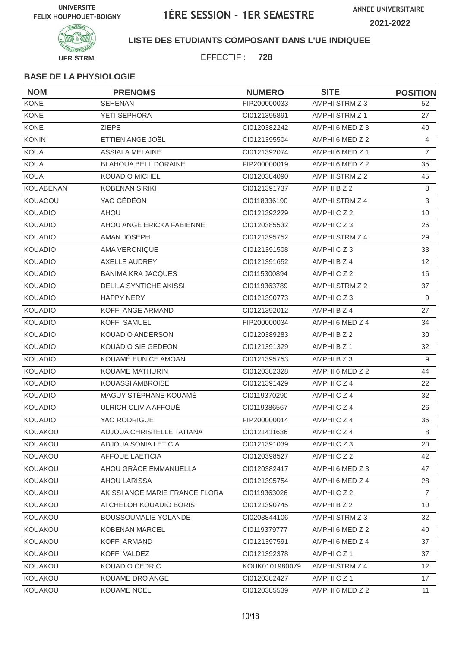

**LISTE DES ETUDIANTS COMPOSANT DANS L'UE INDIQUEE**

EFFECTIF : **728**

| <b>NOM</b>       | <b>PRENOMS</b>                 | <b>NUMERO</b>  | <b>SITE</b>     | <b>POSITION</b> |
|------------------|--------------------------------|----------------|-----------------|-----------------|
| <b>KONE</b>      | <b>SEHENAN</b>                 | FIP200000033   | AMPHI STRM Z 3  | 52              |
| KONE             | <b>YETI SEPHORA</b>            | CI0121395891   | AMPHI STRM Z 1  | 27              |
| <b>KONE</b>      | <b>ZIEPE</b>                   | CI0120382242   | AMPHI 6 MED Z 3 | 40              |
| <b>KONIN</b>     | ETTIEN ANGE JOËL               | CI0121395504   | AMPHI 6 MED Z 2 | $\overline{4}$  |
| <b>KOUA</b>      | <b>ASSIALA MELAINE</b>         | CI0121392074   | AMPHI 6 MED Z 1 | $\overline{7}$  |
| <b>KOUA</b>      | <b>BLAHOUA BELL DORAINE</b>    | FIP200000019   | AMPHI 6 MED Z 2 | 35              |
| <b>KOUA</b>      | <b>KOUADIO MICHEL</b>          | CI0120384090   | AMPHI STRM Z 2  | 45              |
| <b>KOUABENAN</b> | <b>KOBENAN SIRIKI</b>          | CI0121391737   | AMPHI B Z 2     | 8               |
| KOUACOU          | YAO GÉDÉON                     | CI0118336190   | AMPHI STRM Z 4  | 3               |
| <b>KOUADIO</b>   | <b>AHOU</b>                    | CI0121392229   | AMPHICZ2        | 10              |
| <b>KOUADIO</b>   | AHOU ANGE ERICKA FABIENNE      | CI0120385532   | AMPHICZ3        | 26              |
| <b>KOUADIO</b>   | <b>AMAN JOSEPH</b>             | CI0121395752   | AMPHI STRM Z 4  | 29              |
| <b>KOUADIO</b>   | AMA VERONIQUE                  | CI0121391508   | AMPHICZ3        | 33              |
| <b>KOUADIO</b>   | AXELLE AUDREY                  | CI0121391652   | AMPHI B Z 4     | 12              |
| <b>KOUADIO</b>   | <b>BANIMA KRA JACQUES</b>      | CI0115300894   | AMPHICZ2        | 16              |
| <b>KOUADIO</b>   | <b>DELILA SYNTICHE AKISSI</b>  | CI0119363789   | AMPHI STRM Z 2  | 37              |
| <b>KOUADIO</b>   | <b>HAPPY NERY</b>              | CI0121390773   | AMPHICZ3        | 9               |
| <b>KOUADIO</b>   | <b>KOFFI ANGE ARMAND</b>       | CI0121392012   | AMPHI B Z 4     | 27              |
| <b>KOUADIO</b>   | <b>KOFFI SAMUEL</b>            | FIP200000034   | AMPHI 6 MED Z 4 | 34              |
| <b>KOUADIO</b>   | KOUADIO ANDERSON               | CI0120389283   | AMPHI B Z 2     | 30              |
| <b>KOUADIO</b>   | KOUADIO SIE GEDEON             | CI0121391329   | AMPHI B Z 1     | 32              |
| <b>KOUADIO</b>   | KOUAMÉ EUNICE AMOAN            | CI0121395753   | AMPHI B Z 3     | 9               |
| <b>KOUADIO</b>   | KOUAME MATHURIN                | CI0120382328   | AMPHI 6 MED Z 2 | 44              |
| <b>KOUADIO</b>   | KOUASSI AMBROISE               | CI0121391429   | AMPHICZ4        | 22              |
| <b>KOUADIO</b>   | MAGUY STÉPHANE KOUAMÉ          | CI0119370290   | AMPHICZ4        | 32              |
| <b>KOUADIO</b>   | ULRICH OLIVIA AFFOUÉ           | CI0119386567   | AMPHICZ4        | 26              |
| <b>KOUADIO</b>   | YAO RODRIGUE                   | FIP200000014   | AMPHICZ4        | 36              |
| KOUAKOU          | ADJOUA CHRISTELLE TATIANA      | Cl0121411636   | AMPHICZ4        | 8               |
| KOUAKOU          | ADJOUA SONIA LETICIA           | CI0121391039   | AMPHICZ3        | 20              |
| KOUAKOU          | AFFOUE LAETICIA                | CI0120398527   | AMPHICZ2        | 42              |
| KOUAKOU          | AHOU GRÂCE EMMANUELLA          | CI0120382417   | AMPHI 6 MED Z 3 | 47              |
| KOUAKOU          | <b>AHOU LARISSA</b>            | CI0121395754   | AMPHI 6 MED Z 4 | 28              |
| <b>KOUAKOU</b>   | AKISSI ANGE MARIE FRANCE FLORA | CI0119363026   | AMPHICZ2        | $\overline{7}$  |
| KOUAKOU          | ATCHELOH KOUADIO BORIS         | Cl0121390745   | AMPHI B Z 2     | 10 <sup>°</sup> |
| KOUAKOU          | <b>BOUSSOUMALIE YOLANDE</b>    | CI0203844106   | AMPHI STRM Z 3  | 32              |
| KOUAKOU          | KOBENAN MARCEL                 | CI0119379777   | AMPHI 6 MED Z 2 | 40              |
| KOUAKOU          | KOFFI ARMAND                   | CI0121397591   | AMPHI 6 MED Z 4 | 37              |
| KOUAKOU          | KOFFI VALDEZ                   | CI0121392378   | AMPHICZ1        | 37              |
| KOUAKOU          | KOUADIO CEDRIC                 | KOUK0101980079 | AMPHI STRM Z 4  | 12 <sup>°</sup> |
| KOUAKOU          | KOUAME DRO ANGE                | CI0120382427   | AMPHICZ1        | 17              |
| KOUAKOU          | KOUAMÉ NOËL                    | CI0120385539   | AMPHI 6 MED Z 2 | 11              |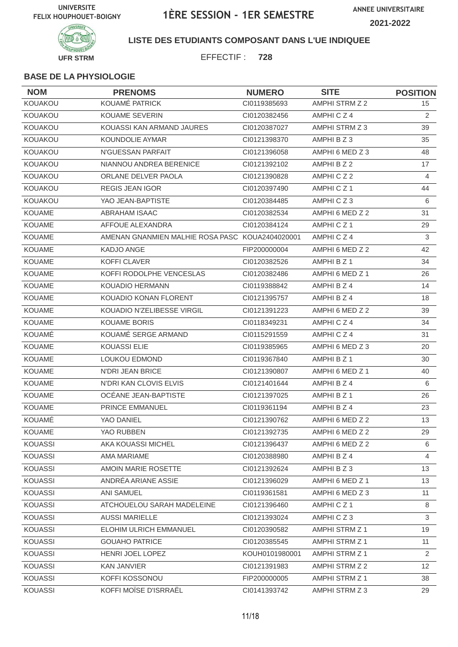

**LISTE DES ETUDIANTS COMPOSANT DANS L'UE INDIQUEE**

EFFECTIF : **728**

| <b>NOM</b>     | <b>PRENOMS</b>                                  | <b>NUMERO</b>  | <b>SITE</b>          | <b>POSITION</b> |
|----------------|-------------------------------------------------|----------------|----------------------|-----------------|
| KOUAKOU        | KOUAMÉ PATRICK                                  | CI0119385693   | AMPHI STRM Z 2       | 15              |
| KOUAKOU        | <b>KOUAME SEVERIN</b>                           | CI0120382456   | AMPHICZ4             | 2               |
| KOUAKOU        | KOUASSI KAN ARMAND JAURES                       | CI0120387027   | AMPHI STRM Z 3       | 39              |
| KOUAKOU        | <b>KOUNDOLIE AYMAR</b>                          | CI0121398370   | AMPHI B Z 3          | 35              |
| KOUAKOU        | N'GUESSAN PARFAIT                               | CI0121396058   | AMPHI 6 MED Z 3      | 48              |
| KOUAKOU        | NIANNOU ANDREA BERENICE                         | CI0121392102   | AMPHI B Z 2          | 17              |
| KOUAKOU        | ORLANE DELVER PAOLA                             | CI0121390828   | AMPHICZ2             | 4               |
| KOUAKOU        | <b>REGIS JEAN IGOR</b>                          | CI0120397490   | AMPHICZ <sub>1</sub> | 44              |
| KOUAKOU        | YAO JEAN-BAPTISTE                               | CI0120384485   | AMPHICZ3             | 6               |
| <b>KOUAME</b>  | <b>ABRAHAM ISAAC</b>                            | CI0120382534   | AMPHI 6 MED Z 2      | 31              |
| KOUAME         | AFFOUE ALEXANDRA                                | CI0120384124   | AMPHICZ1             | 29              |
| <b>KOUAME</b>  | AMENAN GNANMIEN MALHIE ROSA PASC KOUA2404020001 |                | AMPHICZ4             | 3               |
| <b>KOUAME</b>  | <b>KADJO ANGE</b>                               | FIP200000004   | AMPHI 6 MED Z 2      | 42              |
| <b>KOUAME</b>  | <b>KOFFI CLAVER</b>                             | CI0120382526   | AMPHI B Z 1          | 34              |
| <b>KOUAME</b>  | KOFFI RODOLPHE VENCESLAS                        | CI0120382486   | AMPHI 6 MED Z 1      | 26              |
| <b>KOUAME</b>  | <b>KOUADIO HERMANN</b>                          | CI0119388842   | AMPHI B Z 4          | 14              |
| KOUAME         | KOUADIO KONAN FLORENT                           | CI0121395757   | AMPHI B Z 4          | 18              |
| KOUAME         | KOUADIO N'ZELIBESSE VIRGIL                      | CI0121391223   | AMPHI 6 MED Z 2      | 39              |
| <b>KOUAME</b>  | <b>KOUAME BORIS</b>                             | CI0118349231   | AMPHICZ4             | 34              |
| KOUAMÉ         | KOUAMÉ SERGE ARMAND                             | CI0115291559   | AMPHICZ4             | 31              |
| <b>KOUAME</b>  | <b>KOUASSI ELIE</b>                             | CI0119385965   | AMPHI 6 MED Z 3      | 20              |
| <b>KOUAME</b>  | <b>LOUKOU EDMOND</b>                            | CI0119367840   | AMPHI B Z 1          | 30              |
| KOUAME         | <b>N'DRI JEAN BRICE</b>                         | CI0121390807   | AMPHI 6 MED Z 1      | 40              |
| <b>KOUAME</b>  | N'DRI KAN CLOVIS ELVIS                          | CI0121401644   | AMPHI B Z 4          | 6               |
| KOUAME         | OCÉANE JEAN-BAPTISTE                            | CI0121397025   | AMPHI B Z 1          | 26              |
| KOUAME         | PRINCE EMMANUEL                                 | CI0119361194   | AMPHI B Z 4          | 23              |
| KOUAMÉ         | YAO DANIEL                                      | CI0121390762   | AMPHI 6 MED Z 2      | 13              |
| KOUAME         | YAO RUBBEN                                      | Cl0121392735   | AMPHI 6 MED Z 2      | 29              |
| <b>KOUASSI</b> | AKA KOUASSI MICHEL                              | CI0121396437   | AMPHI 6 MED Z 2      | 6               |
| KOUASSI        | AMA MARIAME                                     | CI0120388980   | AMPHI B Z 4          | 4               |
| <b>KOUASSI</b> | AMOIN MARIE ROSETTE                             | Cl0121392624   | AMPHI B Z 3          | 13              |
| <b>KOUASSI</b> | ANDRÉA ARIANE ASSIE                             | CI0121396029   | AMPHI 6 MED Z 1      | 13              |
| KOUASSI        | <b>ANI SAMUEL</b>                               | CI0119361581   | AMPHI 6 MED Z 3      | 11              |
| <b>KOUASSI</b> | ATCHOUELOU SARAH MADELEINE                      | Cl0121396460   | AMPHICZ1             | 8               |
| <b>KOUASSI</b> | <b>AUSSI MARIELLE</b>                           | CI0121393024   | AMPHICZ3             | $\mathfrak{S}$  |
| KOUASSI        | ELOHIM ULRICH EMMANUEL                          | CI0120390582   | AMPHI STRM Z 1       | 19              |
| KOUASSI        | <b>GOUAHO PATRICE</b>                           | CI0120385545   | AMPHI STRM Z 1       | 11              |
| <b>KOUASSI</b> | HENRI JOEL LOPEZ                                | KOUH0101980001 | AMPHI STRM Z 1       | 2               |
| <b>KOUASSI</b> | <b>KAN JANVIER</b>                              | Cl0121391983   | AMPHI STRM Z 2       | 12              |
| <b>KOUASSI</b> | KOFFI KOSSONOU                                  | FIP200000005   | AMPHI STRM Z 1       | 38              |
| <b>KOUASSI</b> | KOFFI MOÏSE D'ISRRAËL                           | CI0141393742   | AMPHI STRM Z 3       | 29              |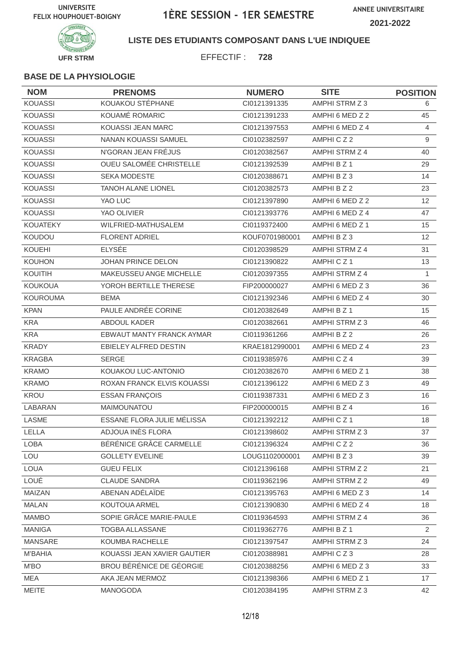

**LISTE DES ETUDIANTS COMPOSANT DANS L'UE INDIQUEE**

EFFECTIF : **728**

| <b>NOM</b>      | <b>PRENOMS</b>                 | <b>NUMERO</b>  | <b>SITE</b>          | <b>POSITION</b> |
|-----------------|--------------------------------|----------------|----------------------|-----------------|
| <b>KOUASSI</b>  | KOUAKOU STÉPHANE               | CI0121391335   | AMPHI STRM Z 3       | 6               |
| <b>KOUASSI</b>  | KOUAMÉ ROMARIC                 | CI0121391233   | AMPHI 6 MED Z 2      | 45              |
| <b>KOUASSI</b>  | KOUASSI JEAN MARC              | CI0121397553   | AMPHI 6 MED Z 4      | $\overline{4}$  |
| <b>KOUASSI</b>  | <b>NANAN KOUASSI SAMUEL</b>    | CI0102382597   | AMPHICZ2             | 9               |
| <b>KOUASSI</b>  | N'GORAN JEAN FRÉJUS            | CI0120382567   | AMPHI STRM Z 4       | 40              |
| <b>KOUASSI</b>  | <b>OUEU SALOMÉE CHRISTELLE</b> | CI0121392539   | AMPHI B Z 1          | 29              |
| <b>KOUASSI</b>  | <b>SEKA MODESTE</b>            | CI0120388671   | AMPHI B Z 3          | 14              |
| <b>KOUASSI</b>  | <b>TANOH ALANE LIONEL</b>      | CI0120382573   | AMPHI B Z 2          | 23              |
| <b>KOUASSI</b>  | YAO LUC                        | CI0121397890   | AMPHI 6 MED Z 2      | 12              |
| <b>KOUASSI</b>  | YAO OLIVIER                    | CI0121393776   | AMPHI 6 MED Z 4      | 47              |
| <b>KOUATEKY</b> | WILFRIED-MATHUSALEM            | CI0119372400   | AMPHI 6 MED Z 1      | 15              |
| KOUDOU          | <b>FLORENT ADRIEL</b>          | KOUF0701980001 | AMPHI B Z 3          | 12              |
| <b>KOUEHI</b>   | <b>ELYSÉE</b>                  | CI0120398529   | AMPHI STRM Z 4       | 31              |
| <b>KOUHON</b>   | JOHAN PRINCE DELON             | CI0121390822   | AMPHICZ1             | 13              |
| KOUITIH         | MAKEUSSEU ANGE MICHELLE        | CI0120397355   | AMPHI STRM Z 4       | 1               |
| <b>KOUKOUA</b>  | YOROH BERTILLE THERESE         | FIP200000027   | AMPHI 6 MED Z 3      | 36              |
| <b>KOUROUMA</b> | <b>BEMA</b>                    | CI0121392346   | AMPHI 6 MED Z 4      | 30              |
| <b>KPAN</b>     | PAULE ANDRÉE CORINE            | CI0120382649   | AMPHI B Z 1          | 15              |
| <b>KRA</b>      | <b>ABDOUL KADER</b>            | CI0120382661   | AMPHI STRM Z 3       | 46              |
| <b>KRA</b>      | EBWAUT MANTY FRANCK AYMAR      | CI0119361266   | AMPHI B Z 2          | 26              |
| <b>KRADY</b>    | EBIELEY ALFRED DESTIN          | KRAE1812990001 | AMPHI 6 MED Z 4      | 23              |
| <b>KRAGBA</b>   | <b>SERGE</b>                   | CI0119385976   | AMPHICZ4             | 39              |
| <b>KRAMO</b>    | KOUAKOU LUC-ANTONIO            | CI0120382670   | AMPHI 6 MED Z 1      | 38              |
| <b>KRAMO</b>    | ROXAN FRANCK ELVIS KOUASSI     | CI0121396122   | AMPHI 6 MED Z 3      | 49              |
| <b>KROU</b>     | <b>ESSAN FRANÇOIS</b>          | CI0119387331   | AMPHI 6 MED Z 3      | 16              |
| LABARAN         | MAIMOUNATOU                    | FIP200000015   | AMPHI B Z 4          | 16              |
| LASME           | ESSANE FLORA JULIE MÉLISSA     | CI0121392212   | AMPHICZ <sub>1</sub> | 18              |
| LELLA           | ADJOUA INÈS FLORA              | CI0121398602   | AMPHI STRM Z 3       | 37              |
| <b>LOBA</b>     | BÉRÉNICE GRÂCE CARMELLE        | CI0121396324   | AMPHICZ2             | 36              |
| LOU             | <b>GOLLETY EVELINE</b>         | LOUG1102000001 | AMPHI B Z 3          | 39              |
| LOUA            | <b>GUEU FELIX</b>              | CI0121396168   | AMPHI STRM Z 2       | 21              |
| LOUÉ            | <b>CLAUDE SANDRA</b>           | CI0119362196   | AMPHI STRM Z 2       | 49              |
| MAIZAN          | ABENAN ADÉLAÏDE                | CI0121395763   | AMPHI 6 MED Z 3      | 14              |
| <b>MALAN</b>    | KOUTOUA ARMEL                  | Cl0121390830   | AMPHI 6 MED Z 4      | 18              |
| <b>MAMBO</b>    | SOPIE GRÂCE MARIE-PAULE        | CI0119364593   | AMPHI STRM Z 4       | 36              |
| <b>MANIGA</b>   | TOGBA ALLASSANE                | CI0119362776   | AMPHI B Z 1          | $\overline{2}$  |
| <b>MANSARE</b>  | KOUMBA RACHELLE                | CI0121397547   | AMPHI STRM Z 3       | 24              |
| <b>M'BAHIA</b>  | KOUASSI JEAN XAVIER GAUTIER    | CI0120388981   | AMPHICZ3             | 28              |
| M'BO            | BROU BÉRÉNICE DE GÉORGIE       | CI0120388256   | AMPHI 6 MED Z 3      | 33              |
| MEA             | AKA JEAN MERMOZ                | CI0121398366   | AMPHI 6 MED Z 1      | 17              |
| MEITE           | MANOGODA                       | CI0120384195   | AMPHI STRM Z 3       | 42              |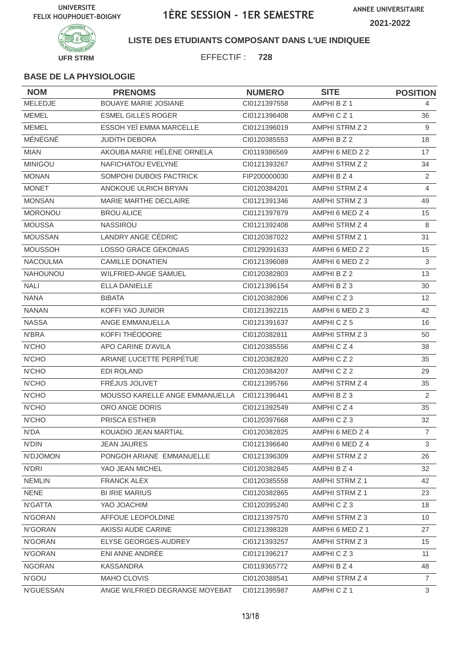

**LISTE DES ETUDIANTS COMPOSANT DANS L'UE INDIQUEE**

EFFECTIF : **728**

| <b>NOM</b>       | <b>PRENOMS</b>                 | <b>NUMERO</b> | <b>SITE</b>     | <b>POSITION</b> |
|------------------|--------------------------------|---------------|-----------------|-----------------|
| MELEDJE          | <b>BOUAYE MARIE JOSIANE</b>    | CI0121397558  | AMPHI B Z 1     | 4               |
| <b>MEMEL</b>     | <b>ESMEL GILLES ROGER</b>      | CI0121396408  | AMPHICZ1        | 36              |
| <b>MEMEL</b>     | ESSOH YEÏ EMMA MARCELLE        | CI0121396019  | AMPHI STRM Z 2  | 9               |
| MÉNÉGNÉ          | <b>JUDITH DEBORA</b>           | CI0120385553  | AMPHI B Z 2     | 18              |
| <b>MIAN</b>      | AKOUBA MARIE HÉLÈNE ORNELA     | CI0119386569  | AMPHI 6 MED Z 2 | 17              |
| <b>MINIGOU</b>   | NAFICHATOU EVELYNE             | CI0121393267  | AMPHI STRM Z 2  | 34              |
| <b>MONAN</b>     | SOMPOHI DUBOIS PACTRICK        | FIP200000030  | AMPHI B Z 4     | $\overline{2}$  |
| <b>MONET</b>     | ANOKOUE ULRICH BRYAN           | CI0120384201  | AMPHI STRM Z 4  | $\overline{4}$  |
| <b>MONSAN</b>    | MARIE MARTHE DECLAIRE          | CI0121391346  | AMPHI STRM Z 3  | 49              |
| <b>MORONOU</b>   | <b>BROU ALICE</b>              | CI0121397879  | AMPHI 6 MED Z 4 | 15              |
| <b>MOUSSA</b>    | <b>NASSIROU</b>                | CI0121392408  | AMPHI STRM Z 4  | 8               |
| <b>MOUSSAN</b>   | LANDRY ANGE CÉDRIC             | CI0120387022  | AMPHI STRM Z 1  | 31              |
| <b>MOUSSOH</b>   | <b>LOSSO GRACE GEKONIAS</b>    | CI0129391633  | AMPHI 6 MED Z 2 | 15              |
| <b>NACOULMA</b>  | <b>CAMILLE DONATIEN</b>        | CI0121396089  | AMPHI 6 MED Z 2 | 3               |
| <b>NAHOUNOU</b>  | <b>WILFRIED-ANGE SAMUEL</b>    | CI0120382803  | AMPHI B Z 2     | 13              |
| <b>NALI</b>      | ELLA DANIELLE                  | CI0121396154  | AMPHIBZ3        | 30              |
| <b>NANA</b>      | <b>BIBATA</b>                  | CI0120382806  | AMPHICZ3        | 12              |
| <b>NANAN</b>     | KOFFI YAO JUNIOR               | CI0121392215  | AMPHI 6 MED Z 3 | 42              |
| <b>NASSA</b>     | ANGE EMMANUELLA                | CI0121391637  | AMPHICZ5        | 16              |
| <b>N'BRA</b>     | KOFFI THÉODORE                 | CI0120382811  | AMPHI STRM Z 3  | 50              |
| N'CHO            | APO CARINE D'AVILA             | CI0120385556  | AMPHICZ4        | 38              |
| N'CHO            | ARIANE LUCETTE PERPÉTUE        | Cl0120382820  | AMPHICZ2        | 35              |
| <b>N'CHO</b>     | <b>EDI ROLAND</b>              | CI0120384207  | AMPHICZ2        | 29              |
| <b>N'CHO</b>     | FRÉJUS JOLIVET                 | CI0121395766  | AMPHI STRM Z 4  | 35              |
| N'CHO            | MOUSSO KARELLE ANGE EMMANUELLA | CI0121396441  | AMPHI B Z 3     | 2               |
| N'CHO            | ORO ANGE DORIS                 | CI0121392549  | AMPHICZ4        | 35              |
| N'CHO            | PRISCA ESTHER                  | CI0120397668  | AMPHICZ3        | 32              |
| N'DA             | KOUADIO JEAN MARTIAL           | CI0120382825  | AMPHI 6 MED Z 4 | $\overline{7}$  |
| <b>N'DIN</b>     | <b>JEAN JAURES</b>             | CI0121396640  | AMPHI 6 MED Z 4 | 3               |
| N'DJOMON         | PONGOH ARIANE EMMANUELLE       | CI0121396309  | AMPHI STRM Z 2  | 26              |
| <b>N'DRI</b>     | YAO JEAN MICHEL                | CI0120382845  | AMPHI B Z 4     | 32              |
| <b>NEMLIN</b>    | <b>FRANCK ALEX</b>             | CI0120385558  | AMPHI STRM Z 1  | 42              |
| <b>NENE</b>      | <b>BI IRIE MARIUS</b>          | CI0120382865  | AMPHI STRM Z 1  | 23              |
| N'GATTA          | YAO JOACHIM                    | CI0120395240  | AMPHICZ3        | 18              |
| N'GORAN          | AFFOUE LEOPOLDINE              | Cl0121397570  | AMPHI STRM Z 3  | 10              |
| N'GORAN          | AKISSI AUDE CARINE             | Cl0121398328  | AMPHI 6 MED Z 1 | 27              |
| N'GORAN          | ELYSE GEORGES-AUDREY           | CI0121393257  | AMPHI STRM Z 3  | 15              |
| N'GORAN          | ENI ANNE ANDRÉE                | CI0121396217  | AMPHICZ3        | 11              |
| <b>NGORAN</b>    | <b>KASSANDRA</b>               | CI0119365772  | AMPHI B Z 4     | 48              |
| N'GOU            | MAHO CLOVIS                    | Cl0120388541  | AMPHI STRM Z 4  | $\overline{7}$  |
| <b>N'GUESSAN</b> | ANGE WILFRIED DEGRANGE MOYEBAT | CI0121395987  | AMPHICZ1        | 3               |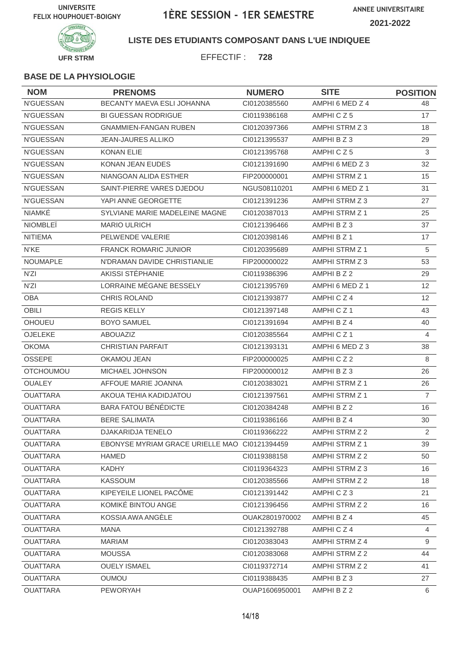

**LISTE DES ETUDIANTS COMPOSANT DANS L'UE INDIQUEE**

EFFECTIF : **728**

| <b>NOM</b>       | <b>PRENOMS</b>                                | <b>NUMERO</b>  | <b>SITE</b>           | <b>POSITION</b> |
|------------------|-----------------------------------------------|----------------|-----------------------|-----------------|
| <b>N'GUESSAN</b> | <b>BECANTY MAEVA ESLI JOHANNA</b>             | CI0120385560   | AMPHI 6 MED Z 4       | 48              |
| N'GUESSAN        | <b>BI GUESSAN RODRIGUE</b>                    | CI0119386168   | AMPHICZ5              | 17              |
| N'GUESSAN        | <b>GNAMMIEN-FANGAN RUBEN</b>                  | CI0120397366   | AMPHI STRM Z 3        | 18              |
| N'GUESSAN        | <b>JEAN-JAURES ALLIKO</b>                     | CI0121395537   | AMPHI B Z 3           | 29              |
| N'GUESSAN        | <b>KONAN ELIE</b>                             | CI0121395768   | AMPHICZ5              | 3               |
| <b>N'GUESSAN</b> | KONAN JEAN EUDES                              | CI0121391690   | AMPHI 6 MED Z 3       | 32              |
| N'GUESSAN        | NIANGOAN ALIDA ESTHER                         | FIP200000001   | AMPHI STRM Z 1        | 15              |
| <b>N'GUESSAN</b> | SAINT-PIERRE VARES DJEDOU                     | NGUS08110201   | AMPHI 6 MED Z 1       | 31              |
| N'GUESSAN        | YAPI ANNE GEORGETTE                           | CI0121391236   | AMPHI STRM Z 3        | 27              |
| <b>NIAMKE</b>    | SYLVIANE MARIE MADELEINE MAGNE                | CI0120387013   | AMPHI STRM Z 1        | 25              |
| <b>NIOMBLEÏ</b>  | <b>MARIO ULRICH</b>                           | CI0121396466   | AMPHI B Z 3           | 37              |
| <b>NITIEMA</b>   | PELWENDE VALERIE                              | CI0120398146   | AMPHI B Z 1           | 17              |
| N'KE             | <b>FRANCK ROMARIC JUNIOR</b>                  | CI0120395689   | AMPHI STRM Z 1        | 5               |
| <b>NOUMAPLE</b>  | N'DRAMAN DAVIDE CHRISTIANLIE                  | FIP200000022   | AMPHI STRM Z 3        | 53              |
| N'ZI             | AKISSI STÉPHANIE                              | CI0119386396   | AMPHI B Z 2           | 29              |
| N'ZI             | LORRAINE MÉGANE BESSELY                       | CI0121395769   | AMPHI 6 MED Z 1       | 12              |
| <b>OBA</b>       | CHRIS ROLAND                                  | CI0121393877   | AMPHICZ4              | 12 <sup>°</sup> |
| <b>OBILI</b>     | <b>REGIS KELLY</b>                            | CI0121397148   | AMPHICZ <sub>1</sub>  | 43              |
| <b>OHOUEU</b>    | <b>BOYO SAMUEL</b>                            | CI0121391694   | AMPHI B Z 4           | 40              |
| OJELEKE          | <b>ABOUAZIZ</b>                               | CI0120385564   | AMPHICZ1              | $\overline{4}$  |
| <b>OKOMA</b>     | <b>CHRISTIAN PARFAIT</b>                      | CI0121393131   | AMPHI 6 MED Z 3       | 38              |
| <b>OSSEPE</b>    | OKAMOU JEAN                                   | FIP200000025   | AMPHICZ2              | 8               |
| <b>OTCHOUMOU</b> | <b>MICHAEL JOHNSON</b>                        | FIP200000012   | AMPHI B Z 3           | 26              |
| <b>OUALEY</b>    | AFFOUE MARIE JOANNA                           | CI0120383021   | <b>AMPHI STRM Z 1</b> | 26              |
| <b>OUATTARA</b>  | AKOUA TEHIA KADIDJATOU                        | CI0121397561   | <b>AMPHI STRM Z 1</b> | $\overline{7}$  |
| <b>OUATTARA</b>  | <b>BARA FATOU BÉNÉDICTE</b>                   | CI0120384248   | AMPHI B Z 2           | 16              |
| <b>OUATTARA</b>  | <b>BERE SALIMATA</b>                          | CI0119386166   | AMPHI B Z 4           | 30              |
| <b>OUATTARA</b>  | DJAKARIDJA TENELO                             | CI0119366222   | AMPHI STRM Z 2        | $\overline{2}$  |
| <b>OUATTARA</b>  | EBONYSE MYRIAM GRACE URIELLE MAO CI0121394459 |                | <b>AMPHI STRM Z 1</b> | 39              |
| <b>OUATTARA</b>  | <b>HAMED</b>                                  | CI0119388158   | AMPHI STRM Z 2        | 50              |
| <b>OUATTARA</b>  | <b>KADHY</b>                                  | CI0119364323   | AMPHI STRM Z 3        | 16              |
| <b>OUATTARA</b>  | <b>KASSOUM</b>                                | Cl0120385566   | AMPHI STRM Z 2        | 18              |
| <b>OUATTARA</b>  | KIPEYEILE LIONEL PACÔME                       | CI0121391442   | AMPHICZ3              | 21              |
| <b>OUATTARA</b>  | KOMIKÉ BINTOU ANGE                            | CI0121396456   | AMPHI STRM Z 2        | 16              |
| <b>OUATTARA</b>  | KOSSIA AWA ANGÈLE                             | OUAK2801970002 | AMPHI B Z 4           | 45              |
| <b>OUATTARA</b>  | <b>MANA</b>                                   | CI0121392788   | AMPHICZ4              | $\overline{4}$  |
| <b>OUATTARA</b>  | <b>MARIAM</b>                                 | CI0120383043   | AMPHI STRM Z 4        | 9               |
| <b>OUATTARA</b>  | <b>MOUSSA</b>                                 | CI0120383068   | AMPHI STRM Z 2        | 44              |
| <b>OUATTARA</b>  | <b>OUELY ISMAEL</b>                           | CI0119372714   | AMPHI STRM Z 2        | 41              |
| <b>OUATTARA</b>  | <b>OUMOU</b>                                  | CI0119388435   | AMPHI B Z 3           | 27              |
| <b>OUATTARA</b>  | PEWORYAH                                      | OUAP1606950001 | AMPHI B Z 2           | 6               |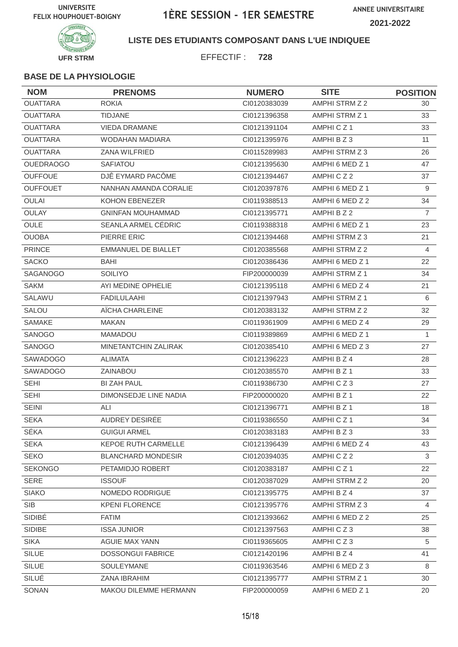**ANNEE UNIVERSITAIRE 2021-2022**



**LISTE DES ETUDIANTS COMPOSANT DANS L'UE INDIQUEE**

EFFECTIF : **728**

| <b>NOM</b>       | <b>PRENOMS</b>              | <b>NUMERO</b> | <b>SITE</b>           | <b>POSITION</b> |
|------------------|-----------------------------|---------------|-----------------------|-----------------|
| <b>OUATTARA</b>  | <b>ROKIA</b>                | CI0120383039  | AMPHI STRM Z 2        | 30              |
| <b>OUATTARA</b>  | <b>TIDJANE</b>              | CI0121396358  | AMPHI STRM Z 1        | 33              |
| <b>OUATTARA</b>  | <b>VIEDA DRAMANE</b>        | Cl0121391104  | AMPHICZ1              | 33              |
| <b>OUATTARA</b>  | WODAHAN MADIARA             | CI0121395976  | AMPHI B Z 3           | 11              |
| <b>OUATTARA</b>  | <b>ZANA WILFRIED</b>        | CI0115289983  | AMPHI STRM Z 3        | 26              |
| <b>OUEDRAOGO</b> | <b>SAFIATOU</b>             | CI0121395630  | AMPHI 6 MED Z 1       | 47              |
| <b>OUFFOUE</b>   | DJÊ EYMARD PACÔME           | CI0121394467  | AMPHICZ2              | 37              |
| <b>OUFFOUET</b>  | NANHAN AMANDA CORALIE       | CI0120397876  | AMPHI 6 MED Z 1       | 9               |
| <b>OULAI</b>     | KOHON EBENEZER              | CI0119388513  | AMPHI 6 MED Z 2       | 34              |
| OULAY            | <b>GNINFAN MOUHAMMAD</b>    | CI0121395771  | AMPHI B Z 2           | $\overline{7}$  |
| <b>OULE</b>      | SEANLA ARMEL CÉDRIC         | CI0119388318  | AMPHI 6 MED Z 1       | 23              |
| <b>OUOBA</b>     | PIERRE ERIC                 | CI0121394468  | AMPHI STRM Z 3        | 21              |
| <b>PRINCE</b>    | <b>EMMANUEL DE BIALLET</b>  | CI0120385568  | AMPHI STRM Z 2        | 4               |
| <b>SACKO</b>     | BAHI                        | CI0120386436  | AMPHI 6 MED Z 1       | 22              |
| SAGANOGO         | <b>SOILIYO</b>              | FIP200000039  | <b>AMPHI STRM Z 1</b> | 34              |
| <b>SAKM</b>      | AYI MEDINE OPHELIE          | CI0121395118  | AMPHI 6 MED Z 4       | 21              |
| SALAWU           | <b>FADILULAAHI</b>          | CI0121397943  | <b>AMPHI STRM Z 1</b> | 6               |
| SALOU            | AÏCHA CHARLEINE             | CI0120383132  | AMPHI STRM Z 2        | 32              |
| <b>SAMAKE</b>    | <b>MAKAN</b>                | CI0119361909  | AMPHI 6 MED Z 4       | 29              |
| SANOGO           | <b>MAMADOU</b>              | CI0119389869  | AMPHI 6 MED Z 1       | $\mathbf{1}$    |
| <b>SANOGO</b>    | <b>MINETANTCHIN ZALIRAK</b> | CI0120385410  | AMPHI 6 MED Z 3       | 27              |
| SAWADOGO         | <b>ALIMATA</b>              | CI0121396223  | AMPHI B Z 4           | 28              |
| SAWADOGO         | ZAINABOU                    | CI0120385570  | AMPHI B Z 1           | 33              |
| <b>SEHI</b>      | <b>BI ZAH PAUL</b>          | CI0119386730  | AMPHICZ3              | 27              |
| <b>SEHI</b>      | DIMONSEDJE LINE NADIA       | FIP200000020  | AMPHI B Z 1           | 22              |
| <b>SEINI</b>     | ALI                         | CI0121396771  | AMPHI B Z 1           | 18              |
| <b>SEKA</b>      | AUDREY DESIRÉE              | CI0119386550  | AMPHICZ <sub>1</sub>  | 34              |
| SÉKA             | <b>GUIGUI ARMEL</b>         | CI0120383183  | AMPHI B Z 3           | 33              |
| <b>SEKA</b>      | <b>KEPOE RUTH CARMELLE</b>  | CI0121396439  | AMPHI 6 MED Z 4       | 43              |
| <b>SEKO</b>      | <b>BLANCHARD MONDESIR</b>   | CI0120394035  | AMPHICZ2              | 3               |
| <b>SEKONGO</b>   | PETAMIDJO ROBERT            | Cl0120383187  | AMPHICZ1              | 22              |
| <b>SERE</b>      | <b>ISSOUF</b>               | CI0120387029  | AMPHI STRM Z 2        | 20              |
| <b>SIAKO</b>     | NOMEDO RODRIGUE             | CI0121395775  | AMPHI B Z 4           | 37              |
| SIB              | <b>KPENI FLORENCE</b>       | CI0121395776  | AMPHI STRM Z 3        | 4               |
| SIDIBÉ           | <b>FATIM</b>                | CI0121393662  | AMPHI 6 MED Z 2       | 25              |
| SIDIBE           | <b>ISSA JUNIOR</b>          | Cl0121397563  | AMPHICZ3              | 38              |
| <b>SIKA</b>      | AGUIE MAX YANN              | CI0119365605  | AMPHICZ3              | 5               |
| <b>SILUE</b>     | <b>DOSSONGUI FABRICE</b>    | CI0121420196  | AMPHI B Z 4           | 41              |
| SILUE            | SOULEYMANE                  | CI0119363546  | AMPHI 6 MED Z 3       | 8               |
| SILUÉ            | ZANA IBRAHIM                | CI0121395777  | AMPHI STRM Z 1        | 30              |
| SONAN            | MAKOU DILEMME HERMANN       | FIP200000059  | AMPHI 6 MED Z 1       | 20              |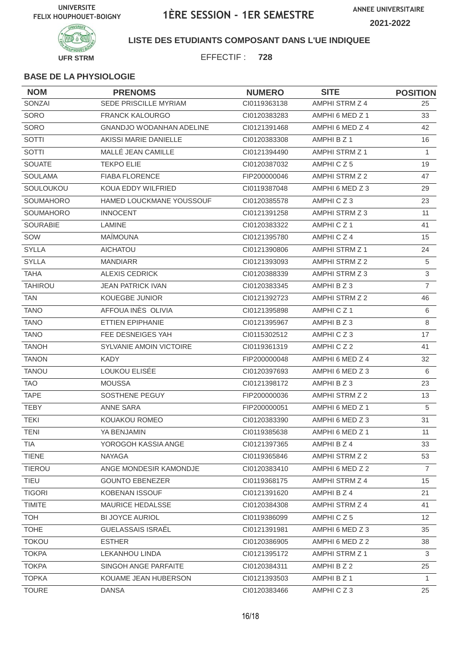

**LISTE DES ETUDIANTS COMPOSANT DANS L'UE INDIQUEE**

EFFECTIF : **728**

| <b>NOM</b>       | <b>PRENOMS</b>                  | <b>NUMERO</b> | <b>SITE</b>          | <b>POSITION</b> |
|------------------|---------------------------------|---------------|----------------------|-----------------|
| SONZAI           | SEDE PRISCILLE MYRIAM           | CI0119363138  | AMPHI STRM Z 4       | 25              |
| SORO             | <b>FRANCK KALOURGO</b>          | CI0120383283  | AMPHI 6 MED Z 1      | 33              |
| SORO             | <b>GNANDJO WODANHAN ADELINE</b> | CI0121391468  | AMPHI 6 MED Z 4      | 42              |
| <b>SOTTI</b>     | AKISSI MARIE DANIELLE           | CI0120383308  | AMPHI B Z 1          | 16              |
| SOTTI            | MALLÉ JEAN CAMILLE              | CI0121394490  | AMPHI STRM Z 1       | $\mathbf{1}$    |
| <b>SOUATE</b>    | <b>TEKPO ELIE</b>               | CI0120387032  | AMPHICZ5             | 19              |
| <b>SOULAMA</b>   | <b>FIABA FLORENCE</b>           | FIP200000046  | AMPHI STRM Z 2       | 47              |
| SOULOUKOU        | KOUA EDDY WILFRIED              | CI0119387048  | AMPHI 6 MED Z 3      | 29              |
| <b>SOUMAHORO</b> | HAMED LOUCKMANE YOUSSOUF        | CI0120385578  | AMPHICZ3             | 23              |
| <b>SOUMAHORO</b> | <b>INNOCENT</b>                 | CI0121391258  | AMPHI STRM Z 3       | 11              |
| <b>SOURABIE</b>  | LAMINE                          | CI0120383322  | AMPHICZ <sub>1</sub> | 41              |
| SOW              | <b>MAÏMOUNA</b>                 | CI0121395780  | AMPHICZ4             | 15              |
| <b>SYLLA</b>     | <b>AICHATOU</b>                 | CI0121390806  | AMPHI STRM Z 1       | 24              |
| <b>SYLLA</b>     | <b>MANDIARR</b>                 | CI0121393093  | AMPHI STRM Z 2       | $\overline{5}$  |
| <b>TAHA</b>      | <b>ALEXIS CEDRICK</b>           | CI0120388339  | AMPHI STRM Z 3       | $\mathfrak{S}$  |
| <b>TAHIROU</b>   | <b>JEAN PATRICK IVAN</b>        | CI0120383345  | AMPHI B Z 3          | $\overline{7}$  |
| <b>TAN</b>       | KOUEGBE JUNIOR                  | CI0121392723  | AMPHI STRM Z 2       | 46              |
| <b>TANO</b>      | AFFOUA INÈS OLIVIA              | CI0121395898  | AMPHICZ <sub>1</sub> | 6               |
| <b>TANO</b>      | ETTIEN EPIPHANIE                | CI0121395967  | AMPHI B Z 3          | 8               |
| <b>TANO</b>      | FEE DESNEIGES YAH               | CI0115302512  | AMPHICZ3             | 17              |
| <b>TANOH</b>     | <b>SYLVANIE AMOIN VICTOIRE</b>  | CI0119361319  | AMPHICZ2             | 41              |
| <b>TANON</b>     | <b>KADY</b>                     | FIP200000048  | AMPHI 6 MED Z 4      | 32              |
| <b>TANOU</b>     | LOUKOU ELISÉE                   | CI0120397693  | AMPHI 6 MED Z 3      | 6               |
| <b>TAO</b>       | <b>MOUSSA</b>                   | Cl0121398172  | AMPHI B Z 3          | 23              |
| <b>TAPE</b>      | SOSTHENE PEGUY                  | FIP200000036  | AMPHI STRM Z 2       | 13              |
| <b>TEBY</b>      | <b>ANNE SARA</b>                | FIP200000051  | AMPHI 6 MED Z 1      | 5               |
| <b>TEKI</b>      | KOUAKOU ROMEO                   | CI0120383390  | AMPHI 6 MED Z 3      | 31              |
| <b>TENI</b>      | YA BENJAMIN                     | CI0119385638  | AMPHI 6 MED Z 1      | 11              |
| <b>TIA</b>       | YOROGOH KASSIA ANGE             | CI0121397365  | AMPHI B Z 4          | 33              |
| <b>TIENE</b>     | <b>NAYAGA</b>                   | CI0119365846  | AMPHI STRM Z 2       | 53              |
| <b>TIEROU</b>    | ANGE MONDESIR KAMONDJE          | CI0120383410  | AMPHI 6 MED Z 2      | $\overline{7}$  |
| TIEU             | <b>GOUNTO EBENEZER</b>          | CI0119368175  | AMPHI STRM Z 4       | 15              |
| <b>TIGORI</b>    | <b>KOBENAN ISSOUF</b>           | Cl0121391620  | AMPHI B Z 4          | 21              |
| <b>TIMITE</b>    | MAURICE HEDALSSE                | CI0120384308  | AMPHI STRM Z 4       | 41              |
| <b>TOH</b>       | <b>BI JOYCE AURIOL</b>          | CI0119386099  | AMPHICZ5             | 12              |
| <b>TOHE</b>      | <b>GUELASSAIS ISRAËL</b>        | Cl0121391981  | AMPHI 6 MED Z 3      | 35              |
| <b>TOKOU</b>     | <b>ESTHER</b>                   | CI0120386905  | AMPHI 6 MED Z 2      | 38              |
| <b>TOKPA</b>     | <b>LEKANHOU LINDA</b>           | CI0121395172  | AMPHI STRM Z 1       | 3               |
| <b>TOKPA</b>     | SINGOH ANGE PARFAITE            | CI0120384311  | AMPHI B Z 2          | 25              |
| <b>TOPKA</b>     | KOUAME JEAN HUBERSON            | CI0121393503  | AMPHI B Z 1          | 1               |
| <b>TOURE</b>     | <b>DANSA</b>                    | CI0120383466  | AMPHICZ3             | 25              |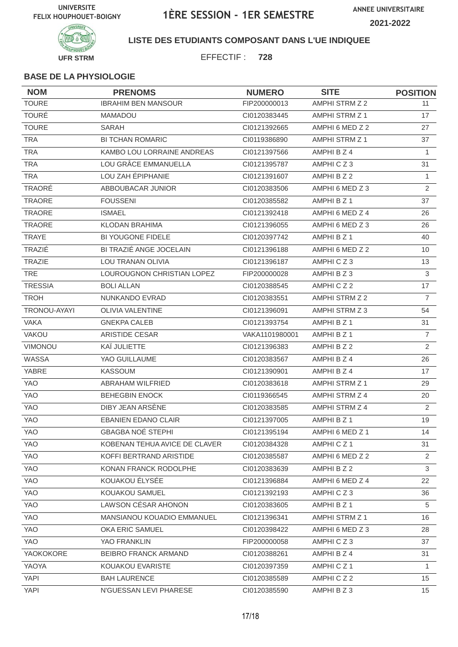

**LISTE DES ETUDIANTS COMPOSANT DANS L'UE INDIQUEE**

EFFECTIF : **728**

| <b>NOM</b>     | <b>PRENOMS</b>                    | <b>NUMERO</b>  | <b>SITE</b>           | <b>POSITION</b> |
|----------------|-----------------------------------|----------------|-----------------------|-----------------|
| <b>TOURE</b>   | <b>IBRAHIM BEN MANSOUR</b>        | FIP200000013   | AMPHI STRM Z 2        | 11              |
| <b>TOURÉ</b>   | <b>MAMADOU</b>                    | CI0120383445   | AMPHI STRM Z 1        | 17              |
| <b>TOURE</b>   | <b>SARAH</b>                      | CI0121392665   | AMPHI 6 MED Z 2       | 27              |
| <b>TRA</b>     | <b>BI TCHAN ROMARIC</b>           | CI0119386890   | <b>AMPHI STRM Z 1</b> | 37              |
| <b>TRA</b>     | KAMBO LOU LORRAINE ANDREAS        | CI0121397566   | AMPHI B Z 4           | $\mathbf{1}$    |
| <b>TRA</b>     | LOU GRÂCE EMMANUELLA              | CI0121395787   | AMPHICZ3              | 31              |
| <b>TRA</b>     | LOU ZAH ÉPIPHANIE                 | CI0121391607   | AMPHI B Z 2           | 1               |
| <b>TRAORÉ</b>  | ABBOUBACAR JUNIOR                 | CI0120383506   | AMPHI 6 MED Z 3       | 2               |
| <b>TRAORE</b>  | <b>FOUSSENI</b>                   | CI0120385582   | AMPHI B Z 1           | 37              |
| <b>TRAORE</b>  | <b>ISMAEL</b>                     | CI0121392418   | AMPHI 6 MED Z 4       | 26              |
| <b>TRAORE</b>  | <b>KLODAN BRAHIMA</b>             | CI0121396055   | AMPHI 6 MED Z 3       | 26              |
| <b>TRAYE</b>   | <b>BI YOUGONE FIDELE</b>          | CI0120397742   | AMPHI B Z 1           | 40              |
| TRAZIÉ         | BI TRAZIÉ ANGE JOCELAIN           | Cl0121396188   | AMPHI 6 MED Z 2       | 10              |
| <b>TRAZIE</b>  | <b>LOU TRANAN OLIVIA</b>          | CI0121396187   | AMPHICZ3              | 13              |
| <b>TRE</b>     | LOUROUGNON CHRISTIAN LOPEZ        | FIP200000028   | AMPHI B Z 3           | 3               |
| <b>TRESSIA</b> | <b>BOLI ALLAN</b>                 | CI0120388545   | AMPHICZ2              | 17              |
| <b>TROH</b>    | NUNKANDO EVRAD                    | CI0120383551   | AMPHI STRM Z 2        | $\overline{7}$  |
| TRONOU-AYAYI   | <b>OLIVIA VALENTINE</b>           | CI0121396091   | AMPHI STRM Z 3        | 54              |
| <b>VAKA</b>    | <b>GNEKPA CALEB</b>               | CI0121393754   | AMPHI B Z 1           | 31              |
| VAKOU          | ARISTIDE CESAR                    | VAKA1101980001 | AMPHI B Z 1           | $\overline{7}$  |
| VIMONOU        | KAÏ JULIETTE                      | CI0121396383   | AMPHI B Z 2           | 2               |
| WASSA          | YAO GUILLAUME                     | CI0120383567   | AMPHI B Z 4           | 26              |
| YABRE          | <b>KASSOUM</b>                    | CI0121390901   | AMPHI B Z 4           | 17              |
| YAO            | ABRAHAM WILFRIED                  | CI0120383618   | AMPHI STRM Z 1        | 29              |
| <b>YAO</b>     | <b>BEHEGBIN ENOCK</b>             | CI0119366545   | AMPHI STRM Z 4        | 20              |
| <b>YAO</b>     | DIBY JEAN ARSENE                  | CI0120383585   | AMPHI STRM Z 4        | 2               |
| <b>YAO</b>     | <b>EBANIEN EDANO CLAIR</b>        | CI0121397005   | AMPHI B Z 1           | 19              |
| YAO            | GBAGBA NOÉ STEPHI                 | Cl0121395194   | AMPHI 6 MED Z 1       | 14              |
| YAO            | KOBENAN TEHUA AVICE DE CLAVER     | CI0120384328   | AMPHICZ1              | 31              |
| YAO            | KOFFI BERTRAND ARISTIDE           | CI0120385587   | AMPHI 6 MED Z 2       | 2               |
| YAO            | KONAN FRANCK RODOLPHE             | CI0120383639   | AMPHI B Z 2           | 3               |
| YAO            | KOUAKOU ÉLYSÉE                    | CI0121396884   | AMPHI 6 MED Z 4       | 22              |
| <b>YAO</b>     | KOUAKOU SAMUEL                    | CI0121392193   | AMPHICZ3              | 36              |
| YAO            | LAWSON CÉSAR AHONON               | CI0120383605   | AMPHI B Z 1           | 5               |
| YAO            | <b>MANSIANOU KOUADIO EMMANUEL</b> | CI0121396341   | AMPHI STRM Z 1        | 16              |
| YAO            | OKA ERIC SAMUEL                   | CI0120398422   | AMPHI 6 MED Z 3       | 28              |
| YAO            | YAO FRANKLIN                      | FIP200000058   | AMPHICZ3              | 37              |
| YAOKOKORE      | BEIBRO FRANCK ARMAND              | CI0120388261   | AMPHI B Z 4           | 31              |
| YAOYA          | KOUAKOU EVARISTE                  | CI0120397359   | AMPHICZ1              | $\mathbf{1}$    |
| <b>YAPI</b>    | <b>BAH LAURENCE</b>               | CI0120385589   | AMPHICZ2              | 15              |
| <b>YAPI</b>    | N'GUESSAN LEVI PHARESE            | CI0120385590   | AMPHI B Z 3           | 15              |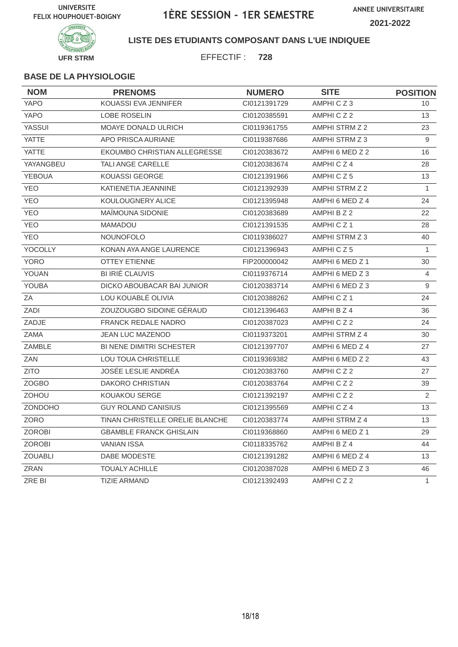

### **LISTE DES ETUDIANTS COMPOSANT DANS L'UE INDIQUEE**

EFFECTIF : **728**

| <b>NOM</b>     | <b>PRENOMS</b>                  | <b>NUMERO</b> | <b>SITE</b>           | <b>POSITION</b> |
|----------------|---------------------------------|---------------|-----------------------|-----------------|
| <b>YAPO</b>    | KOUASSI EVA JENNIFER            | CI0121391729  | AMPHICZ3              | 10              |
| <b>YAPO</b>    | <b>LOBE ROSELIN</b>             | CI0120385591  | AMPHICZ2              | 13              |
| <b>YASSUI</b>  | <b>MOAYE DONALD ULRICH</b>      | CI0119361755  | AMPHI STRM Z 2        | 23              |
| <b>YATTE</b>   | APO PRISCA AURIANE              | CI0119387686  | AMPHI STRM Z 3        | 9               |
| <b>YATTE</b>   | EKOUMBO CHRISTIAN ALLEGRESSE    | CI0120383672  | AMPHI 6 MED Z 2       | 16              |
| YAYANGBEU      | TALI ANGE CARELLE               | CI0120383674  | AMPHICZ4              | 28              |
| <b>YEBOUA</b>  | KOUASSI GEORGE                  | Cl0121391966  | AMPHICZ5              | 13              |
| <b>YEO</b>     | KATIENETIA JEANNINE             | CI0121392939  | AMPHI STRM Z 2        | $\mathbf{1}$    |
| <b>YEO</b>     | KOULOUGNERY ALICE               | Cl0121395948  | AMPHI 6 MED Z 4       | 24              |
| <b>YEO</b>     | MAÏMOUNA SIDONIE                | CI0120383689  | AMPHI B Z 2           | 22              |
| <b>YEO</b>     | <b>MAMADOU</b>                  | CI0121391535  | AMPHICZ1              | 28              |
| <b>YEO</b>     | <b>NOUNOFOLO</b>                | CI0119386027  | AMPHI STRM Z 3        | 40              |
| YOCOLLY        | KONAN AYA ANGE LAURENCE         | CI0121396943  | AMPHICZ5              | 1               |
| <b>YORO</b>    | <b>OTTEY ETIENNE</b>            | FIP200000042  | AMPHI 6 MED Z 1       | 30              |
| YOUAN          | BI IRIÉ CLAUVIS                 | CI0119376714  | AMPHI 6 MED Z 3       | 4               |
| YOUBA          | DICKO ABOUBACAR BAI JUNIOR      | CI0120383714  | AMPHI 6 MED Z 3       | 9               |
| ZA             | LOU KOUABLÉ OLIVIA              | CI0120388262  | AMPHICZ1              | 24              |
| ZADI           | ZOUZOUGBO SIDOINE GÉRAUD        | CI0121396463  | AMPHI B Z 4           | 36              |
| ZADJE          | <b>FRANCK REDALE NADRO</b>      | CI0120387023  | AMPHICZ2              | 24              |
| ZAMA           | <b>JEAN LUC MAZENOD</b>         | CI0119373201  | <b>AMPHI STRM Z 4</b> | 30              |
| <b>ZAMBLE</b>  | <b>BI NENE DIMITRI SCHESTER</b> | CI0121397707  | AMPHI 6 MED Z 4       | 27              |
| ZAN            | <b>LOU TOUA CHRISTELLE</b>      | CI0119369382  | AMPHI 6 MED Z 2       | 43              |
| <b>ZITO</b>    | JOSÉE LESLIE ANDRÉA             | CI0120383760  | AMPHICZ2              | 27              |
| <b>ZOGBO</b>   | <b>DAKORO CHRISTIAN</b>         | CI0120383764  | AMPHICZ2              | 39              |
| <b>ZOHOU</b>   | <b>KOUAKOU SERGE</b>            | CI0121392197  | AMPHICZ2              | 2               |
| ZONDOHO        | <b>GUY ROLAND CANISIUS</b>      | Cl0121395569  | AMPHICZ4              | 13              |
| <b>ZORO</b>    | TINAN CHRISTELLE ORELIE BLANCHE | CI0120383774  | AMPHI STRM Z 4        | 13              |
| <b>ZOROBI</b>  | <b>GBAMBLE FRANCK GHISLAIN</b>  | CI0119368860  | AMPHI 6 MED Z 1       | 29              |
| <b>ZOROBI</b>  | <b>VANIAN ISSA</b>              | CI0118335762  | AMPHI B Z 4           | 44              |
| <b>ZOUABLI</b> | DABE MODESTE                    | CI0121391282  | AMPHI 6 MED Z 4       | 13              |
| <b>ZRAN</b>    | <b>TOUALY ACHILLE</b>           | CI0120387028  | AMPHI 6 MED Z 3       | 46              |
| <b>ZRE BI</b>  | <b>TIZIE ARMAND</b>             | CI0121392493  | AMPHICZ2              | $\mathbf{1}$    |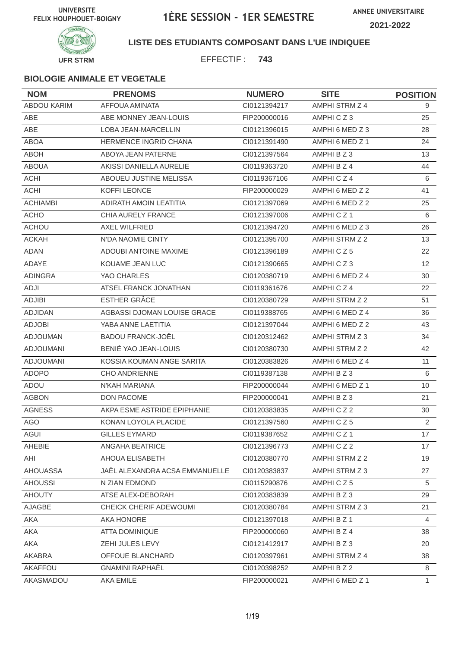

### **LISTE DES ETUDIANTS COMPOSANT DANS L'UE INDIQUEE**

EFFECTIF : **743**

| <b>NOM</b>         | <b>PRENOMS</b>                 | <b>NUMERO</b> | <b>SITE</b>          | <b>POSITION</b> |
|--------------------|--------------------------------|---------------|----------------------|-----------------|
| <b>ABDOU KARIM</b> | <b>AFFOUA AMINATA</b>          | CI0121394217  | AMPHI STRM Z 4       | 9               |
| ABE                | ABE MONNEY JEAN-LOUIS          | FIP200000016  | AMPHICZ3             | 25              |
| <b>ABE</b>         | LOBA JEAN-MARCELLIN            | CI0121396015  | AMPHI 6 MED Z 3      | 28              |
| <b>ABOA</b>        | <b>HERMENCE INGRID CHANA</b>   | CI0121391490  | AMPHI 6 MED Z 1      | 24              |
| <b>ABOH</b>        | ABOYA JEAN PATERNE             | CI0121397564  | AMPHI B Z 3          | 13              |
| <b>ABOUA</b>       | AKISSI DANIELLA AURELIE        | CI0119363720  | AMPHI B Z 4          | 44              |
| <b>ACHI</b>        | ABOUEU JUSTINE MELISSA         | CI0119367106  | AMPHICZ4             | 6               |
| <b>ACHI</b>        | KOFFI LEONCE                   | FIP200000029  | AMPHI 6 MED Z 2      | 41              |
| <b>ACHIAMBI</b>    | ADIRATH AMOIN LEATITIA         | CI0121397069  | AMPHI 6 MED Z 2      | 25              |
| <b>ACHO</b>        | <b>CHIA AURELY FRANCE</b>      | CI0121397006  | AMPHICZ <sub>1</sub> | 6               |
| <b>ACHOU</b>       | <b>AXEL WILFRIED</b>           | CI0121394720  | AMPHI 6 MED Z 3      | 26              |
| <b>ACKAH</b>       | N'DA NAOMIE CINTY              | CI0121395700  | AMPHI STRM Z 2       | 13              |
| <b>ADAN</b>        | <b>ADOUBI ANTOINE MAXIME</b>   | CI0121396189  | AMPHICZ5             | 22              |
| <b>ADAYE</b>       | KOUAME JEAN LUC                | CI0121390665  | AMPHICZ3             | 12              |
| <b>ADINGRA</b>     | YAO CHARLES                    | CI0120380719  | AMPHI 6 MED Z 4      | 30              |
| ADJI               | ATSEL FRANCK JONATHAN          | CI0119361676  | AMPHICZ4             | 22              |
| <b>ADJIBI</b>      | <b>ESTHER GRÂCE</b>            | CI0120380729  | AMPHI STRM Z 2       | 51              |
| <b>ADJIDAN</b>     | AGBASSI DJOMAN LOUISE GRACE    | CI0119388765  | AMPHI 6 MED Z 4      | 36              |
| <b>ADJOBI</b>      | YABA ANNE LAETITIA             | CI0121397044  | AMPHI 6 MED Z 2      | 43              |
| <b>ADJOUMAN</b>    | <b>BADOU FRANCK-JOËL</b>       | Cl0120312462  | AMPHI STRM Z 3       | 34              |
| <b>ADJOUMANI</b>   | BENIÉ YAO JEAN-LOUIS           | CI0120380730  | AMPHI STRM Z 2       | 42              |
| <b>ADJOUMANI</b>   | KOSSIA KOUMAN ANGE SARITA      | CI0120383826  | AMPHI 6 MED Z 4      | 11              |
| <b>ADOPO</b>       | <b>CHO ANDRIENNE</b>           | CI0119387138  | AMPHI B Z 3          | 6               |
| ADOU               | N'KAH MARIANA                  | FIP200000044  | AMPHI 6 MED Z 1      | 10              |
| <b>AGBON</b>       | <b>DON PACOME</b>              | FIP200000041  | AMPHI B Z 3          | 21              |
| <b>AGNESS</b>      | AKPA ESME ASTRIDE EPIPHANIE    | CI0120383835  | AMPHICZ2             | 30              |
| <b>AGO</b>         | KONAN LOYOLA PLACIDE           | CI0121397560  | AMPHICZ5             | $\overline{2}$  |
| AGUI               | <b>GILLES EYMARD</b>           | CI0119387652  | AMPHICZ1             | 17              |
| AHEBIE             | <b>ANGAHA BEATRICE</b>         | CI0121396773  | AMPHICZ2             | 17              |
| AHI                | AHOUA ELISABETH                | CI0120380770  | AMPHI STRM Z 2       | 19              |
| <b>AHOUASSA</b>    | JAËL ALEXANDRA ACSA EMMANUELLE | CI0120383837  | AMPHI STRM Z 3       | 27              |
| <b>AHOUSSI</b>     | N ZIAN EDMOND                  | CI0115290876  | AMPHICZ5             | 5               |
| <b>AHOUTY</b>      | ATSE ALEX-DEBORAH              | CI0120383839  | AMPHI B Z 3          | 29              |
| AJAGBE             | CHEICK CHERIF ADEWOUMI         | Cl0120380784  | AMPHI STRM Z 3       | 21              |
| AKA                | AKA HONORE                     | CI0121397018  | AMPHI B Z 1          | 4               |
| AKA                | ATTA DOMINIQUE                 | FIP200000060  | AMPHI B Z 4          | 38              |
| AKA                | ZEHI JULES LEVY                | CI0121412917  | AMPHI B Z 3          | 20              |
| AKABRA             | OFFOUE BLANCHARD               | CI0120397961  | AMPHI STRM Z 4       | 38              |
| AKAFFOU            | <b>GNAMINI RAPHAËL</b>         | CI0120398252  | AMPHI B Z 2          | 8               |
| AKASMADOU          | AKA EMILE                      | FIP200000021  | AMPHI 6 MED Z 1      | 1               |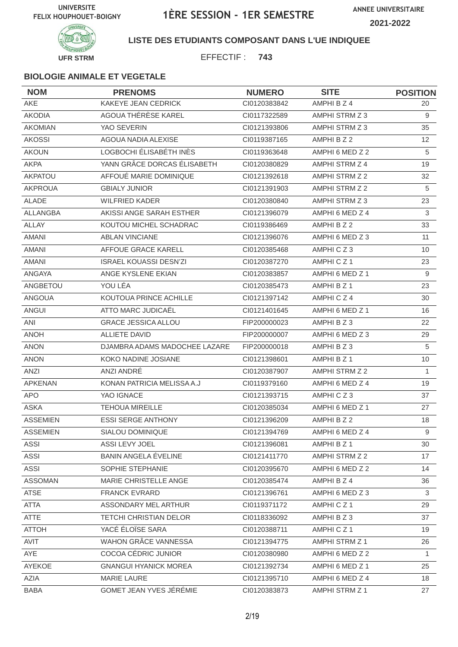

#### **LISTE DES ETUDIANTS COMPOSANT DANS L'UE INDIQUEE**

EFFECTIF : **743**

| <b>NOM</b>      | <b>PRENOMS</b>                | <b>NUMERO</b> | <b>SITE</b>     | <b>POSITION</b>   |
|-----------------|-------------------------------|---------------|-----------------|-------------------|
| AKE             | KAKEYE JEAN CEDRICK           | CI0120383842  | AMPHI B Z 4     | 20                |
| <b>AKODIA</b>   | AGOUA THÉRÈSE KAREL           | CI0117322589  | AMPHI STRM Z 3  | 9                 |
| <b>AKOMIAN</b>  | YAO SEVERIN                   | CI0121393806  | AMPHI STRM Z 3  | 35                |
| <b>AKOSSI</b>   | AGOUA NADIA ALEXISE           | CI0119387165  | AMPHI B Z 2     | $12 \overline{ }$ |
| <b>AKOUN</b>    | LOGBOCHI ÉLISABÉTH INÈS       | CI0119363648  | AMPHI 6 MED Z 2 | 5                 |
| <b>AKPA</b>     | YANN GRÂCE DORCAS ÉLISABETH   | CI0120380829  | AMPHI STRM Z 4  | 19                |
| AKPATOU         | AFFOUÉ MARIE DOMINIQUE        | CI0121392618  | AMPHI STRM Z 2  | 32                |
| <b>AKPROUA</b>  | <b>GBIALY JUNIOR</b>          | CI0121391903  | AMPHI STRM Z 2  | 5                 |
| <b>ALADE</b>    | <b>WILFRIED KADER</b>         | CI0120380840  | AMPHI STRM Z 3  | 23                |
| <b>ALLANGBA</b> | AKISSI ANGE SARAH ESTHER      | CI0121396079  | AMPHI 6 MED Z 4 | 3                 |
| <b>ALLAY</b>    | KOUTOU MICHEL SCHADRAC        | CI0119386469  | AMPHI B Z 2     | 33                |
| <b>AMANI</b>    | <b>ABLAN VINCIANE</b>         | CI0121396076  | AMPHI 6 MED Z 3 | 11                |
| <b>AMANI</b>    | AFFOUE GRACE KARELL           | CI0120385468  | AMPHICZ3        | 10                |
| <b>AMANI</b>    | <b>ISRAEL KOUASSI DESN'ZI</b> | CI0120387270  | AMPHICZ1        | 23                |
| <b>ANGAYA</b>   | ANGE KYSLENE EKIAN            | CI0120383857  | AMPHI 6 MED Z 1 | 9                 |
| ANGBETOU        | YOU LÉA                       | CI0120385473  | AMPHI B Z 1     | 23                |
| <b>ANGOUA</b>   | KOUTOUA PRINCE ACHILLE        | CI0121397142  | AMPHICZ4        | 30                |
| <b>ANGUI</b>    | ATTO MARC JUDICAËL            | CI0121401645  | AMPHI 6 MED Z 1 | 16                |
| ANI             | <b>GRACE JESSICA ALLOU</b>    | FIP200000023  | AMPHI B Z 3     | 22                |
| <b>ANOH</b>     | <b>ALLIETE DAVID</b>          | FIP200000007  | AMPHI 6 MED Z 3 | 29                |
| <b>ANON</b>     | DJAMBRA ADAMS MADOCHEE LAZARE | FIP200000018  | AMPHI B Z 3     | $\sqrt{5}$        |
| <b>ANON</b>     | KOKO NADINE JOSIANE           | CI0121398601  | AMPHI B Z 1     | 10                |
| ANZI            | ANZI ANDRÉ                    | CI0120387907  | AMPHI STRM Z 2  | $\mathbf{1}$      |
| <b>APKENAN</b>  | KONAN PATRICIA MELISSA A.J    | CI0119379160  | AMPHI 6 MED Z 4 | 19                |
| APO.            | YAO IGNACE                    | CI0121393715  | AMPHICZ3        | 37                |
| <b>ASKA</b>     | <b>TEHOUA MIREILLE</b>        | CI0120385034  | AMPHI 6 MED Z 1 | 27                |
| <b>ASSEMIEN</b> | <b>ESSI SERGE ANTHONY</b>     | CI0121396209  | AMPHI B Z 2     | 18                |
| <b>ASSEMIEN</b> | SIALOU DOMINIQUE              | CI0121394769  | AMPHI 6 MED Z 4 | 9                 |
| ASSI            | ASSI LEVY JOEL                | CI0121396081  | AMPHI B Z 1     | 30                |
| <b>ASSI</b>     | BANIN ANGELA EVELINE          | CI0121411770  | AMPHI STRM Z 2  | 17                |
| <b>ASSI</b>     | SOPHIE STEPHANIE              | CI0120395670  | AMPHI 6 MED Z 2 | 14                |
| <b>ASSOMAN</b>  | MARIE CHRISTELLE ANGE         | CI0120385474  | AMPHI B Z 4     | 36                |
| <b>ATSE</b>     | <b>FRANCK EVRARD</b>          | CI0121396761  | AMPHI 6 MED Z 3 | 3                 |
| <b>ATTA</b>     | ASSONDARY MEL ARTHUR          | CI0119371172  | AMPHICZ1        | 29                |
| <b>ATTE</b>     | TETCHI CHRISTIAN DELOR        | CI0118336092  | AMPHI B Z 3     | 37                |
| <b>ATTOH</b>    | YACÉ ÉLOÏSE SARA              | CI0120388711  | AMPHICZ1        | 19                |
| AVIT            | <b>WAHON GRÂCE VANNESSA</b>   | CI0121394775  | AMPHI STRM Z 1  | 26                |
| AYE             | COCOA CÉDRIC JUNIOR           | CI0120380980  | AMPHI 6 MED Z 2 | $\mathbf{1}$      |
| AYEKOE          | <b>GNANGUI HYANICK MOREA</b>  | Cl0121392734  | AMPHI 6 MED Z 1 | 25                |
| AZIA            | MARIE LAURE                   | Cl0121395710  | AMPHI 6 MED Z 4 | 18                |
| <b>BABA</b>     | GOMET JEAN YVES JÉRÉMIE       | CI0120383873  | AMPHI STRM Z 1  | 27                |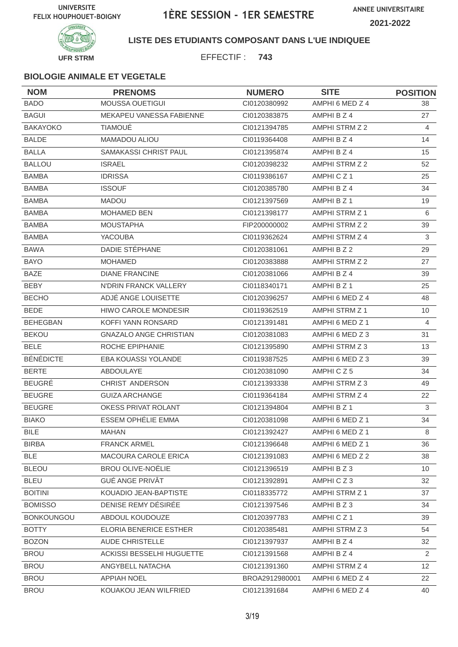

#### **LISTE DES ETUDIANTS COMPOSANT DANS L'UE INDIQUEE**

EFFECTIF : **743**

| <b>NOM</b>        | <b>PRENOMS</b>                   | <b>NUMERO</b>  | <b>SITE</b>          | <b>POSITION</b> |
|-------------------|----------------------------------|----------------|----------------------|-----------------|
| <b>BADO</b>       | <b>MOUSSA OUETIGUI</b>           | CI0120380992   | AMPHI 6 MED Z 4      | 38              |
| <b>BAGUI</b>      | MEKAPEU VANESSA FABIENNE         | CI0120383875   | AMPHI B Z 4          | 27              |
| <b>BAKAYOKO</b>   | <b>TIAMOUÉ</b>                   | CI0121394785   | AMPHI STRM Z 2       | 4               |
| <b>BALDE</b>      | MAMADOU ALIOU                    | CI0119364408   | AMPHI B Z 4          | 14              |
| <b>BALLA</b>      | SAMAKASSI CHRIST PAUL            | CI0121395874   | AMPHI B Z 4          | 15              |
| <b>BALLOU</b>     | <b>ISRAEL</b>                    | CI0120398232   | AMPHI STRM Z 2       | 52              |
| <b>BAMBA</b>      | <b>IDRISSA</b>                   | CI0119386167   | AMPHICZ <sub>1</sub> | 25              |
| <b>BAMBA</b>      | <b>ISSOUF</b>                    | CI0120385780   | AMPHI B Z 4          | 34              |
| <b>BAMBA</b>      | <b>MADOU</b>                     | CI0121397569   | AMPHI B Z 1          | 19              |
| <b>BAMBA</b>      | <b>MOHAMED BEN</b>               | CI0121398177   | AMPHI STRM Z 1       | 6               |
| <b>BAMBA</b>      | <b>MOUSTAPHA</b>                 | FIP200000002   | AMPHI STRM Z 2       | 39              |
| <b>BAMBA</b>      | <b>YACOUBA</b>                   | CI0119362624   | AMPHI STRM Z 4       | 3               |
| <b>BAWA</b>       | DADIE STÉPHANE                   | CI0120381061   | AMPHI B Z 2          | 29              |
| <b>BAYO</b>       | <b>MOHAMED</b>                   | CI0120383888   | AMPHI STRM Z 2       | 27              |
| <b>BAZE</b>       | <b>DIANE FRANCINE</b>            | CI0120381066   | AMPHI B Z 4          | 39              |
| BEBY              | N'DRIN FRANCK VALLERY            | CI0118340171   | AMPHI B Z 1          | 25              |
| <b>BECHO</b>      | ADJÉ ANGE LOUISETTE              | CI0120396257   | AMPHI 6 MED Z 4      | 48              |
| <b>BEDE</b>       | <b>HIWO CAROLE MONDESIR</b>      | CI0119362519   | AMPHI STRM Z 1       | 10              |
| <b>BEHEGBAN</b>   | KOFFI YANN RONSARD               | CI0121391481   | AMPHI 6 MED Z 1      | 4               |
| <b>BEKOU</b>      | <b>GNAZALO ANGE CHRISTIAN</b>    | CI0120381083   | AMPHI 6 MED Z 3      | 31              |
| <b>BELE</b>       | ROCHE EPIPHANIE                  | CI0121395890   | AMPHI STRM Z 3       | 13              |
| <b>BÉNÉDICTE</b>  | <b>EBA KOUASSI YOLANDE</b>       | CI0119387525   | AMPHI 6 MED Z 3      | 39              |
| <b>BERTE</b>      | ABDOULAYE                        | CI0120381090   | AMPHICZ5             | 34              |
| <b>BEUGRÉ</b>     | CHRIST ANDERSON                  | CI0121393338   | AMPHI STRM Z 3       | 49              |
| <b>BEUGRE</b>     | <b>GUIZA ARCHANGE</b>            | CI0119364184   | AMPHI STRM Z 4       | 22              |
| <b>BEUGRE</b>     | OKESS PRIVAT ROLANT              | CI0121394804   | AMPHI B Z 1          | 3               |
| <b>BIAKO</b>      | <b>ESSEM OPHÉLIE EMMA</b>        | CI0120381098   | AMPHI 6 MED Z 1      | 34              |
| <b>BILE</b>       | <b>MAHAN</b>                     | CI0121392427   | AMPHI 6 MED Z 1      | 8               |
| <b>BIRBA</b>      | <b>FRANCK ARMEL</b>              | CI0121396648   | AMPHI 6 MED Z 1      | 36              |
| <b>BLE</b>        | MACOURA CAROLE ERICA             | CI0121391083   | AMPHI 6 MED Z 2      | 38              |
| <b>BLEOU</b>      | <b>BROU OLIVE-NOËLIE</b>         | CI0121396519   | AMPHI B Z 3          | 10              |
| <b>BLEU</b>       | <b>GUÉ ANGE PRIVÂT</b>           | CI0121392891   | AMPHICZ3             | 32              |
| <b>BOITINI</b>    | KOUADIO JEAN-BAPTISTE            | CI0118335772   | AMPHI STRM Z 1       | 37              |
| <b>BOMISSO</b>    | DENISE REMY DÉSIRÉE              | Cl0121397546   | AMPHI B Z 3          | 34              |
| <b>BONKOUNGOU</b> | ABDOUL KOUDOUZE                  | CI0120397783   | AMPHICZ1             | 39              |
| <b>BOTTY</b>      | ELORIA BENERICE ESTHER           | CI0120385481   | AMPHI STRM Z 3       | 54              |
| <b>BOZON</b>      | <b>AUDE CHRISTELLE</b>           | CI0121397937   | AMPHI B Z 4          | 32              |
| <b>BROU</b>       | <b>ACKISSI BESSELHI HUGUETTE</b> | CI0121391568   | AMPHI B Z 4          | $\overline{2}$  |
| <b>BROU</b>       | ANGYBELL NATACHA                 | CI0121391360   | AMPHI STRM Z 4       | 12 <sup>°</sup> |
| <b>BROU</b>       | <b>APPIAH NOEL</b>               | BROA2912980001 | AMPHI 6 MED Z 4      | 22              |
| <b>BROU</b>       | KOUAKOU JEAN WILFRIED            | CI0121391684   | AMPHI 6 MED Z 4      | 40              |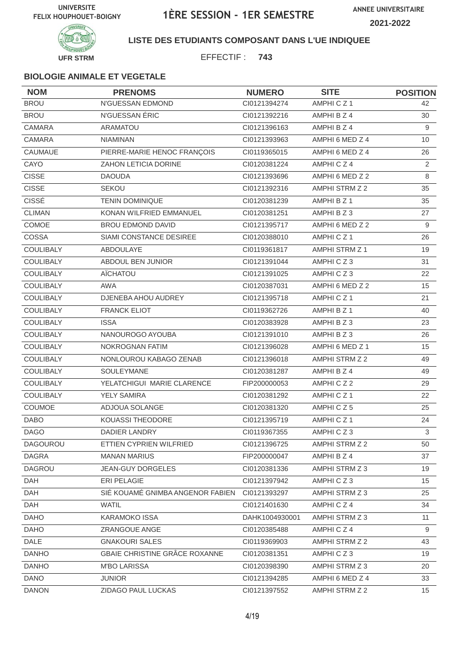

### **LISTE DES ETUDIANTS COMPOSANT DANS L'UE INDIQUEE**

EFFECTIF : **743**

| <b>NOM</b>       | <b>PRENOMS</b>                   | <b>NUMERO</b>  | <b>SITE</b>     | <b>POSITION</b> |
|------------------|----------------------------------|----------------|-----------------|-----------------|
| <b>BROU</b>      | N'GUESSAN EDMOND                 | Cl0121394274   | AMPHICZ1        | 42              |
| <b>BROU</b>      | N'GUESSAN ÉRIC                   | Cl0121392216   | AMPHI B Z 4     | 30              |
| CAMARA           | ARAMATOU                         | CI0121396163   | AMPHI B Z 4     | 9               |
| <b>CAMARA</b>    | <b>NIAMINAN</b>                  | CI0121393963   | AMPHI 6 MED Z 4 | 10              |
| CAUMAUE          | PIERRE-MARIE HENOC FRANÇOIS      | CI0119365015   | AMPHI 6 MED Z 4 | 26              |
| CAYO             | ZAHON LETICIA DORINE             | CI0120381224   | AMPHICZ4        | 2               |
| <b>CISSE</b>     | <b>DAOUDA</b>                    | CI0121393696   | AMPHI 6 MED Z 2 | 8               |
| <b>CISSE</b>     | <b>SEKOU</b>                     | Cl0121392316   | AMPHI STRM Z 2  | 35              |
| <b>CISSÉ</b>     | <b>TENIN DOMINIQUE</b>           | CI0120381239   | AMPHI B Z 1     | 35              |
| <b>CLIMAN</b>    | KONAN WILFRIED EMMANUEL          | CI0120381251   | AMPHI B Z 3     | 27              |
| COMOE            | <b>BROU EDMOND DAVID</b>         | CI0121395717   | AMPHI 6 MED Z 2 | 9               |
| COSSA            | SIAMI CONSTANCE DESIREE          | CI0120388010   | AMPHICZ1        | 26              |
| <b>COULIBALY</b> | ABDOULAYE                        | CI0119361817   | AMPHI STRM Z 1  | 19              |
| <b>COULIBALY</b> | <b>ABDOUL BEN JUNIOR</b>         | CI0121391044   | AMPHICZ3        | 31              |
| <b>COULIBALY</b> | AÏCHATOU                         | Cl0121391025   | AMPHICZ3        | 22              |
| <b>COULIBALY</b> | <b>AWA</b>                       | CI0120387031   | AMPHI 6 MED Z 2 | 15              |
| COULIBALY        | DJENEBA AHOU AUDREY              | CI0121395718   | AMPHICZ1        | 21              |
| <b>COULIBALY</b> | <b>FRANCK ELIOT</b>              | CI0119362726   | AMPHI B Z 1     | 40              |
| <b>COULIBALY</b> | <b>ISSA</b>                      | CI0120383928   | AMPHIBZ3        | 23              |
| COULIBALY        | NANOUROGO AYOUBA                 | Cl0121391010   | AMPHI B Z 3     | 26              |
| COULIBALY        | NOKROGNAN FATIM                  | Cl0121396028   | AMPHI 6 MED Z 1 | 15              |
| <b>COULIBALY</b> | NONLOUROU KABAGO ZENAB           | Cl0121396018   | AMPHI STRM Z 2  | 49              |
| COULIBALY        | SOULEYMANE                       | CI0120381287   | AMPHI B Z 4     | 49              |
| <b>COULIBALY</b> | YELATCHIGUI MARIE CLARENCE       | FIP200000053   | AMPHICZ2        | 29              |
| COULIBALY        | <b>YELY SAMIRA</b>               | CI0120381292   | AMPHICZ1        | 22              |
| COUMOE           | ADJOUA SOLANGE                   | Cl0120381320   | AMPHICZ5        | 25              |
| <b>DABO</b>      | KOUASSI THEODORE                 | CI0121395719   | AMPHICZ1        | 24              |
| <b>DAGO</b>      | DADIER LANDRY                    | CI0119367355   | AMPHICZ3        | $\mathbf{3}$    |
| <b>DAGOUROU</b>  | ETTIEN CYPRIEN WILFRIED          | Cl0121396725   | AMPHI STRM Z 2  | 50              |
| <b>DAGRA</b>     | <b>MANAN MARIUS</b>              | FIP200000047   | AMPHI B Z 4     | 37              |
| <b>DAGROU</b>    | <b>JEAN-GUY DORGELES</b>         | CI0120381336   | AMPHI STRM Z 3  | 19              |
| DAH              | ERI PELAGIE                      | Cl0121397942   | AMPHICZ3        | 15              |
| DAH              | SIÉ KOUAMÉ GNIMBA ANGENOR FABIEN | CI0121393297   | AMPHI STRM Z 3  | 25              |
| <b>DAH</b>       | <b>WATIL</b>                     | Cl0121401630   | AMPHICZ4        | 34              |
| <b>DAHO</b>      | <b>KARAMOKO ISSA</b>             | DAHK1004930001 | AMPHI STRM Z 3  | 11              |
| <b>DAHO</b>      | ZRANGOUE ANGE                    | Cl0120385488   | AMPHICZ4        | 9               |
| DALE             | <b>GNAKOURI SALES</b>            | CI0119369903   | AMPHI STRM Z 2  | 43              |
| <b>DANHO</b>     | GBAIE CHRISTINE GRÂCE ROXANNE    | Cl0120381351   | AMPHICZ3        | 19              |
| <b>DANHO</b>     | <b>M'BO LARISSA</b>              | CI0120398390   | AMPHI STRM Z 3  | 20              |
| <b>DANO</b>      | <b>JUNIOR</b>                    | CI0121394285   | AMPHI 6 MED Z 4 | 33              |
| <b>DANON</b>     | ZIDAGO PAUL LUCKAS               | CI0121397552   | AMPHI STRM Z 2  | 15              |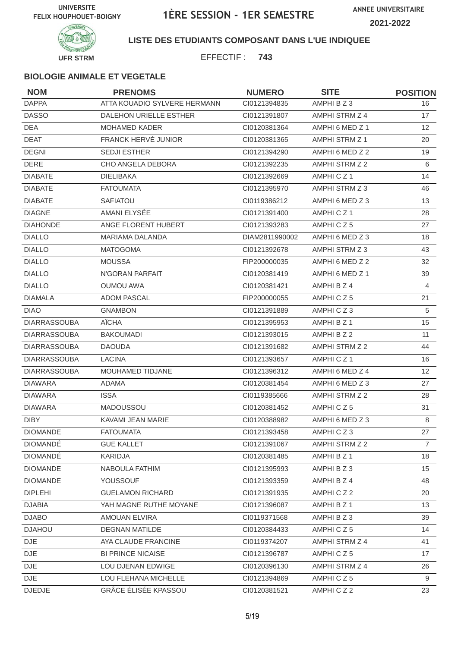

### **LISTE DES ETUDIANTS COMPOSANT DANS L'UE INDIQUEE**

EFFECTIF : **743**

| <b>NOM</b>          | <b>PRENOMS</b>               | <b>NUMERO</b>  | <b>SITE</b>          | <b>POSITION</b> |
|---------------------|------------------------------|----------------|----------------------|-----------------|
| <b>DAPPA</b>        | ATTA KOUADIO SYLVERE HERMANN | CI0121394835   | AMPHI B Z 3          | 16              |
| <b>DASSO</b>        | DALEHON URIELLE ESTHER       | CI0121391807   | AMPHI STRM Z 4       | 17              |
| <b>DEA</b>          | MOHAMED KADER                | CI0120381364   | AMPHI 6 MED Z 1      | 12              |
| <b>DEAT</b>         | <b>FRANCK HERVÉ JUNIOR</b>   | CI0120381365   | AMPHI STRM Z 1       | 20              |
| <b>DEGNI</b>        | <b>SEDJI ESTHER</b>          | CI0121394290   | AMPHI 6 MED Z 2      | 19              |
| <b>DERE</b>         | CHO ANGELA DEBORA            | CI0121392235   | AMPHI STRM Z 2       | 6               |
| <b>DIABATE</b>      | <b>DIELIBAKA</b>             | CI0121392669   | AMPHICZ <sub>1</sub> | 14              |
| <b>DIABATE</b>      | <b>FATOUMATA</b>             | CI0121395970   | AMPHI STRM Z 3       | 46              |
| <b>DIABATE</b>      | SAFIATOU                     | CI0119386212   | AMPHI 6 MED Z 3      | 13              |
| <b>DIAGNE</b>       | AMANI ELYSÉE                 | CI0121391400   | AMPHICZ <sub>1</sub> | 28              |
| <b>DIAHONDE</b>     | ANGE FLORENT HUBERT          | CI0121393283   | AMPHICZ5             | 27              |
| <b>DIALLO</b>       | <b>MARIAMA DALANDA</b>       | DIAM2811990002 | AMPHI 6 MED Z 3      | 18              |
| <b>DIALLO</b>       | <b>MATOGOMA</b>              | CI0121392678   | AMPHI STRM Z 3       | 43              |
| <b>DIALLO</b>       | <b>MOUSSA</b>                | FIP200000035   | AMPHI 6 MED Z 2      | 32              |
| <b>DIALLO</b>       | N'GORAN PARFAIT              | CI0120381419   | AMPHI 6 MED Z 1      | 39              |
| <b>DIALLO</b>       | <b>OUMOU AWA</b>             | CI0120381421   | AMPHI B Z 4          | 4               |
| <b>DIAMALA</b>      | <b>ADOM PASCAL</b>           | FIP200000055   | AMPHICZ5             | 21              |
| <b>DIAO</b>         | <b>GNAMBON</b>               | CI0121391889   | AMPHICZ3             | 5               |
| <b>DIARRASSOUBA</b> | AÏCHA                        | CI0121395953   | AMPHI B Z 1          | 15              |
| <b>DIARRASSOUBA</b> | <b>BAKOUMADI</b>             | CI0121393015   | AMPHI B Z 2          | 11              |
| <b>DIARRASSOUBA</b> | <b>DAOUDA</b>                | CI0121391682   | AMPHI STRM Z 2       | 44              |
| <b>DIARRASSOUBA</b> | <b>LACINA</b>                | CI0121393657   | AMPHICZ <sub>1</sub> | 16              |
| <b>DIARRASSOUBA</b> | MOUHAMED TIDJANE             | CI0121396312   | AMPHI 6 MED Z 4      | 12              |
| <b>DIAWARA</b>      | <b>ADAMA</b>                 | CI0120381454   | AMPHI 6 MED Z 3      | 27              |
| <b>DIAWARA</b>      | <b>ISSA</b>                  | CI0119385666   | AMPHI STRM Z 2       | 28              |
| <b>DIAWARA</b>      | MADOUSSOU                    | CI0120381452   | AMPHICZ5             | 31              |
| <b>DIBY</b>         | KAVAMI JEAN MARIE            | CI0120388982   | AMPHI 6 MED Z 3      | 8               |
| <b>DIOMANDE</b>     | <b>FATOUMATA</b>             | Cl0121393458   | AMPHICZ3             | 27              |
| <b>DIOMANDE</b>     | <b>GUE KALLET</b>            | CI0121391067   | AMPHI STRM Z 2       | $\overline{7}$  |
| <b>DIOMANDÉ</b>     | KARIDJA                      | CI0120381485   | AMPHI B Z 1          | 18              |
| <b>DIOMANDE</b>     | NABOULA FATHIM               | CI0121395993   | AMPHI B Z 3          | 15              |
| <b>DIOMANDE</b>     | <b>YOUSSOUF</b>              | CI0121393359   | AMPHI B Z 4          | 48              |
| <b>DIPLEHI</b>      | <b>GUELAMON RICHARD</b>      | CI0121391935   | AMPHICZ2             | 20              |
| <b>DJABIA</b>       | YAH MAGNE RUTHE MOYANE       | CI0121396087   | AMPHI B Z 1          | 13              |
| <b>DJABO</b>        | <b>AMOUAN ELVIRA</b>         | CI0119371568   | AMPHI B Z 3          | 39              |
| <b>DJAHOU</b>       | <b>DEGNAN MATILDE</b>        | CI0120384433   | AMPHICZ5             | 14              |
| DJE                 | AYA CLAUDE FRANCINE          | CI0119374207   | AMPHI STRM Z 4       | 41              |
| DJE                 | <b>BI PRINCE NICAISE</b>     | CI0121396787   | AMPHICZ5             | 17              |
| <b>DJE</b>          | LOU DJENAN EDWIGE            | CI0120396130   | AMPHI STRM Z 4       | 26              |
| <b>DJE</b>          | LOU FLEHANA MICHELLE         | CI0121394869   | AMPHICZ5             | 9               |
| <b>DJEDJE</b>       | GRÂCE ÉLISÉE KPASSOU         | CI0120381521   | AMPHICZ2             | 23              |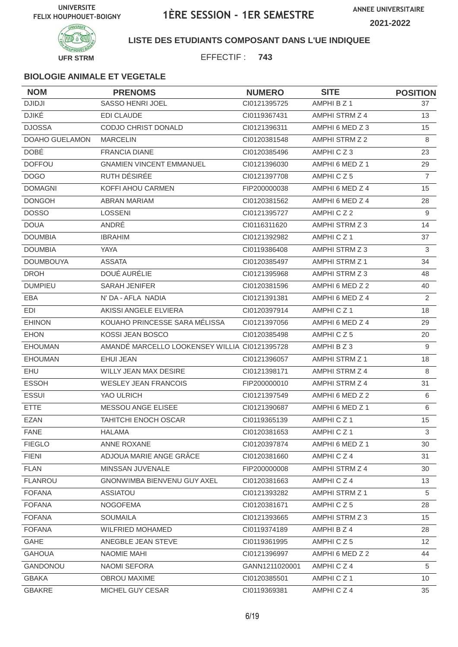

### **LISTE DES ETUDIANTS COMPOSANT DANS L'UE INDIQUEE**

EFFECTIF : **743**

| <b>NOM</b>            | <b>PRENOMS</b>                                | <b>NUMERO</b>  | <b>SITE</b>          | <b>POSITION</b> |
|-----------------------|-----------------------------------------------|----------------|----------------------|-----------------|
| <b>DJIDJI</b>         | SASSO HENRI JOEL                              | CI0121395725   | AMPHI B Z 1          | 37              |
| <b>DJIKÉ</b>          | <b>EDI CLAUDE</b>                             | CI0119367431   | AMPHI STRM Z 4       | 13              |
| <b>DJOSSA</b>         | CODJO CHRIST DONALD                           | CI0121396311   | AMPHI 6 MED Z 3      | 15              |
| <b>DOAHO GUELAMON</b> | <b>MARCELIN</b>                               | CI0120381548   | AMPHI STRM Z 2       | 8               |
| <b>DOBÉ</b>           | <b>FRANCIA DIANE</b>                          | CI0120385496   | AMPHICZ3             | 23              |
| <b>DOFFOU</b>         | <b>GNAMIEN VINCENT EMMANUEL</b>               | CI0121396030   | AMPHI 6 MED Z 1      | 29              |
| <b>DOGO</b>           | RUTH DÉSIRÉE                                  | CI0121397708   | AMPHICZ5             | $\overline{7}$  |
| <b>DOMAGNI</b>        | KOFFI AHOU CARMEN                             | FIP200000038   | AMPHI 6 MED Z 4      | 15              |
| <b>DONGOH</b>         | <b>ABRAN MARIAM</b>                           | CI0120381562   | AMPHI 6 MED Z 4      | 28              |
| <b>DOSSO</b>          | <b>LOSSENI</b>                                | CI0121395727   | AMPHICZ2             | 9               |
| <b>DOUA</b>           | ANDRÉ                                         | CI0116311620   | AMPHI STRM Z 3       | 14              |
| <b>DOUMBIA</b>        | <b>IBRAHIM</b>                                | CI0121392982   | AMPHICZ <sub>1</sub> | 37              |
| <b>DOUMBIA</b>        | <b>YAYA</b>                                   | CI0119386408   | AMPHI STRM Z 3       | 3               |
| <b>DOUMBOUYA</b>      | <b>ASSATA</b>                                 | CI0120385497   | AMPHI STRM Z 1       | 34              |
| <b>DROH</b>           | DOUÉ AURÉLIE                                  | CI0121395968   | AMPHI STRM Z 3       | 48              |
| <b>DUMPIEU</b>        | <b>SARAH JENIFER</b>                          | CI0120381596   | AMPHI 6 MED Z 2      | 40              |
| <b>EBA</b>            | N' DA - AFLA NADIA                            | CI0121391381   | AMPHI 6 MED Z 4      | 2               |
| EDI                   | AKISSI ANGELE ELVIERA                         | CI0120397914   | AMPHICZ <sub>1</sub> | 18              |
| <b>EHINON</b>         | KOUAHO PRINCESSE SARA MÉLISSA                 | CI0121397056   | AMPHI 6 MED Z 4      | 29              |
| <b>EHON</b>           | KOSSI JEAN BOSCO                              | CI0120385498   | AMPHICZ5             | 20              |
| <b>EHOUMAN</b>        | AMANDÉ MARCELLO LOOKENSEY WILLIA CI0121395728 |                | AMPHI B Z 3          | 9               |
| <b>EHOUMAN</b>        | <b>EHUI JEAN</b>                              | CI0121396057   | AMPHI STRM Z 1       | 18              |
| <b>EHU</b>            | <b>WILLY JEAN MAX DESIRE</b>                  | CI0121398171   | AMPHI STRM Z 4       | 8               |
| <b>ESSOH</b>          | <b>WESLEY JEAN FRANCOIS</b>                   | FIP200000010   | AMPHI STRM Z 4       | 31              |
| <b>ESSUI</b>          | YAO ULRICH                                    | CI0121397549   | AMPHI 6 MED Z 2      | 6               |
| <b>ETTE</b>           | MESSOU ANGE ELISEE                            | CI0121390687   | AMPHI 6 MED Z 1      | 6               |
| <b>EZAN</b>           | <b>TAHITCHI ENOCH OSCAR</b>                   | CI0119365139   | AMPHICZ1             | 15              |
| <b>FANE</b>           | <b>HALAMA</b>                                 | Cl0120381653   | AMPHICZ1             | 3               |
| <b>FIEGLO</b>         | ANNE ROXANE                                   | CI0120397874   | AMPHI 6 MED Z 1      | 30              |
| <b>FIENI</b>          | ADJOUA MARIE ANGE GRÂCE                       | CI0120381660   | AMPHICZ4             | 31              |
| <b>FLAN</b>           | MINSSAN JUVENALE                              | FIP200000008   | AMPHI STRM Z 4       | 30              |
| <b>FLANROU</b>        | <b>GNONWIMBA BIENVENU GUY AXEL</b>            | CI0120381663   | AMPHICZ4             | 13              |
| <b>FOFANA</b>         | ASSIATOU                                      | CI0121393282   | AMPHI STRM Z 1       | 5               |
| <b>FOFANA</b>         | <b>NOGOFEMA</b>                               | CI0120381671   | AMPHICZ5             | 28              |
| <b>FOFANA</b>         | <b>SOUMAILA</b>                               | CI0121393665   | AMPHI STRM Z 3       | 15              |
| <b>FOFANA</b>         | <b>WILFRIED MOHAMED</b>                       | CI0119374189   | AMPHI B Z 4          | 28              |
| <b>GAHE</b>           | ANEGBLE JEAN STEVE                            | CI0119361995   | AMPHICZ5             | 12 <sup>°</sup> |
| <b>GAHOUA</b>         | NAOMIE MAHI                                   | CI0121396997   | AMPHI 6 MED Z 2      | 44              |
| GANDONOU              | NAOMI SEFORA                                  | GANN1211020001 | AMPHICZ4             | 5               |
| <b>GBAKA</b>          | OBROU MAXIME                                  | CI0120385501   | AMPHICZ1             | 10              |
| GBAKRE                | MICHEL GUY CESAR                              | CI0119369381   | AMPHICZ4             | 35              |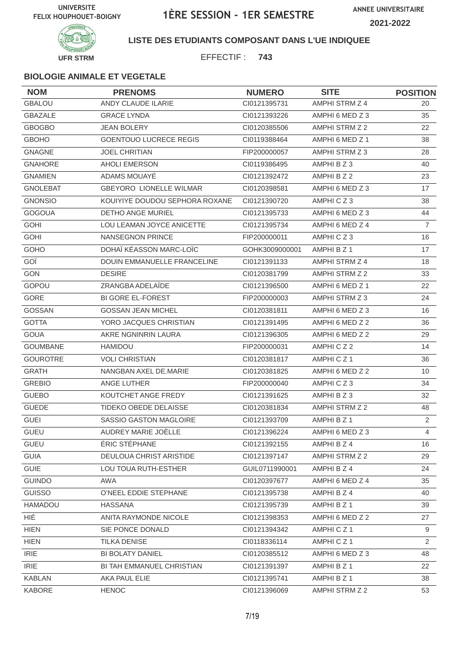

### **LISTE DES ETUDIANTS COMPOSANT DANS L'UE INDIQUEE**

EFFECTIF : **743**

| <b>NOM</b>      | <b>PRENOMS</b>                 | <b>NUMERO</b>  | <b>SITE</b>     | <b>POSITION</b> |
|-----------------|--------------------------------|----------------|-----------------|-----------------|
| <b>GBALOU</b>   | ANDY CLAUDE ILARIE             | CI0121395731   | AMPHI STRM Z 4  | 20              |
| <b>GBAZALE</b>  | <b>GRACE LYNDA</b>             | CI0121393226   | AMPHI 6 MED Z 3 | 35              |
| <b>GBOGBO</b>   | <b>JEAN BOLERY</b>             | CI0120385506   | AMPHI STRM Z 2  | 22              |
| <b>GBOHO</b>    | <b>GOENTOUO LUCRECE REGIS</b>  | CI0119388464   | AMPHI 6 MED Z 1 | 38              |
| <b>GNAGNE</b>   | JOEL CHRITIAN                  | FIP200000057   | AMPHI STRM Z 3  | 28              |
| <b>GNAHORE</b>  | <b>AHOLI EMERSON</b>           | CI0119386495   | AMPHI B Z 3     | 40              |
| <b>GNAMIEN</b>  | ADAMS MOUAYÉ                   | CI0121392472   | AMPHI B Z 2     | 23              |
| <b>GNOLEBAT</b> | <b>GBEYORO LIONELLE WILMAR</b> | CI0120398581   | AMPHI 6 MED Z 3 | 17              |
| <b>GNONSIO</b>  | KOUIYIYE DOUDOU SEPHORA ROXANE | CI0121390720   | AMPHICZ3        | 38              |
| <b>GOGOUA</b>   | <b>DETHO ANGE MURIEL</b>       | CI0121395733   | AMPHI 6 MED Z 3 | 44              |
| <b>GOHI</b>     | LOU LEAMAN JOYCE ANICETTE      | CI0121395734   | AMPHI 6 MED Z 4 | $\overline{7}$  |
| <b>GOHI</b>     | <b>NANSEGNON PRINCE</b>        | FIP200000011   | AMPHICZ3        | 16              |
| <b>GOHO</b>     | DOHAÏ KÉASSON MARC-LOÏC        | GOHK3009000001 | AMPHI B Z 1     | 17              |
| GOÏ             | DOUIN EMMANUELLE FRANCELINE    | CI0121391133   | AMPHI STRM Z 4  | 18              |
| <b>GON</b>      | <b>DESIRE</b>                  | CI0120381799   | AMPHI STRM Z 2  | 33              |
| GOPOU           | ZRANGBA ADELAÏDE               | CI0121396500   | AMPHI 6 MED Z 1 | 22              |
| GORE            | <b>BI GORE EL-FOREST</b>       | FIP200000003   | AMPHI STRM Z 3  | 24              |
| GOSSAN          | <b>GOSSAN JEAN MICHEL</b>      | CI0120381811   | AMPHI 6 MED Z 3 | 16              |
| <b>GOTTA</b>    | YORO JACQUES CHRISTIAN         | CI0121391495   | AMPHI 6 MED Z 2 | 36              |
| <b>GOUA</b>     | AKRE NGNINRIN LAURA            | CI0121396305   | AMPHI 6 MED Z 2 | 29              |
| <b>GOUMBANE</b> | <b>HAMIDOU</b>                 | FIP200000031   | AMPHICZ2        | 14              |
| <b>GOUROTRE</b> | <b>VOLI CHRISTIAN</b>          | CI0120381817   | AMPHICZ1        | 36              |
| <b>GRATH</b>    | NANGBAN AXEL DE.MARIE          | CI0120381825   | AMPHI 6 MED Z 2 | 10              |
| <b>GREBIO</b>   | ANGE LUTHER                    | FIP200000040   | AMPHICZ3        | 34              |
| <b>GUEBO</b>    | KOUTCHET ANGE FREDY            | CI0121391625   | AMPHI B Z 3     | 32              |
| <b>GUEDE</b>    | TIDEKO OBEDE DELAISSE          | CI0120381834   | AMPHI STRM Z 2  | 48              |
| <b>GUEI</b>     | SASSIO GASTON MAGLOIRE         | CI0121393709   | AMPHI B Z 1     | 2               |
| <b>GUEU</b>     | AUDREY MARIE JOËLLE            | Cl0121396224   | AMPHI 6 MED Z 3 | 4               |
| <b>GUEU</b>     | ÉRIC STÉPHANE                  | CI0121392155   | AMPHI B Z 4     | 16              |
| <b>GUIA</b>     | DEULOUA CHRIST ARISTIDE        | CI0121397147   | AMPHI STRM Z 2  | 29              |
| <b>GUIE</b>     | LOU TOUA RUTH-ESTHER           | GUIL0711990001 | AMPHI B Z 4     | 24              |
| <b>GUINDO</b>   | AWA                            | CI0120397677   | AMPHI 6 MED Z 4 | 35              |
| <b>GUISSO</b>   | O'NEEL EDDIE STEPHANE          | CI0121395738   | AMPHI B Z 4     | 40              |
| HAMADOU         | HASSANA                        | CI0121395739   | AMPHI B Z 1     | 39              |
| HIÉ             | ANITA RAYMONDE NICOLE          | CI0121398353   | AMPHI 6 MED Z 2 | 27              |
| <b>HIEN</b>     | SIE PONCE DONALD               | CI0121394342   | AMPHICZ1        | 9               |
| <b>HIEN</b>     | TILKA DENISE                   | CI0118336114   | AMPHICZ1        | 2               |
| <b>IRIE</b>     | <b>BI BOLATY DANIEL</b>        | CI0120385512   | AMPHI 6 MED Z 3 | 48              |
| <b>IRIE</b>     | BI TAH EMMANUEL CHRISTIAN      | CI0121391397   | AMPHI B Z 1     | 22              |
| <b>KABLAN</b>   | AKA PAUL ELIE                  | CI0121395741   | AMPHI B Z 1     | 38              |
| KABORE          | <b>HENOC</b>                   | CI0121396069   | AMPHI STRM Z 2  | 53              |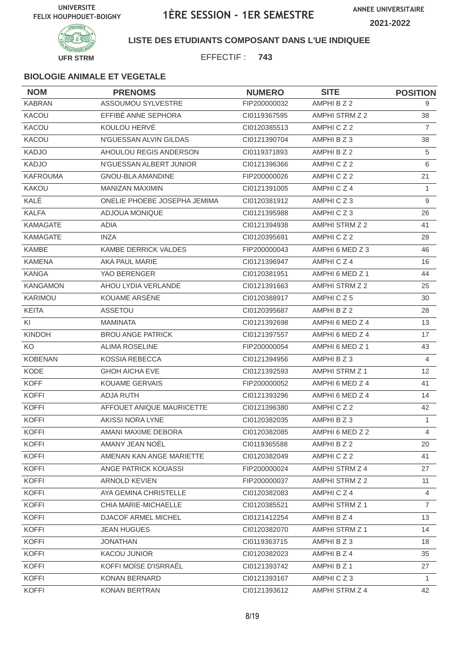

#### **LISTE DES ETUDIANTS COMPOSANT DANS L'UE INDIQUEE**

EFFECTIF : **743**

| <b>NOM</b>      | <b>PRENOMS</b>               | <b>NUMERO</b> | <b>SITE</b>           | <b>POSITION</b> |
|-----------------|------------------------------|---------------|-----------------------|-----------------|
| <b>KABRAN</b>   | ASSOUMOU SYLVESTRE           | FIP200000032  | AMPHI B Z 2           | 9               |
| KACOU           | EFFIBÉ ANNE SEPHORA          | CI0119367595  | AMPHI STRM Z 2        | 38              |
| KACOU           | KOULOU HERVÉ                 | CI0120385513  | AMPHICZ2              | $\overline{7}$  |
| KACOU           | N'GUESSAN ALVIN GILDAS       | CI0121390704  | AMPHI B Z 3           | 38              |
| <b>KADJO</b>    | AHOULOU REGIS ANDERSON       | CI0119371893  | AMPHI B Z 2           | 5               |
| <b>KADJO</b>    | N'GUESSAN ALBERT JUNIOR      | CI0121396366  | AMPHICZ2              | 6               |
| <b>KAFROUMA</b> | <b>GNOU-BLA AMANDINE</b>     | FIP200000026  | AMPHICZ2              | 21              |
| KAKOU           | <b>MANIZAN MAXIMIN</b>       | Cl0121391005  | AMPHICZ4              | 1               |
| KALÉ            | ONELIE PHOEBE JOSEPHA JEMIMA | CI0120381912  | AMPHICZ3              | 9               |
| <b>KALFA</b>    | ADJOUA MONIQUE               | CI0121395988  | AMPHICZ3              | 26              |
| <b>KAMAGATE</b> | ADIA                         | CI0121394938  | AMPHI STRM Z 2        | 41              |
| <b>KAMAGATE</b> | <b>INZA</b>                  | CI0120395691  | AMPHICZ2              | 28              |
| <b>KAMBE</b>    | <b>KAMBE DERRICK VALDES</b>  | FIP200000043  | AMPHI 6 MED Z 3       | 46              |
| <b>KAMENA</b>   | AKA PAUL MARIE               | CI0121396947  | AMPHICZ4              | 16              |
| <b>KANGA</b>    | YAO BERENGER                 | CI0120381951  | AMPHI 6 MED Z 1       | 44              |
| <b>KANGAMON</b> | AHOU LYDIA VERLANDE          | CI0121391663  | AMPHI STRM Z 2        | 25              |
| KARIMOU         | KOUAME ARSÈNE                | CI0120388917  | AMPHICZ5              | 30              |
| <b>KEITA</b>    | <b>ASSETOU</b>               | CI0120395687  | AMPHI B Z 2           | 28              |
| KI              | <b>MAMINATA</b>              | CI0121392698  | AMPHI 6 MED Z 4       | 13              |
| <b>KINDOH</b>   | <b>BROU ANGE PATRICK</b>     | CI0121397557  | AMPHI 6 MED Z 4       | 17              |
| KO <sub>.</sub> | <b>ALIMA ROSELINE</b>        | FIP200000054  | AMPHI 6 MED Z 1       | 43              |
| <b>KOBENAN</b>  | <b>KOSSIA REBECCA</b>        | CI0121394956  | AMPHI B Z 3           | $\overline{4}$  |
| KODE            | <b>GHOH AICHA EVE</b>        | CI0121392593  | AMPHI STRM Z 1        | 12 <sup>2</sup> |
| <b>KOFF</b>     | <b>KOUAME GERVAIS</b>        | FIP200000052  | AMPHI 6 MED Z 4       | 41              |
| <b>KOFFI</b>    | <b>ADJA RUTH</b>             | CI0121393296  | AMPHI 6 MED Z 4       | 14              |
| <b>KOFFI</b>    | AFFOUET ANIQUE MAURICETTE    | CI0121396380  | AMPHICZ2              | 42              |
| <b>KOFFI</b>    | <b>AKISSI NORA LYNE</b>      | CI0120382035  | AMPHIBZ3              | 1               |
| <b>KOFFI</b>    | AMANI MAXIME DEBORA          | CI0120382085  | AMPHI 6 MED Z 2       | $\overline{4}$  |
| <b>KOFFI</b>    | AMANY JEAN NOËL              | CI0119365588  | AMPHI B Z 2           | 20              |
| <b>KOFFI</b>    | AMENAN KAN ANGE MARIETTE     | CI0120382049  | AMPHICZ2              | 41              |
| <b>KOFFI</b>    | ANGE PATRICK KOUASSI         | FIP200000024  | AMPHI STRM Z 4        | 27              |
| <b>KOFFI</b>    | <b>ARNOLD KEVIEN</b>         | FIP200000037  | AMPHI STRM Z 2        | 11              |
| <b>KOFFI</b>    | AYA GEMINA CHRISTELLE        | CI0120382083  | AMPHICZ4              | $\overline{4}$  |
| <b>KOFFI</b>    | CHIA MARIE-MICHAELLE         | CI0120385521  | <b>AMPHI STRM Z 1</b> | $\overline{7}$  |
| <b>KOFFI</b>    | DJACOF ARMEL MICHEL          | Cl0121412254  | AMPHI B Z 4           | 13              |
| <b>KOFFI</b>    | <b>JEAN HUGUES</b>           | CI0120382070  | AMPHI STRM Z 1        | 14              |
| <b>KOFFI</b>    | <b>JONATHAN</b>              | CI0119363715  | AMPHI B Z 3           | 18              |
| <b>KOFFI</b>    | <b>KACOU JUNIOR</b>          | CI0120382023  | AMPHI B Z 4           | 35              |
| <b>KOFFI</b>    | KOFFI MOÏSE D'ISRRAËL        | CI0121393742  | AMPHI B Z 1           | 27              |
| <b>KOFFI</b>    | KONAN BERNARD                | Cl0121393167  | AMPHICZ3              | 1               |
| <b>KOFFI</b>    | KONAN BERTRAN                | CI0121393612  | AMPHI STRM Z 4        | 42              |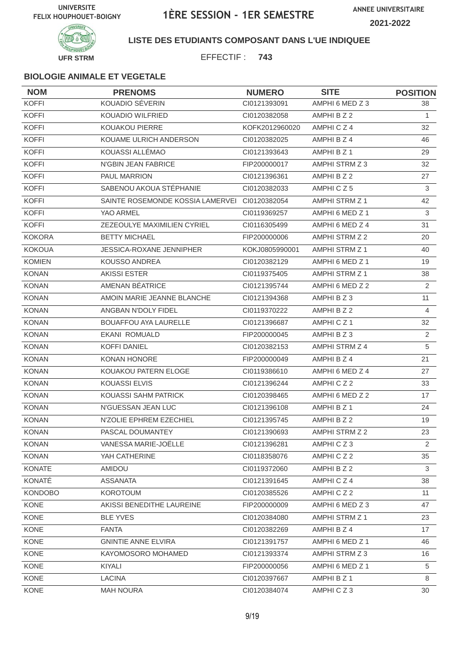

### **LISTE DES ETUDIANTS COMPOSANT DANS L'UE INDIQUEE**

EFFECTIF : **743**

| <b>NOM</b>     | <b>PRENOMS</b>                                | <b>NUMERO</b>  | <b>SITE</b>     | <b>POSITION</b> |
|----------------|-----------------------------------------------|----------------|-----------------|-----------------|
| <b>KOFFI</b>   | KOUADIO SÉVERIN                               | CI0121393091   | AMPHI 6 MED Z 3 | 38              |
| <b>KOFFI</b>   | <b>KOUADIO WILFRIED</b>                       | CI0120382058   | AMPHI B Z 2     | $\mathbf{1}$    |
| <b>KOFFI</b>   | KOUAKOU PIERRE                                | KOFK2012960020 | AMPHICZ4        | 32              |
| <b>KOFFI</b>   | KOUAME ULRICH ANDERSON                        | CI0120382025   | AMPHI B Z 4     | 46              |
| <b>KOFFI</b>   | KOUASSI ALLÉMAO                               | CI0121393643   | AMPHI B Z 1     | 29              |
| <b>KOFFI</b>   | N'GBIN JEAN FABRICE                           | FIP200000017   | AMPHI STRM Z 3  | 32              |
| <b>KOFFI</b>   | <b>PAUL MARRION</b>                           | CI0121396361   | AMPHI B Z 2     | 27              |
| <b>KOFFI</b>   | SABENOU AKOUA STÉPHANIE                       | CI0120382033   | AMPHICZ5        | 3               |
| <b>KOFFI</b>   | SAINTE ROSEMONDE KOSSIA LAMERVEI CI0120382054 |                | AMPHI STRM Z 1  | 42              |
| <b>KOFFI</b>   | YAO ARMEL                                     | CI0119369257   | AMPHI 6 MED Z 1 | 3               |
| <b>KOFFI</b>   | ZEZEOULYE MAXIMILIEN CYRIEL                   | CI0116305499   | AMPHI 6 MED Z 4 | 31              |
| <b>KOKORA</b>  | <b>BETTY MICHAEL</b>                          | FIP200000006   | AMPHI STRM Z 2  | 20              |
| <b>KOKOUA</b>  | <b>JESSICA-ROXANE JENNIPHER</b>               | KOKJ0805990001 | AMPHI STRM Z 1  | 40              |
| <b>KOMIEN</b>  | KOUSSO ANDREA                                 | CI0120382129   | AMPHI 6 MED Z 1 | 19              |
| <b>KONAN</b>   | <b>AKISSI ESTER</b>                           | CI0119375405   | AMPHI STRM Z 1  | 38              |
| <b>KONAN</b>   | AMENAN BEATRICE                               | CI0121395744   | AMPHI 6 MED Z 2 | 2               |
| <b>KONAN</b>   | AMOIN MARIE JEANNE BLANCHE                    | CI0121394368   | AMPHI B Z 3     | 11              |
| <b>KONAN</b>   | ANGBAN N'DOLY FIDEL                           | CI0119370222   | AMPHI B Z 2     | 4               |
| <b>KONAN</b>   | <b>BOUAFFOU AYA LAURELLE</b>                  | CI0121396687   | AMPHICZ1        | 32              |
| <b>KONAN</b>   | <b>EKANI ROMUALD</b>                          | FIP200000045   | AMPHI B Z 3     | 2               |
| <b>KONAN</b>   | <b>KOFFI DANIEL</b>                           | CI0120382153   | AMPHI STRM Z 4  | 5               |
| <b>KONAN</b>   | <b>KONAN HONORE</b>                           | FIP200000049   | AMPHI B Z 4     | 21              |
| <b>KONAN</b>   | KOUAKOU PATERN ELOGE                          | CI0119386610   | AMPHI 6 MED Z 4 | 27              |
| <b>KONAN</b>   | <b>KOUASSI ELVIS</b>                          | CI0121396244   | AMPHICZ2        | 33              |
| <b>KONAN</b>   | KOUASSI SAHM PATRICK                          | CI0120398465   | AMPHI 6 MED Z 2 | 17              |
| <b>KONAN</b>   | N'GUESSAN JEAN LUC                            | CI0121396108   | AMPHI B Z 1     | 24              |
| <b>KONAN</b>   | N'ZOLIE EPHREM EZECHIEL                       | CI0121395745   | AMPHI B Z 2     | 19              |
| <b>KONAN</b>   | PASCAL DOUMANTEY                              | CI0121390693   | AMPHI STRM Z 2  | 23              |
| <b>KONAN</b>   | VANESSA MARIE-JOËLLE                          | Cl0121396281   | AMPHICZ3        | 2               |
| <b>KONAN</b>   | YAH CATHERINE                                 | CI0118358076   | AMPHICZ2        | 35              |
| <b>KONATE</b>  | AMIDOU                                        | CI0119372060   | AMPHI B Z 2     | 3               |
| KONATÉ         | <b>ASSANATA</b>                               | Cl0121391645   | AMPHICZ4        | 38              |
| <b>KONDOBO</b> | <b>KOROTOUM</b>                               | CI0120385526   | AMPHICZ2        | 11              |
| KONE           | AKISSI BENEDITHE LAUREINE                     | FIP200000009   | AMPHI 6 MED Z 3 | 47              |
| <b>KONE</b>    | <b>BLE YVES</b>                               | CI0120384080   | AMPHI STRM Z 1  | 23              |
| KONE           | <b>FANTA</b>                                  | CI0120382269   | AMPHI B Z 4     | 17              |
| KONE           | <b>GNINTIE ANNE ELVIRA</b>                    | Cl0121391757   | AMPHI 6 MED Z 1 | 46              |
| KONE           | KAYOMOSORO MOHAMED                            | CI0121393374   | AMPHI STRM Z 3  | 16              |
| KONE           | KIYALI                                        | FIP200000056   | AMPHI 6 MED Z 1 | 5               |
| KONE           | <b>LACINA</b>                                 | CI0120397667   | AMPHI B Z 1     | 8               |
| KONE           | <b>MAH NOURA</b>                              | CI0120384074   | AMPHICZ3        | 30              |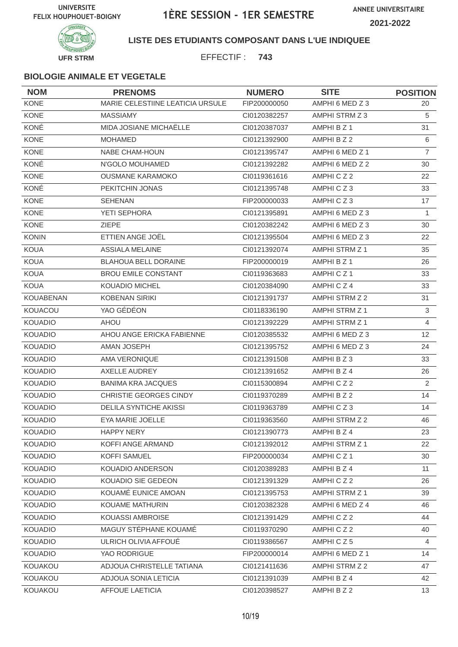

#### **LISTE DES ETUDIANTS COMPOSANT DANS L'UE INDIQUEE**

EFFECTIF : **743**

| <b>NOM</b>       | <b>PRENOMS</b>                   | <b>NUMERO</b> | <b>SITE</b>           | <b>POSITION</b>   |
|------------------|----------------------------------|---------------|-----------------------|-------------------|
| <b>KONE</b>      | MARIE CELESTIINE LEATICIA URSULE | FIP200000050  | AMPHI 6 MED Z 3       | 20                |
| <b>KONE</b>      | <b>MASSIAMY</b>                  | CI0120382257  | AMPHI STRM Z 3        | 5                 |
| KONÉ             | MIDA JOSIANE MICHAËLLE           | CI0120387037  | AMPHI B Z 1           | 31                |
| <b>KONE</b>      | <b>MOHAMED</b>                   | CI0121392900  | AMPHI B Z 2           | 6                 |
| <b>KONE</b>      | <b>NABE CHAM-HOUN</b>            | CI0121395747  | AMPHI 6 MED Z 1       | $\overline{7}$    |
| KONÉ             | N'GOLO MOUHAMED                  | CI0121392282  | AMPHI 6 MED Z 2       | 30                |
| <b>KONE</b>      | <b>OUSMANE KARAMOKO</b>          | Cl0119361616  | AMPHICZ2              | 22                |
| KONÉ             | PEKITCHIN JONAS                  | CI0121395748  | AMPHICZ3              | 33                |
| <b>KONE</b>      | <b>SEHENAN</b>                   | FIP200000033  | AMPHICZ3              | 17                |
| <b>KONE</b>      | YETI SEPHORA                     | CI0121395891  | AMPHI 6 MED Z 3       | 1                 |
| <b>KONE</b>      | <b>ZIEPE</b>                     | CI0120382242  | AMPHI 6 MED Z 3       | 30                |
| <b>KONIN</b>     | ETTIEN ANGE JOËL                 | CI0121395504  | AMPHI 6 MED Z 3       | 22                |
| <b>KOUA</b>      | <b>ASSIALA MELAINE</b>           | CI0121392074  | AMPHI STRM Z 1        | 35                |
| <b>KOUA</b>      | <b>BLAHOUA BELL DORAINE</b>      | FIP200000019  | AMPHI B Z 1           | 26                |
| <b>KOUA</b>      | <b>BROU EMILE CONSTANT</b>       | CI0119363683  | AMPHICZ <sub>1</sub>  | 33                |
| <b>KOUA</b>      | <b>KOUADIO MICHEL</b>            | CI0120384090  | AMPHICZ4              | 33                |
| <b>KOUABENAN</b> | <b>KOBENAN SIRIKI</b>            | CI0121391737  | AMPHI STRM Z 2        | 31                |
| KOUACOU          | YAO GÉDÉON                       | CI0118336190  | AMPHI STRM Z 1        | $\mathsf 3$       |
| <b>KOUADIO</b>   | <b>AHOU</b>                      | CI0121392229  | <b>AMPHI STRM Z 1</b> | $\overline{4}$    |
| <b>KOUADIO</b>   | AHOU ANGE ERICKA FABIENNE        | CI0120385532  | AMPHI 6 MED Z 3       | $12 \overline{ }$ |
| <b>KOUADIO</b>   | AMAN JOSEPH                      | CI0121395752  | AMPHI 6 MED Z 3       | 24                |
| <b>KOUADIO</b>   | AMA VERONIQUE                    | CI0121391508  | AMPHI B Z 3           | 33                |
| <b>KOUADIO</b>   | <b>AXELLE AUDREY</b>             | CI0121391652  | AMPHI B Z 4           | 26                |
| <b>KOUADIO</b>   | <b>BANIMA KRA JACQUES</b>        | CI0115300894  | AMPHICZ2              | 2                 |
| <b>KOUADIO</b>   | CHRISTIE GEORGES CINDY           | CI0119370289  | AMPHI B Z 2           | 14                |
| <b>KOUADIO</b>   | <b>DELILA SYNTICHE AKISSI</b>    | CI0119363789  | AMPHICZ3              | 14                |
| <b>KOUADIO</b>   | EYA MARIE JOELLE                 | CI0119363560  | AMPHI STRM Z 2        | 46                |
| <b>KOUADIO</b>   | HAPPY NERY                       | Cl0121390773  | AMPHI B Z 4           | 23                |
| <b>KOUADIO</b>   | KOFFI ANGE ARMAND                | CI0121392012  | <b>AMPHI STRM Z 1</b> | 22                |
| <b>KOUADIO</b>   | KOFFI SAMUEL                     | FIP200000034  | AMPHICZ1              | 30                |
| <b>KOUADIO</b>   | KOUADIO ANDERSON                 | CI0120389283  | AMPHI B Z 4           | 11                |
| <b>KOUADIO</b>   | KOUADIO SIE GEDEON               | Cl0121391329  | AMPHICZ2              | 26                |
| <b>KOUADIO</b>   | KOUAMÉ EUNICE AMOAN              | CI0121395753  | AMPHI STRM Z 1        | 39                |
| <b>KOUADIO</b>   | KOUAME MATHURIN                  | CI0120382328  | AMPHI 6 MED Z 4       | 46                |
| <b>KOUADIO</b>   | KOUASSI AMBROISE                 | CI0121391429  | AMPHICZ2              | 44                |
| <b>KOUADIO</b>   | MAGUY STÉPHANE KOUAMÉ            | CI0119370290  | AMPHICZ2              | 40                |
| <b>KOUADIO</b>   | ULRICH OLIVIA AFFOUE             | CI0119386567  | AMPHICZ5              | 4                 |
| KOUADIO          | YAO RODRIGUE                     | FIP200000014  | AMPHI 6 MED Z 1       | 14                |
| KOUAKOU          | ADJOUA CHRISTELLE TATIANA        | CI0121411636  | AMPHI STRM Z 2        | 47                |
| KOUAKOU          | ADJOUA SONIA LETICIA             | CI0121391039  | AMPHI B Z 4           | 42                |
| KOUAKOU          | <b>AFFOUE LAETICIA</b>           | CI0120398527  | AMPHI B Z 2           | 13                |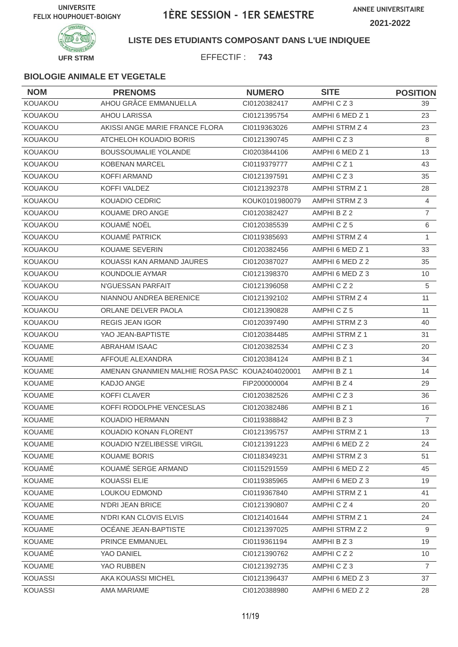

#### **LISTE DES ETUDIANTS COMPOSANT DANS L'UE INDIQUEE**

EFFECTIF : **743**

| <b>NOM</b>     | <b>PRENOMS</b>                                  | <b>NUMERO</b>  | <b>SITE</b>           | <b>POSITION</b> |
|----------------|-------------------------------------------------|----------------|-----------------------|-----------------|
| KOUAKOU        | AHOU GRÂCE EMMANUELLA                           | CI0120382417   | AMPHICZ3              | 39              |
| KOUAKOU        | <b>AHOU LARISSA</b>                             | CI0121395754   | AMPHI 6 MED Z 1       | 23              |
| KOUAKOU        | AKISSI ANGE MARIE FRANCE FLORA                  | CI0119363026   | AMPHI STRM Z 4        | 23              |
| KOUAKOU        | ATCHELOH KOUADIO BORIS                          | CI0121390745   | AMPHICZ3              | 8               |
| KOUAKOU        | <b>BOUSSOUMALIE YOLANDE</b>                     | CI0203844106   | AMPHI 6 MED Z 1       | 13              |
| <b>KOUAKOU</b> | KOBENAN MARCEL                                  | CI0119379777   | AMPHICZ1              | 43              |
| KOUAKOU        | <b>KOFFI ARMAND</b>                             | CI0121397591   | AMPHICZ3              | 35              |
| KOUAKOU        | KOFFI VALDEZ                                    | CI0121392378   | <b>AMPHI STRM Z 1</b> | 28              |
| KOUAKOU        | <b>KOUADIO CEDRIC</b>                           | KOUK0101980079 | AMPHI STRM Z 3        | $\overline{4}$  |
| KOUAKOU        | KOUAME DRO ANGE                                 | CI0120382427   | AMPHI B Z 2           | $\overline{7}$  |
| <b>KOUAKOU</b> | KOUAMÉ NOËL                                     | CI0120385539   | AMPHICZ5              | $\,6$           |
| KOUAKOU        | KOUAMÉ PATRICK                                  | CI0119385693   | AMPHI STRM Z 4        | $\mathbf{1}$    |
| KOUAKOU        | <b>KOUAME SEVERIN</b>                           | CI0120382456   | AMPHI 6 MED Z 1       | 33              |
| KOUAKOU        | KOUASSI KAN ARMAND JAURES                       | CI0120387027   | AMPHI 6 MED Z 2       | 35              |
| KOUAKOU        | KOUNDOLIE AYMAR                                 | CI0121398370   | AMPHI 6 MED Z 3       | 10              |
| KOUAKOU        | N'GUESSAN PARFAIT                               | CI0121396058   | AMPHICZ2              | $\sqrt{5}$      |
| KOUAKOU        | NIANNOU ANDREA BERENICE                         | CI0121392102   | AMPHI STRM Z 4        | 11              |
| KOUAKOU        | ORLANE DELVER PAOLA                             | CI0121390828   | AMPHICZ5              | 11              |
| KOUAKOU        | <b>REGIS JEAN IGOR</b>                          | CI0120397490   | AMPHI STRM Z 3        | 40              |
| KOUAKOU        | YAO JEAN-BAPTISTE                               | CI0120384485   | <b>AMPHI STRM Z 1</b> | 31              |
| <b>KOUAME</b>  | <b>ABRAHAM ISAAC</b>                            | CI0120382534   | AMPHICZ3              | 20              |
| <b>KOUAME</b>  | AFFOUE ALEXANDRA                                | CI0120384124   | AMPHI B Z 1           | 34              |
| <b>KOUAME</b>  | AMENAN GNANMIEN MALHIE ROSA PASC KOUA2404020001 |                | AMPHI B Z 1           | 14              |
| <b>KOUAME</b>  | KADJO ANGE                                      | FIP200000004   | AMPHI B Z 4           | 29              |
| <b>KOUAME</b>  | <b>KOFFI CLAVER</b>                             | CI0120382526   | AMPHICZ3              | 36              |
| <b>KOUAME</b>  | KOFFI RODOLPHE VENCESLAS                        | CI0120382486   | AMPHI B Z 1           | 16              |
| <b>KOUAME</b>  | KOUADIO HERMANN                                 | CI0119388842   | AMPHI B Z 3           | $\overline{7}$  |
| KOUAME         | KOUADIO KONAN FLORENT                           | CI0121395757   | AMPHI STRM Z 1        | 13              |
| <b>KOUAME</b>  | KOUADIO N'ZELIBESSE VIRGIL                      | Cl0121391223   | AMPHI 6 MED Z 2       | 24              |
| KOUAME         | <b>KOUAME BORIS</b>                             | CI0118349231   | AMPHI STRM Z 3        | 51              |
| KOUAMÉ         | KOUAMÉ SERGE ARMAND                             | CI0115291559   | AMPHI 6 MED Z 2       | 45              |
| <b>KOUAME</b>  | <b>KOUASSI ELIE</b>                             | CI0119385965   | AMPHI 6 MED Z 3       | 19              |
| <b>KOUAME</b>  | LOUKOU EDMOND                                   | CI0119367840   | AMPHI STRM Z 1        | 41              |
| <b>KOUAME</b>  | N'DRI JEAN BRICE                                | CI0121390807   | AMPHICZ4              | 20              |
| <b>KOUAME</b>  | N'DRI KAN CLOVIS ELVIS                          | CI0121401644   | AMPHI STRM Z 1        | 24              |
| <b>KOUAME</b>  | OCEANE JEAN-BAPTISTE                            | CI0121397025   | AMPHI STRM Z 2        | 9               |
| <b>KOUAME</b>  | PRINCE EMMANUEL                                 | CI0119361194   | AMPHI B Z 3           | 19              |
| KOUAMÉ         | YAO DANIEL                                      | CI0121390762   | AMPHICZ2              | 10              |
| <b>KOUAME</b>  | YAO RUBBEN                                      | CI0121392735   | AMPHICZ3              | $\overline{7}$  |
| <b>KOUASSI</b> | AKA KOUASSI MICHEL                              | CI0121396437   | AMPHI 6 MED Z 3       | 37              |
| <b>KOUASSI</b> | AMA MARIAME                                     | CI0120388980   | AMPHI 6 MED Z 2       | 28              |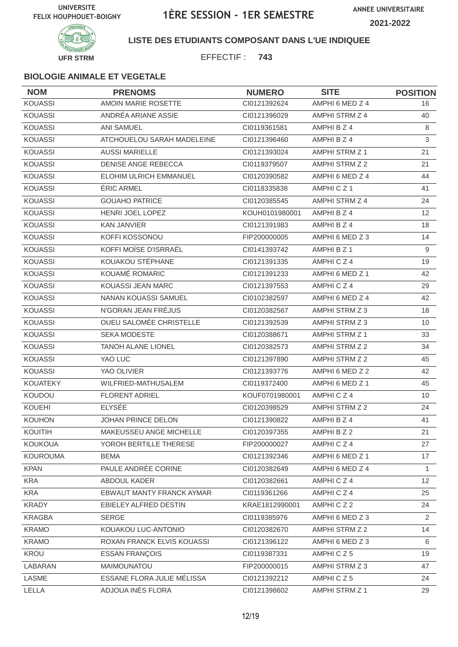**ANNEE UNIVERSITAIRE 2021-2022**



#### **LISTE DES ETUDIANTS COMPOSANT DANS L'UE INDIQUEE**

EFFECTIF : **743**

| <b>NOM</b>      | <b>PRENOMS</b>                | <b>NUMERO</b>  | <b>SITE</b>     | <b>POSITION</b> |
|-----------------|-------------------------------|----------------|-----------------|-----------------|
| <b>KOUASSI</b>  | AMOIN MARIE ROSETTE           | Cl0121392624   | AMPHI 6 MED Z 4 | 16              |
| <b>KOUASSI</b>  | ANDRÉA ARIANE ASSIE           | CI0121396029   | AMPHI STRM Z 4  | 40              |
| <b>KOUASSI</b>  | <b>ANI SAMUEL</b>             | CI0119361581   | AMPHI B Z 4     | 8               |
| <b>KOUASSI</b>  | ATCHOUELOU SARAH MADELEINE    | CI0121396460   | AMPHI B Z 4     | 3               |
| <b>KOUASSI</b>  | <b>AUSSI MARIELLE</b>         | CI0121393024   | AMPHI STRM Z 1  | 21              |
| <b>KOUASSI</b>  | DENISE ANGE REBECCA           | CI0119379507   | AMPHI STRM Z 2  | 21              |
| <b>KOUASSI</b>  | <b>ELOHIM ULRICH EMMANUEL</b> | CI0120390582   | AMPHI 6 MED Z 4 | 44              |
| <b>KOUASSI</b>  | <b>ERIC ARMEL</b>             | CI0118335838   | AMPHICZ1        | 41              |
| <b>KOUASSI</b>  | <b>GOUAHO PATRICE</b>         | CI0120385545   | AMPHI STRM Z 4  | 24              |
| <b>KOUASSI</b>  | HENRI JOEL LOPEZ              | KOUH0101980001 | AMPHI B Z 4     | 12              |
| <b>KOUASSI</b>  | <b>KAN JANVIER</b>            | CI0121391983   | AMPHI B Z 4     | 18              |
| <b>KOUASSI</b>  | KOFFI KOSSONOU                | FIP200000005   | AMPHI 6 MED Z 3 | 14              |
| <b>KOUASSI</b>  | KOFFI MOÏSE D'ISRRAËL         | CI0141393742   | AMPHI B Z 1     | 9               |
| <b>KOUASSI</b>  | KOUAKOU STÉPHANE              | CI0121391335   | AMPHICZ4        | 19              |
| <b>KOUASSI</b>  | KOUAMÉ ROMARIC                | CI0121391233   | AMPHI 6 MED Z 1 | 42              |
| <b>KOUASSI</b>  | KOUASSI JEAN MARC             | CI0121397553   | AMPHICZ4        | 29              |
| <b>KOUASSI</b>  | NANAN KOUASSI SAMUEL          | CI0102382597   | AMPHI 6 MED Z 4 | 42              |
| <b>KOUASSI</b>  | N'GORAN JEAN FRÉJUS           | CI0120382567   | AMPHI STRM Z 3  | 18              |
| <b>KOUASSI</b>  | OUEU SALOMÉE CHRISTELLE       | CI0121392539   | AMPHI STRM Z 3  | 10              |
| <b>KOUASSI</b>  | <b>SEKA MODESTE</b>           | CI0120388671   | AMPHI STRM Z 1  | 33              |
| <b>KOUASSI</b>  | <b>TANOH ALANE LIONEL</b>     | CI0120382573   | AMPHI STRM Z 2  | 34              |
| <b>KOUASSI</b>  | YAO LUC                       | CI0121397890   | AMPHI STRM Z 2  | 45              |
| <b>KOUASSI</b>  | YAO OLIVIER                   | CI0121393776   | AMPHI 6 MED Z 2 | 42              |
| <b>KOUATEKY</b> | WILFRIED-MATHUSALEM           | CI0119372400   | AMPHI 6 MED Z 1 | 45              |
| KOUDOU          | <b>FLORENT ADRIEL</b>         | KOUF0701980001 | AMPHICZ4        | 10              |
| KOUEHI          | <b>ELYSÉE</b>                 | CI0120398529   | AMPHI STRM Z 2  | 24              |
| <b>KOUHON</b>   | JOHAN PRINCE DELON            | CI0121390822   | AMPHI B Z 4     | 41              |
| KOUITIH         | MAKEUSSEU ANGE MICHELLE       | CI0120397355   | AMPHI B Z 2     | 21              |
| <b>KOUKOUA</b>  | YOROH BERTILLE THERESE        | FIP200000027   | AMPHICZ4        | 27              |
| <b>KOUROUMA</b> | <b>BEMA</b>                   | CI0121392346   | AMPHI 6 MED Z 1 | 17              |
| <b>KPAN</b>     | PAULE ANDRÉE CORINE           | CI0120382649   | AMPHI 6 MED Z 4 | $\mathbf{1}$    |
| <b>KRA</b>      | ABDOUL KADER                  | CI0120382661   | AMPHICZ4        | 12              |
| <b>KRA</b>      | EBWAUT MANTY FRANCK AYMAR     | CI0119361266   | AMPHICZ4        | 25              |
| <b>KRADY</b>    | EBIELEY ALFRED DESTIN         | KRAE1812990001 | AMPHICZ2        | 24              |
| <b>KRAGBA</b>   | <b>SERGE</b>                  | CI0119385976   | AMPHI 6 MED Z 3 | $\overline{2}$  |
| <b>KRAMO</b>    | KOUAKOU LUC-ANTONIO           | Cl0120382670   | AMPHI STRM Z 2  | 14              |
| <b>KRAMO</b>    | ROXAN FRANCK ELVIS KOUASSI    | CI0121396122   | AMPHI 6 MED Z 3 | 6               |
| KROU            | <b>ESSAN FRANÇOIS</b>         | CI0119387331   | AMPHICZ5        | 19              |
| LABARAN         | MAIMOUNATOU                   | FIP200000015   | AMPHI STRM Z 3  | 47              |
| LASME           | ESSANE FLORA JULIE MÉLISSA    | Cl0121392212   | AMPHICZ5        | 24              |
| LELLA           | ADJOUA INÈS FLORA             | CI0121398602   | AMPHI STRM Z 1  | 29              |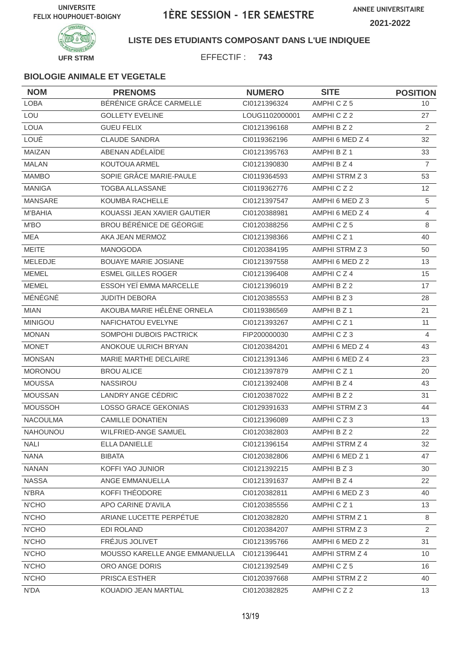

### **LISTE DES ETUDIANTS COMPOSANT DANS L'UE INDIQUEE**

EFFECTIF : **743**

| <b>NOM</b>      | <b>PRENOMS</b>                 | <b>NUMERO</b>  | <b>SITE</b>          | <b>POSITION</b> |
|-----------------|--------------------------------|----------------|----------------------|-----------------|
| <b>LOBA</b>     | BÉRÉNICE GRÂCE CARMELLE        | CI0121396324   | AMPHICZ5             | 10 <sup>°</sup> |
| LOU             | <b>GOLLETY EVELINE</b>         | LOUG1102000001 | AMPHICZ2             | 27              |
| <b>LOUA</b>     | <b>GUEU FELIX</b>              | Cl0121396168   | AMPHI B Z 2          | 2               |
| LOUÉ            | <b>CLAUDE SANDRA</b>           | CI0119362196   | AMPHI 6 MED Z 4      | 32              |
| MAIZAN          | ABENAN ADÉLAÏDE                | CI0121395763   | AMPHI B Z 1          | 33              |
| <b>MALAN</b>    | KOUTOUA ARMEL                  | CI0121390830   | AMPHI B Z 4          | $\overline{7}$  |
| <b>MAMBO</b>    | SOPIE GRÂCE MARIE-PAULE        | CI0119364593   | AMPHI STRM Z 3       | 53              |
| <b>MANIGA</b>   | <b>TOGBA ALLASSANE</b>         | CI0119362776   | AMPHICZ2             | 12 <sup>2</sup> |
| <b>MANSARE</b>  | KOUMBA RACHELLE                | CI0121397547   | AMPHI 6 MED Z 3      | 5               |
| <b>M'BAHIA</b>  | KOUASSI JEAN XAVIER GAUTIER    | CI0120388981   | AMPHI 6 MED Z 4      | $\overline{4}$  |
| M'BO            | BROU BÉRÉNICE DE GÉORGIE       | CI0120388256   | AMPHICZ5             | 8               |
| <b>MEA</b>      | AKA JEAN MERMOZ                | CI0121398366   | AMPHICZ1             | 40              |
| <b>MEITE</b>    | <b>MANOGODA</b>                | CI0120384195   | AMPHI STRM Z 3       | 50              |
| MELEDJE         | <b>BOUAYE MARIE JOSIANE</b>    | CI0121397558   | AMPHI 6 MED Z 2      | 13              |
| <b>MEMEL</b>    | <b>ESMEL GILLES ROGER</b>      | CI0121396408   | AMPHICZ4             | 15              |
| <b>MEMEL</b>    | ESSOH YEÏ EMMA MARCELLE        | CI0121396019   | AMPHI B Z 2          | 17              |
| MÉNÉGNÉ         | JUDITH DEBORA                  | CI0120385553   | AMPHI B Z 3          | 28              |
| <b>MIAN</b>     | AKOUBA MARIE HÉLÈNE ORNELA     | CI0119386569   | AMPHI B Z 1          | 21              |
| <b>MINIGOU</b>  | NAFICHATOU EVELYNE             | CI0121393267   | AMPHICZ <sub>1</sub> | 11              |
| <b>MONAN</b>    | SOMPOHI DUBOIS PACTRICK        | FIP200000030   | AMPHICZ3             | 4               |
| <b>MONET</b>    | ANOKOUE ULRICH BRYAN           | CI0120384201   | AMPHI 6 MED Z 4      | 43              |
| <b>MONSAN</b>   | MARIE MARTHE DECLAIRE          | CI0121391346   | AMPHI 6 MED Z 4      | 23              |
| <b>MORONOU</b>  | <b>BROU ALICE</b>              | CI0121397879   | AMPHICZ1             | 20              |
| <b>MOUSSA</b>   | <b>NASSIROU</b>                | CI0121392408   | AMPHI B Z 4          | 43              |
| <b>MOUSSAN</b>  | LANDRY ANGE CÉDRIC             | CI0120387022   | AMPHI B Z 2          | 31              |
| <b>MOUSSOH</b>  | <b>LOSSO GRACE GEKONIAS</b>    | CI0129391633   | AMPHI STRM Z 3       | 44              |
| <b>NACOULMA</b> | <b>CAMILLE DONATIEN</b>        | CI0121396089   | AMPHICZ3             | 13              |
| NAHOUNOU        | WILFRIED-ANGE SAMUEL           | CI0120382803   | AMPHI B Z 2          | 22              |
| <b>NALI</b>     | ELLA DANIELLE                  | CI0121396154   | AMPHI STRM Z 4       | 32              |
| <b>NANA</b>     | <b>BIBATA</b>                  | CI0120382806   | AMPHI 6 MED Z 1      | 47              |
| <b>NANAN</b>    | KOFFI YAO JUNIOR               | Cl0121392215   | AMPHI B Z 3          | 30              |
| <b>NASSA</b>    | ANGE EMMANUELLA                | CI0121391637   | AMPHI B Z 4          | 22              |
| N'BRA           | KOFFI THÉODORE                 | CI0120382811   | AMPHI 6 MED Z 3      | 40              |
| N'CHO           | APO CARINE D'AVILA             | CI0120385556   | AMPHICZ1             | 13              |
| N'CHO           | ARIANE LUCETTE PERPÉTUE        | CI0120382820   | AMPHI STRM Z 1       | 8               |
| N'CHO           | EDI ROLAND                     | CI0120384207   | AMPHI STRM Z 3       | $\overline{2}$  |
| N'CHO           | FRÉJUS JOLIVET                 | Cl0121395766   | AMPHI 6 MED Z 2      | 31              |
| N'CHO           | MOUSSO KARELLE ANGE EMMANUELLA | CI0121396441   | AMPHI STRM Z 4       | 10              |
| N'CHO           | ORO ANGE DORIS                 | CI0121392549   | AMPHICZ5             | 16              |
| N'CHO           | PRISCA ESTHER                  | CI0120397668   | AMPHI STRM Z 2       | 40              |
| N'DA            | KOUADIO JEAN MARTIAL           | CI0120382825   | AMPHICZ2             | 13              |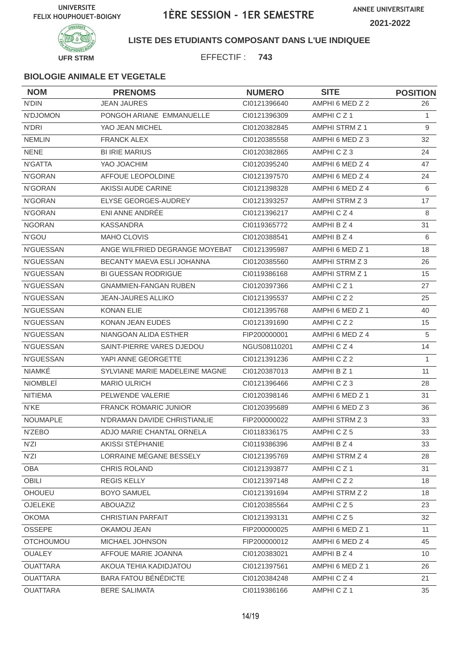

### **LISTE DES ETUDIANTS COMPOSANT DANS L'UE INDIQUEE**

EFFECTIF : **743**

| <b>NOM</b>       | <b>PRENOMS</b>                 | <b>NUMERO</b> | <b>SITE</b>          | <b>POSITION</b> |
|------------------|--------------------------------|---------------|----------------------|-----------------|
| <b>N'DIN</b>     | <b>JEAN JAURES</b>             | CI0121396640  | AMPHI 6 MED Z 2      | 26              |
| N'DJOMON         | PONGOH ARIANE EMMANUELLE       | CI0121396309  | AMPHICZ1             | $\mathbf{1}$    |
| N'DRI            | YAO JEAN MICHEL                | CI0120382845  | AMPHI STRM Z 1       | 9               |
| <b>NEMLIN</b>    | <b>FRANCK ALEX</b>             | CI0120385558  | AMPHI 6 MED Z 3      | 32              |
| <b>NENE</b>      | <b>BI IRIE MARIUS</b>          | CI0120382865  | AMPHICZ3             | 24              |
| N'GATTA          | YAO JOACHIM                    | CI0120395240  | AMPHI 6 MED Z 4      | 47              |
| N'GORAN          | AFFOUE LEOPOLDINE              | CI0121397570  | AMPHI 6 MED Z 4      | 24              |
| N'GORAN          | AKISSI AUDE CARINE             | CI0121398328  | AMPHI 6 MED Z 4      | 6               |
| N'GORAN          | ELYSE GEORGES-AUDREY           | CI0121393257  | AMPHI STRM Z 3       | 17              |
| N'GORAN          | ENI ANNE ANDRÉE                | CI0121396217  | AMPHICZ4             | 8               |
| <b>NGORAN</b>    | <b>KASSANDRA</b>               | CI0119365772  | AMPHI B Z 4          | 31              |
| N'GOU            | <b>MAHO CLOVIS</b>             | CI0120388541  | AMPHI B Z 4          | 6               |
| <b>N'GUESSAN</b> | ANGE WILFRIED DEGRANGE MOYEBAT | CI0121395987  | AMPHI 6 MED Z 1      | 18              |
| <b>N'GUESSAN</b> | BECANTY MAEVA ESLI JOHANNA     | CI0120385560  | AMPHI STRM Z 3       | 26              |
| N'GUESSAN        | <b>BI GUESSAN RODRIGUE</b>     | CI0119386168  | AMPHI STRM Z 1       | 15              |
| N'GUESSAN        | <b>GNAMMIEN-FANGAN RUBEN</b>   | CI0120397366  | AMPHICZ <sub>1</sub> | 27              |
| <b>N'GUESSAN</b> | <b>JEAN-JAURES ALLIKO</b>      | CI0121395537  | AMPHICZ2             | 25              |
| <b>N'GUESSAN</b> | <b>KONAN ELIE</b>              | CI0121395768  | AMPHI 6 MED Z 1      | 40              |
| N'GUESSAN        | <b>KONAN JEAN EUDES</b>        | CI0121391690  | AMPHICZ2             | 15              |
| N'GUESSAN        | NIANGOAN ALIDA ESTHER          | FIP200000001  | AMPHI 6 MED Z 4      | 5               |
| N'GUESSAN        | SAINT-PIERRE VARES DJEDOU      | NGUS08110201  | AMPHICZ4             | 14              |
| N'GUESSAN        | YAPI ANNE GEORGETTE            | CI0121391236  | AMPHICZ2             | $\mathbf{1}$    |
| NIAMKÉ           | SYLVIANE MARIE MADELEINE MAGNE | CI0120387013  | AMPHI B Z 1          | 11              |
| <b>NIOMBLEÏ</b>  | <b>MARIO ULRICH</b>            | CI0121396466  | AMPHICZ3             | 28              |
| <b>NITIEMA</b>   | PELWENDE VALERIE               | CI0120398146  | AMPHI 6 MED Z 1      | 31              |
| N'KE             | <b>FRANCK ROMARIC JUNIOR</b>   | CI0120395689  | AMPHI 6 MED Z 3      | 36              |
| <b>NOUMAPLE</b>  | N'DRAMAN DAVIDE CHRISTIANLIE   | FIP200000022  | AMPHI STRM Z 3       | 33              |
| N'ZEBO           | ADJO MARIE CHANTAL ORNELA      | CI0118336175  | AMPHICZ5             | 33              |
| N'ZI             | AKISSI STÉPHANIE               | CI0119386396  | AMPHI B Z 4          | 33              |
| N'ZI             | LORRAINE MÉGANE BESSELY        | CI0121395769  | AMPHI STRM Z 4       | 28              |
| OBA              | <b>CHRIS ROLAND</b>            | Cl0121393877  | AMPHICZ1             | 31              |
| OBILI            | <b>REGIS KELLY</b>             | CI0121397148  | AMPHICZ2             | 18              |
| OHOUEU           | <b>BOYO SAMUEL</b>             | CI0121391694  | AMPHI STRM Z 2       | 18              |
| OJELEKE          | ABOUAZIZ                       | CI0120385564  | AMPHICZ5             | 23              |
| <b>OKOMA</b>     | <b>CHRISTIAN PARFAIT</b>       | CI0121393131  | AMPHICZ5             | 32              |
| <b>OSSEPE</b>    | OKAMOU JEAN                    | FIP200000025  | AMPHI 6 MED Z 1      | 11              |
| <b>OTCHOUMOU</b> | MICHAEL JOHNSON                | FIP200000012  | AMPHI 6 MED Z 4      | 45              |
| <b>OUALEY</b>    | AFFOUE MARIE JOANNA            | CI0120383021  | AMPHI B Z 4          | 10 <sup>°</sup> |
| <b>OUATTARA</b>  | AKOUA TEHIA KADIDJATOU         | CI0121397561  | AMPHI 6 MED Z 1      | 26              |
| <b>OUATTARA</b>  | <b>BARA FATOU BÉNÉDICTE</b>    | CI0120384248  | AMPHICZ4             | 21              |
| <b>OUATTARA</b>  | <b>BERE SALIMATA</b>           | CI0119386166  | AMPHICZ1             | 35              |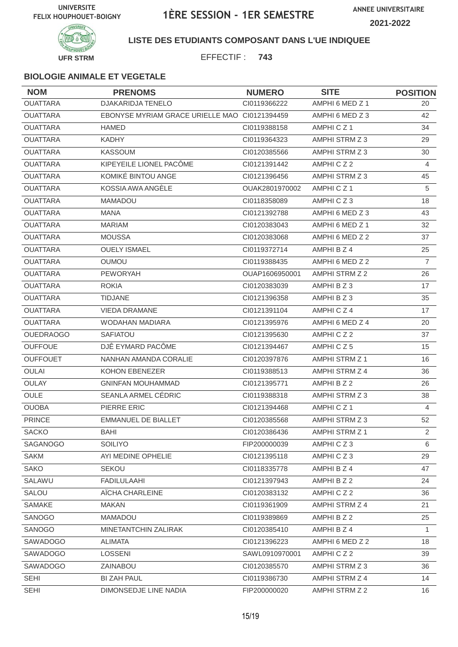

### **LISTE DES ETUDIANTS COMPOSANT DANS L'UE INDIQUEE**

EFFECTIF : **743**

| <b>NOM</b>       | <b>PRENOMS</b>                                | <b>NUMERO</b>  | <b>SITE</b>          | <b>POSITION</b> |
|------------------|-----------------------------------------------|----------------|----------------------|-----------------|
| <b>OUATTARA</b>  | <b>DJAKARIDJA TENELO</b>                      | CI0119366222   | AMPHI 6 MED Z 1      | 20              |
| <b>OUATTARA</b>  | EBONYSE MYRIAM GRACE URIELLE MAO CI0121394459 |                | AMPHI 6 MED Z 3      | 42              |
| <b>OUATTARA</b>  | <b>HAMED</b>                                  | CI0119388158   | AMPHICZ <sub>1</sub> | 34              |
| <b>OUATTARA</b>  | <b>KADHY</b>                                  | CI0119364323   | AMPHI STRM Z 3       | 29              |
| <b>OUATTARA</b>  | <b>KASSOUM</b>                                | CI0120385566   | AMPHI STRM Z 3       | 30              |
| <b>OUATTARA</b>  | KIPEYEILE LIONEL PACÔME                       | Cl0121391442   | AMPHICZ2             | 4               |
| <b>OUATTARA</b>  | KOMIKÉ BINTOU ANGE                            | CI0121396456   | AMPHI STRM Z 3       | 45              |
| <b>OUATTARA</b>  | KOSSIA AWA ANGÈLE                             | OUAK2801970002 | AMPHICZ1             | 5               |
| <b>OUATTARA</b>  | <b>MAMADOU</b>                                | CI0118358089   | AMPHICZ3             | 18              |
| <b>OUATTARA</b>  | <b>MANA</b>                                   | CI0121392788   | AMPHI 6 MED Z 3      | 43              |
| <b>OUATTARA</b>  | <b>MARIAM</b>                                 | CI0120383043   | AMPHI 6 MED Z 1      | 32              |
| <b>OUATTARA</b>  | <b>MOUSSA</b>                                 | CI0120383068   | AMPHI 6 MED Z 2      | 37              |
| <b>OUATTARA</b>  | <b>OUELY ISMAEL</b>                           | CI0119372714   | AMPHI B Z 4          | 25              |
| <b>OUATTARA</b>  | <b>OUMOU</b>                                  | CI0119388435   | AMPHI 6 MED Z 2      | $\overline{7}$  |
| <b>OUATTARA</b>  | <b>PEWORYAH</b>                               | OUAP1606950001 | AMPHI STRM Z 2       | 26              |
| <b>OUATTARA</b>  | <b>ROKIA</b>                                  | CI0120383039   | AMPHI B Z 3          | 17              |
| <b>OUATTARA</b>  | <b>TIDJANE</b>                                | CI0121396358   | AMPHI B Z 3          | 35              |
| <b>OUATTARA</b>  | <b>VIEDA DRAMANE</b>                          | CI0121391104   | AMPHICZ4             | 17              |
| <b>OUATTARA</b>  | <b>WODAHAN MADIARA</b>                        | CI0121395976   | AMPHI 6 MED Z 4      | 20              |
| <b>OUEDRAOGO</b> | <b>SAFIATOU</b>                               | CI0121395630   | AMPHICZ2             | 37              |
| <b>OUFFOUE</b>   | DJÊ EYMARD PACÔME                             | CI0121394467   | AMPHICZ5             | 15              |
| <b>OUFFOUET</b>  | NANHAN AMANDA CORALIE                         | CI0120397876   | AMPHI STRM Z 1       | 16              |
| <b>OULAI</b>     | <b>KOHON EBENEZER</b>                         | CI0119388513   | AMPHI STRM Z 4       | 36              |
| <b>OULAY</b>     | <b>GNINFAN MOUHAMMAD</b>                      | CI0121395771   | AMPHI B Z 2          | 26              |
| <b>OULE</b>      | SEANLA ARMEL CÉDRIC                           | CI0119388318   | AMPHI STRM Z 3       | 38              |
| <b>OUOBA</b>     | PIERRE ERIC                                   | CI0121394468   | AMPHICZ1             | 4               |
| <b>PRINCE</b>    | <b>EMMANUEL DE BIALLET</b>                    | CI0120385568   | AMPHI STRM Z 3       | 52              |
| <b>SACKO</b>     | <b>BAHI</b>                                   | CI0120386436   | AMPHI STRM Z 1       | $\mathbf{2}$    |
| SAGANOGO         | <b>SOILIYO</b>                                | FIP200000039   | AMPHICZ3             | 6               |
| <b>SAKM</b>      | AYI MEDINE OPHELIE                            | CI0121395118   | AMPHICZ3             | 29              |
| <b>SAKO</b>      | <b>SEKOU</b>                                  | CI0118335778   | AMPHI B Z 4          | 47              |
| SALAWU           | <b>FADILULAAHI</b>                            | CI0121397943   | AMPHI B Z 2          | 24              |
| SALOU            | AÏCHA CHARLEINE                               | CI0120383132   | AMPHICZ2             | 36              |
| SAMAKE           | <b>MAKAN</b>                                  | CI0119361909   | AMPHI STRM Z 4       | 21              |
| SANOGO           | <b>MAMADOU</b>                                | CI0119389869   | AMPHI B Z 2          | 25              |
| SANOGO           | MINETANTCHIN ZALIRAK                          | CI0120385410   | AMPHI B Z 4          | $\mathbf{1}$    |
| SAWADOGO         | ALIMATA                                       | Cl0121396223   | AMPHI 6 MED Z 2      | 18              |
| SAWADOGO         | <b>LOSSENI</b>                                | SAWL0910970001 | AMPHICZ2             | 39              |
| SAWADOGO         | ZAINABOU                                      | CI0120385570   | AMPHI STRM Z 3       | 36              |
| <b>SEHI</b>      | <b>BI ZAH PAUL</b>                            | CI0119386730   | AMPHI STRM Z 4       | 14              |
| <b>SEHI</b>      | DIMONSEDJE LINE NADIA                         | FIP200000020   | AMPHI STRM Z 2       | 16              |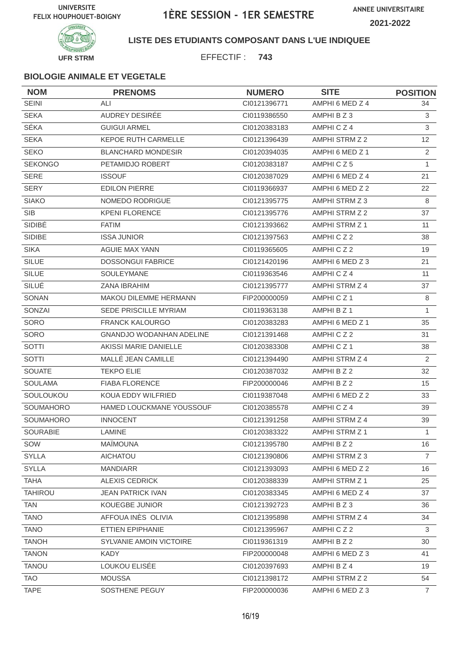**ANNEE UNIVERSITAIRE 2021-2022**



### **LISTE DES ETUDIANTS COMPOSANT DANS L'UE INDIQUEE**

EFFECTIF : **743**

| <b>NOM</b>     | <b>PRENOMS</b>                  | <b>NUMERO</b> | <b>SITE</b>           | <b>POSITION</b> |
|----------------|---------------------------------|---------------|-----------------------|-----------------|
| <b>SEINI</b>   | ALI                             | CI0121396771  | AMPHI 6 MED Z 4       | 34              |
| <b>SEKA</b>    | AUDREY DESIRÉE                  | CI0119386550  | AMPHI B Z 3           | 3               |
| <b>SÉKA</b>    | <b>GUIGUI ARMEL</b>             | CI0120383183  | AMPHICZ4              | 3               |
| <b>SEKA</b>    | <b>KEPOE RUTH CARMELLE</b>      | CI0121396439  | AMPHI STRM Z 2        | 12 <sup>2</sup> |
| <b>SEKO</b>    | <b>BLANCHARD MONDESIR</b>       | CI0120394035  | AMPHI 6 MED Z 1       | $\overline{2}$  |
| <b>SEKONGO</b> | PETAMIDJO ROBERT                | Cl0120383187  | AMPHICZ5              | $\mathbf{1}$    |
| <b>SERE</b>    | <b>ISSOUF</b>                   | Cl0120387029  | AMPHI 6 MED Z 4       | 21              |
| <b>SERY</b>    | <b>EDILON PIERRE</b>            | CI0119366937  | AMPHI 6 MED Z 2       | 22              |
| <b>SIAKO</b>   | NOMEDO RODRIGUE                 | Cl0121395775  | AMPHI STRM Z 3        | 8               |
| <b>SIB</b>     | <b>KPENI FLORENCE</b>           | Cl0121395776  | AMPHI STRM Z 2        | 37              |
| <b>SIDIBÉ</b>  | <b>FATIM</b>                    | CI0121393662  | AMPHI STRM Z 1        | 11              |
| SIDIBE         | <b>ISSA JUNIOR</b>              | Cl0121397563  | AMPHICZ2              | 38              |
| <b>SIKA</b>    | <b>AGUIE MAX YANN</b>           | CI0119365605  | AMPHICZ2              | 19              |
| <b>SILUE</b>   | <b>DOSSONGUI FABRICE</b>        | CI0121420196  | AMPHI 6 MED Z 3       | 21              |
| <b>SILUE</b>   | SOULEYMANE                      | CI0119363546  | AMPHICZ4              | 11              |
| SILUÉ          | ZANA IBRAHIM                    | CI0121395777  | AMPHI STRM Z 4        | 37              |
| SONAN          | <b>MAKOU DILEMME HERMANN</b>    | FIP200000059  | AMPHICZ <sub>1</sub>  | 8               |
| SONZAI         | <b>SEDE PRISCILLE MYRIAM</b>    | CI0119363138  | AMPHI B Z 1           | $\mathbf{1}$    |
| SORO           | <b>FRANCK KALOURGO</b>          | CI0120383283  | AMPHI 6 MED Z 1       | 35              |
| SORO           | <b>GNANDJO WODANHAN ADELINE</b> | Cl0121391468  | AMPHICZ2              | 31              |
| SOTTI          | AKISSI MARIE DANIELLE           | CI0120383308  | AMPHICZ1              | 38              |
| <b>SOTTI</b>   | MALLÉ JEAN CAMILLE              | CI0121394490  | AMPHI STRM Z 4        | $\overline{2}$  |
| <b>SOUATE</b>  | <b>TEKPO ELIE</b>               | Cl0120387032  | AMPHI B Z 2           | 32              |
| <b>SOULAMA</b> | <b>FIABA FLORENCE</b>           | FIP200000046  | AMPHI B Z 2           | 15              |
| SOULOUKOU      | KOUA EDDY WILFRIED              | CI0119387048  | AMPHI 6 MED Z 2       | 33              |
| SOUMAHORO      | HAMED LOUCKMANE YOUSSOUF        | Cl0120385578  | AMPHICZ4              | 39              |
| SOUMAHORO      | <b>INNOCENT</b>                 | CI0121391258  | AMPHI STRM Z 4        | 39              |
| SOURABIE       | LAMINE                          | CI0120383322  | AMPHI STRM Z 1        | $\mathbf{1}$    |
| SOW            | <b>MAÏMOUNA</b>                 | Cl0121395780  | AMPHI B Z 2           | 16              |
| <b>SYLLA</b>   | <b>AICHATOU</b>                 | CI0121390806  | AMPHI STRM Z 3        | $\overline{7}$  |
| <b>SYLLA</b>   | <b>MANDIARR</b>                 | CI0121393093  | AMPHI 6 MED Z 2       | 16              |
| <b>TAHA</b>    | <b>ALEXIS CEDRICK</b>           | CI0120388339  | <b>AMPHI STRM Z 1</b> | 25              |
| <b>TAHIROU</b> | <b>JEAN PATRICK IVAN</b>        | CI0120383345  | AMPHI 6 MED Z 4       | 37              |
| <b>TAN</b>     | KOUEGBE JUNIOR                  | CI0121392723  | AMPHI B Z 3           | 36              |
| <b>TANO</b>    | AFFOUA INÈS OLIVIA              | Cl0121395898  | AMPHI STRM Z 4        | 34              |
| <b>TANO</b>    | ETTIEN EPIPHANIE                | CI0121395967  | AMPHICZ2              | 3               |
| <b>TANOH</b>   | SYLVANIE AMOIN VICTOIRE         | CI0119361319  | AMPHI B Z 2           | 30              |
| <b>TANON</b>   | <b>KADY</b>                     | FIP200000048  | AMPHI 6 MED Z 3       | 41              |
| <b>TANOU</b>   | LOUKOU ELISÉE                   | CI0120397693  | AMPHI B Z 4           | 19              |
| <b>TAO</b>     | <b>MOUSSA</b>                   | CI0121398172  | AMPHI STRM Z 2        | 54              |
| <b>TAPE</b>    | SOSTHENE PEGUY                  | FIP200000036  | AMPHI 6 MED Z 3       | $\overline{7}$  |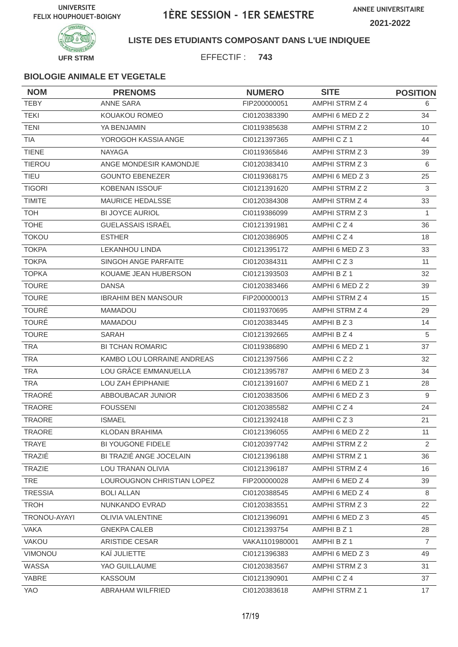

### **LISTE DES ETUDIANTS COMPOSANT DANS L'UE INDIQUEE**

EFFECTIF : **743**

| <b>NOM</b>     | <b>PRENOMS</b>             | <b>NUMERO</b>  | <b>SITE</b>     | <b>POSITION</b> |
|----------------|----------------------------|----------------|-----------------|-----------------|
| <b>TEBY</b>    | <b>ANNE SARA</b>           | FIP200000051   | AMPHI STRM Z 4  | 6               |
| <b>TEKI</b>    | KOUAKOU ROMEO              | CI0120383390   | AMPHI 6 MED Z 2 | 34              |
| <b>TENI</b>    | YA BENJAMIN                | CI0119385638   | AMPHI STRM Z 2  | 10              |
| TIA            | YOROGOH KASSIA ANGE        | CI0121397365   | AMPHICZ1        | 44              |
| <b>TIENE</b>   | <b>NAYAGA</b>              | CI0119365846   | AMPHI STRM Z 3  | 39              |
| <b>TIEROU</b>  | ANGE MONDESIR KAMONDJE     | CI0120383410   | AMPHI STRM Z 3  | 6               |
| <b>TIEU</b>    | <b>GOUNTO EBENEZER</b>     | CI0119368175   | AMPHI 6 MED Z 3 | 25              |
| <b>TIGORI</b>  | <b>KOBENAN ISSOUF</b>      | CI0121391620   | AMPHI STRM Z 2  | 3               |
| <b>TIMITE</b>  | <b>MAURICE HEDALSSE</b>    | CI0120384308   | AMPHI STRM Z 4  | 33              |
| <b>TOH</b>     | <b>BI JOYCE AURIOL</b>     | CI0119386099   | AMPHI STRM Z 3  | $\mathbf{1}$    |
| <b>TOHE</b>    | GUELASSAIS ISRAËL          | CI0121391981   | AMPHICZ4        | 36              |
| <b>TOKOU</b>   | <b>ESTHER</b>              | CI0120386905   | AMPHICZ4        | 18              |
| <b>TOKPA</b>   | <b>LEKANHOU LINDA</b>      | CI0121395172   | AMPHI 6 MED Z 3 | 33              |
| <b>TOKPA</b>   | SINGOH ANGE PARFAITE       | CI0120384311   | AMPHICZ3        | 11              |
| <b>TOPKA</b>   | KOUAME JEAN HUBERSON       | CI0121393503   | AMPHI B Z 1     | 32              |
| <b>TOURE</b>   | <b>DANSA</b>               | CI0120383466   | AMPHI 6 MED Z 2 | 39              |
| <b>TOURE</b>   | <b>IBRAHIM BEN MANSOUR</b> | FIP200000013   | AMPHI STRM Z 4  | 15              |
| <b>TOURÉ</b>   | <b>MAMADOU</b>             | CI0119370695   | AMPHI STRM Z 4  | 29              |
| <b>TOURÉ</b>   | <b>MAMADOU</b>             | CI0120383445   | AMPHI B Z 3     | 14              |
| <b>TOURE</b>   | SARAH                      | CI0121392665   | AMPHI B Z 4     | 5               |
| <b>TRA</b>     | <b>BI TCHAN ROMARIC</b>    | CI0119386890   | AMPHI 6 MED Z 1 | 37              |
| <b>TRA</b>     | KAMBO LOU LORRAINE ANDREAS | CI0121397566   | AMPHICZ2        | 32              |
| <b>TRA</b>     | LOU GRÂCE EMMANUELLA       | CI0121395787   | AMPHI 6 MED Z 3 | 34              |
| <b>TRA</b>     | LOU ZAH ÉPIPHANIE          | CI0121391607   | AMPHI 6 MED Z 1 | 28              |
| TRAORÉ         | ABBOUBACAR JUNIOR          | CI0120383506   | AMPHI 6 MED Z 3 | 9               |
| TRAORE         | <b>FOUSSENI</b>            | CI0120385582   | AMPHICZ4        | 24              |
| <b>TRAORE</b>  | <b>ISMAEL</b>              | CI0121392418   | AMPHICZ3        | 21              |
| TRAORE         | KLODAN BRAHIMA             | CI0121396055   | AMPHI 6 MED Z 2 | 11              |
| <b>TRAYE</b>   | BI YOUGONE FIDELE          | CI0120397742   | AMPHI STRM Z 2  | 2               |
| TRAZIÉ         | BI TRAZIÉ ANGE JOCELAIN    | Cl0121396188   | AMPHI STRM Z 1  | 36              |
| TRAZIE         | LOU TRANAN OLIVIA          | Cl0121396187   | AMPHI STRM Z 4  | 16              |
| <b>TRE</b>     | LOUROUGNON CHRISTIAN LOPEZ | FIP200000028   | AMPHI 6 MED Z 4 | 39              |
| <b>TRESSIA</b> | <b>BOLI ALLAN</b>          | CI0120388545   | AMPHI 6 MED Z 4 | 8               |
| <b>TROH</b>    | NUNKANDO EVRAD             | CI0120383551   | AMPHI STRM Z 3  | 22              |
| TRONOU-AYAYI   | <b>OLIVIA VALENTINE</b>    | CI0121396091   | AMPHI 6 MED Z 3 | 45              |
| <b>VAKA</b>    | <b>GNEKPA CALEB</b>        | CI0121393754   | AMPHI B Z 1     | 28              |
| VAKOU          | ARISTIDE CESAR             | VAKA1101980001 | AMPHI B Z 1     | $\overline{7}$  |
| VIMONOU        | KAÏ JULIETTE               | CI0121396383   | AMPHI 6 MED Z 3 | 49              |
| WASSA          | YAO GUILLAUME              | CI0120383567   | AMPHI STRM Z 3  | 31              |
| YABRE          | KASSOUM                    | CI0121390901   | AMPHICZ4        | 37              |
| YAO            | ABRAHAM WILFRIED           | CI0120383618   | AMPHI STRM Z 1  | 17              |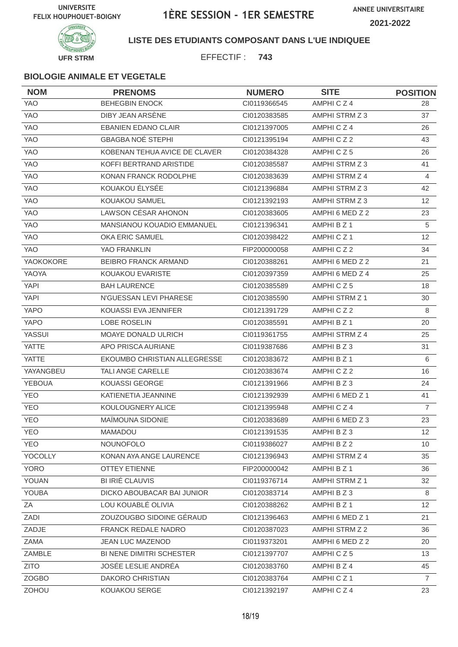

### **LISTE DES ETUDIANTS COMPOSANT DANS L'UE INDIQUEE**

EFFECTIF : **743**

| <b>NOM</b>    | <b>PRENOMS</b>                | <b>NUMERO</b> | <b>SITE</b>          | <b>POSITION</b> |
|---------------|-------------------------------|---------------|----------------------|-----------------|
| <b>YAO</b>    | <b>BEHEGBIN ENOCK</b>         | CI0119366545  | AMPHICZ4             | 28              |
| <b>YAO</b>    | DIBY JEAN ARSENE              | CI0120383585  | AMPHI STRM Z 3       | 37              |
| <b>YAO</b>    | <b>EBANIEN EDANO CLAIR</b>    | CI0121397005  | AMPHICZ4             | 26              |
| <b>YAO</b>    | <b>GBAGBA NOÉ STEPHI</b>      | CI0121395194  | AMPHICZ2             | 43              |
| YAO           | KOBENAN TEHUA AVICE DE CLAVER | CI0120384328  | AMPHICZ5             | 26              |
| YAO           | KOFFI BERTRAND ARISTIDE       | CI0120385587  | AMPHI STRM Z 3       | 41              |
| <b>YAO</b>    | KONAN FRANCK RODOLPHE         | CI0120383639  | AMPHI STRM Z 4       | 4               |
| <b>YAO</b>    | KOUAKOU ÉLYSÉE                | CI0121396884  | AMPHI STRM Z 3       | 42              |
| <b>YAO</b>    | <b>KOUAKOU SAMUEL</b>         | CI0121392193  | AMPHI STRM Z 3       | 12              |
| YAO           | LAWSON CÉSAR AHONON           | CI0120383605  | AMPHI 6 MED Z 2      | 23              |
| <b>YAO</b>    | MANSIANOU KOUADIO EMMANUEL    | CI0121396341  | AMPHI B Z 1          | $\sqrt{5}$      |
| <b>YAO</b>    | <b>OKA ERIC SAMUEL</b>        | CI0120398422  | AMPHICZ <sub>1</sub> | 12              |
| <b>YAO</b>    | YAO FRANKLIN                  | FIP200000058  | AMPHICZ2             | 34              |
| YAOKOKORE     | BEIBRO FRANCK ARMAND          | CI0120388261  | AMPHI 6 MED Z 2      | 21              |
| YAOYA         | <b>KOUAKOU EVARISTE</b>       | CI0120397359  | AMPHI 6 MED Z 4      | 25              |
| <b>YAPI</b>   | <b>BAH LAURENCE</b>           | CI0120385589  | AMPHICZ5             | 18              |
| <b>YAPI</b>   | N'GUESSAN LEVI PHARESE        | CI0120385590  | AMPHI STRM Z 1       | 30              |
| <b>YAPO</b>   | KOUASSI EVA JENNIFER          | CI0121391729  | AMPHICZ2             | 8               |
| <b>YAPO</b>   | <b>LOBE ROSELIN</b>           | CI0120385591  | AMPHI B Z 1          | 20              |
| YASSUI        | <b>MOAYE DONALD ULRICH</b>    | CI0119361755  | AMPHI STRM Z 4       | 25              |
| <b>YATTE</b>  | APO PRISCA AURIANE            | CI0119387686  | AMPHI B Z 3          | 31              |
| <b>YATTE</b>  | EKOUMBO CHRISTIAN ALLEGRESSE  | CI0120383672  | AMPHI B Z 1          | 6               |
| YAYANGBEU     | <b>TALI ANGE CARELLE</b>      | CI0120383674  | AMPHICZ2             | 16              |
| <b>YEBOUA</b> | <b>KOUASSI GEORGE</b>         | CI0121391966  | AMPHI B Z 3          | 24              |
| <b>YEO</b>    | KATIENETIA JEANNINE           | CI0121392939  | AMPHI 6 MED Z 1      | 41              |
| <b>YEO</b>    | KOULOUGNERY ALICE             | CI0121395948  | AMPHICZ4             | $\overline{7}$  |
| <b>YEO</b>    | MAÏMOUNA SIDONIE              | CI0120383689  | AMPHI 6 MED Z 3      | 23              |
| <b>YEO</b>    | MAMADOU                       | Cl0121391535  | AMPHI B Z 3          | 12              |
| <b>YEO</b>    | <b>NOUNOFOLO</b>              | CI0119386027  | AMPHI B Z 2          | 10 <sup>°</sup> |
| YOCOLLY       | KONAN AYA ANGE LAURENCE       | CI0121396943  | AMPHI STRM Z 4       | 35              |
| <b>YORO</b>   | <b>OTTEY ETIENNE</b>          | FIP200000042  | AMPHI B Z 1          | 36              |
| YOUAN         | BI IRIÉ CLAUVIS               | CI0119376714  | AMPHI STRM Z 1       | 32              |
| <b>YOUBA</b>  | DICKO ABOUBACAR BAI JUNIOR    | Cl0120383714  | AMPHI B Z 3          | 8               |
| ZA            | LOU KOUABLÉ OLIVIA            | CI0120388262  | AMPHI B Z 1          | 12              |
| ZADI          | ZOUZOUGBO SIDOINE GÉRAUD      | CI0121396463  | AMPHI 6 MED Z 1      | 21              |
| ZADJE         | FRANCK REDALE NADRO           | CI0120387023  | AMPHI STRM Z 2       | 36              |
| ZAMA          | JEAN LUC MAZENOD              | CI0119373201  | AMPHI 6 MED Z 2      | 20              |
| ZAMBLE        | BI NENE DIMITRI SCHESTER      | Cl0121397707  | AMPHICZ5             | 13              |
| <b>ZITO</b>   | JOSÉE LESLIE ANDRÉA           | CI0120383760  | AMPHI B Z 4          | 45              |
| <b>ZOGBO</b>  | DAKORO CHRISTIAN              | CI0120383764  | AMPHICZ1             | $\overline{7}$  |
| ZOHOU         | KOUAKOU SERGE                 | CI0121392197  | AMPHICZ4             | 23              |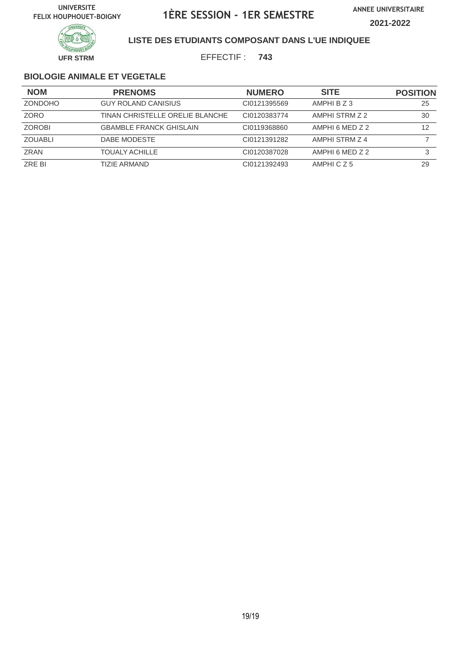

### **LISTE DES ETUDIANTS COMPOSANT DANS L'UE INDIQUEE**

EFFECTIF : **743**

| <b>NOM</b>     | <b>PRENOMS</b>                  | <b>NUMERO</b> | <b>SITE</b>     | <b>POSITION</b> |
|----------------|---------------------------------|---------------|-----------------|-----------------|
| <b>ZONDOHO</b> | <b>GUY ROLAND CANISIUS</b>      | CI0121395569  | AMPHI B Z 3     | 25              |
| <b>ZORO</b>    | TINAN CHRISTELLE ORELIE BLANCHE | CI0120383774  | AMPHI STRM Z 2  | 30              |
| <b>ZOROBI</b>  | <b>GBAMBLE FRANCK GHISLAIN</b>  | CI0119368860  | AMPHI 6 MED Z 2 | 12              |
| <b>ZOUABLI</b> | DABE MODESTE                    | CI0121391282  | AMPHI STRM Z 4  |                 |
| ZRAN           | <b>TOUALY ACHILLE</b>           | CI0120387028  | AMPHI 6 MED Z 2 | 3               |
| ZRE BI         | TIZIE ARMAND                    | CI0121392493  | AMPHICZ5        | 29              |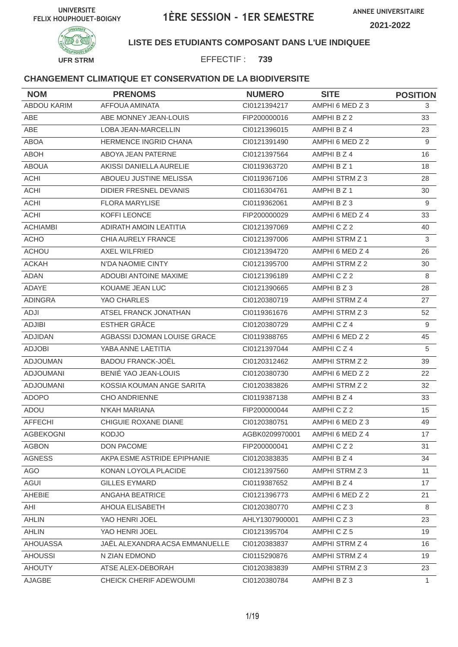

## **LISTE DES ETUDIANTS COMPOSANT DANS L'UE INDIQUEE**

EFFECTIF : **739**

| <b>NOM</b>         | <b>PRENOMS</b>                 | <b>NUMERO</b>  | <b>SITE</b>     | <b>POSITION</b> |
|--------------------|--------------------------------|----------------|-----------------|-----------------|
| <b>ABDOU KARIM</b> | <b>AFFOUA AMINATA</b>          | CI0121394217   | AMPHI 6 MED Z 3 | 3               |
| ABE                | ABE MONNEY JEAN-LOUIS          | FIP200000016   | AMPHI B Z 2     | 33              |
| ABE                | LOBA JEAN-MARCELLIN            | CI0121396015   | AMPHI B Z 4     | 23              |
| <b>ABOA</b>        | HERMENCE INGRID CHANA          | CI0121391490   | AMPHI 6 MED Z 2 | 9               |
| <b>ABOH</b>        | ABOYA JEAN PATERNE             | CI0121397564   | AMPHI B Z 4     | 16              |
| <b>ABOUA</b>       | AKISSI DANIELLA AURELIE        | CI0119363720   | AMPHI B Z 1     | 18              |
| <b>ACHI</b>        | ABOUEU JUSTINE MELISSA         | CI0119367106   | AMPHI STRM Z 3  | 28              |
| <b>ACHI</b>        | DIDIER FRESNEL DEVANIS         | CI0116304761   | AMPHI B Z 1     | 30              |
| <b>ACHI</b>        | <b>FLORA MARYLISE</b>          | CI0119362061   | AMPHI B Z 3     | 9               |
| <b>ACHI</b>        | KOFFI LEONCE                   | FIP200000029   | AMPHI 6 MED Z 4 | 33              |
| <b>ACHIAMBI</b>    | ADIRATH AMOIN LEATITIA         | CI0121397069   | AMPHICZ2        | 40              |
| <b>ACHO</b>        | CHIA AURELY FRANCE             | CI0121397006   | AMPHI STRM Z 1  | $\mathbf{3}$    |
| <b>ACHOU</b>       | <b>AXEL WILFRIED</b>           | CI0121394720   | AMPHI 6 MED Z 4 | 26              |
| <b>ACKAH</b>       | N'DA NAOMIE CINTY              | CI0121395700   | AMPHI STRM Z 2  | 30              |
| <b>ADAN</b>        | <b>ADOUBI ANTOINE MAXIME</b>   | CI0121396189   | AMPHICZ2        | 8               |
| ADAYE              | KOUAME JEAN LUC                | CI0121390665   | AMPHIBZ3        | 28              |
| <b>ADINGRA</b>     | YAO CHARLES                    | CI0120380719   | AMPHI STRM Z 4  | 27              |
| ADJI               | ATSEL FRANCK JONATHAN          | CI0119361676   | AMPHI STRM Z 3  | 52              |
| <b>ADJIBI</b>      | <b>ESTHER GRÂCE</b>            | CI0120380729   | AMPHICZ4        | 9               |
| ADJIDAN            | AGBASSI DJOMAN LOUISE GRACE    | CI0119388765   | AMPHI 6 MED Z 2 | 45              |
| <b>ADJOBI</b>      | YABA ANNE LAETITIA             | CI0121397044   | AMPHICZ4        | 5               |
| <b>ADJOUMAN</b>    | <b>BADOU FRANCK-JOËL</b>       | CI0120312462   | AMPHI STRM Z 2  | 39              |
| <b>ADJOUMANI</b>   | BENIÉ YAO JEAN-LOUIS           | CI0120380730   | AMPHI 6 MED Z 2 | 22              |
| <b>ADJOUMANI</b>   | KOSSIA KOUMAN ANGE SARITA      | CI0120383826   | AMPHI STRM Z 2  | 32              |
| <b>ADOPO</b>       | <b>CHO ANDRIENNE</b>           | CI0119387138   | AMPHI B Z 4     | 33              |
| ADOU               | N'KAH MARIANA                  | FIP200000044   | AMPHICZ2        | 15              |
| <b>AFFECHI</b>     | CHIGUIE ROXANE DIANE           | CI0120380751   | AMPHI 6 MED Z 3 | 49              |
| AGBEKOGNI          | KODJO                          | AGBK0209970001 | AMPHI 6 MED Z 4 | 17              |
| <b>AGBON</b>       | <b>DON PACOME</b>              | FIP200000041   | AMPHICZ2        | 31              |
| <b>AGNESS</b>      | AKPA ESME ASTRIDE EPIPHANIE    | CI0120383835   | AMPHI B Z 4     | 34              |
| AGO                | KONAN LOYOLA PLACIDE           | CI0121397560   | AMPHI STRM Z 3  | 11              |
| AGUI               | <b>GILLES EYMARD</b>           | CI0119387652   | AMPHI B Z 4     | 17              |
| AHEBIE             | ANGAHA BEATRICE                | CI0121396773   | AMPHI 6 MED Z 2 | 21              |
| AHI                | AHOUA ELISABETH                | CI0120380770   | AMPHICZ3        | 8               |
| <b>AHLIN</b>       | YAO HENRI JOEL                 | AHLY1307900001 | AMPHICZ3        | 23              |
| <b>AHLIN</b>       | YAO HENRI JOEL                 | Cl0121395704   | AMPHICZ5        | 19              |
| <b>AHOUASSA</b>    | JAËL ALEXANDRA ACSA EMMANUELLE | CI0120383837   | AMPHI STRM Z 4  | 16              |
| <b>AHOUSSI</b>     | N ZIAN EDMOND                  | CI0115290876   | AMPHI STRM Z 4  | 19              |
| <b>AHOUTY</b>      | ATSE ALEX-DEBORAH              | CI0120383839   | AMPHI STRM Z 3  | 23              |
| AJAGBE             | CHEICK CHERIF ADEWOUMI         | Cl0120380784   | AMPHI B Z 3     | $\mathbf{1}$    |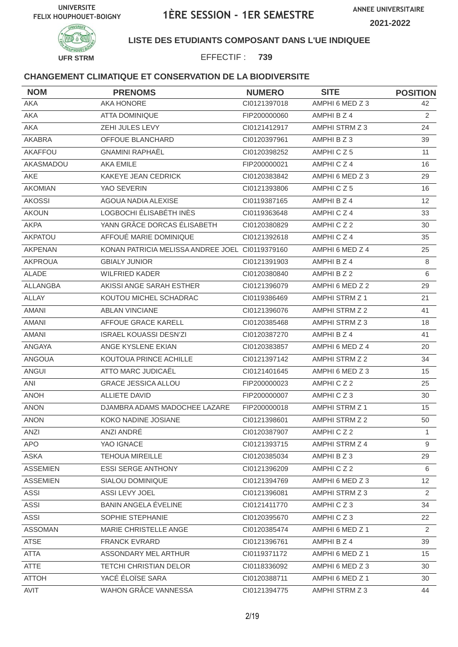



## **LISTE DES ETUDIANTS COMPOSANT DANS L'UE INDIQUEE**

EFFECTIF : **739**

| <b>NOM</b>      | <b>PRENOMS</b>                                  | <b>NUMERO</b> | <b>SITE</b>           | <b>POSITION</b> |
|-----------------|-------------------------------------------------|---------------|-----------------------|-----------------|
| AKA             | AKA HONORE                                      | Cl0121397018  | AMPHI 6 MED Z 3       | 42              |
| AKA             | <b>ATTA DOMINIQUE</b>                           | FIP200000060  | AMPHI B Z 4           | $\overline{2}$  |
| AKA             | ZEHI JULES LEVY                                 | CI0121412917  | AMPHI STRM Z 3        | 24              |
| <b>AKABRA</b>   | OFFOUE BLANCHARD                                | CI0120397961  | AMPHIBZ3              | 39              |
| AKAFFOU         | <b>GNAMINI RAPHAËL</b>                          | CI0120398252  | AMPHICZ5              | 11              |
| AKASMADOU       | AKA EMILE                                       | FIP200000021  | AMPHICZ4              | 16              |
| <b>AKE</b>      | KAKEYE JEAN CEDRICK                             | CI0120383842  | AMPHI 6 MED Z 3       | 29              |
| <b>AKOMIAN</b>  | YAO SEVERIN                                     | CI0121393806  | AMPHICZ5              | 16              |
| <b>AKOSSI</b>   | AGOUA NADIA ALEXISE                             | CI0119387165  | AMPHI B Z 4           | 12              |
| <b>AKOUN</b>    | LOGBOCHI ÉLISABÉTH INÈS                         | CI0119363648  | AMPHICZ4              | 33              |
| <b>AKPA</b>     | YANN GRÂCE DORCAS ÉLISABETH                     | CI0120380829  | AMPHICZ2              | 30              |
| <b>AKPATOU</b>  | AFFOUÉ MARIE DOMINIQUE                          | CI0121392618  | AMPHICZ4              | 35              |
| <b>AKPENAN</b>  | KONAN PATRICIA MELISSA ANDREE JOEL CI0119379160 |               | AMPHI 6 MED Z 4       | 25              |
| <b>AKPROUA</b>  | <b>GBIALY JUNIOR</b>                            | CI0121391903  | AMPHI B Z 4           | 8               |
| ALADE           | <b>WILFRIED KADER</b>                           | CI0120380840  | AMPHI B Z 2           | 6               |
| ALLANGBA        | AKISSI ANGE SARAH ESTHER                        | CI0121396079  | AMPHI 6 MED Z 2       | 29              |
| <b>ALLAY</b>    | KOUTOU MICHEL SCHADRAC                          | CI0119386469  | AMPHI STRM Z 1        | 21              |
| <b>AMANI</b>    | <b>ABLAN VINCIANE</b>                           | Cl0121396076  | AMPHI STRM Z 2        | 41              |
| <b>AMANI</b>    | AFFOUE GRACE KARELL                             | CI0120385468  | AMPHI STRM Z 3        | 18              |
| <b>AMANI</b>    | <b>ISRAEL KOUASSI DESN'ZI</b>                   | CI0120387270  | AMPHI B Z 4           | 41              |
| ANGAYA          | ANGE KYSLENE EKIAN                              | CI0120383857  | AMPHI 6 MED Z 4       | 20              |
| ANGOUA          | KOUTOUA PRINCE ACHILLE                          | CI0121397142  | AMPHI STRM Z 2        | 34              |
| <b>ANGUI</b>    | ATTO MARC JUDICAËL                              | CI0121401645  | AMPHI 6 MED Z 3       | 15              |
| ANI             | <b>GRACE JESSICA ALLOU</b>                      | FIP200000023  | AMPHICZ2              | 25              |
| <b>ANOH</b>     | <b>ALLIETE DAVID</b>                            | FIP200000007  | AMPHICZ3              | 30              |
| <b>ANON</b>     | DJAMBRA ADAMS MADOCHEE LAZARE                   | FIP200000018  | AMPHI STRM Z 1        | 15              |
| <b>ANON</b>     | KOKO NADINE JOSIANE                             | CI0121398601  | <b>AMPHI STRM Z 2</b> | 50              |
| ANZI            | ANZI ANDRÉ                                      | CI0120387907  | AMPHICZ2              | $\mathbf{1}$    |
| <b>APO</b>      | YAO IGNACE                                      | CI0121393715  | AMPHI STRM Z 4        | 9               |
| <b>ASKA</b>     | <b>TEHOUA MIREILLE</b>                          | CI0120385034  | AMPHI B Z 3           | 29              |
| <b>ASSEMIEN</b> | <b>ESSI SERGE ANTHONY</b>                       | CI0121396209  | AMPHICZ2              | 6               |
| <b>ASSEMIEN</b> | SIALOU DOMINIQUE                                | Cl0121394769  | AMPHI 6 MED Z 3       | 12 <sup>°</sup> |
| ASSI            | ASSI LEVY JOEL                                  | CI0121396081  | AMPHI STRM Z 3        | 2               |
| <b>ASSI</b>     | BANIN ANGELA ÉVELINE                            | Cl0121411770  | AMPHICZ3              | 34              |
| <b>ASSI</b>     | SOPHIE STEPHANIE                                | CI0120395670  | AMPHICZ3              | 22              |
| <b>ASSOMAN</b>  | MARIE CHRISTELLE ANGE                           | CI0120385474  | AMPHI 6 MED Z 1       | $\overline{2}$  |
| <b>ATSE</b>     | <b>FRANCK EVRARD</b>                            | CI0121396761  | AMPHI B Z 4           | 39              |
| <b>ATTA</b>     | ASSONDARY MEL ARTHUR                            | CI0119371172  | AMPHI 6 MED Z 1       | 15              |
| ATTE            | <b>TETCHI CHRISTIAN DELOR</b>                   | CI0118336092  | AMPHI 6 MED Z 3       | 30              |
| <b>ATTOH</b>    | YACÉ ÉLOÏSE SARA                                | CI0120388711  | AMPHI 6 MED Z 1       | 30              |
| AVIT            | WAHON GRÂCE VANNESSA                            | Cl0121394775  | AMPHI STRM Z 3        | 44              |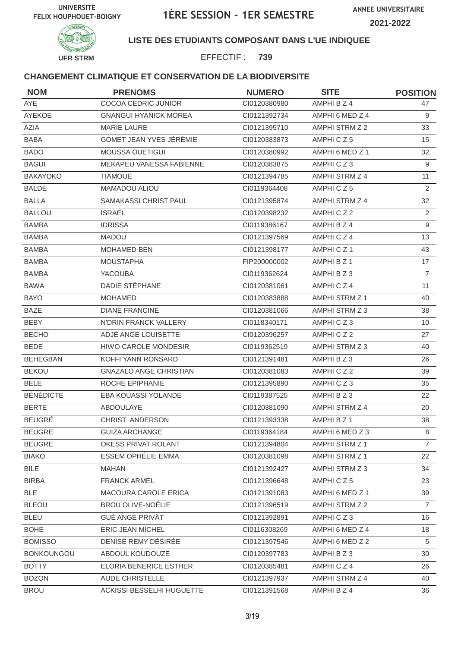



## **LISTE DES ETUDIANTS COMPOSANT DANS L'UE INDIQUEE**

EFFECTIF : **739**

| <b>NOM</b>        | <b>PRENOMS</b>                | <b>NUMERO</b> | <b>SITE</b>           | <b>POSITION</b> |
|-------------------|-------------------------------|---------------|-----------------------|-----------------|
| AYE               | COCOA CÉDRIC JUNIOR           | CI0120380980  | AMPHI B Z 4           | 47              |
| AYEKOE            | <b>GNANGUI HYANICK MOREA</b>  | CI0121392734  | AMPHI 6 MED Z 4       | 9               |
| AZIA              | <b>MARIE LAURE</b>            | CI0121395710  | AMPHI STRM Z 2        | 33              |
| <b>BABA</b>       | GOMET JEAN YVES JÉRÉMIE       | CI0120383873  | AMPHICZ5              | 15              |
| <b>BADO</b>       | MOUSSA OUETIGUI               | CI0120380992  | AMPHI 6 MED Z 1       | 32              |
| <b>BAGUI</b>      | MEKAPEU VANESSA FABIENNE      | CI0120383875  | AMPHICZ3              | 9               |
| <b>BAKAYOKO</b>   | <b>TIAMOUÉ</b>                | CI0121394785  | AMPHI STRM Z 4        | 11              |
| <b>BALDE</b>      | MAMADOU ALIOU                 | CI0119364408  | AMPHICZ5              | $\overline{2}$  |
| <b>BALLA</b>      | SAMAKASSI CHRIST PAUL         | Cl0121395874  | AMPHI STRM Z 4        | 32              |
| <b>BALLOU</b>     | <b>ISRAEL</b>                 | CI0120398232  | AMPHICZ2              | $\overline{2}$  |
| <b>BAMBA</b>      | <b>IDRISSA</b>                | CI0119386167  | AMPHI B Z 4           | $9\,$           |
| <b>BAMBA</b>      | <b>MADOU</b>                  | Cl0121397569  | AMPHICZ4              | 13              |
| <b>BAMBA</b>      | <b>MOHAMED BEN</b>            | Cl0121398177  | AMPHICZ1              | 43              |
| <b>BAMBA</b>      | <b>MOUSTAPHA</b>              | FIP200000002  | AMPHI B Z 1           | 17              |
| <b>BAMBA</b>      | <b>YACOUBA</b>                | CI0119362624  | AMPHIBZ3              | $\overline{7}$  |
| <b>BAWA</b>       | DADIE STÉPHANE                | CI0120381061  | AMPHICZ4              | 11              |
| <b>BAYO</b>       | <b>MOHAMED</b>                | CI0120383888  | AMPHI STRM Z 1        | 40              |
| <b>BAZE</b>       | <b>DIANE FRANCINE</b>         | CI0120381066  | AMPHI STRM Z 3        | 38              |
| <b>BEBY</b>       | N'DRIN FRANCK VALLERY         | CI0118340171  | AMPHICZ3              | 10              |
| <b>BECHO</b>      | ADJÉ ANGE LOUISETTE           | CI0120396257  | AMPHICZ2              | 27              |
| <b>BEDE</b>       | <b>HIWO CAROLE MONDESIR</b>   | CI0119362519  | AMPHI STRM Z 3        | 40              |
| <b>BEHEGBAN</b>   | KOFFI YANN RONSARD            | CI0121391481  | AMPHIBZ3              | 26              |
| <b>BEKOU</b>      | <b>GNAZALO ANGE CHRISTIAN</b> | CI0120381083  | AMPHICZ2              | 39              |
| <b>BELE</b>       | ROCHE EPIPHANIE               | Cl0121395890  | AMPHICZ3              | 35              |
| <b>BÉNÉDICTE</b>  | EBA KOUASSI YOLANDE           | CI0119387525  | AMPHIBZ3              | 22              |
| <b>BERTE</b>      | ABDOULAYE                     | CI0120381090  | AMPHI STRM Z 4        | 20              |
| <b>BEUGRÉ</b>     | CHRIST ANDERSON               | CI0121393338  | AMPHI B Z 1           | 38              |
| <b>BEUGRE</b>     | <b>GUIZA ARCHANGE</b>         | CI0119364184  | AMPHI 6 MED Z 3       | 8               |
| <b>BEUGRE</b>     | OKESS PRIVAT ROLANT           | Cl0121394804  | <b>AMPHI STRM Z 1</b> | $\overline{7}$  |
| <b>BIAKO</b>      | ESSEM OPHÉLIE EMMA            | CI0120381098  | AMPHI STRM Z 1        | 22              |
| <b>BILE</b>       | <b>MAHAN</b>                  | CI0121392427  | AMPHI STRM Z 3        | 34              |
| <b>BIRBA</b>      | <b>FRANCK ARMEL</b>           | Cl0121396648  | AMPHICZ5              | 23              |
| <b>BLE</b>        | MACOURA CAROLE ERICA          | CI0121391083  | AMPHI 6 MED Z 1       | 39              |
| <b>BLEOU</b>      | <b>BROU OLIVE-NOËLIE</b>      | Cl0121396519  | AMPHI STRM Z 2        | $\overline{7}$  |
| <b>BLEU</b>       | <b>GUÉ ANGE PRIVÂT</b>        | CI0121392891  | AMPHICZ3              | 16              |
| <b>BOHE</b>       | ERIC JEAN MICHEL              | CI0116308269  | AMPHI 6 MED Z 4       | 18              |
| <b>BOMISSO</b>    | DENISE REMY DÉSIRÉE           | CI0121397546  | AMPHI 6 MED Z 2       | 5               |
| <b>BONKOUNGOU</b> | ABDOUL KOUDOUZE               | CI0120397783  | AMPHIBZ3              | 30              |
| <b>BOTTY</b>      | ELORIA BENERICE ESTHER        | CI0120385481  | AMPHICZ4              | 26              |
| <b>BOZON</b>      | AUDE CHRISTELLE               | CI0121397937  | AMPHI STRM Z 4        | 40              |
| <b>BROU</b>       | ACKISSI BESSELHI HUGUETTE     | CI0121391568  | AMPHI B Z 4           | 36              |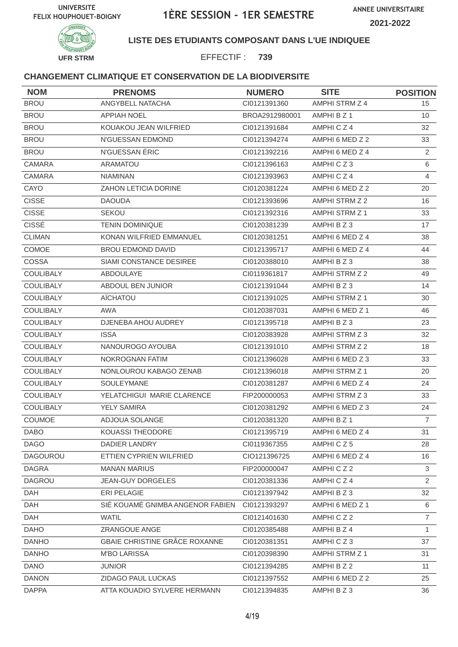



## **LISTE DES ETUDIANTS COMPOSANT DANS L'UE INDIQUEE**

EFFECTIF : **739**

| <b>NOM</b>       | <b>PRENOMS</b>                   | <b>NUMERO</b>  | <b>SITE</b>           | <b>POSITION</b> |
|------------------|----------------------------------|----------------|-----------------------|-----------------|
| <b>BROU</b>      | ANGYBELL NATACHA                 | Cl0121391360   | AMPHI STRM Z 4        | 15 <sub>1</sub> |
| <b>BROU</b>      | <b>APPIAH NOEL</b>               | BROA2912980001 | AMPHI B Z 1           | 10              |
| <b>BROU</b>      | KOUAKOU JEAN WILFRIED            | CI0121391684   | AMPHICZ4              | 32              |
| <b>BROU</b>      | N'GUESSAN EDMOND                 | CI0121394274   | AMPHI 6 MED Z 2       | 33              |
| <b>BROU</b>      | N'GUESSAN ÉRIC                   | Cl0121392216   | AMPHI 6 MED Z 4       | $\overline{2}$  |
| <b>CAMARA</b>    | ARAMATOU                         | CI0121396163   | AMPHICZ3              | 6               |
| CAMARA           | <b>NIAMINAN</b>                  | CI0121393963   | AMPHICZ4              | $\overline{4}$  |
| CAYO             | <b>ZAHON LETICIA DORINE</b>      | CI0120381224   | AMPHI 6 MED Z 2       | 20              |
| <b>CISSE</b>     | <b>DAOUDA</b>                    | CI0121393696   | AMPHI STRM Z 2        | 16              |
| <b>CISSE</b>     | <b>SEKOU</b>                     | Cl0121392316   | AMPHI STRM Z 1        | 33              |
| <b>CISSÉ</b>     | <b>TENIN DOMINIQUE</b>           | CI0120381239   | AMPHI B Z 3           | 17              |
| <b>CLIMAN</b>    | KONAN WILFRIED EMMANUEL          | CI0120381251   | AMPHI 6 MED Z 4       | 38              |
| COMOE            | <b>BROU EDMOND DAVID</b>         | CI0121395717   | AMPHI 6 MED Z 4       | 44              |
| COSSA            | SIAMI CONSTANCE DESIREE          | Cl0120388010   | AMPHI B Z 3           | 38              |
| COULIBALY        | ABDOULAYE                        | CI0119361817   | AMPHI STRM Z 2        | 49              |
| <b>COULIBALY</b> | ABDOUL BEN JUNIOR                | CI0121391044   | AMPHI B Z 3           | 14              |
| <b>COULIBALY</b> | AÏCHATOU                         | CI0121391025   | AMPHI STRM Z 1        | 30              |
| <b>COULIBALY</b> | <b>AWA</b>                       | CI0120387031   | AMPHI 6 MED Z 1       | 46              |
| <b>COULIBALY</b> | DJENEBA AHOU AUDREY              | Cl0121395718   | AMPHIBZ3              | 23              |
| <b>COULIBALY</b> | <b>ISSA</b>                      | CI0120383928   | AMPHI STRM Z 3        | 32              |
| <b>COULIBALY</b> | NANOUROGO AYOUBA                 | Cl0121391010   | <b>AMPHI STRM Z 2</b> | 18              |
| <b>COULIBALY</b> | NOKROGNAN FATIM                  | CI0121396028   | AMPHI 6 MED Z 3       | 33              |
| <b>COULIBALY</b> | NONLOUROU KABAGO ZENAB           | CI0121396018   | AMPHI STRM Z 1        | 20              |
| <b>COULIBALY</b> | <b>SOULEYMANE</b>                | Cl0120381287   | AMPHI 6 MED Z 4       | 24              |
| <b>COULIBALY</b> | YELATCHIGUI MARIE CLARENCE       | FIP200000053   | AMPHI STRM Z 3        | 33              |
| COULIBALY        | <b>YELY SAMIRA</b>               | CI0120381292   | AMPHI 6 MED Z 3       | 24              |
| COUMOE           | ADJOUA SOLANGE                   | CI0120381320   | AMPHI B Z 1           | $\overline{7}$  |
| <b>DABO</b>      | KOUASSI THEODORE                 | CI0121395719   | AMPHI 6 MED Z 4       | 31              |
| <b>DAGO</b>      | DADIER LANDRY                    | CI0119367355   | AMPHICZ5              | 28              |
| <b>DAGOUROU</b>  | ETTIEN CYPRIEN WILFRIED          | CIO121396725   | AMPHI 6 MED Z 4       | 16              |
| <b>DAGRA</b>     | <b>MANAN MARIUS</b>              | FIP200000047   | AMPHICZ2              | 3               |
| <b>DAGROU</b>    | <b>JEAN-GUY DORGELES</b>         | CI0120381336   | AMPHICZ4              | $\overline{2}$  |
| DAH              | ERI PELAGIE                      | Cl0121397942   | AMPHIBZ3              | 32              |
| DAH              | SIÉ KOUAMÉ GNIMBA ANGENOR FABIEN | CI0121393297   | AMPHI 6 MED Z 1       | 6               |
| DAH              | <b>WATIL</b>                     | CI0121401630   | AMPHICZ2              | $\overline{7}$  |
| <b>DAHO</b>      | ZRANGOUE ANGE                    | CI0120385488   | AMPHI B Z 4           | 1               |
| <b>DANHO</b>     | GBAIE CHRISTINE GRÂCE ROXANNE    | CI0120381351   | AMPHICZ3              | 37              |
| <b>DANHO</b>     | <b>M'BO LARISSA</b>              | CI0120398390   | AMPHI STRM Z 1        | 31              |
| <b>DANO</b>      | <b>JUNIOR</b>                    | CI0121394285   | AMPHI B Z 2           | 11              |
| <b>DANON</b>     | ZIDAGO PAUL LUCKAS               | CI0121397552   | AMPHI 6 MED Z 2       | 25              |
| <b>DAPPA</b>     | ATTA KOUADIO SYLVERE HERMANN     | CI0121394835   | AMPHIBZ3              | 36              |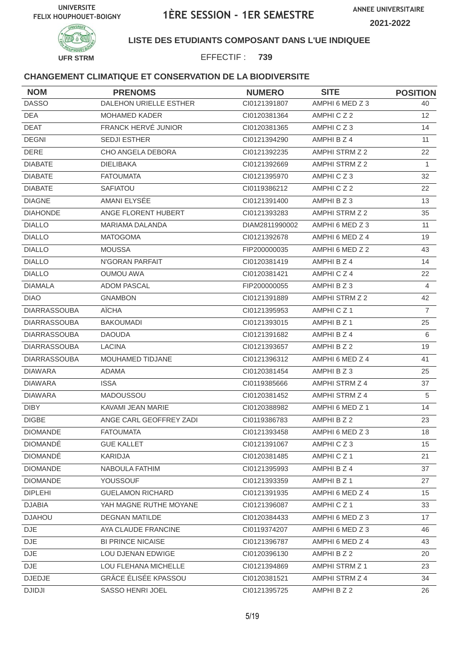



## **LISTE DES ETUDIANTS COMPOSANT DANS L'UE INDIQUEE**

EFFECTIF : **739**

| <b>NOM</b>          | <b>PRENOMS</b>           | <b>NUMERO</b>  | <b>SITE</b>     | <b>POSITION</b>  |
|---------------------|--------------------------|----------------|-----------------|------------------|
| <b>DASSO</b>        | DALEHON URIELLE ESTHER   | CI0121391807   | AMPHI 6 MED Z 3 | 40               |
| DEA                 | <b>MOHAMED KADER</b>     | CI0120381364   | AMPHICZ2        | 12               |
| <b>DEAT</b>         | FRANCK HERVÉ JUNIOR      | CI0120381365   | AMPHICZ3        | 14               |
| <b>DEGNI</b>        | SEDJI ESTHER             | Cl0121394290   | AMPHI B Z 4     | 11               |
| <b>DERE</b>         | CHO ANGELA DEBORA        | Cl0121392235   | AMPHI STRM Z 2  | 22               |
| <b>DIABATE</b>      | <b>DIELIBAKA</b>         | CI0121392669   | AMPHI STRM Z 2  | $\mathbf{1}$     |
| <b>DIABATE</b>      | <b>FATOUMATA</b>         | Cl0121395970   | AMPHICZ3        | 32               |
| <b>DIABATE</b>      | <b>SAFIATOU</b>          | CI0119386212   | AMPHICZ2        | 22               |
| <b>DIAGNE</b>       | AMANI ELYSÉE             | Cl0121391400   | AMPHI B Z 3     | 13               |
| <b>DIAHONDE</b>     | ANGE FLORENT HUBERT      | CI0121393283   | AMPHI STRM Z 2  | 35               |
| <b>DIALLO</b>       | <b>MARIAMA DALANDA</b>   | DIAM2811990002 | AMPHI 6 MED Z 3 | 11               |
| <b>DIALLO</b>       | <b>MATOGOMA</b>          | CI0121392678   | AMPHI 6 MED Z 4 | 19               |
| <b>DIALLO</b>       | <b>MOUSSA</b>            | FIP200000035   | AMPHI 6 MED Z 2 | 43               |
| <b>DIALLO</b>       | N'GORAN PARFAIT          | CI0120381419   | AMPHI B Z 4     | 14               |
| <b>DIALLO</b>       | <b>OUMOU AWA</b>         | Cl0120381421   | AMPHICZ4        | 22               |
| <b>DIAMALA</b>      | <b>ADOM PASCAL</b>       | FIP200000055   | AMPHI B Z 3     | 4                |
| <b>DIAO</b>         | <b>GNAMBON</b>           | CI0121391889   | AMPHI STRM Z 2  | 42               |
| <b>DIARRASSOUBA</b> | AÏCHA                    | CI0121395953   | AMPHICZ1        | $\overline{7}$   |
| <b>DIARRASSOUBA</b> | <b>BAKOUMADI</b>         | CI0121393015   | AMPHI B Z 1     | 25               |
| <b>DIARRASSOUBA</b> | <b>DAOUDA</b>            | Cl0121391682   | AMPHI B Z 4     | 6                |
| <b>DIARRASSOUBA</b> | <b>LACINA</b>            | CI0121393657   | AMPHI B Z 2     | 19               |
| <b>DIARRASSOUBA</b> | MOUHAMED TIDJANE         | CI0121396312   | AMPHI 6 MED Z 4 | 41               |
| <b>DIAWARA</b>      | <b>ADAMA</b>             | CI0120381454   | AMPHIBZ3        | 25               |
| <b>DIAWARA</b>      | <b>ISSA</b>              | CI0119385666   | AMPHI STRM Z 4  | 37               |
| <b>DIAWARA</b>      | MADOUSSOU                | CI0120381452   | AMPHI STRM Z 4  | 5                |
| <b>DIBY</b>         | KAVAMI JEAN MARIE        | CI0120388982   | AMPHI 6 MED Z 1 | 14               |
| <b>DIGBE</b>        | ANGE CARL GEOFFREY ZADI  | CI0119386783   | AMPHI B Z 2     | 23               |
| <b>DIOMANDE</b>     | <b>FATOUMATA</b>         | Cl0121393458   | AMPHI 6 MED Z 3 | 18               |
| <b>DIOMANDÉ</b>     | <b>GUE KALLET</b>        | Cl0121391067   | AMPHICZ3        | 15 <sub>15</sub> |
| <b>DIOMANDE</b>     | KARIDJA                  | CI0120381485   | AMPHICZ1        | 21               |
| <b>DIOMANDE</b>     | NABOULA FATHIM           | CI0121395993   | AMPHI B Z 4     | 37               |
| <b>DIOMANDE</b>     | YOUSSOUF                 | CI0121393359   | AMPHI B Z 1     | 27               |
| <b>DIPLEHI</b>      | <b>GUELAMON RICHARD</b>  | CI0121391935   | AMPHI 6 MED Z 4 | 15               |
| <b>DJABIA</b>       | YAH MAGNE RUTHE MOYANE   | CI0121396087   | AMPHICZ1        | 33               |
| <b>DJAHOU</b>       | <b>DEGNAN MATILDE</b>    | CI0120384433   | AMPHI 6 MED Z 3 | 17               |
| DJE                 | AYA CLAUDE FRANCINE      | CI0119374207   | AMPHI 6 MED Z 3 | 46               |
| <b>DJE</b>          | <b>BI PRINCE NICAISE</b> | CI0121396787   | AMPHI 6 MED Z 4 | 43               |
| <b>DJE</b>          | LOU DJENAN EDWIGE        | CI0120396130   | AMPHI B Z 2     | 20               |
| DJE.                | LOU FLEHANA MICHELLE     | CI0121394869   | AMPHI STRM Z 1  | 23               |
| <b>DJEDJE</b>       | GRÂCE ÉLISÉE KPASSOU     | CI0120381521   | AMPHI STRM Z 4  | 34               |
| <b>DJIDJI</b>       | SASSO HENRI JOEL         | Cl0121395725   | AMPHI B Z 2     | 26               |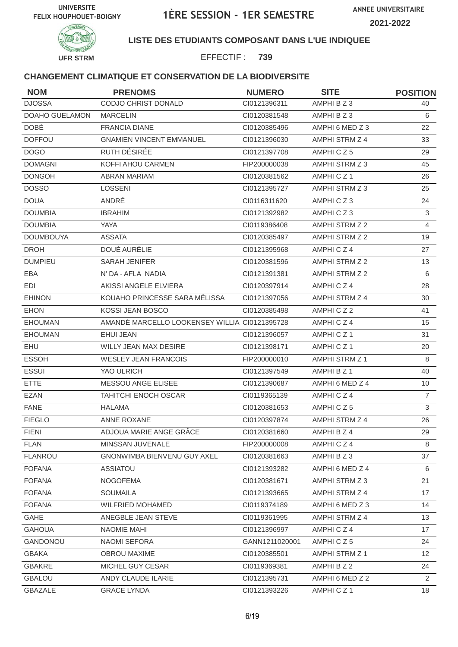



## **LISTE DES ETUDIANTS COMPOSANT DANS L'UE INDIQUEE**

EFFECTIF : **739**

| <b>NOM</b>            | <b>PRENOMS</b>                                | <b>NUMERO</b>  | <b>SITE</b>           | <b>POSITION</b> |
|-----------------------|-----------------------------------------------|----------------|-----------------------|-----------------|
| <b>DJOSSA</b>         | CODJO CHRIST DONALD                           | CI0121396311   | AMPHI B Z 3           | 40              |
| <b>DOAHO GUELAMON</b> | <b>MARCELIN</b>                               | CI0120381548   | AMPHIBZ3              | 6               |
| <b>DOBÉ</b>           | <b>FRANCIA DIANE</b>                          | CI0120385496   | AMPHI 6 MED Z 3       | 22              |
| <b>DOFFOU</b>         | <b>GNAMIEN VINCENT EMMANUEL</b>               | Cl0121396030   | AMPHI STRM Z 4        | 33              |
| <b>DOGO</b>           | RUTH DÉSIRÉE                                  | Cl0121397708   | AMPHICZ5              | 29              |
| <b>DOMAGNI</b>        | KOFFI AHOU CARMEN                             | FIP200000038   | AMPHI STRM Z 3        | 45              |
| <b>DONGOH</b>         | <b>ABRAN MARIAM</b>                           | CI0120381562   | AMPHICZ1              | 26              |
| <b>DOSSO</b>          | <b>LOSSENI</b>                                | CI0121395727   | AMPHI STRM Z 3        | 25              |
| <b>DOUA</b>           | ANDRÉ                                         | CI0116311620   | AMPHICZ3              | 24              |
| <b>DOUMBIA</b>        | <b>IBRAHIM</b>                                | CI0121392982   | AMPHICZ3              | 3               |
| <b>DOUMBIA</b>        | YAYA                                          | CI0119386408   | AMPHI STRM Z 2        | $\overline{4}$  |
| <b>DOUMBOUYA</b>      | <b>ASSATA</b>                                 | CI0120385497   | AMPHI STRM Z 2        | 19              |
| <b>DROH</b>           | DOUÉ AURÉLIE                                  | Cl0121395968   | AMPHICZ4              | 27              |
| <b>DUMPIEU</b>        | <b>SARAH JENIFER</b>                          | CI0120381596   | AMPHI STRM Z 2        | 13              |
| EBA                   | N' DA - AFLA NADIA                            | Cl0121391381   | <b>AMPHI STRM Z 2</b> | 6               |
| EDI                   | AKISSI ANGELE ELVIERA                         | CI0120397914   | AMPHICZ4              | 28              |
| <b>EHINON</b>         | KOUAHO PRINCESSE SARA MÉLISSA                 | CI0121397056   | AMPHI STRM Z 4        | 30              |
| <b>EHON</b>           | KOSSI JEAN BOSCO                              | CI0120385498   | AMPHICZ2              | 41              |
| <b>EHOUMAN</b>        | AMANDE MARCELLO LOOKENSEY WILLIA CI0121395728 |                | AMPHICZ4              | 15              |
| <b>EHOUMAN</b>        | <b>EHUI JEAN</b>                              | CI0121396057   | AMPHICZ1              | 31              |
| EHU                   | WILLY JEAN MAX DESIRE                         | CI0121398171   | AMPHICZ1              | 20              |
| <b>ESSOH</b>          | <b>WESLEY JEAN FRANCOIS</b>                   | FIP200000010   | AMPHI STRM Z 1        | 8               |
| <b>ESSUI</b>          | YAO ULRICH                                    | Cl0121397549   | AMPHI B Z 1           | 40              |
| <b>ETTE</b>           | MESSOU ANGE ELISEE                            | CI0121390687   | AMPHI 6 MED Z 4       | 10              |
| <b>EZAN</b>           | <b>TAHITCHI ENOCH OSCAR</b>                   | CI0119365139   | AMPHICZ4              | $\overline{7}$  |
| <b>FANE</b>           | <b>HALAMA</b>                                 | CI0120381653   | AMPHICZ5              | 3               |
| <b>FIEGLO</b>         | ANNE ROXANE                                   | Cl0120397874   | <b>AMPHI STRM Z 4</b> | 26              |
| <b>FIENI</b>          | ADJOUA MARIE ANGE GRÂCE                       | Cl0120381660   | AMPHI B Z 4           | 29              |
| <b>FLAN</b>           | MINSSAN JUVENALE                              | FIP200000008   | AMPHICZ4              | 8               |
| <b>FLANROU</b>        | GNONWIMBA BIENVENU GUY AXEL                   | CI0120381663   | AMPHI B Z 3           | 37              |
| <b>FOFANA</b>         | <b>ASSIATOU</b>                               | CI0121393282   | AMPHI 6 MED Z 4       | 6               |
| <b>FOFANA</b>         | <b>NOGOFEMA</b>                               | Cl0120381671   | AMPHI STRM Z 3        | 21              |
| <b>FOFANA</b>         | <b>SOUMAILA</b>                               | CI0121393665   | AMPHI STRM Z 4        | 17              |
| <b>FOFANA</b>         | <b>WILFRIED MOHAMED</b>                       | CI0119374189   | AMPHI 6 MED Z 3       | 14              |
| GAHE                  | ANEGBLE JEAN STEVE                            | CI0119361995   | AMPHI STRM Z 4        | 13              |
| <b>GAHOUA</b>         | NAOMIE MAHI                                   | CI0121396997   | AMPHICZ4              | 17              |
| GANDONOU              | <b>NAOMI SEFORA</b>                           | GANN1211020001 | AMPHICZ5              | 24              |
| <b>GBAKA</b>          | OBROU MAXIME                                  | CI0120385501   | AMPHI STRM Z 1        | 12 <sup>°</sup> |
| <b>GBAKRE</b>         | MICHEL GUY CESAR                              | CI0119369381   | AMPHI B Z 2           | 24              |
| <b>GBALOU</b>         | ANDY CLAUDE ILARIE                            | CI0121395731   | AMPHI 6 MED Z 2       | $\overline{2}$  |
| GBAZALE               | <b>GRACE LYNDA</b>                            | CI0121393226   | AMPHICZ1              | 18              |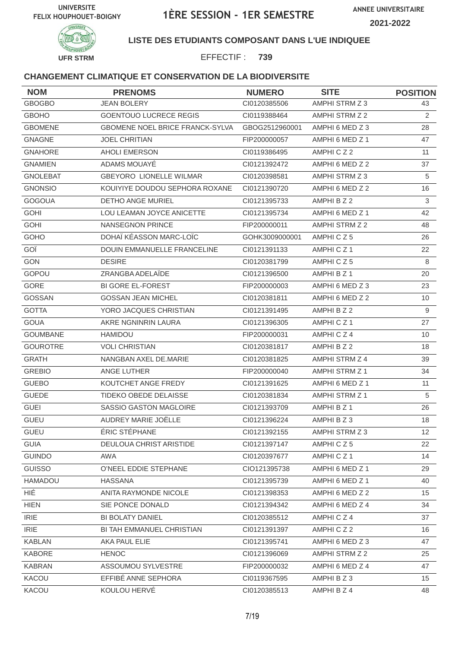



## **LISTE DES ETUDIANTS COMPOSANT DANS L'UE INDIQUEE**

EFFECTIF : **739**

| <b>NOM</b>      | <b>PRENOMS</b>                         | <b>NUMERO</b>  | <b>SITE</b>     | <b>POSITION</b>  |
|-----------------|----------------------------------------|----------------|-----------------|------------------|
| <b>GBOGBO</b>   | <b>JEAN BOLERY</b>                     | CI0120385506   | AMPHI STRM Z 3  | 43               |
| <b>GBOHO</b>    | <b>GOENTOUO LUCRECE REGIS</b>          | CI0119388464   | AMPHI STRM Z 2  | $\overline{2}$   |
| <b>GBOMENE</b>  | <b>GBOMENE NOEL BRICE FRANCK-SYLVA</b> | GBOG2512960001 | AMPHI 6 MED Z 3 | 28               |
| <b>GNAGNE</b>   | <b>JOEL CHRITIAN</b>                   | FIP200000057   | AMPHI 6 MED Z 1 | 47               |
| GNAHORE         | <b>AHOLI EMERSON</b>                   | CI0119386495   | AMPHICZ2        | 11               |
| <b>GNAMIEN</b>  | ADAMS MOUAYÉ                           | Cl0121392472   | AMPHI 6 MED Z 2 | 37               |
| <b>GNOLEBAT</b> | <b>GBEYORO LIONELLE WILMAR</b>         | CI0120398581   | AMPHI STRM Z 3  | 5                |
| <b>GNONSIO</b>  | KOUIYIYE DOUDOU SEPHORA ROXANE         | CI0121390720   | AMPHI 6 MED Z 2 | 16               |
| <b>GOGOUA</b>   | DETHO ANGE MURIEL                      | CI0121395733   | AMPHI B Z 2     | 3                |
| <b>GOHI</b>     | LOU LEAMAN JOYCE ANICETTE              | Cl0121395734   | AMPHI 6 MED Z 1 | 42               |
| <b>GOHI</b>     | <b>NANSEGNON PRINCE</b>                | FIP200000011   | AMPHI STRM Z 2  | 48               |
| GOHO            | DOHAÏ KÉASSON MARC-LOÏC                | GOHK3009000001 | AMPHICZ5        | 26               |
| GOÏ             | DOUIN EMMANUELLE FRANCELINE            | Cl0121391133   | AMPHICZ1        | 22               |
| GON             | <b>DESIRE</b>                          | Cl0120381799   | AMPHICZ5        | 8                |
| GOPOU           | ZRANGBA ADELAÏDE                       | Cl0121396500   | AMPHI B Z 1     | 20               |
| <b>GORE</b>     | <b>BI GORE EL-FOREST</b>               | FIP200000003   | AMPHI 6 MED Z 3 | 23               |
| GOSSAN          | <b>GOSSAN JEAN MICHEL</b>              | Cl0120381811   | AMPHI 6 MED Z 2 | 10               |
| <b>GOTTA</b>    | YORO JACQUES CHRISTIAN                 | Cl0121391495   | AMPHI B Z 2     | $\overline{9}$   |
| <b>GOUA</b>     | AKRE NGNINRIN LAURA                    | CI0121396305   | AMPHICZ1        | 27               |
| <b>GOUMBANE</b> | HAMIDOU                                | FIP200000031   | AMPHICZ4        | 10               |
| <b>GOUROTRE</b> | <b>VOLI CHRISTIAN</b>                  | CI0120381817   | AMPHI B Z 2     | 18               |
| <b>GRATH</b>    | NANGBAN AXEL DE.MARIE                  | CI0120381825   | AMPHI STRM Z 4  | 39               |
| <b>GREBIO</b>   | ANGE LUTHER                            | FIP200000040   | AMPHI STRM Z 1  | 34               |
| <b>GUEBO</b>    | KOUTCHET ANGE FREDY                    | CI0121391625   | AMPHI 6 MED Z 1 | 11               |
| <b>GUEDE</b>    | <b>TIDEKO OBEDE DELAISSE</b>           | CI0120381834   | AMPHI STRM Z 1  | 5                |
| <b>GUEI</b>     | SASSIO GASTON MAGLOIRE                 | CI0121393709   | AMPHI B Z 1     | 26               |
| <b>GUEU</b>     | AUDREY MARIE JOËLLE                    | Cl0121396224   | AMPHI B Z 3     | 18               |
| <b>GUEU</b>     | ÉRIC STÉPHANE                          | Cl0121392155   | AMPHI STRM Z 3  | 12               |
| <b>GUIA</b>     | DEULOUA CHRIST ARISTIDE                | Cl0121397147   | AMPHICZ5        | 22               |
| <b>GUINDO</b>   | AWA                                    | CI0120397677   | AMPHICZ1        | 14               |
| <b>GUISSO</b>   | O'NEEL EDDIE STEPHANE                  | CIO121395738   | AMPHI 6 MED Z 1 | 29               |
| HAMADOU         | <b>HASSANA</b>                         | Cl0121395739   | AMPHI 6 MED Z 1 | 40               |
| <b>HIÉ</b>      | ANITA RAYMONDE NICOLE                  | CI0121398353   | AMPHI 6 MED Z 2 | 15               |
| <b>HIEN</b>     | SIE PONCE DONALD                       | Cl0121394342   | AMPHI 6 MED Z 4 | 34               |
| <b>IRIE</b>     | <b>BI BOLATY DANIEL</b>                | CI0120385512   | AMPHICZ4        | 37               |
| <b>IRIE</b>     | BI TAH EMMANUEL CHRISTIAN              | CI0121391397   | AMPHICZ2        | 16               |
| <b>KABLAN</b>   | AKA PAUL ELIE                          | CI0121395741   | AMPHI 6 MED Z 3 | 47               |
| <b>KABORE</b>   | <b>HENOC</b>                           | CI0121396069   | AMPHI STRM Z 2  | 25               |
| <b>KABRAN</b>   | ASSOUMOU SYLVESTRE                     | FIP200000032   | AMPHI 6 MED Z 4 | 47               |
| KACOU           | EFFIBÉ ANNE SEPHORA                    | CI0119367595   | AMPHI B Z 3     | 15 <sup>15</sup> |
| KACOU           | KOULOU HERVÉ                           | CI0120385513   | AMPHI B Z 4     | 48               |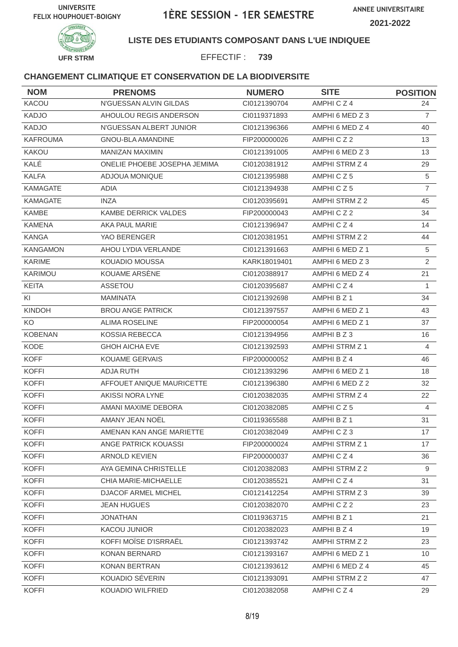



## **LISTE DES ETUDIANTS COMPOSANT DANS L'UE INDIQUEE**

EFFECTIF : **739**

| <b>NOM</b>      | <b>PRENOMS</b>               | <b>NUMERO</b> | <b>SITE</b>     | <b>POSITION</b> |
|-----------------|------------------------------|---------------|-----------------|-----------------|
| KACOU           | N'GUESSAN ALVIN GILDAS       | CI0121390704  | AMPHICZ4        | 24              |
| <b>KADJO</b>    | AHOULOU REGIS ANDERSON       | CI0119371893  | AMPHI 6 MED Z 3 | $\overline{7}$  |
| <b>KADJO</b>    | N'GUESSAN ALBERT JUNIOR      | CI0121396366  | AMPHI 6 MED Z 4 | 40              |
| <b>KAFROUMA</b> | <b>GNOU-BLA AMANDINE</b>     | FIP200000026  | AMPHICZ2        | 13              |
| <b>KAKOU</b>    | <b>MANIZAN MAXIMIN</b>       | CI0121391005  | AMPHI 6 MED Z 3 | 13              |
| KALÉ            | ONELIE PHOEBE JOSEPHA JEMIMA | CI0120381912  | AMPHI STRM Z 4  | 29              |
| <b>KALFA</b>    | <b>ADJOUA MONIQUE</b>        | CI0121395988  | AMPHICZ5        | 5               |
| <b>KAMAGATE</b> | <b>ADIA</b>                  | CI0121394938  | AMPHICZ5        | $\overline{7}$  |
| <b>KAMAGATE</b> | <b>INZA</b>                  | CI0120395691  | AMPHI STRM Z 2  | 45              |
| KAMBE           | KAMBE DERRICK VALDES         | FIP200000043  | AMPHICZ2        | 34              |
| <b>KAMENA</b>   | AKA PAUL MARIE               | CI0121396947  | AMPHICZ4        | 14              |
| <b>KANGA</b>    | YAO BERENGER                 | CI0120381951  | AMPHI STRM Z 2  | 44              |
| <b>KANGAMON</b> | AHOU LYDIA VERLANDE          | CI0121391663  | AMPHI 6 MED Z 1 | 5               |
| <b>KARIME</b>   | <b>KOUADIO MOUSSA</b>        | KARK18019401  | AMPHI 6 MED Z 3 | $\overline{2}$  |
| KARIMOU         | KOUAME ARSÈNE                | CI0120388917  | AMPHI 6 MED Z 4 | 21              |
| <b>KEITA</b>    | ASSETOU                      | CI0120395687  | AMPHICZ4        | $\mathbf{1}$    |
| KI              | <b>MAMINATA</b>              | CI0121392698  | AMPHI B Z 1     | 34              |
| <b>KINDOH</b>   | <b>BROU ANGE PATRICK</b>     | CI0121397557  | AMPHI 6 MED Z 1 | 43              |
| KO              | <b>ALIMA ROSELINE</b>        | FIP200000054  | AMPHI 6 MED Z 1 | 37              |
| <b>KOBENAN</b>  | KOSSIA REBECCA               | CI0121394956  | AMPHI B Z 3     | 16              |
| KODE            | <b>GHOH AICHA EVE</b>        | CI0121392593  | AMPHI STRM Z 1  | $\overline{4}$  |
| <b>KOFF</b>     | <b>KOUAME GERVAIS</b>        | FIP200000052  | AMPHI B Z 4     | 46              |
| <b>KOFFI</b>    | <b>ADJA RUTH</b>             | CI0121393296  | AMPHI 6 MED Z 1 | 18              |
| <b>KOFFI</b>    | AFFOUET ANIQUE MAURICETTE    | CI0121396380  | AMPHI 6 MED Z 2 | 32              |
| <b>KOFFI</b>    | AKISSI NORA LYNE             | CI0120382035  | AMPHI STRM Z 4  | 22              |
| <b>KOFFI</b>    | AMANI MAXIME DEBORA          | CI0120382085  | AMPHICZ5        | $\overline{4}$  |
| <b>KOFFI</b>    | AMANY JEAN NOËL              | CI0119365588  | AMPHI B Z 1     | 31              |
| <b>KOFFI</b>    | AMENAN KAN ANGE MARIETTE     | CI0120382049  | AMPHICZ3        | 17              |
| <b>KOFFI</b>    | ANGE PATRICK KOUASSI         | FIP200000024  | AMPHI STRM Z 1  | 17              |
| <b>KOFFI</b>    | <b>ARNOLD KEVIEN</b>         | FIP200000037  | AMPHICZ4        | 36              |
| <b>KOFFI</b>    | AYA GEMINA CHRISTELLE        | CI0120382083  | AMPHI STRM Z 2  | 9               |
| <b>KOFFI</b>    | CHIA MARIE-MICHAELLE         | CI0120385521  | AMPHICZ4        | 31              |
| <b>KOFFI</b>    | DJACOF ARMEL MICHEL          | CI0121412254  | AMPHI STRM Z 3  | 39              |
| <b>KOFFI</b>    | <b>JEAN HUGUES</b>           | CI0120382070  | AMPHICZ2        | 23              |
| <b>KOFFI</b>    | <b>JONATHAN</b>              | CI0119363715  | AMPHI B Z 1     | 21              |
| <b>KOFFI</b>    | <b>KACOU JUNIOR</b>          | CI0120382023  | AMPHI B Z 4     | 19              |
| <b>KOFFI</b>    | KOFFI MOÏSE D'ISRRAËL        | CI0121393742  | AMPHI STRM Z 2  | 23              |
| <b>KOFFI</b>    | KONAN BERNARD                | CI0121393167  | AMPHI 6 MED Z 1 | 10 <sup>°</sup> |
| <b>KOFFI</b>    | KONAN BERTRAN                | CI0121393612  | AMPHI 6 MED Z 4 | 45              |
| <b>KOFFI</b>    | KOUADIO SÉVERIN              | CI0121393091  | AMPHI STRM Z 2  | 47              |
| <b>KOFFI</b>    | KOUADIO WILFRIED             | CI0120382058  | AMPHICZ4        | 29              |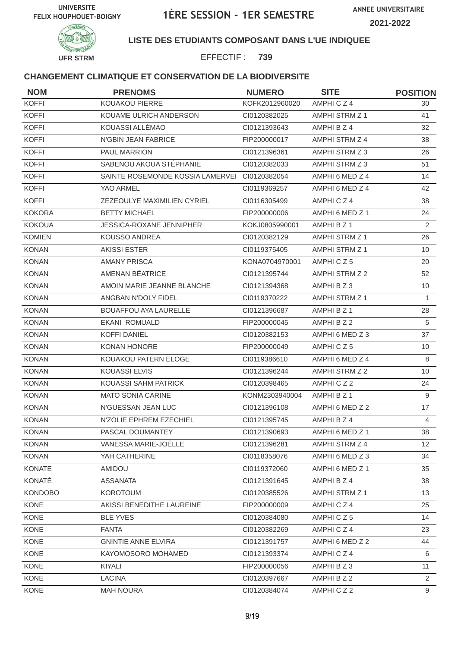

#### **LISTE DES ETUDIANTS COMPOSANT DANS L'UE INDIQUEE**

EFFECTIF : **739**

| <b>NOM</b>     | <b>PRENOMS</b>                   | <b>NUMERO</b>  | <b>SITE</b>           | <b>POSITION</b> |
|----------------|----------------------------------|----------------|-----------------------|-----------------|
| <b>KOFFI</b>   | KOUAKOU PIERRE                   | KOFK2012960020 | AMPHICZ4              | 30              |
| <b>KOFFI</b>   | KOUAME ULRICH ANDERSON           | CI0120382025   | AMPHI STRM Z 1        | 41              |
| <b>KOFFI</b>   | KOUASSI ALLÉMAO                  | Cl0121393643   | AMPHI B Z 4           | 32              |
| <b>KOFFI</b>   | N'GBIN JEAN FABRICE              | FIP200000017   | AMPHI STRM Z 4        | 38              |
| <b>KOFFI</b>   | PAUL MARRION                     | CI0121396361   | AMPHI STRM Z 3        | 26              |
| <b>KOFFI</b>   | SABENOU AKOUA STÉPHANIE          | CI0120382033   | AMPHI STRM Z 3        | 51              |
| <b>KOFFI</b>   | SAINTE ROSEMONDE KOSSIA LAMERVEI | CI0120382054   | AMPHI 6 MED Z 4       | 14              |
| <b>KOFFI</b>   | YAO ARMEL                        | CI0119369257   | AMPHI 6 MED Z 4       | 42              |
| <b>KOFFI</b>   | ZEZEOULYE MAXIMILIEN CYRIEL      | CI0116305499   | AMPHICZ4              | 38              |
| <b>KOKORA</b>  | <b>BETTY MICHAEL</b>             | FIP200000006   | AMPHI 6 MED Z 1       | 24              |
| <b>KOKOUA</b>  | <b>JESSICA-ROXANE JENNIPHER</b>  | KOKJ0805990001 | AMPHI B Z 1           | $\overline{2}$  |
| <b>KOMIEN</b>  | KOUSSO ANDREA                    | CI0120382129   | AMPHI STRM Z 1        | 26              |
| <b>KONAN</b>   | <b>AKISSI ESTER</b>              | CI0119375405   | AMPHI STRM Z 1        | 10              |
| <b>KONAN</b>   | <b>AMANY PRISCA</b>              | KONA0704970001 | AMPHICZ5              | 20              |
| <b>KONAN</b>   | AMENAN BÉATRICE                  | Cl0121395744   | <b>AMPHI STRM Z 2</b> | 52              |
| <b>KONAN</b>   | AMOIN MARIE JEANNE BLANCHE       | CI0121394368   | AMPHIBZ3              | 10              |
| <b>KONAN</b>   | ANGBAN N'DOLY FIDEL              | CI0119370222   | AMPHI STRM Z 1        | 1               |
| <b>KONAN</b>   | <b>BOUAFFOU AYA LAURELLE</b>     | Cl0121396687   | AMPHI B Z 1           | 28              |
| <b>KONAN</b>   | <b>EKANI ROMUALD</b>             | FIP200000045   | AMPHI B Z 2           | 5               |
| <b>KONAN</b>   | <b>KOFFI DANIEL</b>              | Cl0120382153   | AMPHI 6 MED Z 3       | 37              |
| <b>KONAN</b>   | KONAN HONORE                     | FIP200000049   | AMPHICZ5              | 10              |
| <b>KONAN</b>   | KOUAKOU PATERN ELOGE             | CI0119386610   | AMPHI 6 MED Z 4       | 8               |
| <b>KONAN</b>   | <b>KOUASSI ELVIS</b>             | Cl0121396244   | AMPHI STRM Z 2        | 10              |
| <b>KONAN</b>   | KOUASSI SAHM PATRICK             | CI0120398465   | AMPHICZ2              | 24              |
| <b>KONAN</b>   | <b>MATO SONIA CARINE</b>         | KONM2303940004 | AMPHI B Z 1           | 9               |
| <b>KONAN</b>   | N'GUESSAN JEAN LUC               | CI0121396108   | AMPHI 6 MED Z 2       | 17              |
| <b>KONAN</b>   | N'ZOLIE EPHREM EZECHIEL          | Cl0121395745   | AMPHI B Z 4           | $\overline{4}$  |
| KONAN          | PASCAL DOUMANTEY                 | Cl0121390693   | AMPHI 6 MED Z 1       | 38              |
| <b>KONAN</b>   | VANESSA MARIE-JOËLLE             | CI0121396281   | AMPHI STRM Z 4        | 12 <sup>2</sup> |
| <b>KONAN</b>   | YAH CATHERINE                    | CI0118358076   | AMPHI 6 MED Z 3       | 34              |
| <b>KONATE</b>  | AMIDOU                           | CI0119372060   | AMPHI 6 MED Z 1       | 35              |
| KONATÉ         | <b>ASSANATA</b>                  | Cl0121391645   | AMPHI B Z 4           | 38              |
| <b>KONDOBO</b> | <b>KOROTOUM</b>                  | CI0120385526   | AMPHI STRM Z 1        | 13              |
| KONE           | AKISSI BENEDITHE LAUREINE        | FIP200000009   | AMPHICZ4              | 25              |
| <b>KONE</b>    | <b>BLE YVES</b>                  | CI0120384080   | AMPHICZ5              | 14              |
| KONE           | <b>FANTA</b>                     | CI0120382269   | AMPHICZ4              | 23              |
| KONE           | <b>GNINTIE ANNE ELVIRA</b>       | CI0121391757   | AMPHI 6 MED Z 2       | 44              |
| <b>KONE</b>    | KAYOMOSORO MOHAMED               | Cl0121393374   | AMPHICZ4              | 6               |
| KONE           | KIYALI                           | FIP200000056   | AMPHI B Z 3           | 11              |
| KONE           | <b>LACINA</b>                    | CI0120397667   | AMPHI B Z 2           | $\overline{2}$  |
| KONE           | <b>MAH NOURA</b>                 | Cl0120384074   | AMPHICZ2              | 9               |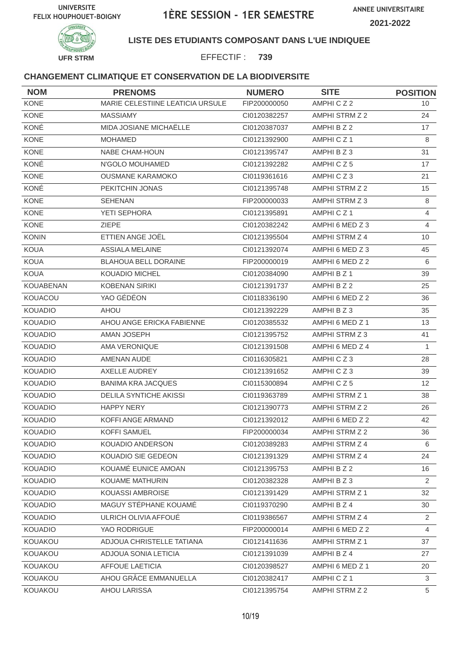



## **LISTE DES ETUDIANTS COMPOSANT DANS L'UE INDIQUEE**

EFFECTIF : **739**

| <b>NOM</b>       | <b>PRENOMS</b>                   | <b>NUMERO</b> | <b>SITE</b>     | <b>POSITION</b> |
|------------------|----------------------------------|---------------|-----------------|-----------------|
| KONE             | MARIE CELESTIINE LEATICIA URSULE | FIP200000050  | AMPHICZ2        | 10              |
| <b>KONE</b>      | <b>MASSIAMY</b>                  | CI0120382257  | AMPHI STRM Z 2  | 24              |
| KONÉ             | MIDA JOSIANE MICHAËLLE           | CI0120387037  | AMPHI B Z 2     | 17              |
| <b>KONE</b>      | <b>MOHAMED</b>                   | Cl0121392900  | AMPHICZ1        | 8               |
| <b>KONE</b>      | <b>NABE CHAM-HOUN</b>            | CI0121395747  | AMPHIBZ3        | 31              |
| KONÉ             | N'GOLO MOUHAMED                  | CI0121392282  | AMPHICZ5        | 17              |
| <b>KONE</b>      | <b>OUSMANE KARAMOKO</b>          | CI0119361616  | AMPHICZ3        | 21              |
| KONÉ             | PEKITCHIN JONAS                  | CI0121395748  | AMPHI STRM Z 2  | 15              |
| <b>KONE</b>      | <b>SEHENAN</b>                   | FIP200000033  | AMPHI STRM Z 3  | 8               |
| <b>KONE</b>      | YETI SEPHORA                     | CI0121395891  | AMPHICZ1        | $\overline{4}$  |
| <b>KONE</b>      | <b>ZIEPE</b>                     | CI0120382242  | AMPHI 6 MED Z 3 | $\overline{4}$  |
| <b>KONIN</b>     | ETTIEN ANGE JOËL                 | CI0121395504  | AMPHI STRM Z 4  | 10              |
| <b>KOUA</b>      | <b>ASSIALA MELAINE</b>           | CI0121392074  | AMPHI 6 MED Z 3 | 45              |
| <b>KOUA</b>      | <b>BLAHOUA BELL DORAINE</b>      | FIP200000019  | AMPHI 6 MED Z 2 | 6               |
| <b>KOUA</b>      | KOUADIO MICHEL                   | CI0120384090  | AMPHI B Z 1     | 39              |
| <b>KOUABENAN</b> | <b>KOBENAN SIRIKI</b>            | CI0121391737  | AMPHI B Z 2     | 25              |
| KOUACOU          | YAO GÉDÉON                       | CI0118336190  | AMPHI 6 MED Z 2 | 36              |
| <b>KOUADIO</b>   | <b>AHOU</b>                      | CI0121392229  | AMPHIBZ3        | 35              |
| <b>KOUADIO</b>   | AHOU ANGE ERICKA FABIENNE        | CI0120385532  | AMPHI 6 MED Z 1 | 13              |
| <b>KOUADIO</b>   | AMAN JOSEPH                      | CI0121395752  | AMPHI STRM Z 3  | 41              |
| <b>KOUADIO</b>   | AMA VERONIQUE                    | CI0121391508  | AMPHI 6 MED Z 4 | $\mathbf{1}$    |
| <b>KOUADIO</b>   | AMENAN AUDE                      | CI0116305821  | AMPHICZ3        | 28              |
| <b>KOUADIO</b>   | AXELLE AUDREY                    | CI0121391652  | AMPHICZ3        | 39              |
| <b>KOUADIO</b>   | <b>BANIMA KRA JACQUES</b>        | CI0115300894  | AMPHICZ5        | 12 <sup>°</sup> |
| <b>KOUADIO</b>   | <b>DELILA SYNTICHE AKISSI</b>    | CI0119363789  | AMPHI STRM Z 1  | 38              |
| <b>KOUADIO</b>   | <b>HAPPY NERY</b>                | CI0121390773  | AMPHI STRM Z 2  | 26              |
| <b>KOUADIO</b>   | KOFFI ANGE ARMAND                | CI0121392012  | AMPHI 6 MED Z 2 | 42              |
| <b>KOUADIO</b>   | <b>KOFFI SAMUEL</b>              | FIP200000034  | AMPHI STRM Z 2  | 36              |
| <b>KOUADIO</b>   | KOUADIO ANDERSON                 | CI0120389283  | AMPHI STRM Z 4  | 6               |
| <b>KOUADIO</b>   | KOUADIO SIE GEDEON               | CI0121391329  | AMPHI STRM Z 4  | 24              |
| <b>KOUADIO</b>   | KOUAMÉ EUNICE AMOAN              | CI0121395753  | AMPHI B Z 2     | 16              |
| <b>KOUADIO</b>   | KOUAME MATHURIN                  | CI0120382328  | AMPHIBZ3        | $\overline{2}$  |
| <b>KOUADIO</b>   | KOUASSI AMBROISE                 | CI0121391429  | AMPHI STRM Z 1  | 32              |
| <b>KOUADIO</b>   | MAGUY STÉPHANE KOUAMÉ            | CI0119370290  | AMPHI B Z 4     | 30              |
| <b>KOUADIO</b>   | ULRICH OLIVIA AFFOUÉ             | CI0119386567  | AMPHI STRM Z 4  | $\overline{2}$  |
| <b>KOUADIO</b>   | YAO RODRIGUE                     | FIP200000014  | AMPHI 6 MED Z 2 | 4               |
| <b>KOUAKOU</b>   | ADJOUA CHRISTELLE TATIANA        | CI0121411636  | AMPHI STRM Z 1  | 37              |
| KOUAKOU          | ADJOUA SONIA LETICIA             | CI0121391039  | AMPHI B Z 4     | 27              |
| <b>KOUAKOU</b>   | <b>AFFOUE LAETICIA</b>           | CI0120398527  | AMPHI 6 MED Z 1 | 20              |
| KOUAKOU          | AHOU GRÂCE EMMANUELLA            | CI0120382417  | AMPHICZ1        | 3               |
| KOUAKOU          | AHOU LARISSA                     | Cl0121395754  | AMPHI STRM Z 2  | 5               |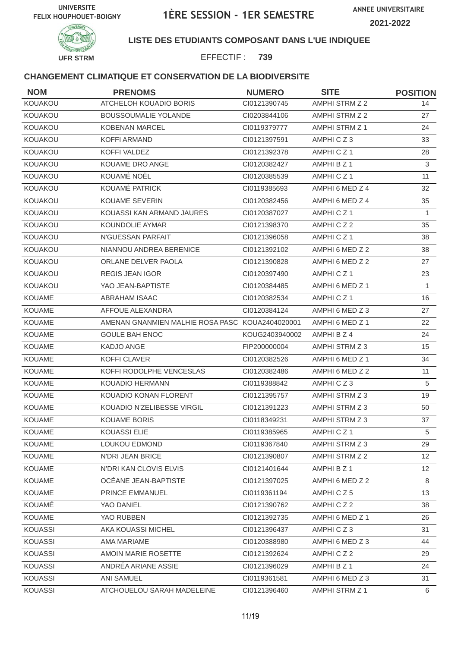

### **LISTE DES ETUDIANTS COMPOSANT DANS L'UE INDIQUEE**

EFFECTIF : **739**

| <b>NOM</b>     | <b>PRENOMS</b>                                  | <b>NUMERO</b>  | <b>SITE</b>          | <b>POSITION</b> |
|----------------|-------------------------------------------------|----------------|----------------------|-----------------|
| KOUAKOU        | ATCHELOH KOUADIO BORIS                          | CI0121390745   | AMPHI STRM Z 2       | 14              |
| KOUAKOU        | <b>BOUSSOUMALIE YOLANDE</b>                     | CI0203844106   | AMPHI STRM Z 2       | 27              |
| KOUAKOU        | <b>KOBENAN MARCEL</b>                           | CI0119379777   | AMPHI STRM Z 1       | 24              |
| KOUAKOU        | <b>KOFFI ARMAND</b>                             | CI0121397591   | AMPHICZ3             | 33              |
| KOUAKOU        | KOFFI VALDEZ                                    | CI0121392378   | AMPHICZ <sub>1</sub> | 28              |
| KOUAKOU        | KOUAME DRO ANGE                                 | CI0120382427   | AMPHI B Z 1          | 3               |
| KOUAKOU        | KOUAMÉ NOËL                                     | CI0120385539   | AMPHICZ1             | 11              |
| KOUAKOU        | KOUAMÉ PATRICK                                  | CI0119385693   | AMPHI 6 MED Z 4      | 32              |
| KOUAKOU        | <b>KOUAME SEVERIN</b>                           | CI0120382456   | AMPHI 6 MED Z 4      | 35              |
| KOUAKOU        | KOUASSI KAN ARMAND JAURES                       | CI0120387027   | AMPHICZ1             | $\mathbf{1}$    |
| KOUAKOU        | KOUNDOLIE AYMAR                                 | CI0121398370   | AMPHICZ2             | 35              |
| KOUAKOU        | N'GUESSAN PARFAIT                               | CI0121396058   | AMPHICZ1             | 38              |
| KOUAKOU        | NIANNOU ANDREA BERENICE                         | CI0121392102   | AMPHI 6 MED Z 2      | 38              |
| KOUAKOU        | ORLANE DELVER PAOLA                             | CI0121390828   | AMPHI 6 MED Z 2      | 27              |
| KOUAKOU        | <b>REGIS JEAN IGOR</b>                          | CI0120397490   | AMPHICZ1             | 23              |
| KOUAKOU        | YAO JEAN-BAPTISTE                               | CI0120384485   | AMPHI 6 MED Z 1      | 1               |
| <b>KOUAME</b>  | ABRAHAM ISAAC                                   | CI0120382534   | AMPHICZ1             | 16              |
| <b>KOUAME</b>  | AFFOUE ALEXANDRA                                | CI0120384124   | AMPHI 6 MED Z 3      | 27              |
| <b>KOUAME</b>  | AMENAN GNANMIEN MALHIE ROSA PASC KOUA2404020001 |                | AMPHI 6 MED Z 1      | 22              |
| KOUAME         | <b>GOULE BAH ENOC</b>                           | KOUG2403940002 | AMPHI B Z 4          | 24              |
| KOUAME         | KADJO ANGE                                      | FIP200000004   | AMPHI STRM Z 3       | 15              |
| <b>KOUAME</b>  | <b>KOFFI CLAVER</b>                             | CI0120382526   | AMPHI 6 MED Z 1      | 34              |
| KOUAME         | KOFFI RODOLPHE VENCESLAS                        | CI0120382486   | AMPHI 6 MED Z 2      | 11              |
| <b>KOUAME</b>  | <b>KOUADIO HERMANN</b>                          | CI0119388842   | AMPHICZ3             | $\sqrt{5}$      |
| <b>KOUAME</b>  | KOUADIO KONAN FLORENT                           | CI0121395757   | AMPHI STRM Z 3       | 19              |
| KOUAME         | KOUADIO N'ZELIBESSE VIRGIL                      | CI0121391223   | AMPHI STRM Z 3       | 50              |
| KOUAME         | <b>KOUAME BORIS</b>                             | CI0118349231   | AMPHI STRM Z 3       | 37              |
| KOUAME         | KOUASSI ELIE                                    | CI0119385965   | AMPHICZ1             | 5               |
| <b>KOUAME</b>  | <b>LOUKOU EDMOND</b>                            | CI0119367840   | AMPHI STRM Z 3       | 29              |
| <b>KOUAME</b>  | N'DRI JEAN BRICE                                | CI0121390807   | AMPHI STRM Z 2       | 12              |
| KOUAME         | N'DRI KAN CLOVIS ELVIS                          | CI0121401644   | AMPHI B Z 1          | 12 <sup>°</sup> |
| <b>KOUAME</b>  | OCÉANE JEAN-BAPTISTE                            | CI0121397025   | AMPHI 6 MED Z 2      | 8               |
| KOUAME         | PRINCE EMMANUEL                                 | CI0119361194   | AMPHICZ5             | 13              |
| KOUAMÉ         | YAO DANIEL                                      | CI0121390762   | AMPHICZ2             | 38              |
| <b>KOUAME</b>  | YAO RUBBEN                                      | CI0121392735   | AMPHI 6 MED Z 1      | 26              |
| <b>KOUASSI</b> | AKA KOUASSI MICHEL                              | CI0121396437   | AMPHICZ3             | 31              |
| <b>KOUASSI</b> | AMA MARIAME                                     | CI0120388980   | AMPHI 6 MED Z 3      | 44              |
| <b>KOUASSI</b> | AMOIN MARIE ROSETTE                             | CI0121392624   | AMPHICZ2             | 29              |
| KOUASSI        | ANDRÉA ARIANE ASSIE                             | CI0121396029   | AMPHI B Z 1          | 24              |
| KOUASSI        | ANI SAMUEL                                      | CI0119361581   | AMPHI 6 MED Z 3      | 31              |
| KOUASSI        | ATCHOUELOU SARAH MADELEINE                      | CI0121396460   | AMPHI STRM Z 1       | 6               |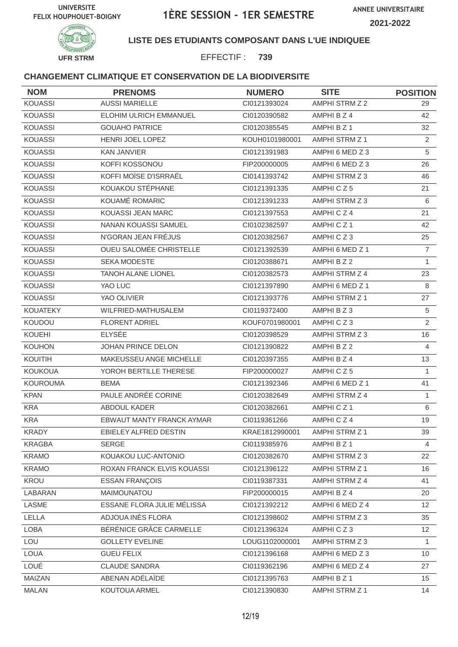



## **LISTE DES ETUDIANTS COMPOSANT DANS L'UE INDIQUEE**

EFFECTIF : **739**

| <b>NOM</b>      | <b>PRENOMS</b>                   | <b>NUMERO</b>  | <b>SITE</b>           | <b>POSITION</b>  |
|-----------------|----------------------------------|----------------|-----------------------|------------------|
| <b>KOUASSI</b>  | <b>AUSSI MARIELLE</b>            | CI0121393024   | <b>AMPHI STRM Z 2</b> | 29.              |
| <b>KOUASSI</b>  | ELOHIM ULRICH EMMANUEL           | CI0120390582   | AMPHI B Z 4           | 42               |
| <b>KOUASSI</b>  | <b>GOUAHO PATRICE</b>            | CI0120385545   | AMPHI B Z 1           | 32               |
| <b>KOUASSI</b>  | HENRI JOEL LOPEZ                 | KOUH0101980001 | AMPHI STRM Z 1        | $\overline{2}$   |
| <b>KOUASSI</b>  | <b>KAN JANVIER</b>               | CI0121391983   | AMPHI 6 MED Z 3       | 5                |
| <b>KOUASSI</b>  | KOFFI KOSSONOU                   | FIP200000005   | AMPHI 6 MED Z 3       | 26               |
| <b>KOUASSI</b>  | KOFFI MOÏSE D'ISRRAËL            | CI0141393742   | AMPHI STRM Z 3        | 46               |
| <b>KOUASSI</b>  | KOUAKOU STÉPHANE                 | CI0121391335   | AMPHICZ5              | 21               |
| <b>KOUASSI</b>  | KOUAMÉ ROMARIC                   | CI0121391233   | AMPHI STRM Z 3        | 6                |
| <b>KOUASSI</b>  | KOUASSI JEAN MARC                | CI0121397553   | AMPHICZ4              | 21               |
| <b>KOUASSI</b>  | NANAN KOUASSI SAMUEL             | CI0102382597   | AMPHICZ1              | 42               |
| <b>KOUASSI</b>  | N'GORAN JEAN FRÉJUS              | CI0120382567   | AMPHICZ3              | 25               |
| <b>KOUASSI</b>  | <b>OUEU SALOMÉE CHRISTELLE</b>   | CI0121392539   | AMPHI 6 MED Z 1       | $\overline{7}$   |
| KOUASSI         | <b>SEKA MODESTE</b>              | CI0120388671   | AMPHI B Z 2           | $\mathbf{1}$     |
| <b>KOUASSI</b>  | <b>TANOH ALANE LIONEL</b>        | CI0120382573   | AMPHI STRM Z 4        | 23               |
| <b>KOUASSI</b>  | YAO LUC                          | CI0121397890   | AMPHI 6 MED Z 1       | 8                |
| <b>KOUASSI</b>  | YAO OLIVIER                      | CI0121393776   | AMPHI STRM Z 1        | 27               |
| <b>KOUATEKY</b> | WILFRIED-MATHUSALEM              | CI0119372400   | AMPHI B Z 3           | 5                |
| KOUDOU          | <b>FLORENT ADRIEL</b>            | KOUF0701980001 | AMPHICZ3              | $\overline{2}$   |
| KOUEHI          | <b>ELYSÉE</b>                    | CI0120398529   | AMPHI STRM Z 3        | 16               |
| <b>KOUHON</b>   | JOHAN PRINCE DELON               | CI0121390822   | AMPHI B Z 2           | $\overline{4}$   |
| <b>KOUITIH</b>  | MAKEUSSEU ANGE MICHELLE          | CI0120397355   | AMPHI B Z 4           | 13               |
| <b>KOUKOUA</b>  | YOROH BERTILLE THERESE           | FIP200000027   | AMPHICZ5              | $\mathbf{1}$     |
| <b>KOUROUMA</b> | <b>BEMA</b>                      | CI0121392346   | AMPHI 6 MED Z 1       | 41               |
| <b>KPAN</b>     | PAULE ANDRÉE CORINE              | CI0120382649   | AMPHI STRM Z 4        | 1                |
| <b>KRA</b>      | ABDOUL KADER                     | CI0120382661   | AMPHICZ1              | 6                |
| <b>KRA</b>      | <b>EBWAUT MANTY FRANCK AYMAR</b> | CI0119361266   | AMPHICZ4              | 19               |
| <b>KRADY</b>    | EBIELEY ALFRED DESTIN            | KRAE1812990001 | AMPHI STRM Z 1        | 39               |
| <b>KRAGBA</b>   | SERGE                            | CI0119385976   | AMPHI B Z 1           | 4                |
| <b>KRAMO</b>    | KOUAKOU LUC-ANTONIO              | CI0120382670   | AMPHI STRM Z 3        | 22               |
| <b>KRAMO</b>    | ROXAN FRANCK ELVIS KOUASSI       | Cl0121396122   | AMPHI STRM Z 1        | 16               |
| KROU            | <b>ESSAN FRANÇOIS</b>            | CI0119387331   | AMPHI STRM Z 4        | 41               |
| LABARAN         | MAIMOUNATOU                      | FIP200000015   | AMPHI B Z 4           | 20               |
| LASME           | ESSANE FLORA JULIE MÉLISSA       | Cl0121392212   | AMPHI 6 MED Z 4       | 12               |
| LELLA           | ADJOUA INÈS FLORA                | CI0121398602   | AMPHI STRM Z 3        | 35               |
| LOBA            | BÉRÉNICE GRÂCE CARMELLE          | CI0121396324   | AMPHICZ3              | 12               |
| LOU             | <b>GOLLETY EVELINE</b>           | LOUG1102000001 | AMPHI STRM Z 3        | $\mathbf{1}$     |
| LOUA            | <b>GUEU FELIX</b>                | Cl0121396168   | AMPHI 6 MED Z 3       | 10 <sup>°</sup>  |
| LOUÉ            | <b>CLAUDE SANDRA</b>             | CI0119362196   | AMPHI 6 MED Z 4       | 27               |
| MAIZAN          | ABENAN ADÉLAÏDE                  | CI0121395763   | AMPHI B Z 1           | 15 <sup>15</sup> |
| <b>MALAN</b>    | KOUTOUA ARMEL                    | CI0121390830   | AMPHI STRM Z 1        | 14               |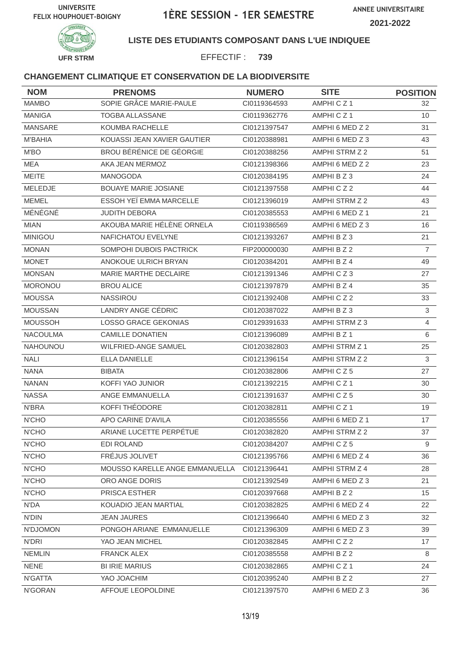

#### **LISTE DES ETUDIANTS COMPOSANT DANS L'UE INDIQUEE**

EFFECTIF : **739**

| <b>NOM</b>      | <b>PRENOMS</b>                 | <b>NUMERO</b> | <b>SITE</b>     | <b>POSITION</b> |
|-----------------|--------------------------------|---------------|-----------------|-----------------|
| <b>MAMBO</b>    | SOPIE GRÂCE MARIE-PAULE        | CI0119364593  | AMPHICZ1        | 32              |
| <b>MANIGA</b>   | <b>TOGBA ALLASSANE</b>         | CI0119362776  | AMPHICZ1        | 10              |
| <b>MANSARE</b>  | KOUMBA RACHELLE                | Cl0121397547  | AMPHI 6 MED Z 2 | 31              |
| <b>M'BAHIA</b>  | KOUASSI JEAN XAVIER GAUTIER    | CI0120388981  | AMPHI 6 MED Z 3 | 43              |
| M'BO            | BROU BÉRÉNICE DE GÉORGIE       | Cl0120388256  | AMPHI STRM Z 2  | 51              |
| MEA             | AKA JEAN MERMOZ                | CI0121398366  | AMPHI 6 MED Z 2 | 23              |
| <b>MEITE</b>    | MANOGODA                       | CI0120384195  | AMPHIBZ3        | 24              |
| MELEDJE         | <b>BOUAYE MARIE JOSIANE</b>    | CI0121397558  | AMPHICZ2        | 44              |
| <b>MEMEL</b>    | ESSOH YEÏ EMMA MARCELLE        | CI0121396019  | AMPHI STRM Z 2  | 43              |
| MÉNÉGNÉ         | <b>JUDITH DEBORA</b>           | CI0120385553  | AMPHI 6 MED Z 1 | 21              |
| <b>MIAN</b>     | AKOUBA MARIE HÉLÈNE ORNELA     | CI0119386569  | AMPHI 6 MED Z 3 | 16              |
| <b>MINIGOU</b>  | NAFICHATOU EVELYNE             | CI0121393267  | AMPHI B Z 3     | 21              |
| <b>MONAN</b>    | SOMPOHI DUBOIS PACTRICK        | FIP200000030  | AMPHI B Z 2     | $\overline{7}$  |
| <b>MONET</b>    | ANOKOUE ULRICH BRYAN           | CI0120384201  | AMPHI B Z 4     | 49              |
| <b>MONSAN</b>   | MARIE MARTHE DECLAIRE          | CI0121391346  | AMPHICZ3        | 27              |
| <b>MORONOU</b>  | <b>BROU ALICE</b>              | CI0121397879  | AMPHI B Z 4     | 35              |
| <b>MOUSSA</b>   | <b>NASSIROU</b>                | Cl0121392408  | AMPHICZ2        | 33              |
| <b>MOUSSAN</b>  | LANDRY ANGE CÉDRIC             | CI0120387022  | AMPHI B Z 3     | 3               |
| <b>MOUSSOH</b>  | LOSSO GRACE GEKONIAS           | Cl0129391633  | AMPHI STRM Z 3  | $\overline{4}$  |
| NACOULMA        | <b>CAMILLE DONATIEN</b>        | Cl0121396089  | AMPHI B Z 1     | 6               |
| <b>NAHOUNOU</b> | WILFRIED-ANGE SAMUEL           | Cl0120382803  | AMPHI STRM Z 1  | 25              |
| <b>NALI</b>     | ELLA DANIELLE                  | CI0121396154  | AMPHI STRM Z 2  | 3               |
| <b>NANA</b>     | <b>BIBATA</b>                  | CI0120382806  | AMPHICZ5        | 27              |
| <b>NANAN</b>    | KOFFI YAO JUNIOR               | Cl0121392215  | AMPHICZ1        | 30              |
| <b>NASSA</b>    | ANGE EMMANUELLA                | CI0121391637  | AMPHICZ5        | 30              |
| N'BRA           | KOFFI THÉODORE                 | CI0120382811  | AMPHICZ1        | 19              |
| N'CHO           | <b>APO CARINE D'AVILA</b>      | CI0120385556  | AMPHI 6 MED Z 1 | 17              |
| N'CHO           | ARIANE LUCETTE PERPÉTUE        | Cl0120382820  | AMPHI STRM Z 2  | 37              |
| N'CHO           | EDI ROLAND                     | CI0120384207  | AMPHICZ5        | 9               |
| N'CHO           | FRÉJUS JOLIVET                 | CI0121395766  | AMPHI 6 MED Z 4 | 36              |
| N'CHO           | MOUSSO KARELLE ANGE EMMANUELLA | CI0121396441  | AMPHI STRM Z 4  | 28              |
| N'CHO           | ORO ANGE DORIS                 | CI0121392549  | AMPHI 6 MED Z 3 | 21              |
| N'CHO           | PRISCA ESTHER                  | CI0120397668  | AMPHI B Z 2     | 15              |
| N'DA            | KOUADIO JEAN MARTIAL           | CI0120382825  | AMPHI 6 MED Z 4 | 22              |
| <b>N'DIN</b>    | <b>JEAN JAURES</b>             | Cl0121396640  | AMPHI 6 MED Z 3 | 32              |
| N'DJOMON        | PONGOH ARIANE EMMANUELLE       | CI0121396309  | AMPHI 6 MED Z 3 | 39              |
| N'DRI           | YAO JEAN MICHEL                | CI0120382845  | AMPHICZ2        | 17              |
| <b>NEMLIN</b>   | <b>FRANCK ALEX</b>             | CI0120385558  | AMPHI B Z 2     | 8               |
| <b>NENE</b>     | <b>BI IRIE MARIUS</b>          | CI0120382865  | AMPHICZ1        | 24              |
| N'GATTA         | YAO JOACHIM                    | CI0120395240  | AMPHI B Z 2     | 27              |
| N'GORAN         | AFFOUE LEOPOLDINE              | Cl0121397570  | AMPHI 6 MED Z 3 | 36              |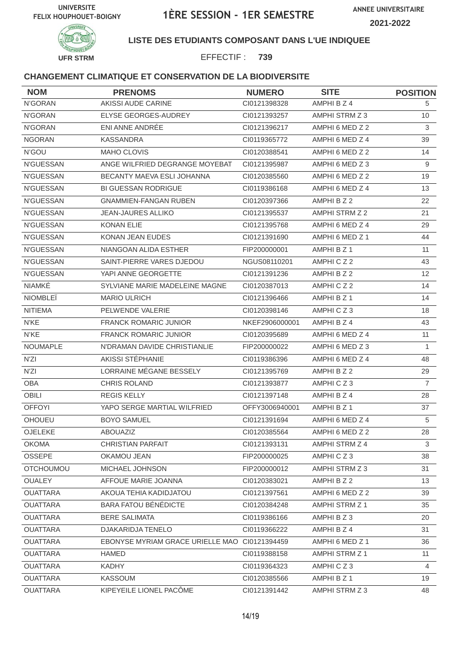

### **LISTE DES ETUDIANTS COMPOSANT DANS L'UE INDIQUEE**

EFFECTIF : **739**

| <b>NOM</b>       | <b>PRENOMS</b>                                | <b>NUMERO</b>  | <b>SITE</b>     | <b>POSITION</b> |
|------------------|-----------------------------------------------|----------------|-----------------|-----------------|
| N'GORAN          | AKISSI AUDE CARINE                            | CI0121398328   | AMPHI B Z 4     | 5.              |
| N'GORAN          | ELYSE GEORGES-AUDREY                          | CI0121393257   | AMPHI STRM Z 3  | 10              |
| N'GORAN          | ENI ANNE ANDRÉE                               | CI0121396217   | AMPHI 6 MED Z 2 | 3               |
| <b>NGORAN</b>    | <b>KASSANDRA</b>                              | CI0119365772   | AMPHI 6 MED Z 4 | 39              |
| N'GOU            | MAHO CLOVIS                                   | CI0120388541   | AMPHI 6 MED Z 2 | 14              |
| <b>N'GUESSAN</b> | ANGE WILFRIED DEGRANGE MOYEBAT                | CI0121395987   | AMPHI 6 MED Z 3 | 9               |
| <b>N'GUESSAN</b> | BECANTY MAEVA ESLI JOHANNA                    | CI0120385560   | AMPHI 6 MED Z 2 | 19              |
| <b>N'GUESSAN</b> | <b>BI GUESSAN RODRIGUE</b>                    | CI0119386168   | AMPHI 6 MED Z 4 | 13              |
| <b>N'GUESSAN</b> | <b>GNAMMIEN-FANGAN RUBEN</b>                  | CI0120397366   | AMPHI B Z 2     | 22              |
| N'GUESSAN        | <b>JEAN-JAURES ALLIKO</b>                     | Cl0121395537   | AMPHI STRM Z 2  | 21              |
| <b>N'GUESSAN</b> | <b>KONAN ELIE</b>                             | CI0121395768   | AMPHI 6 MED Z 4 | 29              |
| <b>N'GUESSAN</b> | <b>KONAN JEAN EUDES</b>                       | CI0121391690   | AMPHI 6 MED Z 1 | 44              |
| <b>N'GUESSAN</b> | NIANGOAN ALIDA ESTHER                         | FIP200000001   | AMPHI B Z 1     | 11              |
| <b>N'GUESSAN</b> | SAINT-PIERRE VARES DJEDOU                     | NGUS08110201   | AMPHICZ2        | 43              |
| N'GUESSAN        | YAPI ANNE GEORGETTE                           | CI0121391236   | AMPHI B Z 2     | 12              |
| <b>NIAMKÉ</b>    | SYLVIANE MARIE MADELEINE MAGNE                | CI0120387013   | AMPHICZ2        | 14              |
| <b>NIOMBLEÏ</b>  | <b>MARIO ULRICH</b>                           | CI0121396466   | AMPHI B Z 1     | 14              |
| <b>NITIEMA</b>   | PELWENDE VALERIE                              | CI0120398146   | AMPHICZ3        | 18              |
| N'KE             | <b>FRANCK ROMARIC JUNIOR</b>                  | NKEF2906000001 | AMPHI B Z 4     | 43              |
| N'KE             | <b>FRANCK ROMARIC JUNIOR</b>                  | CI0120395689   | AMPHI 6 MED Z 4 | 11              |
| <b>NOUMAPLE</b>  | N'DRAMAN DAVIDE CHRISTIANLIE                  | FIP200000022   | AMPHI 6 MED Z 3 | $\mathbf{1}$    |
| N'ZI             | AKISSI STÉPHANIE                              | CI0119386396   | AMPHI 6 MED Z 4 | 48              |
| N'ZI             | LORRAINE MÉGANE BESSELY                       | CI0121395769   | AMPHI B Z 2     | 29              |
| <b>OBA</b>       | <b>CHRIS ROLAND</b>                           | CI0121393877   | AMPHICZ3        | $\overline{7}$  |
| OBILI            | <b>REGIS KELLY</b>                            | Cl0121397148   | AMPHI B Z 4     | 28              |
| <b>OFFOYI</b>    | YAPO SERGE MARTIAL WILFRIED                   | OFFY3006940001 | AMPHI B Z 1     | 37              |
| OHOUEU           | <b>BOYO SAMUEL</b>                            | CI0121391694   | AMPHI 6 MED Z 4 | 5               |
| OJELEKE          | ABOUAZIZ                                      | CI0120385564   | AMPHI 6 MED Z 2 | 28              |
| <b>OKOMA</b>     | <b>CHRISTIAN PARFAIT</b>                      | Cl0121393131   | AMPHI STRM Z 4  | 3               |
| <b>OSSEPE</b>    | OKAMOU JEAN                                   | FIP200000025   | AMPHICZ3        | 38              |
| <b>OTCHOUMOU</b> | MICHAEL JOHNSON                               | FIP200000012   | AMPHI STRM Z 3  | 31              |
| <b>OUALEY</b>    | AFFOUE MARIE JOANNA                           | CI0120383021   | AMPHI B Z 2     | 13              |
| <b>OUATTARA</b>  | AKOUA TEHIA KADIDJATOU                        | CI0121397561   | AMPHI 6 MED Z 2 | 39              |
| <b>OUATTARA</b>  | <b>BARA FATOU BÉNÉDICTE</b>                   | CI0120384248   | AMPHI STRM Z 1  | 35              |
| <b>OUATTARA</b>  | <b>BERE SALIMATA</b>                          | CI0119386166   | AMPHIBZ3        | 20              |
| <b>OUATTARA</b>  | <b>DJAKARIDJA TENELO</b>                      | CI0119366222   | AMPHI B Z 4     | 31              |
| <b>OUATTARA</b>  | EBONYSE MYRIAM GRACE URIELLE MAO CI0121394459 |                | AMPHI 6 MED Z 1 | 36              |
| <b>OUATTARA</b>  | <b>HAMED</b>                                  | CI0119388158   | AMPHI STRM Z 1  | 11              |
| <b>OUATTARA</b>  | <b>KADHY</b>                                  | CI0119364323   | AMPHICZ3        | 4               |
| <b>OUATTARA</b>  | KASSOUM                                       | CI0120385566   | AMPHI B Z 1     | 19              |
| <b>OUATTARA</b>  | KIPEYEILE LIONEL PACÔME                       | Cl0121391442   | AMPHI STRM Z 3  | 48              |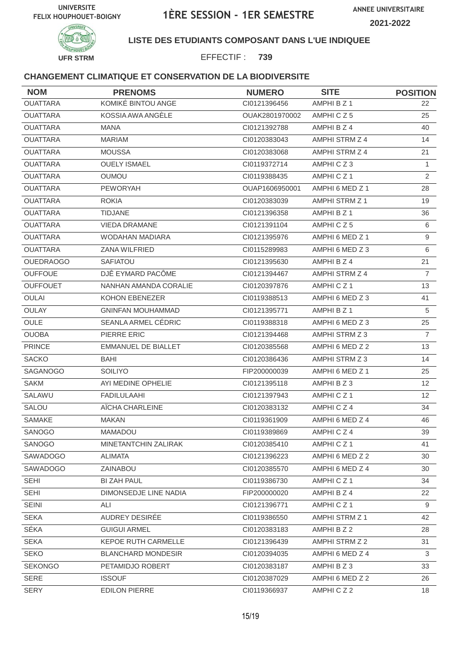

### **LISTE DES ETUDIANTS COMPOSANT DANS L'UE INDIQUEE**

EFFECTIF : **739**

| <b>NOM</b>       | <b>PRENOMS</b>             | <b>NUMERO</b>  | <b>SITE</b>     | <b>POSITION</b> |
|------------------|----------------------------|----------------|-----------------|-----------------|
| <b>OUATTARA</b>  | KOMIKÉ BINTOU ANGE         | Cl0121396456   | AMPHI B Z 1     | 22.             |
| <b>OUATTARA</b>  | KOSSIA AWA ANGÉLE          | OUAK2801970002 | AMPHICZ5        | 25              |
| <b>OUATTARA</b>  | <b>MANA</b>                | CI0121392788   | AMPHI B Z 4     | 40              |
| <b>OUATTARA</b>  | <b>MARIAM</b>              | CI0120383043   | AMPHI STRM Z 4  | 14              |
| <b>OUATTARA</b>  | <b>MOUSSA</b>              | CI0120383068   | AMPHI STRM Z 4  | 21              |
| <b>OUATTARA</b>  | <b>OUELY ISMAEL</b>        | CI0119372714   | AMPHICZ3        | $\mathbf{1}$    |
| <b>OUATTARA</b>  | <b>OUMOU</b>               | CI0119388435   | AMPHICZ1        | $\overline{2}$  |
| <b>OUATTARA</b>  | <b>PEWORYAH</b>            | OUAP1606950001 | AMPHI 6 MED Z 1 | 28              |
| <b>OUATTARA</b>  | <b>ROKIA</b>               | CI0120383039   | AMPHI STRM Z 1  | 19              |
| <b>OUATTARA</b>  | <b>TIDJANE</b>             | CI0121396358   | AMPHI B Z 1     | 36              |
| <b>OUATTARA</b>  | <b>VIEDA DRAMANE</b>       | CI0121391104   | AMPHICZ5        | 6               |
| <b>OUATTARA</b>  | WODAHAN MADIARA            | CI0121395976   | AMPHI 6 MED Z 1 | 9               |
| <b>OUATTARA</b>  | <b>ZANA WILFRIED</b>       | CI0115289983   | AMPHI 6 MED Z 3 | 6               |
| <b>OUEDRAOGO</b> | SAFIATOU                   | Cl0121395630   | AMPHI B Z 4     | 21              |
| <b>OUFFOUE</b>   | DJÊ EYMARD PACÔME          | CI0121394467   | AMPHI STRM Z 4  | $\overline{7}$  |
| <b>OUFFOUET</b>  | NANHAN AMANDA CORALIE      | Cl0120397876   | AMPHICZ1        | 13              |
| <b>OULAI</b>     | KOHON EBENEZER             | CI0119388513   | AMPHI 6 MED Z 3 | 41              |
| OULAY            | <b>GNINFAN MOUHAMMAD</b>   | Cl0121395771   | AMPHI B Z 1     | 5               |
| <b>OULE</b>      | SEANLA ARMEL CEDRIC        | CI0119388318   | AMPHI 6 MED Z 3 | 25              |
| <b>OUOBA</b>     | PIERRE ERIC                | CI0121394468   | AMPHI STRM Z 3  | $\overline{7}$  |
| <b>PRINCE</b>    | <b>EMMANUEL DE BIALLET</b> | Cl0120385568   | AMPHI 6 MED Z 2 | 13              |
| <b>SACKO</b>     | BAHI                       | CI0120386436   | AMPHI STRM Z 3  | 14              |
| SAGANOGO         | <b>SOILIYO</b>             | FIP200000039   | AMPHI 6 MED Z 1 | 25              |
| <b>SAKM</b>      | AYI MEDINE OPHELIE         | Cl0121395118   | AMPHIBZ3        | 12 <sup>2</sup> |
| SALAWU           | <b>FADILULAAHI</b>         | CI0121397943   | AMPHICZ1        | 12 <sup>2</sup> |
| SALOU            | AÏCHA CHARLEINE            | Cl0120383132   | AMPHICZ4        | 34              |
| SAMAKE           | <b>MAKAN</b>               | CI0119361909   | AMPHI 6 MED Z 4 | 46              |
| SANOGO           | MAMADOU                    | CI0119389869   | AMPHICZ4        | 39              |
| SANOGO           | MINETANTCHIN ZALIRAK       | Cl0120385410   | AMPHICZ1        | 41              |
| SAWADOGO         | <b>ALIMATA</b>             | CI0121396223   | AMPHI 6 MED Z 2 | 30              |
| SAWADOGO         | ZAINABOU                   | CI0120385570   | AMPHI 6 MED Z 4 | 30              |
| <b>SEHI</b>      | <b>BI ZAH PAUL</b>         | CI0119386730   | AMPHICZ1        | 34              |
| SEHI             | DIMONSEDJE LINE NADIA      | FIP200000020   | AMPHI B Z 4     | 22              |
| <b>SEINI</b>     | ALI                        | CI0121396771   | AMPHICZ1        | 9               |
| <b>SEKA</b>      | AUDREY DESIRÉE             | CI0119386550   | AMPHI STRM Z 1  | 42              |
| SÉKA             | <b>GUIGUI ARMEL</b>        | CI0120383183   | AMPHI B Z 2     | 28              |
| <b>SEKA</b>      | KEPOE RUTH CARMELLE        | CI0121396439   | AMPHI STRM Z 2  | 31              |
| <b>SEKO</b>      | <b>BLANCHARD MONDESIR</b>  | CI0120394035   | AMPHI 6 MED Z 4 | 3               |
| <b>SEKONGO</b>   | PETAMIDJO ROBERT           | CI0120383187   | AMPHI B Z 3     | 33              |
| SERE             | <b>ISSOUF</b>              | CI0120387029   | AMPHI 6 MED Z 2 | 26              |
| <b>SERY</b>      | <b>EDILON PIERRE</b>       | CI0119366937   | AMPHICZ2        | 18              |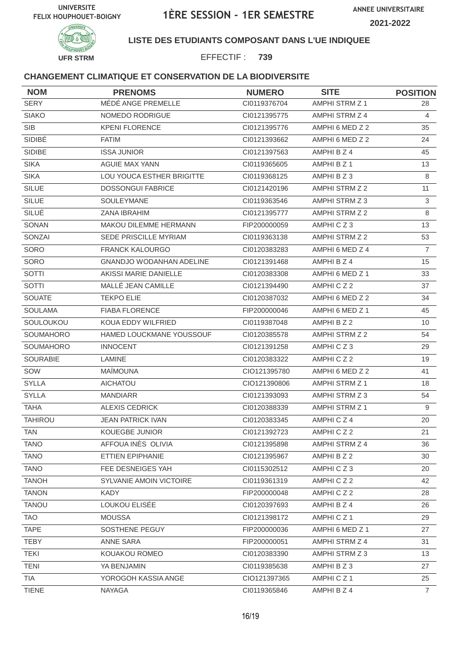



## **LISTE DES ETUDIANTS COMPOSANT DANS L'UE INDIQUEE**

EFFECTIF : **739**

| <b>NOM</b>      | <b>PRENOMS</b>                  | <b>NUMERO</b> | <b>SITE</b>           | <b>POSITION</b> |
|-----------------|---------------------------------|---------------|-----------------------|-----------------|
| <b>SERY</b>     | MÉDÉ ANGE PREMELLE              | CI0119376704  | AMPHI STRM Z 1        | 28              |
| <b>SIAKO</b>    | NOMEDO RODRIGUE                 | CI0121395775  | AMPHI STRM Z 4        | 4               |
| <b>SIB</b>      | <b>KPENI FLORENCE</b>           | CI0121395776  | AMPHI 6 MED Z 2       | 35              |
| SIDIBÉ          | <b>FATIM</b>                    | CI0121393662  | AMPHI 6 MED Z 2       | 24              |
| SIDIBE          | <b>ISSA JUNIOR</b>              | CI0121397563  | AMPHI B Z 4           | 45              |
| <b>SIKA</b>     | <b>AGUIE MAX YANN</b>           | CI0119365605  | AMPHI B Z 1           | 13              |
| <b>SIKA</b>     | LOU YOUCA ESTHER BRIGITTE       | CI0119368125  | AMPHI B Z 3           | 8               |
| <b>SILUE</b>    | <b>DOSSONGUI FABRICE</b>        | CI0121420196  | AMPHI STRM Z 2        | 11              |
| <b>SILUE</b>    | SOULEYMANE                      | CI0119363546  | AMPHI STRM Z 3        | 3               |
| SILUÉ           | ZANA IBRAHIM                    | CI0121395777  | AMPHI STRM Z 2        | 8               |
| SONAN           | <b>MAKOU DILEMME HERMANN</b>    | FIP200000059  | AMPHICZ3              | 13              |
| SONZAI          | SEDE PRISCILLE MYRIAM           | CI0119363138  | <b>AMPHI STRM Z 2</b> | 53              |
| SORO            | <b>FRANCK KALOURGO</b>          | CI0120383283  | AMPHI 6 MED Z 4       | $\overline{7}$  |
| SORO            | <b>GNANDJO WODANHAN ADELINE</b> | CI0121391468  | AMPHI B Z 4           | 15              |
| SOTTI           | AKISSI MARIE DANIELLE           | CI0120383308  | AMPHI 6 MED Z 1       | 33              |
| SOTTI           | MALLÉ JEAN CAMILLE              | CI0121394490  | AMPHICZ2              | 37              |
| <b>SOUATE</b>   | <b>TEKPO ELIE</b>               | CI0120387032  | AMPHI 6 MED Z 2       | 34              |
| <b>SOULAMA</b>  | <b>FIABA FLORENCE</b>           | FIP200000046  | AMPHI 6 MED Z 1       | 45              |
| SOULOUKOU       | KOUA EDDY WILFRIED              | CI0119387048  | AMPHI B Z 2           | 10              |
| SOUMAHORO       | HAMED LOUCKMANE YOUSSOUF        | CI0120385578  | AMPHI STRM Z 2        | 54              |
| SOUMAHORO       | <b>INNOCENT</b>                 | CI0121391258  | AMPHICZ3              | 29              |
| <b>SOURABIE</b> | LAMINE                          | CI0120383322  | AMPHICZ2              | 19              |
| SOW             | <b>MAÏMOUNA</b>                 | CIO121395780  | AMPHI 6 MED Z 2       | 41              |
| <b>SYLLA</b>    | <b>AICHATOU</b>                 | CIO121390806  | <b>AMPHI STRM Z 1</b> | 18              |
| <b>SYLLA</b>    | <b>MANDIARR</b>                 | CI0121393093  | AMPHI STRM Z 3        | 54              |
| <b>TAHA</b>     | <b>ALEXIS CEDRICK</b>           | CI0120388339  | AMPHI STRM Z 1        | 9               |
| <b>TAHIROU</b>  | <b>JEAN PATRICK IVAN</b>        | CI0120383345  | AMPHICZ4              | 20              |
| <b>TAN</b>      | KOUEGBE JUNIOR                  | Cl0121392723  | AMPHICZ2              | 21              |
| <b>TANO</b>     | AFFOUA INÈS OLIVIA              | CI0121395898  | AMPHI STRM Z 4        | 36              |
| <b>TANO</b>     | ETTIEN EPIPHANIE                | CI0121395967  | AMPHI B Z 2           | 30              |
| <b>TANO</b>     | FEE DESNEIGES YAH               | CI0115302512  | AMPHICZ3              | 20              |
| <b>TANOH</b>    | SYLVANIE AMOIN VICTOIRE         | CI0119361319  | AMPHICZ2              | 42              |
| <b>TANON</b>    | KADY                            | FIP200000048  | AMPHICZ2              | 28              |
| <b>TANOU</b>    | LOUKOU ELISÉE                   | CI0120397693  | AMPHI B Z 4           | 26              |
| <b>TAO</b>      | <b>MOUSSA</b>                   | Cl0121398172  | AMPHICZ1              | 29              |
| <b>TAPE</b>     | SOSTHENE PEGUY                  | FIP200000036  | AMPHI 6 MED Z 1       | 27              |
| <b>TEBY</b>     | ANNE SARA                       | FIP200000051  | AMPHI STRM Z 4        | 31              |
| <b>TEKI</b>     | KOUAKOU ROMEO                   | CI0120383390  | AMPHI STRM Z 3        | 13              |
| <b>TENI</b>     | YA BENJAMIN                     | CI0119385638  | AMPHIBZ3              | 27              |
| <b>TIA</b>      | YOROGOH KASSIA ANGE             | CIO121397365  | AMPHICZ1              | 25              |
| <b>TIENE</b>    | <b>NAYAGA</b>                   | CI0119365846  | AMPHI B Z 4           | $\overline{7}$  |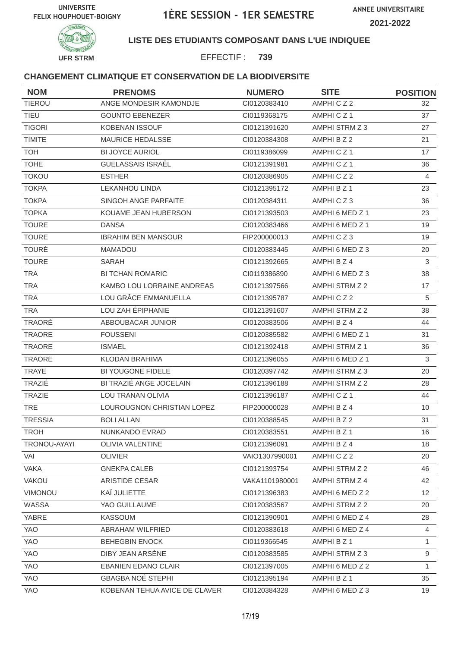

**LISTE DES ETUDIANTS COMPOSANT DANS L'UE INDIQUEE**

EFFECTIF : **739**

| <b>NOM</b>     | <b>PRENOMS</b>                | <b>NUMERO</b>  | <b>SITE</b>          | <b>POSITION</b> |
|----------------|-------------------------------|----------------|----------------------|-----------------|
| <b>TIEROU</b>  | ANGE MONDESIR KAMONDJE        | CI0120383410   | AMPHICZ2             | 32              |
| <b>TIEU</b>    | <b>GOUNTO EBENEZER</b>        | CI0119368175   | AMPHICZ1             | 37              |
| <b>TIGORI</b>  | <b>KOBENAN ISSOUF</b>         | CI0121391620   | AMPHI STRM Z 3       | 27              |
| <b>TIMITE</b>  | <b>MAURICE HEDALSSE</b>       | CI0120384308   | AMPHI B Z 2          | 21              |
| <b>TOH</b>     | <b>BI JOYCE AURIOL</b>        | CI0119386099   | AMPHICZ <sub>1</sub> | 17              |
| <b>TOHE</b>    | GUELASSAIS ISRAËL             | CI0121391981   | AMPHICZ1             | 36              |
| <b>TOKOU</b>   | <b>ESTHER</b>                 | CI0120386905   | AMPHICZ2             | $\overline{4}$  |
| <b>TOKPA</b>   | <b>LEKANHOU LINDA</b>         | Cl0121395172   | AMPHI B Z 1          | 23              |
| <b>TOKPA</b>   | SINGOH ANGE PARFAITE          | CI0120384311   | AMPHICZ3             | 36              |
| <b>TOPKA</b>   | KOUAME JEAN HUBERSON          | CI0121393503   | AMPHI 6 MED Z 1      | 23              |
| <b>TOURE</b>   | <b>DANSA</b>                  | CI0120383466   | AMPHI 6 MED Z 1      | 19              |
| <b>TOURE</b>   | <b>IBRAHIM BEN MANSOUR</b>    | FIP200000013   | AMPHICZ3             | 19              |
| <b>TOURÉ</b>   | <b>MAMADOU</b>                | CI0120383445   | AMPHI 6 MED Z 3      | 20              |
| <b>TOURE</b>   | SARAH                         | CI0121392665   | AMPHI B Z 4          | 3               |
| <b>TRA</b>     | <b>BI TCHAN ROMARIC</b>       | CI0119386890   | AMPHI 6 MED Z 3      | 38              |
| <b>TRA</b>     | KAMBO LOU LORRAINE ANDREAS    | CI0121397566   | AMPHI STRM Z 2       | 17              |
| <b>TRA</b>     | LOU GRÂCE EMMANUELLA          | CI0121395787   | AMPHICZ2             | 5               |
| <b>TRA</b>     | LOU ZAH ÉPIPHANIE             | CI0121391607   | AMPHI STRM Z 2       | 38              |
| TRAORÉ         | ABBOUBACAR JUNIOR             | CI0120383506   | AMPHI B Z 4          | 44              |
| TRAORE         | <b>FOUSSENI</b>               | CI0120385582   | AMPHI 6 MED Z 1      | 31              |
| TRAORE         | <b>ISMAEL</b>                 | Cl0121392418   | AMPHI STRM Z 1       | 36              |
| <b>TRAORE</b>  | <b>KLODAN BRAHIMA</b>         | CI0121396055   | AMPHI 6 MED Z 1      | 3               |
| <b>TRAYE</b>   | BI YOUGONE FIDELE             | CI0120397742   | AMPHI STRM Z 3       | 20              |
| TRAZIÉ         | BI TRAZIÉ ANGE JOCELAIN       | CI0121396188   | AMPHI STRM Z 2       | 28              |
| <b>TRAZIE</b>  | LOU TRANAN OLIVIA             | CI0121396187   | AMPHICZ1             | 44              |
| <b>TRE</b>     | LOUROUGNON CHRISTIAN LOPEZ    | FIP200000028   | AMPHI B Z 4          | 10              |
| <b>TRESSIA</b> | <b>BOLI ALLAN</b>             | CI0120388545   | AMPHI B Z 2          | 31              |
| <b>TROH</b>    | NUNKANDO EVRAD                | Cl0120383551   | AMPHI B Z 1          | 16              |
| TRONOU-AYAYI   | <b>OLIVIA VALENTINE</b>       | CI0121396091   | AMPHI B Z 4          | 18              |
| VAI            | <b>OLIVIER</b>                | VAIO1307990001 | AMPHICZ2             | 20              |
| <b>VAKA</b>    | <b>GNEKPA CALEB</b>           | CI0121393754   | AMPHI STRM Z 2       | 46              |
| <b>VAKOU</b>   | ARISTIDE CESAR                | VAKA1101980001 | AMPHI STRM Z 4       | 42              |
| VIMONOU        | KAÏ JULIETTE                  | CI0121396383   | AMPHI 6 MED Z 2      | 12 <sup>°</sup> |
| WASSA          | YAO GUILLAUME                 | CI0120383567   | AMPHI STRM Z 2       | 20              |
| YABRE          | <b>KASSOUM</b>                | CI0121390901   | AMPHI 6 MED Z 4      | 28              |
| <b>YAO</b>     | ABRAHAM WILFRIED              | CI0120383618   | AMPHI 6 MED Z 4      | 4               |
| YAO            | <b>BEHEGBIN ENOCK</b>         | CI0119366545   | AMPHI B Z 1          | 1               |
| YAO            | DIBY JEAN ARSENE              | CI0120383585   | AMPHI STRM Z 3       | 9               |
| <b>YAO</b>     | <b>EBANIEN EDANO CLAIR</b>    | CI0121397005   | AMPHI 6 MED Z 2      | 1               |
| YAO            | <b>GBAGBA NOÉ STEPHI</b>      | Cl0121395194   | AMPHI B Z 1          | 35              |
| YAO            | KOBENAN TEHUA AVICE DE CLAVER | CI0120384328   | AMPHI 6 MED Z 3      | 19              |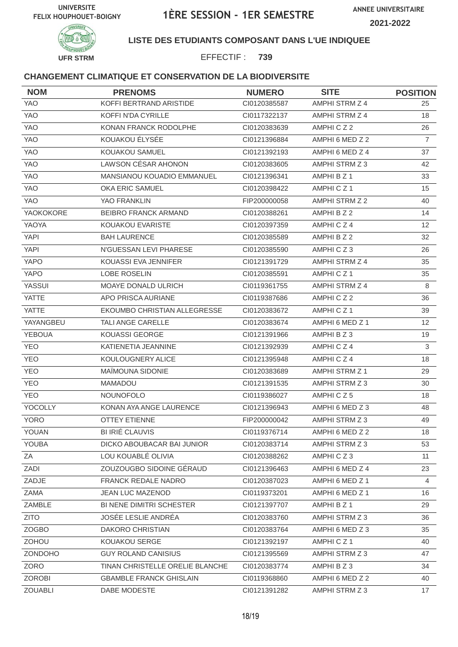



## **LISTE DES ETUDIANTS COMPOSANT DANS L'UE INDIQUEE**

EFFECTIF : **739**

| <b>NOM</b>     | <b>PRENOMS</b>                    | <b>NUMERO</b> | <b>SITE</b>     | <b>POSITION</b> |
|----------------|-----------------------------------|---------------|-----------------|-----------------|
| YAO            | KOFFI BERTRAND ARISTIDE           | CI0120385587  | AMPHI STRM Z 4  | 25              |
| <b>YAO</b>     | KOFFI N'DA CYRILLE                | CI0117322137  | AMPHI STRM Z 4  | 18              |
| <b>YAO</b>     | KONAN FRANCK RODOLPHE             | CI0120383639  | AMPHICZ2        | 26              |
| <b>YAO</b>     | KOUAKOU ÉLYSÉE                    | Cl0121396884  | AMPHI 6 MED Z 2 | $\overline{7}$  |
| YAO            | KOUAKOU SAMUEL                    | Cl0121392193  | AMPHI 6 MED Z 4 | 37              |
| <b>YAO</b>     | LAWSON CÉSAR AHONON               | CI0120383605  | AMPHI STRM Z 3  | 42              |
| <b>YAO</b>     | <b>MANSIANOU KOUADIO EMMANUEL</b> | CI0121396341  | AMPHI B Z 1     | 33              |
| <b>YAO</b>     | <b>OKA ERIC SAMUEL</b>            | CI0120398422  | AMPHICZ1        | 15              |
| <b>YAO</b>     | YAO FRANKLIN                      | FIP200000058  | AMPHI STRM Z 2  | 40              |
| YAOKOKORE      | <b>BEIBRO FRANCK ARMAND</b>       | CI0120388261  | AMPHI B Z 2     | 14              |
| YAOYA          | KOUAKOU EVARISTE                  | CI0120397359  | AMPHICZ4        | 12              |
| <b>YAPI</b>    | <b>BAH LAURENCE</b>               | CI0120385589  | AMPHI B Z 2     | 32              |
| <b>YAPI</b>    | N'GUESSAN LEVI PHARESE            | CI0120385590  | AMPHICZ3        | 26              |
| <b>YAPO</b>    | KOUASSI EVA JENNIFER              | CI0121391729  | AMPHI STRM Z 4  | 35              |
| <b>YAPO</b>    | LOBE ROSELIN                      | CI0120385591  | AMPHICZ1        | 35              |
| YASSUI         | <b>MOAYE DONALD ULRICH</b>        | CI0119361755  | AMPHI STRM Z 4  | 8               |
| <b>YATTE</b>   | APO PRISCA AURIANE                | CI0119387686  | AMPHICZ2        | 36              |
| <b>YATTE</b>   | EKOUMBO CHRISTIAN ALLEGRESSE      | CI0120383672  | AMPHICZ1        | 39              |
| YAYANGBEU      | <b>TALI ANGE CARELLE</b>          | CI0120383674  | AMPHI 6 MED Z 1 | 12 <sup>°</sup> |
| <b>YEBOUA</b>  | KOUASSI GEORGE                    | CI0121391966  | AMPHIBZ3        | 19              |
| <b>YEO</b>     | KATIENETIA JEANNINE               | CI0121392939  | AMPHICZ4        | 3               |
| <b>YEO</b>     | KOULOUGNERY ALICE                 | CI0121395948  | AMPHICZ4        | 18              |
| <b>YEO</b>     | MAÎMOUNA SIDONIE                  | CI0120383689  | AMPHI STRM Z 1  | 29              |
| <b>YEO</b>     | <b>MAMADOU</b>                    | Cl0121391535  | AMPHI STRM Z 3  | 30              |
| <b>YEO</b>     | <b>NOUNOFOLO</b>                  | CI0119386027  | AMPHICZ5        | 18              |
| YOCOLLY        | KONAN AYA ANGE LAURENCE           | CI0121396943  | AMPHI 6 MED Z 3 | 48              |
| <b>YORO</b>    | <b>OTTEY ETIENNE</b>              | FIP200000042  | AMPHI STRM Z 3  | 49              |
| YOUAN          | <b>BI IRIÉ CLAUVIS</b>            | CI0119376714  | AMPHI 6 MED Z 2 | 18              |
| YOUBA          | DICKO ABOUBACAR BAI JUNIOR        | Cl0120383714  | AMPHI STRM Z 3  | 53              |
| ΖA             | LOU KOUABLÉ OLIVIA                | CI0120388262  | AMPHICZ3        | 11              |
| ZADI           | ZOUZOUGBO SIDOINE GÉRAUD          | Cl0121396463  | AMPHI 6 MED Z 4 | 23              |
| ZADJE          | FRANCK REDALE NADRO               | CI0120387023  | AMPHI 6 MED Z 1 | $\overline{4}$  |
| ZAMA           | JEAN LUC MAZENOD                  | CI0119373201  | AMPHI 6 MED Z 1 | 16              |
| ZAMBLE         | BI NENE DIMITRI SCHESTER          | Cl0121397707  | AMPHI B Z 1     | 29              |
| <b>ZITO</b>    | JOSÉE LESLIE ANDRÉA               | Cl0120383760  | AMPHI STRM Z 3  | 36              |
| ZOGBO          | <b>DAKORO CHRISTIAN</b>           | Cl0120383764  | AMPHI 6 MED Z 3 | 35              |
| ZOHOU          | KOUAKOU SERGE                     | CI0121392197  | AMPHICZ1        | 40              |
| <b>ZONDOHO</b> | <b>GUY ROLAND CANISIUS</b>        | Cl0121395569  | AMPHI STRM Z 3  | 47              |
| ZORO           | TINAN CHRISTELLE ORELIE BLANCHE   | Cl0120383774  | AMPHIBZ3        | 34              |
| <b>ZOROBI</b>  | <b>GBAMBLE FRANCK GHISLAIN</b>    | CI0119368860  | AMPHI 6 MED Z 2 | 40              |
| ZOUABLI        | DABE MODESTE                      | CI0121391282  | AMPHI STRM Z 3  | 17 <sup>2</sup> |